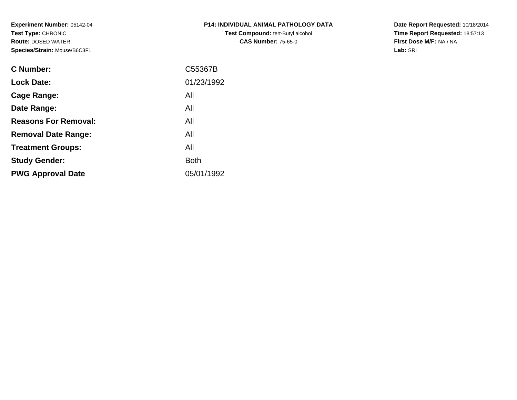**Experiment Number:** 05142-04**Test Type:** CHRONIC **Route:** DOSED WATER**Species/Strain:** Mouse/B6C3F1

| <b>P14: INDIVIDUAL ANIMAL PATHOLOGY DATA</b> |
|----------------------------------------------|
| <b>Test Compound: tert-Butyl alcohol</b>     |
| <b>CAS Number: 75-65-0</b>                   |

**Date Report Requested:** 10/18/2014 **Time Report Requested:** 18:57:13**First Dose M/F:** NA / NA**Lab:** SRI

| C55367B     |
|-------------|
| 01/23/1992  |
| All         |
| All         |
| All         |
| All         |
| All         |
| <b>Both</b> |
| 05/01/1992  |
|             |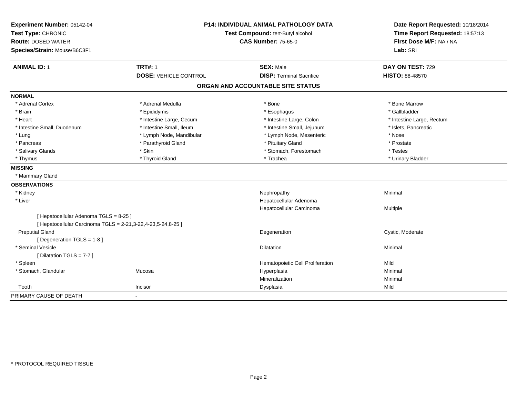| Experiment Number: 05142-04<br>Test Type: CHRONIC<br><b>Route: DOSED WATER</b><br>Species/Strain: Mouse/B6C3F1 | <b>P14: INDIVIDUAL ANIMAL PATHOLOGY DATA</b><br>Test Compound: tert-Butyl alcohol<br><b>CAS Number: 75-65-0</b> |                                   | Date Report Requested: 10/18/2014<br>Time Report Requested: 18:57:13<br>First Dose M/F: NA / NA<br>Lab: SRI |
|----------------------------------------------------------------------------------------------------------------|-----------------------------------------------------------------------------------------------------------------|-----------------------------------|-------------------------------------------------------------------------------------------------------------|
| <b>ANIMAL ID: 1</b>                                                                                            | <b>TRT#: 1</b>                                                                                                  | <b>SEX: Male</b>                  | DAY ON TEST: 729                                                                                            |
|                                                                                                                | <b>DOSE: VEHICLE CONTROL</b>                                                                                    | <b>DISP: Terminal Sacrifice</b>   | <b>HISTO: 88-48570</b>                                                                                      |
|                                                                                                                |                                                                                                                 | ORGAN AND ACCOUNTABLE SITE STATUS |                                                                                                             |
| <b>NORMAL</b>                                                                                                  |                                                                                                                 |                                   |                                                                                                             |
| * Adrenal Cortex                                                                                               | * Adrenal Medulla                                                                                               | * Bone                            | * Bone Marrow                                                                                               |
| * Brain                                                                                                        | * Epididymis                                                                                                    | * Esophagus                       | * Gallbladder                                                                                               |
| * Heart                                                                                                        | * Intestine Large, Cecum                                                                                        | * Intestine Large, Colon          | * Intestine Large, Rectum                                                                                   |
| * Intestine Small, Duodenum                                                                                    | * Intestine Small, Ileum                                                                                        | * Intestine Small, Jejunum        | * Islets, Pancreatic                                                                                        |
| * Lung                                                                                                         | * Lymph Node, Mandibular                                                                                        | * Lymph Node, Mesenteric          | * Nose                                                                                                      |
| * Pancreas                                                                                                     | * Parathyroid Gland                                                                                             | * Pituitary Gland                 | * Prostate                                                                                                  |
| * Salivary Glands                                                                                              | * Skin                                                                                                          | * Stomach, Forestomach            | * Testes                                                                                                    |
| * Thymus                                                                                                       | * Thyroid Gland                                                                                                 | * Trachea                         | * Urinary Bladder                                                                                           |
| <b>MISSING</b>                                                                                                 |                                                                                                                 |                                   |                                                                                                             |
| * Mammary Gland                                                                                                |                                                                                                                 |                                   |                                                                                                             |
| <b>OBSERVATIONS</b>                                                                                            |                                                                                                                 |                                   |                                                                                                             |
| * Kidney                                                                                                       |                                                                                                                 | Nephropathy                       | Minimal                                                                                                     |
| * Liver                                                                                                        |                                                                                                                 | Hepatocellular Adenoma            |                                                                                                             |
|                                                                                                                |                                                                                                                 | Hepatocellular Carcinoma          | Multiple                                                                                                    |
| [ Hepatocellular Adenoma TGLS = 8-25 ]                                                                         |                                                                                                                 |                                   |                                                                                                             |
| [ Hepatocellular Carcinoma TGLS = 2-21,3-22,4-23,5-24,8-25 ]                                                   |                                                                                                                 |                                   |                                                                                                             |
| <b>Preputial Gland</b>                                                                                         |                                                                                                                 | Degeneration                      | Cystic, Moderate                                                                                            |
| [ Degeneration TGLS = 1-8 ]                                                                                    |                                                                                                                 |                                   |                                                                                                             |
| * Seminal Vesicle                                                                                              |                                                                                                                 | Dilatation                        | Minimal                                                                                                     |
| [ Dilatation TGLS = 7-7 ]                                                                                      |                                                                                                                 |                                   |                                                                                                             |
| * Spleen                                                                                                       |                                                                                                                 | Hematopoietic Cell Proliferation  | Mild                                                                                                        |
| * Stomach, Glandular                                                                                           | Mucosa                                                                                                          | Hyperplasia                       | Minimal                                                                                                     |
|                                                                                                                |                                                                                                                 | Mineralization                    | Minimal                                                                                                     |
| Tooth                                                                                                          | Incisor                                                                                                         | Dysplasia                         | Mild                                                                                                        |
| PRIMARY CAUSE OF DEATH                                                                                         | $\blacksquare$                                                                                                  |                                   |                                                                                                             |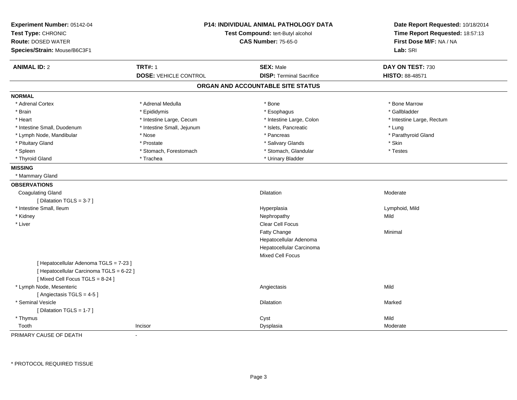| Experiment Number: 05142-04<br>Test Type: CHRONIC<br><b>Route: DOSED WATER</b><br>Species/Strain: Mouse/B6C3F1 | <b>P14: INDIVIDUAL ANIMAL PATHOLOGY DATA</b><br>Test Compound: tert-Butyl alcohol<br><b>CAS Number: 75-65-0</b> |                                   | Date Report Requested: 10/18/2014<br>Time Report Requested: 18:57:13<br>First Dose M/F: NA / NA<br>Lab: SRI |
|----------------------------------------------------------------------------------------------------------------|-----------------------------------------------------------------------------------------------------------------|-----------------------------------|-------------------------------------------------------------------------------------------------------------|
| <b>ANIMAL ID: 2</b>                                                                                            | <b>TRT#: 1</b>                                                                                                  | <b>SEX: Male</b>                  | DAY ON TEST: 730                                                                                            |
|                                                                                                                | <b>DOSE: VEHICLE CONTROL</b>                                                                                    | <b>DISP: Terminal Sacrifice</b>   | HISTO: 88-48571                                                                                             |
|                                                                                                                |                                                                                                                 | ORGAN AND ACCOUNTABLE SITE STATUS |                                                                                                             |
| <b>NORMAL</b>                                                                                                  |                                                                                                                 |                                   |                                                                                                             |
| * Adrenal Cortex                                                                                               | * Adrenal Medulla                                                                                               | * Bone                            | * Bone Marrow                                                                                               |
| * Brain                                                                                                        | * Epididymis                                                                                                    | * Esophagus                       | * Gallbladder                                                                                               |
| * Heart                                                                                                        | * Intestine Large, Cecum                                                                                        | * Intestine Large, Colon          | * Intestine Large, Rectum                                                                                   |
| * Intestine Small, Duodenum                                                                                    | * Intestine Small, Jejunum                                                                                      | * Islets, Pancreatic              | * Lung                                                                                                      |
| * Lymph Node, Mandibular                                                                                       | * Nose                                                                                                          | * Pancreas                        | * Parathyroid Gland                                                                                         |
| * Pituitary Gland                                                                                              | * Prostate                                                                                                      | * Salivary Glands                 | * Skin                                                                                                      |
| * Spleen                                                                                                       | * Stomach, Forestomach                                                                                          | * Stomach, Glandular              | * Testes                                                                                                    |
| * Thyroid Gland                                                                                                | * Trachea                                                                                                       | * Urinary Bladder                 |                                                                                                             |
| <b>MISSING</b>                                                                                                 |                                                                                                                 |                                   |                                                                                                             |
| * Mammary Gland                                                                                                |                                                                                                                 |                                   |                                                                                                             |
| <b>OBSERVATIONS</b>                                                                                            |                                                                                                                 |                                   |                                                                                                             |
| <b>Coagulating Gland</b>                                                                                       |                                                                                                                 | Dilatation                        | Moderate                                                                                                    |
| [ Dilatation TGLS = $3-7$ ]                                                                                    |                                                                                                                 |                                   |                                                                                                             |
| * Intestine Small, Ileum                                                                                       |                                                                                                                 | Hyperplasia                       | Lymphoid, Mild                                                                                              |
| * Kidney                                                                                                       |                                                                                                                 | Nephropathy                       | Mild                                                                                                        |
| * Liver                                                                                                        |                                                                                                                 | Clear Cell Focus                  |                                                                                                             |
|                                                                                                                |                                                                                                                 | <b>Fatty Change</b>               | Minimal                                                                                                     |
|                                                                                                                |                                                                                                                 | Hepatocellular Adenoma            |                                                                                                             |
|                                                                                                                |                                                                                                                 | Hepatocellular Carcinoma          |                                                                                                             |
|                                                                                                                |                                                                                                                 | <b>Mixed Cell Focus</b>           |                                                                                                             |
| [ Hepatocellular Adenoma TGLS = 7-23 ]                                                                         |                                                                                                                 |                                   |                                                                                                             |
| [ Hepatocellular Carcinoma TGLS = 6-22 ]                                                                       |                                                                                                                 |                                   |                                                                                                             |
| [Mixed Cell Focus TGLS = $8-24$ ]                                                                              |                                                                                                                 |                                   |                                                                                                             |
| * Lymph Node, Mesenteric                                                                                       |                                                                                                                 | Angiectasis                       | Mild                                                                                                        |
| [Angiectasis TGLS = 4-5]                                                                                       |                                                                                                                 |                                   |                                                                                                             |
| * Seminal Vesicle                                                                                              |                                                                                                                 | Dilatation                        | Marked                                                                                                      |
| [ Dilatation TGLS = 1-7 ]                                                                                      |                                                                                                                 |                                   |                                                                                                             |
| * Thymus                                                                                                       |                                                                                                                 | Cyst                              | Mild                                                                                                        |
| Tooth                                                                                                          | Incisor                                                                                                         | Dysplasia                         | Moderate                                                                                                    |

PRIMARY CAUSE OF DEATH-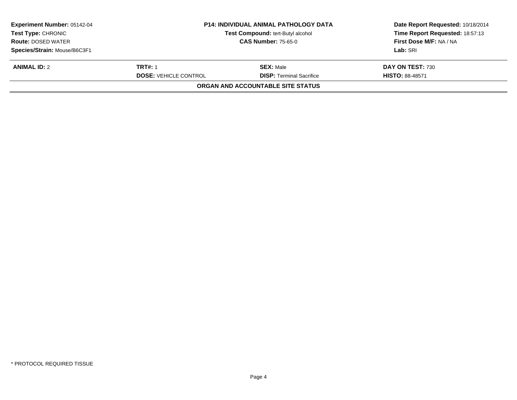| <b>Experiment Number: 05142-04</b><br><b>Test Type: CHRONIC</b> | <b>P14: INDIVIDUAL ANIMAL PATHOLOGY DATA</b><br>Test Compound: tert-Butyl alcohol |                                   | Date Report Requested: 10/18/2014<br>Time Report Requested: 18:57:13 |
|-----------------------------------------------------------------|-----------------------------------------------------------------------------------|-----------------------------------|----------------------------------------------------------------------|
| <b>Route: DOSED WATER</b>                                       | <b>CAS Number: 75-65-0</b>                                                        |                                   | First Dose M/F: NA / NA                                              |
| Species/Strain: Mouse/B6C3F1                                    |                                                                                   |                                   | Lab: SRI                                                             |
| <b>ANIMAL ID: 2</b>                                             | TRT#: 1                                                                           | <b>SEX: Male</b>                  | DAY ON TEST: 730                                                     |
|                                                                 | <b>DOSE: VEHICLE CONTROL</b>                                                      | <b>DISP:</b> Terminal Sacrifice   | <b>HISTO: 88-48571</b>                                               |
|                                                                 |                                                                                   | ORGAN AND ACCOUNTABLE SITE STATUS |                                                                      |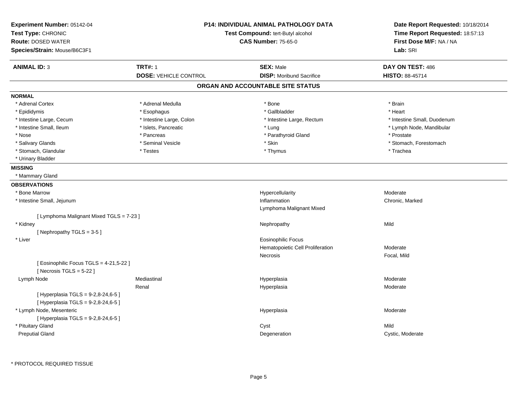| <b>P14: INDIVIDUAL ANIMAL PATHOLOGY DATA</b><br>Experiment Number: 05142-04<br>Test Type: CHRONIC<br>Test Compound: tert-Butyl alcohol<br><b>Route: DOSED WATER</b><br><b>CAS Number: 75-65-0</b><br>Species/Strain: Mouse/B6C3F1 |                                                | Date Report Requested: 10/18/2014<br>Time Report Requested: 18:57:13<br>First Dose M/F: NA / NA<br>Lab: SRI |                                     |
|-----------------------------------------------------------------------------------------------------------------------------------------------------------------------------------------------------------------------------------|------------------------------------------------|-------------------------------------------------------------------------------------------------------------|-------------------------------------|
| <b>ANIMAL ID: 3</b>                                                                                                                                                                                                               | <b>TRT#: 1</b><br><b>DOSE: VEHICLE CONTROL</b> | <b>SEX: Male</b><br><b>DISP:</b> Moribund Sacrifice                                                         | DAY ON TEST: 486<br>HISTO: 88-45714 |
|                                                                                                                                                                                                                                   |                                                | ORGAN AND ACCOUNTABLE SITE STATUS                                                                           |                                     |
| <b>NORMAL</b>                                                                                                                                                                                                                     |                                                |                                                                                                             |                                     |
| * Adrenal Cortex                                                                                                                                                                                                                  | * Adrenal Medulla                              | * Bone                                                                                                      | * Brain                             |
| * Epididymis                                                                                                                                                                                                                      | * Esophagus                                    | * Gallbladder                                                                                               | * Heart                             |
| * Intestine Large, Cecum                                                                                                                                                                                                          | * Intestine Large, Colon                       | * Intestine Large, Rectum                                                                                   | * Intestine Small, Duodenum         |
| * Intestine Small, Ileum                                                                                                                                                                                                          | * Islets, Pancreatic                           | * Lung                                                                                                      | * Lymph Node, Mandibular            |
| * Nose                                                                                                                                                                                                                            | * Pancreas                                     | * Parathyroid Gland                                                                                         | * Prostate                          |
| * Salivary Glands                                                                                                                                                                                                                 | * Seminal Vesicle                              | * Skin                                                                                                      | * Stomach, Forestomach              |
| * Stomach, Glandular                                                                                                                                                                                                              | * Testes                                       | * Thymus                                                                                                    | * Trachea                           |
| * Urinary Bladder                                                                                                                                                                                                                 |                                                |                                                                                                             |                                     |
| <b>MISSING</b>                                                                                                                                                                                                                    |                                                |                                                                                                             |                                     |
| * Mammary Gland                                                                                                                                                                                                                   |                                                |                                                                                                             |                                     |
| <b>OBSERVATIONS</b>                                                                                                                                                                                                               |                                                |                                                                                                             |                                     |
| * Bone Marrow                                                                                                                                                                                                                     |                                                | Hypercellularity                                                                                            | Moderate                            |
| * Intestine Small, Jejunum                                                                                                                                                                                                        |                                                | Inflammation                                                                                                | Chronic, Marked                     |
|                                                                                                                                                                                                                                   |                                                | Lymphoma Malignant Mixed                                                                                    |                                     |
| [ Lymphoma Malignant Mixed TGLS = 7-23 ]                                                                                                                                                                                          |                                                |                                                                                                             |                                     |
| * Kidney                                                                                                                                                                                                                          |                                                | Nephropathy                                                                                                 | Mild                                |
| [Nephropathy TGLS = 3-5]                                                                                                                                                                                                          |                                                |                                                                                                             |                                     |
| * Liver                                                                                                                                                                                                                           |                                                | <b>Eosinophilic Focus</b>                                                                                   |                                     |
|                                                                                                                                                                                                                                   |                                                | Hematopoietic Cell Proliferation                                                                            | Moderate                            |
|                                                                                                                                                                                                                                   |                                                | Necrosis                                                                                                    | Focal, Mild                         |
| [ Eosinophilic Focus TGLS = 4-21,5-22 ]<br>[Necrosis $TGLS = 5-22$ ]                                                                                                                                                              |                                                |                                                                                                             |                                     |
| Lymph Node                                                                                                                                                                                                                        | Mediastinal                                    | Hyperplasia                                                                                                 | Moderate                            |
|                                                                                                                                                                                                                                   | Renal                                          | Hyperplasia                                                                                                 | Moderate                            |
| [ Hyperplasia TGLS = 9-2,8-24,6-5 ]<br>[ Hyperplasia TGLS = 9-2,8-24,6-5 ]                                                                                                                                                        |                                                |                                                                                                             |                                     |
| * Lymph Node, Mesenteric                                                                                                                                                                                                          |                                                | Hyperplasia                                                                                                 | Moderate                            |
| [ Hyperplasia TGLS = 9-2,8-24,6-5 ]                                                                                                                                                                                               |                                                |                                                                                                             |                                     |
| * Pituitary Gland                                                                                                                                                                                                                 |                                                | Cyst                                                                                                        | Mild                                |
| <b>Preputial Gland</b>                                                                                                                                                                                                            |                                                | Degeneration                                                                                                | Cystic, Moderate                    |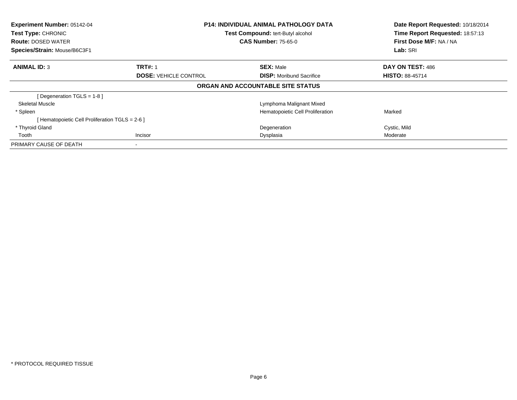| Experiment Number: 05142-04<br><b>Test Type: CHRONIC</b><br><b>Route: DOSED WATER</b> | <b>P14: INDIVIDUAL ANIMAL PATHOLOGY DATA</b><br>Test Compound: tert-Butyl alcohol<br><b>CAS Number: 75-65-0</b> |                                   | Date Report Requested: 10/18/2014<br>Time Report Requested: 18:57:13<br>First Dose M/F: NA / NA |
|---------------------------------------------------------------------------------------|-----------------------------------------------------------------------------------------------------------------|-----------------------------------|-------------------------------------------------------------------------------------------------|
| Species/Strain: Mouse/B6C3F1                                                          |                                                                                                                 |                                   | Lab: SRI                                                                                        |
| <b>ANIMAL ID: 3</b>                                                                   | <b>TRT#: 1</b>                                                                                                  | <b>SEX: Male</b>                  | DAY ON TEST: 486                                                                                |
|                                                                                       | <b>DOSE: VEHICLE CONTROL</b>                                                                                    | <b>DISP:</b> Moribund Sacrifice   | <b>HISTO: 88-45714</b>                                                                          |
|                                                                                       |                                                                                                                 | ORGAN AND ACCOUNTABLE SITE STATUS |                                                                                                 |
| [ Degeneration TGLS = $1-8$ ]                                                         |                                                                                                                 |                                   |                                                                                                 |
| Skeletal Muscle                                                                       |                                                                                                                 | Lymphoma Malignant Mixed          |                                                                                                 |
| * Spleen                                                                              |                                                                                                                 | Hematopoietic Cell Proliferation  | Marked                                                                                          |
| [ Hematopoietic Cell Proliferation TGLS = 2-6 ]                                       |                                                                                                                 |                                   |                                                                                                 |
| * Thyroid Gland                                                                       |                                                                                                                 | Degeneration                      | Cystic, Mild                                                                                    |
| Tooth                                                                                 | <b>Incisor</b>                                                                                                  | Dysplasia                         | Moderate                                                                                        |
| PRIMARY CAUSE OF DEATH                                                                |                                                                                                                 |                                   |                                                                                                 |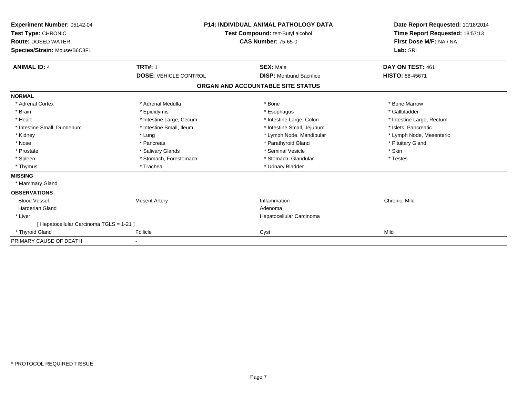| Experiment Number: 05142-04<br>Test Type: CHRONIC<br><b>Route: DOSED WATER</b><br>Species/Strain: Mouse/B6C3F1 | <b>P14: INDIVIDUAL ANIMAL PATHOLOGY DATA</b><br>Test Compound: tert-Butyl alcohol<br><b>CAS Number: 75-65-0</b> |                                   | Date Report Requested: 10/18/2014<br>Time Report Requested: 18:57:13<br>First Dose M/F: NA / NA<br>Lab: SRI |  |
|----------------------------------------------------------------------------------------------------------------|-----------------------------------------------------------------------------------------------------------------|-----------------------------------|-------------------------------------------------------------------------------------------------------------|--|
| <b>ANIMAL ID: 4</b>                                                                                            | <b>TRT#: 1</b>                                                                                                  | <b>SEX: Male</b>                  | DAY ON TEST: 461                                                                                            |  |
|                                                                                                                | <b>DOSE: VEHICLE CONTROL</b>                                                                                    | <b>DISP:</b> Moribund Sacrifice   | <b>HISTO: 88-45671</b>                                                                                      |  |
|                                                                                                                |                                                                                                                 | ORGAN AND ACCOUNTABLE SITE STATUS |                                                                                                             |  |
| <b>NORMAL</b>                                                                                                  |                                                                                                                 |                                   |                                                                                                             |  |
| * Adrenal Cortex                                                                                               | * Adrenal Medulla                                                                                               | * Bone                            | * Bone Marrow                                                                                               |  |
| * Brain                                                                                                        | * Epididymis                                                                                                    | * Esophagus                       | * Gallbladder                                                                                               |  |
| * Heart                                                                                                        | * Intestine Large, Cecum                                                                                        | * Intestine Large, Colon          | * Intestine Large, Rectum                                                                                   |  |
| * Intestine Small, Duodenum                                                                                    | * Intestine Small, Ileum                                                                                        | * Intestine Small, Jejunum        | * Islets, Pancreatic                                                                                        |  |
| * Kidney                                                                                                       | * Lung                                                                                                          | * Lymph Node, Mandibular          | * Lymph Node, Mesenteric                                                                                    |  |
| * Nose                                                                                                         | * Pancreas                                                                                                      | * Parathyroid Gland               | * Pituitary Gland                                                                                           |  |
| * Prostate                                                                                                     | * Salivary Glands                                                                                               | * Seminal Vesicle                 | * Skin                                                                                                      |  |
| * Spleen                                                                                                       | * Stomach, Forestomach                                                                                          | * Stomach, Glandular              | * Testes                                                                                                    |  |
| * Thymus                                                                                                       | * Trachea                                                                                                       | * Urinary Bladder                 |                                                                                                             |  |
| <b>MISSING</b>                                                                                                 |                                                                                                                 |                                   |                                                                                                             |  |
| * Mammary Gland                                                                                                |                                                                                                                 |                                   |                                                                                                             |  |
| <b>OBSERVATIONS</b>                                                                                            |                                                                                                                 |                                   |                                                                                                             |  |
| <b>Blood Vessel</b>                                                                                            | <b>Mesent Artery</b>                                                                                            | Inflammation                      | Chronic, Mild                                                                                               |  |
| <b>Harderian Gland</b>                                                                                         |                                                                                                                 | Adenoma                           |                                                                                                             |  |
| * Liver                                                                                                        |                                                                                                                 | Hepatocellular Carcinoma          |                                                                                                             |  |
| [ Hepatocellular Carcinoma TGLS = 1-21 ]                                                                       |                                                                                                                 |                                   |                                                                                                             |  |
| * Thyroid Gland                                                                                                | Follicle                                                                                                        | Cyst                              | Mild                                                                                                        |  |
| PRIMARY CAUSE OF DEATH                                                                                         | $\blacksquare$                                                                                                  |                                   |                                                                                                             |  |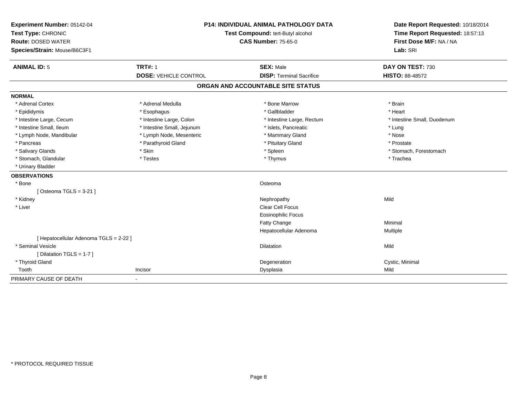| Experiment Number: 05142-04<br>Test Type: CHRONIC<br><b>Route: DOSED WATER</b> | <b>P14: INDIVIDUAL ANIMAL PATHOLOGY DATA</b><br>Test Compound: tert-Butyl alcohol<br><b>CAS Number: 75-65-0</b> |                                   | Date Report Requested: 10/18/2014<br>Time Report Requested: 18:57:13<br>First Dose M/F: NA / NA |  |
|--------------------------------------------------------------------------------|-----------------------------------------------------------------------------------------------------------------|-----------------------------------|-------------------------------------------------------------------------------------------------|--|
| Species/Strain: Mouse/B6C3F1                                                   |                                                                                                                 |                                   | Lab: SRI                                                                                        |  |
| <b>ANIMAL ID: 5</b>                                                            | <b>TRT#: 1</b>                                                                                                  | <b>SEX: Male</b>                  | DAY ON TEST: 730                                                                                |  |
|                                                                                | <b>DOSE: VEHICLE CONTROL</b>                                                                                    | <b>DISP: Terminal Sacrifice</b>   | <b>HISTO: 88-48572</b>                                                                          |  |
|                                                                                |                                                                                                                 | ORGAN AND ACCOUNTABLE SITE STATUS |                                                                                                 |  |
| <b>NORMAL</b>                                                                  |                                                                                                                 |                                   |                                                                                                 |  |
| * Adrenal Cortex                                                               | * Adrenal Medulla                                                                                               | * Bone Marrow                     | * Brain                                                                                         |  |
| * Epididymis                                                                   | * Esophagus                                                                                                     | * Gallbladder                     | * Heart                                                                                         |  |
| * Intestine Large, Cecum                                                       | * Intestine Large, Colon                                                                                        | * Intestine Large, Rectum         | * Intestine Small, Duodenum                                                                     |  |
| * Intestine Small, Ileum                                                       | * Intestine Small, Jejunum                                                                                      | * Islets, Pancreatic              | * Lung                                                                                          |  |
| * Lymph Node, Mandibular                                                       | * Lymph Node, Mesenteric                                                                                        | * Mammary Gland                   | * Nose                                                                                          |  |
| * Pancreas                                                                     | * Parathyroid Gland                                                                                             | * Pituitary Gland                 | * Prostate                                                                                      |  |
| * Salivary Glands                                                              | * Skin                                                                                                          | * Spleen                          | * Stomach, Forestomach                                                                          |  |
| * Stomach, Glandular                                                           | * Testes                                                                                                        | * Thymus                          | * Trachea                                                                                       |  |
| * Urinary Bladder                                                              |                                                                                                                 |                                   |                                                                                                 |  |
| <b>OBSERVATIONS</b>                                                            |                                                                                                                 |                                   |                                                                                                 |  |
| * Bone                                                                         |                                                                                                                 | Osteoma                           |                                                                                                 |  |
| [Osteoma TGLS = $3-21$ ]                                                       |                                                                                                                 |                                   |                                                                                                 |  |
| * Kidney                                                                       |                                                                                                                 | Nephropathy                       | Mild                                                                                            |  |
| * Liver                                                                        |                                                                                                                 | <b>Clear Cell Focus</b>           |                                                                                                 |  |
|                                                                                |                                                                                                                 | Eosinophilic Focus                |                                                                                                 |  |
|                                                                                |                                                                                                                 | Fatty Change                      | Minimal                                                                                         |  |
|                                                                                |                                                                                                                 | Hepatocellular Adenoma            | Multiple                                                                                        |  |
| [ Hepatocellular Adenoma TGLS = 2-22 ]                                         |                                                                                                                 |                                   |                                                                                                 |  |
| * Seminal Vesicle                                                              |                                                                                                                 | <b>Dilatation</b>                 | Mild                                                                                            |  |
| [ Dilatation TGLS = 1-7 ]                                                      |                                                                                                                 |                                   |                                                                                                 |  |
| * Thyroid Gland                                                                |                                                                                                                 | Degeneration                      | Cystic, Minimal                                                                                 |  |
| Tooth                                                                          | Incisor                                                                                                         | Dysplasia                         | Mild                                                                                            |  |
| PRIMARY CAUSE OF DEATH                                                         |                                                                                                                 |                                   |                                                                                                 |  |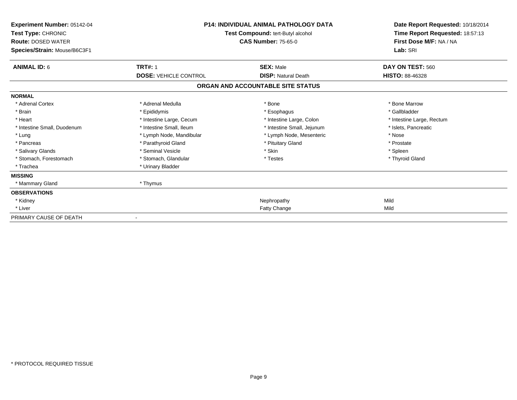| <b>Experiment Number: 05142-04</b><br>Test Type: CHRONIC<br><b>Route: DOSED WATER</b><br>Species/Strain: Mouse/B6C3F1 | <b>P14: INDIVIDUAL ANIMAL PATHOLOGY DATA</b><br>Test Compound: tert-Butyl alcohol<br><b>CAS Number: 75-65-0</b> |                                   | Date Report Requested: 10/18/2014<br>Time Report Requested: 18:57:13<br>First Dose M/F: NA / NA<br>Lab: SRI |
|-----------------------------------------------------------------------------------------------------------------------|-----------------------------------------------------------------------------------------------------------------|-----------------------------------|-------------------------------------------------------------------------------------------------------------|
| <b>ANIMAL ID: 6</b>                                                                                                   | <b>TRT#: 1</b>                                                                                                  | <b>SEX: Male</b>                  | DAY ON TEST: 560                                                                                            |
|                                                                                                                       | <b>DOSE: VEHICLE CONTROL</b>                                                                                    | <b>DISP: Natural Death</b>        | <b>HISTO: 88-46328</b>                                                                                      |
|                                                                                                                       |                                                                                                                 | ORGAN AND ACCOUNTABLE SITE STATUS |                                                                                                             |
| <b>NORMAL</b>                                                                                                         |                                                                                                                 |                                   |                                                                                                             |
| * Adrenal Cortex                                                                                                      | * Adrenal Medulla                                                                                               | * Bone                            | * Bone Marrow                                                                                               |
| * Brain                                                                                                               | * Epididymis                                                                                                    | * Esophagus                       | * Gallbladder                                                                                               |
| * Heart                                                                                                               | * Intestine Large, Cecum                                                                                        | * Intestine Large, Colon          | * Intestine Large, Rectum                                                                                   |
| * Intestine Small, Duodenum                                                                                           | * Intestine Small, Ileum                                                                                        | * Intestine Small, Jejunum        | * Islets, Pancreatic                                                                                        |
| * Lung                                                                                                                | * Lymph Node, Mandibular                                                                                        | * Lymph Node, Mesenteric          | * Nose                                                                                                      |
| * Pancreas                                                                                                            | * Parathyroid Gland                                                                                             | * Pituitary Gland                 | * Prostate                                                                                                  |
| * Salivary Glands                                                                                                     | * Seminal Vesicle                                                                                               | * Skin                            | * Spleen                                                                                                    |
| * Stomach, Forestomach                                                                                                | * Stomach, Glandular                                                                                            | * Testes                          | * Thyroid Gland                                                                                             |
| * Trachea                                                                                                             | * Urinary Bladder                                                                                               |                                   |                                                                                                             |
| <b>MISSING</b>                                                                                                        |                                                                                                                 |                                   |                                                                                                             |
| * Mammary Gland                                                                                                       | * Thymus                                                                                                        |                                   |                                                                                                             |
| <b>OBSERVATIONS</b>                                                                                                   |                                                                                                                 |                                   |                                                                                                             |
| * Kidney                                                                                                              |                                                                                                                 | Nephropathy                       | Mild                                                                                                        |
| * Liver                                                                                                               |                                                                                                                 | Fatty Change                      | Mild                                                                                                        |
| PRIMARY CAUSE OF DEATH                                                                                                |                                                                                                                 |                                   |                                                                                                             |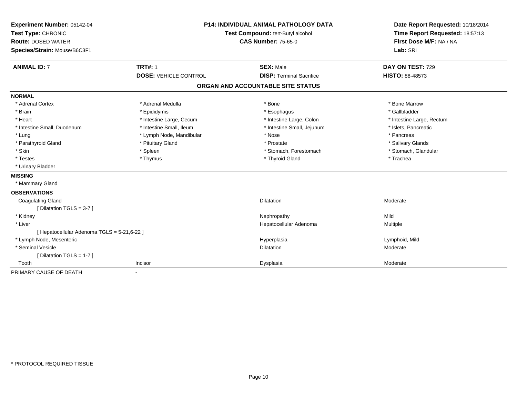| Experiment Number: 05142-04<br>Test Type: CHRONIC<br><b>Route: DOSED WATER</b><br>Species/Strain: Mouse/B6C3F1 | <b>P14: INDIVIDUAL ANIMAL PATHOLOGY DATA</b><br>Test Compound: tert-Butyl alcohol<br><b>CAS Number: 75-65-0</b> |                                   | Date Report Requested: 10/18/2014<br>Time Report Requested: 18:57:13<br>First Dose M/F: NA / NA<br>Lab: SRI |
|----------------------------------------------------------------------------------------------------------------|-----------------------------------------------------------------------------------------------------------------|-----------------------------------|-------------------------------------------------------------------------------------------------------------|
| <b>ANIMAL ID: 7</b>                                                                                            | <b>TRT#: 1</b>                                                                                                  | <b>SEX: Male</b>                  | DAY ON TEST: 729                                                                                            |
|                                                                                                                | <b>DOSE: VEHICLE CONTROL</b>                                                                                    | <b>DISP: Terminal Sacrifice</b>   | HISTO: 88-48573                                                                                             |
|                                                                                                                |                                                                                                                 | ORGAN AND ACCOUNTABLE SITE STATUS |                                                                                                             |
| <b>NORMAL</b>                                                                                                  |                                                                                                                 |                                   |                                                                                                             |
| * Adrenal Cortex                                                                                               | * Adrenal Medulla                                                                                               | * Bone                            | * Bone Marrow                                                                                               |
| * Brain                                                                                                        | * Epididymis                                                                                                    | * Esophagus                       | * Gallbladder                                                                                               |
| * Heart                                                                                                        | * Intestine Large, Cecum                                                                                        | * Intestine Large, Colon          | * Intestine Large, Rectum                                                                                   |
| * Intestine Small, Duodenum                                                                                    | * Intestine Small, Ileum                                                                                        | * Intestine Small, Jejunum        | * Islets, Pancreatic                                                                                        |
| * Lung                                                                                                         | * Lymph Node, Mandibular                                                                                        | * Nose                            | * Pancreas                                                                                                  |
| * Parathyroid Gland                                                                                            | * Pituitary Gland                                                                                               | * Prostate                        | * Salivary Glands                                                                                           |
| * Skin                                                                                                         | * Spleen                                                                                                        | * Stomach, Forestomach            | * Stomach, Glandular                                                                                        |
| * Testes                                                                                                       | * Thymus                                                                                                        | * Thyroid Gland                   | * Trachea                                                                                                   |
| * Urinary Bladder                                                                                              |                                                                                                                 |                                   |                                                                                                             |
| <b>MISSING</b>                                                                                                 |                                                                                                                 |                                   |                                                                                                             |
| * Mammary Gland                                                                                                |                                                                                                                 |                                   |                                                                                                             |
| <b>OBSERVATIONS</b>                                                                                            |                                                                                                                 |                                   |                                                                                                             |
| <b>Coagulating Gland</b>                                                                                       |                                                                                                                 | Dilatation                        | Moderate                                                                                                    |
| [ Dilatation TGLS = 3-7 ]                                                                                      |                                                                                                                 |                                   |                                                                                                             |
| * Kidney                                                                                                       |                                                                                                                 | Nephropathy                       | Mild                                                                                                        |
| * Liver                                                                                                        |                                                                                                                 | Hepatocellular Adenoma            | Multiple                                                                                                    |
| [ Hepatocellular Adenoma TGLS = 5-21,6-22 ]                                                                    |                                                                                                                 |                                   |                                                                                                             |
| * Lymph Node, Mesenteric                                                                                       |                                                                                                                 | Hyperplasia                       | Lymphoid, Mild                                                                                              |
| * Seminal Vesicle                                                                                              |                                                                                                                 | Dilatation                        | Moderate                                                                                                    |
| [Dilatation TGLS = 1-7]                                                                                        |                                                                                                                 |                                   |                                                                                                             |
| Tooth                                                                                                          | Incisor                                                                                                         | Dysplasia                         | Moderate                                                                                                    |
| PRIMARY CAUSE OF DEATH                                                                                         | $\blacksquare$                                                                                                  |                                   |                                                                                                             |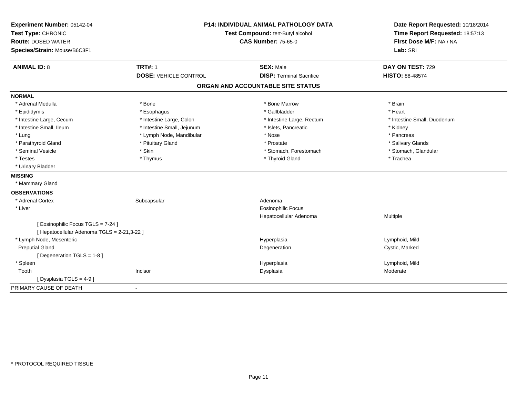| Experiment Number: 05142-04<br>Test Type: CHRONIC<br><b>Route: DOSED WATER</b><br>Species/Strain: Mouse/B6C3F1 | <b>P14: INDIVIDUAL ANIMAL PATHOLOGY DATA</b><br>Test Compound: tert-Butyl alcohol<br><b>CAS Number: 75-65-0</b> |                                                     | Date Report Requested: 10/18/2014<br>Time Report Requested: 18:57:13<br>First Dose M/F: NA / NA<br>Lab: SRI |
|----------------------------------------------------------------------------------------------------------------|-----------------------------------------------------------------------------------------------------------------|-----------------------------------------------------|-------------------------------------------------------------------------------------------------------------|
| <b>ANIMAL ID: 8</b>                                                                                            | <b>TRT#: 1</b><br><b>DOSE: VEHICLE CONTROL</b>                                                                  | <b>SEX: Male</b><br><b>DISP: Terminal Sacrifice</b> | DAY ON TEST: 729<br>HISTO: 88-48574                                                                         |
|                                                                                                                |                                                                                                                 | ORGAN AND ACCOUNTABLE SITE STATUS                   |                                                                                                             |
| <b>NORMAL</b>                                                                                                  |                                                                                                                 |                                                     |                                                                                                             |
| * Adrenal Medulla                                                                                              | * Bone                                                                                                          | * Bone Marrow                                       | * Brain                                                                                                     |
| * Epididymis                                                                                                   | * Esophagus                                                                                                     | * Gallbladder                                       | * Heart                                                                                                     |
| * Intestine Large, Cecum                                                                                       | * Intestine Large, Colon                                                                                        | * Intestine Large, Rectum                           | * Intestine Small, Duodenum                                                                                 |
| * Intestine Small, Ileum                                                                                       | * Intestine Small, Jejunum                                                                                      | * Islets, Pancreatic                                | * Kidney                                                                                                    |
| * Lung                                                                                                         | * Lymph Node, Mandibular                                                                                        | * Nose                                              | * Pancreas                                                                                                  |
| * Parathyroid Gland                                                                                            | * Pituitary Gland                                                                                               | * Prostate                                          | * Salivary Glands                                                                                           |
| * Seminal Vesicle                                                                                              | * Skin                                                                                                          | * Stomach, Forestomach                              | * Stomach, Glandular                                                                                        |
| * Testes                                                                                                       | * Thymus                                                                                                        | * Thyroid Gland                                     | * Trachea                                                                                                   |
| * Urinary Bladder                                                                                              |                                                                                                                 |                                                     |                                                                                                             |
| <b>MISSING</b>                                                                                                 |                                                                                                                 |                                                     |                                                                                                             |
| * Mammary Gland                                                                                                |                                                                                                                 |                                                     |                                                                                                             |
| <b>OBSERVATIONS</b>                                                                                            |                                                                                                                 |                                                     |                                                                                                             |
| * Adrenal Cortex                                                                                               | Subcapsular                                                                                                     | Adenoma                                             |                                                                                                             |
| * Liver                                                                                                        |                                                                                                                 | <b>Eosinophilic Focus</b>                           |                                                                                                             |
|                                                                                                                |                                                                                                                 | Hepatocellular Adenoma                              | Multiple                                                                                                    |
| [Eosinophilic Focus TGLS = 7-24]                                                                               |                                                                                                                 |                                                     |                                                                                                             |
| [ Hepatocellular Adenoma TGLS = 2-21,3-22 ]                                                                    |                                                                                                                 |                                                     |                                                                                                             |
| * Lymph Node, Mesenteric                                                                                       |                                                                                                                 | Hyperplasia                                         | Lymphoid, Mild                                                                                              |
| <b>Preputial Gland</b>                                                                                         |                                                                                                                 | Degeneration                                        | Cystic, Marked                                                                                              |
| [Degeneration TGLS = 1-8]                                                                                      |                                                                                                                 |                                                     |                                                                                                             |
| * Spleen                                                                                                       |                                                                                                                 | Hyperplasia                                         | Lymphoid, Mild                                                                                              |
| Tooth                                                                                                          | Incisor                                                                                                         | Dysplasia                                           | Moderate                                                                                                    |
| [ Dysplasia TGLS = 4-9 ]                                                                                       |                                                                                                                 |                                                     |                                                                                                             |
| PRIMARY CAUSE OF DEATH                                                                                         | $\overline{\phantom{a}}$                                                                                        |                                                     |                                                                                                             |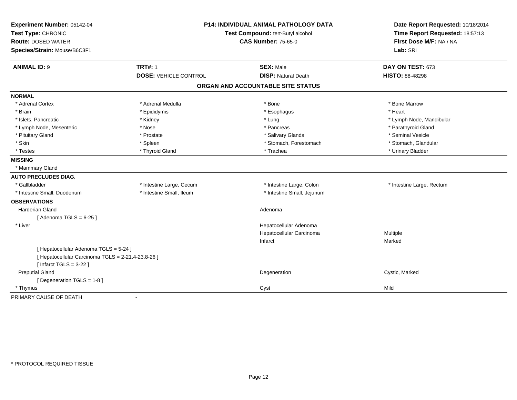| Experiment Number: 05142-04                        |                              | <b>P14: INDIVIDUAL ANIMAL PATHOLOGY DATA</b> | Date Report Requested: 10/18/2014                                      |  |
|----------------------------------------------------|------------------------------|----------------------------------------------|------------------------------------------------------------------------|--|
| Test Type: CHRONIC                                 |                              | Test Compound: tert-Butyl alcohol            | Time Report Requested: 18:57:13<br>First Dose M/F: NA / NA<br>Lab: SRI |  |
| <b>Route: DOSED WATER</b>                          |                              | <b>CAS Number: 75-65-0</b>                   |                                                                        |  |
| Species/Strain: Mouse/B6C3F1                       |                              |                                              |                                                                        |  |
| <b>ANIMAL ID: 9</b>                                | <b>TRT#: 1</b>               | <b>SEX: Male</b>                             | DAY ON TEST: 673                                                       |  |
|                                                    | <b>DOSE: VEHICLE CONTROL</b> | <b>DISP: Natural Death</b>                   | <b>HISTO: 88-48298</b>                                                 |  |
|                                                    |                              | ORGAN AND ACCOUNTABLE SITE STATUS            |                                                                        |  |
| <b>NORMAL</b>                                      |                              |                                              |                                                                        |  |
| * Adrenal Cortex                                   | * Adrenal Medulla            | * Bone                                       | * Bone Marrow                                                          |  |
| * Brain                                            | * Epididymis                 | * Esophagus                                  | * Heart                                                                |  |
| * Islets, Pancreatic                               | * Kidney                     | * Lung                                       | * Lymph Node, Mandibular                                               |  |
| * Lymph Node, Mesenteric                           | * Nose                       | * Pancreas                                   | * Parathyroid Gland                                                    |  |
| * Pituitary Gland                                  | * Prostate                   | * Salivary Glands                            | * Seminal Vesicle                                                      |  |
| * Skin                                             | * Spleen                     | * Stomach, Forestomach                       | * Stomach, Glandular                                                   |  |
| * Testes                                           | * Thyroid Gland              | * Trachea                                    | * Urinary Bladder                                                      |  |
| <b>MISSING</b>                                     |                              |                                              |                                                                        |  |
| * Mammary Gland                                    |                              |                                              |                                                                        |  |
| <b>AUTO PRECLUDES DIAG.</b>                        |                              |                                              |                                                                        |  |
| * Gallbladder                                      | * Intestine Large, Cecum     | * Intestine Large, Colon                     | * Intestine Large, Rectum                                              |  |
| * Intestine Small, Duodenum                        | * Intestine Small, Ileum     | * Intestine Small, Jejunum                   |                                                                        |  |
| <b>OBSERVATIONS</b>                                |                              |                                              |                                                                        |  |
| Harderian Gland                                    |                              | Adenoma                                      |                                                                        |  |
| [Adenoma TGLS = $6-25$ ]                           |                              |                                              |                                                                        |  |
| * Liver                                            |                              | Hepatocellular Adenoma                       |                                                                        |  |
|                                                    |                              | Hepatocellular Carcinoma                     | Multiple                                                               |  |
|                                                    |                              | Infarct                                      | Marked                                                                 |  |
| [ Hepatocellular Adenoma TGLS = 5-24 ]             |                              |                                              |                                                                        |  |
| [ Hepatocellular Carcinoma TGLS = 2-21,4-23,8-26 ] |                              |                                              |                                                                        |  |
| [Infarct TGLS = $3-22$ ]                           |                              |                                              |                                                                        |  |
| <b>Preputial Gland</b>                             |                              | Degeneration                                 | Cystic, Marked                                                         |  |
| [Degeneration TGLS = 1-8]                          |                              |                                              |                                                                        |  |
| * Thymus                                           |                              | Cyst                                         | Mild                                                                   |  |
| PRIMARY CAUSE OF DEATH                             | $\sim$                       |                                              |                                                                        |  |
|                                                    |                              |                                              |                                                                        |  |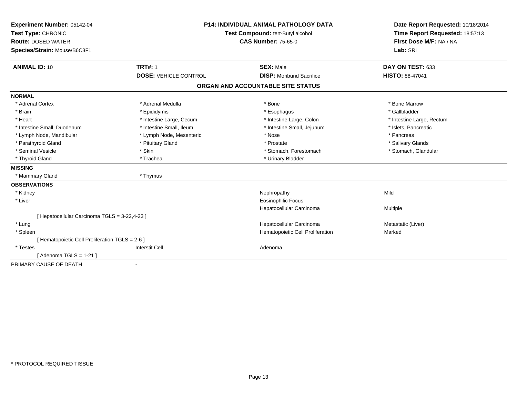| Experiment Number: 05142-04                     | <b>P14: INDIVIDUAL ANIMAL PATHOLOGY DATA</b><br>Test Compound: tert-Butyl alcohol<br><b>CAS Number: 75-65-0</b> |                                   | Date Report Requested: 10/18/2014 |  |
|-------------------------------------------------|-----------------------------------------------------------------------------------------------------------------|-----------------------------------|-----------------------------------|--|
| Test Type: CHRONIC                              |                                                                                                                 |                                   | Time Report Requested: 18:57:13   |  |
| <b>Route: DOSED WATER</b>                       |                                                                                                                 |                                   | First Dose M/F: NA / NA           |  |
| Species/Strain: Mouse/B6C3F1                    |                                                                                                                 |                                   | Lab: SRI                          |  |
| <b>ANIMAL ID: 10</b>                            | <b>TRT#: 1</b>                                                                                                  | <b>SEX: Male</b>                  | DAY ON TEST: 633                  |  |
|                                                 | <b>DOSE: VEHICLE CONTROL</b>                                                                                    | <b>DISP:</b> Moribund Sacrifice   | <b>HISTO: 88-47041</b>            |  |
|                                                 |                                                                                                                 | ORGAN AND ACCOUNTABLE SITE STATUS |                                   |  |
| <b>NORMAL</b>                                   |                                                                                                                 |                                   |                                   |  |
| * Adrenal Cortex                                | * Adrenal Medulla                                                                                               | * Bone                            | * Bone Marrow                     |  |
| * Brain                                         | * Epididymis                                                                                                    | * Esophagus                       | * Gallbladder                     |  |
| * Heart                                         | * Intestine Large, Cecum                                                                                        | * Intestine Large, Colon          | * Intestine Large, Rectum         |  |
| * Intestine Small, Duodenum                     | * Intestine Small, Ileum                                                                                        | * Intestine Small, Jejunum        | * Islets, Pancreatic              |  |
| * Lymph Node, Mandibular                        | * Lymph Node, Mesenteric                                                                                        | * Nose                            | * Pancreas                        |  |
| * Parathyroid Gland                             | * Pituitary Gland                                                                                               | * Prostate                        | * Salivary Glands                 |  |
| * Seminal Vesicle                               | * Skin                                                                                                          | * Stomach, Forestomach            | * Stomach, Glandular              |  |
| * Thyroid Gland                                 | * Trachea                                                                                                       | * Urinary Bladder                 |                                   |  |
| <b>MISSING</b>                                  |                                                                                                                 |                                   |                                   |  |
| * Mammary Gland                                 | * Thymus                                                                                                        |                                   |                                   |  |
| <b>OBSERVATIONS</b>                             |                                                                                                                 |                                   |                                   |  |
| * Kidney                                        |                                                                                                                 | Nephropathy                       | Mild                              |  |
| * Liver                                         |                                                                                                                 | <b>Eosinophilic Focus</b>         |                                   |  |
|                                                 |                                                                                                                 | Hepatocellular Carcinoma          | Multiple                          |  |
| [ Hepatocellular Carcinoma TGLS = 3-22,4-23 ]   |                                                                                                                 |                                   |                                   |  |
| * Lung                                          |                                                                                                                 | Hepatocellular Carcinoma          | Metastatic (Liver)                |  |
| * Spleen                                        |                                                                                                                 | Hematopoietic Cell Proliferation  | Marked                            |  |
| [ Hematopoietic Cell Proliferation TGLS = 2-6 ] |                                                                                                                 |                                   |                                   |  |
| * Testes                                        | <b>Interstit Cell</b>                                                                                           | Adenoma                           |                                   |  |
| [Adenoma TGLS = $1-21$ ]                        |                                                                                                                 |                                   |                                   |  |
| PRIMARY CAUSE OF DEATH                          |                                                                                                                 |                                   |                                   |  |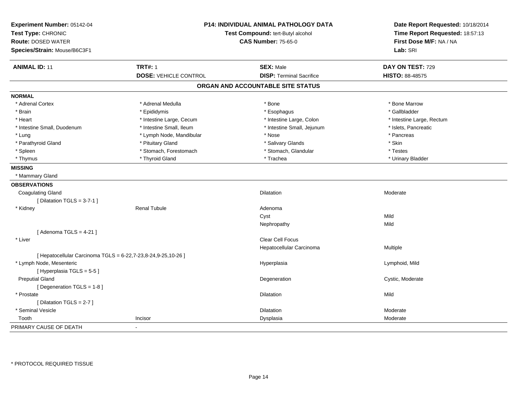| Experiment Number: 05142-04<br>Test Type: CHRONIC<br>Route: DOSED WATER<br>Species/Strain: Mouse/B6C3F1 |                              | P14: INDIVIDUAL ANIMAL PATHOLOGY DATA<br>Test Compound: tert-Butyl alcohol<br><b>CAS Number: 75-65-0</b> |                           |
|---------------------------------------------------------------------------------------------------------|------------------------------|----------------------------------------------------------------------------------------------------------|---------------------------|
| <b>ANIMAL ID: 11</b>                                                                                    | <b>TRT#: 1</b>               | <b>SEX: Male</b>                                                                                         | DAY ON TEST: 729          |
|                                                                                                         | <b>DOSE: VEHICLE CONTROL</b> | <b>DISP: Terminal Sacrifice</b>                                                                          | <b>HISTO: 88-48575</b>    |
|                                                                                                         |                              | ORGAN AND ACCOUNTABLE SITE STATUS                                                                        |                           |
| <b>NORMAL</b>                                                                                           |                              |                                                                                                          |                           |
| * Adrenal Cortex                                                                                        | * Adrenal Medulla            | * Bone                                                                                                   | * Bone Marrow             |
| * Brain                                                                                                 | * Epididymis                 | * Esophagus                                                                                              | * Gallbladder             |
| * Heart                                                                                                 | * Intestine Large, Cecum     | * Intestine Large, Colon                                                                                 | * Intestine Large, Rectum |
| * Intestine Small, Duodenum                                                                             | * Intestine Small, Ileum     | * Intestine Small, Jejunum                                                                               | * Islets, Pancreatic      |
| * Lung                                                                                                  | * Lymph Node, Mandibular     | * Nose                                                                                                   | * Pancreas                |
| * Parathyroid Gland                                                                                     | * Pituitary Gland            | * Salivary Glands                                                                                        | * Skin                    |
| * Spleen                                                                                                | * Stomach, Forestomach       | * Stomach, Glandular                                                                                     | * Testes                  |
| * Thymus                                                                                                | * Thyroid Gland              | * Trachea                                                                                                | * Urinary Bladder         |
| <b>MISSING</b>                                                                                          |                              |                                                                                                          |                           |
| * Mammary Gland                                                                                         |                              |                                                                                                          |                           |
| <b>OBSERVATIONS</b>                                                                                     |                              |                                                                                                          |                           |
| <b>Coagulating Gland</b>                                                                                |                              | Dilatation                                                                                               | Moderate                  |
| [ Dilatation TGLS = $3-7-1$ ]                                                                           |                              |                                                                                                          |                           |
| * Kidney                                                                                                | <b>Renal Tubule</b>          | Adenoma                                                                                                  |                           |
|                                                                                                         |                              | Cyst                                                                                                     | Mild                      |
|                                                                                                         |                              | Nephropathy                                                                                              | Mild                      |
| [Adenoma TGLS = $4-21$ ]                                                                                |                              |                                                                                                          |                           |
| * Liver                                                                                                 |                              | Clear Cell Focus                                                                                         |                           |
|                                                                                                         |                              | Hepatocellular Carcinoma                                                                                 | Multiple                  |
| [ Hepatocellular Carcinoma TGLS = 6-22,7-23,8-24,9-25,10-26 ]                                           |                              |                                                                                                          |                           |
| * Lymph Node, Mesenteric                                                                                |                              | Hyperplasia                                                                                              | Lymphoid, Mild            |
| [ Hyperplasia TGLS = 5-5]                                                                               |                              |                                                                                                          |                           |
| <b>Preputial Gland</b>                                                                                  |                              | Degeneration                                                                                             | Cystic, Moderate          |
| [ Degeneration TGLS = 1-8 ]                                                                             |                              |                                                                                                          |                           |
| * Prostate                                                                                              |                              | <b>Dilatation</b>                                                                                        | Mild                      |
| [Dilatation TGLS = 2-7]                                                                                 |                              |                                                                                                          |                           |
| * Seminal Vesicle                                                                                       |                              | Dilatation                                                                                               | Moderate                  |
| Tooth                                                                                                   | Incisor                      | Dysplasia                                                                                                | Moderate                  |
| PRIMARY CAUSE OF DEATH                                                                                  | $\blacksquare$               |                                                                                                          |                           |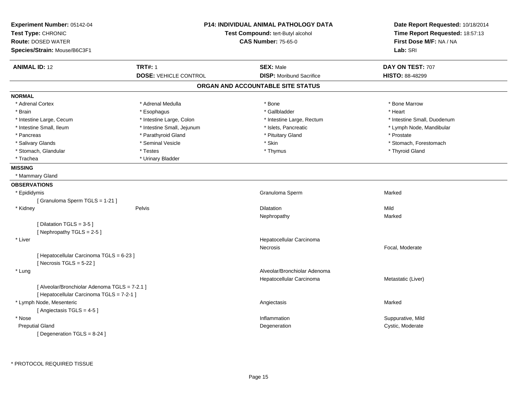| Experiment Number: 05142-04<br>Test Type: CHRONIC<br><b>Route: DOSED WATER</b><br>Species/Strain: Mouse/B6C3F1 |                              | <b>P14: INDIVIDUAL ANIMAL PATHOLOGY DATA</b><br>Test Compound: tert-Butyl alcohol<br><b>CAS Number: 75-65-0</b> | Date Report Requested: 10/18/2014<br>Time Report Requested: 18:57:13<br>First Dose M/F: NA / NA<br>Lab: SRI |
|----------------------------------------------------------------------------------------------------------------|------------------------------|-----------------------------------------------------------------------------------------------------------------|-------------------------------------------------------------------------------------------------------------|
| <b>ANIMAL ID: 12</b>                                                                                           | <b>TRT#: 1</b>               | <b>SEX: Male</b>                                                                                                | DAY ON TEST: 707                                                                                            |
|                                                                                                                | <b>DOSE: VEHICLE CONTROL</b> | <b>DISP:</b> Moribund Sacrifice                                                                                 | HISTO: 88-48299                                                                                             |
|                                                                                                                |                              | ORGAN AND ACCOUNTABLE SITE STATUS                                                                               |                                                                                                             |
| <b>NORMAL</b>                                                                                                  |                              |                                                                                                                 |                                                                                                             |
| * Adrenal Cortex                                                                                               | * Adrenal Medulla            | * Bone                                                                                                          | * Bone Marrow                                                                                               |
| * Brain                                                                                                        | * Esophagus                  | * Gallbladder                                                                                                   | * Heart                                                                                                     |
| * Intestine Large, Cecum                                                                                       | * Intestine Large, Colon     | * Intestine Large, Rectum                                                                                       | * Intestine Small, Duodenum                                                                                 |
| * Intestine Small, Ileum                                                                                       | * Intestine Small, Jejunum   | * Islets, Pancreatic                                                                                            | * Lymph Node, Mandibular                                                                                    |
| * Pancreas                                                                                                     | * Parathyroid Gland          | * Pituitary Gland                                                                                               | * Prostate                                                                                                  |
| * Salivary Glands                                                                                              | * Seminal Vesicle            | * Skin                                                                                                          | * Stomach, Forestomach                                                                                      |
| * Stomach, Glandular                                                                                           | * Testes                     | * Thymus                                                                                                        | * Thyroid Gland                                                                                             |
| * Trachea                                                                                                      | * Urinary Bladder            |                                                                                                                 |                                                                                                             |
| <b>MISSING</b>                                                                                                 |                              |                                                                                                                 |                                                                                                             |
| * Mammary Gland                                                                                                |                              |                                                                                                                 |                                                                                                             |
| <b>OBSERVATIONS</b>                                                                                            |                              |                                                                                                                 |                                                                                                             |
| * Epididymis                                                                                                   |                              | Granuloma Sperm                                                                                                 | Marked                                                                                                      |
| [Granuloma Sperm TGLS = 1-21]                                                                                  |                              |                                                                                                                 |                                                                                                             |
| * Kidney                                                                                                       | Pelvis                       | <b>Dilatation</b>                                                                                               | Mild                                                                                                        |
|                                                                                                                |                              | Nephropathy                                                                                                     | Marked                                                                                                      |
| [Dilatation TGLS = 3-5]                                                                                        |                              |                                                                                                                 |                                                                                                             |
| [Nephropathy TGLS = 2-5]                                                                                       |                              |                                                                                                                 |                                                                                                             |
| * Liver                                                                                                        |                              | Hepatocellular Carcinoma                                                                                        |                                                                                                             |
|                                                                                                                |                              | Necrosis                                                                                                        | Focal, Moderate                                                                                             |
| [ Hepatocellular Carcinoma TGLS = 6-23 ]                                                                       |                              |                                                                                                                 |                                                                                                             |
| [Necrosis $TGLS = 5-22$ ]                                                                                      |                              |                                                                                                                 |                                                                                                             |
| * Lung                                                                                                         |                              | Alveolar/Bronchiolar Adenoma                                                                                    |                                                                                                             |
|                                                                                                                |                              | Hepatocellular Carcinoma                                                                                        | Metastatic (Liver)                                                                                          |
| [ Alveolar/Bronchiolar Adenoma TGLS = 7-2.1 ]                                                                  |                              |                                                                                                                 |                                                                                                             |
| [ Hepatocellular Carcinoma TGLS = 7-2-1 ]                                                                      |                              |                                                                                                                 |                                                                                                             |
| * Lymph Node, Mesenteric                                                                                       |                              | Angiectasis                                                                                                     | Marked                                                                                                      |
| [Angiectasis TGLS = 4-5]                                                                                       |                              |                                                                                                                 |                                                                                                             |
| * Nose                                                                                                         |                              | Inflammation                                                                                                    | Suppurative, Mild                                                                                           |
| <b>Preputial Gland</b>                                                                                         |                              | Degeneration                                                                                                    | Cystic, Moderate                                                                                            |
| [Degeneration TGLS = 8-24]                                                                                     |                              |                                                                                                                 |                                                                                                             |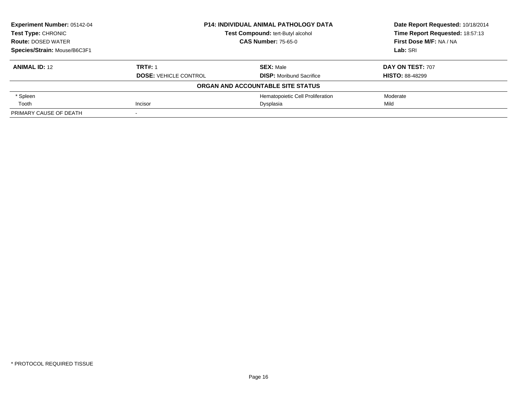| <b>Experiment Number: 05142-04</b> | <b>P14: INDIVIDUAL ANIMAL PATHOLOGY DATA</b><br>Test Compound: tert-Butyl alcohol |                                   | Date Report Requested: 10/18/2014 |
|------------------------------------|-----------------------------------------------------------------------------------|-----------------------------------|-----------------------------------|
| <b>Test Type: CHRONIC</b>          |                                                                                   |                                   | Time Report Requested: 18:57:13   |
| <b>Route: DOSED WATER</b>          |                                                                                   | <b>CAS Number: 75-65-0</b>        |                                   |
| Species/Strain: Mouse/B6C3F1       |                                                                                   | Lab: SRI                          |                                   |
| <b>ANIMAL ID: 12</b>               | <b>TRT#: 1</b>                                                                    | <b>SEX: Male</b>                  | DAY ON TEST: 707                  |
|                                    | <b>DOSE: VEHICLE CONTROL</b>                                                      | <b>DISP:</b> Moribund Sacrifice   | <b>HISTO: 88-48299</b>            |
|                                    |                                                                                   | ORGAN AND ACCOUNTABLE SITE STATUS |                                   |
| * Spleen                           |                                                                                   | Hematopoietic Cell Proliferation  | Moderate                          |
| Tooth                              | Incisor<br>Dysplasia                                                              |                                   | Mild                              |
| PRIMARY CAUSE OF DEATH             |                                                                                   |                                   |                                   |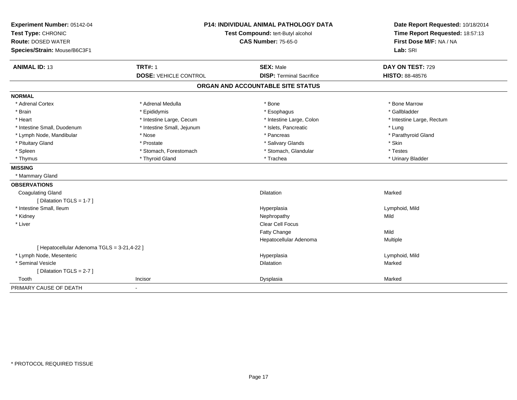| Experiment Number: 05142-04<br>Test Type: CHRONIC<br><b>Route: DOSED WATER</b><br>Species/Strain: Mouse/B6C3F1 | <b>P14: INDIVIDUAL ANIMAL PATHOLOGY DATA</b><br>Test Compound: tert-Butyl alcohol<br><b>CAS Number: 75-65-0</b> |                                                     | Date Report Requested: 10/18/2014<br>Time Report Requested: 18:57:13<br>First Dose M/F: NA / NA<br>Lab: SRI |  |
|----------------------------------------------------------------------------------------------------------------|-----------------------------------------------------------------------------------------------------------------|-----------------------------------------------------|-------------------------------------------------------------------------------------------------------------|--|
| <b>ANIMAL ID: 13</b>                                                                                           | <b>TRT#: 1</b><br><b>DOSE: VEHICLE CONTROL</b>                                                                  | <b>SEX: Male</b><br><b>DISP: Terminal Sacrifice</b> | DAY ON TEST: 729<br><b>HISTO: 88-48576</b>                                                                  |  |
|                                                                                                                |                                                                                                                 |                                                     |                                                                                                             |  |
|                                                                                                                |                                                                                                                 | ORGAN AND ACCOUNTABLE SITE STATUS                   |                                                                                                             |  |
| <b>NORMAL</b>                                                                                                  |                                                                                                                 |                                                     |                                                                                                             |  |
| * Adrenal Cortex                                                                                               | * Adrenal Medulla                                                                                               | * Bone                                              | * Bone Marrow                                                                                               |  |
| * Brain                                                                                                        | * Epididymis                                                                                                    | * Esophagus                                         | * Gallbladder                                                                                               |  |
| * Heart                                                                                                        | * Intestine Large, Cecum                                                                                        | * Intestine Large, Colon                            | * Intestine Large, Rectum                                                                                   |  |
| * Intestine Small, Duodenum                                                                                    | * Intestine Small, Jejunum                                                                                      | * Islets, Pancreatic                                | * Lung                                                                                                      |  |
| * Lymph Node, Mandibular                                                                                       | * Nose                                                                                                          | * Pancreas                                          | * Parathyroid Gland                                                                                         |  |
| * Pituitary Gland                                                                                              | * Prostate                                                                                                      | * Salivary Glands                                   | * Skin                                                                                                      |  |
| * Spleen                                                                                                       | * Stomach, Forestomach                                                                                          | * Stomach, Glandular                                | * Testes                                                                                                    |  |
| * Thymus                                                                                                       | * Thyroid Gland                                                                                                 | * Trachea                                           | * Urinary Bladder                                                                                           |  |
| <b>MISSING</b>                                                                                                 |                                                                                                                 |                                                     |                                                                                                             |  |
| * Mammary Gland                                                                                                |                                                                                                                 |                                                     |                                                                                                             |  |
| <b>OBSERVATIONS</b>                                                                                            |                                                                                                                 |                                                     |                                                                                                             |  |
| <b>Coagulating Gland</b>                                                                                       |                                                                                                                 | Dilatation                                          | Marked                                                                                                      |  |
| [ Dilatation TGLS = 1-7 ]                                                                                      |                                                                                                                 |                                                     |                                                                                                             |  |
| * Intestine Small, Ileum                                                                                       |                                                                                                                 | Hyperplasia                                         | Lymphoid, Mild                                                                                              |  |
| * Kidney                                                                                                       |                                                                                                                 | Nephropathy                                         | Mild                                                                                                        |  |
| * Liver                                                                                                        |                                                                                                                 | <b>Clear Cell Focus</b>                             |                                                                                                             |  |
|                                                                                                                |                                                                                                                 | Fatty Change                                        | Mild                                                                                                        |  |
|                                                                                                                |                                                                                                                 | Hepatocellular Adenoma                              | Multiple                                                                                                    |  |
| [ Hepatocellular Adenoma TGLS = 3-21,4-22 ]                                                                    |                                                                                                                 |                                                     |                                                                                                             |  |
| * Lymph Node, Mesenteric                                                                                       |                                                                                                                 | Hyperplasia                                         | Lymphoid, Mild                                                                                              |  |
| * Seminal Vesicle                                                                                              |                                                                                                                 | Dilatation                                          | Marked                                                                                                      |  |
| [Dilatation TGLS = 2-7]                                                                                        |                                                                                                                 |                                                     |                                                                                                             |  |
| Tooth                                                                                                          | Incisor                                                                                                         | Dysplasia                                           | Marked                                                                                                      |  |
| PRIMARY CAUSE OF DEATH                                                                                         | $\blacksquare$                                                                                                  |                                                     |                                                                                                             |  |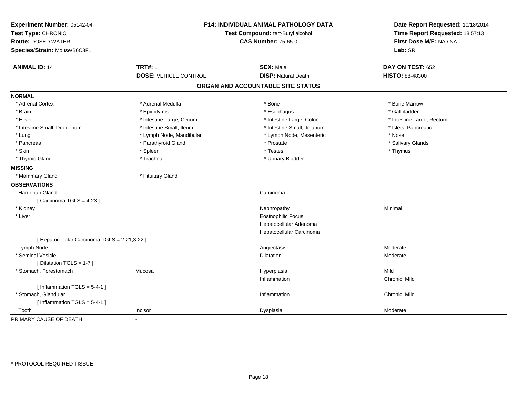| Experiment Number: 05142-04<br>Test Type: CHRONIC<br><b>Route: DOSED WATER</b><br>Species/Strain: Mouse/B6C3F1 |                              | <b>P14: INDIVIDUAL ANIMAL PATHOLOGY DATA</b><br>Test Compound: tert-Butyl alcohol<br><b>CAS Number: 75-65-0</b> | Date Report Requested: 10/18/2014<br>Time Report Requested: 18:57:13<br>First Dose M/F: NA / NA<br>Lab: SRI |  |
|----------------------------------------------------------------------------------------------------------------|------------------------------|-----------------------------------------------------------------------------------------------------------------|-------------------------------------------------------------------------------------------------------------|--|
| <b>ANIMAL ID: 14</b>                                                                                           | <b>TRT#: 1</b>               | <b>SEX: Male</b>                                                                                                | DAY ON TEST: 652                                                                                            |  |
|                                                                                                                | <b>DOSE: VEHICLE CONTROL</b> | <b>DISP: Natural Death</b>                                                                                      | HISTO: 88-48300                                                                                             |  |
|                                                                                                                |                              | ORGAN AND ACCOUNTABLE SITE STATUS                                                                               |                                                                                                             |  |
| <b>NORMAL</b>                                                                                                  |                              |                                                                                                                 |                                                                                                             |  |
| * Adrenal Cortex                                                                                               | * Adrenal Medulla            | * Bone                                                                                                          | * Bone Marrow                                                                                               |  |
| * Brain                                                                                                        | * Epididymis                 | * Esophagus                                                                                                     | * Gallbladder                                                                                               |  |
| * Heart                                                                                                        | * Intestine Large, Cecum     | * Intestine Large, Colon                                                                                        | * Intestine Large, Rectum                                                                                   |  |
| * Intestine Small, Duodenum                                                                                    | * Intestine Small, Ileum     | * Intestine Small, Jejunum                                                                                      | * Islets, Pancreatic                                                                                        |  |
| * Lung                                                                                                         | * Lymph Node, Mandibular     | * Lymph Node, Mesenteric                                                                                        | * Nose                                                                                                      |  |
| * Pancreas                                                                                                     | * Parathyroid Gland          | * Prostate                                                                                                      | * Salivary Glands                                                                                           |  |
| * Skin                                                                                                         | * Spleen                     | * Testes                                                                                                        | * Thymus                                                                                                    |  |
| * Thyroid Gland                                                                                                | * Trachea                    | * Urinary Bladder                                                                                               |                                                                                                             |  |
| <b>MISSING</b>                                                                                                 |                              |                                                                                                                 |                                                                                                             |  |
| * Mammary Gland                                                                                                | * Pituitary Gland            |                                                                                                                 |                                                                                                             |  |
| <b>OBSERVATIONS</b>                                                                                            |                              |                                                                                                                 |                                                                                                             |  |
| <b>Harderian Gland</b>                                                                                         |                              | Carcinoma                                                                                                       |                                                                                                             |  |
| [Carcinoma TGLS = 4-23]                                                                                        |                              |                                                                                                                 |                                                                                                             |  |
| * Kidney                                                                                                       |                              | Nephropathy                                                                                                     | Minimal                                                                                                     |  |
| * Liver                                                                                                        |                              | <b>Eosinophilic Focus</b>                                                                                       |                                                                                                             |  |
|                                                                                                                |                              | Hepatocellular Adenoma                                                                                          |                                                                                                             |  |
|                                                                                                                |                              | Hepatocellular Carcinoma                                                                                        |                                                                                                             |  |
| [ Hepatocellular Carcinoma TGLS = 2-21,3-22 ]                                                                  |                              |                                                                                                                 |                                                                                                             |  |
| Lymph Node                                                                                                     |                              | Angiectasis                                                                                                     | Moderate                                                                                                    |  |
| * Seminal Vesicle                                                                                              |                              | Dilatation                                                                                                      | Moderate                                                                                                    |  |
| [ Dilatation TGLS = 1-7 ]                                                                                      |                              |                                                                                                                 |                                                                                                             |  |
| * Stomach, Forestomach                                                                                         | Mucosa                       | Hyperplasia                                                                                                     | Mild                                                                                                        |  |
|                                                                                                                |                              | Inflammation                                                                                                    | Chronic, Mild                                                                                               |  |
| [Inflammation $TGLS = 5-4-1$ ]                                                                                 |                              |                                                                                                                 |                                                                                                             |  |
| * Stomach, Glandular                                                                                           |                              | Inflammation                                                                                                    | Chronic, Mild                                                                                               |  |
| [Inflammation $TGLS = 5-4-1$ ]                                                                                 |                              |                                                                                                                 |                                                                                                             |  |
| Tooth                                                                                                          | Incisor                      | Dysplasia                                                                                                       | Moderate                                                                                                    |  |
| PRIMARY CAUSE OF DEATH                                                                                         |                              |                                                                                                                 |                                                                                                             |  |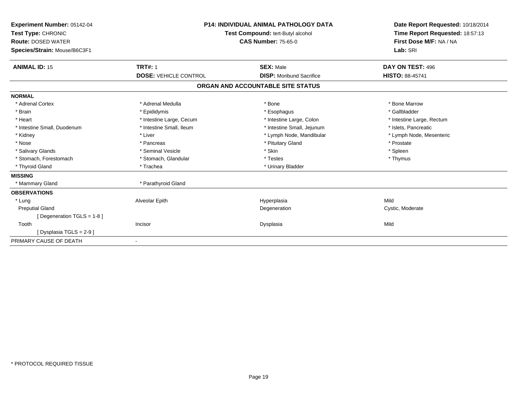| Experiment Number: 05142-04<br>Test Type: CHRONIC<br><b>Route: DOSED WATER</b><br>Species/Strain: Mouse/B6C3F1 | <b>P14: INDIVIDUAL ANIMAL PATHOLOGY DATA</b><br>Test Compound: tert-Butyl alcohol<br><b>CAS Number: 75-65-0</b> |                                   | Date Report Requested: 10/18/2014<br>Time Report Requested: 18:57:13<br>First Dose M/F: NA / NA<br>Lab: SRI |
|----------------------------------------------------------------------------------------------------------------|-----------------------------------------------------------------------------------------------------------------|-----------------------------------|-------------------------------------------------------------------------------------------------------------|
| <b>ANIMAL ID: 15</b>                                                                                           | <b>TRT#: 1</b>                                                                                                  | <b>SEX: Male</b>                  | DAY ON TEST: 496                                                                                            |
|                                                                                                                | <b>DOSE: VEHICLE CONTROL</b>                                                                                    | <b>DISP:</b> Moribund Sacrifice   | <b>HISTO: 88-45741</b>                                                                                      |
|                                                                                                                |                                                                                                                 | ORGAN AND ACCOUNTABLE SITE STATUS |                                                                                                             |
| <b>NORMAL</b>                                                                                                  |                                                                                                                 |                                   |                                                                                                             |
| * Adrenal Cortex                                                                                               | * Adrenal Medulla                                                                                               | * Bone                            | * Bone Marrow                                                                                               |
| * Brain                                                                                                        | * Epididymis                                                                                                    | * Esophagus                       | * Gallbladder                                                                                               |
| * Heart                                                                                                        | * Intestine Large, Cecum                                                                                        | * Intestine Large, Colon          | * Intestine Large, Rectum                                                                                   |
| * Intestine Small, Duodenum                                                                                    | * Intestine Small, Ileum                                                                                        | * Intestine Small, Jejunum        | * Islets, Pancreatic                                                                                        |
| * Kidney                                                                                                       | * Liver                                                                                                         | * Lymph Node, Mandibular          | * Lymph Node, Mesenteric                                                                                    |
| * Nose                                                                                                         | * Pancreas                                                                                                      | * Pituitary Gland                 | * Prostate                                                                                                  |
| * Salivary Glands                                                                                              | * Seminal Vesicle                                                                                               | * Skin                            | * Spleen                                                                                                    |
| * Stomach, Forestomach                                                                                         | * Stomach, Glandular                                                                                            | * Testes                          | * Thymus                                                                                                    |
| * Thyroid Gland                                                                                                | * Trachea                                                                                                       | * Urinary Bladder                 |                                                                                                             |
| <b>MISSING</b>                                                                                                 |                                                                                                                 |                                   |                                                                                                             |
| * Mammary Gland                                                                                                | * Parathyroid Gland                                                                                             |                                   |                                                                                                             |
| <b>OBSERVATIONS</b>                                                                                            |                                                                                                                 |                                   |                                                                                                             |
| * Lung                                                                                                         | Alveolar Epith                                                                                                  | Hyperplasia                       | Mild                                                                                                        |
| <b>Preputial Gland</b>                                                                                         |                                                                                                                 | Degeneration                      | Cystic, Moderate                                                                                            |
| [Degeneration TGLS = $1-8$ ]                                                                                   |                                                                                                                 |                                   |                                                                                                             |
| Tooth                                                                                                          | Incisor                                                                                                         | Dysplasia                         | Mild                                                                                                        |
| [Dysplasia TGLS = 2-9 ]                                                                                        |                                                                                                                 |                                   |                                                                                                             |
| PRIMARY CAUSE OF DEATH                                                                                         | $\blacksquare$                                                                                                  |                                   |                                                                                                             |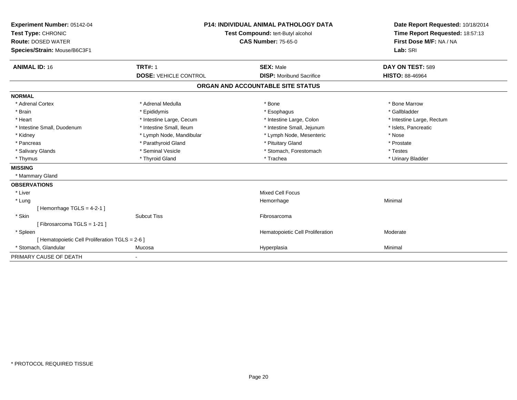| Experiment Number: 05142-04<br>Test Type: CHRONIC<br><b>Route: DOSED WATER</b><br>Species/Strain: Mouse/B6C3F1 |                              | P14: INDIVIDUAL ANIMAL PATHOLOGY DATA<br>Test Compound: tert-Butyl alcohol<br><b>CAS Number: 75-65-0</b> |                                   | Date Report Requested: 10/18/2014<br>Time Report Requested: 18:57:13<br>First Dose M/F: NA / NA<br>Lab: SRI |  |
|----------------------------------------------------------------------------------------------------------------|------------------------------|----------------------------------------------------------------------------------------------------------|-----------------------------------|-------------------------------------------------------------------------------------------------------------|--|
| <b>ANIMAL ID: 16</b>                                                                                           | <b>TRT#: 1</b>               |                                                                                                          | <b>SEX: Male</b>                  | DAY ON TEST: 589                                                                                            |  |
|                                                                                                                | <b>DOSE: VEHICLE CONTROL</b> |                                                                                                          | <b>DISP:</b> Moribund Sacrifice   | <b>HISTO: 88-46964</b>                                                                                      |  |
|                                                                                                                |                              |                                                                                                          | ORGAN AND ACCOUNTABLE SITE STATUS |                                                                                                             |  |
| <b>NORMAL</b>                                                                                                  |                              |                                                                                                          |                                   |                                                                                                             |  |
| * Adrenal Cortex                                                                                               | * Adrenal Medulla            |                                                                                                          | * Bone                            | * Bone Marrow                                                                                               |  |
| * Brain                                                                                                        | * Epididymis                 |                                                                                                          | * Esophagus                       | * Gallbladder                                                                                               |  |
| * Heart                                                                                                        | * Intestine Large, Cecum     |                                                                                                          | * Intestine Large, Colon          | * Intestine Large, Rectum                                                                                   |  |
| * Intestine Small, Duodenum                                                                                    | * Intestine Small, Ileum     |                                                                                                          | * Intestine Small, Jejunum        | * Islets, Pancreatic                                                                                        |  |
| * Kidney                                                                                                       | * Lymph Node, Mandibular     |                                                                                                          | * Lymph Node, Mesenteric          | * Nose                                                                                                      |  |
| * Pancreas                                                                                                     | * Parathyroid Gland          |                                                                                                          | * Pituitary Gland                 | * Prostate                                                                                                  |  |
| * Salivary Glands                                                                                              | * Seminal Vesicle            |                                                                                                          | * Stomach, Forestomach            | * Testes                                                                                                    |  |
| * Thymus                                                                                                       | * Thyroid Gland              |                                                                                                          | * Trachea                         | * Urinary Bladder                                                                                           |  |
| <b>MISSING</b>                                                                                                 |                              |                                                                                                          |                                   |                                                                                                             |  |
| * Mammary Gland                                                                                                |                              |                                                                                                          |                                   |                                                                                                             |  |
| <b>OBSERVATIONS</b>                                                                                            |                              |                                                                                                          |                                   |                                                                                                             |  |
| * Liver                                                                                                        |                              |                                                                                                          | <b>Mixed Cell Focus</b>           |                                                                                                             |  |
| * Lung                                                                                                         |                              |                                                                                                          | Hemorrhage                        | Minimal                                                                                                     |  |
| [Hemorrhage TGLS = $4-2-1$ ]                                                                                   |                              |                                                                                                          |                                   |                                                                                                             |  |
| * Skin                                                                                                         | <b>Subcut Tiss</b>           |                                                                                                          | Fibrosarcoma                      |                                                                                                             |  |
| [Fibrosarcoma TGLS = 1-21]                                                                                     |                              |                                                                                                          |                                   |                                                                                                             |  |
| * Spleen                                                                                                       |                              |                                                                                                          | Hematopoietic Cell Proliferation  | Moderate                                                                                                    |  |
| [ Hematopoietic Cell Proliferation TGLS = 2-6 ]                                                                |                              |                                                                                                          |                                   |                                                                                                             |  |
| * Stomach, Glandular                                                                                           | Mucosa                       |                                                                                                          | Hyperplasia                       | Minimal                                                                                                     |  |
| PRIMARY CAUSE OF DEATH                                                                                         |                              |                                                                                                          |                                   |                                                                                                             |  |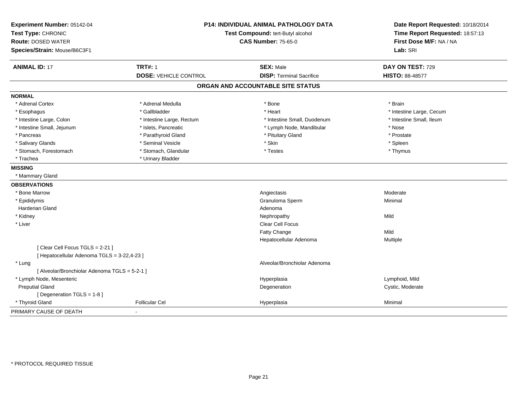| Species/Strain: Mouse/B6C3F1                  |                              | <b>P14: INDIVIDUAL ANIMAL PATHOLOGY DATA</b><br>Test Compound: tert-Butyl alcohol<br><b>CAS Number: 75-65-0</b> |                          |  |
|-----------------------------------------------|------------------------------|-----------------------------------------------------------------------------------------------------------------|--------------------------|--|
| <b>ANIMAL ID: 17</b>                          | <b>TRT#: 1</b>               | <b>SEX: Male</b>                                                                                                | DAY ON TEST: 729         |  |
|                                               | <b>DOSE: VEHICLE CONTROL</b> | <b>DISP: Terminal Sacrifice</b>                                                                                 | <b>HISTO: 88-48577</b>   |  |
|                                               |                              | ORGAN AND ACCOUNTABLE SITE STATUS                                                                               |                          |  |
| <b>NORMAL</b>                                 |                              |                                                                                                                 |                          |  |
| * Adrenal Cortex                              | * Adrenal Medulla            | * Bone                                                                                                          | * Brain                  |  |
| * Esophagus                                   | * Gallbladder                | * Heart                                                                                                         | * Intestine Large, Cecum |  |
| * Intestine Large, Colon                      | * Intestine Large, Rectum    | * Intestine Small, Duodenum                                                                                     | * Intestine Small, Ileum |  |
| * Intestine Small, Jejunum                    | * Islets, Pancreatic         | * Lymph Node, Mandibular                                                                                        | * Nose                   |  |
| * Pancreas                                    | * Parathyroid Gland          | * Pituitary Gland                                                                                               | * Prostate               |  |
| * Salivary Glands                             | * Seminal Vesicle            | * Skin                                                                                                          | * Spleen                 |  |
| * Stomach, Forestomach                        | * Stomach, Glandular         | * Testes                                                                                                        | * Thymus                 |  |
| * Trachea                                     | * Urinary Bladder            |                                                                                                                 |                          |  |
| <b>MISSING</b>                                |                              |                                                                                                                 |                          |  |
| * Mammary Gland                               |                              |                                                                                                                 |                          |  |
| <b>OBSERVATIONS</b>                           |                              |                                                                                                                 |                          |  |
| * Bone Marrow                                 |                              | Angiectasis                                                                                                     | Moderate                 |  |
| * Epididymis                                  |                              | Granuloma Sperm                                                                                                 | Minimal                  |  |
| <b>Harderian Gland</b>                        |                              | Adenoma                                                                                                         |                          |  |
| * Kidney                                      |                              | Nephropathy                                                                                                     | Mild                     |  |
| * Liver                                       |                              | <b>Clear Cell Focus</b>                                                                                         |                          |  |
|                                               |                              | Fatty Change                                                                                                    | Mild                     |  |
|                                               |                              | Hepatocellular Adenoma                                                                                          | Multiple                 |  |
| [Clear Cell Focus TGLS = 2-21]                |                              |                                                                                                                 |                          |  |
| [ Hepatocellular Adenoma TGLS = 3-22,4-23 ]   |                              |                                                                                                                 |                          |  |
| * Lung                                        |                              | Alveolar/Bronchiolar Adenoma                                                                                    |                          |  |
| [ Alveolar/Bronchiolar Adenoma TGLS = 5-2-1 ] |                              |                                                                                                                 |                          |  |
| * Lymph Node, Mesenteric                      |                              | Hyperplasia                                                                                                     | Lymphoid, Mild           |  |
| <b>Preputial Gland</b>                        |                              | Degeneration                                                                                                    | Cystic, Moderate         |  |
| [ Degeneration TGLS = 1-8 ]                   |                              |                                                                                                                 |                          |  |
| * Thyroid Gland                               | <b>Follicular Cel</b>        | Hyperplasia                                                                                                     | Minimal                  |  |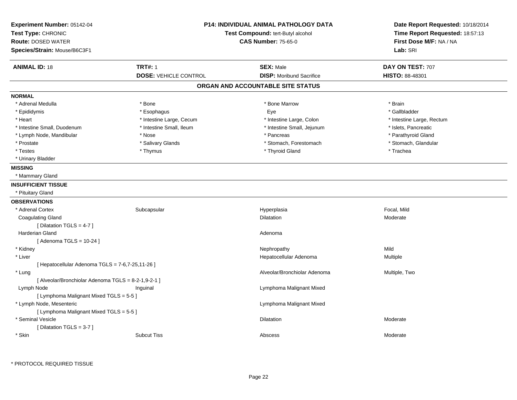| Experiment Number: 05142-04<br>Test Type: CHRONIC<br><b>Route: DOSED WATER</b><br>Species/Strain: Mouse/B6C3F1 | <b>P14: INDIVIDUAL ANIMAL PATHOLOGY DATA</b><br>Test Compound: tert-Butyl alcohol<br><b>CAS Number: 75-65-0</b> |                                   | Date Report Requested: 10/18/2014<br>Time Report Requested: 18:57:13<br>First Dose M/F: NA / NA<br>Lab: SRI |  |
|----------------------------------------------------------------------------------------------------------------|-----------------------------------------------------------------------------------------------------------------|-----------------------------------|-------------------------------------------------------------------------------------------------------------|--|
| <b>ANIMAL ID: 18</b>                                                                                           | <b>TRT#: 1</b>                                                                                                  | <b>SEX: Male</b>                  | DAY ON TEST: 707                                                                                            |  |
|                                                                                                                | <b>DOSE: VEHICLE CONTROL</b>                                                                                    | <b>DISP:</b> Moribund Sacrifice   | HISTO: 88-48301                                                                                             |  |
|                                                                                                                |                                                                                                                 | ORGAN AND ACCOUNTABLE SITE STATUS |                                                                                                             |  |
| <b>NORMAL</b>                                                                                                  |                                                                                                                 |                                   |                                                                                                             |  |
| * Adrenal Medulla                                                                                              | * Bone                                                                                                          | * Bone Marrow                     | * Brain                                                                                                     |  |
| * Epididymis                                                                                                   | * Esophagus                                                                                                     | Eye                               | * Gallbladder                                                                                               |  |
| * Heart                                                                                                        | * Intestine Large, Cecum                                                                                        | * Intestine Large, Colon          | * Intestine Large, Rectum                                                                                   |  |
| * Intestine Small, Duodenum                                                                                    | * Intestine Small, Ileum                                                                                        | * Intestine Small, Jejunum        | * Islets, Pancreatic                                                                                        |  |
| * Lymph Node, Mandibular                                                                                       | * Nose                                                                                                          | * Pancreas                        | * Parathyroid Gland                                                                                         |  |
| * Prostate                                                                                                     | * Salivary Glands                                                                                               | * Stomach, Forestomach            | * Stomach, Glandular                                                                                        |  |
| * Testes                                                                                                       | * Thymus                                                                                                        | * Thyroid Gland                   | * Trachea                                                                                                   |  |
| * Urinary Bladder                                                                                              |                                                                                                                 |                                   |                                                                                                             |  |
| <b>MISSING</b>                                                                                                 |                                                                                                                 |                                   |                                                                                                             |  |
| * Mammary Gland                                                                                                |                                                                                                                 |                                   |                                                                                                             |  |
| <b>INSUFFICIENT TISSUE</b>                                                                                     |                                                                                                                 |                                   |                                                                                                             |  |
| * Pituitary Gland                                                                                              |                                                                                                                 |                                   |                                                                                                             |  |
| <b>OBSERVATIONS</b>                                                                                            |                                                                                                                 |                                   |                                                                                                             |  |
| * Adrenal Cortex                                                                                               | Subcapsular                                                                                                     | Hyperplasia                       | Focal, Mild                                                                                                 |  |
| <b>Coagulating Gland</b>                                                                                       |                                                                                                                 | Dilatation                        | Moderate                                                                                                    |  |
| [Dilatation TGLS = 4-7]                                                                                        |                                                                                                                 |                                   |                                                                                                             |  |
| Harderian Gland                                                                                                |                                                                                                                 | Adenoma                           |                                                                                                             |  |
| [Adenoma TGLS = $10-24$ ]                                                                                      |                                                                                                                 |                                   |                                                                                                             |  |
| * Kidney                                                                                                       |                                                                                                                 | Nephropathy                       | Mild                                                                                                        |  |
| * Liver                                                                                                        |                                                                                                                 | Hepatocellular Adenoma            | Multiple                                                                                                    |  |
| [ Hepatocellular Adenoma TGLS = 7-6,7-25,11-26 ]                                                               |                                                                                                                 |                                   |                                                                                                             |  |
| * Lung                                                                                                         |                                                                                                                 | Alveolar/Bronchiolar Adenoma      | Multiple, Two                                                                                               |  |
| [ Alveolar/Bronchiolar Adenoma TGLS = 8-2-1,9-2-1 ]                                                            |                                                                                                                 |                                   |                                                                                                             |  |
| Lymph Node                                                                                                     | Inguinal                                                                                                        | Lymphoma Malignant Mixed          |                                                                                                             |  |
| [ Lymphoma Malignant Mixed TGLS = 5-5 ]                                                                        |                                                                                                                 |                                   |                                                                                                             |  |
| * Lymph Node, Mesenteric                                                                                       |                                                                                                                 | Lymphoma Malignant Mixed          |                                                                                                             |  |
| [ Lymphoma Malignant Mixed TGLS = 5-5 ]                                                                        |                                                                                                                 |                                   |                                                                                                             |  |
| * Seminal Vesicle                                                                                              |                                                                                                                 | Dilatation                        | Moderate                                                                                                    |  |
| [ Dilatation TGLS = $3-7$ ]                                                                                    |                                                                                                                 |                                   |                                                                                                             |  |
| * Skin                                                                                                         | <b>Subcut Tiss</b>                                                                                              | Abscess                           | Moderate                                                                                                    |  |

\* PROTOCOL REQUIRED TISSUE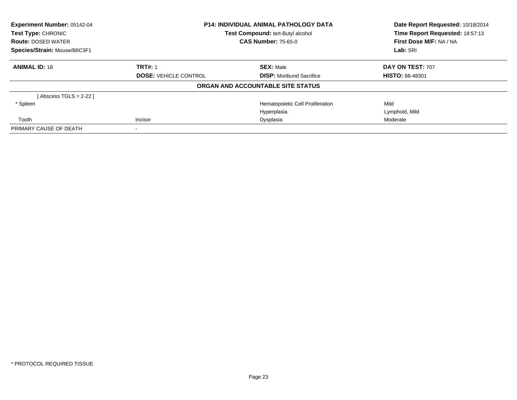| Experiment Number: 05142-04  | <b>P14: INDIVIDUAL ANIMAL PATHOLOGY DATA</b><br>Test Compound: tert-Butyl alcohol |                                   | Date Report Requested: 10/18/2014 |
|------------------------------|-----------------------------------------------------------------------------------|-----------------------------------|-----------------------------------|
| <b>Test Type: CHRONIC</b>    |                                                                                   |                                   | Time Report Requested: 18:57:13   |
| <b>Route: DOSED WATER</b>    |                                                                                   | <b>CAS Number: 75-65-0</b>        | First Dose M/F: NA / NA           |
| Species/Strain: Mouse/B6C3F1 |                                                                                   | Lab: SRI                          |                                   |
| <b>ANIMAL ID: 18</b>         | <b>TRT#: 1</b>                                                                    | <b>SEX: Male</b>                  | DAY ON TEST: 707                  |
|                              | <b>DOSE: VEHICLE CONTROL</b>                                                      | <b>DISP:</b> Moribund Sacrifice   | <b>HISTO: 88-48301</b>            |
|                              |                                                                                   | ORGAN AND ACCOUNTABLE SITE STATUS |                                   |
| [Abscess TGLS = 2-22 ]       |                                                                                   |                                   |                                   |
| * Spleen                     |                                                                                   | Hematopoietic Cell Proliferation  | Mild                              |
|                              |                                                                                   | Hyperplasia                       | Lymphoid, Mild                    |
| Tooth                        | Incisor<br>Dysplasia                                                              |                                   | Moderate                          |
| PRIMARY CAUSE OF DEATH       |                                                                                   |                                   |                                   |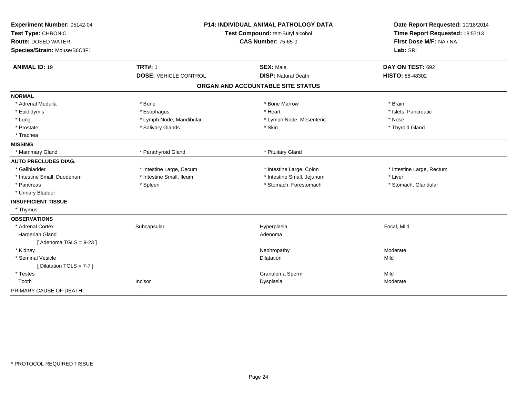| Experiment Number: 05142-04  | <b>P14: INDIVIDUAL ANIMAL PATHOLOGY DATA</b><br>Test Compound: tert-Butyl alcohol |                                   | Date Report Requested: 10/18/2014 |
|------------------------------|-----------------------------------------------------------------------------------|-----------------------------------|-----------------------------------|
| Test Type: CHRONIC           |                                                                                   |                                   | Time Report Requested: 18:57:13   |
| <b>Route: DOSED WATER</b>    |                                                                                   | <b>CAS Number: 75-65-0</b>        | First Dose M/F: NA / NA           |
| Species/Strain: Mouse/B6C3F1 |                                                                                   |                                   | Lab: SRI                          |
| <b>ANIMAL ID: 19</b>         | <b>TRT#: 1</b>                                                                    | <b>SEX: Male</b>                  | DAY ON TEST: 692                  |
|                              | <b>DOSE: VEHICLE CONTROL</b>                                                      | <b>DISP: Natural Death</b>        | HISTO: 88-48302                   |
|                              |                                                                                   | ORGAN AND ACCOUNTABLE SITE STATUS |                                   |
| <b>NORMAL</b>                |                                                                                   |                                   |                                   |
| * Adrenal Medulla            | * Bone                                                                            | * Bone Marrow                     | * Brain                           |
| * Epididymis                 | * Esophagus                                                                       | * Heart                           | * Islets, Pancreatic              |
| * Lung                       | * Lymph Node, Mandibular                                                          | * Lymph Node, Mesenteric          | * Nose                            |
| * Prostate                   | * Salivary Glands                                                                 | * Skin                            | * Thyroid Gland                   |
| * Trachea                    |                                                                                   |                                   |                                   |
| <b>MISSING</b>               |                                                                                   |                                   |                                   |
| * Mammary Gland              | * Parathyroid Gland                                                               | * Pituitary Gland                 |                                   |
| <b>AUTO PRECLUDES DIAG.</b>  |                                                                                   |                                   |                                   |
| * Gallbladder                | * Intestine Large, Cecum                                                          | * Intestine Large, Colon          | * Intestine Large, Rectum         |
| * Intestine Small, Duodenum  | * Intestine Small, Ileum                                                          | * Intestine Small, Jejunum        | * Liver                           |
| * Pancreas                   | * Spleen                                                                          | * Stomach, Forestomach            | * Stomach, Glandular              |
| * Urinary Bladder            |                                                                                   |                                   |                                   |
| <b>INSUFFICIENT TISSUE</b>   |                                                                                   |                                   |                                   |
| * Thymus                     |                                                                                   |                                   |                                   |
| <b>OBSERVATIONS</b>          |                                                                                   |                                   |                                   |
| * Adrenal Cortex             | Subcapsular                                                                       | Hyperplasia                       | Focal, Mild                       |
| <b>Harderian Gland</b>       |                                                                                   | Adenoma                           |                                   |
| [Adenoma TGLS = $9-23$ ]     |                                                                                   |                                   |                                   |
| * Kidnev                     |                                                                                   | Nephropathy                       | Moderate                          |
| * Seminal Vesicle            |                                                                                   | Dilatation                        | Mild                              |
| [ Dilatation TGLS = 7-7 ]    |                                                                                   |                                   |                                   |
| * Testes                     |                                                                                   | Granuloma Sperm                   | Mild                              |
| Tooth                        | Incisor                                                                           | Dysplasia                         | Moderate                          |
| PRIMARY CAUSE OF DEATH       | $\overline{\phantom{a}}$                                                          |                                   |                                   |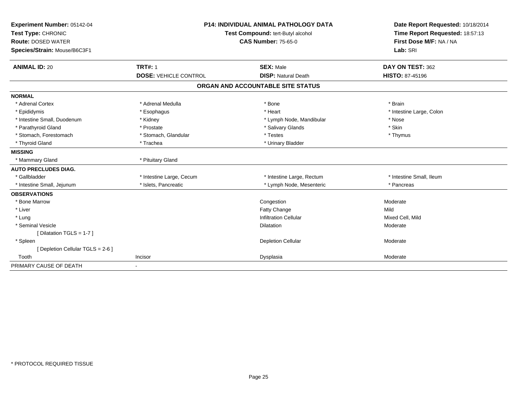| Experiment Number: 05142-04<br>Test Type: CHRONIC<br><b>Route: DOSED WATER</b><br>Species/Strain: Mouse/B6C3F1 | <b>P14: INDIVIDUAL ANIMAL PATHOLOGY DATA</b><br>Test Compound: tert-Butyl alcohol<br><b>CAS Number: 75-65-0</b> |                                                | Date Report Requested: 10/18/2014<br>Time Report Requested: 18:57:13<br>First Dose M/F: NA / NA<br>Lab: SRI |
|----------------------------------------------------------------------------------------------------------------|-----------------------------------------------------------------------------------------------------------------|------------------------------------------------|-------------------------------------------------------------------------------------------------------------|
| <b>ANIMAL ID: 20</b>                                                                                           | <b>TRT#: 1</b><br><b>DOSE: VEHICLE CONTROL</b>                                                                  | <b>SEX: Male</b><br><b>DISP: Natural Death</b> | DAY ON TEST: 362<br><b>HISTO: 87-45196</b>                                                                  |
|                                                                                                                |                                                                                                                 |                                                |                                                                                                             |
|                                                                                                                |                                                                                                                 | ORGAN AND ACCOUNTABLE SITE STATUS              |                                                                                                             |
| <b>NORMAL</b>                                                                                                  |                                                                                                                 |                                                |                                                                                                             |
| * Adrenal Cortex                                                                                               | * Adrenal Medulla                                                                                               | * Bone                                         | * Brain                                                                                                     |
| * Epididymis                                                                                                   | * Esophagus                                                                                                     | * Heart                                        | * Intestine Large, Colon                                                                                    |
| * Intestine Small, Duodenum                                                                                    | * Kidney                                                                                                        | * Lymph Node, Mandibular                       | * Nose                                                                                                      |
| * Parathyroid Gland                                                                                            | * Prostate                                                                                                      | * Salivary Glands                              | * Skin                                                                                                      |
| * Stomach, Forestomach                                                                                         | * Stomach, Glandular                                                                                            | * Testes                                       | * Thymus                                                                                                    |
| * Thyroid Gland                                                                                                | * Trachea                                                                                                       | * Urinary Bladder                              |                                                                                                             |
| <b>MISSING</b>                                                                                                 |                                                                                                                 |                                                |                                                                                                             |
| * Mammary Gland                                                                                                | * Pituitary Gland                                                                                               |                                                |                                                                                                             |
| <b>AUTO PRECLUDES DIAG.</b>                                                                                    |                                                                                                                 |                                                |                                                                                                             |
| * Gallbladder                                                                                                  | * Intestine Large, Cecum                                                                                        | * Intestine Large, Rectum                      | * Intestine Small, Ileum                                                                                    |
| * Intestine Small, Jejunum                                                                                     | * Islets, Pancreatic                                                                                            | * Lymph Node, Mesenteric                       | * Pancreas                                                                                                  |
| <b>OBSERVATIONS</b>                                                                                            |                                                                                                                 |                                                |                                                                                                             |
| * Bone Marrow                                                                                                  |                                                                                                                 | Congestion                                     | Moderate                                                                                                    |
| * Liver                                                                                                        |                                                                                                                 | Fatty Change                                   | Mild                                                                                                        |
| * Lung                                                                                                         |                                                                                                                 | <b>Infiltration Cellular</b>                   | Mixed Cell, Mild                                                                                            |
| * Seminal Vesicle                                                                                              |                                                                                                                 | <b>Dilatation</b>                              | Moderate                                                                                                    |
| [Dilatation TGLS = 1-7]                                                                                        |                                                                                                                 |                                                |                                                                                                             |
| * Spleen                                                                                                       |                                                                                                                 | <b>Depletion Cellular</b>                      | Moderate                                                                                                    |
| [ Depletion Cellular TGLS = 2-6 ]                                                                              |                                                                                                                 |                                                |                                                                                                             |
| Tooth                                                                                                          | Incisor                                                                                                         | Dysplasia                                      | Moderate                                                                                                    |
| PRIMARY CAUSE OF DEATH                                                                                         |                                                                                                                 |                                                |                                                                                                             |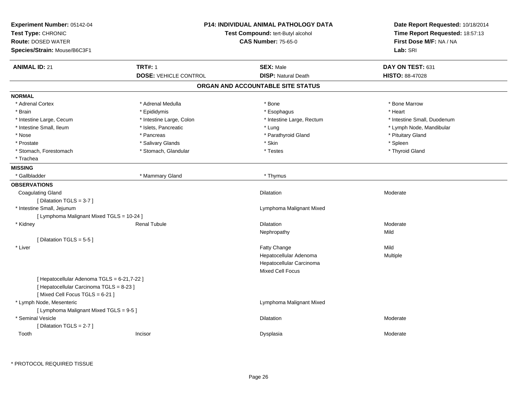| Experiment Number: 05142-04<br>Test Type: CHRONIC<br><b>Route: DOSED WATER</b><br>Species/Strain: Mouse/B6C3F1            |                              | P14: INDIVIDUAL ANIMAL PATHOLOGY DATA<br>Test Compound: tert-Butyl alcohol<br><b>CAS Number: 75-65-0</b> | Date Report Requested: 10/18/2014<br>Time Report Requested: 18:57:13<br>First Dose M/F: NA / NA<br>Lab: SRI |
|---------------------------------------------------------------------------------------------------------------------------|------------------------------|----------------------------------------------------------------------------------------------------------|-------------------------------------------------------------------------------------------------------------|
| <b>ANIMAL ID: 21</b>                                                                                                      | <b>TRT#: 1</b>               | <b>SEX: Male</b>                                                                                         | DAY ON TEST: 631                                                                                            |
|                                                                                                                           | <b>DOSE: VEHICLE CONTROL</b> | <b>DISP: Natural Death</b>                                                                               | HISTO: 88-47028                                                                                             |
|                                                                                                                           |                              | ORGAN AND ACCOUNTABLE SITE STATUS                                                                        |                                                                                                             |
| <b>NORMAL</b>                                                                                                             |                              |                                                                                                          |                                                                                                             |
| * Adrenal Cortex                                                                                                          | * Adrenal Medulla            | * Bone                                                                                                   | * Bone Marrow                                                                                               |
| * Brain                                                                                                                   | * Epididymis                 | * Esophagus                                                                                              | * Heart                                                                                                     |
| * Intestine Large, Cecum                                                                                                  | * Intestine Large, Colon     | * Intestine Large, Rectum                                                                                | * Intestine Small, Duodenum                                                                                 |
| * Intestine Small, Ileum                                                                                                  | * Islets, Pancreatic         | * Lung                                                                                                   | * Lymph Node, Mandibular                                                                                    |
| * Nose                                                                                                                    | * Pancreas                   | * Parathyroid Gland                                                                                      | * Pituitary Gland                                                                                           |
| * Prostate                                                                                                                | * Salivary Glands            | * Skin                                                                                                   | * Spleen                                                                                                    |
| * Stomach, Forestomach                                                                                                    | * Stomach, Glandular         | * Testes                                                                                                 | * Thyroid Gland                                                                                             |
| * Trachea                                                                                                                 |                              |                                                                                                          |                                                                                                             |
| <b>MISSING</b>                                                                                                            |                              |                                                                                                          |                                                                                                             |
| * Gallbladder                                                                                                             | * Mammary Gland              | * Thymus                                                                                                 |                                                                                                             |
| <b>OBSERVATIONS</b>                                                                                                       |                              |                                                                                                          |                                                                                                             |
| <b>Coagulating Gland</b>                                                                                                  |                              | Dilatation                                                                                               | Moderate                                                                                                    |
| [ Dilatation TGLS = 3-7 ]                                                                                                 |                              |                                                                                                          |                                                                                                             |
| * Intestine Small, Jejunum                                                                                                |                              | Lymphoma Malignant Mixed                                                                                 |                                                                                                             |
| [ Lymphoma Malignant Mixed TGLS = 10-24 ]                                                                                 |                              |                                                                                                          |                                                                                                             |
| * Kidney                                                                                                                  | <b>Renal Tubule</b>          | <b>Dilatation</b>                                                                                        | Moderate                                                                                                    |
|                                                                                                                           |                              | Nephropathy                                                                                              | Mild                                                                                                        |
| [Dilatation TGLS = $5-5$ ]                                                                                                |                              |                                                                                                          |                                                                                                             |
| * Liver                                                                                                                   |                              | Fatty Change                                                                                             | Mild                                                                                                        |
|                                                                                                                           |                              | Hepatocellular Adenoma                                                                                   | Multiple                                                                                                    |
|                                                                                                                           |                              | Hepatocellular Carcinoma                                                                                 |                                                                                                             |
|                                                                                                                           |                              | Mixed Cell Focus                                                                                         |                                                                                                             |
| [ Hepatocellular Adenoma TGLS = 6-21,7-22 ]<br>[ Hepatocellular Carcinoma TGLS = 8-23 ]<br>[Mixed Cell Focus TGLS = 6-21] |                              |                                                                                                          |                                                                                                             |
| * Lymph Node, Mesenteric<br>[ Lymphoma Malignant Mixed TGLS = 9-5 ]                                                       |                              | Lymphoma Malignant Mixed                                                                                 |                                                                                                             |
| * Seminal Vesicle<br>[Dilatation TGLS = 2-7]                                                                              |                              | Dilatation                                                                                               | Moderate                                                                                                    |
| Tooth                                                                                                                     | Incisor                      | Dysplasia                                                                                                | Moderate                                                                                                    |

\* PROTOCOL REQUIRED TISSUE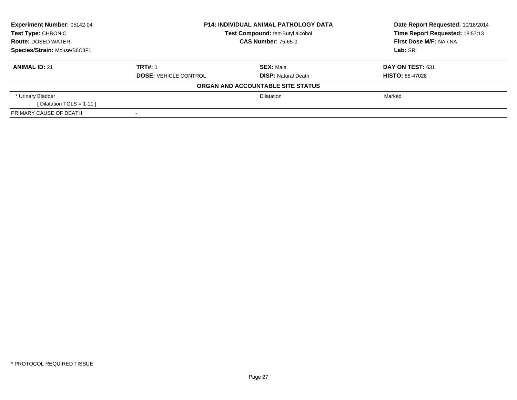| Experiment Number: 05142-04  | <b>P14: INDIVIDUAL ANIMAL PATHOLOGY DATA</b> |                                   | Date Report Requested: 10/18/2014 |  |
|------------------------------|----------------------------------------------|-----------------------------------|-----------------------------------|--|
| Test Type: CHRONIC           |                                              | Test Compound: tert-Butyl alcohol | Time Report Requested: 18:57:13   |  |
| <b>Route: DOSED WATER</b>    |                                              | <b>CAS Number: 75-65-0</b>        | First Dose M/F: NA / NA           |  |
| Species/Strain: Mouse/B6C3F1 |                                              |                                   | Lab: SRI                          |  |
| <b>ANIMAL ID: 21</b>         | <b>TRT#: 1</b>                               | <b>SEX: Male</b>                  | DAY ON TEST: 631                  |  |
|                              | <b>DOSE: VEHICLE CONTROL</b>                 | <b>DISP:</b> Natural Death        | <b>HISTO: 88-47028</b>            |  |
|                              |                                              | ORGAN AND ACCOUNTABLE SITE STATUS |                                   |  |
| * Urinary Bladder            |                                              | <b>Dilatation</b>                 | Marked                            |  |
| [Dilatation TGLS = 1-11]     |                                              |                                   |                                   |  |
| PRIMARY CAUSE OF DEATH       |                                              |                                   |                                   |  |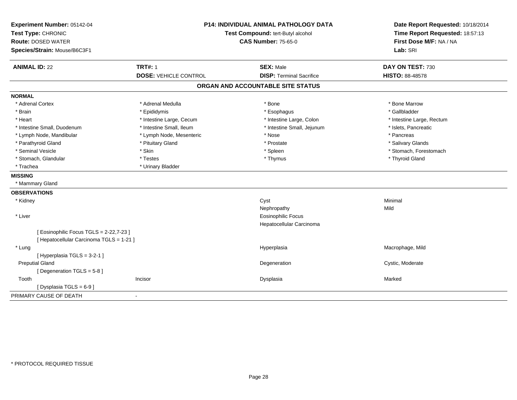| Experiment Number: 05142-04<br>Test Type: CHRONIC<br><b>Route: DOSED WATER</b><br>Species/Strain: Mouse/B6C3F1 |                                                | P14: INDIVIDUAL ANIMAL PATHOLOGY DATA<br>Test Compound: tert-Butyl alcohol<br><b>CAS Number: 75-65-0</b> | Date Report Requested: 10/18/2014<br>Time Report Requested: 18:57:13<br>First Dose M/F: NA / NA<br>Lab: SRI |
|----------------------------------------------------------------------------------------------------------------|------------------------------------------------|----------------------------------------------------------------------------------------------------------|-------------------------------------------------------------------------------------------------------------|
| <b>ANIMAL ID: 22</b>                                                                                           | <b>TRT#: 1</b><br><b>DOSE: VEHICLE CONTROL</b> | <b>SEX: Male</b><br><b>DISP: Terminal Sacrifice</b>                                                      | DAY ON TEST: 730<br>HISTO: 88-48578                                                                         |
|                                                                                                                |                                                |                                                                                                          |                                                                                                             |
|                                                                                                                |                                                | ORGAN AND ACCOUNTABLE SITE STATUS                                                                        |                                                                                                             |
| <b>NORMAL</b>                                                                                                  |                                                |                                                                                                          |                                                                                                             |
| * Adrenal Cortex                                                                                               | * Adrenal Medulla                              | * Bone                                                                                                   | * Bone Marrow                                                                                               |
| * Brain                                                                                                        | * Epididymis                                   | * Esophagus                                                                                              | * Gallbladder                                                                                               |
| * Heart                                                                                                        | * Intestine Large, Cecum                       | * Intestine Large, Colon                                                                                 | * Intestine Large, Rectum                                                                                   |
| * Intestine Small, Duodenum                                                                                    | * Intestine Small, Ileum                       | * Intestine Small, Jejunum                                                                               | * Islets, Pancreatic                                                                                        |
| * Lymph Node, Mandibular                                                                                       | * Lymph Node, Mesenteric                       | * Nose                                                                                                   | * Pancreas                                                                                                  |
| * Parathyroid Gland                                                                                            | * Pituitary Gland                              | * Prostate                                                                                               | * Salivary Glands                                                                                           |
| * Seminal Vesicle                                                                                              | * Skin                                         | * Spleen                                                                                                 | * Stomach, Forestomach                                                                                      |
| * Stomach, Glandular                                                                                           | * Testes                                       | * Thymus                                                                                                 | * Thyroid Gland                                                                                             |
| * Trachea                                                                                                      | * Urinary Bladder                              |                                                                                                          |                                                                                                             |
| <b>MISSING</b>                                                                                                 |                                                |                                                                                                          |                                                                                                             |
| * Mammary Gland                                                                                                |                                                |                                                                                                          |                                                                                                             |
| <b>OBSERVATIONS</b>                                                                                            |                                                |                                                                                                          |                                                                                                             |
| * Kidney                                                                                                       |                                                | Cyst                                                                                                     | Minimal                                                                                                     |
|                                                                                                                |                                                | Nephropathy                                                                                              | Mild                                                                                                        |
| * Liver                                                                                                        |                                                | <b>Eosinophilic Focus</b>                                                                                |                                                                                                             |
|                                                                                                                |                                                | Hepatocellular Carcinoma                                                                                 |                                                                                                             |
| [ Eosinophilic Focus TGLS = 2-22,7-23 ]                                                                        |                                                |                                                                                                          |                                                                                                             |
| [ Hepatocellular Carcinoma TGLS = 1-21 ]                                                                       |                                                |                                                                                                          |                                                                                                             |
| * Lung                                                                                                         |                                                | Hyperplasia                                                                                              | Macrophage, Mild                                                                                            |
| [Hyperplasia TGLS = 3-2-1]                                                                                     |                                                |                                                                                                          |                                                                                                             |
| <b>Preputial Gland</b>                                                                                         |                                                | Degeneration                                                                                             | Cystic, Moderate                                                                                            |
| [Degeneration TGLS = 5-8]                                                                                      |                                                |                                                                                                          |                                                                                                             |
| Tooth                                                                                                          | Incisor                                        | Dysplasia                                                                                                | Marked                                                                                                      |
| [ Dysplasia TGLS = $6-9$ ]                                                                                     |                                                |                                                                                                          |                                                                                                             |
| PRIMARY CAUSE OF DEATH                                                                                         | $\blacksquare$                                 |                                                                                                          |                                                                                                             |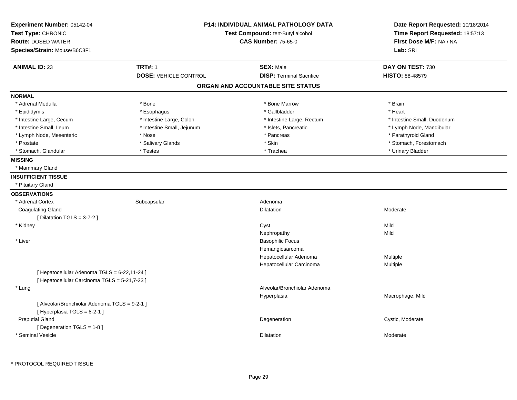| Experiment Number: 05142-04<br>Test Type: CHRONIC<br><b>Route: DOSED WATER</b><br>Species/Strain: Mouse/B6C3F1 |                                                | <b>P14: INDIVIDUAL ANIMAL PATHOLOGY DATA</b><br>Test Compound: tert-Butyl alcohol<br><b>CAS Number: 75-65-0</b> | Date Report Requested: 10/18/2014<br>Time Report Requested: 18:57:13<br>First Dose M/F: NA / NA<br>Lab: SRI |
|----------------------------------------------------------------------------------------------------------------|------------------------------------------------|-----------------------------------------------------------------------------------------------------------------|-------------------------------------------------------------------------------------------------------------|
| <b>ANIMAL ID: 23</b>                                                                                           | <b>TRT#: 1</b><br><b>DOSE: VEHICLE CONTROL</b> | <b>SEX: Male</b><br><b>DISP: Terminal Sacrifice</b>                                                             | DAY ON TEST: 730<br><b>HISTO: 88-48579</b>                                                                  |
|                                                                                                                |                                                | ORGAN AND ACCOUNTABLE SITE STATUS                                                                               |                                                                                                             |
| <b>NORMAL</b>                                                                                                  |                                                |                                                                                                                 |                                                                                                             |
| * Adrenal Medulla                                                                                              | * Bone                                         | * Bone Marrow                                                                                                   | * Brain                                                                                                     |
| * Epididymis                                                                                                   | * Esophagus                                    | * Gallbladder                                                                                                   | * Heart                                                                                                     |
| * Intestine Large, Cecum                                                                                       | * Intestine Large, Colon                       | * Intestine Large, Rectum                                                                                       | * Intestine Small, Duodenum                                                                                 |
| * Intestine Small, Ileum                                                                                       | * Intestine Small, Jejunum                     | * Islets, Pancreatic                                                                                            | * Lymph Node, Mandibular                                                                                    |
| * Lymph Node, Mesenteric                                                                                       | * Nose                                         | * Pancreas                                                                                                      | * Parathyroid Gland                                                                                         |
| * Prostate                                                                                                     | * Salivary Glands                              | $^\star$ Skin                                                                                                   | * Stomach, Forestomach                                                                                      |
| * Stomach, Glandular                                                                                           | * Testes                                       | * Trachea                                                                                                       | * Urinary Bladder                                                                                           |
| <b>MISSING</b>                                                                                                 |                                                |                                                                                                                 |                                                                                                             |
| * Mammary Gland                                                                                                |                                                |                                                                                                                 |                                                                                                             |
| <b>INSUFFICIENT TISSUE</b>                                                                                     |                                                |                                                                                                                 |                                                                                                             |
| * Pituitary Gland                                                                                              |                                                |                                                                                                                 |                                                                                                             |
| <b>OBSERVATIONS</b>                                                                                            |                                                |                                                                                                                 |                                                                                                             |
| * Adrenal Cortex                                                                                               | Subcapsular                                    | Adenoma                                                                                                         |                                                                                                             |
| <b>Coagulating Gland</b>                                                                                       |                                                | <b>Dilatation</b>                                                                                               | Moderate                                                                                                    |
| [ Dilatation TGLS = $3-7-2$ ]                                                                                  |                                                |                                                                                                                 |                                                                                                             |
| * Kidney                                                                                                       |                                                | Cyst                                                                                                            | Mild                                                                                                        |
|                                                                                                                |                                                | Nephropathy                                                                                                     | Mild                                                                                                        |
| * Liver                                                                                                        |                                                | <b>Basophilic Focus</b>                                                                                         |                                                                                                             |
|                                                                                                                |                                                | Hemangiosarcoma                                                                                                 |                                                                                                             |
|                                                                                                                |                                                | Hepatocellular Adenoma                                                                                          | Multiple                                                                                                    |
|                                                                                                                |                                                | Hepatocellular Carcinoma                                                                                        | Multiple                                                                                                    |
| [ Hepatocellular Adenoma TGLS = 6-22,11-24 ]                                                                   |                                                |                                                                                                                 |                                                                                                             |
| [ Hepatocellular Carcinoma TGLS = 5-21,7-23 ]                                                                  |                                                |                                                                                                                 |                                                                                                             |
| * Lung                                                                                                         |                                                | Alveolar/Bronchiolar Adenoma                                                                                    |                                                                                                             |
|                                                                                                                |                                                | Hyperplasia                                                                                                     | Macrophage, Mild                                                                                            |
| [ Alveolar/Bronchiolar Adenoma TGLS = 9-2-1 ]                                                                  |                                                |                                                                                                                 |                                                                                                             |
| [ Hyperplasia TGLS = 8-2-1 ]                                                                                   |                                                |                                                                                                                 |                                                                                                             |
| <b>Preputial Gland</b>                                                                                         |                                                | Degeneration                                                                                                    | Cystic, Moderate                                                                                            |
| [Degeneration TGLS = 1-8]                                                                                      |                                                |                                                                                                                 |                                                                                                             |
| * Seminal Vesicle                                                                                              |                                                | Dilatation                                                                                                      | Moderate                                                                                                    |
|                                                                                                                |                                                |                                                                                                                 |                                                                                                             |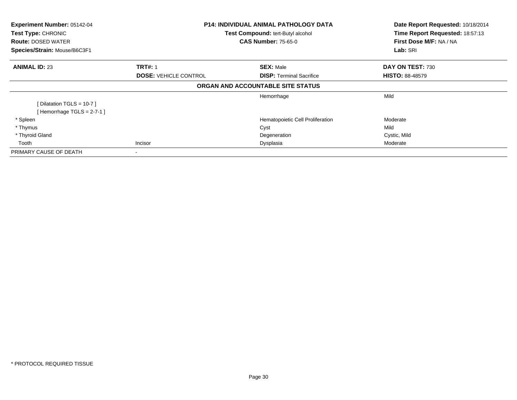| Experiment Number: 05142-04<br><b>Test Type: CHRONIC</b><br><b>Route: DOSED WATER</b><br>Species/Strain: Mouse/B6C3F1 | <b>P14: INDIVIDUAL ANIMAL PATHOLOGY DATA</b><br>Test Compound: tert-Butyl alcohol<br><b>CAS Number: 75-65-0</b> |                                                     | Date Report Requested: 10/18/2014<br>Time Report Requested: 18:57:13<br>First Dose M/F: NA / NA<br>Lab: SRI |
|-----------------------------------------------------------------------------------------------------------------------|-----------------------------------------------------------------------------------------------------------------|-----------------------------------------------------|-------------------------------------------------------------------------------------------------------------|
| <b>ANIMAL ID: 23</b>                                                                                                  | <b>TRT#: 1</b><br><b>DOSE: VEHICLE CONTROL</b>                                                                  | <b>SEX: Male</b><br><b>DISP:</b> Terminal Sacrifice | DAY ON TEST: 730<br><b>HISTO: 88-48579</b>                                                                  |
|                                                                                                                       |                                                                                                                 | ORGAN AND ACCOUNTABLE SITE STATUS                   |                                                                                                             |
| [Dilatation TGLS = $10-7$ ]                                                                                           |                                                                                                                 | Hemorrhage                                          | Mild                                                                                                        |
| [Hemorrhage TGLS = $2-7-1$ ]                                                                                          |                                                                                                                 |                                                     |                                                                                                             |
| * Spleen                                                                                                              |                                                                                                                 | Hematopoietic Cell Proliferation                    | Moderate                                                                                                    |
| * Thymus                                                                                                              |                                                                                                                 | Cyst                                                | Mild                                                                                                        |
| * Thyroid Gland                                                                                                       |                                                                                                                 | Degeneration                                        | Cystic, Mild                                                                                                |
| Tooth                                                                                                                 | Incisor                                                                                                         | Dysplasia                                           | Moderate                                                                                                    |
| PRIMARY CAUSE OF DEATH                                                                                                |                                                                                                                 |                                                     |                                                                                                             |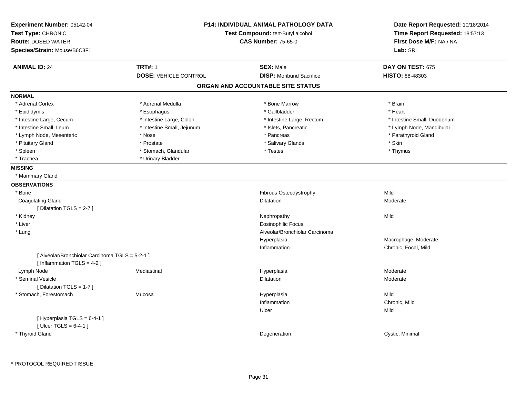| Experiment Number: 05142-04                     | <b>P14: INDIVIDUAL ANIMAL PATHOLOGY DATA</b> |                                   | Date Report Requested: 10/18/2014 |
|-------------------------------------------------|----------------------------------------------|-----------------------------------|-----------------------------------|
| Test Type: CHRONIC                              |                                              | Test Compound: tert-Butyl alcohol | Time Report Requested: 18:57:13   |
| <b>Route: DOSED WATER</b>                       |                                              | <b>CAS Number: 75-65-0</b>        | First Dose M/F: NA / NA           |
| Species/Strain: Mouse/B6C3F1                    |                                              |                                   | Lab: SRI                          |
| <b>ANIMAL ID: 24</b>                            | <b>TRT#: 1</b>                               | <b>SEX: Male</b>                  | DAY ON TEST: 675                  |
|                                                 | <b>DOSE: VEHICLE CONTROL</b>                 | <b>DISP:</b> Moribund Sacrifice   | <b>HISTO: 88-48303</b>            |
|                                                 |                                              | ORGAN AND ACCOUNTABLE SITE STATUS |                                   |
| <b>NORMAL</b>                                   |                                              |                                   |                                   |
| * Adrenal Cortex                                | * Adrenal Medulla                            | * Bone Marrow                     | * Brain                           |
| * Epididymis                                    | * Esophagus                                  | * Gallbladder                     | * Heart                           |
| * Intestine Large, Cecum                        | * Intestine Large, Colon                     | * Intestine Large, Rectum         | * Intestine Small, Duodenum       |
| * Intestine Small, Ileum                        | * Intestine Small, Jejunum                   | * Islets, Pancreatic              | * Lymph Node, Mandibular          |
| * Lymph Node, Mesenteric                        | * Nose                                       | * Pancreas                        | * Parathyroid Gland               |
| * Pituitary Gland                               | * Prostate                                   | * Salivary Glands                 | * Skin                            |
| * Spleen                                        | * Stomach, Glandular                         | * Testes                          | * Thymus                          |
| * Trachea                                       | * Urinary Bladder                            |                                   |                                   |
| <b>MISSING</b>                                  |                                              |                                   |                                   |
| * Mammary Gland                                 |                                              |                                   |                                   |
| <b>OBSERVATIONS</b>                             |                                              |                                   |                                   |
| * Bone                                          |                                              | Fibrous Osteodystrophy            | Mild                              |
| <b>Coagulating Gland</b>                        |                                              | <b>Dilatation</b>                 | Moderate                          |
| [ Dilatation TGLS = $2-7$ ]                     |                                              |                                   |                                   |
| * Kidney                                        |                                              | Nephropathy                       | Mild                              |
| * Liver                                         |                                              | <b>Eosinophilic Focus</b>         |                                   |
| * Lung                                          |                                              | Alveolar/Bronchiolar Carcinoma    |                                   |
|                                                 |                                              | Hyperplasia                       | Macrophage, Moderate              |
|                                                 |                                              | Inflammation                      | Chronic, Focal, Mild              |
| [ Alveolar/Bronchiolar Carcinoma TGLS = 5-2-1 ] |                                              |                                   |                                   |
| [Inflammation TGLS = $4-2$ ]                    |                                              |                                   |                                   |
| Lymph Node                                      | Mediastinal                                  | Hyperplasia                       | Moderate                          |
| * Seminal Vesicle                               |                                              | Dilatation                        | Moderate                          |
| [ Dilatation TGLS = 1-7 ]                       |                                              |                                   |                                   |
| * Stomach, Forestomach                          | Mucosa                                       | Hyperplasia                       | Mild                              |
|                                                 |                                              | Inflammation                      | Chronic, Mild                     |
|                                                 |                                              | Ulcer                             | Mild                              |
| [Hyperplasia TGLS = 6-4-1]                      |                                              |                                   |                                   |
|                                                 |                                              |                                   |                                   |
|                                                 |                                              |                                   |                                   |
| [ $Ulec$ TGLS = 6-4-1]<br>* Thyroid Gland       |                                              | Degeneration                      | Cystic, Minimal                   |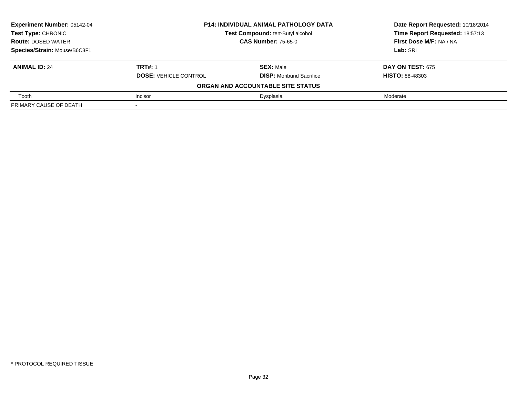| Experiment Number: 05142-04  | <b>P14: INDIVIDUAL ANIMAL PATHOLOGY DATA</b> |                                   | Date Report Requested: 10/18/2014 |  |
|------------------------------|----------------------------------------------|-----------------------------------|-----------------------------------|--|
| <b>Test Type: CHRONIC</b>    |                                              | Test Compound: tert-Butyl alcohol | Time Report Requested: 18:57:13   |  |
| <b>Route: DOSED WATER</b>    | <b>CAS Number: 75-65-0</b>                   |                                   | First Dose M/F: NA / NA           |  |
| Species/Strain: Mouse/B6C3F1 |                                              |                                   | Lab: SRI                          |  |
| <b>ANIMAL ID: 24</b>         | <b>TRT#: 1</b>                               | <b>SEX: Male</b>                  | <b>DAY ON TEST: 675</b>           |  |
|                              | <b>DOSE: VEHICLE CONTROL</b>                 | <b>DISP:</b> Moribund Sacrifice   | <b>HISTO: 88-48303</b>            |  |
|                              |                                              | ORGAN AND ACCOUNTABLE SITE STATUS |                                   |  |
| Tooth                        | Incisor                                      | Dysplasia                         | Moderate                          |  |
| PRIMARY CAUSE OF DEATH       |                                              |                                   |                                   |  |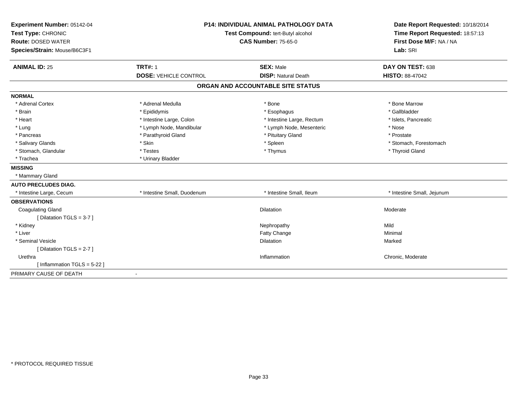| Experiment Number: 05142-04<br>Test Type: CHRONIC<br><b>Route: DOSED WATER</b><br>Species/Strain: Mouse/B6C3F1 | <b>P14: INDIVIDUAL ANIMAL PATHOLOGY DATA</b><br>Test Compound: tert-Butyl alcohol<br><b>CAS Number: 75-65-0</b> |                                   | Date Report Requested: 10/18/2014<br>Time Report Requested: 18:57:13<br>First Dose M/F: NA / NA<br>Lab: SRI |  |
|----------------------------------------------------------------------------------------------------------------|-----------------------------------------------------------------------------------------------------------------|-----------------------------------|-------------------------------------------------------------------------------------------------------------|--|
| <b>ANIMAL ID: 25</b>                                                                                           | <b>TRT#: 1</b>                                                                                                  | <b>SEX: Male</b>                  | DAY ON TEST: 638                                                                                            |  |
|                                                                                                                | <b>DOSE: VEHICLE CONTROL</b>                                                                                    | <b>DISP: Natural Death</b>        | <b>HISTO: 88-47042</b>                                                                                      |  |
|                                                                                                                |                                                                                                                 | ORGAN AND ACCOUNTABLE SITE STATUS |                                                                                                             |  |
| <b>NORMAL</b>                                                                                                  |                                                                                                                 |                                   |                                                                                                             |  |
| * Adrenal Cortex                                                                                               | * Adrenal Medulla                                                                                               | * Bone                            | * Bone Marrow                                                                                               |  |
| * Brain                                                                                                        | * Epididymis                                                                                                    | * Esophagus                       | * Gallbladder                                                                                               |  |
| * Heart                                                                                                        | * Intestine Large, Colon                                                                                        | * Intestine Large, Rectum         | * Islets, Pancreatic                                                                                        |  |
| * Lung                                                                                                         | * Lymph Node, Mandibular                                                                                        | * Lymph Node, Mesenteric          | * Nose                                                                                                      |  |
| * Pancreas                                                                                                     | * Parathyroid Gland                                                                                             | * Pituitary Gland                 | * Prostate                                                                                                  |  |
| * Salivary Glands                                                                                              | * Skin                                                                                                          | * Spleen                          | * Stomach, Forestomach                                                                                      |  |
| * Stomach, Glandular                                                                                           | * Testes                                                                                                        | * Thymus                          | * Thyroid Gland                                                                                             |  |
| * Trachea                                                                                                      | * Urinary Bladder                                                                                               |                                   |                                                                                                             |  |
| <b>MISSING</b>                                                                                                 |                                                                                                                 |                                   |                                                                                                             |  |
| * Mammary Gland                                                                                                |                                                                                                                 |                                   |                                                                                                             |  |
| <b>AUTO PRECLUDES DIAG.</b>                                                                                    |                                                                                                                 |                                   |                                                                                                             |  |
| * Intestine Large, Cecum                                                                                       | * Intestine Small, Duodenum                                                                                     | * Intestine Small, Ileum          | * Intestine Small, Jejunum                                                                                  |  |
| <b>OBSERVATIONS</b>                                                                                            |                                                                                                                 |                                   |                                                                                                             |  |
| <b>Coagulating Gland</b>                                                                                       |                                                                                                                 | Dilatation                        | Moderate                                                                                                    |  |
| [ Dilatation TGLS = 3-7 ]                                                                                      |                                                                                                                 |                                   |                                                                                                             |  |
| * Kidney                                                                                                       |                                                                                                                 | Nephropathy                       | Mild                                                                                                        |  |
| * Liver                                                                                                        |                                                                                                                 | Fatty Change                      | Minimal                                                                                                     |  |
| * Seminal Vesicle                                                                                              |                                                                                                                 | <b>Dilatation</b>                 | Marked                                                                                                      |  |
| [Dilatation TGLS = $2-7$ ]                                                                                     |                                                                                                                 |                                   |                                                                                                             |  |
| Urethra                                                                                                        |                                                                                                                 | Inflammation                      | Chronic, Moderate                                                                                           |  |
| [Inflammation TGLS = $5-22$ ]                                                                                  |                                                                                                                 |                                   |                                                                                                             |  |
| PRIMARY CAUSE OF DEATH                                                                                         |                                                                                                                 |                                   |                                                                                                             |  |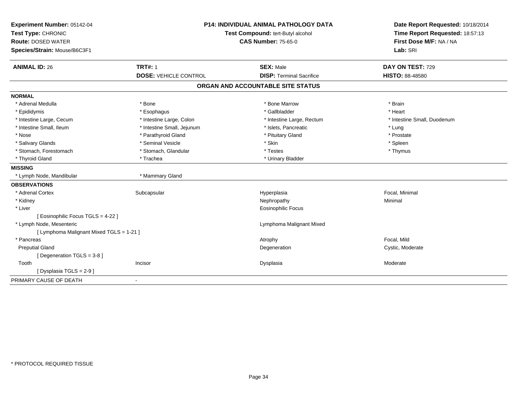| Experiment Number: 05142-04<br>Test Type: CHRONIC |                              | <b>P14: INDIVIDUAL ANIMAL PATHOLOGY DATA</b><br>Test Compound: tert-Butyl alcohol | Date Report Requested: 10/18/2014<br>Time Report Requested: 18:57:13<br>First Dose M/F: NA / NA |
|---------------------------------------------------|------------------------------|-----------------------------------------------------------------------------------|-------------------------------------------------------------------------------------------------|
| <b>Route: DOSED WATER</b>                         |                              | <b>CAS Number: 75-65-0</b>                                                        |                                                                                                 |
| Species/Strain: Mouse/B6C3F1                      |                              |                                                                                   | Lab: SRI                                                                                        |
| <b>ANIMAL ID: 26</b>                              | <b>TRT#: 1</b>               | <b>SEX: Male</b>                                                                  | DAY ON TEST: 729                                                                                |
|                                                   | <b>DOSE: VEHICLE CONTROL</b> | <b>DISP: Terminal Sacrifice</b>                                                   | <b>HISTO: 88-48580</b>                                                                          |
|                                                   |                              | ORGAN AND ACCOUNTABLE SITE STATUS                                                 |                                                                                                 |
| <b>NORMAL</b>                                     |                              |                                                                                   |                                                                                                 |
| * Adrenal Medulla                                 | * Bone                       | * Bone Marrow                                                                     | * Brain                                                                                         |
| * Epididymis                                      | * Esophagus                  | * Gallbladder                                                                     | * Heart                                                                                         |
| * Intestine Large, Cecum                          | * Intestine Large, Colon     | * Intestine Large, Rectum                                                         | * Intestine Small, Duodenum                                                                     |
| * Intestine Small, Ileum                          | * Intestine Small, Jejunum   | * Islets, Pancreatic                                                              | * Lung                                                                                          |
| * Nose                                            | * Parathyroid Gland          | * Pituitary Gland                                                                 | * Prostate                                                                                      |
| * Salivary Glands                                 | * Seminal Vesicle            | * Skin                                                                            | * Spleen                                                                                        |
| * Stomach, Forestomach                            | * Stomach, Glandular         | * Testes                                                                          | * Thymus                                                                                        |
| * Thyroid Gland                                   | * Trachea                    | * Urinary Bladder                                                                 |                                                                                                 |
| <b>MISSING</b>                                    |                              |                                                                                   |                                                                                                 |
| * Lymph Node, Mandibular                          | * Mammary Gland              |                                                                                   |                                                                                                 |
| <b>OBSERVATIONS</b>                               |                              |                                                                                   |                                                                                                 |
| * Adrenal Cortex                                  | Subcapsular                  | Hyperplasia                                                                       | Focal, Minimal                                                                                  |
| * Kidney                                          |                              | Nephropathy                                                                       | Minimal                                                                                         |
| * Liver                                           |                              | Eosinophilic Focus                                                                |                                                                                                 |
| [ Eosinophilic Focus TGLS = 4-22 ]                |                              |                                                                                   |                                                                                                 |
| * Lymph Node, Mesenteric                          |                              | Lymphoma Malignant Mixed                                                          |                                                                                                 |
| [ Lymphoma Malignant Mixed TGLS = 1-21 ]          |                              |                                                                                   |                                                                                                 |
| * Pancreas                                        |                              | Atrophy                                                                           | Focal, Mild                                                                                     |
| <b>Preputial Gland</b>                            |                              | Degeneration                                                                      | Cystic, Moderate                                                                                |
| [Degeneration TGLS = 3-8]                         |                              |                                                                                   |                                                                                                 |
| Tooth                                             | Incisor                      | Dysplasia                                                                         | Moderate                                                                                        |
| [Dysplasia TGLS = 2-9]                            |                              |                                                                                   |                                                                                                 |
| PRIMARY CAUSE OF DEATH                            |                              |                                                                                   |                                                                                                 |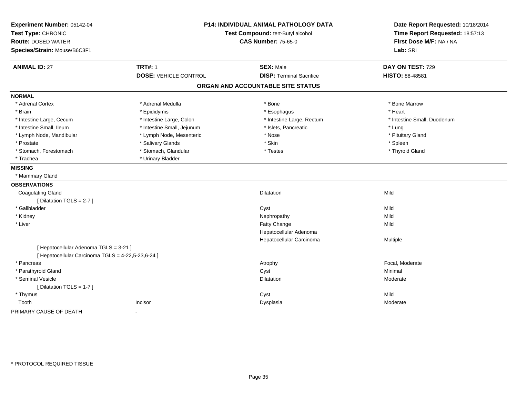| Test Type: CHRONIC<br><b>Route: DOSED WATER</b><br>Species/Strain: Mouse/B6C3F1 | <b>P14: INDIVIDUAL ANIMAL PATHOLOGY DATA</b><br>Test Compound: tert-Butyl alcohol<br><b>CAS Number: 75-65-0</b> |                                   | Date Report Requested: 10/18/2014<br>Time Report Requested: 18:57:13<br>First Dose M/F: NA / NA<br>Lab: SRI |
|---------------------------------------------------------------------------------|-----------------------------------------------------------------------------------------------------------------|-----------------------------------|-------------------------------------------------------------------------------------------------------------|
| <b>ANIMAL ID: 27</b>                                                            | <b>TRT#: 1</b>                                                                                                  | <b>SEX: Male</b>                  | DAY ON TEST: 729                                                                                            |
|                                                                                 | <b>DOSE: VEHICLE CONTROL</b>                                                                                    | <b>DISP: Terminal Sacrifice</b>   | HISTO: 88-48581                                                                                             |
|                                                                                 |                                                                                                                 | ORGAN AND ACCOUNTABLE SITE STATUS |                                                                                                             |
| <b>NORMAL</b>                                                                   |                                                                                                                 |                                   |                                                                                                             |
| * Adrenal Cortex                                                                | * Adrenal Medulla                                                                                               | * Bone                            | * Bone Marrow                                                                                               |
| * Brain                                                                         | * Epididymis                                                                                                    | * Esophagus                       | * Heart                                                                                                     |
| * Intestine Large, Cecum                                                        | * Intestine Large, Colon                                                                                        | * Intestine Large, Rectum         | * Intestine Small, Duodenum                                                                                 |
| * Intestine Small, Ileum                                                        | * Intestine Small, Jejunum                                                                                      | * Islets, Pancreatic              | * Lung                                                                                                      |
| * Lymph Node, Mandibular                                                        | * Lymph Node, Mesenteric                                                                                        | * Nose                            | * Pituitary Gland                                                                                           |
| * Prostate                                                                      | * Salivary Glands                                                                                               | * Skin                            | * Spleen                                                                                                    |
| * Stomach, Forestomach                                                          | * Stomach, Glandular                                                                                            | * Testes                          | * Thyroid Gland                                                                                             |
| * Trachea                                                                       | * Urinary Bladder                                                                                               |                                   |                                                                                                             |
| <b>MISSING</b>                                                                  |                                                                                                                 |                                   |                                                                                                             |
| * Mammary Gland                                                                 |                                                                                                                 |                                   |                                                                                                             |
| <b>OBSERVATIONS</b>                                                             |                                                                                                                 |                                   |                                                                                                             |
| <b>Coagulating Gland</b>                                                        |                                                                                                                 | <b>Dilatation</b>                 | Mild                                                                                                        |
| [ Dilatation TGLS = 2-7 ]                                                       |                                                                                                                 |                                   |                                                                                                             |
| * Gallbladder                                                                   |                                                                                                                 | Cyst                              | Mild                                                                                                        |
| * Kidney                                                                        |                                                                                                                 | Nephropathy                       | Mild                                                                                                        |
| * Liver                                                                         |                                                                                                                 | <b>Fatty Change</b>               | Mild                                                                                                        |
|                                                                                 |                                                                                                                 | Hepatocellular Adenoma            |                                                                                                             |
|                                                                                 |                                                                                                                 | Hepatocellular Carcinoma          | Multiple                                                                                                    |
| [ Hepatocellular Adenoma TGLS = 3-21 ]                                          |                                                                                                                 |                                   |                                                                                                             |
| [ Hepatocellular Carcinoma TGLS = 4-22,5-23,6-24 ]                              |                                                                                                                 |                                   |                                                                                                             |
| * Pancreas                                                                      |                                                                                                                 | Atrophy                           | Focal, Moderate                                                                                             |
| * Parathyroid Gland                                                             |                                                                                                                 | Cyst                              | Minimal                                                                                                     |
| * Seminal Vesicle                                                               |                                                                                                                 | <b>Dilatation</b>                 | Moderate                                                                                                    |
| [ Dilatation TGLS = 1-7 ]                                                       |                                                                                                                 |                                   |                                                                                                             |
| * Thymus                                                                        |                                                                                                                 | Cyst                              | Mild                                                                                                        |
| Tooth                                                                           | Incisor                                                                                                         | Dysplasia                         | Moderate                                                                                                    |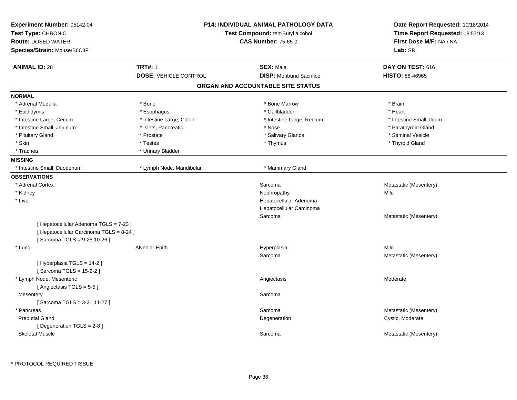| Experiment Number: 05142-04<br>Test Type: CHRONIC<br><b>Route: DOSED WATER</b><br>Species/Strain: Mouse/B6C3F1    | <b>P14: INDIVIDUAL ANIMAL PATHOLOGY DATA</b><br>Test Compound: tert-Butyl alcohol<br><b>CAS Number: 75-65-0</b> |                                                     | Date Report Requested: 10/18/2014<br>Time Report Requested: 18:57:13<br>First Dose M/F: NA / NA<br>Lab: SRI |
|-------------------------------------------------------------------------------------------------------------------|-----------------------------------------------------------------------------------------------------------------|-----------------------------------------------------|-------------------------------------------------------------------------------------------------------------|
| <b>ANIMAL ID: 28</b>                                                                                              | <b>TRT#: 1</b><br><b>DOSE: VEHICLE CONTROL</b>                                                                  | <b>SEX: Male</b><br><b>DISP:</b> Moribund Sacrifice | DAY ON TEST: 616<br><b>HISTO: 88-46965</b>                                                                  |
|                                                                                                                   |                                                                                                                 | ORGAN AND ACCOUNTABLE SITE STATUS                   |                                                                                                             |
| <b>NORMAL</b>                                                                                                     |                                                                                                                 |                                                     |                                                                                                             |
| * Adrenal Medulla                                                                                                 | * Bone                                                                                                          | * Bone Marrow                                       | * Brain                                                                                                     |
| * Epididymis                                                                                                      | * Esophagus                                                                                                     | * Gallbladder                                       | * Heart                                                                                                     |
| * Intestine Large, Cecum                                                                                          | * Intestine Large, Colon                                                                                        | * Intestine Large, Rectum                           | * Intestine Small. Ileum                                                                                    |
| * Intestine Small, Jejunum                                                                                        | * Islets, Pancreatic                                                                                            | * Nose                                              | * Parathyroid Gland                                                                                         |
| * Pituitary Gland                                                                                                 | * Prostate                                                                                                      | * Salivary Glands                                   | * Seminal Vesicle                                                                                           |
| * Skin                                                                                                            | * Testes                                                                                                        | * Thymus                                            | * Thyroid Gland                                                                                             |
| * Trachea                                                                                                         | * Urinary Bladder                                                                                               |                                                     |                                                                                                             |
| <b>MISSING</b>                                                                                                    |                                                                                                                 |                                                     |                                                                                                             |
| * Intestine Small, Duodenum                                                                                       | * Lymph Node, Mandibular                                                                                        | * Mammary Gland                                     |                                                                                                             |
| <b>OBSERVATIONS</b>                                                                                               |                                                                                                                 |                                                     |                                                                                                             |
| * Adrenal Cortex                                                                                                  |                                                                                                                 | Sarcoma                                             | Metastatic (Mesentery)                                                                                      |
| * Kidney                                                                                                          |                                                                                                                 | Nephropathy                                         | Mild                                                                                                        |
| * Liver                                                                                                           |                                                                                                                 | Hepatocellular Adenoma                              |                                                                                                             |
|                                                                                                                   |                                                                                                                 | Hepatocellular Carcinoma                            |                                                                                                             |
|                                                                                                                   |                                                                                                                 | Sarcoma                                             | Metastatic (Mesentery)                                                                                      |
| [ Hepatocellular Adenoma TGLS = 7-23 ]<br>[ Hepatocellular Carcinoma TGLS = 8-24 ]<br>[Sarcoma TGLS = 9-25,10-26] |                                                                                                                 |                                                     |                                                                                                             |
| * Lung                                                                                                            | Alveolar Epith                                                                                                  | Hyperplasia                                         | Mild                                                                                                        |
| [ Hyperplasia TGLS = 14-2 ]<br>[Sarcoma TGLS = $15-2-2$ ]                                                         |                                                                                                                 | Sarcoma                                             | Metastatic (Mesentery)                                                                                      |
| * Lymph Node, Mesenteric<br>[Angiectasis TGLS = 5-5]                                                              |                                                                                                                 | Angiectasis                                         | Moderate                                                                                                    |
| Mesentery<br>[Sarcoma TGLS = 3-21,11-27]                                                                          |                                                                                                                 | Sarcoma                                             |                                                                                                             |
| * Pancreas                                                                                                        |                                                                                                                 | Sarcoma                                             | Metastatic (Mesentery)                                                                                      |
| <b>Preputial Gland</b>                                                                                            |                                                                                                                 | Degeneration                                        | Cystic, Moderate                                                                                            |
| [ Degeneration TGLS = 2-8 ]<br><b>Skeletal Muscle</b>                                                             |                                                                                                                 | Sarcoma                                             | Metastatic (Mesentery)                                                                                      |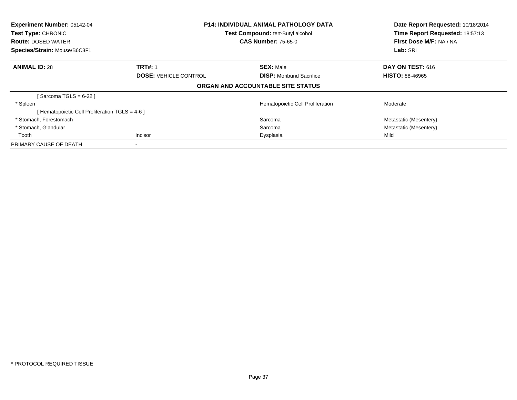| <b>Experiment Number: 05142-04</b><br><b>Test Type: CHRONIC</b><br><b>Route: DOSED WATER</b><br>Species/Strain: Mouse/B6C3F1 |                              | <b>P14: INDIVIDUAL ANIMAL PATHOLOGY DATA</b><br>Test Compound: tert-Butyl alcohol<br><b>CAS Number: 75-65-0</b> |                         |
|------------------------------------------------------------------------------------------------------------------------------|------------------------------|-----------------------------------------------------------------------------------------------------------------|-------------------------|
| <b>ANIMAL ID: 28</b>                                                                                                         | <b>TRT#: 1</b>               | <b>SEX: Male</b>                                                                                                | <b>DAY ON TEST: 616</b> |
|                                                                                                                              | <b>DOSE: VEHICLE CONTROL</b> | <b>DISP:</b> Moribund Sacrifice                                                                                 | <b>HISTO: 88-46965</b>  |
|                                                                                                                              |                              | ORGAN AND ACCOUNTABLE SITE STATUS                                                                               |                         |
| [Sarcoma TGLS = 6-22 ]                                                                                                       |                              |                                                                                                                 |                         |
| * Spleen                                                                                                                     |                              | Hematopoietic Cell Proliferation                                                                                | Moderate                |
| [ Hematopoietic Cell Proliferation TGLS = 4-6 ]                                                                              |                              |                                                                                                                 |                         |
| * Stomach, Forestomach                                                                                                       |                              | Sarcoma                                                                                                         | Metastatic (Mesentery)  |
| * Stomach, Glandular                                                                                                         |                              | Sarcoma                                                                                                         | Metastatic (Mesentery)  |
| Tooth                                                                                                                        | Incisor                      | Dysplasia                                                                                                       | Mild                    |
| PRIMARY CAUSE OF DEATH                                                                                                       |                              |                                                                                                                 |                         |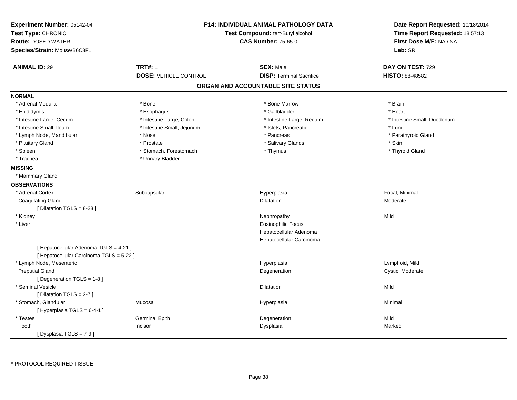| Experiment Number: 05142-04<br>Test Type: CHRONIC<br><b>Route: DOSED WATER</b><br>Species/Strain: Mouse/B6C3F1 |                              | P14: INDIVIDUAL ANIMAL PATHOLOGY DATA<br>Test Compound: tert-Butyl alcohol<br><b>CAS Number: 75-65-0</b> | Date Report Requested: 10/18/2014<br>Time Report Requested: 18:57:13<br>First Dose M/F: NA / NA<br>Lab: SRI |
|----------------------------------------------------------------------------------------------------------------|------------------------------|----------------------------------------------------------------------------------------------------------|-------------------------------------------------------------------------------------------------------------|
| <b>ANIMAL ID: 29</b>                                                                                           | <b>TRT#: 1</b>               | <b>SEX: Male</b>                                                                                         | DAY ON TEST: 729                                                                                            |
|                                                                                                                | <b>DOSE: VEHICLE CONTROL</b> | <b>DISP: Terminal Sacrifice</b>                                                                          | <b>HISTO: 88-48582</b>                                                                                      |
|                                                                                                                |                              | ORGAN AND ACCOUNTABLE SITE STATUS                                                                        |                                                                                                             |
| <b>NORMAL</b>                                                                                                  |                              |                                                                                                          |                                                                                                             |
| * Adrenal Medulla                                                                                              | * Bone                       | * Bone Marrow                                                                                            | * Brain                                                                                                     |
| * Epididymis                                                                                                   | * Esophagus                  | * Gallbladder                                                                                            | * Heart                                                                                                     |
| * Intestine Large, Cecum                                                                                       | * Intestine Large, Colon     | * Intestine Large, Rectum                                                                                | * Intestine Small, Duodenum                                                                                 |
| * Intestine Small, Ileum                                                                                       | * Intestine Small, Jejunum   | * Islets, Pancreatic                                                                                     | * Lung                                                                                                      |
| * Lymph Node, Mandibular                                                                                       | * Nose                       | * Pancreas                                                                                               | * Parathyroid Gland                                                                                         |
| * Pituitary Gland                                                                                              | * Prostate                   | * Salivary Glands                                                                                        | * Skin                                                                                                      |
| * Spleen                                                                                                       | * Stomach, Forestomach       | * Thymus                                                                                                 | * Thyroid Gland                                                                                             |
| * Trachea                                                                                                      | * Urinary Bladder            |                                                                                                          |                                                                                                             |
| <b>MISSING</b>                                                                                                 |                              |                                                                                                          |                                                                                                             |
| * Mammary Gland                                                                                                |                              |                                                                                                          |                                                                                                             |
| <b>OBSERVATIONS</b>                                                                                            |                              |                                                                                                          |                                                                                                             |
| * Adrenal Cortex                                                                                               | Subcapsular                  | Hyperplasia                                                                                              | Focal, Minimal                                                                                              |
| <b>Coagulating Gland</b>                                                                                       |                              | <b>Dilatation</b>                                                                                        | Moderate                                                                                                    |
| [ Dilatation TGLS = 8-23 ]                                                                                     |                              |                                                                                                          |                                                                                                             |
| * Kidney                                                                                                       |                              | Nephropathy                                                                                              | Mild                                                                                                        |
| * Liver                                                                                                        |                              | <b>Eosinophilic Focus</b>                                                                                |                                                                                                             |
|                                                                                                                |                              | Hepatocellular Adenoma                                                                                   |                                                                                                             |
|                                                                                                                |                              | Hepatocellular Carcinoma                                                                                 |                                                                                                             |
| [ Hepatocellular Adenoma TGLS = 4-21 ]                                                                         |                              |                                                                                                          |                                                                                                             |
| [ Hepatocellular Carcinoma TGLS = 5-22 ]                                                                       |                              |                                                                                                          |                                                                                                             |
| * Lymph Node, Mesenteric                                                                                       |                              | Hyperplasia                                                                                              | Lymphoid, Mild                                                                                              |
| <b>Preputial Gland</b>                                                                                         |                              | Degeneration                                                                                             | Cystic, Moderate                                                                                            |
| [ Degeneration TGLS = 1-8 ]                                                                                    |                              |                                                                                                          |                                                                                                             |
| * Seminal Vesicle                                                                                              |                              | <b>Dilatation</b>                                                                                        | Mild                                                                                                        |
| [ Dilatation TGLS = 2-7 ]                                                                                      |                              |                                                                                                          |                                                                                                             |
| * Stomach, Glandular                                                                                           | Mucosa                       | Hyperplasia                                                                                              | Minimal                                                                                                     |
| [ Hyperplasia TGLS = 6-4-1 ]                                                                                   |                              |                                                                                                          |                                                                                                             |
| * Testes                                                                                                       | <b>Germinal Epith</b>        | Degeneration                                                                                             | Mild                                                                                                        |
| Tooth                                                                                                          | Incisor                      | Dysplasia                                                                                                | Marked                                                                                                      |
| [Dysplasia TGLS = 7-9]                                                                                         |                              |                                                                                                          |                                                                                                             |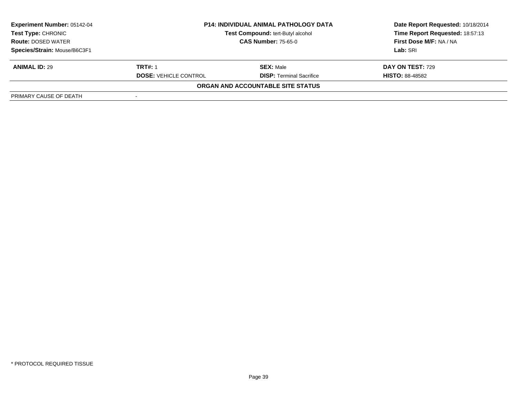| <b>Experiment Number: 05142-04</b><br>Test Type: CHRONIC<br><b>Route: DOSED WATER</b> | <b>P14: INDIVIDUAL ANIMAL PATHOLOGY DATA</b><br>Test Compound: tert-Butyl alcohol<br><b>CAS Number: 75-65-0</b> |                                   | Date Report Requested: 10/18/2014<br>Time Report Requested: 18:57:13<br>First Dose M/F: NA / NA<br>Lab: SRI |
|---------------------------------------------------------------------------------------|-----------------------------------------------------------------------------------------------------------------|-----------------------------------|-------------------------------------------------------------------------------------------------------------|
| Species/Strain: Mouse/B6C3F1                                                          |                                                                                                                 |                                   |                                                                                                             |
|                                                                                       |                                                                                                                 |                                   |                                                                                                             |
| <b>ANIMAL ID: 29</b>                                                                  | <b>TRT#: 1</b>                                                                                                  | <b>SEX: Male</b>                  | <b>DAY ON TEST: 729</b>                                                                                     |
|                                                                                       | <b>DOSE: VEHICLE CONTROL</b>                                                                                    | <b>DISP: Terminal Sacrifice</b>   | <b>HISTO: 88-48582</b>                                                                                      |
|                                                                                       |                                                                                                                 | ORGAN AND ACCOUNTABLE SITE STATUS |                                                                                                             |
| PRIMARY CAUSE OF DEATH                                                                |                                                                                                                 |                                   |                                                                                                             |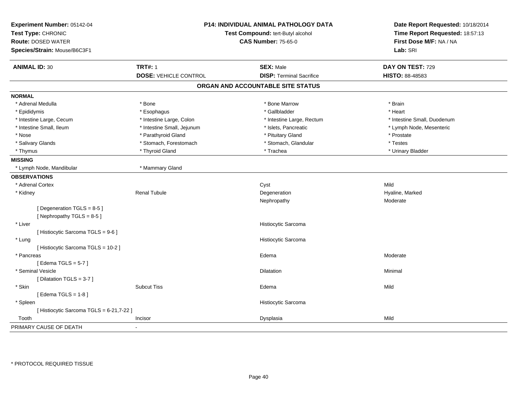| Experiment Number: 05142-04<br>Test Type: CHRONIC<br><b>Route: DOSED WATER</b><br>Species/Strain: Mouse/B6C3F1 | P14: INDIVIDUAL ANIMAL PATHOLOGY DATA<br>Test Compound: tert-Butyl alcohol<br><b>CAS Number: 75-65-0</b> |  | Date Report Requested: 10/18/2014<br>Time Report Requested: 18:57:13<br>First Dose M/F: NA / NA<br>Lab: SRI |                             |
|----------------------------------------------------------------------------------------------------------------|----------------------------------------------------------------------------------------------------------|--|-------------------------------------------------------------------------------------------------------------|-----------------------------|
| <b>ANIMAL ID: 30</b>                                                                                           | <b>TRT#: 1</b>                                                                                           |  | <b>SEX: Male</b>                                                                                            | DAY ON TEST: 729            |
|                                                                                                                | <b>DOSE: VEHICLE CONTROL</b>                                                                             |  | <b>DISP: Terminal Sacrifice</b>                                                                             | HISTO: 88-48583             |
|                                                                                                                |                                                                                                          |  | ORGAN AND ACCOUNTABLE SITE STATUS                                                                           |                             |
| <b>NORMAL</b>                                                                                                  |                                                                                                          |  |                                                                                                             |                             |
| * Adrenal Medulla                                                                                              | * Bone                                                                                                   |  | * Bone Marrow                                                                                               | * Brain                     |
| * Epididymis                                                                                                   | * Esophagus                                                                                              |  | * Gallbladder                                                                                               | * Heart                     |
| * Intestine Large, Cecum                                                                                       | * Intestine Large, Colon                                                                                 |  | * Intestine Large, Rectum                                                                                   | * Intestine Small, Duodenum |
| * Intestine Small, Ileum                                                                                       | * Intestine Small, Jejunum                                                                               |  | * Islets, Pancreatic                                                                                        | * Lymph Node, Mesenteric    |
| * Nose                                                                                                         | * Parathyroid Gland                                                                                      |  | * Pituitary Gland                                                                                           | * Prostate                  |
| * Salivary Glands                                                                                              | * Stomach, Forestomach                                                                                   |  | * Stomach, Glandular                                                                                        | * Testes                    |
| * Thymus                                                                                                       | * Thyroid Gland                                                                                          |  | * Trachea                                                                                                   | * Urinary Bladder           |
| <b>MISSING</b>                                                                                                 |                                                                                                          |  |                                                                                                             |                             |
| * Lymph Node, Mandibular                                                                                       | * Mammary Gland                                                                                          |  |                                                                                                             |                             |
| <b>OBSERVATIONS</b>                                                                                            |                                                                                                          |  |                                                                                                             |                             |
| * Adrenal Cortex                                                                                               |                                                                                                          |  | Cyst                                                                                                        | Mild                        |
| * Kidney                                                                                                       | <b>Renal Tubule</b>                                                                                      |  | Degeneration                                                                                                | Hyaline, Marked             |
|                                                                                                                |                                                                                                          |  | Nephropathy                                                                                                 | Moderate                    |
| [Degeneration TGLS = 8-5]                                                                                      |                                                                                                          |  |                                                                                                             |                             |
| [Nephropathy TGLS = $8-5$ ]                                                                                    |                                                                                                          |  |                                                                                                             |                             |
| * Liver                                                                                                        |                                                                                                          |  | Histiocytic Sarcoma                                                                                         |                             |
| [ Histiocytic Sarcoma TGLS = 9-6 ]                                                                             |                                                                                                          |  |                                                                                                             |                             |
| * Lung                                                                                                         |                                                                                                          |  | Histiocytic Sarcoma                                                                                         |                             |
| [Histiocytic Sarcoma TGLS = 10-2]                                                                              |                                                                                                          |  |                                                                                                             |                             |
| * Pancreas                                                                                                     |                                                                                                          |  | Edema                                                                                                       | Moderate                    |
| [Edema TGLS = $5-7$ ]                                                                                          |                                                                                                          |  |                                                                                                             |                             |
| * Seminal Vesicle                                                                                              |                                                                                                          |  | Dilatation                                                                                                  | Minimal                     |
| [ Dilatation TGLS = 3-7 ]                                                                                      |                                                                                                          |  |                                                                                                             |                             |
| * Skin                                                                                                         | <b>Subcut Tiss</b>                                                                                       |  | Edema                                                                                                       | Mild                        |
| [Edema TGLS = $1-8$ ]                                                                                          |                                                                                                          |  |                                                                                                             |                             |
| * Spleen                                                                                                       |                                                                                                          |  | Histiocytic Sarcoma                                                                                         |                             |
| [ Histiocytic Sarcoma TGLS = 6-21,7-22 ]                                                                       |                                                                                                          |  |                                                                                                             |                             |
| Tooth                                                                                                          | Incisor                                                                                                  |  | Dysplasia                                                                                                   | Mild                        |
| PRIMARY CAUSE OF DEATH                                                                                         | $\overline{\phantom{a}}$                                                                                 |  |                                                                                                             |                             |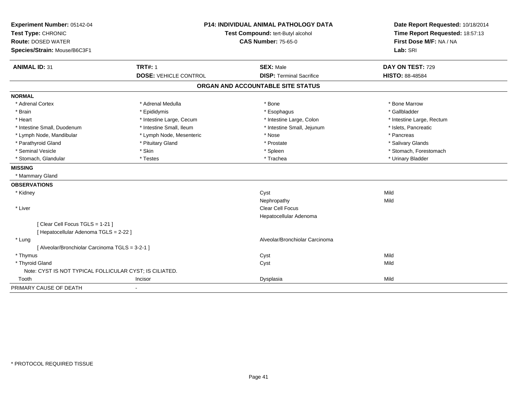| Experiment Number: 05142-04<br>Test Type: CHRONIC<br><b>Route: DOSED WATER</b><br>Species/Strain: Mouse/B6C3F1 |                                                | <b>P14: INDIVIDUAL ANIMAL PATHOLOGY DATA</b><br>Test Compound: tert-Butyl alcohol<br><b>CAS Number: 75-65-0</b> |                                            |
|----------------------------------------------------------------------------------------------------------------|------------------------------------------------|-----------------------------------------------------------------------------------------------------------------|--------------------------------------------|
| <b>ANIMAL ID: 31</b>                                                                                           | <b>TRT#: 1</b><br><b>DOSE: VEHICLE CONTROL</b> | <b>SEX: Male</b><br><b>DISP: Terminal Sacrifice</b>                                                             | DAY ON TEST: 729<br><b>HISTO: 88-48584</b> |
|                                                                                                                |                                                |                                                                                                                 |                                            |
|                                                                                                                |                                                | ORGAN AND ACCOUNTABLE SITE STATUS                                                                               |                                            |
| <b>NORMAL</b>                                                                                                  |                                                |                                                                                                                 |                                            |
| * Adrenal Cortex                                                                                               | * Adrenal Medulla                              | * Bone                                                                                                          | * Bone Marrow                              |
| * Brain                                                                                                        | * Epididymis                                   | * Esophagus                                                                                                     | * Gallbladder                              |
| * Heart                                                                                                        | * Intestine Large, Cecum                       | * Intestine Large, Colon                                                                                        | * Intestine Large, Rectum                  |
| * Intestine Small, Duodenum                                                                                    | * Intestine Small, Ileum                       | * Intestine Small, Jejunum                                                                                      | * Islets, Pancreatic                       |
| * Lymph Node, Mandibular                                                                                       | * Lymph Node, Mesenteric                       | * Nose                                                                                                          | * Pancreas                                 |
| * Parathyroid Gland                                                                                            | * Pituitary Gland                              | * Prostate                                                                                                      | * Salivary Glands                          |
| * Seminal Vesicle                                                                                              | * Skin                                         | * Spleen                                                                                                        | * Stomach, Forestomach                     |
| * Stomach, Glandular                                                                                           | * Testes                                       | * Trachea                                                                                                       | * Urinary Bladder                          |
| <b>MISSING</b>                                                                                                 |                                                |                                                                                                                 |                                            |
| * Mammary Gland                                                                                                |                                                |                                                                                                                 |                                            |
| <b>OBSERVATIONS</b>                                                                                            |                                                |                                                                                                                 |                                            |
| * Kidney                                                                                                       |                                                | Cyst                                                                                                            | Mild                                       |
|                                                                                                                |                                                | Nephropathy                                                                                                     | Mild                                       |
| * Liver                                                                                                        |                                                | <b>Clear Cell Focus</b>                                                                                         |                                            |
|                                                                                                                |                                                | Hepatocellular Adenoma                                                                                          |                                            |
| [Clear Cell Focus TGLS = 1-21]                                                                                 |                                                |                                                                                                                 |                                            |
| [ Hepatocellular Adenoma TGLS = 2-22 ]                                                                         |                                                |                                                                                                                 |                                            |
| * Lung                                                                                                         |                                                | Alveolar/Bronchiolar Carcinoma                                                                                  |                                            |
| [ Alveolar/Bronchiolar Carcinoma TGLS = 3-2-1 ]                                                                |                                                |                                                                                                                 |                                            |
| * Thymus                                                                                                       |                                                | Cyst                                                                                                            | Mild                                       |
| * Thyroid Gland                                                                                                |                                                | Cyst                                                                                                            | Mild                                       |
| Note: CYST IS NOT TYPICAL FOLLICULAR CYST; IS CILIATED.                                                        |                                                |                                                                                                                 |                                            |
| Tooth                                                                                                          | Incisor                                        | Dysplasia                                                                                                       | Mild                                       |
| PRIMARY CAUSE OF DEATH                                                                                         | $\overline{a}$                                 |                                                                                                                 |                                            |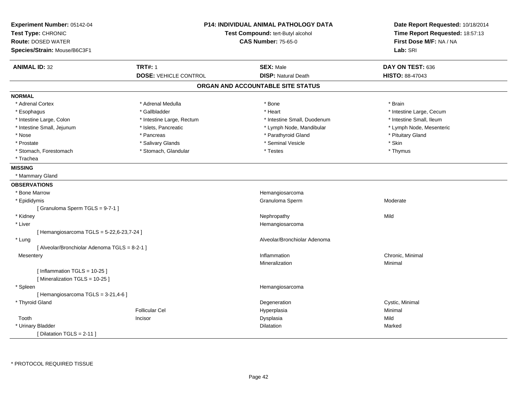| Experiment Number: 05142-04<br>Test Type: CHRONIC<br><b>Route: DOSED WATER</b><br>Species/Strain: Mouse/B6C3F1 |                              | P14: INDIVIDUAL ANIMAL PATHOLOGY DATA<br>Test Compound: tert-Butyl alcohol<br><b>CAS Number: 75-65-0</b> | Date Report Requested: 10/18/2014<br>Time Report Requested: 18:57:13<br>First Dose M/F: NA / NA<br>Lab: SRI |
|----------------------------------------------------------------------------------------------------------------|------------------------------|----------------------------------------------------------------------------------------------------------|-------------------------------------------------------------------------------------------------------------|
| <b>ANIMAL ID: 32</b>                                                                                           | <b>TRT#: 1</b>               | <b>SEX: Male</b>                                                                                         | DAY ON TEST: 636                                                                                            |
|                                                                                                                | <b>DOSE: VEHICLE CONTROL</b> | <b>DISP: Natural Death</b>                                                                               | <b>HISTO: 88-47043</b>                                                                                      |
|                                                                                                                |                              | ORGAN AND ACCOUNTABLE SITE STATUS                                                                        |                                                                                                             |
| <b>NORMAL</b>                                                                                                  |                              |                                                                                                          |                                                                                                             |
| * Adrenal Cortex                                                                                               | * Adrenal Medulla            | * Bone                                                                                                   | * Brain                                                                                                     |
| * Esophagus                                                                                                    | * Gallbladder                | * Heart                                                                                                  | * Intestine Large, Cecum                                                                                    |
| * Intestine Large, Colon                                                                                       | * Intestine Large, Rectum    | * Intestine Small, Duodenum                                                                              | * Intestine Small, Ileum                                                                                    |
| * Intestine Small, Jejunum                                                                                     | * Islets, Pancreatic         | * Lymph Node, Mandibular                                                                                 | * Lymph Node, Mesenteric                                                                                    |
| * Nose                                                                                                         | * Pancreas                   | * Parathyroid Gland                                                                                      | * Pituitary Gland                                                                                           |
| * Prostate                                                                                                     | * Salivary Glands            | * Seminal Vesicle                                                                                        | * Skin                                                                                                      |
| * Stomach, Forestomach                                                                                         | * Stomach, Glandular         | * Testes                                                                                                 | * Thymus                                                                                                    |
| * Trachea                                                                                                      |                              |                                                                                                          |                                                                                                             |
| <b>MISSING</b>                                                                                                 |                              |                                                                                                          |                                                                                                             |
| * Mammary Gland                                                                                                |                              |                                                                                                          |                                                                                                             |
| <b>OBSERVATIONS</b>                                                                                            |                              |                                                                                                          |                                                                                                             |
| * Bone Marrow                                                                                                  |                              | Hemangiosarcoma                                                                                          |                                                                                                             |
| * Epididymis                                                                                                   |                              | Granuloma Sperm                                                                                          | Moderate                                                                                                    |
| [Granuloma Sperm TGLS = 9-7-1]                                                                                 |                              |                                                                                                          |                                                                                                             |
| * Kidney                                                                                                       |                              | Nephropathy                                                                                              | Mild                                                                                                        |
| * Liver                                                                                                        |                              | Hemangiosarcoma                                                                                          |                                                                                                             |
| [ Hemangiosarcoma TGLS = 5-22,6-23,7-24 ]                                                                      |                              |                                                                                                          |                                                                                                             |
| * Lung                                                                                                         |                              | Alveolar/Bronchiolar Adenoma                                                                             |                                                                                                             |
| [ Alveolar/Bronchiolar Adenoma TGLS = 8-2-1 ]                                                                  |                              |                                                                                                          |                                                                                                             |
| Mesentery                                                                                                      |                              | Inflammation                                                                                             | Chronic, Minimal                                                                                            |
|                                                                                                                |                              | Mineralization                                                                                           | Minimal                                                                                                     |
| [Inflammation TGLS = $10-25$ ]                                                                                 |                              |                                                                                                          |                                                                                                             |
| [Mineralization TGLS = 10-25]                                                                                  |                              |                                                                                                          |                                                                                                             |
| * Spleen                                                                                                       |                              | Hemangiosarcoma                                                                                          |                                                                                                             |
| [Hemangiosarcoma TGLS = 3-21,4-6]                                                                              |                              |                                                                                                          |                                                                                                             |
| * Thyroid Gland                                                                                                |                              | Degeneration                                                                                             | Cystic, Minimal                                                                                             |
|                                                                                                                | <b>Follicular Cel</b>        | Hyperplasia                                                                                              | Minimal                                                                                                     |
| Tooth                                                                                                          | Incisor                      | Dysplasia                                                                                                | Mild                                                                                                        |
| * Urinary Bladder                                                                                              |                              | Dilatation                                                                                               | Marked                                                                                                      |
| [ Dilatation TGLS = 2-11 ]                                                                                     |                              |                                                                                                          |                                                                                                             |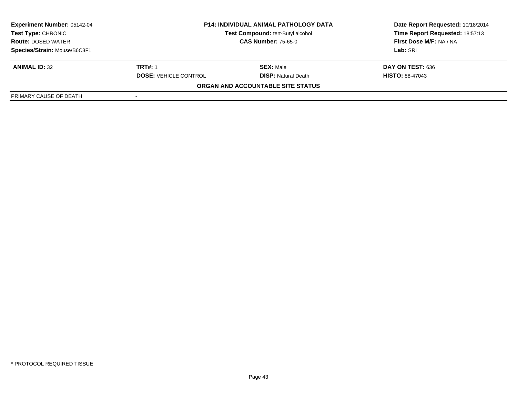| <b>Experiment Number: 05142-04</b><br>Test Type: CHRONIC | <b>P14: INDIVIDUAL ANIMAL PATHOLOGY DATA</b><br>Test Compound: tert-Butyl alcohol<br><b>CAS Number: 75-65-0</b> |                                   | Date Report Requested: 10/18/2014<br>Time Report Requested: 18:57:13 |
|----------------------------------------------------------|-----------------------------------------------------------------------------------------------------------------|-----------------------------------|----------------------------------------------------------------------|
| <b>Route: DOSED WATER</b>                                |                                                                                                                 |                                   | First Dose M/F: NA / NA                                              |
| Species/Strain: Mouse/B6C3F1                             |                                                                                                                 |                                   | Lab: SRI                                                             |
| <b>ANIMAL ID: 32</b>                                     | <b>TRT#: 1</b>                                                                                                  | <b>SEX:</b> Male                  | DAY ON TEST: 636                                                     |
|                                                          | <b>DOSE: VEHICLE CONTROL</b>                                                                                    | <b>DISP:</b> Natural Death        | <b>HISTO: 88-47043</b>                                               |
|                                                          |                                                                                                                 | ORGAN AND ACCOUNTABLE SITE STATUS |                                                                      |
| PRIMARY CAUSE OF DEATH                                   |                                                                                                                 |                                   |                                                                      |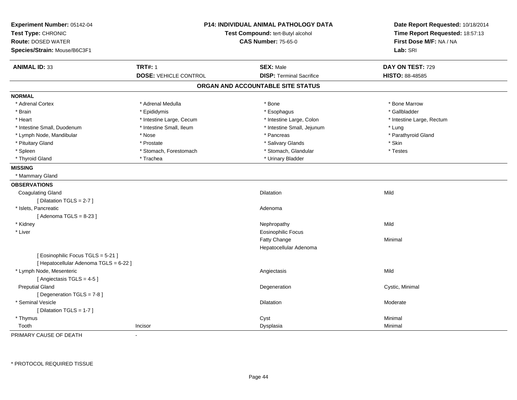| Experiment Number: 05142-04<br>Test Type: CHRONIC<br><b>Route: DOSED WATER</b><br>Species/Strain: Mouse/B6C3F1 | <b>P14: INDIVIDUAL ANIMAL PATHOLOGY DATA</b><br>Test Compound: tert-Butyl alcohol<br><b>CAS Number: 75-65-0</b> |                                                     | Date Report Requested: 10/18/2014<br>Time Report Requested: 18:57:13<br>First Dose M/F: NA / NA<br>Lab: SRI |  |
|----------------------------------------------------------------------------------------------------------------|-----------------------------------------------------------------------------------------------------------------|-----------------------------------------------------|-------------------------------------------------------------------------------------------------------------|--|
| <b>ANIMAL ID: 33</b>                                                                                           | <b>TRT#: 1</b><br><b>DOSE: VEHICLE CONTROL</b>                                                                  | <b>SEX: Male</b><br><b>DISP: Terminal Sacrifice</b> | DAY ON TEST: 729<br>HISTO: 88-48585                                                                         |  |
|                                                                                                                |                                                                                                                 | ORGAN AND ACCOUNTABLE SITE STATUS                   |                                                                                                             |  |
|                                                                                                                |                                                                                                                 |                                                     |                                                                                                             |  |
| <b>NORMAL</b>                                                                                                  |                                                                                                                 |                                                     |                                                                                                             |  |
| * Adrenal Cortex                                                                                               | * Adrenal Medulla                                                                                               | * Bone                                              | * Bone Marrow                                                                                               |  |
| * Brain                                                                                                        | * Epididymis                                                                                                    | * Esophagus                                         | * Gallbladder                                                                                               |  |
| * Heart                                                                                                        | * Intestine Large, Cecum                                                                                        | * Intestine Large, Colon                            | * Intestine Large, Rectum                                                                                   |  |
| * Intestine Small, Duodenum                                                                                    | * Intestine Small, Ileum                                                                                        | * Intestine Small, Jejunum                          | * Lung                                                                                                      |  |
| * Lymph Node, Mandibular                                                                                       | * Nose                                                                                                          | * Pancreas                                          | * Parathyroid Gland                                                                                         |  |
| * Pituitary Gland                                                                                              | * Prostate                                                                                                      | * Salivary Glands                                   | * Skin                                                                                                      |  |
| * Spleen                                                                                                       | * Stomach, Forestomach                                                                                          | * Stomach, Glandular                                | * Testes                                                                                                    |  |
| * Thyroid Gland                                                                                                | * Trachea                                                                                                       | * Urinary Bladder                                   |                                                                                                             |  |
| <b>MISSING</b>                                                                                                 |                                                                                                                 |                                                     |                                                                                                             |  |
| * Mammary Gland                                                                                                |                                                                                                                 |                                                     |                                                                                                             |  |
| <b>OBSERVATIONS</b>                                                                                            |                                                                                                                 |                                                     |                                                                                                             |  |
| <b>Coagulating Gland</b>                                                                                       |                                                                                                                 | <b>Dilatation</b>                                   | Mild                                                                                                        |  |
| [Dilatation TGLS = 2-7]                                                                                        |                                                                                                                 |                                                     |                                                                                                             |  |
| * Islets, Pancreatic                                                                                           |                                                                                                                 | Adenoma                                             |                                                                                                             |  |
| [Adenoma TGLS = $8-23$ ]                                                                                       |                                                                                                                 |                                                     |                                                                                                             |  |
| * Kidney                                                                                                       |                                                                                                                 | Nephropathy                                         | Mild                                                                                                        |  |
| * Liver                                                                                                        |                                                                                                                 | <b>Eosinophilic Focus</b>                           |                                                                                                             |  |
|                                                                                                                |                                                                                                                 | Fatty Change                                        | Minimal                                                                                                     |  |
|                                                                                                                |                                                                                                                 | Hepatocellular Adenoma                              |                                                                                                             |  |
| [ Eosinophilic Focus TGLS = 5-21 ]<br>[ Hepatocellular Adenoma TGLS = 6-22 ]                                   |                                                                                                                 |                                                     |                                                                                                             |  |
| * Lymph Node, Mesenteric<br>[Angiectasis TGLS = 4-5]                                                           |                                                                                                                 | Angiectasis                                         | Mild                                                                                                        |  |
| <b>Preputial Gland</b><br>[ Degeneration TGLS = 7-8 ]                                                          |                                                                                                                 | Degeneration                                        | Cystic, Minimal                                                                                             |  |
| * Seminal Vesicle<br>[ Dilatation TGLS = 1-7 ]                                                                 |                                                                                                                 | <b>Dilatation</b>                                   | Moderate                                                                                                    |  |
| * Thymus                                                                                                       |                                                                                                                 |                                                     | Minimal                                                                                                     |  |
| Tooth                                                                                                          | Incisor                                                                                                         | Cyst                                                | Minimal                                                                                                     |  |
|                                                                                                                |                                                                                                                 | Dysplasia                                           |                                                                                                             |  |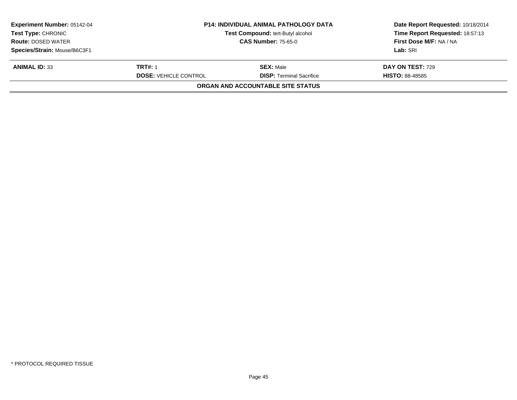| <b>Experiment Number: 05142-04</b><br><b>Test Type: CHRONIC</b><br><b>Route: DOSED WATER</b> | <b>P14: INDIVIDUAL ANIMAL PATHOLOGY DATA</b><br>Test Compound: tert-Butyl alcohol<br><b>CAS Number: 75-65-0</b> |                                   | Date Report Requested: 10/18/2014<br>Time Report Requested: 18:57:13<br>First Dose M/F: NA / NA |
|----------------------------------------------------------------------------------------------|-----------------------------------------------------------------------------------------------------------------|-----------------------------------|-------------------------------------------------------------------------------------------------|
|                                                                                              |                                                                                                                 |                                   |                                                                                                 |
| Species/Strain: Mouse/B6C3F1                                                                 |                                                                                                                 |                                   | Lab: SRI                                                                                        |
| <b>ANIMAL ID: 33</b>                                                                         | <b>TRT#: 1</b>                                                                                                  | <b>SEX: Male</b>                  | <b>DAY ON TEST: 729</b>                                                                         |
|                                                                                              | <b>DOSE: VEHICLE CONTROL</b>                                                                                    | <b>DISP: Terminal Sacrifice</b>   | <b>HISTO: 88-48585</b>                                                                          |
|                                                                                              |                                                                                                                 | ORGAN AND ACCOUNTABLE SITE STATUS |                                                                                                 |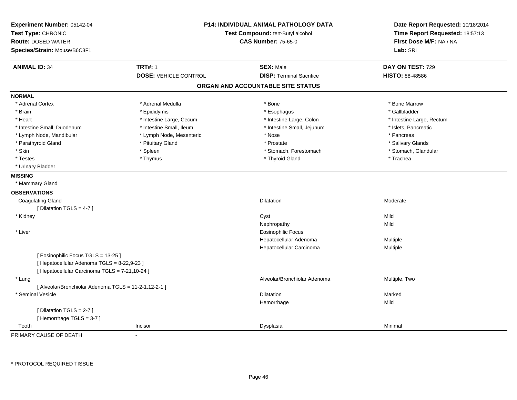| Experiment Number: 05142-04<br>Test Type: CHRONIC<br><b>Route: DOSED WATER</b><br>Species/Strain: Mouse/B6C3F1 |                              | <b>P14: INDIVIDUAL ANIMAL PATHOLOGY DATA</b><br>Test Compound: tert-Butyl alcohol<br><b>CAS Number: 75-65-0</b> |                           |
|----------------------------------------------------------------------------------------------------------------|------------------------------|-----------------------------------------------------------------------------------------------------------------|---------------------------|
| <b>ANIMAL ID: 34</b>                                                                                           | <b>TRT#: 1</b>               | <b>SEX: Male</b>                                                                                                | DAY ON TEST: 729          |
|                                                                                                                | <b>DOSE: VEHICLE CONTROL</b> | <b>DISP: Terminal Sacrifice</b>                                                                                 | HISTO: 88-48586           |
|                                                                                                                |                              | ORGAN AND ACCOUNTABLE SITE STATUS                                                                               |                           |
| <b>NORMAL</b>                                                                                                  |                              |                                                                                                                 |                           |
| * Adrenal Cortex                                                                                               | * Adrenal Medulla            | * Bone                                                                                                          | * Bone Marrow             |
| * Brain                                                                                                        | * Epididymis                 | * Esophagus                                                                                                     | * Gallbladder             |
| * Heart                                                                                                        | * Intestine Large, Cecum     | * Intestine Large, Colon                                                                                        | * Intestine Large, Rectum |
| * Intestine Small, Duodenum                                                                                    | * Intestine Small, Ileum     | * Intestine Small, Jejunum                                                                                      | * Islets, Pancreatic      |
| * Lymph Node, Mandibular                                                                                       | * Lymph Node, Mesenteric     | * Nose                                                                                                          | * Pancreas                |
| * Parathyroid Gland                                                                                            | * Pituitary Gland            | * Prostate                                                                                                      | * Salivary Glands         |
| * Skin                                                                                                         | * Spleen                     | * Stomach, Forestomach                                                                                          | * Stomach, Glandular      |
| * Testes                                                                                                       | * Thymus                     | * Thyroid Gland                                                                                                 | * Trachea                 |
| * Urinary Bladder                                                                                              |                              |                                                                                                                 |                           |
| <b>MISSING</b>                                                                                                 |                              |                                                                                                                 |                           |
| * Mammary Gland                                                                                                |                              |                                                                                                                 |                           |
| <b>OBSERVATIONS</b>                                                                                            |                              |                                                                                                                 |                           |
| <b>Coagulating Gland</b>                                                                                       |                              | <b>Dilatation</b>                                                                                               | Moderate                  |
| [ Dilatation TGLS = 4-7 ]                                                                                      |                              |                                                                                                                 |                           |
| * Kidney                                                                                                       |                              | Cyst                                                                                                            | Mild                      |
|                                                                                                                |                              | Nephropathy                                                                                                     | Mild                      |
| * Liver                                                                                                        |                              | <b>Eosinophilic Focus</b>                                                                                       |                           |
|                                                                                                                |                              | Hepatocellular Adenoma                                                                                          | Multiple                  |
|                                                                                                                |                              | Hepatocellular Carcinoma                                                                                        | Multiple                  |
| [ Eosinophilic Focus TGLS = 13-25 ]                                                                            |                              |                                                                                                                 |                           |
| [ Hepatocellular Adenoma TGLS = 8-22,9-23 ]                                                                    |                              |                                                                                                                 |                           |
| [ Hepatocellular Carcinoma TGLS = 7-21,10-24 ]                                                                 |                              |                                                                                                                 |                           |
| * Lung                                                                                                         |                              | Alveolar/Bronchiolar Adenoma                                                                                    | Multiple, Two             |
| [ Alveolar/Bronchiolar Adenoma TGLS = 11-2-1,12-2-1 ]                                                          |                              |                                                                                                                 |                           |
| * Seminal Vesicle                                                                                              |                              | <b>Dilatation</b>                                                                                               | Marked                    |
|                                                                                                                |                              | Hemorrhage                                                                                                      | Mild                      |
| [Dilatation TGLS = 2-7]                                                                                        |                              |                                                                                                                 |                           |
| [Hemorrhage TGLS = $3-7$ ]                                                                                     |                              |                                                                                                                 |                           |
| Tooth                                                                                                          | Incisor                      | Dysplasia                                                                                                       | Minimal                   |

\* PROTOCOL REQUIRED TISSUE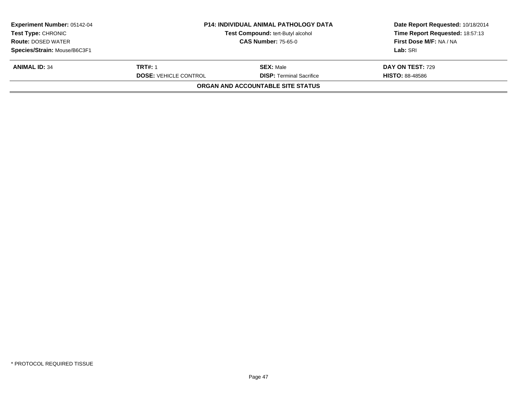| <b>Experiment Number: 05142-04</b><br><b>Test Type: CHRONIC</b> | <b>P14: INDIVIDUAL ANIMAL PATHOLOGY DATA</b><br>Test Compound: tert-Butyl alcohol<br><b>CAS Number: 75-65-0</b> |                                   | Date Report Requested: 10/18/2014<br>Time Report Requested: 18:57:13 |
|-----------------------------------------------------------------|-----------------------------------------------------------------------------------------------------------------|-----------------------------------|----------------------------------------------------------------------|
| <b>Route: DOSED WATER</b>                                       |                                                                                                                 |                                   | First Dose M/F: NA / NA                                              |
| Species/Strain: Mouse/B6C3F1                                    |                                                                                                                 |                                   | Lab: SRI                                                             |
| <b>ANIMAL ID: 34</b>                                            | <b>TRT#: 1</b>                                                                                                  | <b>SEX: Male</b>                  | <b>DAY ON TEST: 729</b>                                              |
|                                                                 | <b>DOSE: VEHICLE CONTROL</b>                                                                                    | <b>DISP: Terminal Sacrifice</b>   | <b>HISTO: 88-48586</b>                                               |
|                                                                 |                                                                                                                 | ORGAN AND ACCOUNTABLE SITE STATUS |                                                                      |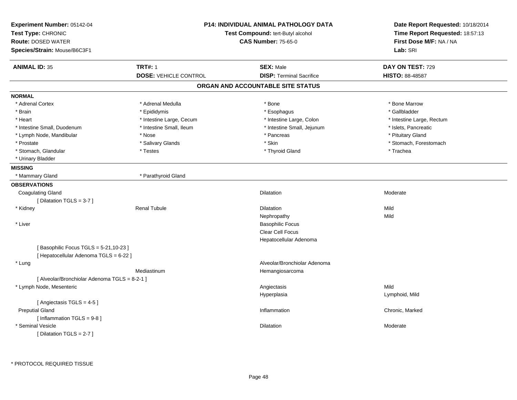| Experiment Number: 05142-04<br>Test Type: CHRONIC<br><b>Route: DOSED WATER</b><br>Species/Strain: Mouse/B6C3F1 |                              | P14: INDIVIDUAL ANIMAL PATHOLOGY DATA<br>Test Compound: tert-Butyl alcohol<br><b>CAS Number: 75-65-0</b> |                           |
|----------------------------------------------------------------------------------------------------------------|------------------------------|----------------------------------------------------------------------------------------------------------|---------------------------|
| <b>ANIMAL ID: 35</b>                                                                                           | <b>TRT#: 1</b>               | <b>SEX: Male</b>                                                                                         | DAY ON TEST: 729          |
|                                                                                                                | <b>DOSE: VEHICLE CONTROL</b> | <b>DISP: Terminal Sacrifice</b>                                                                          | HISTO: 88-48587           |
|                                                                                                                |                              | ORGAN AND ACCOUNTABLE SITE STATUS                                                                        |                           |
| <b>NORMAL</b>                                                                                                  |                              |                                                                                                          |                           |
| * Adrenal Cortex                                                                                               | * Adrenal Medulla            | * Bone                                                                                                   | * Bone Marrow             |
| * Brain                                                                                                        | * Epididymis                 | * Esophagus                                                                                              | * Gallbladder             |
| * Heart                                                                                                        | * Intestine Large, Cecum     | * Intestine Large, Colon                                                                                 | * Intestine Large, Rectum |
| * Intestine Small, Duodenum                                                                                    | * Intestine Small, Ileum     | * Intestine Small, Jejunum                                                                               | * Islets, Pancreatic      |
| * Lymph Node, Mandibular                                                                                       | * Nose                       | * Pancreas                                                                                               | * Pituitary Gland         |
| * Prostate                                                                                                     | * Salivary Glands            | * Skin                                                                                                   | * Stomach, Forestomach    |
| * Stomach, Glandular                                                                                           | * Testes                     | * Thyroid Gland                                                                                          | * Trachea                 |
| * Urinary Bladder                                                                                              |                              |                                                                                                          |                           |
| <b>MISSING</b>                                                                                                 |                              |                                                                                                          |                           |
| * Mammary Gland                                                                                                | * Parathyroid Gland          |                                                                                                          |                           |
| <b>OBSERVATIONS</b>                                                                                            |                              |                                                                                                          |                           |
| <b>Coagulating Gland</b>                                                                                       |                              | <b>Dilatation</b>                                                                                        | Moderate                  |
| [ Dilatation TGLS = 3-7 ]                                                                                      |                              |                                                                                                          |                           |
| * Kidney                                                                                                       | <b>Renal Tubule</b>          | <b>Dilatation</b>                                                                                        | Mild                      |
|                                                                                                                |                              | Nephropathy                                                                                              | Mild                      |
| * Liver                                                                                                        |                              | <b>Basophilic Focus</b>                                                                                  |                           |
|                                                                                                                |                              | <b>Clear Cell Focus</b>                                                                                  |                           |
|                                                                                                                |                              | Hepatocellular Adenoma                                                                                   |                           |
| [ Basophilic Focus TGLS = 5-21,10-23 ]<br>[ Hepatocellular Adenoma TGLS = 6-22 ]                               |                              |                                                                                                          |                           |
| * Lung                                                                                                         |                              | Alveolar/Bronchiolar Adenoma                                                                             |                           |
|                                                                                                                | Mediastinum                  | Hemangiosarcoma                                                                                          |                           |
| [ Alveolar/Bronchiolar Adenoma TGLS = 8-2-1 ]                                                                  |                              |                                                                                                          |                           |
| * Lymph Node, Mesenteric                                                                                       |                              | Angiectasis                                                                                              | Mild                      |
|                                                                                                                |                              | Hyperplasia                                                                                              | Lymphoid, Mild            |
| [Angiectasis TGLS = 4-5]                                                                                       |                              |                                                                                                          |                           |
| <b>Preputial Gland</b>                                                                                         |                              | Inflammation                                                                                             | Chronic, Marked           |
| [Inflammation TGLS = 9-8]                                                                                      |                              |                                                                                                          |                           |
| * Seminal Vesicle                                                                                              |                              | Dilatation                                                                                               | Moderate                  |
| [Dilatation TGLS = 2-7]                                                                                        |                              |                                                                                                          |                           |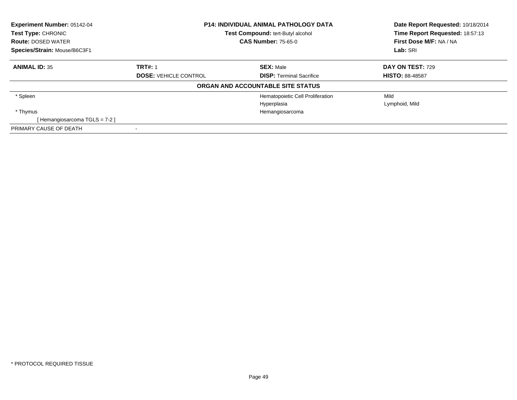| Experiment Number: 05142-04<br>Test Type: CHRONIC<br><b>Route: DOSED WATER</b> | <b>P14: INDIVIDUAL ANIMAL PATHOLOGY DATA</b><br><b>Test Compound: tert-Butyl alcohol</b><br><b>CAS Number: 75-65-0</b> |                                   | Date Report Requested: 10/18/2014<br>Time Report Requested: 18:57:13<br>First Dose M/F: NA / NA |
|--------------------------------------------------------------------------------|------------------------------------------------------------------------------------------------------------------------|-----------------------------------|-------------------------------------------------------------------------------------------------|
| Species/Strain: Mouse/B6C3F1                                                   |                                                                                                                        |                                   | Lab: SRI                                                                                        |
| <b>ANIMAL ID: 35</b>                                                           | <b>TRT#: 1</b>                                                                                                         | <b>SEX: Male</b>                  | DAY ON TEST: 729                                                                                |
|                                                                                | <b>DOSE: VEHICLE CONTROL</b>                                                                                           | <b>DISP:</b> Terminal Sacrifice   | <b>HISTO: 88-48587</b>                                                                          |
|                                                                                |                                                                                                                        | ORGAN AND ACCOUNTABLE SITE STATUS |                                                                                                 |
| * Spleen                                                                       |                                                                                                                        | Hematopoietic Cell Proliferation  | Mild                                                                                            |
|                                                                                |                                                                                                                        | Hyperplasia                       | Lymphoid, Mild                                                                                  |
| * Thymus                                                                       |                                                                                                                        | Hemangiosarcoma                   |                                                                                                 |
| [Hemangiosarcoma TGLS = 7-2]                                                   |                                                                                                                        |                                   |                                                                                                 |
| PRIMARY CAUSE OF DEATH                                                         |                                                                                                                        |                                   |                                                                                                 |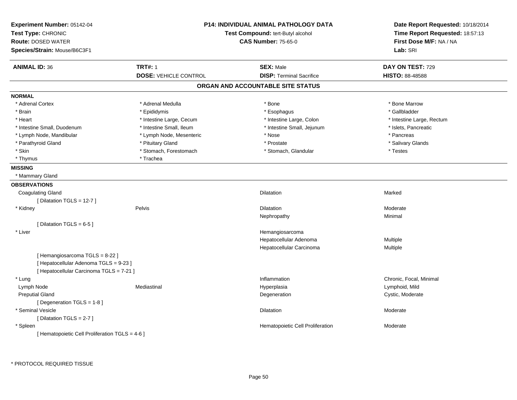| Experiment Number: 05142-04<br>Test Type: CHRONIC<br><b>Route: DOSED WATER</b><br>Species/Strain: Mouse/B6C3F1 |                              | <b>P14: INDIVIDUAL ANIMAL PATHOLOGY DATA</b><br>Test Compound: tert-Butyl alcohol<br><b>CAS Number: 75-65-0</b> | Date Report Requested: 10/18/2014<br>Time Report Requested: 18:57:13<br>First Dose M/F: NA / NA<br>Lab: SRI |
|----------------------------------------------------------------------------------------------------------------|------------------------------|-----------------------------------------------------------------------------------------------------------------|-------------------------------------------------------------------------------------------------------------|
| <b>ANIMAL ID: 36</b>                                                                                           | <b>TRT#: 1</b>               | <b>SEX: Male</b>                                                                                                | DAY ON TEST: 729                                                                                            |
|                                                                                                                | <b>DOSE: VEHICLE CONTROL</b> | <b>DISP: Terminal Sacrifice</b>                                                                                 | HISTO: 88-48588                                                                                             |
|                                                                                                                |                              | ORGAN AND ACCOUNTABLE SITE STATUS                                                                               |                                                                                                             |
| <b>NORMAL</b>                                                                                                  |                              |                                                                                                                 |                                                                                                             |
| * Adrenal Cortex                                                                                               | * Adrenal Medulla            | * Bone                                                                                                          | * Bone Marrow                                                                                               |
| * Brain                                                                                                        | * Epididymis                 | * Esophagus                                                                                                     | * Gallbladder                                                                                               |
| * Heart                                                                                                        | * Intestine Large, Cecum     | * Intestine Large, Colon                                                                                        | * Intestine Large, Rectum                                                                                   |
| * Intestine Small, Duodenum                                                                                    | * Intestine Small, Ileum     | * Intestine Small, Jejunum                                                                                      | * Islets, Pancreatic                                                                                        |
| * Lymph Node, Mandibular                                                                                       | * Lymph Node, Mesenteric     | * Nose                                                                                                          | * Pancreas                                                                                                  |
| * Parathyroid Gland                                                                                            | * Pituitary Gland            | * Prostate                                                                                                      | * Salivary Glands                                                                                           |
| * Skin                                                                                                         | * Stomach, Forestomach       | * Stomach, Glandular                                                                                            | * Testes                                                                                                    |
| * Thymus                                                                                                       | * Trachea                    |                                                                                                                 |                                                                                                             |
| <b>MISSING</b>                                                                                                 |                              |                                                                                                                 |                                                                                                             |
| * Mammary Gland                                                                                                |                              |                                                                                                                 |                                                                                                             |
| <b>OBSERVATIONS</b>                                                                                            |                              |                                                                                                                 |                                                                                                             |
| <b>Coagulating Gland</b>                                                                                       |                              | Dilatation                                                                                                      | Marked                                                                                                      |
| [ Dilatation TGLS = 12-7 ]                                                                                     |                              |                                                                                                                 |                                                                                                             |
| * Kidney                                                                                                       | Pelvis                       | <b>Dilatation</b>                                                                                               | Moderate                                                                                                    |
|                                                                                                                |                              | Nephropathy                                                                                                     | Minimal                                                                                                     |
| [Dilatation TGLS = 6-5]                                                                                        |                              |                                                                                                                 |                                                                                                             |
| * Liver                                                                                                        |                              | Hemangiosarcoma                                                                                                 |                                                                                                             |
|                                                                                                                |                              | Hepatocellular Adenoma                                                                                          | Multiple                                                                                                    |
|                                                                                                                |                              | Hepatocellular Carcinoma                                                                                        | Multiple                                                                                                    |
| [Hemangiosarcoma TGLS = 8-22]                                                                                  |                              |                                                                                                                 |                                                                                                             |
| [ Hepatocellular Adenoma TGLS = 9-23 ]                                                                         |                              |                                                                                                                 |                                                                                                             |
| [ Hepatocellular Carcinoma TGLS = 7-21 ]                                                                       |                              |                                                                                                                 |                                                                                                             |
| * Lung                                                                                                         |                              | Inflammation                                                                                                    | Chronic, Focal, Minimal                                                                                     |
| Lymph Node                                                                                                     | Mediastinal                  | Hyperplasia                                                                                                     | Lymphoid, Mild                                                                                              |
| <b>Preputial Gland</b>                                                                                         |                              | Degeneration                                                                                                    | Cystic, Moderate                                                                                            |
| [Degeneration TGLS = 1-8]                                                                                      |                              |                                                                                                                 |                                                                                                             |
| * Seminal Vesicle                                                                                              |                              | Dilatation                                                                                                      | Moderate                                                                                                    |
| [ Dilatation TGLS = 2-7 ]                                                                                      |                              |                                                                                                                 |                                                                                                             |
| * Spleen                                                                                                       |                              | Hematopoietic Cell Proliferation                                                                                | Moderate                                                                                                    |
| [ Hematopoietic Cell Proliferation TGLS = 4-6 ]                                                                |                              |                                                                                                                 |                                                                                                             |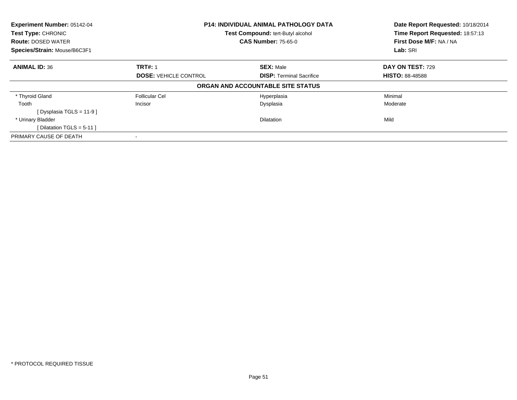| Experiment Number: 05142-04  |                                                                 | <b>P14: INDIVIDUAL ANIMAL PATHOLOGY DATA</b> |                                 |
|------------------------------|-----------------------------------------------------------------|----------------------------------------------|---------------------------------|
| Test Type: CHRONIC           |                                                                 | Test Compound: tert-Butyl alcohol            | Time Report Requested: 18:57:13 |
| <b>Route: DOSED WATER</b>    |                                                                 | <b>CAS Number: 75-65-0</b>                   | First Dose M/F: NA / NA         |
| Species/Strain: Mouse/B6C3F1 |                                                                 |                                              | Lab: SRI                        |
| <b>ANIMAL ID: 36</b>         | <b>TRT#: 1</b>                                                  | <b>SEX: Male</b>                             | DAY ON TEST: 729                |
|                              | <b>DOSE: VEHICLE CONTROL</b><br><b>DISP:</b> Terminal Sacrifice | <b>HISTO: 88-48588</b>                       |                                 |
|                              |                                                                 | ORGAN AND ACCOUNTABLE SITE STATUS            |                                 |
| * Thyroid Gland              | <b>Follicular Cel</b>                                           | Hyperplasia                                  | Minimal                         |
| Tooth                        | Incisor                                                         | Dysplasia                                    | Moderate                        |
| [ Dysplasia TGLS = $11-9$ ]  |                                                                 |                                              |                                 |
| * Urinary Bladder            |                                                                 | <b>Dilatation</b>                            | Mild                            |
| [Dilatation TGLS = $5-11$ ]  |                                                                 |                                              |                                 |
| PRIMARY CAUSE OF DEATH       |                                                                 |                                              |                                 |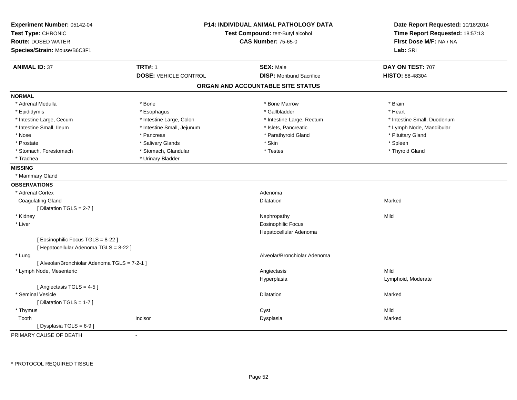| Experiment Number: 05142-04<br>Test Type: CHRONIC<br><b>Route: DOSED WATER</b><br>Species/Strain: Mouse/B6C3F1 |                              | <b>P14: INDIVIDUAL ANIMAL PATHOLOGY DATA</b><br>Test Compound: tert-Butyl alcohol<br><b>CAS Number: 75-65-0</b> | Date Report Requested: 10/18/2014<br>Time Report Requested: 18:57:13<br>First Dose M/F: NA / NA<br>Lab: SRI |
|----------------------------------------------------------------------------------------------------------------|------------------------------|-----------------------------------------------------------------------------------------------------------------|-------------------------------------------------------------------------------------------------------------|
| <b>ANIMAL ID: 37</b>                                                                                           | <b>TRT#: 1</b>               | <b>SEX: Male</b>                                                                                                | DAY ON TEST: 707                                                                                            |
|                                                                                                                | <b>DOSE: VEHICLE CONTROL</b> | <b>DISP:</b> Moribund Sacrifice                                                                                 | HISTO: 88-48304                                                                                             |
|                                                                                                                |                              | ORGAN AND ACCOUNTABLE SITE STATUS                                                                               |                                                                                                             |
| <b>NORMAL</b>                                                                                                  |                              |                                                                                                                 |                                                                                                             |
| * Adrenal Medulla                                                                                              | * Bone                       | * Bone Marrow                                                                                                   | * Brain                                                                                                     |
| * Epididymis                                                                                                   | * Esophagus                  | * Gallbladder                                                                                                   | * Heart                                                                                                     |
| * Intestine Large, Cecum                                                                                       | * Intestine Large, Colon     | * Intestine Large, Rectum                                                                                       | * Intestine Small, Duodenum                                                                                 |
| * Intestine Small, Ileum                                                                                       | * Intestine Small, Jejunum   | * Islets, Pancreatic                                                                                            | * Lymph Node, Mandibular                                                                                    |
| * Nose                                                                                                         | * Pancreas                   | * Parathyroid Gland                                                                                             | * Pituitary Gland                                                                                           |
| * Prostate                                                                                                     | * Salivary Glands            | * Skin                                                                                                          | * Spleen                                                                                                    |
| * Stomach, Forestomach                                                                                         | * Stomach, Glandular         | * Testes                                                                                                        | * Thyroid Gland                                                                                             |
| * Trachea                                                                                                      | * Urinary Bladder            |                                                                                                                 |                                                                                                             |
| <b>MISSING</b>                                                                                                 |                              |                                                                                                                 |                                                                                                             |
| * Mammary Gland                                                                                                |                              |                                                                                                                 |                                                                                                             |
| <b>OBSERVATIONS</b>                                                                                            |                              |                                                                                                                 |                                                                                                             |
| * Adrenal Cortex                                                                                               |                              | Adenoma                                                                                                         |                                                                                                             |
| <b>Coagulating Gland</b>                                                                                       |                              | <b>Dilatation</b>                                                                                               | Marked                                                                                                      |
| [Dilatation TGLS = 2-7]                                                                                        |                              |                                                                                                                 |                                                                                                             |
| * Kidney                                                                                                       |                              | Nephropathy                                                                                                     | Mild                                                                                                        |
| * Liver                                                                                                        |                              | <b>Eosinophilic Focus</b>                                                                                       |                                                                                                             |
|                                                                                                                |                              | Hepatocellular Adenoma                                                                                          |                                                                                                             |
| [ Eosinophilic Focus TGLS = 8-22 ]                                                                             |                              |                                                                                                                 |                                                                                                             |
| [ Hepatocellular Adenoma TGLS = 8-22 ]                                                                         |                              |                                                                                                                 |                                                                                                             |
| * Lung                                                                                                         |                              | Alveolar/Bronchiolar Adenoma                                                                                    |                                                                                                             |
| [ Alveolar/Bronchiolar Adenoma TGLS = 7-2-1 ]                                                                  |                              |                                                                                                                 |                                                                                                             |
| * Lymph Node, Mesenteric                                                                                       |                              | Angiectasis                                                                                                     | Mild                                                                                                        |
|                                                                                                                |                              | Hyperplasia                                                                                                     | Lymphoid, Moderate                                                                                          |
| [Angiectasis TGLS = 4-5]                                                                                       |                              |                                                                                                                 |                                                                                                             |
| * Seminal Vesicle                                                                                              |                              | <b>Dilatation</b>                                                                                               | Marked                                                                                                      |
| [Dilatation TGLS = 1-7]                                                                                        |                              |                                                                                                                 |                                                                                                             |
| * Thymus                                                                                                       |                              | Cyst                                                                                                            | Mild                                                                                                        |
| Tooth                                                                                                          | Incisor                      | Dysplasia                                                                                                       | Marked                                                                                                      |
| [ Dysplasia TGLS = $6-9$ ]                                                                                     |                              |                                                                                                                 |                                                                                                             |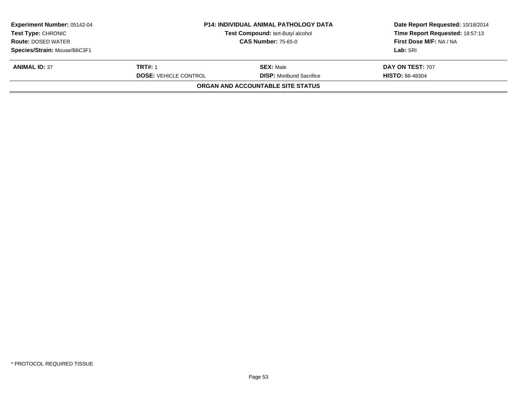| <b>P14: INDIVIDUAL ANIMAL PATHOLOGY DATA</b><br>Test Compound: tert-Butyl alcohol |                                 | Date Report Requested: 10/18/2014<br>Time Report Requested: 18:57:13<br>First Dose M/F: NA / NA |
|-----------------------------------------------------------------------------------|---------------------------------|-------------------------------------------------------------------------------------------------|
|                                                                                   |                                 | Lab: SRI                                                                                        |
|                                                                                   |                                 |                                                                                                 |
| <b>TRT#: 1</b>                                                                    | <b>SEX: Male</b>                | <b>DAY ON TEST: 707</b>                                                                         |
| <b>DOSE: VEHICLE CONTROL</b>                                                      | <b>DISP:</b> Moribund Sacrifice | <b>HISTO: 88-48304</b>                                                                          |
|                                                                                   |                                 |                                                                                                 |
|                                                                                   |                                 | <b>CAS Number: 75-65-0</b><br>ORGAN AND ACCOUNTABLE SITE STATUS                                 |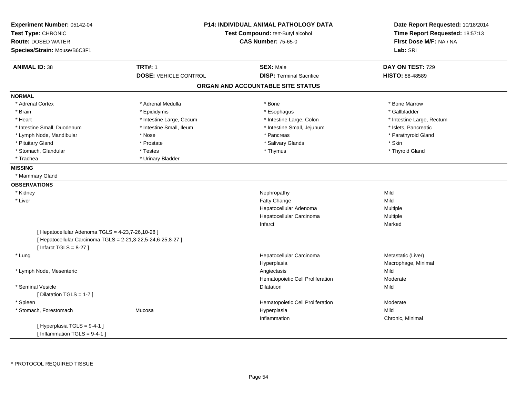| Experiment Number: 05142-04                                                                                       | <b>P14: INDIVIDUAL ANIMAL PATHOLOGY DATA</b><br>Test Type: CHRONIC<br>Test Compound: tert-Butyl alcohol |                                   | Date Report Requested: 10/18/2014 |
|-------------------------------------------------------------------------------------------------------------------|---------------------------------------------------------------------------------------------------------|-----------------------------------|-----------------------------------|
|                                                                                                                   |                                                                                                         |                                   | Time Report Requested: 18:57:13   |
| <b>Route: DOSED WATER</b>                                                                                         |                                                                                                         | <b>CAS Number: 75-65-0</b>        | First Dose M/F: NA / NA           |
| Species/Strain: Mouse/B6C3F1                                                                                      |                                                                                                         |                                   | Lab: SRI                          |
| <b>ANIMAL ID: 38</b>                                                                                              | <b>TRT#: 1</b>                                                                                          | <b>SEX: Male</b>                  | DAY ON TEST: 729                  |
|                                                                                                                   | <b>DOSE: VEHICLE CONTROL</b>                                                                            | <b>DISP: Terminal Sacrifice</b>   | <b>HISTO: 88-48589</b>            |
|                                                                                                                   |                                                                                                         | ORGAN AND ACCOUNTABLE SITE STATUS |                                   |
| <b>NORMAL</b>                                                                                                     |                                                                                                         |                                   |                                   |
| * Adrenal Cortex                                                                                                  | * Adrenal Medulla                                                                                       | * Bone                            | * Bone Marrow                     |
| * Brain                                                                                                           | * Epididymis                                                                                            | * Esophagus                       | * Gallbladder                     |
| * Heart                                                                                                           | * Intestine Large, Cecum                                                                                | * Intestine Large, Colon          | * Intestine Large, Rectum         |
| * Intestine Small, Duodenum                                                                                       | * Intestine Small, Ileum                                                                                | * Intestine Small, Jejunum        | * Islets, Pancreatic              |
| * Lymph Node, Mandibular                                                                                          | * Nose                                                                                                  | * Pancreas                        | * Parathyroid Gland               |
| * Pituitary Gland                                                                                                 | * Prostate                                                                                              | * Salivary Glands                 | * Skin                            |
| * Stomach, Glandular                                                                                              | * Testes                                                                                                | * Thymus                          | * Thyroid Gland                   |
| * Trachea                                                                                                         | * Urinary Bladder                                                                                       |                                   |                                   |
| <b>MISSING</b>                                                                                                    |                                                                                                         |                                   |                                   |
| * Mammary Gland                                                                                                   |                                                                                                         |                                   |                                   |
| <b>OBSERVATIONS</b>                                                                                               |                                                                                                         |                                   |                                   |
| * Kidney                                                                                                          |                                                                                                         | Nephropathy                       | Mild                              |
| * Liver                                                                                                           |                                                                                                         | Fatty Change                      | Mild                              |
|                                                                                                                   |                                                                                                         | Hepatocellular Adenoma            | Multiple                          |
|                                                                                                                   |                                                                                                         | Hepatocellular Carcinoma          | Multiple                          |
|                                                                                                                   |                                                                                                         | Infarct                           | Marked                            |
| [ Hepatocellular Adenoma TGLS = 4-23,7-26,10-28 ]<br>[ Hepatocellular Carcinoma TGLS = 2-21,3-22,5-24,6-25,8-27 ] |                                                                                                         |                                   |                                   |
| [Infarct TGLS = $8-27$ ]                                                                                          |                                                                                                         |                                   |                                   |
| * Lung                                                                                                            |                                                                                                         | Hepatocellular Carcinoma          | Metastatic (Liver)                |
|                                                                                                                   |                                                                                                         | Hyperplasia                       | Macrophage, Minimal               |
| * Lymph Node, Mesenteric                                                                                          |                                                                                                         | Angiectasis                       | Mild                              |
|                                                                                                                   |                                                                                                         | Hematopoietic Cell Proliferation  | Moderate                          |
| * Seminal Vesicle                                                                                                 |                                                                                                         | <b>Dilatation</b>                 | Mild                              |
| [ Dilatation TGLS = 1-7 ]                                                                                         |                                                                                                         |                                   |                                   |
| * Spleen                                                                                                          |                                                                                                         | Hematopoietic Cell Proliferation  | Moderate                          |
| * Stomach, Forestomach                                                                                            | Mucosa                                                                                                  | Hyperplasia                       | Mild                              |
|                                                                                                                   |                                                                                                         | Inflammation                      | Chronic, Minimal                  |
| [Hyperplasia TGLS = 9-4-1]<br>[Inflammation TGLS = $9-4-1$ ]                                                      |                                                                                                         |                                   |                                   |
|                                                                                                                   |                                                                                                         |                                   |                                   |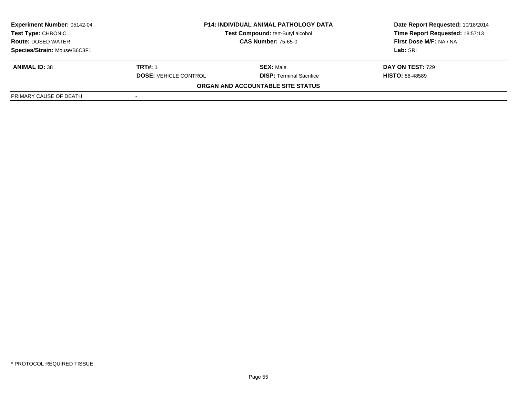| <b>Experiment Number: 05142-04</b><br>Test Type: CHRONIC<br><b>Route: DOSED WATER</b> | <b>P14: INDIVIDUAL ANIMAL PATHOLOGY DATA</b><br>Test Compound: tert-Butyl alcohol<br><b>CAS Number: 75-65-0</b> |                                   | Date Report Requested: 10/18/2014<br>Time Report Requested: 18:57:13<br>First Dose M/F: NA / NA |  |
|---------------------------------------------------------------------------------------|-----------------------------------------------------------------------------------------------------------------|-----------------------------------|-------------------------------------------------------------------------------------------------|--|
| Species/Strain: Mouse/B6C3F1                                                          |                                                                                                                 |                                   | Lab: SRI                                                                                        |  |
|                                                                                       |                                                                                                                 |                                   |                                                                                                 |  |
| <b>ANIMAL ID: 38</b>                                                                  | <b>TRT#: 1</b>                                                                                                  | <b>SEX: Male</b>                  | <b>DAY ON TEST: 729</b>                                                                         |  |
|                                                                                       | <b>DOSE: VEHICLE CONTROL</b>                                                                                    | <b>DISP: Terminal Sacrifice</b>   | <b>HISTO: 88-48589</b>                                                                          |  |
|                                                                                       |                                                                                                                 | ORGAN AND ACCOUNTABLE SITE STATUS |                                                                                                 |  |
| PRIMARY CAUSE OF DEATH                                                                |                                                                                                                 |                                   |                                                                                                 |  |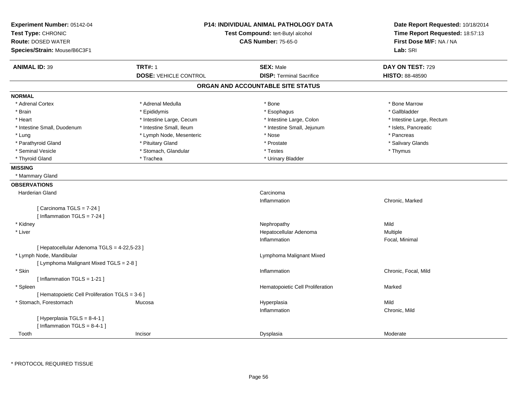| Experiment Number: 05142-04<br>Test Type: CHRONIC<br><b>Route: DOSED WATER</b><br>Species/Strain: Mouse/B6C3F1 | <b>P14: INDIVIDUAL ANIMAL PATHOLOGY DATA</b><br>Test Compound: tert-Butyl alcohol<br><b>CAS Number: 75-65-0</b> |                                   | Date Report Requested: 10/18/2014<br>Time Report Requested: 18:57:13<br>First Dose M/F: NA / NA<br>Lab: SRI |
|----------------------------------------------------------------------------------------------------------------|-----------------------------------------------------------------------------------------------------------------|-----------------------------------|-------------------------------------------------------------------------------------------------------------|
| <b>ANIMAL ID: 39</b>                                                                                           | <b>TRT#: 1</b>                                                                                                  | <b>SEX: Male</b>                  | DAY ON TEST: 729                                                                                            |
|                                                                                                                | <b>DOSE: VEHICLE CONTROL</b>                                                                                    | <b>DISP: Terminal Sacrifice</b>   | HISTO: 88-48590                                                                                             |
|                                                                                                                |                                                                                                                 | ORGAN AND ACCOUNTABLE SITE STATUS |                                                                                                             |
| <b>NORMAL</b>                                                                                                  |                                                                                                                 |                                   |                                                                                                             |
| * Adrenal Cortex                                                                                               | * Adrenal Medulla                                                                                               | * Bone                            | * Bone Marrow                                                                                               |
| * Brain                                                                                                        | * Epididymis                                                                                                    | * Esophagus                       | * Gallbladder                                                                                               |
| * Heart                                                                                                        | * Intestine Large, Cecum                                                                                        | * Intestine Large, Colon          | * Intestine Large, Rectum                                                                                   |
| * Intestine Small, Duodenum                                                                                    | * Intestine Small, Ileum                                                                                        | * Intestine Small, Jejunum        | * Islets, Pancreatic                                                                                        |
| * Lung                                                                                                         | * Lymph Node, Mesenteric                                                                                        | * Nose                            | * Pancreas                                                                                                  |
| * Parathyroid Gland                                                                                            | * Pituitary Gland                                                                                               | * Prostate                        | * Salivary Glands                                                                                           |
| * Seminal Vesicle                                                                                              | * Stomach, Glandular                                                                                            | * Testes                          | * Thymus                                                                                                    |
| * Thyroid Gland                                                                                                | * Trachea                                                                                                       | * Urinary Bladder                 |                                                                                                             |
| <b>MISSING</b>                                                                                                 |                                                                                                                 |                                   |                                                                                                             |
| * Mammary Gland                                                                                                |                                                                                                                 |                                   |                                                                                                             |
| <b>OBSERVATIONS</b>                                                                                            |                                                                                                                 |                                   |                                                                                                             |
| <b>Harderian Gland</b>                                                                                         |                                                                                                                 | Carcinoma                         |                                                                                                             |
|                                                                                                                |                                                                                                                 | Inflammation                      | Chronic, Marked                                                                                             |
| [ Carcinoma TGLS = 7-24 ]                                                                                      |                                                                                                                 |                                   |                                                                                                             |
| [ Inflammation $TGLS = 7-24$ ]                                                                                 |                                                                                                                 |                                   |                                                                                                             |
| * Kidney                                                                                                       |                                                                                                                 | Nephropathy                       | Mild                                                                                                        |
| * Liver                                                                                                        |                                                                                                                 | Hepatocellular Adenoma            | <b>Multiple</b>                                                                                             |
|                                                                                                                |                                                                                                                 | Inflammation                      | Focal, Minimal                                                                                              |
| [ Hepatocellular Adenoma TGLS = 4-22,5-23 ]                                                                    |                                                                                                                 |                                   |                                                                                                             |
| * Lymph Node, Mandibular                                                                                       |                                                                                                                 | Lymphoma Malignant Mixed          |                                                                                                             |
| [ Lymphoma Malignant Mixed TGLS = 2-8 ]                                                                        |                                                                                                                 |                                   |                                                                                                             |
| * Skin                                                                                                         |                                                                                                                 | Inflammation                      | Chronic, Focal, Mild                                                                                        |
| [Inflammation TGLS = 1-21]                                                                                     |                                                                                                                 |                                   |                                                                                                             |
| * Spleen                                                                                                       |                                                                                                                 | Hematopoietic Cell Proliferation  | Marked                                                                                                      |
| [ Hematopoietic Cell Proliferation TGLS = 3-6 ]                                                                |                                                                                                                 |                                   |                                                                                                             |
| * Stomach, Forestomach                                                                                         | Mucosa                                                                                                          | Hyperplasia                       | Mild                                                                                                        |
|                                                                                                                |                                                                                                                 | Inflammation                      | Chronic, Mild                                                                                               |
| [Hyperplasia TGLS = 8-4-1]                                                                                     |                                                                                                                 |                                   |                                                                                                             |
| [Inflammation TGLS = $8-4-1$ ]                                                                                 |                                                                                                                 |                                   |                                                                                                             |
| Tooth                                                                                                          | Incisor                                                                                                         | Dysplasia                         | Moderate                                                                                                    |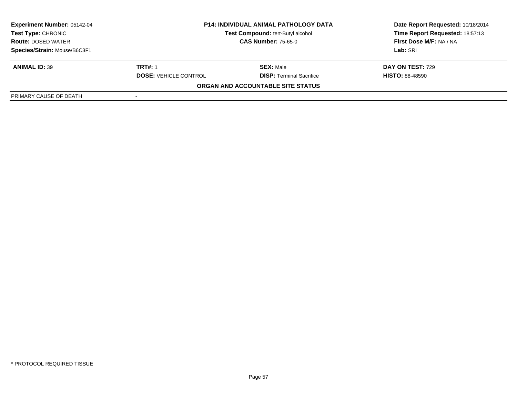| <b>Experiment Number: 05142-04</b><br>Test Type: CHRONIC<br><b>Route: DOSED WATER</b> | <b>P14: INDIVIDUAL ANIMAL PATHOLOGY DATA</b><br>Test Compound: tert-Butyl alcohol<br><b>CAS Number: 75-65-0</b> |                                          | Date Report Requested: 10/18/2014<br>Time Report Requested: 18:57:13<br><b>First Dose M/F: NA / NA</b> |  |
|---------------------------------------------------------------------------------------|-----------------------------------------------------------------------------------------------------------------|------------------------------------------|--------------------------------------------------------------------------------------------------------|--|
| Species/Strain: Mouse/B6C3F1                                                          |                                                                                                                 |                                          | Lab: SRI                                                                                               |  |
| <b>ANIMAL ID: 39</b>                                                                  | <b>TRT#: 1</b>                                                                                                  | <b>SEX: Male</b>                         | <b>DAY ON TEST: 729</b>                                                                                |  |
|                                                                                       | <b>DOSE: VEHICLE CONTROL</b>                                                                                    | <b>DISP: Terminal Sacrifice</b>          | <b>HISTO: 88-48590</b>                                                                                 |  |
|                                                                                       |                                                                                                                 | <b>ORGAN AND ACCOUNTABLE SITE STATUS</b> |                                                                                                        |  |
| PRIMARY CAUSE OF DEATH                                                                |                                                                                                                 |                                          |                                                                                                        |  |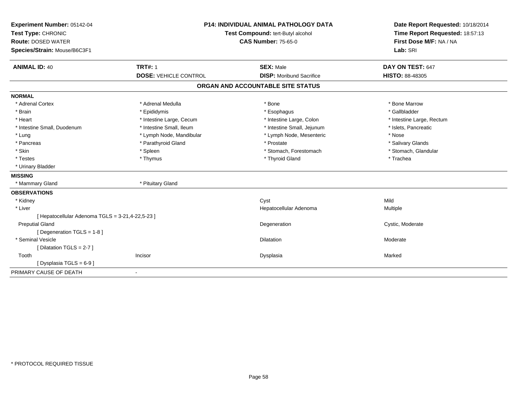| Experiment Number: 05142-04<br>Test Type: CHRONIC |                              | <b>P14: INDIVIDUAL ANIMAL PATHOLOGY DATA</b><br>Test Compound: tert-Butyl alcohol | Date Report Requested: 10/18/2014<br>Time Report Requested: 18:57:13 |
|---------------------------------------------------|------------------------------|-----------------------------------------------------------------------------------|----------------------------------------------------------------------|
| <b>Route: DOSED WATER</b>                         |                              | <b>CAS Number: 75-65-0</b>                                                        | First Dose M/F: NA / NA                                              |
| Species/Strain: Mouse/B6C3F1                      |                              |                                                                                   | Lab: SRI                                                             |
| <b>ANIMAL ID: 40</b>                              | <b>TRT#: 1</b>               | <b>SEX: Male</b>                                                                  | DAY ON TEST: 647                                                     |
|                                                   | <b>DOSE: VEHICLE CONTROL</b> | <b>DISP:</b> Moribund Sacrifice                                                   | HISTO: 88-48305                                                      |
|                                                   |                              | ORGAN AND ACCOUNTABLE SITE STATUS                                                 |                                                                      |
| <b>NORMAL</b>                                     |                              |                                                                                   |                                                                      |
| * Adrenal Cortex                                  | * Adrenal Medulla            | * Bone                                                                            | * Bone Marrow                                                        |
| * Brain                                           | * Epididymis                 | * Esophagus                                                                       | * Gallbladder                                                        |
| * Heart                                           | * Intestine Large, Cecum     | * Intestine Large, Colon                                                          | * Intestine Large, Rectum                                            |
| * Intestine Small, Duodenum                       | * Intestine Small, Ileum     | * Intestine Small, Jejunum                                                        | * Islets, Pancreatic                                                 |
| * Lung                                            | * Lymph Node, Mandibular     | * Lymph Node, Mesenteric                                                          | * Nose                                                               |
| * Pancreas                                        | * Parathyroid Gland          | * Prostate                                                                        | * Salivary Glands                                                    |
| * Skin                                            | * Spleen                     | * Stomach, Forestomach                                                            | * Stomach, Glandular                                                 |
| * Testes                                          | * Thymus                     | * Thyroid Gland                                                                   | * Trachea                                                            |
| * Urinary Bladder                                 |                              |                                                                                   |                                                                      |
| <b>MISSING</b>                                    |                              |                                                                                   |                                                                      |
| * Mammary Gland                                   | * Pituitary Gland            |                                                                                   |                                                                      |
| <b>OBSERVATIONS</b>                               |                              |                                                                                   |                                                                      |
| * Kidney                                          |                              | Cyst                                                                              | Mild                                                                 |
| * Liver                                           |                              | Hepatocellular Adenoma                                                            | Multiple                                                             |
| [ Hepatocellular Adenoma TGLS = 3-21,4-22,5-23 ]  |                              |                                                                                   |                                                                      |
| <b>Preputial Gland</b>                            |                              | Degeneration                                                                      | Cystic, Moderate                                                     |
| [ Degeneration TGLS = 1-8 ]                       |                              |                                                                                   |                                                                      |
| * Seminal Vesicle                                 |                              | Dilatation                                                                        | Moderate                                                             |
| [Dilatation TGLS = 2-7]                           |                              |                                                                                   |                                                                      |
| Tooth                                             | Incisor                      | Dysplasia                                                                         | Marked                                                               |
| [Dysplasia TGLS = 6-9]                            |                              |                                                                                   |                                                                      |
| PRIMARY CAUSE OF DEATH                            | $\blacksquare$               |                                                                                   |                                                                      |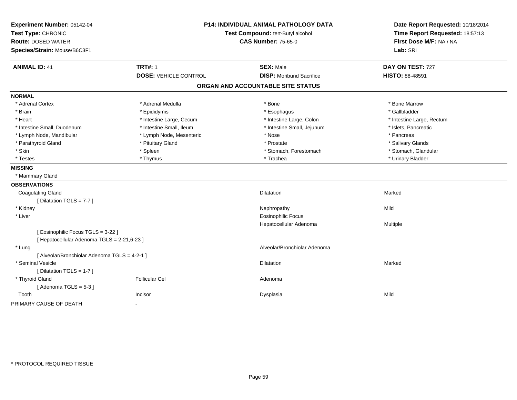| Experiment Number: 05142-04<br>Test Type: CHRONIC<br><b>Route: DOSED WATER</b><br>Species/Strain: Mouse/B6C3F1 | P14: INDIVIDUAL ANIMAL PATHOLOGY DATA<br>Test Compound: tert-Butyl alcohol<br><b>CAS Number: 75-65-0</b> |                                   | Date Report Requested: 10/18/2014<br>Time Report Requested: 18:57:13<br>First Dose M/F: NA / NA<br>Lab: SRI |  |
|----------------------------------------------------------------------------------------------------------------|----------------------------------------------------------------------------------------------------------|-----------------------------------|-------------------------------------------------------------------------------------------------------------|--|
| <b>ANIMAL ID: 41</b>                                                                                           | <b>TRT#: 1</b>                                                                                           | <b>SEX: Male</b>                  | DAY ON TEST: 727                                                                                            |  |
|                                                                                                                | <b>DOSE: VEHICLE CONTROL</b>                                                                             | <b>DISP: Moribund Sacrifice</b>   | HISTO: 88-48591                                                                                             |  |
|                                                                                                                |                                                                                                          | ORGAN AND ACCOUNTABLE SITE STATUS |                                                                                                             |  |
| <b>NORMAL</b>                                                                                                  |                                                                                                          |                                   |                                                                                                             |  |
| * Adrenal Cortex                                                                                               | * Adrenal Medulla                                                                                        | * Bone                            | * Bone Marrow                                                                                               |  |
| * Brain                                                                                                        | * Epididymis                                                                                             | * Esophagus                       | * Gallbladder                                                                                               |  |
| * Heart                                                                                                        | * Intestine Large, Cecum                                                                                 | * Intestine Large, Colon          | * Intestine Large, Rectum                                                                                   |  |
| * Intestine Small, Duodenum                                                                                    | * Intestine Small, Ileum                                                                                 | * Intestine Small, Jejunum        | * Islets, Pancreatic                                                                                        |  |
| * Lymph Node, Mandibular                                                                                       | * Lymph Node, Mesenteric                                                                                 | * Nose                            | * Pancreas                                                                                                  |  |
| * Parathyroid Gland                                                                                            | * Pituitary Gland                                                                                        | * Prostate                        | * Salivary Glands                                                                                           |  |
| * Skin                                                                                                         | * Spleen                                                                                                 | * Stomach, Forestomach            | * Stomach, Glandular                                                                                        |  |
| * Testes                                                                                                       | * Thymus                                                                                                 | * Trachea                         | * Urinary Bladder                                                                                           |  |
| <b>MISSING</b>                                                                                                 |                                                                                                          |                                   |                                                                                                             |  |
| * Mammary Gland                                                                                                |                                                                                                          |                                   |                                                                                                             |  |
| <b>OBSERVATIONS</b>                                                                                            |                                                                                                          |                                   |                                                                                                             |  |
| <b>Coagulating Gland</b>                                                                                       |                                                                                                          | Dilatation                        | Marked                                                                                                      |  |
| [ Dilatation TGLS = $7-7$ ]                                                                                    |                                                                                                          |                                   |                                                                                                             |  |
| * Kidney                                                                                                       |                                                                                                          | Nephropathy                       | Mild                                                                                                        |  |
| * Liver                                                                                                        |                                                                                                          | <b>Eosinophilic Focus</b>         |                                                                                                             |  |
|                                                                                                                |                                                                                                          | Hepatocellular Adenoma            | <b>Multiple</b>                                                                                             |  |
| [Eosinophilic Focus TGLS = 3-22]                                                                               |                                                                                                          |                                   |                                                                                                             |  |
| [ Hepatocellular Adenoma TGLS = 2-21,6-23 ]                                                                    |                                                                                                          |                                   |                                                                                                             |  |
| * Lung                                                                                                         |                                                                                                          | Alveolar/Bronchiolar Adenoma      |                                                                                                             |  |
| [ Alveolar/Bronchiolar Adenoma TGLS = 4-2-1 ]                                                                  |                                                                                                          |                                   |                                                                                                             |  |
| * Seminal Vesicle                                                                                              |                                                                                                          | <b>Dilatation</b>                 | Marked                                                                                                      |  |
| [ Dilatation TGLS = 1-7 ]                                                                                      |                                                                                                          |                                   |                                                                                                             |  |
| * Thyroid Gland                                                                                                | <b>Follicular Cel</b>                                                                                    | Adenoma                           |                                                                                                             |  |
| [Adenoma TGLS = $5-3$ ]                                                                                        |                                                                                                          |                                   |                                                                                                             |  |
| Tooth                                                                                                          | Incisor                                                                                                  | Dysplasia                         | Mild                                                                                                        |  |
| PRIMARY CAUSE OF DEATH                                                                                         |                                                                                                          |                                   |                                                                                                             |  |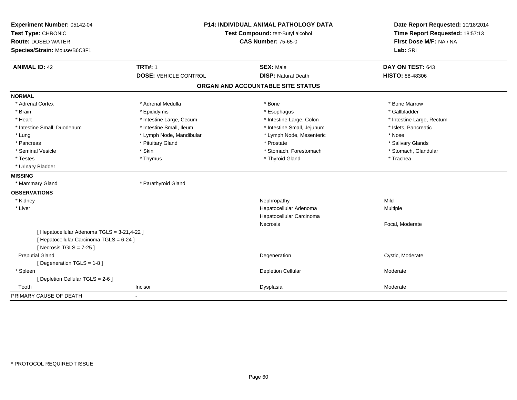| Experiment Number: 05142-04<br>Test Type: CHRONIC<br><b>Route: DOSED WATER</b><br>Species/Strain: Mouse/B6C3F1       | <b>P14: INDIVIDUAL ANIMAL PATHOLOGY DATA</b><br>Test Compound: tert-Butyl alcohol<br><b>CAS Number: 75-65-0</b> |                                                | Date Report Requested: 10/18/2014<br>Time Report Requested: 18:57:13<br>First Dose M/F: NA / NA<br>Lab: SRI |  |
|----------------------------------------------------------------------------------------------------------------------|-----------------------------------------------------------------------------------------------------------------|------------------------------------------------|-------------------------------------------------------------------------------------------------------------|--|
| <b>ANIMAL ID: 42</b>                                                                                                 | <b>TRT#: 1</b><br><b>DOSE: VEHICLE CONTROL</b>                                                                  | <b>SEX: Male</b><br><b>DISP: Natural Death</b> | DAY ON TEST: 643<br><b>HISTO: 88-48306</b>                                                                  |  |
|                                                                                                                      |                                                                                                                 | ORGAN AND ACCOUNTABLE SITE STATUS              |                                                                                                             |  |
| <b>NORMAL</b>                                                                                                        |                                                                                                                 |                                                |                                                                                                             |  |
| * Adrenal Cortex                                                                                                     | * Adrenal Medulla                                                                                               | * Bone                                         | * Bone Marrow                                                                                               |  |
| * Brain                                                                                                              | * Epididymis                                                                                                    | * Esophagus                                    | * Gallbladder                                                                                               |  |
| * Heart                                                                                                              | * Intestine Large, Cecum                                                                                        | * Intestine Large, Colon                       | * Intestine Large, Rectum                                                                                   |  |
| * Intestine Small, Duodenum                                                                                          | * Intestine Small, Ileum                                                                                        | * Intestine Small, Jejunum                     | * Islets, Pancreatic                                                                                        |  |
| * Lung                                                                                                               | * Lymph Node, Mandibular                                                                                        | * Lymph Node, Mesenteric                       | * Nose                                                                                                      |  |
| * Pancreas                                                                                                           | * Pituitary Gland                                                                                               | * Prostate                                     | * Salivary Glands                                                                                           |  |
| * Seminal Vesicle                                                                                                    | * Skin                                                                                                          | * Stomach, Forestomach                         | * Stomach, Glandular                                                                                        |  |
| * Testes                                                                                                             | * Thymus                                                                                                        | * Thyroid Gland                                | * Trachea                                                                                                   |  |
| * Urinary Bladder                                                                                                    |                                                                                                                 |                                                |                                                                                                             |  |
| <b>MISSING</b>                                                                                                       |                                                                                                                 |                                                |                                                                                                             |  |
| * Mammary Gland                                                                                                      | * Parathyroid Gland                                                                                             |                                                |                                                                                                             |  |
| <b>OBSERVATIONS</b>                                                                                                  |                                                                                                                 |                                                |                                                                                                             |  |
| * Kidney                                                                                                             |                                                                                                                 | Nephropathy                                    | Mild                                                                                                        |  |
| * Liver                                                                                                              |                                                                                                                 | Hepatocellular Adenoma                         | Multiple                                                                                                    |  |
|                                                                                                                      |                                                                                                                 | Hepatocellular Carcinoma                       |                                                                                                             |  |
|                                                                                                                      |                                                                                                                 | <b>Necrosis</b>                                | Focal, Moderate                                                                                             |  |
| [ Hepatocellular Adenoma TGLS = 3-21,4-22 ]<br>[ Hepatocellular Carcinoma TGLS = 6-24 ]<br>[Necrosis TGLS = $7-25$ ] |                                                                                                                 |                                                |                                                                                                             |  |
| <b>Preputial Gland</b>                                                                                               |                                                                                                                 | Degeneration                                   | Cystic, Moderate                                                                                            |  |
| [Degeneration TGLS = 1-8]                                                                                            |                                                                                                                 |                                                |                                                                                                             |  |
| * Spleen                                                                                                             |                                                                                                                 | Depletion Cellular                             | Moderate                                                                                                    |  |
| [ Depletion Cellular TGLS = 2-6 ]                                                                                    |                                                                                                                 |                                                |                                                                                                             |  |
| Tooth                                                                                                                | Incisor                                                                                                         | Dysplasia                                      | Moderate                                                                                                    |  |
| PRIMARY CAUSE OF DEATH                                                                                               |                                                                                                                 |                                                |                                                                                                             |  |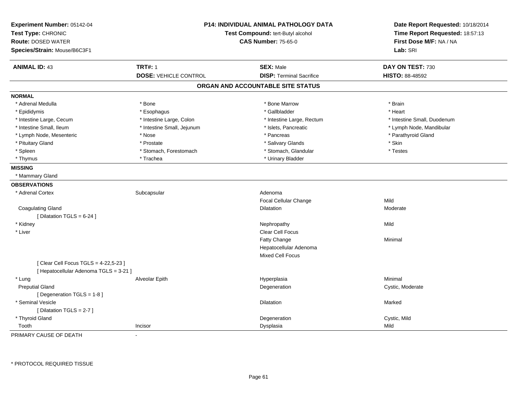| Experiment Number: 05142-04<br>Test Type: CHRONIC<br><b>Route: DOSED WATER</b><br>Species/Strain: Mouse/B6C3F1 |                              | <b>P14: INDIVIDUAL ANIMAL PATHOLOGY DATA</b><br>Test Compound: tert-Butyl alcohol<br><b>CAS Number: 75-65-0</b> | Date Report Requested: 10/18/2014<br>Time Report Requested: 18:57:13<br>First Dose M/F: NA / NA<br>Lab: SRI |
|----------------------------------------------------------------------------------------------------------------|------------------------------|-----------------------------------------------------------------------------------------------------------------|-------------------------------------------------------------------------------------------------------------|
| <b>ANIMAL ID: 43</b>                                                                                           | <b>TRT#: 1</b>               | <b>SEX: Male</b>                                                                                                | DAY ON TEST: 730                                                                                            |
|                                                                                                                | <b>DOSE: VEHICLE CONTROL</b> | <b>DISP: Terminal Sacrifice</b>                                                                                 | HISTO: 88-48592                                                                                             |
|                                                                                                                |                              | ORGAN AND ACCOUNTABLE SITE STATUS                                                                               |                                                                                                             |
| <b>NORMAL</b>                                                                                                  |                              |                                                                                                                 |                                                                                                             |
| * Adrenal Medulla                                                                                              | * Bone                       | * Bone Marrow                                                                                                   | * Brain                                                                                                     |
| * Epididymis                                                                                                   | * Esophagus                  | * Gallbladder                                                                                                   | * Heart                                                                                                     |
| * Intestine Large, Cecum                                                                                       | * Intestine Large, Colon     | * Intestine Large, Rectum                                                                                       | * Intestine Small, Duodenum                                                                                 |
| * Intestine Small, Ileum                                                                                       | * Intestine Small, Jejunum   | * Islets, Pancreatic                                                                                            | * Lymph Node, Mandibular                                                                                    |
| * Lymph Node, Mesenteric                                                                                       | * Nose                       | * Pancreas                                                                                                      | * Parathyroid Gland                                                                                         |
| * Pituitary Gland                                                                                              | * Prostate                   | * Salivary Glands                                                                                               | * Skin                                                                                                      |
| * Spleen                                                                                                       | * Stomach, Forestomach       | * Stomach, Glandular                                                                                            | * Testes                                                                                                    |
| * Thymus                                                                                                       | * Trachea                    | * Urinary Bladder                                                                                               |                                                                                                             |
| <b>MISSING</b>                                                                                                 |                              |                                                                                                                 |                                                                                                             |
| * Mammary Gland                                                                                                |                              |                                                                                                                 |                                                                                                             |
| <b>OBSERVATIONS</b>                                                                                            |                              |                                                                                                                 |                                                                                                             |
| * Adrenal Cortex                                                                                               | Subcapsular                  | Adenoma                                                                                                         |                                                                                                             |
|                                                                                                                |                              | Focal Cellular Change                                                                                           | Mild                                                                                                        |
| <b>Coagulating Gland</b>                                                                                       |                              | <b>Dilatation</b>                                                                                               | Moderate                                                                                                    |
| [ Dilatation TGLS = $6-24$ ]                                                                                   |                              |                                                                                                                 |                                                                                                             |
| * Kidney                                                                                                       |                              | Nephropathy                                                                                                     | Mild                                                                                                        |
| * Liver                                                                                                        |                              | Clear Cell Focus                                                                                                |                                                                                                             |
|                                                                                                                |                              | Fatty Change                                                                                                    | Minimal                                                                                                     |
|                                                                                                                |                              | Hepatocellular Adenoma                                                                                          |                                                                                                             |
|                                                                                                                |                              | <b>Mixed Cell Focus</b>                                                                                         |                                                                                                             |
| [ Clear Cell Focus TGLS = 4-22,5-23 ]                                                                          |                              |                                                                                                                 |                                                                                                             |
| [ Hepatocellular Adenoma TGLS = 3-21 ]                                                                         |                              |                                                                                                                 |                                                                                                             |
| * Lung                                                                                                         | Alveolar Epith               | Hyperplasia                                                                                                     | Minimal                                                                                                     |
| <b>Preputial Gland</b>                                                                                         |                              | Degeneration                                                                                                    | Cystic, Moderate                                                                                            |
| [ Degeneration TGLS = 1-8 ]                                                                                    |                              |                                                                                                                 |                                                                                                             |
| * Seminal Vesicle                                                                                              |                              | <b>Dilatation</b>                                                                                               | Marked                                                                                                      |
| [ Dilatation TGLS = 2-7 ]                                                                                      |                              |                                                                                                                 |                                                                                                             |
| * Thyroid Gland                                                                                                |                              | Degeneration                                                                                                    | Cystic, Mild                                                                                                |
| Tooth                                                                                                          | Incisor                      | Dysplasia                                                                                                       | Mild                                                                                                        |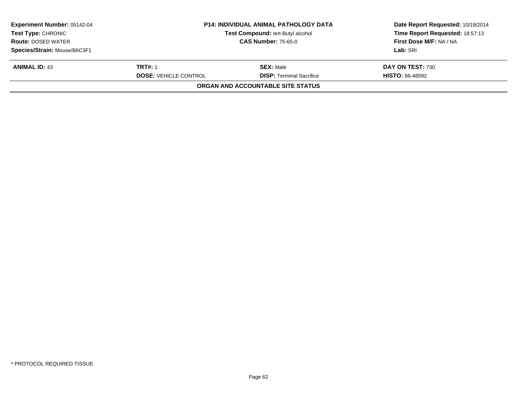| <b>Experiment Number: 05142-04</b> | <b>P14: INDIVIDUAL ANIMAL PATHOLOGY DATA</b> | Date Report Requested: 10/18/2014 |                                 |
|------------------------------------|----------------------------------------------|-----------------------------------|---------------------------------|
| <b>Test Type: CHRONIC</b>          |                                              | Test Compound: tert-Butyl alcohol | Time Report Requested: 18:57:13 |
| <b>Route: DOSED WATER</b>          | <b>CAS Number: 75-65-0</b>                   |                                   | First Dose M/F: NA / NA         |
| Species/Strain: Mouse/B6C3F1       |                                              |                                   | Lab: SRI                        |
| <b>ANIMAL ID: 43</b>               | <b>TRT#: 1</b>                               | <b>SEX: Male</b>                  | DAY ON TEST: 730                |
|                                    | <b>DOSE: VEHICLE CONTROL</b>                 | <b>DISP: Terminal Sacrifice</b>   | <b>HISTO: 88-48592</b>          |
|                                    |                                              | ORGAN AND ACCOUNTABLE SITE STATUS |                                 |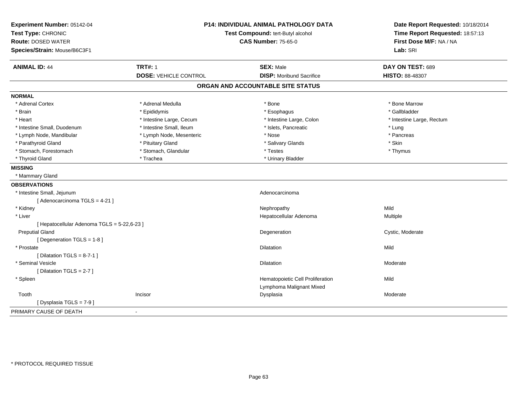| Experiment Number: 05142-04<br>Test Type: CHRONIC<br><b>Route: DOSED WATER</b><br>Species/Strain: Mouse/B6C3F1 | <b>P14: INDIVIDUAL ANIMAL PATHOLOGY DATA</b><br>Test Compound: tert-Butyl alcohol<br><b>CAS Number: 75-65-0</b> |                                   | Date Report Requested: 10/18/2014<br>Time Report Requested: 18:57:13<br>First Dose M/F: NA / NA<br>Lab: SRI |
|----------------------------------------------------------------------------------------------------------------|-----------------------------------------------------------------------------------------------------------------|-----------------------------------|-------------------------------------------------------------------------------------------------------------|
| <b>ANIMAL ID: 44</b>                                                                                           | <b>TRT#: 1</b>                                                                                                  | <b>SEX: Male</b>                  | DAY ON TEST: 689                                                                                            |
|                                                                                                                | <b>DOSE: VEHICLE CONTROL</b>                                                                                    | <b>DISP:</b> Moribund Sacrifice   | <b>HISTO: 88-48307</b>                                                                                      |
|                                                                                                                |                                                                                                                 | ORGAN AND ACCOUNTABLE SITE STATUS |                                                                                                             |
| <b>NORMAL</b>                                                                                                  |                                                                                                                 |                                   |                                                                                                             |
| * Adrenal Cortex                                                                                               | * Adrenal Medulla                                                                                               | * Bone                            | * Bone Marrow                                                                                               |
| * Brain                                                                                                        | * Epididymis                                                                                                    | * Esophagus                       | * Gallbladder                                                                                               |
| * Heart                                                                                                        | * Intestine Large, Cecum                                                                                        | * Intestine Large, Colon          | * Intestine Large, Rectum                                                                                   |
| * Intestine Small, Duodenum                                                                                    | * Intestine Small, Ileum                                                                                        | * Islets, Pancreatic              | * Lung                                                                                                      |
| * Lymph Node, Mandibular                                                                                       | * Lymph Node, Mesenteric                                                                                        | * Nose                            | * Pancreas                                                                                                  |
| * Parathyroid Gland                                                                                            | * Pituitary Gland                                                                                               | * Salivary Glands                 | * Skin                                                                                                      |
| * Stomach, Forestomach                                                                                         | * Stomach, Glandular                                                                                            | * Testes                          | * Thymus                                                                                                    |
| * Thyroid Gland                                                                                                | * Trachea                                                                                                       | * Urinary Bladder                 |                                                                                                             |
| <b>MISSING</b>                                                                                                 |                                                                                                                 |                                   |                                                                                                             |
| * Mammary Gland                                                                                                |                                                                                                                 |                                   |                                                                                                             |
| <b>OBSERVATIONS</b>                                                                                            |                                                                                                                 |                                   |                                                                                                             |
| * Intestine Small, Jejunum                                                                                     |                                                                                                                 | Adenocarcinoma                    |                                                                                                             |
| [ Adenocarcinoma TGLS = 4-21 ]                                                                                 |                                                                                                                 |                                   |                                                                                                             |
| * Kidney                                                                                                       |                                                                                                                 | Nephropathy                       | Mild                                                                                                        |
| * Liver                                                                                                        |                                                                                                                 | Hepatocellular Adenoma            | Multiple                                                                                                    |
| [ Hepatocellular Adenoma TGLS = 5-22,6-23 ]                                                                    |                                                                                                                 |                                   |                                                                                                             |
| <b>Preputial Gland</b>                                                                                         |                                                                                                                 | Degeneration                      | Cystic, Moderate                                                                                            |
| [Degeneration TGLS = 1-8]                                                                                      |                                                                                                                 |                                   |                                                                                                             |
| * Prostate                                                                                                     |                                                                                                                 | <b>Dilatation</b>                 | Mild                                                                                                        |
| [ Dilatation TGLS = $8-7-1$ ]                                                                                  |                                                                                                                 |                                   |                                                                                                             |
| * Seminal Vesicle                                                                                              |                                                                                                                 | Dilatation                        | Moderate                                                                                                    |
| [ Dilatation TGLS = 2-7 ]                                                                                      |                                                                                                                 |                                   |                                                                                                             |
| * Spleen                                                                                                       |                                                                                                                 | Hematopoietic Cell Proliferation  | Mild                                                                                                        |
|                                                                                                                |                                                                                                                 | Lymphoma Malignant Mixed          |                                                                                                             |
| Tooth                                                                                                          | Incisor                                                                                                         | Dysplasia                         | Moderate                                                                                                    |
| [Dysplasia TGLS = 7-9]                                                                                         |                                                                                                                 |                                   |                                                                                                             |
| PRIMARY CAUSE OF DEATH                                                                                         | $\blacksquare$                                                                                                  |                                   |                                                                                                             |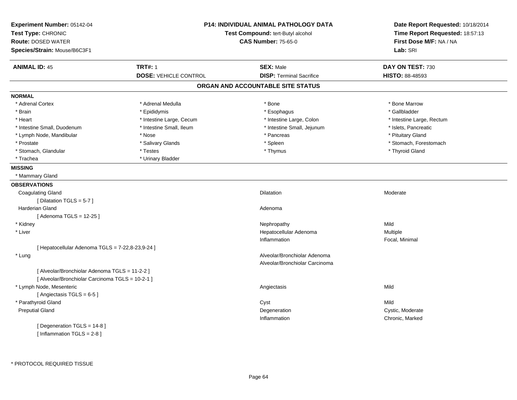| Experiment Number: 05142-04<br>Test Type: CHRONIC<br><b>Route: DOSED WATER</b> |                              | <b>P14: INDIVIDUAL ANIMAL PATHOLOGY DATA</b><br>Test Compound: tert-Butyl alcohol<br><b>CAS Number: 75-65-0</b> | Date Report Requested: 10/18/2014<br>Time Report Requested: 18:57:13<br>First Dose M/F: NA / NA |  |
|--------------------------------------------------------------------------------|------------------------------|-----------------------------------------------------------------------------------------------------------------|-------------------------------------------------------------------------------------------------|--|
| Species/Strain: Mouse/B6C3F1                                                   |                              |                                                                                                                 | Lab: SRI                                                                                        |  |
| <b>ANIMAL ID: 45</b>                                                           | <b>TRT#: 1</b>               | <b>SEX: Male</b>                                                                                                | DAY ON TEST: 730                                                                                |  |
|                                                                                | <b>DOSE: VEHICLE CONTROL</b> | <b>DISP: Terminal Sacrifice</b>                                                                                 | <b>HISTO: 88-48593</b>                                                                          |  |
|                                                                                |                              | ORGAN AND ACCOUNTABLE SITE STATUS                                                                               |                                                                                                 |  |
| <b>NORMAL</b>                                                                  |                              |                                                                                                                 |                                                                                                 |  |
| * Adrenal Cortex                                                               | * Adrenal Medulla            | * Bone                                                                                                          | * Bone Marrow                                                                                   |  |
| * Brain                                                                        | * Epididymis                 | * Esophagus                                                                                                     | * Gallbladder                                                                                   |  |
| * Heart                                                                        | * Intestine Large, Cecum     | * Intestine Large, Colon                                                                                        | * Intestine Large, Rectum                                                                       |  |
| * Intestine Small, Duodenum                                                    | * Intestine Small, Ileum     | * Intestine Small, Jejunum                                                                                      | * Islets, Pancreatic                                                                            |  |
| * Lymph Node, Mandibular                                                       | * Nose                       | * Pancreas                                                                                                      | * Pituitary Gland                                                                               |  |
| * Prostate                                                                     | * Salivary Glands            | * Spleen                                                                                                        | * Stomach, Forestomach                                                                          |  |
| * Stomach, Glandular                                                           | * Testes                     | * Thymus                                                                                                        | * Thyroid Gland                                                                                 |  |
| * Trachea                                                                      | * Urinary Bladder            |                                                                                                                 |                                                                                                 |  |
| <b>MISSING</b>                                                                 |                              |                                                                                                                 |                                                                                                 |  |
| * Mammary Gland                                                                |                              |                                                                                                                 |                                                                                                 |  |
| <b>OBSERVATIONS</b>                                                            |                              |                                                                                                                 |                                                                                                 |  |
| <b>Coagulating Gland</b>                                                       |                              | <b>Dilatation</b>                                                                                               | Moderate                                                                                        |  |
| [Dilatation TGLS = 5-7]                                                        |                              |                                                                                                                 |                                                                                                 |  |
| Harderian Gland                                                                |                              | Adenoma                                                                                                         |                                                                                                 |  |
| [Adenoma TGLS = 12-25]                                                         |                              |                                                                                                                 |                                                                                                 |  |
| * Kidney                                                                       |                              | Nephropathy                                                                                                     | Mild                                                                                            |  |
| * Liver                                                                        |                              | Hepatocellular Adenoma                                                                                          | Multiple                                                                                        |  |
|                                                                                |                              | Inflammation                                                                                                    | Focal, Minimal                                                                                  |  |
| [ Hepatocellular Adenoma TGLS = 7-22,8-23,9-24 ]                               |                              |                                                                                                                 |                                                                                                 |  |
| * Lung                                                                         |                              | Alveolar/Bronchiolar Adenoma                                                                                    |                                                                                                 |  |
|                                                                                |                              | Alveolar/Bronchiolar Carcinoma                                                                                  |                                                                                                 |  |
| [ Alveolar/Bronchiolar Adenoma TGLS = 11-2-2 ]                                 |                              |                                                                                                                 |                                                                                                 |  |
| [ Alveolar/Bronchiolar Carcinoma TGLS = 10-2-1 ]                               |                              |                                                                                                                 |                                                                                                 |  |
| * Lymph Node, Mesenteric                                                       |                              | Angiectasis                                                                                                     | Mild                                                                                            |  |
| [Angiectasis TGLS = 6-5]                                                       |                              |                                                                                                                 |                                                                                                 |  |
| * Parathyroid Gland                                                            |                              | Cyst                                                                                                            | Mild                                                                                            |  |
| <b>Preputial Gland</b>                                                         |                              | Degeneration                                                                                                    | Cystic, Moderate                                                                                |  |
|                                                                                |                              | Inflammation                                                                                                    | Chronic, Marked                                                                                 |  |
| [ Degeneration TGLS = 14-8 ]                                                   |                              |                                                                                                                 |                                                                                                 |  |
| [Inflammation TGLS = $2-8$ ]                                                   |                              |                                                                                                                 |                                                                                                 |  |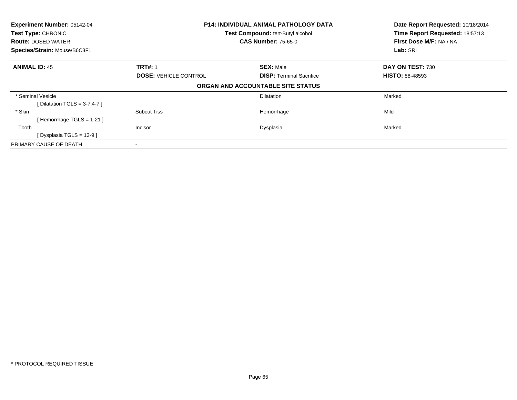| P14: INDIVIDUAL ANIMAL PATHOLOGY DATA<br>Experiment Number: 05142-04 |                              | Date Report Requested: 10/18/2014 |                                 |  |
|----------------------------------------------------------------------|------------------------------|-----------------------------------|---------------------------------|--|
| <b>Test Type: CHRONIC</b>                                            |                              | Test Compound: tert-Butyl alcohol | Time Report Requested: 18:57:13 |  |
| <b>Route: DOSED WATER</b>                                            |                              | <b>CAS Number: 75-65-0</b>        | First Dose M/F: NA / NA         |  |
| Species/Strain: Mouse/B6C3F1                                         |                              | Lab: SRI                          |                                 |  |
| <b>ANIMAL ID: 45</b>                                                 | <b>TRT#: 1</b>               | <b>SEX: Male</b>                  | DAY ON TEST: 730                |  |
|                                                                      | <b>DOSE: VEHICLE CONTROL</b> | <b>DISP: Terminal Sacrifice</b>   | <b>HISTO: 88-48593</b>          |  |
|                                                                      |                              | ORGAN AND ACCOUNTABLE SITE STATUS |                                 |  |
| * Seminal Vesicle                                                    |                              | <b>Dilatation</b>                 | Marked                          |  |
| [Dilatation TGLS = $3-7,4-7$ ]                                       |                              |                                   |                                 |  |
| * Skin                                                               | <b>Subcut Tiss</b>           | Hemorrhage                        | Mild                            |  |
| [Hemorrhage TGLS = $1-21$ ]                                          |                              |                                   |                                 |  |
| Tooth                                                                | Incisor                      | Dysplasia                         | Marked                          |  |
| [Dysplasia TGLS = 13-9]                                              |                              |                                   |                                 |  |
| PRIMARY CAUSE OF DEATH                                               |                              |                                   |                                 |  |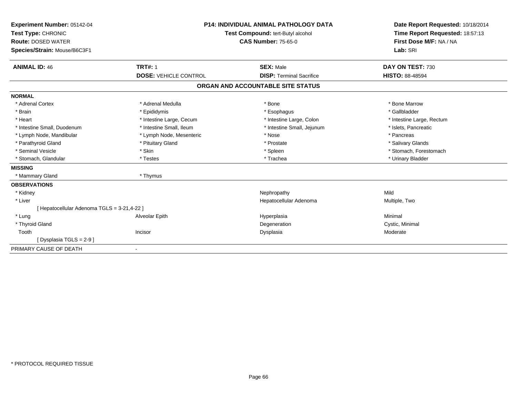| Experiment Number: 05142-04<br>Test Type: CHRONIC<br><b>Route: DOSED WATER</b><br>Species/Strain: Mouse/B6C3F1 |                              | <b>P14: INDIVIDUAL ANIMAL PATHOLOGY DATA</b><br>Test Compound: tert-Butyl alcohol<br><b>CAS Number: 75-65-0</b> | Date Report Requested: 10/18/2014<br>Time Report Requested: 18:57:13<br>First Dose M/F: NA / NA<br>Lab: SRI |  |
|----------------------------------------------------------------------------------------------------------------|------------------------------|-----------------------------------------------------------------------------------------------------------------|-------------------------------------------------------------------------------------------------------------|--|
| <b>ANIMAL ID: 46</b>                                                                                           | <b>TRT#: 1</b>               | <b>SEX: Male</b>                                                                                                | DAY ON TEST: 730                                                                                            |  |
|                                                                                                                | <b>DOSE: VEHICLE CONTROL</b> | <b>DISP: Terminal Sacrifice</b>                                                                                 | <b>HISTO: 88-48594</b>                                                                                      |  |
|                                                                                                                |                              | ORGAN AND ACCOUNTABLE SITE STATUS                                                                               |                                                                                                             |  |
| <b>NORMAL</b>                                                                                                  |                              |                                                                                                                 |                                                                                                             |  |
| * Adrenal Cortex                                                                                               | * Adrenal Medulla            | * Bone                                                                                                          | * Bone Marrow                                                                                               |  |
| * Brain                                                                                                        | * Epididymis                 | * Esophagus                                                                                                     | * Gallbladder                                                                                               |  |
| * Heart                                                                                                        | * Intestine Large, Cecum     | * Intestine Large, Colon                                                                                        | * Intestine Large, Rectum                                                                                   |  |
| * Intestine Small, Duodenum                                                                                    | * Intestine Small, Ileum     | * Intestine Small, Jejunum                                                                                      | * Islets. Pancreatic                                                                                        |  |
| * Lymph Node, Mandibular                                                                                       | * Lymph Node, Mesenteric     | * Nose                                                                                                          | * Pancreas                                                                                                  |  |
| * Parathyroid Gland                                                                                            | * Pituitary Gland            | * Prostate                                                                                                      | * Salivary Glands                                                                                           |  |
| * Seminal Vesicle                                                                                              | * Skin                       | * Spleen                                                                                                        | * Stomach, Forestomach                                                                                      |  |
| * Stomach, Glandular                                                                                           | * Testes                     | * Trachea                                                                                                       | * Urinary Bladder                                                                                           |  |
| <b>MISSING</b>                                                                                                 |                              |                                                                                                                 |                                                                                                             |  |
| * Mammary Gland                                                                                                | * Thymus                     |                                                                                                                 |                                                                                                             |  |
| <b>OBSERVATIONS</b>                                                                                            |                              |                                                                                                                 |                                                                                                             |  |
| * Kidney                                                                                                       |                              | Nephropathy                                                                                                     | Mild                                                                                                        |  |
| * Liver                                                                                                        |                              | Hepatocellular Adenoma                                                                                          | Multiple, Two                                                                                               |  |
| [ Hepatocellular Adenoma TGLS = 3-21,4-22 ]                                                                    |                              |                                                                                                                 |                                                                                                             |  |
| * Lung                                                                                                         | Alveolar Epith               | Hyperplasia                                                                                                     | Minimal                                                                                                     |  |
| * Thyroid Gland                                                                                                |                              | Degeneration                                                                                                    | Cystic, Minimal                                                                                             |  |
| Tooth                                                                                                          | Incisor                      | Dysplasia                                                                                                       | Moderate                                                                                                    |  |
| [Dysplasia TGLS = 2-9 ]                                                                                        |                              |                                                                                                                 |                                                                                                             |  |
| PRIMARY CAUSE OF DEATH                                                                                         | $\blacksquare$               |                                                                                                                 |                                                                                                             |  |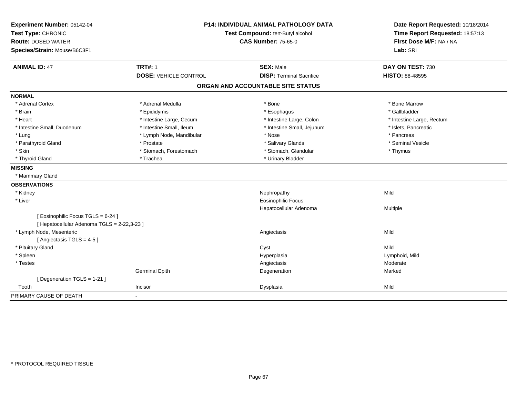| Experiment Number: 05142-04<br>Test Type: CHRONIC<br><b>Route: DOSED WATER</b><br>Species/Strain: Mouse/B6C3F1 | <b>P14: INDIVIDUAL ANIMAL PATHOLOGY DATA</b><br>Test Compound: tert-Butyl alcohol<br><b>CAS Number: 75-65-0</b> |                                   | Date Report Requested: 10/18/2014<br>Time Report Requested: 18:57:13<br>First Dose M/F: NA / NA<br>Lab: SRI |
|----------------------------------------------------------------------------------------------------------------|-----------------------------------------------------------------------------------------------------------------|-----------------------------------|-------------------------------------------------------------------------------------------------------------|
| <b>ANIMAL ID: 47</b>                                                                                           | <b>TRT#: 1</b>                                                                                                  | <b>SEX: Male</b>                  | DAY ON TEST: 730                                                                                            |
|                                                                                                                | <b>DOSE: VEHICLE CONTROL</b>                                                                                    | <b>DISP: Terminal Sacrifice</b>   | <b>HISTO: 88-48595</b>                                                                                      |
|                                                                                                                |                                                                                                                 | ORGAN AND ACCOUNTABLE SITE STATUS |                                                                                                             |
| <b>NORMAL</b>                                                                                                  |                                                                                                                 |                                   |                                                                                                             |
| * Adrenal Cortex                                                                                               | * Adrenal Medulla                                                                                               | * Bone                            | * Bone Marrow                                                                                               |
| * Brain                                                                                                        | * Epididymis                                                                                                    | * Esophagus                       | * Gallbladder                                                                                               |
| * Heart                                                                                                        | * Intestine Large, Cecum                                                                                        | * Intestine Large, Colon          | * Intestine Large, Rectum                                                                                   |
| * Intestine Small, Duodenum                                                                                    | * Intestine Small, Ileum                                                                                        | * Intestine Small, Jejunum        | * Islets, Pancreatic                                                                                        |
| * Lung                                                                                                         | * Lymph Node, Mandibular                                                                                        | * Nose                            | * Pancreas                                                                                                  |
| * Parathyroid Gland                                                                                            | * Prostate                                                                                                      | * Salivary Glands                 | * Seminal Vesicle                                                                                           |
| * Skin                                                                                                         | * Stomach, Forestomach                                                                                          | * Stomach, Glandular              | * Thymus                                                                                                    |
| * Thyroid Gland                                                                                                | * Trachea                                                                                                       | * Urinary Bladder                 |                                                                                                             |
| <b>MISSING</b>                                                                                                 |                                                                                                                 |                                   |                                                                                                             |
| * Mammary Gland                                                                                                |                                                                                                                 |                                   |                                                                                                             |
| <b>OBSERVATIONS</b>                                                                                            |                                                                                                                 |                                   |                                                                                                             |
| * Kidney                                                                                                       |                                                                                                                 | Nephropathy                       | Mild                                                                                                        |
| * Liver                                                                                                        |                                                                                                                 | <b>Eosinophilic Focus</b>         |                                                                                                             |
|                                                                                                                |                                                                                                                 | Hepatocellular Adenoma            | Multiple                                                                                                    |
| [Eosinophilic Focus TGLS = 6-24]                                                                               |                                                                                                                 |                                   |                                                                                                             |
| [ Hepatocellular Adenoma TGLS = 2-22,3-23 ]                                                                    |                                                                                                                 |                                   |                                                                                                             |
| * Lymph Node, Mesenteric                                                                                       |                                                                                                                 | Angiectasis                       | Mild                                                                                                        |
| [Angiectasis TGLS = 4-5]                                                                                       |                                                                                                                 |                                   |                                                                                                             |
| * Pituitary Gland                                                                                              |                                                                                                                 | Cyst                              | Mild                                                                                                        |
| * Spleen                                                                                                       |                                                                                                                 | Hyperplasia                       | Lymphoid, Mild                                                                                              |
| * Testes                                                                                                       |                                                                                                                 | Angiectasis                       | Moderate                                                                                                    |
|                                                                                                                | <b>Germinal Epith</b>                                                                                           | Degeneration                      | Marked                                                                                                      |
| [Degeneration TGLS = 1-21]                                                                                     |                                                                                                                 |                                   |                                                                                                             |
| Tooth                                                                                                          | Incisor                                                                                                         | Dysplasia                         | Mild                                                                                                        |
| PRIMARY CAUSE OF DEATH                                                                                         | $\blacksquare$                                                                                                  |                                   |                                                                                                             |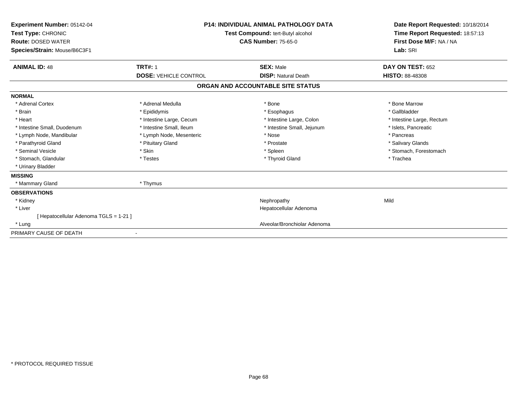| Experiment Number: 05142-04<br>Test Type: CHRONIC<br><b>Route: DOSED WATER</b><br>Species/Strain: Mouse/B6C3F1 | <b>P14: INDIVIDUAL ANIMAL PATHOLOGY DATA</b><br><b>Test Compound: tert-Butyl alcohol</b><br><b>CAS Number: 75-65-0</b> |                                   | Date Report Requested: 10/18/2014<br>Time Report Requested: 18:57:13<br>First Dose M/F: NA / NA<br>Lab: SRI |
|----------------------------------------------------------------------------------------------------------------|------------------------------------------------------------------------------------------------------------------------|-----------------------------------|-------------------------------------------------------------------------------------------------------------|
| <b>ANIMAL ID: 48</b>                                                                                           | <b>TRT#: 1</b>                                                                                                         | <b>SEX: Male</b>                  | DAY ON TEST: 652                                                                                            |
|                                                                                                                | <b>DOSE: VEHICLE CONTROL</b>                                                                                           | <b>DISP: Natural Death</b>        | <b>HISTO: 88-48308</b>                                                                                      |
|                                                                                                                |                                                                                                                        | ORGAN AND ACCOUNTABLE SITE STATUS |                                                                                                             |
| <b>NORMAL</b>                                                                                                  |                                                                                                                        |                                   |                                                                                                             |
| * Adrenal Cortex                                                                                               | * Adrenal Medulla                                                                                                      | * Bone                            | * Bone Marrow                                                                                               |
| * Brain                                                                                                        | * Epididymis                                                                                                           | * Esophagus                       | * Gallbladder                                                                                               |
| * Heart                                                                                                        | * Intestine Large, Cecum                                                                                               | * Intestine Large, Colon          | * Intestine Large, Rectum                                                                                   |
| * Intestine Small, Duodenum                                                                                    | * Intestine Small, Ileum                                                                                               | * Intestine Small, Jejunum        | * Islets, Pancreatic                                                                                        |
| * Lymph Node, Mandibular                                                                                       | * Lymph Node, Mesenteric                                                                                               | * Nose                            | * Pancreas                                                                                                  |
| * Parathyroid Gland                                                                                            | * Pituitary Gland                                                                                                      | * Prostate                        | * Salivary Glands                                                                                           |
| * Seminal Vesicle                                                                                              | * Skin                                                                                                                 | * Spleen                          | * Stomach, Forestomach                                                                                      |
| * Stomach, Glandular                                                                                           | * Testes                                                                                                               | * Thyroid Gland                   | * Trachea                                                                                                   |
| * Urinary Bladder                                                                                              |                                                                                                                        |                                   |                                                                                                             |
| <b>MISSING</b>                                                                                                 |                                                                                                                        |                                   |                                                                                                             |
| * Mammary Gland                                                                                                | * Thymus                                                                                                               |                                   |                                                                                                             |
| <b>OBSERVATIONS</b>                                                                                            |                                                                                                                        |                                   |                                                                                                             |
| * Kidney                                                                                                       |                                                                                                                        | Nephropathy                       | Mild                                                                                                        |
| * Liver                                                                                                        |                                                                                                                        | Hepatocellular Adenoma            |                                                                                                             |
| [ Hepatocellular Adenoma TGLS = 1-21 ]                                                                         |                                                                                                                        |                                   |                                                                                                             |
| * Lung                                                                                                         |                                                                                                                        | Alveolar/Bronchiolar Adenoma      |                                                                                                             |
| PRIMARY CAUSE OF DEATH                                                                                         |                                                                                                                        |                                   |                                                                                                             |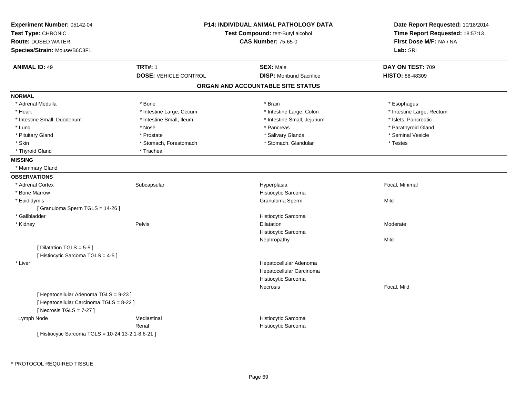| Experiment Number: 05142-04<br>Test Type: CHRONIC<br><b>Route: DOSED WATER</b><br>Species/Strain: Mouse/B6C3F1  | <b>P14: INDIVIDUAL ANIMAL PATHOLOGY DATA</b><br>Test Compound: tert-Butyl alcohol<br><b>CAS Number: 75-65-0</b> |                                   | Date Report Requested: 10/18/2014<br>Time Report Requested: 18:57:13<br>First Dose M/F: NA / NA<br>Lab: SRI |
|-----------------------------------------------------------------------------------------------------------------|-----------------------------------------------------------------------------------------------------------------|-----------------------------------|-------------------------------------------------------------------------------------------------------------|
| <b>ANIMAL ID: 49</b>                                                                                            | <b>TRT#: 1</b>                                                                                                  | <b>SEX: Male</b>                  | DAY ON TEST: 709                                                                                            |
|                                                                                                                 | <b>DOSE: VEHICLE CONTROL</b>                                                                                    | <b>DISP:</b> Moribund Sacrifice   | <b>HISTO: 88-48309</b>                                                                                      |
|                                                                                                                 |                                                                                                                 | ORGAN AND ACCOUNTABLE SITE STATUS |                                                                                                             |
| <b>NORMAL</b>                                                                                                   |                                                                                                                 |                                   |                                                                                                             |
| * Adrenal Medulla                                                                                               | * Bone                                                                                                          | * Brain                           | * Esophagus                                                                                                 |
| * Heart                                                                                                         | * Intestine Large, Cecum                                                                                        | * Intestine Large, Colon          | * Intestine Large, Rectum                                                                                   |
| * Intestine Small, Duodenum                                                                                     | * Intestine Small, Ileum                                                                                        | * Intestine Small, Jejunum        | * Islets, Pancreatic                                                                                        |
| * Lung                                                                                                          | * Nose                                                                                                          | * Pancreas                        | * Parathyroid Gland                                                                                         |
| * Pituitary Gland                                                                                               | * Prostate                                                                                                      | * Salivary Glands                 | * Seminal Vesicle                                                                                           |
| * Skin                                                                                                          | * Stomach, Forestomach                                                                                          | * Stomach, Glandular              | * Testes                                                                                                    |
| * Thyroid Gland                                                                                                 | * Trachea                                                                                                       |                                   |                                                                                                             |
| <b>MISSING</b>                                                                                                  |                                                                                                                 |                                   |                                                                                                             |
| * Mammary Gland                                                                                                 |                                                                                                                 |                                   |                                                                                                             |
| <b>OBSERVATIONS</b>                                                                                             |                                                                                                                 |                                   |                                                                                                             |
| * Adrenal Cortex                                                                                                | Subcapsular                                                                                                     | Hyperplasia                       | Focal, Minimal                                                                                              |
| * Bone Marrow                                                                                                   |                                                                                                                 | Histiocytic Sarcoma               |                                                                                                             |
| * Epididymis                                                                                                    |                                                                                                                 | Granuloma Sperm                   | Mild                                                                                                        |
| [Granuloma Sperm TGLS = 14-26]                                                                                  |                                                                                                                 |                                   |                                                                                                             |
| * Gallbladder                                                                                                   |                                                                                                                 | Histiocytic Sarcoma               |                                                                                                             |
| * Kidney                                                                                                        | Pelvis                                                                                                          | <b>Dilatation</b>                 | Moderate                                                                                                    |
|                                                                                                                 |                                                                                                                 | Histiocytic Sarcoma               |                                                                                                             |
|                                                                                                                 |                                                                                                                 | Nephropathy                       | Mild                                                                                                        |
| [Dilatation TGLS = 5-5]                                                                                         |                                                                                                                 |                                   |                                                                                                             |
| [Histiocytic Sarcoma TGLS = 4-5]                                                                                |                                                                                                                 |                                   |                                                                                                             |
| * Liver                                                                                                         |                                                                                                                 | Hepatocellular Adenoma            |                                                                                                             |
|                                                                                                                 |                                                                                                                 | Hepatocellular Carcinoma          |                                                                                                             |
|                                                                                                                 |                                                                                                                 | Histiocytic Sarcoma               |                                                                                                             |
|                                                                                                                 |                                                                                                                 | Necrosis                          | Focal, Mild                                                                                                 |
| [ Hepatocellular Adenoma TGLS = 9-23 ]<br>[ Hepatocellular Carcinoma TGLS = 8-22 ]<br>[Necrosis $TGLS = 7-27$ ] |                                                                                                                 |                                   |                                                                                                             |
| Lymph Node                                                                                                      | Mediastinal                                                                                                     | Histiocytic Sarcoma               |                                                                                                             |
|                                                                                                                 | Renal                                                                                                           | Histiocytic Sarcoma               |                                                                                                             |
| [ Histiocytic Sarcoma TGLS = 10-24,13-2,1-8,6-21 ]                                                              |                                                                                                                 |                                   |                                                                                                             |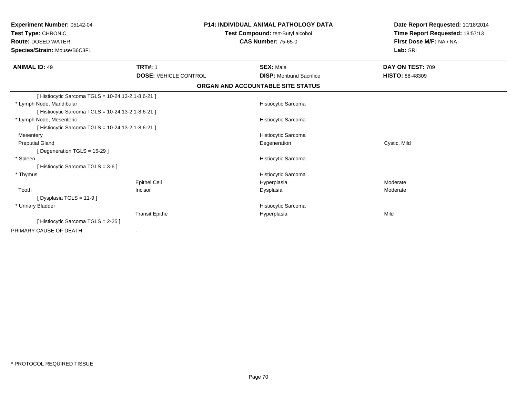| Experiment Number: 05142-04<br>Test Type: CHRONIC<br><b>Route: DOSED WATER</b><br>Species/Strain: Mouse/B6C3F1 |                              | <b>P14: INDIVIDUAL ANIMAL PATHOLOGY DATA</b><br>Test Compound: tert-Butyl alcohol<br><b>CAS Number: 75-65-0</b> | Date Report Requested: 10/18/2014<br>Time Report Requested: 18:57:13<br>First Dose M/F: NA / NA<br>Lab: SRI |
|----------------------------------------------------------------------------------------------------------------|------------------------------|-----------------------------------------------------------------------------------------------------------------|-------------------------------------------------------------------------------------------------------------|
| <b>ANIMAL ID: 49</b>                                                                                           | <b>TRT#: 1</b>               | <b>SEX: Male</b>                                                                                                | DAY ON TEST: 709                                                                                            |
|                                                                                                                | <b>DOSE: VEHICLE CONTROL</b> | <b>DISP: Moribund Sacrifice</b>                                                                                 | <b>HISTO: 88-48309</b>                                                                                      |
|                                                                                                                |                              | ORGAN AND ACCOUNTABLE SITE STATUS                                                                               |                                                                                                             |
| [ Histiocytic Sarcoma TGLS = 10-24,13-2,1-8,6-21 ]                                                             |                              |                                                                                                                 |                                                                                                             |
| * Lymph Node, Mandibular                                                                                       |                              | <b>Histiocytic Sarcoma</b>                                                                                      |                                                                                                             |
| [ Histiocytic Sarcoma TGLS = 10-24,13-2,1-8,6-21 ]                                                             |                              |                                                                                                                 |                                                                                                             |
| * Lymph Node, Mesenteric                                                                                       |                              | Histiocytic Sarcoma                                                                                             |                                                                                                             |
| [ Histiocytic Sarcoma TGLS = 10-24,13-2,1-8,6-21 ]                                                             |                              |                                                                                                                 |                                                                                                             |
| Mesentery                                                                                                      |                              | Histiocytic Sarcoma                                                                                             |                                                                                                             |
| <b>Preputial Gland</b>                                                                                         |                              | Degeneration                                                                                                    | Cystic, Mild                                                                                                |
| [Degeneration TGLS = 15-29]                                                                                    |                              |                                                                                                                 |                                                                                                             |
| * Spleen                                                                                                       |                              | <b>Histiocytic Sarcoma</b>                                                                                      |                                                                                                             |
| [ Histiocytic Sarcoma TGLS = 3-6 ]                                                                             |                              |                                                                                                                 |                                                                                                             |
| * Thymus                                                                                                       |                              | Histiocytic Sarcoma                                                                                             |                                                                                                             |
|                                                                                                                | <b>Epithel Cell</b>          | Hyperplasia                                                                                                     | Moderate                                                                                                    |
| Tooth                                                                                                          | Incisor                      | Dysplasia                                                                                                       | Moderate                                                                                                    |
| [Dysplasia TGLS = 11-9]                                                                                        |                              |                                                                                                                 |                                                                                                             |
| * Urinary Bladder                                                                                              |                              | Histiocytic Sarcoma                                                                                             |                                                                                                             |
|                                                                                                                | <b>Transit Epithe</b>        | Hyperplasia                                                                                                     | Mild                                                                                                        |
| [ Histiocytic Sarcoma TGLS = 2-25 ]                                                                            |                              |                                                                                                                 |                                                                                                             |
| PRIMARY CAUSE OF DEATH                                                                                         |                              |                                                                                                                 |                                                                                                             |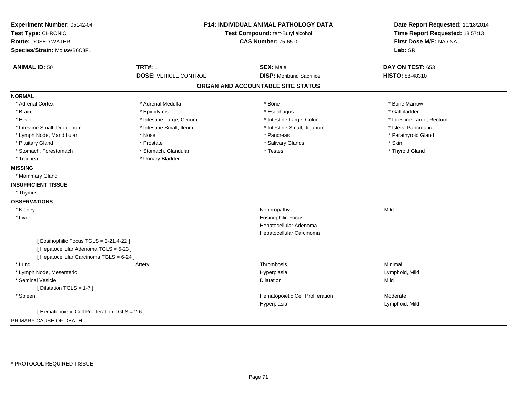| Experiment Number: 05142-04<br>Test Type: CHRONIC<br><b>Route: DOSED WATER</b><br>Species/Strain: Mouse/B6C3F1 | <b>P14: INDIVIDUAL ANIMAL PATHOLOGY DATA</b><br>Test Compound: tert-Butyl alcohol<br><b>CAS Number: 75-65-0</b> |                                   | Date Report Requested: 10/18/2014<br>Time Report Requested: 18:57:13<br>First Dose M/F: NA / NA<br>Lab: SRI |
|----------------------------------------------------------------------------------------------------------------|-----------------------------------------------------------------------------------------------------------------|-----------------------------------|-------------------------------------------------------------------------------------------------------------|
| <b>ANIMAL ID: 50</b>                                                                                           | <b>TRT#: 1</b>                                                                                                  | <b>SEX: Male</b>                  | DAY ON TEST: 653                                                                                            |
|                                                                                                                | <b>DOSE: VEHICLE CONTROL</b>                                                                                    | <b>DISP:</b> Moribund Sacrifice   | <b>HISTO: 88-48310</b>                                                                                      |
|                                                                                                                |                                                                                                                 | ORGAN AND ACCOUNTABLE SITE STATUS |                                                                                                             |
| <b>NORMAL</b>                                                                                                  |                                                                                                                 |                                   |                                                                                                             |
| * Adrenal Cortex                                                                                               | * Adrenal Medulla                                                                                               | * Bone                            | * Bone Marrow                                                                                               |
| * Brain                                                                                                        | * Epididymis                                                                                                    | * Esophagus                       | * Gallbladder                                                                                               |
| * Heart                                                                                                        | * Intestine Large, Cecum                                                                                        | * Intestine Large, Colon          | * Intestine Large, Rectum                                                                                   |
| * Intestine Small, Duodenum                                                                                    | * Intestine Small, Ileum                                                                                        | * Intestine Small, Jejunum        | * Islets, Pancreatic                                                                                        |
| * Lymph Node, Mandibular                                                                                       | * Nose                                                                                                          | * Pancreas                        | * Parathyroid Gland                                                                                         |
| * Pituitary Gland                                                                                              | * Prostate                                                                                                      | * Salivary Glands                 | * Skin                                                                                                      |
| * Stomach, Forestomach                                                                                         | * Stomach, Glandular                                                                                            | * Testes                          | * Thyroid Gland                                                                                             |
| * Trachea                                                                                                      | * Urinary Bladder                                                                                               |                                   |                                                                                                             |
| <b>MISSING</b>                                                                                                 |                                                                                                                 |                                   |                                                                                                             |
| * Mammary Gland                                                                                                |                                                                                                                 |                                   |                                                                                                             |
| <b>INSUFFICIENT TISSUE</b>                                                                                     |                                                                                                                 |                                   |                                                                                                             |
| * Thymus                                                                                                       |                                                                                                                 |                                   |                                                                                                             |
| <b>OBSERVATIONS</b>                                                                                            |                                                                                                                 |                                   |                                                                                                             |
| * Kidney                                                                                                       |                                                                                                                 | Nephropathy                       | Mild                                                                                                        |
| * Liver                                                                                                        |                                                                                                                 | <b>Eosinophilic Focus</b>         |                                                                                                             |
|                                                                                                                |                                                                                                                 | Hepatocellular Adenoma            |                                                                                                             |
|                                                                                                                |                                                                                                                 | Hepatocellular Carcinoma          |                                                                                                             |
| [ Eosinophilic Focus TGLS = 3-21,4-22 ]                                                                        |                                                                                                                 |                                   |                                                                                                             |
| [ Hepatocellular Adenoma TGLS = 5-23 ]                                                                         |                                                                                                                 |                                   |                                                                                                             |
| [ Hepatocellular Carcinoma TGLS = 6-24 ]                                                                       |                                                                                                                 |                                   |                                                                                                             |
| * Lung                                                                                                         | Artery                                                                                                          | Thrombosis                        | Minimal                                                                                                     |
| * Lymph Node, Mesenteric                                                                                       |                                                                                                                 | Hyperplasia                       | Lymphoid, Mild                                                                                              |
| * Seminal Vesicle                                                                                              |                                                                                                                 | Dilatation                        | Mild                                                                                                        |
| [ Dilatation TGLS = 1-7 ]                                                                                      |                                                                                                                 |                                   |                                                                                                             |
| * Spleen                                                                                                       |                                                                                                                 | Hematopoietic Cell Proliferation  | Moderate                                                                                                    |
|                                                                                                                |                                                                                                                 | Hyperplasia                       | Lymphoid, Mild                                                                                              |
| [ Hematopoietic Cell Proliferation TGLS = 2-6 ]                                                                |                                                                                                                 |                                   |                                                                                                             |
| PRIMARY CAUSE OF DEATH                                                                                         |                                                                                                                 |                                   |                                                                                                             |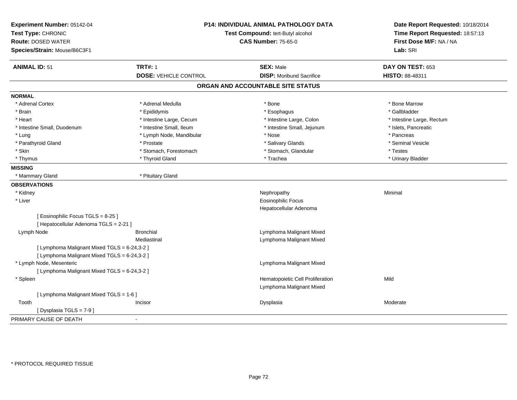| Experiment Number: 05142-04<br>Test Type: CHRONIC<br><b>Route: DOSED WATER</b><br>Species/Strain: Mouse/B6C3F1 |                              | P14: INDIVIDUAL ANIMAL PATHOLOGY DATA<br>Test Compound: tert-Butyl alcohol<br><b>CAS Number: 75-65-0</b> | Date Report Requested: 10/18/2014<br>Time Report Requested: 18:57:13<br>First Dose M/F: NA / NA<br>Lab: SRI |
|----------------------------------------------------------------------------------------------------------------|------------------------------|----------------------------------------------------------------------------------------------------------|-------------------------------------------------------------------------------------------------------------|
|                                                                                                                |                              |                                                                                                          |                                                                                                             |
| <b>ANIMAL ID: 51</b>                                                                                           | <b>TRT#: 1</b>               | <b>SEX: Male</b>                                                                                         | DAY ON TEST: 653                                                                                            |
|                                                                                                                | <b>DOSE: VEHICLE CONTROL</b> | <b>DISP:</b> Moribund Sacrifice                                                                          | HISTO: 88-48311                                                                                             |
|                                                                                                                |                              | ORGAN AND ACCOUNTABLE SITE STATUS                                                                        |                                                                                                             |
| <b>NORMAL</b>                                                                                                  |                              |                                                                                                          |                                                                                                             |
| * Adrenal Cortex                                                                                               | * Adrenal Medulla            | * Bone                                                                                                   | * Bone Marrow                                                                                               |
| * Brain                                                                                                        | * Epididymis                 | * Esophagus                                                                                              | * Gallbladder                                                                                               |
| * Heart                                                                                                        | * Intestine Large, Cecum     | * Intestine Large, Colon                                                                                 | * Intestine Large, Rectum                                                                                   |
| * Intestine Small, Duodenum                                                                                    | * Intestine Small, Ileum     | * Intestine Small, Jejunum                                                                               | * Islets, Pancreatic                                                                                        |
| * Lung                                                                                                         | * Lymph Node, Mandibular     | * Nose                                                                                                   | * Pancreas                                                                                                  |
| * Parathyroid Gland                                                                                            | * Prostate                   | * Salivary Glands                                                                                        | * Seminal Vesicle                                                                                           |
| * Skin                                                                                                         | * Stomach, Forestomach       | * Stomach, Glandular                                                                                     | * Testes                                                                                                    |
| * Thymus                                                                                                       | * Thyroid Gland              | * Trachea                                                                                                | * Urinary Bladder                                                                                           |
| <b>MISSING</b>                                                                                                 |                              |                                                                                                          |                                                                                                             |
| * Mammary Gland                                                                                                | * Pituitary Gland            |                                                                                                          |                                                                                                             |
| <b>OBSERVATIONS</b>                                                                                            |                              |                                                                                                          |                                                                                                             |
| * Kidney                                                                                                       |                              | Nephropathy                                                                                              | Minimal                                                                                                     |
| * Liver                                                                                                        |                              | Eosinophilic Focus                                                                                       |                                                                                                             |
|                                                                                                                |                              | Hepatocellular Adenoma                                                                                   |                                                                                                             |
| [Eosinophilic Focus TGLS = 8-25]                                                                               |                              |                                                                                                          |                                                                                                             |
| [ Hepatocellular Adenoma TGLS = 2-21 ]                                                                         |                              |                                                                                                          |                                                                                                             |
| Lymph Node                                                                                                     | <b>Bronchial</b>             | Lymphoma Malignant Mixed                                                                                 |                                                                                                             |
|                                                                                                                | Mediastinal                  | Lymphoma Malignant Mixed                                                                                 |                                                                                                             |
| [ Lymphoma Malignant Mixed TGLS = 6-24,3-2 ]                                                                   |                              |                                                                                                          |                                                                                                             |
| [ Lymphoma Malignant Mixed TGLS = 6-24,3-2 ]                                                                   |                              |                                                                                                          |                                                                                                             |
| * Lymph Node, Mesenteric                                                                                       |                              | Lymphoma Malignant Mixed                                                                                 |                                                                                                             |
| [ Lymphoma Malignant Mixed TGLS = 6-24,3-2 ]                                                                   |                              |                                                                                                          |                                                                                                             |
| * Spleen                                                                                                       |                              | Hematopoietic Cell Proliferation                                                                         | Mild                                                                                                        |
|                                                                                                                |                              | Lymphoma Malignant Mixed                                                                                 |                                                                                                             |
| [ Lymphoma Malignant Mixed TGLS = 1-6 ]                                                                        |                              |                                                                                                          |                                                                                                             |
| Tooth                                                                                                          | Incisor                      | Dysplasia                                                                                                | Moderate                                                                                                    |
| [Dysplasia TGLS = 7-9]                                                                                         |                              |                                                                                                          |                                                                                                             |
| PRIMARY CAUSE OF DEATH                                                                                         |                              |                                                                                                          |                                                                                                             |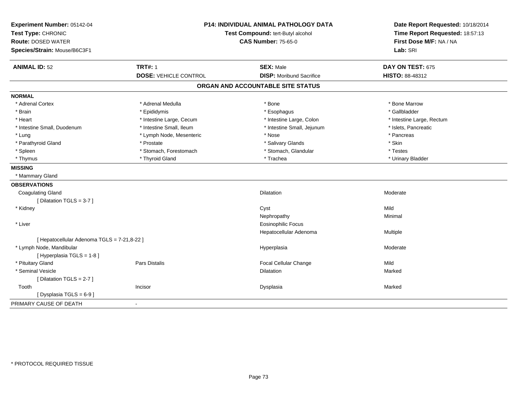| Experiment Number: 05142-04<br>Test Type: CHRONIC<br><b>Route: DOSED WATER</b><br>Species/Strain: Mouse/B6C3F1 | P14: INDIVIDUAL ANIMAL PATHOLOGY DATA<br>Test Compound: tert-Butyl alcohol<br><b>CAS Number: 75-65-0</b> |                                   | Date Report Requested: 10/18/2014<br>Time Report Requested: 18:57:13<br>First Dose M/F: NA / NA<br>Lab: SRI |  |
|----------------------------------------------------------------------------------------------------------------|----------------------------------------------------------------------------------------------------------|-----------------------------------|-------------------------------------------------------------------------------------------------------------|--|
| <b>ANIMAL ID: 52</b>                                                                                           | <b>TRT#: 1</b>                                                                                           | <b>SEX: Male</b>                  | DAY ON TEST: 675                                                                                            |  |
|                                                                                                                | <b>DOSE: VEHICLE CONTROL</b>                                                                             | <b>DISP: Moribund Sacrifice</b>   | HISTO: 88-48312                                                                                             |  |
|                                                                                                                |                                                                                                          | ORGAN AND ACCOUNTABLE SITE STATUS |                                                                                                             |  |
| <b>NORMAL</b>                                                                                                  |                                                                                                          |                                   |                                                                                                             |  |
| * Adrenal Cortex                                                                                               | * Adrenal Medulla                                                                                        | * Bone                            | * Bone Marrow                                                                                               |  |
| * Brain                                                                                                        | * Epididymis                                                                                             | * Esophagus                       | * Gallbladder                                                                                               |  |
| * Heart                                                                                                        | * Intestine Large, Cecum                                                                                 | * Intestine Large, Colon          | * Intestine Large, Rectum                                                                                   |  |
| * Intestine Small, Duodenum                                                                                    | * Intestine Small, Ileum                                                                                 | * Intestine Small, Jejunum        | * Islets, Pancreatic                                                                                        |  |
| * Lung                                                                                                         | * Lymph Node, Mesenteric                                                                                 | * Nose                            | * Pancreas                                                                                                  |  |
| * Parathyroid Gland                                                                                            | * Prostate                                                                                               | * Salivary Glands                 | * Skin                                                                                                      |  |
| * Spleen                                                                                                       | * Stomach, Forestomach                                                                                   | * Stomach, Glandular              | * Testes                                                                                                    |  |
| * Thymus                                                                                                       | * Thyroid Gland                                                                                          | * Trachea                         | * Urinary Bladder                                                                                           |  |
| <b>MISSING</b>                                                                                                 |                                                                                                          |                                   |                                                                                                             |  |
| * Mammary Gland                                                                                                |                                                                                                          |                                   |                                                                                                             |  |
| <b>OBSERVATIONS</b>                                                                                            |                                                                                                          |                                   |                                                                                                             |  |
| <b>Coagulating Gland</b>                                                                                       |                                                                                                          | <b>Dilatation</b>                 | Moderate                                                                                                    |  |
| [ Dilatation TGLS = 3-7 ]                                                                                      |                                                                                                          |                                   |                                                                                                             |  |
| * Kidney                                                                                                       |                                                                                                          | Cyst                              | Mild                                                                                                        |  |
|                                                                                                                |                                                                                                          | Nephropathy                       | Minimal                                                                                                     |  |
| * Liver                                                                                                        |                                                                                                          | <b>Eosinophilic Focus</b>         |                                                                                                             |  |
|                                                                                                                |                                                                                                          | Hepatocellular Adenoma            | Multiple                                                                                                    |  |
| [ Hepatocellular Adenoma TGLS = 7-21,8-22 ]                                                                    |                                                                                                          |                                   |                                                                                                             |  |
| * Lymph Node, Mandibular                                                                                       |                                                                                                          | Hyperplasia                       | Moderate                                                                                                    |  |
| [Hyperplasia TGLS = 1-8]                                                                                       |                                                                                                          |                                   |                                                                                                             |  |
| * Pituitary Gland                                                                                              | Pars Distalis                                                                                            | <b>Focal Cellular Change</b>      | Mild                                                                                                        |  |
| * Seminal Vesicle                                                                                              |                                                                                                          | <b>Dilatation</b>                 | Marked                                                                                                      |  |
| [ Dilatation TGLS = $2-7$ ]                                                                                    |                                                                                                          |                                   |                                                                                                             |  |
| Tooth                                                                                                          | Incisor                                                                                                  | Dysplasia                         | Marked                                                                                                      |  |
| [ Dysplasia TGLS = $6-9$ ]                                                                                     |                                                                                                          |                                   |                                                                                                             |  |
| PRIMARY CAUSE OF DEATH                                                                                         | ÷                                                                                                        |                                   |                                                                                                             |  |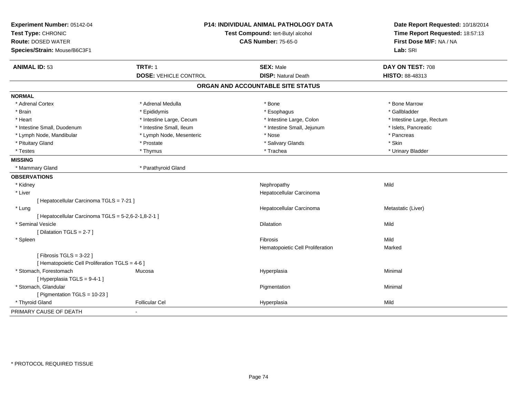| Experiment Number: 05142-04<br>Test Type: CHRONIC<br><b>Route: DOSED WATER</b><br>Species/Strain: Mouse/B6C3F1 | P14: INDIVIDUAL ANIMAL PATHOLOGY DATA<br>Test Compound: tert-Butyl alcohol<br><b>CAS Number: 75-65-0</b> |                                                | Date Report Requested: 10/18/2014<br>Time Report Requested: 18:57:13<br>First Dose M/F: NA / NA<br>Lab: SRI |
|----------------------------------------------------------------------------------------------------------------|----------------------------------------------------------------------------------------------------------|------------------------------------------------|-------------------------------------------------------------------------------------------------------------|
| <b>ANIMAL ID: 53</b>                                                                                           | <b>TRT#: 1</b><br><b>DOSE: VEHICLE CONTROL</b>                                                           | <b>SEX: Male</b><br><b>DISP: Natural Death</b> | DAY ON TEST: 708<br>HISTO: 88-48313                                                                         |
|                                                                                                                |                                                                                                          | ORGAN AND ACCOUNTABLE SITE STATUS              |                                                                                                             |
| <b>NORMAL</b>                                                                                                  |                                                                                                          |                                                |                                                                                                             |
| * Adrenal Cortex                                                                                               | * Adrenal Medulla                                                                                        | * Bone                                         | * Bone Marrow                                                                                               |
| * Brain                                                                                                        | * Epididymis                                                                                             | * Esophagus                                    | * Gallbladder                                                                                               |
| * Heart                                                                                                        | * Intestine Large, Cecum                                                                                 | * Intestine Large, Colon                       | * Intestine Large, Rectum                                                                                   |
| * Intestine Small, Duodenum                                                                                    | * Intestine Small, Ileum                                                                                 | * Intestine Small, Jejunum                     | * Islets, Pancreatic                                                                                        |
| * Lymph Node, Mandibular                                                                                       | * Lymph Node, Mesenteric                                                                                 | * Nose                                         | * Pancreas                                                                                                  |
| * Pituitary Gland                                                                                              | * Prostate                                                                                               | * Salivary Glands                              | * Skin                                                                                                      |
| * Testes                                                                                                       | * Thymus                                                                                                 | * Trachea                                      | * Urinary Bladder                                                                                           |
| <b>MISSING</b>                                                                                                 |                                                                                                          |                                                |                                                                                                             |
| * Mammary Gland                                                                                                | * Parathyroid Gland                                                                                      |                                                |                                                                                                             |
| <b>OBSERVATIONS</b>                                                                                            |                                                                                                          |                                                |                                                                                                             |
| * Kidney                                                                                                       |                                                                                                          | Nephropathy                                    | Mild                                                                                                        |
| * Liver                                                                                                        |                                                                                                          | Hepatocellular Carcinoma                       |                                                                                                             |
| [ Hepatocellular Carcinoma TGLS = 7-21 ]                                                                       |                                                                                                          |                                                |                                                                                                             |
| * Lung                                                                                                         |                                                                                                          | Hepatocellular Carcinoma                       | Metastatic (Liver)                                                                                          |
| [ Hepatocellular Carcinoma TGLS = 5-2,6-2-1,8-2-1 ]                                                            |                                                                                                          |                                                |                                                                                                             |
| * Seminal Vesicle                                                                                              |                                                                                                          | Dilatation                                     | Mild                                                                                                        |
| [ Dilatation TGLS = 2-7 ]                                                                                      |                                                                                                          |                                                |                                                                                                             |
| * Spleen                                                                                                       |                                                                                                          | <b>Fibrosis</b>                                | Mild                                                                                                        |
|                                                                                                                |                                                                                                          | Hematopoietic Cell Proliferation               | Marked                                                                                                      |
| [Fibrosis TGLS = $3-22$ ]<br>[ Hematopoietic Cell Proliferation TGLS = 4-6 ]                                   |                                                                                                          |                                                |                                                                                                             |
| * Stomach, Forestomach                                                                                         | Mucosa                                                                                                   | Hyperplasia                                    | Minimal                                                                                                     |
| [Hyperplasia TGLS = 9-4-1]                                                                                     |                                                                                                          |                                                |                                                                                                             |
| * Stomach, Glandular                                                                                           |                                                                                                          | Pigmentation                                   | Minimal                                                                                                     |
| [ Pigmentation TGLS = 10-23 ]                                                                                  |                                                                                                          |                                                |                                                                                                             |
| * Thyroid Gland                                                                                                | <b>Follicular Cel</b>                                                                                    | Hyperplasia                                    | Mild                                                                                                        |
| PRIMARY CAUSE OF DEATH                                                                                         |                                                                                                          |                                                |                                                                                                             |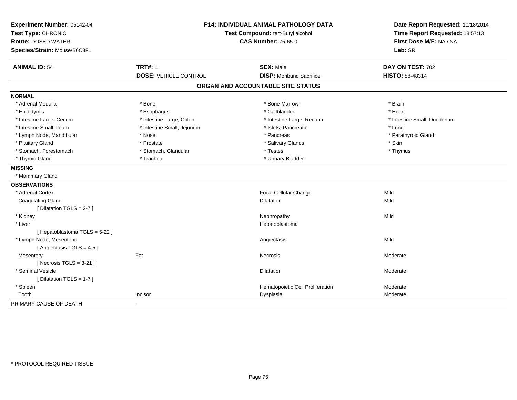| Experiment Number: 05142-04<br>Test Type: CHRONIC<br><b>Route: DOSED WATER</b><br>Species/Strain: Mouse/B6C3F1 |                                                | P14: INDIVIDUAL ANIMAL PATHOLOGY DATA<br>Test Compound: tert-Butyl alcohol<br><b>CAS Number: 75-65-0</b> | Date Report Requested: 10/18/2014<br>Time Report Requested: 18:57:13<br>First Dose M/F: NA / NA<br>Lab: SRI |  |
|----------------------------------------------------------------------------------------------------------------|------------------------------------------------|----------------------------------------------------------------------------------------------------------|-------------------------------------------------------------------------------------------------------------|--|
| <b>ANIMAL ID: 54</b>                                                                                           | <b>TRT#: 1</b><br><b>DOSE: VEHICLE CONTROL</b> | <b>SEX: Male</b><br><b>DISP:</b> Moribund Sacrifice                                                      | DAY ON TEST: 702<br><b>HISTO: 88-48314</b>                                                                  |  |
|                                                                                                                |                                                | ORGAN AND ACCOUNTABLE SITE STATUS                                                                        |                                                                                                             |  |
| <b>NORMAL</b>                                                                                                  |                                                |                                                                                                          |                                                                                                             |  |
| * Adrenal Medulla                                                                                              | * Bone                                         | * Bone Marrow                                                                                            | * Brain                                                                                                     |  |
|                                                                                                                |                                                | * Gallbladder                                                                                            | * Heart                                                                                                     |  |
| * Epididymis<br>* Intestine Large, Cecum                                                                       | * Esophagus<br>* Intestine Large, Colon        | * Intestine Large, Rectum                                                                                | * Intestine Small, Duodenum                                                                                 |  |
| * Intestine Small, Ileum                                                                                       | * Intestine Small, Jejunum                     | * Islets, Pancreatic                                                                                     | * Lung                                                                                                      |  |
| * Lymph Node, Mandibular                                                                                       | * Nose                                         | * Pancreas                                                                                               | * Parathyroid Gland                                                                                         |  |
| * Pituitary Gland                                                                                              | * Prostate                                     | * Salivary Glands                                                                                        | * Skin                                                                                                      |  |
| * Stomach, Forestomach                                                                                         | * Stomach, Glandular                           | * Testes                                                                                                 | * Thymus                                                                                                    |  |
| * Thyroid Gland                                                                                                | * Trachea                                      | * Urinary Bladder                                                                                        |                                                                                                             |  |
| <b>MISSING</b>                                                                                                 |                                                |                                                                                                          |                                                                                                             |  |
| * Mammary Gland                                                                                                |                                                |                                                                                                          |                                                                                                             |  |
| <b>OBSERVATIONS</b>                                                                                            |                                                |                                                                                                          |                                                                                                             |  |
| * Adrenal Cortex                                                                                               |                                                | Focal Cellular Change                                                                                    | Mild                                                                                                        |  |
| <b>Coagulating Gland</b>                                                                                       |                                                | <b>Dilatation</b>                                                                                        | Mild                                                                                                        |  |
| [ Dilatation TGLS = 2-7 ]                                                                                      |                                                |                                                                                                          |                                                                                                             |  |
| * Kidney                                                                                                       |                                                | Nephropathy                                                                                              | Mild                                                                                                        |  |
| * Liver                                                                                                        |                                                | Hepatoblastoma                                                                                           |                                                                                                             |  |
| [Hepatoblastoma TGLS = 5-22]                                                                                   |                                                |                                                                                                          |                                                                                                             |  |
| * Lymph Node, Mesenteric                                                                                       |                                                | Angiectasis                                                                                              | Mild                                                                                                        |  |
| [Angiectasis TGLS = 4-5]                                                                                       |                                                |                                                                                                          |                                                                                                             |  |
| Mesentery                                                                                                      | Fat                                            | <b>Necrosis</b>                                                                                          | Moderate                                                                                                    |  |
| [Necrosis $TGLS = 3-21$ ]                                                                                      |                                                |                                                                                                          |                                                                                                             |  |
| * Seminal Vesicle                                                                                              |                                                | Dilatation                                                                                               | Moderate                                                                                                    |  |
| [ Dilatation TGLS = 1-7 ]                                                                                      |                                                |                                                                                                          |                                                                                                             |  |
| * Spleen                                                                                                       |                                                | Hematopoietic Cell Proliferation                                                                         | Moderate                                                                                                    |  |
| Tooth                                                                                                          | Incisor                                        | Dysplasia                                                                                                | Moderate                                                                                                    |  |
| PRIMARY CAUSE OF DEATH                                                                                         |                                                |                                                                                                          |                                                                                                             |  |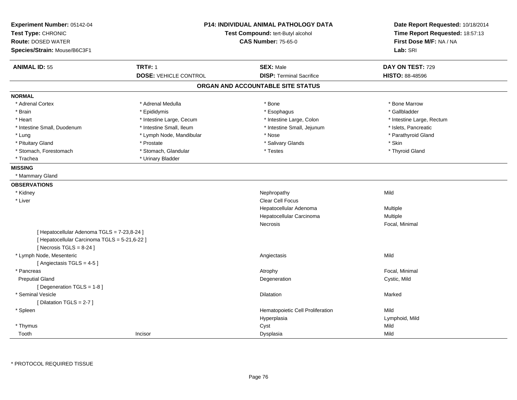| Experiment Number: 05142-04<br>Test Type: CHRONIC<br><b>Route: DOSED WATER</b><br>Species/Strain: Mouse/B6C3F1            | <b>P14: INDIVIDUAL ANIMAL PATHOLOGY DATA</b><br>Test Compound: tert-Butyl alcohol<br><b>CAS Number: 75-65-0</b> |                                   | Date Report Requested: 10/18/2014<br>Time Report Requested: 18:57:13<br>First Dose M/F: NA / NA<br>Lab: SRI |
|---------------------------------------------------------------------------------------------------------------------------|-----------------------------------------------------------------------------------------------------------------|-----------------------------------|-------------------------------------------------------------------------------------------------------------|
| <b>ANIMAL ID: 55</b>                                                                                                      | <b>TRT#: 1</b>                                                                                                  | <b>SEX: Male</b>                  | DAY ON TEST: 729                                                                                            |
|                                                                                                                           | <b>DOSE: VEHICLE CONTROL</b>                                                                                    | <b>DISP: Terminal Sacrifice</b>   | HISTO: 88-48596                                                                                             |
|                                                                                                                           |                                                                                                                 | ORGAN AND ACCOUNTABLE SITE STATUS |                                                                                                             |
| <b>NORMAL</b>                                                                                                             |                                                                                                                 |                                   |                                                                                                             |
| * Adrenal Cortex                                                                                                          | * Adrenal Medulla                                                                                               | * Bone                            | * Bone Marrow                                                                                               |
| * Brain                                                                                                                   | * Epididymis                                                                                                    | * Esophagus                       | * Gallbladder                                                                                               |
| * Heart                                                                                                                   | * Intestine Large, Cecum                                                                                        | * Intestine Large, Colon          | * Intestine Large, Rectum                                                                                   |
| * Intestine Small, Duodenum                                                                                               | * Intestine Small, Ileum                                                                                        | * Intestine Small, Jejunum        | * Islets, Pancreatic                                                                                        |
| * Lung                                                                                                                    | * Lymph Node, Mandibular                                                                                        | * Nose                            | * Parathyroid Gland                                                                                         |
| * Pituitary Gland                                                                                                         | * Prostate                                                                                                      | * Salivary Glands                 | * Skin                                                                                                      |
| * Stomach, Forestomach                                                                                                    | * Stomach, Glandular                                                                                            | * Testes                          | * Thyroid Gland                                                                                             |
| * Trachea                                                                                                                 | * Urinary Bladder                                                                                               |                                   |                                                                                                             |
| <b>MISSING</b>                                                                                                            |                                                                                                                 |                                   |                                                                                                             |
| * Mammary Gland                                                                                                           |                                                                                                                 |                                   |                                                                                                             |
| <b>OBSERVATIONS</b>                                                                                                       |                                                                                                                 |                                   |                                                                                                             |
| * Kidney                                                                                                                  |                                                                                                                 | Nephropathy                       | Mild                                                                                                        |
| * Liver                                                                                                                   |                                                                                                                 | <b>Clear Cell Focus</b>           |                                                                                                             |
|                                                                                                                           |                                                                                                                 | Hepatocellular Adenoma            | Multiple                                                                                                    |
|                                                                                                                           |                                                                                                                 | Hepatocellular Carcinoma          | Multiple                                                                                                    |
|                                                                                                                           |                                                                                                                 | Necrosis                          | Focal, Minimal                                                                                              |
| [ Hepatocellular Adenoma TGLS = 7-23,8-24 ]<br>[ Hepatocellular Carcinoma TGLS = 5-21,6-22 ]<br>[Necrosis $TGLS = 8-24$ ] |                                                                                                                 |                                   |                                                                                                             |
| * Lymph Node, Mesenteric                                                                                                  |                                                                                                                 | Angiectasis                       | Mild                                                                                                        |
| [Angiectasis TGLS = 4-5]                                                                                                  |                                                                                                                 |                                   |                                                                                                             |
| * Pancreas                                                                                                                |                                                                                                                 | Atrophy                           | Focal, Minimal                                                                                              |
| <b>Preputial Gland</b><br>[Degeneration TGLS = 1-8]                                                                       |                                                                                                                 | Degeneration                      | Cystic, Mild                                                                                                |
| * Seminal Vesicle                                                                                                         |                                                                                                                 | Dilatation                        | Marked                                                                                                      |
| [Dilatation TGLS = 2-7]                                                                                                   |                                                                                                                 |                                   |                                                                                                             |
| * Spleen                                                                                                                  |                                                                                                                 | Hematopoietic Cell Proliferation  | Mild                                                                                                        |
|                                                                                                                           |                                                                                                                 | Hyperplasia                       | Lymphoid, Mild                                                                                              |
| * Thymus                                                                                                                  |                                                                                                                 | Cyst                              | Mild                                                                                                        |
| Tooth                                                                                                                     | Incisor                                                                                                         | Dysplasia                         | Mild                                                                                                        |
|                                                                                                                           |                                                                                                                 |                                   |                                                                                                             |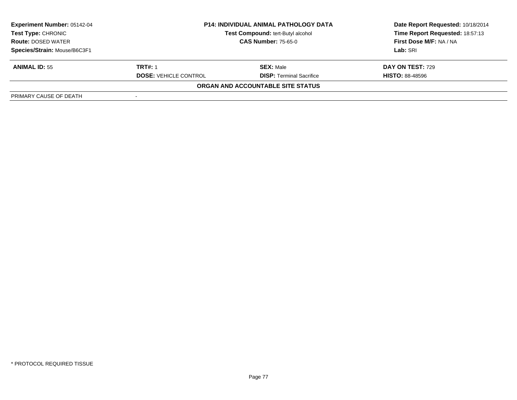| <b>Experiment Number: 05142-04</b><br>Test Type: CHRONIC<br><b>Route: DOSED WATER</b> | <b>P14: INDIVIDUAL ANIMAL PATHOLOGY DATA</b><br>Test Compound: tert-Butyl alcohol<br><b>CAS Number: 75-65-0</b> |                                   | Date Report Requested: 10/18/2014<br>Time Report Requested: 18:57:13<br>First Dose M/F: NA / NA |
|---------------------------------------------------------------------------------------|-----------------------------------------------------------------------------------------------------------------|-----------------------------------|-------------------------------------------------------------------------------------------------|
| Species/Strain: Mouse/B6C3F1                                                          |                                                                                                                 |                                   | Lab: SRI                                                                                        |
|                                                                                       |                                                                                                                 |                                   |                                                                                                 |
| <b>ANIMAL ID: 55</b>                                                                  | <b>TRT#: 1</b>                                                                                                  | <b>SEX: Male</b>                  | <b>DAY ON TEST: 729</b>                                                                         |
|                                                                                       | <b>DOSE: VEHICLE CONTROL</b>                                                                                    | <b>DISP: Terminal Sacrifice</b>   | <b>HISTO: 88-48596</b>                                                                          |
|                                                                                       |                                                                                                                 | ORGAN AND ACCOUNTABLE SITE STATUS |                                                                                                 |
| PRIMARY CAUSE OF DEATH                                                                |                                                                                                                 |                                   |                                                                                                 |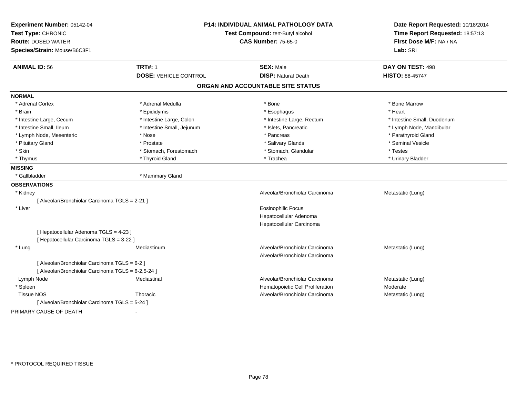| Experiment Number: 05142-04<br>Test Type: CHRONIC<br><b>Route: DOSED WATER</b><br>Species/Strain: Mouse/B6C3F1 |                              | <b>P14: INDIVIDUAL ANIMAL PATHOLOGY DATA</b><br>Test Compound: tert-Butyl alcohol<br><b>CAS Number: 75-65-0</b> |                             |
|----------------------------------------------------------------------------------------------------------------|------------------------------|-----------------------------------------------------------------------------------------------------------------|-----------------------------|
| <b>ANIMAL ID: 56</b>                                                                                           | <b>TRT#: 1</b>               | <b>SEX: Male</b>                                                                                                | DAY ON TEST: 498            |
|                                                                                                                | <b>DOSE: VEHICLE CONTROL</b> | <b>DISP: Natural Death</b>                                                                                      | HISTO: 88-45747             |
|                                                                                                                |                              | ORGAN AND ACCOUNTABLE SITE STATUS                                                                               |                             |
| <b>NORMAL</b>                                                                                                  |                              |                                                                                                                 |                             |
| * Adrenal Cortex                                                                                               | * Adrenal Medulla            | * Bone                                                                                                          | * Bone Marrow               |
| * Brain                                                                                                        | * Epididymis                 | * Esophagus                                                                                                     | * Heart                     |
| * Intestine Large, Cecum                                                                                       | * Intestine Large, Colon     | * Intestine Large, Rectum                                                                                       | * Intestine Small, Duodenum |
| * Intestine Small, Ileum                                                                                       | * Intestine Small, Jejunum   | * Islets, Pancreatic                                                                                            | * Lymph Node, Mandibular    |
| * Lymph Node, Mesenteric                                                                                       | * Nose                       | * Pancreas                                                                                                      | * Parathyroid Gland         |
| * Pituitary Gland                                                                                              | * Prostate                   | * Salivary Glands                                                                                               | * Seminal Vesicle           |
| * Skin                                                                                                         | * Stomach, Forestomach       | * Stomach, Glandular                                                                                            | * Testes                    |
| * Thymus                                                                                                       | * Thyroid Gland              | * Trachea                                                                                                       | * Urinary Bladder           |
| <b>MISSING</b>                                                                                                 |                              |                                                                                                                 |                             |
| * Gallbladder                                                                                                  | * Mammary Gland              |                                                                                                                 |                             |
| <b>OBSERVATIONS</b>                                                                                            |                              |                                                                                                                 |                             |
| * Kidney                                                                                                       |                              | Alveolar/Bronchiolar Carcinoma                                                                                  | Metastatic (Lung)           |
| [ Alveolar/Bronchiolar Carcinoma TGLS = 2-21 ]                                                                 |                              |                                                                                                                 |                             |
| * Liver                                                                                                        |                              | <b>Eosinophilic Focus</b>                                                                                       |                             |
|                                                                                                                |                              | Hepatocellular Adenoma                                                                                          |                             |
|                                                                                                                |                              | Hepatocellular Carcinoma                                                                                        |                             |
| [ Hepatocellular Adenoma TGLS = 4-23 ]                                                                         |                              |                                                                                                                 |                             |
| [ Hepatocellular Carcinoma TGLS = 3-22 ]                                                                       |                              |                                                                                                                 |                             |
| * Lung                                                                                                         | Mediastinum                  | Alveolar/Bronchiolar Carcinoma                                                                                  | Metastatic (Lung)           |
|                                                                                                                |                              | Alveolar/Bronchiolar Carcinoma                                                                                  |                             |
| [ Alveolar/Bronchiolar Carcinoma TGLS = 6-2 ]                                                                  |                              |                                                                                                                 |                             |
| [ Alveolar/Bronchiolar Carcinoma TGLS = 6-2,5-24 ]                                                             |                              |                                                                                                                 |                             |
| Lymph Node                                                                                                     | Mediastinal                  | Alveolar/Bronchiolar Carcinoma                                                                                  | Metastatic (Lung)           |
| * Spleen                                                                                                       |                              | Hematopoietic Cell Proliferation                                                                                | Moderate                    |
| <b>Tissue NOS</b>                                                                                              | Thoracic                     | Alveolar/Bronchiolar Carcinoma                                                                                  | Metastatic (Lung)           |
| [ Alveolar/Bronchiolar Carcinoma TGLS = 5-24 ]                                                                 |                              |                                                                                                                 |                             |
| PRIMARY CAUSE OF DEATH                                                                                         |                              |                                                                                                                 |                             |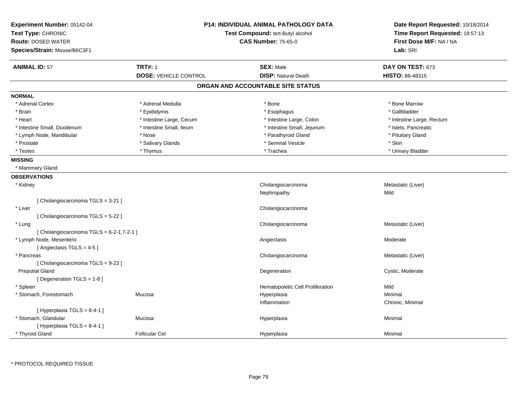| Experiment Number: 05142-04<br>Test Type: CHRONIC<br><b>Route: DOSED WATER</b><br>Species/Strain: Mouse/B6C3F1 | <b>P14: INDIVIDUAL ANIMAL PATHOLOGY DATA</b><br>Test Compound: tert-Butyl alcohol<br><b>CAS Number: 75-65-0</b> |                                   | Date Report Requested: 10/18/2014<br>Time Report Requested: 18:57:13<br>First Dose M/F: NA / NA<br>Lab: SRI |
|----------------------------------------------------------------------------------------------------------------|-----------------------------------------------------------------------------------------------------------------|-----------------------------------|-------------------------------------------------------------------------------------------------------------|
| <b>ANIMAL ID: 57</b>                                                                                           | <b>TRT#: 1</b>                                                                                                  | <b>SEX: Male</b>                  | DAY ON TEST: 673                                                                                            |
|                                                                                                                | <b>DOSE: VEHICLE CONTROL</b>                                                                                    | <b>DISP: Natural Death</b>        | <b>HISTO: 88-48315</b>                                                                                      |
|                                                                                                                |                                                                                                                 | ORGAN AND ACCOUNTABLE SITE STATUS |                                                                                                             |
| <b>NORMAL</b>                                                                                                  |                                                                                                                 |                                   |                                                                                                             |
| * Adrenal Cortex                                                                                               | * Adrenal Medulla                                                                                               | * Bone                            | * Bone Marrow                                                                                               |
| * Brain                                                                                                        | * Epididymis                                                                                                    | * Esophagus                       | * Gallbladder                                                                                               |
| * Heart                                                                                                        | * Intestine Large, Cecum                                                                                        | * Intestine Large, Colon          | * Intestine Large, Rectum                                                                                   |
| * Intestine Small, Duodenum                                                                                    | * Intestine Small, Ileum                                                                                        | * Intestine Small, Jejunum        | * Islets, Pancreatic                                                                                        |
| * Lymph Node, Mandibular                                                                                       | * Nose                                                                                                          | * Parathyroid Gland               | * Pituitary Gland                                                                                           |
| * Prostate                                                                                                     | * Salivary Glands                                                                                               | * Seminal Vesicle                 | * Skin                                                                                                      |
| * Testes                                                                                                       | * Thymus                                                                                                        | * Trachea                         | * Urinary Bladder                                                                                           |
| <b>MISSING</b>                                                                                                 |                                                                                                                 |                                   |                                                                                                             |
| * Mammary Gland                                                                                                |                                                                                                                 |                                   |                                                                                                             |
| <b>OBSERVATIONS</b>                                                                                            |                                                                                                                 |                                   |                                                                                                             |
| * Kidney                                                                                                       |                                                                                                                 | Cholangiocarcinoma                | Metastatic (Liver)                                                                                          |
|                                                                                                                |                                                                                                                 | Nephropathy                       | Mild                                                                                                        |
| [Cholangiocarcinoma TGLS = 3-21]                                                                               |                                                                                                                 |                                   |                                                                                                             |
| * Liver                                                                                                        |                                                                                                                 | Cholangiocarcinoma                |                                                                                                             |
| [Cholangiocarcinoma TGLS = 5-22]                                                                               |                                                                                                                 |                                   |                                                                                                             |
| * Lung                                                                                                         |                                                                                                                 | Cholangiocarcinoma                | Metastatic (Liver)                                                                                          |
| [ Cholangiocarcinoma TGLS = 6-2-1,7-2-1 ]                                                                      |                                                                                                                 |                                   |                                                                                                             |
| * Lymph Node, Mesenteric                                                                                       |                                                                                                                 | Angiectasis                       | Moderate                                                                                                    |
| [Angiectasis TGLS = 4-5]                                                                                       |                                                                                                                 |                                   |                                                                                                             |
| * Pancreas                                                                                                     |                                                                                                                 | Cholangiocarcinoma                | Metastatic (Liver)                                                                                          |
| [Cholangiocarcinoma TGLS = 9-23]                                                                               |                                                                                                                 |                                   |                                                                                                             |
| <b>Preputial Gland</b>                                                                                         |                                                                                                                 | Degeneration                      | Cystic, Moderate                                                                                            |
| [ Degeneration TGLS = 1-8 ]                                                                                    |                                                                                                                 |                                   |                                                                                                             |
| * Spleen                                                                                                       |                                                                                                                 | Hematopoietic Cell Proliferation  | Mild                                                                                                        |
| * Stomach, Forestomach                                                                                         | Mucosa                                                                                                          | Hyperplasia                       | Minimal                                                                                                     |
|                                                                                                                |                                                                                                                 | Inflammation                      | Chronic, Minimal                                                                                            |
| [ Hyperplasia TGLS = 8-4-1 ]                                                                                   |                                                                                                                 |                                   |                                                                                                             |
| * Stomach, Glandular                                                                                           | Mucosa                                                                                                          | Hyperplasia                       | Minimal                                                                                                     |
| [ Hyperplasia TGLS = 8-4-1 ]                                                                                   |                                                                                                                 |                                   |                                                                                                             |
| * Thyroid Gland                                                                                                | <b>Follicular Cel</b>                                                                                           | Hyperplasia                       | Minimal                                                                                                     |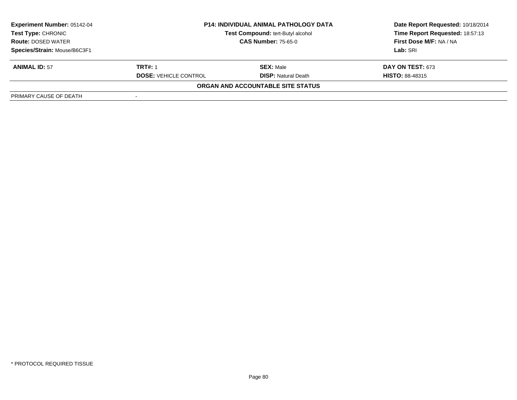| <b>Experiment Number: 05142-04</b><br>Test Type: CHRONIC | <b>P14: INDIVIDUAL ANIMAL PATHOLOGY DATA</b><br>Test Compound: tert-Butyl alcohol<br><b>CAS Number: 75-65-0</b> |                                   | Date Report Requested: 10/18/2014<br>Time Report Requested: 18:57:13 |
|----------------------------------------------------------|-----------------------------------------------------------------------------------------------------------------|-----------------------------------|----------------------------------------------------------------------|
| <b>Route: DOSED WATER</b>                                |                                                                                                                 |                                   | First Dose M/F: NA / NA                                              |
| Species/Strain: Mouse/B6C3F1                             |                                                                                                                 |                                   | Lab: SRI                                                             |
| <b>ANIMAL ID: 57</b>                                     | <b>TRT#: 1</b>                                                                                                  | <b>SEX:</b> Male                  | <b>DAY ON TEST: 673</b>                                              |
|                                                          | <b>DOSE: VEHICLE CONTROL</b>                                                                                    | <b>DISP:</b> Natural Death        | <b>HISTO: 88-48315</b>                                               |
|                                                          |                                                                                                                 | ORGAN AND ACCOUNTABLE SITE STATUS |                                                                      |
| PRIMARY CAUSE OF DEATH                                   |                                                                                                                 |                                   |                                                                      |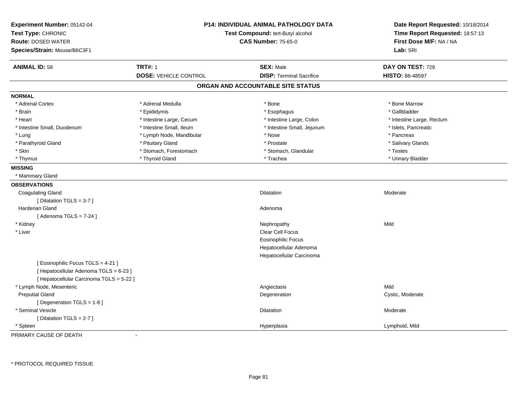| Experiment Number: 05142-04<br>Test Type: CHRONIC<br><b>Route: DOSED WATER</b><br>Species/Strain: Mouse/B6C3F1 | <b>P14: INDIVIDUAL ANIMAL PATHOLOGY DATA</b><br>Test Compound: tert-Butyl alcohol<br><b>CAS Number: 75-65-0</b> |                                   | Date Report Requested: 10/18/2014<br>Time Report Requested: 18:57:13<br>First Dose M/F: NA / NA<br>Lab: SRI |  |
|----------------------------------------------------------------------------------------------------------------|-----------------------------------------------------------------------------------------------------------------|-----------------------------------|-------------------------------------------------------------------------------------------------------------|--|
| <b>TRT#: 1</b><br><b>ANIMAL ID: 58</b>                                                                         |                                                                                                                 | <b>SEX: Male</b>                  | DAY ON TEST: 729                                                                                            |  |
|                                                                                                                | <b>DOSE: VEHICLE CONTROL</b>                                                                                    | <b>DISP: Terminal Sacrifice</b>   | HISTO: 88-48597                                                                                             |  |
|                                                                                                                |                                                                                                                 | ORGAN AND ACCOUNTABLE SITE STATUS |                                                                                                             |  |
| <b>NORMAL</b>                                                                                                  |                                                                                                                 |                                   |                                                                                                             |  |
| * Adrenal Cortex                                                                                               | * Adrenal Medulla                                                                                               | * Bone                            | * Bone Marrow                                                                                               |  |
| * Brain                                                                                                        | * Epididymis                                                                                                    | * Esophagus                       | * Gallbladder                                                                                               |  |
| * Heart                                                                                                        | * Intestine Large, Cecum                                                                                        | * Intestine Large, Colon          | * Intestine Large, Rectum                                                                                   |  |
| * Intestine Small, Duodenum                                                                                    | * Intestine Small, Ileum                                                                                        | * Intestine Small, Jejunum        | * Islets, Pancreatic                                                                                        |  |
| * Lung                                                                                                         | * Lymph Node, Mandibular                                                                                        | * Nose                            | * Pancreas                                                                                                  |  |
| * Parathyroid Gland                                                                                            | * Pituitary Gland                                                                                               | * Prostate                        | * Salivary Glands                                                                                           |  |
| * Skin                                                                                                         | * Stomach, Forestomach                                                                                          | * Stomach, Glandular              | * Testes                                                                                                    |  |
| * Thymus                                                                                                       | * Thyroid Gland                                                                                                 | * Trachea                         | * Urinary Bladder                                                                                           |  |
| <b>MISSING</b>                                                                                                 |                                                                                                                 |                                   |                                                                                                             |  |
| * Mammary Gland                                                                                                |                                                                                                                 |                                   |                                                                                                             |  |
| <b>OBSERVATIONS</b>                                                                                            |                                                                                                                 |                                   |                                                                                                             |  |
| <b>Coagulating Gland</b>                                                                                       |                                                                                                                 | Dilatation                        | Moderate                                                                                                    |  |
| [ Dilatation TGLS = 3-7 ]                                                                                      |                                                                                                                 |                                   |                                                                                                             |  |
| Harderian Gland                                                                                                |                                                                                                                 | Adenoma                           |                                                                                                             |  |
| [Adenoma TGLS = $7-24$ ]                                                                                       |                                                                                                                 |                                   |                                                                                                             |  |
| * Kidney                                                                                                       |                                                                                                                 | Nephropathy                       | Mild                                                                                                        |  |
| * Liver                                                                                                        |                                                                                                                 | Clear Cell Focus                  |                                                                                                             |  |
|                                                                                                                |                                                                                                                 | <b>Eosinophilic Focus</b>         |                                                                                                             |  |
|                                                                                                                |                                                                                                                 | Hepatocellular Adenoma            |                                                                                                             |  |
|                                                                                                                |                                                                                                                 | Hepatocellular Carcinoma          |                                                                                                             |  |
| [ Eosinophilic Focus TGLS = 4-21 ]                                                                             |                                                                                                                 |                                   |                                                                                                             |  |
| [ Hepatocellular Adenoma TGLS = 6-23 ]                                                                         |                                                                                                                 |                                   |                                                                                                             |  |
| [ Hepatocellular Carcinoma TGLS = 5-22 ]                                                                       |                                                                                                                 |                                   |                                                                                                             |  |
| * Lymph Node, Mesenteric                                                                                       |                                                                                                                 | Angiectasis                       | Mild                                                                                                        |  |
| <b>Preputial Gland</b>                                                                                         |                                                                                                                 | Degeneration                      | Cystic, Moderate                                                                                            |  |
| [ Degeneration TGLS = 1-8 ]                                                                                    |                                                                                                                 |                                   |                                                                                                             |  |
| * Seminal Vesicle                                                                                              |                                                                                                                 | <b>Dilatation</b>                 | Moderate                                                                                                    |  |
| [Dilatation TGLS = 2-7]                                                                                        |                                                                                                                 |                                   |                                                                                                             |  |
| Spleen                                                                                                         |                                                                                                                 | Hyperplasia                       | Lymphoid, Mild                                                                                              |  |

PRIMARY CAUSE OF DEATH-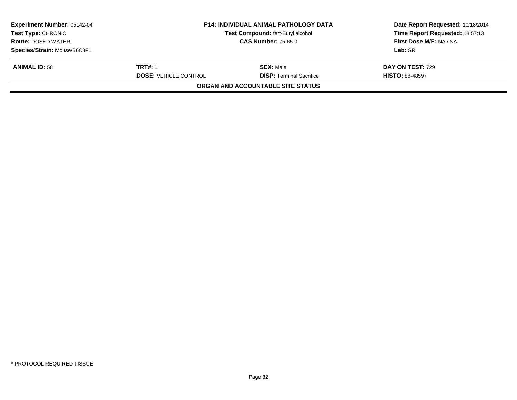| <b>Experiment Number: 05142-04</b><br><b>Test Type: CHRONIC</b><br><b>Route: DOSED WATER</b> | <b>P14: INDIVIDUAL ANIMAL PATHOLOGY DATA</b><br>Test Compound: tert-Butyl alcohol |                                   | Date Report Requested: 10/18/2014<br>Time Report Requested: 18:57:13<br>First Dose M/F: NA / NA |
|----------------------------------------------------------------------------------------------|-----------------------------------------------------------------------------------|-----------------------------------|-------------------------------------------------------------------------------------------------|
|                                                                                              |                                                                                   | <b>CAS Number: 75-65-0</b>        |                                                                                                 |
| Species/Strain: Mouse/B6C3F1                                                                 |                                                                                   |                                   | Lab: SRI                                                                                        |
| <b>ANIMAL ID: 58</b>                                                                         | <b>TRT#: 1</b>                                                                    | <b>SEX: Male</b>                  | <b>DAY ON TEST: 729</b>                                                                         |
|                                                                                              | <b>DOSE: VEHICLE CONTROL</b>                                                      | <b>DISP: Terminal Sacrifice</b>   | <b>HISTO: 88-48597</b>                                                                          |
|                                                                                              |                                                                                   | ORGAN AND ACCOUNTABLE SITE STATUS |                                                                                                 |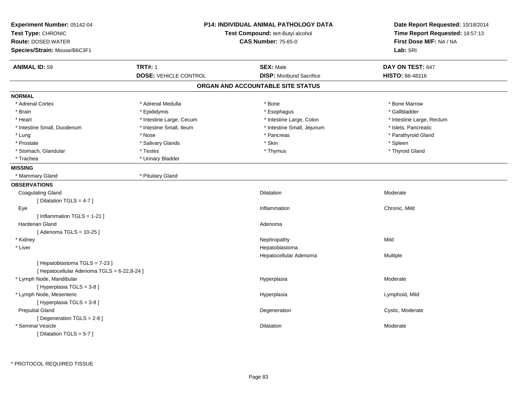| Experiment Number: 05142-04<br>Test Type: CHRONIC<br><b>Route: DOSED WATER</b><br>Species/Strain: Mouse/B6C3F1 |                              | <b>P14: INDIVIDUAL ANIMAL PATHOLOGY DATA</b><br>Test Compound: tert-Butyl alcohol<br><b>CAS Number: 75-65-0</b> |                           |
|----------------------------------------------------------------------------------------------------------------|------------------------------|-----------------------------------------------------------------------------------------------------------------|---------------------------|
| <b>ANIMAL ID: 59</b>                                                                                           | <b>TRT#: 1</b>               | <b>SEX: Male</b>                                                                                                | DAY ON TEST: 647          |
|                                                                                                                | <b>DOSE: VEHICLE CONTROL</b> | <b>DISP:</b> Moribund Sacrifice                                                                                 | HISTO: 88-48316           |
|                                                                                                                |                              | ORGAN AND ACCOUNTABLE SITE STATUS                                                                               |                           |
| <b>NORMAL</b>                                                                                                  |                              |                                                                                                                 |                           |
| * Adrenal Cortex                                                                                               | * Adrenal Medulla            | * Bone                                                                                                          | * Bone Marrow             |
| * Brain                                                                                                        | * Epididymis                 | * Esophagus                                                                                                     | * Gallbladder             |
| * Heart                                                                                                        | * Intestine Large, Cecum     | * Intestine Large, Colon                                                                                        | * Intestine Large, Rectum |
| * Intestine Small, Duodenum                                                                                    | * Intestine Small, Ileum     | * Intestine Small, Jejunum                                                                                      | * Islets, Pancreatic      |
| * Lung                                                                                                         | * Nose                       | * Pancreas                                                                                                      | * Parathyroid Gland       |
| * Prostate                                                                                                     | * Salivary Glands            | * Skin                                                                                                          | * Spleen                  |
| * Stomach, Glandular                                                                                           | * Testes                     | * Thymus                                                                                                        | * Thyroid Gland           |
| * Trachea                                                                                                      | * Urinary Bladder            |                                                                                                                 |                           |
| <b>MISSING</b>                                                                                                 |                              |                                                                                                                 |                           |
| * Mammary Gland                                                                                                | * Pituitary Gland            |                                                                                                                 |                           |
| <b>OBSERVATIONS</b>                                                                                            |                              |                                                                                                                 |                           |
| <b>Coagulating Gland</b>                                                                                       |                              | Dilatation                                                                                                      | Moderate                  |
| [ Dilatation TGLS = 4-7 ]                                                                                      |                              |                                                                                                                 |                           |
| Eye                                                                                                            |                              | Inflammation                                                                                                    | Chronic, Mild             |
| [Inflammation TGLS = 1-21]                                                                                     |                              |                                                                                                                 |                           |
| <b>Harderian Gland</b>                                                                                         |                              | Adenoma                                                                                                         |                           |
| [Adenoma TGLS = $10-25$ ]                                                                                      |                              |                                                                                                                 |                           |
| * Kidney                                                                                                       |                              | Nephropathy                                                                                                     | Mild                      |
| * Liver                                                                                                        |                              | Hepatoblastoma                                                                                                  |                           |
|                                                                                                                |                              | Hepatocellular Adenoma                                                                                          | Multiple                  |
| [ Hepatoblastoma TGLS = 7-23 ]                                                                                 |                              |                                                                                                                 |                           |
| [ Hepatocellular Adenoma TGLS = 6-22,8-24 ]                                                                    |                              |                                                                                                                 |                           |
| * Lymph Node, Mandibular                                                                                       |                              | Hyperplasia                                                                                                     | Moderate                  |
| [ Hyperplasia TGLS = 3-8 ]                                                                                     |                              |                                                                                                                 |                           |
| * Lymph Node, Mesenteric                                                                                       |                              | Hyperplasia                                                                                                     | Lymphoid, Mild            |
| [Hyperplasia TGLS = 3-8]                                                                                       |                              |                                                                                                                 |                           |
| <b>Preputial Gland</b>                                                                                         |                              | Degeneration                                                                                                    | Cystic, Moderate          |
| [Degeneration TGLS = 2-8]                                                                                      |                              |                                                                                                                 |                           |
| * Seminal Vesicle                                                                                              |                              | Dilatation                                                                                                      | Moderate                  |
| [ Dilatation TGLS = 5-7 ]                                                                                      |                              |                                                                                                                 |                           |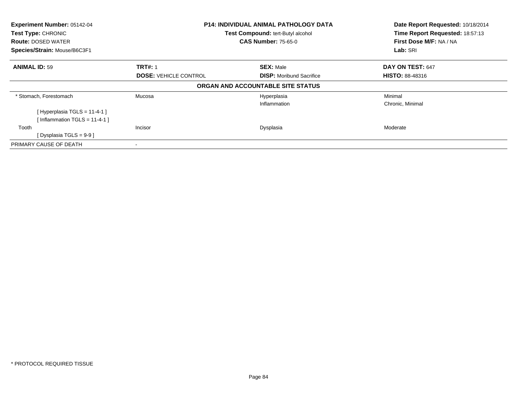| Experiment Number: 05142-04<br>Test Type: CHRONIC<br><b>Route: DOSED WATER</b><br>Species/Strain: Mouse/B6C3F1 | <b>P14: INDIVIDUAL ANIMAL PATHOLOGY DATA</b><br>Test Compound: tert-Butyl alcohol<br><b>CAS Number: 75-65-0</b> |                                   | Date Report Requested: 10/18/2014<br>Time Report Requested: 18:57:13<br>First Dose M/F: NA / NA<br>Lab: SRI |  |
|----------------------------------------------------------------------------------------------------------------|-----------------------------------------------------------------------------------------------------------------|-----------------------------------|-------------------------------------------------------------------------------------------------------------|--|
|                                                                                                                |                                                                                                                 |                                   |                                                                                                             |  |
| <b>ANIMAL ID: 59</b>                                                                                           | <b>TRT#: 1</b>                                                                                                  | <b>SEX: Male</b>                  | DAY ON TEST: 647                                                                                            |  |
|                                                                                                                | <b>DOSE: VEHICLE CONTROL</b>                                                                                    | <b>DISP:</b> Moribund Sacrifice   | <b>HISTO: 88-48316</b>                                                                                      |  |
|                                                                                                                |                                                                                                                 | ORGAN AND ACCOUNTABLE SITE STATUS |                                                                                                             |  |
| * Stomach, Forestomach                                                                                         | Mucosa                                                                                                          | Hyperplasia                       | Minimal                                                                                                     |  |
|                                                                                                                |                                                                                                                 | Inflammation                      | Chronic, Minimal                                                                                            |  |
| [Hyperplasia TGLS = 11-4-1]                                                                                    |                                                                                                                 |                                   |                                                                                                             |  |
| [Inflammation TGLS = $11-4-1$ ]                                                                                |                                                                                                                 |                                   |                                                                                                             |  |
| Tooth                                                                                                          | Incisor                                                                                                         | Dysplasia                         | Moderate                                                                                                    |  |
| [Dysplasia TGLS = $9-9$ ]                                                                                      |                                                                                                                 |                                   |                                                                                                             |  |
| PRIMARY CAUSE OF DEATH                                                                                         |                                                                                                                 |                                   |                                                                                                             |  |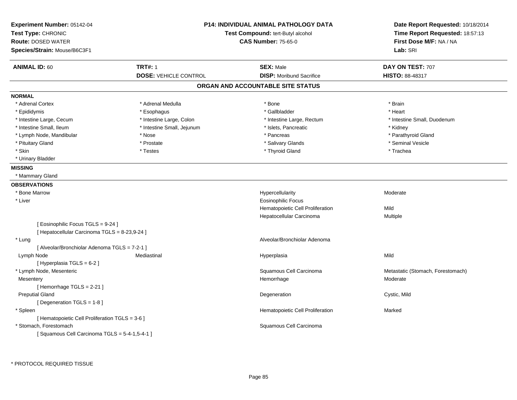| Experiment Number: 05142-04<br>Test Type: CHRONIC<br><b>Route: DOSED WATER</b><br>Species/Strain: Mouse/B6C3F1 |                                                | <b>P14: INDIVIDUAL ANIMAL PATHOLOGY DATA</b><br>Test Compound: tert-Butyl alcohol<br><b>CAS Number: 75-65-0</b> | Date Report Requested: 10/18/2014<br>Time Report Requested: 18:57:13<br>First Dose M/F: NA / NA<br>Lab: SRI |
|----------------------------------------------------------------------------------------------------------------|------------------------------------------------|-----------------------------------------------------------------------------------------------------------------|-------------------------------------------------------------------------------------------------------------|
| <b>ANIMAL ID: 60</b>                                                                                           | <b>TRT#: 1</b><br><b>DOSE: VEHICLE CONTROL</b> | <b>SEX: Male</b><br><b>DISP:</b> Moribund Sacrifice                                                             | DAY ON TEST: 707<br><b>HISTO: 88-48317</b>                                                                  |
|                                                                                                                |                                                | ORGAN AND ACCOUNTABLE SITE STATUS                                                                               |                                                                                                             |
| <b>NORMAL</b>                                                                                                  |                                                |                                                                                                                 |                                                                                                             |
| * Adrenal Cortex                                                                                               | * Adrenal Medulla                              | * Bone                                                                                                          | * Brain                                                                                                     |
| * Epididymis                                                                                                   | * Esophagus                                    | * Gallbladder                                                                                                   | * Heart                                                                                                     |
| * Intestine Large, Cecum                                                                                       | * Intestine Large, Colon                       | * Intestine Large, Rectum                                                                                       | * Intestine Small, Duodenum                                                                                 |
| * Intestine Small, Ileum                                                                                       | * Intestine Small, Jejunum                     | * Islets, Pancreatic                                                                                            | * Kidney                                                                                                    |
| * Lymph Node, Mandibular                                                                                       | * Nose                                         | * Pancreas                                                                                                      | * Parathyroid Gland                                                                                         |
| * Pituitary Gland                                                                                              | * Prostate                                     | * Salivary Glands                                                                                               | * Seminal Vesicle                                                                                           |
| * Skin                                                                                                         | * Testes                                       | * Thyroid Gland                                                                                                 | * Trachea                                                                                                   |
| * Urinary Bladder                                                                                              |                                                |                                                                                                                 |                                                                                                             |
| <b>MISSING</b>                                                                                                 |                                                |                                                                                                                 |                                                                                                             |
| * Mammary Gland                                                                                                |                                                |                                                                                                                 |                                                                                                             |
| <b>OBSERVATIONS</b>                                                                                            |                                                |                                                                                                                 |                                                                                                             |
| * Bone Marrow                                                                                                  |                                                | Hypercellularity                                                                                                | Moderate                                                                                                    |
| * Liver                                                                                                        |                                                | <b>Eosinophilic Focus</b>                                                                                       |                                                                                                             |
|                                                                                                                |                                                | Hematopoietic Cell Proliferation                                                                                | Mild                                                                                                        |
|                                                                                                                |                                                | Hepatocellular Carcinoma                                                                                        | Multiple                                                                                                    |
| [ Eosinophilic Focus TGLS = 9-24 ]<br>[ Hepatocellular Carcinoma TGLS = 8-23,9-24 ]                            |                                                |                                                                                                                 |                                                                                                             |
| * Lung                                                                                                         |                                                | Alveolar/Bronchiolar Adenoma                                                                                    |                                                                                                             |
| [ Alveolar/Bronchiolar Adenoma TGLS = 7-2-1 ]                                                                  |                                                |                                                                                                                 |                                                                                                             |
| Lymph Node                                                                                                     | Mediastinal                                    | Hyperplasia                                                                                                     | Mild                                                                                                        |
| [ Hyperplasia TGLS = 6-2 ]                                                                                     |                                                |                                                                                                                 |                                                                                                             |
| * Lymph Node, Mesenteric                                                                                       |                                                | Squamous Cell Carcinoma                                                                                         | Metastatic (Stomach, Forestomach)                                                                           |
| Mesentery                                                                                                      |                                                | Hemorrhage                                                                                                      | Moderate                                                                                                    |
| [Hemorrhage TGLS = 2-21]                                                                                       |                                                |                                                                                                                 |                                                                                                             |
| <b>Preputial Gland</b>                                                                                         |                                                | Degeneration                                                                                                    | Cystic, Mild                                                                                                |
| [ Degeneration TGLS = 1-8 ]                                                                                    |                                                |                                                                                                                 |                                                                                                             |
| * Spleen                                                                                                       |                                                | Hematopoietic Cell Proliferation                                                                                | Marked                                                                                                      |
| [ Hematopoietic Cell Proliferation TGLS = 3-6 ]                                                                |                                                |                                                                                                                 |                                                                                                             |
| * Stomach. Forestomach                                                                                         |                                                | Squamous Cell Carcinoma                                                                                         |                                                                                                             |
| [Squamous Cell Carcinoma TGLS = 5-4-1,5-4-1]                                                                   |                                                |                                                                                                                 |                                                                                                             |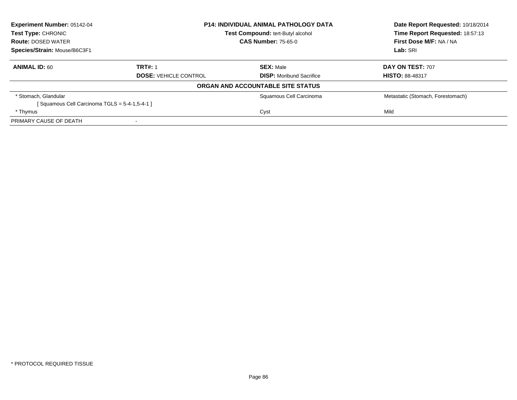| <b>Experiment Number: 05142-04</b>           |                              | <b>P14: INDIVIDUAL ANIMAL PATHOLOGY DATA</b> | Date Report Requested: 10/18/2014 |  |
|----------------------------------------------|------------------------------|----------------------------------------------|-----------------------------------|--|
| Test Type: CHRONIC                           |                              | Test Compound: tert-Butyl alcohol            | Time Report Requested: 18:57:13   |  |
| <b>Route: DOSED WATER</b>                    |                              | <b>CAS Number: 75-65-0</b>                   | First Dose M/F: NA / NA           |  |
| Species/Strain: Mouse/B6C3F1                 |                              |                                              | Lab: SRI                          |  |
| <b>ANIMAL ID: 60</b>                         | <b>TRT#: 1</b>               | <b>SEX: Male</b>                             | DAY ON TEST: 707                  |  |
|                                              | <b>DOSE: VEHICLE CONTROL</b> | <b>DISP:</b> Moribund Sacrifice              | <b>HISTO: 88-48317</b>            |  |
|                                              |                              | ORGAN AND ACCOUNTABLE SITE STATUS            |                                   |  |
| * Stomach, Glandular                         |                              | Squamous Cell Carcinoma                      | Metastatic (Stomach, Forestomach) |  |
| [Squamous Cell Carcinoma TGLS = 5-4-1,5-4-1] |                              |                                              |                                   |  |
| * Thymus                                     |                              | Cyst                                         | Mild                              |  |
| PRIMARY CAUSE OF DEATH                       |                              |                                              |                                   |  |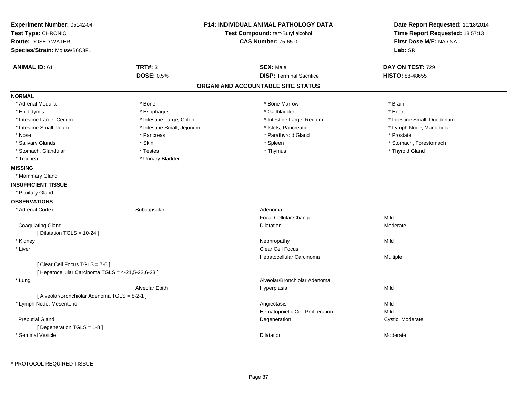| Experiment Number: 05142-04<br>Test Type: CHRONIC<br><b>Route: DOSED WATER</b><br>Species/Strain: Mouse/B6C3F1 |                            | <b>P14: INDIVIDUAL ANIMAL PATHOLOGY DATA</b><br>Test Compound: tert-Butyl alcohol<br><b>CAS Number: 75-65-0</b> | Date Report Requested: 10/18/2014<br>Time Report Requested: 18:57:13<br>First Dose M/F: NA / NA<br>Lab: SRI |  |
|----------------------------------------------------------------------------------------------------------------|----------------------------|-----------------------------------------------------------------------------------------------------------------|-------------------------------------------------------------------------------------------------------------|--|
| <b>ANIMAL ID: 61</b>                                                                                           | <b>TRT#: 3</b>             | <b>SEX: Male</b>                                                                                                | DAY ON TEST: 729                                                                                            |  |
|                                                                                                                | <b>DOSE: 0.5%</b>          | <b>DISP: Terminal Sacrifice</b>                                                                                 | <b>HISTO: 88-48655</b>                                                                                      |  |
|                                                                                                                |                            | ORGAN AND ACCOUNTABLE SITE STATUS                                                                               |                                                                                                             |  |
| <b>NORMAL</b>                                                                                                  |                            |                                                                                                                 |                                                                                                             |  |
| * Adrenal Medulla                                                                                              | * Bone                     | * Bone Marrow                                                                                                   | * Brain                                                                                                     |  |
| * Epididymis                                                                                                   | * Esophagus                | * Gallbladder                                                                                                   | * Heart                                                                                                     |  |
| * Intestine Large, Cecum                                                                                       | * Intestine Large, Colon   | * Intestine Large, Rectum                                                                                       | * Intestine Small, Duodenum                                                                                 |  |
| * Intestine Small, Ileum                                                                                       | * Intestine Small, Jejunum | * Islets, Pancreatic                                                                                            | * Lymph Node, Mandibular                                                                                    |  |
| * Nose                                                                                                         | * Pancreas                 | * Parathyroid Gland                                                                                             | * Prostate                                                                                                  |  |
| * Salivary Glands                                                                                              | * Skin                     | * Spleen                                                                                                        | * Stomach, Forestomach                                                                                      |  |
| * Stomach, Glandular                                                                                           | * Testes                   | * Thymus                                                                                                        | * Thyroid Gland                                                                                             |  |
| * Trachea                                                                                                      | * Urinary Bladder          |                                                                                                                 |                                                                                                             |  |
| <b>MISSING</b>                                                                                                 |                            |                                                                                                                 |                                                                                                             |  |
| * Mammary Gland                                                                                                |                            |                                                                                                                 |                                                                                                             |  |
| <b>INSUFFICIENT TISSUE</b>                                                                                     |                            |                                                                                                                 |                                                                                                             |  |
| * Pituitary Gland                                                                                              |                            |                                                                                                                 |                                                                                                             |  |
| <b>OBSERVATIONS</b>                                                                                            |                            |                                                                                                                 |                                                                                                             |  |
| * Adrenal Cortex                                                                                               | Subcapsular                | Adenoma                                                                                                         |                                                                                                             |  |
|                                                                                                                |                            | Focal Cellular Change                                                                                           | Mild                                                                                                        |  |
| <b>Coagulating Gland</b>                                                                                       |                            | Dilatation                                                                                                      | Moderate                                                                                                    |  |
| [ Dilatation TGLS = $10-24$ ]                                                                                  |                            |                                                                                                                 |                                                                                                             |  |
| * Kidney                                                                                                       |                            | Nephropathy                                                                                                     | Mild                                                                                                        |  |
| * Liver                                                                                                        |                            | <b>Clear Cell Focus</b>                                                                                         |                                                                                                             |  |
|                                                                                                                |                            | Hepatocellular Carcinoma                                                                                        | Multiple                                                                                                    |  |
| [Clear Cell Focus TGLS = 7-6]                                                                                  |                            |                                                                                                                 |                                                                                                             |  |
| [ Hepatocellular Carcinoma TGLS = 4-21,5-22,6-23 ]                                                             |                            |                                                                                                                 |                                                                                                             |  |
| * Lung                                                                                                         |                            | Alveolar/Bronchiolar Adenoma                                                                                    |                                                                                                             |  |
|                                                                                                                | Alveolar Epith             | Hyperplasia                                                                                                     | Mild                                                                                                        |  |
| [ Alveolar/Bronchiolar Adenoma TGLS = 8-2-1 ]                                                                  |                            |                                                                                                                 |                                                                                                             |  |
| * Lymph Node, Mesenteric                                                                                       |                            | Angiectasis                                                                                                     | Mild                                                                                                        |  |
|                                                                                                                |                            | Hematopoietic Cell Proliferation                                                                                | Mild                                                                                                        |  |
| <b>Preputial Gland</b>                                                                                         |                            | Degeneration                                                                                                    | Cystic, Moderate                                                                                            |  |
| [ Degeneration TGLS = 1-8 ]                                                                                    |                            |                                                                                                                 |                                                                                                             |  |
| * Seminal Vesicle                                                                                              |                            | Dilatation                                                                                                      | Moderate                                                                                                    |  |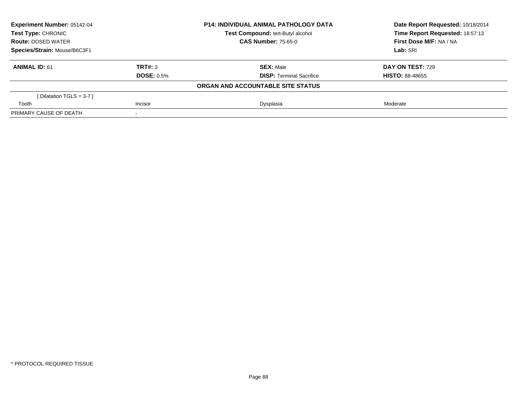| <b>Experiment Number: 05142-04</b><br>Test Type: CHRONIC<br><b>Route: DOSED WATER</b> |                   | <b>P14: INDIVIDUAL ANIMAL PATHOLOGY DATA</b> | Date Report Requested: 10/18/2014<br>Time Report Requested: 18:57:13 |
|---------------------------------------------------------------------------------------|-------------------|----------------------------------------------|----------------------------------------------------------------------|
|                                                                                       |                   | Test Compound: tert-Butyl alcohol            |                                                                      |
|                                                                                       |                   | <b>CAS Number: 75-65-0</b>                   | First Dose M/F: NA / NA                                              |
| Species/Strain: Mouse/B6C3F1                                                          |                   |                                              | Lab: SRI                                                             |
| <b>ANIMAL ID: 61</b>                                                                  | TRT#: 3           | <b>SEX: Male</b>                             | DAY ON TEST: 729                                                     |
|                                                                                       | <b>DOSE: 0.5%</b> | <b>DISP:</b> Terminal Sacrifice              | <b>HISTO: 88-48655</b>                                               |
|                                                                                       |                   | ORGAN AND ACCOUNTABLE SITE STATUS            |                                                                      |
| [Dilatation TGLS = 3-7 ]                                                              |                   |                                              |                                                                      |
| Tooth                                                                                 | Incisor           | Dysplasia                                    | Moderate                                                             |
| PRIMARY CAUSE OF DEATH                                                                |                   |                                              |                                                                      |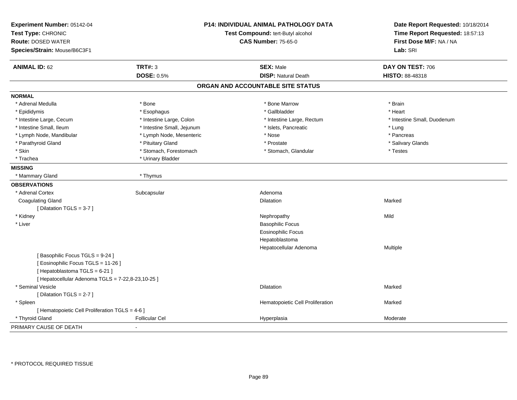| Experiment Number: 05142-04<br>Test Type: CHRONIC<br><b>Route: DOSED WATER</b><br>Species/Strain: Mouse/B6C3F1 |                            | <b>P14: INDIVIDUAL ANIMAL PATHOLOGY DATA</b><br>Test Compound: tert-Butyl alcohol<br><b>CAS Number: 75-65-0</b> | Date Report Requested: 10/18/2014<br>Time Report Requested: 18:57:13<br>First Dose M/F: NA / NA<br>Lab: SRI |
|----------------------------------------------------------------------------------------------------------------|----------------------------|-----------------------------------------------------------------------------------------------------------------|-------------------------------------------------------------------------------------------------------------|
| <b>ANIMAL ID: 62</b>                                                                                           | <b>TRT#: 3</b>             | <b>SEX: Male</b>                                                                                                | DAY ON TEST: 706                                                                                            |
|                                                                                                                | <b>DOSE: 0.5%</b>          | <b>DISP: Natural Death</b>                                                                                      | HISTO: 88-48318                                                                                             |
|                                                                                                                |                            | ORGAN AND ACCOUNTABLE SITE STATUS                                                                               |                                                                                                             |
| <b>NORMAL</b>                                                                                                  |                            |                                                                                                                 |                                                                                                             |
| * Adrenal Medulla                                                                                              | * Bone                     | * Bone Marrow                                                                                                   | * Brain                                                                                                     |
| * Epididymis                                                                                                   | * Esophagus                | * Gallbladder                                                                                                   | * Heart                                                                                                     |
| * Intestine Large, Cecum                                                                                       | * Intestine Large, Colon   | * Intestine Large, Rectum                                                                                       | * Intestine Small, Duodenum                                                                                 |
| * Intestine Small, Ileum                                                                                       | * Intestine Small, Jejunum | * Islets, Pancreatic                                                                                            | * Lung                                                                                                      |
| * Lymph Node, Mandibular                                                                                       | * Lymph Node, Mesenteric   | * Nose                                                                                                          | * Pancreas                                                                                                  |
| * Parathyroid Gland                                                                                            | * Pituitary Gland          | * Prostate                                                                                                      | * Salivary Glands                                                                                           |
| * Skin                                                                                                         | * Stomach, Forestomach     | * Stomach, Glandular                                                                                            | * Testes                                                                                                    |
| * Trachea                                                                                                      | * Urinary Bladder          |                                                                                                                 |                                                                                                             |
| <b>MISSING</b>                                                                                                 |                            |                                                                                                                 |                                                                                                             |
| * Mammary Gland                                                                                                | * Thymus                   |                                                                                                                 |                                                                                                             |
| <b>OBSERVATIONS</b>                                                                                            |                            |                                                                                                                 |                                                                                                             |
| * Adrenal Cortex                                                                                               | Subcapsular                | Adenoma                                                                                                         |                                                                                                             |
| <b>Coagulating Gland</b>                                                                                       |                            | Dilatation                                                                                                      | Marked                                                                                                      |
| [ Dilatation TGLS = 3-7 ]                                                                                      |                            |                                                                                                                 |                                                                                                             |
| * Kidney                                                                                                       |                            | Nephropathy                                                                                                     | Mild                                                                                                        |
| * Liver                                                                                                        |                            | <b>Basophilic Focus</b>                                                                                         |                                                                                                             |
|                                                                                                                |                            | <b>Eosinophilic Focus</b>                                                                                       |                                                                                                             |
|                                                                                                                |                            | Hepatoblastoma                                                                                                  |                                                                                                             |
|                                                                                                                |                            | Hepatocellular Adenoma                                                                                          | Multiple                                                                                                    |
| [Basophilic Focus TGLS = 9-24]<br>[ Eosinophilic Focus TGLS = 11-26 ]<br>[Hepatoblastoma TGLS = 6-21]          |                            |                                                                                                                 |                                                                                                             |
| [ Hepatocellular Adenoma TGLS = 7-22,8-23,10-25 ]                                                              |                            |                                                                                                                 |                                                                                                             |
| * Seminal Vesicle                                                                                              |                            | <b>Dilatation</b>                                                                                               | Marked                                                                                                      |
| [ Dilatation TGLS = 2-7 ]                                                                                      |                            |                                                                                                                 |                                                                                                             |
| * Spleen                                                                                                       |                            | Hematopoietic Cell Proliferation                                                                                | Marked                                                                                                      |
| [ Hematopoietic Cell Proliferation TGLS = 4-6 ]                                                                |                            |                                                                                                                 |                                                                                                             |
| * Thyroid Gland                                                                                                | <b>Follicular Cel</b>      | Hyperplasia                                                                                                     | Moderate                                                                                                    |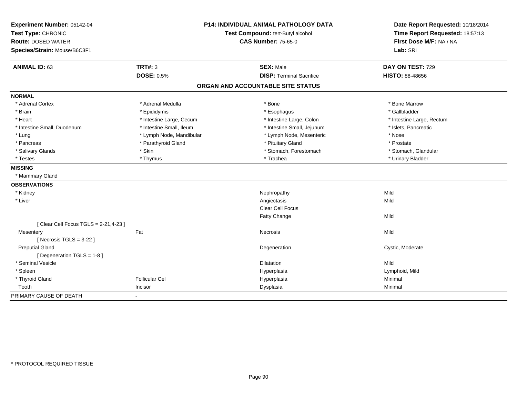| Experiment Number: 05142-04<br>Test Type: CHRONIC |                          | <b>P14: INDIVIDUAL ANIMAL PATHOLOGY DATA</b><br>Test Compound: tert-Butyl alcohol | Date Report Requested: 10/18/2014<br>Time Report Requested: 18:57:13<br>First Dose M/F: NA / NA |  |
|---------------------------------------------------|--------------------------|-----------------------------------------------------------------------------------|-------------------------------------------------------------------------------------------------|--|
| <b>Route: DOSED WATER</b>                         |                          | <b>CAS Number: 75-65-0</b>                                                        |                                                                                                 |  |
| Species/Strain: Mouse/B6C3F1                      |                          |                                                                                   | Lab: SRI                                                                                        |  |
|                                                   |                          |                                                                                   |                                                                                                 |  |
| <b>ANIMAL ID: 63</b>                              | <b>TRT#: 3</b>           | <b>SEX: Male</b>                                                                  | DAY ON TEST: 729                                                                                |  |
|                                                   | <b>DOSE: 0.5%</b>        | <b>DISP: Terminal Sacrifice</b>                                                   | HISTO: 88-48656                                                                                 |  |
|                                                   |                          | ORGAN AND ACCOUNTABLE SITE STATUS                                                 |                                                                                                 |  |
| <b>NORMAL</b>                                     |                          |                                                                                   |                                                                                                 |  |
| * Adrenal Cortex                                  | * Adrenal Medulla        | * Bone                                                                            | * Bone Marrow                                                                                   |  |
| * Brain                                           | * Epididymis             | * Esophagus                                                                       | * Gallbladder                                                                                   |  |
| * Heart                                           | * Intestine Large, Cecum | * Intestine Large, Colon                                                          | * Intestine Large, Rectum                                                                       |  |
| * Intestine Small, Duodenum                       | * Intestine Small, Ileum | * Intestine Small, Jejunum                                                        | * Islets, Pancreatic                                                                            |  |
| * Lung                                            | * Lymph Node, Mandibular | * Lymph Node, Mesenteric                                                          | * Nose                                                                                          |  |
| * Pancreas                                        | * Parathyroid Gland      | * Pituitary Gland                                                                 | * Prostate                                                                                      |  |
| * Salivary Glands                                 | * Skin                   | * Stomach, Forestomach                                                            | * Stomach, Glandular                                                                            |  |
| * Testes                                          | * Thymus                 | * Trachea                                                                         | * Urinary Bladder                                                                               |  |
| <b>MISSING</b>                                    |                          |                                                                                   |                                                                                                 |  |
| * Mammary Gland                                   |                          |                                                                                   |                                                                                                 |  |
| <b>OBSERVATIONS</b>                               |                          |                                                                                   |                                                                                                 |  |
| * Kidney                                          |                          | Nephropathy                                                                       | Mild                                                                                            |  |
| * Liver                                           |                          | Angiectasis                                                                       | Mild                                                                                            |  |
|                                                   |                          | <b>Clear Cell Focus</b>                                                           |                                                                                                 |  |
|                                                   |                          | Fatty Change                                                                      | Mild                                                                                            |  |
| [ Clear Cell Focus TGLS = 2-21,4-23 ]             |                          |                                                                                   |                                                                                                 |  |
| Mesentery                                         | Fat                      | Necrosis                                                                          | Mild                                                                                            |  |
| [ Necrosis $TGLS = 3-22$ ]                        |                          |                                                                                   |                                                                                                 |  |
| <b>Preputial Gland</b>                            |                          | Degeneration                                                                      | Cystic, Moderate                                                                                |  |
| [Degeneration TGLS = 1-8]                         |                          |                                                                                   |                                                                                                 |  |
| * Seminal Vesicle                                 |                          | <b>Dilatation</b>                                                                 | Mild                                                                                            |  |
| * Spleen                                          |                          | Hyperplasia                                                                       | Lymphoid, Mild                                                                                  |  |
| * Thyroid Gland                                   | <b>Follicular Cel</b>    | Hyperplasia                                                                       | Minimal                                                                                         |  |
| Tooth                                             | Incisor                  | Dysplasia                                                                         | Minimal                                                                                         |  |
| PRIMARY CAUSE OF DEATH                            |                          |                                                                                   |                                                                                                 |  |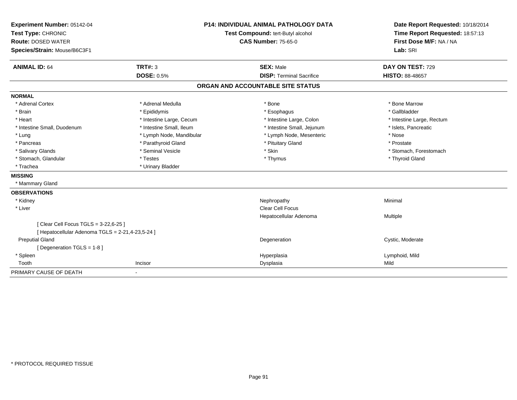| Experiment Number: 05142-04                      |                          | <b>P14: INDIVIDUAL ANIMAL PATHOLOGY DATA</b> | Date Report Requested: 10/18/2014                          |  |
|--------------------------------------------------|--------------------------|----------------------------------------------|------------------------------------------------------------|--|
| Test Type: CHRONIC                               |                          | Test Compound: tert-Butyl alcohol            | Time Report Requested: 18:57:13<br>First Dose M/F: NA / NA |  |
| <b>Route: DOSED WATER</b>                        |                          | <b>CAS Number: 75-65-0</b>                   |                                                            |  |
| Species/Strain: Mouse/B6C3F1                     |                          |                                              | Lab: SRI                                                   |  |
| <b>ANIMAL ID: 64</b>                             | <b>TRT#: 3</b>           | <b>SEX: Male</b>                             | DAY ON TEST: 729                                           |  |
|                                                  | <b>DOSE: 0.5%</b>        | <b>DISP: Terminal Sacrifice</b>              | <b>HISTO: 88-48657</b>                                     |  |
|                                                  |                          | ORGAN AND ACCOUNTABLE SITE STATUS            |                                                            |  |
| <b>NORMAL</b>                                    |                          |                                              |                                                            |  |
| * Adrenal Cortex                                 | * Adrenal Medulla        | * Bone                                       | * Bone Marrow                                              |  |
| * Brain                                          | * Epididymis             | * Esophagus                                  | * Gallbladder                                              |  |
| * Heart                                          | * Intestine Large, Cecum | * Intestine Large, Colon                     | * Intestine Large, Rectum                                  |  |
| * Intestine Small, Duodenum                      | * Intestine Small, Ileum | * Intestine Small, Jejunum                   | * Islets, Pancreatic                                       |  |
| * Lung                                           | * Lymph Node, Mandibular | * Lymph Node, Mesenteric                     | * Nose                                                     |  |
| * Pancreas                                       | * Parathyroid Gland      | * Pituitary Gland                            | * Prostate                                                 |  |
| * Salivary Glands                                | * Seminal Vesicle        | * Skin                                       | * Stomach, Forestomach                                     |  |
| * Stomach, Glandular                             | * Testes                 | * Thymus                                     | * Thyroid Gland                                            |  |
| * Trachea                                        | * Urinary Bladder        |                                              |                                                            |  |
| <b>MISSING</b>                                   |                          |                                              |                                                            |  |
| * Mammary Gland                                  |                          |                                              |                                                            |  |
| <b>OBSERVATIONS</b>                              |                          |                                              |                                                            |  |
| * Kidney                                         |                          | Nephropathy                                  | Minimal                                                    |  |
| * Liver                                          |                          | <b>Clear Cell Focus</b>                      |                                                            |  |
|                                                  |                          | Hepatocellular Adenoma                       | Multiple                                                   |  |
| [ Clear Cell Focus TGLS = 3-22,6-25 ]            |                          |                                              |                                                            |  |
| [ Hepatocellular Adenoma TGLS = 2-21,4-23,5-24 ] |                          |                                              |                                                            |  |
| <b>Preputial Gland</b>                           |                          | Degeneration                                 | Cystic, Moderate                                           |  |
| [Degeneration TGLS = 1-8]                        |                          |                                              |                                                            |  |
| * Spleen                                         |                          | Hyperplasia                                  | Lymphoid, Mild                                             |  |
| Tooth                                            | Incisor                  | Dysplasia                                    | Mild                                                       |  |
| PRIMARY CAUSE OF DEATH                           | $\blacksquare$           |                                              |                                                            |  |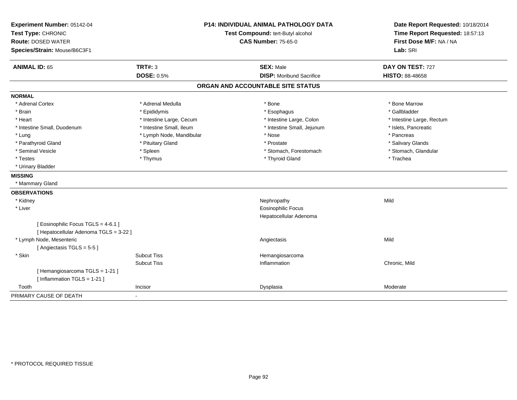| Experiment Number: 05142-04<br>Test Type: CHRONIC<br><b>Route: DOSED WATER</b><br>Species/Strain: Mouse/B6C3F1 |                          | <b>P14: INDIVIDUAL ANIMAL PATHOLOGY DATA</b><br>Test Compound: tert-Butyl alcohol<br><b>CAS Number: 75-65-0</b> |                                   | Date Report Requested: 10/18/2014<br>Time Report Requested: 18:57:13<br>First Dose M/F: NA / NA<br>Lab: SRI |
|----------------------------------------------------------------------------------------------------------------|--------------------------|-----------------------------------------------------------------------------------------------------------------|-----------------------------------|-------------------------------------------------------------------------------------------------------------|
| <b>ANIMAL ID: 65</b>                                                                                           | <b>TRT#: 3</b>           |                                                                                                                 | <b>SEX: Male</b>                  | DAY ON TEST: 727                                                                                            |
|                                                                                                                | <b>DOSE: 0.5%</b>        |                                                                                                                 | <b>DISP:</b> Moribund Sacrifice   | <b>HISTO: 88-48658</b>                                                                                      |
|                                                                                                                |                          |                                                                                                                 | ORGAN AND ACCOUNTABLE SITE STATUS |                                                                                                             |
| <b>NORMAL</b>                                                                                                  |                          |                                                                                                                 |                                   |                                                                                                             |
| * Adrenal Cortex                                                                                               | * Adrenal Medulla        |                                                                                                                 | * Bone                            | * Bone Marrow                                                                                               |
| * Brain                                                                                                        | * Epididymis             |                                                                                                                 | * Esophagus                       | * Gallbladder                                                                                               |
| * Heart                                                                                                        | * Intestine Large, Cecum |                                                                                                                 | * Intestine Large, Colon          | * Intestine Large, Rectum                                                                                   |
| * Intestine Small, Duodenum                                                                                    | * Intestine Small, Ileum |                                                                                                                 | * Intestine Small, Jejunum        | * Islets, Pancreatic                                                                                        |
| * Lung                                                                                                         | * Lymph Node, Mandibular |                                                                                                                 | * Nose                            | * Pancreas                                                                                                  |
| * Parathyroid Gland                                                                                            | * Pituitary Gland        |                                                                                                                 | * Prostate                        | * Salivary Glands                                                                                           |
| * Seminal Vesicle                                                                                              | * Spleen                 |                                                                                                                 | * Stomach, Forestomach            | * Stomach, Glandular                                                                                        |
| * Testes                                                                                                       | * Thymus                 |                                                                                                                 | * Thyroid Gland                   | * Trachea                                                                                                   |
| * Urinary Bladder                                                                                              |                          |                                                                                                                 |                                   |                                                                                                             |
| <b>MISSING</b>                                                                                                 |                          |                                                                                                                 |                                   |                                                                                                             |
| * Mammary Gland                                                                                                |                          |                                                                                                                 |                                   |                                                                                                             |
| <b>OBSERVATIONS</b>                                                                                            |                          |                                                                                                                 |                                   |                                                                                                             |
| * Kidney                                                                                                       |                          |                                                                                                                 | Nephropathy                       | Mild                                                                                                        |
| * Liver                                                                                                        |                          |                                                                                                                 | <b>Eosinophilic Focus</b>         |                                                                                                             |
|                                                                                                                |                          |                                                                                                                 | Hepatocellular Adenoma            |                                                                                                             |
| [Eosinophilic Focus TGLS = 4-6.1]                                                                              |                          |                                                                                                                 |                                   |                                                                                                             |
| [ Hepatocellular Adenoma TGLS = 3-22 ]                                                                         |                          |                                                                                                                 |                                   |                                                                                                             |
| * Lymph Node, Mesenteric                                                                                       |                          |                                                                                                                 | Angiectasis                       | Mild                                                                                                        |
| [Angiectasis TGLS = 5-5]                                                                                       |                          |                                                                                                                 |                                   |                                                                                                             |
| * Skin                                                                                                         | <b>Subcut Tiss</b>       |                                                                                                                 | Hemangiosarcoma                   |                                                                                                             |
|                                                                                                                | <b>Subcut Tiss</b>       |                                                                                                                 | Inflammation                      | Chronic, Mild                                                                                               |
| [Hemangiosarcoma TGLS = 1-21]                                                                                  |                          |                                                                                                                 |                                   |                                                                                                             |
| [Inflammation TGLS = $1-21$ ]                                                                                  |                          |                                                                                                                 |                                   |                                                                                                             |
| Tooth                                                                                                          | Incisor                  |                                                                                                                 | Dysplasia                         | Moderate                                                                                                    |
| PRIMARY CAUSE OF DEATH                                                                                         |                          |                                                                                                                 |                                   |                                                                                                             |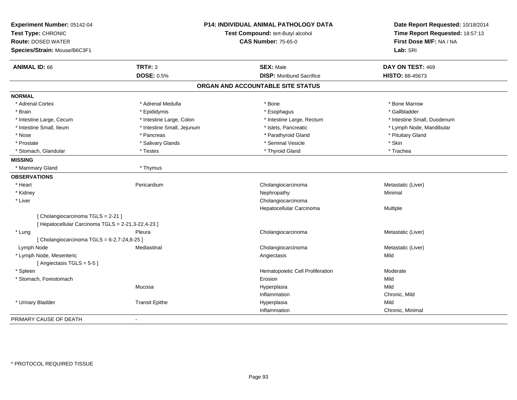| Experiment Number: 05142-04<br>Test Type: CHRONIC<br><b>Route: DOSED WATER</b><br>Species/Strain: Mouse/B6C3F1 |                            | <b>P14: INDIVIDUAL ANIMAL PATHOLOGY DATA</b><br>Test Compound: tert-Butyl alcohol<br><b>CAS Number: 75-65-0</b> | Date Report Requested: 10/18/2014<br>Time Report Requested: 18:57:13<br>First Dose M/F: NA / NA<br>Lab: SRI |
|----------------------------------------------------------------------------------------------------------------|----------------------------|-----------------------------------------------------------------------------------------------------------------|-------------------------------------------------------------------------------------------------------------|
| <b>ANIMAL ID: 66</b>                                                                                           | <b>TRT#: 3</b>             | <b>SEX: Male</b>                                                                                                | DAY ON TEST: 469                                                                                            |
|                                                                                                                | <b>DOSE: 0.5%</b>          | <b>DISP:</b> Moribund Sacrifice                                                                                 | HISTO: 88-45673                                                                                             |
|                                                                                                                |                            | ORGAN AND ACCOUNTABLE SITE STATUS                                                                               |                                                                                                             |
| <b>NORMAL</b>                                                                                                  |                            |                                                                                                                 |                                                                                                             |
| * Adrenal Cortex                                                                                               | * Adrenal Medulla          | * Bone                                                                                                          | * Bone Marrow                                                                                               |
| * Brain                                                                                                        | * Epididymis               | * Esophagus                                                                                                     | * Gallbladder                                                                                               |
| * Intestine Large, Cecum                                                                                       | * Intestine Large, Colon   | * Intestine Large, Rectum                                                                                       | * Intestine Small, Duodenum                                                                                 |
| * Intestine Small, Ileum                                                                                       | * Intestine Small, Jejunum | * Islets, Pancreatic                                                                                            | * Lymph Node, Mandibular                                                                                    |
| * Nose                                                                                                         | * Pancreas                 | * Parathyroid Gland                                                                                             | * Pituitary Gland                                                                                           |
| * Prostate                                                                                                     | * Salivary Glands          | * Seminal Vesicle                                                                                               | * Skin                                                                                                      |
| * Stomach, Glandular                                                                                           | * Testes                   | * Thyroid Gland                                                                                                 | * Trachea                                                                                                   |
| <b>MISSING</b>                                                                                                 |                            |                                                                                                                 |                                                                                                             |
| * Mammary Gland                                                                                                | * Thymus                   |                                                                                                                 |                                                                                                             |
| <b>OBSERVATIONS</b>                                                                                            |                            |                                                                                                                 |                                                                                                             |
| * Heart                                                                                                        | Pericardium                | Cholangiocarcinoma                                                                                              | Metastatic (Liver)                                                                                          |
| * Kidney                                                                                                       |                            | Nephropathy                                                                                                     | Minimal                                                                                                     |
| * Liver                                                                                                        |                            | Cholangiocarcinoma                                                                                              |                                                                                                             |
|                                                                                                                |                            | Hepatocellular Carcinoma                                                                                        | Multiple                                                                                                    |
| [ Cholangiocarcinoma TGLS = 2-21 ]                                                                             |                            |                                                                                                                 |                                                                                                             |
| [ Hepatocellular Carcinoma TGLS = 2-21,3-22,4-23 ]                                                             |                            |                                                                                                                 |                                                                                                             |
| * Lung                                                                                                         | Pleura                     | Cholangiocarcinoma                                                                                              | Metastatic (Liver)                                                                                          |
| [Cholangiocarcinoma TGLS = 6-2,7-24,8-25]                                                                      |                            |                                                                                                                 |                                                                                                             |
| Lymph Node                                                                                                     | Mediastinal                | Cholangiocarcinoma                                                                                              | Metastatic (Liver)                                                                                          |
| * Lymph Node, Mesenteric                                                                                       |                            | Angiectasis                                                                                                     | Mild                                                                                                        |
| [Angiectasis TGLS = 5-5]                                                                                       |                            |                                                                                                                 |                                                                                                             |
| * Spleen                                                                                                       |                            | Hematopoietic Cell Proliferation                                                                                | Moderate                                                                                                    |
| * Stomach, Forestomach                                                                                         |                            | Erosion                                                                                                         | Mild                                                                                                        |
|                                                                                                                | Mucosa                     | Hyperplasia                                                                                                     | Mild                                                                                                        |
|                                                                                                                |                            | Inflammation                                                                                                    | Chronic, Mild                                                                                               |
| * Urinary Bladder                                                                                              | <b>Transit Epithe</b>      | Hyperplasia                                                                                                     | Mild                                                                                                        |
|                                                                                                                |                            | Inflammation                                                                                                    | Chronic, Minimal                                                                                            |
| PRIMARY CAUSE OF DEATH                                                                                         | $\blacksquare$             |                                                                                                                 |                                                                                                             |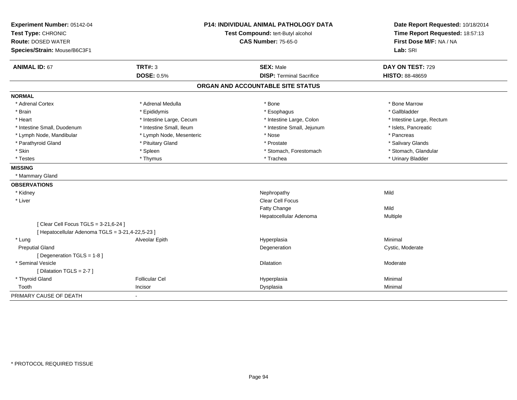| Experiment Number: 05142-04                      |                          | <b>P14: INDIVIDUAL ANIMAL PATHOLOGY DATA</b> | Date Report Requested: 10/18/2014 |  |
|--------------------------------------------------|--------------------------|----------------------------------------------|-----------------------------------|--|
| Test Type: CHRONIC                               |                          | Test Compound: tert-Butyl alcohol            | Time Report Requested: 18:57:13   |  |
| <b>Route: DOSED WATER</b>                        |                          | <b>CAS Number: 75-65-0</b>                   | First Dose M/F: NA / NA           |  |
| Species/Strain: Mouse/B6C3F1                     |                          |                                              | Lab: SRI                          |  |
| <b>ANIMAL ID: 67</b>                             | <b>TRT#: 3</b>           | <b>SEX: Male</b>                             | DAY ON TEST: 729                  |  |
|                                                  | <b>DOSE: 0.5%</b>        | <b>DISP: Terminal Sacrifice</b>              | HISTO: 88-48659                   |  |
|                                                  |                          | ORGAN AND ACCOUNTABLE SITE STATUS            |                                   |  |
| <b>NORMAL</b>                                    |                          |                                              |                                   |  |
| * Adrenal Cortex                                 | * Adrenal Medulla        | * Bone                                       | * Bone Marrow                     |  |
| * Brain                                          | * Epididymis             | * Esophagus                                  | * Gallbladder                     |  |
| * Heart                                          | * Intestine Large, Cecum | * Intestine Large, Colon                     | * Intestine Large, Rectum         |  |
| * Intestine Small, Duodenum                      | * Intestine Small, Ileum | * Intestine Small, Jejunum                   | * Islets, Pancreatic              |  |
| * Lymph Node, Mandibular                         | * Lymph Node, Mesenteric | * Nose                                       | * Pancreas                        |  |
| * Parathyroid Gland                              | * Pituitary Gland        | * Prostate                                   | * Salivary Glands                 |  |
| * Skin                                           | * Spleen                 | * Stomach, Forestomach                       | * Stomach, Glandular              |  |
| * Testes                                         | * Thymus                 | * Trachea                                    | * Urinary Bladder                 |  |
| <b>MISSING</b>                                   |                          |                                              |                                   |  |
| * Mammary Gland                                  |                          |                                              |                                   |  |
| <b>OBSERVATIONS</b>                              |                          |                                              |                                   |  |
| * Kidney                                         |                          | Nephropathy                                  | Mild                              |  |
| * Liver                                          |                          | Clear Cell Focus                             |                                   |  |
|                                                  |                          | Fatty Change                                 | Mild                              |  |
|                                                  |                          | Hepatocellular Adenoma                       | Multiple                          |  |
| [ Clear Cell Focus TGLS = 3-21,6-24 ]            |                          |                                              |                                   |  |
| [ Hepatocellular Adenoma TGLS = 3-21,4-22,5-23 ] |                          |                                              |                                   |  |
| * Lung                                           | Alveolar Epith           | Hyperplasia                                  | Minimal                           |  |
| <b>Preputial Gland</b>                           |                          | Degeneration                                 | Cystic, Moderate                  |  |
| [ Degeneration TGLS = 1-8 ]                      |                          |                                              |                                   |  |
| * Seminal Vesicle                                |                          | Dilatation                                   | Moderate                          |  |
| [ Dilatation TGLS = $2-7$ ]                      |                          |                                              |                                   |  |
| * Thyroid Gland                                  | <b>Follicular Cel</b>    | Hyperplasia                                  | Minimal                           |  |
| Tooth                                            | Incisor                  | Dysplasia                                    | Minimal                           |  |
| PRIMARY CAUSE OF DEATH                           | $\blacksquare$           |                                              |                                   |  |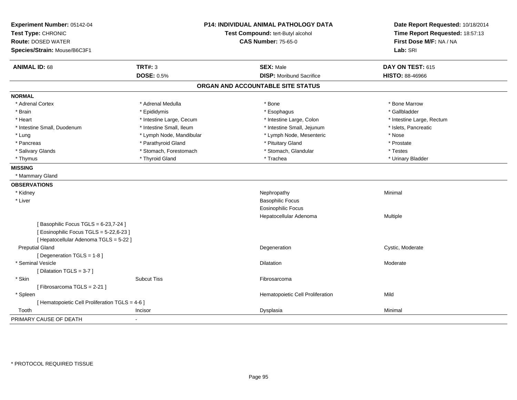| Experiment Number: 05142-04<br>Test Type: CHRONIC<br><b>Route: DOSED WATER</b><br>Species/Strain: Mouse/B6C3F1 |                          | <b>P14: INDIVIDUAL ANIMAL PATHOLOGY DATA</b><br>Test Compound: tert-Butyl alcohol<br><b>CAS Number: 75-65-0</b> |                                   | Date Report Requested: 10/18/2014<br>Time Report Requested: 18:57:13<br>First Dose M/F: NA / NA<br>Lab: SRI |
|----------------------------------------------------------------------------------------------------------------|--------------------------|-----------------------------------------------------------------------------------------------------------------|-----------------------------------|-------------------------------------------------------------------------------------------------------------|
| <b>ANIMAL ID: 68</b>                                                                                           | <b>TRT#: 3</b>           |                                                                                                                 | <b>SEX: Male</b>                  | DAY ON TEST: 615                                                                                            |
|                                                                                                                | <b>DOSE: 0.5%</b>        |                                                                                                                 | <b>DISP: Moribund Sacrifice</b>   | <b>HISTO: 88-46966</b>                                                                                      |
|                                                                                                                |                          |                                                                                                                 | ORGAN AND ACCOUNTABLE SITE STATUS |                                                                                                             |
| <b>NORMAL</b>                                                                                                  |                          |                                                                                                                 |                                   |                                                                                                             |
| * Adrenal Cortex                                                                                               | * Adrenal Medulla        |                                                                                                                 | * Bone                            | * Bone Marrow                                                                                               |
| * Brain                                                                                                        | * Epididymis             |                                                                                                                 | * Esophagus                       | * Gallbladder                                                                                               |
| * Heart                                                                                                        | * Intestine Large, Cecum |                                                                                                                 | * Intestine Large, Colon          | * Intestine Large, Rectum                                                                                   |
| * Intestine Small, Duodenum                                                                                    | * Intestine Small, Ileum |                                                                                                                 | * Intestine Small, Jejunum        | * Islets, Pancreatic                                                                                        |
| * Lung                                                                                                         | * Lymph Node, Mandibular |                                                                                                                 | * Lymph Node, Mesenteric          | * Nose                                                                                                      |
| * Pancreas                                                                                                     | * Parathyroid Gland      |                                                                                                                 | * Pituitary Gland                 | * Prostate                                                                                                  |
| * Salivary Glands                                                                                              | * Stomach, Forestomach   |                                                                                                                 | * Stomach, Glandular              | * Testes                                                                                                    |
| * Thymus                                                                                                       | * Thyroid Gland          |                                                                                                                 | * Trachea                         | * Urinary Bladder                                                                                           |
| <b>MISSING</b>                                                                                                 |                          |                                                                                                                 |                                   |                                                                                                             |
| * Mammary Gland                                                                                                |                          |                                                                                                                 |                                   |                                                                                                             |
| <b>OBSERVATIONS</b>                                                                                            |                          |                                                                                                                 |                                   |                                                                                                             |
| * Kidney                                                                                                       |                          |                                                                                                                 | Nephropathy                       | Minimal                                                                                                     |
| * Liver                                                                                                        |                          |                                                                                                                 | <b>Basophilic Focus</b>           |                                                                                                             |
|                                                                                                                |                          |                                                                                                                 | <b>Eosinophilic Focus</b>         |                                                                                                             |
|                                                                                                                |                          |                                                                                                                 | Hepatocellular Adenoma            | Multiple                                                                                                    |
| [Basophilic Focus TGLS = 6-23,7-24]                                                                            |                          |                                                                                                                 |                                   |                                                                                                             |
| [ Eosinophilic Focus TGLS = 5-22,6-23 ]                                                                        |                          |                                                                                                                 |                                   |                                                                                                             |
| [ Hepatocellular Adenoma TGLS = 5-22 ]                                                                         |                          |                                                                                                                 |                                   |                                                                                                             |
| <b>Preputial Gland</b>                                                                                         |                          |                                                                                                                 | Degeneration                      | Cystic, Moderate                                                                                            |
| [ Degeneration TGLS = 1-8 ]                                                                                    |                          |                                                                                                                 |                                   |                                                                                                             |
| * Seminal Vesicle                                                                                              |                          |                                                                                                                 | Dilatation                        | Moderate                                                                                                    |
| [Dilatation TGLS = 3-7]                                                                                        |                          |                                                                                                                 |                                   |                                                                                                             |
| * Skin                                                                                                         | <b>Subcut Tiss</b>       |                                                                                                                 | Fibrosarcoma                      |                                                                                                             |
| [Fibrosarcoma TGLS = 2-21]                                                                                     |                          |                                                                                                                 |                                   |                                                                                                             |
| * Spleen                                                                                                       |                          |                                                                                                                 | Hematopoietic Cell Proliferation  | Mild                                                                                                        |
| [ Hematopoietic Cell Proliferation TGLS = 4-6 ]                                                                |                          |                                                                                                                 |                                   |                                                                                                             |
| Tooth                                                                                                          | Incisor                  |                                                                                                                 | Dysplasia                         | Minimal                                                                                                     |
| PRIMARY CAUSE OF DEATH                                                                                         |                          |                                                                                                                 |                                   |                                                                                                             |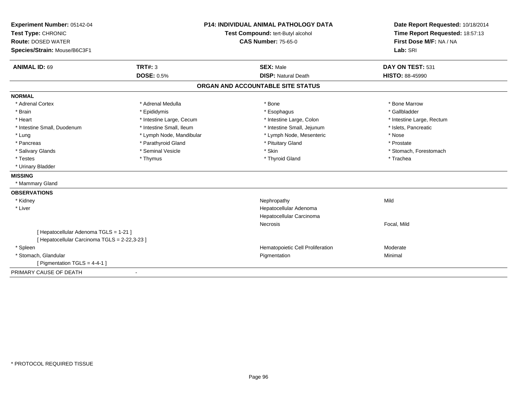| Experiment Number: 05142-04                   | <b>P14: INDIVIDUAL ANIMAL PATHOLOGY DATA</b> |                                   | Date Report Requested: 10/18/2014 |  |
|-----------------------------------------------|----------------------------------------------|-----------------------------------|-----------------------------------|--|
| Test Type: CHRONIC                            |                                              | Test Compound: tert-Butyl alcohol | Time Report Requested: 18:57:13   |  |
| <b>Route: DOSED WATER</b>                     |                                              | <b>CAS Number: 75-65-0</b>        | First Dose M/F: NA / NA           |  |
| Species/Strain: Mouse/B6C3F1                  |                                              |                                   | Lab: SRI                          |  |
| <b>ANIMAL ID: 69</b>                          | TRT#: 3                                      | <b>SEX: Male</b>                  | DAY ON TEST: 531                  |  |
|                                               | <b>DOSE: 0.5%</b>                            | <b>DISP: Natural Death</b>        | <b>HISTO: 88-45990</b>            |  |
|                                               |                                              | ORGAN AND ACCOUNTABLE SITE STATUS |                                   |  |
| <b>NORMAL</b>                                 |                                              |                                   |                                   |  |
| * Adrenal Cortex                              | * Adrenal Medulla                            | * Bone                            | * Bone Marrow                     |  |
| * Brain                                       | * Epididymis                                 | * Esophagus                       | * Gallbladder                     |  |
| * Heart                                       | * Intestine Large, Cecum                     | * Intestine Large, Colon          | * Intestine Large, Rectum         |  |
| * Intestine Small, Duodenum                   | * Intestine Small. Ileum                     | * Intestine Small, Jejunum        | * Islets, Pancreatic              |  |
| * Lung                                        | * Lymph Node, Mandibular                     | * Lymph Node, Mesenteric          | * Nose                            |  |
| * Pancreas                                    | * Parathyroid Gland                          | * Pituitary Gland                 | * Prostate                        |  |
| * Salivary Glands                             | * Seminal Vesicle                            | * Skin                            | * Stomach, Forestomach            |  |
| * Testes                                      | * Thymus                                     | * Thyroid Gland                   | * Trachea                         |  |
| * Urinary Bladder                             |                                              |                                   |                                   |  |
| <b>MISSING</b>                                |                                              |                                   |                                   |  |
| * Mammary Gland                               |                                              |                                   |                                   |  |
| <b>OBSERVATIONS</b>                           |                                              |                                   |                                   |  |
| * Kidney                                      |                                              | Nephropathy                       | Mild                              |  |
| * Liver                                       |                                              | Hepatocellular Adenoma            |                                   |  |
|                                               |                                              | Hepatocellular Carcinoma          |                                   |  |
|                                               |                                              | Necrosis                          | Focal, Mild                       |  |
| [ Hepatocellular Adenoma TGLS = 1-21 ]        |                                              |                                   |                                   |  |
| [ Hepatocellular Carcinoma TGLS = 2-22,3-23 ] |                                              |                                   |                                   |  |
| * Spleen                                      |                                              | Hematopoietic Cell Proliferation  | Moderate                          |  |
| * Stomach, Glandular                          |                                              | Pigmentation                      | Minimal                           |  |
| [ Pigmentation TGLS = 4-4-1 ]                 |                                              |                                   |                                   |  |
| PRIMARY CAUSE OF DEATH                        | $\blacksquare$                               |                                   |                                   |  |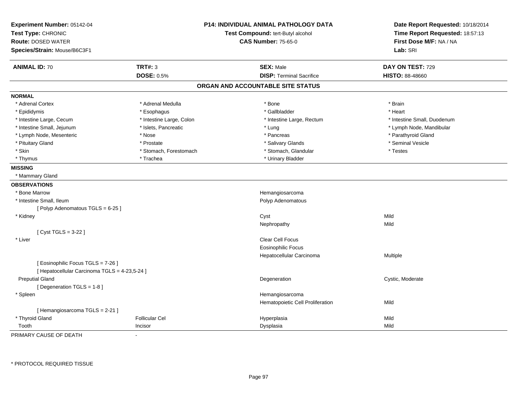| Experiment Number: 05142-04<br>Test Type: CHRONIC<br><b>Route: DOSED WATER</b> |                          | <b>P14: INDIVIDUAL ANIMAL PATHOLOGY DATA</b><br>Test Compound: tert-Butyl alcohol<br><b>CAS Number: 75-65-0</b> | Date Report Requested: 10/18/2014<br>Time Report Requested: 18:57:13<br>First Dose M/F: NA / NA |
|--------------------------------------------------------------------------------|--------------------------|-----------------------------------------------------------------------------------------------------------------|-------------------------------------------------------------------------------------------------|
| Species/Strain: Mouse/B6C3F1                                                   |                          |                                                                                                                 | Lab: SRI                                                                                        |
| <b>ANIMAL ID: 70</b>                                                           | <b>TRT#: 3</b>           | <b>SEX: Male</b>                                                                                                | DAY ON TEST: 729                                                                                |
|                                                                                | <b>DOSE: 0.5%</b>        | <b>DISP: Terminal Sacrifice</b>                                                                                 | HISTO: 88-48660                                                                                 |
|                                                                                |                          | ORGAN AND ACCOUNTABLE SITE STATUS                                                                               |                                                                                                 |
| <b>NORMAL</b>                                                                  |                          |                                                                                                                 |                                                                                                 |
| * Adrenal Cortex                                                               | * Adrenal Medulla        | * Bone                                                                                                          | * Brain                                                                                         |
| * Epididymis                                                                   | * Esophagus              | * Gallbladder                                                                                                   | * Heart                                                                                         |
| * Intestine Large, Cecum                                                       | * Intestine Large, Colon | * Intestine Large, Rectum                                                                                       | * Intestine Small, Duodenum                                                                     |
| * Intestine Small, Jejunum                                                     | * Islets, Pancreatic     | * Lung                                                                                                          | * Lymph Node, Mandibular                                                                        |
| * Lymph Node, Mesenteric                                                       | * Nose                   | * Pancreas                                                                                                      | * Parathyroid Gland                                                                             |
| * Pituitary Gland                                                              | * Prostate               | * Salivary Glands                                                                                               | * Seminal Vesicle                                                                               |
| * Skin                                                                         | * Stomach, Forestomach   | * Stomach, Glandular                                                                                            | * Testes                                                                                        |
| * Thymus                                                                       | * Trachea                | * Urinary Bladder                                                                                               |                                                                                                 |
| <b>MISSING</b>                                                                 |                          |                                                                                                                 |                                                                                                 |
| * Mammary Gland                                                                |                          |                                                                                                                 |                                                                                                 |
| <b>OBSERVATIONS</b>                                                            |                          |                                                                                                                 |                                                                                                 |
| * Bone Marrow                                                                  |                          | Hemangiosarcoma                                                                                                 |                                                                                                 |
| * Intestine Small, Ileum                                                       |                          | Polyp Adenomatous                                                                                               |                                                                                                 |
| [Polyp Adenomatous TGLS = 6-25]                                                |                          |                                                                                                                 |                                                                                                 |
| * Kidney                                                                       |                          | Cyst                                                                                                            | Mild                                                                                            |
|                                                                                |                          | Nephropathy                                                                                                     | Mild                                                                                            |
| [ Cyst TGLS = 3-22 ]                                                           |                          |                                                                                                                 |                                                                                                 |
| * Liver                                                                        |                          | Clear Cell Focus                                                                                                |                                                                                                 |
|                                                                                |                          | <b>Eosinophilic Focus</b>                                                                                       |                                                                                                 |
|                                                                                |                          | Hepatocellular Carcinoma                                                                                        | Multiple                                                                                        |
| [ Eosinophilic Focus TGLS = 7-26 ]                                             |                          |                                                                                                                 |                                                                                                 |
| [ Hepatocellular Carcinoma TGLS = 4-23,5-24 ]                                  |                          |                                                                                                                 |                                                                                                 |
| <b>Preputial Gland</b>                                                         |                          | Degeneration                                                                                                    | Cystic, Moderate                                                                                |
| [Degeneration TGLS = 1-8]                                                      |                          |                                                                                                                 |                                                                                                 |
| * Spleen                                                                       |                          | Hemangiosarcoma                                                                                                 |                                                                                                 |
|                                                                                |                          | Hematopoietic Cell Proliferation                                                                                | Mild                                                                                            |
| [Hemangiosarcoma TGLS = $2-21$ ]                                               |                          |                                                                                                                 |                                                                                                 |
| * Thyroid Gland                                                                | <b>Follicular Cel</b>    | Hyperplasia                                                                                                     | Mild                                                                                            |
| Tooth                                                                          | Incisor                  | Dysplasia                                                                                                       | Mild                                                                                            |

PRIMARY CAUSE OF DEATH-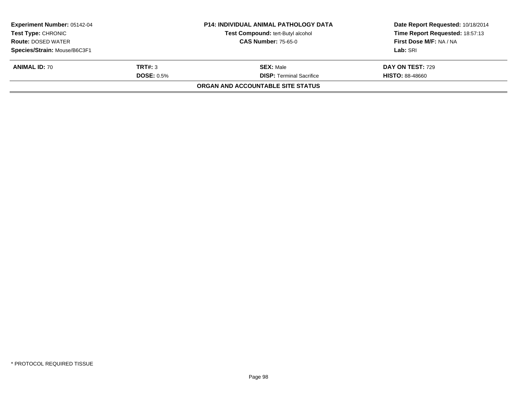|                   | <b>P14: INDIVIDUAL ANIMAL PATHOLOGY DATA</b> | Date Report Requested: 10/18/2014 |  |
|-------------------|----------------------------------------------|-----------------------------------|--|
|                   | Test Compound: tert-Butyl alcohol            | Time Report Requested: 18:57:13   |  |
|                   | <b>CAS Number: 75-65-0</b>                   | First Dose M/F: NA / NA           |  |
|                   |                                              | Lab: SRI                          |  |
| TRT#: 3           | <b>SEX: Male</b>                             | <b>DAY ON TEST: 729</b>           |  |
| <b>DOSE: 0.5%</b> | <b>DISP:</b> Terminal Sacrifice              | <b>HISTO: 88-48660</b>            |  |
|                   | ORGAN AND ACCOUNTABLE SITE STATUS            |                                   |  |
|                   |                                              |                                   |  |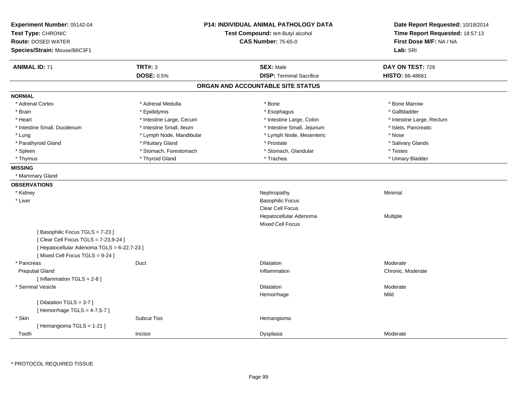| Experiment Number: 05142-04<br>Test Type: CHRONIC<br><b>Route: DOSED WATER</b><br>Species/Strain: Mouse/B6C3F1 | <b>P14: INDIVIDUAL ANIMAL PATHOLOGY DATA</b><br>Test Compound: tert-Butyl alcohol<br><b>CAS Number: 75-65-0</b> | Date Report Requested: 10/18/2014<br>Time Report Requested: 18:57:13<br>First Dose M/F: NA / NA<br>Lab: SRI |
|----------------------------------------------------------------------------------------------------------------|-----------------------------------------------------------------------------------------------------------------|-------------------------------------------------------------------------------------------------------------|
| <b>TRT#: 3</b><br><b>ANIMAL ID: 71</b>                                                                         | <b>SEX: Male</b>                                                                                                | DAY ON TEST: 729                                                                                            |
| <b>DOSE: 0.5%</b>                                                                                              | <b>DISP: Terminal Sacrifice</b>                                                                                 | <b>HISTO: 88-48661</b>                                                                                      |
|                                                                                                                | ORGAN AND ACCOUNTABLE SITE STATUS                                                                               |                                                                                                             |
| <b>NORMAL</b>                                                                                                  |                                                                                                                 |                                                                                                             |
| * Adrenal Cortex<br>* Adrenal Medulla                                                                          | * Bone                                                                                                          | * Bone Marrow                                                                                               |
| * Epididymis<br>* Brain                                                                                        | * Esophagus                                                                                                     | * Gallbladder                                                                                               |
| * Heart                                                                                                        | * Intestine Large, Cecum<br>* Intestine Large, Colon                                                            | * Intestine Large, Rectum                                                                                   |
| * Intestine Small, Ileum<br>* Intestine Small, Duodenum                                                        | * Intestine Small, Jejunum                                                                                      | * Islets, Pancreatic                                                                                        |
| * Lung                                                                                                         | * Lymph Node, Mandibular<br>* Lymph Node, Mesenteric                                                            | * Nose                                                                                                      |
| * Parathyroid Gland<br>* Pituitary Gland                                                                       | * Prostate                                                                                                      | * Salivary Glands                                                                                           |
| * Spleen                                                                                                       | * Stomach, Forestomach<br>* Stomach, Glandular                                                                  | * Testes                                                                                                    |
| * Thyroid Gland<br>* Thymus                                                                                    | * Trachea                                                                                                       | * Urinary Bladder                                                                                           |
| <b>MISSING</b>                                                                                                 |                                                                                                                 |                                                                                                             |
| * Mammary Gland                                                                                                |                                                                                                                 |                                                                                                             |
| <b>OBSERVATIONS</b>                                                                                            |                                                                                                                 |                                                                                                             |
| * Kidney                                                                                                       | Nephropathy                                                                                                     | Minimal                                                                                                     |
| * Liver                                                                                                        | <b>Basophilic Focus</b>                                                                                         |                                                                                                             |
|                                                                                                                | Clear Cell Focus                                                                                                |                                                                                                             |
|                                                                                                                | Hepatocellular Adenoma                                                                                          | <b>Multiple</b>                                                                                             |
|                                                                                                                | <b>Mixed Cell Focus</b>                                                                                         |                                                                                                             |
| [Basophilic Focus TGLS = 7-23]                                                                                 |                                                                                                                 |                                                                                                             |
| [ Clear Cell Focus TGLS = 7-23,9-24 ]                                                                          |                                                                                                                 |                                                                                                             |
| [ Hepatocellular Adenoma TGLS = 6-22,7-23 ]                                                                    |                                                                                                                 |                                                                                                             |
| [Mixed Cell Focus TGLS = 9-24]                                                                                 |                                                                                                                 |                                                                                                             |
| Duct<br>* Pancreas                                                                                             | <b>Dilatation</b>                                                                                               | Moderate                                                                                                    |
| <b>Preputial Gland</b>                                                                                         | Inflammation                                                                                                    | Chronic, Moderate                                                                                           |
| [Inflammation TGLS = 2-8]                                                                                      |                                                                                                                 |                                                                                                             |
| * Seminal Vesicle                                                                                              | <b>Dilatation</b>                                                                                               | Moderate                                                                                                    |
|                                                                                                                | Hemorrhage                                                                                                      | Mild                                                                                                        |
| [Dilatation TGLS = 3-7]                                                                                        |                                                                                                                 |                                                                                                             |
| [Hemorrhage TGLS = 4-7,5-7]                                                                                    |                                                                                                                 |                                                                                                             |
| * Skin<br><b>Subcut Tiss</b>                                                                                   | Hemangioma                                                                                                      |                                                                                                             |
| [Hemangioma TGLS = 1-21]                                                                                       |                                                                                                                 |                                                                                                             |
| Tooth<br>Incisor                                                                                               | Dysplasia                                                                                                       | Moderate                                                                                                    |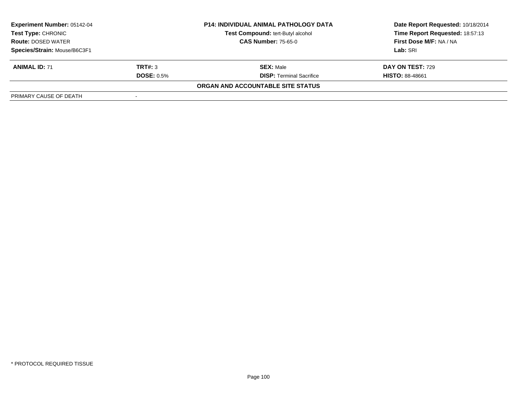| <b>Experiment Number: 05142-04</b><br>Test Type: CHRONIC<br><b>Route: DOSED WATER</b> |                   | <b>P14: INDIVIDUAL ANIMAL PATHOLOGY DATA</b> | Date Report Requested: 10/18/2014 |  |
|---------------------------------------------------------------------------------------|-------------------|----------------------------------------------|-----------------------------------|--|
|                                                                                       |                   | Test Compound: tert-Butyl alcohol            | Time Report Requested: 18:57:13   |  |
|                                                                                       |                   | <b>CAS Number: 75-65-0</b>                   | First Dose M/F: NA / NA           |  |
| Species/Strain: Mouse/B6C3F1                                                          |                   |                                              | Lab: SRI                          |  |
| <b>ANIMAL ID: 71</b>                                                                  | TRT#: 3           | <b>SEX: Male</b>                             | <b>DAY ON TEST: 729</b>           |  |
|                                                                                       | <b>DOSE: 0.5%</b> | <b>DISP:</b> Terminal Sacrifice              | <b>HISTO: 88-48661</b>            |  |
|                                                                                       |                   | ORGAN AND ACCOUNTABLE SITE STATUS            |                                   |  |
| PRIMARY CAUSE OF DEATH                                                                |                   |                                              |                                   |  |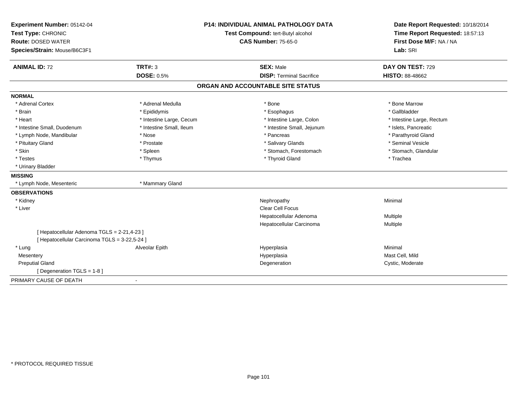| Experiment Number: 05142-04                   |                                   | <b>P14: INDIVIDUAL ANIMAL PATHOLOGY DATA</b> | Date Report Requested: 10/18/2014 |
|-----------------------------------------------|-----------------------------------|----------------------------------------------|-----------------------------------|
| Test Type: CHRONIC                            | Test Compound: tert-Butyl alcohol |                                              | Time Report Requested: 18:57:13   |
| <b>Route: DOSED WATER</b>                     | <b>CAS Number: 75-65-0</b>        |                                              | First Dose M/F: NA / NA           |
| Species/Strain: Mouse/B6C3F1                  |                                   |                                              | Lab: SRI                          |
| <b>ANIMAL ID: 72</b>                          | <b>TRT#: 3</b>                    | <b>SEX: Male</b>                             | DAY ON TEST: 729                  |
|                                               | <b>DOSE: 0.5%</b>                 | <b>DISP: Terminal Sacrifice</b>              | <b>HISTO: 88-48662</b>            |
|                                               |                                   | ORGAN AND ACCOUNTABLE SITE STATUS            |                                   |
| <b>NORMAL</b>                                 |                                   |                                              |                                   |
| * Adrenal Cortex                              | * Adrenal Medulla                 | * Bone                                       | * Bone Marrow                     |
| * Brain                                       | * Epididymis                      | * Esophagus                                  | * Gallbladder                     |
| * Heart                                       | * Intestine Large, Cecum          | * Intestine Large, Colon                     | * Intestine Large, Rectum         |
| * Intestine Small, Duodenum                   | * Intestine Small, Ileum          | * Intestine Small, Jejunum                   | * Islets, Pancreatic              |
| * Lymph Node, Mandibular                      | * Nose                            | * Pancreas                                   | * Parathyroid Gland               |
| * Pituitary Gland                             | * Prostate                        | * Salivary Glands                            | * Seminal Vesicle                 |
| * Skin                                        | * Spleen                          | * Stomach, Forestomach                       | * Stomach, Glandular              |
| * Testes                                      | * Thymus                          | * Thyroid Gland                              | * Trachea                         |
| * Urinary Bladder                             |                                   |                                              |                                   |
| <b>MISSING</b>                                |                                   |                                              |                                   |
| * Lymph Node, Mesenteric                      | * Mammary Gland                   |                                              |                                   |
| <b>OBSERVATIONS</b>                           |                                   |                                              |                                   |
| * Kidney                                      |                                   | Nephropathy                                  | Minimal                           |
| * Liver                                       |                                   | <b>Clear Cell Focus</b>                      |                                   |
|                                               |                                   | Hepatocellular Adenoma                       | Multiple                          |
|                                               |                                   | Hepatocellular Carcinoma                     | <b>Multiple</b>                   |
| [ Hepatocellular Adenoma TGLS = 2-21,4-23 ]   |                                   |                                              |                                   |
| [ Hepatocellular Carcinoma TGLS = 3-22,5-24 ] |                                   |                                              |                                   |
| * Lung                                        | Alveolar Epith                    | Hyperplasia                                  | Minimal                           |
| Mesentery                                     |                                   | Hyperplasia                                  | Mast Cell, Mild                   |
| <b>Preputial Gland</b>                        |                                   | Degeneration                                 | Cystic, Moderate                  |
| [ Degeneration TGLS = 1-8 ]                   |                                   |                                              |                                   |
| PRIMARY CAUSE OF DEATH<br>$\blacksquare$      |                                   |                                              |                                   |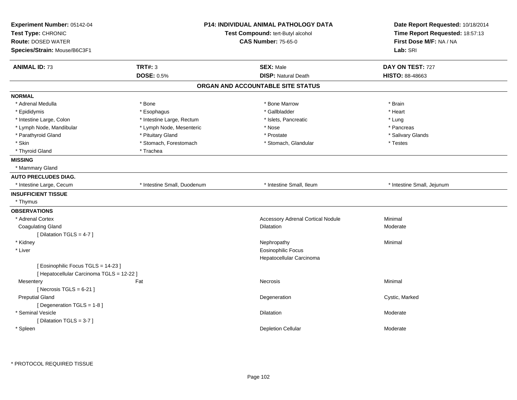| Experiment Number: 05142-04<br>Test Type: CHRONIC<br><b>Route: DOSED WATER</b><br>Species/Strain: Mouse/B6C3F1 |                             | P14: INDIVIDUAL ANIMAL PATHOLOGY DATA<br>Test Compound: tert-Butyl alcohol<br><b>CAS Number: 75-65-0</b> | Date Report Requested: 10/18/2014<br>Time Report Requested: 18:57:13<br>First Dose M/F: NA / NA<br>Lab: SRI |
|----------------------------------------------------------------------------------------------------------------|-----------------------------|----------------------------------------------------------------------------------------------------------|-------------------------------------------------------------------------------------------------------------|
| <b>ANIMAL ID: 73</b>                                                                                           | <b>TRT#: 3</b>              | <b>SEX: Male</b>                                                                                         | DAY ON TEST: 727                                                                                            |
|                                                                                                                | <b>DOSE: 0.5%</b>           | <b>DISP: Natural Death</b>                                                                               | <b>HISTO: 88-48663</b>                                                                                      |
|                                                                                                                |                             | ORGAN AND ACCOUNTABLE SITE STATUS                                                                        |                                                                                                             |
| <b>NORMAL</b>                                                                                                  |                             |                                                                                                          |                                                                                                             |
| * Adrenal Medulla                                                                                              | * Bone                      | * Bone Marrow                                                                                            | * Brain                                                                                                     |
| * Epididymis                                                                                                   | * Esophagus                 | * Gallbladder                                                                                            | * Heart                                                                                                     |
| * Intestine Large, Colon                                                                                       | * Intestine Large, Rectum   | * Islets, Pancreatic                                                                                     | * Lung                                                                                                      |
| * Lymph Node, Mandibular                                                                                       | * Lymph Node, Mesenteric    | * Nose                                                                                                   | * Pancreas                                                                                                  |
| * Parathyroid Gland                                                                                            | * Pituitary Gland           | * Prostate                                                                                               | * Salivary Glands                                                                                           |
| * Skin                                                                                                         | * Stomach, Forestomach      | * Stomach, Glandular                                                                                     | * Testes                                                                                                    |
| * Thyroid Gland                                                                                                | * Trachea                   |                                                                                                          |                                                                                                             |
| <b>MISSING</b>                                                                                                 |                             |                                                                                                          |                                                                                                             |
| * Mammary Gland                                                                                                |                             |                                                                                                          |                                                                                                             |
| <b>AUTO PRECLUDES DIAG.</b>                                                                                    |                             |                                                                                                          |                                                                                                             |
| * Intestine Large, Cecum                                                                                       | * Intestine Small, Duodenum | * Intestine Small, Ileum                                                                                 | * Intestine Small, Jejunum                                                                                  |
| <b>INSUFFICIENT TISSUE</b>                                                                                     |                             |                                                                                                          |                                                                                                             |
| * Thymus                                                                                                       |                             |                                                                                                          |                                                                                                             |
| <b>OBSERVATIONS</b>                                                                                            |                             |                                                                                                          |                                                                                                             |
| * Adrenal Cortex                                                                                               |                             | <b>Accessory Adrenal Cortical Nodule</b>                                                                 | Minimal                                                                                                     |
| <b>Coagulating Gland</b>                                                                                       |                             | Dilatation                                                                                               | Moderate                                                                                                    |
| [ Dilatation TGLS = 4-7 ]                                                                                      |                             |                                                                                                          |                                                                                                             |
| * Kidney                                                                                                       |                             | Nephropathy                                                                                              | Minimal                                                                                                     |
| * Liver                                                                                                        |                             | <b>Eosinophilic Focus</b>                                                                                |                                                                                                             |
|                                                                                                                |                             | Hepatocellular Carcinoma                                                                                 |                                                                                                             |
| [Eosinophilic Focus TGLS = 14-23]                                                                              |                             |                                                                                                          |                                                                                                             |
| [ Hepatocellular Carcinoma TGLS = 12-22 ]                                                                      |                             |                                                                                                          |                                                                                                             |
| Mesentery                                                                                                      | Fat                         | Necrosis                                                                                                 | Minimal                                                                                                     |
| [Necrosis $TGLS = 6-21$ ]                                                                                      |                             |                                                                                                          |                                                                                                             |
| <b>Preputial Gland</b>                                                                                         |                             | Degeneration                                                                                             | Cystic, Marked                                                                                              |
| [ Degeneration TGLS = 1-8 ]                                                                                    |                             |                                                                                                          |                                                                                                             |
| * Seminal Vesicle                                                                                              |                             | Dilatation                                                                                               | Moderate                                                                                                    |
| [ Dilatation TGLS = 3-7 ]                                                                                      |                             |                                                                                                          |                                                                                                             |
| * Spleen                                                                                                       |                             | <b>Depletion Cellular</b>                                                                                | Moderate                                                                                                    |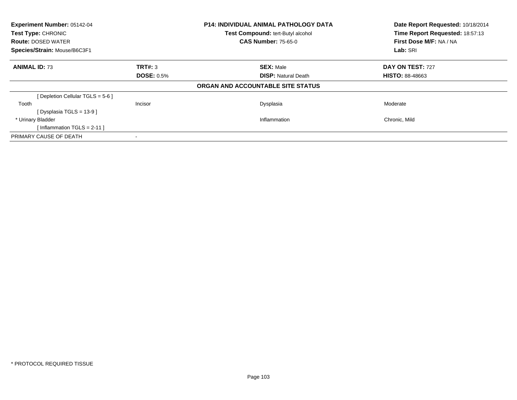| Experiment Number: 05142-04<br>Test Type: CHRONIC<br><b>Route: DOSED WATER</b> |                   | <b>P14: INDIVIDUAL ANIMAL PATHOLOGY DATA</b><br>Test Compound: tert-Butyl alcohol<br><b>CAS Number: 75-65-0</b> | Date Report Requested: 10/18/2014<br>Time Report Requested: 18:57:13<br>First Dose M/F: NA / NA |
|--------------------------------------------------------------------------------|-------------------|-----------------------------------------------------------------------------------------------------------------|-------------------------------------------------------------------------------------------------|
| Species/Strain: Mouse/B6C3F1                                                   |                   |                                                                                                                 | Lab: SRI                                                                                        |
| <b>ANIMAL ID: 73</b>                                                           | TRT#: 3           | <b>SEX: Male</b>                                                                                                | DAY ON TEST: 727                                                                                |
|                                                                                | <b>DOSE: 0.5%</b> | <b>DISP: Natural Death</b>                                                                                      | <b>HISTO: 88-48663</b>                                                                          |
|                                                                                |                   | ORGAN AND ACCOUNTABLE SITE STATUS                                                                               |                                                                                                 |
| [ Depletion Cellular TGLS = 5-6 ]                                              |                   |                                                                                                                 |                                                                                                 |
| Tooth                                                                          | <b>Incisor</b>    | Dysplasia                                                                                                       | Moderate                                                                                        |
| [Dysplasia TGLS = $13-9$ ]                                                     |                   |                                                                                                                 |                                                                                                 |
| * Urinary Bladder                                                              |                   | Inflammation                                                                                                    | Chronic, Mild                                                                                   |
| [Inflammation TGLS = $2-11$ ]                                                  |                   |                                                                                                                 |                                                                                                 |
| PRIMARY CAUSE OF DEATH                                                         |                   |                                                                                                                 |                                                                                                 |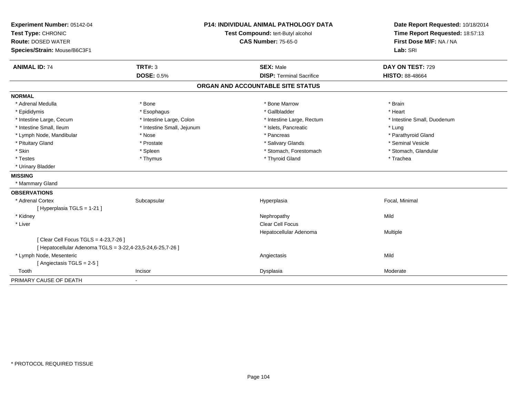| Experiment Number: 05142-04                                |                            | <b>P14: INDIVIDUAL ANIMAL PATHOLOGY DATA</b> | Date Report Requested: 10/18/2014 |
|------------------------------------------------------------|----------------------------|----------------------------------------------|-----------------------------------|
| Test Type: CHRONIC                                         |                            | Test Compound: tert-Butyl alcohol            | Time Report Requested: 18:57:13   |
| <b>Route: DOSED WATER</b>                                  |                            | <b>CAS Number: 75-65-0</b>                   | First Dose M/F: NA / NA           |
| Species/Strain: Mouse/B6C3F1                               |                            |                                              | Lab: SRI                          |
| <b>ANIMAL ID: 74</b>                                       | <b>TRT#: 3</b>             | <b>SEX: Male</b>                             | DAY ON TEST: 729                  |
|                                                            | <b>DOSE: 0.5%</b>          | <b>DISP: Terminal Sacrifice</b>              | <b>HISTO: 88-48664</b>            |
|                                                            |                            | ORGAN AND ACCOUNTABLE SITE STATUS            |                                   |
| <b>NORMAL</b>                                              |                            |                                              |                                   |
| * Adrenal Medulla                                          | * Bone                     | * Bone Marrow                                | * Brain                           |
| * Epididymis                                               | * Esophagus                | * Gallbladder                                | * Heart                           |
| * Intestine Large, Cecum                                   | * Intestine Large, Colon   | * Intestine Large, Rectum                    | * Intestine Small, Duodenum       |
| * Intestine Small, Ileum                                   | * Intestine Small, Jejunum | * Islets, Pancreatic                         | * Lung                            |
| * Lymph Node, Mandibular                                   | * Nose                     | * Pancreas                                   | * Parathyroid Gland               |
| * Pituitary Gland                                          | * Prostate                 | * Salivary Glands                            | * Seminal Vesicle                 |
| * Skin                                                     | * Spleen                   | * Stomach, Forestomach                       | * Stomach, Glandular              |
| * Testes                                                   | * Thymus                   | * Thyroid Gland                              | * Trachea                         |
| * Urinary Bladder                                          |                            |                                              |                                   |
| <b>MISSING</b>                                             |                            |                                              |                                   |
| * Mammary Gland                                            |                            |                                              |                                   |
| <b>OBSERVATIONS</b>                                        |                            |                                              |                                   |
| * Adrenal Cortex                                           | Subcapsular                | Hyperplasia                                  | Focal, Minimal                    |
| [ Hyperplasia TGLS = 1-21 ]                                |                            |                                              |                                   |
| * Kidney                                                   |                            | Nephropathy                                  | Mild                              |
| * Liver                                                    |                            | <b>Clear Cell Focus</b>                      |                                   |
|                                                            |                            | Hepatocellular Adenoma                       | Multiple                          |
| [ Clear Cell Focus TGLS = 4-23,7-26 ]                      |                            |                                              |                                   |
| [ Hepatocellular Adenoma TGLS = 3-22,4-23,5-24,6-25,7-26 ] |                            |                                              |                                   |
| * Lymph Node, Mesenteric                                   |                            | Angiectasis                                  | Mild                              |
| [Angiectasis TGLS = 2-5]                                   |                            |                                              |                                   |
| Tooth                                                      | Incisor                    | Dysplasia                                    | Moderate                          |
| PRIMARY CAUSE OF DEATH                                     | $\blacksquare$             |                                              |                                   |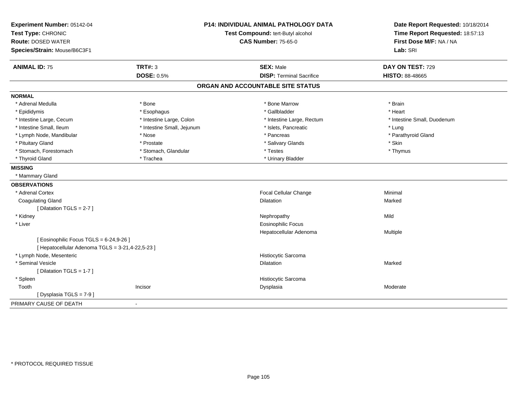| Experiment Number: 05142-04                      |                            | <b>P14: INDIVIDUAL ANIMAL PATHOLOGY DATA</b> | Date Report Requested: 10/18/2014 |
|--------------------------------------------------|----------------------------|----------------------------------------------|-----------------------------------|
| Test Type: CHRONIC                               |                            | Test Compound: tert-Butyl alcohol            | Time Report Requested: 18:57:13   |
| <b>Route: DOSED WATER</b>                        |                            | <b>CAS Number: 75-65-0</b>                   | First Dose M/F: NA / NA           |
| Species/Strain: Mouse/B6C3F1                     |                            |                                              | Lab: SRI                          |
| <b>ANIMAL ID: 75</b>                             | <b>TRT#: 3</b>             | <b>SEX: Male</b>                             | DAY ON TEST: 729                  |
|                                                  | <b>DOSE: 0.5%</b>          | <b>DISP: Terminal Sacrifice</b>              | <b>HISTO: 88-48665</b>            |
|                                                  |                            | ORGAN AND ACCOUNTABLE SITE STATUS            |                                   |
| <b>NORMAL</b>                                    |                            |                                              |                                   |
| * Adrenal Medulla                                | * Bone                     | * Bone Marrow                                | * Brain                           |
| * Epididymis                                     | * Esophagus                | * Gallbladder                                | * Heart                           |
| * Intestine Large, Cecum                         | * Intestine Large, Colon   | * Intestine Large, Rectum                    | * Intestine Small, Duodenum       |
| * Intestine Small, Ileum                         | * Intestine Small, Jejunum | * Islets, Pancreatic                         | * Lung                            |
| * Lymph Node, Mandibular                         | * Nose                     | * Pancreas                                   | * Parathyroid Gland               |
| * Pituitary Gland                                | * Prostate                 | * Salivary Glands                            | * Skin                            |
| * Stomach, Forestomach                           | * Stomach, Glandular       | * Testes                                     | * Thymus                          |
| * Thyroid Gland                                  | * Trachea                  | * Urinary Bladder                            |                                   |
| <b>MISSING</b>                                   |                            |                                              |                                   |
| * Mammary Gland                                  |                            |                                              |                                   |
| <b>OBSERVATIONS</b>                              |                            |                                              |                                   |
| * Adrenal Cortex                                 |                            | Focal Cellular Change                        | Minimal                           |
| <b>Coagulating Gland</b>                         |                            | Dilatation                                   | Marked                            |
| [Dilatation TGLS = 2-7]                          |                            |                                              |                                   |
| * Kidney                                         |                            | Nephropathy                                  | Mild                              |
| * Liver                                          |                            | <b>Eosinophilic Focus</b>                    |                                   |
|                                                  |                            | Hepatocellular Adenoma                       | Multiple                          |
| [ Eosinophilic Focus TGLS = 6-24,9-26 ]          |                            |                                              |                                   |
| [ Hepatocellular Adenoma TGLS = 3-21,4-22,5-23 ] |                            |                                              |                                   |
| * Lymph Node, Mesenteric                         |                            | Histiocytic Sarcoma                          |                                   |
| * Seminal Vesicle                                |                            | Dilatation                                   | Marked                            |
| [ Dilatation TGLS = 1-7 ]                        |                            |                                              |                                   |
| * Spleen                                         |                            | Histiocytic Sarcoma                          |                                   |
| Tooth                                            | Incisor                    | Dysplasia                                    | Moderate                          |
| [Dysplasia TGLS = 7-9]                           |                            |                                              |                                   |
| PRIMARY CAUSE OF DEATH                           | $\blacksquare$             |                                              |                                   |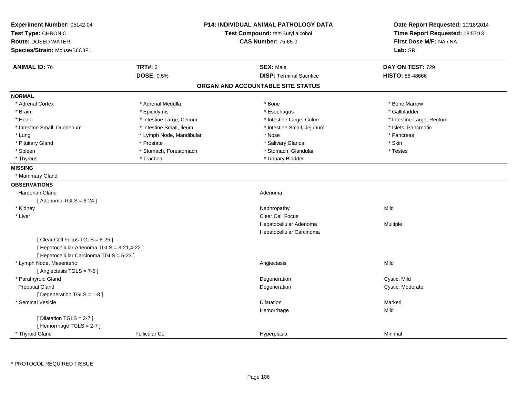| Experiment Number: 05142-04<br>Test Type: CHRONIC<br><b>Route: DOSED WATER</b> |                          | <b>P14: INDIVIDUAL ANIMAL PATHOLOGY DATA</b><br>Test Compound: tert-Butyl alcohol<br><b>CAS Number: 75-65-0</b> | Date Report Requested: 10/18/2014<br>Time Report Requested: 18:57:13<br>First Dose M/F: NA / NA |
|--------------------------------------------------------------------------------|--------------------------|-----------------------------------------------------------------------------------------------------------------|-------------------------------------------------------------------------------------------------|
| Species/Strain: Mouse/B6C3F1                                                   |                          |                                                                                                                 | Lab: SRI                                                                                        |
|                                                                                |                          |                                                                                                                 |                                                                                                 |
| <b>ANIMAL ID: 76</b>                                                           | <b>TRT#: 3</b>           | <b>SEX: Male</b>                                                                                                | DAY ON TEST: 729                                                                                |
|                                                                                | <b>DOSE: 0.5%</b>        | <b>DISP: Terminal Sacrifice</b>                                                                                 | HISTO: 88-48666                                                                                 |
|                                                                                |                          | ORGAN AND ACCOUNTABLE SITE STATUS                                                                               |                                                                                                 |
| <b>NORMAL</b>                                                                  |                          |                                                                                                                 |                                                                                                 |
| * Adrenal Cortex                                                               | * Adrenal Medulla        | * Bone                                                                                                          | * Bone Marrow                                                                                   |
| * Brain                                                                        | * Epididymis             | * Esophagus                                                                                                     | * Gallbladder                                                                                   |
| * Heart                                                                        | * Intestine Large, Cecum | * Intestine Large, Colon                                                                                        | * Intestine Large, Rectum                                                                       |
| * Intestine Small, Duodenum                                                    | * Intestine Small, Ileum | * Intestine Small, Jejunum                                                                                      | * Islets, Pancreatic                                                                            |
| * Lung                                                                         | * Lymph Node, Mandibular | * Nose                                                                                                          | * Pancreas                                                                                      |
| * Pituitary Gland                                                              | * Prostate               | * Salivary Glands                                                                                               | * Skin                                                                                          |
| * Spleen                                                                       | * Stomach, Forestomach   | * Stomach, Glandular                                                                                            | * Testes                                                                                        |
| * Thymus                                                                       | * Trachea                | * Urinary Bladder                                                                                               |                                                                                                 |
| <b>MISSING</b>                                                                 |                          |                                                                                                                 |                                                                                                 |
| * Mammary Gland                                                                |                          |                                                                                                                 |                                                                                                 |
| <b>OBSERVATIONS</b>                                                            |                          |                                                                                                                 |                                                                                                 |
| <b>Harderian Gland</b>                                                         |                          | Adenoma                                                                                                         |                                                                                                 |
| [Adenoma TGLS = $6-24$ ]                                                       |                          |                                                                                                                 |                                                                                                 |
| * Kidney                                                                       |                          | Nephropathy                                                                                                     | Mild                                                                                            |
| * Liver                                                                        |                          | Clear Cell Focus                                                                                                |                                                                                                 |
|                                                                                |                          | Hepatocellular Adenoma                                                                                          | Multiple                                                                                        |
|                                                                                |                          | Hepatocellular Carcinoma                                                                                        |                                                                                                 |
| [Clear Cell Focus TGLS = 8-25]                                                 |                          |                                                                                                                 |                                                                                                 |
| [ Hepatocellular Adenoma TGLS = 3-21,4-22 ]                                    |                          |                                                                                                                 |                                                                                                 |
| [ Hepatocellular Carcinoma TGLS = 5-23 ]                                       |                          |                                                                                                                 |                                                                                                 |
| * Lymph Node, Mesenteric                                                       |                          | Angiectasis                                                                                                     | Mild                                                                                            |
| [Angiectasis TGLS = 7-5]                                                       |                          |                                                                                                                 |                                                                                                 |
| * Parathyroid Gland                                                            |                          | Degeneration                                                                                                    | Cystic, Mild                                                                                    |
| <b>Preputial Gland</b>                                                         |                          | Degeneration                                                                                                    | Cystic, Moderate                                                                                |
| [ Degeneration TGLS = 1-8 ]                                                    |                          |                                                                                                                 |                                                                                                 |
| * Seminal Vesicle                                                              |                          | <b>Dilatation</b>                                                                                               | Marked                                                                                          |
|                                                                                |                          | Hemorrhage                                                                                                      | Mild                                                                                            |
| [Dilatation TGLS = 2-7]                                                        |                          |                                                                                                                 |                                                                                                 |
| [Hemorrhage TGLS = 2-7]                                                        |                          |                                                                                                                 |                                                                                                 |
| * Thyroid Gland                                                                | <b>Follicular Cel</b>    | Hyperplasia                                                                                                     | Minimal                                                                                         |

\* PROTOCOL REQUIRED TISSUE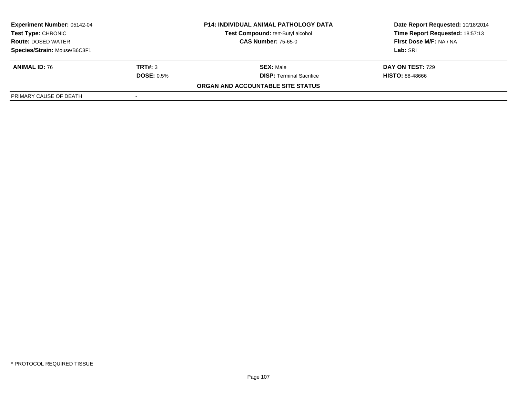| <b>Experiment Number: 05142-04</b><br><b>Test Type: CHRONIC</b><br><b>Route: DOSED WATER</b> |                   | <b>P14: INDIVIDUAL ANIMAL PATHOLOGY DATA</b> | Date Report Requested: 10/18/2014 |  |
|----------------------------------------------------------------------------------------------|-------------------|----------------------------------------------|-----------------------------------|--|
|                                                                                              |                   | Test Compound: tert-Butyl alcohol            | Time Report Requested: 18:57:13   |  |
|                                                                                              |                   | <b>CAS Number: 75-65-0</b>                   | <b>First Dose M/F: NA / NA</b>    |  |
| Species/Strain: Mouse/B6C3F1                                                                 |                   |                                              | Lab: SRI                          |  |
| <b>ANIMAL ID: 76</b>                                                                         | TRT#: 3           | <b>SEX: Male</b>                             | <b>DAY ON TEST: 729</b>           |  |
|                                                                                              | <b>DOSE: 0.5%</b> | <b>DISP:</b> Terminal Sacrifice              | <b>HISTO: 88-48666</b>            |  |
|                                                                                              |                   | ORGAN AND ACCOUNTABLE SITE STATUS            |                                   |  |
| PRIMARY CAUSE OF DEATH                                                                       |                   |                                              |                                   |  |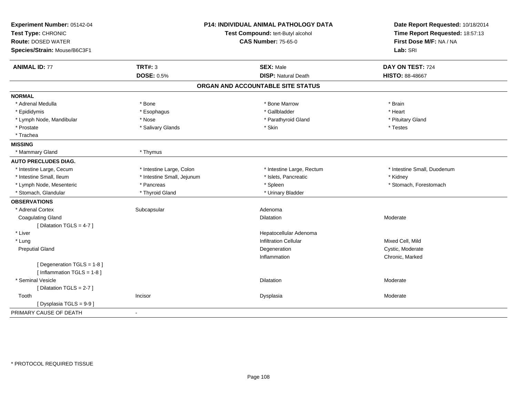| Experiment Number: 05142-04<br>Test Type: CHRONIC<br><b>Route: DOSED WATER</b><br>Species/Strain: Mouse/B6C3F1 |                            | P14: INDIVIDUAL ANIMAL PATHOLOGY DATA<br>Test Compound: tert-Butyl alcohol<br><b>CAS Number: 75-65-0</b> | Date Report Requested: 10/18/2014<br>Time Report Requested: 18:57:13<br>First Dose M/F: NA / NA<br>Lab: SRI |
|----------------------------------------------------------------------------------------------------------------|----------------------------|----------------------------------------------------------------------------------------------------------|-------------------------------------------------------------------------------------------------------------|
| <b>ANIMAL ID: 77</b>                                                                                           | <b>TRT#: 3</b>             | <b>SEX: Male</b>                                                                                         | DAY ON TEST: 724                                                                                            |
|                                                                                                                | <b>DOSE: 0.5%</b>          | <b>DISP: Natural Death</b>                                                                               | <b>HISTO: 88-48667</b>                                                                                      |
|                                                                                                                |                            | ORGAN AND ACCOUNTABLE SITE STATUS                                                                        |                                                                                                             |
| <b>NORMAL</b>                                                                                                  |                            |                                                                                                          |                                                                                                             |
| * Adrenal Medulla                                                                                              | * Bone                     | * Bone Marrow                                                                                            | * Brain                                                                                                     |
| * Epididymis                                                                                                   | * Esophagus                | * Gallbladder                                                                                            | * Heart                                                                                                     |
| * Lymph Node, Mandibular                                                                                       | * Nose                     | * Parathyroid Gland                                                                                      | * Pituitary Gland                                                                                           |
| * Prostate                                                                                                     | * Salivary Glands          | * Skin                                                                                                   | * Testes                                                                                                    |
| * Trachea                                                                                                      |                            |                                                                                                          |                                                                                                             |
| <b>MISSING</b>                                                                                                 |                            |                                                                                                          |                                                                                                             |
| * Mammary Gland                                                                                                | * Thymus                   |                                                                                                          |                                                                                                             |
| <b>AUTO PRECLUDES DIAG.</b>                                                                                    |                            |                                                                                                          |                                                                                                             |
| * Intestine Large, Cecum                                                                                       | * Intestine Large, Colon   | * Intestine Large, Rectum                                                                                | * Intestine Small, Duodenum                                                                                 |
| * Intestine Small, Ileum                                                                                       | * Intestine Small, Jejunum | * Islets, Pancreatic                                                                                     | * Kidney                                                                                                    |
| * Lymph Node, Mesenteric                                                                                       | * Pancreas                 | * Spleen                                                                                                 | * Stomach, Forestomach                                                                                      |
| * Stomach, Glandular                                                                                           | * Thyroid Gland            | * Urinary Bladder                                                                                        |                                                                                                             |
| <b>OBSERVATIONS</b>                                                                                            |                            |                                                                                                          |                                                                                                             |
| * Adrenal Cortex                                                                                               | Subcapsular                | Adenoma                                                                                                  |                                                                                                             |
| <b>Coagulating Gland</b>                                                                                       |                            | <b>Dilatation</b>                                                                                        | Moderate                                                                                                    |
| [ Dilatation TGLS = 4-7 ]                                                                                      |                            |                                                                                                          |                                                                                                             |
| * Liver                                                                                                        |                            | Hepatocellular Adenoma                                                                                   |                                                                                                             |
| * Lung                                                                                                         |                            | <b>Infiltration Cellular</b>                                                                             | Mixed Cell, Mild                                                                                            |
| <b>Preputial Gland</b>                                                                                         |                            | Degeneration                                                                                             | Cystic, Moderate                                                                                            |
|                                                                                                                |                            | Inflammation                                                                                             | Chronic, Marked                                                                                             |
| [ Degeneration TGLS = 1-8 ]                                                                                    |                            |                                                                                                          |                                                                                                             |
| [ Inflammation TGLS = 1-8 ]                                                                                    |                            |                                                                                                          |                                                                                                             |
| * Seminal Vesicle                                                                                              |                            | Dilatation                                                                                               | Moderate                                                                                                    |
| [ Dilatation TGLS = 2-7 ]                                                                                      |                            |                                                                                                          |                                                                                                             |
| Tooth                                                                                                          | Incisor                    | Dysplasia                                                                                                | Moderate                                                                                                    |
| [Dysplasia TGLS = 9-9]                                                                                         |                            |                                                                                                          |                                                                                                             |
| PRIMARY CAUSE OF DEATH                                                                                         | $\blacksquare$             |                                                                                                          |                                                                                                             |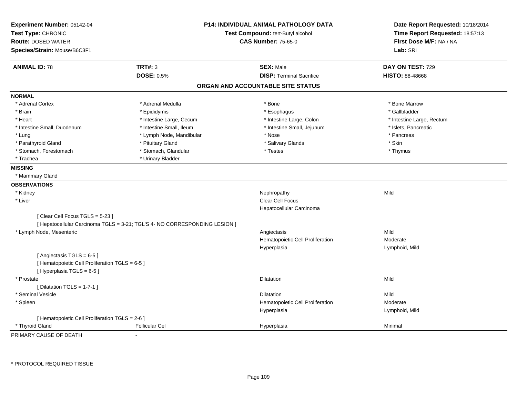| Experiment Number: 05142-04<br>Test Type: CHRONIC<br><b>Route: DOSED WATER</b> |                                                                            | P14: INDIVIDUAL ANIMAL PATHOLOGY DATA<br>Test Compound: tert-Butyl alcohol |                                     |
|--------------------------------------------------------------------------------|----------------------------------------------------------------------------|----------------------------------------------------------------------------|-------------------------------------|
| Species/Strain: Mouse/B6C3F1                                                   |                                                                            | <b>CAS Number: 75-65-0</b>                                                 | First Dose M/F: NA / NA<br>Lab: SRI |
| <b>ANIMAL ID: 78</b>                                                           | <b>TRT#: 3</b>                                                             | <b>SEX: Male</b>                                                           | DAY ON TEST: 729                    |
|                                                                                | <b>DOSE: 0.5%</b>                                                          | <b>DISP: Terminal Sacrifice</b>                                            | <b>HISTO: 88-48668</b>              |
|                                                                                |                                                                            | ORGAN AND ACCOUNTABLE SITE STATUS                                          |                                     |
| <b>NORMAL</b>                                                                  |                                                                            |                                                                            |                                     |
| * Adrenal Cortex                                                               | * Adrenal Medulla                                                          | * Bone                                                                     | * Bone Marrow                       |
| * Brain                                                                        | * Epididymis                                                               | * Esophagus                                                                | * Gallbladder                       |
| * Heart                                                                        | * Intestine Large, Cecum                                                   | * Intestine Large, Colon                                                   | * Intestine Large, Rectum           |
| * Intestine Small, Duodenum                                                    | * Intestine Small, Ileum                                                   | * Intestine Small, Jejunum                                                 | * Islets, Pancreatic                |
| * Lung                                                                         | * Lymph Node, Mandibular                                                   | * Nose                                                                     | * Pancreas                          |
| * Parathyroid Gland                                                            | * Pituitary Gland                                                          | * Salivary Glands                                                          | * Skin                              |
| * Stomach, Forestomach                                                         | * Stomach, Glandular                                                       | * Testes                                                                   | * Thymus                            |
| * Trachea                                                                      | * Urinary Bladder                                                          |                                                                            |                                     |
| <b>MISSING</b>                                                                 |                                                                            |                                                                            |                                     |
| * Mammary Gland                                                                |                                                                            |                                                                            |                                     |
| <b>OBSERVATIONS</b>                                                            |                                                                            |                                                                            |                                     |
| * Kidney                                                                       |                                                                            | Nephropathy                                                                | Mild                                |
| * Liver                                                                        |                                                                            | <b>Clear Cell Focus</b>                                                    |                                     |
|                                                                                |                                                                            | Hepatocellular Carcinoma                                                   |                                     |
| [Clear Cell Focus TGLS = 5-23]                                                 |                                                                            |                                                                            |                                     |
|                                                                                | [ Hepatocellular Carcinoma TGLS = 3-21; TGL'S 4- NO CORRESPONDING LESION ] |                                                                            |                                     |
| * Lymph Node, Mesenteric                                                       |                                                                            | Angiectasis                                                                | Mild                                |
|                                                                                |                                                                            | Hematopoietic Cell Proliferation                                           | Moderate                            |
|                                                                                |                                                                            | Hyperplasia                                                                | Lymphoid, Mild                      |
| [Angiectasis TGLS = 6-5]                                                       |                                                                            |                                                                            |                                     |
| [ Hematopoietic Cell Proliferation TGLS = 6-5 ]                                |                                                                            |                                                                            |                                     |
| [Hyperplasia TGLS = 6-5]                                                       |                                                                            |                                                                            |                                     |
| * Prostate                                                                     |                                                                            | <b>Dilatation</b>                                                          | Mild                                |
| [ Dilatation TGLS = $1-7-1$ ]                                                  |                                                                            |                                                                            |                                     |
| * Seminal Vesicle                                                              |                                                                            | <b>Dilatation</b>                                                          | Mild                                |
| * Spleen                                                                       |                                                                            | Hematopoietic Cell Proliferation                                           | Moderate                            |
|                                                                                |                                                                            | Hyperplasia                                                                | Lymphoid, Mild                      |
| [ Hematopoietic Cell Proliferation TGLS = 2-6 ]                                |                                                                            |                                                                            |                                     |
| * Thyroid Gland                                                                | <b>Follicular Cel</b>                                                      | Hyperplasia                                                                | Minimal                             |

PRIMARY CAUSE OF DEATH-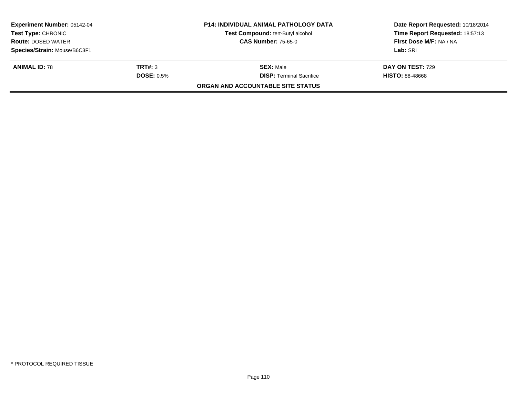| <b>Experiment Number: 05142-04</b><br>Test Type: CHRONIC<br><b>Route: DOSED WATER</b> |                   | <b>P14: INDIVIDUAL ANIMAL PATHOLOGY DATA</b><br><b>Test Compound: tert-Butyl alcohol</b> | Date Report Requested: 10/18/2014<br>Time Report Requested: 18:57:13 |
|---------------------------------------------------------------------------------------|-------------------|------------------------------------------------------------------------------------------|----------------------------------------------------------------------|
|                                                                                       |                   | <b>CAS Number: 75-65-0</b>                                                               | First Dose M/F: NA / NA                                              |
| Species/Strain: Mouse/B6C3F1                                                          |                   |                                                                                          | Lab: SRI                                                             |
| <b>ANIMAL ID: 78</b>                                                                  | TRT#: 3           | <b>SEX: Male</b>                                                                         | DAY ON TEST: 729                                                     |
|                                                                                       | <b>DOSE: 0.5%</b> | <b>DISP:</b> Terminal Sacrifice                                                          | <b>HISTO: 88-48668</b>                                               |
|                                                                                       |                   | ORGAN AND ACCOUNTABLE SITE STATUS                                                        |                                                                      |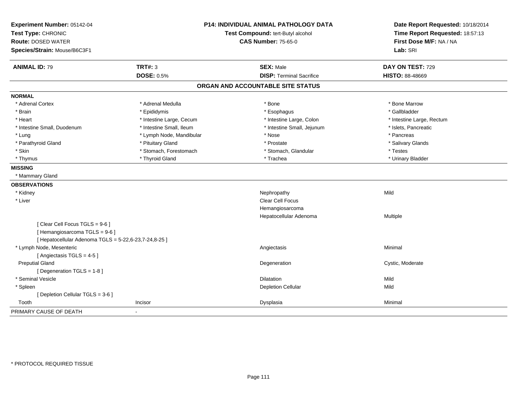| Experiment Number: 05142-04<br>Test Type: CHRONIC     |                          | <b>P14: INDIVIDUAL ANIMAL PATHOLOGY DATA</b><br>Test Compound: tert-Butyl alcohol | Date Report Requested: 10/18/2014<br>Time Report Requested: 18:57:13 |
|-------------------------------------------------------|--------------------------|-----------------------------------------------------------------------------------|----------------------------------------------------------------------|
| <b>Route: DOSED WATER</b>                             |                          | <b>CAS Number: 75-65-0</b>                                                        | First Dose M/F: NA / NA                                              |
| Species/Strain: Mouse/B6C3F1                          |                          |                                                                                   | Lab: SRI                                                             |
| <b>ANIMAL ID: 79</b>                                  | <b>TRT#: 3</b>           | <b>SEX: Male</b>                                                                  | DAY ON TEST: 729                                                     |
|                                                       | <b>DOSE: 0.5%</b>        | <b>DISP: Terminal Sacrifice</b>                                                   | <b>HISTO: 88-48669</b>                                               |
|                                                       |                          | ORGAN AND ACCOUNTABLE SITE STATUS                                                 |                                                                      |
| <b>NORMAL</b>                                         |                          |                                                                                   |                                                                      |
| * Adrenal Cortex                                      | * Adrenal Medulla        | * Bone                                                                            | * Bone Marrow                                                        |
| * Brain                                               | * Epididymis             | * Esophagus                                                                       | * Gallbladder                                                        |
| * Heart                                               | * Intestine Large, Cecum | * Intestine Large, Colon                                                          | * Intestine Large, Rectum                                            |
| * Intestine Small, Duodenum                           | * Intestine Small, Ileum | * Intestine Small, Jejunum                                                        | * Islets, Pancreatic                                                 |
| * Lung                                                | * Lymph Node, Mandibular | * Nose                                                                            | * Pancreas                                                           |
| * Parathyroid Gland                                   | * Pituitary Gland        | * Prostate                                                                        | * Salivary Glands                                                    |
| * Skin                                                | * Stomach, Forestomach   | * Stomach, Glandular                                                              | * Testes                                                             |
| * Thymus                                              | * Thyroid Gland          | * Trachea                                                                         | * Urinary Bladder                                                    |
| <b>MISSING</b>                                        |                          |                                                                                   |                                                                      |
| * Mammary Gland                                       |                          |                                                                                   |                                                                      |
| <b>OBSERVATIONS</b>                                   |                          |                                                                                   |                                                                      |
| * Kidney                                              |                          | Nephropathy                                                                       | Mild                                                                 |
| * Liver                                               |                          | Clear Cell Focus                                                                  |                                                                      |
|                                                       |                          | Hemangiosarcoma                                                                   |                                                                      |
|                                                       |                          | Hepatocellular Adenoma                                                            | Multiple                                                             |
| [Clear Cell Focus TGLS = 9-6]                         |                          |                                                                                   |                                                                      |
| [Hemangiosarcoma TGLS = 9-6]                          |                          |                                                                                   |                                                                      |
| [ Hepatocellular Adenoma TGLS = 5-22,6-23,7-24,8-25 ] |                          |                                                                                   |                                                                      |
| * Lymph Node, Mesenteric                              |                          | Angiectasis                                                                       | Minimal                                                              |
| [Angiectasis TGLS = 4-5]                              |                          |                                                                                   |                                                                      |
| <b>Preputial Gland</b>                                |                          | Degeneration                                                                      | Cystic, Moderate                                                     |
| [Degeneration TGLS = 1-8]                             |                          |                                                                                   |                                                                      |
| * Seminal Vesicle                                     |                          | <b>Dilatation</b>                                                                 | Mild                                                                 |
| * Spleen                                              |                          | <b>Depletion Cellular</b>                                                         | Mild                                                                 |
| [ Depletion Cellular TGLS = 3-6 ]                     |                          |                                                                                   |                                                                      |
| Tooth                                                 | Incisor                  | Dysplasia                                                                         | Minimal                                                              |
| PRIMARY CAUSE OF DEATH                                | $\blacksquare$           |                                                                                   |                                                                      |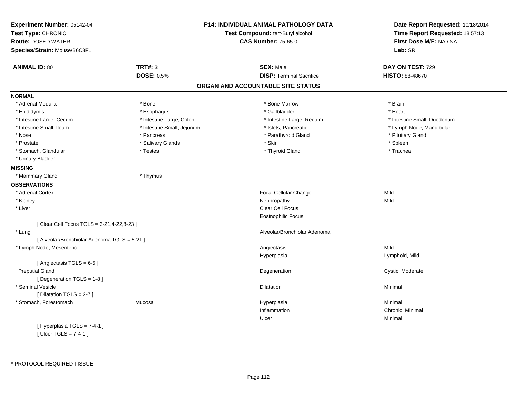| Experiment Number: 05142-04<br>Test Type: CHRONIC |                            | <b>P14: INDIVIDUAL ANIMAL PATHOLOGY DATA</b><br>Test Compound: tert-Butyl alcohol | Date Report Requested: 10/18/2014<br>Time Report Requested: 18:57:13 |
|---------------------------------------------------|----------------------------|-----------------------------------------------------------------------------------|----------------------------------------------------------------------|
| <b>Route: DOSED WATER</b>                         |                            | <b>CAS Number: 75-65-0</b>                                                        | First Dose M/F: NA / NA                                              |
| Species/Strain: Mouse/B6C3F1                      |                            |                                                                                   | Lab: SRI                                                             |
| <b>ANIMAL ID: 80</b>                              | <b>TRT#: 3</b>             | <b>SEX: Male</b>                                                                  | DAY ON TEST: 729                                                     |
|                                                   | <b>DOSE: 0.5%</b>          | <b>DISP: Terminal Sacrifice</b>                                                   | <b>HISTO: 88-48670</b>                                               |
|                                                   |                            | ORGAN AND ACCOUNTABLE SITE STATUS                                                 |                                                                      |
| <b>NORMAL</b>                                     |                            |                                                                                   |                                                                      |
| * Adrenal Medulla                                 | * Bone                     | * Bone Marrow                                                                     | * Brain                                                              |
| * Epididymis                                      | * Esophagus                | * Gallbladder                                                                     | * Heart                                                              |
| * Intestine Large, Cecum                          | * Intestine Large, Colon   | * Intestine Large, Rectum                                                         | * Intestine Small, Duodenum                                          |
| * Intestine Small, Ileum                          | * Intestine Small, Jejunum | * Islets, Pancreatic                                                              | * Lymph Node, Mandibular                                             |
| * Nose                                            | * Pancreas                 | * Parathyroid Gland                                                               | * Pituitary Gland                                                    |
| * Prostate                                        | * Salivary Glands          | * Skin                                                                            | * Spleen                                                             |
| * Stomach, Glandular                              | * Testes                   | * Thyroid Gland                                                                   | * Trachea                                                            |
| * Urinary Bladder                                 |                            |                                                                                   |                                                                      |
| <b>MISSING</b>                                    |                            |                                                                                   |                                                                      |
| * Mammary Gland                                   | * Thymus                   |                                                                                   |                                                                      |
| <b>OBSERVATIONS</b>                               |                            |                                                                                   |                                                                      |
| * Adrenal Cortex                                  |                            | Focal Cellular Change                                                             | Mild                                                                 |
| * Kidney                                          |                            | Nephropathy                                                                       | Mild                                                                 |
| * Liver                                           |                            | Clear Cell Focus                                                                  |                                                                      |
|                                                   |                            | <b>Eosinophilic Focus</b>                                                         |                                                                      |
| [ Clear Cell Focus TGLS = 3-21,4-22,8-23 ]        |                            |                                                                                   |                                                                      |
| * Lung                                            |                            | Alveolar/Bronchiolar Adenoma                                                      |                                                                      |
| [ Alveolar/Bronchiolar Adenoma TGLS = 5-21 ]      |                            |                                                                                   |                                                                      |
| * Lymph Node, Mesenteric                          |                            | Angiectasis                                                                       | Mild                                                                 |
|                                                   |                            | Hyperplasia                                                                       | Lymphoid, Mild                                                       |
| [Angiectasis TGLS = 6-5]                          |                            |                                                                                   |                                                                      |
| <b>Preputial Gland</b>                            |                            | Degeneration                                                                      | Cystic, Moderate                                                     |
| [Degeneration TGLS = 1-8]                         |                            |                                                                                   |                                                                      |
| * Seminal Vesicle                                 |                            | Dilatation                                                                        | Minimal                                                              |
| [Dilatation TGLS = 2-7]                           |                            |                                                                                   |                                                                      |
| * Stomach, Forestomach                            | Mucosa                     | Hyperplasia                                                                       | Minimal                                                              |
|                                                   |                            | Inflammation                                                                      | Chronic, Minimal                                                     |
|                                                   |                            | Ulcer                                                                             | Minimal                                                              |
| [Hyperplasia TGLS = $7-4-1$ ]                     |                            |                                                                                   |                                                                      |
| $\mathbf{r}$                                      |                            |                                                                                   |                                                                      |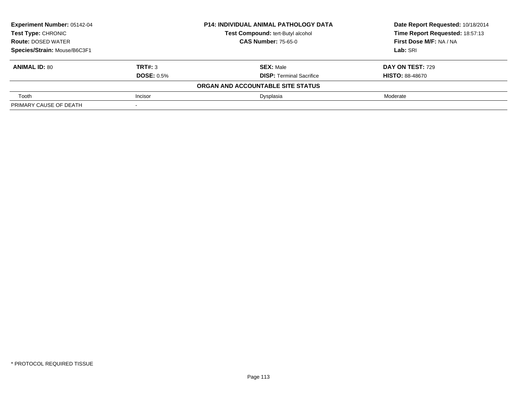| Experiment Number: 05142-04  |                   | <b>P14: INDIVIDUAL ANIMAL PATHOLOGY DATA</b> | Date Report Requested: 10/18/2014 |
|------------------------------|-------------------|----------------------------------------------|-----------------------------------|
| <b>Test Type: CHRONIC</b>    |                   | Test Compound: tert-Butyl alcohol            | Time Report Requested: 18:57:13   |
| <b>Route: DOSED WATER</b>    |                   | <b>CAS Number: 75-65-0</b>                   | First Dose M/F: NA / NA           |
| Species/Strain: Mouse/B6C3F1 |                   |                                              | Lab: SRI                          |
| <b>ANIMAL ID: 80</b>         | TRT#: 3           | <b>SEX: Male</b>                             | DAY ON TEST: 729                  |
|                              | <b>DOSE: 0.5%</b> | <b>DISP:</b> Terminal Sacrifice              | <b>HISTO: 88-48670</b>            |
|                              |                   | ORGAN AND ACCOUNTABLE SITE STATUS            |                                   |
| Tooth                        | Incisor           | Dysplasia                                    | Moderate                          |
| PRIMARY CAUSE OF DEATH       |                   |                                              |                                   |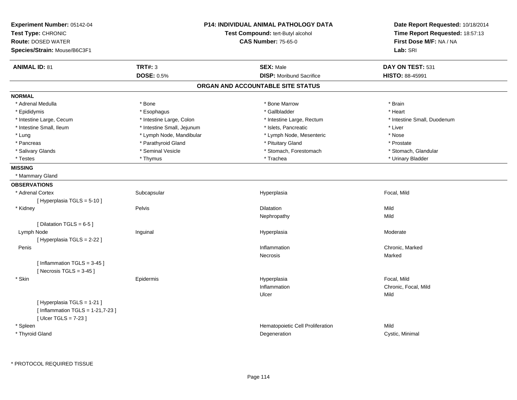| <b>ANIMAL ID: 81</b><br><b>TRT#: 3</b><br><b>SEX: Male</b><br>DAY ON TEST: 531<br><b>DOSE: 0.5%</b><br><b>DISP:</b> Moribund Sacrifice<br><b>HISTO: 88-45991</b><br>ORGAN AND ACCOUNTABLE SITE STATUS<br><b>NORMAL</b><br>* Bone Marrow<br>* Adrenal Medulla<br>* Bone<br>* Brain<br>* Heart<br>* Esophagus<br>* Gallbladder<br>* Epididymis<br>* Intestine Large, Colon<br>* Intestine Small, Duodenum<br>* Intestine Large, Cecum<br>* Intestine Large, Rectum<br>* Intestine Small, Ileum<br>* Intestine Small, Jejunum<br>* Islets, Pancreatic<br>* Liver<br>* Lymph Node, Mandibular<br>* Lymph Node, Mesenteric<br>* Nose<br>* Lung<br>* Parathyroid Gland<br>* Pancreas<br>* Pituitary Gland<br>* Prostate<br>* Seminal Vesicle<br>* Stomach, Forestomach<br>* Stomach, Glandular<br>* Salivary Glands<br>* Trachea<br>* Thymus<br>* Urinary Bladder<br>* Testes<br><b>MISSING</b><br>* Mammary Gland<br><b>OBSERVATIONS</b><br>* Adrenal Cortex<br>Focal, Mild<br>Subcapsular<br>Hyperplasia<br>[ Hyperplasia TGLS = 5-10 ]<br>Pelvis<br>Mild<br>* Kidney<br><b>Dilatation</b><br>Mild<br>Nephropathy<br>[Dilatation TGLS = 6-5]<br>Lymph Node<br>Inguinal<br>Hyperplasia<br>Moderate<br>[ Hyperplasia TGLS = 2-22 ]<br>Chronic, Marked<br>Penis<br>Inflammation<br>Necrosis<br>Marked<br>[Inflammation TGLS = $3-45$ ]<br>[Necrosis $TGLS = 3-45$ ]<br>* Skin<br>Hyperplasia<br>Focal, Mild<br>Epidermis<br>Inflammation<br>Chronic, Focal, Mild<br>Mild<br>Ulcer<br>[Hyperplasia TGLS = 1-21]<br>[Inflammation TGLS = $1-21,7-23$ ]<br>[ $Ulec$ TGLS = 7-23 ]<br>* Spleen<br>Hematopoietic Cell Proliferation<br>Mild | Experiment Number: 05142-04<br>Test Type: CHRONIC<br><b>Route: DOSED WATER</b><br>Species/Strain: Mouse/B6C3F1 | P14: INDIVIDUAL ANIMAL PATHOLOGY DATA<br>Test Compound: tert-Butyl alcohol<br><b>CAS Number: 75-65-0</b> | Date Report Requested: 10/18/2014<br>Time Report Requested: 18:57:13<br>First Dose M/F: NA / NA<br>Lab: SRI |
|---------------------------------------------------------------------------------------------------------------------------------------------------------------------------------------------------------------------------------------------------------------------------------------------------------------------------------------------------------------------------------------------------------------------------------------------------------------------------------------------------------------------------------------------------------------------------------------------------------------------------------------------------------------------------------------------------------------------------------------------------------------------------------------------------------------------------------------------------------------------------------------------------------------------------------------------------------------------------------------------------------------------------------------------------------------------------------------------------------------------------------------------------------------------------------------------------------------------------------------------------------------------------------------------------------------------------------------------------------------------------------------------------------------------------------------------------------------------------------------------------------------------------------------------------------------------------------------------------------------------------------|----------------------------------------------------------------------------------------------------------------|----------------------------------------------------------------------------------------------------------|-------------------------------------------------------------------------------------------------------------|
|                                                                                                                                                                                                                                                                                                                                                                                                                                                                                                                                                                                                                                                                                                                                                                                                                                                                                                                                                                                                                                                                                                                                                                                                                                                                                                                                                                                                                                                                                                                                                                                                                                 |                                                                                                                |                                                                                                          |                                                                                                             |
|                                                                                                                                                                                                                                                                                                                                                                                                                                                                                                                                                                                                                                                                                                                                                                                                                                                                                                                                                                                                                                                                                                                                                                                                                                                                                                                                                                                                                                                                                                                                                                                                                                 |                                                                                                                |                                                                                                          |                                                                                                             |
|                                                                                                                                                                                                                                                                                                                                                                                                                                                                                                                                                                                                                                                                                                                                                                                                                                                                                                                                                                                                                                                                                                                                                                                                                                                                                                                                                                                                                                                                                                                                                                                                                                 |                                                                                                                |                                                                                                          |                                                                                                             |
|                                                                                                                                                                                                                                                                                                                                                                                                                                                                                                                                                                                                                                                                                                                                                                                                                                                                                                                                                                                                                                                                                                                                                                                                                                                                                                                                                                                                                                                                                                                                                                                                                                 |                                                                                                                |                                                                                                          |                                                                                                             |
|                                                                                                                                                                                                                                                                                                                                                                                                                                                                                                                                                                                                                                                                                                                                                                                                                                                                                                                                                                                                                                                                                                                                                                                                                                                                                                                                                                                                                                                                                                                                                                                                                                 |                                                                                                                |                                                                                                          |                                                                                                             |
|                                                                                                                                                                                                                                                                                                                                                                                                                                                                                                                                                                                                                                                                                                                                                                                                                                                                                                                                                                                                                                                                                                                                                                                                                                                                                                                                                                                                                                                                                                                                                                                                                                 |                                                                                                                |                                                                                                          |                                                                                                             |
|                                                                                                                                                                                                                                                                                                                                                                                                                                                                                                                                                                                                                                                                                                                                                                                                                                                                                                                                                                                                                                                                                                                                                                                                                                                                                                                                                                                                                                                                                                                                                                                                                                 |                                                                                                                |                                                                                                          |                                                                                                             |
|                                                                                                                                                                                                                                                                                                                                                                                                                                                                                                                                                                                                                                                                                                                                                                                                                                                                                                                                                                                                                                                                                                                                                                                                                                                                                                                                                                                                                                                                                                                                                                                                                                 |                                                                                                                |                                                                                                          |                                                                                                             |
|                                                                                                                                                                                                                                                                                                                                                                                                                                                                                                                                                                                                                                                                                                                                                                                                                                                                                                                                                                                                                                                                                                                                                                                                                                                                                                                                                                                                                                                                                                                                                                                                                                 |                                                                                                                |                                                                                                          |                                                                                                             |
|                                                                                                                                                                                                                                                                                                                                                                                                                                                                                                                                                                                                                                                                                                                                                                                                                                                                                                                                                                                                                                                                                                                                                                                                                                                                                                                                                                                                                                                                                                                                                                                                                                 |                                                                                                                |                                                                                                          |                                                                                                             |
|                                                                                                                                                                                                                                                                                                                                                                                                                                                                                                                                                                                                                                                                                                                                                                                                                                                                                                                                                                                                                                                                                                                                                                                                                                                                                                                                                                                                                                                                                                                                                                                                                                 |                                                                                                                |                                                                                                          |                                                                                                             |
|                                                                                                                                                                                                                                                                                                                                                                                                                                                                                                                                                                                                                                                                                                                                                                                                                                                                                                                                                                                                                                                                                                                                                                                                                                                                                                                                                                                                                                                                                                                                                                                                                                 |                                                                                                                |                                                                                                          |                                                                                                             |
|                                                                                                                                                                                                                                                                                                                                                                                                                                                                                                                                                                                                                                                                                                                                                                                                                                                                                                                                                                                                                                                                                                                                                                                                                                                                                                                                                                                                                                                                                                                                                                                                                                 |                                                                                                                |                                                                                                          |                                                                                                             |
|                                                                                                                                                                                                                                                                                                                                                                                                                                                                                                                                                                                                                                                                                                                                                                                                                                                                                                                                                                                                                                                                                                                                                                                                                                                                                                                                                                                                                                                                                                                                                                                                                                 |                                                                                                                |                                                                                                          |                                                                                                             |
|                                                                                                                                                                                                                                                                                                                                                                                                                                                                                                                                                                                                                                                                                                                                                                                                                                                                                                                                                                                                                                                                                                                                                                                                                                                                                                                                                                                                                                                                                                                                                                                                                                 |                                                                                                                |                                                                                                          |                                                                                                             |
|                                                                                                                                                                                                                                                                                                                                                                                                                                                                                                                                                                                                                                                                                                                                                                                                                                                                                                                                                                                                                                                                                                                                                                                                                                                                                                                                                                                                                                                                                                                                                                                                                                 |                                                                                                                |                                                                                                          |                                                                                                             |
|                                                                                                                                                                                                                                                                                                                                                                                                                                                                                                                                                                                                                                                                                                                                                                                                                                                                                                                                                                                                                                                                                                                                                                                                                                                                                                                                                                                                                                                                                                                                                                                                                                 |                                                                                                                |                                                                                                          |                                                                                                             |
|                                                                                                                                                                                                                                                                                                                                                                                                                                                                                                                                                                                                                                                                                                                                                                                                                                                                                                                                                                                                                                                                                                                                                                                                                                                                                                                                                                                                                                                                                                                                                                                                                                 |                                                                                                                |                                                                                                          |                                                                                                             |
|                                                                                                                                                                                                                                                                                                                                                                                                                                                                                                                                                                                                                                                                                                                                                                                                                                                                                                                                                                                                                                                                                                                                                                                                                                                                                                                                                                                                                                                                                                                                                                                                                                 |                                                                                                                |                                                                                                          |                                                                                                             |
|                                                                                                                                                                                                                                                                                                                                                                                                                                                                                                                                                                                                                                                                                                                                                                                                                                                                                                                                                                                                                                                                                                                                                                                                                                                                                                                                                                                                                                                                                                                                                                                                                                 |                                                                                                                |                                                                                                          |                                                                                                             |
|                                                                                                                                                                                                                                                                                                                                                                                                                                                                                                                                                                                                                                                                                                                                                                                                                                                                                                                                                                                                                                                                                                                                                                                                                                                                                                                                                                                                                                                                                                                                                                                                                                 |                                                                                                                |                                                                                                          |                                                                                                             |
|                                                                                                                                                                                                                                                                                                                                                                                                                                                                                                                                                                                                                                                                                                                                                                                                                                                                                                                                                                                                                                                                                                                                                                                                                                                                                                                                                                                                                                                                                                                                                                                                                                 |                                                                                                                |                                                                                                          |                                                                                                             |
|                                                                                                                                                                                                                                                                                                                                                                                                                                                                                                                                                                                                                                                                                                                                                                                                                                                                                                                                                                                                                                                                                                                                                                                                                                                                                                                                                                                                                                                                                                                                                                                                                                 |                                                                                                                |                                                                                                          |                                                                                                             |
|                                                                                                                                                                                                                                                                                                                                                                                                                                                                                                                                                                                                                                                                                                                                                                                                                                                                                                                                                                                                                                                                                                                                                                                                                                                                                                                                                                                                                                                                                                                                                                                                                                 |                                                                                                                |                                                                                                          |                                                                                                             |
|                                                                                                                                                                                                                                                                                                                                                                                                                                                                                                                                                                                                                                                                                                                                                                                                                                                                                                                                                                                                                                                                                                                                                                                                                                                                                                                                                                                                                                                                                                                                                                                                                                 |                                                                                                                |                                                                                                          |                                                                                                             |
|                                                                                                                                                                                                                                                                                                                                                                                                                                                                                                                                                                                                                                                                                                                                                                                                                                                                                                                                                                                                                                                                                                                                                                                                                                                                                                                                                                                                                                                                                                                                                                                                                                 |                                                                                                                |                                                                                                          |                                                                                                             |
|                                                                                                                                                                                                                                                                                                                                                                                                                                                                                                                                                                                                                                                                                                                                                                                                                                                                                                                                                                                                                                                                                                                                                                                                                                                                                                                                                                                                                                                                                                                                                                                                                                 |                                                                                                                |                                                                                                          |                                                                                                             |
|                                                                                                                                                                                                                                                                                                                                                                                                                                                                                                                                                                                                                                                                                                                                                                                                                                                                                                                                                                                                                                                                                                                                                                                                                                                                                                                                                                                                                                                                                                                                                                                                                                 |                                                                                                                |                                                                                                          |                                                                                                             |
|                                                                                                                                                                                                                                                                                                                                                                                                                                                                                                                                                                                                                                                                                                                                                                                                                                                                                                                                                                                                                                                                                                                                                                                                                                                                                                                                                                                                                                                                                                                                                                                                                                 |                                                                                                                |                                                                                                          |                                                                                                             |
|                                                                                                                                                                                                                                                                                                                                                                                                                                                                                                                                                                                                                                                                                                                                                                                                                                                                                                                                                                                                                                                                                                                                                                                                                                                                                                                                                                                                                                                                                                                                                                                                                                 |                                                                                                                |                                                                                                          |                                                                                                             |
|                                                                                                                                                                                                                                                                                                                                                                                                                                                                                                                                                                                                                                                                                                                                                                                                                                                                                                                                                                                                                                                                                                                                                                                                                                                                                                                                                                                                                                                                                                                                                                                                                                 |                                                                                                                |                                                                                                          |                                                                                                             |
|                                                                                                                                                                                                                                                                                                                                                                                                                                                                                                                                                                                                                                                                                                                                                                                                                                                                                                                                                                                                                                                                                                                                                                                                                                                                                                                                                                                                                                                                                                                                                                                                                                 | * Thyroid Gland                                                                                                | Degeneration                                                                                             | Cystic, Minimal                                                                                             |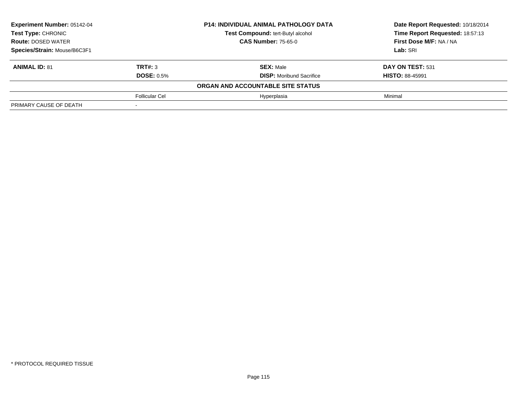| <b>Experiment Number: 05142-04</b> |                   | <b>P14: INDIVIDUAL ANIMAL PATHOLOGY DATA</b> | Date Report Requested: 10/18/2014 |
|------------------------------------|-------------------|----------------------------------------------|-----------------------------------|
| Test Type: CHRONIC                 |                   | Test Compound: tert-Butyl alcohol            | Time Report Requested: 18:57:13   |
| <b>Route: DOSED WATER</b>          |                   | <b>CAS Number: 75-65-0</b>                   | First Dose M/F: NA / NA           |
| Species/Strain: Mouse/B6C3F1       |                   |                                              | Lab: SRI                          |
| <b>ANIMAL ID: 81</b>               | TRT#: 3           | <b>SEX: Male</b>                             | DAY ON TEST: 531                  |
|                                    | <b>DOSE: 0.5%</b> | <b>DISP:</b> Moribund Sacrifice              | <b>HISTO: 88-45991</b>            |
|                                    |                   | ORGAN AND ACCOUNTABLE SITE STATUS            |                                   |
|                                    | Follicular Cel    | Hyperplasia                                  | Minimal                           |
| PRIMARY CAUSE OF DEATH             |                   |                                              |                                   |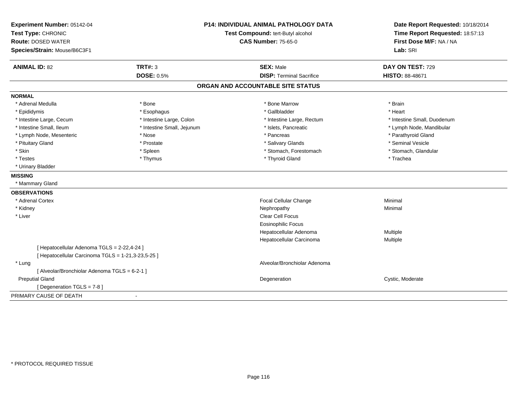| Experiment Number: 05142-04                        | <b>P14: INDIVIDUAL ANIMAL PATHOLOGY DATA</b> |                                   | Date Report Requested: 10/18/2014 |
|----------------------------------------------------|----------------------------------------------|-----------------------------------|-----------------------------------|
| Test Type: CHRONIC                                 |                                              | Test Compound: tert-Butyl alcohol | Time Report Requested: 18:57:13   |
| <b>Route: DOSED WATER</b>                          |                                              | <b>CAS Number: 75-65-0</b>        | First Dose M/F: NA / NA           |
| Species/Strain: Mouse/B6C3F1                       |                                              |                                   | Lab: SRI                          |
| <b>ANIMAL ID: 82</b><br><b>TRT#: 3</b>             |                                              | <b>SEX: Male</b>                  | DAY ON TEST: 729                  |
|                                                    | <b>DOSE: 0.5%</b>                            | <b>DISP: Terminal Sacrifice</b>   | <b>HISTO: 88-48671</b>            |
|                                                    |                                              | ORGAN AND ACCOUNTABLE SITE STATUS |                                   |
| <b>NORMAL</b>                                      |                                              |                                   |                                   |
| * Adrenal Medulla<br>* Bone                        |                                              | * Bone Marrow                     | * Brain                           |
| * Epididymis                                       | * Esophagus                                  | * Gallbladder                     | * Heart                           |
| * Intestine Large, Cecum                           | * Intestine Large, Colon                     | * Intestine Large, Rectum         | * Intestine Small, Duodenum       |
| * Intestine Small, Ileum                           | * Intestine Small, Jejunum                   | * Islets, Pancreatic              | * Lymph Node, Mandibular          |
| * Lymph Node, Mesenteric<br>* Nose                 |                                              | * Pancreas                        | * Parathyroid Gland               |
| * Pituitary Gland                                  | * Prostate                                   | * Salivary Glands                 | * Seminal Vesicle                 |
| * Skin<br>* Spleen                                 |                                              | * Stomach, Forestomach            | * Stomach, Glandular              |
| * Testes                                           | * Thymus                                     | * Thyroid Gland                   | * Trachea                         |
| * Urinary Bladder                                  |                                              |                                   |                                   |
| <b>MISSING</b>                                     |                                              |                                   |                                   |
| * Mammary Gland                                    |                                              |                                   |                                   |
| <b>OBSERVATIONS</b>                                |                                              |                                   |                                   |
| * Adrenal Cortex                                   |                                              | Focal Cellular Change             | Minimal                           |
| * Kidney                                           |                                              | Nephropathy                       | Minimal                           |
| * Liver                                            |                                              | Clear Cell Focus                  |                                   |
|                                                    |                                              | <b>Eosinophilic Focus</b>         |                                   |
|                                                    |                                              | Hepatocellular Adenoma            | Multiple                          |
|                                                    |                                              | Hepatocellular Carcinoma          | Multiple                          |
| [ Hepatocellular Adenoma TGLS = 2-22,4-24 ]        |                                              |                                   |                                   |
| [ Hepatocellular Carcinoma TGLS = 1-21,3-23,5-25 ] |                                              |                                   |                                   |
| * Lung                                             |                                              | Alveolar/Bronchiolar Adenoma      |                                   |
| [ Alveolar/Bronchiolar Adenoma TGLS = 6-2-1 ]      |                                              |                                   |                                   |
| <b>Preputial Gland</b>                             |                                              | Degeneration                      | Cystic, Moderate                  |
| [ Degeneration TGLS = 7-8 ]                        |                                              |                                   |                                   |
| PRIMARY CAUSE OF DEATH                             |                                              |                                   |                                   |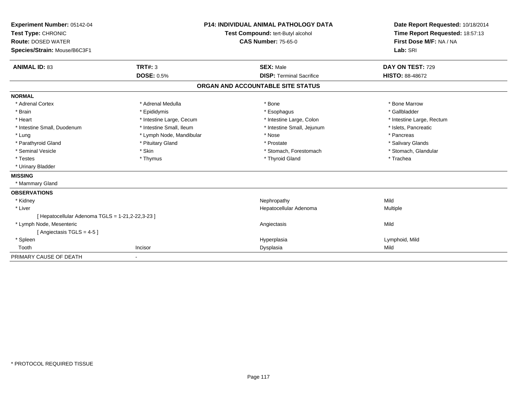| Experiment Number: 05142-04                      |                          | <b>P14: INDIVIDUAL ANIMAL PATHOLOGY DATA</b> | Date Report Requested: 10/18/2014 |
|--------------------------------------------------|--------------------------|----------------------------------------------|-----------------------------------|
| Test Type: CHRONIC                               |                          | Test Compound: tert-Butyl alcohol            | Time Report Requested: 18:57:13   |
| <b>Route: DOSED WATER</b>                        |                          | <b>CAS Number: 75-65-0</b>                   | First Dose M/F: NA / NA           |
| Species/Strain: Mouse/B6C3F1                     |                          |                                              | Lab: SRI                          |
| <b>ANIMAL ID: 83</b>                             | TRT#: 3                  | <b>SEX: Male</b>                             | DAY ON TEST: 729                  |
|                                                  | <b>DOSE: 0.5%</b>        | <b>DISP: Terminal Sacrifice</b>              | <b>HISTO: 88-48672</b>            |
|                                                  |                          | ORGAN AND ACCOUNTABLE SITE STATUS            |                                   |
| <b>NORMAL</b>                                    |                          |                                              |                                   |
| * Adrenal Cortex                                 | * Adrenal Medulla        | * Bone                                       | * Bone Marrow                     |
| * Brain                                          | * Epididymis             | * Esophagus                                  | * Gallbladder                     |
| * Heart                                          | * Intestine Large, Cecum | * Intestine Large, Colon                     | * Intestine Large, Rectum         |
| * Intestine Small, Duodenum                      | * Intestine Small, Ileum | * Intestine Small, Jejunum                   | * Islets, Pancreatic              |
| * Lung                                           | * Lymph Node, Mandibular | * Nose                                       | * Pancreas                        |
| * Parathyroid Gland                              | * Pituitary Gland        | * Prostate                                   | * Salivary Glands                 |
| * Seminal Vesicle                                | * Skin                   | * Stomach, Forestomach                       | * Stomach, Glandular              |
| * Testes                                         | * Thymus                 | * Thyroid Gland                              | * Trachea                         |
| * Urinary Bladder                                |                          |                                              |                                   |
| <b>MISSING</b>                                   |                          |                                              |                                   |
| * Mammary Gland                                  |                          |                                              |                                   |
| <b>OBSERVATIONS</b>                              |                          |                                              |                                   |
| * Kidney                                         |                          | Nephropathy                                  | Mild                              |
| * Liver                                          |                          | Hepatocellular Adenoma                       | Multiple                          |
| [ Hepatocellular Adenoma TGLS = 1-21,2-22,3-23 ] |                          |                                              |                                   |
| * Lymph Node, Mesenteric                         |                          | Angiectasis                                  | Mild                              |
| [Angiectasis TGLS = 4-5]                         |                          |                                              |                                   |
| * Spleen                                         |                          | Hyperplasia                                  | Lymphoid, Mild                    |
| Tooth                                            | Incisor                  | Dysplasia                                    | Mild                              |
| PRIMARY CAUSE OF DEATH                           | $\blacksquare$           |                                              |                                   |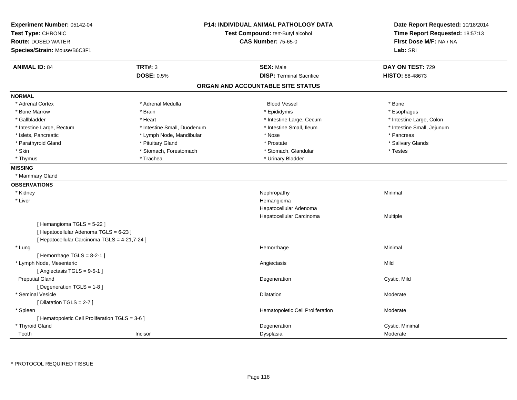| Experiment Number: 05142-04<br>Test Type: CHRONIC<br><b>Route: DOSED WATER</b><br>Species/Strain: Mouse/B6C3F1 |                             | <b>P14: INDIVIDUAL ANIMAL PATHOLOGY DATA</b><br>Test Compound: tert-Butyl alcohol<br><b>CAS Number: 75-65-0</b> | Date Report Requested: 10/18/2014<br>Time Report Requested: 18:57:13<br>First Dose M/F: NA / NA<br>Lab: SRI |
|----------------------------------------------------------------------------------------------------------------|-----------------------------|-----------------------------------------------------------------------------------------------------------------|-------------------------------------------------------------------------------------------------------------|
| <b>ANIMAL ID: 84</b>                                                                                           | <b>TRT#: 3</b>              | <b>SEX: Male</b>                                                                                                | DAY ON TEST: 729                                                                                            |
|                                                                                                                | <b>DOSE: 0.5%</b>           | <b>DISP: Terminal Sacrifice</b>                                                                                 | <b>HISTO: 88-48673</b>                                                                                      |
|                                                                                                                |                             | ORGAN AND ACCOUNTABLE SITE STATUS                                                                               |                                                                                                             |
| <b>NORMAL</b>                                                                                                  |                             |                                                                                                                 |                                                                                                             |
| * Adrenal Cortex                                                                                               | * Adrenal Medulla           | <b>Blood Vessel</b>                                                                                             | * Bone                                                                                                      |
| * Bone Marrow                                                                                                  | * Brain                     | * Epididymis                                                                                                    | * Esophagus                                                                                                 |
| * Gallbladder                                                                                                  | * Heart                     | * Intestine Large, Cecum                                                                                        | * Intestine Large, Colon                                                                                    |
| * Intestine Large, Rectum                                                                                      | * Intestine Small, Duodenum | * Intestine Small, Ileum                                                                                        | * Intestine Small, Jejunum                                                                                  |
| * Islets, Pancreatic                                                                                           | * Lymph Node, Mandibular    | * Nose                                                                                                          | * Pancreas                                                                                                  |
| * Parathyroid Gland                                                                                            | * Pituitary Gland           | * Prostate                                                                                                      | * Salivary Glands                                                                                           |
| * Skin                                                                                                         | * Stomach, Forestomach      | * Stomach, Glandular                                                                                            | * Testes                                                                                                    |
| * Thymus                                                                                                       | * Trachea                   | * Urinary Bladder                                                                                               |                                                                                                             |
| <b>MISSING</b>                                                                                                 |                             |                                                                                                                 |                                                                                                             |
| * Mammary Gland                                                                                                |                             |                                                                                                                 |                                                                                                             |
| <b>OBSERVATIONS</b>                                                                                            |                             |                                                                                                                 |                                                                                                             |
| * Kidney                                                                                                       |                             | Nephropathy                                                                                                     | Minimal                                                                                                     |
| * Liver                                                                                                        |                             | Hemangioma                                                                                                      |                                                                                                             |
|                                                                                                                |                             | Hepatocellular Adenoma                                                                                          |                                                                                                             |
|                                                                                                                |                             | Hepatocellular Carcinoma                                                                                        | Multiple                                                                                                    |
| [Hemangioma TGLS = 5-22]                                                                                       |                             |                                                                                                                 |                                                                                                             |
| [ Hepatocellular Adenoma TGLS = 6-23 ]                                                                         |                             |                                                                                                                 |                                                                                                             |
| [ Hepatocellular Carcinoma TGLS = 4-21,7-24 ]                                                                  |                             |                                                                                                                 |                                                                                                             |
| * Lung                                                                                                         |                             | Hemorrhage                                                                                                      | Minimal                                                                                                     |
| [Hemorrhage TGLS = $8-2-1$ ]                                                                                   |                             |                                                                                                                 |                                                                                                             |
| * Lymph Node, Mesenteric                                                                                       |                             | Angiectasis                                                                                                     | Mild                                                                                                        |
| [Angiectasis TGLS = 9-5-1]                                                                                     |                             |                                                                                                                 |                                                                                                             |
| <b>Preputial Gland</b>                                                                                         |                             | Degeneration                                                                                                    | Cystic, Mild                                                                                                |
| [Degeneration TGLS = 1-8]                                                                                      |                             |                                                                                                                 |                                                                                                             |
| * Seminal Vesicle                                                                                              |                             | Dilatation                                                                                                      | Moderate                                                                                                    |
| [ Dilatation TGLS = 2-7 ]                                                                                      |                             |                                                                                                                 |                                                                                                             |
| * Spleen                                                                                                       |                             | Hematopoietic Cell Proliferation                                                                                | Moderate                                                                                                    |
| [ Hematopoietic Cell Proliferation TGLS = 3-6 ]                                                                |                             |                                                                                                                 |                                                                                                             |
| * Thyroid Gland                                                                                                |                             | Degeneration                                                                                                    | Cystic, Minimal                                                                                             |
| Tooth                                                                                                          | Incisor                     | Dysplasia                                                                                                       | Moderate                                                                                                    |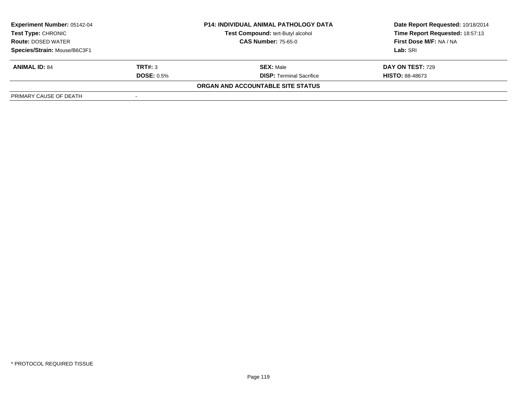| <b>Experiment Number: 05142-04</b><br>Test Type: CHRONIC<br><b>Route: DOSED WATER</b> |                   | <b>P14: INDIVIDUAL ANIMAL PATHOLOGY DATA</b> | Date Report Requested: 10/18/2014 |
|---------------------------------------------------------------------------------------|-------------------|----------------------------------------------|-----------------------------------|
|                                                                                       |                   | Test Compound: tert-Butyl alcohol            | Time Report Requested: 18:57:13   |
|                                                                                       |                   | <b>CAS Number: 75-65-0</b>                   | First Dose M/F: NA / NA           |
| Species/Strain: Mouse/B6C3F1                                                          |                   |                                              | Lab: SRI                          |
| <b>ANIMAL ID: 84</b>                                                                  | TRT#: 3           | <b>SEX: Male</b>                             | DAY ON TEST: 729                  |
|                                                                                       | <b>DOSE: 0.5%</b> | <b>DISP:</b> Terminal Sacrifice              | <b>HISTO: 88-48673</b>            |
|                                                                                       |                   | ORGAN AND ACCOUNTABLE SITE STATUS            |                                   |
| PRIMARY CAUSE OF DEATH                                                                |                   |                                              |                                   |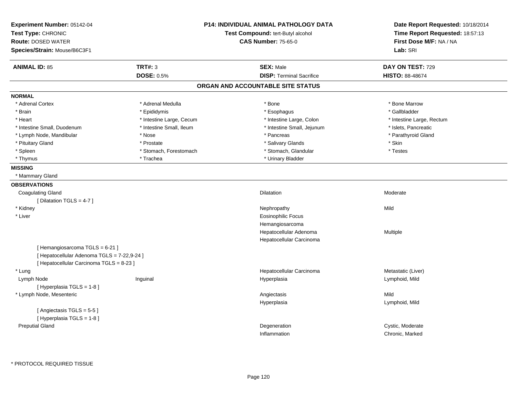| Experiment Number: 05142-04<br>Test Type: CHRONIC<br><b>Route: DOSED WATER</b><br>Species/Strain: Mouse/B6C3F1           |                                     | <b>P14: INDIVIDUAL ANIMAL PATHOLOGY DATA</b><br>Test Compound: tert-Butyl alcohol<br><b>CAS Number: 75-65-0</b> | Date Report Requested: 10/18/2014<br>Time Report Requested: 18:57:13<br>First Dose M/F: NA / NA<br>Lab: SRI |
|--------------------------------------------------------------------------------------------------------------------------|-------------------------------------|-----------------------------------------------------------------------------------------------------------------|-------------------------------------------------------------------------------------------------------------|
| <b>ANIMAL ID: 85</b>                                                                                                     | <b>TRT#: 3</b><br><b>DOSE: 0.5%</b> | <b>SEX: Male</b><br><b>DISP: Terminal Sacrifice</b>                                                             | DAY ON TEST: 729<br><b>HISTO: 88-48674</b>                                                                  |
|                                                                                                                          |                                     | ORGAN AND ACCOUNTABLE SITE STATUS                                                                               |                                                                                                             |
| <b>NORMAL</b>                                                                                                            |                                     |                                                                                                                 |                                                                                                             |
| * Adrenal Cortex                                                                                                         | * Adrenal Medulla                   | * Bone                                                                                                          | * Bone Marrow                                                                                               |
| * Brain                                                                                                                  | * Epididymis                        | * Esophagus                                                                                                     | * Gallbladder                                                                                               |
| * Heart                                                                                                                  | * Intestine Large, Cecum            | * Intestine Large, Colon                                                                                        | * Intestine Large, Rectum                                                                                   |
| * Intestine Small, Duodenum                                                                                              | * Intestine Small, Ileum            | * Intestine Small, Jejunum                                                                                      | * Islets, Pancreatic                                                                                        |
| * Lymph Node, Mandibular                                                                                                 | * Nose                              | * Pancreas                                                                                                      | * Parathyroid Gland                                                                                         |
| * Pituitary Gland                                                                                                        | * Prostate                          | * Salivary Glands                                                                                               | * Skin                                                                                                      |
| * Spleen                                                                                                                 | * Stomach, Forestomach              | * Stomach, Glandular                                                                                            | * Testes                                                                                                    |
| * Thymus                                                                                                                 | * Trachea                           | * Urinary Bladder                                                                                               |                                                                                                             |
| <b>MISSING</b>                                                                                                           |                                     |                                                                                                                 |                                                                                                             |
| * Mammary Gland                                                                                                          |                                     |                                                                                                                 |                                                                                                             |
| <b>OBSERVATIONS</b>                                                                                                      |                                     |                                                                                                                 |                                                                                                             |
| <b>Coagulating Gland</b>                                                                                                 |                                     | Dilatation                                                                                                      | Moderate                                                                                                    |
| [ Dilatation TGLS = 4-7 ]                                                                                                |                                     |                                                                                                                 |                                                                                                             |
| * Kidney                                                                                                                 |                                     | Nephropathy                                                                                                     | Mild                                                                                                        |
| * Liver                                                                                                                  |                                     | <b>Eosinophilic Focus</b>                                                                                       |                                                                                                             |
|                                                                                                                          |                                     | Hemangiosarcoma                                                                                                 |                                                                                                             |
|                                                                                                                          |                                     | Hepatocellular Adenoma                                                                                          | Multiple                                                                                                    |
|                                                                                                                          |                                     | Hepatocellular Carcinoma                                                                                        |                                                                                                             |
| [Hemangiosarcoma TGLS = 6-21]<br>[ Hepatocellular Adenoma TGLS = 7-22,9-24 ]<br>[ Hepatocellular Carcinoma TGLS = 8-23 ] |                                     |                                                                                                                 |                                                                                                             |
| * Lung                                                                                                                   |                                     | Hepatocellular Carcinoma                                                                                        | Metastatic (Liver)                                                                                          |
| Lymph Node                                                                                                               | Inguinal                            | Hyperplasia                                                                                                     | Lymphoid, Mild                                                                                              |
| [ Hyperplasia TGLS = 1-8 ]                                                                                               |                                     |                                                                                                                 |                                                                                                             |
| * Lymph Node, Mesenteric                                                                                                 |                                     | Angiectasis                                                                                                     | Mild                                                                                                        |
|                                                                                                                          |                                     | Hyperplasia                                                                                                     | Lymphoid, Mild                                                                                              |
| [Angiectasis TGLS = 5-5]                                                                                                 |                                     |                                                                                                                 |                                                                                                             |
| [ Hyperplasia TGLS = 1-8 ]                                                                                               |                                     |                                                                                                                 |                                                                                                             |
| <b>Preputial Gland</b>                                                                                                   |                                     | Degeneration                                                                                                    | Cystic, Moderate                                                                                            |
|                                                                                                                          |                                     | Inflammation                                                                                                    | Chronic, Marked                                                                                             |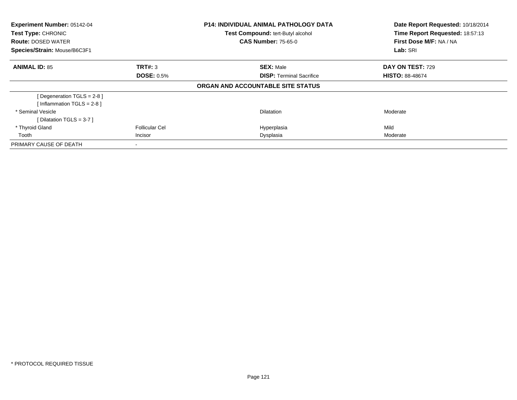| Experiment Number: 05142-04<br><b>Test Type: CHRONIC</b><br><b>Route: DOSED WATER</b><br>Species/Strain: Mouse/B6C3F1 |                       | <b>P14: INDIVIDUAL ANIMAL PATHOLOGY DATA</b><br>Test Compound: tert-Butyl alcohol<br><b>CAS Number: 75-65-0</b> | Date Report Requested: 10/18/2014<br>Time Report Requested: 18:57:13<br>First Dose M/F: NA / NA<br>Lab: SRI |  |
|-----------------------------------------------------------------------------------------------------------------------|-----------------------|-----------------------------------------------------------------------------------------------------------------|-------------------------------------------------------------------------------------------------------------|--|
|                                                                                                                       |                       |                                                                                                                 |                                                                                                             |  |
| <b>ANIMAL ID: 85</b>                                                                                                  | TRT#: 3               | <b>SEX: Male</b>                                                                                                | <b>DAY ON TEST: 729</b>                                                                                     |  |
|                                                                                                                       | <b>DOSE: 0.5%</b>     | <b>DISP:</b> Terminal Sacrifice                                                                                 | <b>HISTO: 88-48674</b>                                                                                      |  |
|                                                                                                                       |                       | ORGAN AND ACCOUNTABLE SITE STATUS                                                                               |                                                                                                             |  |
| [Degeneration TGLS = $2-8$ ]                                                                                          |                       |                                                                                                                 |                                                                                                             |  |
| [Inflammation TGLS = $2-8$ ]                                                                                          |                       |                                                                                                                 |                                                                                                             |  |
| * Seminal Vesicle                                                                                                     |                       | <b>Dilatation</b>                                                                                               | Moderate                                                                                                    |  |
| [ Dilatation TGLS = $3-7$ ]                                                                                           |                       |                                                                                                                 |                                                                                                             |  |
| * Thyroid Gland                                                                                                       | <b>Follicular Cel</b> | Hyperplasia                                                                                                     | Mild                                                                                                        |  |
| Tooth                                                                                                                 | Incisor               | Dysplasia                                                                                                       | Moderate                                                                                                    |  |
| PRIMARY CAUSE OF DEATH                                                                                                |                       |                                                                                                                 |                                                                                                             |  |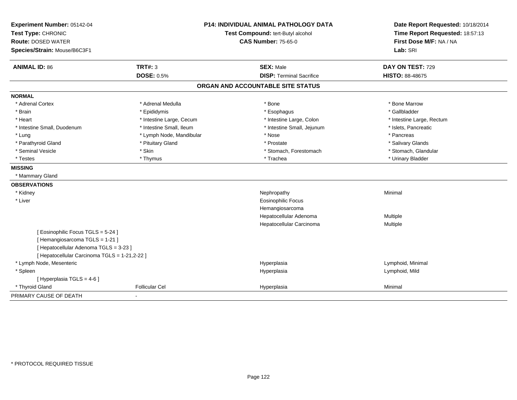| Experiment Number: 05142-04                   |                          | <b>P14: INDIVIDUAL ANIMAL PATHOLOGY DATA</b> | Date Report Requested: 10/18/2014                          |
|-----------------------------------------------|--------------------------|----------------------------------------------|------------------------------------------------------------|
| Test Type: CHRONIC                            |                          | Test Compound: tert-Butyl alcohol            | Time Report Requested: 18:57:13<br>First Dose M/F: NA / NA |
| <b>Route: DOSED WATER</b>                     |                          | <b>CAS Number: 75-65-0</b>                   |                                                            |
| Species/Strain: Mouse/B6C3F1                  |                          |                                              | Lab: SRI                                                   |
| <b>ANIMAL ID: 86</b>                          | <b>TRT#: 3</b>           | <b>SEX: Male</b>                             | DAY ON TEST: 729                                           |
|                                               | <b>DOSE: 0.5%</b>        | <b>DISP: Terminal Sacrifice</b>              | HISTO: 88-48675                                            |
|                                               |                          | ORGAN AND ACCOUNTABLE SITE STATUS            |                                                            |
| <b>NORMAL</b>                                 |                          |                                              |                                                            |
| * Adrenal Cortex                              | * Adrenal Medulla        | * Bone                                       | * Bone Marrow                                              |
| * Brain                                       | * Epididymis             | * Esophagus                                  | * Gallbladder                                              |
| * Heart                                       | * Intestine Large, Cecum | * Intestine Large, Colon                     | * Intestine Large, Rectum                                  |
| * Intestine Small, Duodenum                   | * Intestine Small, Ileum | * Intestine Small, Jejunum                   | * Islets, Pancreatic                                       |
| * Lung                                        | * Lymph Node, Mandibular | * Nose                                       | * Pancreas                                                 |
| * Parathyroid Gland                           | * Pituitary Gland        | * Prostate                                   | * Salivary Glands                                          |
| * Seminal Vesicle                             | * Skin                   | * Stomach, Forestomach                       | * Stomach, Glandular                                       |
| * Testes                                      | * Thymus                 | * Trachea                                    | * Urinary Bladder                                          |
| <b>MISSING</b>                                |                          |                                              |                                                            |
| * Mammary Gland                               |                          |                                              |                                                            |
| <b>OBSERVATIONS</b>                           |                          |                                              |                                                            |
| * Kidney                                      |                          | Nephropathy                                  | Minimal                                                    |
| * Liver                                       |                          | Eosinophilic Focus                           |                                                            |
|                                               |                          | Hemangiosarcoma                              |                                                            |
|                                               |                          | Hepatocellular Adenoma                       | Multiple                                                   |
|                                               |                          | Hepatocellular Carcinoma                     | Multiple                                                   |
| [ Eosinophilic Focus TGLS = 5-24 ]            |                          |                                              |                                                            |
| [Hemangiosarcoma TGLS = 1-21]                 |                          |                                              |                                                            |
| [ Hepatocellular Adenoma TGLS = 3-23 ]        |                          |                                              |                                                            |
| [ Hepatocellular Carcinoma TGLS = 1-21,2-22 ] |                          |                                              |                                                            |
| * Lymph Node, Mesenteric                      |                          | Hyperplasia                                  | Lymphoid, Minimal                                          |
| * Spleen                                      |                          | Hyperplasia                                  | Lymphoid, Mild                                             |
| [ Hyperplasia TGLS = 4-6 ]                    |                          |                                              |                                                            |
| * Thyroid Gland                               | <b>Follicular Cel</b>    | Hyperplasia                                  | Minimal                                                    |
| PRIMARY CAUSE OF DEATH                        | $\blacksquare$           |                                              |                                                            |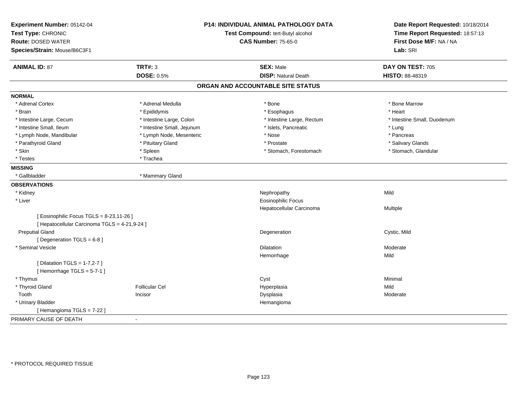| Experiment Number: 05142-04<br>Test Type: CHRONIC<br><b>Route: DOSED WATER</b><br>Species/Strain: Mouse/B6C3F1 |                            | P14: INDIVIDUAL ANIMAL PATHOLOGY DATA<br>Test Compound: tert-Butyl alcohol<br><b>CAS Number: 75-65-0</b> | Date Report Requested: 10/18/2014<br>Time Report Requested: 18:57:13<br>First Dose M/F: NA / NA<br>Lab: SRI |
|----------------------------------------------------------------------------------------------------------------|----------------------------|----------------------------------------------------------------------------------------------------------|-------------------------------------------------------------------------------------------------------------|
| <b>ANIMAL ID: 87</b>                                                                                           | <b>TRT#: 3</b>             | <b>SEX: Male</b>                                                                                         | DAY ON TEST: 705                                                                                            |
|                                                                                                                | <b>DOSE: 0.5%</b>          | <b>DISP: Natural Death</b>                                                                               | HISTO: 88-48319                                                                                             |
|                                                                                                                |                            | ORGAN AND ACCOUNTABLE SITE STATUS                                                                        |                                                                                                             |
| <b>NORMAL</b>                                                                                                  |                            |                                                                                                          |                                                                                                             |
| * Adrenal Cortex                                                                                               | * Adrenal Medulla          | $*$ Bone                                                                                                 | * Bone Marrow                                                                                               |
| * Brain                                                                                                        | * Epididymis               | * Esophagus                                                                                              | * Heart                                                                                                     |
| * Intestine Large, Cecum                                                                                       | * Intestine Large, Colon   | * Intestine Large, Rectum                                                                                | * Intestine Small, Duodenum                                                                                 |
| * Intestine Small, Ileum                                                                                       | * Intestine Small, Jejunum | * Islets, Pancreatic                                                                                     | * Lung                                                                                                      |
| * Lymph Node, Mandibular                                                                                       | * Lymph Node, Mesenteric   | * Nose                                                                                                   | * Pancreas                                                                                                  |
| * Parathyroid Gland                                                                                            | * Pituitary Gland          | * Prostate                                                                                               | * Salivary Glands                                                                                           |
| * Skin                                                                                                         | * Spleen                   | * Stomach, Forestomach                                                                                   | * Stomach, Glandular                                                                                        |
| * Testes                                                                                                       | * Trachea                  |                                                                                                          |                                                                                                             |
| <b>MISSING</b>                                                                                                 |                            |                                                                                                          |                                                                                                             |
| * Gallbladder                                                                                                  | * Mammary Gland            |                                                                                                          |                                                                                                             |
| <b>OBSERVATIONS</b>                                                                                            |                            |                                                                                                          |                                                                                                             |
| * Kidney                                                                                                       |                            | Nephropathy                                                                                              | Mild                                                                                                        |
| * Liver                                                                                                        |                            | <b>Eosinophilic Focus</b>                                                                                |                                                                                                             |
|                                                                                                                |                            | Hepatocellular Carcinoma                                                                                 | Multiple                                                                                                    |
| [ Eosinophilic Focus TGLS = 8-23,11-26 ]<br>[ Hepatocellular Carcinoma TGLS = 4-21,9-24 ]                      |                            |                                                                                                          |                                                                                                             |
| <b>Preputial Gland</b>                                                                                         |                            | Degeneration                                                                                             | Cystic, Mild                                                                                                |
| [ Degeneration TGLS = 6-8 ]                                                                                    |                            |                                                                                                          |                                                                                                             |
| * Seminal Vesicle                                                                                              |                            | <b>Dilatation</b>                                                                                        | Moderate                                                                                                    |
|                                                                                                                |                            | Hemorrhage                                                                                               | Mild                                                                                                        |
| [ Dilatation TGLS = 1-7,2-7 ]                                                                                  |                            |                                                                                                          |                                                                                                             |
| [Hemorrhage TGLS = 5-7-1]                                                                                      |                            |                                                                                                          |                                                                                                             |
| * Thymus                                                                                                       |                            | Cyst                                                                                                     | Minimal                                                                                                     |
| * Thyroid Gland                                                                                                | Follicular Cel             | Hyperplasia                                                                                              | Mild                                                                                                        |
| Tooth                                                                                                          | Incisor                    | Dysplasia                                                                                                | Moderate                                                                                                    |
| * Urinary Bladder                                                                                              |                            | Hemangioma                                                                                               |                                                                                                             |
| [Hemangioma TGLS = 7-22]                                                                                       |                            |                                                                                                          |                                                                                                             |
| PRIMARY CAUSE OF DEATH                                                                                         |                            |                                                                                                          |                                                                                                             |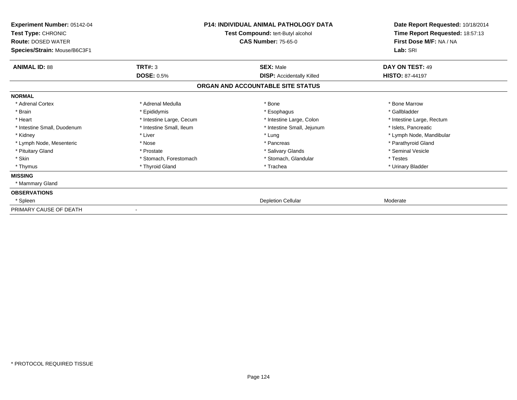| Experiment Number: 05142-04<br>Test Type: CHRONIC<br><b>Route: DOSED WATER</b><br>Species/Strain: Mouse/B6C3F1 |                          | <b>P14: INDIVIDUAL ANIMAL PATHOLOGY DATA</b><br>Test Compound: tert-Butyl alcohol<br><b>CAS Number: 75-65-0</b> | Date Report Requested: 10/18/2014<br>Time Report Requested: 18:57:13<br>First Dose M/F: NA / NA<br>Lab: SRI |
|----------------------------------------------------------------------------------------------------------------|--------------------------|-----------------------------------------------------------------------------------------------------------------|-------------------------------------------------------------------------------------------------------------|
| <b>ANIMAL ID: 88</b>                                                                                           | TRT#: 3                  | <b>SEX: Male</b>                                                                                                | DAY ON TEST: 49                                                                                             |
|                                                                                                                | <b>DOSE: 0.5%</b>        | <b>DISP:</b> Accidentally Killed                                                                                | <b>HISTO: 87-44197</b>                                                                                      |
|                                                                                                                |                          | ORGAN AND ACCOUNTABLE SITE STATUS                                                                               |                                                                                                             |
| <b>NORMAL</b>                                                                                                  |                          |                                                                                                                 |                                                                                                             |
| * Adrenal Cortex                                                                                               | * Adrenal Medulla        | * Bone                                                                                                          | * Bone Marrow                                                                                               |
| * Brain                                                                                                        | * Epididymis             | * Esophagus                                                                                                     | * Gallbladder                                                                                               |
| * Heart                                                                                                        | * Intestine Large, Cecum | * Intestine Large, Colon                                                                                        | * Intestine Large, Rectum                                                                                   |
| * Intestine Small, Duodenum                                                                                    | * Intestine Small, Ileum | * Intestine Small, Jejunum                                                                                      | * Islets, Pancreatic                                                                                        |
| * Kidney                                                                                                       | * Liver                  | * Lung                                                                                                          | * Lymph Node, Mandibular                                                                                    |
| * Lymph Node, Mesenteric                                                                                       | * Nose                   | * Pancreas                                                                                                      | * Parathyroid Gland                                                                                         |
| * Pituitary Gland                                                                                              | * Prostate               | * Salivary Glands                                                                                               | * Seminal Vesicle                                                                                           |
| * Skin                                                                                                         | * Stomach, Forestomach   | * Stomach, Glandular                                                                                            | * Testes                                                                                                    |
| * Thymus                                                                                                       | * Thyroid Gland          | * Trachea                                                                                                       | * Urinary Bladder                                                                                           |
| <b>MISSING</b>                                                                                                 |                          |                                                                                                                 |                                                                                                             |
| * Mammary Gland                                                                                                |                          |                                                                                                                 |                                                                                                             |
| <b>OBSERVATIONS</b>                                                                                            |                          |                                                                                                                 |                                                                                                             |
| * Spleen                                                                                                       |                          | <b>Depletion Cellular</b>                                                                                       | Moderate                                                                                                    |
| PRIMARY CAUSE OF DEATH                                                                                         |                          |                                                                                                                 |                                                                                                             |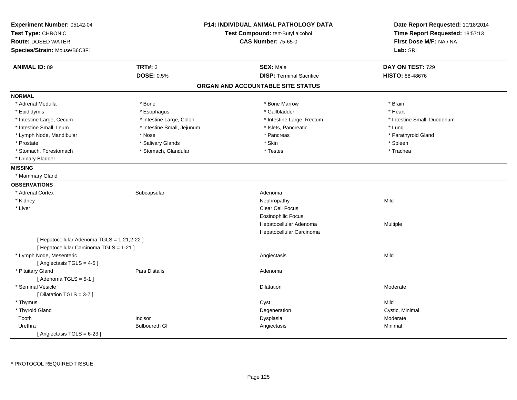| Experiment Number: 05142-04<br>Test Type: CHRONIC                                       |                            | <b>P14: INDIVIDUAL ANIMAL PATHOLOGY DATA</b><br>Test Compound: tert-Butyl alcohol | Date Report Requested: 10/18/2014<br>Time Report Requested: 18:57:13 |
|-----------------------------------------------------------------------------------------|----------------------------|-----------------------------------------------------------------------------------|----------------------------------------------------------------------|
| <b>Route: DOSED WATER</b>                                                               |                            | <b>CAS Number: 75-65-0</b>                                                        | First Dose M/F: NA / NA                                              |
| Species/Strain: Mouse/B6C3F1                                                            |                            |                                                                                   | Lab: SRI                                                             |
| <b>ANIMAL ID: 89</b>                                                                    | <b>TRT#: 3</b>             | <b>SEX: Male</b>                                                                  | DAY ON TEST: 729                                                     |
|                                                                                         | <b>DOSE: 0.5%</b>          | <b>DISP: Terminal Sacrifice</b>                                                   | HISTO: 88-48676                                                      |
|                                                                                         |                            | ORGAN AND ACCOUNTABLE SITE STATUS                                                 |                                                                      |
| <b>NORMAL</b>                                                                           |                            |                                                                                   |                                                                      |
| * Adrenal Medulla                                                                       | * Bone                     | * Bone Marrow                                                                     | * Brain                                                              |
| * Epididymis                                                                            | * Esophagus                | * Gallbladder                                                                     | * Heart                                                              |
| * Intestine Large, Cecum                                                                | * Intestine Large, Colon   | * Intestine Large, Rectum                                                         | * Intestine Small, Duodenum                                          |
| * Intestine Small, Ileum                                                                | * Intestine Small, Jejunum | * Islets, Pancreatic                                                              | * Lung                                                               |
| * Lymph Node, Mandibular                                                                | * Nose                     | * Pancreas                                                                        | * Parathyroid Gland                                                  |
| * Prostate                                                                              | * Salivary Glands          | * Skin                                                                            | * Spleen                                                             |
| * Stomach, Forestomach                                                                  | * Stomach, Glandular       | * Testes                                                                          | * Trachea                                                            |
| * Urinary Bladder                                                                       |                            |                                                                                   |                                                                      |
| <b>MISSING</b>                                                                          |                            |                                                                                   |                                                                      |
| * Mammary Gland                                                                         |                            |                                                                                   |                                                                      |
| <b>OBSERVATIONS</b>                                                                     |                            |                                                                                   |                                                                      |
| * Adrenal Cortex                                                                        | Subcapsular                | Adenoma                                                                           |                                                                      |
| * Kidney                                                                                |                            | Nephropathy                                                                       | Mild                                                                 |
| * Liver                                                                                 |                            | Clear Cell Focus                                                                  |                                                                      |
|                                                                                         |                            | <b>Eosinophilic Focus</b>                                                         |                                                                      |
|                                                                                         |                            | Hepatocellular Adenoma                                                            | <b>Multiple</b>                                                      |
|                                                                                         |                            | Hepatocellular Carcinoma                                                          |                                                                      |
| [ Hepatocellular Adenoma TGLS = 1-21,2-22 ]<br>[ Hepatocellular Carcinoma TGLS = 1-21 ] |                            |                                                                                   |                                                                      |
| * Lymph Node, Mesenteric                                                                |                            | Angiectasis                                                                       | Mild                                                                 |
| [Angiectasis TGLS = 4-5]                                                                |                            |                                                                                   |                                                                      |
| * Pituitary Gland                                                                       | <b>Pars Distalis</b>       | Adenoma                                                                           |                                                                      |
| [Adenoma TGLS = $5-1$ ]                                                                 |                            |                                                                                   |                                                                      |
| * Seminal Vesicle                                                                       |                            | <b>Dilatation</b>                                                                 | Moderate                                                             |
| [Dilatation TGLS = 3-7]                                                                 |                            |                                                                                   |                                                                      |
| * Thymus                                                                                |                            | Cyst                                                                              | Mild                                                                 |
| * Thyroid Gland                                                                         |                            | Degeneration                                                                      | Cystic, Minimal                                                      |
| Tooth                                                                                   | Incisor                    | Dysplasia                                                                         | Moderate                                                             |
| Urethra                                                                                 | <b>Bulboureth GI</b>       | Angiectasis                                                                       | Minimal                                                              |
| [Angiectasis TGLS = 6-23]                                                               |                            |                                                                                   |                                                                      |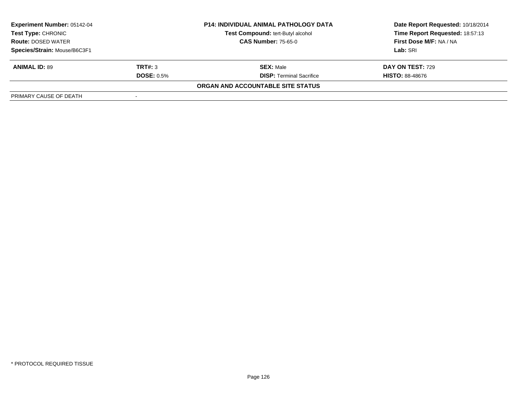| <b>Experiment Number: 05142-04</b><br><b>P14: INDIVIDUAL ANIMAL PATHOLOGY DATA</b><br>Test Compound: tert-Butyl alcohol<br>Test Type: CHRONIC<br><b>CAS Number: 75-65-0</b><br><b>Route: DOSED WATER</b> |                   |                                   | Date Report Requested: 10/18/2014 |  |
|----------------------------------------------------------------------------------------------------------------------------------------------------------------------------------------------------------|-------------------|-----------------------------------|-----------------------------------|--|
|                                                                                                                                                                                                          |                   |                                   | Time Report Requested: 18:57:13   |  |
|                                                                                                                                                                                                          |                   | First Dose M/F: NA / NA           |                                   |  |
| Species/Strain: Mouse/B6C3F1                                                                                                                                                                             |                   |                                   | Lab: SRI                          |  |
| <b>ANIMAL ID: 89</b>                                                                                                                                                                                     | TRT#: 3           | <b>SEX: Male</b>                  | DAY ON TEST: 729                  |  |
|                                                                                                                                                                                                          | <b>DOSE: 0.5%</b> | <b>DISP:</b> Terminal Sacrifice   | <b>HISTO: 88-48676</b>            |  |
|                                                                                                                                                                                                          |                   | ORGAN AND ACCOUNTABLE SITE STATUS |                                   |  |
| PRIMARY CAUSE OF DEATH                                                                                                                                                                                   |                   |                                   |                                   |  |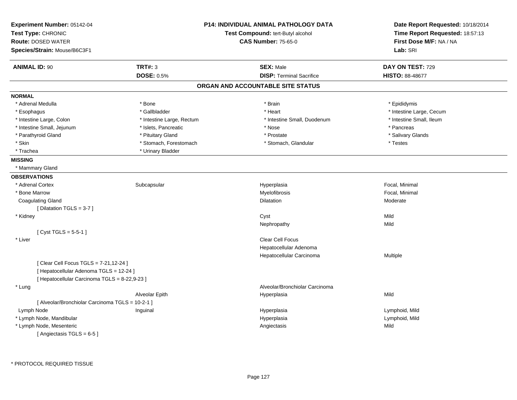| Experiment Number: 05142-04<br>Test Type: CHRONIC<br><b>Route: DOSED WATER</b><br>Species/Strain: Mouse/B6C3F1 |                           | <b>P14: INDIVIDUAL ANIMAL PATHOLOGY DATA</b><br>Test Compound: tert-Butyl alcohol<br><b>CAS Number: 75-65-0</b> | Date Report Requested: 10/18/2014<br>Time Report Requested: 18:57:13<br>First Dose M/F: NA / NA<br>Lab: SRI |
|----------------------------------------------------------------------------------------------------------------|---------------------------|-----------------------------------------------------------------------------------------------------------------|-------------------------------------------------------------------------------------------------------------|
| <b>ANIMAL ID: 90</b>                                                                                           | <b>TRT#: 3</b>            | <b>SEX: Male</b>                                                                                                | DAY ON TEST: 729                                                                                            |
|                                                                                                                | <b>DOSE: 0.5%</b>         | <b>DISP: Terminal Sacrifice</b>                                                                                 | <b>HISTO: 88-48677</b>                                                                                      |
|                                                                                                                |                           | ORGAN AND ACCOUNTABLE SITE STATUS                                                                               |                                                                                                             |
| <b>NORMAL</b>                                                                                                  |                           |                                                                                                                 |                                                                                                             |
| * Adrenal Medulla                                                                                              | * Bone                    | * Brain                                                                                                         | * Epididymis                                                                                                |
| * Esophagus                                                                                                    | * Gallbladder             | * Heart                                                                                                         | * Intestine Large, Cecum                                                                                    |
| * Intestine Large, Colon                                                                                       | * Intestine Large, Rectum | * Intestine Small, Duodenum                                                                                     | * Intestine Small, Ileum                                                                                    |
| * Intestine Small, Jejunum                                                                                     | * Islets, Pancreatic      | * Nose                                                                                                          | * Pancreas                                                                                                  |
| * Parathyroid Gland                                                                                            | * Pituitary Gland         | * Prostate                                                                                                      | * Salivary Glands                                                                                           |
| * Skin                                                                                                         | * Stomach, Forestomach    | * Stomach, Glandular                                                                                            | * Testes                                                                                                    |
| * Trachea                                                                                                      | * Urinary Bladder         |                                                                                                                 |                                                                                                             |
| <b>MISSING</b>                                                                                                 |                           |                                                                                                                 |                                                                                                             |
| * Mammary Gland                                                                                                |                           |                                                                                                                 |                                                                                                             |
| <b>OBSERVATIONS</b>                                                                                            |                           |                                                                                                                 |                                                                                                             |
| * Adrenal Cortex                                                                                               | Subcapsular               | Hyperplasia                                                                                                     | Focal, Minimal                                                                                              |
| * Bone Marrow                                                                                                  |                           | Myelofibrosis                                                                                                   | Focal, Minimal                                                                                              |
| <b>Coagulating Gland</b>                                                                                       |                           | Dilatation                                                                                                      | Moderate                                                                                                    |
| [Dilatation TGLS = 3-7]                                                                                        |                           |                                                                                                                 |                                                                                                             |
| * Kidney                                                                                                       |                           | Cyst                                                                                                            | Mild                                                                                                        |
|                                                                                                                |                           | Nephropathy                                                                                                     | Mild                                                                                                        |
| [ Cyst TGLS = $5-5-1$ ]                                                                                        |                           |                                                                                                                 |                                                                                                             |
| * Liver                                                                                                        |                           | Clear Cell Focus                                                                                                |                                                                                                             |
|                                                                                                                |                           | Hepatocellular Adenoma                                                                                          |                                                                                                             |
|                                                                                                                |                           | Hepatocellular Carcinoma                                                                                        | Multiple                                                                                                    |
| [ Clear Cell Focus TGLS = 7-21,12-24 ]                                                                         |                           |                                                                                                                 |                                                                                                             |
| [ Hepatocellular Adenoma TGLS = 12-24 ]                                                                        |                           |                                                                                                                 |                                                                                                             |
| [ Hepatocellular Carcinoma TGLS = 8-22,9-23 ]                                                                  |                           |                                                                                                                 |                                                                                                             |
| * Lung                                                                                                         |                           | Alveolar/Bronchiolar Carcinoma                                                                                  |                                                                                                             |
|                                                                                                                | Alveolar Epith            | Hyperplasia                                                                                                     | Mild                                                                                                        |
| [ Alveolar/Bronchiolar Carcinoma TGLS = 10-2-1 ]                                                               |                           |                                                                                                                 |                                                                                                             |
| Lymph Node                                                                                                     | Inguinal                  | Hyperplasia                                                                                                     | Lymphoid, Mild                                                                                              |
| * Lymph Node, Mandibular                                                                                       |                           | Hyperplasia                                                                                                     | Lymphoid, Mild                                                                                              |
| * Lymph Node, Mesenteric                                                                                       |                           | Angiectasis                                                                                                     | Mild                                                                                                        |
| [Angiectasis TGLS = 6-5]                                                                                       |                           |                                                                                                                 |                                                                                                             |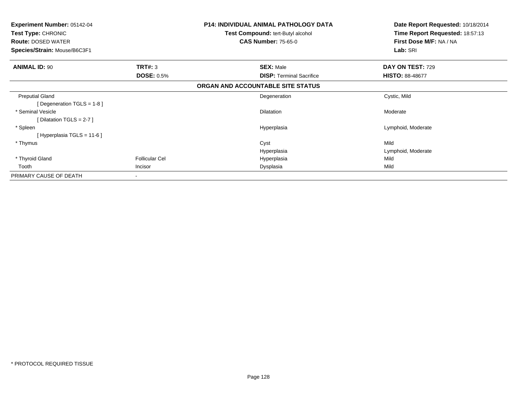| <b>Experiment Number: 05142-04</b><br>Test Type: CHRONIC  | <b>P14: INDIVIDUAL ANIMAL PATHOLOGY DATA</b><br>Test Compound: tert-Butyl alcohol | Date Report Requested: 10/18/2014<br>Time Report Requested: 18:57:13 |
|-----------------------------------------------------------|-----------------------------------------------------------------------------------|----------------------------------------------------------------------|
| <b>Route: DOSED WATER</b><br>Species/Strain: Mouse/B6C3F1 | <b>CAS Number: 75-65-0</b>                                                        | First Dose M/F: NA / NA<br>Lab: SRI                                  |
|                                                           |                                                                                   |                                                                      |
| TRT#: 3<br><b>ANIMAL ID: 90</b>                           | <b>SEX: Male</b>                                                                  | DAY ON TEST: 729                                                     |
|                                                           | <b>DOSE: 0.5%</b><br><b>DISP: Terminal Sacrifice</b>                              | <b>HISTO: 88-48677</b>                                               |
|                                                           | ORGAN AND ACCOUNTABLE SITE STATUS                                                 |                                                                      |
| <b>Preputial Gland</b>                                    | Degeneration                                                                      | Cystic, Mild                                                         |
| [Degeneration TGLS = 1-8]                                 |                                                                                   |                                                                      |
| * Seminal Vesicle                                         | <b>Dilatation</b>                                                                 | Moderate                                                             |
| [Dilatation TGLS = $2-7$ ]                                |                                                                                   |                                                                      |
| * Spleen                                                  | Hyperplasia                                                                       | Lymphoid, Moderate                                                   |
| [Hyperplasia TGLS = 11-6]                                 |                                                                                   |                                                                      |
| * Thymus                                                  | Cyst                                                                              | Mild                                                                 |
|                                                           | Hyperplasia                                                                       | Lymphoid, Moderate                                                   |
| * Thyroid Gland                                           | <b>Follicular Cel</b><br>Hyperplasia                                              | Mild                                                                 |
| Tooth<br>Incisor                                          | Dysplasia                                                                         | Mild                                                                 |
| PRIMARY CAUSE OF DEATH<br>$\blacksquare$                  |                                                                                   |                                                                      |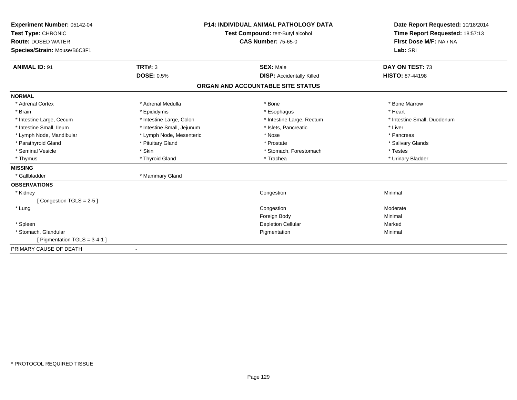| Experiment Number: 05142-04<br>Test Type: CHRONIC<br><b>Route: DOSED WATER</b><br>Species/Strain: Mouse/B6C3F1 |                            | <b>P14: INDIVIDUAL ANIMAL PATHOLOGY DATA</b><br>Test Compound: tert-Butyl alcohol<br><b>CAS Number: 75-65-0</b> | Date Report Requested: 10/18/2014<br>Time Report Requested: 18:57:13<br>First Dose M/F: NA / NA<br>Lab: SRI |
|----------------------------------------------------------------------------------------------------------------|----------------------------|-----------------------------------------------------------------------------------------------------------------|-------------------------------------------------------------------------------------------------------------|
| <b>ANIMAL ID: 91</b>                                                                                           | <b>TRT#: 3</b>             | <b>SEX: Male</b>                                                                                                | DAY ON TEST: 73                                                                                             |
|                                                                                                                | <b>DOSE: 0.5%</b>          | <b>DISP: Accidentally Killed</b>                                                                                | <b>HISTO: 87-44198</b>                                                                                      |
|                                                                                                                |                            | ORGAN AND ACCOUNTABLE SITE STATUS                                                                               |                                                                                                             |
| <b>NORMAL</b>                                                                                                  |                            |                                                                                                                 |                                                                                                             |
| * Adrenal Cortex                                                                                               | * Adrenal Medulla          | * Bone                                                                                                          | * Bone Marrow                                                                                               |
| * Brain                                                                                                        | * Epididymis               | * Esophagus                                                                                                     | * Heart                                                                                                     |
| * Intestine Large, Cecum                                                                                       | * Intestine Large, Colon   | * Intestine Large, Rectum                                                                                       | * Intestine Small, Duodenum                                                                                 |
| * Intestine Small, Ileum                                                                                       | * Intestine Small, Jejunum | * Islets, Pancreatic                                                                                            | * Liver                                                                                                     |
| * Lymph Node, Mandibular                                                                                       | * Lymph Node, Mesenteric   | * Nose                                                                                                          | * Pancreas                                                                                                  |
| * Parathyroid Gland                                                                                            | * Pituitary Gland          | * Prostate                                                                                                      | * Salivary Glands                                                                                           |
| * Seminal Vesicle                                                                                              | * Skin                     | * Stomach, Forestomach                                                                                          | * Testes                                                                                                    |
| * Thymus                                                                                                       | * Thyroid Gland            | * Trachea                                                                                                       | * Urinary Bladder                                                                                           |
| <b>MISSING</b>                                                                                                 |                            |                                                                                                                 |                                                                                                             |
| * Gallbladder                                                                                                  | * Mammary Gland            |                                                                                                                 |                                                                                                             |
| <b>OBSERVATIONS</b>                                                                                            |                            |                                                                                                                 |                                                                                                             |
| * Kidney                                                                                                       |                            | Congestion                                                                                                      | Minimal                                                                                                     |
| [Congestion TGLS = 2-5]                                                                                        |                            |                                                                                                                 |                                                                                                             |
| * Lung                                                                                                         |                            | Congestion                                                                                                      | Moderate                                                                                                    |
|                                                                                                                |                            | Foreign Body                                                                                                    | Minimal                                                                                                     |
| * Spleen                                                                                                       |                            | <b>Depletion Cellular</b>                                                                                       | Marked                                                                                                      |
| * Stomach, Glandular                                                                                           |                            | Pigmentation                                                                                                    | Minimal                                                                                                     |
| [ Pigmentation TGLS = $3-4-1$ ]                                                                                |                            |                                                                                                                 |                                                                                                             |
| PRIMARY CAUSE OF DEATH                                                                                         | $\blacksquare$             |                                                                                                                 |                                                                                                             |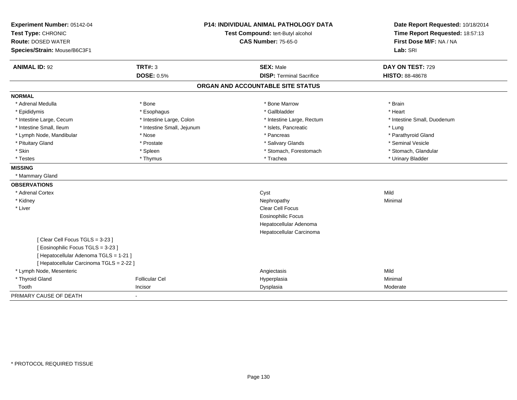| Experiment Number: 05142-04              |                            | <b>P14: INDIVIDUAL ANIMAL PATHOLOGY DATA</b> | Date Report Requested: 10/18/2014                          |
|------------------------------------------|----------------------------|----------------------------------------------|------------------------------------------------------------|
| Test Type: CHRONIC                       |                            | Test Compound: tert-Butyl alcohol            | Time Report Requested: 18:57:13<br>First Dose M/F: NA / NA |
| <b>Route: DOSED WATER</b>                |                            | <b>CAS Number: 75-65-0</b>                   |                                                            |
| Species/Strain: Mouse/B6C3F1             |                            |                                              | Lab: SRI                                                   |
| <b>ANIMAL ID: 92</b>                     | <b>TRT#: 3</b>             | <b>SEX: Male</b>                             | DAY ON TEST: 729                                           |
|                                          | <b>DOSE: 0.5%</b>          | <b>DISP: Terminal Sacrifice</b>              | <b>HISTO: 88-48678</b>                                     |
|                                          |                            | ORGAN AND ACCOUNTABLE SITE STATUS            |                                                            |
| <b>NORMAL</b>                            |                            |                                              |                                                            |
| * Adrenal Medulla                        | * Bone                     | * Bone Marrow                                | * Brain                                                    |
| * Epididymis                             | * Esophagus                | * Gallbladder                                | * Heart                                                    |
| * Intestine Large, Cecum                 | * Intestine Large, Colon   | * Intestine Large, Rectum                    | * Intestine Small, Duodenum                                |
| * Intestine Small, Ileum                 | * Intestine Small, Jejunum | * Islets, Pancreatic                         | * Lung                                                     |
| * Lymph Node, Mandibular                 | * Nose                     | * Pancreas                                   | * Parathyroid Gland                                        |
| * Pituitary Gland                        | * Prostate                 | * Salivary Glands                            | * Seminal Vesicle                                          |
| * Skin                                   | * Spleen                   | * Stomach, Forestomach                       | * Stomach, Glandular                                       |
| * Testes                                 | * Thymus                   | * Trachea                                    | * Urinary Bladder                                          |
| <b>MISSING</b>                           |                            |                                              |                                                            |
| * Mammary Gland                          |                            |                                              |                                                            |
| <b>OBSERVATIONS</b>                      |                            |                                              |                                                            |
| * Adrenal Cortex                         |                            | Cyst                                         | Mild                                                       |
| * Kidney                                 |                            | Nephropathy                                  | Minimal                                                    |
| * Liver                                  |                            | Clear Cell Focus                             |                                                            |
|                                          |                            | <b>Eosinophilic Focus</b>                    |                                                            |
|                                          |                            | Hepatocellular Adenoma                       |                                                            |
|                                          |                            | Hepatocellular Carcinoma                     |                                                            |
| [Clear Cell Focus TGLS = 3-23]           |                            |                                              |                                                            |
| [Eosinophilic Focus TGLS = 3-23]         |                            |                                              |                                                            |
| [ Hepatocellular Adenoma TGLS = 1-21 ]   |                            |                                              |                                                            |
| [ Hepatocellular Carcinoma TGLS = 2-22 ] |                            |                                              |                                                            |
| * Lymph Node, Mesenteric                 |                            | Angiectasis                                  | Mild                                                       |
| * Thyroid Gland                          | <b>Follicular Cel</b>      | Hyperplasia                                  | Minimal                                                    |
| Tooth                                    | Incisor                    | Dysplasia                                    | Moderate                                                   |
| PRIMARY CAUSE OF DEATH                   | $\blacksquare$             |                                              |                                                            |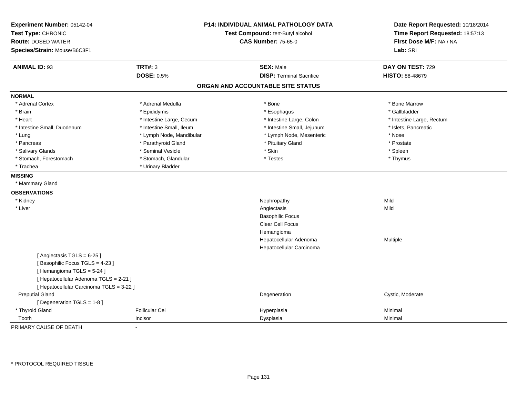| Experiment Number: 05142-04<br>Test Type: CHRONIC<br><b>Route: DOSED WATER</b><br>Species/Strain: Mouse/B6C3F1 |                          | P14: INDIVIDUAL ANIMAL PATHOLOGY DATA<br>Test Compound: tert-Butyl alcohol<br><b>CAS Number: 75-65-0</b> | Date Report Requested: 10/18/2014<br>Time Report Requested: 18:57:13<br>First Dose M/F: NA / NA<br>Lab: SRI |
|----------------------------------------------------------------------------------------------------------------|--------------------------|----------------------------------------------------------------------------------------------------------|-------------------------------------------------------------------------------------------------------------|
| <b>ANIMAL ID: 93</b>                                                                                           | <b>TRT#: 3</b>           | <b>SEX: Male</b>                                                                                         | DAY ON TEST: 729                                                                                            |
|                                                                                                                | <b>DOSE: 0.5%</b>        | <b>DISP: Terminal Sacrifice</b>                                                                          | HISTO: 88-48679                                                                                             |
|                                                                                                                |                          | ORGAN AND ACCOUNTABLE SITE STATUS                                                                        |                                                                                                             |
| <b>NORMAL</b>                                                                                                  |                          |                                                                                                          |                                                                                                             |
| * Adrenal Cortex                                                                                               | * Adrenal Medulla        | * Bone                                                                                                   | * Bone Marrow                                                                                               |
| * Brain                                                                                                        | * Epididymis             | * Esophagus                                                                                              | * Gallbladder                                                                                               |
| * Heart                                                                                                        | * Intestine Large, Cecum | * Intestine Large, Colon                                                                                 | * Intestine Large, Rectum                                                                                   |
| * Intestine Small, Duodenum                                                                                    | * Intestine Small, Ileum | * Intestine Small, Jejunum                                                                               | * Islets, Pancreatic                                                                                        |
| * Lung                                                                                                         | * Lymph Node, Mandibular | * Lymph Node, Mesenteric                                                                                 | * Nose                                                                                                      |
| * Pancreas                                                                                                     | * Parathyroid Gland      | * Pituitary Gland                                                                                        | * Prostate                                                                                                  |
| * Salivary Glands                                                                                              | * Seminal Vesicle        | * Skin                                                                                                   | * Spleen                                                                                                    |
| * Stomach, Forestomach                                                                                         | * Stomach, Glandular     | * Testes                                                                                                 | * Thymus                                                                                                    |
| * Trachea                                                                                                      | * Urinary Bladder        |                                                                                                          |                                                                                                             |
| <b>MISSING</b>                                                                                                 |                          |                                                                                                          |                                                                                                             |
| * Mammary Gland                                                                                                |                          |                                                                                                          |                                                                                                             |
| <b>OBSERVATIONS</b>                                                                                            |                          |                                                                                                          |                                                                                                             |
| * Kidney                                                                                                       |                          | Nephropathy                                                                                              | Mild                                                                                                        |
| * Liver                                                                                                        |                          | Angiectasis                                                                                              | Mild                                                                                                        |
|                                                                                                                |                          | <b>Basophilic Focus</b>                                                                                  |                                                                                                             |
|                                                                                                                |                          | Clear Cell Focus                                                                                         |                                                                                                             |
|                                                                                                                |                          | Hemangioma                                                                                               |                                                                                                             |
|                                                                                                                |                          | Hepatocellular Adenoma                                                                                   | Multiple                                                                                                    |
|                                                                                                                |                          | Hepatocellular Carcinoma                                                                                 |                                                                                                             |
| [Angiectasis TGLS = 6-25]                                                                                      |                          |                                                                                                          |                                                                                                             |
| [Basophilic Focus TGLS = 4-23]                                                                                 |                          |                                                                                                          |                                                                                                             |
| [Hemangioma TGLS = 5-24]                                                                                       |                          |                                                                                                          |                                                                                                             |
| [ Hepatocellular Adenoma TGLS = 2-21 ]                                                                         |                          |                                                                                                          |                                                                                                             |
| [ Hepatocellular Carcinoma TGLS = 3-22 ]                                                                       |                          |                                                                                                          |                                                                                                             |
| <b>Preputial Gland</b>                                                                                         |                          | Degeneration                                                                                             | Cystic, Moderate                                                                                            |
| [ Degeneration TGLS = 1-8 ]                                                                                    |                          |                                                                                                          |                                                                                                             |
| * Thyroid Gland                                                                                                | <b>Follicular Cel</b>    | Hyperplasia                                                                                              | Minimal                                                                                                     |
| Tooth                                                                                                          | Incisor                  | Dysplasia                                                                                                | Minimal                                                                                                     |
| PRIMARY CAUSE OF DEATH                                                                                         |                          |                                                                                                          |                                                                                                             |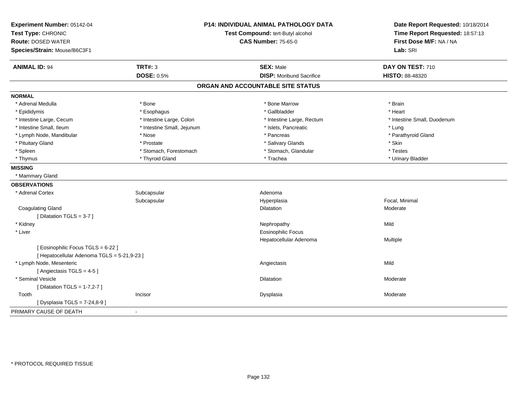| Experiment Number: 05142-04<br>Test Type: CHRONIC<br><b>Route: DOSED WATER</b><br>Species/Strain: Mouse/B6C3F1 |                            | P14: INDIVIDUAL ANIMAL PATHOLOGY DATA<br>Test Compound: tert-Butyl alcohol<br><b>CAS Number: 75-65-0</b> | Date Report Requested: 10/18/2014<br>Time Report Requested: 18:57:13<br>First Dose M/F: NA / NA<br>Lab: SRI |
|----------------------------------------------------------------------------------------------------------------|----------------------------|----------------------------------------------------------------------------------------------------------|-------------------------------------------------------------------------------------------------------------|
| <b>ANIMAL ID: 94</b>                                                                                           | <b>TRT#: 3</b>             | <b>SEX: Male</b>                                                                                         | DAY ON TEST: 710                                                                                            |
|                                                                                                                | <b>DOSE: 0.5%</b>          | <b>DISP: Moribund Sacrifice</b>                                                                          | HISTO: 88-48320                                                                                             |
|                                                                                                                |                            | ORGAN AND ACCOUNTABLE SITE STATUS                                                                        |                                                                                                             |
| <b>NORMAL</b>                                                                                                  |                            |                                                                                                          |                                                                                                             |
| * Adrenal Medulla                                                                                              | * Bone                     | * Bone Marrow                                                                                            | * Brain                                                                                                     |
| * Epididymis                                                                                                   | * Esophagus                | * Gallbladder                                                                                            | * Heart                                                                                                     |
| * Intestine Large, Cecum                                                                                       | * Intestine Large, Colon   | * Intestine Large, Rectum                                                                                | * Intestine Small, Duodenum                                                                                 |
| * Intestine Small, Ileum                                                                                       | * Intestine Small, Jejunum | * Islets, Pancreatic                                                                                     | * Lung                                                                                                      |
| * Lymph Node, Mandibular                                                                                       | * Nose                     | * Pancreas                                                                                               | * Parathyroid Gland                                                                                         |
| * Pituitary Gland                                                                                              | * Prostate                 | * Salivary Glands                                                                                        | * Skin                                                                                                      |
| * Spleen                                                                                                       | * Stomach, Forestomach     | * Stomach, Glandular                                                                                     | * Testes                                                                                                    |
| * Thymus                                                                                                       | * Thyroid Gland            | * Trachea                                                                                                | * Urinary Bladder                                                                                           |
| <b>MISSING</b>                                                                                                 |                            |                                                                                                          |                                                                                                             |
| * Mammary Gland                                                                                                |                            |                                                                                                          |                                                                                                             |
| <b>OBSERVATIONS</b>                                                                                            |                            |                                                                                                          |                                                                                                             |
| * Adrenal Cortex                                                                                               | Subcapsular                | Adenoma                                                                                                  |                                                                                                             |
|                                                                                                                | Subcapsular                | Hyperplasia                                                                                              | Focal, Minimal                                                                                              |
| <b>Coagulating Gland</b>                                                                                       |                            | Dilatation                                                                                               | Moderate                                                                                                    |
| [Dilatation TGLS = 3-7]                                                                                        |                            |                                                                                                          |                                                                                                             |
| * Kidney                                                                                                       |                            | Nephropathy                                                                                              | Mild                                                                                                        |
| * Liver                                                                                                        |                            | <b>Eosinophilic Focus</b>                                                                                |                                                                                                             |
|                                                                                                                |                            | Hepatocellular Adenoma                                                                                   | Multiple                                                                                                    |
| [ Eosinophilic Focus TGLS = 6-22 ]                                                                             |                            |                                                                                                          |                                                                                                             |
| [ Hepatocellular Adenoma TGLS = 5-21,9-23 ]                                                                    |                            |                                                                                                          |                                                                                                             |
| * Lymph Node, Mesenteric                                                                                       |                            | Angiectasis                                                                                              | Mild                                                                                                        |
| [Angiectasis TGLS = 4-5]                                                                                       |                            |                                                                                                          |                                                                                                             |
| * Seminal Vesicle                                                                                              |                            | Dilatation                                                                                               | Moderate                                                                                                    |
| [ Dilatation TGLS = 1-7,2-7 ]                                                                                  |                            |                                                                                                          |                                                                                                             |
| Tooth                                                                                                          | Incisor                    | Dysplasia                                                                                                | Moderate                                                                                                    |
| [ Dysplasia TGLS = 7-24,8-9 ]                                                                                  |                            |                                                                                                          |                                                                                                             |
| PRIMARY CAUSE OF DEATH                                                                                         | $\overline{\phantom{a}}$   |                                                                                                          |                                                                                                             |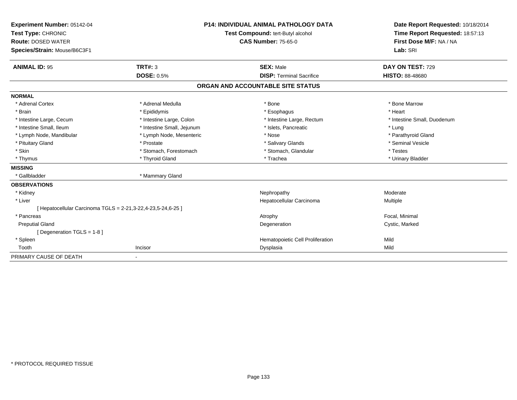| Experiment Number: 05142-04<br>Test Type: CHRONIC<br><b>Route: DOSED WATER</b><br>Species/Strain: Mouse/B6C3F1 |                                     | <b>P14: INDIVIDUAL ANIMAL PATHOLOGY DATA</b><br>Test Compound: tert-Butyl alcohol<br><b>CAS Number: 75-65-0</b> | Date Report Requested: 10/18/2014<br>Time Report Requested: 18:57:13<br>First Dose M/F: NA / NA<br>Lab: SRI |
|----------------------------------------------------------------------------------------------------------------|-------------------------------------|-----------------------------------------------------------------------------------------------------------------|-------------------------------------------------------------------------------------------------------------|
| <b>ANIMAL ID: 95</b>                                                                                           | <b>TRT#: 3</b><br><b>DOSE: 0.5%</b> | <b>SEX: Male</b><br><b>DISP: Terminal Sacrifice</b>                                                             | DAY ON TEST: 729<br><b>HISTO: 88-48680</b>                                                                  |
|                                                                                                                |                                     |                                                                                                                 |                                                                                                             |
|                                                                                                                |                                     | ORGAN AND ACCOUNTABLE SITE STATUS                                                                               |                                                                                                             |
| <b>NORMAL</b>                                                                                                  |                                     |                                                                                                                 |                                                                                                             |
| * Adrenal Cortex                                                                                               | * Adrenal Medulla                   | * Bone                                                                                                          | * Bone Marrow                                                                                               |
| * Brain                                                                                                        | * Epididymis                        | * Esophagus                                                                                                     | * Heart                                                                                                     |
| * Intestine Large, Cecum                                                                                       | * Intestine Large, Colon            | * Intestine Large, Rectum                                                                                       | * Intestine Small, Duodenum                                                                                 |
| * Intestine Small, Ileum                                                                                       | * Intestine Small, Jejunum          | * Islets, Pancreatic                                                                                            | * Lung                                                                                                      |
| * Lymph Node, Mandibular                                                                                       | * Lymph Node, Mesenteric            | * Nose                                                                                                          | * Parathyroid Gland                                                                                         |
| * Pituitary Gland                                                                                              | * Prostate                          | * Salivary Glands                                                                                               | * Seminal Vesicle                                                                                           |
| * Skin                                                                                                         | * Stomach, Forestomach              | * Stomach, Glandular                                                                                            | * Testes                                                                                                    |
| * Thymus                                                                                                       | * Thyroid Gland                     | * Trachea                                                                                                       | * Urinary Bladder                                                                                           |
| <b>MISSING</b>                                                                                                 |                                     |                                                                                                                 |                                                                                                             |
| * Gallbladder                                                                                                  | * Mammary Gland                     |                                                                                                                 |                                                                                                             |
| <b>OBSERVATIONS</b>                                                                                            |                                     |                                                                                                                 |                                                                                                             |
| * Kidney                                                                                                       |                                     | Nephropathy                                                                                                     | Moderate                                                                                                    |
| * Liver                                                                                                        |                                     | Hepatocellular Carcinoma                                                                                        | Multiple                                                                                                    |
| [ Hepatocellular Carcinoma TGLS = 2-21,3-22,4-23,5-24,6-25 ]                                                   |                                     |                                                                                                                 |                                                                                                             |
| * Pancreas                                                                                                     |                                     | Atrophy                                                                                                         | Focal, Minimal                                                                                              |
| <b>Preputial Gland</b>                                                                                         |                                     | Degeneration                                                                                                    | Cystic, Marked                                                                                              |
| [ Degeneration TGLS = $1-8$ ]                                                                                  |                                     |                                                                                                                 |                                                                                                             |
| * Spleen                                                                                                       |                                     | Hematopoietic Cell Proliferation                                                                                | Mild                                                                                                        |
| Tooth                                                                                                          | Incisor                             | Dysplasia                                                                                                       | Mild                                                                                                        |
| PRIMARY CAUSE OF DEATH                                                                                         |                                     |                                                                                                                 |                                                                                                             |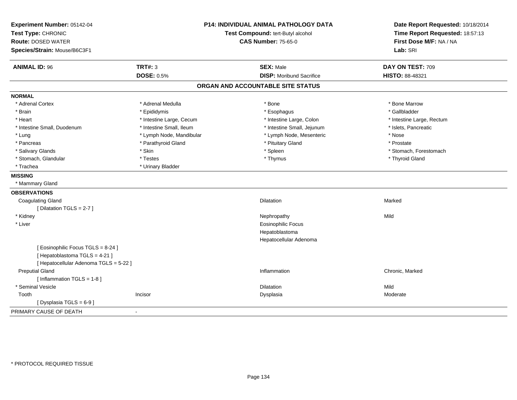| Experiment Number: 05142-04<br>Test Type: CHRONIC<br><b>Route: DOSED WATER</b><br>Species/Strain: Mouse/B6C3F1 | <b>P14: INDIVIDUAL ANIMAL PATHOLOGY DATA</b><br>Test Compound: tert-Butyl alcohol<br><b>CAS Number: 75-65-0</b> |                                   | Date Report Requested: 10/18/2014<br>Time Report Requested: 18:57:13<br>First Dose M/F: NA / NA<br>Lab: SRI |
|----------------------------------------------------------------------------------------------------------------|-----------------------------------------------------------------------------------------------------------------|-----------------------------------|-------------------------------------------------------------------------------------------------------------|
| <b>ANIMAL ID: 96</b>                                                                                           | <b>TRT#: 3</b>                                                                                                  | <b>SEX: Male</b>                  | DAY ON TEST: 709                                                                                            |
|                                                                                                                | <b>DOSE: 0.5%</b>                                                                                               | <b>DISP:</b> Moribund Sacrifice   | HISTO: 88-48321                                                                                             |
|                                                                                                                |                                                                                                                 | ORGAN AND ACCOUNTABLE SITE STATUS |                                                                                                             |
| <b>NORMAL</b>                                                                                                  |                                                                                                                 |                                   |                                                                                                             |
| * Adrenal Cortex                                                                                               | * Adrenal Medulla                                                                                               | * Bone                            | * Bone Marrow                                                                                               |
| * Brain                                                                                                        | * Epididymis                                                                                                    | * Esophagus                       | * Gallbladder                                                                                               |
| * Heart                                                                                                        | * Intestine Large, Cecum                                                                                        | * Intestine Large, Colon          | * Intestine Large, Rectum                                                                                   |
| * Intestine Small, Duodenum                                                                                    | * Intestine Small, Ileum                                                                                        | * Intestine Small, Jejunum        | * Islets, Pancreatic                                                                                        |
| * Lung                                                                                                         | * Lymph Node, Mandibular                                                                                        | * Lymph Node, Mesenteric          | * Nose                                                                                                      |
| * Pancreas                                                                                                     | * Parathyroid Gland                                                                                             | * Pituitary Gland                 | * Prostate                                                                                                  |
| * Salivary Glands                                                                                              | * Skin                                                                                                          | * Spleen                          | * Stomach, Forestomach                                                                                      |
| * Stomach, Glandular                                                                                           | * Testes                                                                                                        | * Thymus                          | * Thyroid Gland                                                                                             |
| * Trachea                                                                                                      | * Urinary Bladder                                                                                               |                                   |                                                                                                             |
| <b>MISSING</b>                                                                                                 |                                                                                                                 |                                   |                                                                                                             |
| * Mammary Gland                                                                                                |                                                                                                                 |                                   |                                                                                                             |
| <b>OBSERVATIONS</b>                                                                                            |                                                                                                                 |                                   |                                                                                                             |
| <b>Coagulating Gland</b>                                                                                       |                                                                                                                 | <b>Dilatation</b>                 | Marked                                                                                                      |
| [ Dilatation TGLS = 2-7 ]                                                                                      |                                                                                                                 |                                   |                                                                                                             |
| * Kidney                                                                                                       |                                                                                                                 | Nephropathy                       | Mild                                                                                                        |
| * Liver                                                                                                        |                                                                                                                 | <b>Eosinophilic Focus</b>         |                                                                                                             |
|                                                                                                                |                                                                                                                 | Hepatoblastoma                    |                                                                                                             |
|                                                                                                                |                                                                                                                 | Hepatocellular Adenoma            |                                                                                                             |
| [Eosinophilic Focus TGLS = 8-24]                                                                               |                                                                                                                 |                                   |                                                                                                             |
| [Hepatoblastoma TGLS = 4-21]                                                                                   |                                                                                                                 |                                   |                                                                                                             |
| [ Hepatocellular Adenoma TGLS = 5-22 ]                                                                         |                                                                                                                 |                                   |                                                                                                             |
| <b>Preputial Gland</b>                                                                                         |                                                                                                                 | Inflammation                      | Chronic, Marked                                                                                             |
| [Inflammation TGLS = 1-8]                                                                                      |                                                                                                                 |                                   |                                                                                                             |
| * Seminal Vesicle                                                                                              |                                                                                                                 | <b>Dilatation</b>                 | Mild                                                                                                        |
| Tooth                                                                                                          | Incisor                                                                                                         | Dysplasia                         | Moderate                                                                                                    |
| [Dysplasia TGLS = 6-9]                                                                                         |                                                                                                                 |                                   |                                                                                                             |
| PRIMARY CAUSE OF DEATH                                                                                         |                                                                                                                 |                                   |                                                                                                             |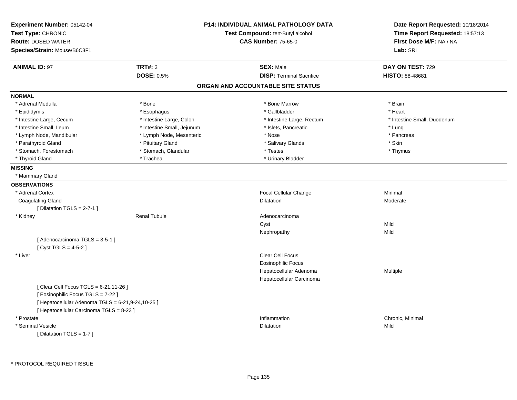| Experiment Number: 05142-04<br>Test Type: CHRONIC<br><b>Route: DOSED WATER</b><br>Species/Strain: Mouse/B6C3F1 |                            | <b>P14: INDIVIDUAL ANIMAL PATHOLOGY DATA</b><br>Test Compound: tert-Butyl alcohol<br><b>CAS Number: 75-65-0</b> | Date Report Requested: 10/18/2014<br>Time Report Requested: 18:57:13<br>First Dose M/F: NA / NA<br>Lab: SRI |
|----------------------------------------------------------------------------------------------------------------|----------------------------|-----------------------------------------------------------------------------------------------------------------|-------------------------------------------------------------------------------------------------------------|
| <b>ANIMAL ID: 97</b>                                                                                           | <b>TRT#: 3</b>             | <b>SEX: Male</b>                                                                                                | DAY ON TEST: 729                                                                                            |
|                                                                                                                | <b>DOSE: 0.5%</b>          | <b>DISP: Terminal Sacrifice</b>                                                                                 | <b>HISTO: 88-48681</b>                                                                                      |
|                                                                                                                |                            | ORGAN AND ACCOUNTABLE SITE STATUS                                                                               |                                                                                                             |
| <b>NORMAL</b>                                                                                                  |                            |                                                                                                                 |                                                                                                             |
| * Adrenal Medulla                                                                                              | * Bone                     | * Bone Marrow                                                                                                   | * Brain                                                                                                     |
| * Epididymis                                                                                                   | * Esophagus                | * Gallbladder                                                                                                   | * Heart                                                                                                     |
| * Intestine Large, Cecum                                                                                       | * Intestine Large, Colon   | * Intestine Large, Rectum                                                                                       | * Intestine Small, Duodenum                                                                                 |
| * Intestine Small, Ileum                                                                                       | * Intestine Small, Jejunum | * Islets, Pancreatic                                                                                            | * Lung                                                                                                      |
| * Lymph Node, Mandibular                                                                                       | * Lymph Node, Mesenteric   | * Nose                                                                                                          | * Pancreas                                                                                                  |
| * Parathyroid Gland                                                                                            | * Pituitary Gland          | * Salivary Glands                                                                                               | * Skin                                                                                                      |
| * Stomach, Forestomach                                                                                         | * Stomach, Glandular       | * Testes                                                                                                        | * Thymus                                                                                                    |
| * Thyroid Gland                                                                                                | * Trachea                  | * Urinary Bladder                                                                                               |                                                                                                             |
| <b>MISSING</b>                                                                                                 |                            |                                                                                                                 |                                                                                                             |
| * Mammary Gland                                                                                                |                            |                                                                                                                 |                                                                                                             |
| <b>OBSERVATIONS</b>                                                                                            |                            |                                                                                                                 |                                                                                                             |
| * Adrenal Cortex                                                                                               |                            | Focal Cellular Change                                                                                           | Minimal                                                                                                     |
| <b>Coagulating Gland</b>                                                                                       |                            | <b>Dilatation</b>                                                                                               | Moderate                                                                                                    |
| [ Dilatation TGLS = $2-7-1$ ]                                                                                  |                            |                                                                                                                 |                                                                                                             |
| * Kidney                                                                                                       | <b>Renal Tubule</b>        | Adenocarcinoma                                                                                                  |                                                                                                             |
|                                                                                                                |                            | Cyst                                                                                                            | Mild                                                                                                        |
|                                                                                                                |                            | Nephropathy                                                                                                     | Mild                                                                                                        |
| [Adenocarcinoma TGLS = 3-5-1]<br>[Cyst TGLS = $4-5-2$ ]                                                        |                            |                                                                                                                 |                                                                                                             |
| * Liver                                                                                                        |                            | Clear Cell Focus                                                                                                |                                                                                                             |
|                                                                                                                |                            | <b>Eosinophilic Focus</b>                                                                                       |                                                                                                             |
|                                                                                                                |                            | Hepatocellular Adenoma                                                                                          | Multiple                                                                                                    |
|                                                                                                                |                            | Hepatocellular Carcinoma                                                                                        |                                                                                                             |
| [ Clear Cell Focus TGLS = 6-21,11-26 ]                                                                         |                            |                                                                                                                 |                                                                                                             |
| [ Eosinophilic Focus TGLS = 7-22 ]                                                                             |                            |                                                                                                                 |                                                                                                             |
| [ Hepatocellular Adenoma TGLS = 6-21,9-24,10-25 ]                                                              |                            |                                                                                                                 |                                                                                                             |
| [ Hepatocellular Carcinoma TGLS = 8-23 ]                                                                       |                            |                                                                                                                 |                                                                                                             |
| * Prostate                                                                                                     |                            | Inflammation                                                                                                    | Chronic, Minimal                                                                                            |
| * Seminal Vesicle                                                                                              |                            | <b>Dilatation</b>                                                                                               | Mild                                                                                                        |
| [ Dilatation TGLS = 1-7 ]                                                                                      |                            |                                                                                                                 |                                                                                                             |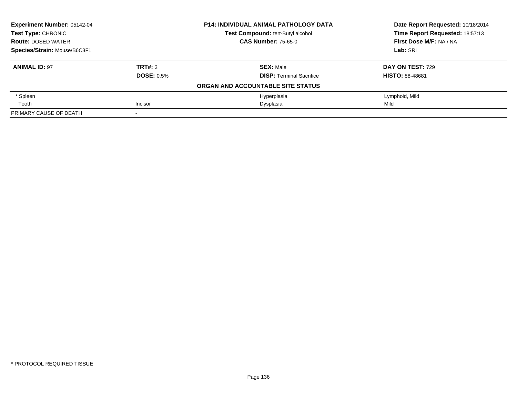| <b>Experiment Number: 05142-04</b><br><b>Test Type: CHRONIC</b><br><b>Route: DOSED WATER</b> |                   | <b>P14: INDIVIDUAL ANIMAL PATHOLOGY DATA</b> | Date Report Requested: 10/18/2014                          |
|----------------------------------------------------------------------------------------------|-------------------|----------------------------------------------|------------------------------------------------------------|
|                                                                                              |                   | Test Compound: tert-Butyl alcohol            | Time Report Requested: 18:57:13<br>First Dose M/F: NA / NA |
|                                                                                              |                   | <b>CAS Number: 75-65-0</b>                   |                                                            |
| Species/Strain: Mouse/B6C3F1                                                                 |                   |                                              | Lab: SRI                                                   |
| <b>ANIMAL ID: 97</b>                                                                         | TRT#: 3           | <b>SEX: Male</b>                             | DAY ON TEST: 729                                           |
|                                                                                              | <b>DOSE: 0.5%</b> | <b>DISP:</b> Terminal Sacrifice              | <b>HISTO: 88-48681</b>                                     |
|                                                                                              |                   | ORGAN AND ACCOUNTABLE SITE STATUS            |                                                            |
| * Spleen                                                                                     |                   | Hyperplasia                                  | Lymphoid, Mild                                             |
| Tooth                                                                                        | Incisor           | Dysplasia                                    | Mild                                                       |
| PRIMARY CAUSE OF DEATH                                                                       |                   |                                              |                                                            |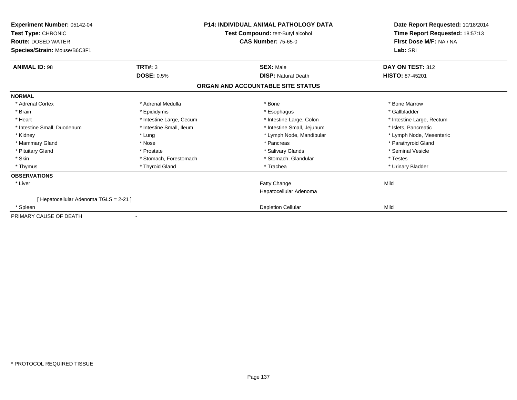| Experiment Number: 05142-04<br>Test Type: CHRONIC<br><b>Route: DOSED WATER</b><br>Species/Strain: Mouse/B6C3F1 | <b>P14: INDIVIDUAL ANIMAL PATHOLOGY DATA</b><br>Test Compound: tert-Butyl alcohol<br><b>CAS Number: 75-65-0</b> |                                   | Date Report Requested: 10/18/2014<br>Time Report Requested: 18:57:13<br>First Dose M/F: NA / NA<br>Lab: SRI |  |
|----------------------------------------------------------------------------------------------------------------|-----------------------------------------------------------------------------------------------------------------|-----------------------------------|-------------------------------------------------------------------------------------------------------------|--|
| <b>ANIMAL ID: 98</b>                                                                                           | TRT#: 3                                                                                                         | <b>SEX: Male</b>                  | DAY ON TEST: 312                                                                                            |  |
|                                                                                                                | <b>DOSE: 0.5%</b>                                                                                               | <b>DISP: Natural Death</b>        | <b>HISTO: 87-45201</b>                                                                                      |  |
|                                                                                                                |                                                                                                                 | ORGAN AND ACCOUNTABLE SITE STATUS |                                                                                                             |  |
| <b>NORMAL</b>                                                                                                  |                                                                                                                 |                                   |                                                                                                             |  |
| * Adrenal Cortex                                                                                               | * Adrenal Medulla                                                                                               | * Bone                            | * Bone Marrow                                                                                               |  |
| * Brain                                                                                                        | * Epididymis                                                                                                    | * Esophagus                       | * Gallbladder                                                                                               |  |
| * Heart                                                                                                        | * Intestine Large, Cecum                                                                                        | * Intestine Large, Colon          | * Intestine Large, Rectum                                                                                   |  |
| * Intestine Small, Duodenum                                                                                    | * Intestine Small, Ileum                                                                                        | * Intestine Small, Jejunum        | * Islets. Pancreatic                                                                                        |  |
| * Kidney                                                                                                       | * Lung                                                                                                          | * Lymph Node, Mandibular          | * Lymph Node, Mesenteric                                                                                    |  |
| * Mammary Gland                                                                                                | * Nose                                                                                                          | * Pancreas                        | * Parathyroid Gland                                                                                         |  |
| * Pituitary Gland                                                                                              | * Prostate                                                                                                      | * Salivary Glands                 | * Seminal Vesicle                                                                                           |  |
| * Skin                                                                                                         | * Stomach, Forestomach                                                                                          | * Stomach, Glandular              | * Testes                                                                                                    |  |
| * Thymus                                                                                                       | * Thyroid Gland                                                                                                 | * Trachea                         | * Urinary Bladder                                                                                           |  |
| <b>OBSERVATIONS</b>                                                                                            |                                                                                                                 |                                   |                                                                                                             |  |
| * Liver                                                                                                        |                                                                                                                 | Fatty Change                      | Mild                                                                                                        |  |
|                                                                                                                |                                                                                                                 | Hepatocellular Adenoma            |                                                                                                             |  |
| [ Hepatocellular Adenoma TGLS = 2-21 ]                                                                         |                                                                                                                 |                                   |                                                                                                             |  |
| * Spleen                                                                                                       |                                                                                                                 | <b>Depletion Cellular</b>         | Mild                                                                                                        |  |
| PRIMARY CAUSE OF DEATH                                                                                         |                                                                                                                 |                                   |                                                                                                             |  |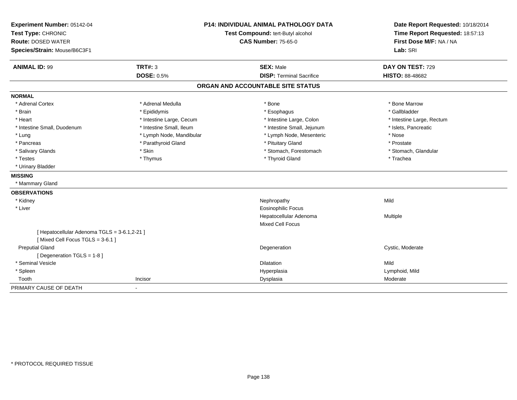| Experiment Number: 05142-04                  | P14: INDIVIDUAL ANIMAL PATHOLOGY DATA<br>Test Compound: tert-Butyl alcohol |                                   | Date Report Requested: 10/18/2014 |
|----------------------------------------------|----------------------------------------------------------------------------|-----------------------------------|-----------------------------------|
| Test Type: CHRONIC                           |                                                                            |                                   | Time Report Requested: 18:57:13   |
| <b>Route: DOSED WATER</b>                    |                                                                            | <b>CAS Number: 75-65-0</b>        | First Dose M/F: NA / NA           |
| Species/Strain: Mouse/B6C3F1                 |                                                                            |                                   | Lab: SRI                          |
| <b>ANIMAL ID: 99</b>                         | <b>TRT#: 3</b>                                                             | <b>SEX: Male</b>                  | DAY ON TEST: 729                  |
|                                              | <b>DOSE: 0.5%</b>                                                          | <b>DISP: Terminal Sacrifice</b>   | HISTO: 88-48682                   |
|                                              |                                                                            | ORGAN AND ACCOUNTABLE SITE STATUS |                                   |
| <b>NORMAL</b>                                |                                                                            |                                   |                                   |
| * Adrenal Cortex                             | * Adrenal Medulla                                                          | * Bone                            | * Bone Marrow                     |
| * Brain                                      | * Epididymis                                                               | * Esophagus                       | * Gallbladder                     |
| * Heart                                      | * Intestine Large, Cecum                                                   | * Intestine Large, Colon          | * Intestine Large, Rectum         |
| * Intestine Small, Duodenum                  | * Intestine Small, Ileum                                                   | * Intestine Small, Jejunum        | * Islets, Pancreatic              |
| * Lung                                       | * Lymph Node, Mandibular                                                   | * Lymph Node, Mesenteric          | * Nose                            |
| * Pancreas                                   | * Parathyroid Gland                                                        | * Pituitary Gland                 | * Prostate                        |
| * Salivary Glands                            | * Skin                                                                     | * Stomach, Forestomach            | * Stomach, Glandular              |
| * Testes                                     | * Thymus                                                                   | * Thyroid Gland                   | * Trachea                         |
| * Urinary Bladder                            |                                                                            |                                   |                                   |
| <b>MISSING</b>                               |                                                                            |                                   |                                   |
| * Mammary Gland                              |                                                                            |                                   |                                   |
| <b>OBSERVATIONS</b>                          |                                                                            |                                   |                                   |
| * Kidney                                     |                                                                            | Nephropathy                       | Mild                              |
| * Liver                                      |                                                                            | <b>Eosinophilic Focus</b>         |                                   |
|                                              |                                                                            | Hepatocellular Adenoma            | Multiple                          |
|                                              |                                                                            | Mixed Cell Focus                  |                                   |
| [ Hepatocellular Adenoma TGLS = 3-6.1,2-21 ] |                                                                            |                                   |                                   |
| [Mixed Cell Focus TGLS = 3-6.1]              |                                                                            |                                   |                                   |
| <b>Preputial Gland</b>                       |                                                                            | Degeneration                      | Cystic, Moderate                  |
| [ Degeneration TGLS = 1-8 ]                  |                                                                            |                                   |                                   |
| * Seminal Vesicle                            |                                                                            | Dilatation                        | Mild                              |
| * Spleen                                     |                                                                            | Hyperplasia                       | Lymphoid, Mild                    |
| Tooth                                        | Incisor                                                                    | Dysplasia                         | Moderate                          |
| PRIMARY CAUSE OF DEATH                       | $\blacksquare$                                                             |                                   |                                   |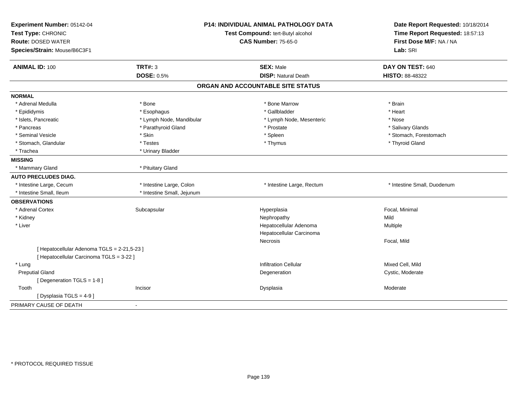| Experiment Number: 05142-04                 |                            | P14: INDIVIDUAL ANIMAL PATHOLOGY DATA | Date Report Requested: 10/18/2014 |
|---------------------------------------------|----------------------------|---------------------------------------|-----------------------------------|
| Test Type: CHRONIC                          |                            | Test Compound: tert-Butyl alcohol     | Time Report Requested: 18:57:13   |
| <b>Route: DOSED WATER</b>                   |                            | <b>CAS Number: 75-65-0</b>            | First Dose M/F: NA / NA           |
| Species/Strain: Mouse/B6C3F1                |                            |                                       | Lab: SRI                          |
| <b>ANIMAL ID: 100</b>                       | <b>TRT#: 3</b>             | <b>SEX: Male</b>                      | DAY ON TEST: 640                  |
|                                             | <b>DOSE: 0.5%</b>          | <b>DISP: Natural Death</b>            | HISTO: 88-48322                   |
|                                             |                            | ORGAN AND ACCOUNTABLE SITE STATUS     |                                   |
| <b>NORMAL</b>                               |                            |                                       |                                   |
| * Adrenal Medulla                           | * Bone                     | * Bone Marrow                         | * Brain                           |
| * Epididymis                                | * Esophagus                | * Gallbladder                         | * Heart                           |
| * Islets, Pancreatic                        | * Lymph Node, Mandibular   | * Lymph Node, Mesenteric              | * Nose                            |
| * Pancreas                                  | * Parathyroid Gland        | * Prostate                            | * Salivary Glands                 |
| * Seminal Vesicle                           | * Skin                     | * Spleen                              | * Stomach, Forestomach            |
| * Stomach, Glandular                        | * Testes                   | * Thymus                              | * Thyroid Gland                   |
| * Trachea                                   | * Urinary Bladder          |                                       |                                   |
| <b>MISSING</b>                              |                            |                                       |                                   |
| * Mammary Gland                             | * Pituitary Gland          |                                       |                                   |
| <b>AUTO PRECLUDES DIAG.</b>                 |                            |                                       |                                   |
| * Intestine Large, Cecum                    | * Intestine Large, Colon   | * Intestine Large, Rectum             | * Intestine Small, Duodenum       |
| * Intestine Small, Ileum                    | * Intestine Small, Jejunum |                                       |                                   |
| <b>OBSERVATIONS</b>                         |                            |                                       |                                   |
| * Adrenal Cortex                            | Subcapsular                | Hyperplasia                           | Focal, Minimal                    |
| * Kidney                                    |                            | Nephropathy                           | Mild                              |
| * Liver                                     |                            | Hepatocellular Adenoma                | Multiple                          |
|                                             |                            | Hepatocellular Carcinoma              |                                   |
|                                             |                            | Necrosis                              | Focal, Mild                       |
| [ Hepatocellular Adenoma TGLS = 2-21,5-23 ] |                            |                                       |                                   |
| [ Hepatocellular Carcinoma TGLS = 3-22 ]    |                            |                                       |                                   |
| * Lung                                      |                            | <b>Infiltration Cellular</b>          | Mixed Cell, Mild                  |
| <b>Preputial Gland</b>                      |                            | Degeneration                          | Cystic, Moderate                  |
| [ Degeneration TGLS = 1-8 ]                 |                            |                                       |                                   |
| Tooth                                       | Incisor                    | Dysplasia                             | Moderate                          |
| [Dysplasia TGLS = 4-9]                      |                            |                                       |                                   |
| PRIMARY CAUSE OF DEATH                      | $\sim$                     |                                       |                                   |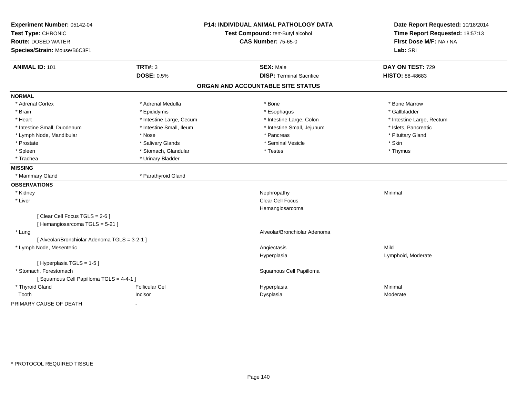| Experiment Number: 05142-04                   |                          | P14: INDIVIDUAL ANIMAL PATHOLOGY DATA | Date Report Requested: 10/18/2014                          |
|-----------------------------------------------|--------------------------|---------------------------------------|------------------------------------------------------------|
| Test Type: CHRONIC                            |                          | Test Compound: tert-Butyl alcohol     | Time Report Requested: 18:57:13<br>First Dose M/F: NA / NA |
| <b>Route: DOSED WATER</b>                     |                          | <b>CAS Number: 75-65-0</b>            |                                                            |
| Species/Strain: Mouse/B6C3F1                  |                          |                                       | Lab: SRI                                                   |
| <b>ANIMAL ID: 101</b>                         | <b>TRT#: 3</b>           | <b>SEX: Male</b>                      | DAY ON TEST: 729                                           |
|                                               | <b>DOSE: 0.5%</b>        | <b>DISP: Terminal Sacrifice</b>       | HISTO: 88-48683                                            |
|                                               |                          | ORGAN AND ACCOUNTABLE SITE STATUS     |                                                            |
| <b>NORMAL</b>                                 |                          |                                       |                                                            |
| * Adrenal Cortex                              | * Adrenal Medulla        | * Bone                                | * Bone Marrow                                              |
| * Brain                                       | * Epididymis             | * Esophagus                           | * Gallbladder                                              |
| * Heart                                       | * Intestine Large, Cecum | * Intestine Large, Colon              | * Intestine Large, Rectum                                  |
| * Intestine Small, Duodenum                   | * Intestine Small, Ileum | * Intestine Small, Jejunum            | * Islets, Pancreatic                                       |
| * Lymph Node, Mandibular                      | * Nose                   | * Pancreas                            | * Pituitary Gland                                          |
| * Prostate                                    | * Salivary Glands        | * Seminal Vesicle                     | * Skin                                                     |
| * Spleen                                      | * Stomach, Glandular     | * Testes                              | * Thymus                                                   |
| * Trachea                                     | * Urinary Bladder        |                                       |                                                            |
| <b>MISSING</b>                                |                          |                                       |                                                            |
| * Mammary Gland                               | * Parathyroid Gland      |                                       |                                                            |
| <b>OBSERVATIONS</b>                           |                          |                                       |                                                            |
| * Kidney                                      |                          | Nephropathy                           | Minimal                                                    |
| * Liver                                       |                          | Clear Cell Focus                      |                                                            |
|                                               |                          | Hemangiosarcoma                       |                                                            |
| [Clear Cell Focus TGLS = 2-6]                 |                          |                                       |                                                            |
| [Hemangiosarcoma TGLS = 5-21]                 |                          |                                       |                                                            |
| * Lung                                        |                          | Alveolar/Bronchiolar Adenoma          |                                                            |
| [ Alveolar/Bronchiolar Adenoma TGLS = 3-2-1 ] |                          |                                       |                                                            |
| * Lymph Node, Mesenteric                      |                          | Angiectasis                           | Mild                                                       |
|                                               |                          | Hyperplasia                           | Lymphoid, Moderate                                         |
| [Hyperplasia TGLS = 1-5]                      |                          |                                       |                                                            |
| * Stomach, Forestomach                        |                          | Squamous Cell Papilloma               |                                                            |
| [Squamous Cell Papilloma TGLS = 4-4-1]        |                          |                                       |                                                            |
| * Thyroid Gland                               | Follicular Cel           | Hyperplasia                           | Minimal                                                    |
| Tooth                                         | Incisor                  | Dysplasia                             | Moderate                                                   |
| PRIMARY CAUSE OF DEATH                        |                          |                                       |                                                            |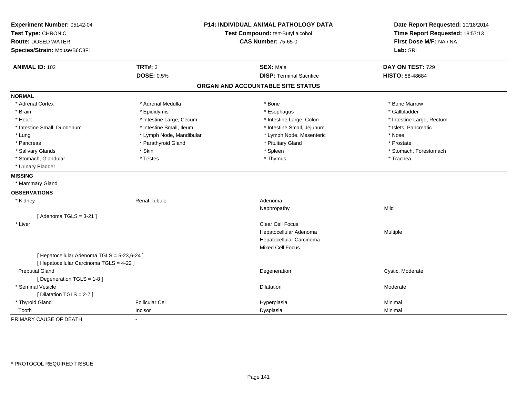| Experiment Number: 05142-04<br>Test Type: CHRONIC<br><b>Route: DOSED WATER</b><br>Species/Strain: Mouse/B6C3F1 | <b>P14: INDIVIDUAL ANIMAL PATHOLOGY DATA</b><br>Test Compound: tert-Butyl alcohol<br><b>CAS Number: 75-65-0</b> |                                   | Date Report Requested: 10/18/2014<br>Time Report Requested: 18:57:13<br>First Dose M/F: NA / NA<br>Lab: SRI |
|----------------------------------------------------------------------------------------------------------------|-----------------------------------------------------------------------------------------------------------------|-----------------------------------|-------------------------------------------------------------------------------------------------------------|
| <b>ANIMAL ID: 102</b>                                                                                          | <b>TRT#: 3</b>                                                                                                  | <b>SEX: Male</b>                  | DAY ON TEST: 729                                                                                            |
|                                                                                                                | <b>DOSE: 0.5%</b>                                                                                               | <b>DISP: Terminal Sacrifice</b>   | HISTO: 88-48684                                                                                             |
|                                                                                                                |                                                                                                                 | ORGAN AND ACCOUNTABLE SITE STATUS |                                                                                                             |
| <b>NORMAL</b>                                                                                                  |                                                                                                                 |                                   |                                                                                                             |
| * Adrenal Cortex                                                                                               | * Adrenal Medulla                                                                                               | * Bone                            | * Bone Marrow                                                                                               |
| * Brain                                                                                                        | * Epididymis                                                                                                    | * Esophagus                       | * Gallbladder                                                                                               |
| * Heart                                                                                                        | * Intestine Large, Cecum                                                                                        | * Intestine Large, Colon          | * Intestine Large, Rectum                                                                                   |
| * Intestine Small, Duodenum                                                                                    | * Intestine Small, Ileum                                                                                        | * Intestine Small, Jejunum        | * Islets, Pancreatic                                                                                        |
| * Lung                                                                                                         | * Lymph Node, Mandibular                                                                                        | * Lymph Node, Mesenteric          | * Nose                                                                                                      |
| * Pancreas                                                                                                     | * Parathyroid Gland                                                                                             | * Pituitary Gland                 | * Prostate                                                                                                  |
| * Salivary Glands                                                                                              | * Skin                                                                                                          | * Spleen                          | * Stomach, Forestomach                                                                                      |
| * Stomach, Glandular                                                                                           | * Testes                                                                                                        | * Thymus                          | * Trachea                                                                                                   |
| * Urinary Bladder                                                                                              |                                                                                                                 |                                   |                                                                                                             |
| <b>MISSING</b>                                                                                                 |                                                                                                                 |                                   |                                                                                                             |
| * Mammary Gland                                                                                                |                                                                                                                 |                                   |                                                                                                             |
| <b>OBSERVATIONS</b>                                                                                            |                                                                                                                 |                                   |                                                                                                             |
| * Kidney                                                                                                       | <b>Renal Tubule</b>                                                                                             | Adenoma                           |                                                                                                             |
|                                                                                                                |                                                                                                                 | Nephropathy                       | Mild                                                                                                        |
| [Adenoma TGLS = $3-21$ ]                                                                                       |                                                                                                                 |                                   |                                                                                                             |
| * Liver                                                                                                        |                                                                                                                 | <b>Clear Cell Focus</b>           |                                                                                                             |
|                                                                                                                |                                                                                                                 | Hepatocellular Adenoma            | Multiple                                                                                                    |
|                                                                                                                |                                                                                                                 | Hepatocellular Carcinoma          |                                                                                                             |
|                                                                                                                |                                                                                                                 | <b>Mixed Cell Focus</b>           |                                                                                                             |
| [ Hepatocellular Adenoma TGLS = 5-23,6-24 ]                                                                    |                                                                                                                 |                                   |                                                                                                             |
| [ Hepatocellular Carcinoma TGLS = 4-22 ]                                                                       |                                                                                                                 |                                   |                                                                                                             |
| <b>Preputial Gland</b>                                                                                         |                                                                                                                 | Degeneration                      | Cystic, Moderate                                                                                            |
| [ Degeneration TGLS = 1-8 ]                                                                                    |                                                                                                                 |                                   |                                                                                                             |
| * Seminal Vesicle                                                                                              |                                                                                                                 | <b>Dilatation</b>                 | Moderate                                                                                                    |
| [ Dilatation TGLS = 2-7 ]                                                                                      |                                                                                                                 |                                   |                                                                                                             |
| * Thyroid Gland                                                                                                | <b>Follicular Cel</b>                                                                                           | Hyperplasia                       | Minimal                                                                                                     |
| Tooth                                                                                                          | Incisor                                                                                                         | Dysplasia                         | Minimal                                                                                                     |
| PRIMARY CAUSE OF DEATH                                                                                         |                                                                                                                 |                                   |                                                                                                             |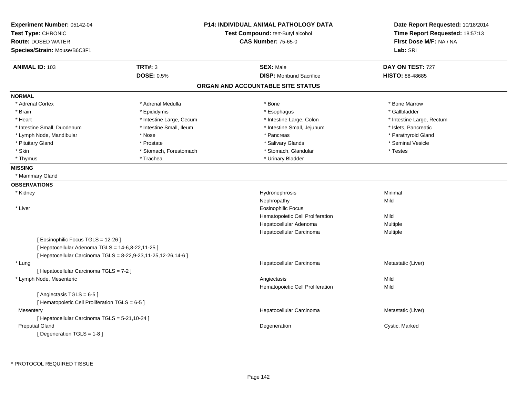| <b>TRT#: 3</b><br><b>SEX: Male</b><br>DAY ON TEST: 727<br><b>ANIMAL ID: 103</b><br><b>DOSE: 0.5%</b><br><b>DISP:</b> Moribund Sacrifice<br>HISTO: 88-48685<br>ORGAN AND ACCOUNTABLE SITE STATUS<br><b>NORMAL</b><br>* Adrenal Cortex<br>* Adrenal Medulla<br>* Bone<br>* Bone Marrow<br>* Brain<br>* Epididymis<br>* Esophagus<br>* Gallbladder<br>* Heart<br>* Intestine Large, Cecum<br>* Intestine Large, Colon<br>* Intestine Large, Rectum<br>* Intestine Small, Ileum<br>* Intestine Small, Jejunum<br>* Islets, Pancreatic<br>* Intestine Small, Duodenum<br>* Parathyroid Gland<br>* Lymph Node, Mandibular<br>* Nose<br>* Pancreas<br>* Seminal Vesicle<br>* Pituitary Gland<br>* Prostate<br>* Salivary Glands<br>* Skin<br>* Stomach, Glandular<br>* Stomach, Forestomach<br>* Testes<br>* Urinary Bladder<br>* Thymus<br>* Trachea<br><b>MISSING</b><br>* Mammary Gland<br><b>OBSERVATIONS</b><br>* Kidney<br>Hydronephrosis<br>Minimal<br>Nephropathy<br>Mild<br>* Liver<br><b>Eosinophilic Focus</b><br>Hematopoietic Cell Proliferation<br>Mild<br>Hepatocellular Adenoma<br>Multiple<br>Hepatocellular Carcinoma<br>Multiple<br>[ Eosinophilic Focus TGLS = 12-26 ]<br>[ Hepatocellular Adenoma TGLS = 14-6,8-22,11-25 ]<br>[ Hepatocellular Carcinoma TGLS = 8-22,9-23,11-25,12-26,14-6 ]<br>* Lung<br>Hepatocellular Carcinoma<br>Metastatic (Liver)<br>[ Hepatocellular Carcinoma TGLS = 7-2 ]<br>* Lymph Node, Mesenteric<br>Mild<br>Angiectasis<br>Mild<br>Hematopoietic Cell Proliferation<br>[Angiectasis TGLS = 6-5]<br>[ Hematopoietic Cell Proliferation TGLS = 6-5 ]<br>Hepatocellular Carcinoma<br>Metastatic (Liver)<br>Mesentery<br>[ Hepatocellular Carcinoma TGLS = 5-21,10-24 ]<br><b>Preputial Gland</b><br>Cystic, Marked<br>Degeneration<br>[ Degeneration TGLS = 1-8 ] | Experiment Number: 05142-04<br>Test Type: CHRONIC<br><b>Route: DOSED WATER</b><br>Species/Strain: Mouse/B6C3F1 | <b>P14: INDIVIDUAL ANIMAL PATHOLOGY DATA</b><br>Test Compound: tert-Butyl alcohol<br><b>CAS Number: 75-65-0</b> | Date Report Requested: 10/18/2014<br>Time Report Requested: 18:57:13<br>First Dose M/F: NA / NA<br>Lab: SRI |
|-------------------------------------------------------------------------------------------------------------------------------------------------------------------------------------------------------------------------------------------------------------------------------------------------------------------------------------------------------------------------------------------------------------------------------------------------------------------------------------------------------------------------------------------------------------------------------------------------------------------------------------------------------------------------------------------------------------------------------------------------------------------------------------------------------------------------------------------------------------------------------------------------------------------------------------------------------------------------------------------------------------------------------------------------------------------------------------------------------------------------------------------------------------------------------------------------------------------------------------------------------------------------------------------------------------------------------------------------------------------------------------------------------------------------------------------------------------------------------------------------------------------------------------------------------------------------------------------------------------------------------------------------------------------------------------------------------------------------------------------------------------------------------------------------------------|----------------------------------------------------------------------------------------------------------------|-----------------------------------------------------------------------------------------------------------------|-------------------------------------------------------------------------------------------------------------|
|                                                                                                                                                                                                                                                                                                                                                                                                                                                                                                                                                                                                                                                                                                                                                                                                                                                                                                                                                                                                                                                                                                                                                                                                                                                                                                                                                                                                                                                                                                                                                                                                                                                                                                                                                                                                             |                                                                                                                |                                                                                                                 |                                                                                                             |
|                                                                                                                                                                                                                                                                                                                                                                                                                                                                                                                                                                                                                                                                                                                                                                                                                                                                                                                                                                                                                                                                                                                                                                                                                                                                                                                                                                                                                                                                                                                                                                                                                                                                                                                                                                                                             |                                                                                                                |                                                                                                                 |                                                                                                             |
|                                                                                                                                                                                                                                                                                                                                                                                                                                                                                                                                                                                                                                                                                                                                                                                                                                                                                                                                                                                                                                                                                                                                                                                                                                                                                                                                                                                                                                                                                                                                                                                                                                                                                                                                                                                                             |                                                                                                                |                                                                                                                 |                                                                                                             |
|                                                                                                                                                                                                                                                                                                                                                                                                                                                                                                                                                                                                                                                                                                                                                                                                                                                                                                                                                                                                                                                                                                                                                                                                                                                                                                                                                                                                                                                                                                                                                                                                                                                                                                                                                                                                             |                                                                                                                |                                                                                                                 |                                                                                                             |
|                                                                                                                                                                                                                                                                                                                                                                                                                                                                                                                                                                                                                                                                                                                                                                                                                                                                                                                                                                                                                                                                                                                                                                                                                                                                                                                                                                                                                                                                                                                                                                                                                                                                                                                                                                                                             |                                                                                                                |                                                                                                                 |                                                                                                             |
|                                                                                                                                                                                                                                                                                                                                                                                                                                                                                                                                                                                                                                                                                                                                                                                                                                                                                                                                                                                                                                                                                                                                                                                                                                                                                                                                                                                                                                                                                                                                                                                                                                                                                                                                                                                                             |                                                                                                                |                                                                                                                 |                                                                                                             |
|                                                                                                                                                                                                                                                                                                                                                                                                                                                                                                                                                                                                                                                                                                                                                                                                                                                                                                                                                                                                                                                                                                                                                                                                                                                                                                                                                                                                                                                                                                                                                                                                                                                                                                                                                                                                             |                                                                                                                |                                                                                                                 |                                                                                                             |
|                                                                                                                                                                                                                                                                                                                                                                                                                                                                                                                                                                                                                                                                                                                                                                                                                                                                                                                                                                                                                                                                                                                                                                                                                                                                                                                                                                                                                                                                                                                                                                                                                                                                                                                                                                                                             |                                                                                                                |                                                                                                                 |                                                                                                             |
|                                                                                                                                                                                                                                                                                                                                                                                                                                                                                                                                                                                                                                                                                                                                                                                                                                                                                                                                                                                                                                                                                                                                                                                                                                                                                                                                                                                                                                                                                                                                                                                                                                                                                                                                                                                                             |                                                                                                                |                                                                                                                 |                                                                                                             |
|                                                                                                                                                                                                                                                                                                                                                                                                                                                                                                                                                                                                                                                                                                                                                                                                                                                                                                                                                                                                                                                                                                                                                                                                                                                                                                                                                                                                                                                                                                                                                                                                                                                                                                                                                                                                             |                                                                                                                |                                                                                                                 |                                                                                                             |
|                                                                                                                                                                                                                                                                                                                                                                                                                                                                                                                                                                                                                                                                                                                                                                                                                                                                                                                                                                                                                                                                                                                                                                                                                                                                                                                                                                                                                                                                                                                                                                                                                                                                                                                                                                                                             |                                                                                                                |                                                                                                                 |                                                                                                             |
|                                                                                                                                                                                                                                                                                                                                                                                                                                                                                                                                                                                                                                                                                                                                                                                                                                                                                                                                                                                                                                                                                                                                                                                                                                                                                                                                                                                                                                                                                                                                                                                                                                                                                                                                                                                                             |                                                                                                                |                                                                                                                 |                                                                                                             |
|                                                                                                                                                                                                                                                                                                                                                                                                                                                                                                                                                                                                                                                                                                                                                                                                                                                                                                                                                                                                                                                                                                                                                                                                                                                                                                                                                                                                                                                                                                                                                                                                                                                                                                                                                                                                             |                                                                                                                |                                                                                                                 |                                                                                                             |
|                                                                                                                                                                                                                                                                                                                                                                                                                                                                                                                                                                                                                                                                                                                                                                                                                                                                                                                                                                                                                                                                                                                                                                                                                                                                                                                                                                                                                                                                                                                                                                                                                                                                                                                                                                                                             |                                                                                                                |                                                                                                                 |                                                                                                             |
|                                                                                                                                                                                                                                                                                                                                                                                                                                                                                                                                                                                                                                                                                                                                                                                                                                                                                                                                                                                                                                                                                                                                                                                                                                                                                                                                                                                                                                                                                                                                                                                                                                                                                                                                                                                                             |                                                                                                                |                                                                                                                 |                                                                                                             |
|                                                                                                                                                                                                                                                                                                                                                                                                                                                                                                                                                                                                                                                                                                                                                                                                                                                                                                                                                                                                                                                                                                                                                                                                                                                                                                                                                                                                                                                                                                                                                                                                                                                                                                                                                                                                             |                                                                                                                |                                                                                                                 |                                                                                                             |
|                                                                                                                                                                                                                                                                                                                                                                                                                                                                                                                                                                                                                                                                                                                                                                                                                                                                                                                                                                                                                                                                                                                                                                                                                                                                                                                                                                                                                                                                                                                                                                                                                                                                                                                                                                                                             |                                                                                                                |                                                                                                                 |                                                                                                             |
|                                                                                                                                                                                                                                                                                                                                                                                                                                                                                                                                                                                                                                                                                                                                                                                                                                                                                                                                                                                                                                                                                                                                                                                                                                                                                                                                                                                                                                                                                                                                                                                                                                                                                                                                                                                                             |                                                                                                                |                                                                                                                 |                                                                                                             |
|                                                                                                                                                                                                                                                                                                                                                                                                                                                                                                                                                                                                                                                                                                                                                                                                                                                                                                                                                                                                                                                                                                                                                                                                                                                                                                                                                                                                                                                                                                                                                                                                                                                                                                                                                                                                             |                                                                                                                |                                                                                                                 |                                                                                                             |
|                                                                                                                                                                                                                                                                                                                                                                                                                                                                                                                                                                                                                                                                                                                                                                                                                                                                                                                                                                                                                                                                                                                                                                                                                                                                                                                                                                                                                                                                                                                                                                                                                                                                                                                                                                                                             |                                                                                                                |                                                                                                                 |                                                                                                             |
|                                                                                                                                                                                                                                                                                                                                                                                                                                                                                                                                                                                                                                                                                                                                                                                                                                                                                                                                                                                                                                                                                                                                                                                                                                                                                                                                                                                                                                                                                                                                                                                                                                                                                                                                                                                                             |                                                                                                                |                                                                                                                 |                                                                                                             |
|                                                                                                                                                                                                                                                                                                                                                                                                                                                                                                                                                                                                                                                                                                                                                                                                                                                                                                                                                                                                                                                                                                                                                                                                                                                                                                                                                                                                                                                                                                                                                                                                                                                                                                                                                                                                             |                                                                                                                |                                                                                                                 |                                                                                                             |
|                                                                                                                                                                                                                                                                                                                                                                                                                                                                                                                                                                                                                                                                                                                                                                                                                                                                                                                                                                                                                                                                                                                                                                                                                                                                                                                                                                                                                                                                                                                                                                                                                                                                                                                                                                                                             |                                                                                                                |                                                                                                                 |                                                                                                             |
|                                                                                                                                                                                                                                                                                                                                                                                                                                                                                                                                                                                                                                                                                                                                                                                                                                                                                                                                                                                                                                                                                                                                                                                                                                                                                                                                                                                                                                                                                                                                                                                                                                                                                                                                                                                                             |                                                                                                                |                                                                                                                 |                                                                                                             |
|                                                                                                                                                                                                                                                                                                                                                                                                                                                                                                                                                                                                                                                                                                                                                                                                                                                                                                                                                                                                                                                                                                                                                                                                                                                                                                                                                                                                                                                                                                                                                                                                                                                                                                                                                                                                             |                                                                                                                |                                                                                                                 |                                                                                                             |
|                                                                                                                                                                                                                                                                                                                                                                                                                                                                                                                                                                                                                                                                                                                                                                                                                                                                                                                                                                                                                                                                                                                                                                                                                                                                                                                                                                                                                                                                                                                                                                                                                                                                                                                                                                                                             |                                                                                                                |                                                                                                                 |                                                                                                             |
|                                                                                                                                                                                                                                                                                                                                                                                                                                                                                                                                                                                                                                                                                                                                                                                                                                                                                                                                                                                                                                                                                                                                                                                                                                                                                                                                                                                                                                                                                                                                                                                                                                                                                                                                                                                                             |                                                                                                                |                                                                                                                 |                                                                                                             |
|                                                                                                                                                                                                                                                                                                                                                                                                                                                                                                                                                                                                                                                                                                                                                                                                                                                                                                                                                                                                                                                                                                                                                                                                                                                                                                                                                                                                                                                                                                                                                                                                                                                                                                                                                                                                             |                                                                                                                |                                                                                                                 |                                                                                                             |
|                                                                                                                                                                                                                                                                                                                                                                                                                                                                                                                                                                                                                                                                                                                                                                                                                                                                                                                                                                                                                                                                                                                                                                                                                                                                                                                                                                                                                                                                                                                                                                                                                                                                                                                                                                                                             |                                                                                                                |                                                                                                                 |                                                                                                             |
|                                                                                                                                                                                                                                                                                                                                                                                                                                                                                                                                                                                                                                                                                                                                                                                                                                                                                                                                                                                                                                                                                                                                                                                                                                                                                                                                                                                                                                                                                                                                                                                                                                                                                                                                                                                                             |                                                                                                                |                                                                                                                 |                                                                                                             |
|                                                                                                                                                                                                                                                                                                                                                                                                                                                                                                                                                                                                                                                                                                                                                                                                                                                                                                                                                                                                                                                                                                                                                                                                                                                                                                                                                                                                                                                                                                                                                                                                                                                                                                                                                                                                             |                                                                                                                |                                                                                                                 |                                                                                                             |
|                                                                                                                                                                                                                                                                                                                                                                                                                                                                                                                                                                                                                                                                                                                                                                                                                                                                                                                                                                                                                                                                                                                                                                                                                                                                                                                                                                                                                                                                                                                                                                                                                                                                                                                                                                                                             |                                                                                                                |                                                                                                                 |                                                                                                             |
|                                                                                                                                                                                                                                                                                                                                                                                                                                                                                                                                                                                                                                                                                                                                                                                                                                                                                                                                                                                                                                                                                                                                                                                                                                                                                                                                                                                                                                                                                                                                                                                                                                                                                                                                                                                                             |                                                                                                                |                                                                                                                 |                                                                                                             |
|                                                                                                                                                                                                                                                                                                                                                                                                                                                                                                                                                                                                                                                                                                                                                                                                                                                                                                                                                                                                                                                                                                                                                                                                                                                                                                                                                                                                                                                                                                                                                                                                                                                                                                                                                                                                             |                                                                                                                |                                                                                                                 |                                                                                                             |
|                                                                                                                                                                                                                                                                                                                                                                                                                                                                                                                                                                                                                                                                                                                                                                                                                                                                                                                                                                                                                                                                                                                                                                                                                                                                                                                                                                                                                                                                                                                                                                                                                                                                                                                                                                                                             |                                                                                                                |                                                                                                                 |                                                                                                             |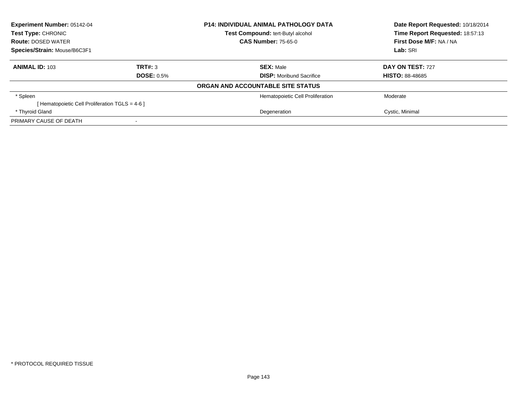| Experiment Number: 05142-04<br>Test Type: CHRONIC<br><b>Route: DOSED WATER</b> |                   | <b>P14: INDIVIDUAL ANIMAL PATHOLOGY DATA</b> | Date Report Requested: 10/18/2014<br>Time Report Requested: 18:57:13 |
|--------------------------------------------------------------------------------|-------------------|----------------------------------------------|----------------------------------------------------------------------|
|                                                                                |                   | Test Compound: tert-Butyl alcohol            |                                                                      |
|                                                                                |                   | <b>CAS Number: 75-65-0</b>                   | First Dose M/F: NA / NA                                              |
| Species/Strain: Mouse/B6C3F1                                                   |                   |                                              | Lab: SRI                                                             |
| <b>ANIMAL ID: 103</b>                                                          | TRT#: 3           | <b>SEX: Male</b>                             | DAY ON TEST: 727                                                     |
|                                                                                | <b>DOSE: 0.5%</b> | <b>DISP:</b> Moribund Sacrifice              | <b>HISTO: 88-48685</b>                                               |
|                                                                                |                   | ORGAN AND ACCOUNTABLE SITE STATUS            |                                                                      |
| * Spleen                                                                       |                   | Hematopoietic Cell Proliferation             | Moderate                                                             |
| [Hematopoietic Cell Proliferation TGLS = 4-6 ]                                 |                   |                                              |                                                                      |
| * Thyroid Gland                                                                |                   | Degeneration                                 | Cystic, Minimal                                                      |
| PRIMARY CAUSE OF DEATH                                                         |                   |                                              |                                                                      |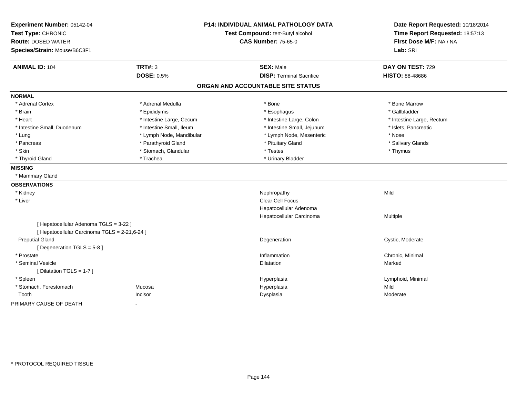| Experiment Number: 05142-04<br>Test Type: CHRONIC |                          | <b>P14: INDIVIDUAL ANIMAL PATHOLOGY DATA</b><br>Test Compound: tert-Butyl alcohol | Date Report Requested: 10/18/2014<br>Time Report Requested: 18:57:13 |
|---------------------------------------------------|--------------------------|-----------------------------------------------------------------------------------|----------------------------------------------------------------------|
| <b>Route: DOSED WATER</b>                         |                          | <b>CAS Number: 75-65-0</b>                                                        | First Dose M/F: NA / NA                                              |
| Species/Strain: Mouse/B6C3F1                      |                          |                                                                                   | Lab: SRI                                                             |
| <b>ANIMAL ID: 104</b>                             | <b>TRT#: 3</b>           | <b>SEX: Male</b>                                                                  | DAY ON TEST: 729                                                     |
|                                                   | <b>DOSE: 0.5%</b>        | <b>DISP: Terminal Sacrifice</b>                                                   | <b>HISTO: 88-48686</b>                                               |
|                                                   |                          | ORGAN AND ACCOUNTABLE SITE STATUS                                                 |                                                                      |
| <b>NORMAL</b>                                     |                          |                                                                                   |                                                                      |
| * Adrenal Cortex                                  | * Adrenal Medulla        | * Bone                                                                            | * Bone Marrow                                                        |
| * Brain                                           | * Epididymis             | * Esophagus                                                                       | * Gallbladder                                                        |
| * Heart                                           | * Intestine Large, Cecum | * Intestine Large, Colon                                                          | * Intestine Large, Rectum                                            |
| * Intestine Small, Duodenum                       | * Intestine Small, Ileum | * Intestine Small, Jejunum                                                        | * Islets, Pancreatic                                                 |
| * Lung                                            | * Lymph Node, Mandibular | * Lymph Node, Mesenteric                                                          | * Nose                                                               |
| * Pancreas                                        | * Parathyroid Gland      | * Pituitary Gland                                                                 | * Salivary Glands                                                    |
| * Skin                                            | * Stomach, Glandular     | * Testes                                                                          | * Thymus                                                             |
| * Thyroid Gland                                   | * Trachea                | * Urinary Bladder                                                                 |                                                                      |
| <b>MISSING</b>                                    |                          |                                                                                   |                                                                      |
| * Mammary Gland                                   |                          |                                                                                   |                                                                      |
| <b>OBSERVATIONS</b>                               |                          |                                                                                   |                                                                      |
| * Kidney                                          |                          | Nephropathy                                                                       | Mild                                                                 |
| * Liver                                           |                          | Clear Cell Focus                                                                  |                                                                      |
|                                                   |                          | Hepatocellular Adenoma                                                            |                                                                      |
|                                                   |                          | Hepatocellular Carcinoma                                                          | Multiple                                                             |
| [ Hepatocellular Adenoma TGLS = 3-22 ]            |                          |                                                                                   |                                                                      |
| [ Hepatocellular Carcinoma TGLS = 2-21,6-24 ]     |                          |                                                                                   |                                                                      |
| <b>Preputial Gland</b>                            |                          | Degeneration                                                                      | Cystic, Moderate                                                     |
| [Degeneration TGLS = 5-8]                         |                          |                                                                                   |                                                                      |
| * Prostate                                        |                          | Inflammation                                                                      | Chronic, Minimal                                                     |
| * Seminal Vesicle                                 |                          | Dilatation                                                                        | Marked                                                               |
| [Dilatation TGLS = 1-7]                           |                          |                                                                                   |                                                                      |
| * Spleen                                          |                          | Hyperplasia                                                                       | Lymphoid, Minimal                                                    |
| * Stomach, Forestomach                            | Mucosa                   | Hyperplasia                                                                       | Mild                                                                 |
| Tooth                                             | Incisor                  | Dysplasia                                                                         | Moderate                                                             |
| PRIMARY CAUSE OF DEATH                            | $\overline{\phantom{0}}$ |                                                                                   |                                                                      |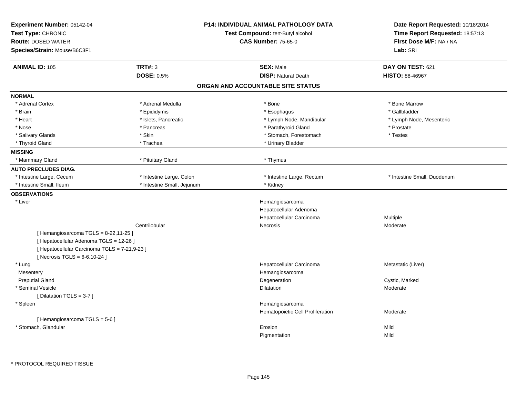| Experiment Number: 05142-04<br>Test Type: CHRONIC<br><b>Route: DOSED WATER</b><br>Species/Strain: Mouse/B6C3F1 |                            | <b>P14: INDIVIDUAL ANIMAL PATHOLOGY DATA</b><br>Test Compound: tert-Butyl alcohol<br><b>CAS Number: 75-65-0</b> | Date Report Requested: 10/18/2014<br>Time Report Requested: 18:57:13<br>First Dose M/F: NA / NA<br>Lab: SRI |
|----------------------------------------------------------------------------------------------------------------|----------------------------|-----------------------------------------------------------------------------------------------------------------|-------------------------------------------------------------------------------------------------------------|
| <b>ANIMAL ID: 105</b>                                                                                          | TRT#: 3                    | <b>SEX: Male</b>                                                                                                | DAY ON TEST: 621                                                                                            |
|                                                                                                                | <b>DOSE: 0.5%</b>          | <b>DISP: Natural Death</b>                                                                                      | <b>HISTO: 88-46967</b>                                                                                      |
|                                                                                                                |                            | ORGAN AND ACCOUNTABLE SITE STATUS                                                                               |                                                                                                             |
| <b>NORMAL</b>                                                                                                  |                            |                                                                                                                 |                                                                                                             |
| * Adrenal Cortex                                                                                               | * Adrenal Medulla          | * Bone                                                                                                          | * Bone Marrow                                                                                               |
| * Brain                                                                                                        | * Epididymis               | * Esophagus                                                                                                     | * Gallbladder                                                                                               |
| * Heart                                                                                                        | * Islets, Pancreatic       | * Lymph Node, Mandibular                                                                                        | * Lymph Node, Mesenteric                                                                                    |
| * Nose                                                                                                         | * Pancreas                 | * Parathyroid Gland                                                                                             | * Prostate                                                                                                  |
| * Salivary Glands                                                                                              | * Skin                     | * Stomach, Forestomach                                                                                          | * Testes                                                                                                    |
| * Thyroid Gland                                                                                                | * Trachea                  | * Urinary Bladder                                                                                               |                                                                                                             |
| <b>MISSING</b>                                                                                                 |                            |                                                                                                                 |                                                                                                             |
| * Mammary Gland                                                                                                | * Pituitary Gland          | * Thymus                                                                                                        |                                                                                                             |
| <b>AUTO PRECLUDES DIAG.</b>                                                                                    |                            |                                                                                                                 |                                                                                                             |
| * Intestine Large, Cecum                                                                                       | * Intestine Large, Colon   | * Intestine Large, Rectum                                                                                       | * Intestine Small, Duodenum                                                                                 |
| * Intestine Small, Ileum                                                                                       | * Intestine Small, Jejunum | * Kidney                                                                                                        |                                                                                                             |
| <b>OBSERVATIONS</b>                                                                                            |                            |                                                                                                                 |                                                                                                             |
| * Liver                                                                                                        |                            | Hemangiosarcoma                                                                                                 |                                                                                                             |
|                                                                                                                |                            | Hepatocellular Adenoma                                                                                          |                                                                                                             |
|                                                                                                                |                            | Hepatocellular Carcinoma                                                                                        | Multiple                                                                                                    |
|                                                                                                                | Centrilobular              | <b>Necrosis</b>                                                                                                 | Moderate                                                                                                    |
| [Hemangiosarcoma TGLS = 8-22,11-25]                                                                            |                            |                                                                                                                 |                                                                                                             |
| [ Hepatocellular Adenoma TGLS = 12-26 ]                                                                        |                            |                                                                                                                 |                                                                                                             |
| [ Hepatocellular Carcinoma TGLS = 7-21,9-23 ]                                                                  |                            |                                                                                                                 |                                                                                                             |
| [ Necrosis $TGLS = 6-6, 10-24$ ]                                                                               |                            |                                                                                                                 |                                                                                                             |
| * Lung                                                                                                         |                            | Hepatocellular Carcinoma                                                                                        | Metastatic (Liver)                                                                                          |
| Mesentery                                                                                                      |                            | Hemangiosarcoma                                                                                                 |                                                                                                             |
| <b>Preputial Gland</b>                                                                                         |                            | Degeneration                                                                                                    | Cystic, Marked                                                                                              |
| * Seminal Vesicle                                                                                              |                            | Dilatation                                                                                                      | Moderate                                                                                                    |
| [ Dilatation TGLS = 3-7 ]                                                                                      |                            |                                                                                                                 |                                                                                                             |
| * Spleen                                                                                                       |                            | Hemangiosarcoma                                                                                                 |                                                                                                             |
|                                                                                                                |                            | Hematopoietic Cell Proliferation                                                                                | Moderate                                                                                                    |
| [Hemangiosarcoma TGLS = 5-6]                                                                                   |                            |                                                                                                                 |                                                                                                             |
| * Stomach, Glandular                                                                                           |                            | Erosion                                                                                                         | Mild                                                                                                        |
|                                                                                                                |                            | Pigmentation                                                                                                    | Mild                                                                                                        |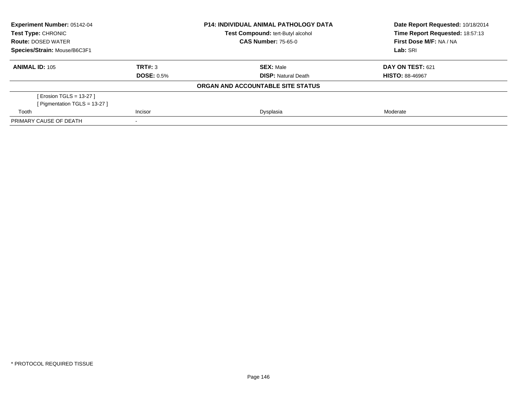| Experiment Number: 05142-04<br><b>Test Type: CHRONIC</b> |                   | <b>P14: INDIVIDUAL ANIMAL PATHOLOGY DATA</b><br>Test Compound: tert-Butyl alcohol | Date Report Requested: 10/18/2014<br>Time Report Requested: 18:57:13 |
|----------------------------------------------------------|-------------------|-----------------------------------------------------------------------------------|----------------------------------------------------------------------|
| <b>Route: DOSED WATER</b>                                |                   | <b>CAS Number: 75-65-0</b>                                                        | First Dose M/F: NA / NA                                              |
| Species/Strain: Mouse/B6C3F1                             |                   |                                                                                   | Lab: SRI                                                             |
| <b>ANIMAL ID: 105</b>                                    | TRT#: 3           | <b>SEX: Male</b>                                                                  | DAY ON TEST: 621                                                     |
|                                                          | <b>DOSE: 0.5%</b> | <b>DISP:</b> Natural Death                                                        | <b>HISTO: 88-46967</b>                                               |
|                                                          |                   | ORGAN AND ACCOUNTABLE SITE STATUS                                                 |                                                                      |
| [ Erosion TGLS = 13-27 ]                                 |                   |                                                                                   |                                                                      |
| [ Pigmentation TGLS = $13-27$ ]                          |                   |                                                                                   |                                                                      |
| Tooth                                                    | Incisor           | Dysplasia                                                                         | Moderate                                                             |
| PRIMARY CAUSE OF DEATH                                   |                   |                                                                                   |                                                                      |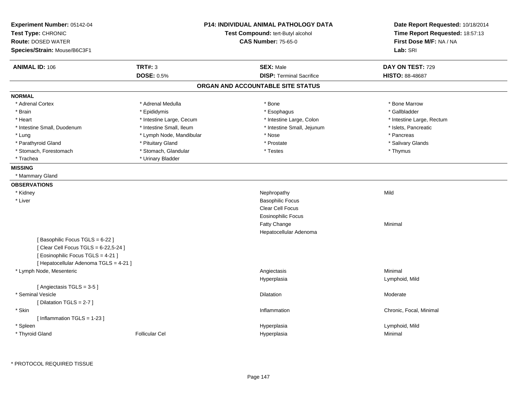| Experiment Number: 05142-04<br>Test Type: CHRONIC<br><b>Route: DOSED WATER</b><br>Species/Strain: Mouse/B6C3F1                                          |                          | <b>P14: INDIVIDUAL ANIMAL PATHOLOGY DATA</b><br>Test Compound: tert-Butyl alcohol<br><b>CAS Number: 75-65-0</b> | Date Report Requested: 10/18/2014<br>Time Report Requested: 18:57:13<br>First Dose M/F: NA / NA<br>Lab: SRI |
|---------------------------------------------------------------------------------------------------------------------------------------------------------|--------------------------|-----------------------------------------------------------------------------------------------------------------|-------------------------------------------------------------------------------------------------------------|
| <b>ANIMAL ID: 106</b>                                                                                                                                   | <b>TRT#: 3</b>           | <b>SEX: Male</b>                                                                                                | DAY ON TEST: 729                                                                                            |
|                                                                                                                                                         | <b>DOSE: 0.5%</b>        | <b>DISP: Terminal Sacrifice</b>                                                                                 | <b>HISTO: 88-48687</b>                                                                                      |
|                                                                                                                                                         |                          | ORGAN AND ACCOUNTABLE SITE STATUS                                                                               |                                                                                                             |
| <b>NORMAL</b>                                                                                                                                           |                          |                                                                                                                 |                                                                                                             |
| * Adrenal Cortex                                                                                                                                        | * Adrenal Medulla        | * Bone                                                                                                          | * Bone Marrow                                                                                               |
| * Brain                                                                                                                                                 | * Epididymis             | * Esophagus                                                                                                     | * Gallbladder                                                                                               |
| * Heart                                                                                                                                                 | * Intestine Large, Cecum | * Intestine Large, Colon                                                                                        | * Intestine Large, Rectum                                                                                   |
| * Intestine Small, Duodenum                                                                                                                             | * Intestine Small, Ileum | * Intestine Small, Jejunum                                                                                      | * Islets, Pancreatic                                                                                        |
| * Lung                                                                                                                                                  | * Lymph Node, Mandibular | * Nose                                                                                                          | * Pancreas                                                                                                  |
| * Parathyroid Gland                                                                                                                                     | * Pituitary Gland        | * Prostate                                                                                                      | * Salivary Glands                                                                                           |
| * Stomach, Forestomach                                                                                                                                  | * Stomach, Glandular     | * Testes                                                                                                        | * Thymus                                                                                                    |
| * Trachea                                                                                                                                               | * Urinary Bladder        |                                                                                                                 |                                                                                                             |
| <b>MISSING</b>                                                                                                                                          |                          |                                                                                                                 |                                                                                                             |
| * Mammary Gland                                                                                                                                         |                          |                                                                                                                 |                                                                                                             |
| <b>OBSERVATIONS</b>                                                                                                                                     |                          |                                                                                                                 |                                                                                                             |
| * Kidney                                                                                                                                                |                          | Nephropathy                                                                                                     | Mild                                                                                                        |
| * Liver                                                                                                                                                 |                          | <b>Basophilic Focus</b>                                                                                         |                                                                                                             |
|                                                                                                                                                         |                          | Clear Cell Focus                                                                                                |                                                                                                             |
|                                                                                                                                                         |                          | <b>Eosinophilic Focus</b>                                                                                       |                                                                                                             |
|                                                                                                                                                         |                          | Fatty Change                                                                                                    | Minimal                                                                                                     |
|                                                                                                                                                         |                          | Hepatocellular Adenoma                                                                                          |                                                                                                             |
| [Basophilic Focus TGLS = 6-22]<br>[ Clear Cell Focus TGLS = 6-22,5-24 ]<br>[ Eosinophilic Focus TGLS = 4-21 ]<br>[ Hepatocellular Adenoma TGLS = 4-21 ] |                          |                                                                                                                 |                                                                                                             |
| * Lymph Node, Mesenteric                                                                                                                                |                          | Angiectasis                                                                                                     | Minimal                                                                                                     |
|                                                                                                                                                         |                          | Hyperplasia                                                                                                     | Lymphoid, Mild                                                                                              |
| [Angiectasis TGLS = 3-5]                                                                                                                                |                          |                                                                                                                 |                                                                                                             |
| * Seminal Vesicle                                                                                                                                       |                          | <b>Dilatation</b>                                                                                               | Moderate                                                                                                    |
| [Dilatation TGLS = 2-7]                                                                                                                                 |                          |                                                                                                                 |                                                                                                             |
| * Skin                                                                                                                                                  |                          | Inflammation                                                                                                    | Chronic, Focal, Minimal                                                                                     |
| [Inflammation TGLS = 1-23]                                                                                                                              |                          |                                                                                                                 |                                                                                                             |
| * Spleen                                                                                                                                                |                          | Hyperplasia                                                                                                     | Lymphoid, Mild                                                                                              |
| * Thyroid Gland                                                                                                                                         | <b>Follicular Cel</b>    | Hyperplasia                                                                                                     | Minimal                                                                                                     |
|                                                                                                                                                         |                          |                                                                                                                 |                                                                                                             |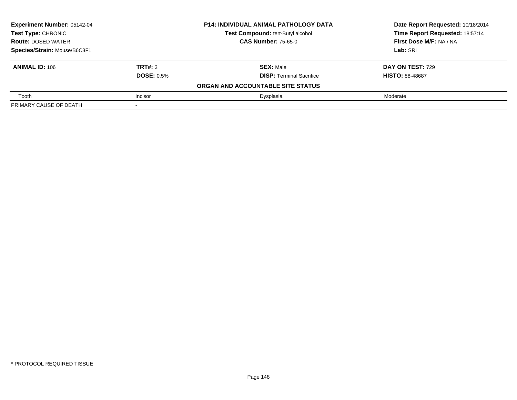| Experiment Number: 05142-04  |                   | <b>P14: INDIVIDUAL ANIMAL PATHOLOGY DATA</b> | Date Report Requested: 10/18/2014 |
|------------------------------|-------------------|----------------------------------------------|-----------------------------------|
| <b>Test Type: CHRONIC</b>    |                   | Test Compound: tert-Butyl alcohol            | Time Report Requested: 18:57:14   |
| <b>Route: DOSED WATER</b>    |                   | <b>CAS Number: 75-65-0</b>                   | First Dose M/F: NA / NA           |
| Species/Strain: Mouse/B6C3F1 |                   |                                              | Lab: SRI                          |
| <b>ANIMAL ID: 106</b>        | TRT#: 3           | <b>SEX: Male</b>                             | DAY ON TEST: 729                  |
|                              | <b>DOSE: 0.5%</b> | <b>DISP:</b> Terminal Sacrifice              | <b>HISTO: 88-48687</b>            |
|                              |                   | ORGAN AND ACCOUNTABLE SITE STATUS            |                                   |
| Tooth                        | Incisor           | Dysplasia                                    | Moderate                          |
| PRIMARY CAUSE OF DEATH       |                   |                                              |                                   |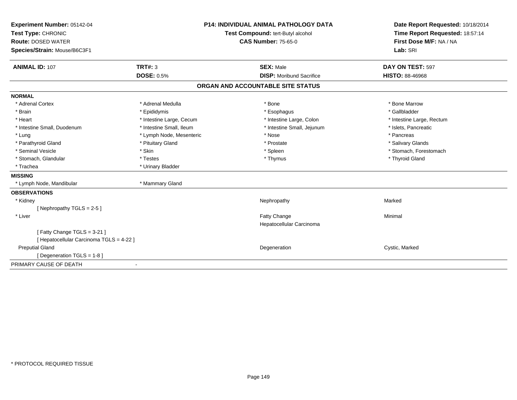| Experiment Number: 05142-04              |                          | <b>P14: INDIVIDUAL ANIMAL PATHOLOGY DATA</b> | Date Report Requested: 10/18/2014 |
|------------------------------------------|--------------------------|----------------------------------------------|-----------------------------------|
| Test Type: CHRONIC                       |                          | Test Compound: tert-Butyl alcohol            | Time Report Requested: 18:57:14   |
| <b>Route: DOSED WATER</b>                |                          | <b>CAS Number: 75-65-0</b>                   | First Dose M/F: NA / NA           |
| Species/Strain: Mouse/B6C3F1             |                          |                                              | Lab: SRI                          |
| <b>ANIMAL ID: 107</b>                    | TRT#: 3                  | <b>SEX: Male</b>                             | DAY ON TEST: 597                  |
|                                          | <b>DOSE: 0.5%</b>        | <b>DISP:</b> Moribund Sacrifice              | <b>HISTO: 88-46968</b>            |
|                                          |                          | ORGAN AND ACCOUNTABLE SITE STATUS            |                                   |
| <b>NORMAL</b>                            |                          |                                              |                                   |
| * Adrenal Cortex                         | * Adrenal Medulla        | * Bone                                       | * Bone Marrow                     |
| * Brain                                  | * Epididymis             | * Esophagus                                  | * Gallbladder                     |
| * Heart                                  | * Intestine Large, Cecum | * Intestine Large, Colon                     | * Intestine Large, Rectum         |
| * Intestine Small, Duodenum              | * Intestine Small, Ileum | * Intestine Small, Jejunum                   | * Islets, Pancreatic              |
| * Lung                                   | * Lymph Node, Mesenteric | * Nose                                       | * Pancreas                        |
| * Parathyroid Gland                      | * Pituitary Gland        | * Prostate                                   | * Salivary Glands                 |
| * Seminal Vesicle                        | * Skin                   | * Spleen                                     | * Stomach, Forestomach            |
| * Stomach, Glandular                     | * Testes                 | * Thymus                                     | * Thyroid Gland                   |
| * Trachea                                | * Urinary Bladder        |                                              |                                   |
| <b>MISSING</b>                           |                          |                                              |                                   |
| * Lymph Node, Mandibular                 | * Mammary Gland          |                                              |                                   |
| <b>OBSERVATIONS</b>                      |                          |                                              |                                   |
| * Kidney                                 |                          | Nephropathy                                  | Marked                            |
| [Nephropathy TGLS = $2-5$ ]              |                          |                                              |                                   |
| * Liver                                  |                          | Fatty Change                                 | Minimal                           |
|                                          |                          | Hepatocellular Carcinoma                     |                                   |
| [Fatty Change TGLS = 3-21]               |                          |                                              |                                   |
| [ Hepatocellular Carcinoma TGLS = 4-22 ] |                          |                                              |                                   |
| <b>Preputial Gland</b>                   |                          | Degeneration                                 | Cystic, Marked                    |
| [ Degeneration TGLS = 1-8 ]              |                          |                                              |                                   |
| PRIMARY CAUSE OF DEATH                   | ٠                        |                                              |                                   |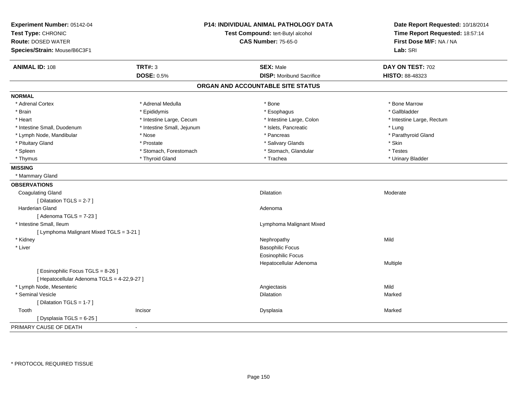| Experiment Number: 05142-04<br>Test Type: CHRONIC<br><b>Route: DOSED WATER</b><br>Species/Strain: Mouse/B6C3F1 |                            | <b>P14: INDIVIDUAL ANIMAL PATHOLOGY DATA</b><br>Test Compound: tert-Butyl alcohol<br><b>CAS Number: 75-65-0</b> | Date Report Requested: 10/18/2014<br>Time Report Requested: 18:57:14<br>First Dose M/F: NA / NA<br>Lab: SRI |
|----------------------------------------------------------------------------------------------------------------|----------------------------|-----------------------------------------------------------------------------------------------------------------|-------------------------------------------------------------------------------------------------------------|
| <b>ANIMAL ID: 108</b>                                                                                          | <b>TRT#: 3</b>             | <b>SEX: Male</b>                                                                                                | DAY ON TEST: 702                                                                                            |
|                                                                                                                | DOSE: 0.5%                 | <b>DISP:</b> Moribund Sacrifice                                                                                 | HISTO: 88-48323                                                                                             |
|                                                                                                                |                            | ORGAN AND ACCOUNTABLE SITE STATUS                                                                               |                                                                                                             |
| <b>NORMAL</b>                                                                                                  |                            |                                                                                                                 |                                                                                                             |
| * Adrenal Cortex                                                                                               | * Adrenal Medulla          | * Bone                                                                                                          | * Bone Marrow                                                                                               |
| * Brain                                                                                                        | * Epididymis               | * Esophagus                                                                                                     | * Gallbladder                                                                                               |
| * Heart                                                                                                        | * Intestine Large, Cecum   | * Intestine Large, Colon                                                                                        | * Intestine Large, Rectum                                                                                   |
| * Intestine Small, Duodenum                                                                                    | * Intestine Small, Jejunum | * Islets, Pancreatic                                                                                            | * Lung                                                                                                      |
| * Lymph Node, Mandibular                                                                                       | * Nose                     | * Pancreas                                                                                                      | * Parathyroid Gland                                                                                         |
| * Pituitary Gland                                                                                              | * Prostate                 | * Salivary Glands                                                                                               | * Skin                                                                                                      |
| * Spleen                                                                                                       | * Stomach, Forestomach     | * Stomach, Glandular                                                                                            | * Testes                                                                                                    |
| * Thymus                                                                                                       | * Thyroid Gland            | * Trachea                                                                                                       | * Urinary Bladder                                                                                           |
| <b>MISSING</b>                                                                                                 |                            |                                                                                                                 |                                                                                                             |
| * Mammary Gland                                                                                                |                            |                                                                                                                 |                                                                                                             |
| <b>OBSERVATIONS</b>                                                                                            |                            |                                                                                                                 |                                                                                                             |
| <b>Coagulating Gland</b>                                                                                       |                            | Dilatation                                                                                                      | Moderate                                                                                                    |
| [ Dilatation TGLS = 2-7 ]                                                                                      |                            |                                                                                                                 |                                                                                                             |
| <b>Harderian Gland</b>                                                                                         |                            | Adenoma                                                                                                         |                                                                                                             |
| [ Adenoma TGLS = 7-23 ]                                                                                        |                            |                                                                                                                 |                                                                                                             |
| * Intestine Small, Ileum                                                                                       |                            | Lymphoma Malignant Mixed                                                                                        |                                                                                                             |
| [ Lymphoma Malignant Mixed TGLS = 3-21 ]                                                                       |                            |                                                                                                                 |                                                                                                             |
| * Kidney                                                                                                       |                            | Nephropathy                                                                                                     | Mild                                                                                                        |
| * Liver                                                                                                        |                            | <b>Basophilic Focus</b>                                                                                         |                                                                                                             |
|                                                                                                                |                            | <b>Eosinophilic Focus</b>                                                                                       |                                                                                                             |
|                                                                                                                |                            | Hepatocellular Adenoma                                                                                          | Multiple                                                                                                    |
| [ Eosinophilic Focus TGLS = 8-26 ]                                                                             |                            |                                                                                                                 |                                                                                                             |
| [ Hepatocellular Adenoma TGLS = 4-22,9-27 ]                                                                    |                            |                                                                                                                 |                                                                                                             |
| * Lymph Node, Mesenteric                                                                                       |                            | Angiectasis                                                                                                     | Mild                                                                                                        |
| * Seminal Vesicle                                                                                              |                            | <b>Dilatation</b>                                                                                               | Marked                                                                                                      |
| [ Dilatation TGLS = 1-7 ]                                                                                      |                            |                                                                                                                 |                                                                                                             |
| Tooth                                                                                                          | Incisor                    | Dysplasia                                                                                                       | Marked                                                                                                      |
| [ Dysplasia TGLS = 6-25 ]                                                                                      |                            |                                                                                                                 |                                                                                                             |
| PRIMARY CAUSE OF DEATH                                                                                         | $\blacksquare$             |                                                                                                                 |                                                                                                             |
|                                                                                                                |                            |                                                                                                                 |                                                                                                             |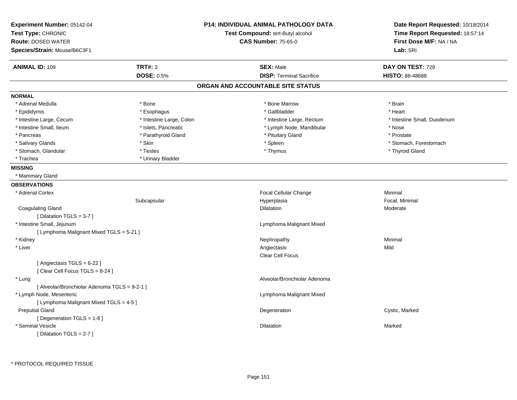| <b>CAS Number: 75-65-0</b><br>First Dose M/F: NA / NA<br><b>Route: DOSED WATER</b><br>Lab: SRI<br>Species/Strain: Mouse/B6C3F1<br><b>TRT#: 3</b><br><b>SEX: Male</b><br><b>ANIMAL ID: 109</b><br>DAY ON TEST: 729<br><b>DOSE: 0.5%</b><br><b>DISP: Terminal Sacrifice</b><br>HISTO: 88-48688<br>ORGAN AND ACCOUNTABLE SITE STATUS<br><b>NORMAL</b><br>* Adrenal Medulla<br>* Bone<br>* Bone Marrow<br>* Brain<br>* Epididymis<br>* Esophagus<br>* Gallbladder<br>* Heart<br>* Intestine Large, Cecum<br>* Intestine Large, Colon<br>* Intestine Large, Rectum<br>* Intestine Small, Duodenum<br>* Intestine Small, Ileum<br>* Islets, Pancreatic<br>* Lymph Node, Mandibular<br>* Nose<br>* Pituitary Gland<br>* Pancreas<br>* Parathyroid Gland<br>* Prostate<br>* Spleen<br>* Stomach, Forestomach<br>* Salivary Glands<br>* Skin<br>* Testes<br>* Thymus<br>* Thyroid Gland<br>* Stomach, Glandular<br>* Trachea<br>* Urinary Bladder<br><b>MISSING</b><br>* Mammary Gland<br>Focal Cellular Change<br>Minimal<br>* Adrenal Cortex<br>Focal, Minimal<br>Subcapsular<br>Hyperplasia<br><b>Coagulating Gland</b><br>Dilatation<br>Moderate<br>[Dilatation TGLS = 3-7]<br>* Intestine Small, Jejunum<br>Lymphoma Malignant Mixed<br>[ Lymphoma Malignant Mixed TGLS = 5-21 ]<br>* Kidney<br>Nephropathy<br>Minimal<br>* Liver<br>Angiectasis<br>Mild<br><b>Clear Cell Focus</b><br>[Angiectasis TGLS = $6-22$ ]<br>[Clear Cell Focus TGLS = 8-24]<br>Alveolar/Bronchiolar Adenoma<br>* Lung<br>[ Alveolar/Bronchiolar Adenoma TGLS = 9-2-1 ]<br>* Lymph Node, Mesenteric<br>Lymphoma Malignant Mixed<br>[ Lymphoma Malignant Mixed TGLS = 4-5 ]<br><b>Preputial Gland</b><br>Degeneration<br>Cystic, Marked<br>[ Degeneration TGLS = 1-8 ]<br>* Seminal Vesicle<br>Dilatation<br>Marked | Experiment Number: 05142-04<br>Test Type: CHRONIC | <b>P14: INDIVIDUAL ANIMAL PATHOLOGY DATA</b><br>Test Compound: tert-Butyl alcohol | Date Report Requested: 10/18/2014<br>Time Report Requested: 18:57:14 |
|-----------------------------------------------------------------------------------------------------------------------------------------------------------------------------------------------------------------------------------------------------------------------------------------------------------------------------------------------------------------------------------------------------------------------------------------------------------------------------------------------------------------------------------------------------------------------------------------------------------------------------------------------------------------------------------------------------------------------------------------------------------------------------------------------------------------------------------------------------------------------------------------------------------------------------------------------------------------------------------------------------------------------------------------------------------------------------------------------------------------------------------------------------------------------------------------------------------------------------------------------------------------------------------------------------------------------------------------------------------------------------------------------------------------------------------------------------------------------------------------------------------------------------------------------------------------------------------------------------------------------------------------------------------------------------------------------------------------------------------------------------------------------------------------|---------------------------------------------------|-----------------------------------------------------------------------------------|----------------------------------------------------------------------|
|                                                                                                                                                                                                                                                                                                                                                                                                                                                                                                                                                                                                                                                                                                                                                                                                                                                                                                                                                                                                                                                                                                                                                                                                                                                                                                                                                                                                                                                                                                                                                                                                                                                                                                                                                                                         |                                                   |                                                                                   |                                                                      |
|                                                                                                                                                                                                                                                                                                                                                                                                                                                                                                                                                                                                                                                                                                                                                                                                                                                                                                                                                                                                                                                                                                                                                                                                                                                                                                                                                                                                                                                                                                                                                                                                                                                                                                                                                                                         |                                                   |                                                                                   |                                                                      |
|                                                                                                                                                                                                                                                                                                                                                                                                                                                                                                                                                                                                                                                                                                                                                                                                                                                                                                                                                                                                                                                                                                                                                                                                                                                                                                                                                                                                                                                                                                                                                                                                                                                                                                                                                                                         |                                                   |                                                                                   |                                                                      |
|                                                                                                                                                                                                                                                                                                                                                                                                                                                                                                                                                                                                                                                                                                                                                                                                                                                                                                                                                                                                                                                                                                                                                                                                                                                                                                                                                                                                                                                                                                                                                                                                                                                                                                                                                                                         |                                                   |                                                                                   |                                                                      |
|                                                                                                                                                                                                                                                                                                                                                                                                                                                                                                                                                                                                                                                                                                                                                                                                                                                                                                                                                                                                                                                                                                                                                                                                                                                                                                                                                                                                                                                                                                                                                                                                                                                                                                                                                                                         |                                                   |                                                                                   |                                                                      |
|                                                                                                                                                                                                                                                                                                                                                                                                                                                                                                                                                                                                                                                                                                                                                                                                                                                                                                                                                                                                                                                                                                                                                                                                                                                                                                                                                                                                                                                                                                                                                                                                                                                                                                                                                                                         |                                                   |                                                                                   |                                                                      |
|                                                                                                                                                                                                                                                                                                                                                                                                                                                                                                                                                                                                                                                                                                                                                                                                                                                                                                                                                                                                                                                                                                                                                                                                                                                                                                                                                                                                                                                                                                                                                                                                                                                                                                                                                                                         |                                                   |                                                                                   |                                                                      |
|                                                                                                                                                                                                                                                                                                                                                                                                                                                                                                                                                                                                                                                                                                                                                                                                                                                                                                                                                                                                                                                                                                                                                                                                                                                                                                                                                                                                                                                                                                                                                                                                                                                                                                                                                                                         |                                                   |                                                                                   |                                                                      |
|                                                                                                                                                                                                                                                                                                                                                                                                                                                                                                                                                                                                                                                                                                                                                                                                                                                                                                                                                                                                                                                                                                                                                                                                                                                                                                                                                                                                                                                                                                                                                                                                                                                                                                                                                                                         |                                                   |                                                                                   |                                                                      |
|                                                                                                                                                                                                                                                                                                                                                                                                                                                                                                                                                                                                                                                                                                                                                                                                                                                                                                                                                                                                                                                                                                                                                                                                                                                                                                                                                                                                                                                                                                                                                                                                                                                                                                                                                                                         |                                                   |                                                                                   |                                                                      |
|                                                                                                                                                                                                                                                                                                                                                                                                                                                                                                                                                                                                                                                                                                                                                                                                                                                                                                                                                                                                                                                                                                                                                                                                                                                                                                                                                                                                                                                                                                                                                                                                                                                                                                                                                                                         |                                                   |                                                                                   |                                                                      |
|                                                                                                                                                                                                                                                                                                                                                                                                                                                                                                                                                                                                                                                                                                                                                                                                                                                                                                                                                                                                                                                                                                                                                                                                                                                                                                                                                                                                                                                                                                                                                                                                                                                                                                                                                                                         |                                                   |                                                                                   |                                                                      |
|                                                                                                                                                                                                                                                                                                                                                                                                                                                                                                                                                                                                                                                                                                                                                                                                                                                                                                                                                                                                                                                                                                                                                                                                                                                                                                                                                                                                                                                                                                                                                                                                                                                                                                                                                                                         |                                                   |                                                                                   |                                                                      |
|                                                                                                                                                                                                                                                                                                                                                                                                                                                                                                                                                                                                                                                                                                                                                                                                                                                                                                                                                                                                                                                                                                                                                                                                                                                                                                                                                                                                                                                                                                                                                                                                                                                                                                                                                                                         |                                                   |                                                                                   |                                                                      |
|                                                                                                                                                                                                                                                                                                                                                                                                                                                                                                                                                                                                                                                                                                                                                                                                                                                                                                                                                                                                                                                                                                                                                                                                                                                                                                                                                                                                                                                                                                                                                                                                                                                                                                                                                                                         |                                                   |                                                                                   |                                                                      |
|                                                                                                                                                                                                                                                                                                                                                                                                                                                                                                                                                                                                                                                                                                                                                                                                                                                                                                                                                                                                                                                                                                                                                                                                                                                                                                                                                                                                                                                                                                                                                                                                                                                                                                                                                                                         |                                                   |                                                                                   |                                                                      |
|                                                                                                                                                                                                                                                                                                                                                                                                                                                                                                                                                                                                                                                                                                                                                                                                                                                                                                                                                                                                                                                                                                                                                                                                                                                                                                                                                                                                                                                                                                                                                                                                                                                                                                                                                                                         |                                                   |                                                                                   |                                                                      |
|                                                                                                                                                                                                                                                                                                                                                                                                                                                                                                                                                                                                                                                                                                                                                                                                                                                                                                                                                                                                                                                                                                                                                                                                                                                                                                                                                                                                                                                                                                                                                                                                                                                                                                                                                                                         | <b>OBSERVATIONS</b>                               |                                                                                   |                                                                      |
|                                                                                                                                                                                                                                                                                                                                                                                                                                                                                                                                                                                                                                                                                                                                                                                                                                                                                                                                                                                                                                                                                                                                                                                                                                                                                                                                                                                                                                                                                                                                                                                                                                                                                                                                                                                         |                                                   |                                                                                   |                                                                      |
|                                                                                                                                                                                                                                                                                                                                                                                                                                                                                                                                                                                                                                                                                                                                                                                                                                                                                                                                                                                                                                                                                                                                                                                                                                                                                                                                                                                                                                                                                                                                                                                                                                                                                                                                                                                         |                                                   |                                                                                   |                                                                      |
|                                                                                                                                                                                                                                                                                                                                                                                                                                                                                                                                                                                                                                                                                                                                                                                                                                                                                                                                                                                                                                                                                                                                                                                                                                                                                                                                                                                                                                                                                                                                                                                                                                                                                                                                                                                         |                                                   |                                                                                   |                                                                      |
|                                                                                                                                                                                                                                                                                                                                                                                                                                                                                                                                                                                                                                                                                                                                                                                                                                                                                                                                                                                                                                                                                                                                                                                                                                                                                                                                                                                                                                                                                                                                                                                                                                                                                                                                                                                         |                                                   |                                                                                   |                                                                      |
|                                                                                                                                                                                                                                                                                                                                                                                                                                                                                                                                                                                                                                                                                                                                                                                                                                                                                                                                                                                                                                                                                                                                                                                                                                                                                                                                                                                                                                                                                                                                                                                                                                                                                                                                                                                         |                                                   |                                                                                   |                                                                      |
|                                                                                                                                                                                                                                                                                                                                                                                                                                                                                                                                                                                                                                                                                                                                                                                                                                                                                                                                                                                                                                                                                                                                                                                                                                                                                                                                                                                                                                                                                                                                                                                                                                                                                                                                                                                         |                                                   |                                                                                   |                                                                      |
|                                                                                                                                                                                                                                                                                                                                                                                                                                                                                                                                                                                                                                                                                                                                                                                                                                                                                                                                                                                                                                                                                                                                                                                                                                                                                                                                                                                                                                                                                                                                                                                                                                                                                                                                                                                         |                                                   |                                                                                   |                                                                      |
|                                                                                                                                                                                                                                                                                                                                                                                                                                                                                                                                                                                                                                                                                                                                                                                                                                                                                                                                                                                                                                                                                                                                                                                                                                                                                                                                                                                                                                                                                                                                                                                                                                                                                                                                                                                         |                                                   |                                                                                   |                                                                      |
|                                                                                                                                                                                                                                                                                                                                                                                                                                                                                                                                                                                                                                                                                                                                                                                                                                                                                                                                                                                                                                                                                                                                                                                                                                                                                                                                                                                                                                                                                                                                                                                                                                                                                                                                                                                         |                                                   |                                                                                   |                                                                      |
|                                                                                                                                                                                                                                                                                                                                                                                                                                                                                                                                                                                                                                                                                                                                                                                                                                                                                                                                                                                                                                                                                                                                                                                                                                                                                                                                                                                                                                                                                                                                                                                                                                                                                                                                                                                         |                                                   |                                                                                   |                                                                      |
|                                                                                                                                                                                                                                                                                                                                                                                                                                                                                                                                                                                                                                                                                                                                                                                                                                                                                                                                                                                                                                                                                                                                                                                                                                                                                                                                                                                                                                                                                                                                                                                                                                                                                                                                                                                         |                                                   |                                                                                   |                                                                      |
|                                                                                                                                                                                                                                                                                                                                                                                                                                                                                                                                                                                                                                                                                                                                                                                                                                                                                                                                                                                                                                                                                                                                                                                                                                                                                                                                                                                                                                                                                                                                                                                                                                                                                                                                                                                         |                                                   |                                                                                   |                                                                      |
|                                                                                                                                                                                                                                                                                                                                                                                                                                                                                                                                                                                                                                                                                                                                                                                                                                                                                                                                                                                                                                                                                                                                                                                                                                                                                                                                                                                                                                                                                                                                                                                                                                                                                                                                                                                         |                                                   |                                                                                   |                                                                      |
|                                                                                                                                                                                                                                                                                                                                                                                                                                                                                                                                                                                                                                                                                                                                                                                                                                                                                                                                                                                                                                                                                                                                                                                                                                                                                                                                                                                                                                                                                                                                                                                                                                                                                                                                                                                         |                                                   |                                                                                   |                                                                      |
|                                                                                                                                                                                                                                                                                                                                                                                                                                                                                                                                                                                                                                                                                                                                                                                                                                                                                                                                                                                                                                                                                                                                                                                                                                                                                                                                                                                                                                                                                                                                                                                                                                                                                                                                                                                         |                                                   |                                                                                   |                                                                      |
|                                                                                                                                                                                                                                                                                                                                                                                                                                                                                                                                                                                                                                                                                                                                                                                                                                                                                                                                                                                                                                                                                                                                                                                                                                                                                                                                                                                                                                                                                                                                                                                                                                                                                                                                                                                         |                                                   |                                                                                   |                                                                      |
|                                                                                                                                                                                                                                                                                                                                                                                                                                                                                                                                                                                                                                                                                                                                                                                                                                                                                                                                                                                                                                                                                                                                                                                                                                                                                                                                                                                                                                                                                                                                                                                                                                                                                                                                                                                         |                                                   |                                                                                   |                                                                      |
|                                                                                                                                                                                                                                                                                                                                                                                                                                                                                                                                                                                                                                                                                                                                                                                                                                                                                                                                                                                                                                                                                                                                                                                                                                                                                                                                                                                                                                                                                                                                                                                                                                                                                                                                                                                         |                                                   |                                                                                   |                                                                      |
|                                                                                                                                                                                                                                                                                                                                                                                                                                                                                                                                                                                                                                                                                                                                                                                                                                                                                                                                                                                                                                                                                                                                                                                                                                                                                                                                                                                                                                                                                                                                                                                                                                                                                                                                                                                         | [Dilatation TGLS = 2-7]                           |                                                                                   |                                                                      |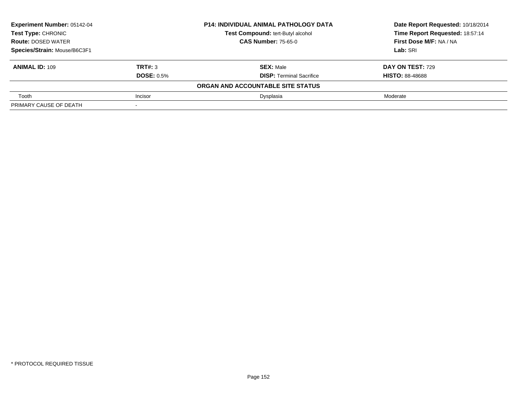| <b>Experiment Number: 05142-04</b> |                   | <b>P14: INDIVIDUAL ANIMAL PATHOLOGY DATA</b> | Date Report Requested: 10/18/2014 |
|------------------------------------|-------------------|----------------------------------------------|-----------------------------------|
| <b>Test Type: CHRONIC</b>          |                   | Test Compound: tert-Butyl alcohol            | Time Report Requested: 18:57:14   |
| <b>Route: DOSED WATER</b>          |                   | <b>CAS Number: 75-65-0</b>                   | First Dose M/F: NA / NA           |
| Species/Strain: Mouse/B6C3F1       |                   |                                              | Lab: SRI                          |
| <b>ANIMAL ID: 109</b>              | TRT#: 3           | <b>SEX: Male</b>                             | DAY ON TEST: 729                  |
|                                    | <b>DOSE: 0.5%</b> | <b>DISP: Terminal Sacrifice</b>              | <b>HISTO: 88-48688</b>            |
|                                    |                   | ORGAN AND ACCOUNTABLE SITE STATUS            |                                   |
| Tooth                              | Incisor           | Dysplasia                                    | Moderate                          |
| PRIMARY CAUSE OF DEATH             |                   |                                              |                                   |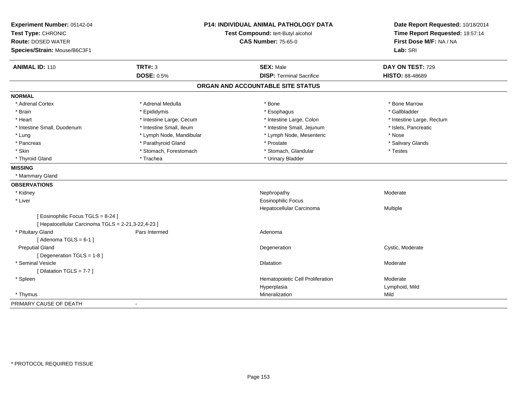| Experiment Number: 05142-04                        |                                   | P14: INDIVIDUAL ANIMAL PATHOLOGY DATA | Date Report Requested: 10/18/2014 |
|----------------------------------------------------|-----------------------------------|---------------------------------------|-----------------------------------|
| Test Type: CHRONIC                                 | Test Compound: tert-Butyl alcohol |                                       | Time Report Requested: 18:57:14   |
| <b>Route: DOSED WATER</b>                          |                                   | <b>CAS Number: 75-65-0</b>            | First Dose M/F: NA / NA           |
| Species/Strain: Mouse/B6C3F1                       |                                   |                                       | Lab: SRI                          |
| <b>ANIMAL ID: 110</b>                              | <b>TRT#: 3</b>                    | <b>SEX: Male</b>                      | DAY ON TEST: 729                  |
|                                                    | <b>DOSE: 0.5%</b>                 | <b>DISP: Terminal Sacrifice</b>       | HISTO: 88-48689                   |
|                                                    |                                   | ORGAN AND ACCOUNTABLE SITE STATUS     |                                   |
| <b>NORMAL</b>                                      |                                   |                                       |                                   |
| * Adrenal Cortex                                   | * Adrenal Medulla                 | * Bone                                | * Bone Marrow                     |
| * Brain                                            | * Epididymis                      | * Esophagus                           | * Gallbladder                     |
| * Heart                                            | * Intestine Large, Cecum          | * Intestine Large, Colon              | * Intestine Large, Rectum         |
| * Intestine Small, Duodenum                        | * Intestine Small, Ileum          | * Intestine Small, Jejunum            | * Islets, Pancreatic              |
| * Lung                                             | * Lymph Node, Mandibular          | * Lymph Node, Mesenteric              | * Nose                            |
| * Pancreas                                         | * Parathyroid Gland               | * Prostate                            | * Salivary Glands                 |
| * Skin                                             | * Stomach, Forestomach            | * Stomach, Glandular                  | * Testes                          |
| * Thyroid Gland                                    | * Trachea                         | * Urinary Bladder                     |                                   |
| <b>MISSING</b>                                     |                                   |                                       |                                   |
| * Mammary Gland                                    |                                   |                                       |                                   |
| <b>OBSERVATIONS</b>                                |                                   |                                       |                                   |
| * Kidney                                           |                                   | Nephropathy                           | Moderate                          |
| * Liver                                            |                                   | <b>Eosinophilic Focus</b>             |                                   |
|                                                    |                                   | Hepatocellular Carcinoma              | Multiple                          |
| [Eosinophilic Focus TGLS = 8-24]                   |                                   |                                       |                                   |
| [ Hepatocellular Carcinoma TGLS = 2-21,3-22,4-23 ] |                                   |                                       |                                   |
| * Pituitary Gland                                  | Pars Intermed                     | Adenoma                               |                                   |
| [Adenoma TGLS = $6-1$ ]                            |                                   |                                       |                                   |
| <b>Preputial Gland</b>                             |                                   | Degeneration                          | Cystic, Moderate                  |
| [ Degeneration TGLS = 1-8 ]                        |                                   |                                       |                                   |
| * Seminal Vesicle                                  |                                   | Dilatation                            | Moderate                          |
| [Dilatation TGLS = 7-7]                            |                                   |                                       |                                   |
| * Spleen                                           |                                   | Hematopoietic Cell Proliferation      | Moderate                          |
|                                                    |                                   | Hyperplasia                           | Lymphoid, Mild                    |
| * Thymus                                           |                                   | Mineralization                        | Mild                              |
| PRIMARY CAUSE OF DEATH                             | $\overline{\phantom{a}}$          |                                       |                                   |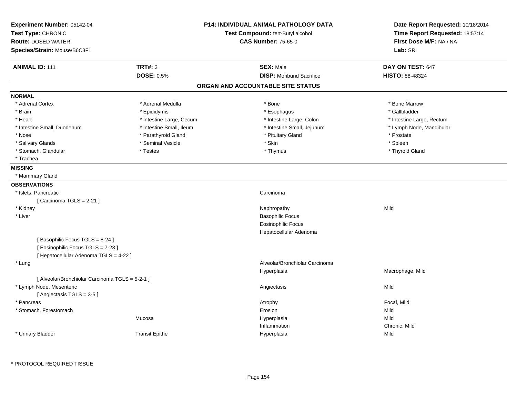| Test Type: CHRONIC<br>Test Compound: tert-Butyl alcohol<br><b>Route: DOSED WATER</b><br><b>CAS Number: 75-65-0</b><br>Species/Strain: Mouse/B6C3F1<br>Lab: SRI<br><b>TRT#: 3</b><br><b>ANIMAL ID: 111</b><br><b>SEX: Male</b><br>DAY ON TEST: 647<br><b>DOSE: 0.5%</b><br><b>DISP:</b> Moribund Sacrifice<br><b>HISTO: 88-48324</b><br>ORGAN AND ACCOUNTABLE SITE STATUS<br><b>NORMAL</b><br>* Adrenal Medulla<br>$*$ Bone<br>* Bone Marrow<br>* Adrenal Cortex<br>* Gallbladder<br>* Brain<br>* Epididymis<br>* Esophagus<br>* Heart<br>* Intestine Large, Cecum<br>* Intestine Large, Colon<br>* Intestine Small, Ileum<br>* Intestine Small, Jejunum<br>* Intestine Small, Duodenum<br>* Nose<br>* Parathyroid Gland<br>* Pituitary Gland<br>* Prostate<br>* Skin<br>* Seminal Vesicle<br>* Spleen<br>* Salivary Glands<br>* Stomach, Glandular<br>* Testes<br>* Thymus<br>* Thyroid Gland<br>* Trachea<br><b>MISSING</b><br>* Mammary Gland<br><b>OBSERVATIONS</b><br>* Islets, Pancreatic<br>Carcinoma | Date Report Requested: 10/18/2014 |
|-------------------------------------------------------------------------------------------------------------------------------------------------------------------------------------------------------------------------------------------------------------------------------------------------------------------------------------------------------------------------------------------------------------------------------------------------------------------------------------------------------------------------------------------------------------------------------------------------------------------------------------------------------------------------------------------------------------------------------------------------------------------------------------------------------------------------------------------------------------------------------------------------------------------------------------------------------------------------------------------------------------|-----------------------------------|
|                                                                                                                                                                                                                                                                                                                                                                                                                                                                                                                                                                                                                                                                                                                                                                                                                                                                                                                                                                                                             | Time Report Requested: 18:57:14   |
|                                                                                                                                                                                                                                                                                                                                                                                                                                                                                                                                                                                                                                                                                                                                                                                                                                                                                                                                                                                                             | First Dose M/F: NA / NA           |
|                                                                                                                                                                                                                                                                                                                                                                                                                                                                                                                                                                                                                                                                                                                                                                                                                                                                                                                                                                                                             |                                   |
|                                                                                                                                                                                                                                                                                                                                                                                                                                                                                                                                                                                                                                                                                                                                                                                                                                                                                                                                                                                                             |                                   |
|                                                                                                                                                                                                                                                                                                                                                                                                                                                                                                                                                                                                                                                                                                                                                                                                                                                                                                                                                                                                             |                                   |
|                                                                                                                                                                                                                                                                                                                                                                                                                                                                                                                                                                                                                                                                                                                                                                                                                                                                                                                                                                                                             |                                   |
|                                                                                                                                                                                                                                                                                                                                                                                                                                                                                                                                                                                                                                                                                                                                                                                                                                                                                                                                                                                                             |                                   |
|                                                                                                                                                                                                                                                                                                                                                                                                                                                                                                                                                                                                                                                                                                                                                                                                                                                                                                                                                                                                             |                                   |
|                                                                                                                                                                                                                                                                                                                                                                                                                                                                                                                                                                                                                                                                                                                                                                                                                                                                                                                                                                                                             |                                   |
|                                                                                                                                                                                                                                                                                                                                                                                                                                                                                                                                                                                                                                                                                                                                                                                                                                                                                                                                                                                                             | * Intestine Large, Rectum         |
|                                                                                                                                                                                                                                                                                                                                                                                                                                                                                                                                                                                                                                                                                                                                                                                                                                                                                                                                                                                                             | * Lymph Node, Mandibular          |
|                                                                                                                                                                                                                                                                                                                                                                                                                                                                                                                                                                                                                                                                                                                                                                                                                                                                                                                                                                                                             |                                   |
|                                                                                                                                                                                                                                                                                                                                                                                                                                                                                                                                                                                                                                                                                                                                                                                                                                                                                                                                                                                                             |                                   |
|                                                                                                                                                                                                                                                                                                                                                                                                                                                                                                                                                                                                                                                                                                                                                                                                                                                                                                                                                                                                             |                                   |
|                                                                                                                                                                                                                                                                                                                                                                                                                                                                                                                                                                                                                                                                                                                                                                                                                                                                                                                                                                                                             |                                   |
|                                                                                                                                                                                                                                                                                                                                                                                                                                                                                                                                                                                                                                                                                                                                                                                                                                                                                                                                                                                                             |                                   |
|                                                                                                                                                                                                                                                                                                                                                                                                                                                                                                                                                                                                                                                                                                                                                                                                                                                                                                                                                                                                             |                                   |
|                                                                                                                                                                                                                                                                                                                                                                                                                                                                                                                                                                                                                                                                                                                                                                                                                                                                                                                                                                                                             |                                   |
|                                                                                                                                                                                                                                                                                                                                                                                                                                                                                                                                                                                                                                                                                                                                                                                                                                                                                                                                                                                                             |                                   |
| [ Carcinoma TGLS = $2-21$ ]                                                                                                                                                                                                                                                                                                                                                                                                                                                                                                                                                                                                                                                                                                                                                                                                                                                                                                                                                                                 |                                   |
| Mild<br>* Kidney<br>Nephropathy                                                                                                                                                                                                                                                                                                                                                                                                                                                                                                                                                                                                                                                                                                                                                                                                                                                                                                                                                                             |                                   |
| <b>Basophilic Focus</b><br>* Liver                                                                                                                                                                                                                                                                                                                                                                                                                                                                                                                                                                                                                                                                                                                                                                                                                                                                                                                                                                          |                                   |
| <b>Eosinophilic Focus</b>                                                                                                                                                                                                                                                                                                                                                                                                                                                                                                                                                                                                                                                                                                                                                                                                                                                                                                                                                                                   |                                   |
| Hepatocellular Adenoma                                                                                                                                                                                                                                                                                                                                                                                                                                                                                                                                                                                                                                                                                                                                                                                                                                                                                                                                                                                      |                                   |
| [Basophilic Focus TGLS = 8-24]                                                                                                                                                                                                                                                                                                                                                                                                                                                                                                                                                                                                                                                                                                                                                                                                                                                                                                                                                                              |                                   |
| [ Eosinophilic Focus TGLS = 7-23 ]                                                                                                                                                                                                                                                                                                                                                                                                                                                                                                                                                                                                                                                                                                                                                                                                                                                                                                                                                                          |                                   |
| [ Hepatocellular Adenoma TGLS = 4-22 ]                                                                                                                                                                                                                                                                                                                                                                                                                                                                                                                                                                                                                                                                                                                                                                                                                                                                                                                                                                      |                                   |
| Alveolar/Bronchiolar Carcinoma<br>* Lung                                                                                                                                                                                                                                                                                                                                                                                                                                                                                                                                                                                                                                                                                                                                                                                                                                                                                                                                                                    |                                   |
| Macrophage, Mild<br>Hyperplasia                                                                                                                                                                                                                                                                                                                                                                                                                                                                                                                                                                                                                                                                                                                                                                                                                                                                                                                                                                             |                                   |
| [ Alveolar/Bronchiolar Carcinoma TGLS = 5-2-1 ]                                                                                                                                                                                                                                                                                                                                                                                                                                                                                                                                                                                                                                                                                                                                                                                                                                                                                                                                                             |                                   |
| * Lymph Node, Mesenteric<br>Mild<br>Angiectasis                                                                                                                                                                                                                                                                                                                                                                                                                                                                                                                                                                                                                                                                                                                                                                                                                                                                                                                                                             |                                   |
| [Angiectasis TGLS = 3-5]                                                                                                                                                                                                                                                                                                                                                                                                                                                                                                                                                                                                                                                                                                                                                                                                                                                                                                                                                                                    |                                   |
| Focal, Mild<br>* Pancreas<br>Atrophy                                                                                                                                                                                                                                                                                                                                                                                                                                                                                                                                                                                                                                                                                                                                                                                                                                                                                                                                                                        |                                   |
| * Stomach, Forestomach<br>Mild<br>Erosion                                                                                                                                                                                                                                                                                                                                                                                                                                                                                                                                                                                                                                                                                                                                                                                                                                                                                                                                                                   |                                   |
| Mild<br>Mucosa<br>Hyperplasia                                                                                                                                                                                                                                                                                                                                                                                                                                                                                                                                                                                                                                                                                                                                                                                                                                                                                                                                                                               |                                   |
| Inflammation<br>Chronic, Mild                                                                                                                                                                                                                                                                                                                                                                                                                                                                                                                                                                                                                                                                                                                                                                                                                                                                                                                                                                               |                                   |
| * Urinary Bladder<br><b>Transit Epithe</b><br>Mild<br>Hyperplasia                                                                                                                                                                                                                                                                                                                                                                                                                                                                                                                                                                                                                                                                                                                                                                                                                                                                                                                                           |                                   |
|                                                                                                                                                                                                                                                                                                                                                                                                                                                                                                                                                                                                                                                                                                                                                                                                                                                                                                                                                                                                             |                                   |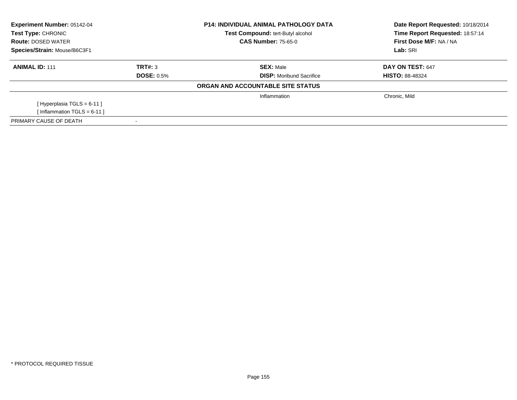| <b>Experiment Number: 05142-04</b><br>Test Type: CHRONIC<br><b>Route: DOSED WATER</b> |                   | <b>P14: INDIVIDUAL ANIMAL PATHOLOGY DATA</b><br>Test Compound: tert-Butyl alcohol<br><b>CAS Number: 75-65-0</b> | Date Report Requested: 10/18/2014<br>Time Report Requested: 18:57:14<br>First Dose M/F: NA / NA |
|---------------------------------------------------------------------------------------|-------------------|-----------------------------------------------------------------------------------------------------------------|-------------------------------------------------------------------------------------------------|
| Species/Strain: Mouse/B6C3F1                                                          |                   |                                                                                                                 | Lab: SRI                                                                                        |
| <b>ANIMAL ID: 111</b>                                                                 | TRT#: 3           | <b>SEX:</b> Male                                                                                                | DAY ON TEST: 647                                                                                |
|                                                                                       | <b>DOSE: 0.5%</b> | <b>DISP:</b> Moribund Sacrifice                                                                                 | <b>HISTO: 88-48324</b>                                                                          |
|                                                                                       |                   | ORGAN AND ACCOUNTABLE SITE STATUS                                                                               |                                                                                                 |
|                                                                                       |                   | Inflammation                                                                                                    | Chronic, Mild                                                                                   |
| [Hyperplasia TGLS = $6-11$ ]                                                          |                   |                                                                                                                 |                                                                                                 |
| [Inflammation TGLS = $6-11$ ]                                                         |                   |                                                                                                                 |                                                                                                 |
| PRIMARY CAUSE OF DEATH                                                                |                   |                                                                                                                 |                                                                                                 |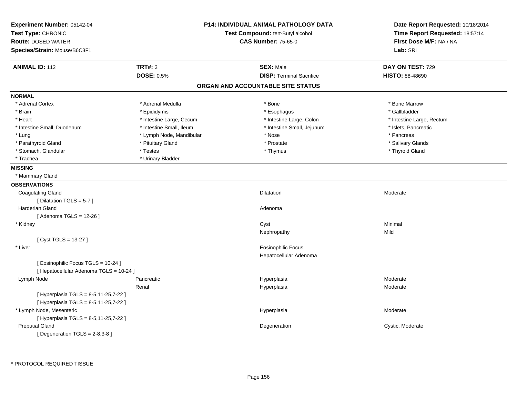| <b>ANIMAL ID: 112</b><br><b>TRT#: 3</b><br><b>SEX: Male</b><br>DAY ON TEST: 729<br><b>DOSE: 0.5%</b><br><b>DISP: Terminal Sacrifice</b><br><b>HISTO: 88-48690</b><br>ORGAN AND ACCOUNTABLE SITE STATUS<br><b>NORMAL</b><br>* Adrenal Cortex<br>* Adrenal Medulla<br>* Bone Marrow<br>* Bone<br>* Gallbladder<br>* Brain<br>* Epididymis<br>* Esophagus<br>* Heart<br>* Intestine Large, Colon<br>* Intestine Large, Cecum<br>* Intestine Large, Rectum<br>* Intestine Small, Ileum<br>* Intestine Small, Jejunum<br>* Intestine Small, Duodenum<br>* Islets, Pancreatic<br>* Lymph Node, Mandibular<br>* Nose<br>* Pancreas<br>* Lung<br>* Parathyroid Gland<br>* Pituitary Gland<br>* Prostate<br>* Salivary Glands<br>* Stomach, Glandular<br>* Testes<br>* Thyroid Gland<br>* Thymus<br>* Urinary Bladder<br>* Trachea<br><b>MISSING</b><br>* Mammary Gland<br><b>OBSERVATIONS</b><br><b>Coagulating Gland</b><br>Dilatation<br>Moderate<br>[Dilatation TGLS = 5-7]<br>Harderian Gland<br>Adenoma<br>[ Adenoma TGLS = 12-26 ]<br>Minimal<br>* Kidney<br>Cyst<br>Mild<br>Nephropathy<br>[ $Cyst TGLS = 13-27$ ]<br><b>Eosinophilic Focus</b><br>* Liver<br>Hepatocellular Adenoma<br>[ Eosinophilic Focus TGLS = 10-24 ]<br>[ Hepatocellular Adenoma TGLS = 10-24 ]<br>Moderate<br>Lymph Node<br>Pancreatic<br>Hyperplasia<br>Renal<br>Moderate<br>Hyperplasia<br>[ Hyperplasia TGLS = 8-5,11-25,7-22 ]<br>[ Hyperplasia TGLS = 8-5,11-25,7-22 ]<br>* Lymph Node, Mesenteric<br>Hyperplasia<br>Moderate<br>[ Hyperplasia TGLS = 8-5,11-25,7-22 ]<br><b>Preputial Gland</b><br>Cystic, Moderate<br>Degeneration | Experiment Number: 05142-04<br>Test Type: CHRONIC<br><b>Route: DOSED WATER</b><br>Species/Strain: Mouse/B6C3F1 | <b>P14: INDIVIDUAL ANIMAL PATHOLOGY DATA</b><br>Test Compound: tert-Butyl alcohol<br><b>CAS Number: 75-65-0</b> | Date Report Requested: 10/18/2014<br>Time Report Requested: 18:57:14<br>First Dose M/F: NA / NA<br>Lab: SRI |
|------------------------------------------------------------------------------------------------------------------------------------------------------------------------------------------------------------------------------------------------------------------------------------------------------------------------------------------------------------------------------------------------------------------------------------------------------------------------------------------------------------------------------------------------------------------------------------------------------------------------------------------------------------------------------------------------------------------------------------------------------------------------------------------------------------------------------------------------------------------------------------------------------------------------------------------------------------------------------------------------------------------------------------------------------------------------------------------------------------------------------------------------------------------------------------------------------------------------------------------------------------------------------------------------------------------------------------------------------------------------------------------------------------------------------------------------------------------------------------------------------------------------------------------------------------------------------------------------------------------|----------------------------------------------------------------------------------------------------------------|-----------------------------------------------------------------------------------------------------------------|-------------------------------------------------------------------------------------------------------------|
|                                                                                                                                                                                                                                                                                                                                                                                                                                                                                                                                                                                                                                                                                                                                                                                                                                                                                                                                                                                                                                                                                                                                                                                                                                                                                                                                                                                                                                                                                                                                                                                                                  |                                                                                                                |                                                                                                                 |                                                                                                             |
|                                                                                                                                                                                                                                                                                                                                                                                                                                                                                                                                                                                                                                                                                                                                                                                                                                                                                                                                                                                                                                                                                                                                                                                                                                                                                                                                                                                                                                                                                                                                                                                                                  |                                                                                                                |                                                                                                                 |                                                                                                             |
|                                                                                                                                                                                                                                                                                                                                                                                                                                                                                                                                                                                                                                                                                                                                                                                                                                                                                                                                                                                                                                                                                                                                                                                                                                                                                                                                                                                                                                                                                                                                                                                                                  |                                                                                                                |                                                                                                                 |                                                                                                             |
|                                                                                                                                                                                                                                                                                                                                                                                                                                                                                                                                                                                                                                                                                                                                                                                                                                                                                                                                                                                                                                                                                                                                                                                                                                                                                                                                                                                                                                                                                                                                                                                                                  |                                                                                                                |                                                                                                                 |                                                                                                             |
|                                                                                                                                                                                                                                                                                                                                                                                                                                                                                                                                                                                                                                                                                                                                                                                                                                                                                                                                                                                                                                                                                                                                                                                                                                                                                                                                                                                                                                                                                                                                                                                                                  |                                                                                                                |                                                                                                                 |                                                                                                             |
|                                                                                                                                                                                                                                                                                                                                                                                                                                                                                                                                                                                                                                                                                                                                                                                                                                                                                                                                                                                                                                                                                                                                                                                                                                                                                                                                                                                                                                                                                                                                                                                                                  |                                                                                                                |                                                                                                                 |                                                                                                             |
|                                                                                                                                                                                                                                                                                                                                                                                                                                                                                                                                                                                                                                                                                                                                                                                                                                                                                                                                                                                                                                                                                                                                                                                                                                                                                                                                                                                                                                                                                                                                                                                                                  |                                                                                                                |                                                                                                                 |                                                                                                             |
|                                                                                                                                                                                                                                                                                                                                                                                                                                                                                                                                                                                                                                                                                                                                                                                                                                                                                                                                                                                                                                                                                                                                                                                                                                                                                                                                                                                                                                                                                                                                                                                                                  |                                                                                                                |                                                                                                                 |                                                                                                             |
|                                                                                                                                                                                                                                                                                                                                                                                                                                                                                                                                                                                                                                                                                                                                                                                                                                                                                                                                                                                                                                                                                                                                                                                                                                                                                                                                                                                                                                                                                                                                                                                                                  |                                                                                                                |                                                                                                                 |                                                                                                             |
|                                                                                                                                                                                                                                                                                                                                                                                                                                                                                                                                                                                                                                                                                                                                                                                                                                                                                                                                                                                                                                                                                                                                                                                                                                                                                                                                                                                                                                                                                                                                                                                                                  |                                                                                                                |                                                                                                                 |                                                                                                             |
|                                                                                                                                                                                                                                                                                                                                                                                                                                                                                                                                                                                                                                                                                                                                                                                                                                                                                                                                                                                                                                                                                                                                                                                                                                                                                                                                                                                                                                                                                                                                                                                                                  |                                                                                                                |                                                                                                                 |                                                                                                             |
|                                                                                                                                                                                                                                                                                                                                                                                                                                                                                                                                                                                                                                                                                                                                                                                                                                                                                                                                                                                                                                                                                                                                                                                                                                                                                                                                                                                                                                                                                                                                                                                                                  |                                                                                                                |                                                                                                                 |                                                                                                             |
|                                                                                                                                                                                                                                                                                                                                                                                                                                                                                                                                                                                                                                                                                                                                                                                                                                                                                                                                                                                                                                                                                                                                                                                                                                                                                                                                                                                                                                                                                                                                                                                                                  |                                                                                                                |                                                                                                                 |                                                                                                             |
|                                                                                                                                                                                                                                                                                                                                                                                                                                                                                                                                                                                                                                                                                                                                                                                                                                                                                                                                                                                                                                                                                                                                                                                                                                                                                                                                                                                                                                                                                                                                                                                                                  |                                                                                                                |                                                                                                                 |                                                                                                             |
|                                                                                                                                                                                                                                                                                                                                                                                                                                                                                                                                                                                                                                                                                                                                                                                                                                                                                                                                                                                                                                                                                                                                                                                                                                                                                                                                                                                                                                                                                                                                                                                                                  |                                                                                                                |                                                                                                                 |                                                                                                             |
|                                                                                                                                                                                                                                                                                                                                                                                                                                                                                                                                                                                                                                                                                                                                                                                                                                                                                                                                                                                                                                                                                                                                                                                                                                                                                                                                                                                                                                                                                                                                                                                                                  |                                                                                                                |                                                                                                                 |                                                                                                             |
|                                                                                                                                                                                                                                                                                                                                                                                                                                                                                                                                                                                                                                                                                                                                                                                                                                                                                                                                                                                                                                                                                                                                                                                                                                                                                                                                                                                                                                                                                                                                                                                                                  |                                                                                                                |                                                                                                                 |                                                                                                             |
|                                                                                                                                                                                                                                                                                                                                                                                                                                                                                                                                                                                                                                                                                                                                                                                                                                                                                                                                                                                                                                                                                                                                                                                                                                                                                                                                                                                                                                                                                                                                                                                                                  |                                                                                                                |                                                                                                                 |                                                                                                             |
|                                                                                                                                                                                                                                                                                                                                                                                                                                                                                                                                                                                                                                                                                                                                                                                                                                                                                                                                                                                                                                                                                                                                                                                                                                                                                                                                                                                                                                                                                                                                                                                                                  |                                                                                                                |                                                                                                                 |                                                                                                             |
|                                                                                                                                                                                                                                                                                                                                                                                                                                                                                                                                                                                                                                                                                                                                                                                                                                                                                                                                                                                                                                                                                                                                                                                                                                                                                                                                                                                                                                                                                                                                                                                                                  |                                                                                                                |                                                                                                                 |                                                                                                             |
|                                                                                                                                                                                                                                                                                                                                                                                                                                                                                                                                                                                                                                                                                                                                                                                                                                                                                                                                                                                                                                                                                                                                                                                                                                                                                                                                                                                                                                                                                                                                                                                                                  |                                                                                                                |                                                                                                                 |                                                                                                             |
|                                                                                                                                                                                                                                                                                                                                                                                                                                                                                                                                                                                                                                                                                                                                                                                                                                                                                                                                                                                                                                                                                                                                                                                                                                                                                                                                                                                                                                                                                                                                                                                                                  |                                                                                                                |                                                                                                                 |                                                                                                             |
|                                                                                                                                                                                                                                                                                                                                                                                                                                                                                                                                                                                                                                                                                                                                                                                                                                                                                                                                                                                                                                                                                                                                                                                                                                                                                                                                                                                                                                                                                                                                                                                                                  |                                                                                                                |                                                                                                                 |                                                                                                             |
|                                                                                                                                                                                                                                                                                                                                                                                                                                                                                                                                                                                                                                                                                                                                                                                                                                                                                                                                                                                                                                                                                                                                                                                                                                                                                                                                                                                                                                                                                                                                                                                                                  |                                                                                                                |                                                                                                                 |                                                                                                             |
|                                                                                                                                                                                                                                                                                                                                                                                                                                                                                                                                                                                                                                                                                                                                                                                                                                                                                                                                                                                                                                                                                                                                                                                                                                                                                                                                                                                                                                                                                                                                                                                                                  |                                                                                                                |                                                                                                                 |                                                                                                             |
|                                                                                                                                                                                                                                                                                                                                                                                                                                                                                                                                                                                                                                                                                                                                                                                                                                                                                                                                                                                                                                                                                                                                                                                                                                                                                                                                                                                                                                                                                                                                                                                                                  |                                                                                                                |                                                                                                                 |                                                                                                             |
|                                                                                                                                                                                                                                                                                                                                                                                                                                                                                                                                                                                                                                                                                                                                                                                                                                                                                                                                                                                                                                                                                                                                                                                                                                                                                                                                                                                                                                                                                                                                                                                                                  |                                                                                                                |                                                                                                                 |                                                                                                             |
|                                                                                                                                                                                                                                                                                                                                                                                                                                                                                                                                                                                                                                                                                                                                                                                                                                                                                                                                                                                                                                                                                                                                                                                                                                                                                                                                                                                                                                                                                                                                                                                                                  |                                                                                                                |                                                                                                                 |                                                                                                             |
|                                                                                                                                                                                                                                                                                                                                                                                                                                                                                                                                                                                                                                                                                                                                                                                                                                                                                                                                                                                                                                                                                                                                                                                                                                                                                                                                                                                                                                                                                                                                                                                                                  |                                                                                                                |                                                                                                                 |                                                                                                             |
|                                                                                                                                                                                                                                                                                                                                                                                                                                                                                                                                                                                                                                                                                                                                                                                                                                                                                                                                                                                                                                                                                                                                                                                                                                                                                                                                                                                                                                                                                                                                                                                                                  |                                                                                                                |                                                                                                                 |                                                                                                             |
|                                                                                                                                                                                                                                                                                                                                                                                                                                                                                                                                                                                                                                                                                                                                                                                                                                                                                                                                                                                                                                                                                                                                                                                                                                                                                                                                                                                                                                                                                                                                                                                                                  |                                                                                                                |                                                                                                                 |                                                                                                             |
|                                                                                                                                                                                                                                                                                                                                                                                                                                                                                                                                                                                                                                                                                                                                                                                                                                                                                                                                                                                                                                                                                                                                                                                                                                                                                                                                                                                                                                                                                                                                                                                                                  |                                                                                                                |                                                                                                                 |                                                                                                             |
|                                                                                                                                                                                                                                                                                                                                                                                                                                                                                                                                                                                                                                                                                                                                                                                                                                                                                                                                                                                                                                                                                                                                                                                                                                                                                                                                                                                                                                                                                                                                                                                                                  |                                                                                                                |                                                                                                                 |                                                                                                             |
|                                                                                                                                                                                                                                                                                                                                                                                                                                                                                                                                                                                                                                                                                                                                                                                                                                                                                                                                                                                                                                                                                                                                                                                                                                                                                                                                                                                                                                                                                                                                                                                                                  | [ Degeneration $TGLS = 2-8,3-8$ ]                                                                              |                                                                                                                 |                                                                                                             |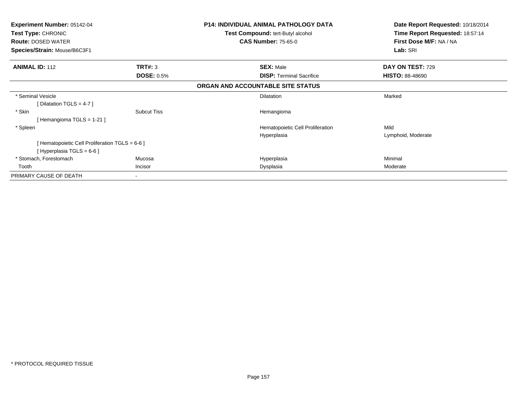| <b>Experiment Number: 05142-04</b><br>Test Type: CHRONIC |                          | <b>P14: INDIVIDUAL ANIMAL PATHOLOGY DATA</b><br>Test Compound: tert-Butyl alcohol | Date Report Requested: 10/18/2014<br>Time Report Requested: 18:57:14 |
|----------------------------------------------------------|--------------------------|-----------------------------------------------------------------------------------|----------------------------------------------------------------------|
| <b>Route: DOSED WATER</b>                                |                          | <b>CAS Number: 75-65-0</b>                                                        | First Dose M/F: NA / NA                                              |
| Species/Strain: Mouse/B6C3F1                             |                          |                                                                                   | Lab: SRI                                                             |
| <b>ANIMAL ID: 112</b>                                    | TRT#: 3                  | <b>SEX: Male</b>                                                                  | DAY ON TEST: 729                                                     |
|                                                          | <b>DOSE: 0.5%</b>        | <b>DISP: Terminal Sacrifice</b>                                                   | <b>HISTO: 88-48690</b>                                               |
|                                                          |                          | ORGAN AND ACCOUNTABLE SITE STATUS                                                 |                                                                      |
| * Seminal Vesicle                                        |                          | <b>Dilatation</b>                                                                 | Marked                                                               |
| [Dilatation TGLS = 4-7 ]                                 |                          |                                                                                   |                                                                      |
| * Skin                                                   | <b>Subcut Tiss</b>       | Hemangioma                                                                        |                                                                      |
| [Hemangioma TGLS = 1-21]                                 |                          |                                                                                   |                                                                      |
| * Spleen                                                 |                          | Hematopoietic Cell Proliferation                                                  | Mild                                                                 |
|                                                          |                          | Hyperplasia                                                                       | Lymphoid, Moderate                                                   |
| [ Hematopoietic Cell Proliferation TGLS = 6-6 ]          |                          |                                                                                   |                                                                      |
| [Hyperplasia TGLS = $6-6$ ]                              |                          |                                                                                   |                                                                      |
| * Stomach, Forestomach                                   | Mucosa                   | Hyperplasia                                                                       | Minimal                                                              |
| Tooth                                                    | <b>Incisor</b>           | Dysplasia                                                                         | Moderate                                                             |
| PRIMARY CAUSE OF DEATH                                   | $\overline{\phantom{a}}$ |                                                                                   |                                                                      |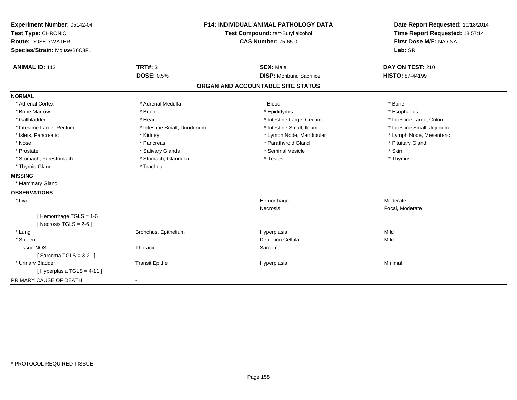| Experiment Number: 05142-04  | <b>P14: INDIVIDUAL ANIMAL PATHOLOGY DATA</b><br>Test Compound: tert-Butyl alcohol |                                   | Date Report Requested: 10/18/2014 |
|------------------------------|-----------------------------------------------------------------------------------|-----------------------------------|-----------------------------------|
| Test Type: CHRONIC           |                                                                                   |                                   | Time Report Requested: 18:57:14   |
| <b>Route: DOSED WATER</b>    |                                                                                   | <b>CAS Number: 75-65-0</b>        | First Dose M/F: NA / NA           |
| Species/Strain: Mouse/B6C3F1 |                                                                                   |                                   | Lab: SRI                          |
| <b>ANIMAL ID: 113</b>        | <b>TRT#: 3</b>                                                                    | <b>SEX: Male</b>                  | DAY ON TEST: 210                  |
|                              | <b>DOSE: 0.5%</b>                                                                 | <b>DISP:</b> Moribund Sacrifice   | <b>HISTO: 87-44199</b>            |
|                              |                                                                                   | ORGAN AND ACCOUNTABLE SITE STATUS |                                   |
| <b>NORMAL</b>                |                                                                                   |                                   |                                   |
| * Adrenal Cortex             | * Adrenal Medulla                                                                 | <b>Blood</b>                      | * Bone                            |
| * Bone Marrow                | * Brain                                                                           | * Epididymis                      | * Esophagus                       |
| * Gallbladder                | * Heart                                                                           | * Intestine Large, Cecum          | * Intestine Large, Colon          |
| * Intestine Large, Rectum    | * Intestine Small, Duodenum                                                       | * Intestine Small, Ileum          | * Intestine Small, Jejunum        |
| * Islets, Pancreatic         | * Kidney                                                                          | * Lymph Node, Mandibular          | * Lymph Node, Mesenteric          |
| * Nose                       | * Pancreas                                                                        | * Parathyroid Gland               | * Pituitary Gland                 |
| * Prostate                   | * Salivary Glands                                                                 | * Seminal Vesicle                 | * Skin                            |
| * Stomach, Forestomach       | * Stomach, Glandular                                                              | * Testes                          | * Thymus                          |
| * Thyroid Gland              | * Trachea                                                                         |                                   |                                   |
| <b>MISSING</b>               |                                                                                   |                                   |                                   |
| * Mammary Gland              |                                                                                   |                                   |                                   |
| <b>OBSERVATIONS</b>          |                                                                                   |                                   |                                   |
| * Liver                      |                                                                                   | Hemorrhage                        | Moderate                          |
|                              |                                                                                   | Necrosis                          | Focal, Moderate                   |
| [Hemorrhage TGLS = 1-6]      |                                                                                   |                                   |                                   |
| [ Necrosis TGLS = $2-6$ ]    |                                                                                   |                                   |                                   |
| * Lung                       | Bronchus, Epithelium                                                              | Hyperplasia                       | Mild                              |
| * Spleen                     |                                                                                   | <b>Depletion Cellular</b>         | Mild                              |
| <b>Tissue NOS</b>            | Thoracic                                                                          | Sarcoma                           |                                   |
| [Sarcoma TGLS = $3-21$ ]     |                                                                                   |                                   |                                   |
| * Urinary Bladder            | <b>Transit Epithe</b>                                                             | Hyperplasia                       | Minimal                           |
| [Hyperplasia TGLS = 4-11]    |                                                                                   |                                   |                                   |
| PRIMARY CAUSE OF DEATH       | $\sim$                                                                            |                                   |                                   |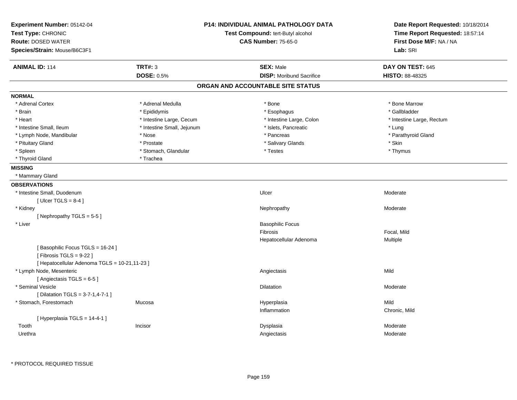| Experiment Number: 05142-04<br>Test Type: CHRONIC<br><b>Route: DOSED WATER</b><br>Species/Strain: Mouse/B6C3F1 | <b>P14: INDIVIDUAL ANIMAL PATHOLOGY DATA</b><br>Test Compound: tert-Butyl alcohol<br><b>CAS Number: 75-65-0</b> |                                   | Date Report Requested: 10/18/2014<br>Time Report Requested: 18:57:14<br>First Dose M/F: NA / NA<br>Lab: SRI |
|----------------------------------------------------------------------------------------------------------------|-----------------------------------------------------------------------------------------------------------------|-----------------------------------|-------------------------------------------------------------------------------------------------------------|
| <b>ANIMAL ID: 114</b>                                                                                          | <b>TRT#: 3</b>                                                                                                  | <b>SEX: Male</b>                  | DAY ON TEST: 645                                                                                            |
|                                                                                                                | <b>DOSE: 0.5%</b>                                                                                               | <b>DISP:</b> Moribund Sacrifice   | HISTO: 88-48325                                                                                             |
|                                                                                                                |                                                                                                                 | ORGAN AND ACCOUNTABLE SITE STATUS |                                                                                                             |
| <b>NORMAL</b>                                                                                                  |                                                                                                                 |                                   |                                                                                                             |
| * Adrenal Cortex                                                                                               | * Adrenal Medulla                                                                                               | * Bone                            | * Bone Marrow                                                                                               |
| * Brain                                                                                                        | * Epididymis                                                                                                    | * Esophagus                       | * Gallbladder                                                                                               |
| * Heart                                                                                                        | * Intestine Large, Cecum                                                                                        | * Intestine Large, Colon          | * Intestine Large, Rectum                                                                                   |
| * Intestine Small, Ileum                                                                                       | * Intestine Small, Jejunum                                                                                      | * Islets, Pancreatic              | * Lung                                                                                                      |
| * Lymph Node, Mandibular                                                                                       | * Nose                                                                                                          | * Pancreas                        | * Parathyroid Gland                                                                                         |
| * Pituitary Gland                                                                                              | * Prostate                                                                                                      | * Salivary Glands                 | * Skin                                                                                                      |
| * Spleen                                                                                                       | * Stomach, Glandular                                                                                            | * Testes                          | * Thymus                                                                                                    |
| * Thyroid Gland                                                                                                | * Trachea                                                                                                       |                                   |                                                                                                             |
| <b>MISSING</b>                                                                                                 |                                                                                                                 |                                   |                                                                                                             |
| * Mammary Gland                                                                                                |                                                                                                                 |                                   |                                                                                                             |
| <b>OBSERVATIONS</b>                                                                                            |                                                                                                                 |                                   |                                                                                                             |
| * Intestine Small, Duodenum                                                                                    |                                                                                                                 | Ulcer                             | Moderate                                                                                                    |
| [ Ulcer TGLS = $8-4$ ]                                                                                         |                                                                                                                 |                                   |                                                                                                             |
| * Kidney                                                                                                       |                                                                                                                 | Nephropathy                       | Moderate                                                                                                    |
| [Nephropathy TGLS = $5-5$ ]                                                                                    |                                                                                                                 |                                   |                                                                                                             |
| * Liver                                                                                                        |                                                                                                                 | <b>Basophilic Focus</b>           |                                                                                                             |
|                                                                                                                |                                                                                                                 | <b>Fibrosis</b>                   | Focal, Mild                                                                                                 |
|                                                                                                                |                                                                                                                 | Hepatocellular Adenoma            | Multiple                                                                                                    |
| [Basophilic Focus TGLS = 16-24]<br>[Fibrosis TGLS = $9-22$ ]                                                   |                                                                                                                 |                                   |                                                                                                             |
| [ Hepatocellular Adenoma TGLS = 10-21,11-23 ]                                                                  |                                                                                                                 |                                   |                                                                                                             |
| * Lymph Node, Mesenteric                                                                                       |                                                                                                                 | Angiectasis                       | Mild                                                                                                        |
| [Angiectasis TGLS = 6-5]                                                                                       |                                                                                                                 |                                   |                                                                                                             |
| * Seminal Vesicle                                                                                              |                                                                                                                 | Dilatation                        | Moderate                                                                                                    |
| [ Dilatation TGLS = 3-7-1,4-7-1 ]                                                                              |                                                                                                                 |                                   |                                                                                                             |
| * Stomach, Forestomach                                                                                         | Mucosa                                                                                                          | Hyperplasia                       | Mild                                                                                                        |
|                                                                                                                |                                                                                                                 | Inflammation                      | Chronic, Mild                                                                                               |
| [Hyperplasia TGLS = 14-4-1]                                                                                    |                                                                                                                 |                                   |                                                                                                             |
| Tooth                                                                                                          | Incisor                                                                                                         | Dysplasia                         | Moderate                                                                                                    |
| Urethra                                                                                                        |                                                                                                                 | Angiectasis                       | Moderate                                                                                                    |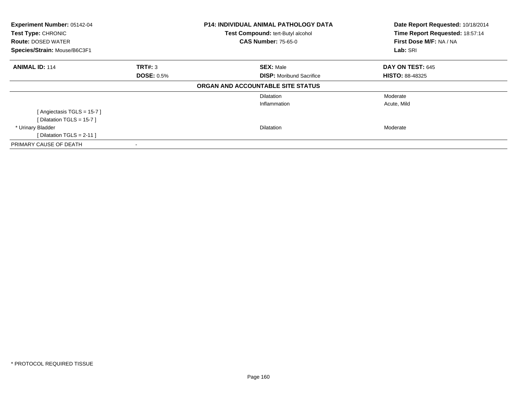| Experiment Number: 05142-04<br>Test Type: CHRONIC<br><b>Route: DOSED WATER</b><br>Species/Strain: Mouse/B6C3F1 |                   | <b>P14: INDIVIDUAL ANIMAL PATHOLOGY DATA</b><br>Test Compound: tert-Butyl alcohol<br><b>CAS Number: 75-65-0</b> | Date Report Requested: 10/18/2014<br>Time Report Requested: 18:57:14<br>First Dose M/F: NA / NA<br>Lab: SRI |  |
|----------------------------------------------------------------------------------------------------------------|-------------------|-----------------------------------------------------------------------------------------------------------------|-------------------------------------------------------------------------------------------------------------|--|
| <b>ANIMAL ID: 114</b>                                                                                          | <b>TRT#: 3</b>    | <b>SEX: Male</b>                                                                                                | DAY ON TEST: 645                                                                                            |  |
|                                                                                                                | <b>DOSE: 0.5%</b> | <b>DISP:</b> Moribund Sacrifice                                                                                 | <b>HISTO: 88-48325</b>                                                                                      |  |
|                                                                                                                |                   | ORGAN AND ACCOUNTABLE SITE STATUS                                                                               |                                                                                                             |  |
|                                                                                                                |                   | <b>Dilatation</b>                                                                                               | Moderate                                                                                                    |  |
|                                                                                                                |                   | Inflammation                                                                                                    | Acute, Mild                                                                                                 |  |
| [Angiectasis TGLS = 15-7]                                                                                      |                   |                                                                                                                 |                                                                                                             |  |
| [Dilatation TGLS = 15-7]                                                                                       |                   |                                                                                                                 |                                                                                                             |  |
| * Urinary Bladder                                                                                              |                   | <b>Dilatation</b>                                                                                               | Moderate                                                                                                    |  |
| [ Dilatation TGLS = $2-11$ ]                                                                                   |                   |                                                                                                                 |                                                                                                             |  |
| PRIMARY CAUSE OF DEATH                                                                                         | ۰                 |                                                                                                                 |                                                                                                             |  |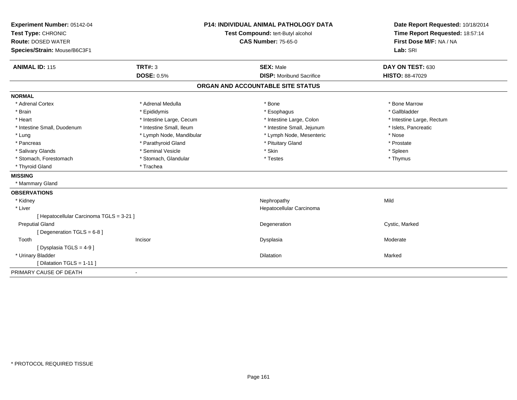| Experiment Number: 05142-04              |                                   | <b>P14: INDIVIDUAL ANIMAL PATHOLOGY DATA</b> | Date Report Requested: 10/18/2014 |
|------------------------------------------|-----------------------------------|----------------------------------------------|-----------------------------------|
| Test Type: CHRONIC                       | Test Compound: tert-Butyl alcohol |                                              | Time Report Requested: 18:57:14   |
| <b>Route: DOSED WATER</b>                |                                   | <b>CAS Number: 75-65-0</b>                   | First Dose M/F: NA / NA           |
| Species/Strain: Mouse/B6C3F1             |                                   |                                              | Lab: SRI                          |
| <b>ANIMAL ID: 115</b>                    | <b>TRT#: 3</b>                    | <b>SEX: Male</b>                             | DAY ON TEST: 630                  |
|                                          | <b>DOSE: 0.5%</b>                 | <b>DISP:</b> Moribund Sacrifice              | <b>HISTO: 88-47029</b>            |
|                                          |                                   | ORGAN AND ACCOUNTABLE SITE STATUS            |                                   |
| <b>NORMAL</b>                            |                                   |                                              |                                   |
| * Adrenal Cortex                         | * Adrenal Medulla                 | * Bone                                       | * Bone Marrow                     |
| * Brain                                  | * Epididymis                      | * Esophagus                                  | * Gallbladder                     |
| * Heart                                  | * Intestine Large, Cecum          | * Intestine Large, Colon                     | * Intestine Large, Rectum         |
| * Intestine Small, Duodenum              | * Intestine Small, Ileum          | * Intestine Small, Jejunum                   | * Islets, Pancreatic              |
| * Lung                                   | * Lymph Node, Mandibular          | * Lymph Node, Mesenteric                     | * Nose                            |
| * Pancreas                               | * Parathyroid Gland               | * Pituitary Gland                            | * Prostate                        |
| * Salivary Glands                        | * Seminal Vesicle                 | * Skin                                       | * Spleen                          |
| * Stomach, Forestomach                   | * Stomach, Glandular              | * Testes                                     | * Thymus                          |
| * Thyroid Gland                          | * Trachea                         |                                              |                                   |
| <b>MISSING</b>                           |                                   |                                              |                                   |
| * Mammary Gland                          |                                   |                                              |                                   |
| <b>OBSERVATIONS</b>                      |                                   |                                              |                                   |
| * Kidney                                 |                                   | Nephropathy                                  | Mild                              |
| * Liver                                  |                                   | Hepatocellular Carcinoma                     |                                   |
| [ Hepatocellular Carcinoma TGLS = 3-21 ] |                                   |                                              |                                   |
| <b>Preputial Gland</b>                   |                                   | Degeneration                                 | Cystic, Marked                    |
| [Degeneration TGLS = 6-8]                |                                   |                                              |                                   |
| Tooth                                    | Incisor                           | Dysplasia                                    | Moderate                          |
| [ Dysplasia TGLS = 4-9 ]                 |                                   |                                              |                                   |
| * Urinary Bladder                        |                                   | Dilatation                                   | Marked                            |
| [ Dilatation TGLS = 1-11 ]               |                                   |                                              |                                   |
| PRIMARY CAUSE OF DEATH                   |                                   |                                              |                                   |
|                                          |                                   |                                              |                                   |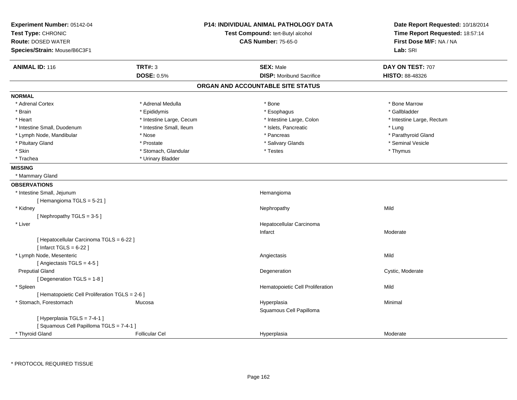| Experiment Number: 05142-04                             | <b>P14: INDIVIDUAL ANIMAL PATHOLOGY DATA</b> | Date Report Requested: 10/18/2014 |
|---------------------------------------------------------|----------------------------------------------|-----------------------------------|
| Test Type: CHRONIC                                      | Test Compound: tert-Butyl alcohol            | Time Report Requested: 18:57:14   |
| <b>Route: DOSED WATER</b>                               | <b>CAS Number: 75-65-0</b>                   | First Dose M/F: NA / NA           |
| Species/Strain: Mouse/B6C3F1                            |                                              | Lab: SRI                          |
| <b>ANIMAL ID: 116</b><br><b>TRT#: 3</b>                 | <b>SEX: Male</b>                             | DAY ON TEST: 707                  |
| <b>DOSE: 0.5%</b>                                       | <b>DISP:</b> Moribund Sacrifice              | <b>HISTO: 88-48326</b>            |
|                                                         | ORGAN AND ACCOUNTABLE SITE STATUS            |                                   |
| <b>NORMAL</b>                                           |                                              |                                   |
| * Adrenal Cortex<br>* Adrenal Medulla                   | * Bone                                       | * Bone Marrow                     |
| * Brain<br>* Epididymis                                 | * Esophagus                                  | * Gallbladder                     |
| * Intestine Large, Cecum<br>* Heart                     | * Intestine Large, Colon                     | * Intestine Large, Rectum         |
| * Intestine Small, Duodenum<br>* Intestine Small, Ileum | * Islets, Pancreatic                         | * Lung                            |
| * Lymph Node, Mandibular<br>* Nose                      | * Pancreas                                   | * Parathyroid Gland               |
| * Pituitary Gland<br>* Prostate                         | * Salivary Glands                            | * Seminal Vesicle                 |
| * Skin<br>* Stomach, Glandular                          | * Testes                                     | * Thymus                          |
| * Trachea<br>* Urinary Bladder                          |                                              |                                   |
| <b>MISSING</b>                                          |                                              |                                   |
| * Mammary Gland                                         |                                              |                                   |
| <b>OBSERVATIONS</b>                                     |                                              |                                   |
| * Intestine Small, Jejunum                              | Hemangioma                                   |                                   |
| [Hemangioma TGLS = 5-21]                                |                                              |                                   |
| * Kidney                                                | Nephropathy                                  | Mild                              |
| [Nephropathy TGLS = 3-5]                                |                                              |                                   |
| * Liver                                                 | Hepatocellular Carcinoma                     |                                   |
|                                                         | Infarct                                      | Moderate                          |
| [ Hepatocellular Carcinoma TGLS = 6-22 ]                |                                              |                                   |
| [Infarct TGLS = $6-22$ ]                                |                                              |                                   |
| * Lymph Node, Mesenteric                                | Angiectasis                                  | Mild                              |
| [Angiectasis TGLS = 4-5]                                |                                              |                                   |
| <b>Preputial Gland</b>                                  | Degeneration                                 | Cystic, Moderate                  |
| [ Degeneration TGLS = 1-8 ]                             |                                              |                                   |
| * Spleen                                                | Hematopoietic Cell Proliferation             | Mild                              |
| [ Hematopoietic Cell Proliferation TGLS = 2-6 ]         |                                              |                                   |
| * Stomach, Forestomach<br>Mucosa                        | Hyperplasia                                  | Minimal                           |
|                                                         | Squamous Cell Papilloma                      |                                   |
| [Hyperplasia TGLS = 7-4-1]                              |                                              |                                   |
| [Squamous Cell Papilloma TGLS = 7-4-1]                  |                                              |                                   |
| * Thyroid Gland<br><b>Follicular Cel</b>                | Hyperplasia                                  | Moderate                          |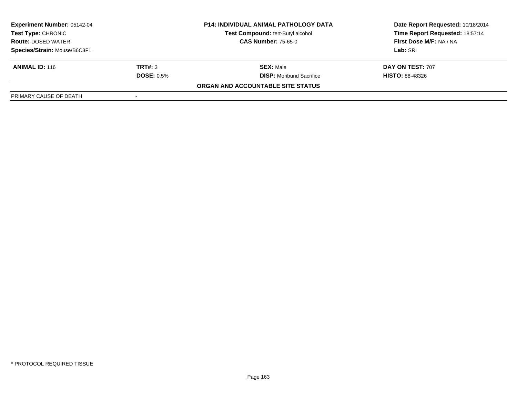| <b>Experiment Number: 05142-04</b><br>Test Type: CHRONIC |                            | <b>P14: INDIVIDUAL ANIMAL PATHOLOGY DATA</b> | Date Report Requested: 10/18/2014 |  |
|----------------------------------------------------------|----------------------------|----------------------------------------------|-----------------------------------|--|
|                                                          |                            | Test Compound: tert-Butyl alcohol            | Time Report Requested: 18:57:14   |  |
| <b>Route: DOSED WATER</b>                                | <b>CAS Number: 75-65-0</b> |                                              | First Dose M/F: NA / NA           |  |
| Species/Strain: Mouse/B6C3F1                             |                            |                                              | Lab: SRI                          |  |
| <b>ANIMAL ID: 116</b>                                    | TRT#: 3                    | <b>SEX: Male</b>                             | DAY ON TEST: 707                  |  |
|                                                          | <b>DOSE: 0.5%</b>          | <b>DISP:</b> Moribund Sacrifice              | <b>HISTO: 88-48326</b>            |  |
|                                                          |                            | ORGAN AND ACCOUNTABLE SITE STATUS            |                                   |  |
| PRIMARY CAUSE OF DEATH                                   |                            |                                              |                                   |  |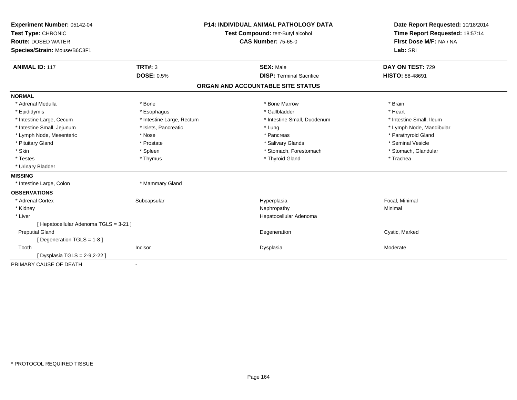| Experiment Number: 05142-04            |                           | <b>P14: INDIVIDUAL ANIMAL PATHOLOGY DATA</b> | Date Report Requested: 10/18/2014                          |
|----------------------------------------|---------------------------|----------------------------------------------|------------------------------------------------------------|
| Test Type: CHRONIC                     |                           | Test Compound: tert-Butyl alcohol            | Time Report Requested: 18:57:14<br>First Dose M/F: NA / NA |
| <b>Route: DOSED WATER</b>              |                           | <b>CAS Number: 75-65-0</b>                   |                                                            |
| Species/Strain: Mouse/B6C3F1           |                           |                                              | Lab: SRI                                                   |
|                                        |                           |                                              |                                                            |
| <b>ANIMAL ID: 117</b>                  | TRT#: 3                   | <b>SEX: Male</b>                             | DAY ON TEST: 729                                           |
|                                        | <b>DOSE: 0.5%</b>         | <b>DISP: Terminal Sacrifice</b>              | HISTO: 88-48691                                            |
|                                        |                           | ORGAN AND ACCOUNTABLE SITE STATUS            |                                                            |
| <b>NORMAL</b>                          |                           |                                              |                                                            |
| * Adrenal Medulla                      | * Bone                    | * Bone Marrow                                | * Brain                                                    |
| * Epididymis                           | * Esophagus               | * Gallbladder                                | * Heart                                                    |
| * Intestine Large, Cecum               | * Intestine Large, Rectum | * Intestine Small, Duodenum                  | * Intestine Small, Ileum                                   |
| * Intestine Small, Jejunum             | * Islets, Pancreatic      | * Lung                                       | * Lymph Node, Mandibular                                   |
| * Lymph Node, Mesenteric               | * Nose                    | * Pancreas                                   | * Parathyroid Gland                                        |
| * Pituitary Gland                      | * Prostate                | * Salivary Glands                            | * Seminal Vesicle                                          |
| * Skin                                 | * Spleen                  | * Stomach, Forestomach                       | * Stomach, Glandular                                       |
| * Testes                               | * Thymus                  | * Thyroid Gland                              | * Trachea                                                  |
| * Urinary Bladder                      |                           |                                              |                                                            |
| <b>MISSING</b>                         |                           |                                              |                                                            |
| * Intestine Large, Colon               | * Mammary Gland           |                                              |                                                            |
| <b>OBSERVATIONS</b>                    |                           |                                              |                                                            |
| * Adrenal Cortex                       | Subcapsular               | Hyperplasia                                  | Focal, Minimal                                             |
| * Kidney                               |                           | Nephropathy                                  | Minimal                                                    |
| * Liver                                |                           | Hepatocellular Adenoma                       |                                                            |
| [ Hepatocellular Adenoma TGLS = 3-21 ] |                           |                                              |                                                            |
| <b>Preputial Gland</b>                 |                           | Degeneration                                 | Cystic, Marked                                             |
| [Degeneration TGLS = 1-8]              |                           |                                              |                                                            |
| Tooth                                  | Incisor                   | Dysplasia                                    | Moderate                                                   |
| [ Dysplasia TGLS = 2-9,2-22 ]          |                           |                                              |                                                            |
| PRIMARY CAUSE OF DEATH                 | $\blacksquare$            |                                              |                                                            |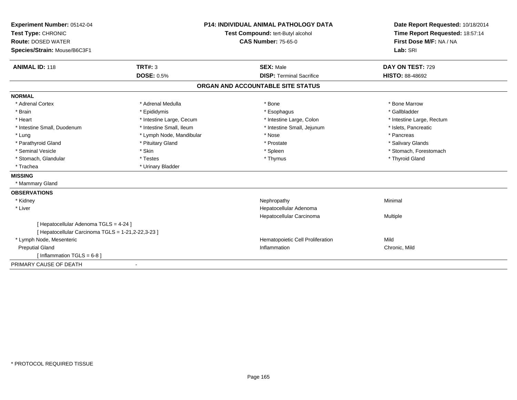| Experiment Number: 05142-04<br>Test Type: CHRONIC<br><b>Route: DOSED WATER</b> |                          | <b>P14: INDIVIDUAL ANIMAL PATHOLOGY DATA</b> | Date Report Requested: 10/18/2014<br>Time Report Requested: 18:57:14<br>First Dose M/F: NA / NA |
|--------------------------------------------------------------------------------|--------------------------|----------------------------------------------|-------------------------------------------------------------------------------------------------|
|                                                                                |                          | Test Compound: tert-Butyl alcohol            |                                                                                                 |
|                                                                                |                          | <b>CAS Number: 75-65-0</b>                   |                                                                                                 |
| Species/Strain: Mouse/B6C3F1                                                   |                          |                                              | Lab: SRI                                                                                        |
|                                                                                |                          |                                              |                                                                                                 |
| <b>ANIMAL ID: 118</b>                                                          | <b>TRT#: 3</b>           | <b>SEX: Male</b>                             | DAY ON TEST: 729                                                                                |
|                                                                                | DOSE: 0.5%               | <b>DISP: Terminal Sacrifice</b>              | <b>HISTO: 88-48692</b>                                                                          |
|                                                                                |                          | ORGAN AND ACCOUNTABLE SITE STATUS            |                                                                                                 |
| <b>NORMAL</b>                                                                  |                          |                                              |                                                                                                 |
| * Adrenal Cortex                                                               | * Adrenal Medulla        | * Bone                                       | * Bone Marrow                                                                                   |
| * Brain                                                                        | * Epididymis             | * Esophagus                                  | * Gallbladder                                                                                   |
| * Heart                                                                        | * Intestine Large, Cecum | * Intestine Large, Colon                     | * Intestine Large, Rectum                                                                       |
| * Intestine Small, Duodenum                                                    | * Intestine Small, Ileum | * Intestine Small, Jejunum                   | * Islets, Pancreatic                                                                            |
| * Lung                                                                         | * Lymph Node, Mandibular | * Nose                                       | * Pancreas                                                                                      |
| * Parathyroid Gland                                                            | * Pituitary Gland        | * Prostate                                   | * Salivary Glands                                                                               |
| * Seminal Vesicle                                                              | * Skin                   | * Spleen                                     | * Stomach, Forestomach                                                                          |
| * Stomach, Glandular                                                           | * Testes                 | * Thymus                                     | * Thyroid Gland                                                                                 |
| * Trachea                                                                      | * Urinary Bladder        |                                              |                                                                                                 |
| <b>MISSING</b>                                                                 |                          |                                              |                                                                                                 |
| * Mammary Gland                                                                |                          |                                              |                                                                                                 |
| <b>OBSERVATIONS</b>                                                            |                          |                                              |                                                                                                 |
| * Kidney                                                                       |                          | Nephropathy                                  | Minimal                                                                                         |
| * Liver                                                                        |                          | Hepatocellular Adenoma                       |                                                                                                 |
|                                                                                |                          | Hepatocellular Carcinoma                     | Multiple                                                                                        |
| [ Hepatocellular Adenoma TGLS = 4-24 ]                                         |                          |                                              |                                                                                                 |
| [ Hepatocellular Carcinoma TGLS = 1-21,2-22,3-23 ]                             |                          |                                              |                                                                                                 |
| * Lymph Node, Mesenteric                                                       |                          | Hematopoietic Cell Proliferation             | Mild                                                                                            |
| <b>Preputial Gland</b>                                                         |                          | Inflammation                                 | Chronic, Mild                                                                                   |
| [Inflammation TGLS = $6-8$ ]                                                   |                          |                                              |                                                                                                 |
| PRIMARY CAUSE OF DEATH                                                         | ٠                        |                                              |                                                                                                 |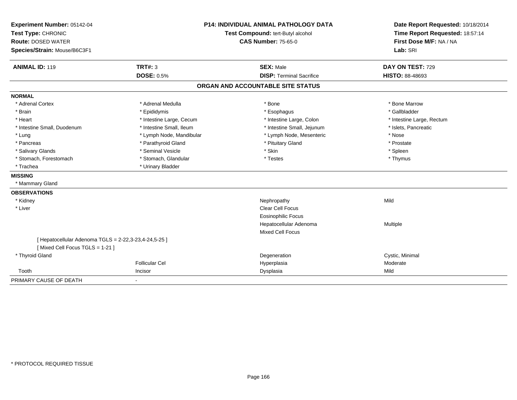| Experiment Number: 05142-04                           |                          | <b>P14: INDIVIDUAL ANIMAL PATHOLOGY DATA</b> | Date Report Requested: 10/18/2014                          |
|-------------------------------------------------------|--------------------------|----------------------------------------------|------------------------------------------------------------|
| Test Type: CHRONIC                                    |                          | Test Compound: tert-Butyl alcohol            | Time Report Requested: 18:57:14<br>First Dose M/F: NA / NA |
| <b>Route: DOSED WATER</b>                             |                          | <b>CAS Number: 75-65-0</b>                   |                                                            |
| Species/Strain: Mouse/B6C3F1                          |                          |                                              | Lab: SRI                                                   |
| <b>ANIMAL ID: 119</b>                                 | <b>TRT#: 3</b>           | <b>SEX: Male</b>                             | DAY ON TEST: 729                                           |
|                                                       | <b>DOSE: 0.5%</b>        | <b>DISP: Terminal Sacrifice</b>              | <b>HISTO: 88-48693</b>                                     |
|                                                       |                          | ORGAN AND ACCOUNTABLE SITE STATUS            |                                                            |
| <b>NORMAL</b>                                         |                          |                                              |                                                            |
| * Adrenal Cortex                                      | * Adrenal Medulla        | * Bone                                       | * Bone Marrow                                              |
| * Brain                                               | * Epididymis             | * Esophagus                                  | * Gallbladder                                              |
| * Heart                                               | * Intestine Large, Cecum | * Intestine Large, Colon                     | * Intestine Large, Rectum                                  |
| * Intestine Small, Duodenum                           | * Intestine Small, Ileum | * Intestine Small, Jejunum                   | * Islets, Pancreatic                                       |
| * Lung                                                | * Lymph Node, Mandibular | * Lymph Node, Mesenteric                     | * Nose                                                     |
| * Pancreas                                            | * Parathyroid Gland      | * Pituitary Gland                            | * Prostate                                                 |
| * Salivary Glands                                     | * Seminal Vesicle        | * Skin                                       | * Spleen                                                   |
| * Stomach, Forestomach                                | * Stomach, Glandular     | * Testes                                     | * Thymus                                                   |
| * Trachea                                             | * Urinary Bladder        |                                              |                                                            |
| <b>MISSING</b>                                        |                          |                                              |                                                            |
| * Mammary Gland                                       |                          |                                              |                                                            |
| <b>OBSERVATIONS</b>                                   |                          |                                              |                                                            |
| * Kidney                                              |                          | Nephropathy                                  | Mild                                                       |
| * Liver                                               |                          | Clear Cell Focus                             |                                                            |
|                                                       |                          | <b>Eosinophilic Focus</b>                    |                                                            |
|                                                       |                          | Hepatocellular Adenoma                       | Multiple                                                   |
|                                                       |                          | <b>Mixed Cell Focus</b>                      |                                                            |
| [ Hepatocellular Adenoma TGLS = 2-22,3-23,4-24,5-25 ] |                          |                                              |                                                            |
| [Mixed Cell Focus TGLS = 1-21]                        |                          |                                              |                                                            |
| * Thyroid Gland                                       |                          | Degeneration                                 | Cystic, Minimal                                            |
|                                                       | <b>Follicular Cel</b>    | Hyperplasia                                  | Moderate                                                   |
| Tooth                                                 | Incisor                  | Dysplasia                                    | Mild                                                       |
| PRIMARY CAUSE OF DEATH                                | $\sim$                   |                                              |                                                            |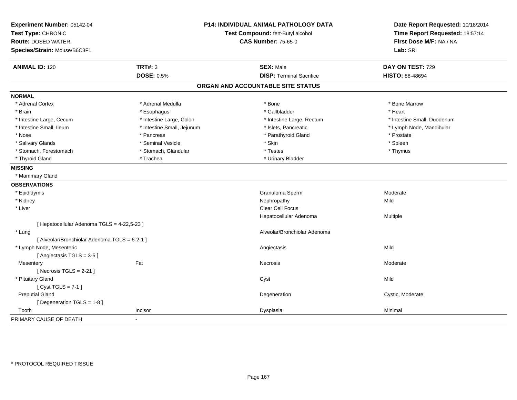| Experiment Number: 05142-04<br>Test Type: CHRONIC<br><b>Route: DOSED WATER</b><br>Species/Strain: Mouse/B6C3F1 |                            | <b>P14: INDIVIDUAL ANIMAL PATHOLOGY DATA</b><br>Test Compound: tert-Butyl alcohol<br><b>CAS Number: 75-65-0</b> | Date Report Requested: 10/18/2014<br>Time Report Requested: 18:57:14<br>First Dose M/F: NA / NA<br>Lab: SRI |
|----------------------------------------------------------------------------------------------------------------|----------------------------|-----------------------------------------------------------------------------------------------------------------|-------------------------------------------------------------------------------------------------------------|
| <b>ANIMAL ID: 120</b>                                                                                          | <b>TRT#: 3</b>             | <b>SEX: Male</b>                                                                                                | DAY ON TEST: 729                                                                                            |
|                                                                                                                | <b>DOSE: 0.5%</b>          | <b>DISP: Terminal Sacrifice</b>                                                                                 | <b>HISTO: 88-48694</b>                                                                                      |
|                                                                                                                |                            | ORGAN AND ACCOUNTABLE SITE STATUS                                                                               |                                                                                                             |
| <b>NORMAL</b>                                                                                                  |                            |                                                                                                                 |                                                                                                             |
| * Adrenal Cortex                                                                                               | * Adrenal Medulla          | * Bone                                                                                                          | * Bone Marrow                                                                                               |
| * Brain                                                                                                        | * Esophagus                | * Gallbladder                                                                                                   | * Heart                                                                                                     |
| * Intestine Large, Cecum                                                                                       | * Intestine Large, Colon   | * Intestine Large, Rectum                                                                                       | * Intestine Small, Duodenum                                                                                 |
| * Intestine Small, Ileum                                                                                       | * Intestine Small, Jejunum | * Islets, Pancreatic                                                                                            | * Lymph Node, Mandibular                                                                                    |
| * Nose                                                                                                         | * Pancreas                 | * Parathyroid Gland                                                                                             | * Prostate                                                                                                  |
| * Salivary Glands                                                                                              | * Seminal Vesicle          | * Skin                                                                                                          | * Spleen                                                                                                    |
| * Stomach, Forestomach                                                                                         | * Stomach, Glandular       | * Testes                                                                                                        | * Thymus                                                                                                    |
| * Thyroid Gland                                                                                                | * Trachea                  | * Urinary Bladder                                                                                               |                                                                                                             |
| <b>MISSING</b>                                                                                                 |                            |                                                                                                                 |                                                                                                             |
| * Mammary Gland                                                                                                |                            |                                                                                                                 |                                                                                                             |
| <b>OBSERVATIONS</b>                                                                                            |                            |                                                                                                                 |                                                                                                             |
| * Epididymis                                                                                                   |                            | Granuloma Sperm                                                                                                 | Moderate                                                                                                    |
| * Kidney                                                                                                       |                            | Nephropathy                                                                                                     | Mild                                                                                                        |
| * Liver                                                                                                        |                            | Clear Cell Focus                                                                                                |                                                                                                             |
|                                                                                                                |                            | Hepatocellular Adenoma                                                                                          | Multiple                                                                                                    |
| [ Hepatocellular Adenoma TGLS = 4-22,5-23 ]                                                                    |                            |                                                                                                                 |                                                                                                             |
| * Lung                                                                                                         |                            | Alveolar/Bronchiolar Adenoma                                                                                    |                                                                                                             |
| [ Alveolar/Bronchiolar Adenoma TGLS = 6-2-1 ]                                                                  |                            |                                                                                                                 |                                                                                                             |
| * Lymph Node, Mesenteric                                                                                       |                            | Angiectasis                                                                                                     | Mild                                                                                                        |
| [Angiectasis TGLS = 3-5]                                                                                       |                            |                                                                                                                 |                                                                                                             |
| Mesentery                                                                                                      | Fat                        | Necrosis                                                                                                        | Moderate                                                                                                    |
| [Necrosis $TGLS = 2-21$ ]                                                                                      |                            |                                                                                                                 |                                                                                                             |
| * Pituitary Gland                                                                                              |                            | Cyst                                                                                                            | Mild                                                                                                        |
| [Cyst TGLS = $7-1$ ]                                                                                           |                            |                                                                                                                 |                                                                                                             |
| <b>Preputial Gland</b>                                                                                         |                            | Degeneration                                                                                                    | Cystic, Moderate                                                                                            |
| [ Degeneration TGLS = 1-8 ]                                                                                    |                            |                                                                                                                 |                                                                                                             |
| Tooth                                                                                                          | Incisor                    | Dysplasia                                                                                                       | Minimal                                                                                                     |
| PRIMARY CAUSE OF DEATH                                                                                         |                            |                                                                                                                 |                                                                                                             |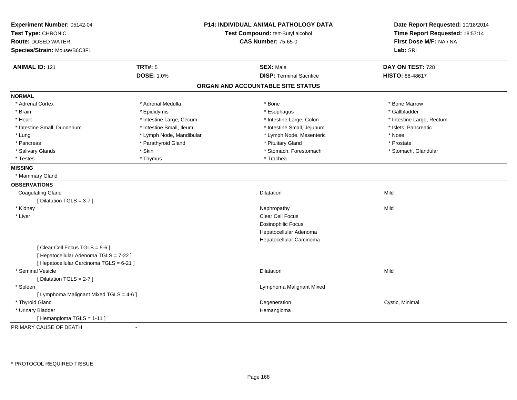| Experiment Number: 05142-04              |                          | <b>P14: INDIVIDUAL ANIMAL PATHOLOGY DATA</b> | Date Report Requested: 10/18/2014 |
|------------------------------------------|--------------------------|----------------------------------------------|-----------------------------------|
| Test Type: CHRONIC                       |                          | Test Compound: tert-Butyl alcohol            | Time Report Requested: 18:57:14   |
| <b>Route: DOSED WATER</b>                |                          | <b>CAS Number: 75-65-0</b>                   | First Dose M/F: NA / NA           |
| Species/Strain: Mouse/B6C3F1             |                          |                                              | Lab: SRI                          |
| <b>ANIMAL ID: 121</b>                    | <b>TRT#: 5</b>           | <b>SEX: Male</b>                             | DAY ON TEST: 728                  |
|                                          | <b>DOSE: 1.0%</b>        | <b>DISP: Terminal Sacrifice</b>              | <b>HISTO: 88-48617</b>            |
|                                          |                          | ORGAN AND ACCOUNTABLE SITE STATUS            |                                   |
| <b>NORMAL</b>                            |                          |                                              |                                   |
| * Adrenal Cortex                         | * Adrenal Medulla        | * Bone                                       | * Bone Marrow                     |
| * Brain                                  | * Epididymis             | * Esophagus                                  | * Gallbladder                     |
| * Heart                                  | * Intestine Large, Cecum | * Intestine Large, Colon                     | * Intestine Large, Rectum         |
| * Intestine Small, Duodenum              | * Intestine Small, Ileum | * Intestine Small, Jejunum                   | * Islets, Pancreatic              |
| * Lung                                   | * Lymph Node, Mandibular | * Lymph Node, Mesenteric                     | * Nose                            |
| * Pancreas                               | * Parathyroid Gland      | * Pituitary Gland                            | * Prostate                        |
| * Salivary Glands                        | * Skin                   | * Stomach, Forestomach                       | * Stomach, Glandular              |
| * Testes                                 | * Thymus                 | * Trachea                                    |                                   |
| <b>MISSING</b>                           |                          |                                              |                                   |
| * Mammary Gland                          |                          |                                              |                                   |
| <b>OBSERVATIONS</b>                      |                          |                                              |                                   |
| <b>Coagulating Gland</b>                 |                          | <b>Dilatation</b>                            | Mild                              |
| [Dilatation TGLS = 3-7]                  |                          |                                              |                                   |
| * Kidney                                 |                          | Nephropathy                                  | Mild                              |
| * Liver                                  |                          | Clear Cell Focus                             |                                   |
|                                          |                          | <b>Eosinophilic Focus</b>                    |                                   |
|                                          |                          | Hepatocellular Adenoma                       |                                   |
|                                          |                          | Hepatocellular Carcinoma                     |                                   |
| [Clear Cell Focus TGLS = 5-6]            |                          |                                              |                                   |
| [ Hepatocellular Adenoma TGLS = 7-22 ]   |                          |                                              |                                   |
| [ Hepatocellular Carcinoma TGLS = 6-21 ] |                          |                                              |                                   |
| * Seminal Vesicle                        |                          | Dilatation                                   | Mild                              |
| [Dilatation TGLS = 2-7]                  |                          |                                              |                                   |
| * Spleen                                 |                          | Lymphoma Malignant Mixed                     |                                   |
| [ Lymphoma Malignant Mixed TGLS = 4-6 ]  |                          |                                              |                                   |
| * Thyroid Gland                          |                          | Degeneration                                 | Cystic, Minimal                   |
| * Urinary Bladder                        |                          | Hemangioma                                   |                                   |
| [Hemangioma TGLS = 1-11]                 |                          |                                              |                                   |
| PRIMARY CAUSE OF DEATH                   | $\sim$                   |                                              |                                   |
|                                          |                          |                                              |                                   |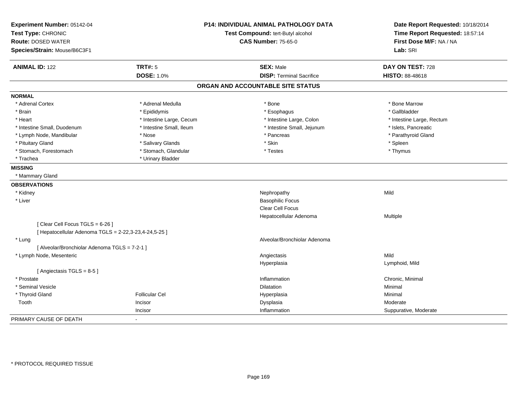| Experiment Number: 05142-04<br>Test Type: CHRONIC<br><b>Route: DOSED WATER</b> |                          | <b>P14: INDIVIDUAL ANIMAL PATHOLOGY DATA</b><br>Test Compound: tert-Butyl alcohol<br><b>CAS Number: 75-65-0</b> | Date Report Requested: 10/18/2014<br>Time Report Requested: 18:57:14<br>First Dose M/F: NA / NA |
|--------------------------------------------------------------------------------|--------------------------|-----------------------------------------------------------------------------------------------------------------|-------------------------------------------------------------------------------------------------|
| Species/Strain: Mouse/B6C3F1                                                   |                          |                                                                                                                 | Lab: SRI                                                                                        |
| <b>ANIMAL ID: 122</b>                                                          | <b>TRT#: 5</b>           | <b>SEX: Male</b>                                                                                                | DAY ON TEST: 728                                                                                |
|                                                                                | <b>DOSE: 1.0%</b>        | <b>DISP: Terminal Sacrifice</b>                                                                                 | HISTO: 88-48618                                                                                 |
|                                                                                |                          | ORGAN AND ACCOUNTABLE SITE STATUS                                                                               |                                                                                                 |
| <b>NORMAL</b>                                                                  |                          |                                                                                                                 |                                                                                                 |
| * Adrenal Cortex                                                               | * Adrenal Medulla        | * Bone                                                                                                          | * Bone Marrow                                                                                   |
| * Brain                                                                        | * Epididymis             | * Esophagus                                                                                                     | * Gallbladder                                                                                   |
| * Heart                                                                        | * Intestine Large, Cecum | * Intestine Large, Colon                                                                                        | * Intestine Large, Rectum                                                                       |
| * Intestine Small, Duodenum                                                    | * Intestine Small, Ileum | * Intestine Small, Jejunum                                                                                      | * Islets, Pancreatic                                                                            |
| * Lymph Node, Mandibular                                                       | * Nose                   | * Pancreas                                                                                                      | * Parathyroid Gland                                                                             |
| * Pituitary Gland                                                              | * Salivary Glands        | * Skin                                                                                                          | * Spleen                                                                                        |
| * Stomach, Forestomach                                                         | * Stomach, Glandular     | * Testes                                                                                                        | * Thymus                                                                                        |
| * Trachea                                                                      | * Urinary Bladder        |                                                                                                                 |                                                                                                 |
| <b>MISSING</b>                                                                 |                          |                                                                                                                 |                                                                                                 |
| * Mammary Gland                                                                |                          |                                                                                                                 |                                                                                                 |
| <b>OBSERVATIONS</b>                                                            |                          |                                                                                                                 |                                                                                                 |
| * Kidney                                                                       |                          | Nephropathy                                                                                                     | Mild                                                                                            |
| * Liver                                                                        |                          | <b>Basophilic Focus</b>                                                                                         |                                                                                                 |
|                                                                                |                          | <b>Clear Cell Focus</b>                                                                                         |                                                                                                 |
|                                                                                |                          | Hepatocellular Adenoma                                                                                          | Multiple                                                                                        |
| [Clear Cell Focus TGLS = 6-26]                                                 |                          |                                                                                                                 |                                                                                                 |
| [ Hepatocellular Adenoma TGLS = 2-22,3-23,4-24,5-25 ]                          |                          |                                                                                                                 |                                                                                                 |
| * Lung                                                                         |                          | Alveolar/Bronchiolar Adenoma                                                                                    |                                                                                                 |
| [ Alveolar/Bronchiolar Adenoma TGLS = 7-2-1 ]                                  |                          |                                                                                                                 |                                                                                                 |
| * Lymph Node, Mesenteric                                                       |                          | Angiectasis                                                                                                     | Mild                                                                                            |
|                                                                                |                          | Hyperplasia                                                                                                     | Lymphoid, Mild                                                                                  |
| [Angiectasis TGLS = 8-5]                                                       |                          |                                                                                                                 |                                                                                                 |
| * Prostate                                                                     |                          | Inflammation                                                                                                    | Chronic, Minimal                                                                                |
| * Seminal Vesicle                                                              |                          | <b>Dilatation</b>                                                                                               | Minimal                                                                                         |
| * Thyroid Gland                                                                | <b>Follicular Cel</b>    | Hyperplasia                                                                                                     | Minimal                                                                                         |
| Tooth                                                                          | Incisor                  | Dysplasia                                                                                                       | Moderate                                                                                        |
|                                                                                | Incisor                  | Inflammation                                                                                                    | Suppurative, Moderate                                                                           |
| PRIMARY CAUSE OF DEATH                                                         | $\blacksquare$           |                                                                                                                 |                                                                                                 |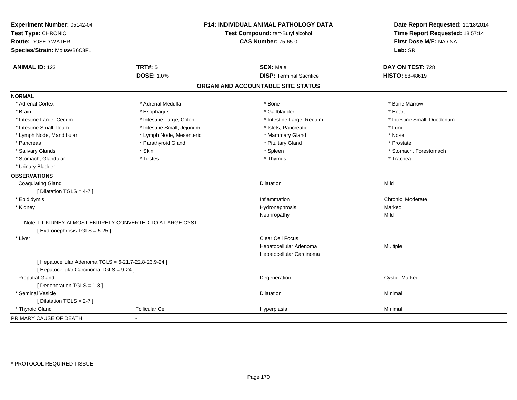| Experiment Number: 05142-04<br>Test Type: CHRONIC<br><b>Route: DOSED WATER</b><br>Species/Strain: Mouse/B6C3F1 |                            | P14: INDIVIDUAL ANIMAL PATHOLOGY DATA<br>Test Compound: tert-Butyl alcohol<br><b>CAS Number: 75-65-0</b> |                             |
|----------------------------------------------------------------------------------------------------------------|----------------------------|----------------------------------------------------------------------------------------------------------|-----------------------------|
| <b>ANIMAL ID: 123</b>                                                                                          | <b>TRT#: 5</b>             | <b>SEX: Male</b>                                                                                         | DAY ON TEST: 728            |
|                                                                                                                | <b>DOSE: 1.0%</b>          | <b>DISP: Terminal Sacrifice</b>                                                                          | HISTO: 88-48619             |
|                                                                                                                |                            | ORGAN AND ACCOUNTABLE SITE STATUS                                                                        |                             |
| <b>NORMAL</b>                                                                                                  |                            |                                                                                                          |                             |
| * Adrenal Cortex                                                                                               | * Adrenal Medulla          | * Bone                                                                                                   | * Bone Marrow               |
| * Brain                                                                                                        | * Esophagus                | * Gallbladder                                                                                            | * Heart                     |
| * Intestine Large, Cecum                                                                                       | * Intestine Large, Colon   | * Intestine Large, Rectum                                                                                | * Intestine Small, Duodenum |
| * Intestine Small, Ileum                                                                                       | * Intestine Small, Jejunum | * Islets, Pancreatic                                                                                     | * Lung                      |
| * Lymph Node, Mandibular                                                                                       | * Lymph Node, Mesenteric   | * Mammary Gland                                                                                          | * Nose                      |
| * Pancreas                                                                                                     | * Parathyroid Gland        | * Pituitary Gland                                                                                        | * Prostate                  |
| * Salivary Glands                                                                                              | * Skin                     | * Spleen                                                                                                 | * Stomach, Forestomach      |
| * Stomach, Glandular                                                                                           | * Testes                   | * Thymus                                                                                                 | * Trachea                   |
| * Urinary Bladder                                                                                              |                            |                                                                                                          |                             |
| <b>OBSERVATIONS</b>                                                                                            |                            |                                                                                                          |                             |
| <b>Coagulating Gland</b>                                                                                       |                            | <b>Dilatation</b>                                                                                        | Mild                        |
| [Dilatation TGLS = 4-7]                                                                                        |                            |                                                                                                          |                             |
| * Epididymis                                                                                                   |                            | Inflammation                                                                                             | Chronic, Moderate           |
| * Kidney                                                                                                       |                            | Hydronephrosis                                                                                           | Marked                      |
|                                                                                                                |                            | Nephropathy                                                                                              | Mild                        |
| Note: LT.KIDNEY ALMOST ENTIRELY CONVERTED TO A LARGE CYST.<br>[Hydronephrosis TGLS = 5-25]                     |                            |                                                                                                          |                             |
| * Liver                                                                                                        |                            | Clear Cell Focus                                                                                         |                             |
|                                                                                                                |                            | Hepatocellular Adenoma                                                                                   | Multiple                    |
|                                                                                                                |                            | Hepatocellular Carcinoma                                                                                 |                             |
| [ Hepatocellular Adenoma TGLS = 6-21,7-22,8-23,9-24 ]                                                          |                            |                                                                                                          |                             |
| [ Hepatocellular Carcinoma TGLS = 9-24 ]                                                                       |                            |                                                                                                          |                             |
| <b>Preputial Gland</b>                                                                                         |                            | Degeneration                                                                                             | Cystic, Marked              |
| [ Degeneration TGLS = 1-8 ]                                                                                    |                            |                                                                                                          |                             |
| * Seminal Vesicle                                                                                              |                            | <b>Dilatation</b>                                                                                        | Minimal                     |
| [Dilatation TGLS = 2-7]                                                                                        |                            |                                                                                                          |                             |
| * Thyroid Gland                                                                                                | <b>Follicular Cel</b>      | Hyperplasia                                                                                              | Minimal                     |
| PRIMARY CAUSE OF DEATH                                                                                         | $\sim$                     |                                                                                                          |                             |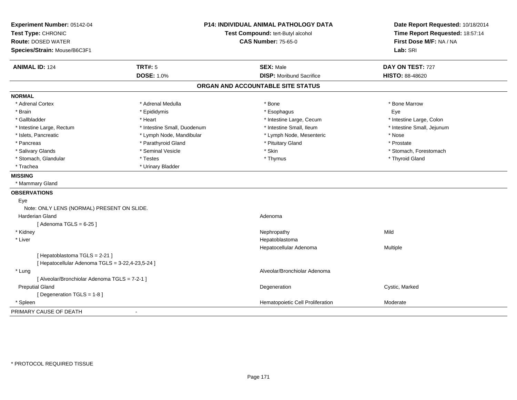| Experiment Number: 05142-04<br>Test Type: CHRONIC |                             | P14: INDIVIDUAL ANIMAL PATHOLOGY DATA<br>Test Compound: tert-Butyl alcohol | Date Report Requested: 10/18/2014<br>Time Report Requested: 18:57:14 |
|---------------------------------------------------|-----------------------------|----------------------------------------------------------------------------|----------------------------------------------------------------------|
| <b>Route: DOSED WATER</b>                         |                             | <b>CAS Number: 75-65-0</b>                                                 | First Dose M/F: NA / NA                                              |
| Species/Strain: Mouse/B6C3F1                      |                             |                                                                            | Lab: SRI                                                             |
| <b>ANIMAL ID: 124</b>                             | <b>TRT#: 5</b>              | <b>SEX: Male</b>                                                           | DAY ON TEST: 727                                                     |
|                                                   | <b>DOSE: 1.0%</b>           | <b>DISP: Moribund Sacrifice</b>                                            | HISTO: 88-48620                                                      |
|                                                   |                             | ORGAN AND ACCOUNTABLE SITE STATUS                                          |                                                                      |
| <b>NORMAL</b>                                     |                             |                                                                            |                                                                      |
| * Adrenal Cortex                                  | * Adrenal Medulla           | * Bone                                                                     | * Bone Marrow                                                        |
| * Brain                                           | * Epididymis                | * Esophagus                                                                | Eye                                                                  |
| * Gallbladder                                     | * Heart                     | * Intestine Large, Cecum                                                   | * Intestine Large, Colon                                             |
| * Intestine Large, Rectum                         | * Intestine Small, Duodenum | * Intestine Small, Ileum                                                   | * Intestine Small, Jejunum                                           |
| * Islets, Pancreatic                              | * Lymph Node, Mandibular    | * Lymph Node, Mesenteric                                                   | * Nose                                                               |
| * Pancreas                                        | * Parathyroid Gland         | * Pituitary Gland                                                          | * Prostate                                                           |
| * Salivary Glands                                 | * Seminal Vesicle           | * Skin                                                                     | * Stomach, Forestomach                                               |
| * Stomach, Glandular                              | * Testes                    | * Thymus                                                                   | * Thyroid Gland                                                      |
| * Trachea                                         | * Urinary Bladder           |                                                                            |                                                                      |
| <b>MISSING</b>                                    |                             |                                                                            |                                                                      |
| * Mammary Gland                                   |                             |                                                                            |                                                                      |
| <b>OBSERVATIONS</b>                               |                             |                                                                            |                                                                      |
| Eye                                               |                             |                                                                            |                                                                      |
| Note: ONLY LENS (NORMAL) PRESENT ON SLIDE.        |                             |                                                                            |                                                                      |
| <b>Harderian Gland</b>                            |                             | Adenoma                                                                    |                                                                      |
| [Adenoma TGLS = $6-25$ ]                          |                             |                                                                            |                                                                      |
| * Kidney                                          |                             | Nephropathy                                                                | Mild                                                                 |
| * Liver                                           |                             | Hepatoblastoma                                                             |                                                                      |
|                                                   |                             | Hepatocellular Adenoma                                                     | Multiple                                                             |
| [Hepatoblastoma TGLS = 2-21]                      |                             |                                                                            |                                                                      |
| [ Hepatocellular Adenoma TGLS = 3-22,4-23,5-24 ]  |                             |                                                                            |                                                                      |
| * Lung                                            |                             | Alveolar/Bronchiolar Adenoma                                               |                                                                      |
| [ Alveolar/Bronchiolar Adenoma TGLS = 7-2-1 ]     |                             |                                                                            |                                                                      |
| <b>Preputial Gland</b>                            |                             | Degeneration                                                               | Cystic, Marked                                                       |
| [ Degeneration TGLS = 1-8 ]                       |                             |                                                                            |                                                                      |
| * Spleen                                          |                             | Hematopoietic Cell Proliferation                                           | Moderate                                                             |
| PRIMARY CAUSE OF DEATH                            |                             |                                                                            |                                                                      |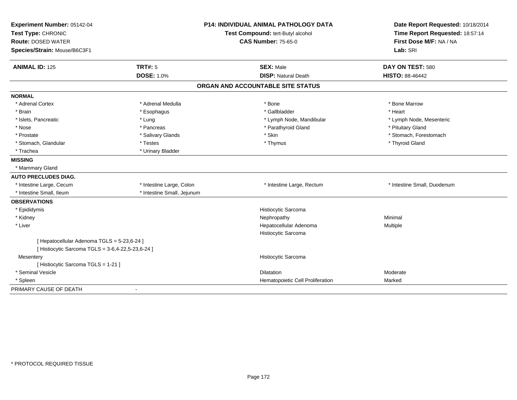| Experiment Number: 05142-04                       | <b>P14: INDIVIDUAL ANIMAL PATHOLOGY DATA</b> |                                   | Date Report Requested: 10/18/2014 |  |
|---------------------------------------------------|----------------------------------------------|-----------------------------------|-----------------------------------|--|
| Test Type: CHRONIC                                |                                              | Test Compound: tert-Butyl alcohol | Time Report Requested: 18:57:14   |  |
| <b>Route: DOSED WATER</b>                         |                                              | <b>CAS Number: 75-65-0</b>        | First Dose M/F: NA / NA           |  |
| Species/Strain: Mouse/B6C3F1                      |                                              |                                   | Lab: SRI                          |  |
| <b>ANIMAL ID: 125</b>                             | <b>TRT#: 5</b>                               | <b>SEX: Male</b>                  | DAY ON TEST: 580                  |  |
|                                                   | <b>DOSE: 1.0%</b>                            | <b>DISP: Natural Death</b>        | HISTO: 88-46442                   |  |
|                                                   |                                              | ORGAN AND ACCOUNTABLE SITE STATUS |                                   |  |
| <b>NORMAL</b>                                     |                                              |                                   |                                   |  |
| * Adrenal Cortex                                  | * Adrenal Medulla                            | * Bone                            | * Bone Marrow                     |  |
| * Brain                                           | * Esophagus                                  | * Gallbladder                     | * Heart                           |  |
| * Islets, Pancreatic                              | * Lung                                       | * Lymph Node, Mandibular          | * Lymph Node, Mesenteric          |  |
| * Nose                                            | * Pancreas                                   | * Parathyroid Gland               | * Pituitary Gland                 |  |
| * Prostate                                        | * Salivary Glands                            | * Skin                            | * Stomach, Forestomach            |  |
| * Stomach, Glandular                              | * Testes                                     | * Thymus                          | * Thyroid Gland                   |  |
| * Trachea                                         | * Urinary Bladder                            |                                   |                                   |  |
| <b>MISSING</b>                                    |                                              |                                   |                                   |  |
| * Mammary Gland                                   |                                              |                                   |                                   |  |
| <b>AUTO PRECLUDES DIAG.</b>                       |                                              |                                   |                                   |  |
| * Intestine Large, Cecum                          | * Intestine Large, Colon                     | * Intestine Large, Rectum         | * Intestine Small, Duodenum       |  |
| * Intestine Small, Ileum                          | * Intestine Small, Jejunum                   |                                   |                                   |  |
| <b>OBSERVATIONS</b>                               |                                              |                                   |                                   |  |
| * Epididymis                                      |                                              | Histiocytic Sarcoma               |                                   |  |
| * Kidney                                          |                                              | Nephropathy                       | Minimal                           |  |
| * Liver                                           |                                              | Hepatocellular Adenoma            | Multiple                          |  |
|                                                   |                                              | Histiocytic Sarcoma               |                                   |  |
| [ Hepatocellular Adenoma TGLS = 5-23,6-24 ]       |                                              |                                   |                                   |  |
| [ Histiocytic Sarcoma TGLS = 3-6,4-22,5-23,6-24 ] |                                              |                                   |                                   |  |
| Mesentery                                         |                                              | Histiocytic Sarcoma               |                                   |  |
| [ Histiocytic Sarcoma TGLS = 1-21 ]               |                                              |                                   |                                   |  |
| * Seminal Vesicle                                 |                                              | Dilatation                        | Moderate                          |  |
| * Spleen                                          |                                              | Hematopoietic Cell Proliferation  | Marked                            |  |
| PRIMARY CAUSE OF DEATH                            |                                              |                                   |                                   |  |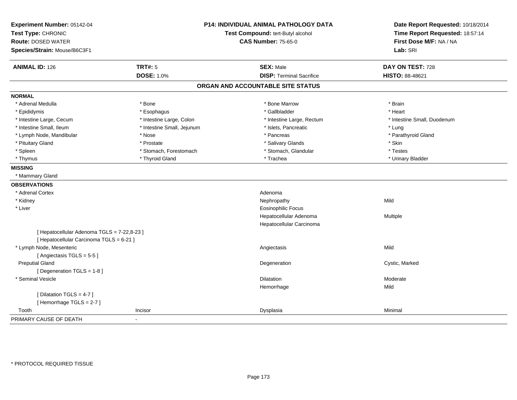| Experiment Number: 05142-04<br>Test Type: CHRONIC<br><b>Route: DOSED WATER</b><br>Species/Strain: Mouse/B6C3F1 |                            | <b>P14: INDIVIDUAL ANIMAL PATHOLOGY DATA</b><br>Test Compound: tert-Butyl alcohol<br><b>CAS Number: 75-65-0</b> | Date Report Requested: 10/18/2014<br>Time Report Requested: 18:57:14<br>First Dose M/F: NA / NA<br>Lab: SRI |
|----------------------------------------------------------------------------------------------------------------|----------------------------|-----------------------------------------------------------------------------------------------------------------|-------------------------------------------------------------------------------------------------------------|
|                                                                                                                |                            |                                                                                                                 |                                                                                                             |
| <b>ANIMAL ID: 126</b>                                                                                          | <b>TRT#: 5</b>             | <b>SEX: Male</b>                                                                                                | DAY ON TEST: 728                                                                                            |
|                                                                                                                | <b>DOSE: 1.0%</b>          | <b>DISP: Terminal Sacrifice</b>                                                                                 | HISTO: 88-48621                                                                                             |
|                                                                                                                |                            | ORGAN AND ACCOUNTABLE SITE STATUS                                                                               |                                                                                                             |
| <b>NORMAL</b>                                                                                                  |                            |                                                                                                                 |                                                                                                             |
| * Adrenal Medulla                                                                                              | * Bone                     | * Bone Marrow                                                                                                   | * Brain                                                                                                     |
| * Epididymis                                                                                                   | * Esophagus                | * Gallbladder                                                                                                   | * Heart                                                                                                     |
| * Intestine Large, Cecum                                                                                       | * Intestine Large, Colon   | * Intestine Large, Rectum                                                                                       | * Intestine Small, Duodenum                                                                                 |
| * Intestine Small, Ileum                                                                                       | * Intestine Small, Jejunum | * Islets, Pancreatic                                                                                            | * Lung                                                                                                      |
| * Lymph Node, Mandibular                                                                                       | * Nose                     | * Pancreas                                                                                                      | * Parathyroid Gland                                                                                         |
| * Pituitary Gland                                                                                              | * Prostate                 | * Salivary Glands                                                                                               | * Skin                                                                                                      |
| * Spleen                                                                                                       | * Stomach, Forestomach     | * Stomach, Glandular                                                                                            | * Testes                                                                                                    |
| * Thymus                                                                                                       | * Thyroid Gland            | * Trachea                                                                                                       | * Urinary Bladder                                                                                           |
| <b>MISSING</b>                                                                                                 |                            |                                                                                                                 |                                                                                                             |
| * Mammary Gland                                                                                                |                            |                                                                                                                 |                                                                                                             |
| <b>OBSERVATIONS</b>                                                                                            |                            |                                                                                                                 |                                                                                                             |
| * Adrenal Cortex                                                                                               |                            | Adenoma                                                                                                         |                                                                                                             |
| * Kidney                                                                                                       |                            | Nephropathy                                                                                                     | Mild                                                                                                        |
| * Liver                                                                                                        |                            | <b>Eosinophilic Focus</b>                                                                                       |                                                                                                             |
|                                                                                                                |                            | Hepatocellular Adenoma                                                                                          | Multiple                                                                                                    |
|                                                                                                                |                            | Hepatocellular Carcinoma                                                                                        |                                                                                                             |
| [ Hepatocellular Adenoma TGLS = 7-22,8-23 ]<br>[ Hepatocellular Carcinoma TGLS = 6-21 ]                        |                            |                                                                                                                 |                                                                                                             |
| * Lymph Node, Mesenteric                                                                                       |                            | Angiectasis                                                                                                     | Mild                                                                                                        |
| [Angiectasis TGLS = $5-5$ ]                                                                                    |                            |                                                                                                                 |                                                                                                             |
| <b>Preputial Gland</b>                                                                                         |                            | Degeneration                                                                                                    | Cystic, Marked                                                                                              |
| [Degeneration TGLS = 1-8]                                                                                      |                            |                                                                                                                 |                                                                                                             |
| * Seminal Vesicle                                                                                              |                            | <b>Dilatation</b>                                                                                               | Moderate                                                                                                    |
|                                                                                                                |                            | Hemorrhage                                                                                                      | Mild                                                                                                        |
| [ Dilatation TGLS = 4-7 ]                                                                                      |                            |                                                                                                                 |                                                                                                             |
| [Hemorrhage TGLS = 2-7]                                                                                        |                            |                                                                                                                 |                                                                                                             |
| Tooth                                                                                                          | Incisor                    | Dysplasia                                                                                                       | Minimal                                                                                                     |
| PRIMARY CAUSE OF DEATH                                                                                         |                            |                                                                                                                 |                                                                                                             |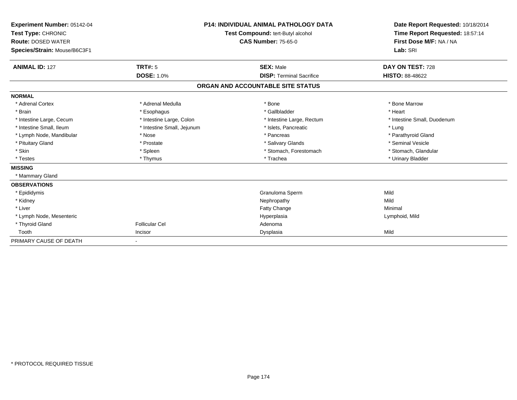| Experiment Number: 05142-04<br>Test Type: CHRONIC<br><b>Route: DOSED WATER</b><br>Species/Strain: Mouse/B6C3F1 | <b>P14: INDIVIDUAL ANIMAL PATHOLOGY DATA</b><br><b>Test Compound: tert-Butyl alcohol</b><br><b>CAS Number: 75-65-0</b> |                                   | Date Report Requested: 10/18/2014<br>Time Report Requested: 18:57:14<br>First Dose M/F: NA / NA<br>Lab: SRI |  |
|----------------------------------------------------------------------------------------------------------------|------------------------------------------------------------------------------------------------------------------------|-----------------------------------|-------------------------------------------------------------------------------------------------------------|--|
| <b>ANIMAL ID: 127</b>                                                                                          | <b>TRT#: 5</b>                                                                                                         | <b>SEX: Male</b>                  | DAY ON TEST: 728                                                                                            |  |
|                                                                                                                | <b>DOSE: 1.0%</b>                                                                                                      | <b>DISP: Terminal Sacrifice</b>   | <b>HISTO: 88-48622</b>                                                                                      |  |
|                                                                                                                |                                                                                                                        | ORGAN AND ACCOUNTABLE SITE STATUS |                                                                                                             |  |
| <b>NORMAL</b>                                                                                                  |                                                                                                                        |                                   |                                                                                                             |  |
| * Adrenal Cortex                                                                                               | * Adrenal Medulla                                                                                                      | * Bone                            | * Bone Marrow                                                                                               |  |
| * Brain                                                                                                        | * Esophagus                                                                                                            | * Gallbladder                     | * Heart                                                                                                     |  |
| * Intestine Large, Cecum                                                                                       | * Intestine Large, Colon                                                                                               | * Intestine Large, Rectum         | * Intestine Small, Duodenum                                                                                 |  |
| * Intestine Small. Ileum                                                                                       | * Intestine Small, Jejunum                                                                                             | * Islets, Pancreatic              | * Lung                                                                                                      |  |
| * Lymph Node, Mandibular                                                                                       | * Nose                                                                                                                 | * Pancreas                        | * Parathyroid Gland                                                                                         |  |
| * Pituitary Gland                                                                                              | * Prostate                                                                                                             | * Salivary Glands                 | * Seminal Vesicle                                                                                           |  |
| * Skin                                                                                                         | * Spleen                                                                                                               | * Stomach, Forestomach            | * Stomach, Glandular                                                                                        |  |
| * Testes                                                                                                       | * Thymus                                                                                                               | * Trachea                         | * Urinary Bladder                                                                                           |  |
| <b>MISSING</b>                                                                                                 |                                                                                                                        |                                   |                                                                                                             |  |
| * Mammary Gland                                                                                                |                                                                                                                        |                                   |                                                                                                             |  |
| <b>OBSERVATIONS</b>                                                                                            |                                                                                                                        |                                   |                                                                                                             |  |
| * Epididymis                                                                                                   |                                                                                                                        | Granuloma Sperm                   | Mild                                                                                                        |  |
| * Kidney                                                                                                       |                                                                                                                        | Nephropathy                       | Mild                                                                                                        |  |
| * Liver                                                                                                        |                                                                                                                        | <b>Fatty Change</b>               | Minimal                                                                                                     |  |
| * Lymph Node, Mesenteric                                                                                       |                                                                                                                        | Hyperplasia                       | Lymphoid, Mild                                                                                              |  |
| * Thyroid Gland                                                                                                | <b>Follicular Cel</b>                                                                                                  | Adenoma                           |                                                                                                             |  |
| Tooth                                                                                                          | Incisor                                                                                                                | Dysplasia                         | Mild                                                                                                        |  |
| PRIMARY CAUSE OF DEATH                                                                                         |                                                                                                                        |                                   |                                                                                                             |  |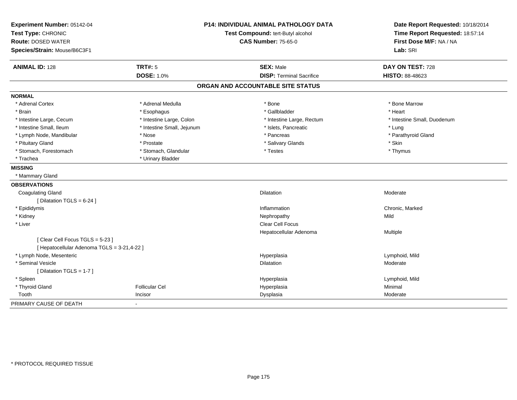| Experiment Number: 05142-04<br>Test Type: CHRONIC<br><b>Route: DOSED WATER</b><br>Species/Strain: Mouse/B6C3F1 | <b>P14: INDIVIDUAL ANIMAL PATHOLOGY DATA</b><br>Test Compound: tert-Butyl alcohol<br><b>CAS Number: 75-65-0</b> |                                                     | Date Report Requested: 10/18/2014<br>Time Report Requested: 18:57:14<br>First Dose M/F: NA / NA<br>Lab: SRI |  |
|----------------------------------------------------------------------------------------------------------------|-----------------------------------------------------------------------------------------------------------------|-----------------------------------------------------|-------------------------------------------------------------------------------------------------------------|--|
|                                                                                                                |                                                                                                                 |                                                     |                                                                                                             |  |
| <b>ANIMAL ID: 128</b>                                                                                          | <b>TRT#: 5</b><br><b>DOSE: 1.0%</b>                                                                             | <b>SEX: Male</b><br><b>DISP: Terminal Sacrifice</b> | DAY ON TEST: 728<br>HISTO: 88-48623                                                                         |  |
|                                                                                                                |                                                                                                                 |                                                     |                                                                                                             |  |
|                                                                                                                |                                                                                                                 | ORGAN AND ACCOUNTABLE SITE STATUS                   |                                                                                                             |  |
| <b>NORMAL</b>                                                                                                  |                                                                                                                 |                                                     |                                                                                                             |  |
| * Adrenal Cortex                                                                                               | * Adrenal Medulla                                                                                               | * Bone                                              | * Bone Marrow                                                                                               |  |
| * Brain                                                                                                        | * Esophagus                                                                                                     | * Gallbladder                                       | * Heart                                                                                                     |  |
| * Intestine Large, Cecum                                                                                       | * Intestine Large, Colon                                                                                        | * Intestine Large, Rectum                           | * Intestine Small, Duodenum                                                                                 |  |
| * Intestine Small, Ileum                                                                                       | * Intestine Small, Jejunum                                                                                      | * Islets, Pancreatic                                | * Lung                                                                                                      |  |
| * Lymph Node, Mandibular                                                                                       | * Nose                                                                                                          | * Pancreas                                          | * Parathyroid Gland                                                                                         |  |
| * Pituitary Gland                                                                                              | * Prostate                                                                                                      | * Salivary Glands                                   | * Skin                                                                                                      |  |
| * Stomach, Forestomach                                                                                         | * Stomach, Glandular                                                                                            | * Testes                                            | * Thymus                                                                                                    |  |
| * Trachea                                                                                                      | * Urinary Bladder                                                                                               |                                                     |                                                                                                             |  |
| <b>MISSING</b>                                                                                                 |                                                                                                                 |                                                     |                                                                                                             |  |
| * Mammary Gland                                                                                                |                                                                                                                 |                                                     |                                                                                                             |  |
| <b>OBSERVATIONS</b>                                                                                            |                                                                                                                 |                                                     |                                                                                                             |  |
| <b>Coagulating Gland</b>                                                                                       |                                                                                                                 | <b>Dilatation</b>                                   | Moderate                                                                                                    |  |
| [ Dilatation TGLS = 6-24 ]                                                                                     |                                                                                                                 |                                                     |                                                                                                             |  |
| * Epididymis                                                                                                   |                                                                                                                 | Inflammation                                        | Chronic, Marked                                                                                             |  |
| * Kidney                                                                                                       |                                                                                                                 | Nephropathy                                         | Mild                                                                                                        |  |
| * Liver                                                                                                        |                                                                                                                 | Clear Cell Focus                                    |                                                                                                             |  |
|                                                                                                                |                                                                                                                 | Hepatocellular Adenoma                              | Multiple                                                                                                    |  |
| [Clear Cell Focus TGLS = 5-23]                                                                                 |                                                                                                                 |                                                     |                                                                                                             |  |
| [ Hepatocellular Adenoma TGLS = 3-21,4-22 ]                                                                    |                                                                                                                 |                                                     |                                                                                                             |  |
| * Lymph Node, Mesenteric                                                                                       |                                                                                                                 | Hyperplasia                                         | Lymphoid, Mild                                                                                              |  |
| * Seminal Vesicle                                                                                              |                                                                                                                 | <b>Dilatation</b>                                   | Moderate                                                                                                    |  |
| [ Dilatation TGLS = 1-7 ]                                                                                      |                                                                                                                 |                                                     |                                                                                                             |  |
| * Spleen                                                                                                       |                                                                                                                 | Hyperplasia                                         | Lymphoid, Mild                                                                                              |  |
| * Thyroid Gland                                                                                                | <b>Follicular Cel</b>                                                                                           | Hyperplasia                                         | Minimal                                                                                                     |  |
| Tooth                                                                                                          | Incisor                                                                                                         | Dysplasia                                           | Moderate                                                                                                    |  |
| PRIMARY CAUSE OF DEATH                                                                                         |                                                                                                                 |                                                     |                                                                                                             |  |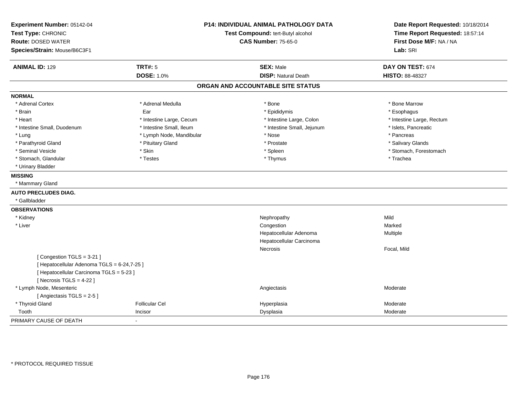| Experiment Number: 05142-04<br>Test Type: CHRONIC<br><b>Route: DOSED WATER</b><br>Species/Strain: Mouse/B6C3F1 | <b>P14: INDIVIDUAL ANIMAL PATHOLOGY DATA</b><br>Test Compound: tert-Butyl alcohol<br><b>CAS Number: 75-65-0</b> |                                   | Date Report Requested: 10/18/2014<br>Time Report Requested: 18:57:14<br>First Dose M/F: NA / NA<br>Lab: SRI |
|----------------------------------------------------------------------------------------------------------------|-----------------------------------------------------------------------------------------------------------------|-----------------------------------|-------------------------------------------------------------------------------------------------------------|
| <b>ANIMAL ID: 129</b>                                                                                          | <b>TRT#: 5</b>                                                                                                  | <b>SEX: Male</b>                  | DAY ON TEST: 674                                                                                            |
|                                                                                                                | <b>DOSE: 1.0%</b>                                                                                               | <b>DISP: Natural Death</b>        | <b>HISTO: 88-48327</b>                                                                                      |
|                                                                                                                |                                                                                                                 | ORGAN AND ACCOUNTABLE SITE STATUS |                                                                                                             |
| <b>NORMAL</b>                                                                                                  |                                                                                                                 |                                   |                                                                                                             |
| * Adrenal Cortex                                                                                               | * Adrenal Medulla                                                                                               | * Bone                            | * Bone Marrow                                                                                               |
| * Brain                                                                                                        | Ear                                                                                                             | * Epididymis                      | * Esophagus                                                                                                 |
| * Heart                                                                                                        | * Intestine Large, Cecum                                                                                        | * Intestine Large, Colon          | * Intestine Large, Rectum                                                                                   |
| * Intestine Small, Duodenum                                                                                    | * Intestine Small, Ileum                                                                                        | * Intestine Small, Jejunum        | * Islets, Pancreatic                                                                                        |
| * Lung                                                                                                         | * Lymph Node, Mandibular                                                                                        | * Nose                            | * Pancreas                                                                                                  |
| * Parathyroid Gland                                                                                            | * Pituitary Gland                                                                                               | * Prostate                        | * Salivary Glands                                                                                           |
| * Seminal Vesicle                                                                                              | * Skin                                                                                                          | * Spleen                          | * Stomach, Forestomach                                                                                      |
| * Stomach, Glandular                                                                                           | * Testes                                                                                                        | * Thymus                          | * Trachea                                                                                                   |
| * Urinary Bladder                                                                                              |                                                                                                                 |                                   |                                                                                                             |
| <b>MISSING</b>                                                                                                 |                                                                                                                 |                                   |                                                                                                             |
| * Mammary Gland                                                                                                |                                                                                                                 |                                   |                                                                                                             |
| <b>AUTO PRECLUDES DIAG.</b>                                                                                    |                                                                                                                 |                                   |                                                                                                             |
| * Gallbladder                                                                                                  |                                                                                                                 |                                   |                                                                                                             |
| <b>OBSERVATIONS</b>                                                                                            |                                                                                                                 |                                   |                                                                                                             |
| * Kidney                                                                                                       |                                                                                                                 | Nephropathy                       | Mild                                                                                                        |
| * Liver                                                                                                        |                                                                                                                 | Congestion                        | Marked                                                                                                      |
|                                                                                                                |                                                                                                                 | Hepatocellular Adenoma            | Multiple                                                                                                    |
|                                                                                                                |                                                                                                                 | Hepatocellular Carcinoma          |                                                                                                             |
|                                                                                                                |                                                                                                                 | Necrosis                          | Focal, Mild                                                                                                 |
| [Congestion TGLS = 3-21]                                                                                       |                                                                                                                 |                                   |                                                                                                             |
| [ Hepatocellular Adenoma TGLS = 6-24,7-25 ]                                                                    |                                                                                                                 |                                   |                                                                                                             |
| [ Hepatocellular Carcinoma TGLS = 5-23 ]                                                                       |                                                                                                                 |                                   |                                                                                                             |
| [Necrosis $TGLS = 4-22$ ]                                                                                      |                                                                                                                 |                                   |                                                                                                             |
| * Lymph Node, Mesenteric                                                                                       |                                                                                                                 | Angiectasis                       | Moderate                                                                                                    |
| [Angiectasis TGLS = 2-5]                                                                                       |                                                                                                                 |                                   |                                                                                                             |
| * Thyroid Gland                                                                                                | <b>Follicular Cel</b>                                                                                           | Hyperplasia                       | Moderate                                                                                                    |
| Tooth                                                                                                          | Incisor                                                                                                         | Dysplasia                         | Moderate                                                                                                    |
| PRIMARY CAUSE OF DEATH                                                                                         | ÷                                                                                                               |                                   |                                                                                                             |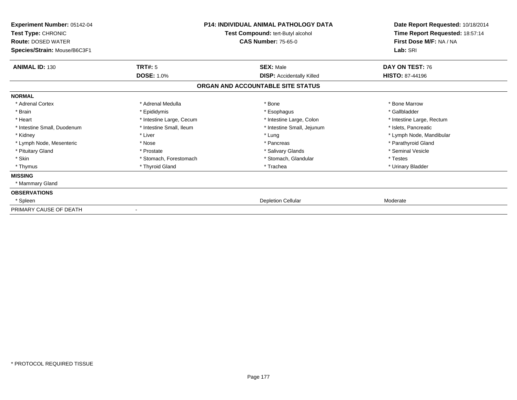| Experiment Number: 05142-04<br>Test Type: CHRONIC<br><b>Route: DOSED WATER</b><br>Species/Strain: Mouse/B6C3F1 | <b>P14: INDIVIDUAL ANIMAL PATHOLOGY DATA</b><br>Test Compound: tert-Butyl alcohol<br><b>CAS Number: 75-65-0</b> |                                   | Date Report Requested: 10/18/2014<br>Time Report Requested: 18:57:14<br>First Dose M/F: NA / NA<br>Lab: SRI |
|----------------------------------------------------------------------------------------------------------------|-----------------------------------------------------------------------------------------------------------------|-----------------------------------|-------------------------------------------------------------------------------------------------------------|
| <b>ANIMAL ID: 130</b>                                                                                          | TRT#: 5                                                                                                         | <b>SEX: Male</b>                  | DAY ON TEST: 76                                                                                             |
|                                                                                                                | <b>DOSE: 1.0%</b>                                                                                               | <b>DISP:</b> Accidentally Killed  | <b>HISTO: 87-44196</b>                                                                                      |
|                                                                                                                |                                                                                                                 | ORGAN AND ACCOUNTABLE SITE STATUS |                                                                                                             |
| <b>NORMAL</b>                                                                                                  |                                                                                                                 |                                   |                                                                                                             |
| * Adrenal Cortex                                                                                               | * Adrenal Medulla                                                                                               | * Bone                            | * Bone Marrow                                                                                               |
| * Brain                                                                                                        | * Epididymis                                                                                                    | * Esophagus                       | * Gallbladder                                                                                               |
| * Heart                                                                                                        | * Intestine Large, Cecum                                                                                        | * Intestine Large, Colon          | * Intestine Large, Rectum                                                                                   |
| * Intestine Small, Duodenum                                                                                    | * Intestine Small, Ileum                                                                                        | * Intestine Small, Jejunum        | * Islets, Pancreatic                                                                                        |
| * Kidney                                                                                                       | * Liver                                                                                                         | * Lung                            | * Lymph Node, Mandibular                                                                                    |
| * Lymph Node, Mesenteric                                                                                       | * Nose                                                                                                          | * Pancreas                        | * Parathyroid Gland                                                                                         |
| * Pituitary Gland                                                                                              | * Prostate                                                                                                      | * Salivary Glands                 | * Seminal Vesicle                                                                                           |
| * Skin                                                                                                         | * Stomach, Forestomach                                                                                          | * Stomach, Glandular              | * Testes                                                                                                    |
| * Thymus                                                                                                       | * Thyroid Gland                                                                                                 | * Trachea                         | * Urinary Bladder                                                                                           |
| <b>MISSING</b>                                                                                                 |                                                                                                                 |                                   |                                                                                                             |
| * Mammary Gland                                                                                                |                                                                                                                 |                                   |                                                                                                             |
| <b>OBSERVATIONS</b>                                                                                            |                                                                                                                 |                                   |                                                                                                             |
| * Spleen                                                                                                       |                                                                                                                 | <b>Depletion Cellular</b>         | Moderate                                                                                                    |
| PRIMARY CAUSE OF DEATH                                                                                         |                                                                                                                 |                                   |                                                                                                             |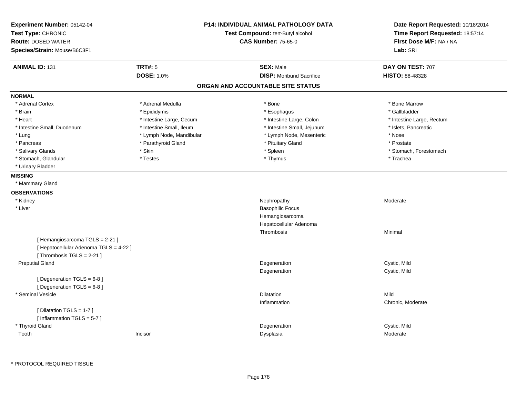| Experiment Number: 05142-04<br>Test Type: CHRONIC                                                   |                          | P14: INDIVIDUAL ANIMAL PATHOLOGY DATA<br>Test Compound: tert-Butyl alcohol | Date Report Requested: 10/18/2014<br>Time Report Requested: 18:57:14 |  |
|-----------------------------------------------------------------------------------------------------|--------------------------|----------------------------------------------------------------------------|----------------------------------------------------------------------|--|
| <b>Route: DOSED WATER</b>                                                                           |                          | <b>CAS Number: 75-65-0</b>                                                 | First Dose M/F: NA / NA                                              |  |
| Species/Strain: Mouse/B6C3F1                                                                        |                          |                                                                            | Lab: SRI                                                             |  |
| <b>ANIMAL ID: 131</b>                                                                               | TRT#: 5                  | <b>SEX: Male</b>                                                           | DAY ON TEST: 707                                                     |  |
|                                                                                                     | <b>DOSE: 1.0%</b>        | <b>DISP:</b> Moribund Sacrifice                                            | <b>HISTO: 88-48328</b>                                               |  |
|                                                                                                     |                          | ORGAN AND ACCOUNTABLE SITE STATUS                                          |                                                                      |  |
| <b>NORMAL</b>                                                                                       |                          |                                                                            |                                                                      |  |
| * Adrenal Cortex                                                                                    | * Adrenal Medulla        | * Bone                                                                     | * Bone Marrow                                                        |  |
| * Brain                                                                                             | * Epididymis             | * Esophagus                                                                | * Gallbladder                                                        |  |
| * Heart                                                                                             | * Intestine Large, Cecum | * Intestine Large, Colon                                                   | * Intestine Large, Rectum                                            |  |
| * Intestine Small, Duodenum                                                                         | * Intestine Small, Ileum | * Intestine Small, Jejunum                                                 | * Islets, Pancreatic                                                 |  |
| * Lung                                                                                              | * Lymph Node, Mandibular | * Lymph Node, Mesenteric                                                   | * Nose                                                               |  |
| * Pancreas                                                                                          | * Parathyroid Gland      | * Pituitary Gland                                                          | * Prostate                                                           |  |
| * Salivary Glands                                                                                   | * Skin                   | * Spleen                                                                   | * Stomach, Forestomach                                               |  |
| * Stomach, Glandular                                                                                | * Testes                 | * Thymus                                                                   | * Trachea                                                            |  |
| * Urinary Bladder                                                                                   |                          |                                                                            |                                                                      |  |
| <b>MISSING</b>                                                                                      |                          |                                                                            |                                                                      |  |
| * Mammary Gland                                                                                     |                          |                                                                            |                                                                      |  |
| <b>OBSERVATIONS</b>                                                                                 |                          |                                                                            |                                                                      |  |
| * Kidney                                                                                            |                          | Nephropathy                                                                | Moderate                                                             |  |
| $*$ Liver                                                                                           |                          | <b>Basophilic Focus</b>                                                    |                                                                      |  |
|                                                                                                     |                          | Hemangiosarcoma                                                            |                                                                      |  |
|                                                                                                     |                          | Hepatocellular Adenoma                                                     |                                                                      |  |
|                                                                                                     |                          | Thrombosis                                                                 | Minimal                                                              |  |
| [Hemangiosarcoma TGLS = 2-21]<br>[ Hepatocellular Adenoma TGLS = 4-22 ]<br>[Thrombosis TGLS = 2-21] |                          |                                                                            |                                                                      |  |
| <b>Preputial Gland</b>                                                                              |                          | Degeneration                                                               | Cystic, Mild                                                         |  |
|                                                                                                     |                          | Degeneration                                                               | Cystic, Mild                                                         |  |
| [Degeneration TGLS = 6-8]<br>[ Degeneration TGLS = 6-8 ]                                            |                          |                                                                            |                                                                      |  |
| * Seminal Vesicle                                                                                   |                          | Dilatation                                                                 | Mild                                                                 |  |
|                                                                                                     |                          | Inflammation                                                               | Chronic, Moderate                                                    |  |
| [ Dilatation TGLS = 1-7 ]<br>[Inflammation TGLS = 5-7]                                              |                          |                                                                            |                                                                      |  |
| * Thyroid Gland                                                                                     |                          | Degeneration                                                               | Cystic, Mild                                                         |  |
| Tooth                                                                                               | Incisor                  | Dysplasia                                                                  | Moderate                                                             |  |
|                                                                                                     |                          |                                                                            |                                                                      |  |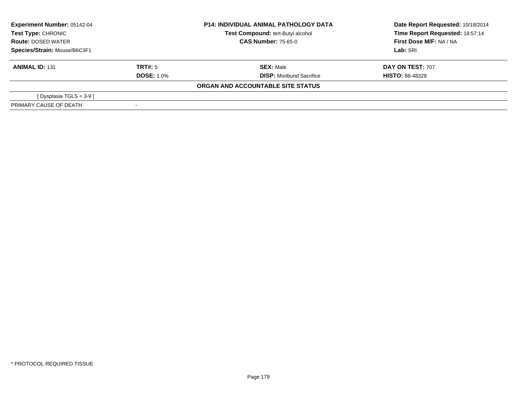| <b>Experiment Number: 05142-04</b><br>Test Type: CHRONIC<br><b>Route: DOSED WATER</b><br>Species/Strain: Mouse/B6C3F1 |                   | <b>P14: INDIVIDUAL ANIMAL PATHOLOGY DATA</b> | Date Report Requested: 10/18/2014 |  |
|-----------------------------------------------------------------------------------------------------------------------|-------------------|----------------------------------------------|-----------------------------------|--|
|                                                                                                                       |                   | Test Compound: tert-Butyl alcohol            | Time Report Requested: 18:57:14   |  |
|                                                                                                                       |                   | <b>CAS Number: 75-65-0</b>                   | First Dose M/F: NA / NA           |  |
|                                                                                                                       |                   |                                              | Lab: SRI                          |  |
| <b>ANIMAL ID: 131</b>                                                                                                 | TRT#: 5           | <b>SEX: Male</b>                             | <b>DAY ON TEST: 707</b>           |  |
|                                                                                                                       | <b>DOSE: 1.0%</b> | <b>DISP:</b> Moribund Sacrifice              | <b>HISTO: 88-48328</b>            |  |
|                                                                                                                       |                   | ORGAN AND ACCOUNTABLE SITE STATUS            |                                   |  |
| [ Dysplasia TGLS = 3-9 ]                                                                                              |                   |                                              |                                   |  |
| PRIMARY CAUSE OF DEATH                                                                                                |                   |                                              |                                   |  |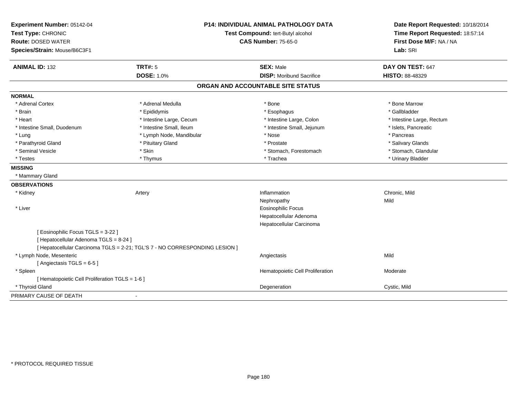| Experiment Number: 05142-04                                                 |                                   | <b>P14: INDIVIDUAL ANIMAL PATHOLOGY DATA</b> | Date Report Requested: 10/18/2014 |
|-----------------------------------------------------------------------------|-----------------------------------|----------------------------------------------|-----------------------------------|
| Test Type: CHRONIC                                                          | Test Compound: tert-Butyl alcohol |                                              | Time Report Requested: 18:57:14   |
| <b>Route: DOSED WATER</b>                                                   |                                   | <b>CAS Number: 75-65-0</b>                   | First Dose M/F: NA / NA           |
| Species/Strain: Mouse/B6C3F1                                                |                                   |                                              | Lab: SRI                          |
| <b>ANIMAL ID: 132</b>                                                       | <b>TRT#: 5</b>                    | <b>SEX: Male</b>                             | DAY ON TEST: 647                  |
|                                                                             | <b>DOSE: 1.0%</b>                 | <b>DISP:</b> Moribund Sacrifice              | HISTO: 88-48329                   |
|                                                                             |                                   | ORGAN AND ACCOUNTABLE SITE STATUS            |                                   |
| <b>NORMAL</b>                                                               |                                   |                                              |                                   |
| * Adrenal Cortex                                                            | * Adrenal Medulla                 | * Bone                                       | * Bone Marrow                     |
| * Brain                                                                     | * Epididymis                      | * Esophagus                                  | * Gallbladder                     |
| * Heart                                                                     | * Intestine Large, Cecum          | * Intestine Large, Colon                     | * Intestine Large, Rectum         |
| * Intestine Small, Duodenum                                                 | * Intestine Small, Ileum          | * Intestine Small, Jejunum                   | * Islets, Pancreatic              |
| * Lung                                                                      | * Lymph Node, Mandibular          | * Nose                                       | * Pancreas                        |
| * Parathyroid Gland                                                         | * Pituitary Gland                 | * Prostate                                   | * Salivary Glands                 |
| * Seminal Vesicle                                                           | * Skin                            | * Stomach, Forestomach                       | * Stomach, Glandular              |
| * Testes                                                                    | * Thymus                          | * Trachea                                    | * Urinary Bladder                 |
| <b>MISSING</b>                                                              |                                   |                                              |                                   |
| * Mammary Gland                                                             |                                   |                                              |                                   |
| <b>OBSERVATIONS</b>                                                         |                                   |                                              |                                   |
| * Kidney<br>Artery                                                          |                                   | Inflammation                                 | Chronic, Mild                     |
|                                                                             |                                   | Nephropathy                                  | Mild                              |
| * Liver                                                                     |                                   | <b>Eosinophilic Focus</b>                    |                                   |
|                                                                             |                                   | Hepatocellular Adenoma                       |                                   |
|                                                                             |                                   | Hepatocellular Carcinoma                     |                                   |
| [ Eosinophilic Focus TGLS = 3-22 ]                                          |                                   |                                              |                                   |
| [ Hepatocellular Adenoma TGLS = 8-24 ]                                      |                                   |                                              |                                   |
| [ Hepatocellular Carcinoma TGLS = 2-21; TGL'S 7 - NO CORRESPONDING LESION ] |                                   |                                              |                                   |
| * Lymph Node, Mesenteric                                                    |                                   | Angiectasis                                  | Mild                              |
| [Angiectasis TGLS = 6-5]                                                    |                                   |                                              |                                   |
| * Spleen                                                                    |                                   | Hematopoietic Cell Proliferation             | Moderate                          |
| [ Hematopoietic Cell Proliferation TGLS = 1-6 ]                             |                                   |                                              |                                   |
| * Thyroid Gland                                                             |                                   | Degeneration                                 | Cystic, Mild                      |
| PRIMARY CAUSE OF DEATH<br>$\blacksquare$                                    |                                   |                                              |                                   |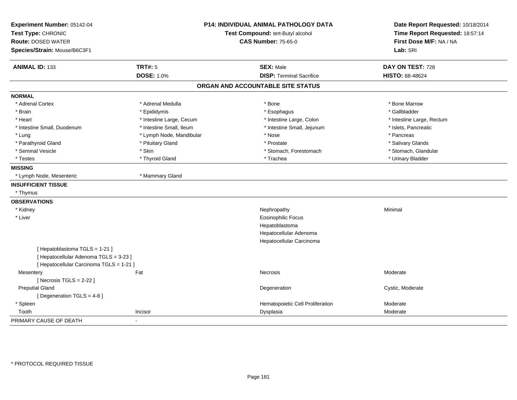| Experiment Number: 05142-04<br>Test Type: CHRONIC<br><b>Route: DOSED WATER</b><br>Species/Strain: Mouse/B6C3F1     | <b>P14: INDIVIDUAL ANIMAL PATHOLOGY DATA</b><br>Test Compound: tert-Butyl alcohol<br><b>CAS Number: 75-65-0</b> |                                   | Date Report Requested: 10/18/2014<br>Time Report Requested: 18:57:14<br>First Dose M/F: NA / NA<br>Lab: SRI |
|--------------------------------------------------------------------------------------------------------------------|-----------------------------------------------------------------------------------------------------------------|-----------------------------------|-------------------------------------------------------------------------------------------------------------|
| <b>ANIMAL ID: 133</b>                                                                                              | <b>TRT#: 5</b>                                                                                                  | <b>SEX: Male</b>                  | DAY ON TEST: 728                                                                                            |
|                                                                                                                    | <b>DOSE: 1.0%</b>                                                                                               | <b>DISP: Terminal Sacrifice</b>   | HISTO: 88-48624                                                                                             |
|                                                                                                                    |                                                                                                                 | ORGAN AND ACCOUNTABLE SITE STATUS |                                                                                                             |
| <b>NORMAL</b>                                                                                                      |                                                                                                                 |                                   |                                                                                                             |
| * Adrenal Cortex                                                                                                   | * Adrenal Medulla                                                                                               | * Bone                            | * Bone Marrow                                                                                               |
| * Brain                                                                                                            | * Epididymis                                                                                                    | * Esophagus                       | * Gallbladder                                                                                               |
| * Heart                                                                                                            | * Intestine Large, Cecum                                                                                        | * Intestine Large, Colon          | * Intestine Large, Rectum                                                                                   |
| * Intestine Small, Duodenum                                                                                        | * Intestine Small, Ileum                                                                                        | * Intestine Small, Jejunum        | * Islets, Pancreatic                                                                                        |
| * Lung                                                                                                             | * Lymph Node, Mandibular                                                                                        | * Nose                            | * Pancreas                                                                                                  |
| * Parathyroid Gland                                                                                                | * Pituitary Gland                                                                                               | * Prostate                        | * Salivary Glands                                                                                           |
| * Seminal Vesicle                                                                                                  | * Skin                                                                                                          | * Stomach, Forestomach            | * Stomach, Glandular                                                                                        |
| * Testes                                                                                                           | * Thyroid Gland                                                                                                 | * Trachea                         | * Urinary Bladder                                                                                           |
| <b>MISSING</b>                                                                                                     |                                                                                                                 |                                   |                                                                                                             |
| * Lymph Node, Mesenteric                                                                                           | * Mammary Gland                                                                                                 |                                   |                                                                                                             |
| <b>INSUFFICIENT TISSUE</b>                                                                                         |                                                                                                                 |                                   |                                                                                                             |
| * Thymus                                                                                                           |                                                                                                                 |                                   |                                                                                                             |
| <b>OBSERVATIONS</b>                                                                                                |                                                                                                                 |                                   |                                                                                                             |
| * Kidney                                                                                                           |                                                                                                                 | Nephropathy                       | Minimal                                                                                                     |
| * Liver                                                                                                            |                                                                                                                 | <b>Eosinophilic Focus</b>         |                                                                                                             |
|                                                                                                                    |                                                                                                                 | Hepatoblastoma                    |                                                                                                             |
|                                                                                                                    |                                                                                                                 | Hepatocellular Adenoma            |                                                                                                             |
|                                                                                                                    |                                                                                                                 | Hepatocellular Carcinoma          |                                                                                                             |
| [Hepatoblastoma TGLS = 1-21]<br>[ Hepatocellular Adenoma TGLS = 3-23 ]<br>[ Hepatocellular Carcinoma TGLS = 1-21 ] |                                                                                                                 |                                   |                                                                                                             |
| Mesentery                                                                                                          | Fat                                                                                                             | Necrosis                          | Moderate                                                                                                    |
| [ Necrosis $TGLS = 2-22$ ]                                                                                         |                                                                                                                 |                                   |                                                                                                             |
| <b>Preputial Gland</b>                                                                                             |                                                                                                                 | Degeneration                      | Cystic, Moderate                                                                                            |
| [ Degeneration TGLS = 4-8 ]                                                                                        |                                                                                                                 |                                   |                                                                                                             |
| * Spleen                                                                                                           |                                                                                                                 | Hematopoietic Cell Proliferation  | Moderate                                                                                                    |
| Tooth                                                                                                              | Incisor                                                                                                         | Dysplasia                         | Moderate                                                                                                    |
| PRIMARY CAUSE OF DEATH                                                                                             |                                                                                                                 |                                   |                                                                                                             |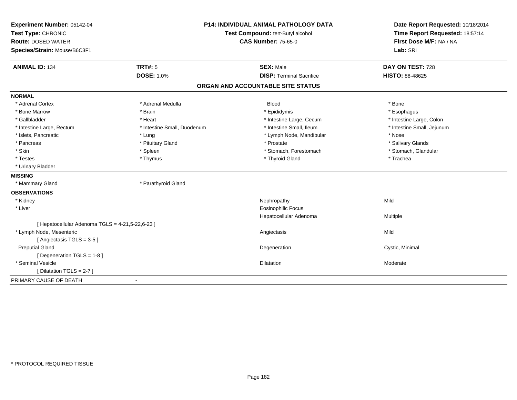| Test Type: CHRONIC<br>Test Compound: tert-Butyl alcohol<br>Time Report Requested: 18:57:14<br>First Dose M/F: NA / NA<br><b>Route: DOSED WATER</b><br><b>CAS Number: 75-65-0</b><br>Lab: SRI<br>Species/Strain: Mouse/B6C3F1<br><b>TRT#: 5</b><br><b>ANIMAL ID: 134</b><br><b>SEX: Male</b><br>DAY ON TEST: 728<br><b>DOSE: 1.0%</b><br><b>DISP: Terminal Sacrifice</b><br>HISTO: 88-48625<br>ORGAN AND ACCOUNTABLE SITE STATUS<br><b>NORMAL</b><br>* Adrenal Cortex<br>* Adrenal Medulla<br><b>Blood</b><br>* Bone<br>* Bone Marrow<br>* Brain<br>* Epididymis<br>* Esophagus<br>* Gallbladder<br>* Heart<br>* Intestine Large, Cecum<br>* Intestine Large, Colon<br>* Intestine Large, Rectum<br>* Intestine Small, Duodenum<br>* Intestine Small, Ileum<br>* Intestine Small, Jejunum<br>* Islets, Pancreatic<br>* Lung<br>* Lymph Node, Mandibular<br>* Nose<br>* Pancreas<br>* Pituitary Gland<br>* Prostate<br>* Salivary Glands<br>* Skin<br>* Stomach, Glandular<br>* Spleen<br>* Stomach, Forestomach<br>* Thyroid Gland<br>* Testes<br>* Thymus<br>* Trachea<br>* Urinary Bladder<br><b>MISSING</b><br>* Parathyroid Gland<br>* Mammary Gland<br><b>OBSERVATIONS</b><br>* Kidney<br>Mild<br>Nephropathy<br>* Liver<br><b>Eosinophilic Focus</b><br>Hepatocellular Adenoma<br>Multiple<br>[ Hepatocellular Adenoma TGLS = 4-21,5-22,6-23 ]<br>* Lymph Node, Mesenteric<br>Mild<br>Angiectasis<br>[Angiectasis TGLS = 3-5]<br><b>Preputial Gland</b><br>Cystic, Minimal<br>Degeneration<br>[ Degeneration TGLS = 1-8 ]<br>* Seminal Vesicle<br><b>Dilatation</b><br>Moderate | Experiment Number: 05142-04 | <b>P14: INDIVIDUAL ANIMAL PATHOLOGY DATA</b> | Date Report Requested: 10/18/2014 |
|--------------------------------------------------------------------------------------------------------------------------------------------------------------------------------------------------------------------------------------------------------------------------------------------------------------------------------------------------------------------------------------------------------------------------------------------------------------------------------------------------------------------------------------------------------------------------------------------------------------------------------------------------------------------------------------------------------------------------------------------------------------------------------------------------------------------------------------------------------------------------------------------------------------------------------------------------------------------------------------------------------------------------------------------------------------------------------------------------------------------------------------------------------------------------------------------------------------------------------------------------------------------------------------------------------------------------------------------------------------------------------------------------------------------------------------------------------------------------------------------------------------------------------------------------------------------------------------|-----------------------------|----------------------------------------------|-----------------------------------|
|                                                                                                                                                                                                                                                                                                                                                                                                                                                                                                                                                                                                                                                                                                                                                                                                                                                                                                                                                                                                                                                                                                                                                                                                                                                                                                                                                                                                                                                                                                                                                                                      |                             |                                              |                                   |
|                                                                                                                                                                                                                                                                                                                                                                                                                                                                                                                                                                                                                                                                                                                                                                                                                                                                                                                                                                                                                                                                                                                                                                                                                                                                                                                                                                                                                                                                                                                                                                                      |                             |                                              |                                   |
|                                                                                                                                                                                                                                                                                                                                                                                                                                                                                                                                                                                                                                                                                                                                                                                                                                                                                                                                                                                                                                                                                                                                                                                                                                                                                                                                                                                                                                                                                                                                                                                      |                             |                                              |                                   |
|                                                                                                                                                                                                                                                                                                                                                                                                                                                                                                                                                                                                                                                                                                                                                                                                                                                                                                                                                                                                                                                                                                                                                                                                                                                                                                                                                                                                                                                                                                                                                                                      |                             |                                              |                                   |
|                                                                                                                                                                                                                                                                                                                                                                                                                                                                                                                                                                                                                                                                                                                                                                                                                                                                                                                                                                                                                                                                                                                                                                                                                                                                                                                                                                                                                                                                                                                                                                                      |                             |                                              |                                   |
|                                                                                                                                                                                                                                                                                                                                                                                                                                                                                                                                                                                                                                                                                                                                                                                                                                                                                                                                                                                                                                                                                                                                                                                                                                                                                                                                                                                                                                                                                                                                                                                      |                             |                                              |                                   |
|                                                                                                                                                                                                                                                                                                                                                                                                                                                                                                                                                                                                                                                                                                                                                                                                                                                                                                                                                                                                                                                                                                                                                                                                                                                                                                                                                                                                                                                                                                                                                                                      |                             |                                              |                                   |
|                                                                                                                                                                                                                                                                                                                                                                                                                                                                                                                                                                                                                                                                                                                                                                                                                                                                                                                                                                                                                                                                                                                                                                                                                                                                                                                                                                                                                                                                                                                                                                                      |                             |                                              |                                   |
|                                                                                                                                                                                                                                                                                                                                                                                                                                                                                                                                                                                                                                                                                                                                                                                                                                                                                                                                                                                                                                                                                                                                                                                                                                                                                                                                                                                                                                                                                                                                                                                      |                             |                                              |                                   |
|                                                                                                                                                                                                                                                                                                                                                                                                                                                                                                                                                                                                                                                                                                                                                                                                                                                                                                                                                                                                                                                                                                                                                                                                                                                                                                                                                                                                                                                                                                                                                                                      |                             |                                              |                                   |
|                                                                                                                                                                                                                                                                                                                                                                                                                                                                                                                                                                                                                                                                                                                                                                                                                                                                                                                                                                                                                                                                                                                                                                                                                                                                                                                                                                                                                                                                                                                                                                                      |                             |                                              |                                   |
|                                                                                                                                                                                                                                                                                                                                                                                                                                                                                                                                                                                                                                                                                                                                                                                                                                                                                                                                                                                                                                                                                                                                                                                                                                                                                                                                                                                                                                                                                                                                                                                      |                             |                                              |                                   |
|                                                                                                                                                                                                                                                                                                                                                                                                                                                                                                                                                                                                                                                                                                                                                                                                                                                                                                                                                                                                                                                                                                                                                                                                                                                                                                                                                                                                                                                                                                                                                                                      |                             |                                              |                                   |
|                                                                                                                                                                                                                                                                                                                                                                                                                                                                                                                                                                                                                                                                                                                                                                                                                                                                                                                                                                                                                                                                                                                                                                                                                                                                                                                                                                                                                                                                                                                                                                                      |                             |                                              |                                   |
|                                                                                                                                                                                                                                                                                                                                                                                                                                                                                                                                                                                                                                                                                                                                                                                                                                                                                                                                                                                                                                                                                                                                                                                                                                                                                                                                                                                                                                                                                                                                                                                      |                             |                                              |                                   |
|                                                                                                                                                                                                                                                                                                                                                                                                                                                                                                                                                                                                                                                                                                                                                                                                                                                                                                                                                                                                                                                                                                                                                                                                                                                                                                                                                                                                                                                                                                                                                                                      |                             |                                              |                                   |
|                                                                                                                                                                                                                                                                                                                                                                                                                                                                                                                                                                                                                                                                                                                                                                                                                                                                                                                                                                                                                                                                                                                                                                                                                                                                                                                                                                                                                                                                                                                                                                                      |                             |                                              |                                   |
|                                                                                                                                                                                                                                                                                                                                                                                                                                                                                                                                                                                                                                                                                                                                                                                                                                                                                                                                                                                                                                                                                                                                                                                                                                                                                                                                                                                                                                                                                                                                                                                      |                             |                                              |                                   |
|                                                                                                                                                                                                                                                                                                                                                                                                                                                                                                                                                                                                                                                                                                                                                                                                                                                                                                                                                                                                                                                                                                                                                                                                                                                                                                                                                                                                                                                                                                                                                                                      |                             |                                              |                                   |
|                                                                                                                                                                                                                                                                                                                                                                                                                                                                                                                                                                                                                                                                                                                                                                                                                                                                                                                                                                                                                                                                                                                                                                                                                                                                                                                                                                                                                                                                                                                                                                                      |                             |                                              |                                   |
|                                                                                                                                                                                                                                                                                                                                                                                                                                                                                                                                                                                                                                                                                                                                                                                                                                                                                                                                                                                                                                                                                                                                                                                                                                                                                                                                                                                                                                                                                                                                                                                      |                             |                                              |                                   |
|                                                                                                                                                                                                                                                                                                                                                                                                                                                                                                                                                                                                                                                                                                                                                                                                                                                                                                                                                                                                                                                                                                                                                                                                                                                                                                                                                                                                                                                                                                                                                                                      |                             |                                              |                                   |
|                                                                                                                                                                                                                                                                                                                                                                                                                                                                                                                                                                                                                                                                                                                                                                                                                                                                                                                                                                                                                                                                                                                                                                                                                                                                                                                                                                                                                                                                                                                                                                                      |                             |                                              |                                   |
|                                                                                                                                                                                                                                                                                                                                                                                                                                                                                                                                                                                                                                                                                                                                                                                                                                                                                                                                                                                                                                                                                                                                                                                                                                                                                                                                                                                                                                                                                                                                                                                      |                             |                                              |                                   |
|                                                                                                                                                                                                                                                                                                                                                                                                                                                                                                                                                                                                                                                                                                                                                                                                                                                                                                                                                                                                                                                                                                                                                                                                                                                                                                                                                                                                                                                                                                                                                                                      |                             |                                              |                                   |
|                                                                                                                                                                                                                                                                                                                                                                                                                                                                                                                                                                                                                                                                                                                                                                                                                                                                                                                                                                                                                                                                                                                                                                                                                                                                                                                                                                                                                                                                                                                                                                                      |                             |                                              |                                   |
|                                                                                                                                                                                                                                                                                                                                                                                                                                                                                                                                                                                                                                                                                                                                                                                                                                                                                                                                                                                                                                                                                                                                                                                                                                                                                                                                                                                                                                                                                                                                                                                      |                             |                                              |                                   |
|                                                                                                                                                                                                                                                                                                                                                                                                                                                                                                                                                                                                                                                                                                                                                                                                                                                                                                                                                                                                                                                                                                                                                                                                                                                                                                                                                                                                                                                                                                                                                                                      |                             |                                              |                                   |
| [ Dilatation TGLS = 2-7 ]                                                                                                                                                                                                                                                                                                                                                                                                                                                                                                                                                                                                                                                                                                                                                                                                                                                                                                                                                                                                                                                                                                                                                                                                                                                                                                                                                                                                                                                                                                                                                            |                             |                                              |                                   |
| PRIMARY CAUSE OF DEATH                                                                                                                                                                                                                                                                                                                                                                                                                                                                                                                                                                                                                                                                                                                                                                                                                                                                                                                                                                                                                                                                                                                                                                                                                                                                                                                                                                                                                                                                                                                                                               |                             |                                              |                                   |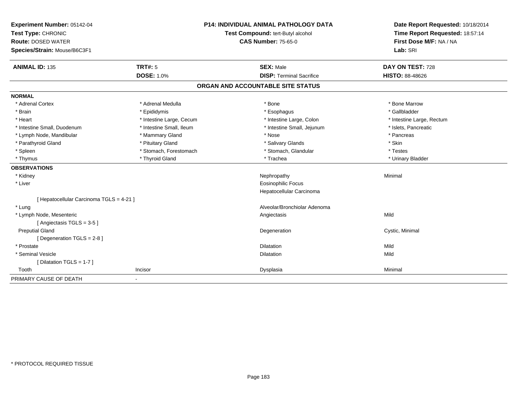| Experiment Number: 05142-04              |                          | <b>P14: INDIVIDUAL ANIMAL PATHOLOGY DATA</b> | Date Report Requested: 10/18/2014 |
|------------------------------------------|--------------------------|----------------------------------------------|-----------------------------------|
| Test Type: CHRONIC                       |                          | Test Compound: tert-Butyl alcohol            | Time Report Requested: 18:57:14   |
| <b>Route: DOSED WATER</b>                |                          | <b>CAS Number: 75-65-0</b>                   | First Dose M/F: NA / NA           |
| Species/Strain: Mouse/B6C3F1             |                          |                                              | Lab: SRI                          |
| <b>ANIMAL ID: 135</b>                    | <b>TRT#: 5</b>           | <b>SEX: Male</b>                             | DAY ON TEST: 728                  |
|                                          | <b>DOSE: 1.0%</b>        | <b>DISP: Terminal Sacrifice</b>              | <b>HISTO: 88-48626</b>            |
|                                          |                          | ORGAN AND ACCOUNTABLE SITE STATUS            |                                   |
| <b>NORMAL</b>                            |                          |                                              |                                   |
| * Adrenal Cortex                         | * Adrenal Medulla        | * Bone                                       | * Bone Marrow                     |
| * Brain                                  | * Epididymis             | * Esophagus                                  | * Gallbladder                     |
| * Heart                                  | * Intestine Large, Cecum | * Intestine Large, Colon                     | * Intestine Large, Rectum         |
| * Intestine Small, Duodenum              | * Intestine Small, Ileum | * Intestine Small, Jejunum                   | * Islets, Pancreatic              |
| * Lymph Node, Mandibular                 | * Mammary Gland          | * Nose                                       | * Pancreas                        |
| * Parathyroid Gland                      | * Pituitary Gland        | * Salivary Glands                            | * Skin                            |
| * Spleen                                 | * Stomach, Forestomach   | * Stomach, Glandular                         | * Testes                          |
| * Thymus                                 | * Thyroid Gland          | * Trachea                                    | * Urinary Bladder                 |
| <b>OBSERVATIONS</b>                      |                          |                                              |                                   |
| * Kidney                                 |                          | Nephropathy                                  | Minimal                           |
| * Liver                                  |                          | <b>Eosinophilic Focus</b>                    |                                   |
|                                          |                          | Hepatocellular Carcinoma                     |                                   |
| [ Hepatocellular Carcinoma TGLS = 4-21 ] |                          |                                              |                                   |
| * Lung                                   |                          | Alveolar/Bronchiolar Adenoma                 |                                   |
| * Lymph Node, Mesenteric                 |                          | Angiectasis                                  | Mild                              |
| [Angiectasis TGLS = 3-5]                 |                          |                                              |                                   |
| <b>Preputial Gland</b>                   |                          | Degeneration                                 | Cystic, Minimal                   |
| [ Degeneration TGLS = 2-8 ]              |                          |                                              |                                   |
| * Prostate                               |                          | <b>Dilatation</b>                            | Mild                              |
| * Seminal Vesicle                        |                          | Dilatation                                   | Mild                              |
| [Dilatation TGLS = 1-7]                  |                          |                                              |                                   |
| Tooth                                    | Incisor                  | Dysplasia                                    | Minimal                           |
| PRIMARY CAUSE OF DEATH                   |                          |                                              |                                   |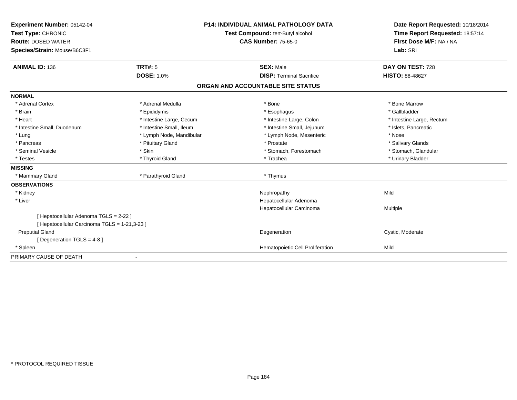| Experiment Number: 05142-04                                                             |                          | <b>P14: INDIVIDUAL ANIMAL PATHOLOGY DATA</b> | Date Report Requested: 10/18/2014                          |
|-----------------------------------------------------------------------------------------|--------------------------|----------------------------------------------|------------------------------------------------------------|
| Test Type: CHRONIC                                                                      |                          | Test Compound: tert-Butyl alcohol            | Time Report Requested: 18:57:14<br>First Dose M/F: NA / NA |
| <b>Route: DOSED WATER</b>                                                               |                          | <b>CAS Number: 75-65-0</b>                   |                                                            |
| Species/Strain: Mouse/B6C3F1                                                            |                          |                                              | Lab: SRI                                                   |
| <b>ANIMAL ID: 136</b>                                                                   | TRT#: 5                  | <b>SEX: Male</b>                             | DAY ON TEST: 728                                           |
|                                                                                         | <b>DOSE: 1.0%</b>        | <b>DISP: Terminal Sacrifice</b>              | <b>HISTO: 88-48627</b>                                     |
|                                                                                         |                          | ORGAN AND ACCOUNTABLE SITE STATUS            |                                                            |
| <b>NORMAL</b>                                                                           |                          |                                              |                                                            |
| * Adrenal Cortex                                                                        | * Adrenal Medulla        | * Bone                                       | * Bone Marrow                                              |
| * Brain                                                                                 | * Epididymis             | * Esophagus                                  | * Gallbladder                                              |
| * Heart                                                                                 | * Intestine Large, Cecum | * Intestine Large, Colon                     | * Intestine Large, Rectum                                  |
| * Intestine Small, Duodenum                                                             | * Intestine Small, Ileum | * Intestine Small, Jejunum                   | * Islets, Pancreatic                                       |
| * Lung                                                                                  | * Lymph Node, Mandibular | * Lymph Node, Mesenteric                     | * Nose                                                     |
| * Pancreas                                                                              | * Pituitary Gland        | * Prostate                                   | * Salivary Glands                                          |
| * Seminal Vesicle                                                                       | * Skin                   | * Stomach, Forestomach                       | * Stomach, Glandular                                       |
| * Testes                                                                                | * Thyroid Gland          | * Trachea                                    | * Urinary Bladder                                          |
| <b>MISSING</b>                                                                          |                          |                                              |                                                            |
| * Mammary Gland                                                                         | * Parathyroid Gland      | * Thymus                                     |                                                            |
| <b>OBSERVATIONS</b>                                                                     |                          |                                              |                                                            |
| * Kidney                                                                                |                          | Nephropathy                                  | Mild                                                       |
| * Liver                                                                                 |                          | Hepatocellular Adenoma                       |                                                            |
|                                                                                         |                          | Hepatocellular Carcinoma                     | Multiple                                                   |
| [ Hepatocellular Adenoma TGLS = 2-22 ]<br>[ Hepatocellular Carcinoma TGLS = 1-21,3-23 ] |                          |                                              |                                                            |
| <b>Preputial Gland</b>                                                                  |                          | Degeneration                                 | Cystic, Moderate                                           |
| [ Degeneration TGLS = 4-8 ]                                                             |                          |                                              |                                                            |
| * Spleen                                                                                |                          | Hematopoietic Cell Proliferation             | Mild                                                       |
| PRIMARY CAUSE OF DEATH                                                                  |                          |                                              |                                                            |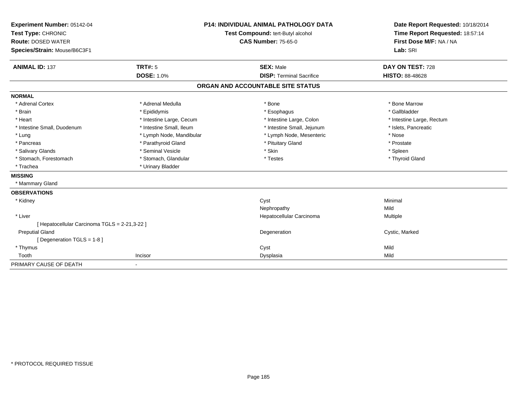| Experiment Number: 05142-04                   | <b>P14: INDIVIDUAL ANIMAL PATHOLOGY DATA</b><br>Test Compound: tert-Butyl alcohol<br><b>CAS Number: 75-65-0</b> |                                   | Date Report Requested: 10/18/2014 |
|-----------------------------------------------|-----------------------------------------------------------------------------------------------------------------|-----------------------------------|-----------------------------------|
| Test Type: CHRONIC                            |                                                                                                                 |                                   | Time Report Requested: 18:57:14   |
| <b>Route: DOSED WATER</b>                     |                                                                                                                 |                                   | First Dose M/F: NA / NA           |
| Species/Strain: Mouse/B6C3F1                  |                                                                                                                 |                                   | Lab: SRI                          |
|                                               |                                                                                                                 |                                   |                                   |
| <b>ANIMAL ID: 137</b>                         | <b>TRT#: 5</b>                                                                                                  | <b>SEX: Male</b>                  | DAY ON TEST: 728                  |
|                                               | <b>DOSE: 1.0%</b>                                                                                               | <b>DISP: Terminal Sacrifice</b>   | <b>HISTO: 88-48628</b>            |
|                                               |                                                                                                                 | ORGAN AND ACCOUNTABLE SITE STATUS |                                   |
| <b>NORMAL</b>                                 |                                                                                                                 |                                   |                                   |
| * Adrenal Cortex                              | * Adrenal Medulla                                                                                               | * Bone                            | * Bone Marrow                     |
| * Brain                                       | * Epididymis                                                                                                    | * Esophagus                       | * Gallbladder                     |
| * Heart                                       | * Intestine Large, Cecum                                                                                        | * Intestine Large, Colon          | * Intestine Large, Rectum         |
| * Intestine Small, Duodenum                   | * Intestine Small, Ileum                                                                                        | * Intestine Small, Jejunum        | * Islets, Pancreatic              |
| * Lung                                        | * Lymph Node, Mandibular                                                                                        | * Lymph Node, Mesenteric          | * Nose                            |
| * Pancreas                                    | * Parathyroid Gland                                                                                             | * Pituitary Gland                 | * Prostate                        |
| * Salivary Glands                             | * Seminal Vesicle                                                                                               | * Skin                            | * Spleen                          |
| * Stomach, Forestomach                        | * Stomach, Glandular                                                                                            | * Testes                          | * Thyroid Gland                   |
| * Trachea                                     | * Urinary Bladder                                                                                               |                                   |                                   |
| <b>MISSING</b>                                |                                                                                                                 |                                   |                                   |
| * Mammary Gland                               |                                                                                                                 |                                   |                                   |
| <b>OBSERVATIONS</b>                           |                                                                                                                 |                                   |                                   |
| * Kidney                                      |                                                                                                                 | Cyst                              | Minimal                           |
|                                               |                                                                                                                 | Nephropathy                       | Mild                              |
| * Liver                                       |                                                                                                                 | Hepatocellular Carcinoma          | Multiple                          |
| [ Hepatocellular Carcinoma TGLS = 2-21,3-22 ] |                                                                                                                 |                                   |                                   |
| <b>Preputial Gland</b>                        |                                                                                                                 | Degeneration                      | Cystic, Marked                    |
| [Degeneration TGLS = 1-8]                     |                                                                                                                 |                                   |                                   |
| * Thymus                                      |                                                                                                                 | Cyst                              | Mild                              |
| Tooth                                         | Incisor                                                                                                         | Dysplasia                         | Mild                              |
| PRIMARY CAUSE OF DEATH                        | $\overline{\phantom{a}}$                                                                                        |                                   |                                   |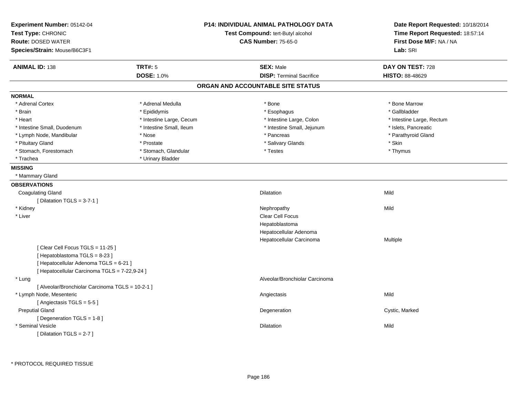| Experiment Number: 05142-04<br>Test Type: CHRONIC<br>Route: DOSED WATER |                          | <b>P14: INDIVIDUAL ANIMAL PATHOLOGY DATA</b><br>Test Compound: tert-Butyl alcohol<br><b>CAS Number: 75-65-0</b> | Date Report Requested: 10/18/2014<br>Time Report Requested: 18:57:14<br>First Dose M/F: NA / NA<br>Lab: SRI |
|-------------------------------------------------------------------------|--------------------------|-----------------------------------------------------------------------------------------------------------------|-------------------------------------------------------------------------------------------------------------|
| Species/Strain: Mouse/B6C3F1                                            |                          |                                                                                                                 |                                                                                                             |
| <b>ANIMAL ID: 138</b>                                                   | <b>TRT#: 5</b>           | <b>SEX: Male</b>                                                                                                | DAY ON TEST: 728                                                                                            |
|                                                                         | <b>DOSE: 1.0%</b>        | <b>DISP: Terminal Sacrifice</b>                                                                                 | <b>HISTO: 88-48629</b>                                                                                      |
|                                                                         |                          | ORGAN AND ACCOUNTABLE SITE STATUS                                                                               |                                                                                                             |
| <b>NORMAL</b>                                                           |                          |                                                                                                                 |                                                                                                             |
| * Adrenal Cortex                                                        | * Adrenal Medulla        | * Bone                                                                                                          | * Bone Marrow                                                                                               |
| * Brain                                                                 | * Epididymis             | * Esophagus                                                                                                     | * Gallbladder                                                                                               |
| * Heart                                                                 | * Intestine Large, Cecum | * Intestine Large, Colon                                                                                        | * Intestine Large, Rectum                                                                                   |
| * Intestine Small, Duodenum                                             | * Intestine Small, Ileum | * Intestine Small, Jejunum                                                                                      | * Islets, Pancreatic                                                                                        |
| * Lymph Node, Mandibular                                                | * Nose                   | * Pancreas                                                                                                      | * Parathyroid Gland                                                                                         |
| * Pituitary Gland                                                       | * Prostate               | * Salivary Glands                                                                                               | * Skin                                                                                                      |
| * Stomach, Forestomach                                                  | * Stomach, Glandular     | * Testes                                                                                                        | * Thymus                                                                                                    |
| * Trachea                                                               | * Urinary Bladder        |                                                                                                                 |                                                                                                             |
| <b>MISSING</b>                                                          |                          |                                                                                                                 |                                                                                                             |
| * Mammary Gland                                                         |                          |                                                                                                                 |                                                                                                             |
| <b>OBSERVATIONS</b>                                                     |                          |                                                                                                                 |                                                                                                             |
| <b>Coagulating Gland</b>                                                |                          | Dilatation                                                                                                      | Mild                                                                                                        |
| [ Dilatation TGLS = $3-7-1$ ]                                           |                          |                                                                                                                 |                                                                                                             |
| * Kidney                                                                |                          | Nephropathy                                                                                                     | Mild                                                                                                        |
| * Liver                                                                 |                          | Clear Cell Focus                                                                                                |                                                                                                             |
|                                                                         |                          | Hepatoblastoma                                                                                                  |                                                                                                             |
|                                                                         |                          | Hepatocellular Adenoma                                                                                          |                                                                                                             |
|                                                                         |                          | Hepatocellular Carcinoma                                                                                        | Multiple                                                                                                    |
| [Clear Cell Focus TGLS = 11-25]                                         |                          |                                                                                                                 |                                                                                                             |
| [Hepatoblastoma TGLS = 8-23]                                            |                          |                                                                                                                 |                                                                                                             |
| [ Hepatocellular Adenoma TGLS = 6-21 ]                                  |                          |                                                                                                                 |                                                                                                             |
| [ Hepatocellular Carcinoma TGLS = 7-22,9-24 ]                           |                          |                                                                                                                 |                                                                                                             |
| * Lung                                                                  |                          | Alveolar/Bronchiolar Carcinoma                                                                                  |                                                                                                             |
| [ Alveolar/Bronchiolar Carcinoma TGLS = 10-2-1 ]                        |                          |                                                                                                                 |                                                                                                             |
| * Lymph Node, Mesenteric                                                |                          | Angiectasis                                                                                                     | Mild                                                                                                        |
| [Angiectasis TGLS = 5-5]                                                |                          |                                                                                                                 |                                                                                                             |
| <b>Preputial Gland</b>                                                  |                          | Degeneration                                                                                                    | Cystic, Marked                                                                                              |
| [ Degeneration TGLS = 1-8 ]                                             |                          |                                                                                                                 |                                                                                                             |
| * Seminal Vesicle                                                       |                          | Dilatation                                                                                                      | Mild                                                                                                        |
| [ Dilatation TGLS = 2-7 ]                                               |                          |                                                                                                                 |                                                                                                             |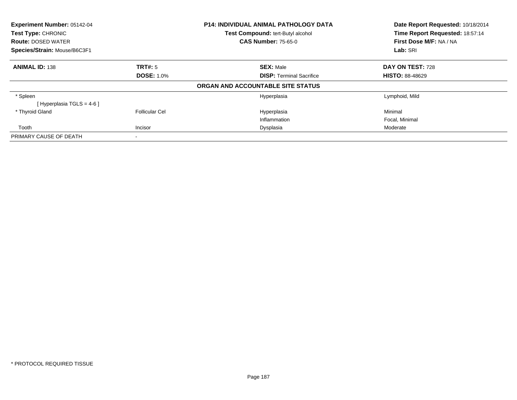| <b>Experiment Number: 05142-04</b><br>Test Type: CHRONIC |                       | <b>P14: INDIVIDUAL ANIMAL PATHOLOGY DATA</b> | Date Report Requested: 10/18/2014 |  |
|----------------------------------------------------------|-----------------------|----------------------------------------------|-----------------------------------|--|
|                                                          |                       | Test Compound: tert-Butyl alcohol            | Time Report Requested: 18:57:14   |  |
| <b>Route: DOSED WATER</b>                                |                       | <b>CAS Number: 75-65-0</b>                   | First Dose M/F: NA / NA           |  |
| Species/Strain: Mouse/B6C3F1                             |                       |                                              | Lab: SRI                          |  |
| <b>ANIMAL ID: 138</b>                                    | TRT#: 5               | <b>SEX: Male</b>                             | DAY ON TEST: 728                  |  |
|                                                          | <b>DOSE: 1.0%</b>     | <b>DISP:</b> Terminal Sacrifice              | <b>HISTO: 88-48629</b>            |  |
|                                                          |                       | ORGAN AND ACCOUNTABLE SITE STATUS            |                                   |  |
| * Spleen                                                 |                       | Hyperplasia                                  | Lymphoid, Mild                    |  |
| [Hyperplasia TGLS = $4-6$ ]                              |                       |                                              |                                   |  |
| * Thyroid Gland                                          | <b>Follicular Cel</b> | Hyperplasia                                  | Minimal                           |  |
|                                                          |                       | Inflammation                                 | Focal, Minimal                    |  |
| Tooth                                                    | Incisor               | Dysplasia                                    | Moderate                          |  |
| PRIMARY CAUSE OF DEATH                                   |                       |                                              |                                   |  |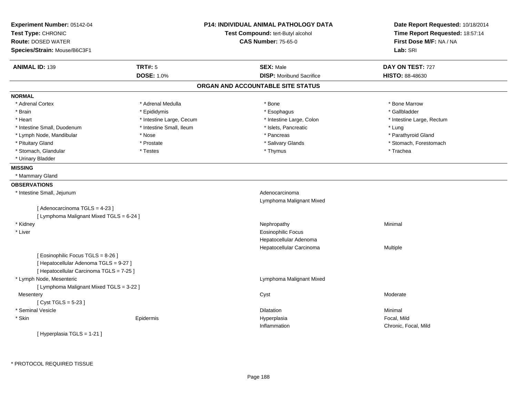| Experiment Number: 05142-04<br>Test Type: CHRONIC<br><b>Route: DOSED WATER</b> |                          | <b>P14: INDIVIDUAL ANIMAL PATHOLOGY DATA</b><br>Test Compound: tert-Butyl alcohol<br><b>CAS Number: 75-65-0</b> | Date Report Requested: 10/18/2014<br>Time Report Requested: 18:57:14<br>First Dose M/F: NA / NA |  |
|--------------------------------------------------------------------------------|--------------------------|-----------------------------------------------------------------------------------------------------------------|-------------------------------------------------------------------------------------------------|--|
| Species/Strain: Mouse/B6C3F1                                                   |                          |                                                                                                                 | Lab: SRI                                                                                        |  |
| <b>ANIMAL ID: 139</b>                                                          | <b>TRT#: 5</b>           | <b>SEX: Male</b>                                                                                                | DAY ON TEST: 727                                                                                |  |
|                                                                                | DOSE: 1.0%               | <b>DISP:</b> Moribund Sacrifice                                                                                 | HISTO: 88-48630                                                                                 |  |
|                                                                                |                          | ORGAN AND ACCOUNTABLE SITE STATUS                                                                               |                                                                                                 |  |
| <b>NORMAL</b>                                                                  |                          |                                                                                                                 |                                                                                                 |  |
| * Adrenal Cortex                                                               | * Adrenal Medulla        | * Bone                                                                                                          | * Bone Marrow                                                                                   |  |
| * Brain                                                                        | * Epididymis             | * Esophagus                                                                                                     | * Gallbladder                                                                                   |  |
| * Heart                                                                        | * Intestine Large, Cecum | * Intestine Large, Colon                                                                                        | * Intestine Large, Rectum                                                                       |  |
| * Intestine Small, Duodenum                                                    | * Intestine Small, Ileum | * Islets, Pancreatic                                                                                            | * Lung                                                                                          |  |
| * Lymph Node, Mandibular                                                       | * Nose                   | * Pancreas                                                                                                      | * Parathyroid Gland                                                                             |  |
| * Pituitary Gland                                                              | * Prostate               | * Salivary Glands                                                                                               | * Stomach, Forestomach                                                                          |  |
| * Stomach, Glandular                                                           | * Testes                 | * Thymus                                                                                                        | * Trachea                                                                                       |  |
| * Urinary Bladder                                                              |                          |                                                                                                                 |                                                                                                 |  |
| <b>MISSING</b>                                                                 |                          |                                                                                                                 |                                                                                                 |  |
| * Mammary Gland                                                                |                          |                                                                                                                 |                                                                                                 |  |
| <b>OBSERVATIONS</b>                                                            |                          |                                                                                                                 |                                                                                                 |  |
| * Intestine Small, Jejunum                                                     |                          | Adenocarcinoma                                                                                                  |                                                                                                 |  |
|                                                                                |                          | Lymphoma Malignant Mixed                                                                                        |                                                                                                 |  |
| [Adenocarcinoma TGLS = 4-23]                                                   |                          |                                                                                                                 |                                                                                                 |  |
| [ Lymphoma Malignant Mixed TGLS = 6-24 ]                                       |                          |                                                                                                                 |                                                                                                 |  |
| * Kidney                                                                       |                          | Nephropathy                                                                                                     | Minimal                                                                                         |  |
| * Liver                                                                        |                          | <b>Eosinophilic Focus</b>                                                                                       |                                                                                                 |  |
|                                                                                |                          | Hepatocellular Adenoma                                                                                          |                                                                                                 |  |
|                                                                                |                          | Hepatocellular Carcinoma                                                                                        | Multiple                                                                                        |  |
| [ Eosinophilic Focus TGLS = 8-26 ]                                             |                          |                                                                                                                 |                                                                                                 |  |
| [ Hepatocellular Adenoma TGLS = 9-27 ]                                         |                          |                                                                                                                 |                                                                                                 |  |
| [ Hepatocellular Carcinoma TGLS = 7-25 ]                                       |                          |                                                                                                                 |                                                                                                 |  |
| * Lymph Node, Mesenteric                                                       |                          | Lymphoma Malignant Mixed                                                                                        |                                                                                                 |  |
| [ Lymphoma Malignant Mixed TGLS = 3-22 ]                                       |                          |                                                                                                                 |                                                                                                 |  |
| Mesentery                                                                      |                          | Cyst                                                                                                            | Moderate                                                                                        |  |
| [Cyst TGLS = 5-23]                                                             |                          |                                                                                                                 |                                                                                                 |  |
| * Seminal Vesicle                                                              |                          | Dilatation                                                                                                      | Minimal                                                                                         |  |
| * Skin                                                                         | Epidermis                | Hyperplasia                                                                                                     | Focal, Mild                                                                                     |  |
|                                                                                |                          | Inflammation                                                                                                    | Chronic, Focal, Mild                                                                            |  |
| [Hyperplasia TGLS = 1-21]                                                      |                          |                                                                                                                 |                                                                                                 |  |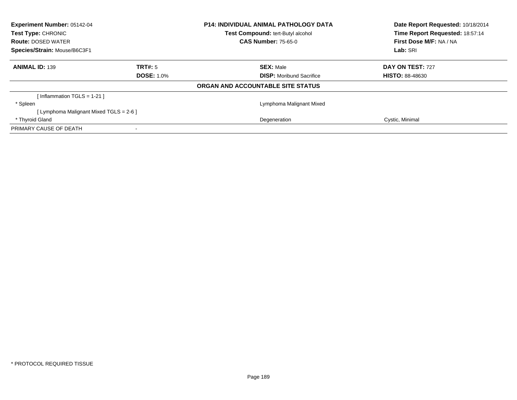| Experiment Number: 05142-04            |                   | <b>P14: INDIVIDUAL ANIMAL PATHOLOGY DATA</b> | Date Report Requested: 10/18/2014 |  |
|----------------------------------------|-------------------|----------------------------------------------|-----------------------------------|--|
| Test Type: CHRONIC                     |                   | Test Compound: tert-Butyl alcohol            | Time Report Requested: 18:57:14   |  |
| <b>Route: DOSED WATER</b>              |                   | <b>CAS Number: 75-65-0</b>                   | First Dose M/F: NA / NA           |  |
| Species/Strain: Mouse/B6C3F1           |                   |                                              | Lab: SRI                          |  |
| <b>ANIMAL ID: 139</b>                  | TRT#: 5           | <b>SEX: Male</b>                             | DAY ON TEST: 727                  |  |
|                                        | <b>DOSE: 1.0%</b> | <b>DISP:</b> Moribund Sacrifice              | <b>HISTO: 88-48630</b>            |  |
|                                        |                   | ORGAN AND ACCOUNTABLE SITE STATUS            |                                   |  |
| [Inflammation TGLS = $1-21$ ]          |                   |                                              |                                   |  |
| * Spleen                               |                   | Lymphoma Malignant Mixed                     |                                   |  |
| [Lymphoma Malignant Mixed TGLS = 2-6 ] |                   |                                              |                                   |  |
| * Thyroid Gland                        |                   | Degeneration                                 | Cystic, Minimal                   |  |
| PRIMARY CAUSE OF DEATH                 |                   |                                              |                                   |  |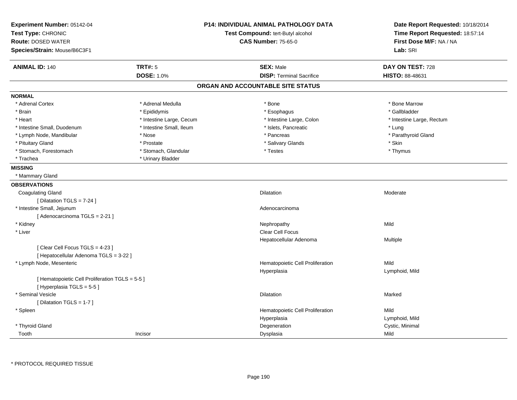| Experiment Number: 05142-04<br>Test Type: CHRONIC<br><b>Route: DOSED WATER</b> |                          | <b>P14: INDIVIDUAL ANIMAL PATHOLOGY DATA</b><br>Test Compound: tert-Butyl alcohol<br><b>CAS Number: 75-65-0</b> | Date Report Requested: 10/18/2014<br>Time Report Requested: 18:57:14<br>First Dose M/F: NA / NA |  |
|--------------------------------------------------------------------------------|--------------------------|-----------------------------------------------------------------------------------------------------------------|-------------------------------------------------------------------------------------------------|--|
| Species/Strain: Mouse/B6C3F1                                                   |                          |                                                                                                                 | Lab: SRI                                                                                        |  |
| <b>ANIMAL ID: 140</b>                                                          | <b>TRT#: 5</b>           | <b>SEX: Male</b>                                                                                                | DAY ON TEST: 728                                                                                |  |
|                                                                                | <b>DOSE: 1.0%</b>        | <b>DISP: Terminal Sacrifice</b>                                                                                 | <b>HISTO: 88-48631</b>                                                                          |  |
|                                                                                |                          | ORGAN AND ACCOUNTABLE SITE STATUS                                                                               |                                                                                                 |  |
| <b>NORMAL</b>                                                                  |                          |                                                                                                                 |                                                                                                 |  |
| * Adrenal Cortex                                                               | * Adrenal Medulla        | * Bone                                                                                                          | * Bone Marrow                                                                                   |  |
| * Brain                                                                        | * Epididymis             | * Esophagus                                                                                                     | * Gallbladder                                                                                   |  |
| * Heart                                                                        | * Intestine Large, Cecum | * Intestine Large, Colon                                                                                        | * Intestine Large, Rectum                                                                       |  |
| * Intestine Small, Duodenum                                                    | * Intestine Small, Ileum | * Islets, Pancreatic                                                                                            | * Lung                                                                                          |  |
| * Lymph Node, Mandibular                                                       | * Nose                   | * Pancreas                                                                                                      | * Parathyroid Gland                                                                             |  |
| * Pituitary Gland                                                              | * Prostate               | * Salivary Glands                                                                                               | * Skin                                                                                          |  |
| * Stomach, Forestomach                                                         | * Stomach, Glandular     | * Testes                                                                                                        | * Thymus                                                                                        |  |
| * Trachea                                                                      | * Urinary Bladder        |                                                                                                                 |                                                                                                 |  |
| <b>MISSING</b>                                                                 |                          |                                                                                                                 |                                                                                                 |  |
| * Mammary Gland                                                                |                          |                                                                                                                 |                                                                                                 |  |
| <b>OBSERVATIONS</b>                                                            |                          |                                                                                                                 |                                                                                                 |  |
| <b>Coagulating Gland</b>                                                       |                          | <b>Dilatation</b>                                                                                               | Moderate                                                                                        |  |
| [ Dilatation TGLS = 7-24 ]                                                     |                          |                                                                                                                 |                                                                                                 |  |
| * Intestine Small, Jejunum                                                     |                          | Adenocarcinoma                                                                                                  |                                                                                                 |  |
| [Adenocarcinoma TGLS = 2-21]                                                   |                          |                                                                                                                 |                                                                                                 |  |
| * Kidney                                                                       |                          | Nephropathy                                                                                                     | Mild                                                                                            |  |
| * Liver                                                                        |                          | Clear Cell Focus                                                                                                |                                                                                                 |  |
|                                                                                |                          | Hepatocellular Adenoma                                                                                          | Multiple                                                                                        |  |
| [ Clear Cell Focus TGLS = 4-23 ]                                               |                          |                                                                                                                 |                                                                                                 |  |
| [ Hepatocellular Adenoma TGLS = 3-22 ]                                         |                          |                                                                                                                 |                                                                                                 |  |
| * Lymph Node, Mesenteric                                                       |                          | Hematopoietic Cell Proliferation                                                                                | Mild                                                                                            |  |
|                                                                                |                          | Hyperplasia                                                                                                     | Lymphoid, Mild                                                                                  |  |
| [ Hematopoietic Cell Proliferation TGLS = 5-5 ]                                |                          |                                                                                                                 |                                                                                                 |  |
| [Hyperplasia TGLS = $5-5$ ]                                                    |                          |                                                                                                                 |                                                                                                 |  |
| * Seminal Vesicle                                                              |                          | Dilatation                                                                                                      | Marked                                                                                          |  |
| [ Dilatation TGLS = 1-7 ]                                                      |                          |                                                                                                                 |                                                                                                 |  |
| * Spleen                                                                       |                          | Hematopoietic Cell Proliferation                                                                                | Mild                                                                                            |  |
|                                                                                |                          | Hyperplasia                                                                                                     | Lymphoid, Mild                                                                                  |  |
| * Thyroid Gland                                                                |                          | Degeneration                                                                                                    | Cystic, Minimal                                                                                 |  |
| Tooth                                                                          | Incisor                  | Dysplasia                                                                                                       | Mild                                                                                            |  |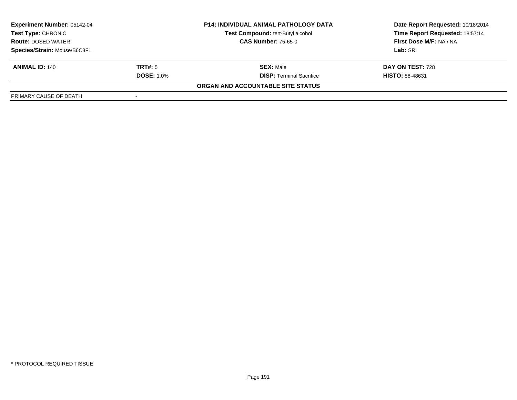| <b>Experiment Number: 05142-04</b><br><b>P14: INDIVIDUAL ANIMAL PATHOLOGY DATA</b><br>Test Compound: tert-Butyl alcohol<br><b>Test Type: CHRONIC</b><br><b>CAS Number: 75-65-0</b><br><b>Route: DOSED WATER</b> |                   |                                   | Date Report Requested: 10/18/2014 |  |
|-----------------------------------------------------------------------------------------------------------------------------------------------------------------------------------------------------------------|-------------------|-----------------------------------|-----------------------------------|--|
|                                                                                                                                                                                                                 |                   |                                   | Time Report Requested: 18:57:14   |  |
|                                                                                                                                                                                                                 |                   | First Dose M/F: NA / NA           |                                   |  |
| Species/Strain: Mouse/B6C3F1                                                                                                                                                                                    |                   |                                   | Lab: SRI                          |  |
| <b>ANIMAL ID: 140</b>                                                                                                                                                                                           | <b>TRT#:</b> 5    | <b>SEX: Male</b>                  | DAY ON TEST: 728                  |  |
|                                                                                                                                                                                                                 | <b>DOSE: 1.0%</b> | <b>DISP: Terminal Sacrifice</b>   | <b>HISTO: 88-48631</b>            |  |
|                                                                                                                                                                                                                 |                   | ORGAN AND ACCOUNTABLE SITE STATUS |                                   |  |
| PRIMARY CAUSE OF DEATH                                                                                                                                                                                          |                   |                                   |                                   |  |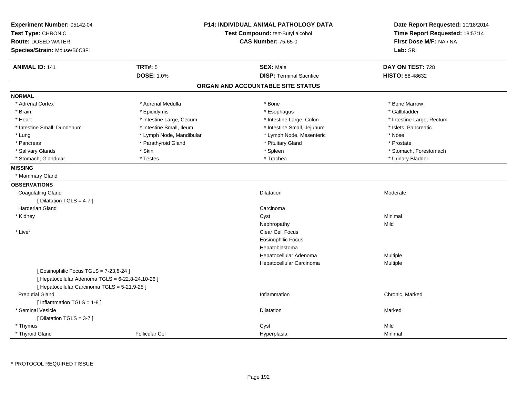| Experiment Number: 05142-04<br>Test Type: CHRONIC<br><b>Route: DOSED WATER</b><br>Species/Strain: Mouse/B6C3F1 |                          | P14: INDIVIDUAL ANIMAL PATHOLOGY DATA<br>Test Compound: tert-Butyl alcohol<br><b>CAS Number: 75-65-0</b> | Date Report Requested: 10/18/2014<br>Time Report Requested: 18:57:14<br>First Dose M/F: NA / NA<br>Lab: SRI |
|----------------------------------------------------------------------------------------------------------------|--------------------------|----------------------------------------------------------------------------------------------------------|-------------------------------------------------------------------------------------------------------------|
| <b>ANIMAL ID: 141</b>                                                                                          | <b>TRT#: 5</b>           | <b>SEX: Male</b>                                                                                         | DAY ON TEST: 728                                                                                            |
|                                                                                                                | <b>DOSE: 1.0%</b>        | <b>DISP: Terminal Sacrifice</b>                                                                          | HISTO: 88-48632                                                                                             |
|                                                                                                                |                          | ORGAN AND ACCOUNTABLE SITE STATUS                                                                        |                                                                                                             |
| <b>NORMAL</b>                                                                                                  |                          |                                                                                                          |                                                                                                             |
| * Adrenal Cortex                                                                                               | * Adrenal Medulla        | * Bone                                                                                                   | * Bone Marrow                                                                                               |
| * Brain                                                                                                        | * Epididymis             | * Esophagus                                                                                              | * Gallbladder                                                                                               |
| * Heart                                                                                                        | * Intestine Large, Cecum | * Intestine Large, Colon                                                                                 | * Intestine Large, Rectum                                                                                   |
| * Intestine Small, Duodenum                                                                                    | * Intestine Small, Ileum | * Intestine Small, Jejunum                                                                               | * Islets, Pancreatic                                                                                        |
| * Lung                                                                                                         | * Lymph Node, Mandibular | * Lymph Node, Mesenteric                                                                                 | * Nose                                                                                                      |
| * Pancreas                                                                                                     | * Parathyroid Gland      | * Pituitary Gland                                                                                        | * Prostate                                                                                                  |
| * Salivary Glands                                                                                              | * Skin                   | * Spleen                                                                                                 | * Stomach, Forestomach                                                                                      |
| * Stomach, Glandular                                                                                           | * Testes                 | * Trachea                                                                                                | * Urinary Bladder                                                                                           |
| <b>MISSING</b>                                                                                                 |                          |                                                                                                          |                                                                                                             |
| * Mammary Gland                                                                                                |                          |                                                                                                          |                                                                                                             |
| <b>OBSERVATIONS</b>                                                                                            |                          |                                                                                                          |                                                                                                             |
| <b>Coagulating Gland</b>                                                                                       |                          | <b>Dilatation</b>                                                                                        | Moderate                                                                                                    |
| [ Dilatation TGLS = $4-7$ ]                                                                                    |                          |                                                                                                          |                                                                                                             |
| <b>Harderian Gland</b>                                                                                         |                          | Carcinoma                                                                                                |                                                                                                             |
| * Kidney                                                                                                       |                          | Cyst                                                                                                     | Minimal                                                                                                     |
|                                                                                                                |                          | Nephropathy                                                                                              | Mild                                                                                                        |
| * Liver                                                                                                        |                          | Clear Cell Focus                                                                                         |                                                                                                             |
|                                                                                                                |                          | <b>Eosinophilic Focus</b>                                                                                |                                                                                                             |
|                                                                                                                |                          | Hepatoblastoma                                                                                           |                                                                                                             |
|                                                                                                                |                          | Hepatocellular Adenoma                                                                                   | Multiple                                                                                                    |
|                                                                                                                |                          | Hepatocellular Carcinoma                                                                                 | Multiple                                                                                                    |
| [ Eosinophilic Focus TGLS = 7-23,8-24 ]                                                                        |                          |                                                                                                          |                                                                                                             |
| [ Hepatocellular Adenoma TGLS = 6-22,8-24,10-26 ]                                                              |                          |                                                                                                          |                                                                                                             |
| [ Hepatocellular Carcinoma TGLS = 5-21,9-25 ]                                                                  |                          |                                                                                                          |                                                                                                             |
| <b>Preputial Gland</b>                                                                                         |                          | Inflammation                                                                                             | Chronic, Marked                                                                                             |
| [ Inflammation TGLS = 1-8 ]                                                                                    |                          |                                                                                                          |                                                                                                             |
| * Seminal Vesicle                                                                                              |                          | <b>Dilatation</b>                                                                                        | Marked                                                                                                      |
| [Dilatation TGLS = 3-7]                                                                                        |                          |                                                                                                          |                                                                                                             |
| * Thymus                                                                                                       |                          | Cyst                                                                                                     | Mild                                                                                                        |
| * Thyroid Gland                                                                                                | <b>Follicular Cel</b>    | Hyperplasia                                                                                              | Minimal                                                                                                     |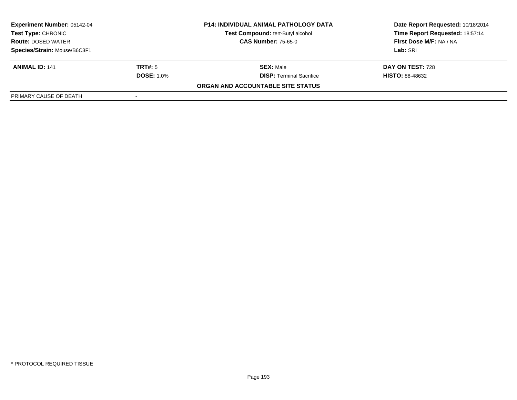| <b>Experiment Number: 05142-04</b><br>Test Type: CHRONIC |                            | <b>P14: INDIVIDUAL ANIMAL PATHOLOGY DATA</b> | Date Report Requested: 10/18/2014 |  |
|----------------------------------------------------------|----------------------------|----------------------------------------------|-----------------------------------|--|
|                                                          |                            | Test Compound: tert-Butyl alcohol            | Time Report Requested: 18:57:14   |  |
| <b>Route: DOSED WATER</b>                                | <b>CAS Number: 75-65-0</b> |                                              | First Dose M/F: NA / NA           |  |
| Species/Strain: Mouse/B6C3F1                             |                            |                                              | Lab: SRI                          |  |
| <b>ANIMAL ID: 141</b>                                    | TRT#: 5                    | <b>SEX: Male</b>                             | DAY ON TEST: 728                  |  |
|                                                          | <b>DOSE: 1.0%</b>          | <b>DISP: Terminal Sacrifice</b>              | <b>HISTO: 88-48632</b>            |  |
|                                                          |                            | ORGAN AND ACCOUNTABLE SITE STATUS            |                                   |  |
| PRIMARY CAUSE OF DEATH                                   |                            |                                              |                                   |  |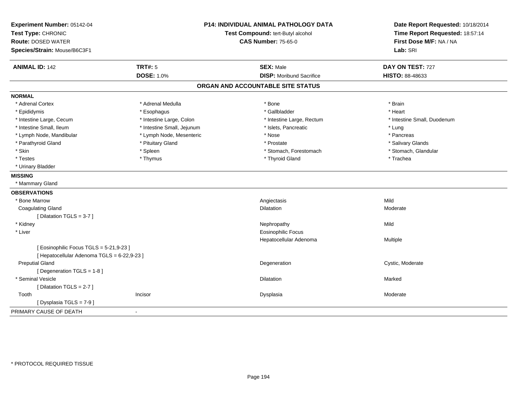| Experiment Number: 05142-04<br>Test Type: CHRONIC<br><b>Route: DOSED WATER</b><br>Species/Strain: Mouse/B6C3F1 |                                     | P14: INDIVIDUAL ANIMAL PATHOLOGY DATA<br>Test Compound: tert-Butyl alcohol<br><b>CAS Number: 75-65-0</b> | Date Report Requested: 10/18/2014<br>Time Report Requested: 18:57:14<br>First Dose M/F: NA / NA<br>Lab: SRI |  |
|----------------------------------------------------------------------------------------------------------------|-------------------------------------|----------------------------------------------------------------------------------------------------------|-------------------------------------------------------------------------------------------------------------|--|
| <b>ANIMAL ID: 142</b>                                                                                          | <b>TRT#: 5</b><br><b>DOSE: 1.0%</b> | <b>SEX: Male</b><br><b>DISP:</b> Moribund Sacrifice                                                      | DAY ON TEST: 727<br>HISTO: 88-48633                                                                         |  |
|                                                                                                                |                                     |                                                                                                          |                                                                                                             |  |
|                                                                                                                |                                     | ORGAN AND ACCOUNTABLE SITE STATUS                                                                        |                                                                                                             |  |
| <b>NORMAL</b>                                                                                                  |                                     |                                                                                                          |                                                                                                             |  |
| * Adrenal Cortex                                                                                               | * Adrenal Medulla                   | * Bone                                                                                                   | * Brain                                                                                                     |  |
| * Epididymis                                                                                                   | * Esophagus                         | * Gallbladder                                                                                            | * Heart                                                                                                     |  |
| * Intestine Large, Cecum                                                                                       | * Intestine Large, Colon            | * Intestine Large, Rectum                                                                                | * Intestine Small, Duodenum                                                                                 |  |
| * Intestine Small, Ileum                                                                                       | * Intestine Small, Jejunum          | * Islets, Pancreatic                                                                                     | * Lung                                                                                                      |  |
| * Lymph Node, Mandibular                                                                                       | * Lymph Node, Mesenteric            | * Nose                                                                                                   | * Pancreas                                                                                                  |  |
| * Parathyroid Gland                                                                                            | * Pituitary Gland                   | * Prostate                                                                                               | * Salivary Glands                                                                                           |  |
| * Skin                                                                                                         | * Spleen                            | * Stomach, Forestomach                                                                                   | * Stomach, Glandular                                                                                        |  |
| * Testes                                                                                                       | * Thymus                            | * Thyroid Gland                                                                                          | * Trachea                                                                                                   |  |
| * Urinary Bladder                                                                                              |                                     |                                                                                                          |                                                                                                             |  |
| <b>MISSING</b>                                                                                                 |                                     |                                                                                                          |                                                                                                             |  |
| * Mammary Gland                                                                                                |                                     |                                                                                                          |                                                                                                             |  |
| <b>OBSERVATIONS</b>                                                                                            |                                     |                                                                                                          |                                                                                                             |  |
| * Bone Marrow                                                                                                  |                                     | Angiectasis                                                                                              | Mild                                                                                                        |  |
| <b>Coagulating Gland</b>                                                                                       |                                     | Dilatation                                                                                               | Moderate                                                                                                    |  |
| [ Dilatation TGLS = $3-7$ ]                                                                                    |                                     |                                                                                                          |                                                                                                             |  |
| * Kidney                                                                                                       |                                     | Nephropathy                                                                                              | Mild                                                                                                        |  |
| * Liver                                                                                                        |                                     | <b>Eosinophilic Focus</b>                                                                                |                                                                                                             |  |
|                                                                                                                |                                     | Hepatocellular Adenoma                                                                                   | Multiple                                                                                                    |  |
| [ Eosinophilic Focus TGLS = 5-21,9-23 ]                                                                        |                                     |                                                                                                          |                                                                                                             |  |
| [ Hepatocellular Adenoma TGLS = 6-22,9-23 ]                                                                    |                                     |                                                                                                          |                                                                                                             |  |
| <b>Preputial Gland</b>                                                                                         |                                     | Degeneration                                                                                             | Cystic, Moderate                                                                                            |  |
| [ Degeneration TGLS = 1-8 ]                                                                                    |                                     |                                                                                                          |                                                                                                             |  |
| * Seminal Vesicle                                                                                              |                                     | Dilatation                                                                                               | Marked                                                                                                      |  |
| [ Dilatation TGLS = 2-7 ]                                                                                      |                                     |                                                                                                          |                                                                                                             |  |
| Tooth                                                                                                          | Incisor                             | Dysplasia                                                                                                | Moderate                                                                                                    |  |
| [Dysplasia TGLS = 7-9]                                                                                         |                                     |                                                                                                          |                                                                                                             |  |
| PRIMARY CAUSE OF DEATH                                                                                         | $\blacksquare$                      |                                                                                                          |                                                                                                             |  |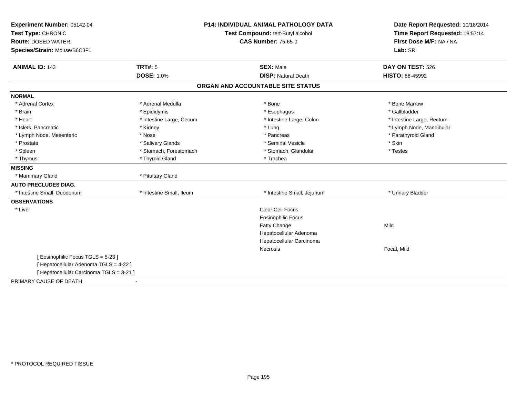| Experiment Number: 05142-04              |                          | <b>P14: INDIVIDUAL ANIMAL PATHOLOGY DATA</b> | Date Report Requested: 10/18/2014 |  |
|------------------------------------------|--------------------------|----------------------------------------------|-----------------------------------|--|
| Test Type: CHRONIC                       |                          | Test Compound: tert-Butyl alcohol            | Time Report Requested: 18:57:14   |  |
| <b>Route: DOSED WATER</b>                |                          | <b>CAS Number: 75-65-0</b>                   | First Dose M/F: NA / NA           |  |
| Species/Strain: Mouse/B6C3F1             |                          |                                              | Lab: SRI                          |  |
| <b>ANIMAL ID: 143</b>                    | <b>TRT#: 5</b>           | <b>SEX: Male</b>                             | DAY ON TEST: 526                  |  |
|                                          | <b>DOSE: 1.0%</b>        | <b>DISP: Natural Death</b>                   | <b>HISTO: 88-45992</b>            |  |
|                                          |                          | ORGAN AND ACCOUNTABLE SITE STATUS            |                                   |  |
| <b>NORMAL</b>                            |                          |                                              |                                   |  |
| * Adrenal Cortex                         | * Adrenal Medulla        | * Bone                                       | * Bone Marrow                     |  |
| * Brain                                  | * Epididymis             | * Esophagus                                  | * Gallbladder                     |  |
| * Heart                                  | * Intestine Large, Cecum | * Intestine Large, Colon                     | * Intestine Large, Rectum         |  |
| * Islets, Pancreatic                     | * Kidney                 | * Lung                                       | * Lymph Node, Mandibular          |  |
| * Lymph Node, Mesenteric                 | * Nose                   | * Pancreas                                   | * Parathyroid Gland               |  |
| * Prostate                               | * Salivary Glands        | * Seminal Vesicle                            | * Skin                            |  |
| * Spleen                                 | * Stomach, Forestomach   | * Stomach, Glandular                         | * Testes                          |  |
| * Thymus                                 | * Thyroid Gland          | * Trachea                                    |                                   |  |
| <b>MISSING</b>                           |                          |                                              |                                   |  |
| * Mammary Gland                          | * Pituitary Gland        |                                              |                                   |  |
| <b>AUTO PRECLUDES DIAG.</b>              |                          |                                              |                                   |  |
| * Intestine Small, Duodenum              | * Intestine Small, Ileum | * Intestine Small, Jejunum                   | * Urinary Bladder                 |  |
| <b>OBSERVATIONS</b>                      |                          |                                              |                                   |  |
| * Liver                                  |                          | <b>Clear Cell Focus</b>                      |                                   |  |
|                                          |                          | <b>Eosinophilic Focus</b>                    |                                   |  |
|                                          |                          | Fatty Change                                 | Mild                              |  |
|                                          |                          | Hepatocellular Adenoma                       |                                   |  |
|                                          |                          | Hepatocellular Carcinoma                     |                                   |  |
|                                          |                          | Necrosis                                     | Focal, Mild                       |  |
| [Eosinophilic Focus TGLS = 5-23]         |                          |                                              |                                   |  |
| [ Hepatocellular Adenoma TGLS = 4-22 ]   |                          |                                              |                                   |  |
| [ Hepatocellular Carcinoma TGLS = 3-21 ] |                          |                                              |                                   |  |
| PRIMARY CAUSE OF DEATH                   | $\blacksquare$           |                                              |                                   |  |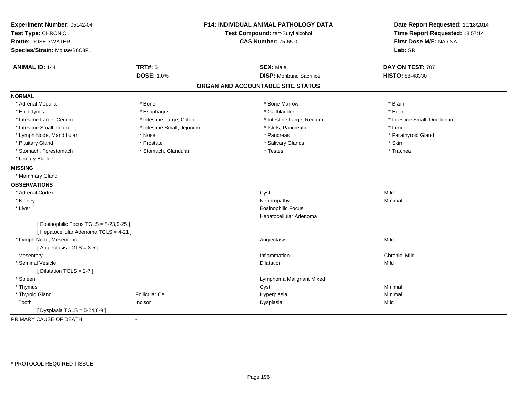| Experiment Number: 05142-04<br>Test Type: CHRONIC<br><b>Route: DOSED WATER</b><br>Species/Strain: Mouse/B6C3F1 |                            | <b>P14: INDIVIDUAL ANIMAL PATHOLOGY DATA</b><br>Test Compound: tert-Butyl alcohol<br><b>CAS Number: 75-65-0</b> | Date Report Requested: 10/18/2014<br>Time Report Requested: 18:57:14<br>First Dose M/F: NA / NA<br>Lab: SRI |  |
|----------------------------------------------------------------------------------------------------------------|----------------------------|-----------------------------------------------------------------------------------------------------------------|-------------------------------------------------------------------------------------------------------------|--|
| <b>ANIMAL ID: 144</b>                                                                                          | <b>TRT#: 5</b>             | <b>SEX: Male</b>                                                                                                | DAY ON TEST: 707                                                                                            |  |
|                                                                                                                | <b>DOSE: 1.0%</b>          | <b>DISP:</b> Moribund Sacrifice                                                                                 | HISTO: 88-48330                                                                                             |  |
|                                                                                                                |                            | ORGAN AND ACCOUNTABLE SITE STATUS                                                                               |                                                                                                             |  |
| <b>NORMAL</b>                                                                                                  |                            |                                                                                                                 |                                                                                                             |  |
| * Adrenal Medulla                                                                                              | * Bone                     | * Bone Marrow                                                                                                   | * Brain                                                                                                     |  |
| * Epididymis                                                                                                   | * Esophagus                | * Gallbladder                                                                                                   | * Heart                                                                                                     |  |
| * Intestine Large, Cecum                                                                                       | * Intestine Large, Colon   | * Intestine Large, Rectum                                                                                       | * Intestine Small, Duodenum                                                                                 |  |
| * Intestine Small, Ileum                                                                                       | * Intestine Small, Jejunum | * Islets, Pancreatic                                                                                            | $*$ Lung                                                                                                    |  |
| * Lymph Node, Mandibular                                                                                       | * Nose                     | * Pancreas                                                                                                      | * Parathyroid Gland                                                                                         |  |
| * Pituitary Gland                                                                                              | * Prostate                 | * Salivary Glands                                                                                               | * Skin                                                                                                      |  |
| * Stomach, Forestomach                                                                                         | * Stomach, Glandular       | * Testes                                                                                                        | * Trachea                                                                                                   |  |
| * Urinary Bladder                                                                                              |                            |                                                                                                                 |                                                                                                             |  |
| <b>MISSING</b>                                                                                                 |                            |                                                                                                                 |                                                                                                             |  |
| * Mammary Gland                                                                                                |                            |                                                                                                                 |                                                                                                             |  |
| <b>OBSERVATIONS</b>                                                                                            |                            |                                                                                                                 |                                                                                                             |  |
| * Adrenal Cortex                                                                                               |                            | Cyst                                                                                                            | Mild                                                                                                        |  |
| * Kidney                                                                                                       |                            | Nephropathy                                                                                                     | Minimal                                                                                                     |  |
| * Liver                                                                                                        |                            | <b>Eosinophilic Focus</b>                                                                                       |                                                                                                             |  |
|                                                                                                                |                            | Hepatocellular Adenoma                                                                                          |                                                                                                             |  |
| [Eosinophilic Focus TGLS = 8-23,9-25]<br>[ Hepatocellular Adenoma TGLS = 4-21 ]                                |                            |                                                                                                                 |                                                                                                             |  |
| * Lymph Node, Mesenteric                                                                                       |                            | Angiectasis                                                                                                     | Mild                                                                                                        |  |
| [Angiectasis TGLS = 3-5]                                                                                       |                            |                                                                                                                 |                                                                                                             |  |
| Mesentery                                                                                                      |                            | Inflammation                                                                                                    | Chronic. Mild                                                                                               |  |
| * Seminal Vesicle                                                                                              |                            | Dilatation                                                                                                      | Mild                                                                                                        |  |
| [ Dilatation TGLS = 2-7 ]                                                                                      |                            |                                                                                                                 |                                                                                                             |  |
| * Spleen                                                                                                       |                            | Lymphoma Malignant Mixed                                                                                        |                                                                                                             |  |
| * Thymus                                                                                                       |                            | Cyst                                                                                                            | Minimal                                                                                                     |  |
| * Thyroid Gland                                                                                                | <b>Follicular Cel</b>      | Hyperplasia                                                                                                     | Minimal                                                                                                     |  |
| Tooth                                                                                                          | Incisor                    | Dysplasia                                                                                                       | Mild                                                                                                        |  |
| [ Dysplasia TGLS = 5-24,6-9 ]                                                                                  |                            |                                                                                                                 |                                                                                                             |  |
| PRIMARY CAUSE OF DEATH                                                                                         | $\blacksquare$             |                                                                                                                 |                                                                                                             |  |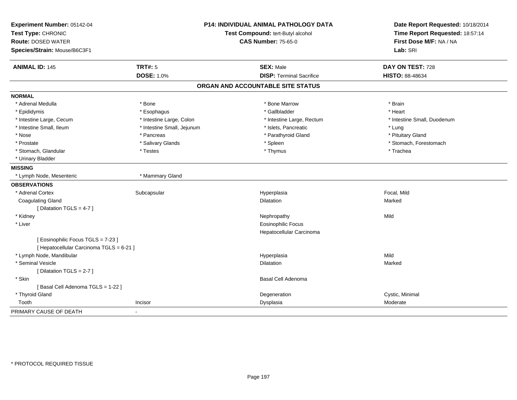| Experiment Number: 05142-04<br>Test Type: CHRONIC |                            | <b>P14: INDIVIDUAL ANIMAL PATHOLOGY DATA</b> | Date Report Requested: 10/18/2014 |  |
|---------------------------------------------------|----------------------------|----------------------------------------------|-----------------------------------|--|
|                                                   |                            | Test Compound: tert-Butyl alcohol            | Time Report Requested: 18:57:14   |  |
| <b>Route: DOSED WATER</b>                         |                            | <b>CAS Number: 75-65-0</b>                   | First Dose M/F: NA / NA           |  |
| Species/Strain: Mouse/B6C3F1                      |                            |                                              | Lab: SRI                          |  |
| <b>ANIMAL ID: 145</b>                             | <b>TRT#: 5</b>             | <b>SEX: Male</b>                             | DAY ON TEST: 728                  |  |
|                                                   | <b>DOSE: 1.0%</b>          | <b>DISP: Terminal Sacrifice</b>              | HISTO: 88-48634                   |  |
|                                                   |                            | ORGAN AND ACCOUNTABLE SITE STATUS            |                                   |  |
| <b>NORMAL</b>                                     |                            |                                              |                                   |  |
| * Adrenal Medulla                                 | * Bone                     | * Bone Marrow                                | * Brain                           |  |
| * Epididymis                                      | * Esophagus                | * Gallbladder                                | * Heart                           |  |
| * Intestine Large, Cecum                          | * Intestine Large, Colon   | * Intestine Large, Rectum                    | * Intestine Small, Duodenum       |  |
| * Intestine Small, Ileum                          | * Intestine Small, Jejunum | * Islets, Pancreatic                         | * Lung                            |  |
| * Nose                                            | * Pancreas                 | * Parathyroid Gland                          | * Pituitary Gland                 |  |
| * Prostate                                        | * Salivary Glands          | * Spleen                                     | * Stomach, Forestomach            |  |
| * Stomach, Glandular                              | * Testes                   | * Thymus                                     | * Trachea                         |  |
| * Urinary Bladder                                 |                            |                                              |                                   |  |
| <b>MISSING</b>                                    |                            |                                              |                                   |  |
| * Lymph Node, Mesenteric                          | * Mammary Gland            |                                              |                                   |  |
| <b>OBSERVATIONS</b>                               |                            |                                              |                                   |  |
| * Adrenal Cortex                                  | Subcapsular                | Hyperplasia                                  | Focal, Mild                       |  |
| <b>Coagulating Gland</b>                          |                            | <b>Dilatation</b>                            | Marked                            |  |
| [ Dilatation TGLS = $4-7$ ]                       |                            |                                              |                                   |  |
| * Kidney                                          |                            | Nephropathy                                  | Mild                              |  |
| * Liver                                           |                            | <b>Eosinophilic Focus</b>                    |                                   |  |
|                                                   |                            | Hepatocellular Carcinoma                     |                                   |  |
| [ Eosinophilic Focus TGLS = 7-23 ]                |                            |                                              |                                   |  |
| [ Hepatocellular Carcinoma TGLS = 6-21 ]          |                            |                                              |                                   |  |
| * Lymph Node, Mandibular                          |                            | Hyperplasia                                  | Mild                              |  |
| * Seminal Vesicle                                 |                            | <b>Dilatation</b>                            | Marked                            |  |
| [ Dilatation TGLS = 2-7 ]                         |                            |                                              |                                   |  |
| * Skin                                            |                            | Basal Cell Adenoma                           |                                   |  |
| [Basal Cell Adenoma TGLS = 1-22]                  |                            |                                              |                                   |  |
| * Thyroid Gland                                   |                            | Degeneration                                 | Cystic, Minimal                   |  |
| Tooth                                             | Incisor                    | Dysplasia                                    | Moderate                          |  |
| PRIMARY CAUSE OF DEATH                            |                            |                                              |                                   |  |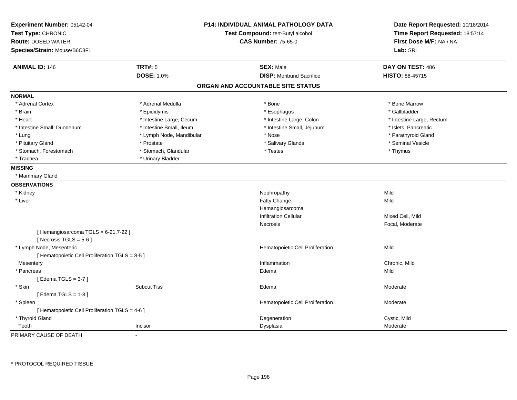| Experiment Number: 05142-04<br>Test Type: CHRONIC<br><b>Route: DOSED WATER</b><br>Species/Strain: Mouse/B6C3F1 |                          | <b>P14: INDIVIDUAL ANIMAL PATHOLOGY DATA</b><br>Test Compound: tert-Butyl alcohol<br><b>CAS Number: 75-65-0</b> | Date Report Requested: 10/18/2014<br>Time Report Requested: 18:57:14<br>First Dose M/F: NA / NA<br>Lab: SRI |  |
|----------------------------------------------------------------------------------------------------------------|--------------------------|-----------------------------------------------------------------------------------------------------------------|-------------------------------------------------------------------------------------------------------------|--|
| <b>TRT#: 5</b><br><b>ANIMAL ID: 146</b>                                                                        |                          | <b>SEX: Male</b>                                                                                                | DAY ON TEST: 486                                                                                            |  |
|                                                                                                                | <b>DOSE: 1.0%</b>        | <b>DISP:</b> Moribund Sacrifice                                                                                 | <b>HISTO: 88-45715</b>                                                                                      |  |
|                                                                                                                |                          | ORGAN AND ACCOUNTABLE SITE STATUS                                                                               |                                                                                                             |  |
| <b>NORMAL</b>                                                                                                  |                          |                                                                                                                 |                                                                                                             |  |
| * Adrenal Cortex                                                                                               | * Adrenal Medulla        | * Bone                                                                                                          | * Bone Marrow                                                                                               |  |
| * Brain                                                                                                        | * Epididymis             | * Esophagus                                                                                                     | * Gallbladder                                                                                               |  |
| * Heart                                                                                                        | * Intestine Large, Cecum | * Intestine Large, Colon                                                                                        | * Intestine Large, Rectum                                                                                   |  |
| * Intestine Small, Duodenum                                                                                    | * Intestine Small, Ileum | * Intestine Small, Jejunum                                                                                      | * Islets, Pancreatic                                                                                        |  |
| * Lung                                                                                                         | * Lymph Node, Mandibular | * Nose                                                                                                          | * Parathyroid Gland                                                                                         |  |
| * Pituitary Gland                                                                                              | * Prostate               | * Salivary Glands                                                                                               | * Seminal Vesicle                                                                                           |  |
| * Stomach, Forestomach                                                                                         | * Stomach, Glandular     | * Testes                                                                                                        | * Thymus                                                                                                    |  |
| * Trachea                                                                                                      | * Urinary Bladder        |                                                                                                                 |                                                                                                             |  |
| <b>MISSING</b>                                                                                                 |                          |                                                                                                                 |                                                                                                             |  |
| * Mammary Gland                                                                                                |                          |                                                                                                                 |                                                                                                             |  |
| <b>OBSERVATIONS</b>                                                                                            |                          |                                                                                                                 |                                                                                                             |  |
| * Kidney                                                                                                       |                          | Nephropathy                                                                                                     | Mild                                                                                                        |  |
| * Liver                                                                                                        |                          | Fatty Change                                                                                                    | Mild                                                                                                        |  |
|                                                                                                                |                          | Hemangiosarcoma                                                                                                 |                                                                                                             |  |
|                                                                                                                |                          | <b>Infiltration Cellular</b>                                                                                    | Mixed Cell, Mild                                                                                            |  |
|                                                                                                                |                          | Necrosis                                                                                                        | Focal, Moderate                                                                                             |  |
| [Hemangiosarcoma TGLS = 6-21,7-22]<br>[Necrosis TGLS = $5-6$ ]                                                 |                          |                                                                                                                 |                                                                                                             |  |
| * Lymph Node, Mesenteric                                                                                       |                          | Hematopoietic Cell Proliferation                                                                                | Mild                                                                                                        |  |
| [ Hematopoietic Cell Proliferation TGLS = 8-5 ]                                                                |                          |                                                                                                                 |                                                                                                             |  |
| Mesentery                                                                                                      |                          | Inflammation                                                                                                    | Chronic, Mild                                                                                               |  |
| * Pancreas                                                                                                     |                          | Edema                                                                                                           | Mild                                                                                                        |  |
| [Edema TGLS = $3-7$ ]                                                                                          |                          |                                                                                                                 |                                                                                                             |  |
| * Skin                                                                                                         | <b>Subcut Tiss</b>       | Edema                                                                                                           | Moderate                                                                                                    |  |
| [Edema TGLS = $1-8$ ]                                                                                          |                          |                                                                                                                 |                                                                                                             |  |
| * Spleen                                                                                                       |                          | Hematopoietic Cell Proliferation                                                                                | Moderate                                                                                                    |  |
| [ Hematopoietic Cell Proliferation TGLS = 4-6 ]                                                                |                          |                                                                                                                 |                                                                                                             |  |
| * Thyroid Gland                                                                                                |                          | Degeneration                                                                                                    | Cystic, Mild                                                                                                |  |
| Tooth<br>Incisor                                                                                               |                          | Dysplasia                                                                                                       | Moderate                                                                                                    |  |

PRIMARY CAUSE OF DEATH-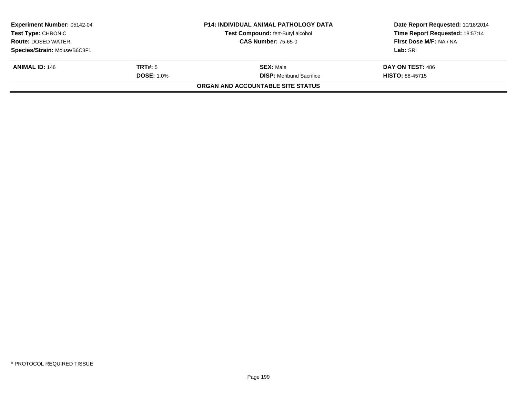| <b>Experiment Number: 05142-04</b><br><b>Test Type: CHRONIC</b> |                   | <b>P14: INDIVIDUAL ANIMAL PATHOLOGY DATA</b><br><b>Test Compound: tert-Butyl alcohol</b> | Date Report Requested: 10/18/2014<br>Time Report Requested: 18:57:14 |  |
|-----------------------------------------------------------------|-------------------|------------------------------------------------------------------------------------------|----------------------------------------------------------------------|--|
| <b>Route: DOSED WATER</b>                                       |                   | <b>CAS Number: 75-65-0</b>                                                               | First Dose M/F: NA / NA                                              |  |
| Species/Strain: Mouse/B6C3F1                                    |                   |                                                                                          | Lab: SRI                                                             |  |
| <b>ANIMAL ID: 146</b>                                           | TRT#: 5           | <b>SEX: Male</b>                                                                         | DAY ON TEST: 486                                                     |  |
|                                                                 | <b>DOSE: 1.0%</b> | <b>DISP:</b> Moribund Sacrifice                                                          | <b>HISTO: 88-45715</b>                                               |  |
|                                                                 |                   | <b>ORGAN AND ACCOUNTABLE SITE STATUS</b>                                                 |                                                                      |  |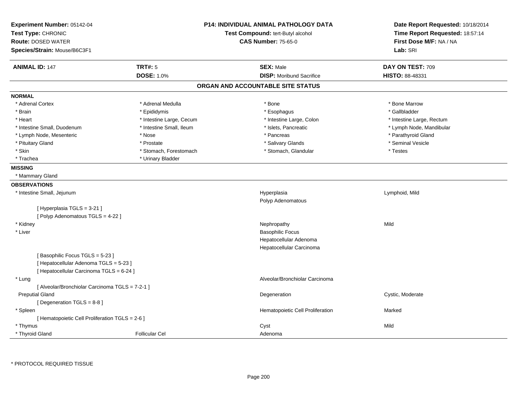| Experiment Number: 05142-04<br>Test Type: CHRONIC<br><b>Route: DOSED WATER</b><br>Species/Strain: Mouse/B6C3F1 |                          | <b>P14: INDIVIDUAL ANIMAL PATHOLOGY DATA</b><br>Test Compound: tert-Butyl alcohol<br><b>CAS Number: 75-65-0</b> | Date Report Requested: 10/18/2014<br>Time Report Requested: 18:57:14<br>First Dose M/F: NA / NA<br>Lab: SRI |
|----------------------------------------------------------------------------------------------------------------|--------------------------|-----------------------------------------------------------------------------------------------------------------|-------------------------------------------------------------------------------------------------------------|
| <b>ANIMAL ID: 147</b>                                                                                          | <b>TRT#: 5</b>           | <b>SEX: Male</b>                                                                                                | DAY ON TEST: 709                                                                                            |
|                                                                                                                | <b>DOSE: 1.0%</b>        | <b>DISP:</b> Moribund Sacrifice                                                                                 | HISTO: 88-48331                                                                                             |
|                                                                                                                |                          | ORGAN AND ACCOUNTABLE SITE STATUS                                                                               |                                                                                                             |
| <b>NORMAL</b>                                                                                                  |                          |                                                                                                                 |                                                                                                             |
| * Adrenal Cortex                                                                                               | * Adrenal Medulla        | * Bone                                                                                                          | * Bone Marrow                                                                                               |
| * Brain                                                                                                        | * Epididymis             | * Esophagus                                                                                                     | * Gallbladder                                                                                               |
| * Heart                                                                                                        | * Intestine Large, Cecum | * Intestine Large, Colon                                                                                        | * Intestine Large, Rectum                                                                                   |
| * Intestine Small, Duodenum                                                                                    | * Intestine Small, Ileum | * Islets, Pancreatic                                                                                            | * Lymph Node, Mandibular                                                                                    |
| * Lymph Node, Mesenteric                                                                                       | * Nose                   | * Pancreas                                                                                                      | * Parathyroid Gland                                                                                         |
| * Pituitary Gland                                                                                              | * Prostate               | * Salivary Glands                                                                                               | * Seminal Vesicle                                                                                           |
| * Skin                                                                                                         | * Stomach, Forestomach   | * Stomach, Glandular                                                                                            | * Testes                                                                                                    |
| * Trachea                                                                                                      | * Urinary Bladder        |                                                                                                                 |                                                                                                             |
| <b>MISSING</b>                                                                                                 |                          |                                                                                                                 |                                                                                                             |
| * Mammary Gland                                                                                                |                          |                                                                                                                 |                                                                                                             |
| <b>OBSERVATIONS</b>                                                                                            |                          |                                                                                                                 |                                                                                                             |
| * Intestine Small, Jejunum                                                                                     |                          | Hyperplasia                                                                                                     | Lymphoid, Mild                                                                                              |
|                                                                                                                |                          | Polyp Adenomatous                                                                                               |                                                                                                             |
| [Hyperplasia TGLS = 3-21]                                                                                      |                          |                                                                                                                 |                                                                                                             |
| [Polyp Adenomatous TGLS = 4-22 ]                                                                               |                          |                                                                                                                 |                                                                                                             |
| * Kidney                                                                                                       |                          | Nephropathy                                                                                                     | Mild                                                                                                        |
| * Liver                                                                                                        |                          | <b>Basophilic Focus</b>                                                                                         |                                                                                                             |
|                                                                                                                |                          | Hepatocellular Adenoma                                                                                          |                                                                                                             |
|                                                                                                                |                          | Hepatocellular Carcinoma                                                                                        |                                                                                                             |
| [Basophilic Focus TGLS = 5-23]                                                                                 |                          |                                                                                                                 |                                                                                                             |
| [ Hepatocellular Adenoma TGLS = 5-23 ]                                                                         |                          |                                                                                                                 |                                                                                                             |
| [ Hepatocellular Carcinoma TGLS = 6-24 ]                                                                       |                          |                                                                                                                 |                                                                                                             |
| * Lung                                                                                                         |                          | Alveolar/Bronchiolar Carcinoma                                                                                  |                                                                                                             |
| [ Alveolar/Bronchiolar Carcinoma TGLS = 7-2-1 ]                                                                |                          |                                                                                                                 |                                                                                                             |
| <b>Preputial Gland</b>                                                                                         |                          | Degeneration                                                                                                    | Cystic, Moderate                                                                                            |
| [Degeneration TGLS = 8-8]                                                                                      |                          |                                                                                                                 |                                                                                                             |
| * Spleen                                                                                                       |                          | Hematopoietic Cell Proliferation                                                                                | Marked                                                                                                      |
| [ Hematopoietic Cell Proliferation TGLS = 2-6 ]                                                                |                          |                                                                                                                 |                                                                                                             |
| * Thymus                                                                                                       |                          | Cyst                                                                                                            | Mild                                                                                                        |
| * Thyroid Gland                                                                                                | <b>Follicular Cel</b>    | Adenoma                                                                                                         |                                                                                                             |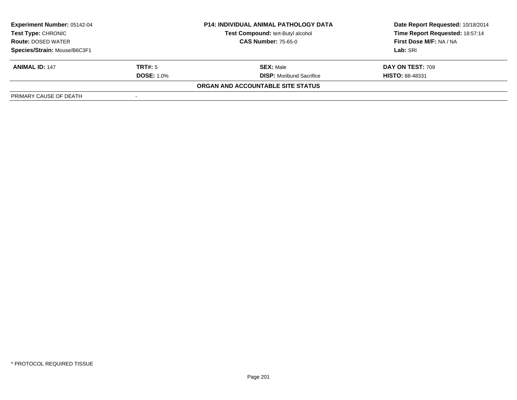| <b>Experiment Number: 05142-04</b><br>Test Type: CHRONIC |                   | <b>P14: INDIVIDUAL ANIMAL PATHOLOGY DATA</b> | Date Report Requested: 10/18/2014 |  |
|----------------------------------------------------------|-------------------|----------------------------------------------|-----------------------------------|--|
|                                                          |                   | <b>Test Compound: tert-Butyl alcohol</b>     | Time Report Requested: 18:57:14   |  |
| <b>Route: DOSED WATER</b>                                |                   | <b>CAS Number: 75-65-0</b>                   | First Dose M/F: NA / NA           |  |
| Species/Strain: Mouse/B6C3F1                             |                   |                                              | Lab: SRI                          |  |
| <b>ANIMAL ID: 147</b>                                    | <b>TRT#:</b> 5    | <b>SEX: Male</b>                             | DAY ON TEST: 709                  |  |
|                                                          | <b>DOSE: 1.0%</b> | <b>DISP:</b> Moribund Sacrifice              | <b>HISTO: 88-48331</b>            |  |
|                                                          |                   | ORGAN AND ACCOUNTABLE SITE STATUS            |                                   |  |
| PRIMARY CAUSE OF DEATH                                   |                   |                                              |                                   |  |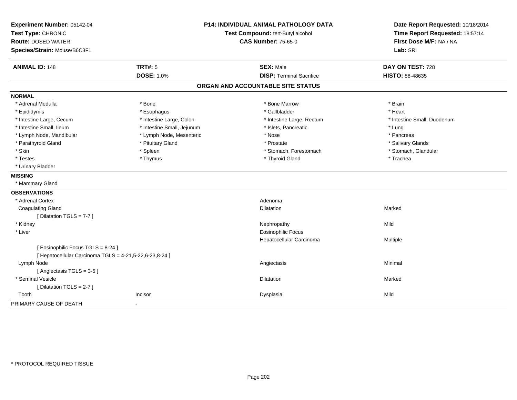| Experiment Number: 05142-04<br>Test Type: CHRONIC<br><b>Route: DOSED WATER</b><br>Species/Strain: Mouse/B6C3F1 |                                     | <b>P14: INDIVIDUAL ANIMAL PATHOLOGY DATA</b><br>Test Compound: tert-Butyl alcohol<br><b>CAS Number: 75-65-0</b> | Date Report Requested: 10/18/2014<br>Time Report Requested: 18:57:14<br>First Dose M/F: NA / NA<br>Lab: SRI |
|----------------------------------------------------------------------------------------------------------------|-------------------------------------|-----------------------------------------------------------------------------------------------------------------|-------------------------------------------------------------------------------------------------------------|
| <b>ANIMAL ID: 148</b>                                                                                          | <b>TRT#: 5</b><br><b>DOSE: 1.0%</b> | <b>SEX: Male</b><br><b>DISP: Terminal Sacrifice</b>                                                             | DAY ON TEST: 728<br><b>HISTO: 88-48635</b>                                                                  |
|                                                                                                                |                                     | ORGAN AND ACCOUNTABLE SITE STATUS                                                                               |                                                                                                             |
| <b>NORMAL</b>                                                                                                  |                                     |                                                                                                                 |                                                                                                             |
| * Adrenal Medulla                                                                                              | * Bone                              | * Bone Marrow                                                                                                   | * Brain                                                                                                     |
| * Epididymis                                                                                                   | * Esophagus                         | * Gallbladder                                                                                                   | * Heart                                                                                                     |
| * Intestine Large, Cecum                                                                                       | * Intestine Large, Colon            | * Intestine Large, Rectum                                                                                       | * Intestine Small, Duodenum                                                                                 |
| * Intestine Small, Ileum                                                                                       | * Intestine Small, Jejunum          | * Islets, Pancreatic                                                                                            | * Lung                                                                                                      |
| * Lymph Node, Mandibular                                                                                       | * Lymph Node, Mesenteric            | * Nose                                                                                                          | * Pancreas                                                                                                  |
| * Parathyroid Gland                                                                                            | * Pituitary Gland                   | * Prostate                                                                                                      | * Salivary Glands                                                                                           |
| * Skin                                                                                                         | * Spleen                            | * Stomach, Forestomach                                                                                          | * Stomach, Glandular                                                                                        |
| * Testes                                                                                                       | * Thymus                            | * Thyroid Gland                                                                                                 | * Trachea                                                                                                   |
| * Urinary Bladder                                                                                              |                                     |                                                                                                                 |                                                                                                             |
| <b>MISSING</b>                                                                                                 |                                     |                                                                                                                 |                                                                                                             |
| * Mammary Gland                                                                                                |                                     |                                                                                                                 |                                                                                                             |
| <b>OBSERVATIONS</b>                                                                                            |                                     |                                                                                                                 |                                                                                                             |
| * Adrenal Cortex                                                                                               |                                     | Adenoma                                                                                                         |                                                                                                             |
| <b>Coagulating Gland</b>                                                                                       |                                     | Dilatation                                                                                                      | Marked                                                                                                      |
| [Dilatation TGLS = 7-7]                                                                                        |                                     |                                                                                                                 |                                                                                                             |
| * Kidney                                                                                                       |                                     | Nephropathy                                                                                                     | Mild                                                                                                        |
| * Liver                                                                                                        |                                     | <b>Eosinophilic Focus</b>                                                                                       |                                                                                                             |
|                                                                                                                |                                     | Hepatocellular Carcinoma                                                                                        | Multiple                                                                                                    |
| [ Eosinophilic Focus TGLS = 8-24 ]                                                                             |                                     |                                                                                                                 |                                                                                                             |
| [ Hepatocellular Carcinoma TGLS = 4-21,5-22,6-23,8-24 ]                                                        |                                     |                                                                                                                 |                                                                                                             |
| Lymph Node                                                                                                     |                                     | Angiectasis                                                                                                     | Minimal                                                                                                     |
| [Angiectasis TGLS = 3-5]                                                                                       |                                     |                                                                                                                 |                                                                                                             |
| * Seminal Vesicle                                                                                              |                                     | Dilatation                                                                                                      | Marked                                                                                                      |
| [Dilatation TGLS = 2-7]                                                                                        |                                     |                                                                                                                 |                                                                                                             |
| Tooth                                                                                                          | Incisor                             | Dysplasia                                                                                                       | Mild                                                                                                        |
| PRIMARY CAUSE OF DEATH                                                                                         |                                     |                                                                                                                 |                                                                                                             |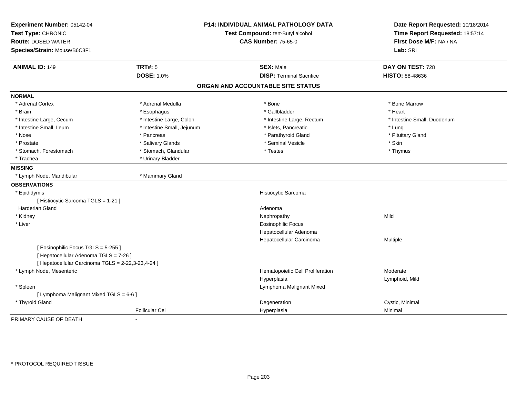| Experiment Number: 05142-04<br>Test Type: CHRONIC<br><b>Route: DOSED WATER</b> |                            | P14: INDIVIDUAL ANIMAL PATHOLOGY DATA<br>Test Compound: tert-Butyl alcohol<br><b>CAS Number: 75-65-0</b> | Date Report Requested: 10/18/2014<br>Time Report Requested: 18:57:14<br>First Dose M/F: NA / NA |  |
|--------------------------------------------------------------------------------|----------------------------|----------------------------------------------------------------------------------------------------------|-------------------------------------------------------------------------------------------------|--|
| Species/Strain: Mouse/B6C3F1                                                   |                            |                                                                                                          | Lab: SRI                                                                                        |  |
| <b>ANIMAL ID: 149</b>                                                          | <b>TRT#: 5</b>             | <b>SEX: Male</b>                                                                                         | DAY ON TEST: 728                                                                                |  |
|                                                                                | <b>DOSE: 1.0%</b>          | <b>DISP: Terminal Sacrifice</b>                                                                          | <b>HISTO: 88-48636</b>                                                                          |  |
|                                                                                |                            | ORGAN AND ACCOUNTABLE SITE STATUS                                                                        |                                                                                                 |  |
| <b>NORMAL</b>                                                                  |                            |                                                                                                          |                                                                                                 |  |
| * Adrenal Cortex                                                               | * Adrenal Medulla          | $*$ Bone                                                                                                 | * Bone Marrow                                                                                   |  |
| * Brain                                                                        | * Esophagus                | * Gallbladder                                                                                            | * Heart                                                                                         |  |
| * Intestine Large, Cecum                                                       | * Intestine Large, Colon   | * Intestine Large, Rectum                                                                                | * Intestine Small, Duodenum                                                                     |  |
| * Intestine Small, Ileum                                                       | * Intestine Small, Jejunum | * Islets, Pancreatic                                                                                     | * Lung                                                                                          |  |
| * Nose                                                                         | * Pancreas                 | * Parathyroid Gland                                                                                      | * Pituitary Gland                                                                               |  |
| * Prostate                                                                     | * Salivary Glands          | * Seminal Vesicle                                                                                        | * Skin                                                                                          |  |
| * Stomach, Forestomach                                                         | * Stomach, Glandular       | * Testes                                                                                                 | * Thymus                                                                                        |  |
| * Trachea                                                                      | * Urinary Bladder          |                                                                                                          |                                                                                                 |  |
| <b>MISSING</b>                                                                 |                            |                                                                                                          |                                                                                                 |  |
| * Lymph Node, Mandibular                                                       | * Mammary Gland            |                                                                                                          |                                                                                                 |  |
| <b>OBSERVATIONS</b>                                                            |                            |                                                                                                          |                                                                                                 |  |
| * Epididymis                                                                   |                            | Histiocytic Sarcoma                                                                                      |                                                                                                 |  |
| [ Histiocytic Sarcoma TGLS = 1-21 ]                                            |                            |                                                                                                          |                                                                                                 |  |
| Harderian Gland                                                                |                            | Adenoma                                                                                                  |                                                                                                 |  |
| * Kidney                                                                       |                            | Nephropathy                                                                                              | Mild                                                                                            |  |
| * Liver                                                                        |                            | <b>Eosinophilic Focus</b>                                                                                |                                                                                                 |  |
|                                                                                |                            | Hepatocellular Adenoma                                                                                   |                                                                                                 |  |
|                                                                                |                            | Hepatocellular Carcinoma                                                                                 | Multiple                                                                                        |  |
| [Eosinophilic Focus TGLS = 5-255]                                              |                            |                                                                                                          |                                                                                                 |  |
| [ Hepatocellular Adenoma TGLS = 7-26 ]                                         |                            |                                                                                                          |                                                                                                 |  |
| [ Hepatocellular Carcinoma TGLS = 2-22,3-23,4-24 ]                             |                            |                                                                                                          |                                                                                                 |  |
| * Lymph Node, Mesenteric                                                       |                            | Hematopoietic Cell Proliferation                                                                         | Moderate                                                                                        |  |
|                                                                                |                            | Hyperplasia                                                                                              | Lymphoid, Mild                                                                                  |  |
| * Spleen                                                                       |                            | Lymphoma Malignant Mixed                                                                                 |                                                                                                 |  |
| [ Lymphoma Malignant Mixed TGLS = 6-6 ]                                        |                            |                                                                                                          |                                                                                                 |  |
| * Thyroid Gland                                                                |                            | Degeneration                                                                                             | Cystic, Minimal                                                                                 |  |
|                                                                                | <b>Follicular Cel</b>      | Hyperplasia                                                                                              | Minimal                                                                                         |  |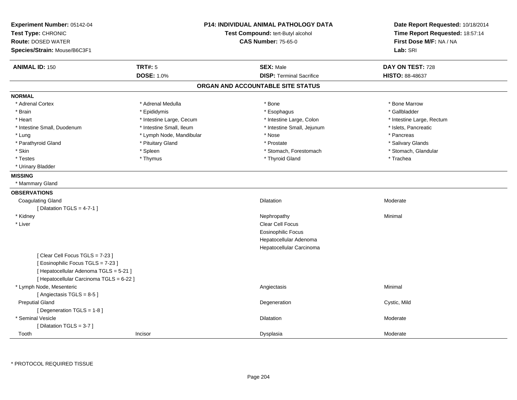| Experiment Number: 05142-04<br>Test Type: CHRONIC<br><b>Route: DOSED WATER</b> |                          | P14: INDIVIDUAL ANIMAL PATHOLOGY DATA<br>Test Compound: tert-Butyl alcohol<br><b>CAS Number: 75-65-0</b> |                                   | Date Report Requested: 10/18/2014<br>Time Report Requested: 18:57:14<br>First Dose M/F: NA / NA |  |
|--------------------------------------------------------------------------------|--------------------------|----------------------------------------------------------------------------------------------------------|-----------------------------------|-------------------------------------------------------------------------------------------------|--|
| Species/Strain: Mouse/B6C3F1                                                   |                          |                                                                                                          |                                   | Lab: SRI                                                                                        |  |
| <b>ANIMAL ID: 150</b>                                                          | <b>TRT#: 5</b>           |                                                                                                          | <b>SEX: Male</b>                  | DAY ON TEST: 728                                                                                |  |
|                                                                                | <b>DOSE: 1.0%</b>        |                                                                                                          | <b>DISP: Terminal Sacrifice</b>   | <b>HISTO: 88-48637</b>                                                                          |  |
|                                                                                |                          |                                                                                                          | ORGAN AND ACCOUNTABLE SITE STATUS |                                                                                                 |  |
| <b>NORMAL</b>                                                                  |                          |                                                                                                          |                                   |                                                                                                 |  |
| * Adrenal Cortex                                                               | * Adrenal Medulla        |                                                                                                          | * Bone                            | * Bone Marrow                                                                                   |  |
| * Brain                                                                        | * Epididymis             |                                                                                                          | * Esophagus                       | * Gallbladder                                                                                   |  |
| * Heart                                                                        | * Intestine Large, Cecum |                                                                                                          | * Intestine Large, Colon          | * Intestine Large, Rectum                                                                       |  |
| * Intestine Small, Duodenum                                                    | * Intestine Small, Ileum |                                                                                                          | * Intestine Small, Jejunum        | * Islets, Pancreatic                                                                            |  |
| * Lung                                                                         | * Lymph Node, Mandibular |                                                                                                          | * Nose                            | * Pancreas                                                                                      |  |
| * Parathyroid Gland                                                            | * Pituitary Gland        |                                                                                                          | * Prostate                        | * Salivary Glands                                                                               |  |
| * Skin                                                                         | * Spleen                 |                                                                                                          | * Stomach, Forestomach            | * Stomach, Glandular                                                                            |  |
| * Testes                                                                       | * Thymus                 |                                                                                                          | * Thyroid Gland                   | * Trachea                                                                                       |  |
| * Urinary Bladder                                                              |                          |                                                                                                          |                                   |                                                                                                 |  |
| <b>MISSING</b>                                                                 |                          |                                                                                                          |                                   |                                                                                                 |  |
| * Mammary Gland                                                                |                          |                                                                                                          |                                   |                                                                                                 |  |
| <b>OBSERVATIONS</b>                                                            |                          |                                                                                                          |                                   |                                                                                                 |  |
| <b>Coagulating Gland</b>                                                       |                          |                                                                                                          | Dilatation                        | Moderate                                                                                        |  |
| [ Dilatation TGLS = $4-7-1$ ]                                                  |                          |                                                                                                          |                                   |                                                                                                 |  |
| * Kidney                                                                       |                          |                                                                                                          | Nephropathy                       | Minimal                                                                                         |  |
| * Liver                                                                        |                          |                                                                                                          | Clear Cell Focus                  |                                                                                                 |  |
|                                                                                |                          |                                                                                                          | <b>Eosinophilic Focus</b>         |                                                                                                 |  |
|                                                                                |                          |                                                                                                          | Hepatocellular Adenoma            |                                                                                                 |  |
|                                                                                |                          |                                                                                                          | Hepatocellular Carcinoma          |                                                                                                 |  |
| [Clear Cell Focus TGLS = 7-23]                                                 |                          |                                                                                                          |                                   |                                                                                                 |  |
| [Eosinophilic Focus TGLS = 7-23]                                               |                          |                                                                                                          |                                   |                                                                                                 |  |
| [ Hepatocellular Adenoma TGLS = 5-21 ]                                         |                          |                                                                                                          |                                   |                                                                                                 |  |
| [ Hepatocellular Carcinoma TGLS = 6-22 ]                                       |                          |                                                                                                          |                                   |                                                                                                 |  |
| * Lymph Node, Mesenteric                                                       |                          |                                                                                                          | Angiectasis                       | Minimal                                                                                         |  |
| [Angiectasis TGLS = 8-5]                                                       |                          |                                                                                                          |                                   |                                                                                                 |  |
| <b>Preputial Gland</b>                                                         |                          |                                                                                                          | Degeneration                      | Cystic, Mild                                                                                    |  |
| [ Degeneration TGLS = 1-8 ]                                                    |                          |                                                                                                          |                                   |                                                                                                 |  |
| * Seminal Vesicle                                                              |                          |                                                                                                          | <b>Dilatation</b>                 | Moderate                                                                                        |  |
| [ Dilatation TGLS = 3-7 ]                                                      |                          |                                                                                                          |                                   |                                                                                                 |  |
| Tooth                                                                          | Incisor                  |                                                                                                          | Dysplasia                         | Moderate                                                                                        |  |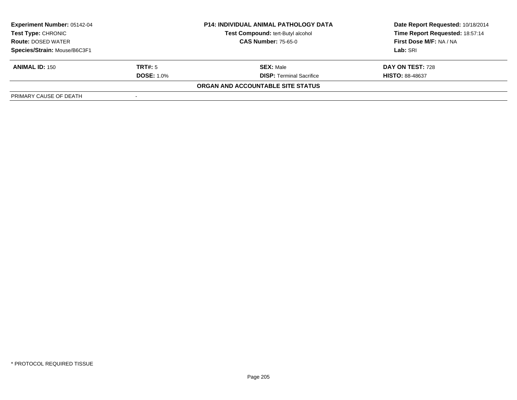| <b>Experiment Number: 05142-04</b><br>Test Type: CHRONIC<br><b>Route: DOSED WATER</b> |                   | <b>P14: INDIVIDUAL ANIMAL PATHOLOGY DATA</b> | Date Report Requested: 10/18/2014 |  |
|---------------------------------------------------------------------------------------|-------------------|----------------------------------------------|-----------------------------------|--|
|                                                                                       |                   | Test Compound: tert-Butyl alcohol            | Time Report Requested: 18:57:14   |  |
|                                                                                       |                   | <b>CAS Number: 75-65-0</b>                   | First Dose M/F: NA / NA           |  |
| Species/Strain: Mouse/B6C3F1                                                          |                   |                                              | Lab: SRI                          |  |
| <b>ANIMAL ID: 150</b>                                                                 | TRT#: 5           | <b>SEX: Male</b>                             | DAY ON TEST: 728                  |  |
|                                                                                       | <b>DOSE: 1.0%</b> | <b>DISP:</b> Terminal Sacrifice              | <b>HISTO: 88-48637</b>            |  |
|                                                                                       |                   | ORGAN AND ACCOUNTABLE SITE STATUS            |                                   |  |
| PRIMARY CAUSE OF DEATH                                                                |                   |                                              |                                   |  |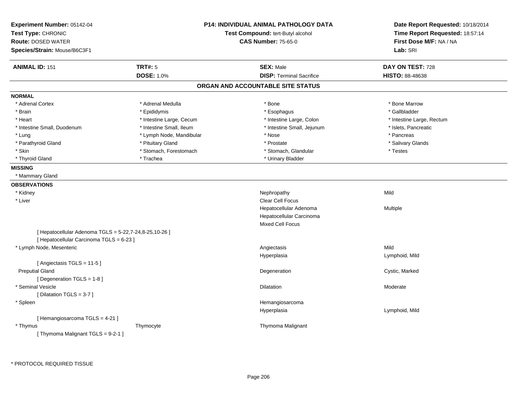| Experiment Number: 05142-04<br>Test Type: CHRONIC      |                          | <b>P14: INDIVIDUAL ANIMAL PATHOLOGY DATA</b><br>Test Compound: tert-Butyl alcohol | Date Report Requested: 10/18/2014<br>Time Report Requested: 18:57:14 |
|--------------------------------------------------------|--------------------------|-----------------------------------------------------------------------------------|----------------------------------------------------------------------|
| <b>Route: DOSED WATER</b>                              |                          | <b>CAS Number: 75-65-0</b>                                                        | First Dose M/F: NA / NA                                              |
| Species/Strain: Mouse/B6C3F1                           |                          |                                                                                   | Lab: SRI                                                             |
| <b>ANIMAL ID: 151</b>                                  | <b>TRT#: 5</b>           | <b>SEX: Male</b>                                                                  | DAY ON TEST: 728                                                     |
|                                                        | <b>DOSE: 1.0%</b>        | <b>DISP: Terminal Sacrifice</b>                                                   | <b>HISTO: 88-48638</b>                                               |
|                                                        |                          | ORGAN AND ACCOUNTABLE SITE STATUS                                                 |                                                                      |
| <b>NORMAL</b>                                          |                          |                                                                                   |                                                                      |
| * Adrenal Cortex                                       | * Adrenal Medulla        | * Bone                                                                            | * Bone Marrow                                                        |
| * Brain                                                | * Epididymis             | * Esophagus                                                                       | * Gallbladder                                                        |
| * Heart                                                | * Intestine Large, Cecum | * Intestine Large, Colon                                                          | * Intestine Large, Rectum                                            |
| * Intestine Small, Duodenum                            | * Intestine Small, Ileum | * Intestine Small, Jejunum                                                        | * Islets, Pancreatic                                                 |
| * Lung                                                 | * Lymph Node, Mandibular | * Nose                                                                            | * Pancreas                                                           |
| * Parathyroid Gland                                    | * Pituitary Gland        | * Prostate                                                                        | * Salivary Glands                                                    |
| * Skin                                                 | * Stomach, Forestomach   | * Stomach, Glandular                                                              | * Testes                                                             |
| * Thyroid Gland                                        | * Trachea                | * Urinary Bladder                                                                 |                                                                      |
| <b>MISSING</b>                                         |                          |                                                                                   |                                                                      |
| * Mammary Gland                                        |                          |                                                                                   |                                                                      |
| <b>OBSERVATIONS</b>                                    |                          |                                                                                   |                                                                      |
| * Kidney                                               |                          | Nephropathy                                                                       | Mild                                                                 |
| * Liver                                                |                          | <b>Clear Cell Focus</b>                                                           |                                                                      |
|                                                        |                          | Hepatocellular Adenoma                                                            | Multiple                                                             |
|                                                        |                          | Hepatocellular Carcinoma                                                          |                                                                      |
|                                                        |                          | <b>Mixed Cell Focus</b>                                                           |                                                                      |
| [ Hepatocellular Adenoma TGLS = 5-22,7-24,8-25,10-26 ] |                          |                                                                                   |                                                                      |
| [ Hepatocellular Carcinoma TGLS = 6-23 ]               |                          |                                                                                   |                                                                      |
| * Lymph Node, Mesenteric                               |                          | Angiectasis                                                                       | Mild                                                                 |
|                                                        |                          | Hyperplasia                                                                       | Lymphoid, Mild                                                       |
| [Angiectasis TGLS = 11-5]                              |                          |                                                                                   |                                                                      |
| <b>Preputial Gland</b>                                 |                          | Degeneration                                                                      | Cystic, Marked                                                       |
| [Degeneration TGLS = 1-8]                              |                          |                                                                                   |                                                                      |
| * Seminal Vesicle                                      |                          | Dilatation                                                                        | Moderate                                                             |
| [Dilatation TGLS = 3-7]                                |                          |                                                                                   |                                                                      |
| * Spleen                                               |                          | Hemangiosarcoma                                                                   |                                                                      |
|                                                        |                          | Hyperplasia                                                                       | Lymphoid, Mild                                                       |
| [Hemangiosarcoma TGLS = 4-21]                          |                          |                                                                                   |                                                                      |
| * Thymus                                               | Thymocyte                | Thymoma Malignant                                                                 |                                                                      |
| [Thymoma Malignant TGLS = 9-2-1]                       |                          |                                                                                   |                                                                      |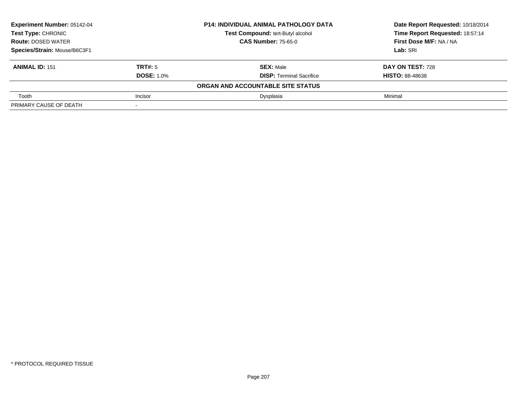| <b>Experiment Number: 05142-04</b><br><b>Test Type: CHRONIC</b> |                   | <b>P14: INDIVIDUAL ANIMAL PATHOLOGY DATA</b> | Date Report Requested: 10/18/2014<br>Time Report Requested: 18:57:14 |
|-----------------------------------------------------------------|-------------------|----------------------------------------------|----------------------------------------------------------------------|
|                                                                 |                   | Test Compound: tert-Butyl alcohol            |                                                                      |
| <b>Route: DOSED WATER</b>                                       |                   | <b>CAS Number: 75-65-0</b>                   | First Dose M/F: NA / NA                                              |
| Species/Strain: Mouse/B6C3F1                                    |                   |                                              | Lab: SRI                                                             |
| <b>ANIMAL ID: 151</b>                                           | TRT#: 5           | <b>SEX: Male</b>                             | DAY ON TEST: 728                                                     |
|                                                                 | <b>DOSE: 1.0%</b> | <b>DISP: Terminal Sacrifice</b>              | <b>HISTO: 88-48638</b>                                               |
|                                                                 |                   | ORGAN AND ACCOUNTABLE SITE STATUS            |                                                                      |
| Tooth                                                           | Incisor           | Dysplasia                                    | Minimal                                                              |
| PRIMARY CAUSE OF DEATH                                          |                   |                                              |                                                                      |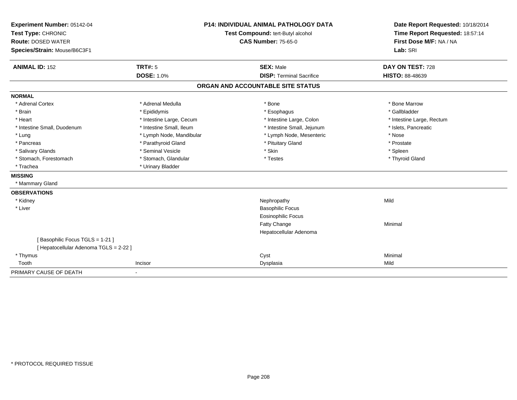| Experiment Number: 05142-04                                              |                                   | <b>P14: INDIVIDUAL ANIMAL PATHOLOGY DATA</b> | Date Report Requested: 10/18/2014 |
|--------------------------------------------------------------------------|-----------------------------------|----------------------------------------------|-----------------------------------|
| Test Type: CHRONIC                                                       | Test Compound: tert-Butyl alcohol |                                              | Time Report Requested: 18:57:14   |
| <b>Route: DOSED WATER</b>                                                |                                   | <b>CAS Number: 75-65-0</b>                   | First Dose M/F: NA / NA           |
| Species/Strain: Mouse/B6C3F1                                             |                                   |                                              | Lab: SRI                          |
| <b>ANIMAL ID: 152</b>                                                    | <b>TRT#: 5</b>                    | <b>SEX: Male</b>                             | DAY ON TEST: 728                  |
|                                                                          | <b>DOSE: 1.0%</b>                 | <b>DISP: Terminal Sacrifice</b>              | <b>HISTO: 88-48639</b>            |
|                                                                          |                                   | ORGAN AND ACCOUNTABLE SITE STATUS            |                                   |
| <b>NORMAL</b>                                                            |                                   |                                              |                                   |
| * Adrenal Cortex                                                         | * Adrenal Medulla                 | * Bone                                       | * Bone Marrow                     |
| * Brain                                                                  | * Epididymis                      | * Esophagus                                  | * Gallbladder                     |
| * Heart                                                                  | * Intestine Large, Cecum          | * Intestine Large, Colon                     | * Intestine Large, Rectum         |
| * Intestine Small, Duodenum                                              | * Intestine Small, Ileum          | * Intestine Small, Jejunum                   | * Islets, Pancreatic              |
| * Lung                                                                   | * Lymph Node, Mandibular          | * Lymph Node, Mesenteric                     | * Nose                            |
| * Pancreas                                                               | * Parathyroid Gland               | * Pituitary Gland                            | * Prostate                        |
| * Salivary Glands                                                        | * Seminal Vesicle                 | * Skin                                       | * Spleen                          |
| * Stomach, Forestomach                                                   | * Stomach, Glandular              | * Testes                                     | * Thyroid Gland                   |
| * Trachea                                                                | * Urinary Bladder                 |                                              |                                   |
| <b>MISSING</b>                                                           |                                   |                                              |                                   |
| * Mammary Gland                                                          |                                   |                                              |                                   |
| <b>OBSERVATIONS</b>                                                      |                                   |                                              |                                   |
| * Kidney                                                                 |                                   | Nephropathy                                  | Mild                              |
| * Liver                                                                  |                                   | <b>Basophilic Focus</b>                      |                                   |
|                                                                          |                                   | Eosinophilic Focus                           |                                   |
|                                                                          |                                   | Fatty Change                                 | Minimal                           |
|                                                                          |                                   | Hepatocellular Adenoma                       |                                   |
| [Basophilic Focus TGLS = 1-21]<br>[ Hepatocellular Adenoma TGLS = 2-22 ] |                                   |                                              |                                   |
| * Thymus                                                                 |                                   | Cyst                                         | Minimal                           |
| Tooth                                                                    | Incisor                           | Dysplasia                                    | Mild                              |
| PRIMARY CAUSE OF DEATH                                                   |                                   |                                              |                                   |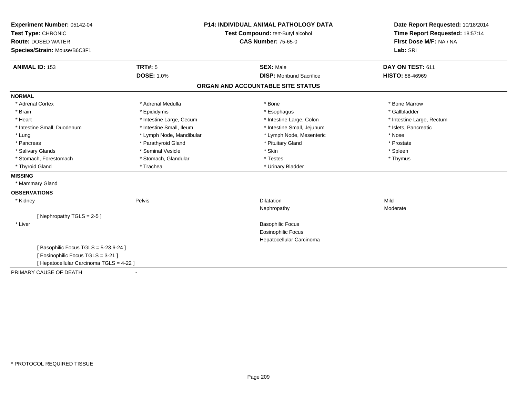| Experiment Number: 05142-04              |                                   | <b>P14: INDIVIDUAL ANIMAL PATHOLOGY DATA</b> | Date Report Requested: 10/18/2014 |
|------------------------------------------|-----------------------------------|----------------------------------------------|-----------------------------------|
| Test Type: CHRONIC                       | Test Compound: tert-Butyl alcohol |                                              | Time Report Requested: 18:57:14   |
| <b>Route: DOSED WATER</b>                |                                   | <b>CAS Number: 75-65-0</b>                   | First Dose M/F: NA / NA           |
| Species/Strain: Mouse/B6C3F1             |                                   |                                              | Lab: SRI                          |
| <b>ANIMAL ID: 153</b>                    | TRT#: 5                           | <b>SEX: Male</b>                             | DAY ON TEST: 611                  |
|                                          | <b>DOSE: 1.0%</b>                 | <b>DISP:</b> Moribund Sacrifice              | <b>HISTO: 88-46969</b>            |
|                                          |                                   | ORGAN AND ACCOUNTABLE SITE STATUS            |                                   |
| <b>NORMAL</b>                            |                                   |                                              |                                   |
| * Adrenal Cortex                         | * Adrenal Medulla                 | * Bone                                       | * Bone Marrow                     |
| * Brain                                  | * Epididymis                      | * Esophagus                                  | * Gallbladder                     |
| * Heart                                  | * Intestine Large, Cecum          | * Intestine Large, Colon                     | * Intestine Large, Rectum         |
| * Intestine Small, Duodenum              | * Intestine Small, Ileum          | * Intestine Small, Jejunum                   | * Islets, Pancreatic              |
| * Lung                                   | * Lymph Node, Mandibular          | * Lymph Node, Mesenteric                     | * Nose                            |
| * Pancreas                               | * Parathyroid Gland               | * Pituitary Gland                            | * Prostate                        |
| * Salivary Glands                        | * Seminal Vesicle                 | * Skin                                       | * Spleen                          |
| * Stomach, Forestomach                   | * Stomach, Glandular              | * Testes                                     | * Thymus                          |
| * Thyroid Gland                          | * Trachea                         | * Urinary Bladder                            |                                   |
| <b>MISSING</b>                           |                                   |                                              |                                   |
| * Mammary Gland                          |                                   |                                              |                                   |
| <b>OBSERVATIONS</b>                      |                                   |                                              |                                   |
| * Kidney                                 | Pelvis                            | <b>Dilatation</b>                            | Mild                              |
|                                          |                                   | Nephropathy                                  | Moderate                          |
| [Nephropathy TGLS = 2-5]                 |                                   |                                              |                                   |
| * Liver                                  |                                   | <b>Basophilic Focus</b>                      |                                   |
|                                          |                                   | <b>Eosinophilic Focus</b>                    |                                   |
|                                          |                                   | Hepatocellular Carcinoma                     |                                   |
| [Basophilic Focus TGLS = 5-23,6-24]      |                                   |                                              |                                   |
| [Eosinophilic Focus TGLS = 3-21]         |                                   |                                              |                                   |
| [ Hepatocellular Carcinoma TGLS = 4-22 ] |                                   |                                              |                                   |
| PRIMARY CAUSE OF DEATH                   | $\blacksquare$                    |                                              |                                   |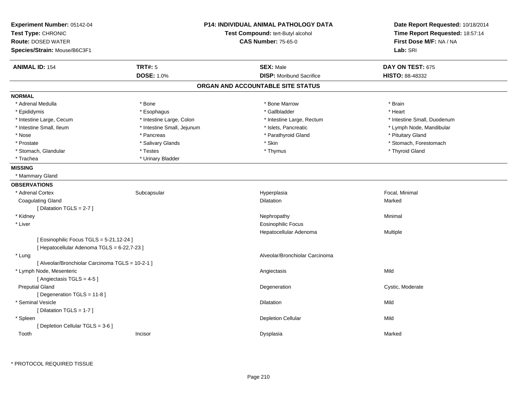| <b>ANIMAL ID: 154</b><br><b>TRT#: 5</b><br><b>SEX: Male</b><br>DAY ON TEST: 675<br><b>DOSE: 1.0%</b><br><b>DISP:</b> Moribund Sacrifice<br><b>HISTO: 88-48332</b><br>ORGAN AND ACCOUNTABLE SITE STATUS<br>* Adrenal Medulla<br>* Bone<br>* Bone Marrow<br>* Brain<br>* Heart<br>* Esophagus<br>* Gallbladder<br>* Epididymis<br>* Intestine Large, Cecum<br>* Intestine Large, Colon<br>* Intestine Small, Duodenum<br>* Intestine Large, Rectum<br>* Intestine Small, Ileum<br>* Intestine Small, Jejunum<br>* Islets, Pancreatic<br>* Lymph Node, Mandibular<br>* Nose<br>* Parathyroid Gland<br>* Pituitary Gland<br>* Pancreas<br>* Stomach, Forestomach<br>* Salivary Glands<br>* Skin<br>* Prostate<br>* Stomach, Glandular<br>$*$ Testes<br>* Thymus<br>* Thyroid Gland<br>* Urinary Bladder<br>* Trachea<br>* Mammary Gland<br>* Adrenal Cortex<br>Subcapsular<br>Focal, Minimal<br>Hyperplasia<br><b>Coagulating Gland</b><br><b>Dilatation</b><br>Marked<br>[ Dilatation TGLS = 2-7 ]<br>* Kidney<br>Nephropathy<br>Minimal<br>* Liver<br><b>Eosinophilic Focus</b><br>Hepatocellular Adenoma<br>Multiple<br>[ Eosinophilic Focus TGLS = 5-21,12-24 ]<br>[ Hepatocellular Adenoma TGLS = 6-22,7-23 ]<br>Alveolar/Bronchiolar Carcinoma<br>* Lung<br>[ Alveolar/Bronchiolar Carcinoma TGLS = 10-2-1 ]<br>* Lymph Node, Mesenteric<br>Mild<br>Angiectasis<br>[Angiectasis TGLS = 4-5]<br><b>Preputial Gland</b><br>Degeneration<br>Cystic, Moderate<br>[Degeneration TGLS = 11-8]<br>* Seminal Vesicle<br><b>Dilatation</b><br>Mild<br>[ Dilatation TGLS = 1-7 ]<br><b>Depletion Cellular</b><br>Mild<br>* Spleen<br>[ Depletion Cellular TGLS = 3-6 ]<br>Tooth<br>Incisor<br>Dysplasia<br>Marked | Experiment Number: 05142-04<br>Test Type: CHRONIC<br><b>Route: DOSED WATER</b><br>Species/Strain: Mouse/B6C3F1 | <b>P14: INDIVIDUAL ANIMAL PATHOLOGY DATA</b><br>Test Compound: tert-Butyl alcohol<br><b>CAS Number: 75-65-0</b> | Date Report Requested: 10/18/2014<br>Time Report Requested: 18:57:14<br>First Dose M/F: NA / NA<br>Lab: SRI |
|-----------------------------------------------------------------------------------------------------------------------------------------------------------------------------------------------------------------------------------------------------------------------------------------------------------------------------------------------------------------------------------------------------------------------------------------------------------------------------------------------------------------------------------------------------------------------------------------------------------------------------------------------------------------------------------------------------------------------------------------------------------------------------------------------------------------------------------------------------------------------------------------------------------------------------------------------------------------------------------------------------------------------------------------------------------------------------------------------------------------------------------------------------------------------------------------------------------------------------------------------------------------------------------------------------------------------------------------------------------------------------------------------------------------------------------------------------------------------------------------------------------------------------------------------------------------------------------------------------------------------------------------------------------------------------------------------------------|----------------------------------------------------------------------------------------------------------------|-----------------------------------------------------------------------------------------------------------------|-------------------------------------------------------------------------------------------------------------|
|                                                                                                                                                                                                                                                                                                                                                                                                                                                                                                                                                                                                                                                                                                                                                                                                                                                                                                                                                                                                                                                                                                                                                                                                                                                                                                                                                                                                                                                                                                                                                                                                                                                                                                           |                                                                                                                |                                                                                                                 |                                                                                                             |
|                                                                                                                                                                                                                                                                                                                                                                                                                                                                                                                                                                                                                                                                                                                                                                                                                                                                                                                                                                                                                                                                                                                                                                                                                                                                                                                                                                                                                                                                                                                                                                                                                                                                                                           |                                                                                                                |                                                                                                                 |                                                                                                             |
|                                                                                                                                                                                                                                                                                                                                                                                                                                                                                                                                                                                                                                                                                                                                                                                                                                                                                                                                                                                                                                                                                                                                                                                                                                                                                                                                                                                                                                                                                                                                                                                                                                                                                                           |                                                                                                                |                                                                                                                 |                                                                                                             |
|                                                                                                                                                                                                                                                                                                                                                                                                                                                                                                                                                                                                                                                                                                                                                                                                                                                                                                                                                                                                                                                                                                                                                                                                                                                                                                                                                                                                                                                                                                                                                                                                                                                                                                           | <b>NORMAL</b>                                                                                                  |                                                                                                                 |                                                                                                             |
|                                                                                                                                                                                                                                                                                                                                                                                                                                                                                                                                                                                                                                                                                                                                                                                                                                                                                                                                                                                                                                                                                                                                                                                                                                                                                                                                                                                                                                                                                                                                                                                                                                                                                                           |                                                                                                                |                                                                                                                 |                                                                                                             |
|                                                                                                                                                                                                                                                                                                                                                                                                                                                                                                                                                                                                                                                                                                                                                                                                                                                                                                                                                                                                                                                                                                                                                                                                                                                                                                                                                                                                                                                                                                                                                                                                                                                                                                           |                                                                                                                |                                                                                                                 |                                                                                                             |
|                                                                                                                                                                                                                                                                                                                                                                                                                                                                                                                                                                                                                                                                                                                                                                                                                                                                                                                                                                                                                                                                                                                                                                                                                                                                                                                                                                                                                                                                                                                                                                                                                                                                                                           |                                                                                                                |                                                                                                                 |                                                                                                             |
|                                                                                                                                                                                                                                                                                                                                                                                                                                                                                                                                                                                                                                                                                                                                                                                                                                                                                                                                                                                                                                                                                                                                                                                                                                                                                                                                                                                                                                                                                                                                                                                                                                                                                                           |                                                                                                                |                                                                                                                 |                                                                                                             |
|                                                                                                                                                                                                                                                                                                                                                                                                                                                                                                                                                                                                                                                                                                                                                                                                                                                                                                                                                                                                                                                                                                                                                                                                                                                                                                                                                                                                                                                                                                                                                                                                                                                                                                           |                                                                                                                |                                                                                                                 |                                                                                                             |
|                                                                                                                                                                                                                                                                                                                                                                                                                                                                                                                                                                                                                                                                                                                                                                                                                                                                                                                                                                                                                                                                                                                                                                                                                                                                                                                                                                                                                                                                                                                                                                                                                                                                                                           |                                                                                                                |                                                                                                                 |                                                                                                             |
|                                                                                                                                                                                                                                                                                                                                                                                                                                                                                                                                                                                                                                                                                                                                                                                                                                                                                                                                                                                                                                                                                                                                                                                                                                                                                                                                                                                                                                                                                                                                                                                                                                                                                                           |                                                                                                                |                                                                                                                 |                                                                                                             |
|                                                                                                                                                                                                                                                                                                                                                                                                                                                                                                                                                                                                                                                                                                                                                                                                                                                                                                                                                                                                                                                                                                                                                                                                                                                                                                                                                                                                                                                                                                                                                                                                                                                                                                           |                                                                                                                |                                                                                                                 |                                                                                                             |
|                                                                                                                                                                                                                                                                                                                                                                                                                                                                                                                                                                                                                                                                                                                                                                                                                                                                                                                                                                                                                                                                                                                                                                                                                                                                                                                                                                                                                                                                                                                                                                                                                                                                                                           | <b>MISSING</b>                                                                                                 |                                                                                                                 |                                                                                                             |
|                                                                                                                                                                                                                                                                                                                                                                                                                                                                                                                                                                                                                                                                                                                                                                                                                                                                                                                                                                                                                                                                                                                                                                                                                                                                                                                                                                                                                                                                                                                                                                                                                                                                                                           |                                                                                                                |                                                                                                                 |                                                                                                             |
|                                                                                                                                                                                                                                                                                                                                                                                                                                                                                                                                                                                                                                                                                                                                                                                                                                                                                                                                                                                                                                                                                                                                                                                                                                                                                                                                                                                                                                                                                                                                                                                                                                                                                                           | <b>OBSERVATIONS</b>                                                                                            |                                                                                                                 |                                                                                                             |
|                                                                                                                                                                                                                                                                                                                                                                                                                                                                                                                                                                                                                                                                                                                                                                                                                                                                                                                                                                                                                                                                                                                                                                                                                                                                                                                                                                                                                                                                                                                                                                                                                                                                                                           |                                                                                                                |                                                                                                                 |                                                                                                             |
|                                                                                                                                                                                                                                                                                                                                                                                                                                                                                                                                                                                                                                                                                                                                                                                                                                                                                                                                                                                                                                                                                                                                                                                                                                                                                                                                                                                                                                                                                                                                                                                                                                                                                                           |                                                                                                                |                                                                                                                 |                                                                                                             |
|                                                                                                                                                                                                                                                                                                                                                                                                                                                                                                                                                                                                                                                                                                                                                                                                                                                                                                                                                                                                                                                                                                                                                                                                                                                                                                                                                                                                                                                                                                                                                                                                                                                                                                           |                                                                                                                |                                                                                                                 |                                                                                                             |
|                                                                                                                                                                                                                                                                                                                                                                                                                                                                                                                                                                                                                                                                                                                                                                                                                                                                                                                                                                                                                                                                                                                                                                                                                                                                                                                                                                                                                                                                                                                                                                                                                                                                                                           |                                                                                                                |                                                                                                                 |                                                                                                             |
|                                                                                                                                                                                                                                                                                                                                                                                                                                                                                                                                                                                                                                                                                                                                                                                                                                                                                                                                                                                                                                                                                                                                                                                                                                                                                                                                                                                                                                                                                                                                                                                                                                                                                                           |                                                                                                                |                                                                                                                 |                                                                                                             |
|                                                                                                                                                                                                                                                                                                                                                                                                                                                                                                                                                                                                                                                                                                                                                                                                                                                                                                                                                                                                                                                                                                                                                                                                                                                                                                                                                                                                                                                                                                                                                                                                                                                                                                           |                                                                                                                |                                                                                                                 |                                                                                                             |
|                                                                                                                                                                                                                                                                                                                                                                                                                                                                                                                                                                                                                                                                                                                                                                                                                                                                                                                                                                                                                                                                                                                                                                                                                                                                                                                                                                                                                                                                                                                                                                                                                                                                                                           |                                                                                                                |                                                                                                                 |                                                                                                             |
|                                                                                                                                                                                                                                                                                                                                                                                                                                                                                                                                                                                                                                                                                                                                                                                                                                                                                                                                                                                                                                                                                                                                                                                                                                                                                                                                                                                                                                                                                                                                                                                                                                                                                                           |                                                                                                                |                                                                                                                 |                                                                                                             |
|                                                                                                                                                                                                                                                                                                                                                                                                                                                                                                                                                                                                                                                                                                                                                                                                                                                                                                                                                                                                                                                                                                                                                                                                                                                                                                                                                                                                                                                                                                                                                                                                                                                                                                           |                                                                                                                |                                                                                                                 |                                                                                                             |
|                                                                                                                                                                                                                                                                                                                                                                                                                                                                                                                                                                                                                                                                                                                                                                                                                                                                                                                                                                                                                                                                                                                                                                                                                                                                                                                                                                                                                                                                                                                                                                                                                                                                                                           |                                                                                                                |                                                                                                                 |                                                                                                             |
|                                                                                                                                                                                                                                                                                                                                                                                                                                                                                                                                                                                                                                                                                                                                                                                                                                                                                                                                                                                                                                                                                                                                                                                                                                                                                                                                                                                                                                                                                                                                                                                                                                                                                                           |                                                                                                                |                                                                                                                 |                                                                                                             |
|                                                                                                                                                                                                                                                                                                                                                                                                                                                                                                                                                                                                                                                                                                                                                                                                                                                                                                                                                                                                                                                                                                                                                                                                                                                                                                                                                                                                                                                                                                                                                                                                                                                                                                           |                                                                                                                |                                                                                                                 |                                                                                                             |
|                                                                                                                                                                                                                                                                                                                                                                                                                                                                                                                                                                                                                                                                                                                                                                                                                                                                                                                                                                                                                                                                                                                                                                                                                                                                                                                                                                                                                                                                                                                                                                                                                                                                                                           |                                                                                                                |                                                                                                                 |                                                                                                             |
|                                                                                                                                                                                                                                                                                                                                                                                                                                                                                                                                                                                                                                                                                                                                                                                                                                                                                                                                                                                                                                                                                                                                                                                                                                                                                                                                                                                                                                                                                                                                                                                                                                                                                                           |                                                                                                                |                                                                                                                 |                                                                                                             |
|                                                                                                                                                                                                                                                                                                                                                                                                                                                                                                                                                                                                                                                                                                                                                                                                                                                                                                                                                                                                                                                                                                                                                                                                                                                                                                                                                                                                                                                                                                                                                                                                                                                                                                           |                                                                                                                |                                                                                                                 |                                                                                                             |
|                                                                                                                                                                                                                                                                                                                                                                                                                                                                                                                                                                                                                                                                                                                                                                                                                                                                                                                                                                                                                                                                                                                                                                                                                                                                                                                                                                                                                                                                                                                                                                                                                                                                                                           |                                                                                                                |                                                                                                                 |                                                                                                             |
|                                                                                                                                                                                                                                                                                                                                                                                                                                                                                                                                                                                                                                                                                                                                                                                                                                                                                                                                                                                                                                                                                                                                                                                                                                                                                                                                                                                                                                                                                                                                                                                                                                                                                                           |                                                                                                                |                                                                                                                 |                                                                                                             |
|                                                                                                                                                                                                                                                                                                                                                                                                                                                                                                                                                                                                                                                                                                                                                                                                                                                                                                                                                                                                                                                                                                                                                                                                                                                                                                                                                                                                                                                                                                                                                                                                                                                                                                           |                                                                                                                |                                                                                                                 |                                                                                                             |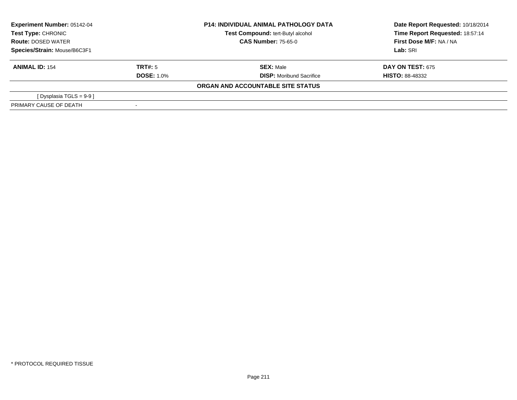| <b>Experiment Number: 05142-04</b><br>Test Type: CHRONIC<br><b>Route: DOSED WATER</b><br>Species/Strain: Mouse/B6C3F1 |                   | <b>P14: INDIVIDUAL ANIMAL PATHOLOGY DATA</b> | Date Report Requested: 10/18/2014 |  |
|-----------------------------------------------------------------------------------------------------------------------|-------------------|----------------------------------------------|-----------------------------------|--|
|                                                                                                                       |                   | Test Compound: tert-Butyl alcohol            | Time Report Requested: 18:57:14   |  |
|                                                                                                                       |                   | <b>CAS Number: 75-65-0</b>                   | First Dose M/F: NA / NA           |  |
|                                                                                                                       |                   |                                              | Lab: SRI                          |  |
| <b>ANIMAL ID: 154</b>                                                                                                 | TRT#: 5           | <b>SEX: Male</b>                             | <b>DAY ON TEST: 675</b>           |  |
|                                                                                                                       | <b>DOSE: 1.0%</b> | <b>DISP:</b> Moribund Sacrifice              | <b>HISTO: 88-48332</b>            |  |
|                                                                                                                       |                   | ORGAN AND ACCOUNTABLE SITE STATUS            |                                   |  |
| [ Dysplasia TGLS = 9-9 ]                                                                                              |                   |                                              |                                   |  |
| PRIMARY CAUSE OF DEATH                                                                                                |                   |                                              |                                   |  |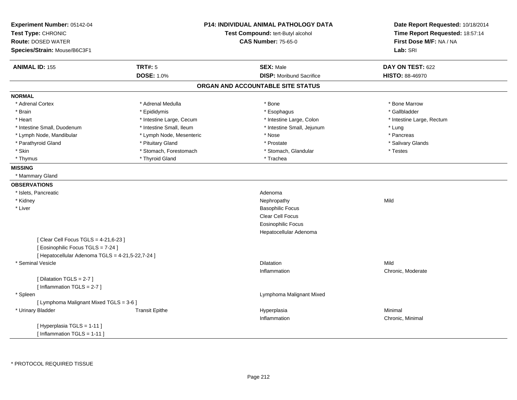| Experiment Number: 05142-04<br>Test Type: CHRONIC<br><b>Route: DOSED WATER</b><br>Species/Strain: Mouse/B6C3F1 | <b>P14: INDIVIDUAL ANIMAL PATHOLOGY DATA</b><br>Test Compound: tert-Butyl alcohol<br><b>CAS Number: 75-65-0</b> | Date Report Requested: 10/18/2014<br>Time Report Requested: 18:57:14<br>First Dose M/F: NA / NA<br>Lab: SRI |
|----------------------------------------------------------------------------------------------------------------|-----------------------------------------------------------------------------------------------------------------|-------------------------------------------------------------------------------------------------------------|
| <b>TRT#: 5</b><br><b>ANIMAL ID: 155</b>                                                                        | <b>SEX: Male</b>                                                                                                | DAY ON TEST: 622                                                                                            |
| <b>DOSE: 1.0%</b>                                                                                              | <b>DISP:</b> Moribund Sacrifice                                                                                 | <b>HISTO: 88-46970</b>                                                                                      |
|                                                                                                                | ORGAN AND ACCOUNTABLE SITE STATUS                                                                               |                                                                                                             |
| <b>NORMAL</b>                                                                                                  |                                                                                                                 |                                                                                                             |
| * Adrenal Cortex<br>* Adrenal Medulla                                                                          | * Bone                                                                                                          | * Bone Marrow                                                                                               |
| * Epididymis<br>* Brain                                                                                        | * Esophagus                                                                                                     | * Gallbladder                                                                                               |
| * Heart<br>* Intestine Large, Cecum                                                                            | * Intestine Large, Colon                                                                                        | * Intestine Large, Rectum                                                                                   |
| * Intestine Small, Duodenum<br>* Intestine Small, Ileum                                                        | * Intestine Small, Jejunum                                                                                      | * Lung                                                                                                      |
| * Lymph Node, Mandibular<br>* Lymph Node, Mesenteric                                                           | * Nose                                                                                                          | * Pancreas                                                                                                  |
| * Pituitary Gland<br>* Parathyroid Gland                                                                       | * Prostate                                                                                                      | * Salivary Glands                                                                                           |
| * Stomach, Forestomach<br>* Skin                                                                               | * Stomach, Glandular                                                                                            | * Testes                                                                                                    |
| * Thyroid Gland<br>* Thymus                                                                                    | * Trachea                                                                                                       |                                                                                                             |
| <b>MISSING</b>                                                                                                 |                                                                                                                 |                                                                                                             |
| * Mammary Gland                                                                                                |                                                                                                                 |                                                                                                             |
| <b>OBSERVATIONS</b>                                                                                            |                                                                                                                 |                                                                                                             |
| * Islets, Pancreatic                                                                                           | Adenoma                                                                                                         |                                                                                                             |
| * Kidney                                                                                                       | Nephropathy                                                                                                     | Mild                                                                                                        |
| * Liver                                                                                                        | <b>Basophilic Focus</b>                                                                                         |                                                                                                             |
|                                                                                                                | Clear Cell Focus                                                                                                |                                                                                                             |
|                                                                                                                | <b>Eosinophilic Focus</b>                                                                                       |                                                                                                             |
|                                                                                                                | Hepatocellular Adenoma                                                                                          |                                                                                                             |
| [ Clear Cell Focus TGLS = 4-21,6-23 ]                                                                          |                                                                                                                 |                                                                                                             |
| [Eosinophilic Focus TGLS = 7-24]                                                                               |                                                                                                                 |                                                                                                             |
| [ Hepatocellular Adenoma TGLS = 4-21,5-22,7-24 ]                                                               |                                                                                                                 |                                                                                                             |
| * Seminal Vesicle                                                                                              | <b>Dilatation</b>                                                                                               | Mild                                                                                                        |
|                                                                                                                | Inflammation                                                                                                    | Chronic, Moderate                                                                                           |
| [ Dilatation TGLS = 2-7 ]                                                                                      |                                                                                                                 |                                                                                                             |
| [Inflammation TGLS = 2-7]                                                                                      |                                                                                                                 |                                                                                                             |
| * Spleen                                                                                                       | Lymphoma Malignant Mixed                                                                                        |                                                                                                             |
| [ Lymphoma Malignant Mixed TGLS = 3-6 ]                                                                        |                                                                                                                 |                                                                                                             |
| * Urinary Bladder<br><b>Transit Epithe</b>                                                                     | Hyperplasia                                                                                                     | Minimal                                                                                                     |
|                                                                                                                | Inflammation                                                                                                    | Chronic, Minimal                                                                                            |
| [Hyperplasia TGLS = 1-11]                                                                                      |                                                                                                                 |                                                                                                             |
| [Inflammation TGLS = $1-11$ ]                                                                                  |                                                                                                                 |                                                                                                             |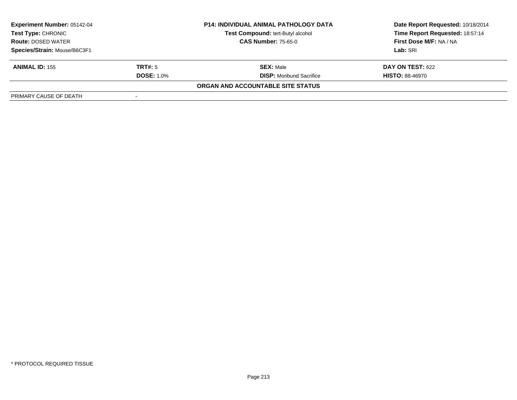| <b>Experiment Number: 05142-04</b><br><b>Test Type: CHRONIC</b><br><b>Route: DOSED WATER</b><br>Species/Strain: Mouse/B6C3F1 |                   | <b>P14: INDIVIDUAL ANIMAL PATHOLOGY DATA</b> | Date Report Requested: 10/18/2014 |  |
|------------------------------------------------------------------------------------------------------------------------------|-------------------|----------------------------------------------|-----------------------------------|--|
|                                                                                                                              |                   | <b>Test Compound: tert-Butyl alcohol</b>     | Time Report Requested: 18:57:14   |  |
|                                                                                                                              |                   | <b>CAS Number: 75-65-0</b>                   | First Dose M/F: NA / NA           |  |
|                                                                                                                              |                   |                                              | Lab: SRI                          |  |
| <b>ANIMAL ID: 155</b>                                                                                                        | TRT#: 5           | <b>SEX: Male</b>                             | <b>DAY ON TEST: 622</b>           |  |
|                                                                                                                              | <b>DOSE: 1.0%</b> | <b>DISP:</b> Moribund Sacrifice              | <b>HISTO: 88-46970</b>            |  |
|                                                                                                                              |                   | ORGAN AND ACCOUNTABLE SITE STATUS            |                                   |  |
| PRIMARY CAUSE OF DEATH                                                                                                       |                   |                                              |                                   |  |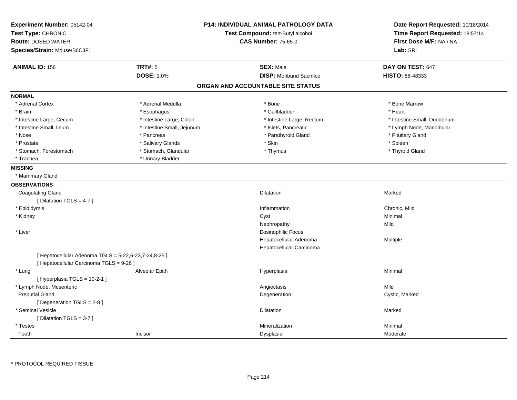| Experiment Number: 05142-04<br>Test Type: CHRONIC<br><b>Route: DOSED WATER</b><br>Species/Strain: Mouse/B6C3F1 |                            | <b>P14: INDIVIDUAL ANIMAL PATHOLOGY DATA</b><br>Test Compound: tert-Butyl alcohol<br><b>CAS Number: 75-65-0</b> | Date Report Requested: 10/18/2014<br>Time Report Requested: 18:57:14<br>First Dose M/F: NA / NA<br>Lab: SRI |
|----------------------------------------------------------------------------------------------------------------|----------------------------|-----------------------------------------------------------------------------------------------------------------|-------------------------------------------------------------------------------------------------------------|
| <b>ANIMAL ID: 156</b>                                                                                          | <b>TRT#: 5</b>             | <b>SEX: Male</b>                                                                                                | DAY ON TEST: 647                                                                                            |
|                                                                                                                | <b>DOSE: 1.0%</b>          | <b>DISP:</b> Moribund Sacrifice                                                                                 | <b>HISTO: 88-48333</b>                                                                                      |
|                                                                                                                |                            | ORGAN AND ACCOUNTABLE SITE STATUS                                                                               |                                                                                                             |
| <b>NORMAL</b>                                                                                                  |                            |                                                                                                                 |                                                                                                             |
| * Adrenal Cortex                                                                                               | * Adrenal Medulla          | * Bone                                                                                                          | * Bone Marrow                                                                                               |
| * Brain                                                                                                        | * Esophagus                | * Gallbladder                                                                                                   | * Heart                                                                                                     |
| * Intestine Large, Cecum                                                                                       | * Intestine Large, Colon   | * Intestine Large, Rectum                                                                                       | * Intestine Small, Duodenum                                                                                 |
| * Intestine Small, Ileum                                                                                       | * Intestine Small, Jejunum | * Islets, Pancreatic                                                                                            | * Lymph Node, Mandibular                                                                                    |
| * Nose                                                                                                         | * Pancreas                 | * Parathyroid Gland                                                                                             | * Pituitary Gland                                                                                           |
| * Prostate                                                                                                     | * Salivary Glands          | * Skin                                                                                                          | * Spleen                                                                                                    |
| * Stomach, Forestomach                                                                                         | * Stomach, Glandular       | * Thymus                                                                                                        | * Thyroid Gland                                                                                             |
| * Trachea                                                                                                      | * Urinary Bladder          |                                                                                                                 |                                                                                                             |
| <b>MISSING</b>                                                                                                 |                            |                                                                                                                 |                                                                                                             |
| * Mammary Gland                                                                                                |                            |                                                                                                                 |                                                                                                             |
| <b>OBSERVATIONS</b>                                                                                            |                            |                                                                                                                 |                                                                                                             |
| <b>Coagulating Gland</b>                                                                                       |                            | Dilatation                                                                                                      | Marked                                                                                                      |
| [ Dilatation TGLS = 4-7 ]                                                                                      |                            |                                                                                                                 |                                                                                                             |
| * Epididymis                                                                                                   |                            | Inflammation                                                                                                    | Chronic, Mild                                                                                               |
| * Kidney                                                                                                       |                            | Cyst                                                                                                            | Minimal                                                                                                     |
|                                                                                                                |                            | Nephropathy                                                                                                     | Mild                                                                                                        |
| * Liver                                                                                                        |                            | <b>Eosinophilic Focus</b>                                                                                       |                                                                                                             |
|                                                                                                                |                            | Hepatocellular Adenoma                                                                                          | Multiple                                                                                                    |
|                                                                                                                |                            | Hepatocellular Carcinoma                                                                                        |                                                                                                             |
| [ Hepatocellular Adenoma TGLS = 5-22,6-23,7-24,8-25 ]                                                          |                            |                                                                                                                 |                                                                                                             |
| [ Hepatocellular Carcinoma TGLS = 9-26 ]                                                                       |                            |                                                                                                                 |                                                                                                             |
| * Lung                                                                                                         | Alveolar Epith             | Hyperplasia                                                                                                     | Minimal                                                                                                     |
| [ Hyperplasia TGLS = 10-2-1 ]                                                                                  |                            |                                                                                                                 |                                                                                                             |
| * Lymph Node, Mesenteric                                                                                       |                            | Angiectasis                                                                                                     | Mild                                                                                                        |
| <b>Preputial Gland</b>                                                                                         |                            | Degeneration                                                                                                    | Cystic, Marked                                                                                              |
| [Degeneration TGLS = 2-8]                                                                                      |                            |                                                                                                                 |                                                                                                             |
| * Seminal Vesicle                                                                                              |                            | Dilatation                                                                                                      | Marked                                                                                                      |
| [ Dilatation TGLS = 3-7 ]                                                                                      |                            |                                                                                                                 |                                                                                                             |
| * Testes                                                                                                       |                            | Mineralization                                                                                                  | Minimal                                                                                                     |
| Tooth                                                                                                          | Incisor                    | Dysplasia                                                                                                       | Moderate                                                                                                    |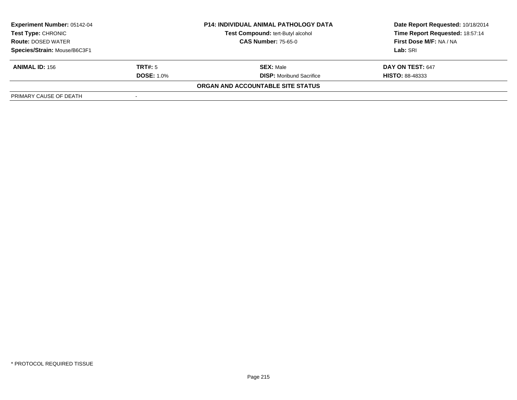| <b>Experiment Number: 05142-04</b><br><b>Test Type: CHRONIC</b><br><b>Route: DOSED WATER</b><br>Species/Strain: Mouse/B6C3F1 |                   | <b>P14: INDIVIDUAL ANIMAL PATHOLOGY DATA</b>                    | Date Report Requested: 10/18/2014                                 |
|------------------------------------------------------------------------------------------------------------------------------|-------------------|-----------------------------------------------------------------|-------------------------------------------------------------------|
|                                                                                                                              |                   | Test Compound: tert-Butyl alcohol<br><b>CAS Number: 75-65-0</b> | Time Report Requested: 18:57:14<br><b>First Dose M/F: NA / NA</b> |
|                                                                                                                              |                   |                                                                 | Lab: SRI                                                          |
| <b>ANIMAL ID: 156</b>                                                                                                        | TRT#: 5           | <b>SEX: Male</b>                                                | DAY ON TEST: 647                                                  |
|                                                                                                                              | <b>DOSE: 1.0%</b> | <b>DISP:</b> Moribund Sacrifice                                 | <b>HISTO: 88-48333</b>                                            |
|                                                                                                                              |                   | ORGAN AND ACCOUNTABLE SITE STATUS                               |                                                                   |
| PRIMARY CAUSE OF DEATH                                                                                                       |                   |                                                                 |                                                                   |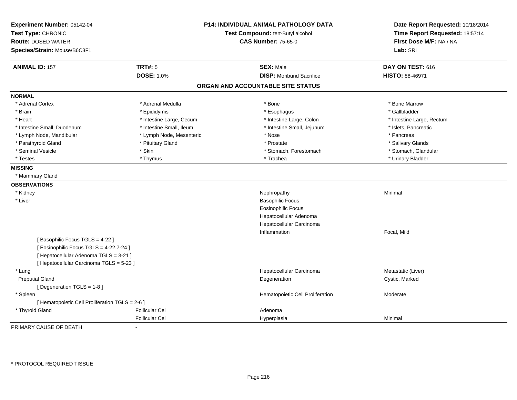| Experiment Number: 05142-04<br>Test Type: CHRONIC<br><b>Route: DOSED WATER</b><br>Species/Strain: Mouse/B6C3F1 |                          | P14: INDIVIDUAL ANIMAL PATHOLOGY DATA<br>Test Compound: tert-Butyl alcohol<br><b>CAS Number: 75-65-0</b> | Date Report Requested: 10/18/2014<br>Time Report Requested: 18:57:14<br>First Dose M/F: NA / NA<br>Lab: SRI |
|----------------------------------------------------------------------------------------------------------------|--------------------------|----------------------------------------------------------------------------------------------------------|-------------------------------------------------------------------------------------------------------------|
| <b>ANIMAL ID: 157</b>                                                                                          | <b>TRT#: 5</b>           | <b>SEX: Male</b>                                                                                         | DAY ON TEST: 616                                                                                            |
|                                                                                                                | <b>DOSE: 1.0%</b>        | <b>DISP:</b> Moribund Sacrifice                                                                          | HISTO: 88-46971                                                                                             |
|                                                                                                                |                          | ORGAN AND ACCOUNTABLE SITE STATUS                                                                        |                                                                                                             |
| <b>NORMAL</b>                                                                                                  |                          |                                                                                                          |                                                                                                             |
| * Adrenal Cortex                                                                                               | * Adrenal Medulla        | * Bone                                                                                                   | * Bone Marrow                                                                                               |
| * Brain                                                                                                        | * Epididymis             | * Esophagus                                                                                              | * Gallbladder                                                                                               |
| * Heart                                                                                                        | * Intestine Large, Cecum | * Intestine Large, Colon                                                                                 | * Intestine Large, Rectum                                                                                   |
| * Intestine Small, Duodenum                                                                                    | * Intestine Small, Ileum | * Intestine Small, Jejunum                                                                               | * Islets, Pancreatic                                                                                        |
| * Lymph Node, Mandibular                                                                                       | * Lymph Node, Mesenteric | * Nose                                                                                                   | * Pancreas                                                                                                  |
| * Parathyroid Gland                                                                                            | * Pituitary Gland        | * Prostate                                                                                               | * Salivary Glands                                                                                           |
| * Seminal Vesicle                                                                                              | * Skin                   | * Stomach, Forestomach                                                                                   | * Stomach, Glandular                                                                                        |
| * Testes                                                                                                       | * Thymus                 | * Trachea                                                                                                | * Urinary Bladder                                                                                           |
| <b>MISSING</b>                                                                                                 |                          |                                                                                                          |                                                                                                             |
| * Mammary Gland                                                                                                |                          |                                                                                                          |                                                                                                             |
| <b>OBSERVATIONS</b>                                                                                            |                          |                                                                                                          |                                                                                                             |
| * Kidney                                                                                                       |                          | Nephropathy                                                                                              | Minimal                                                                                                     |
| * Liver                                                                                                        |                          | <b>Basophilic Focus</b>                                                                                  |                                                                                                             |
|                                                                                                                |                          | <b>Eosinophilic Focus</b>                                                                                |                                                                                                             |
|                                                                                                                |                          | Hepatocellular Adenoma                                                                                   |                                                                                                             |
|                                                                                                                |                          | Hepatocellular Carcinoma                                                                                 |                                                                                                             |
|                                                                                                                |                          | Inflammation                                                                                             | Focal, Mild                                                                                                 |
| [Basophilic Focus TGLS = 4-22]                                                                                 |                          |                                                                                                          |                                                                                                             |
| [ Eosinophilic Focus TGLS = 4-22,7-24 ]                                                                        |                          |                                                                                                          |                                                                                                             |
| [ Hepatocellular Adenoma TGLS = 3-21 ]                                                                         |                          |                                                                                                          |                                                                                                             |
| [ Hepatocellular Carcinoma TGLS = 5-23 ]                                                                       |                          |                                                                                                          |                                                                                                             |
| * Lung                                                                                                         |                          | Hepatocellular Carcinoma                                                                                 | Metastatic (Liver)                                                                                          |
| <b>Preputial Gland</b>                                                                                         |                          | Degeneration                                                                                             | Cystic, Marked                                                                                              |
| [Degeneration TGLS = 1-8]                                                                                      |                          |                                                                                                          |                                                                                                             |
| * Spleen                                                                                                       |                          | Hematopoietic Cell Proliferation                                                                         | Moderate                                                                                                    |
| [ Hematopoietic Cell Proliferation TGLS = 2-6 ]                                                                |                          |                                                                                                          |                                                                                                             |
| * Thyroid Gland                                                                                                | <b>Follicular Cel</b>    | Adenoma                                                                                                  |                                                                                                             |
|                                                                                                                | <b>Follicular Cel</b>    | Hyperplasia                                                                                              | Minimal                                                                                                     |
| PRIMARY CAUSE OF DEATH                                                                                         | $\sim$                   |                                                                                                          |                                                                                                             |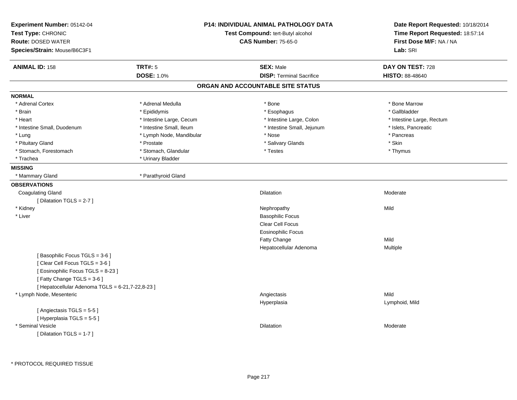| Experiment Number: 05142-04<br>Test Type: CHRONIC<br><b>Route: DOSED WATER</b><br>Species/Strain: Mouse/B6C3F1                  | <b>P14: INDIVIDUAL ANIMAL PATHOLOGY DATA</b><br>Test Compound: tert-Butyl alcohol<br><b>CAS Number: 75-65-0</b> |                                                     | Date Report Requested: 10/18/2014<br>Time Report Requested: 18:57:14<br>First Dose M/F: NA / NA<br>Lab: SRI |  |
|---------------------------------------------------------------------------------------------------------------------------------|-----------------------------------------------------------------------------------------------------------------|-----------------------------------------------------|-------------------------------------------------------------------------------------------------------------|--|
| <b>ANIMAL ID: 158</b>                                                                                                           | <b>TRT#: 5</b><br><b>DOSE: 1.0%</b>                                                                             | <b>SEX: Male</b><br><b>DISP: Terminal Sacrifice</b> | DAY ON TEST: 728<br><b>HISTO: 88-48640</b>                                                                  |  |
|                                                                                                                                 |                                                                                                                 | ORGAN AND ACCOUNTABLE SITE STATUS                   |                                                                                                             |  |
| <b>NORMAL</b>                                                                                                                   |                                                                                                                 |                                                     |                                                                                                             |  |
| * Adrenal Cortex                                                                                                                | * Adrenal Medulla                                                                                               | * Bone                                              | * Bone Marrow                                                                                               |  |
| * Brain                                                                                                                         | * Epididymis                                                                                                    | * Esophagus                                         | * Gallbladder                                                                                               |  |
| * Heart                                                                                                                         | * Intestine Large, Cecum                                                                                        | * Intestine Large, Colon                            | * Intestine Large, Rectum                                                                                   |  |
| * Intestine Small, Duodenum                                                                                                     | * Intestine Small, Ileum                                                                                        | * Intestine Small, Jejunum                          | * Islets, Pancreatic                                                                                        |  |
| * Lung                                                                                                                          | * Lymph Node, Mandibular                                                                                        | * Nose                                              | * Pancreas                                                                                                  |  |
| * Pituitary Gland                                                                                                               | * Prostate                                                                                                      | * Salivary Glands                                   | * Skin                                                                                                      |  |
| * Stomach, Forestomach                                                                                                          | * Stomach, Glandular                                                                                            | * Testes                                            | * Thymus                                                                                                    |  |
| * Trachea                                                                                                                       | * Urinary Bladder                                                                                               |                                                     |                                                                                                             |  |
| <b>MISSING</b>                                                                                                                  |                                                                                                                 |                                                     |                                                                                                             |  |
| * Mammary Gland                                                                                                                 | * Parathyroid Gland                                                                                             |                                                     |                                                                                                             |  |
| <b>OBSERVATIONS</b>                                                                                                             |                                                                                                                 |                                                     |                                                                                                             |  |
| <b>Coagulating Gland</b>                                                                                                        |                                                                                                                 | Dilatation                                          | Moderate                                                                                                    |  |
| [Dilatation TGLS = 2-7]                                                                                                         |                                                                                                                 |                                                     |                                                                                                             |  |
| * Kidney                                                                                                                        |                                                                                                                 | Nephropathy                                         | Mild                                                                                                        |  |
| * Liver                                                                                                                         |                                                                                                                 | <b>Basophilic Focus</b>                             |                                                                                                             |  |
|                                                                                                                                 |                                                                                                                 | Clear Cell Focus                                    |                                                                                                             |  |
|                                                                                                                                 |                                                                                                                 | <b>Eosinophilic Focus</b>                           |                                                                                                             |  |
|                                                                                                                                 |                                                                                                                 | Fatty Change                                        | Mild                                                                                                        |  |
|                                                                                                                                 |                                                                                                                 | Hepatocellular Adenoma                              | Multiple                                                                                                    |  |
| [Basophilic Focus TGLS = 3-6]<br>[Clear Cell Focus TGLS = 3-6]<br>[Eosinophilic Focus TGLS = 8-23]<br>[Fatty Change TGLS = 3-6] |                                                                                                                 |                                                     |                                                                                                             |  |
| [ Hepatocellular Adenoma TGLS = 6-21,7-22,8-23 ]                                                                                |                                                                                                                 |                                                     |                                                                                                             |  |
| * Lymph Node, Mesenteric                                                                                                        |                                                                                                                 | Angiectasis<br>Hyperplasia                          | Mild<br>Lymphoid, Mild                                                                                      |  |
| [Angiectasis TGLS = 5-5]<br>[Hyperplasia TGLS = 5-5]                                                                            |                                                                                                                 |                                                     |                                                                                                             |  |
| * Seminal Vesicle<br>[ Dilatation TGLS = 1-7 ]                                                                                  |                                                                                                                 | Dilatation                                          | Moderate                                                                                                    |  |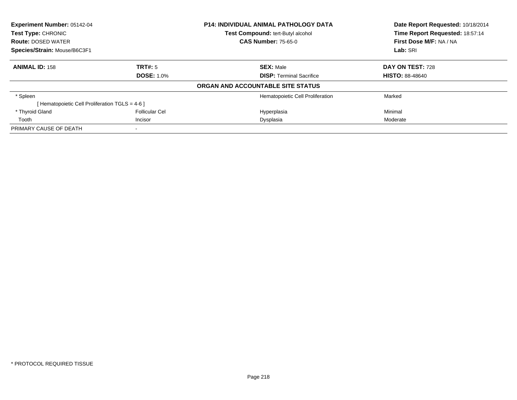| Experiment Number: 05142-04<br><b>Test Type: CHRONIC</b> |                   | <b>P14: INDIVIDUAL ANIMAL PATHOLOGY DATA</b> | Date Report Requested: 10/18/2014 |  |
|----------------------------------------------------------|-------------------|----------------------------------------------|-----------------------------------|--|
|                                                          |                   | Test Compound: tert-Butyl alcohol            | Time Report Requested: 18:57:14   |  |
| <b>Route: DOSED WATER</b>                                |                   | <b>CAS Number: 75-65-0</b>                   | First Dose M/F: NA / NA           |  |
| Species/Strain: Mouse/B6C3F1                             |                   |                                              | Lab: SRI                          |  |
| <b>ANIMAL ID: 158</b>                                    | TRT#: 5           | <b>SEX: Male</b>                             | DAY ON TEST: 728                  |  |
|                                                          | <b>DOSE: 1.0%</b> | <b>DISP: Terminal Sacrifice</b>              | <b>HISTO: 88-48640</b>            |  |
|                                                          |                   | ORGAN AND ACCOUNTABLE SITE STATUS            |                                   |  |
| * Spleen                                                 |                   | Hematopoietic Cell Proliferation             | Marked                            |  |
| [ Hematopoietic Cell Proliferation TGLS = 4-6 ]          |                   |                                              |                                   |  |
| * Thyroid Gland                                          | Follicular Cel    | Hyperplasia                                  | Minimal                           |  |
| Tooth                                                    | Incisor           | Dysplasia                                    | Moderate                          |  |
| PRIMARY CAUSE OF DEATH                                   |                   |                                              |                                   |  |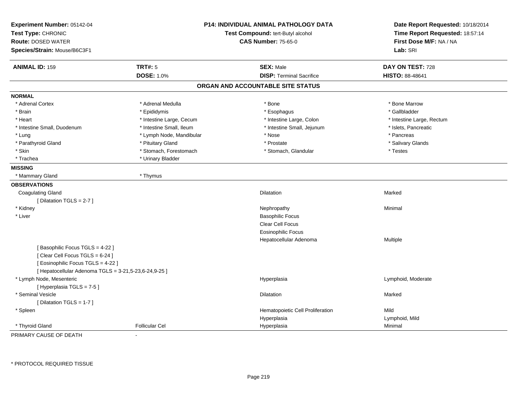| Experiment Number: 05142-04<br>Test Type: CHRONIC<br><b>Route: DOSED WATER</b><br>Species/Strain: Mouse/B6C3F1 | <b>P14: INDIVIDUAL ANIMAL PATHOLOGY DATA</b><br>Test Compound: tert-Butyl alcohol<br><b>CAS Number: 75-65-0</b> |                                   | Date Report Requested: 10/18/2014<br>Time Report Requested: 18:57:14<br>First Dose M/F: NA / NA<br>Lab: SRI |  |
|----------------------------------------------------------------------------------------------------------------|-----------------------------------------------------------------------------------------------------------------|-----------------------------------|-------------------------------------------------------------------------------------------------------------|--|
| <b>ANIMAL ID: 159</b>                                                                                          | <b>TRT#: 5</b>                                                                                                  | <b>SEX: Male</b>                  | DAY ON TEST: 728                                                                                            |  |
|                                                                                                                | <b>DOSE: 1.0%</b>                                                                                               | <b>DISP: Terminal Sacrifice</b>   | HISTO: 88-48641                                                                                             |  |
|                                                                                                                |                                                                                                                 | ORGAN AND ACCOUNTABLE SITE STATUS |                                                                                                             |  |
| <b>NORMAL</b>                                                                                                  |                                                                                                                 |                                   |                                                                                                             |  |
| * Adrenal Cortex                                                                                               | * Adrenal Medulla                                                                                               | * Bone                            | * Bone Marrow                                                                                               |  |
| * Brain                                                                                                        | * Epididymis                                                                                                    | * Esophagus                       | * Gallbladder                                                                                               |  |
| * Heart                                                                                                        | * Intestine Large, Cecum                                                                                        | * Intestine Large, Colon          | * Intestine Large, Rectum                                                                                   |  |
| * Intestine Small, Duodenum                                                                                    | * Intestine Small, Ileum                                                                                        | * Intestine Small, Jejunum        | * Islets, Pancreatic                                                                                        |  |
| * Lung                                                                                                         | * Lymph Node, Mandibular                                                                                        | * Nose                            | * Pancreas                                                                                                  |  |
| * Parathyroid Gland                                                                                            | * Pituitary Gland                                                                                               | * Prostate                        | * Salivary Glands                                                                                           |  |
| * Skin                                                                                                         | * Stomach, Forestomach                                                                                          | * Stomach, Glandular              | * Testes                                                                                                    |  |
| * Trachea                                                                                                      | * Urinary Bladder                                                                                               |                                   |                                                                                                             |  |
| <b>MISSING</b>                                                                                                 |                                                                                                                 |                                   |                                                                                                             |  |
| * Mammary Gland                                                                                                | * Thymus                                                                                                        |                                   |                                                                                                             |  |
| <b>OBSERVATIONS</b>                                                                                            |                                                                                                                 |                                   |                                                                                                             |  |
| <b>Coagulating Gland</b>                                                                                       |                                                                                                                 | <b>Dilatation</b>                 | Marked                                                                                                      |  |
| [Dilatation TGLS = 2-7]                                                                                        |                                                                                                                 |                                   |                                                                                                             |  |
| * Kidney                                                                                                       |                                                                                                                 | Nephropathy                       | Minimal                                                                                                     |  |
| * Liver                                                                                                        |                                                                                                                 | <b>Basophilic Focus</b>           |                                                                                                             |  |
|                                                                                                                |                                                                                                                 | Clear Cell Focus                  |                                                                                                             |  |
|                                                                                                                |                                                                                                                 | <b>Eosinophilic Focus</b>         |                                                                                                             |  |
|                                                                                                                |                                                                                                                 | Hepatocellular Adenoma            | Multiple                                                                                                    |  |
| [Basophilic Focus TGLS = 4-22]<br>[Clear Cell Focus TGLS = 6-24]<br>[ Eosinophilic Focus TGLS = 4-22 ]         |                                                                                                                 |                                   |                                                                                                             |  |
| [ Hepatocellular Adenoma TGLS = 3-21,5-23,6-24,9-25 ]                                                          |                                                                                                                 |                                   |                                                                                                             |  |
| * Lymph Node, Mesenteric<br>[ Hyperplasia TGLS = 7-5 ]                                                         |                                                                                                                 | Hyperplasia                       | Lymphoid, Moderate                                                                                          |  |
| * Seminal Vesicle                                                                                              |                                                                                                                 | Dilatation                        | Marked                                                                                                      |  |
| [Dilatation TGLS = 1-7]                                                                                        |                                                                                                                 |                                   |                                                                                                             |  |
| * Spleen                                                                                                       |                                                                                                                 | Hematopoietic Cell Proliferation  | Mild                                                                                                        |  |
|                                                                                                                |                                                                                                                 | Hyperplasia                       | Lymphoid, Mild                                                                                              |  |
| * Thyroid Gland                                                                                                | <b>Follicular Cel</b>                                                                                           | Hyperplasia                       | Minimal                                                                                                     |  |

PRIMARY CAUSE OF DEATH-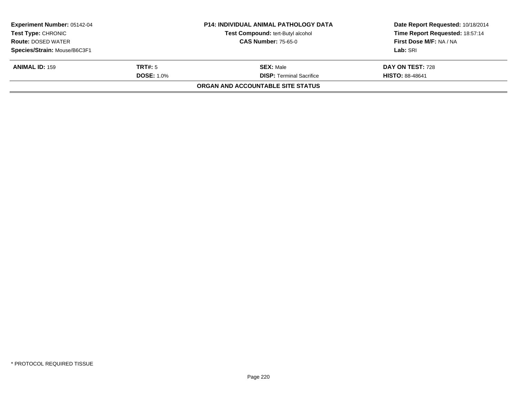| <b>Experiment Number: 05142-04</b><br>Test Type: CHRONIC |                   | <b>P14: INDIVIDUAL ANIMAL PATHOLOGY DATA</b><br><b>Test Compound: tert-Butyl alcohol</b> | Date Report Requested: 10/18/2014<br>Time Report Requested: 18:57:14 |
|----------------------------------------------------------|-------------------|------------------------------------------------------------------------------------------|----------------------------------------------------------------------|
| <b>Route: DOSED WATER</b>                                |                   | <b>CAS Number: 75-65-0</b>                                                               | First Dose M/F: NA / NA                                              |
| Species/Strain: Mouse/B6C3F1                             |                   |                                                                                          | Lab: SRI                                                             |
| <b>ANIMAL ID: 159</b>                                    | <b>TRT#:</b> 5    | <b>SEX: Male</b>                                                                         | DAY ON TEST: 728                                                     |
|                                                          | <b>DOSE: 1.0%</b> | <b>DISP:</b> Terminal Sacrifice                                                          | <b>HISTO: 88-48641</b>                                               |
|                                                          |                   | ORGAN AND ACCOUNTABLE SITE STATUS                                                        |                                                                      |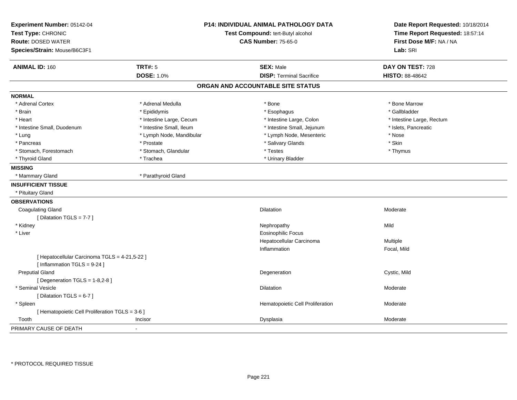| Experiment Number: 05142-04<br>Test Type: CHRONIC<br><b>Route: DOSED WATER</b><br>Species/Strain: Mouse/B6C3F1 | <b>P14: INDIVIDUAL ANIMAL PATHOLOGY DATA</b><br>Test Compound: tert-Butyl alcohol<br><b>CAS Number: 75-65-0</b> |                                   | Date Report Requested: 10/18/2014<br>Time Report Requested: 18:57:14<br>First Dose M/F: NA / NA<br>Lab: SRI |  |
|----------------------------------------------------------------------------------------------------------------|-----------------------------------------------------------------------------------------------------------------|-----------------------------------|-------------------------------------------------------------------------------------------------------------|--|
| <b>ANIMAL ID: 160</b>                                                                                          | <b>TRT#: 5</b>                                                                                                  | <b>SEX: Male</b>                  | DAY ON TEST: 728                                                                                            |  |
|                                                                                                                | <b>DOSE: 1.0%</b>                                                                                               | <b>DISP: Terminal Sacrifice</b>   | <b>HISTO: 88-48642</b>                                                                                      |  |
|                                                                                                                |                                                                                                                 | ORGAN AND ACCOUNTABLE SITE STATUS |                                                                                                             |  |
| <b>NORMAL</b>                                                                                                  |                                                                                                                 |                                   |                                                                                                             |  |
| * Adrenal Cortex                                                                                               | * Adrenal Medulla                                                                                               | * Bone                            | * Bone Marrow                                                                                               |  |
| * Brain                                                                                                        | * Epididymis                                                                                                    | * Esophagus                       | * Gallbladder                                                                                               |  |
| * Heart                                                                                                        | * Intestine Large, Cecum                                                                                        | * Intestine Large, Colon          | * Intestine Large, Rectum                                                                                   |  |
| * Intestine Small, Duodenum                                                                                    | * Intestine Small, Ileum                                                                                        | * Intestine Small, Jejunum        | * Islets, Pancreatic                                                                                        |  |
| * Lung                                                                                                         | * Lymph Node, Mandibular                                                                                        | * Lymph Node, Mesenteric          | * Nose                                                                                                      |  |
| * Pancreas                                                                                                     | * Prostate                                                                                                      | * Salivary Glands                 | * Skin                                                                                                      |  |
| * Stomach, Forestomach                                                                                         | * Stomach, Glandular                                                                                            | * Testes                          | * Thymus                                                                                                    |  |
| * Thyroid Gland                                                                                                | * Trachea                                                                                                       | * Urinary Bladder                 |                                                                                                             |  |
| <b>MISSING</b>                                                                                                 |                                                                                                                 |                                   |                                                                                                             |  |
| * Mammary Gland                                                                                                | * Parathyroid Gland                                                                                             |                                   |                                                                                                             |  |
| <b>INSUFFICIENT TISSUE</b>                                                                                     |                                                                                                                 |                                   |                                                                                                             |  |
| * Pituitary Gland                                                                                              |                                                                                                                 |                                   |                                                                                                             |  |
| <b>OBSERVATIONS</b>                                                                                            |                                                                                                                 |                                   |                                                                                                             |  |
| <b>Coagulating Gland</b>                                                                                       |                                                                                                                 | Dilatation                        | Moderate                                                                                                    |  |
| [ Dilatation TGLS = $7-7$ ]                                                                                    |                                                                                                                 |                                   |                                                                                                             |  |
| * Kidney                                                                                                       |                                                                                                                 | Nephropathy                       | Mild                                                                                                        |  |
| * Liver                                                                                                        |                                                                                                                 | <b>Eosinophilic Focus</b>         |                                                                                                             |  |
|                                                                                                                |                                                                                                                 | Hepatocellular Carcinoma          | Multiple                                                                                                    |  |
|                                                                                                                |                                                                                                                 | Inflammation                      | Focal, Mild                                                                                                 |  |
| [ Hepatocellular Carcinoma TGLS = 4-21,5-22 ]<br>[Inflammation TGLS = 9-24]                                    |                                                                                                                 |                                   |                                                                                                             |  |
| <b>Preputial Gland</b>                                                                                         |                                                                                                                 | Degeneration                      | Cystic, Mild                                                                                                |  |
| [ Degeneration $TGLS = 1-8,2-8$ ]                                                                              |                                                                                                                 |                                   |                                                                                                             |  |
| * Seminal Vesicle                                                                                              |                                                                                                                 | <b>Dilatation</b>                 | Moderate                                                                                                    |  |
| [ Dilatation TGLS = $6-7$ ]                                                                                    |                                                                                                                 |                                   |                                                                                                             |  |
| * Spleen                                                                                                       |                                                                                                                 | Hematopoietic Cell Proliferation  | Moderate                                                                                                    |  |
| [ Hematopoietic Cell Proliferation TGLS = 3-6 ]                                                                |                                                                                                                 |                                   |                                                                                                             |  |
| Tooth                                                                                                          | Incisor                                                                                                         | Dysplasia                         | Moderate                                                                                                    |  |
| PRIMARY CAUSE OF DEATH                                                                                         | $\blacksquare$                                                                                                  |                                   |                                                                                                             |  |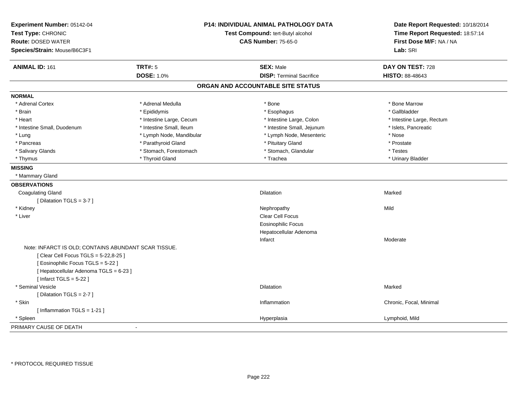| Experiment Number: 05142-04<br>Test Type: CHRONIC<br><b>Route: DOSED WATER</b><br>Species/Strain: Mouse/B6C3F1 | <b>P14: INDIVIDUAL ANIMAL PATHOLOGY DATA</b><br>Test Compound: tert-Butyl alcohol<br><b>CAS Number: 75-65-0</b> | Date Report Requested: 10/18/2014<br>Time Report Requested: 18:57:14<br>First Dose M/F: NA / NA<br>Lab: SRI |  |
|----------------------------------------------------------------------------------------------------------------|-----------------------------------------------------------------------------------------------------------------|-------------------------------------------------------------------------------------------------------------|--|
| <b>TRT#: 5</b><br><b>ANIMAL ID: 161</b>                                                                        | <b>SEX: Male</b>                                                                                                | DAY ON TEST: 728                                                                                            |  |
| <b>DOSE: 1.0%</b>                                                                                              | <b>DISP: Terminal Sacrifice</b>                                                                                 | <b>HISTO: 88-48643</b>                                                                                      |  |
|                                                                                                                | ORGAN AND ACCOUNTABLE SITE STATUS                                                                               |                                                                                                             |  |
| <b>NORMAL</b>                                                                                                  |                                                                                                                 |                                                                                                             |  |
| * Adrenal Cortex<br>* Adrenal Medulla                                                                          | * Bone                                                                                                          | * Bone Marrow                                                                                               |  |
| * Brain<br>* Epididymis                                                                                        | * Esophagus                                                                                                     | * Gallbladder                                                                                               |  |
| * Intestine Large, Cecum<br>* Heart                                                                            | * Intestine Large, Colon                                                                                        | * Intestine Large, Rectum                                                                                   |  |
| * Intestine Small, Ileum<br>* Intestine Small, Duodenum                                                        | * Intestine Small, Jejunum                                                                                      | * Islets, Pancreatic                                                                                        |  |
| * Lymph Node, Mandibular<br>* Lung                                                                             | * Lymph Node, Mesenteric                                                                                        | * Nose                                                                                                      |  |
| * Parathyroid Gland<br>* Pancreas                                                                              | * Pituitary Gland                                                                                               | * Prostate                                                                                                  |  |
| * Salivary Glands<br>* Stomach, Forestomach                                                                    | * Stomach, Glandular                                                                                            | * Testes                                                                                                    |  |
| * Thyroid Gland<br>* Thymus                                                                                    | * Trachea                                                                                                       | * Urinary Bladder                                                                                           |  |
| <b>MISSING</b>                                                                                                 |                                                                                                                 |                                                                                                             |  |
| * Mammary Gland                                                                                                |                                                                                                                 |                                                                                                             |  |
| <b>OBSERVATIONS</b>                                                                                            |                                                                                                                 |                                                                                                             |  |
| <b>Coagulating Gland</b>                                                                                       | <b>Dilatation</b>                                                                                               | Marked                                                                                                      |  |
| [Dilatation TGLS = $3-7$ ]                                                                                     |                                                                                                                 |                                                                                                             |  |
| * Kidney                                                                                                       | Nephropathy                                                                                                     | Mild                                                                                                        |  |
| * Liver                                                                                                        | Clear Cell Focus                                                                                                |                                                                                                             |  |
|                                                                                                                | <b>Eosinophilic Focus</b>                                                                                       |                                                                                                             |  |
|                                                                                                                | Hepatocellular Adenoma                                                                                          |                                                                                                             |  |
|                                                                                                                | Infarct                                                                                                         | Moderate                                                                                                    |  |
| Note: INFARCT IS OLD; CONTAINS ABUNDANT SCAR TISSUE.                                                           |                                                                                                                 |                                                                                                             |  |
| [ Clear Cell Focus TGLS = 5-22,8-25 ]                                                                          |                                                                                                                 |                                                                                                             |  |
| [ Eosinophilic Focus TGLS = 5-22 ]                                                                             |                                                                                                                 |                                                                                                             |  |
| [ Hepatocellular Adenoma TGLS = 6-23 ]                                                                         |                                                                                                                 |                                                                                                             |  |
| [Infarct TGLS = $5-22$ ]                                                                                       |                                                                                                                 |                                                                                                             |  |
| * Seminal Vesicle                                                                                              | <b>Dilatation</b>                                                                                               | Marked                                                                                                      |  |
| [Dilatation TGLS = 2-7]                                                                                        |                                                                                                                 |                                                                                                             |  |
| * Skin                                                                                                         | Inflammation                                                                                                    | Chronic, Focal, Minimal                                                                                     |  |
| [Inflammation TGLS = 1-21]                                                                                     |                                                                                                                 |                                                                                                             |  |
| * Spleen                                                                                                       | Hyperplasia                                                                                                     | Lymphoid, Mild                                                                                              |  |
| PRIMARY CAUSE OF DEATH<br>$\blacksquare$                                                                       |                                                                                                                 |                                                                                                             |  |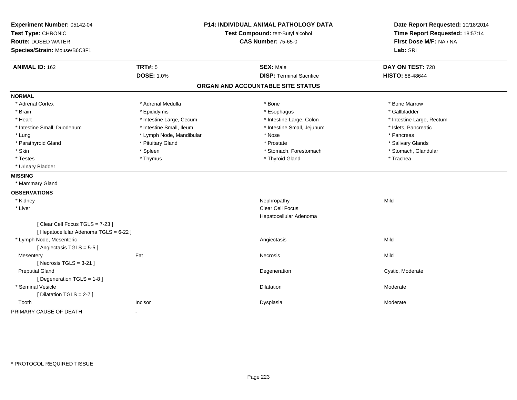| Experiment Number: 05142-04<br>Test Type: CHRONIC<br><b>Route: DOSED WATER</b><br>Species/Strain: Mouse/B6C3F1 | P14: INDIVIDUAL ANIMAL PATHOLOGY DATA<br>Test Compound: tert-Butyl alcohol<br><b>CAS Number: 75-65-0</b> |                                   | Date Report Requested: 10/18/2014<br>Time Report Requested: 18:57:14<br>First Dose M/F: NA / NA<br>Lab: SRI |  |
|----------------------------------------------------------------------------------------------------------------|----------------------------------------------------------------------------------------------------------|-----------------------------------|-------------------------------------------------------------------------------------------------------------|--|
| <b>ANIMAL ID: 162</b>                                                                                          | <b>TRT#: 5</b>                                                                                           | <b>SEX: Male</b>                  | DAY ON TEST: 728                                                                                            |  |
|                                                                                                                | <b>DOSE: 1.0%</b>                                                                                        | <b>DISP: Terminal Sacrifice</b>   | HISTO: 88-48644                                                                                             |  |
|                                                                                                                |                                                                                                          | ORGAN AND ACCOUNTABLE SITE STATUS |                                                                                                             |  |
| <b>NORMAL</b>                                                                                                  |                                                                                                          |                                   |                                                                                                             |  |
| * Adrenal Cortex                                                                                               | * Adrenal Medulla                                                                                        | * Bone                            | * Bone Marrow                                                                                               |  |
| * Brain                                                                                                        | * Epididymis                                                                                             | * Esophagus                       | * Gallbladder                                                                                               |  |
| * Heart                                                                                                        | * Intestine Large, Cecum                                                                                 | * Intestine Large, Colon          | * Intestine Large, Rectum                                                                                   |  |
| * Intestine Small, Duodenum                                                                                    | * Intestine Small, Ileum                                                                                 | * Intestine Small, Jejunum        | * Islets, Pancreatic                                                                                        |  |
| * Lung                                                                                                         | * Lymph Node, Mandibular                                                                                 | * Nose                            | * Pancreas                                                                                                  |  |
| * Parathyroid Gland                                                                                            | * Pituitary Gland                                                                                        | * Prostate                        | * Salivary Glands                                                                                           |  |
| * Skin                                                                                                         | * Spleen                                                                                                 | * Stomach, Forestomach            | * Stomach, Glandular                                                                                        |  |
| * Testes                                                                                                       | * Thymus                                                                                                 | * Thyroid Gland                   | * Trachea                                                                                                   |  |
| * Urinary Bladder                                                                                              |                                                                                                          |                                   |                                                                                                             |  |
| <b>MISSING</b>                                                                                                 |                                                                                                          |                                   |                                                                                                             |  |
| * Mammary Gland                                                                                                |                                                                                                          |                                   |                                                                                                             |  |
| <b>OBSERVATIONS</b>                                                                                            |                                                                                                          |                                   |                                                                                                             |  |
| * Kidney                                                                                                       |                                                                                                          | Nephropathy                       | Mild                                                                                                        |  |
| * Liver                                                                                                        |                                                                                                          | Clear Cell Focus                  |                                                                                                             |  |
|                                                                                                                |                                                                                                          | Hepatocellular Adenoma            |                                                                                                             |  |
| [Clear Cell Focus TGLS = 7-23]<br>[ Hepatocellular Adenoma TGLS = 6-22 ]                                       |                                                                                                          |                                   |                                                                                                             |  |
| * Lymph Node, Mesenteric                                                                                       |                                                                                                          | Angiectasis                       | Mild                                                                                                        |  |
| [Angiectasis TGLS = 5-5]                                                                                       |                                                                                                          |                                   |                                                                                                             |  |
| Mesentery                                                                                                      | Fat                                                                                                      | Necrosis                          | Mild                                                                                                        |  |
| [Necrosis $TGLS = 3-21$ ]                                                                                      |                                                                                                          |                                   |                                                                                                             |  |
| <b>Preputial Gland</b>                                                                                         |                                                                                                          | Degeneration                      | Cystic, Moderate                                                                                            |  |
| [ Degeneration TGLS = 1-8 ]                                                                                    |                                                                                                          |                                   |                                                                                                             |  |
| * Seminal Vesicle                                                                                              |                                                                                                          | Dilatation                        | Moderate                                                                                                    |  |
| [Dilatation TGLS = 2-7]                                                                                        |                                                                                                          |                                   |                                                                                                             |  |
| Tooth                                                                                                          | Incisor                                                                                                  | Dysplasia                         | Moderate                                                                                                    |  |
| PRIMARY CAUSE OF DEATH                                                                                         |                                                                                                          |                                   |                                                                                                             |  |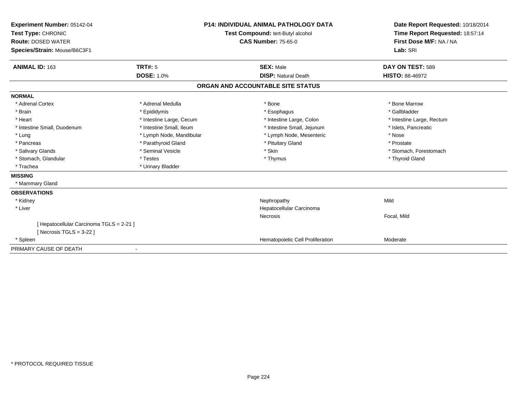| Experiment Number: 05142-04<br>Test Type: CHRONIC<br><b>Route: DOSED WATER</b><br>Species/Strain: Mouse/B6C3F1 | <b>P14: INDIVIDUAL ANIMAL PATHOLOGY DATA</b><br>Test Compound: tert-Butyl alcohol<br><b>CAS Number: 75-65-0</b> |                                   | Date Report Requested: 10/18/2014<br>Time Report Requested: 18:57:14<br>First Dose M/F: NA / NA<br>Lab: SRI |                                            |
|----------------------------------------------------------------------------------------------------------------|-----------------------------------------------------------------------------------------------------------------|-----------------------------------|-------------------------------------------------------------------------------------------------------------|--------------------------------------------|
| <b>ANIMAL ID: 163</b>                                                                                          | <b>TRT#: 5</b><br><b>DOSE: 1.0%</b>                                                                             |                                   | <b>SEX: Male</b><br><b>DISP: Natural Death</b>                                                              | DAY ON TEST: 589<br><b>HISTO: 88-46972</b> |
|                                                                                                                |                                                                                                                 | ORGAN AND ACCOUNTABLE SITE STATUS |                                                                                                             |                                            |
| <b>NORMAL</b>                                                                                                  |                                                                                                                 |                                   |                                                                                                             |                                            |
| * Adrenal Cortex                                                                                               | * Adrenal Medulla                                                                                               |                                   | * Bone                                                                                                      | * Bone Marrow                              |
| * Brain                                                                                                        | * Epididymis                                                                                                    |                                   | * Esophagus                                                                                                 | * Gallbladder                              |
| * Heart                                                                                                        | * Intestine Large, Cecum                                                                                        |                                   | * Intestine Large, Colon                                                                                    | * Intestine Large, Rectum                  |
| * Intestine Small, Duodenum                                                                                    | * Intestine Small, Ileum                                                                                        |                                   | * Intestine Small, Jejunum                                                                                  | * Islets, Pancreatic                       |
| * Lung                                                                                                         | * Lymph Node, Mandibular                                                                                        |                                   | * Lymph Node, Mesenteric                                                                                    | * Nose                                     |
| * Pancreas                                                                                                     | * Parathyroid Gland                                                                                             |                                   | * Pituitary Gland                                                                                           | * Prostate                                 |
| * Salivary Glands                                                                                              | * Seminal Vesicle                                                                                               | * Skin                            |                                                                                                             | * Stomach, Forestomach                     |
| * Stomach, Glandular                                                                                           | * Testes                                                                                                        |                                   | * Thymus                                                                                                    | * Thyroid Gland                            |
| * Trachea                                                                                                      | * Urinary Bladder                                                                                               |                                   |                                                                                                             |                                            |
| <b>MISSING</b>                                                                                                 |                                                                                                                 |                                   |                                                                                                             |                                            |
| * Mammary Gland                                                                                                |                                                                                                                 |                                   |                                                                                                             |                                            |
| <b>OBSERVATIONS</b>                                                                                            |                                                                                                                 |                                   |                                                                                                             |                                            |
| * Kidney                                                                                                       |                                                                                                                 |                                   | Nephropathy                                                                                                 | Mild                                       |
| * Liver                                                                                                        |                                                                                                                 |                                   | Hepatocellular Carcinoma                                                                                    |                                            |
|                                                                                                                |                                                                                                                 | Necrosis                          |                                                                                                             | Focal, Mild                                |
| [ Hepatocellular Carcinoma TGLS = 2-21 ]                                                                       |                                                                                                                 |                                   |                                                                                                             |                                            |
| [Necrosis TGLS = $3-22$ ]                                                                                      |                                                                                                                 |                                   |                                                                                                             |                                            |
| * Spleen                                                                                                       |                                                                                                                 |                                   | Hematopoietic Cell Proliferation                                                                            | Moderate                                   |
| PRIMARY CAUSE OF DEATH                                                                                         |                                                                                                                 |                                   |                                                                                                             |                                            |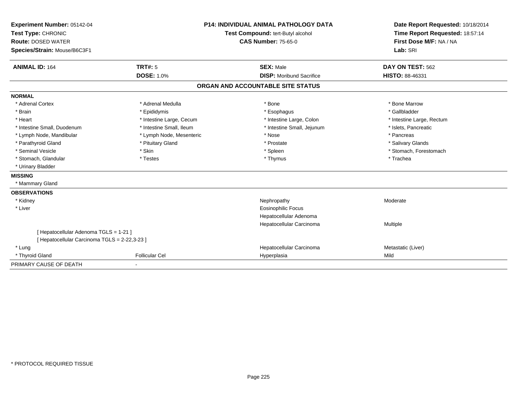| Experiment Number: 05142-04                   | <b>P14: INDIVIDUAL ANIMAL PATHOLOGY DATA</b> |                                   | Date Report Requested: 10/18/2014                          |  |
|-----------------------------------------------|----------------------------------------------|-----------------------------------|------------------------------------------------------------|--|
| Test Type: CHRONIC                            |                                              | Test Compound: tert-Butyl alcohol | Time Report Requested: 18:57:14<br>First Dose M/F: NA / NA |  |
| <b>Route: DOSED WATER</b>                     |                                              | <b>CAS Number: 75-65-0</b>        |                                                            |  |
| Species/Strain: Mouse/B6C3F1                  |                                              |                                   | Lab: SRI                                                   |  |
|                                               |                                              |                                   |                                                            |  |
| <b>ANIMAL ID: 164</b>                         | TRT#: 5                                      | <b>SEX: Male</b>                  | DAY ON TEST: 562                                           |  |
|                                               | <b>DOSE: 1.0%</b>                            | <b>DISP:</b> Moribund Sacrifice   | HISTO: 88-46331                                            |  |
|                                               |                                              | ORGAN AND ACCOUNTABLE SITE STATUS |                                                            |  |
| <b>NORMAL</b>                                 |                                              |                                   |                                                            |  |
| * Adrenal Cortex                              | * Adrenal Medulla                            | * Bone                            | * Bone Marrow                                              |  |
| * Brain                                       | * Epididymis                                 | * Esophagus                       | * Gallbladder                                              |  |
| * Heart                                       | * Intestine Large, Cecum                     | * Intestine Large, Colon          | * Intestine Large, Rectum                                  |  |
| * Intestine Small, Duodenum                   | * Intestine Small, Ileum                     | * Intestine Small, Jejunum        | * Islets, Pancreatic                                       |  |
| * Lymph Node, Mandibular                      | * Lymph Node, Mesenteric                     | * Nose                            | * Pancreas                                                 |  |
| * Parathyroid Gland                           | * Pituitary Gland                            | * Prostate                        | * Salivary Glands                                          |  |
| * Seminal Vesicle                             | * Skin                                       | * Spleen                          | * Stomach, Forestomach                                     |  |
| * Stomach, Glandular                          | * Testes                                     | * Thymus                          | * Trachea                                                  |  |
| * Urinary Bladder                             |                                              |                                   |                                                            |  |
| <b>MISSING</b>                                |                                              |                                   |                                                            |  |
| * Mammary Gland                               |                                              |                                   |                                                            |  |
| <b>OBSERVATIONS</b>                           |                                              |                                   |                                                            |  |
| * Kidney                                      |                                              | Nephropathy                       | Moderate                                                   |  |
| * Liver                                       |                                              | <b>Eosinophilic Focus</b>         |                                                            |  |
|                                               |                                              | Hepatocellular Adenoma            |                                                            |  |
|                                               |                                              | Hepatocellular Carcinoma          | Multiple                                                   |  |
| [ Hepatocellular Adenoma TGLS = 1-21 ]        |                                              |                                   |                                                            |  |
| [ Hepatocellular Carcinoma TGLS = 2-22,3-23 ] |                                              |                                   |                                                            |  |
| * Lung                                        |                                              | Hepatocellular Carcinoma          | Metastatic (Liver)                                         |  |
| * Thyroid Gland                               | <b>Follicular Cel</b>                        | Hyperplasia                       | Mild                                                       |  |
| PRIMARY CAUSE OF DEATH                        |                                              |                                   |                                                            |  |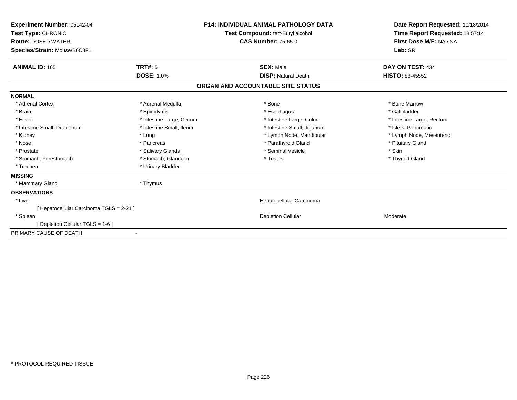| Experiment Number: 05142-04<br>Test Type: CHRONIC<br><b>Route: DOSED WATER</b><br>Species/Strain: Mouse/B6C3F1 |                          | <b>P14: INDIVIDUAL ANIMAL PATHOLOGY DATA</b><br>Test Compound: tert-Butyl alcohol<br><b>CAS Number: 75-65-0</b> |                                   | Date Report Requested: 10/18/2014<br>Time Report Requested: 18:57:14<br>First Dose M/F: NA / NA<br>Lab: SRI |  |
|----------------------------------------------------------------------------------------------------------------|--------------------------|-----------------------------------------------------------------------------------------------------------------|-----------------------------------|-------------------------------------------------------------------------------------------------------------|--|
| <b>ANIMAL ID: 165</b>                                                                                          | TRT#: 5                  |                                                                                                                 | <b>SEX: Male</b>                  | DAY ON TEST: 434                                                                                            |  |
|                                                                                                                | <b>DOSE: 1.0%</b>        |                                                                                                                 | <b>DISP: Natural Death</b>        | <b>HISTO: 88-45552</b>                                                                                      |  |
|                                                                                                                |                          |                                                                                                                 | ORGAN AND ACCOUNTABLE SITE STATUS |                                                                                                             |  |
| <b>NORMAL</b>                                                                                                  |                          |                                                                                                                 |                                   |                                                                                                             |  |
| * Adrenal Cortex                                                                                               | * Adrenal Medulla        |                                                                                                                 | * Bone                            | * Bone Marrow                                                                                               |  |
| * Brain                                                                                                        | * Epididymis             |                                                                                                                 | * Esophagus                       | * Gallbladder                                                                                               |  |
| * Heart                                                                                                        | * Intestine Large, Cecum |                                                                                                                 | * Intestine Large, Colon          | * Intestine Large, Rectum                                                                                   |  |
| * Intestine Small, Duodenum                                                                                    | * Intestine Small, Ileum |                                                                                                                 | * Intestine Small, Jejunum        | * Islets, Pancreatic                                                                                        |  |
| * Kidney                                                                                                       | * Lung                   |                                                                                                                 | * Lymph Node, Mandibular          | * Lymph Node, Mesenteric                                                                                    |  |
| * Nose                                                                                                         | * Pancreas               |                                                                                                                 | * Parathyroid Gland               | * Pituitary Gland                                                                                           |  |
| * Prostate                                                                                                     | * Salivary Glands        |                                                                                                                 | * Seminal Vesicle                 | * Skin                                                                                                      |  |
| * Stomach, Forestomach                                                                                         | * Stomach, Glandular     |                                                                                                                 | * Testes                          | * Thyroid Gland                                                                                             |  |
| * Trachea                                                                                                      | * Urinary Bladder        |                                                                                                                 |                                   |                                                                                                             |  |
| <b>MISSING</b>                                                                                                 |                          |                                                                                                                 |                                   |                                                                                                             |  |
| * Mammary Gland                                                                                                | * Thymus                 |                                                                                                                 |                                   |                                                                                                             |  |
| <b>OBSERVATIONS</b>                                                                                            |                          |                                                                                                                 |                                   |                                                                                                             |  |
| * Liver                                                                                                        |                          |                                                                                                                 | Hepatocellular Carcinoma          |                                                                                                             |  |
| [ Hepatocellular Carcinoma TGLS = 2-21 ]                                                                       |                          |                                                                                                                 |                                   |                                                                                                             |  |
| * Spleen                                                                                                       |                          |                                                                                                                 | <b>Depletion Cellular</b>         | Moderate                                                                                                    |  |
| [ Depletion Cellular TGLS = 1-6 ]                                                                              |                          |                                                                                                                 |                                   |                                                                                                             |  |
| PRIMARY CAUSE OF DEATH                                                                                         |                          |                                                                                                                 |                                   |                                                                                                             |  |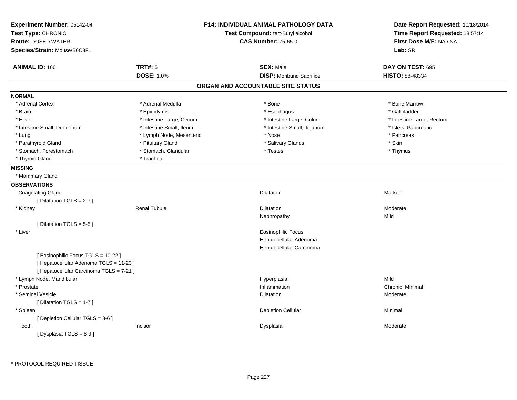| Experiment Number: 05142-04<br>Test Type: CHRONIC |                          | <b>P14: INDIVIDUAL ANIMAL PATHOLOGY DATA</b><br>Test Compound: tert-Butyl alcohol | Date Report Requested: 10/18/2014<br>Time Report Requested: 18:57:14 |
|---------------------------------------------------|--------------------------|-----------------------------------------------------------------------------------|----------------------------------------------------------------------|
|                                                   |                          |                                                                                   | First Dose M/F: NA / NA                                              |
| <b>Route: DOSED WATER</b>                         |                          | <b>CAS Number: 75-65-0</b>                                                        |                                                                      |
| Species/Strain: Mouse/B6C3F1                      |                          |                                                                                   | Lab: SRI                                                             |
| <b>ANIMAL ID: 166</b>                             | <b>TRT#: 5</b>           | <b>SEX: Male</b>                                                                  | DAY ON TEST: 695                                                     |
|                                                   | <b>DOSE: 1.0%</b>        | <b>DISP:</b> Moribund Sacrifice                                                   | <b>HISTO: 88-48334</b>                                               |
|                                                   |                          | ORGAN AND ACCOUNTABLE SITE STATUS                                                 |                                                                      |
| <b>NORMAL</b>                                     |                          |                                                                                   |                                                                      |
| * Adrenal Cortex                                  | * Adrenal Medulla        | * Bone                                                                            | * Bone Marrow                                                        |
| * Brain                                           | * Epididymis             | * Esophagus                                                                       | * Gallbladder                                                        |
| * Heart                                           | * Intestine Large, Cecum | * Intestine Large, Colon                                                          | * Intestine Large, Rectum                                            |
| * Intestine Small, Duodenum                       | * Intestine Small, Ileum | * Intestine Small, Jejunum                                                        | * Islets, Pancreatic                                                 |
| * Lung                                            | * Lymph Node, Mesenteric | * Nose                                                                            | * Pancreas                                                           |
| * Parathyroid Gland                               | * Pituitary Gland        | * Salivary Glands                                                                 | * Skin                                                               |
| * Stomach, Forestomach                            | * Stomach, Glandular     | * Testes                                                                          | * Thymus                                                             |
| * Thyroid Gland                                   | * Trachea                |                                                                                   |                                                                      |
| <b>MISSING</b>                                    |                          |                                                                                   |                                                                      |
| * Mammary Gland                                   |                          |                                                                                   |                                                                      |
| <b>OBSERVATIONS</b>                               |                          |                                                                                   |                                                                      |
| <b>Coagulating Gland</b>                          |                          | <b>Dilatation</b>                                                                 | Marked                                                               |
| [ Dilatation TGLS = 2-7 ]                         |                          |                                                                                   |                                                                      |
| * Kidney                                          | <b>Renal Tubule</b>      | Dilatation                                                                        | Moderate                                                             |
|                                                   |                          | Nephropathy                                                                       | Mild                                                                 |
| [Dilatation TGLS = 5-5]                           |                          |                                                                                   |                                                                      |
| * Liver                                           |                          | Eosinophilic Focus                                                                |                                                                      |
|                                                   |                          | Hepatocellular Adenoma                                                            |                                                                      |
|                                                   |                          | Hepatocellular Carcinoma                                                          |                                                                      |
| [ Eosinophilic Focus TGLS = 10-22 ]               |                          |                                                                                   |                                                                      |
| [ Hepatocellular Adenoma TGLS = 11-23 ]           |                          |                                                                                   |                                                                      |
| [ Hepatocellular Carcinoma TGLS = 7-21 ]          |                          |                                                                                   |                                                                      |
| * Lymph Node, Mandibular                          |                          | Hyperplasia                                                                       | Mild                                                                 |
| * Prostate                                        |                          | Inflammation                                                                      | Chronic, Minimal                                                     |
| * Seminal Vesicle                                 |                          | Dilatation                                                                        | Moderate                                                             |
| [Dilatation TGLS = 1-7]                           |                          |                                                                                   |                                                                      |
| * Spleen                                          |                          | <b>Depletion Cellular</b>                                                         | Minimal                                                              |
| [ Depletion Cellular TGLS = 3-6 ]                 |                          |                                                                                   |                                                                      |
| Tooth                                             | Incisor                  | Dysplasia                                                                         | Moderate                                                             |
| [Dysplasia TGLS = 8-9]                            |                          |                                                                                   |                                                                      |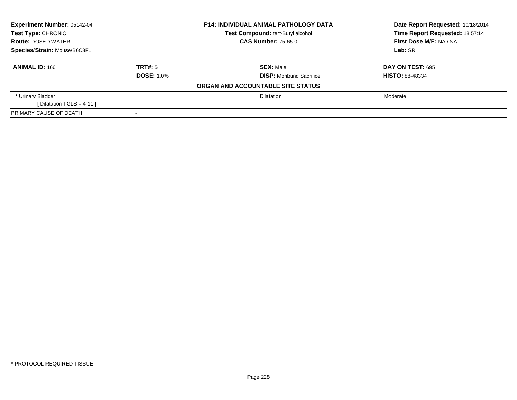| Experiment Number: 05142-04<br>Test Type: CHRONIC |                   | <b>P14: INDIVIDUAL ANIMAL PATHOLOGY DATA</b> | Date Report Requested: 10/18/2014 |  |
|---------------------------------------------------|-------------------|----------------------------------------------|-----------------------------------|--|
|                                                   |                   | Test Compound: tert-Butyl alcohol            | Time Report Requested: 18:57:14   |  |
| <b>Route: DOSED WATER</b>                         |                   | <b>CAS Number: 75-65-0</b>                   | First Dose M/F: NA / NA           |  |
| Species/Strain: Mouse/B6C3F1                      |                   |                                              | Lab: SRI                          |  |
| <b>ANIMAL ID: 166</b>                             | TRT#: 5           | <b>SEX: Male</b>                             | <b>DAY ON TEST: 695</b>           |  |
|                                                   | <b>DOSE: 1.0%</b> | <b>DISP:</b> Moribund Sacrifice              | <b>HISTO: 88-48334</b>            |  |
|                                                   |                   | ORGAN AND ACCOUNTABLE SITE STATUS            |                                   |  |
| * Urinary Bladder                                 |                   | <b>Dilatation</b>                            | Moderate                          |  |
| [Dilatation TGLS = 4-11]                          |                   |                                              |                                   |  |
| PRIMARY CAUSE OF DEATH                            |                   |                                              |                                   |  |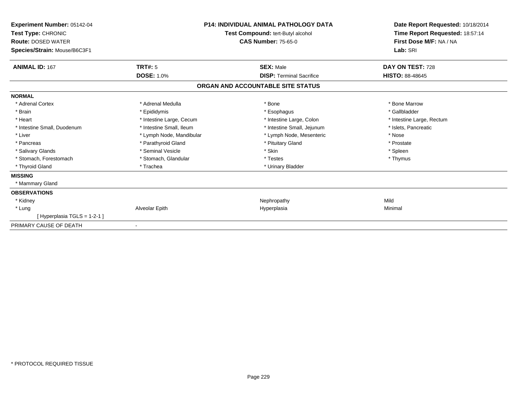| <b>Experiment Number: 05142-04</b><br>Test Type: CHRONIC<br><b>Route: DOSED WATER</b><br>Species/Strain: Mouse/B6C3F1 | <b>P14: INDIVIDUAL ANIMAL PATHOLOGY DATA</b><br>Test Compound: tert-Butyl alcohol<br><b>CAS Number: 75-65-0</b> |                                   | Date Report Requested: 10/18/2014<br>Time Report Requested: 18:57:14<br>First Dose M/F: NA / NA<br>Lab: SRI |  |
|-----------------------------------------------------------------------------------------------------------------------|-----------------------------------------------------------------------------------------------------------------|-----------------------------------|-------------------------------------------------------------------------------------------------------------|--|
| <b>ANIMAL ID: 167</b>                                                                                                 | <b>TRT#: 5</b>                                                                                                  | <b>SEX: Male</b>                  | DAY ON TEST: 728                                                                                            |  |
|                                                                                                                       | <b>DOSE: 1.0%</b>                                                                                               | <b>DISP: Terminal Sacrifice</b>   | <b>HISTO: 88-48645</b>                                                                                      |  |
|                                                                                                                       |                                                                                                                 | ORGAN AND ACCOUNTABLE SITE STATUS |                                                                                                             |  |
| <b>NORMAL</b>                                                                                                         |                                                                                                                 |                                   |                                                                                                             |  |
| * Adrenal Cortex                                                                                                      | * Adrenal Medulla                                                                                               | * Bone                            | * Bone Marrow                                                                                               |  |
| * Brain                                                                                                               | * Epididymis                                                                                                    | * Esophagus                       | * Gallbladder                                                                                               |  |
| * Heart                                                                                                               | * Intestine Large, Cecum                                                                                        | * Intestine Large, Colon          | * Intestine Large, Rectum                                                                                   |  |
| * Intestine Small, Duodenum                                                                                           | * Intestine Small, Ileum                                                                                        | * Intestine Small, Jejunum        | * Islets. Pancreatic                                                                                        |  |
| * Liver                                                                                                               | * Lymph Node, Mandibular                                                                                        | * Lymph Node, Mesenteric          | * Nose                                                                                                      |  |
| * Pancreas                                                                                                            | * Parathyroid Gland                                                                                             | * Pituitary Gland                 | * Prostate                                                                                                  |  |
| * Salivary Glands                                                                                                     | * Seminal Vesicle                                                                                               | * Skin                            | * Spleen                                                                                                    |  |
| * Stomach, Forestomach                                                                                                | * Stomach, Glandular                                                                                            | * Testes                          | * Thymus                                                                                                    |  |
| * Thyroid Gland                                                                                                       | * Trachea                                                                                                       | * Urinary Bladder                 |                                                                                                             |  |
| <b>MISSING</b>                                                                                                        |                                                                                                                 |                                   |                                                                                                             |  |
| * Mammary Gland                                                                                                       |                                                                                                                 |                                   |                                                                                                             |  |
| <b>OBSERVATIONS</b>                                                                                                   |                                                                                                                 |                                   |                                                                                                             |  |
| * Kidney                                                                                                              |                                                                                                                 | Nephropathy                       | Mild                                                                                                        |  |
| * Lung                                                                                                                | Alveolar Epith                                                                                                  | Hyperplasia                       | Minimal                                                                                                     |  |
| [Hyperplasia TGLS = 1-2-1]                                                                                            |                                                                                                                 |                                   |                                                                                                             |  |
| PRIMARY CAUSE OF DEATH                                                                                                |                                                                                                                 |                                   |                                                                                                             |  |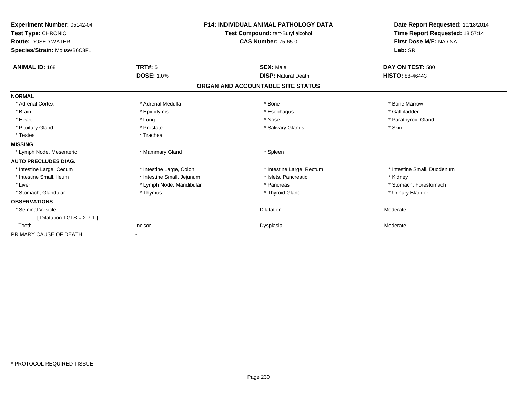| Experiment Number: 05142-04<br>Test Type: CHRONIC<br><b>Route: DOSED WATER</b><br>Species/Strain: Mouse/B6C3F1 |                            | <b>P14: INDIVIDUAL ANIMAL PATHOLOGY DATA</b><br>Test Compound: tert-Butyl alcohol<br><b>CAS Number: 75-65-0</b> | Date Report Requested: 10/18/2014<br>Time Report Requested: 18:57:14<br>First Dose M/F: NA / NA<br>Lab: SRI |
|----------------------------------------------------------------------------------------------------------------|----------------------------|-----------------------------------------------------------------------------------------------------------------|-------------------------------------------------------------------------------------------------------------|
| <b>ANIMAL ID: 168</b>                                                                                          | TRT#: 5                    | <b>SEX: Male</b>                                                                                                | DAY ON TEST: 580                                                                                            |
|                                                                                                                | <b>DOSE: 1.0%</b>          | <b>DISP: Natural Death</b>                                                                                      | <b>HISTO: 88-46443</b>                                                                                      |
|                                                                                                                |                            | ORGAN AND ACCOUNTABLE SITE STATUS                                                                               |                                                                                                             |
| <b>NORMAL</b>                                                                                                  |                            |                                                                                                                 |                                                                                                             |
| * Adrenal Cortex                                                                                               | * Adrenal Medulla          | * Bone                                                                                                          | * Bone Marrow                                                                                               |
| * Brain                                                                                                        | * Epididymis               | * Esophagus                                                                                                     | * Gallbladder                                                                                               |
| * Heart                                                                                                        | * Lung                     | * Nose                                                                                                          | * Parathyroid Gland                                                                                         |
| * Pituitary Gland                                                                                              | * Prostate                 | * Salivary Glands                                                                                               | * Skin                                                                                                      |
| * Testes                                                                                                       | * Trachea                  |                                                                                                                 |                                                                                                             |
| <b>MISSING</b>                                                                                                 |                            |                                                                                                                 |                                                                                                             |
| * Lymph Node, Mesenteric                                                                                       | * Mammary Gland            | * Spleen                                                                                                        |                                                                                                             |
| <b>AUTO PRECLUDES DIAG.</b>                                                                                    |                            |                                                                                                                 |                                                                                                             |
| * Intestine Large, Cecum                                                                                       | * Intestine Large, Colon   | * Intestine Large, Rectum                                                                                       | * Intestine Small, Duodenum                                                                                 |
| * Intestine Small, Ileum                                                                                       | * Intestine Small, Jejunum | * Islets, Pancreatic                                                                                            | * Kidney                                                                                                    |
| * Liver                                                                                                        | * Lymph Node, Mandibular   | * Pancreas                                                                                                      | * Stomach, Forestomach                                                                                      |
| * Stomach, Glandular                                                                                           | * Thymus                   | * Thyroid Gland                                                                                                 | * Urinary Bladder                                                                                           |
| <b>OBSERVATIONS</b>                                                                                            |                            |                                                                                                                 |                                                                                                             |
| * Seminal Vesicle                                                                                              |                            | <b>Dilatation</b>                                                                                               | Moderate                                                                                                    |
| [ Dilatation TGLS = $2-7-1$ ]                                                                                  |                            |                                                                                                                 |                                                                                                             |
| Tooth                                                                                                          | Incisor                    | Dysplasia                                                                                                       | Moderate                                                                                                    |
| PRIMARY CAUSE OF DEATH                                                                                         |                            |                                                                                                                 |                                                                                                             |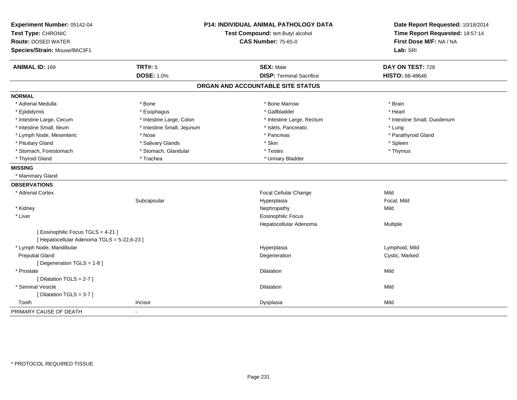| Experiment Number: 05142-04<br>Test Type: CHRONIC<br><b>Route: DOSED WATER</b> |                            | P14: INDIVIDUAL ANIMAL PATHOLOGY DATA<br>Test Compound: tert-Butyl alcohol<br><b>CAS Number: 75-65-0</b> | Date Report Requested: 10/18/2014<br>Time Report Requested: 18:57:14<br>First Dose M/F: NA / NA |
|--------------------------------------------------------------------------------|----------------------------|----------------------------------------------------------------------------------------------------------|-------------------------------------------------------------------------------------------------|
| Species/Strain: Mouse/B6C3F1                                                   |                            |                                                                                                          | Lab: SRI                                                                                        |
| <b>ANIMAL ID: 169</b>                                                          | <b>TRT#: 5</b>             | <b>SEX: Male</b>                                                                                         | DAY ON TEST: 728                                                                                |
|                                                                                | <b>DOSE: 1.0%</b>          | <b>DISP: Terminal Sacrifice</b>                                                                          | HISTO: 88-48646                                                                                 |
|                                                                                |                            | ORGAN AND ACCOUNTABLE SITE STATUS                                                                        |                                                                                                 |
| <b>NORMAL</b>                                                                  |                            |                                                                                                          |                                                                                                 |
| * Adrenal Medulla                                                              | * Bone                     | * Bone Marrow                                                                                            | * Brain                                                                                         |
| * Epididymis                                                                   | * Esophagus                | * Gallbladder                                                                                            | * Heart                                                                                         |
| * Intestine Large, Cecum                                                       | * Intestine Large, Colon   | * Intestine Large, Rectum                                                                                | * Intestine Small, Duodenum                                                                     |
| * Intestine Small, Ileum                                                       | * Intestine Small, Jejunum | * Islets, Pancreatic                                                                                     | * Lung                                                                                          |
| * Lymph Node, Mesenteric                                                       | * Nose                     | * Pancreas                                                                                               | * Parathyroid Gland                                                                             |
| * Pituitary Gland                                                              | * Salivary Glands          | * Skin                                                                                                   | * Spleen                                                                                        |
| * Stomach, Forestomach                                                         | * Stomach, Glandular       | * Testes                                                                                                 | * Thymus                                                                                        |
| * Thyroid Gland                                                                | * Trachea                  | * Urinary Bladder                                                                                        |                                                                                                 |
| <b>MISSING</b>                                                                 |                            |                                                                                                          |                                                                                                 |
| * Mammary Gland                                                                |                            |                                                                                                          |                                                                                                 |
| <b>OBSERVATIONS</b>                                                            |                            |                                                                                                          |                                                                                                 |
| * Adrenal Cortex                                                               |                            | Focal Cellular Change                                                                                    | Mild                                                                                            |
|                                                                                | Subcapsular                | Hyperplasia                                                                                              | Focal, Mild                                                                                     |
| * Kidney                                                                       |                            | Nephropathy                                                                                              | Mild                                                                                            |
| * Liver                                                                        |                            | <b>Eosinophilic Focus</b>                                                                                |                                                                                                 |
|                                                                                |                            | Hepatocellular Adenoma                                                                                   | Multiple                                                                                        |
| [ Eosinophilic Focus TGLS = 4-21 ]                                             |                            |                                                                                                          |                                                                                                 |
| [ Hepatocellular Adenoma TGLS = 5-22,6-23 ]                                    |                            |                                                                                                          |                                                                                                 |
| * Lymph Node, Mandibular                                                       |                            | Hyperplasia                                                                                              | Lymphoid, Mild                                                                                  |
| <b>Preputial Gland</b>                                                         |                            | Degeneration                                                                                             | Cystic, Marked                                                                                  |
| [Degeneration TGLS = 1-8]                                                      |                            |                                                                                                          |                                                                                                 |
| * Prostate                                                                     |                            | <b>Dilatation</b>                                                                                        | Mild                                                                                            |
| [ Dilatation TGLS = 2-7 ]                                                      |                            |                                                                                                          |                                                                                                 |
| * Seminal Vesicle                                                              |                            | <b>Dilatation</b>                                                                                        | Mild                                                                                            |
| [Dilatation TGLS = 3-7]                                                        |                            |                                                                                                          |                                                                                                 |
| Tooth                                                                          | Incisor                    | Dysplasia                                                                                                | Mild                                                                                            |
| PRIMARY CAUSE OF DEATH                                                         | $\blacksquare$             |                                                                                                          |                                                                                                 |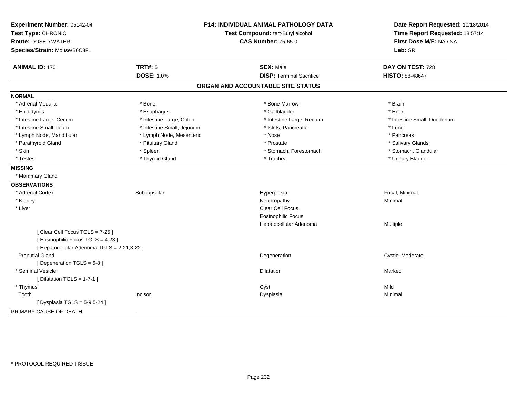| Experiment Number: 05142-04                 |                            | <b>P14: INDIVIDUAL ANIMAL PATHOLOGY DATA</b> | Date Report Requested: 10/18/2014<br>Time Report Requested: 18:57:14 |
|---------------------------------------------|----------------------------|----------------------------------------------|----------------------------------------------------------------------|
| Test Type: CHRONIC                          |                            | Test Compound: tert-Butyl alcohol            |                                                                      |
| <b>Route: DOSED WATER</b>                   |                            | <b>CAS Number: 75-65-0</b>                   | First Dose M/F: NA / NA                                              |
| Species/Strain: Mouse/B6C3F1                |                            |                                              | Lab: SRI                                                             |
| <b>ANIMAL ID: 170</b>                       | <b>TRT#: 5</b>             | <b>SEX: Male</b>                             | DAY ON TEST: 728                                                     |
|                                             | <b>DOSE: 1.0%</b>          | <b>DISP: Terminal Sacrifice</b>              | <b>HISTO: 88-48647</b>                                               |
|                                             |                            | ORGAN AND ACCOUNTABLE SITE STATUS            |                                                                      |
| <b>NORMAL</b>                               |                            |                                              |                                                                      |
| * Adrenal Medulla                           | * Bone                     | * Bone Marrow                                | * Brain                                                              |
| * Epididymis                                | * Esophagus                | * Gallbladder                                | * Heart                                                              |
| * Intestine Large, Cecum                    | * Intestine Large, Colon   | * Intestine Large, Rectum                    | * Intestine Small, Duodenum                                          |
| * Intestine Small, Ileum                    | * Intestine Small, Jejunum | * Islets, Pancreatic                         | * Lung                                                               |
| * Lymph Node, Mandibular                    | * Lymph Node, Mesenteric   | * Nose                                       | * Pancreas                                                           |
| * Parathyroid Gland                         | * Pituitary Gland          | * Prostate                                   | * Salivary Glands                                                    |
| * Skin                                      | * Spleen                   | * Stomach, Forestomach                       | * Stomach, Glandular                                                 |
| * Testes                                    | * Thyroid Gland            | * Trachea                                    | * Urinary Bladder                                                    |
| <b>MISSING</b>                              |                            |                                              |                                                                      |
| * Mammary Gland                             |                            |                                              |                                                                      |
| <b>OBSERVATIONS</b>                         |                            |                                              |                                                                      |
| * Adrenal Cortex                            | Subcapsular                | Hyperplasia                                  | Focal, Minimal                                                       |
| * Kidney                                    |                            | Nephropathy                                  | Minimal                                                              |
| * Liver                                     |                            | <b>Clear Cell Focus</b>                      |                                                                      |
|                                             |                            | <b>Eosinophilic Focus</b>                    |                                                                      |
|                                             |                            | Hepatocellular Adenoma                       | Multiple                                                             |
| [Clear Cell Focus TGLS = 7-25]              |                            |                                              |                                                                      |
| [Eosinophilic Focus TGLS = 4-23]            |                            |                                              |                                                                      |
| [ Hepatocellular Adenoma TGLS = 2-21,3-22 ] |                            |                                              |                                                                      |
| <b>Preputial Gland</b>                      |                            | Degeneration                                 | Cystic, Moderate                                                     |
| [Degeneration TGLS = 6-8]                   |                            |                                              |                                                                      |
| * Seminal Vesicle                           |                            | <b>Dilatation</b>                            | Marked                                                               |
| [ Dilatation TGLS = $1-7-1$ ]               |                            |                                              |                                                                      |
| * Thymus                                    |                            | Cyst                                         | Mild                                                                 |
| Tooth                                       | Incisor                    | Dysplasia                                    | Minimal                                                              |
| [ Dysplasia TGLS = 5-9,5-24 ]               |                            |                                              |                                                                      |
| PRIMARY CAUSE OF DEATH                      | $\overline{\phantom{a}}$   |                                              |                                                                      |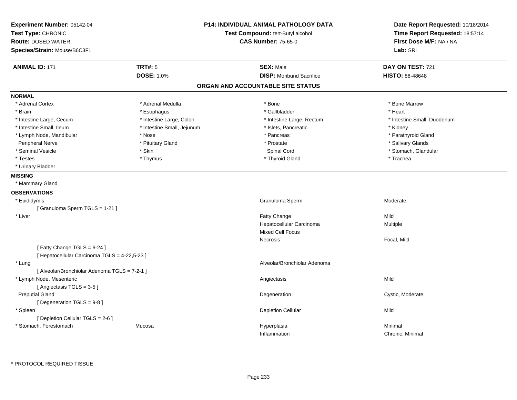| Experiment Number: 05142-04<br>Test Type: CHRONIC<br><b>Route: DOSED WATER</b> |                            | <b>P14: INDIVIDUAL ANIMAL PATHOLOGY DATA</b><br>Test Compound: tert-Butyl alcohol<br><b>CAS Number: 75-65-0</b> | Date Report Requested: 10/18/2014<br>Time Report Requested: 18:57:14<br>First Dose M/F: NA / NA |
|--------------------------------------------------------------------------------|----------------------------|-----------------------------------------------------------------------------------------------------------------|-------------------------------------------------------------------------------------------------|
| Species/Strain: Mouse/B6C3F1                                                   |                            |                                                                                                                 | Lab: SRI                                                                                        |
| <b>ANIMAL ID: 171</b>                                                          | <b>TRT#: 5</b>             | <b>SEX: Male</b>                                                                                                | DAY ON TEST: 721                                                                                |
|                                                                                | <b>DOSE: 1.0%</b>          | <b>DISP:</b> Moribund Sacrifice                                                                                 | <b>HISTO: 88-48648</b>                                                                          |
|                                                                                |                            | ORGAN AND ACCOUNTABLE SITE STATUS                                                                               |                                                                                                 |
| <b>NORMAL</b>                                                                  |                            |                                                                                                                 |                                                                                                 |
| * Adrenal Cortex                                                               | * Adrenal Medulla          | * Bone                                                                                                          | * Bone Marrow                                                                                   |
| * Brain                                                                        | * Esophagus                | * Gallbladder                                                                                                   | * Heart                                                                                         |
| * Intestine Large, Cecum                                                       | * Intestine Large, Colon   | * Intestine Large, Rectum                                                                                       | * Intestine Small, Duodenum                                                                     |
| * Intestine Small, Ileum                                                       | * Intestine Small, Jejunum | * Islets, Pancreatic                                                                                            | * Kidney                                                                                        |
| * Lymph Node, Mandibular                                                       | * Nose                     | * Pancreas                                                                                                      | * Parathyroid Gland                                                                             |
| Peripheral Nerve                                                               | * Pituitary Gland          | * Prostate                                                                                                      | * Salivary Glands                                                                               |
| * Seminal Vesicle                                                              | * Skin                     | Spinal Cord                                                                                                     | * Stomach, Glandular                                                                            |
| * Testes                                                                       | * Thymus                   | * Thyroid Gland                                                                                                 | * Trachea                                                                                       |
| * Urinary Bladder                                                              |                            |                                                                                                                 |                                                                                                 |
| <b>MISSING</b>                                                                 |                            |                                                                                                                 |                                                                                                 |
| * Mammary Gland                                                                |                            |                                                                                                                 |                                                                                                 |
| <b>OBSERVATIONS</b>                                                            |                            |                                                                                                                 |                                                                                                 |
| * Epididymis                                                                   |                            | Granuloma Sperm                                                                                                 | Moderate                                                                                        |
| [Granuloma Sperm TGLS = 1-21]                                                  |                            |                                                                                                                 |                                                                                                 |
| * Liver                                                                        |                            | Fatty Change                                                                                                    | Mild                                                                                            |
|                                                                                |                            | Hepatocellular Carcinoma                                                                                        | Multiple                                                                                        |
|                                                                                |                            | <b>Mixed Cell Focus</b>                                                                                         |                                                                                                 |
|                                                                                |                            | Necrosis                                                                                                        | Focal, Mild                                                                                     |
| [Fatty Change TGLS = 6-24]                                                     |                            |                                                                                                                 |                                                                                                 |
| [ Hepatocellular Carcinoma TGLS = 4-22,5-23 ]                                  |                            |                                                                                                                 |                                                                                                 |
| * Lung                                                                         |                            | Alveolar/Bronchiolar Adenoma                                                                                    |                                                                                                 |
| [ Alveolar/Bronchiolar Adenoma TGLS = 7-2-1 ]                                  |                            |                                                                                                                 |                                                                                                 |
| * Lymph Node, Mesenteric                                                       |                            | Angiectasis                                                                                                     | Mild                                                                                            |
| [Angiectasis TGLS = 3-5]                                                       |                            |                                                                                                                 |                                                                                                 |
| <b>Preputial Gland</b>                                                         |                            | Degeneration                                                                                                    | Cystic, Moderate                                                                                |
| [ Degeneration TGLS = 9-8 ]                                                    |                            |                                                                                                                 |                                                                                                 |
| * Spleen                                                                       |                            | <b>Depletion Cellular</b>                                                                                       | Mild                                                                                            |
| [ Depletion Cellular TGLS = 2-6 ]                                              |                            |                                                                                                                 |                                                                                                 |
| * Stomach, Forestomach                                                         | Mucosa                     | Hyperplasia                                                                                                     | Minimal                                                                                         |
|                                                                                |                            | Inflammation                                                                                                    | Chronic, Minimal                                                                                |
|                                                                                |                            |                                                                                                                 |                                                                                                 |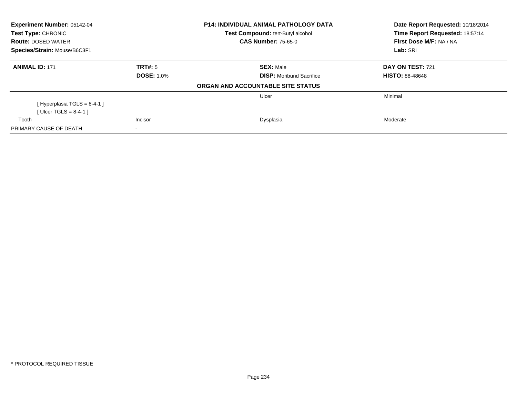| <b>Experiment Number: 05142-04</b><br><b>Test Type: CHRONIC</b> |                   | <b>P14: INDIVIDUAL ANIMAL PATHOLOGY DATA</b> | Date Report Requested: 10/18/2014<br>Time Report Requested: 18:57:14 |  |
|-----------------------------------------------------------------|-------------------|----------------------------------------------|----------------------------------------------------------------------|--|
|                                                                 |                   | Test Compound: tert-Butyl alcohol            |                                                                      |  |
| <b>Route: DOSED WATER</b>                                       |                   | <b>CAS Number: 75-65-0</b>                   | First Dose M/F: NA / NA                                              |  |
| Species/Strain: Mouse/B6C3F1                                    |                   |                                              | Lab: SRI                                                             |  |
| <b>ANIMAL ID: 171</b>                                           | TRT#: 5           | <b>SEX: Male</b>                             | <b>DAY ON TEST: 721</b>                                              |  |
|                                                                 | <b>DOSE: 1.0%</b> | <b>DISP:</b> Moribund Sacrifice              | <b>HISTO: 88-48648</b>                                               |  |
|                                                                 |                   | ORGAN AND ACCOUNTABLE SITE STATUS            |                                                                      |  |
|                                                                 |                   | Ulcer                                        | Minimal                                                              |  |
| [Hyperplasia TGLS = $8-4-1$ ]                                   |                   |                                              |                                                                      |  |
| [ Ulcer TGLS = $8-4-1$ ]                                        |                   |                                              |                                                                      |  |
| Tooth                                                           | Incisor           | Dysplasia                                    | Moderate                                                             |  |
| PRIMARY CAUSE OF DEATH                                          |                   |                                              |                                                                      |  |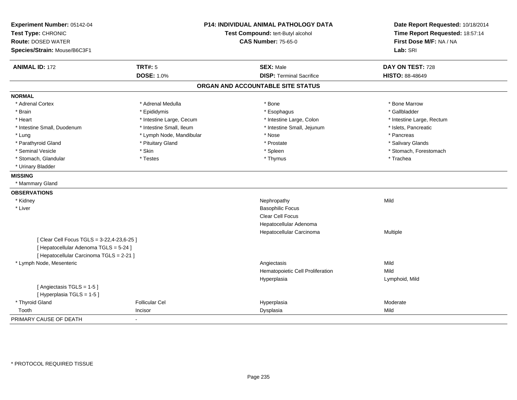| Experiment Number: 05142-04<br>Test Type: CHRONIC<br><b>Route: DOSED WATER</b><br>Species/Strain: Mouse/B6C3F1 |                          | <b>P14: INDIVIDUAL ANIMAL PATHOLOGY DATA</b><br>Test Compound: tert-Butyl alcohol<br><b>CAS Number: 75-65-0</b> | Date Report Requested: 10/18/2014<br>Time Report Requested: 18:57:14<br>First Dose M/F: NA / NA<br>Lab: SRI |
|----------------------------------------------------------------------------------------------------------------|--------------------------|-----------------------------------------------------------------------------------------------------------------|-------------------------------------------------------------------------------------------------------------|
| <b>ANIMAL ID: 172</b>                                                                                          | <b>TRT#: 5</b>           | <b>SEX: Male</b>                                                                                                | DAY ON TEST: 728                                                                                            |
|                                                                                                                | <b>DOSE: 1.0%</b>        | <b>DISP: Terminal Sacrifice</b>                                                                                 | <b>HISTO: 88-48649</b>                                                                                      |
|                                                                                                                |                          | ORGAN AND ACCOUNTABLE SITE STATUS                                                                               |                                                                                                             |
| <b>NORMAL</b>                                                                                                  |                          |                                                                                                                 |                                                                                                             |
| * Adrenal Cortex                                                                                               | * Adrenal Medulla        | * Bone                                                                                                          | * Bone Marrow                                                                                               |
| * Brain                                                                                                        | * Epididymis             | * Esophagus                                                                                                     | * Gallbladder                                                                                               |
| * Heart                                                                                                        | * Intestine Large, Cecum | * Intestine Large, Colon                                                                                        | * Intestine Large, Rectum                                                                                   |
| * Intestine Small, Duodenum                                                                                    | * Intestine Small, Ileum | * Intestine Small, Jejunum                                                                                      | * Islets, Pancreatic                                                                                        |
| * Lung                                                                                                         | * Lymph Node, Mandibular | * Nose                                                                                                          | * Pancreas                                                                                                  |
| * Parathyroid Gland                                                                                            | * Pituitary Gland        | * Prostate                                                                                                      | * Salivary Glands                                                                                           |
| * Seminal Vesicle                                                                                              | * Skin                   | * Spleen                                                                                                        | * Stomach, Forestomach                                                                                      |
| * Stomach, Glandular                                                                                           | * Testes                 | * Thymus                                                                                                        | * Trachea                                                                                                   |
| * Urinary Bladder                                                                                              |                          |                                                                                                                 |                                                                                                             |
| <b>MISSING</b>                                                                                                 |                          |                                                                                                                 |                                                                                                             |
| * Mammary Gland                                                                                                |                          |                                                                                                                 |                                                                                                             |
| <b>OBSERVATIONS</b>                                                                                            |                          |                                                                                                                 |                                                                                                             |
| * Kidney                                                                                                       |                          | Nephropathy                                                                                                     | Mild                                                                                                        |
| * Liver                                                                                                        |                          | <b>Basophilic Focus</b>                                                                                         |                                                                                                             |
|                                                                                                                |                          | Clear Cell Focus                                                                                                |                                                                                                             |
|                                                                                                                |                          | Hepatocellular Adenoma                                                                                          |                                                                                                             |
|                                                                                                                |                          | Hepatocellular Carcinoma                                                                                        | Multiple                                                                                                    |
| [ Clear Cell Focus TGLS = 3-22,4-23,6-25 ]                                                                     |                          |                                                                                                                 |                                                                                                             |
| [ Hepatocellular Adenoma TGLS = 5-24 ]                                                                         |                          |                                                                                                                 |                                                                                                             |
| [ Hepatocellular Carcinoma TGLS = 2-21 ]                                                                       |                          |                                                                                                                 |                                                                                                             |
| * Lymph Node, Mesenteric                                                                                       |                          | Angiectasis                                                                                                     | Mild                                                                                                        |
|                                                                                                                |                          | Hematopoietic Cell Proliferation                                                                                | Mild                                                                                                        |
|                                                                                                                |                          | Hyperplasia                                                                                                     | Lymphoid, Mild                                                                                              |
| [Angiectasis TGLS = 1-5]                                                                                       |                          |                                                                                                                 |                                                                                                             |
| [Hyperplasia TGLS = 1-5]                                                                                       |                          |                                                                                                                 |                                                                                                             |
| * Thyroid Gland                                                                                                | <b>Follicular Cel</b>    | Hyperplasia                                                                                                     | Moderate                                                                                                    |
| Tooth                                                                                                          | Incisor                  | Dysplasia                                                                                                       | Mild                                                                                                        |
| PRIMARY CAUSE OF DEATH                                                                                         | $\overline{a}$           |                                                                                                                 |                                                                                                             |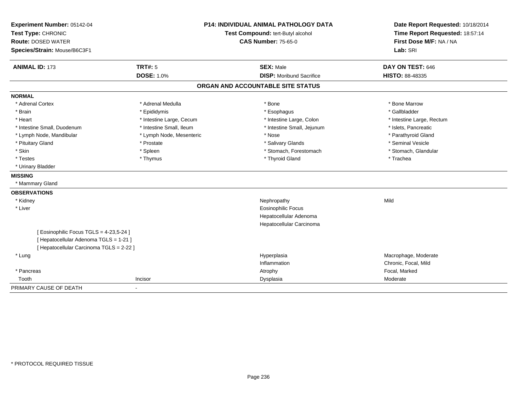| Experiment Number: 05142-04              | <b>P14: INDIVIDUAL ANIMAL PATHOLOGY DATA</b> |                                   | Date Report Requested: 10/18/2014 |
|------------------------------------------|----------------------------------------------|-----------------------------------|-----------------------------------|
| Test Type: CHRONIC                       |                                              | Test Compound: tert-Butyl alcohol |                                   |
| <b>Route: DOSED WATER</b>                |                                              | <b>CAS Number: 75-65-0</b>        | First Dose M/F: NA / NA           |
| Species/Strain: Mouse/B6C3F1             |                                              |                                   | Lab: SRI                          |
| <b>ANIMAL ID: 173</b>                    | <b>TRT#: 5</b>                               | <b>SEX: Male</b>                  | DAY ON TEST: 646                  |
|                                          | <b>DOSE: 1.0%</b>                            | <b>DISP:</b> Moribund Sacrifice   | HISTO: 88-48335                   |
|                                          |                                              | ORGAN AND ACCOUNTABLE SITE STATUS |                                   |
| <b>NORMAL</b>                            |                                              |                                   |                                   |
| * Adrenal Cortex                         | * Adrenal Medulla                            | * Bone                            | * Bone Marrow                     |
| * Brain                                  | * Epididymis                                 | * Esophagus                       | * Gallbladder                     |
| * Heart                                  | * Intestine Large, Cecum                     | * Intestine Large, Colon          | * Intestine Large, Rectum         |
| * Intestine Small, Duodenum              | * Intestine Small, Ileum                     | * Intestine Small, Jejunum        | * Islets, Pancreatic              |
| * Lymph Node, Mandibular                 | * Lymph Node, Mesenteric                     | * Nose                            | * Parathyroid Gland               |
| * Pituitary Gland                        | * Prostate                                   | * Salivary Glands                 | * Seminal Vesicle                 |
| * Skin                                   | * Spleen                                     | * Stomach, Forestomach            | * Stomach, Glandular              |
| * Testes                                 | * Thymus                                     | * Thyroid Gland                   | * Trachea                         |
| * Urinary Bladder                        |                                              |                                   |                                   |
| <b>MISSING</b>                           |                                              |                                   |                                   |
| * Mammary Gland                          |                                              |                                   |                                   |
| <b>OBSERVATIONS</b>                      |                                              |                                   |                                   |
| * Kidney                                 |                                              | Nephropathy                       | Mild                              |
| * Liver                                  |                                              | <b>Eosinophilic Focus</b>         |                                   |
|                                          |                                              | Hepatocellular Adenoma            |                                   |
|                                          |                                              | Hepatocellular Carcinoma          |                                   |
| [Eosinophilic Focus TGLS = 4-23,5-24]    |                                              |                                   |                                   |
| [ Hepatocellular Adenoma TGLS = 1-21 ]   |                                              |                                   |                                   |
| [ Hepatocellular Carcinoma TGLS = 2-22 ] |                                              |                                   |                                   |
| * Lung                                   |                                              | Hyperplasia                       | Macrophage, Moderate              |
|                                          |                                              | Inflammation                      | Chronic, Focal, Mild              |
| * Pancreas                               |                                              | Atrophy                           | Focal, Marked                     |
| Tooth                                    | Incisor                                      | Dysplasia                         | Moderate                          |
| PRIMARY CAUSE OF DEATH                   |                                              |                                   |                                   |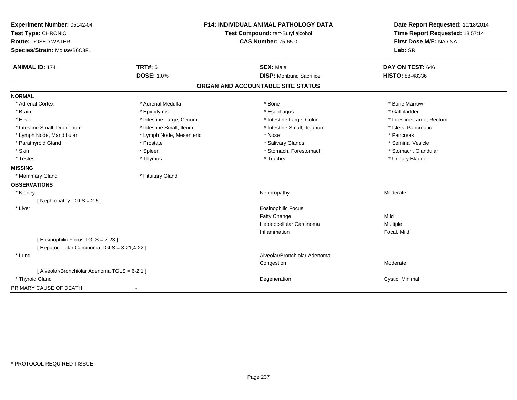| Experiment Number: 05142-04                   |                                   | <b>P14: INDIVIDUAL ANIMAL PATHOLOGY DATA</b> | Date Report Requested: 10/18/2014 |
|-----------------------------------------------|-----------------------------------|----------------------------------------------|-----------------------------------|
| Test Type: CHRONIC                            | Test Compound: tert-Butyl alcohol |                                              | Time Report Requested: 18:57:14   |
| <b>Route: DOSED WATER</b>                     |                                   | <b>CAS Number: 75-65-0</b>                   | First Dose M/F: NA / NA           |
| Species/Strain: Mouse/B6C3F1                  |                                   |                                              | Lab: SRI                          |
| <b>ANIMAL ID: 174</b>                         | <b>TRT#: 5</b>                    | <b>SEX: Male</b>                             | DAY ON TEST: 646                  |
|                                               | <b>DOSE: 1.0%</b>                 | <b>DISP:</b> Moribund Sacrifice              | <b>HISTO: 88-48336</b>            |
|                                               |                                   | ORGAN AND ACCOUNTABLE SITE STATUS            |                                   |
| <b>NORMAL</b>                                 |                                   |                                              |                                   |
| * Adrenal Cortex                              | * Adrenal Medulla                 | * Bone                                       | * Bone Marrow                     |
| * Brain                                       | * Epididymis                      | * Esophagus                                  | * Gallbladder                     |
| * Heart                                       | * Intestine Large, Cecum          | * Intestine Large, Colon                     | * Intestine Large, Rectum         |
| * Intestine Small, Duodenum                   | * Intestine Small, Ileum          | * Intestine Small, Jejunum                   | * Islets, Pancreatic              |
| * Lymph Node, Mandibular                      | * Lymph Node, Mesenteric          | * Nose                                       | * Pancreas                        |
| * Parathyroid Gland                           | * Prostate                        | * Salivary Glands                            | * Seminal Vesicle                 |
| * Skin                                        | * Spleen                          | * Stomach, Forestomach                       | * Stomach, Glandular              |
| * Testes                                      | * Thymus                          | * Trachea                                    | * Urinary Bladder                 |
| <b>MISSING</b>                                |                                   |                                              |                                   |
| * Mammary Gland                               | * Pituitary Gland                 |                                              |                                   |
| <b>OBSERVATIONS</b>                           |                                   |                                              |                                   |
| * Kidney                                      |                                   | Nephropathy                                  | Moderate                          |
| [Nephropathy TGLS = $2-5$ ]                   |                                   |                                              |                                   |
| * Liver                                       |                                   | <b>Eosinophilic Focus</b>                    |                                   |
|                                               |                                   | Fatty Change                                 | Mild                              |
|                                               |                                   | Hepatocellular Carcinoma                     | Multiple                          |
|                                               |                                   | Inflammation                                 | Focal, Mild                       |
| [Eosinophilic Focus TGLS = 7-23]              |                                   |                                              |                                   |
| [ Hepatocellular Carcinoma TGLS = 3-21,4-22 ] |                                   |                                              |                                   |
| * Lung                                        |                                   | Alveolar/Bronchiolar Adenoma                 |                                   |
|                                               |                                   | Congestion                                   | Moderate                          |
| [ Alveolar/Bronchiolar Adenoma TGLS = 6-2.1 ] |                                   |                                              |                                   |
| * Thyroid Gland                               |                                   | Degeneration                                 | Cystic, Minimal                   |
| PRIMARY CAUSE OF DEATH                        | $\blacksquare$                    |                                              |                                   |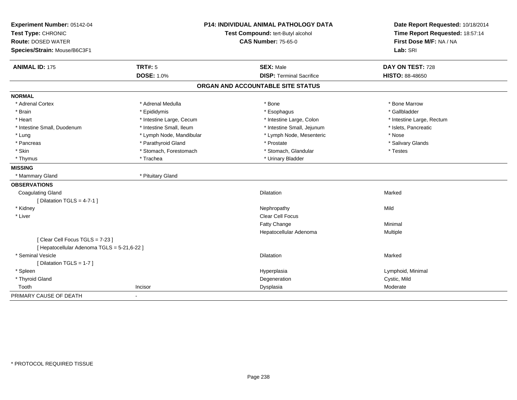| Experiment Number: 05142-04                 | <b>P14: INDIVIDUAL ANIMAL PATHOLOGY DATA</b> |                                   | Date Report Requested: 10/18/2014                          |
|---------------------------------------------|----------------------------------------------|-----------------------------------|------------------------------------------------------------|
| Test Type: CHRONIC                          |                                              | Test Compound: tert-Butyl alcohol | Time Report Requested: 18:57:14<br>First Dose M/F: NA / NA |
| <b>Route: DOSED WATER</b>                   |                                              | <b>CAS Number: 75-65-0</b>        |                                                            |
| Species/Strain: Mouse/B6C3F1                |                                              |                                   | Lab: SRI                                                   |
| <b>ANIMAL ID: 175</b>                       | <b>TRT#: 5</b>                               | <b>SEX: Male</b>                  | DAY ON TEST: 728                                           |
|                                             | <b>DOSE: 1.0%</b>                            | <b>DISP: Terminal Sacrifice</b>   | HISTO: 88-48650                                            |
|                                             |                                              | ORGAN AND ACCOUNTABLE SITE STATUS |                                                            |
| <b>NORMAL</b>                               |                                              |                                   |                                                            |
| * Adrenal Cortex                            | * Adrenal Medulla                            | * Bone                            | * Bone Marrow                                              |
| * Brain                                     | * Epididymis                                 | * Esophagus                       | * Gallbladder                                              |
| * Heart                                     | * Intestine Large, Cecum                     | * Intestine Large, Colon          | * Intestine Large, Rectum                                  |
| * Intestine Small, Duodenum                 | * Intestine Small, Ileum                     | * Intestine Small, Jejunum        | * Islets, Pancreatic                                       |
| * Lung                                      | * Lymph Node, Mandibular                     | * Lymph Node, Mesenteric          | * Nose                                                     |
| * Pancreas                                  | * Parathyroid Gland                          | * Prostate                        | * Salivary Glands                                          |
| * Skin                                      | * Stomach, Forestomach                       | * Stomach, Glandular              | * Testes                                                   |
| * Thymus                                    | * Trachea                                    | * Urinary Bladder                 |                                                            |
| <b>MISSING</b>                              |                                              |                                   |                                                            |
| * Mammary Gland                             | * Pituitary Gland                            |                                   |                                                            |
| <b>OBSERVATIONS</b>                         |                                              |                                   |                                                            |
| <b>Coagulating Gland</b>                    |                                              | <b>Dilatation</b>                 | Marked                                                     |
| [ Dilatation TGLS = $4-7-1$ ]               |                                              |                                   |                                                            |
| * Kidney                                    |                                              | Nephropathy                       | Mild                                                       |
| * Liver                                     |                                              | <b>Clear Cell Focus</b>           |                                                            |
|                                             |                                              | Fatty Change                      | Minimal                                                    |
|                                             |                                              | Hepatocellular Adenoma            | Multiple                                                   |
| [Clear Cell Focus TGLS = 7-23]              |                                              |                                   |                                                            |
| [ Hepatocellular Adenoma TGLS = 5-21,6-22 ] |                                              |                                   |                                                            |
| * Seminal Vesicle                           |                                              | <b>Dilatation</b>                 | Marked                                                     |
| [Dilatation TGLS = 1-7]                     |                                              |                                   |                                                            |
| * Spleen                                    |                                              | Hyperplasia                       | Lymphoid, Minimal                                          |
| * Thyroid Gland                             |                                              | Degeneration                      | Cystic, Mild                                               |
| Tooth                                       | Incisor                                      | Dysplasia                         | Moderate                                                   |
| PRIMARY CAUSE OF DEATH                      | $\blacksquare$                               |                                   |                                                            |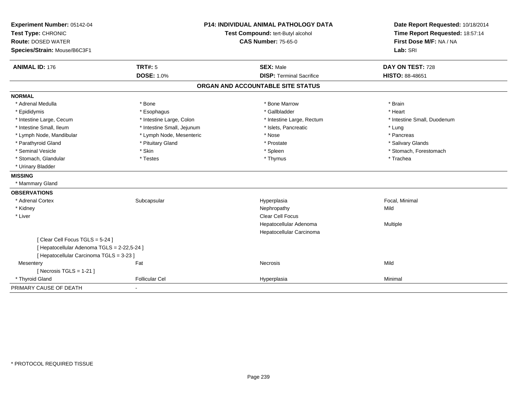| Experiment Number: 05142-04                 | <b>P14: INDIVIDUAL ANIMAL PATHOLOGY DATA</b> |                                   | Date Report Requested: 10/18/2014                          |
|---------------------------------------------|----------------------------------------------|-----------------------------------|------------------------------------------------------------|
| Test Type: CHRONIC                          |                                              | Test Compound: tert-Butyl alcohol | Time Report Requested: 18:57:14<br>First Dose M/F: NA / NA |
| <b>Route: DOSED WATER</b>                   |                                              | <b>CAS Number: 75-65-0</b>        |                                                            |
| Species/Strain: Mouse/B6C3F1                |                                              |                                   | Lab: SRI                                                   |
| <b>ANIMAL ID: 176</b>                       | <b>TRT#: 5</b>                               | <b>SEX: Male</b>                  | DAY ON TEST: 728                                           |
|                                             | <b>DOSE: 1.0%</b>                            | <b>DISP: Terminal Sacrifice</b>   | <b>HISTO: 88-48651</b>                                     |
|                                             |                                              | ORGAN AND ACCOUNTABLE SITE STATUS |                                                            |
| <b>NORMAL</b>                               |                                              |                                   |                                                            |
| * Adrenal Medulla                           | * Bone                                       | * Bone Marrow                     | * Brain                                                    |
| * Epididymis                                | * Esophagus                                  | * Gallbladder                     | * Heart                                                    |
| * Intestine Large, Cecum                    | * Intestine Large, Colon                     | * Intestine Large, Rectum         | * Intestine Small, Duodenum                                |
| * Intestine Small, Ileum                    | * Intestine Small, Jejunum                   | * Islets, Pancreatic              | * Lung                                                     |
| * Lymph Node, Mandibular                    | * Lymph Node, Mesenteric                     | * Nose                            | * Pancreas                                                 |
| * Parathyroid Gland                         | * Pituitary Gland                            | * Prostate                        | * Salivary Glands                                          |
| * Seminal Vesicle                           | * Skin                                       | * Spleen                          | * Stomach, Forestomach                                     |
| * Stomach, Glandular                        | * Testes                                     | * Thymus                          | * Trachea                                                  |
| * Urinary Bladder                           |                                              |                                   |                                                            |
| <b>MISSING</b>                              |                                              |                                   |                                                            |
| * Mammary Gland                             |                                              |                                   |                                                            |
| <b>OBSERVATIONS</b>                         |                                              |                                   |                                                            |
| * Adrenal Cortex                            | Subcapsular                                  | Hyperplasia                       | Focal, Minimal                                             |
| * Kidney                                    |                                              | Nephropathy                       | Mild                                                       |
| * Liver                                     |                                              | <b>Clear Cell Focus</b>           |                                                            |
|                                             |                                              | Hepatocellular Adenoma            | Multiple                                                   |
|                                             |                                              | Hepatocellular Carcinoma          |                                                            |
| [Clear Cell Focus TGLS = 5-24]              |                                              |                                   |                                                            |
| [ Hepatocellular Adenoma TGLS = 2-22,5-24 ] |                                              |                                   |                                                            |
| [ Hepatocellular Carcinoma TGLS = 3-23 ]    |                                              |                                   |                                                            |
| Mesentery                                   | Fat                                          | <b>Necrosis</b>                   | Mild                                                       |
| [ Necrosis $TGLS = 1-21$ ]                  |                                              |                                   |                                                            |
| * Thyroid Gland                             | <b>Follicular Cel</b>                        | Hyperplasia                       | Minimal                                                    |
| PRIMARY CAUSE OF DEATH                      | $\blacksquare$                               |                                   |                                                            |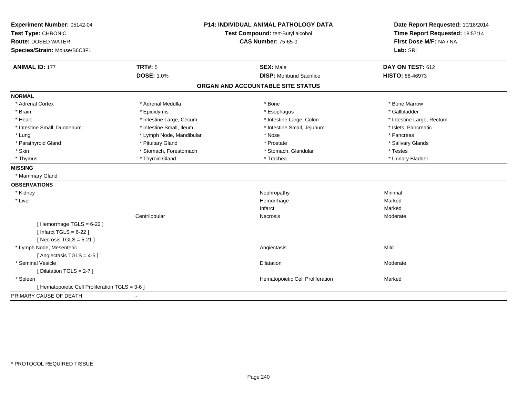| Experiment Number: 05142-04<br>Test Type: CHRONIC |                            | <b>P14: INDIVIDUAL ANIMAL PATHOLOGY DATA</b><br>Test Compound: tert-Butyl alcohol | Date Report Requested: 10/18/2014<br>Time Report Requested: 18:57:14 |
|---------------------------------------------------|----------------------------|-----------------------------------------------------------------------------------|----------------------------------------------------------------------|
| <b>Route: DOSED WATER</b>                         | <b>CAS Number: 75-65-0</b> |                                                                                   | First Dose M/F: NA / NA                                              |
| Species/Strain: Mouse/B6C3F1                      |                            |                                                                                   | Lab: SRI                                                             |
| <b>ANIMAL ID: 177</b>                             | <b>TRT#: 5</b>             | <b>SEX: Male</b>                                                                  | DAY ON TEST: 612                                                     |
|                                                   | <b>DOSE: 1.0%</b>          | <b>DISP:</b> Moribund Sacrifice                                                   | <b>HISTO: 88-46973</b>                                               |
|                                                   |                            | ORGAN AND ACCOUNTABLE SITE STATUS                                                 |                                                                      |
| <b>NORMAL</b>                                     |                            |                                                                                   |                                                                      |
| * Adrenal Cortex                                  | * Adrenal Medulla          | * Bone                                                                            | * Bone Marrow                                                        |
| * Brain                                           | * Epididymis               | * Esophagus                                                                       | * Gallbladder                                                        |
| * Heart                                           | * Intestine Large, Cecum   | * Intestine Large, Colon                                                          | * Intestine Large, Rectum                                            |
| * Intestine Small, Duodenum                       | * Intestine Small, Ileum   | * Intestine Small, Jejunum                                                        | * Islets, Pancreatic                                                 |
| * Lung                                            | * Lymph Node, Mandibular   | * Nose                                                                            | * Pancreas                                                           |
| * Parathyroid Gland                               | * Pituitary Gland          | * Prostate                                                                        | * Salivary Glands                                                    |
| * Skin                                            | * Stomach, Forestomach     | * Stomach, Glandular                                                              | * Testes                                                             |
| * Thymus                                          | * Thyroid Gland            | * Trachea                                                                         | * Urinary Bladder                                                    |
| <b>MISSING</b>                                    |                            |                                                                                   |                                                                      |
| * Mammary Gland                                   |                            |                                                                                   |                                                                      |
| <b>OBSERVATIONS</b>                               |                            |                                                                                   |                                                                      |
| * Kidney                                          |                            | Nephropathy                                                                       | Minimal                                                              |
| * Liver                                           |                            | Hemorrhage                                                                        | Marked                                                               |
|                                                   |                            | Infarct                                                                           | Marked                                                               |
|                                                   | Centrilobular              | Necrosis                                                                          | Moderate                                                             |
| [Hemorrhage TGLS = 6-22]                          |                            |                                                                                   |                                                                      |
| [ Infarct TGLS = $6-22$ ]                         |                            |                                                                                   |                                                                      |
| [Necrosis TGLS = $5-21$ ]                         |                            |                                                                                   |                                                                      |
| * Lymph Node, Mesenteric                          |                            | Angiectasis                                                                       | Mild                                                                 |
| [Angiectasis TGLS = 4-5]                          |                            |                                                                                   |                                                                      |
| * Seminal Vesicle                                 |                            | Dilatation                                                                        | Moderate                                                             |
| [ Dilatation TGLS = 2-7 ]                         |                            |                                                                                   |                                                                      |
| * Spleen                                          |                            | Hematopoietic Cell Proliferation                                                  | Marked                                                               |
| [ Hematopoietic Cell Proliferation TGLS = 3-6 ]   |                            |                                                                                   |                                                                      |
| PRIMARY CAUSE OF DEATH                            |                            |                                                                                   |                                                                      |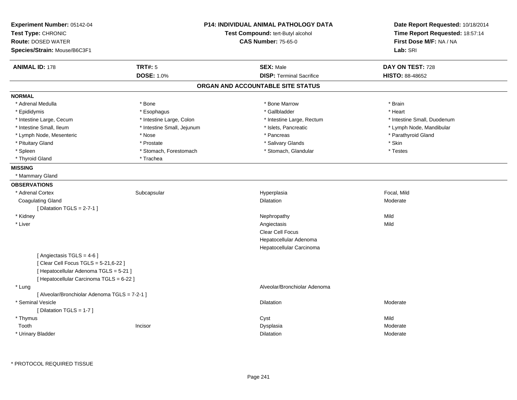| Experiment Number: 05142-04<br>Test Type: CHRONIC<br><b>Route: DOSED WATER</b><br>Species/Strain: Mouse/B6C3F1                                          |                            | <b>P14: INDIVIDUAL ANIMAL PATHOLOGY DATA</b><br>Test Compound: tert-Butyl alcohol<br><b>CAS Number: 75-65-0</b> | Date Report Requested: 10/18/2014<br>Time Report Requested: 18:57:14<br>First Dose M/F: NA / NA<br>Lab: SRI |
|---------------------------------------------------------------------------------------------------------------------------------------------------------|----------------------------|-----------------------------------------------------------------------------------------------------------------|-------------------------------------------------------------------------------------------------------------|
| <b>ANIMAL ID: 178</b>                                                                                                                                   | <b>TRT#: 5</b>             | <b>SEX: Male</b>                                                                                                | DAY ON TEST: 728                                                                                            |
|                                                                                                                                                         | <b>DOSE: 1.0%</b>          | <b>DISP: Terminal Sacrifice</b>                                                                                 | HISTO: 88-48652                                                                                             |
|                                                                                                                                                         |                            | ORGAN AND ACCOUNTABLE SITE STATUS                                                                               |                                                                                                             |
| <b>NORMAL</b>                                                                                                                                           |                            |                                                                                                                 |                                                                                                             |
| * Adrenal Medulla                                                                                                                                       | * Bone                     | * Bone Marrow                                                                                                   | * Brain                                                                                                     |
| * Epididymis                                                                                                                                            | * Esophagus                | * Gallbladder                                                                                                   | * Heart                                                                                                     |
| * Intestine Large, Cecum                                                                                                                                | * Intestine Large, Colon   | * Intestine Large, Rectum                                                                                       | * Intestine Small, Duodenum                                                                                 |
| * Intestine Small, Ileum                                                                                                                                | * Intestine Small, Jejunum | * Islets, Pancreatic                                                                                            | * Lymph Node, Mandibular                                                                                    |
| * Lymph Node, Mesenteric                                                                                                                                | * Nose                     | * Pancreas                                                                                                      | * Parathyroid Gland                                                                                         |
| * Pituitary Gland                                                                                                                                       | * Prostate                 | * Salivary Glands                                                                                               | * Skin                                                                                                      |
| * Spleen                                                                                                                                                | * Stomach, Forestomach     | * Stomach, Glandular                                                                                            | * Testes                                                                                                    |
| * Thyroid Gland                                                                                                                                         | * Trachea                  |                                                                                                                 |                                                                                                             |
| <b>MISSING</b>                                                                                                                                          |                            |                                                                                                                 |                                                                                                             |
| * Mammary Gland                                                                                                                                         |                            |                                                                                                                 |                                                                                                             |
| <b>OBSERVATIONS</b>                                                                                                                                     |                            |                                                                                                                 |                                                                                                             |
| * Adrenal Cortex                                                                                                                                        | Subcapsular                | Hyperplasia                                                                                                     | Focal, Mild                                                                                                 |
| <b>Coagulating Gland</b>                                                                                                                                |                            | Dilatation                                                                                                      | Moderate                                                                                                    |
| [ Dilatation TGLS = $2-7-1$ ]                                                                                                                           |                            |                                                                                                                 |                                                                                                             |
| * Kidney                                                                                                                                                |                            | Nephropathy                                                                                                     | Mild                                                                                                        |
| * Liver                                                                                                                                                 |                            | Angiectasis                                                                                                     | Mild                                                                                                        |
|                                                                                                                                                         |                            | <b>Clear Cell Focus</b>                                                                                         |                                                                                                             |
|                                                                                                                                                         |                            | Hepatocellular Adenoma                                                                                          |                                                                                                             |
|                                                                                                                                                         |                            | Hepatocellular Carcinoma                                                                                        |                                                                                                             |
| [Angiectasis TGLS = 4-6]<br>[ Clear Cell Focus TGLS = 5-21,6-22 ]<br>[ Hepatocellular Adenoma TGLS = 5-21 ]<br>[ Hepatocellular Carcinoma TGLS = 6-22 ] |                            |                                                                                                                 |                                                                                                             |
| * Lung                                                                                                                                                  |                            | Alveolar/Bronchiolar Adenoma                                                                                    |                                                                                                             |
| [ Alveolar/Bronchiolar Adenoma TGLS = 7-2-1 ]                                                                                                           |                            |                                                                                                                 |                                                                                                             |
| * Seminal Vesicle                                                                                                                                       |                            | <b>Dilatation</b>                                                                                               | Moderate                                                                                                    |
| [ Dilatation TGLS = 1-7 ]                                                                                                                               |                            |                                                                                                                 |                                                                                                             |
| * Thymus                                                                                                                                                |                            | Cyst                                                                                                            | Mild                                                                                                        |
| Tooth                                                                                                                                                   | Incisor                    | Dysplasia                                                                                                       | Moderate                                                                                                    |
| * Urinary Bladder                                                                                                                                       |                            | Dilatation                                                                                                      | Moderate                                                                                                    |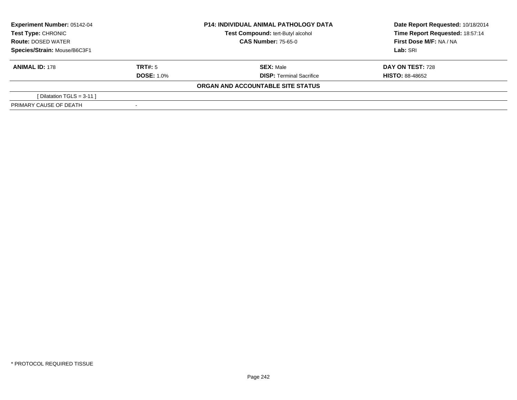| <b>Experiment Number: 05142-04</b><br>Test Type: CHRONIC<br><b>Route: DOSED WATER</b><br>Species/Strain: Mouse/B6C3F1 |                   | <b>P14: INDIVIDUAL ANIMAL PATHOLOGY DATA</b> | Date Report Requested: 10/18/2014 |  |
|-----------------------------------------------------------------------------------------------------------------------|-------------------|----------------------------------------------|-----------------------------------|--|
|                                                                                                                       |                   | Test Compound: tert-Butyl alcohol            | Time Report Requested: 18:57:14   |  |
|                                                                                                                       |                   | <b>CAS Number: 75-65-0</b>                   | First Dose M/F: NA / NA           |  |
|                                                                                                                       |                   |                                              | Lab: SRI                          |  |
| <b>ANIMAL ID: 178</b>                                                                                                 | TRT#: 5           | <b>SEX: Male</b>                             | <b>DAY ON TEST: 728</b>           |  |
|                                                                                                                       | <b>DOSE: 1.0%</b> | <b>DISP: Terminal Sacrifice</b>              | <b>HISTO: 88-48652</b>            |  |
|                                                                                                                       |                   | ORGAN AND ACCOUNTABLE SITE STATUS            |                                   |  |
| [Dilatation TGLS = $3-11$ ]                                                                                           |                   |                                              |                                   |  |
| PRIMARY CAUSE OF DEATH                                                                                                |                   |                                              |                                   |  |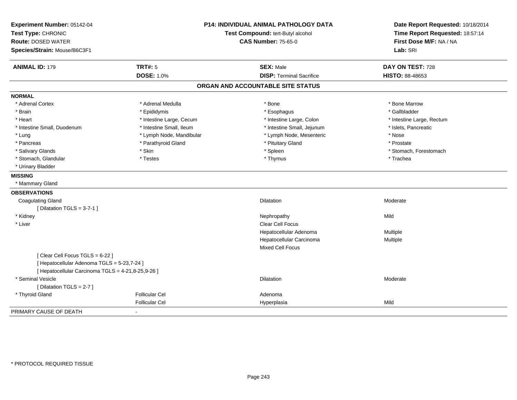| Experiment Number: 05142-04<br>Test Type: CHRONIC<br><b>Route: DOSED WATER</b><br>Species/Strain: Mouse/B6C3F1                      |                          | <b>P14: INDIVIDUAL ANIMAL PATHOLOGY DATA</b><br>Test Compound: tert-Butyl alcohol<br><b>CAS Number: 75-65-0</b> | Date Report Requested: 10/18/2014<br>Time Report Requested: 18:57:14<br>First Dose M/F: NA / NA<br>Lab: SRI |
|-------------------------------------------------------------------------------------------------------------------------------------|--------------------------|-----------------------------------------------------------------------------------------------------------------|-------------------------------------------------------------------------------------------------------------|
| <b>ANIMAL ID: 179</b>                                                                                                               | <b>TRT#: 5</b>           | <b>SEX: Male</b>                                                                                                | DAY ON TEST: 728                                                                                            |
|                                                                                                                                     | <b>DOSE: 1.0%</b>        | <b>DISP: Terminal Sacrifice</b>                                                                                 | <b>HISTO: 88-48653</b>                                                                                      |
|                                                                                                                                     |                          | ORGAN AND ACCOUNTABLE SITE STATUS                                                                               |                                                                                                             |
| <b>NORMAL</b>                                                                                                                       |                          |                                                                                                                 |                                                                                                             |
| * Adrenal Cortex                                                                                                                    | * Adrenal Medulla        | * Bone                                                                                                          | * Bone Marrow                                                                                               |
| * Brain                                                                                                                             | * Epididymis             | * Esophagus                                                                                                     | * Gallbladder                                                                                               |
| * Heart                                                                                                                             | * Intestine Large, Cecum | * Intestine Large, Colon                                                                                        | * Intestine Large, Rectum                                                                                   |
| * Intestine Small, Duodenum                                                                                                         | * Intestine Small, Ileum | * Intestine Small, Jejunum                                                                                      | * Islets, Pancreatic                                                                                        |
| * Lung                                                                                                                              | * Lymph Node, Mandibular | * Lymph Node, Mesenteric                                                                                        | * Nose                                                                                                      |
| * Pancreas                                                                                                                          | * Parathyroid Gland      | * Pituitary Gland                                                                                               | * Prostate                                                                                                  |
| * Salivary Glands                                                                                                                   | * Skin                   | * Spleen                                                                                                        | * Stomach, Forestomach                                                                                      |
| * Stomach, Glandular                                                                                                                | * Testes                 | * Thymus                                                                                                        | * Trachea                                                                                                   |
| * Urinary Bladder                                                                                                                   |                          |                                                                                                                 |                                                                                                             |
| <b>MISSING</b>                                                                                                                      |                          |                                                                                                                 |                                                                                                             |
| * Mammary Gland                                                                                                                     |                          |                                                                                                                 |                                                                                                             |
| <b>OBSERVATIONS</b>                                                                                                                 |                          |                                                                                                                 |                                                                                                             |
| <b>Coagulating Gland</b>                                                                                                            |                          | Dilatation                                                                                                      | Moderate                                                                                                    |
| [ Dilatation TGLS = $3-7-1$ ]                                                                                                       |                          |                                                                                                                 |                                                                                                             |
| * Kidney                                                                                                                            |                          | Nephropathy                                                                                                     | Mild                                                                                                        |
| * Liver                                                                                                                             |                          | <b>Clear Cell Focus</b>                                                                                         |                                                                                                             |
|                                                                                                                                     |                          | Hepatocellular Adenoma                                                                                          | Multiple                                                                                                    |
|                                                                                                                                     |                          | Hepatocellular Carcinoma                                                                                        | Multiple                                                                                                    |
|                                                                                                                                     |                          | <b>Mixed Cell Focus</b>                                                                                         |                                                                                                             |
| [Clear Cell Focus TGLS = 6-22]<br>[ Hepatocellular Adenoma TGLS = 5-23,7-24 ]<br>[ Hepatocellular Carcinoma TGLS = 4-21,8-25,9-26 ] |                          |                                                                                                                 |                                                                                                             |
| * Seminal Vesicle                                                                                                                   |                          | <b>Dilatation</b>                                                                                               | Moderate                                                                                                    |
| [Dilatation TGLS = 2-7]                                                                                                             |                          |                                                                                                                 |                                                                                                             |
| * Thyroid Gland                                                                                                                     | <b>Follicular Cel</b>    | Adenoma                                                                                                         |                                                                                                             |
|                                                                                                                                     | <b>Follicular Cel</b>    | Hyperplasia                                                                                                     | Mild                                                                                                        |
| PRIMARY CAUSE OF DEATH                                                                                                              |                          |                                                                                                                 |                                                                                                             |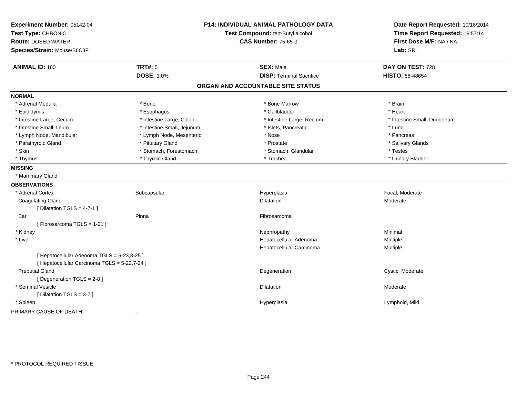| Experiment Number: 05142-04<br>Test Type: CHRONIC<br><b>Route: DOSED WATER</b> |                            | <b>P14: INDIVIDUAL ANIMAL PATHOLOGY DATA</b><br>Test Compound: tert-Butyl alcohol<br><b>CAS Number: 75-65-0</b> | Date Report Requested: 10/18/2014<br>Time Report Requested: 18:57:14<br>First Dose M/F: NA / NA |
|--------------------------------------------------------------------------------|----------------------------|-----------------------------------------------------------------------------------------------------------------|-------------------------------------------------------------------------------------------------|
| Species/Strain: Mouse/B6C3F1                                                   |                            |                                                                                                                 | Lab: SRI                                                                                        |
| <b>ANIMAL ID: 180</b>                                                          | <b>TRT#: 5</b>             | <b>SEX: Male</b>                                                                                                | DAY ON TEST: 728                                                                                |
|                                                                                | <b>DOSE: 1.0%</b>          | <b>DISP: Terminal Sacrifice</b>                                                                                 | HISTO: 88-48654                                                                                 |
|                                                                                |                            | ORGAN AND ACCOUNTABLE SITE STATUS                                                                               |                                                                                                 |
| <b>NORMAL</b>                                                                  |                            |                                                                                                                 |                                                                                                 |
| * Adrenal Medulla                                                              | * Bone                     | * Bone Marrow                                                                                                   | * Brain                                                                                         |
| * Epididymis                                                                   | * Esophagus                | * Gallbladder                                                                                                   | * Heart                                                                                         |
| * Intestine Large, Cecum                                                       | * Intestine Large, Colon   | * Intestine Large, Rectum                                                                                       | * Intestine Small, Duodenum                                                                     |
| * Intestine Small. Ileum                                                       | * Intestine Small, Jejunum | * Islets, Pancreatic                                                                                            | * Lung                                                                                          |
| * Lymph Node, Mandibular                                                       | * Lymph Node, Mesenteric   | * Nose                                                                                                          | * Pancreas                                                                                      |
| * Parathyroid Gland                                                            | * Pituitary Gland          | * Prostate                                                                                                      | * Salivary Glands                                                                               |
| * Skin                                                                         | * Stomach, Forestomach     | * Stomach, Glandular                                                                                            | * Testes                                                                                        |
| * Thymus                                                                       | * Thyroid Gland            | * Trachea                                                                                                       | * Urinary Bladder                                                                               |
| <b>MISSING</b>                                                                 |                            |                                                                                                                 |                                                                                                 |
| * Mammary Gland                                                                |                            |                                                                                                                 |                                                                                                 |
| <b>OBSERVATIONS</b>                                                            |                            |                                                                                                                 |                                                                                                 |
| * Adrenal Cortex                                                               | Subcapsular                | Hyperplasia                                                                                                     | Focal, Moderate                                                                                 |
| <b>Coagulating Gland</b>                                                       |                            | <b>Dilatation</b>                                                                                               | Moderate                                                                                        |
| [ Dilatation TGLS = $4-7-1$ ]                                                  |                            |                                                                                                                 |                                                                                                 |
| Ear                                                                            | Pinna                      | Fibrosarcoma                                                                                                    |                                                                                                 |
| [Fibrosarcoma TGLS = 1-21]                                                     |                            |                                                                                                                 |                                                                                                 |
| * Kidney                                                                       |                            | Nephropathy                                                                                                     | Minimal                                                                                         |
| * Liver                                                                        |                            | Hepatocellular Adenoma                                                                                          | Multiple                                                                                        |
|                                                                                |                            | Hepatocellular Carcinoma                                                                                        | Multiple                                                                                        |
| [ Hepatocellular Adenoma TGLS = 6-23,8-25 ]                                    |                            |                                                                                                                 |                                                                                                 |
| [ Hepatocellular Carcinoma TGLS = 5-22,7-24 ]                                  |                            |                                                                                                                 |                                                                                                 |
| <b>Preputial Gland</b>                                                         |                            | Degeneration                                                                                                    | Cystic, Moderate                                                                                |
| [Degeneration TGLS = 2-8]                                                      |                            |                                                                                                                 |                                                                                                 |
| * Seminal Vesicle                                                              |                            | <b>Dilatation</b>                                                                                               | Moderate                                                                                        |
| [Dilatation TGLS = 3-7]                                                        |                            |                                                                                                                 |                                                                                                 |
| * Spleen                                                                       |                            | Hyperplasia                                                                                                     | Lymphoid, Mild                                                                                  |
| PRIMARY CAUSE OF DEATH                                                         |                            |                                                                                                                 |                                                                                                 |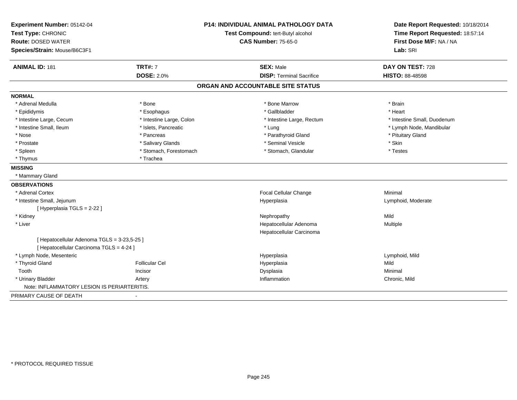| Experiment Number: 05142-04                 |                          | <b>P14: INDIVIDUAL ANIMAL PATHOLOGY DATA</b> | Date Report Requested: 10/18/2014                          |  |
|---------------------------------------------|--------------------------|----------------------------------------------|------------------------------------------------------------|--|
| Test Type: CHRONIC                          |                          | Test Compound: tert-Butyl alcohol            | Time Report Requested: 18:57:14<br>First Dose M/F: NA / NA |  |
| <b>Route: DOSED WATER</b>                   |                          | <b>CAS Number: 75-65-0</b>                   |                                                            |  |
| Species/Strain: Mouse/B6C3F1                |                          |                                              | Lab: SRI                                                   |  |
| <b>ANIMAL ID: 181</b>                       | <b>TRT#: 7</b>           | <b>SEX: Male</b>                             | DAY ON TEST: 728                                           |  |
|                                             | <b>DOSE: 2.0%</b>        | <b>DISP: Terminal Sacrifice</b>              | <b>HISTO: 88-48598</b>                                     |  |
|                                             |                          | ORGAN AND ACCOUNTABLE SITE STATUS            |                                                            |  |
| <b>NORMAL</b>                               |                          |                                              |                                                            |  |
| * Adrenal Medulla                           | * Bone                   | * Bone Marrow                                | * Brain                                                    |  |
| * Epididymis                                | * Esophagus              | * Gallbladder                                | * Heart                                                    |  |
| * Intestine Large, Cecum                    | * Intestine Large, Colon | * Intestine Large, Rectum                    | * Intestine Small, Duodenum                                |  |
| * Intestine Small, Ileum                    | * Islets, Pancreatic     | * Lung                                       | * Lymph Node, Mandibular                                   |  |
| * Nose                                      | * Pancreas               | * Parathyroid Gland                          | * Pituitary Gland                                          |  |
| * Prostate                                  | * Salivary Glands        | * Seminal Vesicle                            | * Skin                                                     |  |
| * Spleen                                    | * Stomach, Forestomach   | * Stomach, Glandular                         | * Testes                                                   |  |
| * Thymus                                    | * Trachea                |                                              |                                                            |  |
| <b>MISSING</b>                              |                          |                                              |                                                            |  |
| * Mammary Gland                             |                          |                                              |                                                            |  |
| <b>OBSERVATIONS</b>                         |                          |                                              |                                                            |  |
| * Adrenal Cortex                            |                          | Focal Cellular Change                        | Minimal                                                    |  |
| * Intestine Small, Jejunum                  |                          | Hyperplasia                                  | Lymphoid, Moderate                                         |  |
| [Hyperplasia TGLS = 2-22 ]                  |                          |                                              |                                                            |  |
| * Kidney                                    |                          | Nephropathy                                  | Mild                                                       |  |
| * Liver                                     |                          | Hepatocellular Adenoma                       | Multiple                                                   |  |
|                                             |                          | Hepatocellular Carcinoma                     |                                                            |  |
| [ Hepatocellular Adenoma TGLS = 3-23,5-25 ] |                          |                                              |                                                            |  |
| [ Hepatocellular Carcinoma TGLS = 4-24 ]    |                          |                                              |                                                            |  |
| * Lymph Node, Mesenteric                    |                          | Hyperplasia                                  | Lymphoid, Mild                                             |  |
| * Thyroid Gland                             | <b>Follicular Cel</b>    | Hyperplasia                                  | Mild                                                       |  |
| Tooth                                       | Incisor                  | Dysplasia                                    | Minimal                                                    |  |
| * Urinary Bladder                           | Artery                   | Inflammation                                 | Chronic, Mild                                              |  |
| Note: INFLAMMATORY LESION IS PERIARTERITIS. |                          |                                              |                                                            |  |
| PRIMARY CAUSE OF DEATH                      |                          |                                              |                                                            |  |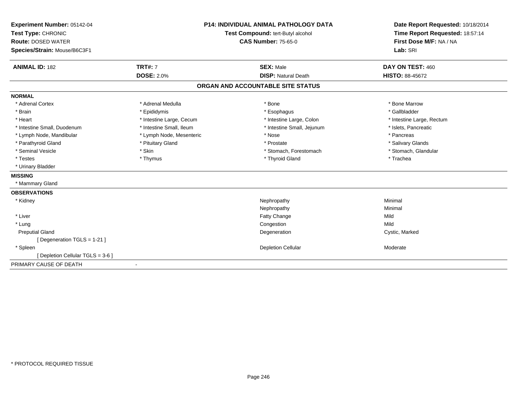| Experiment Number: 05142-04       | <b>P14: INDIVIDUAL ANIMAL PATHOLOGY DATA</b><br>Test Compound: tert-Butyl alcohol<br><b>CAS Number: 75-65-0</b> |                                   | Date Report Requested: 10/18/2014 |
|-----------------------------------|-----------------------------------------------------------------------------------------------------------------|-----------------------------------|-----------------------------------|
| Test Type: CHRONIC                |                                                                                                                 |                                   | Time Report Requested: 18:57:14   |
| <b>Route: DOSED WATER</b>         |                                                                                                                 |                                   | First Dose M/F: NA / NA           |
| Species/Strain: Mouse/B6C3F1      |                                                                                                                 |                                   | Lab: SRI                          |
|                                   |                                                                                                                 |                                   |                                   |
| <b>ANIMAL ID: 182</b>             | <b>TRT#: 7</b>                                                                                                  | <b>SEX: Male</b>                  | DAY ON TEST: 460                  |
|                                   | <b>DOSE: 2.0%</b>                                                                                               | <b>DISP: Natural Death</b>        | <b>HISTO: 88-45672</b>            |
|                                   |                                                                                                                 | ORGAN AND ACCOUNTABLE SITE STATUS |                                   |
| <b>NORMAL</b>                     |                                                                                                                 |                                   |                                   |
| * Adrenal Cortex                  | * Adrenal Medulla                                                                                               | * Bone                            | * Bone Marrow                     |
| * Brain                           | * Epididymis                                                                                                    | * Esophagus                       | * Gallbladder                     |
| * Heart                           | * Intestine Large, Cecum                                                                                        | * Intestine Large, Colon          | * Intestine Large, Rectum         |
| * Intestine Small, Duodenum       | * Intestine Small, Ileum                                                                                        | * Intestine Small, Jejunum        | * Islets, Pancreatic              |
| * Lymph Node, Mandibular          | * Lymph Node, Mesenteric                                                                                        | * Nose                            | * Pancreas                        |
| * Parathyroid Gland               | * Pituitary Gland                                                                                               | * Prostate                        | * Salivary Glands                 |
| * Seminal Vesicle                 | * Skin                                                                                                          | * Stomach, Forestomach            | * Stomach, Glandular              |
| * Testes                          | * Thymus                                                                                                        | * Thyroid Gland                   | * Trachea                         |
| * Urinary Bladder                 |                                                                                                                 |                                   |                                   |
| <b>MISSING</b>                    |                                                                                                                 |                                   |                                   |
| * Mammary Gland                   |                                                                                                                 |                                   |                                   |
| <b>OBSERVATIONS</b>               |                                                                                                                 |                                   |                                   |
| * Kidney                          |                                                                                                                 | Nephropathy                       | Minimal                           |
|                                   |                                                                                                                 | Nephropathy                       | Minimal                           |
| * Liver                           |                                                                                                                 | <b>Fatty Change</b>               | Mild                              |
| * Lung                            |                                                                                                                 | Congestion                        | Mild                              |
| <b>Preputial Gland</b>            |                                                                                                                 | Degeneration                      | Cystic, Marked                    |
| [ Degeneration TGLS = 1-21 ]      |                                                                                                                 |                                   |                                   |
| * Spleen                          |                                                                                                                 | <b>Depletion Cellular</b>         | Moderate                          |
| [ Depletion Cellular TGLS = 3-6 ] |                                                                                                                 |                                   |                                   |
| PRIMARY CAUSE OF DEATH            | $\overline{\phantom{a}}$                                                                                        |                                   |                                   |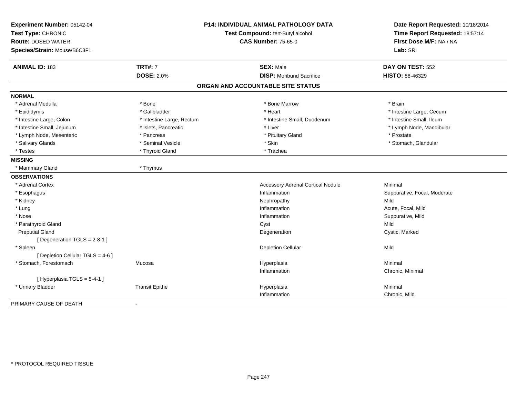| Experiment Number: 05142-04<br>Test Type: CHRONIC |                           | <b>P14: INDIVIDUAL ANIMAL PATHOLOGY DATA</b><br>Test Compound: tert-Butyl alcohol | Date Report Requested: 10/18/2014<br>Time Report Requested: 18:57:14 |
|---------------------------------------------------|---------------------------|-----------------------------------------------------------------------------------|----------------------------------------------------------------------|
| <b>Route: DOSED WATER</b>                         |                           | <b>CAS Number: 75-65-0</b>                                                        | First Dose M/F: NA / NA                                              |
| Species/Strain: Mouse/B6C3F1                      |                           |                                                                                   | Lab: SRI                                                             |
| <b>ANIMAL ID: 183</b>                             | <b>TRT#: 7</b>            | <b>SEX: Male</b>                                                                  | DAY ON TEST: 552                                                     |
|                                                   | <b>DOSE: 2.0%</b>         | <b>DISP:</b> Moribund Sacrifice                                                   | HISTO: 88-46329                                                      |
|                                                   |                           | ORGAN AND ACCOUNTABLE SITE STATUS                                                 |                                                                      |
| <b>NORMAL</b>                                     |                           |                                                                                   |                                                                      |
| * Adrenal Medulla                                 | * Bone                    | * Bone Marrow                                                                     | * Brain                                                              |
| * Epididymis                                      | * Gallbladder             | * Heart                                                                           | * Intestine Large, Cecum                                             |
| * Intestine Large, Colon                          | * Intestine Large, Rectum | * Intestine Small, Duodenum                                                       | * Intestine Small, Ileum                                             |
| * Intestine Small, Jejunum                        | * Islets, Pancreatic      | * Liver                                                                           | * Lymph Node, Mandibular                                             |
| * Lymph Node, Mesenteric                          | * Pancreas                | * Pituitary Gland                                                                 | * Prostate                                                           |
| * Salivary Glands                                 | * Seminal Vesicle         | * Skin                                                                            | * Stomach, Glandular                                                 |
| * Testes                                          | * Thyroid Gland           | * Trachea                                                                         |                                                                      |
| <b>MISSING</b>                                    |                           |                                                                                   |                                                                      |
| * Mammary Gland                                   | * Thymus                  |                                                                                   |                                                                      |
| <b>OBSERVATIONS</b>                               |                           |                                                                                   |                                                                      |
| * Adrenal Cortex                                  |                           | <b>Accessory Adrenal Cortical Nodule</b>                                          | Minimal                                                              |
| * Esophagus                                       |                           | Inflammation                                                                      | Suppurative, Focal, Moderate                                         |
| * Kidney                                          |                           | Nephropathy                                                                       | Mild                                                                 |
| * Lung                                            |                           | Inflammation                                                                      | Acute, Focal, Mild                                                   |
| * Nose                                            |                           | Inflammation                                                                      | Suppurative, Mild                                                    |
| * Parathyroid Gland                               |                           | Cyst                                                                              | Mild                                                                 |
| <b>Preputial Gland</b>                            |                           | Degeneration                                                                      | Cystic, Marked                                                       |
| [Degeneration TGLS = 2-8-1]                       |                           |                                                                                   |                                                                      |
| * Spleen                                          |                           | <b>Depletion Cellular</b>                                                         | Mild                                                                 |
| [ Depletion Cellular TGLS = 4-6 ]                 |                           |                                                                                   |                                                                      |
| * Stomach, Forestomach                            | Mucosa                    | Hyperplasia                                                                       | Minimal                                                              |
|                                                   |                           | Inflammation                                                                      | Chronic, Minimal                                                     |
| [Hyperplasia TGLS = 5-4-1]                        |                           |                                                                                   |                                                                      |
| * Urinary Bladder                                 | <b>Transit Epithe</b>     | Hyperplasia                                                                       | Minimal                                                              |
|                                                   |                           | Inflammation                                                                      | Chronic, Mild                                                        |
| PRIMARY CAUSE OF DEATH                            |                           |                                                                                   |                                                                      |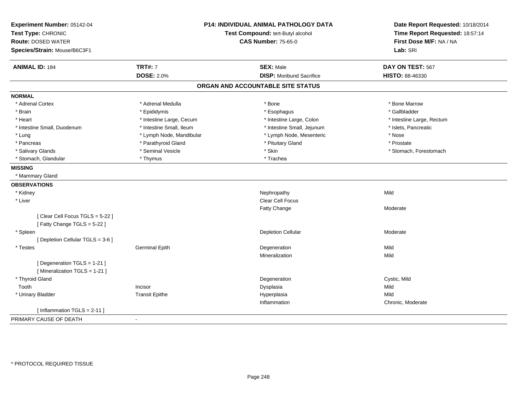| Experiment Number: 05142-04<br>Test Type: CHRONIC<br><b>Route: DOSED WATER</b><br>Species/Strain: Mouse/B6C3F1 |                          | <b>P14: INDIVIDUAL ANIMAL PATHOLOGY DATA</b><br>Test Compound: tert-Butyl alcohol<br><b>CAS Number: 75-65-0</b> | Date Report Requested: 10/18/2014<br>Time Report Requested: 18:57:14<br>First Dose M/F: NA / NA<br>Lab: SRI |
|----------------------------------------------------------------------------------------------------------------|--------------------------|-----------------------------------------------------------------------------------------------------------------|-------------------------------------------------------------------------------------------------------------|
| <b>ANIMAL ID: 184</b>                                                                                          | <b>TRT#: 7</b>           | <b>SEX: Male</b>                                                                                                | DAY ON TEST: 567                                                                                            |
|                                                                                                                | <b>DOSE: 2.0%</b>        | <b>DISP:</b> Moribund Sacrifice                                                                                 | HISTO: 88-46330                                                                                             |
|                                                                                                                |                          | ORGAN AND ACCOUNTABLE SITE STATUS                                                                               |                                                                                                             |
| <b>NORMAL</b>                                                                                                  |                          |                                                                                                                 |                                                                                                             |
| * Adrenal Cortex                                                                                               | * Adrenal Medulla        | * Bone                                                                                                          | * Bone Marrow                                                                                               |
| * Brain                                                                                                        | * Epididymis             | * Esophagus                                                                                                     | * Gallbladder                                                                                               |
| * Heart                                                                                                        | * Intestine Large, Cecum | * Intestine Large, Colon                                                                                        | * Intestine Large, Rectum                                                                                   |
| * Intestine Small, Duodenum                                                                                    | * Intestine Small, Ileum | * Intestine Small, Jejunum                                                                                      | * Islets, Pancreatic                                                                                        |
| * Lung                                                                                                         | * Lymph Node, Mandibular | * Lymph Node, Mesenteric                                                                                        | * Nose                                                                                                      |
| * Pancreas                                                                                                     | * Parathyroid Gland      | * Pituitary Gland                                                                                               | * Prostate                                                                                                  |
| * Salivary Glands                                                                                              | * Seminal Vesicle        | * Skin                                                                                                          | * Stomach, Forestomach                                                                                      |
| * Stomach, Glandular                                                                                           | * Thymus                 | * Trachea                                                                                                       |                                                                                                             |
| <b>MISSING</b>                                                                                                 |                          |                                                                                                                 |                                                                                                             |
| * Mammary Gland                                                                                                |                          |                                                                                                                 |                                                                                                             |
| <b>OBSERVATIONS</b>                                                                                            |                          |                                                                                                                 |                                                                                                             |
| * Kidney                                                                                                       |                          | Nephropathy                                                                                                     | Mild                                                                                                        |
| * Liver                                                                                                        |                          | Clear Cell Focus                                                                                                |                                                                                                             |
|                                                                                                                |                          | Fatty Change                                                                                                    | Moderate                                                                                                    |
| [Clear Cell Focus TGLS = 5-22]                                                                                 |                          |                                                                                                                 |                                                                                                             |
| [Fatty Change TGLS = 5-22]                                                                                     |                          |                                                                                                                 |                                                                                                             |
| * Spleen                                                                                                       |                          | <b>Depletion Cellular</b>                                                                                       | Moderate                                                                                                    |
| [ Depletion Cellular TGLS = 3-6 ]                                                                              |                          |                                                                                                                 |                                                                                                             |
| * Testes                                                                                                       | <b>Germinal Epith</b>    | Degeneration                                                                                                    | Mild                                                                                                        |
|                                                                                                                |                          | Mineralization                                                                                                  | Mild                                                                                                        |
| [ Degeneration TGLS = 1-21 ]                                                                                   |                          |                                                                                                                 |                                                                                                             |
| [ Mineralization TGLS = 1-21 ]                                                                                 |                          |                                                                                                                 |                                                                                                             |
| * Thyroid Gland                                                                                                |                          | Degeneration                                                                                                    | Cystic, Mild                                                                                                |
| Tooth                                                                                                          | Incisor                  | Dysplasia                                                                                                       | Mild                                                                                                        |
| * Urinary Bladder                                                                                              | <b>Transit Epithe</b>    | Hyperplasia                                                                                                     | Mild                                                                                                        |
|                                                                                                                |                          | Inflammation                                                                                                    | Chronic, Moderate                                                                                           |
| [Inflammation TGLS = $2-11$ ]                                                                                  |                          |                                                                                                                 |                                                                                                             |
| PRIMARY CAUSE OF DEATH                                                                                         | $\sim$                   |                                                                                                                 |                                                                                                             |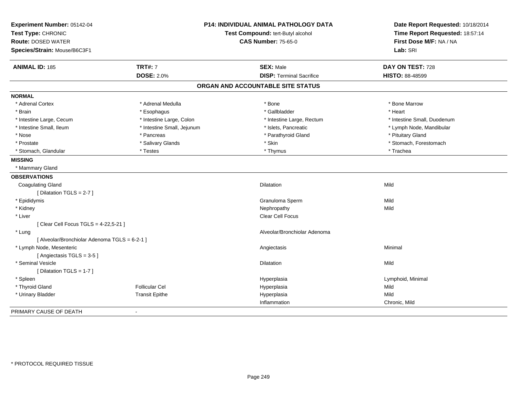| Experiment Number: 05142-04                   |                            | P14: INDIVIDUAL ANIMAL PATHOLOGY DATA | Date Report Requested: 10/18/2014 |
|-----------------------------------------------|----------------------------|---------------------------------------|-----------------------------------|
| Test Type: CHRONIC                            |                            | Test Compound: tert-Butyl alcohol     | Time Report Requested: 18:57:14   |
| <b>Route: DOSED WATER</b>                     |                            | <b>CAS Number: 75-65-0</b>            | First Dose M/F: NA / NA           |
| Species/Strain: Mouse/B6C3F1                  |                            |                                       | Lab: SRI                          |
| <b>ANIMAL ID: 185</b>                         | <b>TRT#: 7</b>             | <b>SEX: Male</b>                      | DAY ON TEST: 728                  |
|                                               | <b>DOSE: 2.0%</b>          | <b>DISP: Terminal Sacrifice</b>       | HISTO: 88-48599                   |
|                                               |                            | ORGAN AND ACCOUNTABLE SITE STATUS     |                                   |
| <b>NORMAL</b>                                 |                            |                                       |                                   |
| * Adrenal Cortex                              | * Adrenal Medulla          | * Bone                                | * Bone Marrow                     |
| * Brain                                       | * Esophagus                | * Gallbladder                         | * Heart                           |
| * Intestine Large, Cecum                      | * Intestine Large, Colon   | * Intestine Large, Rectum             | * Intestine Small, Duodenum       |
| * Intestine Small, Ileum                      | * Intestine Small, Jejunum | * Islets, Pancreatic                  | * Lymph Node, Mandibular          |
| * Nose                                        | * Pancreas                 | * Parathyroid Gland                   | * Pituitary Gland                 |
| * Prostate                                    | * Salivary Glands          | * Skin                                | * Stomach, Forestomach            |
| * Stomach, Glandular                          | * Testes                   | * Thymus                              | * Trachea                         |
| <b>MISSING</b>                                |                            |                                       |                                   |
| * Mammary Gland                               |                            |                                       |                                   |
| <b>OBSERVATIONS</b>                           |                            |                                       |                                   |
| <b>Coagulating Gland</b>                      |                            | Dilatation                            | Mild                              |
| [Dilatation TGLS = $2-7$ ]                    |                            |                                       |                                   |
| * Epididymis                                  |                            | Granuloma Sperm                       | Mild                              |
| * Kidney                                      |                            | Nephropathy                           | Mild                              |
| * Liver                                       |                            | Clear Cell Focus                      |                                   |
| [ Clear Cell Focus TGLS = 4-22,5-21 ]         |                            |                                       |                                   |
| * Lung                                        |                            | Alveolar/Bronchiolar Adenoma          |                                   |
| [ Alveolar/Bronchiolar Adenoma TGLS = 6-2-1 ] |                            |                                       |                                   |
| * Lymph Node, Mesenteric                      |                            | Angiectasis                           | Minimal                           |
| [Angiectasis TGLS = 3-5]                      |                            |                                       |                                   |
| * Seminal Vesicle                             |                            | <b>Dilatation</b>                     | Mild                              |
| [Dilatation TGLS = 1-7]                       |                            |                                       |                                   |
| * Spleen                                      |                            | Hyperplasia                           | Lymphoid, Minimal                 |
| * Thyroid Gland                               | <b>Follicular Cel</b>      | Hyperplasia                           | Mild                              |
| * Urinary Bladder                             | <b>Transit Epithe</b>      | Hyperplasia                           | Mild                              |
|                                               |                            | Inflammation                          | Chronic, Mild                     |
| PRIMARY CAUSE OF DEATH                        |                            |                                       |                                   |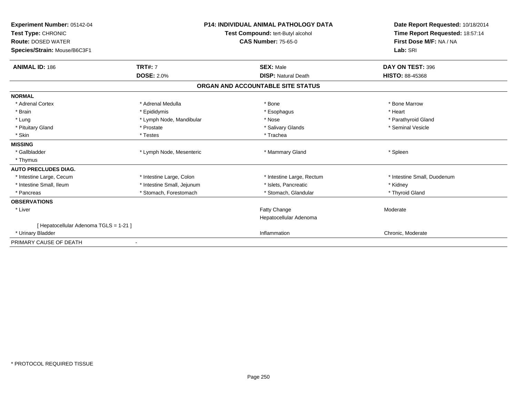| Experiment Number: 05142-04<br>Test Type: CHRONIC<br><b>Route: DOSED WATER</b><br>Species/Strain: Mouse/B6C3F1 |                            | <b>P14: INDIVIDUAL ANIMAL PATHOLOGY DATA</b><br>Test Compound: tert-Butyl alcohol<br><b>CAS Number: 75-65-0</b> | Date Report Requested: 10/18/2014<br>Time Report Requested: 18:57:14<br>First Dose M/F: NA / NA<br>Lab: SRI |
|----------------------------------------------------------------------------------------------------------------|----------------------------|-----------------------------------------------------------------------------------------------------------------|-------------------------------------------------------------------------------------------------------------|
| <b>ANIMAL ID: 186</b>                                                                                          | <b>TRT#: 7</b>             | <b>SEX: Male</b>                                                                                                | DAY ON TEST: 396                                                                                            |
|                                                                                                                | <b>DOSE: 2.0%</b>          | <b>DISP: Natural Death</b>                                                                                      | <b>HISTO: 88-45368</b>                                                                                      |
|                                                                                                                |                            | ORGAN AND ACCOUNTABLE SITE STATUS                                                                               |                                                                                                             |
| <b>NORMAL</b>                                                                                                  |                            |                                                                                                                 |                                                                                                             |
| * Adrenal Cortex                                                                                               | * Adrenal Medulla          | * Bone                                                                                                          | * Bone Marrow                                                                                               |
| * Brain                                                                                                        | * Epididymis               | * Esophagus                                                                                                     | * Heart                                                                                                     |
| * Lung                                                                                                         | * Lymph Node, Mandibular   | * Nose                                                                                                          | * Parathyroid Gland                                                                                         |
| * Pituitary Gland                                                                                              | * Prostate                 | * Salivary Glands                                                                                               | * Seminal Vesicle                                                                                           |
| * Skin                                                                                                         | * Testes                   | * Trachea                                                                                                       |                                                                                                             |
| <b>MISSING</b>                                                                                                 |                            |                                                                                                                 |                                                                                                             |
| * Gallbladder                                                                                                  | * Lymph Node, Mesenteric   | * Mammary Gland                                                                                                 | * Spleen                                                                                                    |
| * Thymus                                                                                                       |                            |                                                                                                                 |                                                                                                             |
| <b>AUTO PRECLUDES DIAG.</b>                                                                                    |                            |                                                                                                                 |                                                                                                             |
| * Intestine Large, Cecum                                                                                       | * Intestine Large, Colon   | * Intestine Large, Rectum                                                                                       | * Intestine Small, Duodenum                                                                                 |
| * Intestine Small, Ileum                                                                                       | * Intestine Small, Jejunum | * Islets, Pancreatic                                                                                            | * Kidney                                                                                                    |
| * Pancreas                                                                                                     | * Stomach, Forestomach     | * Stomach, Glandular                                                                                            | * Thyroid Gland                                                                                             |
| <b>OBSERVATIONS</b>                                                                                            |                            |                                                                                                                 |                                                                                                             |
| * Liver                                                                                                        |                            | Fatty Change<br>Hepatocellular Adenoma                                                                          | Moderate                                                                                                    |
| [ Hepatocellular Adenoma TGLS = 1-21 ]                                                                         |                            |                                                                                                                 |                                                                                                             |
| * Urinary Bladder                                                                                              |                            | Inflammation                                                                                                    | Chronic, Moderate                                                                                           |
| PRIMARY CAUSE OF DEATH                                                                                         |                            |                                                                                                                 |                                                                                                             |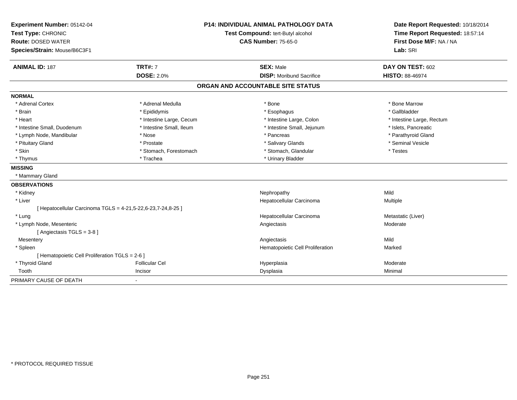| Experiment Number: 05142-04<br>Test Type: CHRONIC            |                          | <b>P14: INDIVIDUAL ANIMAL PATHOLOGY DATA</b> | Date Report Requested: 10/18/2014 |
|--------------------------------------------------------------|--------------------------|----------------------------------------------|-----------------------------------|
|                                                              |                          | Test Compound: tert-Butyl alcohol            | Time Report Requested: 18:57:14   |
| <b>Route: DOSED WATER</b>                                    |                          | <b>CAS Number: 75-65-0</b>                   | First Dose M/F: NA / NA           |
| Species/Strain: Mouse/B6C3F1                                 |                          |                                              | Lab: SRI                          |
| <b>ANIMAL ID: 187</b>                                        | <b>TRT#: 7</b>           | <b>SEX: Male</b>                             | DAY ON TEST: 602                  |
|                                                              | <b>DOSE: 2.0%</b>        | <b>DISP:</b> Moribund Sacrifice              | <b>HISTO: 88-46974</b>            |
|                                                              |                          | ORGAN AND ACCOUNTABLE SITE STATUS            |                                   |
| <b>NORMAL</b>                                                |                          |                                              |                                   |
| * Adrenal Cortex                                             | * Adrenal Medulla        | * Bone                                       | * Bone Marrow                     |
| * Brain                                                      | * Epididymis             | * Esophagus                                  | * Gallbladder                     |
| * Heart                                                      | * Intestine Large, Cecum | * Intestine Large, Colon                     | * Intestine Large, Rectum         |
| * Intestine Small, Duodenum                                  | * Intestine Small, Ileum | * Intestine Small, Jejunum                   | * Islets, Pancreatic              |
| * Lymph Node, Mandibular                                     | * Nose                   | * Pancreas                                   | * Parathyroid Gland               |
| * Pituitary Gland                                            | * Prostate               | * Salivary Glands                            | * Seminal Vesicle                 |
| * Skin                                                       | * Stomach, Forestomach   | * Stomach, Glandular                         | * Testes                          |
| * Thymus                                                     | * Trachea                | * Urinary Bladder                            |                                   |
| <b>MISSING</b>                                               |                          |                                              |                                   |
| * Mammary Gland                                              |                          |                                              |                                   |
| <b>OBSERVATIONS</b>                                          |                          |                                              |                                   |
| * Kidney                                                     |                          | Nephropathy                                  | Mild                              |
| * Liver                                                      |                          | Hepatocellular Carcinoma                     | Multiple                          |
| [ Hepatocellular Carcinoma TGLS = 4-21,5-22,6-23,7-24,8-25 ] |                          |                                              |                                   |
| * Lung                                                       |                          | Hepatocellular Carcinoma                     | Metastatic (Liver)                |
| * Lymph Node, Mesenteric                                     |                          | Angiectasis                                  | Moderate                          |
| [Angiectasis TGLS = 3-8]                                     |                          |                                              |                                   |
| Mesentery                                                    |                          | Angiectasis                                  | Mild                              |
| * Spleen                                                     |                          | Hematopoietic Cell Proliferation             | Marked                            |
| [ Hematopoietic Cell Proliferation TGLS = 2-6 ]              |                          |                                              |                                   |
| * Thyroid Gland                                              | <b>Follicular Cel</b>    | Hyperplasia                                  | Moderate                          |
| Tooth                                                        | Incisor                  | Dysplasia                                    | Minimal                           |
| PRIMARY CAUSE OF DEATH                                       | $\blacksquare$           |                                              |                                   |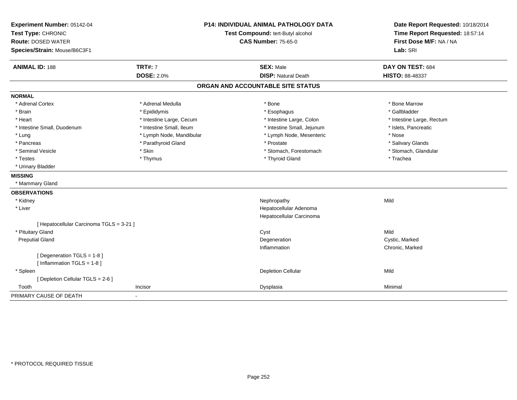| Experiment Number: 05142-04<br>Test Type: CHRONIC<br><b>Route: DOSED WATER</b><br>Species/Strain: Mouse/B6C3F1 | <b>P14: INDIVIDUAL ANIMAL PATHOLOGY DATA</b><br>Test Compound: tert-Butyl alcohol<br><b>CAS Number: 75-65-0</b> |                                   | Date Report Requested: 10/18/2014<br>Time Report Requested: 18:57:14<br>First Dose M/F: NA / NA<br>Lab: SRI |  |
|----------------------------------------------------------------------------------------------------------------|-----------------------------------------------------------------------------------------------------------------|-----------------------------------|-------------------------------------------------------------------------------------------------------------|--|
| <b>ANIMAL ID: 188</b>                                                                                          | <b>TRT#: 7</b>                                                                                                  | <b>SEX: Male</b>                  | DAY ON TEST: 684                                                                                            |  |
|                                                                                                                | <b>DOSE: 2.0%</b>                                                                                               | <b>DISP: Natural Death</b>        | <b>HISTO: 88-48337</b>                                                                                      |  |
|                                                                                                                |                                                                                                                 | ORGAN AND ACCOUNTABLE SITE STATUS |                                                                                                             |  |
| <b>NORMAL</b>                                                                                                  |                                                                                                                 |                                   |                                                                                                             |  |
| * Adrenal Cortex                                                                                               | * Adrenal Medulla                                                                                               | * Bone                            | * Bone Marrow                                                                                               |  |
| * Brain                                                                                                        | * Epididymis                                                                                                    | * Esophagus                       | * Gallbladder                                                                                               |  |
| * Heart                                                                                                        | * Intestine Large, Cecum                                                                                        | * Intestine Large, Colon          | * Intestine Large, Rectum                                                                                   |  |
| * Intestine Small, Duodenum                                                                                    | * Intestine Small, Ileum                                                                                        | * Intestine Small, Jejunum        | * Islets, Pancreatic                                                                                        |  |
| * Lung                                                                                                         | * Lymph Node, Mandibular                                                                                        | * Lymph Node, Mesenteric          | * Nose                                                                                                      |  |
| * Pancreas                                                                                                     | * Parathyroid Gland                                                                                             | * Prostate                        | * Salivary Glands                                                                                           |  |
| * Seminal Vesicle                                                                                              | * Skin                                                                                                          | * Stomach, Forestomach            | * Stomach, Glandular                                                                                        |  |
| * Testes                                                                                                       | * Thymus                                                                                                        | * Thyroid Gland                   | * Trachea                                                                                                   |  |
| * Urinary Bladder                                                                                              |                                                                                                                 |                                   |                                                                                                             |  |
| <b>MISSING</b>                                                                                                 |                                                                                                                 |                                   |                                                                                                             |  |
| * Mammary Gland                                                                                                |                                                                                                                 |                                   |                                                                                                             |  |
| <b>OBSERVATIONS</b>                                                                                            |                                                                                                                 |                                   |                                                                                                             |  |
| * Kidney                                                                                                       |                                                                                                                 | Nephropathy                       | Mild                                                                                                        |  |
| * Liver                                                                                                        |                                                                                                                 | Hepatocellular Adenoma            |                                                                                                             |  |
|                                                                                                                |                                                                                                                 | Hepatocellular Carcinoma          |                                                                                                             |  |
| [ Hepatocellular Carcinoma TGLS = 3-21 ]                                                                       |                                                                                                                 |                                   |                                                                                                             |  |
| * Pituitary Gland                                                                                              |                                                                                                                 | Cyst                              | Mild                                                                                                        |  |
| <b>Preputial Gland</b>                                                                                         |                                                                                                                 | Degeneration                      | Cystic, Marked                                                                                              |  |
|                                                                                                                |                                                                                                                 | Inflammation                      | Chronic, Marked                                                                                             |  |
| [ Degeneration TGLS = 1-8 ]                                                                                    |                                                                                                                 |                                   |                                                                                                             |  |
| [Inflammation TGLS = $1-8$ ]                                                                                   |                                                                                                                 |                                   |                                                                                                             |  |
| * Spleen                                                                                                       |                                                                                                                 | <b>Depletion Cellular</b>         | Mild                                                                                                        |  |
| [ Depletion Cellular TGLS = 2-6 ]                                                                              |                                                                                                                 |                                   |                                                                                                             |  |
| Tooth                                                                                                          | Incisor                                                                                                         | Dysplasia                         | Minimal                                                                                                     |  |
| PRIMARY CAUSE OF DEATH                                                                                         |                                                                                                                 |                                   |                                                                                                             |  |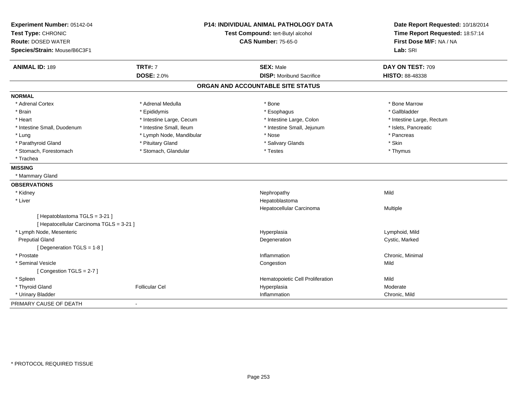| Experiment Number: 05142-04              | <b>P14: INDIVIDUAL ANIMAL PATHOLOGY DATA</b><br>Test Compound: tert-Butyl alcohol |                                   | Date Report Requested: 10/18/2014 |
|------------------------------------------|-----------------------------------------------------------------------------------|-----------------------------------|-----------------------------------|
| Test Type: CHRONIC                       |                                                                                   |                                   | Time Report Requested: 18:57:14   |
| <b>Route: DOSED WATER</b>                |                                                                                   | <b>CAS Number: 75-65-0</b>        | First Dose M/F: NA / NA           |
| Species/Strain: Mouse/B6C3F1             |                                                                                   |                                   | Lab: SRI                          |
| <b>ANIMAL ID: 189</b>                    | <b>TRT#: 7</b>                                                                    | <b>SEX: Male</b>                  | DAY ON TEST: 709                  |
|                                          | <b>DOSE: 2.0%</b>                                                                 | <b>DISP:</b> Moribund Sacrifice   | HISTO: 88-48338                   |
|                                          |                                                                                   | ORGAN AND ACCOUNTABLE SITE STATUS |                                   |
| <b>NORMAL</b>                            |                                                                                   |                                   |                                   |
| * Adrenal Cortex                         | * Adrenal Medulla                                                                 | * Bone                            | * Bone Marrow                     |
| * Brain                                  | * Epididymis                                                                      | * Esophagus                       | * Gallbladder                     |
| * Heart                                  | * Intestine Large, Cecum                                                          | * Intestine Large, Colon          | * Intestine Large, Rectum         |
| * Intestine Small, Duodenum              | * Intestine Small, Ileum                                                          | * Intestine Small, Jejunum        | * Islets, Pancreatic              |
| * Lung                                   | * Lymph Node, Mandibular                                                          | * Nose                            | * Pancreas                        |
| * Parathyroid Gland                      | * Pituitary Gland                                                                 | * Salivary Glands                 | * Skin                            |
| * Stomach, Forestomach                   | * Stomach, Glandular                                                              | * Testes                          | * Thymus                          |
| * Trachea                                |                                                                                   |                                   |                                   |
| <b>MISSING</b>                           |                                                                                   |                                   |                                   |
| * Mammary Gland                          |                                                                                   |                                   |                                   |
| <b>OBSERVATIONS</b>                      |                                                                                   |                                   |                                   |
| * Kidney                                 |                                                                                   | Nephropathy                       | Mild                              |
| * Liver                                  |                                                                                   | Hepatoblastoma                    |                                   |
|                                          |                                                                                   | Hepatocellular Carcinoma          | Multiple                          |
| [Hepatoblastoma TGLS = 3-21]             |                                                                                   |                                   |                                   |
| [ Hepatocellular Carcinoma TGLS = 3-21 ] |                                                                                   |                                   |                                   |
| * Lymph Node, Mesenteric                 |                                                                                   | Hyperplasia                       | Lymphoid, Mild                    |
| <b>Preputial Gland</b>                   |                                                                                   | Degeneration                      | Cystic, Marked                    |
| [ Degeneration TGLS = 1-8 ]              |                                                                                   |                                   |                                   |
| * Prostate                               |                                                                                   | Inflammation                      | Chronic, Minimal                  |
| * Seminal Vesicle                        |                                                                                   | Congestion                        | Mild                              |
| [Congestion TGLS = 2-7]                  |                                                                                   |                                   |                                   |
| * Spleen                                 |                                                                                   | Hematopoietic Cell Proliferation  | Mild                              |
| * Thyroid Gland                          | <b>Follicular Cel</b>                                                             | Hyperplasia                       | Moderate                          |
| * Urinary Bladder                        |                                                                                   | Inflammation                      | Chronic, Mild                     |
| PRIMARY CAUSE OF DEATH                   |                                                                                   |                                   |                                   |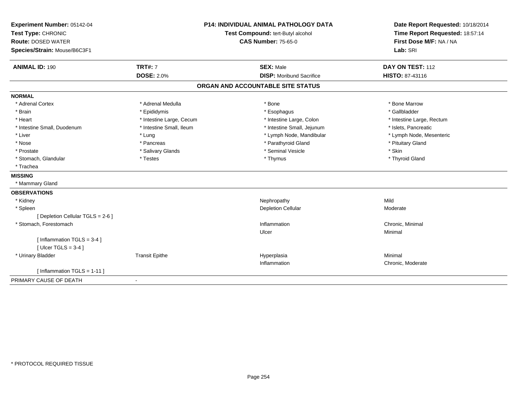| Experiment Number: 05142-04<br>Test Type: CHRONIC<br><b>Route: DOSED WATER</b><br>Species/Strain: Mouse/B6C3F1 |                          | <b>P14: INDIVIDUAL ANIMAL PATHOLOGY DATA</b><br>Test Compound: tert-Butyl alcohol<br><b>CAS Number: 75-65-0</b> | Date Report Requested: 10/18/2014<br>Time Report Requested: 18:57:14<br>First Dose M/F: NA / NA<br>Lab: SRI |
|----------------------------------------------------------------------------------------------------------------|--------------------------|-----------------------------------------------------------------------------------------------------------------|-------------------------------------------------------------------------------------------------------------|
| <b>ANIMAL ID: 190</b>                                                                                          | <b>TRT#: 7</b>           | <b>SEX: Male</b>                                                                                                | DAY ON TEST: 112                                                                                            |
|                                                                                                                | <b>DOSE: 2.0%</b>        | <b>DISP:</b> Moribund Sacrifice                                                                                 | HISTO: 87-43116                                                                                             |
|                                                                                                                |                          | ORGAN AND ACCOUNTABLE SITE STATUS                                                                               |                                                                                                             |
| <b>NORMAL</b>                                                                                                  |                          |                                                                                                                 |                                                                                                             |
| * Adrenal Cortex                                                                                               | * Adrenal Medulla        | * Bone                                                                                                          | * Bone Marrow                                                                                               |
| * Brain                                                                                                        | * Epididymis             | * Esophagus                                                                                                     | * Gallbladder                                                                                               |
| * Heart                                                                                                        | * Intestine Large, Cecum | * Intestine Large, Colon                                                                                        | * Intestine Large, Rectum                                                                                   |
| * Intestine Small, Duodenum                                                                                    | * Intestine Small, Ileum | * Intestine Small, Jejunum                                                                                      | * Islets, Pancreatic                                                                                        |
| * Liver                                                                                                        | * Lung                   | * Lymph Node, Mandibular                                                                                        | * Lymph Node, Mesenteric                                                                                    |
| * Nose                                                                                                         | * Pancreas               | * Parathyroid Gland                                                                                             | * Pituitary Gland                                                                                           |
| * Prostate                                                                                                     | * Salivary Glands        | * Seminal Vesicle                                                                                               | * Skin                                                                                                      |
| * Stomach, Glandular                                                                                           | * Testes                 | * Thymus                                                                                                        | * Thyroid Gland                                                                                             |
| * Trachea                                                                                                      |                          |                                                                                                                 |                                                                                                             |
| <b>MISSING</b>                                                                                                 |                          |                                                                                                                 |                                                                                                             |
| * Mammary Gland                                                                                                |                          |                                                                                                                 |                                                                                                             |
| <b>OBSERVATIONS</b>                                                                                            |                          |                                                                                                                 |                                                                                                             |
| * Kidney                                                                                                       |                          | Nephropathy                                                                                                     | Mild                                                                                                        |
| * Spleen                                                                                                       |                          | <b>Depletion Cellular</b>                                                                                       | Moderate                                                                                                    |
| [ Depletion Cellular TGLS = 2-6 ]                                                                              |                          |                                                                                                                 |                                                                                                             |
| * Stomach, Forestomach                                                                                         |                          | Inflammation                                                                                                    | Chronic, Minimal                                                                                            |
|                                                                                                                |                          | Ulcer                                                                                                           | Minimal                                                                                                     |
| [Inflammation TGLS = 3-4]                                                                                      |                          |                                                                                                                 |                                                                                                             |
| [ $Ulecr$ TGLS = 3-4 ]                                                                                         |                          |                                                                                                                 |                                                                                                             |
| * Urinary Bladder                                                                                              | <b>Transit Epithe</b>    | Hyperplasia                                                                                                     | Minimal                                                                                                     |
|                                                                                                                |                          | Inflammation                                                                                                    | Chronic, Moderate                                                                                           |
| [Inflammation TGLS = $1-11$ ]                                                                                  |                          |                                                                                                                 |                                                                                                             |
| PRIMARY CAUSE OF DEATH                                                                                         |                          |                                                                                                                 |                                                                                                             |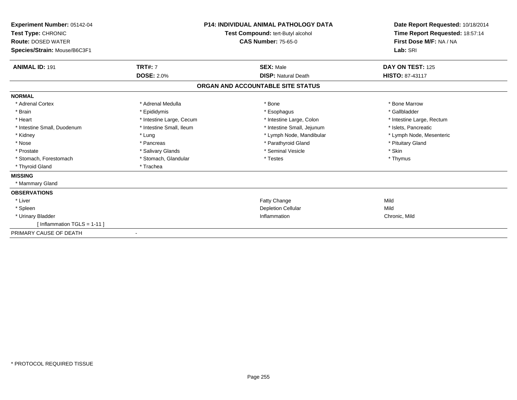| Experiment Number: 05142-04<br>Test Type: CHRONIC<br><b>Route: DOSED WATER</b><br>Species/Strain: Mouse/B6C3F1 | <b>P14: INDIVIDUAL ANIMAL PATHOLOGY DATA</b><br>Test Compound: tert-Butyl alcohol<br><b>CAS Number: 75-65-0</b> |                                   | Date Report Requested: 10/18/2014<br>Time Report Requested: 18:57:14<br>First Dose M/F: NA / NA<br>Lab: SRI |
|----------------------------------------------------------------------------------------------------------------|-----------------------------------------------------------------------------------------------------------------|-----------------------------------|-------------------------------------------------------------------------------------------------------------|
| <b>ANIMAL ID: 191</b>                                                                                          | <b>TRT#: 7</b>                                                                                                  | <b>SEX: Male</b>                  | DAY ON TEST: 125                                                                                            |
|                                                                                                                | <b>DOSE: 2.0%</b>                                                                                               | <b>DISP: Natural Death</b>        | HISTO: 87-43117                                                                                             |
|                                                                                                                |                                                                                                                 | ORGAN AND ACCOUNTABLE SITE STATUS |                                                                                                             |
| <b>NORMAL</b>                                                                                                  |                                                                                                                 |                                   |                                                                                                             |
| * Adrenal Cortex                                                                                               | * Adrenal Medulla                                                                                               | * Bone                            | * Bone Marrow                                                                                               |
| * Brain                                                                                                        | * Epididymis                                                                                                    | * Esophagus                       | * Gallbladder                                                                                               |
| * Heart                                                                                                        | * Intestine Large, Cecum                                                                                        | * Intestine Large, Colon          | * Intestine Large, Rectum                                                                                   |
| * Intestine Small, Duodenum                                                                                    | * Intestine Small, Ileum                                                                                        | * Intestine Small, Jejunum        | * Islets, Pancreatic                                                                                        |
| * Kidney                                                                                                       | * Lung                                                                                                          | * Lymph Node, Mandibular          | * Lymph Node, Mesenteric                                                                                    |
| * Nose                                                                                                         | * Pancreas                                                                                                      | * Parathyroid Gland               | * Pituitary Gland                                                                                           |
| * Prostate                                                                                                     | * Salivary Glands                                                                                               | * Seminal Vesicle                 | * Skin                                                                                                      |
| * Stomach, Forestomach                                                                                         | * Stomach, Glandular                                                                                            | * Testes                          | * Thymus                                                                                                    |
| * Thyroid Gland                                                                                                | * Trachea                                                                                                       |                                   |                                                                                                             |
| <b>MISSING</b>                                                                                                 |                                                                                                                 |                                   |                                                                                                             |
| * Mammary Gland                                                                                                |                                                                                                                 |                                   |                                                                                                             |
| <b>OBSERVATIONS</b>                                                                                            |                                                                                                                 |                                   |                                                                                                             |
| * Liver                                                                                                        |                                                                                                                 | Fatty Change                      | Mild                                                                                                        |
| * Spleen                                                                                                       |                                                                                                                 | <b>Depletion Cellular</b>         | Mild                                                                                                        |
| * Urinary Bladder                                                                                              |                                                                                                                 | Inflammation                      | Chronic, Mild                                                                                               |
| [ Inflammation $TGLS = 1-11$ ]                                                                                 |                                                                                                                 |                                   |                                                                                                             |
| PRIMARY CAUSE OF DEATH                                                                                         |                                                                                                                 |                                   |                                                                                                             |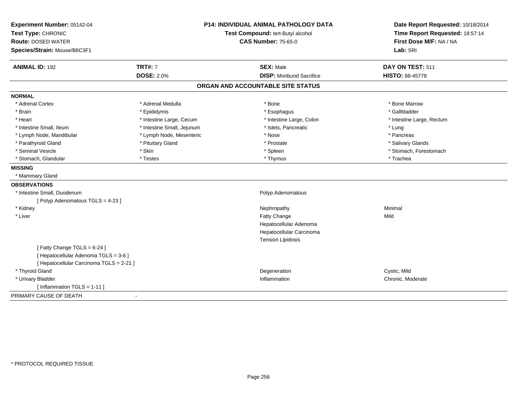| <b>P14: INDIVIDUAL ANIMAL PATHOLOGY DATA</b><br>Experiment Number: 05142-04 |                            |                                   | Date Report Requested: 10/18/2014                          |
|-----------------------------------------------------------------------------|----------------------------|-----------------------------------|------------------------------------------------------------|
| Test Type: CHRONIC                                                          |                            | Test Compound: tert-Butyl alcohol | Time Report Requested: 18:57:14<br>First Dose M/F: NA / NA |
| <b>Route: DOSED WATER</b>                                                   |                            | <b>CAS Number: 75-65-0</b>        |                                                            |
| Species/Strain: Mouse/B6C3F1                                                |                            |                                   | Lab: SRI                                                   |
| <b>ANIMAL ID: 192</b>                                                       | <b>TRT#: 7</b>             | <b>SEX: Male</b>                  | DAY ON TEST: 511                                           |
|                                                                             | <b>DOSE: 2.0%</b>          | <b>DISP:</b> Moribund Sacrifice   | HISTO: 88-45778                                            |
|                                                                             |                            | ORGAN AND ACCOUNTABLE SITE STATUS |                                                            |
| <b>NORMAL</b>                                                               |                            |                                   |                                                            |
| * Adrenal Cortex                                                            | * Adrenal Medulla          | * Bone                            | * Bone Marrow                                              |
| * Brain                                                                     | * Epididymis               | * Esophagus                       | * Gallbladder                                              |
| * Heart                                                                     | * Intestine Large, Cecum   | * Intestine Large, Colon          | * Intestine Large, Rectum                                  |
| * Intestine Small, Ileum                                                    | * Intestine Small, Jejunum | * Islets, Pancreatic              | * Lung                                                     |
| * Lymph Node, Mandibular                                                    | * Lymph Node, Mesenteric   | * Nose                            | * Pancreas                                                 |
| * Parathyroid Gland                                                         | * Pituitary Gland          | * Prostate                        | * Salivary Glands                                          |
| * Seminal Vesicle                                                           | * Skin                     | * Spleen                          | * Stomach, Forestomach                                     |
| * Stomach, Glandular                                                        | * Testes                   | * Thymus                          | * Trachea                                                  |
| <b>MISSING</b>                                                              |                            |                                   |                                                            |
| * Mammary Gland                                                             |                            |                                   |                                                            |
| <b>OBSERVATIONS</b>                                                         |                            |                                   |                                                            |
| * Intestine Small, Duodenum                                                 |                            | Polyp Adenomatous                 |                                                            |
| [Polyp Adenomatous TGLS = 4-23]                                             |                            |                                   |                                                            |
| * Kidney                                                                    |                            | Nephropathy                       | Minimal                                                    |
| * Liver                                                                     |                            | Fatty Change                      | Mild                                                       |
|                                                                             |                            | Hepatocellular Adenoma            |                                                            |
|                                                                             |                            | Hepatocellular Carcinoma          |                                                            |
|                                                                             |                            | <b>Tension Lipidosis</b>          |                                                            |
| [Fatty Change TGLS = 6-24]                                                  |                            |                                   |                                                            |
| [ Hepatocellular Adenoma TGLS = 3-6 ]                                       |                            |                                   |                                                            |
| [ Hepatocellular Carcinoma TGLS = 2-21 ]                                    |                            |                                   |                                                            |
| * Thyroid Gland                                                             |                            | Degeneration                      | Cystic, Mild                                               |
| * Urinary Bladder                                                           |                            | Inflammation                      | Chronic, Moderate                                          |
| [Inflammation TGLS = $1-11$ ]                                               |                            |                                   |                                                            |
| PRIMARY CAUSE OF DEATH                                                      | $\blacksquare$             |                                   |                                                            |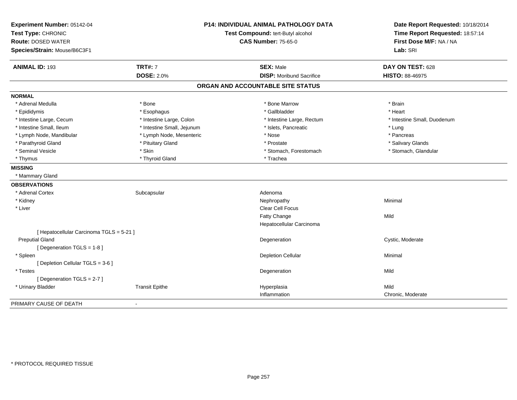| Experiment Number: 05142-04<br>Test Type: CHRONIC |                            | P14: INDIVIDUAL ANIMAL PATHOLOGY DATA<br>Test Compound: tert-Butyl alcohol | Date Report Requested: 10/18/2014<br>Time Report Requested: 18:57:14 |
|---------------------------------------------------|----------------------------|----------------------------------------------------------------------------|----------------------------------------------------------------------|
| <b>Route: DOSED WATER</b>                         | <b>CAS Number: 75-65-0</b> |                                                                            | First Dose M/F: NA / NA                                              |
| Species/Strain: Mouse/B6C3F1                      |                            |                                                                            | Lab: SRI                                                             |
| <b>ANIMAL ID: 193</b>                             | <b>TRT#: 7</b>             | <b>SEX: Male</b>                                                           | DAY ON TEST: 628                                                     |
|                                                   | <b>DOSE: 2.0%</b>          | <b>DISP: Moribund Sacrifice</b>                                            | HISTO: 88-46975                                                      |
|                                                   |                            | ORGAN AND ACCOUNTABLE SITE STATUS                                          |                                                                      |
|                                                   |                            |                                                                            |                                                                      |
| <b>NORMAL</b>                                     |                            |                                                                            |                                                                      |
| * Adrenal Medulla                                 | * Bone                     | * Bone Marrow                                                              | * Brain                                                              |
| * Epididymis                                      | * Esophagus                | * Gallbladder                                                              | * Heart                                                              |
| * Intestine Large, Cecum                          | * Intestine Large, Colon   | * Intestine Large, Rectum                                                  | * Intestine Small, Duodenum                                          |
| * Intestine Small, Ileum                          | * Intestine Small, Jejunum | * Islets, Pancreatic                                                       | * Lung                                                               |
| * Lymph Node, Mandibular                          | * Lymph Node, Mesenteric   | * Nose                                                                     | * Pancreas                                                           |
| * Parathyroid Gland                               | * Pituitary Gland          | * Prostate                                                                 | * Salivary Glands                                                    |
| * Seminal Vesicle                                 | * Skin                     | * Stomach, Forestomach                                                     | * Stomach, Glandular                                                 |
| * Thymus                                          | * Thyroid Gland            | * Trachea                                                                  |                                                                      |
| <b>MISSING</b>                                    |                            |                                                                            |                                                                      |
| * Mammary Gland                                   |                            |                                                                            |                                                                      |
| <b>OBSERVATIONS</b>                               |                            |                                                                            |                                                                      |
| * Adrenal Cortex                                  | Subcapsular                | Adenoma                                                                    |                                                                      |
| * Kidney                                          |                            | Nephropathy                                                                | Minimal                                                              |
| * Liver                                           |                            | Clear Cell Focus                                                           |                                                                      |
|                                                   |                            | Fatty Change                                                               | Mild                                                                 |
|                                                   |                            | Hepatocellular Carcinoma                                                   |                                                                      |
| [ Hepatocellular Carcinoma TGLS = 5-21 ]          |                            |                                                                            |                                                                      |
| <b>Preputial Gland</b>                            |                            | Degeneration                                                               | Cystic, Moderate                                                     |
| [ Degeneration TGLS = 1-8 ]                       |                            |                                                                            |                                                                      |
| * Spleen                                          |                            | <b>Depletion Cellular</b>                                                  | Minimal                                                              |
| [ Depletion Cellular TGLS = 3-6 ]                 |                            |                                                                            |                                                                      |
| * Testes                                          |                            | Degeneration                                                               | Mild                                                                 |
| [Degeneration TGLS = 2-7]                         |                            |                                                                            |                                                                      |
| * Urinary Bladder                                 | <b>Transit Epithe</b>      | Hyperplasia                                                                | Mild                                                                 |
|                                                   |                            | Inflammation                                                               | Chronic, Moderate                                                    |
| PRIMARY CAUSE OF DEATH                            |                            |                                                                            |                                                                      |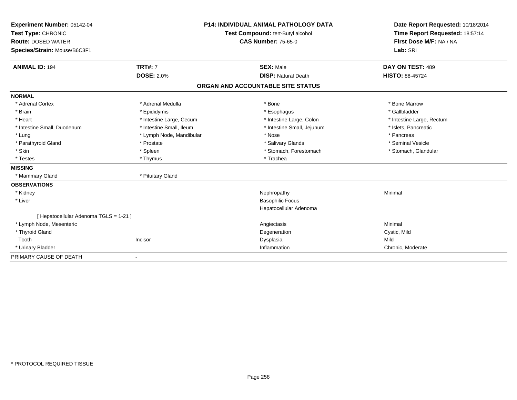| Experiment Number: 05142-04<br>Test Type: CHRONIC |                          | <b>P14: INDIVIDUAL ANIMAL PATHOLOGY DATA</b><br>Test Compound: tert-Butyl alcohol | Date Report Requested: 10/18/2014<br>Time Report Requested: 18:57:14 |
|---------------------------------------------------|--------------------------|-----------------------------------------------------------------------------------|----------------------------------------------------------------------|
| <b>Route: DOSED WATER</b>                         |                          | <b>CAS Number: 75-65-0</b>                                                        | First Dose M/F: NA / NA                                              |
| Species/Strain: Mouse/B6C3F1                      |                          |                                                                                   | Lab: SRI                                                             |
| <b>ANIMAL ID: 194</b>                             | <b>TRT#: 7</b>           | <b>SEX: Male</b>                                                                  | DAY ON TEST: 489                                                     |
|                                                   | <b>DOSE: 2.0%</b>        | <b>DISP: Natural Death</b>                                                        | <b>HISTO: 88-45724</b>                                               |
|                                                   |                          | ORGAN AND ACCOUNTABLE SITE STATUS                                                 |                                                                      |
| <b>NORMAL</b>                                     |                          |                                                                                   |                                                                      |
| * Adrenal Cortex                                  | * Adrenal Medulla        | * Bone                                                                            | * Bone Marrow                                                        |
| * Brain                                           | * Epididymis             | * Esophagus                                                                       | * Gallbladder                                                        |
| * Heart                                           | * Intestine Large, Cecum | * Intestine Large, Colon                                                          | * Intestine Large, Rectum                                            |
| * Intestine Small, Duodenum                       | * Intestine Small, Ileum | * Intestine Small, Jejunum                                                        | * Islets, Pancreatic                                                 |
| * Lung                                            | * Lymph Node, Mandibular | * Nose                                                                            | * Pancreas                                                           |
| * Parathyroid Gland                               | * Prostate               | * Salivary Glands                                                                 | * Seminal Vesicle                                                    |
| * Skin                                            | * Spleen                 | * Stomach, Forestomach                                                            | * Stomach, Glandular                                                 |
| * Testes                                          | * Thymus                 | * Trachea                                                                         |                                                                      |
| <b>MISSING</b>                                    |                          |                                                                                   |                                                                      |
| * Mammary Gland                                   | * Pituitary Gland        |                                                                                   |                                                                      |
| <b>OBSERVATIONS</b>                               |                          |                                                                                   |                                                                      |
| * Kidney                                          |                          | Nephropathy                                                                       | Minimal                                                              |
| * Liver                                           |                          | <b>Basophilic Focus</b>                                                           |                                                                      |
|                                                   |                          | Hepatocellular Adenoma                                                            |                                                                      |
| [ Hepatocellular Adenoma TGLS = 1-21 ]            |                          |                                                                                   |                                                                      |
| * Lymph Node, Mesenteric                          |                          | Angiectasis                                                                       | Minimal                                                              |
| * Thyroid Gland                                   |                          | Degeneration                                                                      | Cystic, Mild                                                         |
| Tooth                                             | Incisor                  | Dysplasia                                                                         | Mild                                                                 |
| * Urinary Bladder                                 |                          | Inflammation                                                                      | Chronic, Moderate                                                    |
| PRIMARY CAUSE OF DEATH                            |                          |                                                                                   |                                                                      |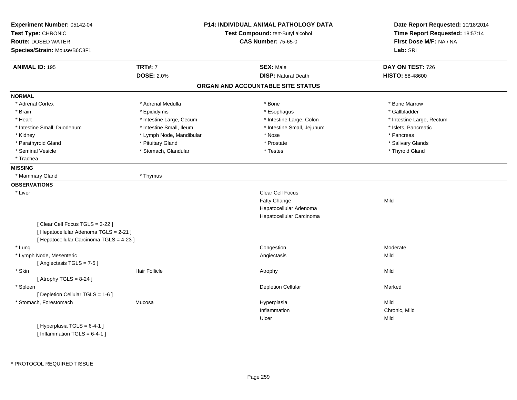| Experiment Number: 05142-04<br>Test Type: CHRONIC<br><b>Route: DOSED WATER</b><br>Species/Strain: Mouse/B6C3F1 |                          | <b>P14: INDIVIDUAL ANIMAL PATHOLOGY DATA</b><br>Test Compound: tert-Butyl alcohol<br><b>CAS Number: 75-65-0</b> | Date Report Requested: 10/18/2014<br>Time Report Requested: 18:57:14<br>First Dose M/F: NA / NA<br>Lab: SRI |
|----------------------------------------------------------------------------------------------------------------|--------------------------|-----------------------------------------------------------------------------------------------------------------|-------------------------------------------------------------------------------------------------------------|
|                                                                                                                |                          |                                                                                                                 |                                                                                                             |
| <b>ANIMAL ID: 195</b>                                                                                          | <b>TRT#: 7</b>           | <b>SEX: Male</b>                                                                                                | DAY ON TEST: 726                                                                                            |
|                                                                                                                | <b>DOSE: 2.0%</b>        | <b>DISP: Natural Death</b>                                                                                      | HISTO: 88-48600                                                                                             |
|                                                                                                                |                          | ORGAN AND ACCOUNTABLE SITE STATUS                                                                               |                                                                                                             |
| <b>NORMAL</b>                                                                                                  |                          |                                                                                                                 |                                                                                                             |
| * Adrenal Cortex                                                                                               | * Adrenal Medulla        | * Bone                                                                                                          | * Bone Marrow                                                                                               |
| * Brain                                                                                                        | * Epididymis             | * Esophagus                                                                                                     | * Gallbladder                                                                                               |
| * Heart                                                                                                        | * Intestine Large, Cecum | * Intestine Large, Colon                                                                                        | * Intestine Large, Rectum                                                                                   |
| * Intestine Small, Duodenum                                                                                    | * Intestine Small, Ileum | * Intestine Small, Jejunum                                                                                      | * Islets, Pancreatic                                                                                        |
| * Kidney                                                                                                       | * Lymph Node, Mandibular | * Nose                                                                                                          | * Pancreas                                                                                                  |
| * Parathyroid Gland                                                                                            | * Pituitary Gland        | * Prostate                                                                                                      | * Salivary Glands                                                                                           |
| * Seminal Vesicle                                                                                              | * Stomach, Glandular     | * Testes                                                                                                        | * Thyroid Gland                                                                                             |
| * Trachea                                                                                                      |                          |                                                                                                                 |                                                                                                             |
| <b>MISSING</b>                                                                                                 |                          |                                                                                                                 |                                                                                                             |
| * Mammary Gland                                                                                                | * Thymus                 |                                                                                                                 |                                                                                                             |
| <b>OBSERVATIONS</b>                                                                                            |                          |                                                                                                                 |                                                                                                             |
| * Liver                                                                                                        |                          | Clear Cell Focus                                                                                                |                                                                                                             |
|                                                                                                                |                          | Fatty Change                                                                                                    | Mild                                                                                                        |
|                                                                                                                |                          | Hepatocellular Adenoma                                                                                          |                                                                                                             |
|                                                                                                                |                          | Hepatocellular Carcinoma                                                                                        |                                                                                                             |
| [Clear Cell Focus TGLS = 3-22]                                                                                 |                          |                                                                                                                 |                                                                                                             |
| [ Hepatocellular Adenoma TGLS = 2-21 ]                                                                         |                          |                                                                                                                 |                                                                                                             |
| [ Hepatocellular Carcinoma TGLS = 4-23 ]                                                                       |                          |                                                                                                                 |                                                                                                             |
| * Lung                                                                                                         |                          | Congestion                                                                                                      | Moderate                                                                                                    |
| * Lymph Node, Mesenteric                                                                                       |                          | Angiectasis                                                                                                     | Mild                                                                                                        |
| [Angiectasis TGLS = 7-5]                                                                                       |                          |                                                                                                                 |                                                                                                             |
| * Skin                                                                                                         | <b>Hair Follicle</b>     | Atrophy                                                                                                         | Mild                                                                                                        |
| [Atrophy TGLS = $8-24$ ]                                                                                       |                          |                                                                                                                 |                                                                                                             |
| * Spleen                                                                                                       |                          | <b>Depletion Cellular</b>                                                                                       | Marked                                                                                                      |
| [ Depletion Cellular TGLS = 1-6 ]                                                                              |                          |                                                                                                                 |                                                                                                             |
| * Stomach, Forestomach                                                                                         | Mucosa                   | Hyperplasia                                                                                                     | Mild                                                                                                        |
|                                                                                                                |                          | Inflammation                                                                                                    | Chronic, Mild                                                                                               |
|                                                                                                                |                          | Ulcer                                                                                                           | Mild                                                                                                        |
| [Hyperplasia TGLS = 6-4-1]                                                                                     |                          |                                                                                                                 |                                                                                                             |
| [Inflammation TGLS = $6-4-1$ ]                                                                                 |                          |                                                                                                                 |                                                                                                             |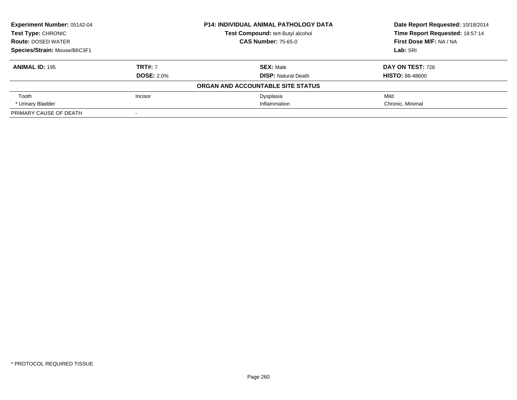| <b>Experiment Number: 05142-04</b><br><b>Test Type: CHRONIC</b> |                   | <b>P14: INDIVIDUAL ANIMAL PATHOLOGY DATA</b> | Date Report Requested: 10/18/2014<br>Time Report Requested: 18:57:14 |
|-----------------------------------------------------------------|-------------------|----------------------------------------------|----------------------------------------------------------------------|
|                                                                 |                   | Test Compound: tert-Butyl alcohol            |                                                                      |
| <b>Route: DOSED WATER</b>                                       |                   | <b>CAS Number: 75-65-0</b>                   | First Dose M/F: NA / NA                                              |
| Species/Strain: Mouse/B6C3F1                                    |                   |                                              | Lab: SRI                                                             |
| <b>ANIMAL ID: 195</b>                                           | <b>TRT#: 7</b>    | <b>SEX: Male</b>                             | <b>DAY ON TEST: 726</b>                                              |
|                                                                 | <b>DOSE: 2.0%</b> | <b>DISP:</b> Natural Death                   | <b>HISTO: 88-48600</b>                                               |
|                                                                 |                   | ORGAN AND ACCOUNTABLE SITE STATUS            |                                                                      |
| Tooth                                                           | Incisor           | Dysplasia                                    | Mild                                                                 |
| * Urinary Bladder                                               |                   | Inflammation                                 | Chronic. Minimal                                                     |
| PRIMARY CAUSE OF DEATH                                          | $\sim$            |                                              |                                                                      |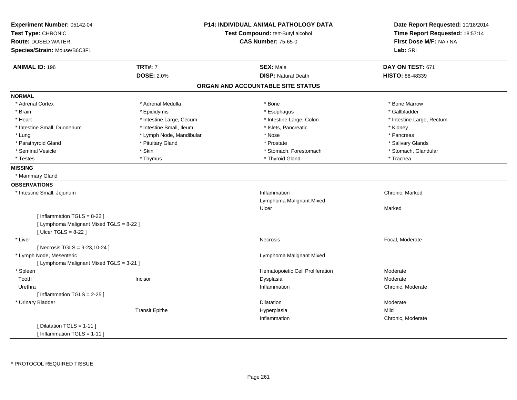| Experiment Number: 05142-04              |                                   | <b>P14: INDIVIDUAL ANIMAL PATHOLOGY DATA</b> | Date Report Requested: 10/18/2014 |
|------------------------------------------|-----------------------------------|----------------------------------------------|-----------------------------------|
| Test Type: CHRONIC                       | Test Compound: tert-Butyl alcohol |                                              | Time Report Requested: 18:57:14   |
| <b>Route: DOSED WATER</b>                |                                   | <b>CAS Number: 75-65-0</b>                   | First Dose M/F: NA / NA           |
| Species/Strain: Mouse/B6C3F1             |                                   |                                              | Lab: SRI                          |
| <b>ANIMAL ID: 196</b>                    | <b>TRT#: 7</b>                    | <b>SEX: Male</b>                             | DAY ON TEST: 671                  |
|                                          | <b>DOSE: 2.0%</b>                 | <b>DISP: Natural Death</b>                   | HISTO: 88-48339                   |
|                                          |                                   | ORGAN AND ACCOUNTABLE SITE STATUS            |                                   |
| <b>NORMAL</b>                            |                                   |                                              |                                   |
| * Adrenal Cortex                         | * Adrenal Medulla                 | * Bone                                       | * Bone Marrow                     |
| * Brain                                  | * Epididymis                      | * Esophagus                                  | * Gallbladder                     |
| * Heart                                  | * Intestine Large, Cecum          | * Intestine Large, Colon                     | * Intestine Large, Rectum         |
| * Intestine Small, Duodenum              | * Intestine Small, Ileum          | * Islets, Pancreatic                         | * Kidney                          |
| * Lung                                   | * Lymph Node, Mandibular          | * Nose                                       | * Pancreas                        |
| * Parathyroid Gland                      | * Pituitary Gland                 | * Prostate                                   | * Salivary Glands                 |
| * Seminal Vesicle                        | * Skin                            | * Stomach, Forestomach                       | * Stomach, Glandular              |
| * Testes                                 | * Thymus                          | * Thyroid Gland                              | * Trachea                         |
| <b>MISSING</b>                           |                                   |                                              |                                   |
| * Mammary Gland                          |                                   |                                              |                                   |
| <b>OBSERVATIONS</b>                      |                                   |                                              |                                   |
| * Intestine Small, Jejunum               |                                   | Inflammation                                 | Chronic, Marked                   |
|                                          |                                   | Lymphoma Malignant Mixed                     |                                   |
|                                          |                                   | Ulcer                                        | Marked                            |
| [Inflammation TGLS = 8-22]               |                                   |                                              |                                   |
| [ Lymphoma Malignant Mixed TGLS = 8-22 ] |                                   |                                              |                                   |
| [ $Ulcer TGLS = 8-22$ ]                  |                                   |                                              |                                   |
| * Liver                                  |                                   | Necrosis                                     | Focal, Moderate                   |
| [Necrosis TGLS = $9-23, 10-24$ ]         |                                   |                                              |                                   |
| * Lymph Node, Mesenteric                 |                                   | Lymphoma Malignant Mixed                     |                                   |
| [ Lymphoma Malignant Mixed TGLS = 3-21 ] |                                   |                                              |                                   |
| * Spleen                                 |                                   | Hematopoietic Cell Proliferation             | Moderate                          |
| Tooth                                    | Incisor                           | Dysplasia                                    | Moderate                          |
| Urethra                                  |                                   | Inflammation                                 | Chronic, Moderate                 |
| [Inflammation TGLS = $2-25$ ]            |                                   |                                              |                                   |
| * Urinary Bladder                        |                                   | Dilatation                                   | Moderate                          |
|                                          | <b>Transit Epithe</b>             | Hyperplasia                                  | Mild                              |
|                                          |                                   | Inflammation                                 | Chronic, Moderate                 |
| [ Dilatation TGLS = 1-11 ]               |                                   |                                              |                                   |
| [Inflammation TGLS = $1-11$ ]            |                                   |                                              |                                   |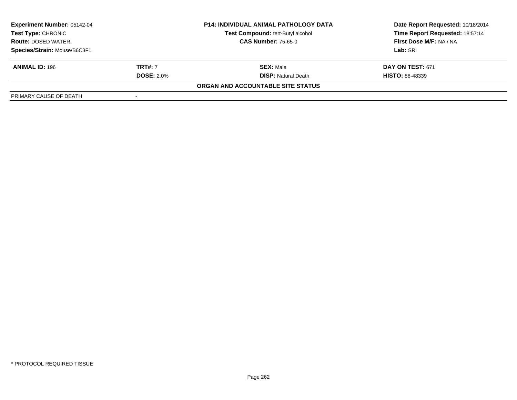| <b>P14: INDIVIDUAL ANIMAL PATHOLOGY DATA</b><br><b>Experiment Number: 05142-04</b><br>Test Compound: tert-Butyl alcohol<br>Test Type: CHRONIC<br><b>CAS Number: 75-65-0</b><br><b>Route: DOSED WATER</b> |                   |                                   | Date Report Requested: 10/18/2014 |
|----------------------------------------------------------------------------------------------------------------------------------------------------------------------------------------------------------|-------------------|-----------------------------------|-----------------------------------|
|                                                                                                                                                                                                          |                   |                                   | Time Report Requested: 18:57:14   |
|                                                                                                                                                                                                          |                   |                                   | First Dose M/F: NA / NA           |
| Species/Strain: Mouse/B6C3F1                                                                                                                                                                             |                   |                                   | Lab: SRI                          |
| <b>ANIMAL ID: 196</b>                                                                                                                                                                                    | <b>TRT#:</b> 7    | <b>SEX: Male</b>                  | <b>DAY ON TEST: 671</b>           |
|                                                                                                                                                                                                          | <b>DOSE: 2.0%</b> | <b>DISP:</b> Natural Death        | <b>HISTO: 88-48339</b>            |
|                                                                                                                                                                                                          |                   | ORGAN AND ACCOUNTABLE SITE STATUS |                                   |
| PRIMARY CAUSE OF DEATH                                                                                                                                                                                   |                   |                                   |                                   |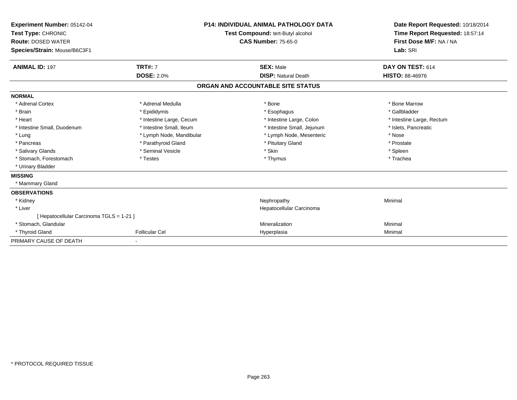| Experiment Number: 05142-04<br>Test Type: CHRONIC<br><b>Route: DOSED WATER</b><br>Species/Strain: Mouse/B6C3F1 |                          | P14: INDIVIDUAL ANIMAL PATHOLOGY DATA<br><b>Test Compound: tert-Butyl alcohol</b><br><b>CAS Number: 75-65-0</b> | Date Report Requested: 10/18/2014<br>Time Report Requested: 18:57:14<br>First Dose M/F: NA / NA<br>Lab: SRI |
|----------------------------------------------------------------------------------------------------------------|--------------------------|-----------------------------------------------------------------------------------------------------------------|-------------------------------------------------------------------------------------------------------------|
| <b>ANIMAL ID: 197</b>                                                                                          | <b>TRT#: 7</b>           | <b>SEX: Male</b>                                                                                                | DAY ON TEST: 614                                                                                            |
|                                                                                                                | <b>DOSE: 2.0%</b>        | <b>DISP: Natural Death</b>                                                                                      | <b>HISTO: 88-46976</b>                                                                                      |
|                                                                                                                |                          | ORGAN AND ACCOUNTABLE SITE STATUS                                                                               |                                                                                                             |
| <b>NORMAL</b>                                                                                                  |                          |                                                                                                                 |                                                                                                             |
| * Adrenal Cortex                                                                                               | * Adrenal Medulla        | * Bone                                                                                                          | * Bone Marrow                                                                                               |
| * Brain                                                                                                        | * Epididymis             | * Esophagus                                                                                                     | * Gallbladder                                                                                               |
| * Heart                                                                                                        | * Intestine Large, Cecum | * Intestine Large, Colon                                                                                        | * Intestine Large, Rectum                                                                                   |
| * Intestine Small, Duodenum                                                                                    | * Intestine Small, Ileum | * Intestine Small, Jejunum                                                                                      | * Islets. Pancreatic                                                                                        |
| * Lung                                                                                                         | * Lymph Node, Mandibular | * Lymph Node, Mesenteric                                                                                        | * Nose                                                                                                      |
| * Pancreas                                                                                                     | * Parathyroid Gland      | * Pituitary Gland                                                                                               | * Prostate                                                                                                  |
| * Salivary Glands                                                                                              | * Seminal Vesicle        | * Skin                                                                                                          | * Spleen                                                                                                    |
| * Stomach, Forestomach                                                                                         | * Testes                 | * Thymus                                                                                                        | * Trachea                                                                                                   |
| * Urinary Bladder                                                                                              |                          |                                                                                                                 |                                                                                                             |
| <b>MISSING</b>                                                                                                 |                          |                                                                                                                 |                                                                                                             |
| * Mammary Gland                                                                                                |                          |                                                                                                                 |                                                                                                             |
| <b>OBSERVATIONS</b>                                                                                            |                          |                                                                                                                 |                                                                                                             |
| * Kidney                                                                                                       |                          | Nephropathy                                                                                                     | Minimal                                                                                                     |
| * Liver                                                                                                        |                          | Hepatocellular Carcinoma                                                                                        |                                                                                                             |
| [ Hepatocellular Carcinoma TGLS = 1-21 ]                                                                       |                          |                                                                                                                 |                                                                                                             |
| * Stomach, Glandular                                                                                           |                          | Mineralization                                                                                                  | Minimal                                                                                                     |
| * Thyroid Gland                                                                                                | <b>Follicular Cel</b>    | Hyperplasia                                                                                                     | Minimal                                                                                                     |
| PRIMARY CAUSE OF DEATH                                                                                         |                          |                                                                                                                 |                                                                                                             |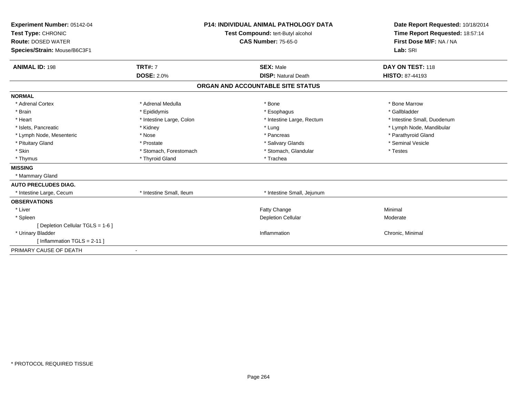| Experiment Number: 05142-04<br>Test Type: CHRONIC<br><b>Route: DOSED WATER</b><br>Species/Strain: Mouse/B6C3F1<br><b>ANIMAL ID: 198</b> | <b>TRT#: 7</b>           | <b>P14: INDIVIDUAL ANIMAL PATHOLOGY DATA</b><br>Test Compound: tert-Butyl alcohol<br><b>CAS Number: 75-65-0</b><br><b>SEX: Male</b> | Date Report Requested: 10/18/2014<br>Time Report Requested: 18:57:14<br>First Dose M/F: NA / NA<br>Lab: SRI<br>DAY ON TEST: 118 |
|-----------------------------------------------------------------------------------------------------------------------------------------|--------------------------|-------------------------------------------------------------------------------------------------------------------------------------|---------------------------------------------------------------------------------------------------------------------------------|
|                                                                                                                                         | <b>DOSE: 2.0%</b>        | <b>DISP: Natural Death</b>                                                                                                          | <b>HISTO: 87-44193</b>                                                                                                          |
|                                                                                                                                         |                          | ORGAN AND ACCOUNTABLE SITE STATUS                                                                                                   |                                                                                                                                 |
| <b>NORMAL</b>                                                                                                                           |                          |                                                                                                                                     |                                                                                                                                 |
| * Adrenal Cortex                                                                                                                        | * Adrenal Medulla        | * Bone                                                                                                                              | * Bone Marrow                                                                                                                   |
| * Brain                                                                                                                                 | * Epididymis             | * Esophagus                                                                                                                         | * Gallbladder                                                                                                                   |
| * Heart                                                                                                                                 | * Intestine Large, Colon | * Intestine Large, Rectum                                                                                                           | * Intestine Small, Duodenum                                                                                                     |
| * Islets, Pancreatic                                                                                                                    | * Kidney                 | * Lung                                                                                                                              | * Lymph Node, Mandibular                                                                                                        |
| * Lymph Node, Mesenteric                                                                                                                | * Nose                   | * Pancreas                                                                                                                          | * Parathyroid Gland                                                                                                             |
| * Pituitary Gland                                                                                                                       | * Prostate               | * Salivary Glands                                                                                                                   | * Seminal Vesicle                                                                                                               |
| * Skin                                                                                                                                  | * Stomach, Forestomach   | * Stomach, Glandular                                                                                                                | * Testes                                                                                                                        |
| * Thymus                                                                                                                                | * Thyroid Gland          | * Trachea                                                                                                                           |                                                                                                                                 |
| <b>MISSING</b>                                                                                                                          |                          |                                                                                                                                     |                                                                                                                                 |
| * Mammary Gland                                                                                                                         |                          |                                                                                                                                     |                                                                                                                                 |
| <b>AUTO PRECLUDES DIAG.</b>                                                                                                             |                          |                                                                                                                                     |                                                                                                                                 |
| * Intestine Large, Cecum                                                                                                                | * Intestine Small, Ileum | * Intestine Small, Jejunum                                                                                                          |                                                                                                                                 |
| <b>OBSERVATIONS</b>                                                                                                                     |                          |                                                                                                                                     |                                                                                                                                 |
| * Liver                                                                                                                                 |                          | <b>Fatty Change</b>                                                                                                                 | Minimal                                                                                                                         |
| * Spleen                                                                                                                                |                          | <b>Depletion Cellular</b>                                                                                                           | Moderate                                                                                                                        |
| [ Depletion Cellular TGLS = 1-6 ]                                                                                                       |                          |                                                                                                                                     |                                                                                                                                 |
| * Urinary Bladder                                                                                                                       |                          | Inflammation                                                                                                                        | Chronic, Minimal                                                                                                                |
| [Inflammation TGLS = $2-11$ ]                                                                                                           |                          |                                                                                                                                     |                                                                                                                                 |
| PRIMARY CAUSE OF DEATH                                                                                                                  |                          |                                                                                                                                     |                                                                                                                                 |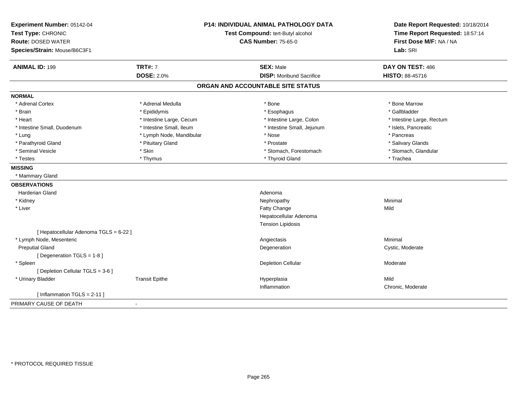| Experiment Number: 05142-04<br>Test Type: CHRONIC<br><b>Route: DOSED WATER</b><br>Species/Strain: Mouse/B6C3F1 | <b>P14: INDIVIDUAL ANIMAL PATHOLOGY DATA</b><br>Test Compound: tert-Butyl alcohol<br><b>CAS Number: 75-65-0</b> |                                   | Date Report Requested: 10/18/2014<br>Time Report Requested: 18:57:14<br>First Dose M/F: NA / NA<br>Lab: SRI |
|----------------------------------------------------------------------------------------------------------------|-----------------------------------------------------------------------------------------------------------------|-----------------------------------|-------------------------------------------------------------------------------------------------------------|
| <b>ANIMAL ID: 199</b>                                                                                          | <b>TRT#: 7</b>                                                                                                  | <b>SEX: Male</b>                  | DAY ON TEST: 486                                                                                            |
|                                                                                                                | <b>DOSE: 2.0%</b>                                                                                               | <b>DISP: Moribund Sacrifice</b>   | HISTO: 88-45716                                                                                             |
|                                                                                                                |                                                                                                                 | ORGAN AND ACCOUNTABLE SITE STATUS |                                                                                                             |
| <b>NORMAL</b>                                                                                                  |                                                                                                                 |                                   |                                                                                                             |
| * Adrenal Cortex                                                                                               | * Adrenal Medulla                                                                                               | * Bone                            | * Bone Marrow                                                                                               |
| * Brain                                                                                                        | * Epididymis                                                                                                    | * Esophagus                       | * Gallbladder                                                                                               |
| * Heart                                                                                                        | * Intestine Large, Cecum                                                                                        | * Intestine Large, Colon          | * Intestine Large, Rectum                                                                                   |
| * Intestine Small, Duodenum                                                                                    | * Intestine Small, Ileum                                                                                        | * Intestine Small, Jejunum        | * Islets, Pancreatic                                                                                        |
| * Lung                                                                                                         | * Lymph Node, Mandibular                                                                                        | * Nose                            | * Pancreas                                                                                                  |
| * Parathyroid Gland                                                                                            | * Pituitary Gland                                                                                               | * Prostate                        | * Salivary Glands                                                                                           |
| * Seminal Vesicle                                                                                              | * Skin                                                                                                          | * Stomach, Forestomach            | * Stomach, Glandular                                                                                        |
| * Testes                                                                                                       | * Thymus                                                                                                        | * Thyroid Gland                   | * Trachea                                                                                                   |
| <b>MISSING</b>                                                                                                 |                                                                                                                 |                                   |                                                                                                             |
| * Mammary Gland                                                                                                |                                                                                                                 |                                   |                                                                                                             |
| <b>OBSERVATIONS</b>                                                                                            |                                                                                                                 |                                   |                                                                                                             |
| <b>Harderian Gland</b>                                                                                         |                                                                                                                 | Adenoma                           |                                                                                                             |
| * Kidney                                                                                                       |                                                                                                                 | Nephropathy                       | Minimal                                                                                                     |
| * Liver                                                                                                        |                                                                                                                 | Fatty Change                      | Mild                                                                                                        |
|                                                                                                                |                                                                                                                 | Hepatocellular Adenoma            |                                                                                                             |
|                                                                                                                |                                                                                                                 | <b>Tension Lipidosis</b>          |                                                                                                             |
| [ Hepatocellular Adenoma TGLS = 6-22 ]                                                                         |                                                                                                                 |                                   |                                                                                                             |
| * Lymph Node, Mesenteric                                                                                       |                                                                                                                 | Angiectasis                       | Minimal                                                                                                     |
| <b>Preputial Gland</b>                                                                                         |                                                                                                                 | Degeneration                      | Cystic, Moderate                                                                                            |
| [Degeneration TGLS = 1-8]                                                                                      |                                                                                                                 |                                   |                                                                                                             |
| * Spleen                                                                                                       |                                                                                                                 | <b>Depletion Cellular</b>         | Moderate                                                                                                    |
| [ Depletion Cellular TGLS = 3-6 ]                                                                              |                                                                                                                 |                                   |                                                                                                             |
| * Urinary Bladder                                                                                              | <b>Transit Epithe</b>                                                                                           | Hyperplasia                       | Mild                                                                                                        |
|                                                                                                                |                                                                                                                 | Inflammation                      | Chronic, Moderate                                                                                           |
| [Inflammation TGLS = $2-11$ ]                                                                                  |                                                                                                                 |                                   |                                                                                                             |
| PRIMARY CAUSE OF DEATH                                                                                         | $\blacksquare$                                                                                                  |                                   |                                                                                                             |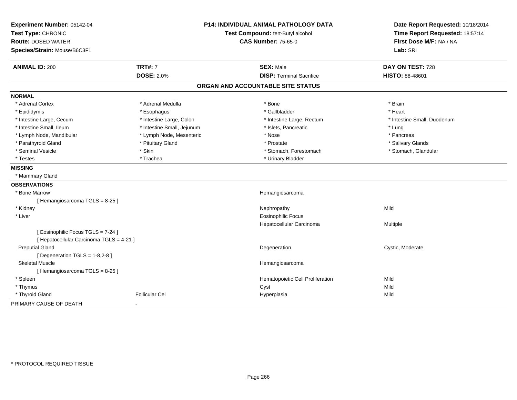| Experiment Number: 05142-04              |                                   | <b>P14: INDIVIDUAL ANIMAL PATHOLOGY DATA</b> | Date Report Requested: 10/18/2014 |
|------------------------------------------|-----------------------------------|----------------------------------------------|-----------------------------------|
| Test Type: CHRONIC                       | Test Compound: tert-Butyl alcohol |                                              | Time Report Requested: 18:57:14   |
| <b>Route: DOSED WATER</b>                |                                   | <b>CAS Number: 75-65-0</b>                   | First Dose M/F: NA / NA           |
| Species/Strain: Mouse/B6C3F1             |                                   |                                              | Lab: SRI                          |
| <b>ANIMAL ID: 200</b>                    | <b>TRT#: 7</b>                    | <b>SEX: Male</b>                             | DAY ON TEST: 728                  |
|                                          | <b>DOSE: 2.0%</b>                 | <b>DISP: Terminal Sacrifice</b>              | HISTO: 88-48601                   |
|                                          |                                   | ORGAN AND ACCOUNTABLE SITE STATUS            |                                   |
| <b>NORMAL</b>                            |                                   |                                              |                                   |
| * Adrenal Cortex                         | * Adrenal Medulla                 | * Bone                                       | * Brain                           |
| * Epididymis                             | * Esophagus                       | * Gallbladder                                | * Heart                           |
| * Intestine Large, Cecum                 | * Intestine Large, Colon          | * Intestine Large, Rectum                    | * Intestine Small, Duodenum       |
| * Intestine Small, Ileum                 | * Intestine Small, Jejunum        | * Islets, Pancreatic                         | * Lung                            |
| * Lymph Node, Mandibular                 | * Lymph Node, Mesenteric          | * Nose                                       | * Pancreas                        |
| * Parathyroid Gland                      | * Pituitary Gland                 | * Prostate                                   | * Salivary Glands                 |
| * Seminal Vesicle                        | * Skin                            | * Stomach, Forestomach                       | * Stomach, Glandular              |
| * Testes                                 | * Trachea                         | * Urinary Bladder                            |                                   |
| <b>MISSING</b>                           |                                   |                                              |                                   |
| * Mammary Gland                          |                                   |                                              |                                   |
| <b>OBSERVATIONS</b>                      |                                   |                                              |                                   |
| * Bone Marrow                            |                                   | Hemangiosarcoma                              |                                   |
| [Hemangiosarcoma TGLS = 8-25]            |                                   |                                              |                                   |
| * Kidney                                 |                                   | Nephropathy                                  | Mild                              |
| * Liver                                  |                                   | <b>Eosinophilic Focus</b>                    |                                   |
|                                          |                                   | Hepatocellular Carcinoma                     | Multiple                          |
| [Eosinophilic Focus TGLS = 7-24]         |                                   |                                              |                                   |
| [ Hepatocellular Carcinoma TGLS = 4-21 ] |                                   |                                              |                                   |
| <b>Preputial Gland</b>                   |                                   | Degeneration                                 | Cystic, Moderate                  |
| [ Degeneration TGLS = 1-8,2-8 ]          |                                   |                                              |                                   |
| <b>Skeletal Muscle</b>                   |                                   | Hemangiosarcoma                              |                                   |
| [Hemangiosarcoma TGLS = 8-25]            |                                   |                                              |                                   |
| * Spleen                                 |                                   | Hematopoietic Cell Proliferation             | Mild                              |
| * Thymus                                 |                                   | Cyst                                         | Mild                              |
| * Thyroid Gland                          | <b>Follicular Cel</b>             | Hyperplasia                                  | Mild                              |
| PRIMARY CAUSE OF DEATH                   | $\blacksquare$                    |                                              |                                   |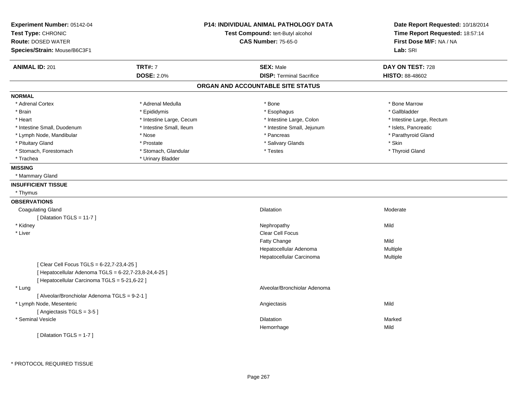| Experiment Number: 05142-04<br>Test Type: CHRONIC<br><b>Route: DOSED WATER</b> |                          | <b>P14: INDIVIDUAL ANIMAL PATHOLOGY DATA</b><br>Test Compound: tert-Butyl alcohol<br><b>CAS Number: 75-65-0</b> | Date Report Requested: 10/18/2014<br>Time Report Requested: 18:57:14<br>First Dose M/F: NA / NA |
|--------------------------------------------------------------------------------|--------------------------|-----------------------------------------------------------------------------------------------------------------|-------------------------------------------------------------------------------------------------|
| Species/Strain: Mouse/B6C3F1                                                   |                          |                                                                                                                 | Lab: SRI                                                                                        |
| <b>ANIMAL ID: 201</b>                                                          | <b>TRT#: 7</b>           | <b>SEX: Male</b>                                                                                                | DAY ON TEST: 728                                                                                |
|                                                                                | <b>DOSE: 2.0%</b>        | <b>DISP: Terminal Sacrifice</b>                                                                                 | HISTO: 88-48602                                                                                 |
|                                                                                |                          | ORGAN AND ACCOUNTABLE SITE STATUS                                                                               |                                                                                                 |
| <b>NORMAL</b>                                                                  |                          |                                                                                                                 |                                                                                                 |
| * Adrenal Cortex                                                               | * Adrenal Medulla        | * Bone                                                                                                          | * Bone Marrow                                                                                   |
| * Brain                                                                        | * Epididymis             | * Esophagus                                                                                                     | * Gallbladder                                                                                   |
| * Heart                                                                        | * Intestine Large, Cecum | * Intestine Large, Colon                                                                                        | * Intestine Large, Rectum                                                                       |
| * Intestine Small, Duodenum                                                    | * Intestine Small, Ileum | * Intestine Small, Jejunum                                                                                      | * Islets, Pancreatic                                                                            |
| * Lymph Node, Mandibular                                                       | * Nose                   | * Pancreas                                                                                                      | * Parathyroid Gland                                                                             |
| * Pituitary Gland                                                              | * Prostate               | * Salivary Glands                                                                                               | * Skin                                                                                          |
| * Stomach, Forestomach                                                         | * Stomach, Glandular     | * Testes                                                                                                        | * Thyroid Gland                                                                                 |
| * Trachea                                                                      | * Urinary Bladder        |                                                                                                                 |                                                                                                 |
| <b>MISSING</b>                                                                 |                          |                                                                                                                 |                                                                                                 |
| * Mammary Gland                                                                |                          |                                                                                                                 |                                                                                                 |
| <b>INSUFFICIENT TISSUE</b>                                                     |                          |                                                                                                                 |                                                                                                 |
| * Thymus                                                                       |                          |                                                                                                                 |                                                                                                 |
| <b>OBSERVATIONS</b>                                                            |                          |                                                                                                                 |                                                                                                 |
| <b>Coagulating Gland</b>                                                       |                          | <b>Dilatation</b>                                                                                               | Moderate                                                                                        |
| [ Dilatation TGLS = 11-7 ]                                                     |                          |                                                                                                                 |                                                                                                 |
| * Kidney                                                                       |                          | Nephropathy                                                                                                     | Mild                                                                                            |
| * Liver                                                                        |                          | Clear Cell Focus                                                                                                |                                                                                                 |
|                                                                                |                          | Fatty Change                                                                                                    | Mild                                                                                            |
|                                                                                |                          | Hepatocellular Adenoma                                                                                          | Multiple                                                                                        |
|                                                                                |                          | Hepatocellular Carcinoma                                                                                        | Multiple                                                                                        |
| [Clear Cell Focus TGLS = 6-22,7-23,4-25]                                       |                          |                                                                                                                 |                                                                                                 |
| [ Hepatocellular Adenoma TGLS = 6-22,7-23,8-24,4-25 ]                          |                          |                                                                                                                 |                                                                                                 |
| [ Hepatocellular Carcinoma TGLS = 5-21,6-22 ]                                  |                          |                                                                                                                 |                                                                                                 |
| * Lung                                                                         |                          | Alveolar/Bronchiolar Adenoma                                                                                    |                                                                                                 |
| [ Alveolar/Bronchiolar Adenoma TGLS = 9-2-1 ]                                  |                          |                                                                                                                 |                                                                                                 |
| * Lymph Node, Mesenteric                                                       |                          | Angiectasis                                                                                                     | Mild                                                                                            |
| [Angiectasis TGLS = 3-5]                                                       |                          |                                                                                                                 |                                                                                                 |
| * Seminal Vesicle                                                              |                          | <b>Dilatation</b>                                                                                               | Marked                                                                                          |
|                                                                                |                          | Hemorrhage                                                                                                      | Mild                                                                                            |
| [Dilatation TGLS = 1-7]                                                        |                          |                                                                                                                 |                                                                                                 |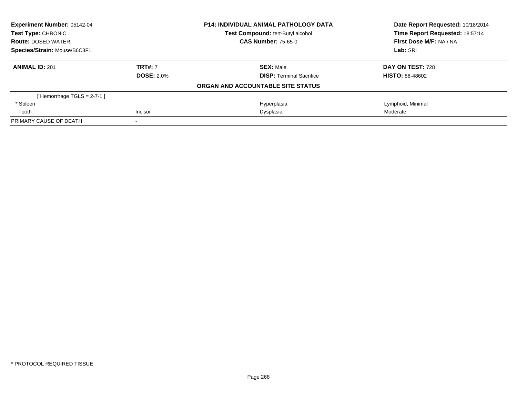| <b>Experiment Number: 05142-04</b><br><b>Test Type: CHRONIC</b> |                   | <b>P14: INDIVIDUAL ANIMAL PATHOLOGY DATA</b> | Date Report Requested: 10/18/2014<br>Time Report Requested: 18:57:14 |  |
|-----------------------------------------------------------------|-------------------|----------------------------------------------|----------------------------------------------------------------------|--|
|                                                                 |                   | Test Compound: tert-Butyl alcohol            |                                                                      |  |
| <b>Route: DOSED WATER</b>                                       |                   | <b>CAS Number: 75-65-0</b>                   | First Dose M/F: NA / NA                                              |  |
| Species/Strain: Mouse/B6C3F1                                    |                   |                                              | Lab: SRI                                                             |  |
| <b>ANIMAL ID: 201</b>                                           | <b>TRT#: 7</b>    | <b>SEX: Male</b>                             | DAY ON TEST: 728                                                     |  |
|                                                                 | <b>DOSE: 2.0%</b> | <b>DISP:</b> Terminal Sacrifice              | <b>HISTO: 88-48602</b>                                               |  |
|                                                                 |                   | ORGAN AND ACCOUNTABLE SITE STATUS            |                                                                      |  |
| [Hemorrhage TGLS = $2-7-1$ ]                                    |                   |                                              |                                                                      |  |
| * Spleen                                                        |                   | Hyperplasia                                  | Lymphoid, Minimal                                                    |  |
| Tooth                                                           | Incisor           | Dysplasia                                    | Moderate                                                             |  |
| PRIMARY CAUSE OF DEATH                                          |                   |                                              |                                                                      |  |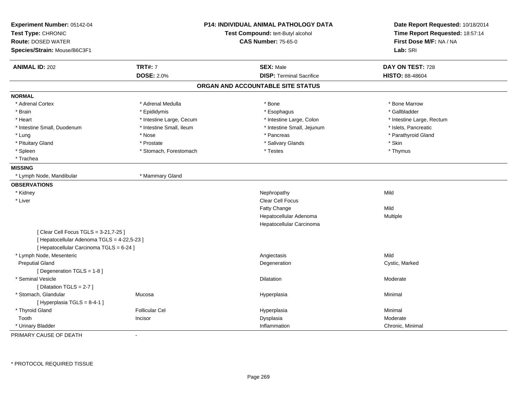| Experiment Number: 05142-04<br>Test Type: CHRONIC<br><b>Route: DOSED WATER</b><br>Species/Strain: Mouse/B6C3F1                   |                          | <b>P14: INDIVIDUAL ANIMAL PATHOLOGY DATA</b><br>Test Compound: tert-Butyl alcohol<br><b>CAS Number: 75-65-0</b> | Date Report Requested: 10/18/2014<br>Time Report Requested: 18:57:14<br>First Dose M/F: NA / NA<br>Lab: SRI |
|----------------------------------------------------------------------------------------------------------------------------------|--------------------------|-----------------------------------------------------------------------------------------------------------------|-------------------------------------------------------------------------------------------------------------|
|                                                                                                                                  | <b>TRT#: 7</b>           | <b>SEX: Male</b>                                                                                                | DAY ON TEST: 728                                                                                            |
| <b>ANIMAL ID: 202</b>                                                                                                            | <b>DOSE: 2.0%</b>        | <b>DISP: Terminal Sacrifice</b>                                                                                 | <b>HISTO: 88-48604</b>                                                                                      |
|                                                                                                                                  |                          |                                                                                                                 |                                                                                                             |
|                                                                                                                                  |                          | ORGAN AND ACCOUNTABLE SITE STATUS                                                                               |                                                                                                             |
| <b>NORMAL</b>                                                                                                                    |                          |                                                                                                                 |                                                                                                             |
| * Adrenal Cortex                                                                                                                 | * Adrenal Medulla        | * Bone                                                                                                          | * Bone Marrow                                                                                               |
| * Brain                                                                                                                          | * Epididymis             | * Esophagus                                                                                                     | * Gallbladder                                                                                               |
| * Heart                                                                                                                          | * Intestine Large, Cecum | * Intestine Large, Colon                                                                                        | * Intestine Large, Rectum                                                                                   |
| * Intestine Small, Duodenum                                                                                                      | * Intestine Small, Ileum | * Intestine Small, Jejunum                                                                                      | * Islets, Pancreatic                                                                                        |
| * Lung                                                                                                                           | * Nose                   | * Pancreas                                                                                                      | * Parathyroid Gland                                                                                         |
| * Pituitary Gland                                                                                                                | * Prostate               | * Salivary Glands                                                                                               | * Skin                                                                                                      |
| * Spleen                                                                                                                         | * Stomach, Forestomach   | * Testes                                                                                                        | * Thymus                                                                                                    |
| * Trachea                                                                                                                        |                          |                                                                                                                 |                                                                                                             |
| <b>MISSING</b>                                                                                                                   |                          |                                                                                                                 |                                                                                                             |
| * Lymph Node, Mandibular                                                                                                         | * Mammary Gland          |                                                                                                                 |                                                                                                             |
| <b>OBSERVATIONS</b>                                                                                                              |                          |                                                                                                                 |                                                                                                             |
| * Kidney                                                                                                                         |                          | Nephropathy                                                                                                     | Mild                                                                                                        |
| * Liver                                                                                                                          |                          | <b>Clear Cell Focus</b>                                                                                         |                                                                                                             |
|                                                                                                                                  |                          | Fatty Change                                                                                                    | Mild                                                                                                        |
|                                                                                                                                  |                          | Hepatocellular Adenoma                                                                                          | Multiple                                                                                                    |
|                                                                                                                                  |                          | Hepatocellular Carcinoma                                                                                        |                                                                                                             |
| [ Clear Cell Focus TGLS = 3-21,7-25 ]<br>[ Hepatocellular Adenoma TGLS = 4-22,5-23 ]<br>[ Hepatocellular Carcinoma TGLS = 6-24 ] |                          |                                                                                                                 |                                                                                                             |
| * Lymph Node, Mesenteric                                                                                                         |                          | Angiectasis                                                                                                     | Mild                                                                                                        |
| <b>Preputial Gland</b>                                                                                                           |                          | Degeneration                                                                                                    | Cystic, Marked                                                                                              |
| [Degeneration TGLS = 1-8]                                                                                                        |                          |                                                                                                                 |                                                                                                             |
| * Seminal Vesicle                                                                                                                |                          | <b>Dilatation</b>                                                                                               | Moderate                                                                                                    |
| [Dilatation TGLS = 2-7]                                                                                                          |                          |                                                                                                                 |                                                                                                             |
| * Stomach, Glandular                                                                                                             | Mucosa                   | Hyperplasia                                                                                                     | Minimal                                                                                                     |
| [Hyperplasia TGLS = $8-4-1$ ]                                                                                                    |                          |                                                                                                                 |                                                                                                             |
| * Thyroid Gland                                                                                                                  | <b>Follicular Cel</b>    | Hyperplasia                                                                                                     | Minimal                                                                                                     |
| Tooth                                                                                                                            | Incisor                  | Dysplasia                                                                                                       | Moderate                                                                                                    |
| * Urinary Bladder                                                                                                                |                          | Inflammation                                                                                                    | Chronic, Minimal                                                                                            |

PRIMARY CAUSE OF DEATH-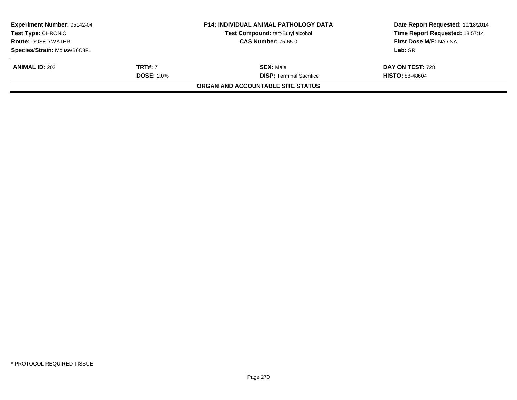| <b>Experiment Number: 05142-04</b><br>Test Type: CHRONIC |                   | <b>P14: INDIVIDUAL ANIMAL PATHOLOGY DATA</b><br><b>Test Compound: tert-Butyl alcohol</b> | Date Report Requested: 10/18/2014<br>Time Report Requested: 18:57:14 |
|----------------------------------------------------------|-------------------|------------------------------------------------------------------------------------------|----------------------------------------------------------------------|
| <b>Route: DOSED WATER</b>                                |                   | <b>CAS Number: 75-65-0</b>                                                               | First Dose M/F: NA / NA                                              |
| Species/Strain: Mouse/B6C3F1                             |                   |                                                                                          | Lab: SRI                                                             |
| <b>ANIMAL ID: 202</b>                                    | <b>TRT#:</b> 7    | <b>SEX: Male</b>                                                                         | DAY ON TEST: 728                                                     |
|                                                          | <b>DOSE: 2.0%</b> | <b>DISP:</b> Terminal Sacrifice                                                          | <b>HISTO: 88-48604</b>                                               |
|                                                          |                   | ORGAN AND ACCOUNTABLE SITE STATUS                                                        |                                                                      |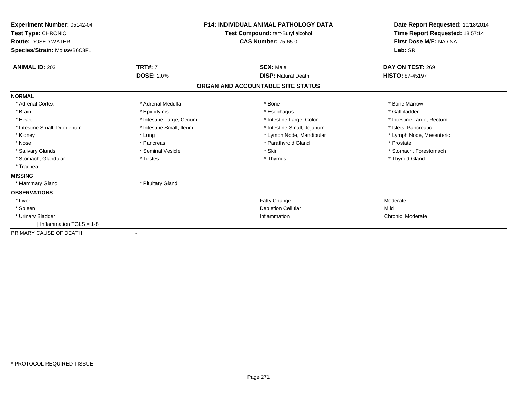| Experiment Number: 05142-04<br>Test Type: CHRONIC<br><b>Route: DOSED WATER</b><br>Species/Strain: Mouse/B6C3F1 |                          | <b>P14: INDIVIDUAL ANIMAL PATHOLOGY DATA</b><br>Test Compound: tert-Butyl alcohol<br><b>CAS Number: 75-65-0</b> | Date Report Requested: 10/18/2014<br>Time Report Requested: 18:57:14<br>First Dose M/F: NA / NA<br>Lab: SRI |
|----------------------------------------------------------------------------------------------------------------|--------------------------|-----------------------------------------------------------------------------------------------------------------|-------------------------------------------------------------------------------------------------------------|
| <b>ANIMAL ID: 203</b>                                                                                          | <b>TRT#: 7</b>           | <b>SEX: Male</b>                                                                                                | DAY ON TEST: 269                                                                                            |
|                                                                                                                | <b>DOSE: 2.0%</b>        | <b>DISP: Natural Death</b>                                                                                      | <b>HISTO: 87-45197</b>                                                                                      |
|                                                                                                                |                          | ORGAN AND ACCOUNTABLE SITE STATUS                                                                               |                                                                                                             |
| <b>NORMAL</b>                                                                                                  |                          |                                                                                                                 |                                                                                                             |
| * Adrenal Cortex                                                                                               | * Adrenal Medulla        | * Bone                                                                                                          | * Bone Marrow                                                                                               |
| * Brain                                                                                                        | * Epididymis             | * Esophagus                                                                                                     | * Gallbladder                                                                                               |
| * Heart                                                                                                        | * Intestine Large, Cecum | * Intestine Large, Colon                                                                                        | * Intestine Large, Rectum                                                                                   |
| * Intestine Small, Duodenum                                                                                    | * Intestine Small, Ileum | * Intestine Small, Jejunum                                                                                      | * Islets, Pancreatic                                                                                        |
| * Kidney                                                                                                       | * Lung                   | * Lymph Node, Mandibular                                                                                        | * Lymph Node, Mesenteric                                                                                    |
| * Nose                                                                                                         | * Pancreas               | * Parathyroid Gland                                                                                             | * Prostate                                                                                                  |
| * Salivary Glands                                                                                              | * Seminal Vesicle        | * Skin                                                                                                          | * Stomach, Forestomach                                                                                      |
| * Stomach, Glandular                                                                                           | * Testes                 | * Thymus                                                                                                        | * Thyroid Gland                                                                                             |
| * Trachea                                                                                                      |                          |                                                                                                                 |                                                                                                             |
| <b>MISSING</b>                                                                                                 |                          |                                                                                                                 |                                                                                                             |
| * Mammary Gland                                                                                                | * Pituitary Gland        |                                                                                                                 |                                                                                                             |
| <b>OBSERVATIONS</b>                                                                                            |                          |                                                                                                                 |                                                                                                             |
| * Liver                                                                                                        |                          | Fatty Change                                                                                                    | Moderate                                                                                                    |
| * Spleen                                                                                                       |                          | <b>Depletion Cellular</b>                                                                                       | Mild                                                                                                        |
| * Urinary Bladder                                                                                              |                          | Inflammation                                                                                                    | Chronic, Moderate                                                                                           |
| [ Inflammation TGLS = 1-8 ]                                                                                    |                          |                                                                                                                 |                                                                                                             |
| PRIMARY CAUSE OF DEATH                                                                                         |                          |                                                                                                                 |                                                                                                             |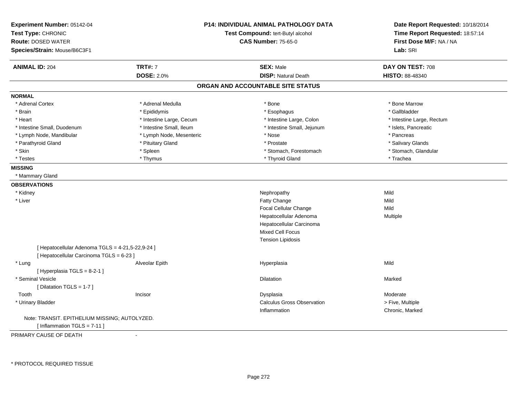| Experiment Number: 05142-04<br>Test Type: CHRONIC<br><b>Route: DOSED WATER</b><br>Species/Strain: Mouse/B6C3F1 |                          | <b>P14: INDIVIDUAL ANIMAL PATHOLOGY DATA</b><br>Test Compound: tert-Butyl alcohol<br><b>CAS Number: 75-65-0</b> |                           |
|----------------------------------------------------------------------------------------------------------------|--------------------------|-----------------------------------------------------------------------------------------------------------------|---------------------------|
|                                                                                                                |                          |                                                                                                                 | Lab: SRI                  |
| <b>ANIMAL ID: 204</b>                                                                                          | <b>TRT#: 7</b>           | <b>SEX: Male</b>                                                                                                | DAY ON TEST: 708          |
|                                                                                                                | <b>DOSE: 2.0%</b>        | <b>DISP: Natural Death</b>                                                                                      | HISTO: 88-48340           |
|                                                                                                                |                          | ORGAN AND ACCOUNTABLE SITE STATUS                                                                               |                           |
| <b>NORMAL</b>                                                                                                  |                          |                                                                                                                 |                           |
| * Adrenal Cortex                                                                                               | * Adrenal Medulla        | * Bone                                                                                                          | * Bone Marrow             |
| * Brain                                                                                                        | * Epididymis             | * Esophagus                                                                                                     | * Gallbladder             |
| * Heart                                                                                                        | * Intestine Large, Cecum | * Intestine Large, Colon                                                                                        | * Intestine Large, Rectum |
| * Intestine Small, Duodenum                                                                                    | * Intestine Small, Ileum | * Intestine Small, Jejunum                                                                                      | * Islets, Pancreatic      |
| * Lymph Node, Mandibular                                                                                       | * Lymph Node, Mesenteric | * Nose                                                                                                          | * Pancreas                |
| * Parathyroid Gland                                                                                            | * Pituitary Gland        | * Prostate                                                                                                      | * Salivary Glands         |
| * Skin                                                                                                         | * Spleen                 | * Stomach, Forestomach                                                                                          | * Stomach, Glandular      |
| * Testes                                                                                                       | * Thymus                 | * Thyroid Gland                                                                                                 | * Trachea                 |
| <b>MISSING</b>                                                                                                 |                          |                                                                                                                 |                           |
| * Mammary Gland                                                                                                |                          |                                                                                                                 |                           |
| <b>OBSERVATIONS</b>                                                                                            |                          |                                                                                                                 |                           |
| * Kidney                                                                                                       |                          | Nephropathy                                                                                                     | Mild                      |
| * Liver                                                                                                        |                          | Fatty Change                                                                                                    | Mild                      |
|                                                                                                                |                          | <b>Focal Cellular Change</b>                                                                                    | Mild                      |
|                                                                                                                |                          | Hepatocellular Adenoma                                                                                          | <b>Multiple</b>           |
|                                                                                                                |                          | Hepatocellular Carcinoma                                                                                        |                           |
|                                                                                                                |                          | Mixed Cell Focus                                                                                                |                           |
|                                                                                                                |                          | <b>Tension Lipidosis</b>                                                                                        |                           |
| [ Hepatocellular Adenoma TGLS = 4-21,5-22,9-24 ]                                                               |                          |                                                                                                                 |                           |
| [ Hepatocellular Carcinoma TGLS = 6-23 ]                                                                       |                          |                                                                                                                 |                           |
| * Lung                                                                                                         | Alveolar Epith           | Hyperplasia                                                                                                     | Mild                      |
| [ Hyperplasia TGLS = 8-2-1 ]                                                                                   |                          |                                                                                                                 |                           |
| * Seminal Vesicle                                                                                              |                          | Dilatation                                                                                                      | Marked                    |
| [ Dilatation TGLS = 1-7 ]                                                                                      |                          |                                                                                                                 |                           |
| Tooth                                                                                                          | Incisor                  | Dysplasia                                                                                                       | Moderate                  |
| * Urinary Bladder                                                                                              |                          | <b>Calculus Gross Observation</b>                                                                               | > Five, Multiple          |
|                                                                                                                |                          | Inflammation                                                                                                    | Chronic, Marked           |
| Note: TRANSIT. EPITHELIUM MISSING; AUTOLYZED.                                                                  |                          |                                                                                                                 |                           |
| [Inflammation TGLS = 7-11]                                                                                     |                          |                                                                                                                 |                           |

PRIMARY CAUSE OF DEATH-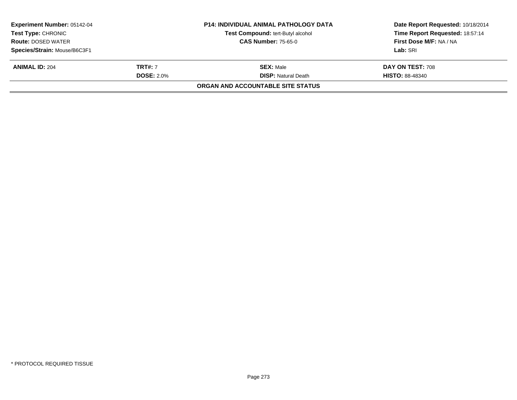| <b>Experiment Number: 05142-04</b><br><b>Test Type: CHRONIC</b><br><b>Route: DOSED WATER</b> |                   | <b>P14: INDIVIDUAL ANIMAL PATHOLOGY DATA</b><br>Test Compound: tert-Butyl alcohol | Date Report Requested: 10/18/2014<br>Time Report Requested: 18:57:14 |
|----------------------------------------------------------------------------------------------|-------------------|-----------------------------------------------------------------------------------|----------------------------------------------------------------------|
|                                                                                              |                   | <b>CAS Number: 75-65-0</b>                                                        | First Dose M/F: NA / NA                                              |
| Species/Strain: Mouse/B6C3F1                                                                 |                   |                                                                                   | Lab: SRI                                                             |
| <b>ANIMAL ID: 204</b>                                                                        | <b>TRT#: 7</b>    | <b>SEX: Male</b>                                                                  | <b>DAY ON TEST: 708</b>                                              |
|                                                                                              | <b>DOSE: 2.0%</b> | <b>DISP: Natural Death</b>                                                        | <b>HISTO: 88-48340</b>                                               |
|                                                                                              |                   | ORGAN AND ACCOUNTABLE SITE STATUS                                                 |                                                                      |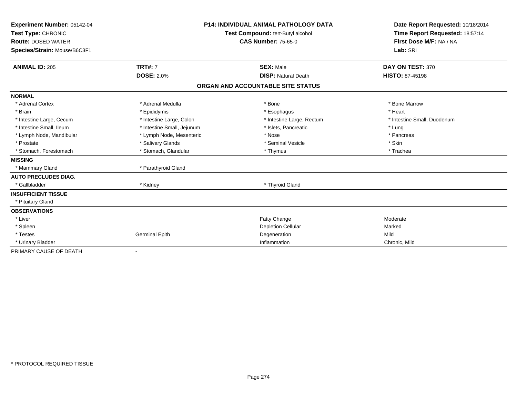| Experiment Number: 05142-04<br>Test Type: CHRONIC<br><b>Route: DOSED WATER</b><br>Species/Strain: Mouse/B6C3F1<br><b>ANIMAL ID: 205</b> | <b>TRT#: 7</b>             | P14: INDIVIDUAL ANIMAL PATHOLOGY DATA<br>Test Compound: tert-Butyl alcohol<br><b>CAS Number: 75-65-0</b><br><b>SEX: Male</b> | Date Report Requested: 10/18/2014<br>Time Report Requested: 18:57:14<br>First Dose M/F: NA / NA<br>Lab: SRI<br>DAY ON TEST: 370 |
|-----------------------------------------------------------------------------------------------------------------------------------------|----------------------------|------------------------------------------------------------------------------------------------------------------------------|---------------------------------------------------------------------------------------------------------------------------------|
|                                                                                                                                         | <b>DOSE: 2.0%</b>          | <b>DISP: Natural Death</b>                                                                                                   | HISTO: 87-45198                                                                                                                 |
|                                                                                                                                         |                            | ORGAN AND ACCOUNTABLE SITE STATUS                                                                                            |                                                                                                                                 |
| <b>NORMAL</b>                                                                                                                           |                            |                                                                                                                              |                                                                                                                                 |
| * Adrenal Cortex                                                                                                                        | * Adrenal Medulla          | * Bone                                                                                                                       | * Bone Marrow                                                                                                                   |
| * Brain                                                                                                                                 | * Epididymis               | * Esophagus                                                                                                                  | * Heart                                                                                                                         |
| * Intestine Large, Cecum                                                                                                                | * Intestine Large, Colon   | * Intestine Large, Rectum                                                                                                    | * Intestine Small, Duodenum                                                                                                     |
| * Intestine Small, Ileum                                                                                                                | * Intestine Small, Jejunum | * Islets, Pancreatic                                                                                                         | * Lung                                                                                                                          |
| * Lymph Node, Mandibular                                                                                                                | * Lymph Node, Mesenteric   | * Nose                                                                                                                       | * Pancreas                                                                                                                      |
| * Prostate                                                                                                                              | * Salivary Glands          | * Seminal Vesicle                                                                                                            | * Skin                                                                                                                          |
| * Stomach, Forestomach                                                                                                                  | * Stomach, Glandular       | * Thymus                                                                                                                     | * Trachea                                                                                                                       |
| <b>MISSING</b>                                                                                                                          |                            |                                                                                                                              |                                                                                                                                 |
| * Mammary Gland                                                                                                                         | * Parathyroid Gland        |                                                                                                                              |                                                                                                                                 |
| <b>AUTO PRECLUDES DIAG.</b>                                                                                                             |                            |                                                                                                                              |                                                                                                                                 |
| * Gallbladder                                                                                                                           | * Kidney                   | * Thyroid Gland                                                                                                              |                                                                                                                                 |
| <b>INSUFFICIENT TISSUE</b>                                                                                                              |                            |                                                                                                                              |                                                                                                                                 |
| * Pituitary Gland                                                                                                                       |                            |                                                                                                                              |                                                                                                                                 |
| <b>OBSERVATIONS</b>                                                                                                                     |                            |                                                                                                                              |                                                                                                                                 |
| * Liver                                                                                                                                 |                            | Fatty Change                                                                                                                 | Moderate                                                                                                                        |
| * Spleen                                                                                                                                |                            | <b>Depletion Cellular</b>                                                                                                    | Marked                                                                                                                          |
| * Testes                                                                                                                                | <b>Germinal Epith</b>      | Degeneration                                                                                                                 | Mild                                                                                                                            |
| * Urinary Bladder                                                                                                                       |                            | Inflammation                                                                                                                 | Chronic, Mild                                                                                                                   |
| PRIMARY CAUSE OF DEATH                                                                                                                  |                            |                                                                                                                              |                                                                                                                                 |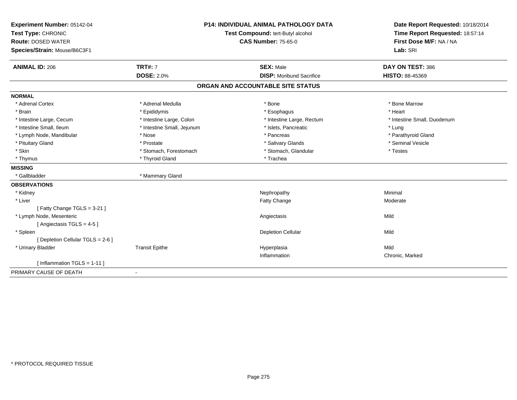| Experiment Number: 05142-04       | <b>P14: INDIVIDUAL ANIMAL PATHOLOGY DATA</b> |                                   | Date Report Requested: 10/18/2014                          |
|-----------------------------------|----------------------------------------------|-----------------------------------|------------------------------------------------------------|
| Test Type: CHRONIC                |                                              | Test Compound: tert-Butyl alcohol | Time Report Requested: 18:57:14<br>First Dose M/F: NA / NA |
| <b>Route: DOSED WATER</b>         |                                              | <b>CAS Number: 75-65-0</b>        |                                                            |
| Species/Strain: Mouse/B6C3F1      |                                              |                                   | Lab: SRI                                                   |
| <b>ANIMAL ID: 206</b>             | <b>TRT#: 7</b>                               | <b>SEX: Male</b>                  | DAY ON TEST: 386                                           |
|                                   | <b>DOSE: 2.0%</b>                            | <b>DISP:</b> Moribund Sacrifice   | <b>HISTO: 88-45369</b>                                     |
|                                   |                                              | ORGAN AND ACCOUNTABLE SITE STATUS |                                                            |
| <b>NORMAL</b>                     |                                              |                                   |                                                            |
| * Adrenal Cortex                  | * Adrenal Medulla                            | * Bone                            | * Bone Marrow                                              |
| * Brain                           | * Epididymis                                 | * Esophagus                       | * Heart                                                    |
| * Intestine Large, Cecum          | * Intestine Large, Colon                     | * Intestine Large, Rectum         | * Intestine Small, Duodenum                                |
| * Intestine Small, Ileum          | * Intestine Small, Jejunum                   | * Islets, Pancreatic              | * Lung                                                     |
| * Lymph Node, Mandibular          | * Nose                                       | * Pancreas                        | * Parathyroid Gland                                        |
| * Pituitary Gland                 | * Prostate                                   | * Salivary Glands                 | * Seminal Vesicle                                          |
| * Skin                            | * Stomach, Forestomach                       | * Stomach, Glandular              | * Testes                                                   |
| * Thymus                          | * Thyroid Gland                              | * Trachea                         |                                                            |
| <b>MISSING</b>                    |                                              |                                   |                                                            |
| * Gallbladder                     | * Mammary Gland                              |                                   |                                                            |
| <b>OBSERVATIONS</b>               |                                              |                                   |                                                            |
| * Kidney                          |                                              | Nephropathy                       | Minimal                                                    |
| * Liver                           |                                              | Fatty Change                      | Moderate                                                   |
| [Fatty Change TGLS = 3-21]        |                                              |                                   |                                                            |
| * Lymph Node, Mesenteric          |                                              | Angiectasis                       | Mild                                                       |
| [Angiectasis TGLS = 4-5]          |                                              |                                   |                                                            |
| * Spleen                          |                                              | <b>Depletion Cellular</b>         | Mild                                                       |
| [ Depletion Cellular TGLS = 2-6 ] |                                              |                                   |                                                            |
| * Urinary Bladder                 | <b>Transit Epithe</b>                        | Hyperplasia                       | Mild                                                       |
|                                   |                                              | Inflammation                      | Chronic, Marked                                            |
| [Inflammation TGLS = 1-11]        |                                              |                                   |                                                            |
| PRIMARY CAUSE OF DEATH            |                                              |                                   |                                                            |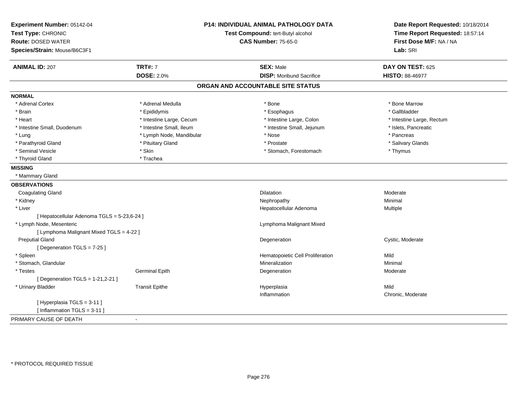| Experiment Number: 05142-04<br>Test Type: CHRONIC<br><b>Route: DOSED WATER</b><br>Species/Strain: Mouse/B6C3F1 | P14: INDIVIDUAL ANIMAL PATHOLOGY DATA<br>Test Compound: tert-Butyl alcohol<br><b>CAS Number: 75-65-0</b> |                                   | Date Report Requested: 10/18/2014<br>Time Report Requested: 18:57:14<br>First Dose M/F: NA / NA<br>Lab: SRI |
|----------------------------------------------------------------------------------------------------------------|----------------------------------------------------------------------------------------------------------|-----------------------------------|-------------------------------------------------------------------------------------------------------------|
| <b>ANIMAL ID: 207</b>                                                                                          | <b>TRT#: 7</b>                                                                                           | <b>SEX: Male</b>                  | DAY ON TEST: 625                                                                                            |
|                                                                                                                | <b>DOSE: 2.0%</b>                                                                                        | <b>DISP:</b> Moribund Sacrifice   | <b>HISTO: 88-46977</b>                                                                                      |
|                                                                                                                |                                                                                                          | ORGAN AND ACCOUNTABLE SITE STATUS |                                                                                                             |
| <b>NORMAL</b>                                                                                                  |                                                                                                          |                                   |                                                                                                             |
| * Adrenal Cortex                                                                                               | * Adrenal Medulla                                                                                        | * Bone                            | * Bone Marrow                                                                                               |
| * Brain                                                                                                        | * Epididymis                                                                                             | * Esophagus                       | * Gallbladder                                                                                               |
| * Heart                                                                                                        | * Intestine Large, Cecum                                                                                 | * Intestine Large, Colon          | * Intestine Large, Rectum                                                                                   |
| * Intestine Small, Duodenum                                                                                    | * Intestine Small, Ileum                                                                                 | * Intestine Small, Jejunum        | * Islets, Pancreatic                                                                                        |
| * Lung                                                                                                         | * Lymph Node, Mandibular                                                                                 | * Nose                            | * Pancreas                                                                                                  |
| * Parathyroid Gland                                                                                            | * Pituitary Gland                                                                                        | * Prostate                        | * Salivary Glands                                                                                           |
| * Seminal Vesicle                                                                                              | * Skin                                                                                                   | * Stomach, Forestomach            | * Thymus                                                                                                    |
| * Thyroid Gland                                                                                                | * Trachea                                                                                                |                                   |                                                                                                             |
| <b>MISSING</b>                                                                                                 |                                                                                                          |                                   |                                                                                                             |
| * Mammary Gland                                                                                                |                                                                                                          |                                   |                                                                                                             |
| <b>OBSERVATIONS</b>                                                                                            |                                                                                                          |                                   |                                                                                                             |
| <b>Coagulating Gland</b>                                                                                       |                                                                                                          | <b>Dilatation</b>                 | Moderate                                                                                                    |
| * Kidney                                                                                                       |                                                                                                          | Nephropathy                       | Minimal                                                                                                     |
| * Liver                                                                                                        |                                                                                                          | Hepatocellular Adenoma            | Multiple                                                                                                    |
| [ Hepatocellular Adenoma TGLS = 5-23,6-24 ]                                                                    |                                                                                                          |                                   |                                                                                                             |
| * Lymph Node, Mesenteric                                                                                       |                                                                                                          | Lymphoma Malignant Mixed          |                                                                                                             |
| [ Lymphoma Malignant Mixed TGLS = 4-22 ]                                                                       |                                                                                                          |                                   |                                                                                                             |
| <b>Preputial Gland</b>                                                                                         |                                                                                                          | Degeneration                      | Cystic, Moderate                                                                                            |
| [Degeneration TGLS = 7-25]                                                                                     |                                                                                                          |                                   |                                                                                                             |
| * Spleen                                                                                                       |                                                                                                          | Hematopoietic Cell Proliferation  | Mild                                                                                                        |
| * Stomach, Glandular                                                                                           |                                                                                                          | Mineralization                    | Minimal                                                                                                     |
| * Testes                                                                                                       | <b>Germinal Epith</b>                                                                                    | Degeneration                      | Moderate                                                                                                    |
| [ Degeneration TGLS = $1-21,2-21$ ]                                                                            |                                                                                                          |                                   |                                                                                                             |
| * Urinary Bladder                                                                                              | <b>Transit Epithe</b>                                                                                    | Hyperplasia                       | Mild                                                                                                        |
|                                                                                                                |                                                                                                          | Inflammation                      | Chronic, Moderate                                                                                           |
| [Hyperplasia TGLS = 3-11]<br>[Inflammation TGLS = 3-11]                                                        |                                                                                                          |                                   |                                                                                                             |
| PRIMARY CAUSE OF DEATH                                                                                         | $\blacksquare$                                                                                           |                                   |                                                                                                             |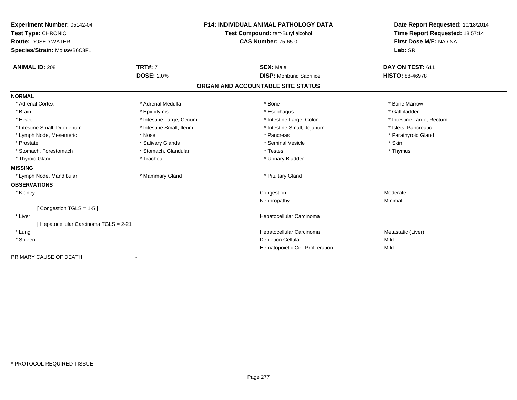| Experiment Number: 05142-04<br>Test Type: CHRONIC<br><b>Route: DOSED WATER</b> |                          | <b>P14: INDIVIDUAL ANIMAL PATHOLOGY DATA</b> | Date Report Requested: 10/18/2014 |  |
|--------------------------------------------------------------------------------|--------------------------|----------------------------------------------|-----------------------------------|--|
|                                                                                |                          | Test Compound: tert-Butyl alcohol            | Time Report Requested: 18:57:14   |  |
|                                                                                |                          | <b>CAS Number: 75-65-0</b>                   | First Dose M/F: NA / NA           |  |
| Species/Strain: Mouse/B6C3F1                                                   |                          |                                              | Lab: SRI                          |  |
| <b>ANIMAL ID: 208</b>                                                          | <b>TRT#: 7</b>           | <b>SEX: Male</b>                             | DAY ON TEST: 611                  |  |
|                                                                                | <b>DOSE: 2.0%</b>        | <b>DISP:</b> Moribund Sacrifice              | <b>HISTO: 88-46978</b>            |  |
|                                                                                |                          | ORGAN AND ACCOUNTABLE SITE STATUS            |                                   |  |
| <b>NORMAL</b>                                                                  |                          |                                              |                                   |  |
| * Adrenal Cortex                                                               | * Adrenal Medulla        | * Bone                                       | * Bone Marrow                     |  |
| * Brain                                                                        | * Epididymis             | * Esophagus                                  | * Gallbladder                     |  |
| * Heart                                                                        | * Intestine Large, Cecum | * Intestine Large, Colon                     | * Intestine Large, Rectum         |  |
| * Intestine Small, Duodenum                                                    | * Intestine Small, Ileum | * Intestine Small, Jejunum                   | * Islets, Pancreatic              |  |
| * Lymph Node, Mesenteric                                                       | * Nose                   | * Pancreas                                   | * Parathyroid Gland               |  |
| * Prostate                                                                     | * Salivary Glands        | * Seminal Vesicle                            | * Skin                            |  |
| * Stomach, Forestomach                                                         | * Stomach, Glandular     | * Testes                                     | * Thymus                          |  |
| * Thyroid Gland                                                                | * Trachea                | * Urinary Bladder                            |                                   |  |
| <b>MISSING</b>                                                                 |                          |                                              |                                   |  |
| * Lymph Node, Mandibular                                                       | * Mammary Gland          | * Pituitary Gland                            |                                   |  |
| <b>OBSERVATIONS</b>                                                            |                          |                                              |                                   |  |
| * Kidney                                                                       |                          | Congestion                                   | Moderate                          |  |
|                                                                                |                          | Nephropathy                                  | Minimal                           |  |
| [Congestion TGLS = 1-5]                                                        |                          |                                              |                                   |  |
| * Liver                                                                        |                          | Hepatocellular Carcinoma                     |                                   |  |
| [ Hepatocellular Carcinoma TGLS = 2-21 ]                                       |                          |                                              |                                   |  |
| * Lung                                                                         |                          | Hepatocellular Carcinoma                     | Metastatic (Liver)                |  |
| * Spleen                                                                       |                          | <b>Depletion Cellular</b>                    | Mild                              |  |
|                                                                                |                          | Hematopoietic Cell Proliferation             | Mild                              |  |
| PRIMARY CAUSE OF DEATH                                                         |                          |                                              |                                   |  |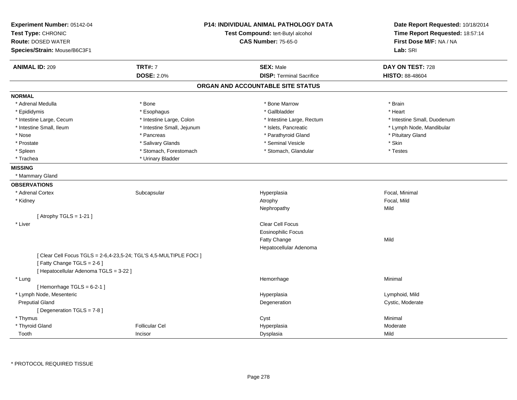| Experiment Number: 05142-04<br>Test Type: CHRONIC<br><b>Route: DOSED WATER</b><br>Species/Strain: Mouse/B6C3F1 |                                                                    | <b>P14: INDIVIDUAL ANIMAL PATHOLOGY DATA</b><br>Test Compound: tert-Butyl alcohol<br><b>CAS Number: 75-65-0</b> | Date Report Requested: 10/18/2014<br>Time Report Requested: 18:57:14<br>First Dose M/F: NA / NA<br>Lab: SRI |
|----------------------------------------------------------------------------------------------------------------|--------------------------------------------------------------------|-----------------------------------------------------------------------------------------------------------------|-------------------------------------------------------------------------------------------------------------|
| <b>ANIMAL ID: 209</b>                                                                                          | <b>TRT#: 7</b>                                                     | <b>SEX: Male</b>                                                                                                | DAY ON TEST: 728                                                                                            |
|                                                                                                                | <b>DOSE: 2.0%</b>                                                  | <b>DISP: Terminal Sacrifice</b>                                                                                 | <b>HISTO: 88-48604</b>                                                                                      |
|                                                                                                                |                                                                    | ORGAN AND ACCOUNTABLE SITE STATUS                                                                               |                                                                                                             |
| <b>NORMAL</b>                                                                                                  |                                                                    |                                                                                                                 |                                                                                                             |
| * Adrenal Medulla                                                                                              | * Bone                                                             | * Bone Marrow                                                                                                   | * Brain                                                                                                     |
| * Epididymis                                                                                                   | * Esophagus                                                        | * Gallbladder                                                                                                   | * Heart                                                                                                     |
| * Intestine Large, Cecum                                                                                       | * Intestine Large, Colon                                           | * Intestine Large, Rectum                                                                                       | * Intestine Small, Duodenum                                                                                 |
| * Intestine Small, Ileum                                                                                       | * Intestine Small, Jejunum                                         | * Islets, Pancreatic                                                                                            | * Lymph Node, Mandibular                                                                                    |
| * Nose                                                                                                         | * Pancreas                                                         | * Parathyroid Gland                                                                                             | * Pituitary Gland                                                                                           |
| * Prostate                                                                                                     | * Salivary Glands                                                  | * Seminal Vesicle                                                                                               | * Skin                                                                                                      |
| * Spleen                                                                                                       | * Stomach, Forestomach                                             | * Stomach, Glandular                                                                                            | * Testes                                                                                                    |
| * Trachea                                                                                                      | * Urinary Bladder                                                  |                                                                                                                 |                                                                                                             |
| <b>MISSING</b>                                                                                                 |                                                                    |                                                                                                                 |                                                                                                             |
| * Mammary Gland                                                                                                |                                                                    |                                                                                                                 |                                                                                                             |
| <b>OBSERVATIONS</b>                                                                                            |                                                                    |                                                                                                                 |                                                                                                             |
| * Adrenal Cortex                                                                                               | Subcapsular                                                        | Hyperplasia                                                                                                     | Focal, Minimal                                                                                              |
| * Kidney                                                                                                       |                                                                    | Atrophy                                                                                                         | Focal, Mild                                                                                                 |
|                                                                                                                |                                                                    | Nephropathy                                                                                                     | Mild                                                                                                        |
| [Atrophy TGLS = $1-21$ ]                                                                                       |                                                                    |                                                                                                                 |                                                                                                             |
| * Liver                                                                                                        |                                                                    | <b>Clear Cell Focus</b>                                                                                         |                                                                                                             |
|                                                                                                                |                                                                    | <b>Eosinophilic Focus</b>                                                                                       |                                                                                                             |
|                                                                                                                |                                                                    | Fatty Change                                                                                                    | Mild                                                                                                        |
|                                                                                                                |                                                                    | Hepatocellular Adenoma                                                                                          |                                                                                                             |
| [Fatty Change TGLS = 2-6]                                                                                      | [ Clear Cell Focus TGLS = 2-6,4-23,5-24; TGL'S 4,5-MULTIPLE FOCI ] |                                                                                                                 |                                                                                                             |
| [ Hepatocellular Adenoma TGLS = 3-22 ]                                                                         |                                                                    |                                                                                                                 |                                                                                                             |
| * Lung                                                                                                         |                                                                    | Hemorrhage                                                                                                      | Minimal                                                                                                     |
| [Hemorrhage TGLS = $6-2-1$ ]                                                                                   |                                                                    |                                                                                                                 |                                                                                                             |
| * Lymph Node, Mesenteric                                                                                       |                                                                    | Hyperplasia                                                                                                     | Lymphoid, Mild                                                                                              |
| <b>Preputial Gland</b>                                                                                         |                                                                    | Degeneration                                                                                                    | Cystic, Moderate                                                                                            |
| [ Degeneration TGLS = 7-8 ]                                                                                    |                                                                    |                                                                                                                 |                                                                                                             |
| * Thymus                                                                                                       |                                                                    | Cyst                                                                                                            | Minimal                                                                                                     |
| * Thyroid Gland                                                                                                | <b>Follicular Cel</b>                                              | Hyperplasia                                                                                                     | Moderate                                                                                                    |
| Tooth                                                                                                          | Incisor                                                            | Dysplasia                                                                                                       | Mild                                                                                                        |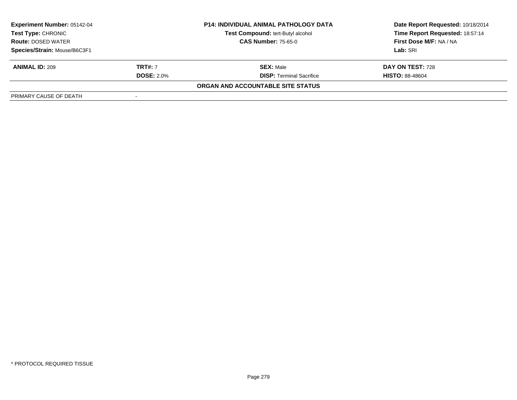| <b>P14: INDIVIDUAL ANIMAL PATHOLOGY DATA</b><br><b>Experiment Number: 05142-04</b><br>Test Compound: tert-Butyl alcohol<br>Test Type: CHRONIC<br><b>CAS Number: 75-65-0</b><br><b>Route: DOSED WATER</b> |                   |                                   | Date Report Requested: 10/18/2014 |  |
|----------------------------------------------------------------------------------------------------------------------------------------------------------------------------------------------------------|-------------------|-----------------------------------|-----------------------------------|--|
|                                                                                                                                                                                                          |                   |                                   | Time Report Requested: 18:57:14   |  |
|                                                                                                                                                                                                          |                   |                                   | First Dose M/F: NA / NA           |  |
| Species/Strain: Mouse/B6C3F1                                                                                                                                                                             |                   |                                   | Lab: SRI                          |  |
| <b>ANIMAL ID: 209</b>                                                                                                                                                                                    | <b>TRT#:</b> 7    | <b>SEX: Male</b>                  | DAY ON TEST: 728                  |  |
|                                                                                                                                                                                                          | <b>DOSE: 2.0%</b> | <b>DISP:</b> Terminal Sacrifice   | <b>HISTO: 88-48604</b>            |  |
|                                                                                                                                                                                                          |                   | ORGAN AND ACCOUNTABLE SITE STATUS |                                   |  |
| PRIMARY CAUSE OF DEATH                                                                                                                                                                                   |                   |                                   |                                   |  |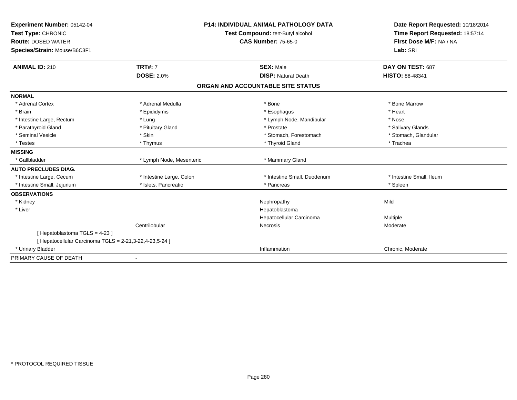| Experiment Number: 05142-04                             |                          | <b>P14: INDIVIDUAL ANIMAL PATHOLOGY DATA</b> | Date Report Requested: 10/18/2014 |
|---------------------------------------------------------|--------------------------|----------------------------------------------|-----------------------------------|
| Test Type: CHRONIC                                      |                          | Test Compound: tert-Butyl alcohol            | Time Report Requested: 18:57:14   |
| <b>Route: DOSED WATER</b>                               |                          | <b>CAS Number: 75-65-0</b>                   | First Dose M/F: NA / NA           |
| Species/Strain: Mouse/B6C3F1                            |                          |                                              | Lab: SRI                          |
| <b>ANIMAL ID: 210</b>                                   | <b>TRT#: 7</b>           | <b>SEX: Male</b>                             | DAY ON TEST: 687                  |
|                                                         | <b>DOSE: 2.0%</b>        | <b>DISP: Natural Death</b>                   | HISTO: 88-48341                   |
|                                                         |                          | ORGAN AND ACCOUNTABLE SITE STATUS            |                                   |
| <b>NORMAL</b>                                           |                          |                                              |                                   |
| * Adrenal Cortex                                        | * Adrenal Medulla        | * Bone                                       | * Bone Marrow                     |
| * Brain                                                 | * Epididymis             | * Esophagus                                  | * Heart                           |
| * Intestine Large, Rectum                               | * Lung                   | * Lymph Node, Mandibular                     | * Nose                            |
| * Parathyroid Gland                                     | * Pituitary Gland        | * Prostate                                   | * Salivary Glands                 |
| * Seminal Vesicle                                       | * Skin                   | * Stomach, Forestomach                       | * Stomach, Glandular              |
| * Testes                                                | * Thymus                 | * Thyroid Gland                              | * Trachea                         |
| <b>MISSING</b>                                          |                          |                                              |                                   |
| * Gallbladder                                           | * Lymph Node, Mesenteric | * Mammary Gland                              |                                   |
| <b>AUTO PRECLUDES DIAG.</b>                             |                          |                                              |                                   |
| * Intestine Large, Cecum                                | * Intestine Large, Colon | * Intestine Small, Duodenum                  | * Intestine Small, Ileum          |
| * Intestine Small, Jejunum                              | * Islets, Pancreatic     | * Pancreas                                   | * Spleen                          |
| <b>OBSERVATIONS</b>                                     |                          |                                              |                                   |
| * Kidney                                                |                          | Nephropathy                                  | Mild                              |
| * Liver                                                 |                          | Hepatoblastoma                               |                                   |
|                                                         |                          | Hepatocellular Carcinoma                     | Multiple                          |
|                                                         | Centrilobular            | <b>Necrosis</b>                              | Moderate                          |
| [Hepatoblastoma TGLS = 4-23]                            |                          |                                              |                                   |
| [ Hepatocellular Carcinoma TGLS = 2-21,3-22,4-23,5-24 ] |                          |                                              |                                   |
| * Urinary Bladder                                       |                          | Inflammation                                 | Chronic, Moderate                 |
| PRIMARY CAUSE OF DEATH                                  |                          |                                              |                                   |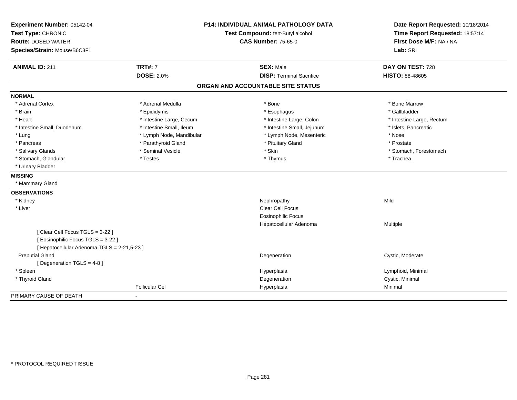| Experiment Number: 05142-04                 | <b>P14: INDIVIDUAL ANIMAL PATHOLOGY DATA</b><br>Test Compound: tert-Butyl alcohol |                                   | Date Report Requested: 10/18/2014 |
|---------------------------------------------|-----------------------------------------------------------------------------------|-----------------------------------|-----------------------------------|
| Test Type: CHRONIC                          |                                                                                   |                                   | Time Report Requested: 18:57:14   |
| <b>Route: DOSED WATER</b>                   |                                                                                   | <b>CAS Number: 75-65-0</b>        | First Dose M/F: NA / NA           |
| Species/Strain: Mouse/B6C3F1                |                                                                                   |                                   | Lab: SRI                          |
| <b>ANIMAL ID: 211</b>                       | <b>TRT#: 7</b>                                                                    | <b>SEX: Male</b>                  | DAY ON TEST: 728                  |
|                                             | <b>DOSE: 2.0%</b>                                                                 | <b>DISP: Terminal Sacrifice</b>   | HISTO: 88-48605                   |
|                                             |                                                                                   | ORGAN AND ACCOUNTABLE SITE STATUS |                                   |
| <b>NORMAL</b>                               |                                                                                   |                                   |                                   |
| * Adrenal Cortex                            | * Adrenal Medulla                                                                 | * Bone                            | * Bone Marrow                     |
| * Brain                                     | * Epididymis                                                                      | * Esophagus                       | * Gallbladder                     |
| * Heart                                     | * Intestine Large, Cecum                                                          | * Intestine Large, Colon          | * Intestine Large, Rectum         |
| * Intestine Small, Duodenum                 | * Intestine Small, Ileum                                                          | * Intestine Small, Jejunum        | * Islets, Pancreatic              |
| * Lung                                      | * Lymph Node, Mandibular                                                          | * Lymph Node, Mesenteric          | * Nose                            |
| * Pancreas                                  | * Parathyroid Gland                                                               | * Pituitary Gland                 | * Prostate                        |
| * Salivary Glands                           | * Seminal Vesicle                                                                 | * Skin                            | * Stomach, Forestomach            |
| * Stomach, Glandular                        | * Testes                                                                          | * Thymus                          | * Trachea                         |
| * Urinary Bladder                           |                                                                                   |                                   |                                   |
| <b>MISSING</b>                              |                                                                                   |                                   |                                   |
| * Mammary Gland                             |                                                                                   |                                   |                                   |
| <b>OBSERVATIONS</b>                         |                                                                                   |                                   |                                   |
| * Kidney                                    |                                                                                   | Nephropathy                       | Mild                              |
| * Liver                                     |                                                                                   | <b>Clear Cell Focus</b>           |                                   |
|                                             |                                                                                   | <b>Eosinophilic Focus</b>         |                                   |
|                                             |                                                                                   | Hepatocellular Adenoma            | Multiple                          |
| [Clear Cell Focus TGLS = 3-22]              |                                                                                   |                                   |                                   |
| [Eosinophilic Focus TGLS = 3-22]            |                                                                                   |                                   |                                   |
| [ Hepatocellular Adenoma TGLS = 2-21,5-23 ] |                                                                                   |                                   |                                   |
| <b>Preputial Gland</b>                      |                                                                                   | Degeneration                      | Cystic, Moderate                  |
| [ Degeneration TGLS = 4-8 ]                 |                                                                                   |                                   |                                   |
| * Spleen                                    |                                                                                   | Hyperplasia                       | Lymphoid, Minimal                 |
| * Thyroid Gland                             |                                                                                   | Degeneration                      | Cystic, Minimal                   |
|                                             | <b>Follicular Cel</b>                                                             | Hyperplasia                       | Minimal                           |
| PRIMARY CAUSE OF DEATH                      |                                                                                   |                                   |                                   |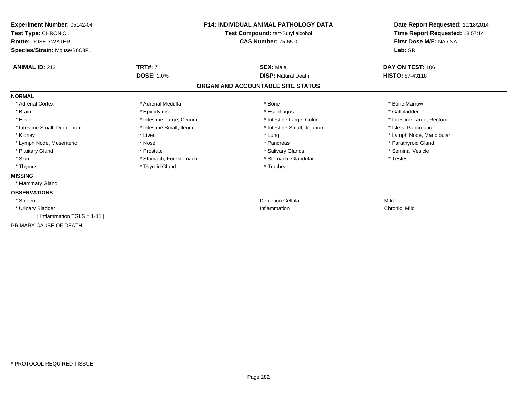| Experiment Number: 05142-04<br>Test Type: CHRONIC<br><b>Route: DOSED WATER</b><br>Species/Strain: Mouse/B6C3F1 | <b>P14: INDIVIDUAL ANIMAL PATHOLOGY DATA</b><br>Test Compound: tert-Butyl alcohol<br><b>CAS Number: 75-65-0</b> |                                   | Date Report Requested: 10/18/2014<br>Time Report Requested: 18:57:14<br>First Dose M/F: NA / NA<br>Lab: SRI |
|----------------------------------------------------------------------------------------------------------------|-----------------------------------------------------------------------------------------------------------------|-----------------------------------|-------------------------------------------------------------------------------------------------------------|
| <b>ANIMAL ID: 212</b>                                                                                          | <b>TRT#: 7</b>                                                                                                  | <b>SEX: Male</b>                  | <b>DAY ON TEST: 106</b>                                                                                     |
|                                                                                                                | <b>DOSE: 2.0%</b>                                                                                               | <b>DISP: Natural Death</b>        | <b>HISTO: 87-43118</b>                                                                                      |
|                                                                                                                |                                                                                                                 | ORGAN AND ACCOUNTABLE SITE STATUS |                                                                                                             |
| <b>NORMAL</b>                                                                                                  |                                                                                                                 |                                   |                                                                                                             |
| * Adrenal Cortex                                                                                               | * Adrenal Medulla                                                                                               | * Bone                            | * Bone Marrow                                                                                               |
| * Brain                                                                                                        | * Epididymis                                                                                                    | * Esophagus                       | * Gallbladder                                                                                               |
| * Heart                                                                                                        | * Intestine Large, Cecum                                                                                        | * Intestine Large, Colon          | * Intestine Large, Rectum                                                                                   |
| * Intestine Small, Duodenum                                                                                    | * Intestine Small, Ileum                                                                                        | * Intestine Small, Jejunum        | * Islets. Pancreatic                                                                                        |
| * Kidney                                                                                                       | * Liver                                                                                                         | * Lung                            | * Lymph Node, Mandibular                                                                                    |
| * Lymph Node, Mesenteric                                                                                       | * Nose                                                                                                          | * Pancreas                        | * Parathyroid Gland                                                                                         |
| * Pituitary Gland                                                                                              | * Prostate                                                                                                      | * Salivary Glands                 | * Seminal Vesicle                                                                                           |
| * Skin                                                                                                         | * Stomach, Forestomach                                                                                          | * Stomach, Glandular              | * Testes                                                                                                    |
| * Thymus                                                                                                       | * Thyroid Gland                                                                                                 | * Trachea                         |                                                                                                             |
| <b>MISSING</b>                                                                                                 |                                                                                                                 |                                   |                                                                                                             |
| * Mammary Gland                                                                                                |                                                                                                                 |                                   |                                                                                                             |
| <b>OBSERVATIONS</b>                                                                                            |                                                                                                                 |                                   |                                                                                                             |
| * Spleen                                                                                                       |                                                                                                                 | <b>Depletion Cellular</b>         | Mild                                                                                                        |
| * Urinary Bladder                                                                                              |                                                                                                                 | Inflammation                      | Chronic, Mild                                                                                               |
| [Inflammation TGLS = 1-11]                                                                                     |                                                                                                                 |                                   |                                                                                                             |
| PRIMARY CAUSE OF DEATH                                                                                         |                                                                                                                 |                                   |                                                                                                             |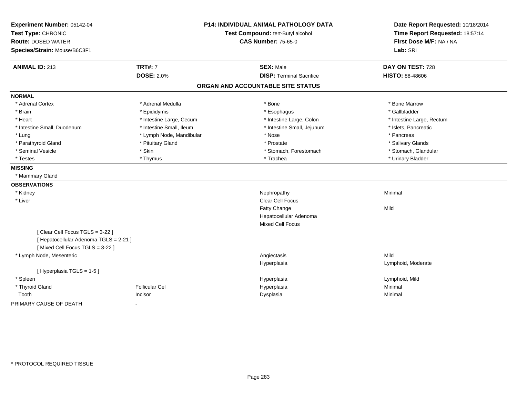| Experiment Number: 05142-04<br>Test Type: CHRONIC<br><b>Route: DOSED WATER</b><br>Species/Strain: Mouse/B6C3F1 | <b>P14: INDIVIDUAL ANIMAL PATHOLOGY DATA</b><br>Test Compound: tert-Butyl alcohol<br><b>CAS Number: 75-65-0</b> |                                   | Date Report Requested: 10/18/2014<br>Time Report Requested: 18:57:14<br>First Dose M/F: NA / NA<br>Lab: SRI |  |
|----------------------------------------------------------------------------------------------------------------|-----------------------------------------------------------------------------------------------------------------|-----------------------------------|-------------------------------------------------------------------------------------------------------------|--|
| <b>ANIMAL ID: 213</b>                                                                                          | <b>TRT#: 7</b>                                                                                                  | <b>SEX: Male</b>                  | DAY ON TEST: 728                                                                                            |  |
|                                                                                                                | <b>DOSE: 2.0%</b>                                                                                               | <b>DISP: Terminal Sacrifice</b>   | <b>HISTO: 88-48606</b>                                                                                      |  |
|                                                                                                                |                                                                                                                 | ORGAN AND ACCOUNTABLE SITE STATUS |                                                                                                             |  |
| <b>NORMAL</b>                                                                                                  |                                                                                                                 |                                   |                                                                                                             |  |
| * Adrenal Cortex                                                                                               | * Adrenal Medulla                                                                                               | * Bone                            | * Bone Marrow                                                                                               |  |
| * Brain                                                                                                        | * Epididymis                                                                                                    | * Esophagus                       | * Gallbladder                                                                                               |  |
| * Heart                                                                                                        | * Intestine Large, Cecum                                                                                        | * Intestine Large, Colon          | * Intestine Large, Rectum                                                                                   |  |
| * Intestine Small, Duodenum                                                                                    | * Intestine Small, Ileum                                                                                        | * Intestine Small, Jejunum        | * Islets, Pancreatic                                                                                        |  |
| * Lung                                                                                                         | * Lymph Node, Mandibular                                                                                        | * Nose                            | * Pancreas                                                                                                  |  |
| * Parathyroid Gland                                                                                            | * Pituitary Gland                                                                                               | * Prostate                        | * Salivary Glands                                                                                           |  |
| * Seminal Vesicle                                                                                              | * Skin                                                                                                          | * Stomach, Forestomach            | * Stomach, Glandular                                                                                        |  |
| * Testes                                                                                                       | * Thymus                                                                                                        | * Trachea                         | * Urinary Bladder                                                                                           |  |
| <b>MISSING</b>                                                                                                 |                                                                                                                 |                                   |                                                                                                             |  |
| * Mammary Gland                                                                                                |                                                                                                                 |                                   |                                                                                                             |  |
| <b>OBSERVATIONS</b>                                                                                            |                                                                                                                 |                                   |                                                                                                             |  |
| * Kidney                                                                                                       |                                                                                                                 | Nephropathy                       | Minimal                                                                                                     |  |
| * Liver                                                                                                        |                                                                                                                 | Clear Cell Focus                  |                                                                                                             |  |
|                                                                                                                |                                                                                                                 | Fatty Change                      | Mild                                                                                                        |  |
|                                                                                                                |                                                                                                                 | Hepatocellular Adenoma            |                                                                                                             |  |
|                                                                                                                |                                                                                                                 | <b>Mixed Cell Focus</b>           |                                                                                                             |  |
| [Clear Cell Focus TGLS = 3-22]                                                                                 |                                                                                                                 |                                   |                                                                                                             |  |
| [ Hepatocellular Adenoma TGLS = 2-21 ]                                                                         |                                                                                                                 |                                   |                                                                                                             |  |
| [Mixed Cell Focus TGLS = 3-22]                                                                                 |                                                                                                                 |                                   |                                                                                                             |  |
| * Lymph Node, Mesenteric                                                                                       |                                                                                                                 | Angiectasis                       | Mild                                                                                                        |  |
|                                                                                                                |                                                                                                                 | Hyperplasia                       | Lymphoid, Moderate                                                                                          |  |
| [Hyperplasia TGLS = 1-5]                                                                                       |                                                                                                                 |                                   |                                                                                                             |  |
| * Spleen                                                                                                       |                                                                                                                 | Hyperplasia                       | Lymphoid, Mild                                                                                              |  |
| * Thyroid Gland                                                                                                | <b>Follicular Cel</b>                                                                                           | Hyperplasia                       | Minimal                                                                                                     |  |
| Tooth                                                                                                          | Incisor                                                                                                         | Dysplasia                         | Minimal                                                                                                     |  |
| PRIMARY CAUSE OF DEATH                                                                                         |                                                                                                                 |                                   |                                                                                                             |  |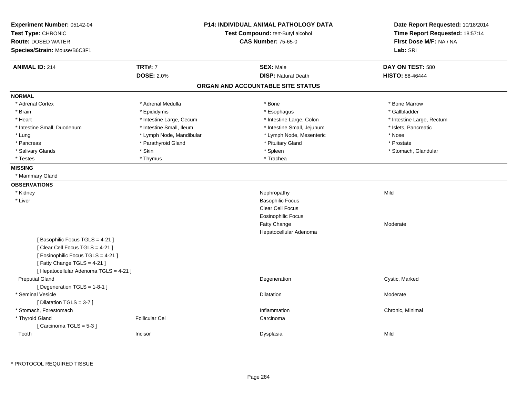| Experiment Number: 05142-04<br>Test Type: CHRONIC<br><b>Route: DOSED WATER</b><br>Species/Strain: Mouse/B6C3F1                                                                 | <b>P14: INDIVIDUAL ANIMAL PATHOLOGY DATA</b><br>Test Compound: tert-Butyl alcohol<br><b>CAS Number: 75-65-0</b> |                                   | Date Report Requested: 10/18/2014<br>Time Report Requested: 18:57:14<br>First Dose M/F: NA / NA<br>Lab: SRI |
|--------------------------------------------------------------------------------------------------------------------------------------------------------------------------------|-----------------------------------------------------------------------------------------------------------------|-----------------------------------|-------------------------------------------------------------------------------------------------------------|
| <b>ANIMAL ID: 214</b>                                                                                                                                                          | <b>TRT#: 7</b>                                                                                                  | <b>SEX: Male</b>                  | DAY ON TEST: 580                                                                                            |
|                                                                                                                                                                                | <b>DOSE: 2.0%</b>                                                                                               | <b>DISP: Natural Death</b>        | <b>HISTO: 88-46444</b>                                                                                      |
|                                                                                                                                                                                |                                                                                                                 | ORGAN AND ACCOUNTABLE SITE STATUS |                                                                                                             |
| <b>NORMAL</b>                                                                                                                                                                  |                                                                                                                 |                                   |                                                                                                             |
| * Adrenal Cortex                                                                                                                                                               | * Adrenal Medulla                                                                                               | * Bone                            | * Bone Marrow                                                                                               |
| * Brain                                                                                                                                                                        | * Epididymis                                                                                                    | * Esophagus                       | * Gallbladder                                                                                               |
| * Heart                                                                                                                                                                        | * Intestine Large, Cecum                                                                                        | * Intestine Large, Colon          | * Intestine Large, Rectum                                                                                   |
| * Intestine Small, Duodenum                                                                                                                                                    | * Intestine Small, Ileum                                                                                        | * Intestine Small, Jejunum        | * Islets, Pancreatic                                                                                        |
| * Lung                                                                                                                                                                         | * Lymph Node, Mandibular                                                                                        | * Lymph Node, Mesenteric          | * Nose                                                                                                      |
| * Pancreas                                                                                                                                                                     | * Parathyroid Gland                                                                                             | * Pituitary Gland                 | * Prostate                                                                                                  |
| * Salivary Glands                                                                                                                                                              | * Skin                                                                                                          | * Spleen                          | * Stomach, Glandular                                                                                        |
| * Testes                                                                                                                                                                       | * Thymus                                                                                                        | * Trachea                         |                                                                                                             |
| <b>MISSING</b>                                                                                                                                                                 |                                                                                                                 |                                   |                                                                                                             |
| * Mammary Gland                                                                                                                                                                |                                                                                                                 |                                   |                                                                                                             |
| <b>OBSERVATIONS</b>                                                                                                                                                            |                                                                                                                 |                                   |                                                                                                             |
| * Kidney                                                                                                                                                                       |                                                                                                                 | Nephropathy                       | Mild                                                                                                        |
| * Liver                                                                                                                                                                        |                                                                                                                 | <b>Basophilic Focus</b>           |                                                                                                             |
|                                                                                                                                                                                |                                                                                                                 | <b>Clear Cell Focus</b>           |                                                                                                             |
|                                                                                                                                                                                |                                                                                                                 | Eosinophilic Focus                |                                                                                                             |
|                                                                                                                                                                                |                                                                                                                 | Fatty Change                      | Moderate                                                                                                    |
|                                                                                                                                                                                |                                                                                                                 | Hepatocellular Adenoma            |                                                                                                             |
| [Basophilic Focus TGLS = 4-21]<br>[Clear Cell Focus TGLS = 4-21]<br>[ Eosinophilic Focus TGLS = 4-21 ]<br>[Fatty Change TGLS = 4-21]<br>[ Hepatocellular Adenoma TGLS = 4-21 ] |                                                                                                                 |                                   |                                                                                                             |
| <b>Preputial Gland</b><br>[ Degeneration TGLS = 1-8-1 ]                                                                                                                        |                                                                                                                 | Degeneration                      | Cystic, Marked                                                                                              |
| * Seminal Vesicle<br>[Dilatation TGLS = 3-7]                                                                                                                                   |                                                                                                                 | Dilatation                        | Moderate                                                                                                    |
| * Stomach, Forestomach                                                                                                                                                         |                                                                                                                 | Inflammation                      | Chronic, Minimal                                                                                            |
| * Thyroid Gland                                                                                                                                                                | <b>Follicular Cel</b>                                                                                           | Carcinoma                         |                                                                                                             |
| [Carcinoma TGLS = 5-3]                                                                                                                                                         |                                                                                                                 |                                   |                                                                                                             |
| Tooth                                                                                                                                                                          | Incisor                                                                                                         | Dysplasia                         | Mild                                                                                                        |

\* PROTOCOL REQUIRED TISSUE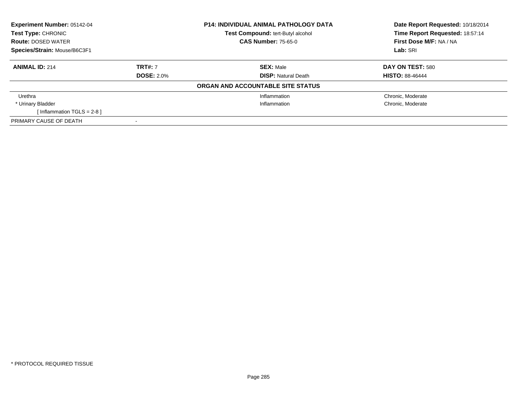| <b>P14: INDIVIDUAL ANIMAL PATHOLOGY DATA</b><br><b>Experiment Number: 05142-04</b><br><b>Test Compound: tert-Butyl alcohol</b><br><b>Test Type: CHRONIC</b><br><b>Route: DOSED WATER</b> |                   |                                   | Date Report Requested: 10/18/2014                          |  |
|------------------------------------------------------------------------------------------------------------------------------------------------------------------------------------------|-------------------|-----------------------------------|------------------------------------------------------------|--|
|                                                                                                                                                                                          |                   | <b>CAS Number: 75-65-0</b>        | Time Report Requested: 18:57:14<br>First Dose M/F: NA / NA |  |
|                                                                                                                                                                                          |                   |                                   |                                                            |  |
| Species/Strain: Mouse/B6C3F1                                                                                                                                                             |                   |                                   | Lab: SRI                                                   |  |
| <b>ANIMAL ID: 214</b>                                                                                                                                                                    | <b>TRT#: 7</b>    | <b>SEX: Male</b>                  | DAY ON TEST: 580                                           |  |
|                                                                                                                                                                                          | <b>DOSE: 2.0%</b> | <b>DISP: Natural Death</b>        | <b>HISTO: 88-46444</b>                                     |  |
|                                                                                                                                                                                          |                   | ORGAN AND ACCOUNTABLE SITE STATUS |                                                            |  |
| Urethra                                                                                                                                                                                  |                   | Inflammation                      | Chronic, Moderate                                          |  |
| * Urinary Bladder                                                                                                                                                                        |                   | Inflammation                      | Chronic, Moderate                                          |  |
| [Inflammation TGLS = $2-8$ ]                                                                                                                                                             |                   |                                   |                                                            |  |
| PRIMARY CAUSE OF DEATH                                                                                                                                                                   |                   |                                   |                                                            |  |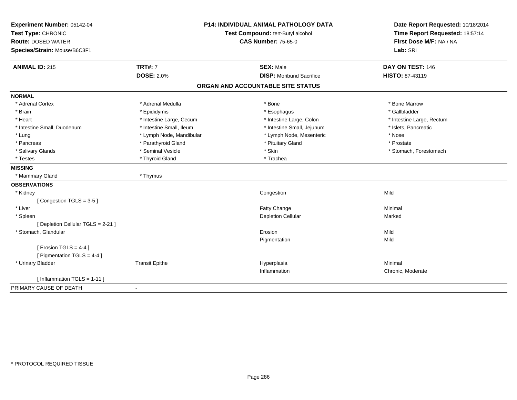| Experiment Number: 05142-04                        | <b>P14: INDIVIDUAL ANIMAL PATHOLOGY DATA</b><br>Test Compound: tert-Butyl alcohol |                                   | Date Report Requested: 10/18/2014 |
|----------------------------------------------------|-----------------------------------------------------------------------------------|-----------------------------------|-----------------------------------|
| Test Type: CHRONIC                                 |                                                                                   |                                   | Time Report Requested: 18:57:14   |
| <b>Route: DOSED WATER</b>                          |                                                                                   | <b>CAS Number: 75-65-0</b>        | First Dose M/F: NA / NA           |
| Species/Strain: Mouse/B6C3F1                       |                                                                                   |                                   | Lab: SRI                          |
| <b>ANIMAL ID: 215</b>                              | <b>TRT#: 7</b>                                                                    | <b>SEX: Male</b>                  | DAY ON TEST: 146                  |
|                                                    | <b>DOSE: 2.0%</b>                                                                 | <b>DISP:</b> Moribund Sacrifice   | <b>HISTO: 87-43119</b>            |
|                                                    |                                                                                   | ORGAN AND ACCOUNTABLE SITE STATUS |                                   |
| <b>NORMAL</b>                                      |                                                                                   |                                   |                                   |
| * Adrenal Cortex                                   | * Adrenal Medulla                                                                 | * Bone                            | * Bone Marrow                     |
| * Brain                                            | * Epididymis                                                                      | * Esophagus                       | * Gallbladder                     |
| * Heart                                            | * Intestine Large, Cecum                                                          | * Intestine Large, Colon          | * Intestine Large, Rectum         |
| * Intestine Small, Duodenum                        | * Intestine Small, Ileum                                                          | * Intestine Small, Jejunum        | * Islets, Pancreatic              |
| * Lung                                             | * Lymph Node, Mandibular                                                          | * Lymph Node, Mesenteric          | * Nose                            |
| * Pancreas                                         | * Parathyroid Gland                                                               | * Pituitary Gland                 | * Prostate                        |
| * Salivary Glands                                  | * Seminal Vesicle                                                                 | * Skin                            | * Stomach, Forestomach            |
| * Testes                                           | * Thyroid Gland                                                                   | * Trachea                         |                                   |
| <b>MISSING</b>                                     |                                                                                   |                                   |                                   |
| * Mammary Gland                                    | * Thymus                                                                          |                                   |                                   |
| <b>OBSERVATIONS</b>                                |                                                                                   |                                   |                                   |
| * Kidney                                           |                                                                                   | Congestion                        | Mild                              |
| [Congestion TGLS = 3-5]                            |                                                                                   |                                   |                                   |
| * Liver                                            |                                                                                   | Fatty Change                      | Minimal                           |
| * Spleen                                           |                                                                                   | <b>Depletion Cellular</b>         | Marked                            |
| [ Depletion Cellular TGLS = 2-21 ]                 |                                                                                   |                                   |                                   |
| * Stomach, Glandular                               |                                                                                   | Erosion                           | Mild                              |
|                                                    |                                                                                   | Pigmentation                      | Mild                              |
| [ Erosion TGLS = $4-4$ ]                           |                                                                                   |                                   |                                   |
| [ Pigmentation TGLS = 4-4 ]                        |                                                                                   |                                   |                                   |
| * Urinary Bladder                                  | <b>Transit Epithe</b>                                                             | Hyperplasia                       | Minimal                           |
|                                                    |                                                                                   | Inflammation                      | Chronic, Moderate                 |
| [ Inflammation TGLS = 1-11 ]                       |                                                                                   |                                   |                                   |
| PRIMARY CAUSE OF DEATH<br>$\overline{\phantom{a}}$ |                                                                                   |                                   |                                   |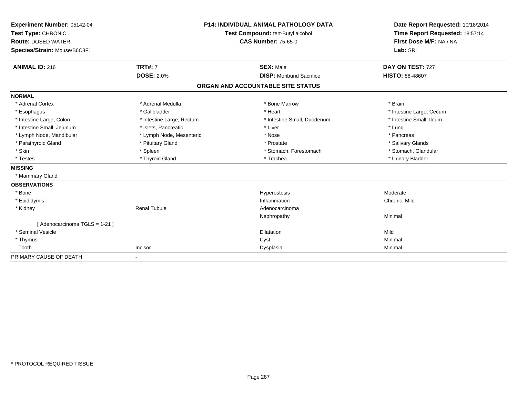| Experiment Number: 05142-04<br>Test Type: CHRONIC<br><b>Route: DOSED WATER</b><br>Species/Strain: Mouse/B6C3F1 |                           | <b>P14: INDIVIDUAL ANIMAL PATHOLOGY DATA</b><br>Test Compound: tert-Butyl alcohol<br><b>CAS Number: 75-65-0</b> | Date Report Requested: 10/18/2014<br>Time Report Requested: 18:57:14<br>First Dose M/F: NA / NA<br>Lab: SRI |
|----------------------------------------------------------------------------------------------------------------|---------------------------|-----------------------------------------------------------------------------------------------------------------|-------------------------------------------------------------------------------------------------------------|
| <b>ANIMAL ID: 216</b>                                                                                          | <b>TRT#: 7</b>            | <b>SEX: Male</b>                                                                                                | DAY ON TEST: 727                                                                                            |
|                                                                                                                | <b>DOSE: 2.0%</b>         | <b>DISP:</b> Moribund Sacrifice                                                                                 | <b>HISTO: 88-48607</b>                                                                                      |
|                                                                                                                |                           | ORGAN AND ACCOUNTABLE SITE STATUS                                                                               |                                                                                                             |
| <b>NORMAL</b>                                                                                                  |                           |                                                                                                                 |                                                                                                             |
| * Adrenal Cortex                                                                                               | * Adrenal Medulla         | * Bone Marrow                                                                                                   | * Brain                                                                                                     |
| * Esophagus                                                                                                    | * Gallbladder             | * Heart                                                                                                         | * Intestine Large, Cecum                                                                                    |
| * Intestine Large, Colon                                                                                       | * Intestine Large, Rectum | * Intestine Small, Duodenum                                                                                     | * Intestine Small, Ileum                                                                                    |
| * Intestine Small, Jejunum                                                                                     | * Islets, Pancreatic      | * Liver                                                                                                         | * Lung                                                                                                      |
| * Lymph Node, Mandibular                                                                                       | * Lymph Node, Mesenteric  | * Nose                                                                                                          | * Pancreas                                                                                                  |
| * Parathyroid Gland                                                                                            | * Pituitary Gland         | * Prostate                                                                                                      | * Salivary Glands                                                                                           |
| * Skin                                                                                                         | * Spleen                  | * Stomach, Forestomach                                                                                          | * Stomach, Glandular                                                                                        |
| * Testes                                                                                                       | * Thyroid Gland           | * Trachea                                                                                                       | * Urinary Bladder                                                                                           |
| <b>MISSING</b>                                                                                                 |                           |                                                                                                                 |                                                                                                             |
| * Mammary Gland                                                                                                |                           |                                                                                                                 |                                                                                                             |
| <b>OBSERVATIONS</b>                                                                                            |                           |                                                                                                                 |                                                                                                             |
| * Bone                                                                                                         |                           | Hyperostosis                                                                                                    | Moderate                                                                                                    |
| * Epididymis                                                                                                   |                           | Inflammation                                                                                                    | Chronic, Mild                                                                                               |
| * Kidney                                                                                                       | <b>Renal Tubule</b>       | Adenocarcinoma                                                                                                  |                                                                                                             |
|                                                                                                                |                           | Nephropathy                                                                                                     | Minimal                                                                                                     |
| [ Adenocarcinoma TGLS = 1-21 ]                                                                                 |                           |                                                                                                                 |                                                                                                             |
| * Seminal Vesicle                                                                                              |                           | <b>Dilatation</b>                                                                                               | Mild                                                                                                        |
| * Thymus                                                                                                       |                           | Cyst                                                                                                            | Minimal                                                                                                     |
| Tooth                                                                                                          | Incisor                   | Dysplasia                                                                                                       | Minimal                                                                                                     |
| PRIMARY CAUSE OF DEATH                                                                                         |                           |                                                                                                                 |                                                                                                             |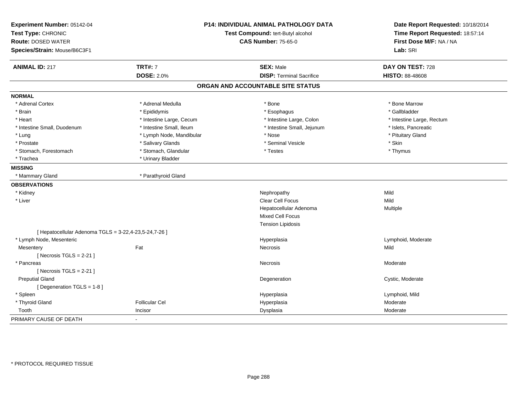| Experiment Number: 05142-04<br>Test Type: CHRONIC<br><b>Route: DOSED WATER</b> |                          | P14: INDIVIDUAL ANIMAL PATHOLOGY DATA<br>Test Compound: tert-Butyl alcohol<br><b>CAS Number: 75-65-0</b> |                           |
|--------------------------------------------------------------------------------|--------------------------|----------------------------------------------------------------------------------------------------------|---------------------------|
| Species/Strain: Mouse/B6C3F1                                                   |                          |                                                                                                          | Lab: SRI                  |
| <b>ANIMAL ID: 217</b>                                                          | <b>TRT#: 7</b>           | <b>SEX: Male</b>                                                                                         | DAY ON TEST: 728          |
|                                                                                | <b>DOSE: 2.0%</b>        | <b>DISP: Terminal Sacrifice</b>                                                                          | <b>HISTO: 88-48608</b>    |
|                                                                                |                          | ORGAN AND ACCOUNTABLE SITE STATUS                                                                        |                           |
| <b>NORMAL</b>                                                                  |                          |                                                                                                          |                           |
| * Adrenal Cortex                                                               | * Adrenal Medulla        | * Bone                                                                                                   | * Bone Marrow             |
| * Brain                                                                        | * Epididymis             | * Esophagus                                                                                              | * Gallbladder             |
| * Heart                                                                        | * Intestine Large, Cecum | * Intestine Large, Colon                                                                                 | * Intestine Large, Rectum |
| * Intestine Small, Duodenum                                                    | * Intestine Small, Ileum | * Intestine Small, Jejunum                                                                               | * Islets, Pancreatic      |
| * Lung                                                                         | * Lymph Node, Mandibular | * Nose                                                                                                   | * Pituitary Gland         |
| * Prostate                                                                     | * Salivary Glands        | * Seminal Vesicle                                                                                        | * Skin                    |
| * Stomach, Forestomach                                                         | * Stomach, Glandular     | * Testes                                                                                                 | * Thymus                  |
| * Trachea                                                                      | * Urinary Bladder        |                                                                                                          |                           |
| <b>MISSING</b>                                                                 |                          |                                                                                                          |                           |
| * Mammary Gland                                                                | * Parathyroid Gland      |                                                                                                          |                           |
| <b>OBSERVATIONS</b>                                                            |                          |                                                                                                          |                           |
| * Kidney                                                                       |                          | Nephropathy                                                                                              | Mild                      |
| * Liver                                                                        |                          | Clear Cell Focus                                                                                         | Mild                      |
|                                                                                |                          | Hepatocellular Adenoma                                                                                   | Multiple                  |
|                                                                                |                          | <b>Mixed Cell Focus</b>                                                                                  |                           |
|                                                                                |                          | <b>Tension Lipidosis</b>                                                                                 |                           |
| [ Hepatocellular Adenoma TGLS = 3-22,4-23,5-24,7-26 ]                          |                          |                                                                                                          |                           |
| * Lymph Node, Mesenteric                                                       |                          | Hyperplasia                                                                                              | Lymphoid, Moderate        |
| Mesentery                                                                      | Fat                      | Necrosis                                                                                                 | Mild                      |
| [Necrosis $TGLS = 2-21$ ]                                                      |                          |                                                                                                          |                           |
| * Pancreas                                                                     |                          | Necrosis                                                                                                 | Moderate                  |
| [Necrosis $TGLS = 2-21$ ]                                                      |                          |                                                                                                          |                           |
| <b>Preputial Gland</b>                                                         |                          | Degeneration                                                                                             | Cystic, Moderate          |
| [ Degeneration TGLS = 1-8 ]                                                    |                          |                                                                                                          |                           |
| * Spleen                                                                       |                          | Hyperplasia                                                                                              | Lymphoid, Mild            |
| * Thyroid Gland                                                                | <b>Follicular Cel</b>    | Hyperplasia                                                                                              | Moderate                  |
| Tooth                                                                          | Incisor                  | Dysplasia                                                                                                | Moderate                  |
| PRIMARY CAUSE OF DEATH                                                         |                          |                                                                                                          |                           |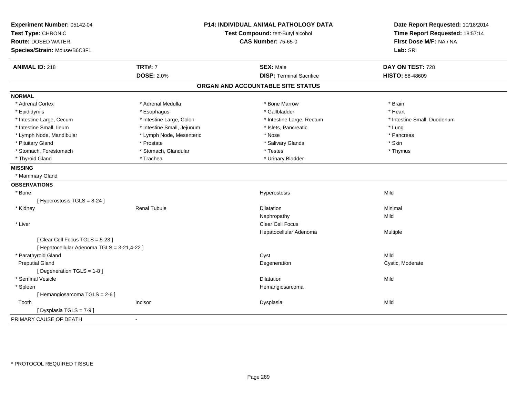| Experiment Number: 05142-04<br>Test Type: CHRONIC<br><b>Route: DOSED WATER</b><br>Species/Strain: Mouse/B6C3F1 | <b>P14: INDIVIDUAL ANIMAL PATHOLOGY DATA</b><br>Test Compound: tert-Butyl alcohol<br><b>CAS Number: 75-65-0</b> |                                   | Date Report Requested: 10/18/2014<br>Time Report Requested: 18:57:14<br>First Dose M/F: NA / NA<br>Lab: SRI |
|----------------------------------------------------------------------------------------------------------------|-----------------------------------------------------------------------------------------------------------------|-----------------------------------|-------------------------------------------------------------------------------------------------------------|
| <b>ANIMAL ID: 218</b>                                                                                          | <b>TRT#: 7</b>                                                                                                  | <b>SEX: Male</b>                  | DAY ON TEST: 728                                                                                            |
|                                                                                                                | <b>DOSE: 2.0%</b>                                                                                               | <b>DISP: Terminal Sacrifice</b>   | <b>HISTO: 88-48609</b>                                                                                      |
|                                                                                                                |                                                                                                                 | ORGAN AND ACCOUNTABLE SITE STATUS |                                                                                                             |
| <b>NORMAL</b>                                                                                                  |                                                                                                                 |                                   |                                                                                                             |
| * Adrenal Cortex                                                                                               | * Adrenal Medulla                                                                                               | * Bone Marrow                     | * Brain                                                                                                     |
| * Epididymis                                                                                                   | * Esophagus                                                                                                     | * Gallbladder                     | * Heart                                                                                                     |
| * Intestine Large, Cecum                                                                                       | * Intestine Large, Colon                                                                                        | * Intestine Large, Rectum         | * Intestine Small, Duodenum                                                                                 |
| * Intestine Small, Ileum                                                                                       | * Intestine Small, Jejunum                                                                                      | * Islets, Pancreatic              | * Lung                                                                                                      |
| * Lymph Node, Mandibular                                                                                       | * Lymph Node, Mesenteric                                                                                        | * Nose                            | * Pancreas                                                                                                  |
| * Pituitary Gland                                                                                              | * Prostate                                                                                                      | * Salivary Glands                 | * Skin                                                                                                      |
| * Stomach, Forestomach                                                                                         | * Stomach, Glandular                                                                                            | * Testes                          | * Thymus                                                                                                    |
| * Thyroid Gland                                                                                                | * Trachea                                                                                                       | * Urinary Bladder                 |                                                                                                             |
| <b>MISSING</b>                                                                                                 |                                                                                                                 |                                   |                                                                                                             |
| * Mammary Gland                                                                                                |                                                                                                                 |                                   |                                                                                                             |
| <b>OBSERVATIONS</b>                                                                                            |                                                                                                                 |                                   |                                                                                                             |
| * Bone                                                                                                         |                                                                                                                 | Hyperostosis                      | Mild                                                                                                        |
| [ Hyperostosis $TGLS = 8-24$ ]                                                                                 |                                                                                                                 |                                   |                                                                                                             |
| * Kidney                                                                                                       | <b>Renal Tubule</b>                                                                                             | <b>Dilatation</b>                 | Minimal                                                                                                     |
|                                                                                                                |                                                                                                                 | Nephropathy                       | Mild                                                                                                        |
| * Liver                                                                                                        |                                                                                                                 | Clear Cell Focus                  |                                                                                                             |
|                                                                                                                |                                                                                                                 | Hepatocellular Adenoma            | Multiple                                                                                                    |
| [Clear Cell Focus TGLS = 5-23]<br>[ Hepatocellular Adenoma TGLS = 3-21,4-22 ]                                  |                                                                                                                 |                                   |                                                                                                             |
| * Parathyroid Gland                                                                                            |                                                                                                                 | Cyst                              | Mild                                                                                                        |
| <b>Preputial Gland</b>                                                                                         |                                                                                                                 | Degeneration                      | Cystic, Moderate                                                                                            |
| [ Degeneration TGLS = 1-8 ]                                                                                    |                                                                                                                 |                                   |                                                                                                             |
| * Seminal Vesicle                                                                                              |                                                                                                                 | <b>Dilatation</b>                 | Mild                                                                                                        |
| * Spleen                                                                                                       |                                                                                                                 | Hemangiosarcoma                   |                                                                                                             |
| [Hemangiosarcoma TGLS = 2-6]                                                                                   |                                                                                                                 |                                   |                                                                                                             |
| Tooth                                                                                                          | Incisor                                                                                                         | Dysplasia                         | Mild                                                                                                        |
| [Dysplasia TGLS = 7-9]                                                                                         |                                                                                                                 |                                   |                                                                                                             |
| PRIMARY CAUSE OF DEATH                                                                                         |                                                                                                                 |                                   |                                                                                                             |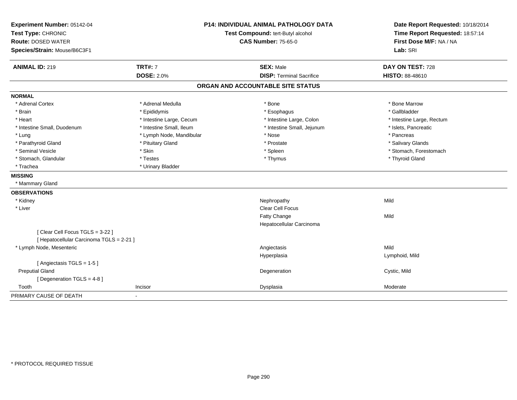| Experiment Number: 05142-04<br>Test Type: CHRONIC |                          | <b>P14: INDIVIDUAL ANIMAL PATHOLOGY DATA</b><br>Test Compound: tert-Butyl alcohol | Date Report Requested: 10/18/2014<br>Time Report Requested: 18:57:14 |
|---------------------------------------------------|--------------------------|-----------------------------------------------------------------------------------|----------------------------------------------------------------------|
| <b>Route: DOSED WATER</b>                         |                          | <b>CAS Number: 75-65-0</b>                                                        | First Dose M/F: NA / NA                                              |
| Species/Strain: Mouse/B6C3F1                      |                          |                                                                                   | Lab: SRI                                                             |
| <b>ANIMAL ID: 219</b>                             | <b>TRT#: 7</b>           | <b>SEX: Male</b>                                                                  | DAY ON TEST: 728                                                     |
|                                                   | <b>DOSE: 2.0%</b>        | <b>DISP: Terminal Sacrifice</b>                                                   | HISTO: 88-48610                                                      |
|                                                   |                          | ORGAN AND ACCOUNTABLE SITE STATUS                                                 |                                                                      |
| <b>NORMAL</b>                                     |                          |                                                                                   |                                                                      |
| * Adrenal Cortex                                  | * Adrenal Medulla        | * Bone                                                                            | * Bone Marrow                                                        |
| * Brain                                           | * Epididymis             | * Esophagus                                                                       | * Gallbladder                                                        |
| * Heart                                           | * Intestine Large, Cecum | * Intestine Large, Colon                                                          | * Intestine Large, Rectum                                            |
| * Intestine Small, Duodenum                       | * Intestine Small, Ileum | * Intestine Small, Jejunum                                                        | * Islets, Pancreatic                                                 |
| * Lung                                            | * Lymph Node, Mandibular | * Nose                                                                            | * Pancreas                                                           |
| * Parathyroid Gland                               | * Pituitary Gland        | * Prostate                                                                        | * Salivary Glands                                                    |
| * Seminal Vesicle                                 | * Skin                   | * Spleen                                                                          | * Stomach, Forestomach                                               |
| * Stomach, Glandular                              | * Testes                 | * Thymus                                                                          | * Thyroid Gland                                                      |
| * Trachea                                         | * Urinary Bladder        |                                                                                   |                                                                      |
| <b>MISSING</b>                                    |                          |                                                                                   |                                                                      |
| * Mammary Gland                                   |                          |                                                                                   |                                                                      |
| <b>OBSERVATIONS</b>                               |                          |                                                                                   |                                                                      |
| * Kidney                                          |                          | Nephropathy                                                                       | Mild                                                                 |
| * Liver                                           |                          | Clear Cell Focus                                                                  |                                                                      |
|                                                   |                          | Fatty Change                                                                      | Mild                                                                 |
|                                                   |                          | Hepatocellular Carcinoma                                                          |                                                                      |
| [Clear Cell Focus TGLS = 3-22]                    |                          |                                                                                   |                                                                      |
| [ Hepatocellular Carcinoma TGLS = 2-21 ]          |                          |                                                                                   |                                                                      |
| * Lymph Node, Mesenteric                          |                          | Angiectasis                                                                       | Mild                                                                 |
|                                                   |                          | Hyperplasia                                                                       | Lymphoid, Mild                                                       |
| [Angiectasis TGLS = 1-5]                          |                          |                                                                                   |                                                                      |
| <b>Preputial Gland</b>                            |                          | Degeneration                                                                      | Cystic, Mild                                                         |
| [Degeneration TGLS = 4-8]                         |                          |                                                                                   |                                                                      |
| Tooth                                             | Incisor                  | Dysplasia                                                                         | Moderate                                                             |
| PRIMARY CAUSE OF DEATH                            | $\blacksquare$           |                                                                                   |                                                                      |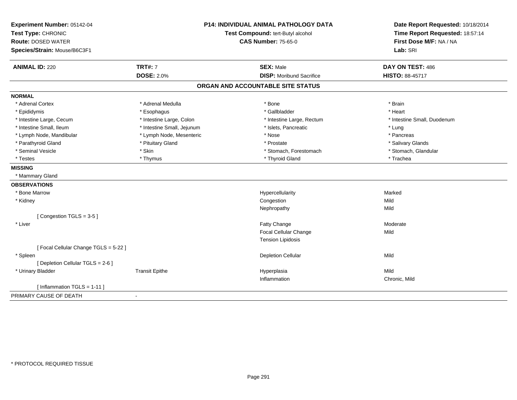| Experiment Number: 05142-04         |                                   | <b>P14: INDIVIDUAL ANIMAL PATHOLOGY DATA</b> | Date Report Requested: 10/18/2014 |
|-------------------------------------|-----------------------------------|----------------------------------------------|-----------------------------------|
| Test Type: CHRONIC                  | Test Compound: tert-Butyl alcohol |                                              | Time Report Requested: 18:57:14   |
| <b>Route: DOSED WATER</b>           |                                   | <b>CAS Number: 75-65-0</b>                   | First Dose M/F: NA / NA           |
| Species/Strain: Mouse/B6C3F1        |                                   |                                              | Lab: SRI                          |
| <b>ANIMAL ID: 220</b>               | <b>TRT#: 7</b>                    | <b>SEX: Male</b>                             | DAY ON TEST: 486                  |
|                                     | <b>DOSE: 2.0%</b>                 | <b>DISP: Moribund Sacrifice</b>              | <b>HISTO: 88-45717</b>            |
|                                     |                                   | ORGAN AND ACCOUNTABLE SITE STATUS            |                                   |
| <b>NORMAL</b>                       |                                   |                                              |                                   |
| * Adrenal Cortex                    | * Adrenal Medulla                 | * Bone                                       | * Brain                           |
| * Epididymis                        | * Esophagus                       | * Gallbladder                                | * Heart                           |
| * Intestine Large, Cecum            | * Intestine Large, Colon          | * Intestine Large, Rectum                    | * Intestine Small, Duodenum       |
| * Intestine Small, Ileum            | * Intestine Small, Jejunum        | * Islets, Pancreatic                         | * Lung                            |
| * Lymph Node, Mandibular            | * Lymph Node, Mesenteric          | * Nose                                       | * Pancreas                        |
| * Parathyroid Gland                 | * Pituitary Gland                 | * Prostate                                   | * Salivary Glands                 |
| * Seminal Vesicle                   | * Skin                            | * Stomach, Forestomach                       | * Stomach, Glandular              |
| * Testes                            | * Thymus                          | * Thyroid Gland                              | * Trachea                         |
| <b>MISSING</b>                      |                                   |                                              |                                   |
| * Mammary Gland                     |                                   |                                              |                                   |
| <b>OBSERVATIONS</b>                 |                                   |                                              |                                   |
| * Bone Marrow                       |                                   | Hypercellularity                             | Marked                            |
| * Kidney                            |                                   | Congestion                                   | Mild                              |
|                                     |                                   | Nephropathy                                  | Mild                              |
| [Congestion TGLS = 3-5]             |                                   |                                              |                                   |
| * Liver                             |                                   | Fatty Change                                 | Moderate                          |
|                                     |                                   | <b>Focal Cellular Change</b>                 | Mild                              |
|                                     |                                   | <b>Tension Lipidosis</b>                     |                                   |
| [Focal Cellular Change TGLS = 5-22] |                                   |                                              |                                   |
| * Spleen                            |                                   | Depletion Cellular                           | Mild                              |
| [ Depletion Cellular TGLS = 2-6 ]   |                                   |                                              |                                   |
| * Urinary Bladder                   | <b>Transit Epithe</b>             | Hyperplasia                                  | Mild                              |
|                                     |                                   | Inflammation                                 | Chronic, Mild                     |
| [ Inflammation TGLS = $1-11$ ]      |                                   |                                              |                                   |
| PRIMARY CAUSE OF DEATH              | $\blacksquare$                    |                                              |                                   |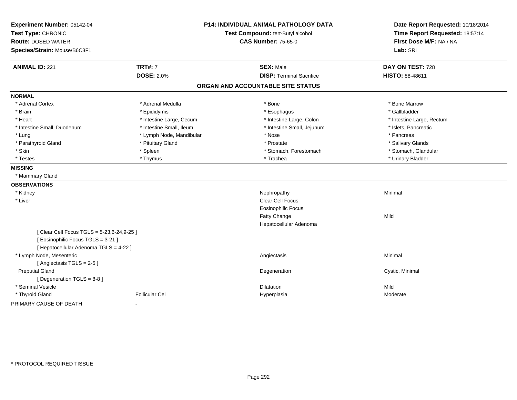| Experiment Number: 05142-04              |                                   | <b>P14: INDIVIDUAL ANIMAL PATHOLOGY DATA</b> | Date Report Requested: 10/18/2014 |
|------------------------------------------|-----------------------------------|----------------------------------------------|-----------------------------------|
| Test Type: CHRONIC                       | Test Compound: tert-Butyl alcohol |                                              | Time Report Requested: 18:57:14   |
| <b>Route: DOSED WATER</b>                |                                   | <b>CAS Number: 75-65-0</b>                   | First Dose M/F: NA / NA           |
| Species/Strain: Mouse/B6C3F1             |                                   |                                              | Lab: SRI                          |
| <b>ANIMAL ID: 221</b>                    | <b>TRT#: 7</b>                    | <b>SEX: Male</b>                             | DAY ON TEST: 728                  |
|                                          | <b>DOSE: 2.0%</b>                 | <b>DISP: Terminal Sacrifice</b>              | <b>HISTO: 88-48611</b>            |
|                                          |                                   | ORGAN AND ACCOUNTABLE SITE STATUS            |                                   |
| <b>NORMAL</b>                            |                                   |                                              |                                   |
| * Adrenal Cortex                         | * Adrenal Medulla                 | * Bone                                       | * Bone Marrow                     |
| * Brain                                  | * Epididymis                      | * Esophagus                                  | * Gallbladder                     |
| * Heart                                  | * Intestine Large, Cecum          | * Intestine Large, Colon                     | * Intestine Large, Rectum         |
| * Intestine Small, Duodenum              | * Intestine Small, Ileum          | * Intestine Small, Jejunum                   | * Islets, Pancreatic              |
| * Lung                                   | * Lymph Node, Mandibular          | * Nose                                       | * Pancreas                        |
| * Parathyroid Gland                      | * Pituitary Gland                 | * Prostate                                   | * Salivary Glands                 |
| * Skin                                   | * Spleen                          | * Stomach, Forestomach                       | * Stomach, Glandular              |
| * Testes                                 | * Thymus                          | * Trachea                                    | * Urinary Bladder                 |
| <b>MISSING</b>                           |                                   |                                              |                                   |
| * Mammary Gland                          |                                   |                                              |                                   |
| <b>OBSERVATIONS</b>                      |                                   |                                              |                                   |
| * Kidney                                 |                                   | Nephropathy                                  | Minimal                           |
| * Liver                                  |                                   | Clear Cell Focus                             |                                   |
|                                          |                                   | <b>Eosinophilic Focus</b>                    |                                   |
|                                          |                                   | Fatty Change                                 | Mild                              |
|                                          |                                   | Hepatocellular Adenoma                       |                                   |
| [Clear Cell Focus TGLS = 5-23,6-24,9-25] |                                   |                                              |                                   |
| [Eosinophilic Focus TGLS = 3-21]         |                                   |                                              |                                   |
| [ Hepatocellular Adenoma TGLS = 4-22 ]   |                                   |                                              |                                   |
| * Lymph Node, Mesenteric                 |                                   | Angiectasis                                  | Minimal                           |
| [Angiectasis TGLS = 2-5]                 |                                   |                                              |                                   |
| <b>Preputial Gland</b>                   |                                   | Degeneration                                 | Cystic, Minimal                   |
| [ Degeneration TGLS = 8-8 ]              |                                   |                                              |                                   |
| * Seminal Vesicle                        |                                   | Dilatation                                   | Mild                              |
| * Thyroid Gland                          | <b>Follicular Cel</b>             | Hyperplasia                                  | Moderate                          |
| PRIMARY CAUSE OF DEATH                   | $\blacksquare$                    |                                              |                                   |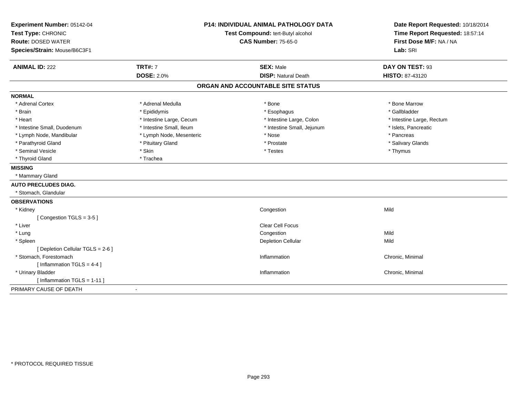| Experiment Number: 05142-04<br>Test Type: CHRONIC<br><b>Route: DOSED WATER</b><br>Species/Strain: Mouse/B6C3F1 | <b>P14: INDIVIDUAL ANIMAL PATHOLOGY DATA</b><br>Test Compound: tert-Butyl alcohol<br><b>CAS Number: 75-65-0</b> |                                                | Date Report Requested: 10/18/2014<br>Time Report Requested: 18:57:14<br>First Dose M/F: NA / NA<br>Lab: SRI |
|----------------------------------------------------------------------------------------------------------------|-----------------------------------------------------------------------------------------------------------------|------------------------------------------------|-------------------------------------------------------------------------------------------------------------|
| <b>ANIMAL ID: 222</b>                                                                                          | <b>TRT#: 7</b><br><b>DOSE: 2.0%</b>                                                                             | <b>SEX: Male</b><br><b>DISP: Natural Death</b> | DAY ON TEST: 93<br>HISTO: 87-43120                                                                          |
|                                                                                                                |                                                                                                                 | ORGAN AND ACCOUNTABLE SITE STATUS              |                                                                                                             |
| <b>NORMAL</b>                                                                                                  |                                                                                                                 |                                                |                                                                                                             |
| * Adrenal Cortex                                                                                               | * Adrenal Medulla                                                                                               | * Bone                                         | * Bone Marrow                                                                                               |
| * Brain                                                                                                        | * Epididymis                                                                                                    | * Esophagus                                    | * Gallbladder                                                                                               |
| * Heart                                                                                                        | * Intestine Large, Cecum                                                                                        | * Intestine Large, Colon                       | * Intestine Large, Rectum                                                                                   |
| * Intestine Small, Duodenum                                                                                    | * Intestine Small, Ileum                                                                                        | * Intestine Small, Jejunum                     | * Islets, Pancreatic                                                                                        |
| * Lymph Node, Mandibular                                                                                       | * Lymph Node, Mesenteric                                                                                        | * Nose                                         | * Pancreas                                                                                                  |
| * Parathyroid Gland                                                                                            | * Pituitary Gland                                                                                               | * Prostate                                     | * Salivary Glands                                                                                           |
| * Seminal Vesicle                                                                                              | * Skin                                                                                                          | * Testes                                       | * Thymus                                                                                                    |
| * Thyroid Gland                                                                                                | * Trachea                                                                                                       |                                                |                                                                                                             |
| <b>MISSING</b>                                                                                                 |                                                                                                                 |                                                |                                                                                                             |
| * Mammary Gland                                                                                                |                                                                                                                 |                                                |                                                                                                             |
| <b>AUTO PRECLUDES DIAG.</b>                                                                                    |                                                                                                                 |                                                |                                                                                                             |
|                                                                                                                |                                                                                                                 |                                                |                                                                                                             |
| * Stomach, Glandular                                                                                           |                                                                                                                 |                                                |                                                                                                             |
| <b>OBSERVATIONS</b>                                                                                            |                                                                                                                 |                                                |                                                                                                             |
| * Kidney                                                                                                       |                                                                                                                 | Congestion                                     | Mild                                                                                                        |
| [Congestion TGLS = 3-5]                                                                                        |                                                                                                                 |                                                |                                                                                                             |
| * Liver                                                                                                        |                                                                                                                 | Clear Cell Focus                               |                                                                                                             |
| * Lung                                                                                                         |                                                                                                                 | Congestion                                     | Mild                                                                                                        |
| * Spleen                                                                                                       |                                                                                                                 | <b>Depletion Cellular</b>                      | Mild                                                                                                        |
| [ Depletion Cellular TGLS = 2-6 ]                                                                              |                                                                                                                 |                                                |                                                                                                             |
| * Stomach, Forestomach                                                                                         |                                                                                                                 | Inflammation                                   | Chronic, Minimal                                                                                            |
| [Inflammation TGLS = $4-4$ ]                                                                                   |                                                                                                                 |                                                |                                                                                                             |
| * Urinary Bladder                                                                                              |                                                                                                                 | Inflammation                                   | Chronic, Minimal                                                                                            |
| [Inflammation TGLS = $1-11$ ]                                                                                  |                                                                                                                 |                                                |                                                                                                             |
| PRIMARY CAUSE OF DEATH                                                                                         | $\blacksquare$                                                                                                  |                                                |                                                                                                             |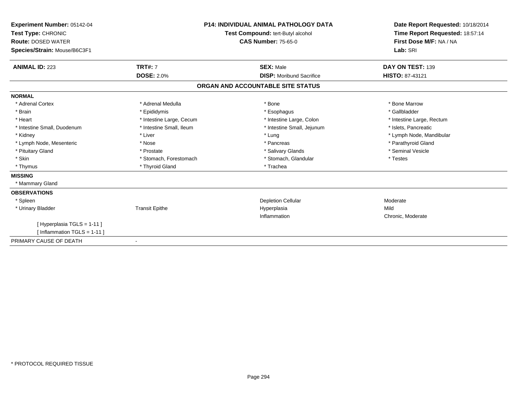| Experiment Number: 05142-04<br>Test Type: CHRONIC<br><b>Route: DOSED WATER</b><br>Species/Strain: Mouse/B6C3F1 | <b>P14: INDIVIDUAL ANIMAL PATHOLOGY DATA</b><br><b>Test Compound: tert-Butyl alcohol</b><br><b>CAS Number: 75-65-0</b> |                                   | Date Report Requested: 10/18/2014<br>Time Report Requested: 18:57:14<br>First Dose M/F: NA / NA<br>Lab: SRI |
|----------------------------------------------------------------------------------------------------------------|------------------------------------------------------------------------------------------------------------------------|-----------------------------------|-------------------------------------------------------------------------------------------------------------|
| <b>ANIMAL ID: 223</b>                                                                                          | <b>TRT#: 7</b>                                                                                                         | <b>SEX: Male</b>                  | DAY ON TEST: 139                                                                                            |
|                                                                                                                | <b>DOSE: 2.0%</b>                                                                                                      | <b>DISP:</b> Moribund Sacrifice   | <b>HISTO: 87-43121</b>                                                                                      |
|                                                                                                                |                                                                                                                        | ORGAN AND ACCOUNTABLE SITE STATUS |                                                                                                             |
| <b>NORMAL</b>                                                                                                  |                                                                                                                        |                                   |                                                                                                             |
| * Adrenal Cortex                                                                                               | * Adrenal Medulla                                                                                                      | * Bone                            | * Bone Marrow                                                                                               |
| * Brain                                                                                                        | * Epididymis                                                                                                           | * Esophagus                       | * Gallbladder                                                                                               |
| * Heart                                                                                                        | * Intestine Large, Cecum                                                                                               | * Intestine Large, Colon          | * Intestine Large, Rectum                                                                                   |
| * Intestine Small, Duodenum                                                                                    | * Intestine Small, Ileum                                                                                               | * Intestine Small, Jejunum        | * Islets, Pancreatic                                                                                        |
| * Kidney                                                                                                       | * Liver                                                                                                                | * Lung                            | * Lymph Node, Mandibular                                                                                    |
| * Lymph Node, Mesenteric                                                                                       | * Nose                                                                                                                 | * Pancreas                        | * Parathyroid Gland                                                                                         |
| * Pituitary Gland                                                                                              | * Prostate                                                                                                             | * Salivary Glands                 | * Seminal Vesicle                                                                                           |
| * Skin                                                                                                         | * Stomach, Forestomach                                                                                                 | * Stomach, Glandular              | * Testes                                                                                                    |
| * Thymus                                                                                                       | * Thyroid Gland                                                                                                        | * Trachea                         |                                                                                                             |
| <b>MISSING</b>                                                                                                 |                                                                                                                        |                                   |                                                                                                             |
| * Mammary Gland                                                                                                |                                                                                                                        |                                   |                                                                                                             |
| <b>OBSERVATIONS</b>                                                                                            |                                                                                                                        |                                   |                                                                                                             |
| * Spleen                                                                                                       |                                                                                                                        | <b>Depletion Cellular</b>         | Moderate                                                                                                    |
| * Urinary Bladder                                                                                              | <b>Transit Epithe</b>                                                                                                  | Hyperplasia                       | Mild                                                                                                        |
|                                                                                                                |                                                                                                                        | Inflammation                      | Chronic, Moderate                                                                                           |
| [ Hyperplasia TGLS = 1-11 ]                                                                                    |                                                                                                                        |                                   |                                                                                                             |
| [Inflammation TGLS = $1-11$ ]                                                                                  |                                                                                                                        |                                   |                                                                                                             |
| PRIMARY CAUSE OF DEATH                                                                                         | $\blacksquare$                                                                                                         |                                   |                                                                                                             |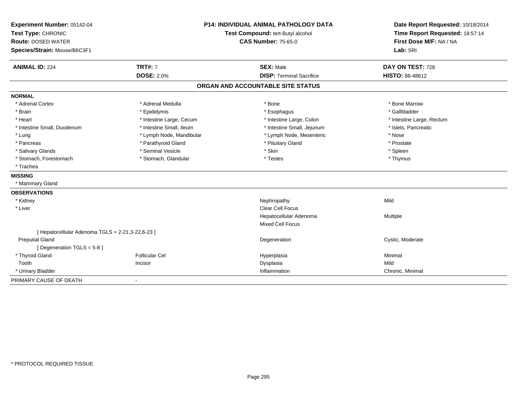| Experiment Number: 05142-04                      |                          | <b>P14: INDIVIDUAL ANIMAL PATHOLOGY DATA</b> | Date Report Requested: 10/18/2014 |
|--------------------------------------------------|--------------------------|----------------------------------------------|-----------------------------------|
| Test Type: CHRONIC                               |                          | Test Compound: tert-Butyl alcohol            | Time Report Requested: 18:57:14   |
| <b>Route: DOSED WATER</b>                        |                          | <b>CAS Number: 75-65-0</b>                   | First Dose M/F: NA / NA           |
| Species/Strain: Mouse/B6C3F1                     |                          |                                              | Lab: SRI                          |
| <b>ANIMAL ID: 224</b>                            | <b>TRT#: 7</b>           | <b>SEX: Male</b>                             | DAY ON TEST: 728                  |
|                                                  | <b>DOSE: 2.0%</b>        | <b>DISP: Terminal Sacrifice</b>              | <b>HISTO: 88-48612</b>            |
|                                                  |                          | ORGAN AND ACCOUNTABLE SITE STATUS            |                                   |
| <b>NORMAL</b>                                    |                          |                                              |                                   |
| * Adrenal Cortex                                 | * Adrenal Medulla        | * Bone                                       | * Bone Marrow                     |
| * Brain                                          | * Epididymis             | * Esophagus                                  | * Gallbladder                     |
| * Heart                                          | * Intestine Large, Cecum | * Intestine Large, Colon                     | * Intestine Large, Rectum         |
| * Intestine Small, Duodenum                      | * Intestine Small, Ileum | * Intestine Small, Jejunum                   | * Islets, Pancreatic              |
| * Lung                                           | * Lymph Node, Mandibular | * Lymph Node, Mesenteric                     | * Nose                            |
| * Pancreas                                       | * Parathyroid Gland      | * Pituitary Gland                            | * Prostate                        |
| * Salivary Glands                                | * Seminal Vesicle        | * Skin                                       | * Spleen                          |
| * Stomach, Forestomach                           | * Stomach, Glandular     | * Testes                                     | * Thymus                          |
| * Trachea                                        |                          |                                              |                                   |
| <b>MISSING</b>                                   |                          |                                              |                                   |
| * Mammary Gland                                  |                          |                                              |                                   |
| <b>OBSERVATIONS</b>                              |                          |                                              |                                   |
| * Kidney                                         |                          | Nephropathy                                  | Mild                              |
| * Liver                                          |                          | Clear Cell Focus                             |                                   |
|                                                  |                          | Hepatocellular Adenoma                       | Multiple                          |
|                                                  |                          | <b>Mixed Cell Focus</b>                      |                                   |
| [ Hepatocellular Adenoma TGLS = 2-21,3-22,6-23 ] |                          |                                              |                                   |
| <b>Preputial Gland</b>                           |                          | Degeneration                                 | Cystic, Moderate                  |
| [ Degeneration TGLS = 5-8 ]                      |                          |                                              |                                   |
| * Thyroid Gland                                  | <b>Follicular Cel</b>    | Hyperplasia                                  | Minimal                           |
| Tooth                                            | Incisor                  | Dysplasia                                    | Mild                              |
| * Urinary Bladder                                |                          | Inflammation                                 | Chronic, Minimal                  |
| PRIMARY CAUSE OF DEATH                           |                          |                                              |                                   |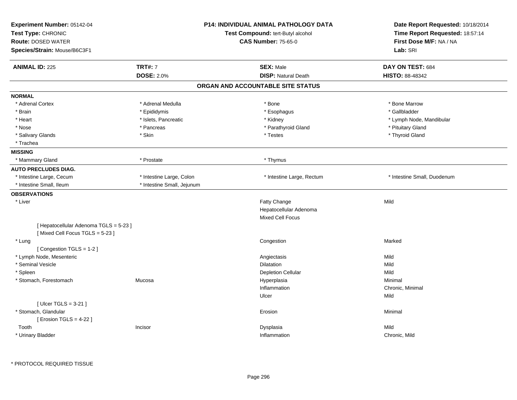| Experiment Number: 05142-04<br>Test Type: CHRONIC<br><b>Route: DOSED WATER</b><br>Species/Strain: Mouse/B6C3F1 |                            | <b>P14: INDIVIDUAL ANIMAL PATHOLOGY DATA</b><br>Test Compound: tert-Butyl alcohol<br><b>CAS Number: 75-65-0</b> | Date Report Requested: 10/18/2014<br>Time Report Requested: 18:57:14<br>First Dose M/F: NA / NA<br>Lab: SRI |
|----------------------------------------------------------------------------------------------------------------|----------------------------|-----------------------------------------------------------------------------------------------------------------|-------------------------------------------------------------------------------------------------------------|
| <b>ANIMAL ID: 225</b>                                                                                          | <b>TRT#: 7</b>             | <b>SEX: Male</b>                                                                                                | DAY ON TEST: 684                                                                                            |
|                                                                                                                | <b>DOSE: 2.0%</b>          | <b>DISP: Natural Death</b>                                                                                      | <b>HISTO: 88-48342</b>                                                                                      |
|                                                                                                                |                            | ORGAN AND ACCOUNTABLE SITE STATUS                                                                               |                                                                                                             |
| <b>NORMAL</b>                                                                                                  |                            |                                                                                                                 |                                                                                                             |
| * Adrenal Cortex                                                                                               | * Adrenal Medulla          | * Bone                                                                                                          | * Bone Marrow                                                                                               |
| * Brain                                                                                                        | * Epididymis               | * Esophagus                                                                                                     | * Gallbladder                                                                                               |
| * Heart                                                                                                        | * Islets, Pancreatic       | * Kidney                                                                                                        | * Lymph Node, Mandibular                                                                                    |
| * Nose                                                                                                         | * Pancreas                 | * Parathyroid Gland                                                                                             | * Pituitary Gland                                                                                           |
| * Salivary Glands                                                                                              | * Skin                     | * Testes                                                                                                        | * Thyroid Gland                                                                                             |
| * Trachea                                                                                                      |                            |                                                                                                                 |                                                                                                             |
| <b>MISSING</b>                                                                                                 |                            |                                                                                                                 |                                                                                                             |
| * Mammary Gland                                                                                                | * Prostate                 | * Thymus                                                                                                        |                                                                                                             |
| <b>AUTO PRECLUDES DIAG.</b>                                                                                    |                            |                                                                                                                 |                                                                                                             |
| * Intestine Large, Cecum                                                                                       | * Intestine Large, Colon   | * Intestine Large, Rectum                                                                                       | * Intestine Small, Duodenum                                                                                 |
| * Intestine Small, Ileum                                                                                       | * Intestine Small, Jejunum |                                                                                                                 |                                                                                                             |
| <b>OBSERVATIONS</b>                                                                                            |                            |                                                                                                                 |                                                                                                             |
| * Liver                                                                                                        |                            | Fatty Change                                                                                                    | Mild                                                                                                        |
|                                                                                                                |                            | Hepatocellular Adenoma                                                                                          |                                                                                                             |
|                                                                                                                |                            | <b>Mixed Cell Focus</b>                                                                                         |                                                                                                             |
| [ Hepatocellular Adenoma TGLS = 5-23 ]<br>[Mixed Cell Focus TGLS = 5-23]                                       |                            |                                                                                                                 |                                                                                                             |
| * Lung                                                                                                         |                            | Congestion                                                                                                      | Marked                                                                                                      |
| [Congestion TGLS = 1-2]                                                                                        |                            |                                                                                                                 |                                                                                                             |
| * Lymph Node, Mesenteric                                                                                       |                            | Angiectasis                                                                                                     | Mild                                                                                                        |
| * Seminal Vesicle                                                                                              |                            | Dilatation                                                                                                      | Mild                                                                                                        |
| * Spleen                                                                                                       |                            | <b>Depletion Cellular</b>                                                                                       | Mild                                                                                                        |
| * Stomach, Forestomach                                                                                         | Mucosa                     | Hyperplasia                                                                                                     | Minimal                                                                                                     |
|                                                                                                                |                            | Inflammation                                                                                                    | Chronic, Minimal                                                                                            |
|                                                                                                                |                            | Ulcer                                                                                                           | Mild                                                                                                        |
| [ $Ulec$ TGLS = 3-21 ]                                                                                         |                            |                                                                                                                 |                                                                                                             |
| * Stomach, Glandular                                                                                           |                            | Erosion                                                                                                         | Minimal                                                                                                     |
| [ Erosion TGLS = $4-22$ ]                                                                                      |                            |                                                                                                                 |                                                                                                             |
| Tooth                                                                                                          | Incisor                    | Dysplasia                                                                                                       | Mild                                                                                                        |
| * Urinary Bladder                                                                                              |                            | Inflammation                                                                                                    | Chronic, Mild                                                                                               |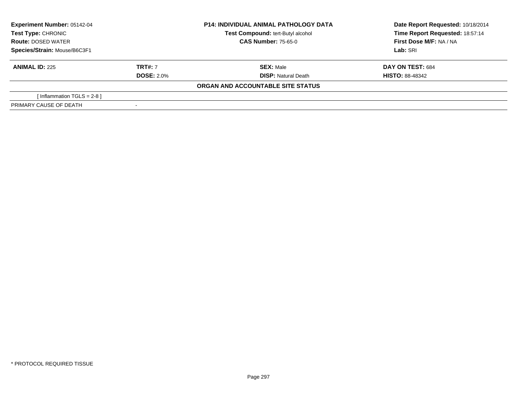| <b>Experiment Number: 05142-04</b><br>Test Type: CHRONIC<br><b>Route: DOSED WATER</b><br>Species/Strain: Mouse/B6C3F1 |                   | <b>P14: INDIVIDUAL ANIMAL PATHOLOGY DATA</b> | Date Report Requested: 10/18/2014 |  |
|-----------------------------------------------------------------------------------------------------------------------|-------------------|----------------------------------------------|-----------------------------------|--|
|                                                                                                                       |                   | Test Compound: tert-Butyl alcohol            | Time Report Requested: 18:57:14   |  |
|                                                                                                                       |                   | <b>CAS Number: 75-65-0</b>                   | First Dose M/F: NA / NA           |  |
|                                                                                                                       |                   |                                              | Lab: SRI                          |  |
| <b>ANIMAL ID: 225</b>                                                                                                 | <b>TRT#: 7</b>    | <b>SEX: Male</b>                             | <b>DAY ON TEST: 684</b>           |  |
|                                                                                                                       | <b>DOSE: 2.0%</b> | <b>DISP:</b> Natural Death                   | <b>HISTO: 88-48342</b>            |  |
|                                                                                                                       |                   | ORGAN AND ACCOUNTABLE SITE STATUS            |                                   |  |
| [Inflammation TGLS = 2-8 ]                                                                                            |                   |                                              |                                   |  |
| PRIMARY CAUSE OF DEATH                                                                                                |                   |                                              |                                   |  |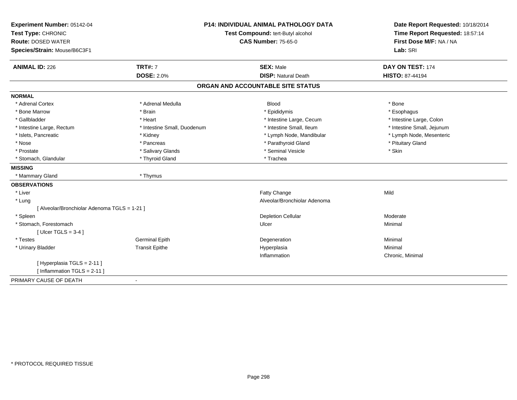| Experiment Number: 05142-04                  |                                   | <b>P14: INDIVIDUAL ANIMAL PATHOLOGY DATA</b> | Date Report Requested: 10/18/2014 |
|----------------------------------------------|-----------------------------------|----------------------------------------------|-----------------------------------|
| Test Type: CHRONIC                           | Test Compound: tert-Butyl alcohol |                                              | Time Report Requested: 18:57:14   |
| <b>Route: DOSED WATER</b>                    |                                   | <b>CAS Number: 75-65-0</b>                   | First Dose M/F: NA / NA           |
| Species/Strain: Mouse/B6C3F1                 |                                   |                                              | Lab: SRI                          |
| <b>ANIMAL ID: 226</b>                        | <b>TRT#: 7</b>                    | <b>SEX: Male</b>                             | DAY ON TEST: 174                  |
|                                              | <b>DOSE: 2.0%</b>                 | <b>DISP: Natural Death</b>                   | HISTO: 87-44194                   |
|                                              |                                   | ORGAN AND ACCOUNTABLE SITE STATUS            |                                   |
| <b>NORMAL</b>                                |                                   |                                              |                                   |
| * Adrenal Cortex                             | * Adrenal Medulla                 | <b>Blood</b>                                 | * Bone                            |
| * Bone Marrow                                | * Brain                           | * Epididymis                                 | * Esophagus                       |
| * Gallbladder                                | * Heart                           | * Intestine Large, Cecum                     | * Intestine Large, Colon          |
| * Intestine Large, Rectum                    | * Intestine Small, Duodenum       | * Intestine Small, Ileum                     | * Intestine Small, Jejunum        |
| * Islets, Pancreatic                         | * Kidney                          | * Lymph Node, Mandibular                     | * Lymph Node, Mesenteric          |
| * Nose                                       | * Pancreas                        | * Parathyroid Gland                          | * Pituitary Gland                 |
| * Prostate                                   | * Salivary Glands                 | * Seminal Vesicle                            | * Skin                            |
| * Stomach, Glandular                         | * Thyroid Gland                   | * Trachea                                    |                                   |
| <b>MISSING</b>                               |                                   |                                              |                                   |
| * Mammary Gland                              | * Thymus                          |                                              |                                   |
| <b>OBSERVATIONS</b>                          |                                   |                                              |                                   |
| * Liver                                      |                                   | Fatty Change                                 | Mild                              |
| * Lung                                       |                                   | Alveolar/Bronchiolar Adenoma                 |                                   |
| [ Alveolar/Bronchiolar Adenoma TGLS = 1-21 ] |                                   |                                              |                                   |
| * Spleen                                     |                                   | <b>Depletion Cellular</b>                    | Moderate                          |
| * Stomach, Forestomach                       |                                   | Ulcer                                        | Minimal                           |
| [ $Ulcer TGLS = 3-4$ ]                       |                                   |                                              |                                   |
| * Testes                                     | <b>Germinal Epith</b>             | Degeneration                                 | Minimal                           |
| * Urinary Bladder                            | <b>Transit Epithe</b>             | Hyperplasia                                  | Minimal                           |
|                                              |                                   | Inflammation                                 | Chronic, Minimal                  |
| [Hyperplasia TGLS = 2-11]                    |                                   |                                              |                                   |
| [Inflammation TGLS = $2-11$ ]                |                                   |                                              |                                   |
| PRIMARY CAUSE OF DEATH                       | $\blacksquare$                    |                                              |                                   |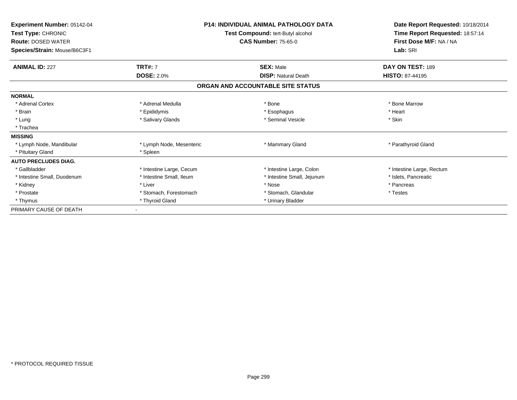| Experiment Number: 05142-04<br>Test Type: CHRONIC<br><b>Route: DOSED WATER</b><br>Species/Strain: Mouse/B6C3F1 |                          | <b>P14: INDIVIDUAL ANIMAL PATHOLOGY DATA</b><br>Test Compound: tert-Butyl alcohol<br><b>CAS Number: 75-65-0</b> | Date Report Requested: 10/18/2014<br>Time Report Requested: 18:57:14<br>First Dose M/F: NA / NA<br>Lab: SRI |
|----------------------------------------------------------------------------------------------------------------|--------------------------|-----------------------------------------------------------------------------------------------------------------|-------------------------------------------------------------------------------------------------------------|
| <b>ANIMAL ID: 227</b>                                                                                          | <b>TRT#: 7</b>           | <b>SEX: Male</b>                                                                                                | DAY ON TEST: 189                                                                                            |
|                                                                                                                | <b>DOSE: 2.0%</b>        | <b>DISP: Natural Death</b>                                                                                      | <b>HISTO: 87-44195</b>                                                                                      |
|                                                                                                                |                          | ORGAN AND ACCOUNTABLE SITE STATUS                                                                               |                                                                                                             |
| <b>NORMAL</b>                                                                                                  |                          |                                                                                                                 |                                                                                                             |
| * Adrenal Cortex                                                                                               | * Adrenal Medulla        | * Bone                                                                                                          | * Bone Marrow                                                                                               |
| * Brain                                                                                                        | * Epididymis             | * Esophagus                                                                                                     | * Heart                                                                                                     |
| * Lung                                                                                                         | * Salivary Glands        | * Seminal Vesicle                                                                                               | * Skin                                                                                                      |
| * Trachea                                                                                                      |                          |                                                                                                                 |                                                                                                             |
| <b>MISSING</b>                                                                                                 |                          |                                                                                                                 |                                                                                                             |
| * Lymph Node, Mandibular                                                                                       | * Lymph Node, Mesenteric | * Mammary Gland                                                                                                 | * Parathyroid Gland                                                                                         |
| * Pituitary Gland                                                                                              | * Spleen                 |                                                                                                                 |                                                                                                             |
| <b>AUTO PRECLUDES DIAG.</b>                                                                                    |                          |                                                                                                                 |                                                                                                             |
| * Gallbladder                                                                                                  | * Intestine Large, Cecum | * Intestine Large, Colon                                                                                        | * Intestine Large, Rectum                                                                                   |
| * Intestine Small, Duodenum                                                                                    | * Intestine Small, Ileum | * Intestine Small, Jejunum                                                                                      | * Islets. Pancreatic                                                                                        |
| * Kidney                                                                                                       | * Liver                  | * Nose                                                                                                          | * Pancreas                                                                                                  |
| * Prostate                                                                                                     | * Stomach, Forestomach   | * Stomach, Glandular                                                                                            | * Testes                                                                                                    |
| * Thymus                                                                                                       | * Thyroid Gland          | * Urinary Bladder                                                                                               |                                                                                                             |
| PRIMARY CAUSE OF DEATH                                                                                         |                          |                                                                                                                 |                                                                                                             |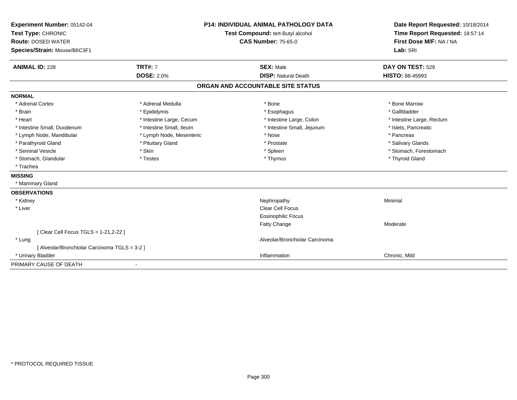| Experiment Number: 05142-04                             |                          | <b>P14: INDIVIDUAL ANIMAL PATHOLOGY DATA</b> | Date Report Requested: 10/18/2014 |
|---------------------------------------------------------|--------------------------|----------------------------------------------|-----------------------------------|
| Test Type: CHRONIC<br>Test Compound: tert-Butyl alcohol |                          |                                              | Time Report Requested: 18:57:14   |
| <b>Route: DOSED WATER</b>                               |                          | <b>CAS Number: 75-65-0</b>                   | First Dose M/F: NA / NA           |
| Species/Strain: Mouse/B6C3F1                            |                          |                                              | Lab: SRI                          |
| <b>ANIMAL ID: 228</b>                                   | <b>TRT#: 7</b>           | <b>SEX: Male</b>                             | DAY ON TEST: 529                  |
|                                                         | <b>DOSE: 2.0%</b>        | <b>DISP: Natural Death</b>                   | <b>HISTO: 88-45993</b>            |
|                                                         |                          | ORGAN AND ACCOUNTABLE SITE STATUS            |                                   |
| <b>NORMAL</b>                                           |                          |                                              |                                   |
| * Adrenal Cortex                                        | * Adrenal Medulla        | * Bone                                       | * Bone Marrow                     |
| * Brain                                                 | * Epididymis             | * Esophagus                                  | * Gallbladder                     |
| * Heart                                                 | * Intestine Large, Cecum | * Intestine Large, Colon                     | * Intestine Large, Rectum         |
| * Intestine Small, Duodenum                             | * Intestine Small, Ileum | * Intestine Small, Jejunum                   | * Islets, Pancreatic              |
| * Lymph Node, Mandibular                                | * Lymph Node, Mesenteric | * Nose                                       | * Pancreas                        |
| * Parathyroid Gland                                     | * Pituitary Gland        | * Prostate                                   | * Salivary Glands                 |
| * Seminal Vesicle                                       | * Skin                   | * Spleen                                     | * Stomach, Forestomach            |
| * Stomach, Glandular                                    | * Testes                 | * Thymus                                     | * Thyroid Gland                   |
| * Trachea                                               |                          |                                              |                                   |
| <b>MISSING</b>                                          |                          |                                              |                                   |
| * Mammary Gland                                         |                          |                                              |                                   |
| <b>OBSERVATIONS</b>                                     |                          |                                              |                                   |
| * Kidney                                                |                          | Nephropathy                                  | Minimal                           |
| * Liver                                                 |                          | Clear Cell Focus                             |                                   |
|                                                         |                          | <b>Eosinophilic Focus</b>                    |                                   |
|                                                         |                          | Fatty Change                                 | Moderate                          |
| [ Clear Cell Focus TGLS = 1-21,2-22 ]                   |                          |                                              |                                   |
| * Lung                                                  |                          | Alveolar/Bronchiolar Carcinoma               |                                   |
| [ Alveolar/Bronchiolar Carcinoma TGLS = 3-2 ]           |                          |                                              |                                   |
| * Urinary Bladder                                       |                          | Inflammation                                 | Chronic, Mild                     |
| PRIMARY CAUSE OF DEATH                                  |                          |                                              |                                   |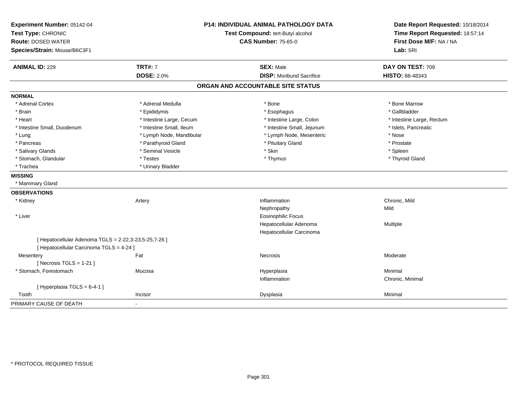| Experiment Number: 05142-04<br>Test Type: CHRONIC<br><b>Route: DOSED WATER</b><br>Species/Strain: Mouse/B6C3F1 |                                     | <b>P14: INDIVIDUAL ANIMAL PATHOLOGY DATA</b><br>Test Compound: tert-Butyl alcohol<br><b>CAS Number: 75-65-0</b> | Date Report Requested: 10/18/2014<br>Time Report Requested: 18:57:14<br>First Dose M/F: NA / NA<br>Lab: SRI |
|----------------------------------------------------------------------------------------------------------------|-------------------------------------|-----------------------------------------------------------------------------------------------------------------|-------------------------------------------------------------------------------------------------------------|
| <b>ANIMAL ID: 229</b>                                                                                          | <b>TRT#: 7</b><br><b>DOSE: 2.0%</b> | <b>SEX: Male</b><br><b>DISP:</b> Moribund Sacrifice                                                             | DAY ON TEST: 709<br>HISTO: 88-48343                                                                         |
|                                                                                                                |                                     | ORGAN AND ACCOUNTABLE SITE STATUS                                                                               |                                                                                                             |
| <b>NORMAL</b>                                                                                                  |                                     |                                                                                                                 |                                                                                                             |
| * Adrenal Cortex                                                                                               | * Adrenal Medulla                   | * Bone                                                                                                          | * Bone Marrow                                                                                               |
| * Brain                                                                                                        | * Epididymis                        | * Esophagus                                                                                                     | * Gallbladder                                                                                               |
| * Heart                                                                                                        | * Intestine Large, Cecum            | * Intestine Large, Colon                                                                                        | * Intestine Large, Rectum                                                                                   |
| * Intestine Small, Duodenum                                                                                    | * Intestine Small, Ileum            | * Intestine Small, Jejunum                                                                                      | * Islets, Pancreatic                                                                                        |
| * Lung                                                                                                         | * Lymph Node, Mandibular            | * Lymph Node, Mesenteric                                                                                        | * Nose                                                                                                      |
| * Pancreas                                                                                                     | * Parathyroid Gland                 | * Pituitary Gland                                                                                               | * Prostate                                                                                                  |
| * Salivary Glands                                                                                              | * Seminal Vesicle                   | * Skin                                                                                                          | * Spleen                                                                                                    |
| * Stomach, Glandular                                                                                           | * Testes                            | * Thymus                                                                                                        | * Thyroid Gland                                                                                             |
| * Trachea                                                                                                      | * Urinary Bladder                   |                                                                                                                 |                                                                                                             |
| <b>MISSING</b>                                                                                                 |                                     |                                                                                                                 |                                                                                                             |
| * Mammary Gland                                                                                                |                                     |                                                                                                                 |                                                                                                             |
| <b>OBSERVATIONS</b>                                                                                            |                                     |                                                                                                                 |                                                                                                             |
| * Kidney                                                                                                       | Artery                              | Inflammation                                                                                                    | Chronic, Mild                                                                                               |
|                                                                                                                |                                     | Nephropathy                                                                                                     | Mild                                                                                                        |
| * Liver                                                                                                        |                                     | <b>Eosinophilic Focus</b>                                                                                       |                                                                                                             |
|                                                                                                                |                                     | Hepatocellular Adenoma                                                                                          | Multiple                                                                                                    |
|                                                                                                                |                                     | Hepatocellular Carcinoma                                                                                        |                                                                                                             |
| [ Hepatocellular Adenoma TGLS = 2-22,3-23,5-25,7-26 ]                                                          |                                     |                                                                                                                 |                                                                                                             |
| [ Hepatocellular Carcinoma TGLS = 4-24 ]                                                                       |                                     |                                                                                                                 |                                                                                                             |
| Mesentery                                                                                                      | Fat                                 | <b>Necrosis</b>                                                                                                 | Moderate                                                                                                    |
| [Necrosis $TGLS = 1-21$ ]                                                                                      |                                     |                                                                                                                 |                                                                                                             |
| * Stomach, Forestomach                                                                                         | Mucosa                              | Hyperplasia                                                                                                     | Minimal                                                                                                     |
|                                                                                                                |                                     | Inflammation                                                                                                    | Chronic, Minimal                                                                                            |
| [Hyperplasia TGLS = 6-4-1]                                                                                     |                                     |                                                                                                                 |                                                                                                             |
| Tooth                                                                                                          | Incisor                             | Dysplasia                                                                                                       | Minimal                                                                                                     |
| PRIMARY CAUSE OF DEATH                                                                                         | $\blacksquare$                      |                                                                                                                 |                                                                                                             |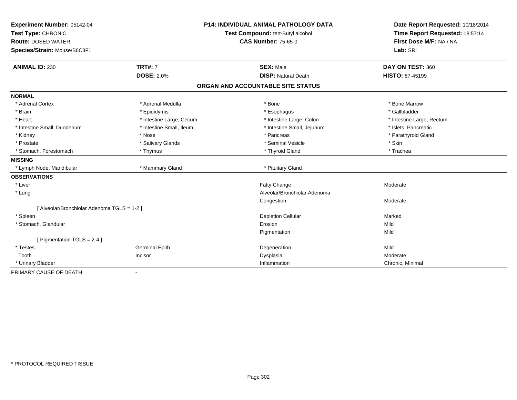| Experiment Number: 05142-04                 | <b>P14: INDIVIDUAL ANIMAL PATHOLOGY DATA</b> |                                   | Date Report Requested: 10/18/2014                          |
|---------------------------------------------|----------------------------------------------|-----------------------------------|------------------------------------------------------------|
| Test Type: CHRONIC                          |                                              | Test Compound: tert-Butyl alcohol | Time Report Requested: 18:57:14<br>First Dose M/F: NA / NA |
| <b>Route: DOSED WATER</b>                   |                                              | <b>CAS Number: 75-65-0</b>        |                                                            |
| Species/Strain: Mouse/B6C3F1                |                                              |                                   | Lab: SRI                                                   |
| <b>ANIMAL ID: 230</b>                       | <b>TRT#: 7</b>                               | <b>SEX: Male</b>                  | DAY ON TEST: 360                                           |
|                                             | <b>DOSE: 2.0%</b>                            | <b>DISP: Natural Death</b>        | <b>HISTO: 87-45199</b>                                     |
|                                             |                                              | ORGAN AND ACCOUNTABLE SITE STATUS |                                                            |
| <b>NORMAL</b>                               |                                              |                                   |                                                            |
| * Adrenal Cortex                            | * Adrenal Medulla                            | * Bone                            | * Bone Marrow                                              |
| * Brain                                     | * Epididymis                                 | * Esophagus                       | * Gallbladder                                              |
| * Heart                                     | * Intestine Large, Cecum                     | * Intestine Large, Colon          | * Intestine Large, Rectum                                  |
| * Intestine Small, Duodenum                 | * Intestine Small, Ileum                     | * Intestine Small, Jejunum        | * Islets, Pancreatic                                       |
| * Kidney                                    | * Nose                                       | * Pancreas                        | * Parathyroid Gland                                        |
| * Prostate                                  | * Salivary Glands                            | * Seminal Vesicle                 | * Skin                                                     |
| * Stomach, Forestomach                      | * Thymus                                     | * Thyroid Gland                   | * Trachea                                                  |
| <b>MISSING</b>                              |                                              |                                   |                                                            |
| * Lymph Node, Mandibular                    | * Mammary Gland                              | * Pituitary Gland                 |                                                            |
| <b>OBSERVATIONS</b>                         |                                              |                                   |                                                            |
| * Liver                                     |                                              | Fatty Change                      | Moderate                                                   |
| * Lung                                      |                                              | Alveolar/Bronchiolar Adenoma      |                                                            |
|                                             |                                              | Congestion                        | Moderate                                                   |
| [ Alveolar/Bronchiolar Adenoma TGLS = 1-2 ] |                                              |                                   |                                                            |
| * Spleen                                    |                                              | <b>Depletion Cellular</b>         | Marked                                                     |
| * Stomach, Glandular                        |                                              | Erosion                           | Mild                                                       |
|                                             |                                              | Pigmentation                      | Mild                                                       |
| [ Pigmentation TGLS = 2-4 ]                 |                                              |                                   |                                                            |
| * Testes                                    | <b>Germinal Epith</b>                        | Degeneration                      | Mild                                                       |
| Tooth                                       | Incisor                                      | Dysplasia                         | Moderate                                                   |
| * Urinary Bladder                           |                                              | Inflammation                      | Chronic, Minimal                                           |
| PRIMARY CAUSE OF DEATH                      |                                              |                                   |                                                            |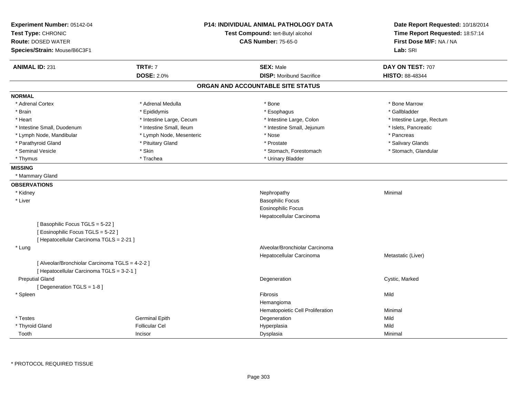| Experiment Number: 05142-04<br>Test Type: CHRONIC<br><b>Route: DOSED WATER</b> |                          | <b>P14: INDIVIDUAL ANIMAL PATHOLOGY DATA</b><br>Test Compound: tert-Butyl alcohol<br><b>CAS Number: 75-65-0</b> | Date Report Requested: 10/18/2014<br>Time Report Requested: 18:57:14<br>First Dose M/F: NA / NA |
|--------------------------------------------------------------------------------|--------------------------|-----------------------------------------------------------------------------------------------------------------|-------------------------------------------------------------------------------------------------|
| Species/Strain: Mouse/B6C3F1                                                   |                          |                                                                                                                 | Lab: SRI                                                                                        |
| <b>ANIMAL ID: 231</b>                                                          | <b>TRT#: 7</b>           | <b>SEX: Male</b>                                                                                                | DAY ON TEST: 707                                                                                |
|                                                                                | <b>DOSE: 2.0%</b>        | <b>DISP:</b> Moribund Sacrifice                                                                                 | HISTO: 88-48344                                                                                 |
|                                                                                |                          | ORGAN AND ACCOUNTABLE SITE STATUS                                                                               |                                                                                                 |
| <b>NORMAL</b>                                                                  |                          |                                                                                                                 |                                                                                                 |
| * Adrenal Cortex                                                               | * Adrenal Medulla        | * Bone                                                                                                          | * Bone Marrow                                                                                   |
| * Brain                                                                        | * Epididymis             | * Esophagus                                                                                                     | * Gallbladder                                                                                   |
| * Heart                                                                        | * Intestine Large, Cecum | * Intestine Large, Colon                                                                                        | * Intestine Large, Rectum                                                                       |
| * Intestine Small, Duodenum                                                    | * Intestine Small, Ileum | * Intestine Small, Jejunum                                                                                      | * Islets, Pancreatic                                                                            |
| * Lymph Node, Mandibular                                                       | * Lymph Node, Mesenteric | * Nose                                                                                                          | * Pancreas                                                                                      |
| * Parathyroid Gland                                                            | * Pituitary Gland        | * Prostate                                                                                                      | * Salivary Glands                                                                               |
| * Seminal Vesicle                                                              | * Skin                   | * Stomach, Forestomach                                                                                          | * Stomach, Glandular                                                                            |
| * Thymus                                                                       | * Trachea                | * Urinary Bladder                                                                                               |                                                                                                 |
| <b>MISSING</b>                                                                 |                          |                                                                                                                 |                                                                                                 |
| * Mammary Gland                                                                |                          |                                                                                                                 |                                                                                                 |
| <b>OBSERVATIONS</b>                                                            |                          |                                                                                                                 |                                                                                                 |
| * Kidney                                                                       |                          | Nephropathy                                                                                                     | Minimal                                                                                         |
| * Liver                                                                        |                          | <b>Basophilic Focus</b>                                                                                         |                                                                                                 |
|                                                                                |                          | Eosinophilic Focus                                                                                              |                                                                                                 |
|                                                                                |                          | Hepatocellular Carcinoma                                                                                        |                                                                                                 |
| [Basophilic Focus TGLS = 5-22]                                                 |                          |                                                                                                                 |                                                                                                 |
| [Eosinophilic Focus TGLS = 5-22]                                               |                          |                                                                                                                 |                                                                                                 |
| [ Hepatocellular Carcinoma TGLS = 2-21 ]                                       |                          |                                                                                                                 |                                                                                                 |
| * Lung                                                                         |                          | Alveolar/Bronchiolar Carcinoma                                                                                  |                                                                                                 |
|                                                                                |                          | Hepatocellular Carcinoma                                                                                        | Metastatic (Liver)                                                                              |
| [ Alveolar/Bronchiolar Carcinoma TGLS = 4-2-2 ]                                |                          |                                                                                                                 |                                                                                                 |
| [ Hepatocellular Carcinoma TGLS = 3-2-1 ]                                      |                          |                                                                                                                 |                                                                                                 |
| <b>Preputial Gland</b>                                                         |                          | Degeneration                                                                                                    | Cystic, Marked                                                                                  |
| [Degeneration TGLS = 1-8]                                                      |                          |                                                                                                                 |                                                                                                 |
| * Spleen                                                                       |                          | Fibrosis                                                                                                        | Mild                                                                                            |
|                                                                                |                          | Hemangioma                                                                                                      |                                                                                                 |
|                                                                                |                          | Hematopoietic Cell Proliferation                                                                                | Minimal                                                                                         |
| * Testes                                                                       | <b>Germinal Epith</b>    | Degeneration                                                                                                    | Mild                                                                                            |
| * Thyroid Gland                                                                | <b>Follicular Cel</b>    | Hyperplasia                                                                                                     | Mild                                                                                            |
| Tooth                                                                          | Incisor                  | Dysplasia                                                                                                       | Minimal                                                                                         |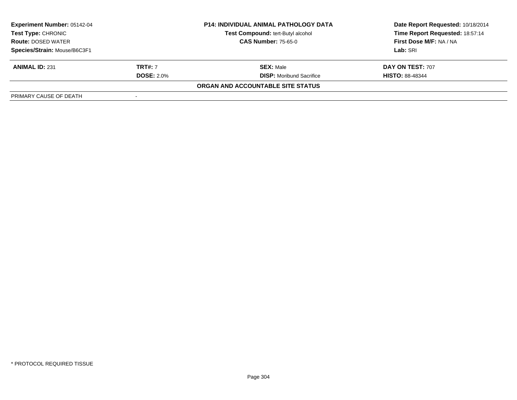| <b>Experiment Number: 05142-04</b> |                   | <b>P14: INDIVIDUAL ANIMAL PATHOLOGY DATA</b> | Date Report Requested: 10/18/2014 |  |
|------------------------------------|-------------------|----------------------------------------------|-----------------------------------|--|
| <b>Test Type: CHRONIC</b>          |                   | <b>Test Compound: tert-Butyl alcohol</b>     | Time Report Requested: 18:57:14   |  |
| <b>Route: DOSED WATER</b>          |                   | <b>CAS Number: 75-65-0</b>                   | First Dose M/F: NA / NA           |  |
| Species/Strain: Mouse/B6C3F1       |                   |                                              | Lab: SRI                          |  |
| <b>ANIMAL ID: 231</b>              | <b>TRT#:</b> 7    | <b>SEX: Male</b>                             | DAY ON TEST: 707                  |  |
|                                    | <b>DOSE: 2.0%</b> | <b>DISP:</b> Moribund Sacrifice              | <b>HISTO: 88-48344</b>            |  |
|                                    |                   | ORGAN AND ACCOUNTABLE SITE STATUS            |                                   |  |
| PRIMARY CAUSE OF DEATH             |                   |                                              |                                   |  |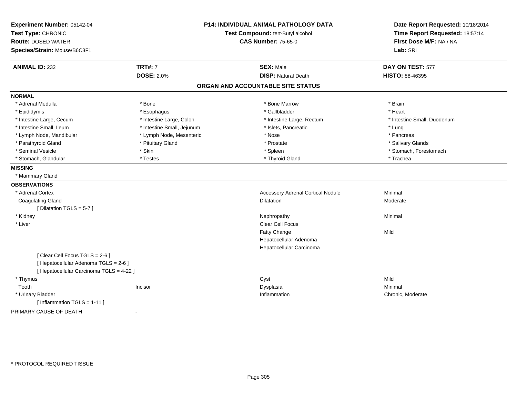| Experiment Number: 05142-04              |                                   | <b>P14: INDIVIDUAL ANIMAL PATHOLOGY DATA</b> | Date Report Requested: 10/18/2014 |
|------------------------------------------|-----------------------------------|----------------------------------------------|-----------------------------------|
| Test Type: CHRONIC                       | Test Compound: tert-Butyl alcohol |                                              | Time Report Requested: 18:57:14   |
| <b>Route: DOSED WATER</b>                |                                   | <b>CAS Number: 75-65-0</b>                   | First Dose M/F: NA / NA           |
| Species/Strain: Mouse/B6C3F1             |                                   |                                              | Lab: SRI                          |
| <b>ANIMAL ID: 232</b>                    | <b>TRT#: 7</b>                    | <b>SEX: Male</b>                             | DAY ON TEST: 577                  |
|                                          | <b>DOSE: 2.0%</b>                 | <b>DISP: Natural Death</b>                   | HISTO: 88-46395                   |
|                                          |                                   | ORGAN AND ACCOUNTABLE SITE STATUS            |                                   |
| <b>NORMAL</b>                            |                                   |                                              |                                   |
| * Adrenal Medulla                        | * Bone                            | * Bone Marrow                                | * Brain                           |
| * Epididymis                             | * Esophagus                       | * Gallbladder                                | * Heart                           |
| * Intestine Large, Cecum                 | * Intestine Large, Colon          | * Intestine Large, Rectum                    | * Intestine Small, Duodenum       |
| * Intestine Small. Ileum                 | * Intestine Small, Jejunum        | * Islets, Pancreatic                         | * Lung                            |
| * Lymph Node, Mandibular                 | * Lymph Node, Mesenteric          | * Nose                                       | * Pancreas                        |
| * Parathyroid Gland                      | * Pituitary Gland                 | * Prostate                                   | * Salivary Glands                 |
| * Seminal Vesicle                        | * Skin                            | * Spleen                                     | * Stomach, Forestomach            |
| * Stomach, Glandular                     | * Testes                          | * Thyroid Gland                              | * Trachea                         |
| <b>MISSING</b>                           |                                   |                                              |                                   |
| * Mammary Gland                          |                                   |                                              |                                   |
| <b>OBSERVATIONS</b>                      |                                   |                                              |                                   |
| * Adrenal Cortex                         |                                   | <b>Accessory Adrenal Cortical Nodule</b>     | Minimal                           |
| <b>Coagulating Gland</b>                 |                                   | <b>Dilatation</b>                            | Moderate                          |
| [ Dilatation TGLS = $5-7$ ]              |                                   |                                              |                                   |
| * Kidney                                 |                                   | Nephropathy                                  | Minimal                           |
| * Liver                                  |                                   | <b>Clear Cell Focus</b>                      |                                   |
|                                          |                                   | Fatty Change                                 | Mild                              |
|                                          |                                   | Hepatocellular Adenoma                       |                                   |
|                                          |                                   | Hepatocellular Carcinoma                     |                                   |
| [Clear Cell Focus TGLS = 2-6]            |                                   |                                              |                                   |
| [ Hepatocellular Adenoma TGLS = 2-6 ]    |                                   |                                              |                                   |
| [ Hepatocellular Carcinoma TGLS = 4-22 ] |                                   |                                              |                                   |
| * Thymus                                 |                                   | Cyst                                         | Mild                              |
| Tooth                                    | Incisor                           | Dysplasia                                    | Minimal                           |
| * Urinary Bladder                        |                                   | Inflammation                                 | Chronic, Moderate                 |
| [Inflammation TGLS = $1-11$ ]            |                                   |                                              |                                   |
| PRIMARY CAUSE OF DEATH                   | $\blacksquare$                    |                                              |                                   |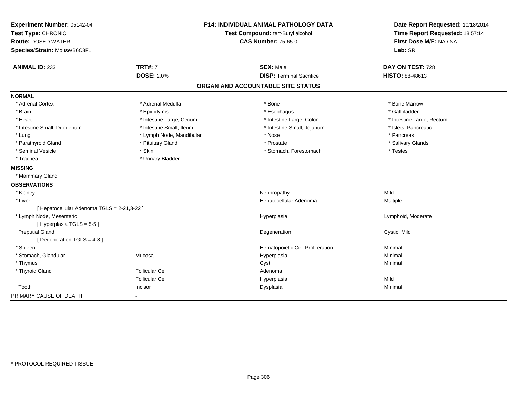| Experiment Number: 05142-04                 |                                   | <b>P14: INDIVIDUAL ANIMAL PATHOLOGY DATA</b> | Date Report Requested: 10/18/2014 |
|---------------------------------------------|-----------------------------------|----------------------------------------------|-----------------------------------|
| Test Type: CHRONIC                          | Test Compound: tert-Butyl alcohol |                                              | Time Report Requested: 18:57:14   |
| <b>Route: DOSED WATER</b>                   |                                   | <b>CAS Number: 75-65-0</b>                   | First Dose M/F: NA / NA           |
| Species/Strain: Mouse/B6C3F1                |                                   |                                              | Lab: SRI                          |
| <b>ANIMAL ID: 233</b>                       | <b>TRT#: 7</b>                    | <b>SEX: Male</b>                             | DAY ON TEST: 728                  |
|                                             | <b>DOSE: 2.0%</b>                 | <b>DISP: Terminal Sacrifice</b>              | HISTO: 88-48613                   |
|                                             |                                   | ORGAN AND ACCOUNTABLE SITE STATUS            |                                   |
| <b>NORMAL</b>                               |                                   |                                              |                                   |
| * Adrenal Cortex                            | * Adrenal Medulla                 | * Bone                                       | * Bone Marrow                     |
| * Brain                                     | * Epididymis                      | * Esophagus                                  | * Gallbladder                     |
| * Heart                                     | * Intestine Large, Cecum          | * Intestine Large, Colon                     | * Intestine Large, Rectum         |
| * Intestine Small, Duodenum                 | * Intestine Small, Ileum          | * Intestine Small, Jejunum                   | * Islets, Pancreatic              |
| * Lung                                      | * Lymph Node, Mandibular          | * Nose                                       | * Pancreas                        |
| * Parathyroid Gland                         | * Pituitary Gland                 | * Prostate                                   | * Salivary Glands                 |
| * Seminal Vesicle                           | * Skin                            | * Stomach, Forestomach                       | * Testes                          |
| * Trachea                                   | * Urinary Bladder                 |                                              |                                   |
| <b>MISSING</b>                              |                                   |                                              |                                   |
| * Mammary Gland                             |                                   |                                              |                                   |
| <b>OBSERVATIONS</b>                         |                                   |                                              |                                   |
| * Kidney                                    |                                   | Nephropathy                                  | Mild                              |
| * Liver                                     |                                   | Hepatocellular Adenoma                       | Multiple                          |
| [ Hepatocellular Adenoma TGLS = 2-21,3-22 ] |                                   |                                              |                                   |
| * Lymph Node, Mesenteric                    |                                   | Hyperplasia                                  | Lymphoid, Moderate                |
| [Hyperplasia TGLS = 5-5]                    |                                   |                                              |                                   |
| <b>Preputial Gland</b>                      |                                   | Degeneration                                 | Cystic, Mild                      |
| [ Degeneration TGLS = 4-8 ]                 |                                   |                                              |                                   |
| * Spleen                                    |                                   | Hematopoietic Cell Proliferation             | Minimal                           |
| * Stomach, Glandular                        | Mucosa                            | Hyperplasia                                  | Minimal                           |
| * Thymus                                    |                                   | Cyst                                         | Minimal                           |
| * Thyroid Gland                             | <b>Follicular Cel</b>             | Adenoma                                      |                                   |
|                                             | <b>Follicular Cel</b>             | Hyperplasia                                  | Mild                              |
| Tooth                                       | Incisor                           | Dysplasia                                    | Minimal                           |
| PRIMARY CAUSE OF DEATH                      | $\blacksquare$                    |                                              |                                   |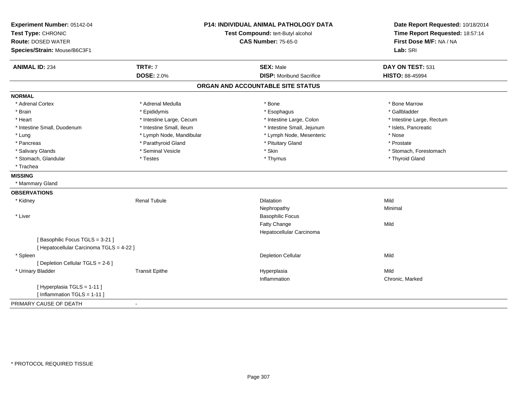| Experiment Number: 05142-04<br>Test Type: CHRONIC<br><b>Route: DOSED WATER</b><br>Species/Strain: Mouse/B6C3F1 | <b>P14: INDIVIDUAL ANIMAL PATHOLOGY DATA</b><br>Test Compound: tert-Butyl alcohol<br><b>CAS Number: 75-65-0</b> |                                                     | Date Report Requested: 10/18/2014<br>Time Report Requested: 18:57:14<br>First Dose M/F: NA / NA<br>Lab: SRI |
|----------------------------------------------------------------------------------------------------------------|-----------------------------------------------------------------------------------------------------------------|-----------------------------------------------------|-------------------------------------------------------------------------------------------------------------|
| <b>ANIMAL ID: 234</b>                                                                                          | <b>TRT#: 7</b><br><b>DOSE: 2.0%</b>                                                                             | <b>SEX: Male</b><br><b>DISP:</b> Moribund Sacrifice | DAY ON TEST: 531<br>HISTO: 88-45994                                                                         |
|                                                                                                                |                                                                                                                 | ORGAN AND ACCOUNTABLE SITE STATUS                   |                                                                                                             |
| <b>NORMAL</b>                                                                                                  |                                                                                                                 |                                                     |                                                                                                             |
| * Adrenal Cortex                                                                                               | * Adrenal Medulla                                                                                               | * Bone                                              | * Bone Marrow                                                                                               |
| * Brain                                                                                                        | * Epididymis                                                                                                    | * Esophagus                                         | * Gallbladder                                                                                               |
| * Heart                                                                                                        | * Intestine Large, Cecum                                                                                        | * Intestine Large, Colon                            | * Intestine Large, Rectum                                                                                   |
| * Intestine Small, Duodenum                                                                                    | * Intestine Small, Ileum                                                                                        | * Intestine Small, Jejunum                          | * Islets, Pancreatic                                                                                        |
| * Lung                                                                                                         | * Lymph Node, Mandibular                                                                                        | * Lymph Node, Mesenteric                            | * Nose                                                                                                      |
| * Pancreas                                                                                                     | * Parathyroid Gland                                                                                             | * Pituitary Gland                                   | * Prostate                                                                                                  |
| * Salivary Glands                                                                                              | * Seminal Vesicle                                                                                               | * Skin                                              | * Stomach, Forestomach                                                                                      |
| * Stomach, Glandular                                                                                           | * Testes                                                                                                        | * Thymus                                            | * Thyroid Gland                                                                                             |
| * Trachea                                                                                                      |                                                                                                                 |                                                     |                                                                                                             |
| <b>MISSING</b>                                                                                                 |                                                                                                                 |                                                     |                                                                                                             |
| * Mammary Gland                                                                                                |                                                                                                                 |                                                     |                                                                                                             |
| <b>OBSERVATIONS</b>                                                                                            |                                                                                                                 |                                                     |                                                                                                             |
| * Kidney                                                                                                       | <b>Renal Tubule</b>                                                                                             | <b>Dilatation</b>                                   | Mild                                                                                                        |
|                                                                                                                |                                                                                                                 | Nephropathy                                         | Minimal                                                                                                     |
| * Liver                                                                                                        |                                                                                                                 | <b>Basophilic Focus</b>                             |                                                                                                             |
|                                                                                                                |                                                                                                                 | <b>Fatty Change</b>                                 | Mild                                                                                                        |
|                                                                                                                |                                                                                                                 | Hepatocellular Carcinoma                            |                                                                                                             |
| [Basophilic Focus TGLS = 3-21]                                                                                 |                                                                                                                 |                                                     |                                                                                                             |
| [ Hepatocellular Carcinoma TGLS = 4-22 ]                                                                       |                                                                                                                 |                                                     |                                                                                                             |
| * Spleen                                                                                                       |                                                                                                                 | <b>Depletion Cellular</b>                           | Mild                                                                                                        |
| [ Depletion Cellular TGLS = 2-6 ]                                                                              |                                                                                                                 |                                                     |                                                                                                             |
| * Urinary Bladder                                                                                              | <b>Transit Epithe</b>                                                                                           | Hyperplasia                                         | Mild                                                                                                        |
|                                                                                                                |                                                                                                                 | Inflammation                                        | Chronic, Marked                                                                                             |
| [Hyperplasia TGLS = 1-11]                                                                                      |                                                                                                                 |                                                     |                                                                                                             |
| [ Inflammation TGLS = 1-11 ]                                                                                   |                                                                                                                 |                                                     |                                                                                                             |
| PRIMARY CAUSE OF DEATH                                                                                         | $\sim$                                                                                                          |                                                     |                                                                                                             |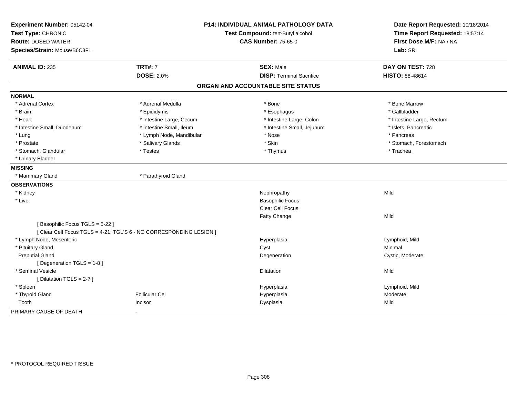| Experiment Number: 05142-04    |                                                                     | <b>P14: INDIVIDUAL ANIMAL PATHOLOGY DATA</b> | Date Report Requested: 10/18/2014 |
|--------------------------------|---------------------------------------------------------------------|----------------------------------------------|-----------------------------------|
| Test Type: CHRONIC             |                                                                     | Test Compound: tert-Butyl alcohol            |                                   |
| <b>Route: DOSED WATER</b>      |                                                                     | <b>CAS Number: 75-65-0</b>                   | First Dose M/F: NA / NA           |
| Species/Strain: Mouse/B6C3F1   |                                                                     |                                              | Lab: SRI                          |
| <b>ANIMAL ID: 235</b>          | <b>TRT#: 7</b>                                                      | <b>SEX: Male</b>                             | DAY ON TEST: 728                  |
|                                | <b>DOSE: 2.0%</b>                                                   | <b>DISP: Terminal Sacrifice</b>              | HISTO: 88-48614                   |
|                                |                                                                     | ORGAN AND ACCOUNTABLE SITE STATUS            |                                   |
| <b>NORMAL</b>                  |                                                                     |                                              |                                   |
| * Adrenal Cortex               | * Adrenal Medulla                                                   | * Bone                                       | * Bone Marrow                     |
| * Brain                        | * Epididymis                                                        | * Esophagus                                  | * Gallbladder                     |
| * Heart                        | * Intestine Large, Cecum                                            | * Intestine Large, Colon                     | * Intestine Large, Rectum         |
| * Intestine Small, Duodenum    | * Intestine Small, Ileum                                            | * Intestine Small, Jejunum                   | * Islets, Pancreatic              |
| * Lung                         | * Lymph Node, Mandibular                                            | * Nose                                       | * Pancreas                        |
| * Prostate                     | * Salivary Glands                                                   | * Skin                                       | * Stomach, Forestomach            |
| * Stomach, Glandular           | * Testes                                                            | * Thymus                                     | * Trachea                         |
| * Urinary Bladder              |                                                                     |                                              |                                   |
| <b>MISSING</b>                 |                                                                     |                                              |                                   |
| * Mammary Gland                | * Parathyroid Gland                                                 |                                              |                                   |
| <b>OBSERVATIONS</b>            |                                                                     |                                              |                                   |
| * Kidney                       |                                                                     | Nephropathy                                  | Mild                              |
| * Liver                        |                                                                     | <b>Basophilic Focus</b>                      |                                   |
|                                |                                                                     | <b>Clear Cell Focus</b>                      |                                   |
|                                |                                                                     | Fatty Change                                 | Mild                              |
| [Basophilic Focus TGLS = 5-22] |                                                                     |                                              |                                   |
|                                | [ Clear Cell Focus TGLS = 4-21; TGL'S 6 - NO CORRESPONDING LESION ] |                                              |                                   |
| * Lymph Node, Mesenteric       |                                                                     | Hyperplasia                                  | Lymphoid, Mild                    |
| * Pituitary Gland              |                                                                     | Cyst                                         | Minimal                           |
| <b>Preputial Gland</b>         |                                                                     | Degeneration                                 | Cystic, Moderate                  |
| [ Degeneration TGLS = 1-8 ]    |                                                                     |                                              |                                   |
| * Seminal Vesicle              |                                                                     | <b>Dilatation</b>                            | Mild                              |
| [Dilatation TGLS = 2-7]        |                                                                     |                                              |                                   |
| * Spleen                       |                                                                     | Hyperplasia                                  | Lymphoid, Mild                    |
| * Thyroid Gland                | <b>Follicular Cel</b>                                               | Hyperplasia                                  | Moderate                          |
| Tooth                          | Incisor                                                             | Dysplasia                                    | Mild                              |
| PRIMARY CAUSE OF DEATH         |                                                                     |                                              |                                   |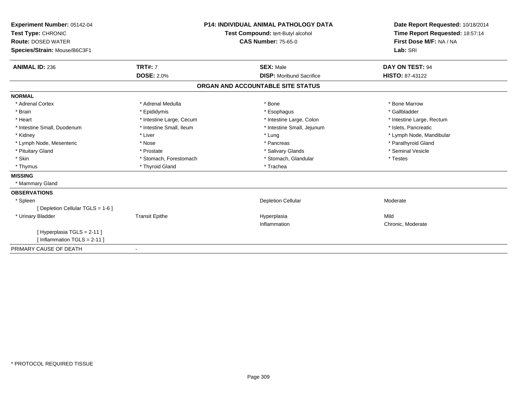| Experiment Number: 05142-04<br>Test Type: CHRONIC<br><b>Route: DOSED WATER</b><br>Species/Strain: Mouse/B6C3F1 |                          | <b>P14: INDIVIDUAL ANIMAL PATHOLOGY DATA</b><br>Test Compound: tert-Butyl alcohol<br><b>CAS Number: 75-65-0</b> | Date Report Requested: 10/18/2014<br>Time Report Requested: 18:57:14<br>First Dose M/F: NA / NA<br>Lab: SRI |
|----------------------------------------------------------------------------------------------------------------|--------------------------|-----------------------------------------------------------------------------------------------------------------|-------------------------------------------------------------------------------------------------------------|
| <b>ANIMAL ID: 236</b>                                                                                          | <b>TRT#: 7</b>           | <b>SEX: Male</b>                                                                                                | DAY ON TEST: 94                                                                                             |
|                                                                                                                | <b>DOSE: 2.0%</b>        | <b>DISP: Moribund Sacrifice</b>                                                                                 | <b>HISTO: 87-43122</b>                                                                                      |
|                                                                                                                |                          | ORGAN AND ACCOUNTABLE SITE STATUS                                                                               |                                                                                                             |
| <b>NORMAL</b>                                                                                                  |                          |                                                                                                                 |                                                                                                             |
| * Adrenal Cortex                                                                                               | * Adrenal Medulla        | * Bone                                                                                                          | * Bone Marrow                                                                                               |
| * Brain                                                                                                        | * Epididymis             | * Esophagus                                                                                                     | * Gallbladder                                                                                               |
| * Heart                                                                                                        | * Intestine Large, Cecum | * Intestine Large, Colon                                                                                        | * Intestine Large, Rectum                                                                                   |
| * Intestine Small, Duodenum                                                                                    | * Intestine Small, Ileum | * Intestine Small, Jejunum                                                                                      | * Islets, Pancreatic                                                                                        |
| * Kidney                                                                                                       | * Liver                  | * Lung                                                                                                          | * Lymph Node, Mandibular                                                                                    |
| * Lymph Node, Mesenteric                                                                                       | * Nose                   | * Pancreas                                                                                                      | * Parathyroid Gland                                                                                         |
| * Pituitary Gland                                                                                              | * Prostate               | * Salivary Glands                                                                                               | * Seminal Vesicle                                                                                           |
| * Skin                                                                                                         | * Stomach, Forestomach   | * Stomach, Glandular                                                                                            | * Testes                                                                                                    |
| * Thymus                                                                                                       | * Thyroid Gland          | * Trachea                                                                                                       |                                                                                                             |
| <b>MISSING</b>                                                                                                 |                          |                                                                                                                 |                                                                                                             |
| * Mammary Gland                                                                                                |                          |                                                                                                                 |                                                                                                             |
| <b>OBSERVATIONS</b>                                                                                            |                          |                                                                                                                 |                                                                                                             |
| * Spleen                                                                                                       |                          | <b>Depletion Cellular</b>                                                                                       | Moderate                                                                                                    |
| [ Depletion Cellular TGLS = 1-6 ]                                                                              |                          |                                                                                                                 |                                                                                                             |
| * Urinary Bladder                                                                                              | <b>Transit Epithe</b>    | Hyperplasia                                                                                                     | Mild                                                                                                        |
|                                                                                                                |                          | Inflammation                                                                                                    | Chronic, Moderate                                                                                           |
| [ Hyperplasia TGLS = 2-11 ]                                                                                    |                          |                                                                                                                 |                                                                                                             |
| [Inflammation TGLS = $2-11$ ]                                                                                  |                          |                                                                                                                 |                                                                                                             |
| PRIMARY CAUSE OF DEATH                                                                                         |                          |                                                                                                                 |                                                                                                             |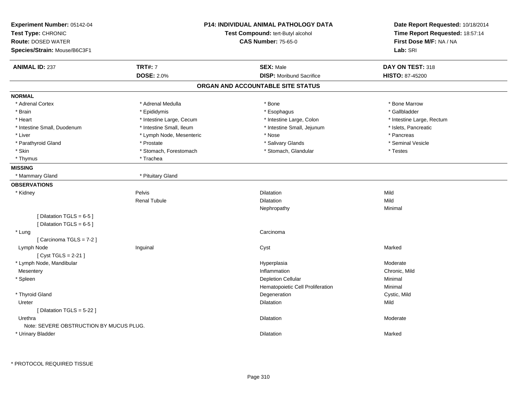| Experiment Number: 05142-04<br>Test Type: CHRONIC<br><b>Route: DOSED WATER</b><br>Species/Strain: Mouse/B6C3F1 |                          | P14: INDIVIDUAL ANIMAL PATHOLOGY DATA<br>Test Compound: tert-Butyl alcohol<br><b>CAS Number: 75-65-0</b> | Date Report Requested: 10/18/2014<br>Time Report Requested: 18:57:14<br>First Dose M/F: NA / NA<br>Lab: SRI |
|----------------------------------------------------------------------------------------------------------------|--------------------------|----------------------------------------------------------------------------------------------------------|-------------------------------------------------------------------------------------------------------------|
| <b>ANIMAL ID: 237</b>                                                                                          | <b>TRT#: 7</b>           | <b>SEX: Male</b>                                                                                         | DAY ON TEST: 318                                                                                            |
|                                                                                                                | <b>DOSE: 2.0%</b>        | <b>DISP:</b> Moribund Sacrifice                                                                          | <b>HISTO: 87-45200</b>                                                                                      |
|                                                                                                                |                          | ORGAN AND ACCOUNTABLE SITE STATUS                                                                        |                                                                                                             |
| <b>NORMAL</b>                                                                                                  |                          |                                                                                                          |                                                                                                             |
| * Adrenal Cortex                                                                                               | * Adrenal Medulla        | * Bone                                                                                                   | * Bone Marrow                                                                                               |
| * Brain                                                                                                        | * Epididymis             | * Esophagus                                                                                              | * Gallbladder                                                                                               |
| * Heart                                                                                                        | * Intestine Large, Cecum | * Intestine Large, Colon                                                                                 | * Intestine Large, Rectum                                                                                   |
| * Intestine Small, Duodenum                                                                                    | * Intestine Small, Ileum | * Intestine Small, Jejunum                                                                               | * Islets, Pancreatic                                                                                        |
| * Liver                                                                                                        | * Lymph Node, Mesenteric | * Nose                                                                                                   | * Pancreas                                                                                                  |
| * Parathyroid Gland                                                                                            | * Prostate               | * Salivary Glands                                                                                        | * Seminal Vesicle                                                                                           |
| * Skin                                                                                                         | * Stomach, Forestomach   | * Stomach, Glandular                                                                                     | * Testes                                                                                                    |
| * Thymus                                                                                                       | * Trachea                |                                                                                                          |                                                                                                             |
| <b>MISSING</b>                                                                                                 |                          |                                                                                                          |                                                                                                             |
| * Mammary Gland                                                                                                | * Pituitary Gland        |                                                                                                          |                                                                                                             |
| <b>OBSERVATIONS</b>                                                                                            |                          |                                                                                                          |                                                                                                             |
| * Kidney                                                                                                       | Pelvis                   | Dilatation                                                                                               | Mild                                                                                                        |
|                                                                                                                | <b>Renal Tubule</b>      | Dilatation                                                                                               | Mild                                                                                                        |
|                                                                                                                |                          | Nephropathy                                                                                              | Minimal                                                                                                     |
| [Dilatation TGLS = 6-5]                                                                                        |                          |                                                                                                          |                                                                                                             |
| [Dilatation TGLS = 6-5]                                                                                        |                          |                                                                                                          |                                                                                                             |
| * Lung                                                                                                         |                          | Carcinoma                                                                                                |                                                                                                             |
| [Carcinoma TGLS = 7-2]                                                                                         |                          |                                                                                                          |                                                                                                             |
| Lymph Node                                                                                                     | Inguinal                 | Cyst                                                                                                     | Marked                                                                                                      |
| [ Cyst TGLS = 2-21 ]                                                                                           |                          |                                                                                                          |                                                                                                             |
| * Lymph Node, Mandibular                                                                                       |                          | Hyperplasia                                                                                              | Moderate                                                                                                    |
| Mesentery                                                                                                      |                          | Inflammation                                                                                             | Chronic, Mild                                                                                               |
| * Spleen                                                                                                       |                          | <b>Depletion Cellular</b>                                                                                | Minimal                                                                                                     |
|                                                                                                                |                          | Hematopoietic Cell Proliferation                                                                         | Minimal                                                                                                     |
| * Thyroid Gland                                                                                                |                          | Degeneration                                                                                             | Cystic, Mild                                                                                                |
| Ureter                                                                                                         |                          | <b>Dilatation</b>                                                                                        | Mild                                                                                                        |
| [ Dilatation TGLS = 5-22 ]                                                                                     |                          |                                                                                                          |                                                                                                             |
| Urethra                                                                                                        |                          | Dilatation                                                                                               | Moderate                                                                                                    |
| Note: SEVERE OBSTRUCTION BY MUCUS PLUG.                                                                        |                          |                                                                                                          |                                                                                                             |
| * Urinary Bladder                                                                                              |                          | Dilatation                                                                                               | Marked                                                                                                      |
|                                                                                                                |                          |                                                                                                          |                                                                                                             |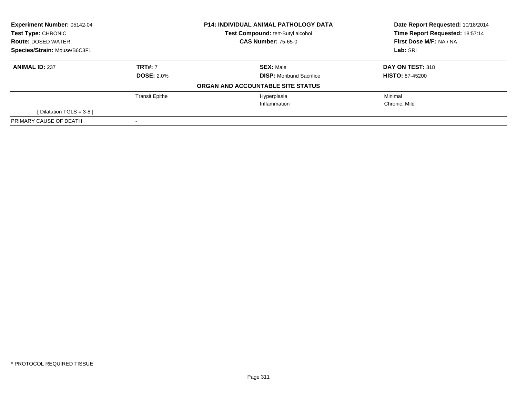| Experiment Number: 05142-04<br>Test Type: CHRONIC |                       | <b>P14: INDIVIDUAL ANIMAL PATHOLOGY DATA</b> | Date Report Requested: 10/18/2014<br>Time Report Requested: 18:57:14 |  |
|---------------------------------------------------|-----------------------|----------------------------------------------|----------------------------------------------------------------------|--|
|                                                   |                       | Test Compound: tert-Butyl alcohol            |                                                                      |  |
| <b>Route: DOSED WATER</b>                         |                       | <b>CAS Number: 75-65-0</b>                   | First Dose M/F: NA / NA                                              |  |
| Species/Strain: Mouse/B6C3F1                      |                       |                                              | Lab: SRI                                                             |  |
| <b>ANIMAL ID: 237</b>                             | <b>TRT#: 7</b>        | <b>SEX: Male</b>                             | DAY ON TEST: 318                                                     |  |
|                                                   | <b>DOSE: 2.0%</b>     | <b>DISP:</b> Moribund Sacrifice              | <b>HISTO: 87-45200</b>                                               |  |
|                                                   |                       | ORGAN AND ACCOUNTABLE SITE STATUS            |                                                                      |  |
|                                                   | <b>Transit Epithe</b> | Hyperplasia                                  | Minimal                                                              |  |
|                                                   |                       | Inflammation                                 | Chronic, Mild                                                        |  |
| [ Dilatation TGLS = $3-8$ ]                       |                       |                                              |                                                                      |  |
| PRIMARY CAUSE OF DEATH                            |                       |                                              |                                                                      |  |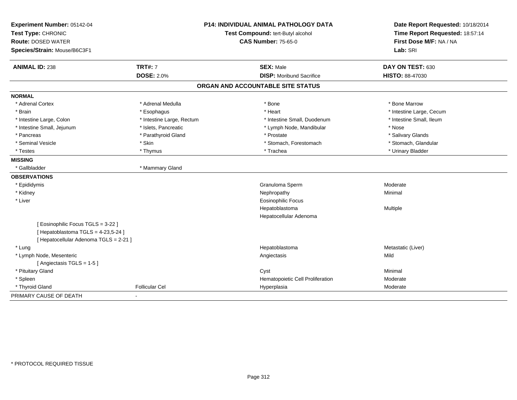| Experiment Number: 05142-04          |                                   | <b>P14: INDIVIDUAL ANIMAL PATHOLOGY DATA</b> | Date Report Requested: 10/18/2014 |
|--------------------------------------|-----------------------------------|----------------------------------------------|-----------------------------------|
| Test Type: CHRONIC                   | Test Compound: tert-Butyl alcohol |                                              | Time Report Requested: 18:57:14   |
| <b>Route: DOSED WATER</b>            |                                   | <b>CAS Number: 75-65-0</b>                   | First Dose M/F: NA / NA           |
| Species/Strain: Mouse/B6C3F1         |                                   |                                              | Lab: SRI                          |
| <b>ANIMAL ID: 238</b>                | <b>TRT#: 7</b>                    | <b>SEX: Male</b>                             | DAY ON TEST: 630                  |
|                                      | <b>DOSE: 2.0%</b>                 | <b>DISP:</b> Moribund Sacrifice              | <b>HISTO: 88-47030</b>            |
|                                      |                                   | ORGAN AND ACCOUNTABLE SITE STATUS            |                                   |
| <b>NORMAL</b>                        |                                   |                                              |                                   |
| * Adrenal Cortex                     | * Adrenal Medulla                 | * Bone                                       | * Bone Marrow                     |
| * Brain                              | * Esophagus                       | * Heart                                      | * Intestine Large, Cecum          |
| * Intestine Large, Colon             | * Intestine Large, Rectum         | * Intestine Small, Duodenum                  | * Intestine Small, Ileum          |
| * Intestine Small, Jejunum           | * Islets, Pancreatic              | * Lymph Node, Mandibular                     | * Nose                            |
| * Pancreas                           | * Parathyroid Gland               | * Prostate                                   | * Salivary Glands                 |
| * Seminal Vesicle                    | * Skin                            | * Stomach, Forestomach                       | * Stomach, Glandular              |
| * Testes                             | * Thymus                          | * Trachea                                    | * Urinary Bladder                 |
| <b>MISSING</b>                       |                                   |                                              |                                   |
| * Gallbladder                        | * Mammary Gland                   |                                              |                                   |
| <b>OBSERVATIONS</b>                  |                                   |                                              |                                   |
| * Epididymis                         |                                   | Granuloma Sperm                              | Moderate                          |
| * Kidney                             |                                   | Nephropathy                                  | Minimal                           |
| * Liver                              |                                   | Eosinophilic Focus                           |                                   |
|                                      |                                   | Hepatoblastoma                               | Multiple                          |
|                                      |                                   | Hepatocellular Adenoma                       |                                   |
| [Eosinophilic Focus TGLS = 3-22]     |                                   |                                              |                                   |
| [Hepatoblastoma TGLS = 4-23,5-24]    |                                   |                                              |                                   |
| [Hepatocellular Adenoma TGLS = 2-21] |                                   |                                              |                                   |
| * Lung                               |                                   | Hepatoblastoma                               | Metastatic (Liver)                |
| * Lymph Node, Mesenteric             |                                   | Angiectasis                                  | Mild                              |
| [Angiectasis TGLS = 1-5]             |                                   |                                              |                                   |
| * Pituitary Gland                    |                                   | Cyst                                         | Minimal                           |
| * Spleen                             |                                   | Hematopoietic Cell Proliferation             | Moderate                          |
| * Thyroid Gland                      | <b>Follicular Cel</b>             | Hyperplasia                                  | Moderate                          |
| PRIMARY CAUSE OF DEATH               |                                   |                                              |                                   |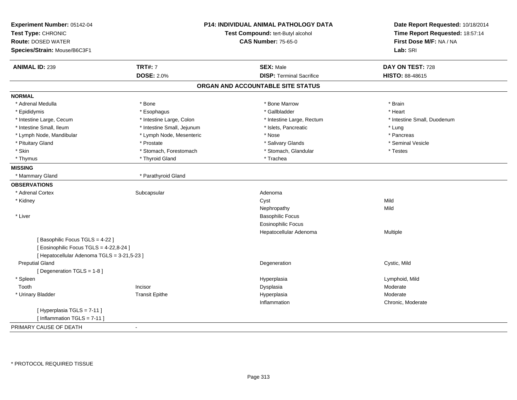| Experiment Number: 05142-04<br>Test Type: CHRONIC<br><b>Route: DOSED WATER</b><br>Species/Strain: Mouse/B6C3F1 |                            | P14: INDIVIDUAL ANIMAL PATHOLOGY DATA<br>Test Compound: tert-Butyl alcohol<br><b>CAS Number: 75-65-0</b> | Date Report Requested: 10/18/2014<br>Time Report Requested: 18:57:14<br>First Dose M/F: NA / NA<br>Lab: SRI |
|----------------------------------------------------------------------------------------------------------------|----------------------------|----------------------------------------------------------------------------------------------------------|-------------------------------------------------------------------------------------------------------------|
|                                                                                                                |                            |                                                                                                          |                                                                                                             |
| <b>ANIMAL ID: 239</b>                                                                                          | <b>TRT#: 7</b>             | <b>SEX: Male</b>                                                                                         | DAY ON TEST: 728                                                                                            |
|                                                                                                                | <b>DOSE: 2.0%</b>          | <b>DISP: Terminal Sacrifice</b>                                                                          | HISTO: 88-48615                                                                                             |
|                                                                                                                |                            | ORGAN AND ACCOUNTABLE SITE STATUS                                                                        |                                                                                                             |
| <b>NORMAL</b>                                                                                                  |                            |                                                                                                          |                                                                                                             |
| * Adrenal Medulla                                                                                              | * Bone                     | * Bone Marrow                                                                                            | * Brain                                                                                                     |
| * Epididymis                                                                                                   | * Esophagus                | * Gallbladder                                                                                            | * Heart                                                                                                     |
| * Intestine Large, Cecum                                                                                       | * Intestine Large, Colon   | * Intestine Large, Rectum                                                                                | * Intestine Small, Duodenum                                                                                 |
| * Intestine Small, Ileum                                                                                       | * Intestine Small, Jejunum | * Islets, Pancreatic                                                                                     | * Lung                                                                                                      |
| * Lymph Node, Mandibular                                                                                       | * Lymph Node, Mesenteric   | * Nose                                                                                                   | * Pancreas                                                                                                  |
| * Pituitary Gland                                                                                              | * Prostate                 | * Salivary Glands                                                                                        | * Seminal Vesicle                                                                                           |
| * Skin                                                                                                         | * Stomach, Forestomach     | * Stomach, Glandular                                                                                     | * Testes                                                                                                    |
| * Thymus                                                                                                       | * Thyroid Gland            | * Trachea                                                                                                |                                                                                                             |
| <b>MISSING</b>                                                                                                 |                            |                                                                                                          |                                                                                                             |
| * Mammary Gland                                                                                                | * Parathyroid Gland        |                                                                                                          |                                                                                                             |
| <b>OBSERVATIONS</b>                                                                                            |                            |                                                                                                          |                                                                                                             |
| * Adrenal Cortex                                                                                               | Subcapsular                | Adenoma                                                                                                  |                                                                                                             |
| * Kidney                                                                                                       |                            | Cyst                                                                                                     | Mild                                                                                                        |
|                                                                                                                |                            | Nephropathy                                                                                              | Mild                                                                                                        |
| * Liver                                                                                                        |                            | <b>Basophilic Focus</b>                                                                                  |                                                                                                             |
|                                                                                                                |                            | <b>Eosinophilic Focus</b>                                                                                |                                                                                                             |
|                                                                                                                |                            | Hepatocellular Adenoma                                                                                   | Multiple                                                                                                    |
| [Basophilic Focus TGLS = 4-22]                                                                                 |                            |                                                                                                          |                                                                                                             |
| [ Eosinophilic Focus TGLS = 4-22,8-24 ]                                                                        |                            |                                                                                                          |                                                                                                             |
| [ Hepatocellular Adenoma TGLS = 3-21,5-23 ]                                                                    |                            |                                                                                                          |                                                                                                             |
| <b>Preputial Gland</b>                                                                                         |                            | Degeneration                                                                                             | Cystic, Mild                                                                                                |
| [Degeneration TGLS = 1-8]                                                                                      |                            |                                                                                                          |                                                                                                             |
| * Spleen                                                                                                       |                            | Hyperplasia                                                                                              | Lymphoid, Mild                                                                                              |
| Tooth                                                                                                          | Incisor                    | Dysplasia                                                                                                | Moderate                                                                                                    |
| * Urinary Bladder                                                                                              | <b>Transit Epithe</b>      | Hyperplasia                                                                                              | Moderate                                                                                                    |
|                                                                                                                |                            | Inflammation                                                                                             | Chronic, Moderate                                                                                           |
| [Hyperplasia TGLS = 7-11]<br>[Inflammation TGLS = $7-11$ ]                                                     |                            |                                                                                                          |                                                                                                             |
| PRIMARY CAUSE OF DEATH                                                                                         | $\blacksquare$             |                                                                                                          |                                                                                                             |
|                                                                                                                |                            |                                                                                                          |                                                                                                             |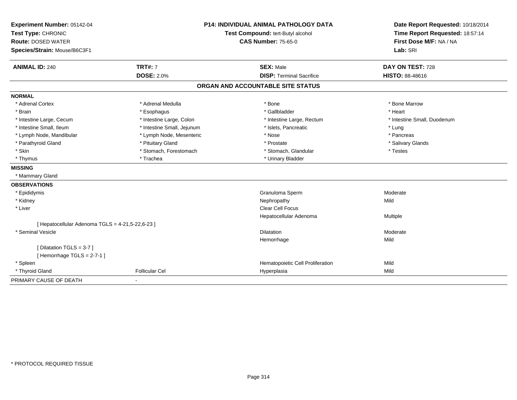| Experiment Number: 05142-04                            | <b>P14: INDIVIDUAL ANIMAL PATHOLOGY DATA</b> |                                   | Date Report Requested: 10/18/2014 |
|--------------------------------------------------------|----------------------------------------------|-----------------------------------|-----------------------------------|
| Test Type: CHRONIC                                     |                                              | Test Compound: tert-Butyl alcohol | Time Report Requested: 18:57:14   |
| <b>Route: DOSED WATER</b>                              |                                              | <b>CAS Number: 75-65-0</b>        | First Dose M/F: NA / NA           |
| Species/Strain: Mouse/B6C3F1                           |                                              |                                   | Lab: SRI                          |
| <b>ANIMAL ID: 240</b>                                  | <b>TRT#: 7</b>                               | <b>SEX: Male</b>                  | DAY ON TEST: 728                  |
|                                                        | <b>DOSE: 2.0%</b>                            | <b>DISP: Terminal Sacrifice</b>   | HISTO: 88-48616                   |
|                                                        |                                              | ORGAN AND ACCOUNTABLE SITE STATUS |                                   |
| <b>NORMAL</b>                                          |                                              |                                   |                                   |
| * Adrenal Cortex                                       | * Adrenal Medulla                            | * Bone                            | * Bone Marrow                     |
| * Brain                                                | * Esophagus                                  | * Gallbladder                     | * Heart                           |
| * Intestine Large, Cecum                               | * Intestine Large, Colon                     | * Intestine Large, Rectum         | * Intestine Small, Duodenum       |
| * Intestine Small, Ileum                               | * Intestine Small, Jejunum                   | * Islets, Pancreatic              | * Lung                            |
| * Lymph Node, Mandibular                               | * Lymph Node, Mesenteric                     | * Nose                            | * Pancreas                        |
| * Parathyroid Gland                                    | * Pituitary Gland                            | * Prostate                        | * Salivary Glands                 |
| * Skin                                                 | * Stomach, Forestomach                       | * Stomach, Glandular              | * Testes                          |
| * Thymus                                               | * Trachea                                    | * Urinary Bladder                 |                                   |
| <b>MISSING</b>                                         |                                              |                                   |                                   |
| * Mammary Gland                                        |                                              |                                   |                                   |
| <b>OBSERVATIONS</b>                                    |                                              |                                   |                                   |
| * Epididymis                                           |                                              | Granuloma Sperm                   | Moderate                          |
| * Kidney                                               |                                              | Nephropathy                       | Mild                              |
| * Liver                                                |                                              | <b>Clear Cell Focus</b>           |                                   |
|                                                        |                                              | Hepatocellular Adenoma            | Multiple                          |
| [ Hepatocellular Adenoma TGLS = 4-21,5-22,6-23 ]       |                                              |                                   |                                   |
| * Seminal Vesicle                                      |                                              | Dilatation                        | Moderate                          |
|                                                        |                                              | Hemorrhage                        | Mild                              |
| [ Dilatation TGLS = 3-7 ]<br>[Hemorrhage TGLS = 2-7-1] |                                              |                                   |                                   |
| * Spleen                                               |                                              | Hematopoietic Cell Proliferation  | Mild                              |
|                                                        | <b>Follicular Cel</b>                        |                                   | Mild                              |
| * Thyroid Gland                                        |                                              | Hyperplasia                       |                                   |
| PRIMARY CAUSE OF DEATH                                 |                                              |                                   |                                   |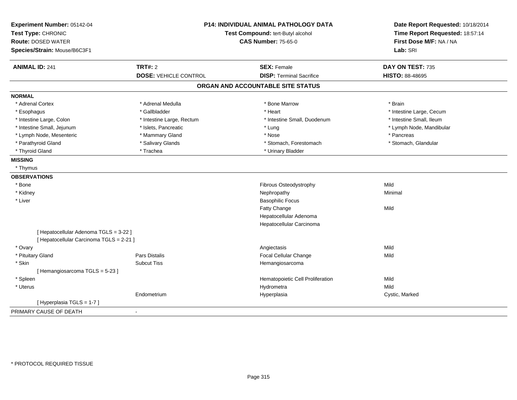| Experiment Number: 05142-04<br>Test Type: CHRONIC |                              | P14: INDIVIDUAL ANIMAL PATHOLOGY DATA<br>Test Compound: tert-Butyl alcohol | Date Report Requested: 10/18/2014<br>Time Report Requested: 18:57:14<br>First Dose M/F: NA / NA |
|---------------------------------------------------|------------------------------|----------------------------------------------------------------------------|-------------------------------------------------------------------------------------------------|
| <b>Route: DOSED WATER</b>                         |                              | <b>CAS Number: 75-65-0</b>                                                 |                                                                                                 |
| Species/Strain: Mouse/B6C3F1                      |                              |                                                                            | Lab: SRI                                                                                        |
| <b>ANIMAL ID: 241</b>                             | <b>TRT#: 2</b>               | <b>SEX: Female</b>                                                         | DAY ON TEST: 735                                                                                |
|                                                   | <b>DOSE: VEHICLE CONTROL</b> | <b>DISP: Terminal Sacrifice</b>                                            | HISTO: 88-48695                                                                                 |
|                                                   |                              | ORGAN AND ACCOUNTABLE SITE STATUS                                          |                                                                                                 |
| <b>NORMAL</b>                                     |                              |                                                                            |                                                                                                 |
| * Adrenal Cortex                                  | * Adrenal Medulla            | * Bone Marrow                                                              | * Brain                                                                                         |
| * Esophagus                                       | * Gallbladder                | * Heart                                                                    | * Intestine Large, Cecum                                                                        |
| * Intestine Large, Colon                          | * Intestine Large, Rectum    | * Intestine Small, Duodenum                                                | * Intestine Small, Ileum                                                                        |
| * Intestine Small, Jejunum                        | * Islets, Pancreatic         | * Lung                                                                     | * Lymph Node, Mandibular                                                                        |
| * Lymph Node, Mesenteric                          | * Mammary Gland              | * Nose                                                                     | * Pancreas                                                                                      |
| * Parathyroid Gland                               | * Salivary Glands            | * Stomach, Forestomach                                                     | * Stomach, Glandular                                                                            |
| * Thyroid Gland                                   | * Trachea                    | * Urinary Bladder                                                          |                                                                                                 |
| <b>MISSING</b>                                    |                              |                                                                            |                                                                                                 |
| * Thymus                                          |                              |                                                                            |                                                                                                 |
| <b>OBSERVATIONS</b>                               |                              |                                                                            |                                                                                                 |
| * Bone                                            |                              | Fibrous Osteodystrophy                                                     | Mild                                                                                            |
| * Kidney                                          |                              | Nephropathy                                                                | Minimal                                                                                         |
| * Liver                                           |                              | <b>Basophilic Focus</b>                                                    |                                                                                                 |
|                                                   |                              | Fatty Change                                                               | Mild                                                                                            |
|                                                   |                              | Hepatocellular Adenoma                                                     |                                                                                                 |
|                                                   |                              | Hepatocellular Carcinoma                                                   |                                                                                                 |
| [ Hepatocellular Adenoma TGLS = 3-22 ]            |                              |                                                                            |                                                                                                 |
| [ Hepatocellular Carcinoma TGLS = 2-21 ]          |                              |                                                                            |                                                                                                 |
| * Ovary                                           |                              | Angiectasis                                                                | Mild                                                                                            |
| * Pituitary Gland                                 | <b>Pars Distalis</b>         | Focal Cellular Change                                                      | Mild                                                                                            |
| * Skin                                            | <b>Subcut Tiss</b>           | Hemangiosarcoma                                                            |                                                                                                 |
| [Hemangiosarcoma TGLS = 5-23]                     |                              |                                                                            |                                                                                                 |
| * Spleen                                          |                              | Hematopoietic Cell Proliferation                                           | Mild                                                                                            |
| * Uterus                                          |                              | Hydrometra                                                                 | Mild                                                                                            |
|                                                   | Endometrium                  | Hyperplasia                                                                | Cystic, Marked                                                                                  |
| [Hyperplasia TGLS = 1-7]                          |                              |                                                                            |                                                                                                 |
| PRIMARY CAUSE OF DEATH                            |                              |                                                                            |                                                                                                 |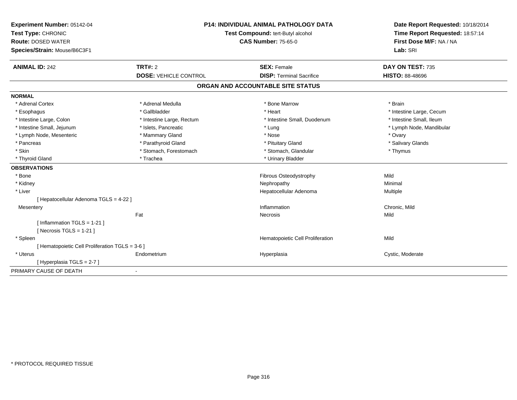| Experiment Number: 05142-04                     | <b>P14: INDIVIDUAL ANIMAL PATHOLOGY DATA</b><br>Test Compound: tert-Butyl alcohol |                                   | Date Report Requested: 10/18/2014 |
|-------------------------------------------------|-----------------------------------------------------------------------------------|-----------------------------------|-----------------------------------|
| Test Type: CHRONIC                              |                                                                                   |                                   | Time Report Requested: 18:57:14   |
| <b>Route: DOSED WATER</b>                       |                                                                                   | <b>CAS Number: 75-65-0</b>        | First Dose M/F: NA / NA           |
| Species/Strain: Mouse/B6C3F1                    |                                                                                   |                                   | Lab: SRI                          |
| <b>ANIMAL ID: 242</b>                           | TRT#: 2                                                                           | <b>SEX: Female</b>                | DAY ON TEST: 735                  |
|                                                 | <b>DOSE: VEHICLE CONTROL</b>                                                      | <b>DISP: Terminal Sacrifice</b>   | <b>HISTO: 88-48696</b>            |
|                                                 |                                                                                   | ORGAN AND ACCOUNTABLE SITE STATUS |                                   |
| <b>NORMAL</b>                                   |                                                                                   |                                   |                                   |
| * Adrenal Cortex                                | * Adrenal Medulla                                                                 | * Bone Marrow                     | * Brain                           |
| * Esophagus                                     | * Gallbladder                                                                     | * Heart                           | * Intestine Large, Cecum          |
| * Intestine Large, Colon                        | * Intestine Large, Rectum                                                         | * Intestine Small, Duodenum       | * Intestine Small, Ileum          |
| * Intestine Small, Jejunum                      | * Islets, Pancreatic                                                              | * Lung                            | * Lymph Node, Mandibular          |
| * Lymph Node, Mesenteric                        | * Mammary Gland                                                                   | * Nose                            | * Ovary                           |
| * Pancreas                                      | * Parathyroid Gland                                                               | * Pituitary Gland                 | * Salivary Glands                 |
| * Skin                                          | * Stomach, Forestomach                                                            | * Stomach, Glandular              | * Thymus                          |
| * Thyroid Gland                                 | * Trachea                                                                         | * Urinary Bladder                 |                                   |
| <b>OBSERVATIONS</b>                             |                                                                                   |                                   |                                   |
| * Bone                                          |                                                                                   | Fibrous Osteodystrophy            | Mild                              |
| * Kidney                                        |                                                                                   | Nephropathy                       | Minimal                           |
| * Liver                                         |                                                                                   | Hepatocellular Adenoma            | Multiple                          |
| [ Hepatocellular Adenoma TGLS = 4-22 ]          |                                                                                   |                                   |                                   |
| Mesentery                                       |                                                                                   | Inflammation                      | Chronic, Mild                     |
|                                                 | Fat                                                                               | Necrosis                          | Mild                              |
| [ Inflammation TGLS = 1-21 ]                    |                                                                                   |                                   |                                   |
| [ Necrosis TGLS = $1-21$ ]                      |                                                                                   |                                   |                                   |
| * Spleen                                        |                                                                                   | Hematopoietic Cell Proliferation  | Mild                              |
| [ Hematopoietic Cell Proliferation TGLS = 3-6 ] |                                                                                   |                                   |                                   |
| * Uterus                                        | Endometrium                                                                       | Hyperplasia                       | Cystic, Moderate                  |
| [Hyperplasia TGLS = 2-7]                        |                                                                                   |                                   |                                   |
| PRIMARY CAUSE OF DEATH                          |                                                                                   |                                   |                                   |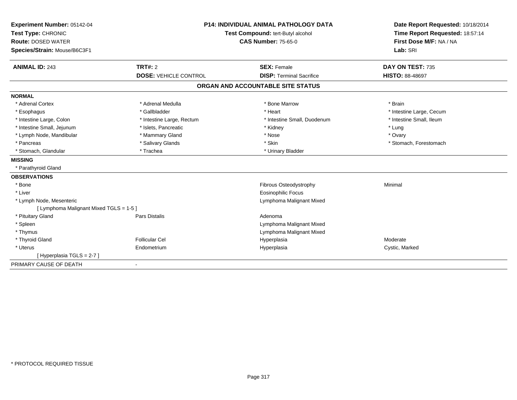| Experiment Number: 05142-04             | <b>P14: INDIVIDUAL ANIMAL PATHOLOGY DATA</b> |                                   | Date Report Requested: 10/18/2014                          |
|-----------------------------------------|----------------------------------------------|-----------------------------------|------------------------------------------------------------|
| Test Type: CHRONIC                      |                                              | Test Compound: tert-Butyl alcohol | Time Report Requested: 18:57:14<br>First Dose M/F: NA / NA |
| <b>Route: DOSED WATER</b>               |                                              | <b>CAS Number: 75-65-0</b>        |                                                            |
| Species/Strain: Mouse/B6C3F1            |                                              |                                   | Lab: SRI                                                   |
| <b>ANIMAL ID: 243</b>                   | TRT#: 2                                      | <b>SEX: Female</b>                | DAY ON TEST: 735                                           |
|                                         | <b>DOSE: VEHICLE CONTROL</b>                 | <b>DISP: Terminal Sacrifice</b>   | <b>HISTO: 88-48697</b>                                     |
|                                         |                                              | ORGAN AND ACCOUNTABLE SITE STATUS |                                                            |
| <b>NORMAL</b>                           |                                              |                                   |                                                            |
| * Adrenal Cortex                        | * Adrenal Medulla                            | * Bone Marrow                     | * Brain                                                    |
| * Esophagus                             | * Gallbladder                                | * Heart                           | * Intestine Large, Cecum                                   |
| * Intestine Large, Colon                | * Intestine Large, Rectum                    | * Intestine Small, Duodenum       | * Intestine Small, Ileum                                   |
| * Intestine Small, Jejunum              | * Islets, Pancreatic                         | * Kidney                          | * Lung                                                     |
| * Lymph Node, Mandibular                | * Mammary Gland                              | * Nose                            | * Ovary                                                    |
| * Pancreas                              | * Salivary Glands                            | * Skin                            | * Stomach, Forestomach                                     |
| * Stomach, Glandular                    | * Trachea                                    | * Urinary Bladder                 |                                                            |
| <b>MISSING</b>                          |                                              |                                   |                                                            |
| * Parathyroid Gland                     |                                              |                                   |                                                            |
| <b>OBSERVATIONS</b>                     |                                              |                                   |                                                            |
| * Bone                                  |                                              | Fibrous Osteodystrophy            | Minimal                                                    |
| * Liver                                 |                                              | <b>Eosinophilic Focus</b>         |                                                            |
| * Lymph Node, Mesenteric                |                                              | Lymphoma Malignant Mixed          |                                                            |
| [ Lymphoma Malignant Mixed TGLS = 1-5 ] |                                              |                                   |                                                            |
| * Pituitary Gland                       | <b>Pars Distalis</b>                         | Adenoma                           |                                                            |
| * Spleen                                |                                              | Lymphoma Malignant Mixed          |                                                            |
| * Thymus                                |                                              | Lymphoma Malignant Mixed          |                                                            |
| * Thyroid Gland                         | <b>Follicular Cel</b>                        | Hyperplasia                       | Moderate                                                   |
| * Uterus                                | Endometrium                                  | Hyperplasia                       | Cystic, Marked                                             |
| [Hyperplasia TGLS = 2-7]                |                                              |                                   |                                                            |
| PRIMARY CAUSE OF DEATH                  |                                              |                                   |                                                            |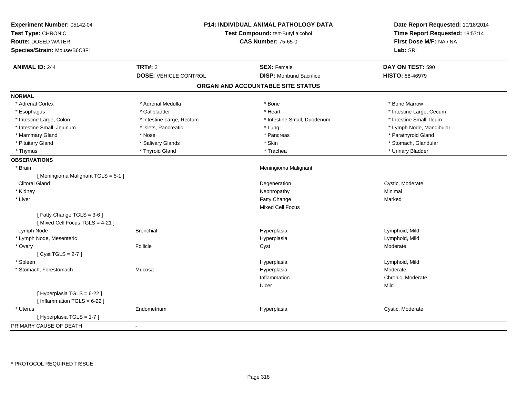| Experiment Number: 05142-04<br>Test Type: CHRONIC<br><b>Route: DOSED WATER</b><br>Species/Strain: Mouse/B6C3F1 | P14: INDIVIDUAL ANIMAL PATHOLOGY DATA<br>Test Compound: tert-Butyl alcohol<br><b>CAS Number: 75-65-0</b> |                                   | Date Report Requested: 10/18/2014<br>Time Report Requested: 18:57:14<br>First Dose M/F: NA / NA<br>Lab: SRI |
|----------------------------------------------------------------------------------------------------------------|----------------------------------------------------------------------------------------------------------|-----------------------------------|-------------------------------------------------------------------------------------------------------------|
| <b>ANIMAL ID: 244</b>                                                                                          | <b>TRT#: 2</b>                                                                                           | <b>SEX: Female</b>                | DAY ON TEST: 590                                                                                            |
|                                                                                                                | <b>DOSE: VEHICLE CONTROL</b>                                                                             | <b>DISP: Moribund Sacrifice</b>   | <b>HISTO: 88-46979</b>                                                                                      |
|                                                                                                                |                                                                                                          | ORGAN AND ACCOUNTABLE SITE STATUS |                                                                                                             |
| <b>NORMAL</b>                                                                                                  |                                                                                                          |                                   |                                                                                                             |
| * Adrenal Cortex                                                                                               | * Adrenal Medulla                                                                                        | * Bone                            | * Bone Marrow                                                                                               |
| * Esophagus                                                                                                    | * Gallbladder                                                                                            | * Heart                           | * Intestine Large, Cecum                                                                                    |
| * Intestine Large, Colon                                                                                       | * Intestine Large, Rectum                                                                                | * Intestine Small, Duodenum       | * Intestine Small, Ileum                                                                                    |
| * Intestine Small, Jejunum                                                                                     | * Islets, Pancreatic                                                                                     | * Lung                            | * Lymph Node, Mandibular                                                                                    |
| * Mammary Gland                                                                                                | * Nose                                                                                                   | * Pancreas                        | * Parathyroid Gland                                                                                         |
| * Pituitary Gland                                                                                              | * Salivary Glands                                                                                        | * Skin                            | * Stomach, Glandular                                                                                        |
| * Thymus                                                                                                       | * Thyroid Gland                                                                                          | * Trachea                         | * Urinary Bladder                                                                                           |
| <b>OBSERVATIONS</b>                                                                                            |                                                                                                          |                                   |                                                                                                             |
| * Brain                                                                                                        |                                                                                                          | Meningioma Malignant              |                                                                                                             |
| [Meningioma Malignant TGLS = 5-1]                                                                              |                                                                                                          |                                   |                                                                                                             |
| <b>Clitoral Gland</b>                                                                                          |                                                                                                          | Degeneration                      | Cystic, Moderate                                                                                            |
| * Kidney                                                                                                       |                                                                                                          | Nephropathy                       | Minimal                                                                                                     |
| * Liver                                                                                                        |                                                                                                          | Fatty Change                      | Marked                                                                                                      |
|                                                                                                                |                                                                                                          | <b>Mixed Cell Focus</b>           |                                                                                                             |
| [Fatty Change TGLS = 3-6]<br>[Mixed Cell Focus TGLS = 4-21]                                                    |                                                                                                          |                                   |                                                                                                             |
| Lymph Node                                                                                                     | <b>Bronchial</b>                                                                                         | Hyperplasia                       | Lymphoid, Mild                                                                                              |
| * Lymph Node, Mesenteric                                                                                       |                                                                                                          | Hyperplasia                       | Lymphoid, Mild                                                                                              |
| * Ovary                                                                                                        | Follicle                                                                                                 | Cyst                              | Moderate                                                                                                    |
| [Cyst TGLS = $2-7$ ]                                                                                           |                                                                                                          |                                   |                                                                                                             |
| * Spleen                                                                                                       |                                                                                                          | Hyperplasia                       | Lymphoid, Mild                                                                                              |
| * Stomach, Forestomach                                                                                         | Mucosa                                                                                                   | Hyperplasia                       | Moderate                                                                                                    |
|                                                                                                                |                                                                                                          | Inflammation                      | Chronic, Moderate                                                                                           |
|                                                                                                                |                                                                                                          | Ulcer                             | Mild                                                                                                        |
| [ Hyperplasia TGLS = 6-22 ]<br>[Inflammation TGLS = $6-22$ ]                                                   |                                                                                                          |                                   |                                                                                                             |
| * Uterus                                                                                                       | Endometrium                                                                                              | Hyperplasia                       | Cystic, Moderate                                                                                            |
| [Hyperplasia TGLS = 1-7]                                                                                       |                                                                                                          |                                   |                                                                                                             |
| PRIMARY CAUSE OF DEATH                                                                                         | $\sim$                                                                                                   |                                   |                                                                                                             |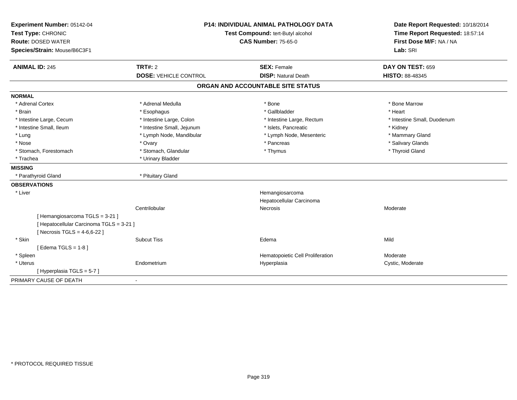| Experiment Number: 05142-04              | <b>P14: INDIVIDUAL ANIMAL PATHOLOGY DATA</b><br>Test Compound: tert-Butyl alcohol |                                             | Date Report Requested: 10/18/2014 |
|------------------------------------------|-----------------------------------------------------------------------------------|---------------------------------------------|-----------------------------------|
| Test Type: CHRONIC                       |                                                                                   |                                             | Time Report Requested: 18:57:14   |
| <b>Route: DOSED WATER</b>                |                                                                                   | <b>CAS Number: 75-65-0</b>                  | First Dose M/F: NA / NA           |
| Species/Strain: Mouse/B6C3F1             |                                                                                   |                                             | Lab: SRI                          |
| <b>ANIMAL ID: 245</b>                    | <b>TRT#: 2</b>                                                                    | <b>SEX: Female</b>                          | DAY ON TEST: 659                  |
|                                          | <b>DOSE: VEHICLE CONTROL</b>                                                      | <b>DISP: Natural Death</b>                  | HISTO: 88-48345                   |
|                                          |                                                                                   | ORGAN AND ACCOUNTABLE SITE STATUS           |                                   |
| <b>NORMAL</b>                            |                                                                                   |                                             |                                   |
| * Adrenal Cortex                         | * Adrenal Medulla                                                                 | * Bone                                      | * Bone Marrow                     |
| * Brain                                  | * Esophagus                                                                       | * Gallbladder                               | * Heart                           |
| * Intestine Large, Cecum                 | * Intestine Large, Colon                                                          | * Intestine Large, Rectum                   | * Intestine Small, Duodenum       |
| * Intestine Small, Ileum                 | * Intestine Small, Jejunum                                                        | * Islets, Pancreatic                        | * Kidney                          |
| * Lung                                   | * Lymph Node, Mandibular                                                          | * Lymph Node, Mesenteric                    | * Mammary Gland                   |
| * Nose                                   | * Ovary                                                                           | * Pancreas                                  | * Salivary Glands                 |
| * Stomach, Forestomach                   | * Stomach, Glandular                                                              | * Thymus                                    | * Thyroid Gland                   |
| * Trachea                                | * Urinary Bladder                                                                 |                                             |                                   |
| <b>MISSING</b>                           |                                                                                   |                                             |                                   |
| * Parathyroid Gland                      | * Pituitary Gland                                                                 |                                             |                                   |
| <b>OBSERVATIONS</b>                      |                                                                                   |                                             |                                   |
| * Liver                                  |                                                                                   | Hemangiosarcoma<br>Hepatocellular Carcinoma |                                   |
|                                          | Centrilobular                                                                     | <b>Necrosis</b>                             | Moderate                          |
| [Hemangiosarcoma TGLS = 3-21]            |                                                                                   |                                             |                                   |
| [ Hepatocellular Carcinoma TGLS = 3-21 ] |                                                                                   |                                             |                                   |
| [ Necrosis TGLS = $4-6,6-22$ ]           |                                                                                   |                                             |                                   |
| * Skin                                   | <b>Subcut Tiss</b>                                                                | Edema                                       | Mild                              |
| [Edema TGLS = $1-8$ ]                    |                                                                                   |                                             |                                   |
| * Spleen                                 |                                                                                   | Hematopoietic Cell Proliferation            | Moderate                          |
| * Uterus                                 | Endometrium                                                                       | Hyperplasia                                 | Cystic, Moderate                  |
| [Hyperplasia TGLS = 5-7]                 |                                                                                   |                                             |                                   |
| PRIMARY CAUSE OF DEATH                   |                                                                                   |                                             |                                   |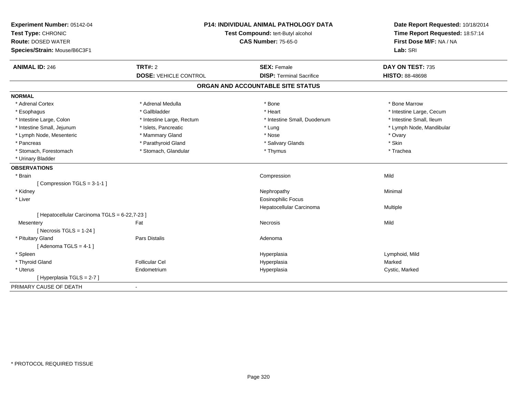| Experiment Number: 05142-04<br>Test Type: CHRONIC<br><b>Route: DOSED WATER</b><br>Species/Strain: Mouse/B6C3F1 |                              | <b>P14: INDIVIDUAL ANIMAL PATHOLOGY DATA</b><br>Test Compound: tert-Butyl alcohol<br><b>CAS Number: 75-65-0</b> | Date Report Requested: 10/18/2014<br>Time Report Requested: 18:57:14<br>First Dose M/F: NA / NA<br>Lab: SRI |
|----------------------------------------------------------------------------------------------------------------|------------------------------|-----------------------------------------------------------------------------------------------------------------|-------------------------------------------------------------------------------------------------------------|
| <b>ANIMAL ID: 246</b>                                                                                          | <b>TRT#: 2</b>               | <b>SEX: Female</b>                                                                                              | DAY ON TEST: 735                                                                                            |
|                                                                                                                | <b>DOSE: VEHICLE CONTROL</b> | <b>DISP: Terminal Sacrifice</b>                                                                                 | <b>HISTO: 88-48698</b>                                                                                      |
|                                                                                                                |                              | ORGAN AND ACCOUNTABLE SITE STATUS                                                                               |                                                                                                             |
| <b>NORMAL</b>                                                                                                  |                              |                                                                                                                 |                                                                                                             |
| * Adrenal Cortex                                                                                               | * Adrenal Medulla            | * Bone                                                                                                          | * Bone Marrow                                                                                               |
| * Esophagus                                                                                                    | * Gallbladder                | * Heart                                                                                                         | * Intestine Large, Cecum                                                                                    |
| * Intestine Large, Colon                                                                                       | * Intestine Large, Rectum    | * Intestine Small, Duodenum                                                                                     | * Intestine Small, Ileum                                                                                    |
| * Intestine Small, Jejunum                                                                                     | * Islets, Pancreatic         | * Lung                                                                                                          | * Lymph Node, Mandibular                                                                                    |
| * Lymph Node, Mesenteric                                                                                       | * Mammary Gland              | * Nose                                                                                                          | * Ovary                                                                                                     |
| * Pancreas                                                                                                     | * Parathyroid Gland          | * Salivary Glands                                                                                               | * Skin                                                                                                      |
| * Stomach, Forestomach                                                                                         | * Stomach, Glandular         | * Thymus                                                                                                        | * Trachea                                                                                                   |
| * Urinary Bladder                                                                                              |                              |                                                                                                                 |                                                                                                             |
| <b>OBSERVATIONS</b>                                                                                            |                              |                                                                                                                 |                                                                                                             |
| * Brain                                                                                                        |                              | Compression                                                                                                     | Mild                                                                                                        |
| [Compression TGLS = $3-1-1$ ]                                                                                  |                              |                                                                                                                 |                                                                                                             |
| * Kidney                                                                                                       |                              | Nephropathy                                                                                                     | Minimal                                                                                                     |
| * Liver                                                                                                        |                              | <b>Eosinophilic Focus</b>                                                                                       |                                                                                                             |
|                                                                                                                |                              | Hepatocellular Carcinoma                                                                                        | Multiple                                                                                                    |
| [ Hepatocellular Carcinoma TGLS = 6-22,7-23 ]                                                                  |                              |                                                                                                                 |                                                                                                             |
| Mesentery                                                                                                      | Fat                          | <b>Necrosis</b>                                                                                                 | Mild                                                                                                        |
| [ Necrosis $TGLS = 1-24$ ]                                                                                     |                              |                                                                                                                 |                                                                                                             |
| * Pituitary Gland                                                                                              | Pars Distalis                | Adenoma                                                                                                         |                                                                                                             |
| [Adenoma TGLS = $4-1$ ]                                                                                        |                              |                                                                                                                 |                                                                                                             |
| * Spleen                                                                                                       |                              | Hyperplasia                                                                                                     | Lymphoid, Mild                                                                                              |
| * Thyroid Gland                                                                                                | <b>Follicular Cel</b>        | Hyperplasia                                                                                                     | Marked                                                                                                      |
| * Uterus                                                                                                       | Endometrium                  | Hyperplasia                                                                                                     | Cystic, Marked                                                                                              |
| [ Hyperplasia TGLS = 2-7 ]                                                                                     |                              |                                                                                                                 |                                                                                                             |
| PRIMARY CAUSE OF DEATH                                                                                         |                              |                                                                                                                 |                                                                                                             |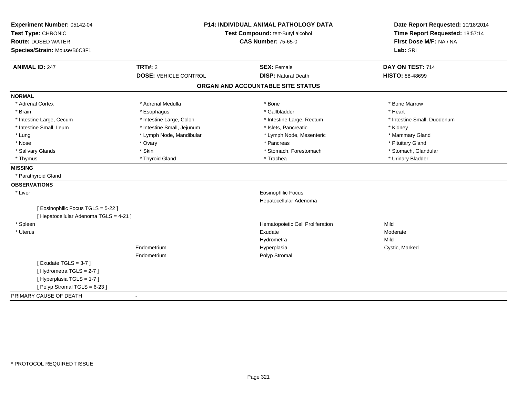| <b>P14: INDIVIDUAL ANIMAL PATHOLOGY DATA</b><br>Experiment Number: 05142-04<br>Test Type: CHRONIC<br>Test Compound: tert-Butyl alcohol<br><b>Route: DOSED WATER</b><br><b>CAS Number: 75-65-0</b><br>Species/Strain: Mouse/B6C3F1 |                              |                                   | Date Report Requested: 10/18/2014<br>Time Report Requested: 18:57:14<br>First Dose M/F: NA / NA<br>Lab: SRI |
|-----------------------------------------------------------------------------------------------------------------------------------------------------------------------------------------------------------------------------------|------------------------------|-----------------------------------|-------------------------------------------------------------------------------------------------------------|
| <b>ANIMAL ID: 247</b>                                                                                                                                                                                                             | TRT#: 2                      | <b>SEX: Female</b>                | DAY ON TEST: 714                                                                                            |
|                                                                                                                                                                                                                                   | <b>DOSE: VEHICLE CONTROL</b> | <b>DISP: Natural Death</b>        | <b>HISTO: 88-48699</b>                                                                                      |
|                                                                                                                                                                                                                                   |                              | ORGAN AND ACCOUNTABLE SITE STATUS |                                                                                                             |
| <b>NORMAL</b>                                                                                                                                                                                                                     |                              |                                   |                                                                                                             |
| * Adrenal Cortex                                                                                                                                                                                                                  | * Adrenal Medulla            | * Bone                            | * Bone Marrow                                                                                               |
| * Brain                                                                                                                                                                                                                           | * Esophagus                  | * Gallbladder                     | * Heart                                                                                                     |
| * Intestine Large, Cecum                                                                                                                                                                                                          | * Intestine Large, Colon     | * Intestine Large, Rectum         | * Intestine Small, Duodenum                                                                                 |
| * Intestine Small, Ileum                                                                                                                                                                                                          | * Intestine Small, Jejunum   | * Islets, Pancreatic              | * Kidney                                                                                                    |
| * Lung                                                                                                                                                                                                                            | * Lymph Node, Mandibular     | * Lymph Node, Mesenteric          | * Mammary Gland                                                                                             |
| * Nose                                                                                                                                                                                                                            | * Ovary                      | * Pancreas                        | * Pituitary Gland                                                                                           |
| * Salivary Glands                                                                                                                                                                                                                 | * Skin                       | * Stomach, Forestomach            | * Stomach, Glandular                                                                                        |
| * Thymus                                                                                                                                                                                                                          | * Thyroid Gland              | * Trachea                         | * Urinary Bladder                                                                                           |
| <b>MISSING</b>                                                                                                                                                                                                                    |                              |                                   |                                                                                                             |
| * Parathyroid Gland                                                                                                                                                                                                               |                              |                                   |                                                                                                             |
| <b>OBSERVATIONS</b>                                                                                                                                                                                                               |                              |                                   |                                                                                                             |
| * Liver                                                                                                                                                                                                                           |                              | <b>Eosinophilic Focus</b>         |                                                                                                             |
|                                                                                                                                                                                                                                   |                              | Hepatocellular Adenoma            |                                                                                                             |
| [Eosinophilic Focus TGLS = 5-22 ]<br>[ Hepatocellular Adenoma TGLS = 4-21 ]                                                                                                                                                       |                              |                                   |                                                                                                             |
| * Spleen                                                                                                                                                                                                                          |                              | Hematopoietic Cell Proliferation  | Mild                                                                                                        |
| * Uterus                                                                                                                                                                                                                          |                              | Exudate                           | Moderate                                                                                                    |
|                                                                                                                                                                                                                                   |                              | Hydrometra                        | Mild                                                                                                        |
|                                                                                                                                                                                                                                   | Endometrium                  | Hyperplasia                       | Cystic, Marked                                                                                              |
|                                                                                                                                                                                                                                   | Endometrium                  | Polyp Stromal                     |                                                                                                             |
| [Exudate TGLS = $3-7$ ]                                                                                                                                                                                                           |                              |                                   |                                                                                                             |
| [Hydrometra TGLS = 2-7]                                                                                                                                                                                                           |                              |                                   |                                                                                                             |
| [Hyperplasia TGLS = 1-7]                                                                                                                                                                                                          |                              |                                   |                                                                                                             |
| [Polyp Stromal TGLS = 6-23]                                                                                                                                                                                                       |                              |                                   |                                                                                                             |
| PRIMARY CAUSE OF DEATH                                                                                                                                                                                                            | $\blacksquare$               |                                   |                                                                                                             |
|                                                                                                                                                                                                                                   |                              |                                   |                                                                                                             |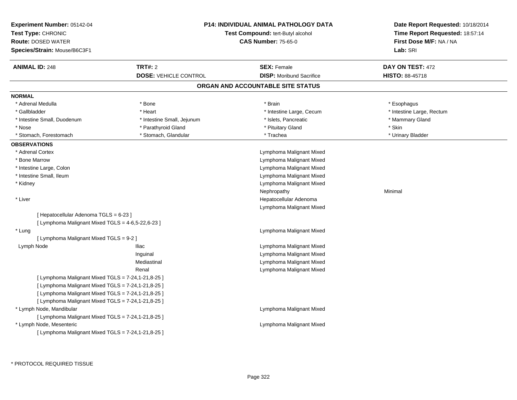| Experiment Number: 05142-04<br>Test Type: CHRONIC<br><b>Route: DOSED WATER</b><br>Species/Strain: Mouse/B6C3F1 |                                                | <b>P14: INDIVIDUAL ANIMAL PATHOLOGY DATA</b><br><b>Test Compound: tert-Butyl alcohol</b><br><b>CAS Number: 75-65-0</b> | Date Report Requested: 10/18/2014<br>Time Report Requested: 18:57:14<br>First Dose M/F: NA / NA<br>Lab: SRI |
|----------------------------------------------------------------------------------------------------------------|------------------------------------------------|------------------------------------------------------------------------------------------------------------------------|-------------------------------------------------------------------------------------------------------------|
| <b>ANIMAL ID: 248</b>                                                                                          | <b>TRT#: 2</b><br><b>DOSE: VEHICLE CONTROL</b> | <b>SEX: Female</b><br><b>DISP:</b> Moribund Sacrifice                                                                  | DAY ON TEST: 472<br><b>HISTO: 88-45718</b>                                                                  |
|                                                                                                                |                                                | ORGAN AND ACCOUNTABLE SITE STATUS                                                                                      |                                                                                                             |
| <b>NORMAL</b>                                                                                                  |                                                |                                                                                                                        |                                                                                                             |
| * Adrenal Medulla                                                                                              | * Bone                                         | * Brain                                                                                                                | * Esophagus                                                                                                 |
| * Gallbladder                                                                                                  | * Heart                                        | * Intestine Large, Cecum                                                                                               | * Intestine Large, Rectum                                                                                   |
| * Intestine Small, Duodenum                                                                                    | * Intestine Small, Jejunum                     | * Islets, Pancreatic                                                                                                   | * Mammary Gland                                                                                             |
| * Nose                                                                                                         | * Parathyroid Gland                            | * Pituitary Gland                                                                                                      | * Skin                                                                                                      |
| * Stomach, Forestomach                                                                                         | * Stomach, Glandular                           | * Trachea                                                                                                              | * Urinary Bladder                                                                                           |
| <b>OBSERVATIONS</b>                                                                                            |                                                |                                                                                                                        |                                                                                                             |
| * Adrenal Cortex                                                                                               |                                                | Lymphoma Malignant Mixed                                                                                               |                                                                                                             |
| * Bone Marrow                                                                                                  |                                                | Lymphoma Malignant Mixed                                                                                               |                                                                                                             |
| * Intestine Large, Colon                                                                                       |                                                | Lymphoma Malignant Mixed                                                                                               |                                                                                                             |
| * Intestine Small, Ileum                                                                                       |                                                | Lymphoma Malignant Mixed                                                                                               |                                                                                                             |
| * Kidney                                                                                                       |                                                | Lymphoma Malignant Mixed                                                                                               |                                                                                                             |
|                                                                                                                |                                                | Nephropathy                                                                                                            | Minimal                                                                                                     |
| * Liver                                                                                                        |                                                | Hepatocellular Adenoma                                                                                                 |                                                                                                             |
|                                                                                                                |                                                | Lymphoma Malignant Mixed                                                                                               |                                                                                                             |
| [ Hepatocellular Adenoma TGLS = 6-23 ]                                                                         |                                                |                                                                                                                        |                                                                                                             |
| [ Lymphoma Malignant Mixed TGLS = 4-6,5-22,6-23 ]                                                              |                                                |                                                                                                                        |                                                                                                             |
| * Lung                                                                                                         |                                                | Lymphoma Malignant Mixed                                                                                               |                                                                                                             |
| [ Lymphoma Malignant Mixed TGLS = 9-2 ]                                                                        |                                                |                                                                                                                        |                                                                                                             |
| Lymph Node                                                                                                     | <b>Iliac</b>                                   | Lymphoma Malignant Mixed                                                                                               |                                                                                                             |
|                                                                                                                | Inguinal                                       | Lymphoma Malignant Mixed                                                                                               |                                                                                                             |
|                                                                                                                | Mediastinal                                    | Lymphoma Malignant Mixed                                                                                               |                                                                                                             |
|                                                                                                                | Renal                                          | Lymphoma Malignant Mixed                                                                                               |                                                                                                             |
| [ Lymphoma Malignant Mixed TGLS = 7-24,1-21,8-25 ]                                                             |                                                |                                                                                                                        |                                                                                                             |
| [ Lymphoma Malignant Mixed TGLS = 7-24,1-21,8-25 ]                                                             |                                                |                                                                                                                        |                                                                                                             |
| [ Lymphoma Malignant Mixed TGLS = 7-24,1-21,8-25 ]                                                             |                                                |                                                                                                                        |                                                                                                             |
| [ Lymphoma Malignant Mixed TGLS = 7-24,1-21,8-25 ]                                                             |                                                |                                                                                                                        |                                                                                                             |
| * Lymph Node, Mandibular                                                                                       |                                                | Lymphoma Malignant Mixed                                                                                               |                                                                                                             |
| [ Lymphoma Malignant Mixed TGLS = 7-24,1-21,8-25 ]                                                             |                                                |                                                                                                                        |                                                                                                             |
| * Lymph Node, Mesenteric                                                                                       |                                                | Lymphoma Malignant Mixed                                                                                               |                                                                                                             |
| [ Lymphoma Malignant Mixed TGLS = 7-24,1-21,8-25 ]                                                             |                                                |                                                                                                                        |                                                                                                             |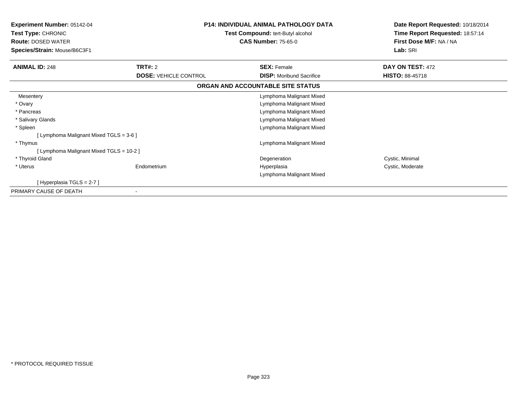| <b>Experiment Number: 05142-04</b><br>Test Type: CHRONIC<br><b>Route: DOSED WATER</b><br>Species/Strain: Mouse/B6C3F1 |                                                | <b>P14: INDIVIDUAL ANIMAL PATHOLOGY DATA</b><br>Test Compound: tert-Butyl alcohol<br><b>CAS Number: 75-65-0</b> | Date Report Requested: 10/18/2014<br>Time Report Requested: 18:57:14<br>First Dose M/F: NA / NA<br>Lab: SRI |
|-----------------------------------------------------------------------------------------------------------------------|------------------------------------------------|-----------------------------------------------------------------------------------------------------------------|-------------------------------------------------------------------------------------------------------------|
| <b>ANIMAL ID: 248</b>                                                                                                 | <b>TRT#: 2</b><br><b>DOSE: VEHICLE CONTROL</b> | <b>SEX: Female</b><br><b>DISP:</b> Moribund Sacrifice                                                           | DAY ON TEST: 472<br><b>HISTO: 88-45718</b>                                                                  |
|                                                                                                                       |                                                | ORGAN AND ACCOUNTABLE SITE STATUS                                                                               |                                                                                                             |
| Mesentery                                                                                                             |                                                | Lymphoma Malignant Mixed                                                                                        |                                                                                                             |
| * Ovary                                                                                                               |                                                | Lymphoma Malignant Mixed                                                                                        |                                                                                                             |
| * Pancreas                                                                                                            |                                                | Lymphoma Malignant Mixed                                                                                        |                                                                                                             |
| * Salivary Glands                                                                                                     |                                                | Lymphoma Malignant Mixed                                                                                        |                                                                                                             |
| * Spleen                                                                                                              |                                                | Lymphoma Malignant Mixed                                                                                        |                                                                                                             |
| [ Lymphoma Malignant Mixed TGLS = 3-6 ]                                                                               |                                                |                                                                                                                 |                                                                                                             |
| * Thymus                                                                                                              |                                                | Lymphoma Malignant Mixed                                                                                        |                                                                                                             |
| [Lymphoma Malignant Mixed TGLS = 10-2]                                                                                |                                                |                                                                                                                 |                                                                                                             |
| * Thyroid Gland                                                                                                       |                                                | Degeneration                                                                                                    | Cystic, Minimal                                                                                             |
| * Uterus                                                                                                              | Endometrium                                    | Hyperplasia                                                                                                     | Cystic, Moderate                                                                                            |
|                                                                                                                       |                                                | Lymphoma Malignant Mixed                                                                                        |                                                                                                             |
| [Hyperplasia TGLS = 2-7]                                                                                              |                                                |                                                                                                                 |                                                                                                             |
| PRIMARY CAUSE OF DEATH                                                                                                |                                                |                                                                                                                 |                                                                                                             |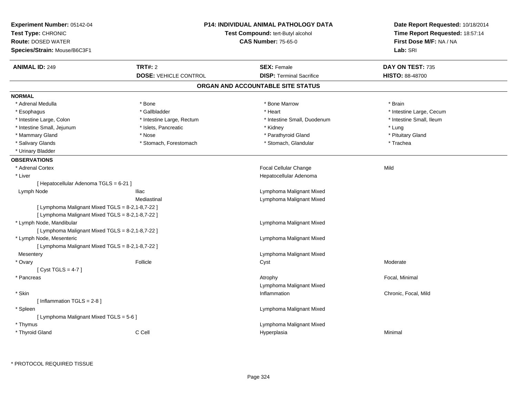| Experiment Number: 05142-04<br>Test Type: CHRONIC<br><b>Route: DOSED WATER</b><br>Species/Strain: Mouse/B6C3F1 |                              | <b>P14: INDIVIDUAL ANIMAL PATHOLOGY DATA</b><br>Test Compound: tert-Butyl alcohol<br><b>CAS Number: 75-65-0</b> | Date Report Requested: 10/18/2014<br>Time Report Requested: 18:57:14<br>First Dose M/F: NA / NA<br>Lab: SRI |
|----------------------------------------------------------------------------------------------------------------|------------------------------|-----------------------------------------------------------------------------------------------------------------|-------------------------------------------------------------------------------------------------------------|
| <b>ANIMAL ID: 249</b>                                                                                          | TRT#: 2                      | <b>SEX: Female</b>                                                                                              | DAY ON TEST: 735                                                                                            |
|                                                                                                                | <b>DOSE: VEHICLE CONTROL</b> | <b>DISP: Terminal Sacrifice</b>                                                                                 | HISTO: 88-48700                                                                                             |
|                                                                                                                |                              | ORGAN AND ACCOUNTABLE SITE STATUS                                                                               |                                                                                                             |
| <b>NORMAL</b>                                                                                                  |                              |                                                                                                                 |                                                                                                             |
| * Adrenal Medulla                                                                                              | * Bone                       | * Bone Marrow                                                                                                   | * Brain                                                                                                     |
| * Esophagus                                                                                                    | * Gallbladder                | * Heart                                                                                                         | * Intestine Large, Cecum                                                                                    |
| * Intestine Large, Colon                                                                                       | * Intestine Large, Rectum    | * Intestine Small, Duodenum                                                                                     | * Intestine Small, Ileum                                                                                    |
| * Intestine Small, Jejunum                                                                                     | * Islets, Pancreatic         | * Kidney                                                                                                        | * Lung                                                                                                      |
| * Mammary Gland                                                                                                | * Nose                       | * Parathyroid Gland                                                                                             | * Pituitary Gland                                                                                           |
| * Salivary Glands                                                                                              | * Stomach, Forestomach       | * Stomach, Glandular                                                                                            | * Trachea                                                                                                   |
| * Urinary Bladder                                                                                              |                              |                                                                                                                 |                                                                                                             |
| <b>OBSERVATIONS</b>                                                                                            |                              |                                                                                                                 |                                                                                                             |
| * Adrenal Cortex                                                                                               |                              | Focal Cellular Change                                                                                           | Mild                                                                                                        |
| * Liver                                                                                                        |                              | Hepatocellular Adenoma                                                                                          |                                                                                                             |
| [ Hepatocellular Adenoma TGLS = 6-21 ]                                                                         |                              |                                                                                                                 |                                                                                                             |
| Lymph Node                                                                                                     | <b>Iliac</b>                 | Lymphoma Malignant Mixed                                                                                        |                                                                                                             |
|                                                                                                                | Mediastinal                  | Lymphoma Malignant Mixed                                                                                        |                                                                                                             |
| [ Lymphoma Malignant Mixed TGLS = 8-2,1-8,7-22 ]                                                               |                              |                                                                                                                 |                                                                                                             |
| [ Lymphoma Malignant Mixed TGLS = 8-2,1-8,7-22 ]                                                               |                              |                                                                                                                 |                                                                                                             |
| * Lymph Node, Mandibular                                                                                       |                              | Lymphoma Malignant Mixed                                                                                        |                                                                                                             |
| [ Lymphoma Malignant Mixed TGLS = 8-2,1-8,7-22 ]                                                               |                              |                                                                                                                 |                                                                                                             |
| * Lymph Node, Mesenteric                                                                                       |                              | Lymphoma Malignant Mixed                                                                                        |                                                                                                             |
| [ Lymphoma Malignant Mixed TGLS = 8-2,1-8,7-22 ]                                                               |                              |                                                                                                                 |                                                                                                             |
| Mesentery                                                                                                      |                              | Lymphoma Malignant Mixed                                                                                        |                                                                                                             |
| * Ovary                                                                                                        | Follicle                     | Cyst                                                                                                            | Moderate                                                                                                    |
| [Cyst TGLS = 4-7]                                                                                              |                              |                                                                                                                 |                                                                                                             |
| * Pancreas                                                                                                     |                              | Atrophy                                                                                                         | Focal, Minimal                                                                                              |
|                                                                                                                |                              | Lymphoma Malignant Mixed                                                                                        |                                                                                                             |
| * Skin                                                                                                         |                              | Inflammation                                                                                                    | Chronic, Focal, Mild                                                                                        |
| [Inflammation TGLS = 2-8]                                                                                      |                              |                                                                                                                 |                                                                                                             |
| * Spleen                                                                                                       |                              | Lymphoma Malignant Mixed                                                                                        |                                                                                                             |
| [ Lymphoma Malignant Mixed TGLS = 5-6 ]                                                                        |                              |                                                                                                                 |                                                                                                             |
| * Thymus                                                                                                       |                              | Lymphoma Malignant Mixed                                                                                        |                                                                                                             |
| * Thyroid Gland                                                                                                | C Cell                       | Hyperplasia                                                                                                     | Minimal                                                                                                     |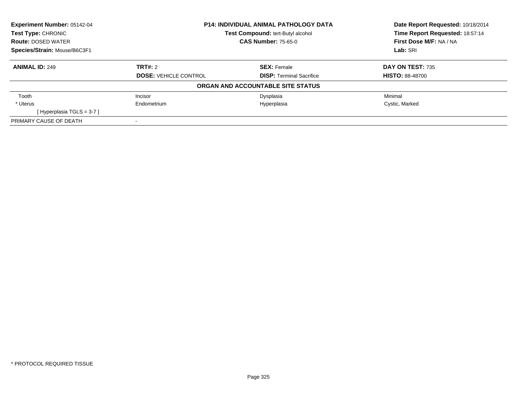| Experiment Number: 05142-04  | <b>P14: INDIVIDUAL ANIMAL PATHOLOGY DATA</b><br><b>Test Compound: tert-Butyl alcohol</b> |                                   | Date Report Requested: 10/18/2014 |
|------------------------------|------------------------------------------------------------------------------------------|-----------------------------------|-----------------------------------|
| <b>Test Type: CHRONIC</b>    |                                                                                          |                                   | Time Report Requested: 18:57:14   |
| <b>Route: DOSED WATER</b>    |                                                                                          | <b>CAS Number: 75-65-0</b>        | First Dose M/F: NA / NA           |
| Species/Strain: Mouse/B6C3F1 |                                                                                          |                                   | Lab: SRI                          |
| <b>ANIMAL ID: 249</b>        | TRT#: 2                                                                                  | <b>SEX: Female</b>                | DAY ON TEST: 735                  |
|                              | <b>DOSE: VEHICLE CONTROL</b>                                                             | <b>DISP: Terminal Sacrifice</b>   | <b>HISTO: 88-48700</b>            |
|                              |                                                                                          | ORGAN AND ACCOUNTABLE SITE STATUS |                                   |
| Tooth                        | Incisor                                                                                  | Dysplasia                         | Minimal                           |
| * Uterus                     | Endometrium                                                                              | Hyperplasia                       | Cystic, Marked                    |
| [Hyperplasia TGLS = $3-7$ ]  |                                                                                          |                                   |                                   |
| PRIMARY CAUSE OF DEATH       |                                                                                          |                                   |                                   |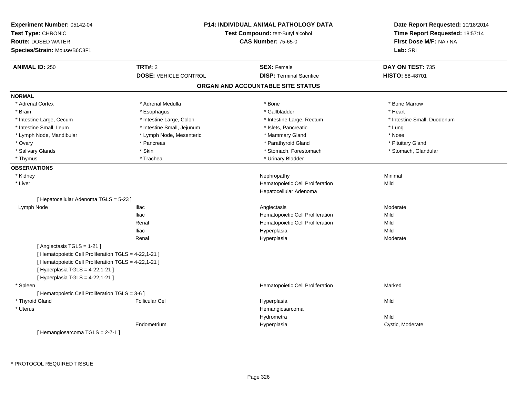| Experiment Number: 05142-04<br>Test Type: CHRONIC<br><b>Route: DOSED WATER</b><br>Species/Strain: Mouse/B6C3F1 |                              | P14: INDIVIDUAL ANIMAL PATHOLOGY DATA<br>Test Compound: tert-Butyl alcohol<br><b>CAS Number: 75-65-0</b> | Date Report Requested: 10/18/2014<br>Time Report Requested: 18:57:14<br>First Dose M/F: NA / NA<br>Lab: SRI |
|----------------------------------------------------------------------------------------------------------------|------------------------------|----------------------------------------------------------------------------------------------------------|-------------------------------------------------------------------------------------------------------------|
| <b>ANIMAL ID: 250</b>                                                                                          | <b>TRT#: 2</b>               | <b>SEX: Female</b>                                                                                       | DAY ON TEST: 735                                                                                            |
|                                                                                                                | <b>DOSE: VEHICLE CONTROL</b> | <b>DISP: Terminal Sacrifice</b>                                                                          | HISTO: 88-48701                                                                                             |
|                                                                                                                |                              | ORGAN AND ACCOUNTABLE SITE STATUS                                                                        |                                                                                                             |
| <b>NORMAL</b>                                                                                                  |                              |                                                                                                          |                                                                                                             |
| * Adrenal Cortex                                                                                               | * Adrenal Medulla            | * Bone                                                                                                   | * Bone Marrow                                                                                               |
| * Brain                                                                                                        | * Esophagus                  | * Gallbladder                                                                                            | * Heart                                                                                                     |
| * Intestine Large, Cecum                                                                                       | * Intestine Large, Colon     | * Intestine Large, Rectum                                                                                | * Intestine Small, Duodenum                                                                                 |
| * Intestine Small, Ileum                                                                                       | * Intestine Small, Jejunum   | * Islets, Pancreatic                                                                                     | * Lung                                                                                                      |
| * Lymph Node, Mandibular                                                                                       | * Lymph Node, Mesenteric     | * Mammary Gland                                                                                          | * Nose                                                                                                      |
| * Ovary                                                                                                        | * Pancreas                   | * Parathyroid Gland                                                                                      | * Pituitary Gland                                                                                           |
| * Salivary Glands                                                                                              | * Skin                       | * Stomach, Forestomach                                                                                   | * Stomach, Glandular                                                                                        |
| * Thymus                                                                                                       | * Trachea                    | * Urinary Bladder                                                                                        |                                                                                                             |
| <b>OBSERVATIONS</b>                                                                                            |                              |                                                                                                          |                                                                                                             |
| * Kidney                                                                                                       |                              | Nephropathy                                                                                              | Minimal                                                                                                     |
| * Liver                                                                                                        |                              | Hematopoietic Cell Proliferation                                                                         | Mild                                                                                                        |
|                                                                                                                |                              | Hepatocellular Adenoma                                                                                   |                                                                                                             |
| [ Hepatocellular Adenoma TGLS = 5-23 ]                                                                         |                              |                                                                                                          |                                                                                                             |
| Lymph Node                                                                                                     | <b>Iliac</b>                 | Angiectasis                                                                                              | Moderate                                                                                                    |
|                                                                                                                | <b>Iliac</b>                 | Hematopoietic Cell Proliferation                                                                         | Mild                                                                                                        |
|                                                                                                                | Renal                        | Hematopoietic Cell Proliferation                                                                         | Mild                                                                                                        |
|                                                                                                                | <b>Iliac</b>                 | Hyperplasia                                                                                              | Mild                                                                                                        |
|                                                                                                                | Renal                        | Hyperplasia                                                                                              | Moderate                                                                                                    |
| [ Angiectasis TGLS = 1-21 ]                                                                                    |                              |                                                                                                          |                                                                                                             |
| [ Hematopoietic Cell Proliferation TGLS = 4-22,1-21 ]                                                          |                              |                                                                                                          |                                                                                                             |
| [ Hematopoietic Cell Proliferation TGLS = 4-22,1-21 ]                                                          |                              |                                                                                                          |                                                                                                             |
| [ Hyperplasia TGLS = 4-22,1-21 ]                                                                               |                              |                                                                                                          |                                                                                                             |
| [ Hyperplasia TGLS = 4-22,1-21 ]                                                                               |                              |                                                                                                          |                                                                                                             |
| * Spleen                                                                                                       |                              | Hematopoietic Cell Proliferation                                                                         | Marked                                                                                                      |
| [ Hematopoietic Cell Proliferation TGLS = 3-6 ]                                                                |                              |                                                                                                          |                                                                                                             |
| * Thyroid Gland                                                                                                | <b>Follicular Cel</b>        | Hyperplasia                                                                                              | Mild                                                                                                        |
| * Uterus                                                                                                       |                              | Hemangiosarcoma                                                                                          |                                                                                                             |
|                                                                                                                |                              | Hydrometra                                                                                               | Mild                                                                                                        |
|                                                                                                                | Endometrium                  | Hyperplasia                                                                                              | Cystic, Moderate                                                                                            |
| [Hemangiosarcoma TGLS = 2-7-1]                                                                                 |                              |                                                                                                          |                                                                                                             |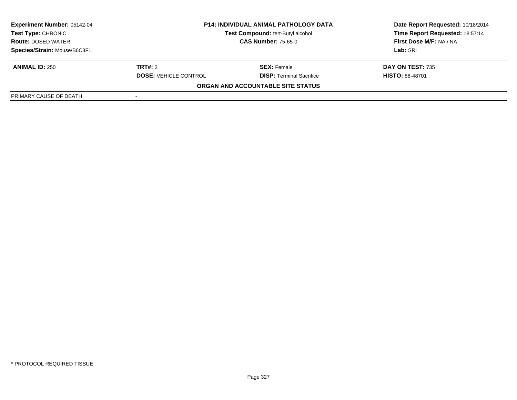| <b>Experiment Number: 05142-04</b><br>Test Type: CHRONIC<br><b>Route: DOSED WATER</b> | <b>P14: INDIVIDUAL ANIMAL PATHOLOGY DATA</b><br>Test Compound: tert-Butyl alcohol<br><b>CAS Number: 75-65-0</b> |                                   | Date Report Requested: 10/18/2014<br>Time Report Requested: 18:57:14<br>First Dose M/F: NA / NA |
|---------------------------------------------------------------------------------------|-----------------------------------------------------------------------------------------------------------------|-----------------------------------|-------------------------------------------------------------------------------------------------|
| Species/Strain: Mouse/B6C3F1                                                          |                                                                                                                 |                                   | Lab: SRI                                                                                        |
| <b>ANIMAL ID: 250</b>                                                                 | <b>TRT#:</b> 2                                                                                                  | <b>SEX:</b> Female                | DAY ON TEST: 735                                                                                |
|                                                                                       | <b>DOSE: VEHICLE CONTROL</b>                                                                                    | <b>DISP: Terminal Sacrifice</b>   | <b>HISTO: 88-48701</b>                                                                          |
|                                                                                       |                                                                                                                 | ORGAN AND ACCOUNTABLE SITE STATUS |                                                                                                 |
| PRIMARY CAUSE OF DEATH                                                                |                                                                                                                 |                                   |                                                                                                 |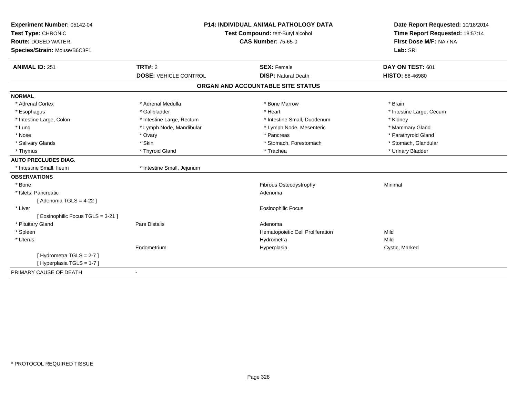| Experiment Number: 05142-04        | <b>P14: INDIVIDUAL ANIMAL PATHOLOGY DATA</b><br>Test Compound: tert-Butyl alcohol |                                   | Date Report Requested: 10/18/2014<br>Time Report Requested: 18:57:14 |  |
|------------------------------------|-----------------------------------------------------------------------------------|-----------------------------------|----------------------------------------------------------------------|--|
| Test Type: CHRONIC                 |                                                                                   |                                   |                                                                      |  |
| <b>Route: DOSED WATER</b>          |                                                                                   | <b>CAS Number: 75-65-0</b>        | First Dose M/F: NA / NA                                              |  |
| Species/Strain: Mouse/B6C3F1       |                                                                                   |                                   | Lab: SRI                                                             |  |
| <b>ANIMAL ID: 251</b>              | <b>TRT#: 2</b>                                                                    | <b>SEX: Female</b>                | DAY ON TEST: 601                                                     |  |
|                                    | <b>DOSE: VEHICLE CONTROL</b>                                                      | <b>DISP: Natural Death</b>        | <b>HISTO: 88-46980</b>                                               |  |
|                                    |                                                                                   | ORGAN AND ACCOUNTABLE SITE STATUS |                                                                      |  |
| <b>NORMAL</b>                      |                                                                                   |                                   |                                                                      |  |
| * Adrenal Cortex                   | * Adrenal Medulla                                                                 | * Bone Marrow                     | * Brain                                                              |  |
| * Esophagus                        | * Gallbladder                                                                     | * Heart                           | * Intestine Large, Cecum                                             |  |
| * Intestine Large, Colon           | * Intestine Large, Rectum                                                         | * Intestine Small, Duodenum       | * Kidney                                                             |  |
| * Lung                             | * Lymph Node, Mandibular                                                          | * Lymph Node, Mesenteric          | * Mammary Gland                                                      |  |
| * Nose                             | * Ovary                                                                           | * Pancreas                        | * Parathyroid Gland                                                  |  |
| * Salivary Glands                  | * Skin                                                                            | * Stomach, Forestomach            | * Stomach, Glandular                                                 |  |
| * Thymus                           | * Thyroid Gland                                                                   | * Trachea                         | * Urinary Bladder                                                    |  |
| <b>AUTO PRECLUDES DIAG.</b>        |                                                                                   |                                   |                                                                      |  |
| * Intestine Small, Ileum           | * Intestine Small, Jejunum                                                        |                                   |                                                                      |  |
| <b>OBSERVATIONS</b>                |                                                                                   |                                   |                                                                      |  |
| * Bone                             |                                                                                   | Fibrous Osteodystrophy            | Minimal                                                              |  |
| * Islets, Pancreatic               |                                                                                   | Adenoma                           |                                                                      |  |
| [Adenoma TGLS = $4-22$ ]           |                                                                                   |                                   |                                                                      |  |
| * Liver                            |                                                                                   | Eosinophilic Focus                |                                                                      |  |
| [ Eosinophilic Focus TGLS = 3-21 ] |                                                                                   |                                   |                                                                      |  |
| * Pituitary Gland                  | <b>Pars Distalis</b>                                                              | Adenoma                           |                                                                      |  |
| * Spleen                           |                                                                                   | Hematopoietic Cell Proliferation  | Mild                                                                 |  |
| * Uterus                           |                                                                                   | Hydrometra                        | Mild                                                                 |  |
|                                    | Endometrium                                                                       | Hyperplasia                       | Cystic, Marked                                                       |  |
| [Hydrometra TGLS = 2-7]            |                                                                                   |                                   |                                                                      |  |
| [Hyperplasia TGLS = 1-7]           |                                                                                   |                                   |                                                                      |  |
| PRIMARY CAUSE OF DEATH             |                                                                                   |                                   |                                                                      |  |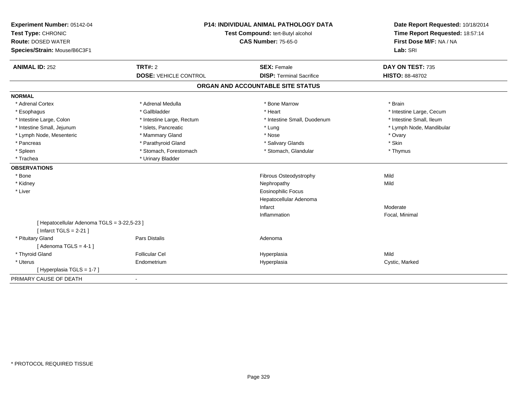| Experiment Number: 05142-04<br>Test Type: CHRONIC<br><b>Route: DOSED WATER</b><br>Species/Strain: Mouse/B6C3F1 | <b>P14: INDIVIDUAL ANIMAL PATHOLOGY DATA</b><br>Test Compound: tert-Butyl alcohol<br><b>CAS Number: 75-65-0</b> |                                   | Date Report Requested: 10/18/2014<br>Time Report Requested: 18:57:14<br>First Dose M/F: NA / NA<br>Lab: SRI |
|----------------------------------------------------------------------------------------------------------------|-----------------------------------------------------------------------------------------------------------------|-----------------------------------|-------------------------------------------------------------------------------------------------------------|
| <b>ANIMAL ID: 252</b>                                                                                          | TRT#: 2                                                                                                         | <b>SEX: Female</b>                | DAY ON TEST: 735                                                                                            |
|                                                                                                                | <b>DOSE: VEHICLE CONTROL</b>                                                                                    | <b>DISP: Terminal Sacrifice</b>   | HISTO: 88-48702                                                                                             |
|                                                                                                                |                                                                                                                 | ORGAN AND ACCOUNTABLE SITE STATUS |                                                                                                             |
| <b>NORMAL</b>                                                                                                  |                                                                                                                 |                                   |                                                                                                             |
| * Adrenal Cortex                                                                                               | * Adrenal Medulla                                                                                               | * Bone Marrow                     | * Brain                                                                                                     |
| * Esophagus                                                                                                    | * Gallbladder                                                                                                   | * Heart                           | * Intestine Large, Cecum                                                                                    |
| * Intestine Large, Colon                                                                                       | * Intestine Large, Rectum                                                                                       | * Intestine Small. Duodenum       | * Intestine Small, Ileum                                                                                    |
| * Intestine Small, Jejunum                                                                                     | * Islets, Pancreatic                                                                                            | * Lung                            | * Lymph Node, Mandibular                                                                                    |
| * Lymph Node, Mesenteric                                                                                       | * Mammary Gland                                                                                                 | * Nose                            | * Ovary                                                                                                     |
| * Pancreas                                                                                                     | * Parathyroid Gland                                                                                             | * Salivary Glands                 | * Skin                                                                                                      |
| * Spleen                                                                                                       | * Stomach, Forestomach                                                                                          | * Stomach, Glandular              | * Thymus                                                                                                    |
| * Trachea                                                                                                      | * Urinary Bladder                                                                                               |                                   |                                                                                                             |
| <b>OBSERVATIONS</b>                                                                                            |                                                                                                                 |                                   |                                                                                                             |
| * Bone                                                                                                         |                                                                                                                 | Fibrous Osteodystrophy            | Mild                                                                                                        |
| * Kidney                                                                                                       |                                                                                                                 | Nephropathy                       | Mild                                                                                                        |
| * Liver                                                                                                        |                                                                                                                 | <b>Eosinophilic Focus</b>         |                                                                                                             |
|                                                                                                                |                                                                                                                 | Hepatocellular Adenoma            |                                                                                                             |
|                                                                                                                |                                                                                                                 | Infarct                           | Moderate                                                                                                    |
|                                                                                                                |                                                                                                                 | Inflammation                      | Focal, Minimal                                                                                              |
| [ Hepatocellular Adenoma TGLS = 3-22,5-23 ]                                                                    |                                                                                                                 |                                   |                                                                                                             |
| [ Infarct TGLS = $2-21$ ]                                                                                      |                                                                                                                 |                                   |                                                                                                             |
| * Pituitary Gland                                                                                              | <b>Pars Distalis</b>                                                                                            | Adenoma                           |                                                                                                             |
| [Adenoma TGLS = $4-1$ ]                                                                                        |                                                                                                                 |                                   |                                                                                                             |
| * Thyroid Gland                                                                                                | Follicular Cel                                                                                                  | Hyperplasia                       | Mild                                                                                                        |
| * Uterus                                                                                                       | Endometrium                                                                                                     | Hyperplasia                       | Cystic, Marked                                                                                              |
| [Hyperplasia TGLS = 1-7]                                                                                       |                                                                                                                 |                                   |                                                                                                             |
| PRIMARY CAUSE OF DEATH                                                                                         |                                                                                                                 |                                   |                                                                                                             |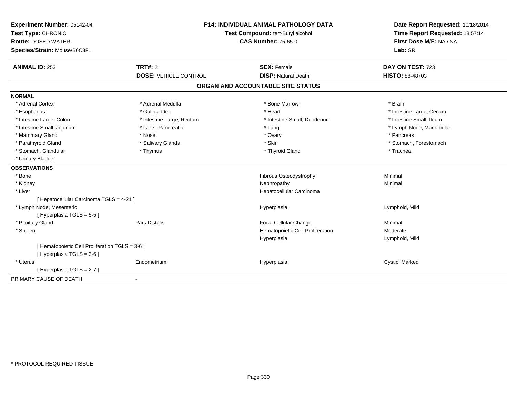| Experiment Number: 05142-04<br>Test Type: CHRONIC<br><b>Route: DOSED WATER</b><br>Species/Strain: Mouse/B6C3F1 | <b>P14: INDIVIDUAL ANIMAL PATHOLOGY DATA</b><br>Test Compound: tert-Butyl alcohol<br><b>CAS Number: 75-65-0</b> |                                   | Date Report Requested: 10/18/2014<br>Time Report Requested: 18:57:14<br>First Dose M/F: NA / NA<br>Lab: SRI |  |
|----------------------------------------------------------------------------------------------------------------|-----------------------------------------------------------------------------------------------------------------|-----------------------------------|-------------------------------------------------------------------------------------------------------------|--|
| <b>ANIMAL ID: 253</b>                                                                                          | <b>TRT#: 2</b>                                                                                                  | <b>SEX: Female</b>                | DAY ON TEST: 723                                                                                            |  |
|                                                                                                                | <b>DOSE: VEHICLE CONTROL</b>                                                                                    | <b>DISP: Natural Death</b>        | HISTO: 88-48703                                                                                             |  |
|                                                                                                                |                                                                                                                 | ORGAN AND ACCOUNTABLE SITE STATUS |                                                                                                             |  |
| <b>NORMAL</b>                                                                                                  |                                                                                                                 |                                   |                                                                                                             |  |
| * Adrenal Cortex                                                                                               | * Adrenal Medulla                                                                                               | * Bone Marrow                     | * Brain                                                                                                     |  |
| * Esophagus                                                                                                    | * Gallbladder                                                                                                   | * Heart                           | * Intestine Large, Cecum                                                                                    |  |
| * Intestine Large, Colon                                                                                       | * Intestine Large, Rectum                                                                                       | * Intestine Small, Duodenum       | * Intestine Small, Ileum                                                                                    |  |
| * Intestine Small, Jejunum                                                                                     | * Islets, Pancreatic                                                                                            | * Lung                            | * Lymph Node, Mandibular                                                                                    |  |
| * Mammary Gland                                                                                                | * Nose                                                                                                          | * Ovary                           | * Pancreas                                                                                                  |  |
| * Parathyroid Gland                                                                                            | * Salivary Glands                                                                                               | * Skin                            | * Stomach, Forestomach                                                                                      |  |
| * Stomach, Glandular                                                                                           | * Thymus                                                                                                        | * Thyroid Gland                   | * Trachea                                                                                                   |  |
| * Urinary Bladder                                                                                              |                                                                                                                 |                                   |                                                                                                             |  |
| <b>OBSERVATIONS</b>                                                                                            |                                                                                                                 |                                   |                                                                                                             |  |
| * Bone                                                                                                         |                                                                                                                 | Fibrous Osteodystrophy            | Minimal                                                                                                     |  |
| * Kidney                                                                                                       |                                                                                                                 | Nephropathy                       | Minimal                                                                                                     |  |
| * Liver                                                                                                        |                                                                                                                 | Hepatocellular Carcinoma          |                                                                                                             |  |
| [ Hepatocellular Carcinoma TGLS = 4-21 ]                                                                       |                                                                                                                 |                                   |                                                                                                             |  |
| * Lymph Node, Mesenteric<br>[Hyperplasia TGLS = 5-5]                                                           |                                                                                                                 | Hyperplasia                       | Lymphoid, Mild                                                                                              |  |
| * Pituitary Gland                                                                                              | Pars Distalis                                                                                                   | Focal Cellular Change             | Minimal                                                                                                     |  |
| * Spleen                                                                                                       |                                                                                                                 | Hematopoietic Cell Proliferation  | Moderate                                                                                                    |  |
|                                                                                                                |                                                                                                                 | Hyperplasia                       | Lymphoid, Mild                                                                                              |  |
| [ Hematopoietic Cell Proliferation TGLS = 3-6 ]<br>[Hyperplasia TGLS = 3-6]                                    |                                                                                                                 |                                   |                                                                                                             |  |
| * Uterus                                                                                                       | Endometrium                                                                                                     | Hyperplasia                       | Cystic, Marked                                                                                              |  |
| [Hyperplasia TGLS = 2-7]                                                                                       |                                                                                                                 |                                   |                                                                                                             |  |
| PRIMARY CAUSE OF DEATH                                                                                         | $\blacksquare$                                                                                                  |                                   |                                                                                                             |  |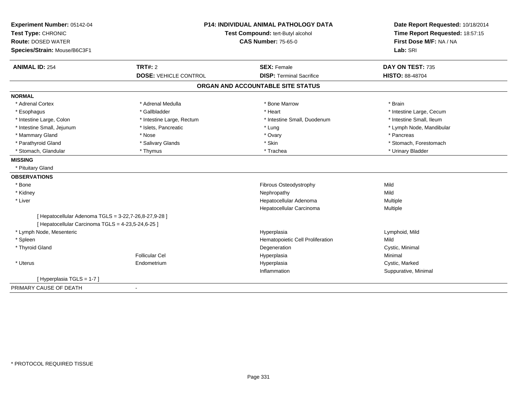| Experiment Number: 05142-04<br>Test Type: CHRONIC     | <b>P14: INDIVIDUAL ANIMAL PATHOLOGY DATA</b><br>Test Compound: tert-Butyl alcohol |                                   | Date Report Requested: 10/18/2014                          |
|-------------------------------------------------------|-----------------------------------------------------------------------------------|-----------------------------------|------------------------------------------------------------|
| <b>Route: DOSED WATER</b>                             |                                                                                   | <b>CAS Number: 75-65-0</b>        | Time Report Requested: 18:57:15<br>First Dose M/F: NA / NA |
| Species/Strain: Mouse/B6C3F1                          |                                                                                   |                                   | Lab: SRI                                                   |
| <b>ANIMAL ID: 254</b>                                 | <b>TRT#: 2</b>                                                                    | <b>SEX: Female</b>                | DAY ON TEST: 735                                           |
|                                                       | <b>DOSE: VEHICLE CONTROL</b>                                                      | <b>DISP: Terminal Sacrifice</b>   | <b>HISTO: 88-48704</b>                                     |
|                                                       |                                                                                   | ORGAN AND ACCOUNTABLE SITE STATUS |                                                            |
| <b>NORMAL</b>                                         |                                                                                   |                                   |                                                            |
| * Adrenal Cortex                                      | * Adrenal Medulla                                                                 | * Bone Marrow                     | * Brain                                                    |
| * Esophagus                                           | * Gallbladder                                                                     | * Heart                           | * Intestine Large, Cecum                                   |
| * Intestine Large, Colon                              | * Intestine Large, Rectum                                                         | * Intestine Small, Duodenum       | * Intestine Small, Ileum                                   |
| * Intestine Small, Jejunum                            | * Islets, Pancreatic                                                              | * Lung                            | * Lymph Node, Mandibular                                   |
| * Mammary Gland                                       | * Nose                                                                            | * Ovary                           | * Pancreas                                                 |
| * Parathyroid Gland                                   | * Salivary Glands                                                                 | * Skin                            | * Stomach, Forestomach                                     |
| * Stomach, Glandular                                  | * Thymus                                                                          | * Trachea                         | * Urinary Bladder                                          |
| <b>MISSING</b>                                        |                                                                                   |                                   |                                                            |
| * Pituitary Gland                                     |                                                                                   |                                   |                                                            |
| <b>OBSERVATIONS</b>                                   |                                                                                   |                                   |                                                            |
| * Bone                                                |                                                                                   | Fibrous Osteodystrophy            | Mild                                                       |
| * Kidney                                              |                                                                                   | Nephropathy                       | Mild                                                       |
| * Liver                                               |                                                                                   | Hepatocellular Adenoma            | Multiple                                                   |
|                                                       |                                                                                   | Hepatocellular Carcinoma          | Multiple                                                   |
| [ Hepatocellular Adenoma TGLS = 3-22,7-26,8-27,9-28 ] |                                                                                   |                                   |                                                            |
| [ Hepatocellular Carcinoma TGLS = 4-23,5-24,6-25 ]    |                                                                                   |                                   |                                                            |
| * Lymph Node, Mesenteric                              |                                                                                   | Hyperplasia                       | Lymphoid, Mild                                             |
| * Spleen                                              |                                                                                   | Hematopoietic Cell Proliferation  | Mild                                                       |
| * Thyroid Gland                                       |                                                                                   | Degeneration                      | Cystic, Minimal                                            |
|                                                       | <b>Follicular Cel</b>                                                             | Hyperplasia                       | Minimal                                                    |
| * Uterus                                              | Endometrium                                                                       | Hyperplasia                       | Cystic, Marked                                             |
|                                                       |                                                                                   | Inflammation                      | Suppurative, Minimal                                       |
| [Hyperplasia TGLS = 1-7]                              |                                                                                   |                                   |                                                            |
| PRIMARY CAUSE OF DEATH                                |                                                                                   |                                   |                                                            |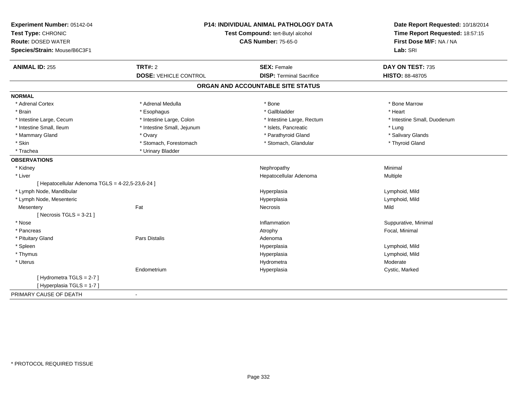| Experiment Number: 05142-04<br>Test Type: CHRONIC<br><b>Route: DOSED WATER</b><br>Species/Strain: Mouse/B6C3F1 | <b>P14: INDIVIDUAL ANIMAL PATHOLOGY DATA</b><br>Test Compound: tert-Butyl alcohol<br><b>CAS Number: 75-65-0</b> |                                                       | Date Report Requested: 10/18/2014<br>Time Report Requested: 18:57:15<br>First Dose M/F: NA / NA<br>Lab: SRI |
|----------------------------------------------------------------------------------------------------------------|-----------------------------------------------------------------------------------------------------------------|-------------------------------------------------------|-------------------------------------------------------------------------------------------------------------|
| <b>ANIMAL ID: 255</b>                                                                                          | <b>TRT#: 2</b><br><b>DOSE: VEHICLE CONTROL</b>                                                                  | <b>SEX: Female</b><br><b>DISP: Terminal Sacrifice</b> | DAY ON TEST: 735<br><b>HISTO: 88-48705</b>                                                                  |
|                                                                                                                |                                                                                                                 |                                                       |                                                                                                             |
|                                                                                                                |                                                                                                                 | ORGAN AND ACCOUNTABLE SITE STATUS                     |                                                                                                             |
| <b>NORMAL</b>                                                                                                  |                                                                                                                 |                                                       |                                                                                                             |
| * Adrenal Cortex                                                                                               | * Adrenal Medulla                                                                                               | * Bone                                                | * Bone Marrow                                                                                               |
| * Brain                                                                                                        | * Esophagus                                                                                                     | * Gallbladder                                         | * Heart                                                                                                     |
| * Intestine Large, Cecum                                                                                       | * Intestine Large, Colon                                                                                        | * Intestine Large, Rectum                             | * Intestine Small, Duodenum                                                                                 |
| * Intestine Small, Ileum                                                                                       | * Intestine Small, Jejunum                                                                                      | * Islets, Pancreatic                                  | * Lung                                                                                                      |
| * Mammary Gland                                                                                                | * Ovary                                                                                                         | * Parathyroid Gland                                   | * Salivary Glands                                                                                           |
| * Skin                                                                                                         | * Stomach, Forestomach                                                                                          | * Stomach, Glandular                                  | * Thyroid Gland                                                                                             |
| * Trachea                                                                                                      | * Urinary Bladder                                                                                               |                                                       |                                                                                                             |
| <b>OBSERVATIONS</b>                                                                                            |                                                                                                                 |                                                       |                                                                                                             |
| * Kidney                                                                                                       |                                                                                                                 | Nephropathy                                           | Minimal                                                                                                     |
| * Liver                                                                                                        |                                                                                                                 | Hepatocellular Adenoma                                | Multiple                                                                                                    |
| [ Hepatocellular Adenoma TGLS = 4-22,5-23,6-24 ]                                                               |                                                                                                                 |                                                       |                                                                                                             |
| * Lymph Node, Mandibular                                                                                       |                                                                                                                 | Hyperplasia                                           | Lymphoid, Mild                                                                                              |
| * Lymph Node, Mesenteric                                                                                       |                                                                                                                 | Hyperplasia                                           | Lymphoid, Mild                                                                                              |
| Mesentery                                                                                                      | Fat                                                                                                             | Necrosis                                              | Mild                                                                                                        |
| [Necrosis TGLS = $3-21$ ]                                                                                      |                                                                                                                 |                                                       |                                                                                                             |
| * Nose                                                                                                         |                                                                                                                 | Inflammation                                          | Suppurative, Minimal                                                                                        |
| * Pancreas                                                                                                     |                                                                                                                 | Atrophy                                               | Focal, Minimal                                                                                              |
| * Pituitary Gland                                                                                              | Pars Distalis                                                                                                   | Adenoma                                               |                                                                                                             |
| * Spleen                                                                                                       |                                                                                                                 | Hyperplasia                                           | Lymphoid, Mild                                                                                              |
| * Thymus                                                                                                       |                                                                                                                 | Hyperplasia                                           | Lymphoid, Mild                                                                                              |
| * Uterus                                                                                                       |                                                                                                                 | Hydrometra                                            | Moderate                                                                                                    |
|                                                                                                                | Endometrium                                                                                                     | Hyperplasia                                           | Cystic, Marked                                                                                              |
| [Hydrometra TGLS = 2-7]<br>[Hyperplasia TGLS = 1-7]                                                            |                                                                                                                 |                                                       |                                                                                                             |
| PRIMARY CAUSE OF DEATH                                                                                         | $\blacksquare$                                                                                                  |                                                       |                                                                                                             |
|                                                                                                                |                                                                                                                 |                                                       |                                                                                                             |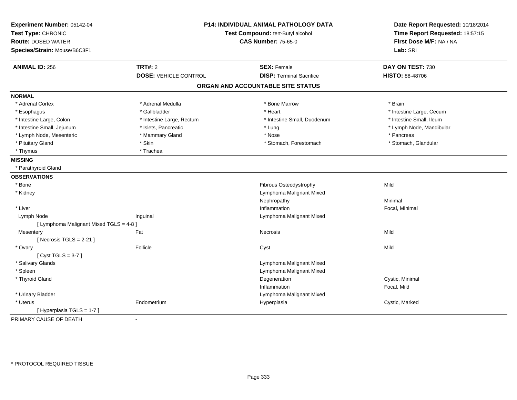| Experiment Number: 05142-04<br>Test Type: CHRONIC<br><b>Route: DOSED WATER</b><br>Species/Strain: Mouse/B6C3F1 |                              | <b>P14: INDIVIDUAL ANIMAL PATHOLOGY DATA</b><br>Test Compound: tert-Butyl alcohol<br><b>CAS Number: 75-65-0</b> | Date Report Requested: 10/18/2014<br>Time Report Requested: 18:57:15<br>First Dose M/F: NA / NA<br>Lab: SRI |
|----------------------------------------------------------------------------------------------------------------|------------------------------|-----------------------------------------------------------------------------------------------------------------|-------------------------------------------------------------------------------------------------------------|
| <b>ANIMAL ID: 256</b>                                                                                          | <b>TRT#: 2</b>               | <b>SEX: Female</b>                                                                                              | DAY ON TEST: 730                                                                                            |
|                                                                                                                | <b>DOSE: VEHICLE CONTROL</b> | <b>DISP: Terminal Sacrifice</b>                                                                                 | <b>HISTO: 88-48706</b>                                                                                      |
|                                                                                                                |                              | ORGAN AND ACCOUNTABLE SITE STATUS                                                                               |                                                                                                             |
| <b>NORMAL</b>                                                                                                  |                              |                                                                                                                 |                                                                                                             |
| * Adrenal Cortex                                                                                               | * Adrenal Medulla            | * Bone Marrow                                                                                                   | * Brain                                                                                                     |
| * Esophagus                                                                                                    | * Gallbladder                | * Heart                                                                                                         | * Intestine Large, Cecum                                                                                    |
| * Intestine Large, Colon                                                                                       | * Intestine Large, Rectum    | * Intestine Small, Duodenum                                                                                     | * Intestine Small, Ileum                                                                                    |
| * Intestine Small, Jejunum                                                                                     | * Islets, Pancreatic         | * Lung                                                                                                          | * Lymph Node, Mandibular                                                                                    |
| * Lymph Node, Mesenteric                                                                                       | * Mammary Gland              | * Nose                                                                                                          | * Pancreas                                                                                                  |
| * Pituitary Gland                                                                                              | * Skin                       | * Stomach, Forestomach                                                                                          | * Stomach, Glandular                                                                                        |
| * Thymus                                                                                                       | * Trachea                    |                                                                                                                 |                                                                                                             |
| <b>MISSING</b>                                                                                                 |                              |                                                                                                                 |                                                                                                             |
| * Parathyroid Gland                                                                                            |                              |                                                                                                                 |                                                                                                             |
| <b>OBSERVATIONS</b>                                                                                            |                              |                                                                                                                 |                                                                                                             |
| * Bone                                                                                                         |                              | Fibrous Osteodystrophy                                                                                          | Mild                                                                                                        |
| * Kidney                                                                                                       |                              | Lymphoma Malignant Mixed                                                                                        |                                                                                                             |
|                                                                                                                |                              | Nephropathy                                                                                                     | Minimal                                                                                                     |
| * Liver                                                                                                        |                              | Inflammation                                                                                                    | Focal, Minimal                                                                                              |
| Lymph Node                                                                                                     | Inguinal                     | Lymphoma Malignant Mixed                                                                                        |                                                                                                             |
| [ Lymphoma Malignant Mixed TGLS = 4-8 ]                                                                        |                              |                                                                                                                 |                                                                                                             |
| Mesentery                                                                                                      | Fat                          | Necrosis                                                                                                        | Mild                                                                                                        |
| [Necrosis TGLS = $2-21$ ]                                                                                      |                              |                                                                                                                 |                                                                                                             |
| * Ovary                                                                                                        | Follicle                     | Cyst                                                                                                            | Mild                                                                                                        |
| [Cyst TGLS = $3-7$ ]                                                                                           |                              |                                                                                                                 |                                                                                                             |
| * Salivary Glands                                                                                              |                              | Lymphoma Malignant Mixed                                                                                        |                                                                                                             |
| * Spleen                                                                                                       |                              | Lymphoma Malignant Mixed                                                                                        |                                                                                                             |
| * Thyroid Gland                                                                                                |                              | Degeneration                                                                                                    | Cystic, Minimal                                                                                             |
|                                                                                                                |                              | Inflammation                                                                                                    | Focal, Mild                                                                                                 |
| * Urinary Bladder                                                                                              |                              | Lymphoma Malignant Mixed                                                                                        |                                                                                                             |
| * Uterus                                                                                                       | Endometrium                  | Hyperplasia                                                                                                     | Cystic, Marked                                                                                              |
| [Hyperplasia TGLS = 1-7]                                                                                       |                              |                                                                                                                 |                                                                                                             |
| PRIMARY CAUSE OF DEATH                                                                                         |                              |                                                                                                                 |                                                                                                             |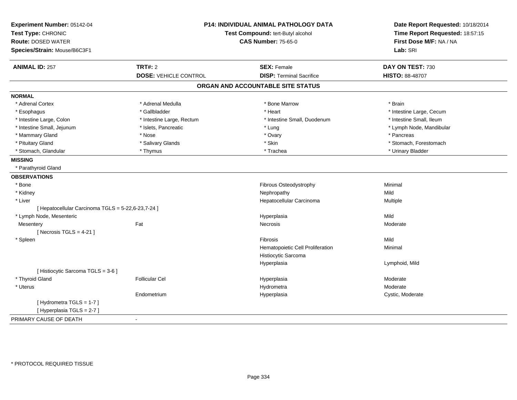| Experiment Number: 05142-04<br>Test Type: CHRONIC<br><b>Route: DOSED WATER</b><br>Species/Strain: Mouse/B6C3F1 |                              | <b>P14: INDIVIDUAL ANIMAL PATHOLOGY DATA</b><br>Test Compound: tert-Butyl alcohol<br><b>CAS Number: 75-65-0</b> | Date Report Requested: 10/18/2014<br>Time Report Requested: 18:57:15<br>First Dose M/F: NA / NA<br>Lab: SRI |
|----------------------------------------------------------------------------------------------------------------|------------------------------|-----------------------------------------------------------------------------------------------------------------|-------------------------------------------------------------------------------------------------------------|
| <b>ANIMAL ID: 257</b>                                                                                          | <b>TRT#: 2</b>               | <b>SEX: Female</b>                                                                                              | DAY ON TEST: 730                                                                                            |
|                                                                                                                | <b>DOSE: VEHICLE CONTROL</b> | <b>DISP: Terminal Sacrifice</b>                                                                                 | HISTO: 88-48707                                                                                             |
|                                                                                                                |                              | ORGAN AND ACCOUNTABLE SITE STATUS                                                                               |                                                                                                             |
| <b>NORMAL</b>                                                                                                  |                              |                                                                                                                 |                                                                                                             |
| * Adrenal Cortex                                                                                               | * Adrenal Medulla            | * Bone Marrow                                                                                                   | * Brain                                                                                                     |
| * Esophagus                                                                                                    | * Gallbladder                | * Heart                                                                                                         | * Intestine Large, Cecum                                                                                    |
| * Intestine Large, Colon                                                                                       | * Intestine Large, Rectum    | * Intestine Small, Duodenum                                                                                     | * Intestine Small, Ileum                                                                                    |
| * Intestine Small, Jejunum                                                                                     | * Islets, Pancreatic         | * Lung                                                                                                          | * Lymph Node, Mandibular                                                                                    |
| * Mammary Gland                                                                                                | * Nose                       | * Ovary                                                                                                         | * Pancreas                                                                                                  |
| * Pituitary Gland                                                                                              | * Salivary Glands            | * Skin                                                                                                          | * Stomach, Forestomach                                                                                      |
| * Stomach, Glandular                                                                                           | * Thymus                     | * Trachea                                                                                                       | * Urinary Bladder                                                                                           |
| <b>MISSING</b>                                                                                                 |                              |                                                                                                                 |                                                                                                             |
| * Parathyroid Gland                                                                                            |                              |                                                                                                                 |                                                                                                             |
| <b>OBSERVATIONS</b>                                                                                            |                              |                                                                                                                 |                                                                                                             |
| * Bone                                                                                                         |                              | Fibrous Osteodystrophy                                                                                          | Minimal                                                                                                     |
| * Kidney                                                                                                       |                              | Nephropathy                                                                                                     | Mild                                                                                                        |
| * Liver                                                                                                        |                              | Hepatocellular Carcinoma                                                                                        | Multiple                                                                                                    |
| [ Hepatocellular Carcinoma TGLS = 5-22,6-23,7-24 ]                                                             |                              |                                                                                                                 |                                                                                                             |
| * Lymph Node, Mesenteric                                                                                       |                              | Hyperplasia                                                                                                     | Mild                                                                                                        |
| Mesentery                                                                                                      | Fat                          | Necrosis                                                                                                        | Moderate                                                                                                    |
| [Necrosis $TGLS = 4-21$ ]                                                                                      |                              |                                                                                                                 |                                                                                                             |
| * Spleen                                                                                                       |                              | Fibrosis                                                                                                        | Mild                                                                                                        |
|                                                                                                                |                              | Hematopoietic Cell Proliferation                                                                                | Minimal                                                                                                     |
|                                                                                                                |                              | Histiocytic Sarcoma                                                                                             |                                                                                                             |
|                                                                                                                |                              | Hyperplasia                                                                                                     | Lymphoid, Mild                                                                                              |
| [ Histiocytic Sarcoma TGLS = 3-6 ]                                                                             |                              |                                                                                                                 |                                                                                                             |
| * Thyroid Gland                                                                                                | <b>Follicular Cel</b>        | Hyperplasia                                                                                                     | Moderate<br>Moderate                                                                                        |
| * Uterus                                                                                                       |                              | Hydrometra                                                                                                      |                                                                                                             |
|                                                                                                                | Endometrium                  | Hyperplasia                                                                                                     | Cystic, Moderate                                                                                            |
| [Hydrometra TGLS = 1-7]<br>[Hyperplasia TGLS = 2-7]                                                            |                              |                                                                                                                 |                                                                                                             |
| PRIMARY CAUSE OF DEATH                                                                                         |                              |                                                                                                                 |                                                                                                             |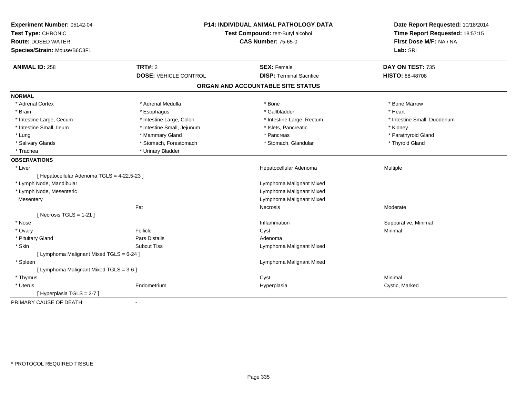| Experiment Number: 05142-04<br>Test Type: CHRONIC<br><b>Route: DOSED WATER</b><br>Species/Strain: Mouse/B6C3F1 | <b>P14: INDIVIDUAL ANIMAL PATHOLOGY DATA</b><br>Test Compound: tert-Butyl alcohol<br><b>CAS Number: 75-65-0</b> |                                   | Date Report Requested: 10/18/2014<br>Time Report Requested: 18:57:15<br>First Dose M/F: NA / NA<br>Lab: SRI |
|----------------------------------------------------------------------------------------------------------------|-----------------------------------------------------------------------------------------------------------------|-----------------------------------|-------------------------------------------------------------------------------------------------------------|
| <b>ANIMAL ID: 258</b>                                                                                          | TRT#: 2                                                                                                         | <b>SEX: Female</b>                | DAY ON TEST: 735                                                                                            |
|                                                                                                                | <b>DOSE: VEHICLE CONTROL</b>                                                                                    | <b>DISP: Terminal Sacrifice</b>   | <b>HISTO: 88-48708</b>                                                                                      |
|                                                                                                                |                                                                                                                 | ORGAN AND ACCOUNTABLE SITE STATUS |                                                                                                             |
| <b>NORMAL</b>                                                                                                  |                                                                                                                 |                                   |                                                                                                             |
| * Adrenal Cortex                                                                                               | * Adrenal Medulla                                                                                               | * Bone                            | * Bone Marrow                                                                                               |
| * Brain                                                                                                        | * Esophagus                                                                                                     | * Gallbladder                     | * Heart                                                                                                     |
| * Intestine Large, Cecum                                                                                       | * Intestine Large, Colon                                                                                        | * Intestine Large, Rectum         | * Intestine Small, Duodenum                                                                                 |
| * Intestine Small, Ileum                                                                                       | * Intestine Small, Jejunum                                                                                      | * Islets, Pancreatic              | * Kidney                                                                                                    |
| * Lung                                                                                                         | * Mammary Gland                                                                                                 | * Pancreas                        | * Parathyroid Gland                                                                                         |
| * Salivary Glands                                                                                              | * Stomach, Forestomach                                                                                          | * Stomach, Glandular              | * Thyroid Gland                                                                                             |
| * Trachea                                                                                                      | * Urinary Bladder                                                                                               |                                   |                                                                                                             |
| <b>OBSERVATIONS</b>                                                                                            |                                                                                                                 |                                   |                                                                                                             |
| * Liver                                                                                                        |                                                                                                                 | Hepatocellular Adenoma            | Multiple                                                                                                    |
| [ Hepatocellular Adenoma TGLS = 4-22,5-23 ]                                                                    |                                                                                                                 |                                   |                                                                                                             |
| * Lymph Node, Mandibular                                                                                       |                                                                                                                 | Lymphoma Malignant Mixed          |                                                                                                             |
| * Lymph Node, Mesenteric                                                                                       |                                                                                                                 | Lymphoma Malignant Mixed          |                                                                                                             |
| Mesentery                                                                                                      |                                                                                                                 | Lymphoma Malignant Mixed          |                                                                                                             |
|                                                                                                                | Fat                                                                                                             | Necrosis                          | Moderate                                                                                                    |
| [Necrosis $TGLS = 1-21$ ]                                                                                      |                                                                                                                 |                                   |                                                                                                             |
| * Nose                                                                                                         |                                                                                                                 | Inflammation                      | Suppurative, Minimal                                                                                        |
| * Ovary                                                                                                        | Follicle                                                                                                        | Cyst                              | Minimal                                                                                                     |
| * Pituitary Gland                                                                                              | <b>Pars Distalis</b>                                                                                            | Adenoma                           |                                                                                                             |
| * Skin                                                                                                         | <b>Subcut Tiss</b>                                                                                              | Lymphoma Malignant Mixed          |                                                                                                             |
| [ Lymphoma Malignant Mixed TGLS = 6-24 ]                                                                       |                                                                                                                 |                                   |                                                                                                             |
| * Spleen                                                                                                       |                                                                                                                 | Lymphoma Malignant Mixed          |                                                                                                             |
| [ Lymphoma Malignant Mixed TGLS = 3-6 ]                                                                        |                                                                                                                 |                                   |                                                                                                             |
| * Thymus                                                                                                       |                                                                                                                 | Cyst                              | Minimal                                                                                                     |
| * Uterus                                                                                                       | Endometrium                                                                                                     | Hyperplasia                       | Cystic, Marked                                                                                              |
| [ Hyperplasia TGLS = 2-7 ]                                                                                     |                                                                                                                 |                                   |                                                                                                             |
| PRIMARY CAUSE OF DEATH                                                                                         | $\blacksquare$                                                                                                  |                                   |                                                                                                             |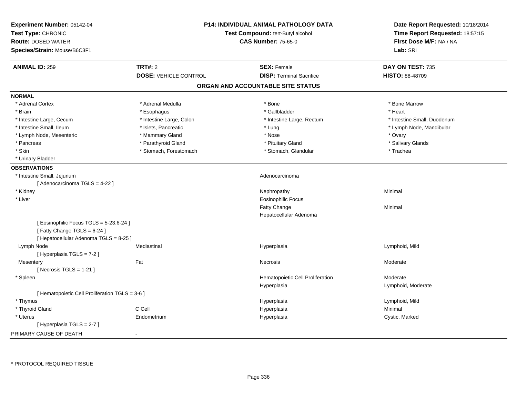| Experiment Number: 05142-04<br>Test Type: CHRONIC<br><b>Route: DOSED WATER</b><br>Species/Strain: Mouse/B6C3F1  | <b>P14: INDIVIDUAL ANIMAL PATHOLOGY DATA</b><br>Test Compound: tert-Butyl alcohol<br><b>CAS Number: 75-65-0</b> |                                                 | Date Report Requested: 10/18/2014<br>Time Report Requested: 18:57:15<br>First Dose M/F: NA / NA<br>Lab: SRI |
|-----------------------------------------------------------------------------------------------------------------|-----------------------------------------------------------------------------------------------------------------|-------------------------------------------------|-------------------------------------------------------------------------------------------------------------|
| <b>ANIMAL ID: 259</b>                                                                                           | <b>TRT#: 2</b>                                                                                                  | <b>SEX: Female</b>                              | DAY ON TEST: 735                                                                                            |
|                                                                                                                 | <b>DOSE: VEHICLE CONTROL</b>                                                                                    | <b>DISP: Terminal Sacrifice</b>                 | <b>HISTO: 88-48709</b>                                                                                      |
|                                                                                                                 |                                                                                                                 | ORGAN AND ACCOUNTABLE SITE STATUS               |                                                                                                             |
| <b>NORMAL</b>                                                                                                   |                                                                                                                 |                                                 |                                                                                                             |
| * Adrenal Cortex                                                                                                | * Adrenal Medulla                                                                                               | * Bone                                          | * Bone Marrow                                                                                               |
| * Brain                                                                                                         | * Esophagus                                                                                                     | * Gallbladder                                   | * Heart                                                                                                     |
| * Intestine Large, Cecum                                                                                        | * Intestine Large, Colon                                                                                        | * Intestine Large, Rectum                       | * Intestine Small, Duodenum                                                                                 |
| * Intestine Small, Ileum                                                                                        | * Islets, Pancreatic                                                                                            | * Lung                                          | * Lymph Node, Mandibular                                                                                    |
| * Lymph Node, Mesenteric                                                                                        | * Mammary Gland                                                                                                 | * Nose                                          | * Ovary                                                                                                     |
| * Pancreas                                                                                                      | * Parathyroid Gland                                                                                             | * Pituitary Gland                               | * Salivary Glands                                                                                           |
| * Skin                                                                                                          | * Stomach, Forestomach                                                                                          | * Stomach, Glandular                            | * Trachea                                                                                                   |
| * Urinary Bladder                                                                                               |                                                                                                                 |                                                 |                                                                                                             |
| <b>OBSERVATIONS</b>                                                                                             |                                                                                                                 |                                                 |                                                                                                             |
| * Intestine Small, Jejunum<br>[Adenocarcinoma TGLS = 4-22]                                                      |                                                                                                                 | Adenocarcinoma                                  |                                                                                                             |
| * Kidney                                                                                                        |                                                                                                                 | Nephropathy                                     | Minimal                                                                                                     |
| * Liver                                                                                                         |                                                                                                                 | Eosinophilic Focus                              |                                                                                                             |
|                                                                                                                 |                                                                                                                 | Fatty Change                                    | Minimal                                                                                                     |
|                                                                                                                 |                                                                                                                 | Hepatocellular Adenoma                          |                                                                                                             |
| [ Eosinophilic Focus TGLS = 5-23,6-24 ]<br>[Fatty Change TGLS = 6-24]<br>[ Hepatocellular Adenoma TGLS = 8-25 ] |                                                                                                                 |                                                 |                                                                                                             |
| Lymph Node                                                                                                      | Mediastinal                                                                                                     | Hyperplasia                                     | Lymphoid, Mild                                                                                              |
| [ Hyperplasia TGLS = 7-2 ]                                                                                      |                                                                                                                 |                                                 |                                                                                                             |
| Mesentery                                                                                                       | Fat                                                                                                             | Necrosis                                        | Moderate                                                                                                    |
| [Necrosis TGLS = $1-21$ ]                                                                                       |                                                                                                                 |                                                 |                                                                                                             |
| * Spleen                                                                                                        |                                                                                                                 | Hematopoietic Cell Proliferation<br>Hyperplasia | Moderate<br>Lymphoid, Moderate                                                                              |
| [ Hematopoietic Cell Proliferation TGLS = 3-6 ]                                                                 |                                                                                                                 |                                                 |                                                                                                             |
| * Thymus                                                                                                        |                                                                                                                 | Hyperplasia                                     | Lymphoid, Mild                                                                                              |
| * Thyroid Gland                                                                                                 | C Cell                                                                                                          | Hyperplasia                                     | Minimal                                                                                                     |
| * Uterus                                                                                                        | Endometrium                                                                                                     | Hyperplasia                                     | Cystic, Marked                                                                                              |
| [Hyperplasia TGLS = 2-7]                                                                                        |                                                                                                                 |                                                 |                                                                                                             |
| PRIMARY CAUSE OF DEATH                                                                                          | $\sim$                                                                                                          |                                                 |                                                                                                             |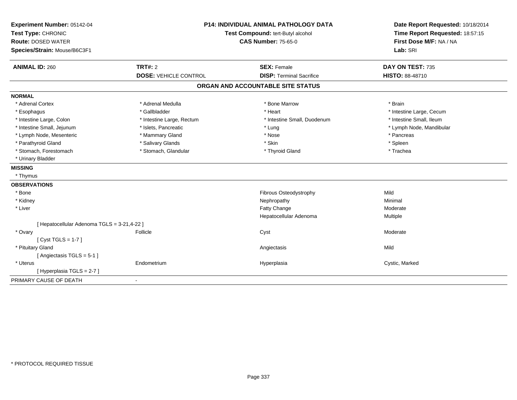| Experiment Number: 05142-04<br>Test Type: CHRONIC<br><b>Route: DOSED WATER</b><br>Species/Strain: Mouse/B6C3F1 | <b>P14: INDIVIDUAL ANIMAL PATHOLOGY DATA</b><br>Test Compound: tert-Butyl alcohol<br><b>CAS Number: 75-65-0</b> |                                   | Date Report Requested: 10/18/2014<br>Time Report Requested: 18:57:15<br>First Dose M/F: NA / NA<br>Lab: SRI |
|----------------------------------------------------------------------------------------------------------------|-----------------------------------------------------------------------------------------------------------------|-----------------------------------|-------------------------------------------------------------------------------------------------------------|
| <b>ANIMAL ID: 260</b>                                                                                          | <b>TRT#: 2</b>                                                                                                  | <b>SEX: Female</b>                | DAY ON TEST: 735                                                                                            |
|                                                                                                                | <b>DOSE: VEHICLE CONTROL</b>                                                                                    | <b>DISP: Terminal Sacrifice</b>   | <b>HISTO: 88-48710</b>                                                                                      |
|                                                                                                                |                                                                                                                 | ORGAN AND ACCOUNTABLE SITE STATUS |                                                                                                             |
| <b>NORMAL</b>                                                                                                  |                                                                                                                 |                                   |                                                                                                             |
| * Adrenal Cortex                                                                                               | * Adrenal Medulla                                                                                               | * Bone Marrow                     | * Brain                                                                                                     |
| * Esophagus                                                                                                    | * Gallbladder                                                                                                   | * Heart                           | * Intestine Large, Cecum                                                                                    |
| * Intestine Large, Colon                                                                                       | * Intestine Large, Rectum                                                                                       | * Intestine Small, Duodenum       | * Intestine Small, Ileum                                                                                    |
| * Intestine Small, Jejunum                                                                                     | * Islets, Pancreatic                                                                                            | * Lung                            | * Lymph Node, Mandibular                                                                                    |
| * Lymph Node, Mesenteric                                                                                       | * Mammary Gland                                                                                                 | * Nose                            | * Pancreas                                                                                                  |
| * Parathyroid Gland                                                                                            | * Salivary Glands                                                                                               | * Skin                            | * Spleen                                                                                                    |
| * Stomach, Forestomach                                                                                         | * Stomach, Glandular                                                                                            | * Thyroid Gland                   | * Trachea                                                                                                   |
| * Urinary Bladder                                                                                              |                                                                                                                 |                                   |                                                                                                             |
| <b>MISSING</b>                                                                                                 |                                                                                                                 |                                   |                                                                                                             |
| * Thymus                                                                                                       |                                                                                                                 |                                   |                                                                                                             |
| <b>OBSERVATIONS</b>                                                                                            |                                                                                                                 |                                   |                                                                                                             |
| * Bone                                                                                                         |                                                                                                                 | Fibrous Osteodystrophy            | Mild                                                                                                        |
| * Kidney                                                                                                       |                                                                                                                 | Nephropathy                       | Minimal                                                                                                     |
| * Liver                                                                                                        |                                                                                                                 | Fatty Change                      | Moderate                                                                                                    |
|                                                                                                                |                                                                                                                 | Hepatocellular Adenoma            | Multiple                                                                                                    |
| [ Hepatocellular Adenoma TGLS = 3-21,4-22 ]                                                                    |                                                                                                                 |                                   |                                                                                                             |
| * Ovary                                                                                                        | Follicle                                                                                                        | Cyst                              | Moderate                                                                                                    |
| [Cyst TGLS = $1-7$ ]                                                                                           |                                                                                                                 |                                   |                                                                                                             |
| * Pituitary Gland                                                                                              |                                                                                                                 | Angiectasis                       | Mild                                                                                                        |
| [Angiectasis TGLS = 5-1]                                                                                       |                                                                                                                 |                                   |                                                                                                             |
| * Uterus                                                                                                       | Endometrium                                                                                                     | Hyperplasia                       | Cystic, Marked                                                                                              |
| [Hyperplasia TGLS = 2-7]                                                                                       |                                                                                                                 |                                   |                                                                                                             |
| PRIMARY CAUSE OF DEATH                                                                                         | $\overline{\phantom{a}}$                                                                                        |                                   |                                                                                                             |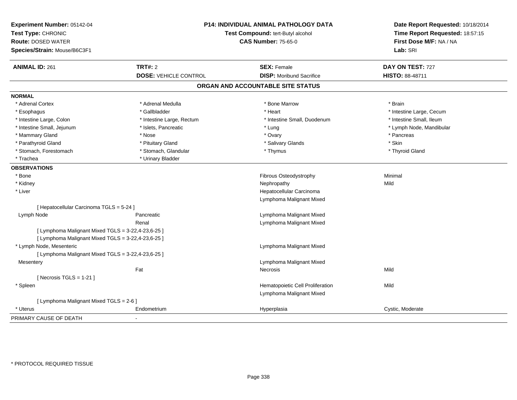| Experiment Number: 05142-04<br>Test Type: CHRONIC<br><b>Route: DOSED WATER</b><br>Species/Strain: Mouse/B6C3F1 | P14: INDIVIDUAL ANIMAL PATHOLOGY DATA<br>Test Compound: tert-Butyl alcohol<br><b>CAS Number: 75-65-0</b> |                                   | Date Report Requested: 10/18/2014<br>Time Report Requested: 18:57:15<br>First Dose M/F: NA / NA<br>Lab: SRI |
|----------------------------------------------------------------------------------------------------------------|----------------------------------------------------------------------------------------------------------|-----------------------------------|-------------------------------------------------------------------------------------------------------------|
| <b>ANIMAL ID: 261</b>                                                                                          | <b>TRT#: 2</b>                                                                                           | <b>SEX: Female</b>                | DAY ON TEST: 727                                                                                            |
|                                                                                                                | <b>DOSE: VEHICLE CONTROL</b>                                                                             | <b>DISP:</b> Moribund Sacrifice   | HISTO: 88-48711                                                                                             |
|                                                                                                                |                                                                                                          | ORGAN AND ACCOUNTABLE SITE STATUS |                                                                                                             |
| <b>NORMAL</b>                                                                                                  |                                                                                                          |                                   |                                                                                                             |
| * Adrenal Cortex                                                                                               | * Adrenal Medulla                                                                                        | * Bone Marrow                     | * Brain                                                                                                     |
| * Esophagus                                                                                                    | * Gallbladder                                                                                            | * Heart                           | * Intestine Large, Cecum                                                                                    |
| * Intestine Large, Colon                                                                                       | * Intestine Large, Rectum                                                                                | * Intestine Small, Duodenum       | * Intestine Small, Ileum                                                                                    |
| * Intestine Small, Jejunum                                                                                     | * Islets, Pancreatic                                                                                     | * Lung                            | * Lymph Node, Mandibular                                                                                    |
| * Mammary Gland                                                                                                | * Nose                                                                                                   | * Ovary                           | * Pancreas                                                                                                  |
| * Parathyroid Gland                                                                                            | * Pituitary Gland                                                                                        | * Salivary Glands                 | * Skin                                                                                                      |
| * Stomach, Forestomach                                                                                         | * Stomach, Glandular                                                                                     | * Thymus                          | * Thyroid Gland                                                                                             |
| * Trachea                                                                                                      | * Urinary Bladder                                                                                        |                                   |                                                                                                             |
| <b>OBSERVATIONS</b>                                                                                            |                                                                                                          |                                   |                                                                                                             |
| * Bone                                                                                                         |                                                                                                          | Fibrous Osteodystrophy            | Minimal                                                                                                     |
| * Kidney                                                                                                       |                                                                                                          | Nephropathy                       | Mild                                                                                                        |
| * Liver                                                                                                        |                                                                                                          | Hepatocellular Carcinoma          |                                                                                                             |
|                                                                                                                |                                                                                                          | Lymphoma Malignant Mixed          |                                                                                                             |
| [ Hepatocellular Carcinoma TGLS = 5-24 ]                                                                       |                                                                                                          |                                   |                                                                                                             |
| Lymph Node                                                                                                     | Pancreatic                                                                                               | Lymphoma Malignant Mixed          |                                                                                                             |
|                                                                                                                | Renal                                                                                                    | Lymphoma Malignant Mixed          |                                                                                                             |
| [ Lymphoma Malignant Mixed TGLS = 3-22,4-23,6-25 ]                                                             |                                                                                                          |                                   |                                                                                                             |
| [ Lymphoma Malignant Mixed TGLS = 3-22,4-23,6-25 ]                                                             |                                                                                                          |                                   |                                                                                                             |
| * Lymph Node, Mesenteric                                                                                       |                                                                                                          | Lymphoma Malignant Mixed          |                                                                                                             |
| [ Lymphoma Malignant Mixed TGLS = 3-22,4-23,6-25 ]                                                             |                                                                                                          |                                   |                                                                                                             |
| Mesentery                                                                                                      |                                                                                                          | Lymphoma Malignant Mixed          |                                                                                                             |
|                                                                                                                | Fat                                                                                                      | <b>Necrosis</b>                   | Mild                                                                                                        |
| [Necrosis TGLS = $1-21$ ]                                                                                      |                                                                                                          |                                   |                                                                                                             |
| * Spleen                                                                                                       |                                                                                                          | Hematopoietic Cell Proliferation  | Mild                                                                                                        |
|                                                                                                                |                                                                                                          | Lymphoma Malignant Mixed          |                                                                                                             |
| [ Lymphoma Malignant Mixed TGLS = 2-6 ]                                                                        |                                                                                                          |                                   |                                                                                                             |
| * Uterus                                                                                                       | Endometrium                                                                                              | Hyperplasia                       | Cystic, Moderate                                                                                            |
| PRIMARY CAUSE OF DEATH                                                                                         |                                                                                                          |                                   |                                                                                                             |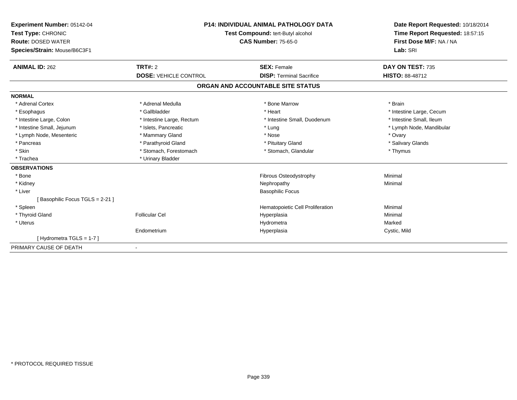| Experiment Number: 05142-04<br>Test Type: CHRONIC<br><b>Route: DOSED WATER</b><br>Species/Strain: Mouse/B6C3F1 |                              | <b>P14: INDIVIDUAL ANIMAL PATHOLOGY DATA</b><br>Test Compound: tert-Butyl alcohol<br><b>CAS Number: 75-65-0</b> | Date Report Requested: 10/18/2014<br>Time Report Requested: 18:57:15<br>First Dose M/F: NA / NA<br>Lab: SRI |
|----------------------------------------------------------------------------------------------------------------|------------------------------|-----------------------------------------------------------------------------------------------------------------|-------------------------------------------------------------------------------------------------------------|
| <b>ANIMAL ID: 262</b>                                                                                          | TRT#: 2                      | <b>SEX: Female</b>                                                                                              | DAY ON TEST: 735                                                                                            |
|                                                                                                                | <b>DOSE: VEHICLE CONTROL</b> | <b>DISP: Terminal Sacrifice</b>                                                                                 | HISTO: 88-48712                                                                                             |
|                                                                                                                |                              | ORGAN AND ACCOUNTABLE SITE STATUS                                                                               |                                                                                                             |
| <b>NORMAL</b>                                                                                                  |                              |                                                                                                                 |                                                                                                             |
| * Adrenal Cortex                                                                                               | * Adrenal Medulla            | * Bone Marrow                                                                                                   | * Brain                                                                                                     |
| * Esophagus                                                                                                    | * Gallbladder                | * Heart                                                                                                         | * Intestine Large, Cecum                                                                                    |
| * Intestine Large, Colon                                                                                       | * Intestine Large, Rectum    | * Intestine Small, Duodenum                                                                                     | * Intestine Small, Ileum                                                                                    |
| * Intestine Small, Jejunum                                                                                     | * Islets, Pancreatic         | * Lung                                                                                                          | * Lymph Node, Mandibular                                                                                    |
| * Lymph Node, Mesenteric                                                                                       | * Mammary Gland              | * Nose                                                                                                          | * Ovary                                                                                                     |
| * Pancreas                                                                                                     | * Parathyroid Gland          | * Pituitary Gland                                                                                               | * Salivary Glands                                                                                           |
| * Skin                                                                                                         | * Stomach, Forestomach       | * Stomach, Glandular                                                                                            | * Thymus                                                                                                    |
| * Trachea                                                                                                      | * Urinary Bladder            |                                                                                                                 |                                                                                                             |
| <b>OBSERVATIONS</b>                                                                                            |                              |                                                                                                                 |                                                                                                             |
| * Bone                                                                                                         |                              | <b>Fibrous Osteodystrophy</b>                                                                                   | Minimal                                                                                                     |
| * Kidney                                                                                                       |                              | Nephropathy                                                                                                     | Minimal                                                                                                     |
| * Liver                                                                                                        |                              | <b>Basophilic Focus</b>                                                                                         |                                                                                                             |
| [Basophilic Focus TGLS = 2-21]                                                                                 |                              |                                                                                                                 |                                                                                                             |
| * Spleen                                                                                                       |                              | Hematopoietic Cell Proliferation                                                                                | Minimal                                                                                                     |
| * Thyroid Gland                                                                                                | <b>Follicular Cel</b>        | Hyperplasia                                                                                                     | Minimal                                                                                                     |
| * Uterus                                                                                                       |                              | Hydrometra                                                                                                      | Marked                                                                                                      |
|                                                                                                                | Endometrium                  | Hyperplasia                                                                                                     | Cystic, Mild                                                                                                |
| [Hydrometra TGLS = $1-7$ ]                                                                                     |                              |                                                                                                                 |                                                                                                             |
| PRIMARY CAUSE OF DEATH                                                                                         |                              |                                                                                                                 |                                                                                                             |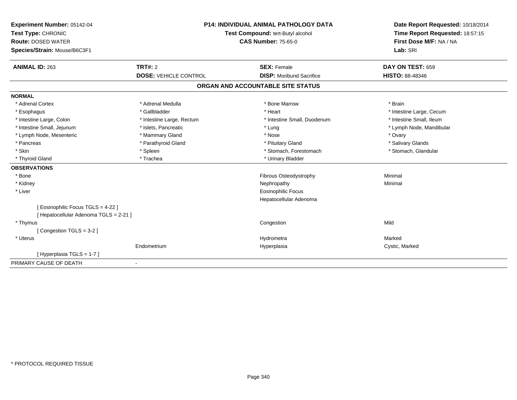| Experiment Number: 05142-04            | <b>P14: INDIVIDUAL ANIMAL PATHOLOGY DATA</b><br>Test Compound: tert-Butyl alcohol |                                   | Date Report Requested: 10/18/2014 |
|----------------------------------------|-----------------------------------------------------------------------------------|-----------------------------------|-----------------------------------|
| Test Type: CHRONIC                     |                                                                                   |                                   | Time Report Requested: 18:57:15   |
| <b>Route: DOSED WATER</b>              |                                                                                   | <b>CAS Number: 75-65-0</b>        | First Dose M/F: NA / NA           |
| Species/Strain: Mouse/B6C3F1           |                                                                                   |                                   | Lab: SRI                          |
| <b>ANIMAL ID: 263</b>                  | <b>TRT#: 2</b>                                                                    | <b>SEX: Female</b>                | DAY ON TEST: 659                  |
|                                        | <b>DOSE: VEHICLE CONTROL</b>                                                      | <b>DISP:</b> Moribund Sacrifice   | <b>HISTO: 88-48346</b>            |
|                                        |                                                                                   | ORGAN AND ACCOUNTABLE SITE STATUS |                                   |
| <b>NORMAL</b>                          |                                                                                   |                                   |                                   |
| * Adrenal Cortex                       | * Adrenal Medulla                                                                 | * Bone Marrow                     | * Brain                           |
| * Esophagus                            | * Gallbladder                                                                     | * Heart                           | * Intestine Large, Cecum          |
| * Intestine Large, Colon               | * Intestine Large, Rectum                                                         | * Intestine Small, Duodenum       | * Intestine Small, Ileum          |
| * Intestine Small, Jejunum             | * Islets, Pancreatic                                                              | * Lung                            | * Lymph Node, Mandibular          |
| * Lymph Node, Mesenteric               | * Mammary Gland                                                                   | * Nose                            | * Ovary                           |
| * Pancreas                             | * Parathyroid Gland                                                               | * Pituitary Gland                 | * Salivary Glands                 |
| * Skin                                 | * Spleen                                                                          | * Stomach, Forestomach            | * Stomach, Glandular              |
| * Thyroid Gland                        | * Trachea                                                                         | * Urinary Bladder                 |                                   |
| <b>OBSERVATIONS</b>                    |                                                                                   |                                   |                                   |
| * Bone                                 |                                                                                   | Fibrous Osteodystrophy            | Minimal                           |
| * Kidney                               |                                                                                   | Nephropathy                       | Minimal                           |
| * Liver                                |                                                                                   | <b>Eosinophilic Focus</b>         |                                   |
|                                        |                                                                                   | Hepatocellular Adenoma            |                                   |
| [Eosinophilic Focus TGLS = 4-22]       |                                                                                   |                                   |                                   |
| [ Hepatocellular Adenoma TGLS = 2-21 ] |                                                                                   |                                   |                                   |
| * Thymus                               |                                                                                   | Congestion                        | Mild                              |
| [Congestion TGLS = 3-2]                |                                                                                   |                                   |                                   |
| * Uterus                               |                                                                                   | Hydrometra                        | Marked                            |
|                                        | Endometrium                                                                       | Hyperplasia                       | Cystic, Marked                    |
| [Hyperplasia TGLS = 1-7]               |                                                                                   |                                   |                                   |
| PRIMARY CAUSE OF DEATH                 | $\blacksquare$                                                                    |                                   |                                   |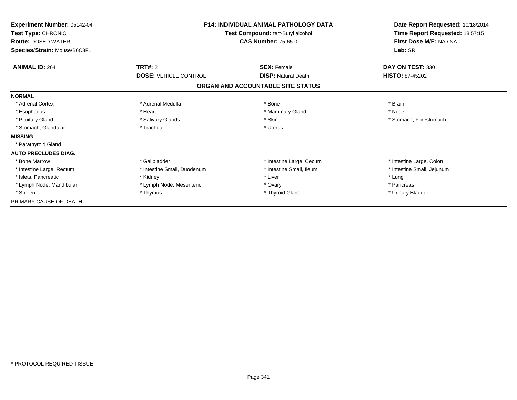| <b>Experiment Number: 05142-04</b><br>Test Type: CHRONIC<br><b>Route: DOSED WATER</b><br>Species/Strain: Mouse/B6C3F1 | <b>P14: INDIVIDUAL ANIMAL PATHOLOGY DATA</b><br>Test Compound: tert-Butyl alcohol<br><b>CAS Number: 75-65-0</b> |                                                  | Date Report Requested: 10/18/2014<br>Time Report Requested: 18:57:15<br>First Dose M/F: NA / NA<br>Lab: SRI |
|-----------------------------------------------------------------------------------------------------------------------|-----------------------------------------------------------------------------------------------------------------|--------------------------------------------------|-------------------------------------------------------------------------------------------------------------|
| <b>ANIMAL ID: 264</b>                                                                                                 | TRT#: 2<br><b>DOSE: VEHICLE CONTROL</b>                                                                         | <b>SEX: Female</b><br><b>DISP: Natural Death</b> | DAY ON TEST: 330<br><b>HISTO: 87-45202</b>                                                                  |
|                                                                                                                       |                                                                                                                 | ORGAN AND ACCOUNTABLE SITE STATUS                |                                                                                                             |
| <b>NORMAL</b>                                                                                                         |                                                                                                                 |                                                  |                                                                                                             |
| * Adrenal Cortex                                                                                                      | * Adrenal Medulla                                                                                               | * Bone                                           | * Brain                                                                                                     |
| * Esophagus                                                                                                           | * Heart                                                                                                         | * Mammary Gland                                  | * Nose                                                                                                      |
| * Pituitary Gland                                                                                                     | * Salivary Glands                                                                                               | * Skin                                           | * Stomach, Forestomach                                                                                      |
| * Stomach, Glandular                                                                                                  | * Trachea                                                                                                       | * Uterus                                         |                                                                                                             |
| <b>MISSING</b>                                                                                                        |                                                                                                                 |                                                  |                                                                                                             |
| * Parathyroid Gland                                                                                                   |                                                                                                                 |                                                  |                                                                                                             |
| <b>AUTO PRECLUDES DIAG.</b>                                                                                           |                                                                                                                 |                                                  |                                                                                                             |
| * Bone Marrow                                                                                                         | * Gallbladder                                                                                                   | * Intestine Large, Cecum                         | * Intestine Large, Colon                                                                                    |
| * Intestine Large, Rectum                                                                                             | * Intestine Small, Duodenum                                                                                     | * Intestine Small, Ileum                         | * Intestine Small, Jejunum                                                                                  |
| * Islets, Pancreatic                                                                                                  | * Kidney                                                                                                        | * Liver                                          | * Lung                                                                                                      |
| * Lymph Node, Mandibular                                                                                              | * Lymph Node, Mesenteric                                                                                        | * Ovary                                          | * Pancreas                                                                                                  |
| * Spleen                                                                                                              | * Thymus                                                                                                        | * Thyroid Gland                                  | * Urinary Bladder                                                                                           |
| PRIMARY CAUSE OF DEATH                                                                                                | ۰                                                                                                               |                                                  |                                                                                                             |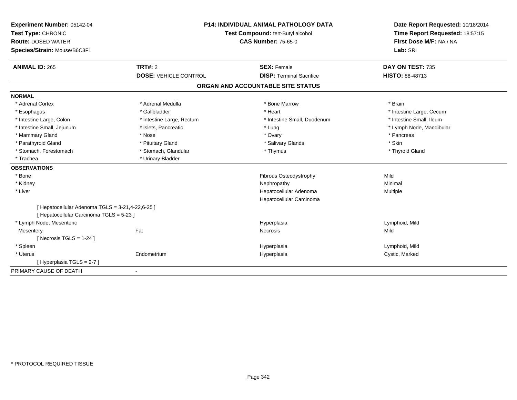| Experiment Number: 05142-04                                                                  | <b>P14: INDIVIDUAL ANIMAL PATHOLOGY DATA</b> |                                                    | Date Report Requested: 10/18/2014                          |
|----------------------------------------------------------------------------------------------|----------------------------------------------|----------------------------------------------------|------------------------------------------------------------|
| Test Type: CHRONIC                                                                           |                                              | Test Compound: tert-Butyl alcohol                  |                                                            |
| <b>Route: DOSED WATER</b>                                                                    |                                              | <b>CAS Number: 75-65-0</b>                         | Time Report Requested: 18:57:15<br>First Dose M/F: NA / NA |
| Species/Strain: Mouse/B6C3F1                                                                 |                                              |                                                    | Lab: SRI                                                   |
| <b>ANIMAL ID: 265</b>                                                                        | TRT#: 2                                      | <b>SEX: Female</b>                                 | DAY ON TEST: 735                                           |
|                                                                                              | <b>DOSE: VEHICLE CONTROL</b>                 | <b>DISP: Terminal Sacrifice</b>                    | <b>HISTO: 88-48713</b>                                     |
|                                                                                              |                                              | ORGAN AND ACCOUNTABLE SITE STATUS                  |                                                            |
| <b>NORMAL</b>                                                                                |                                              |                                                    |                                                            |
| * Adrenal Cortex                                                                             | * Adrenal Medulla                            | * Bone Marrow                                      | * Brain                                                    |
| * Esophagus                                                                                  | * Gallbladder                                | * Heart                                            | * Intestine Large, Cecum                                   |
| * Intestine Large, Colon                                                                     | * Intestine Large, Rectum                    | * Intestine Small, Duodenum                        | * Intestine Small, Ileum                                   |
| * Intestine Small, Jejunum                                                                   | * Islets, Pancreatic                         | * Lung                                             | * Lymph Node, Mandibular                                   |
| * Mammary Gland                                                                              | * Nose                                       | * Ovary                                            | * Pancreas                                                 |
| * Parathyroid Gland                                                                          | * Pituitary Gland                            | * Salivary Glands                                  | * Skin                                                     |
| * Stomach, Forestomach                                                                       | * Stomach, Glandular                         | * Thymus                                           | * Thyroid Gland                                            |
| * Trachea                                                                                    | * Urinary Bladder                            |                                                    |                                                            |
| <b>OBSERVATIONS</b>                                                                          |                                              |                                                    |                                                            |
| * Bone                                                                                       |                                              | Fibrous Osteodystrophy                             | Mild                                                       |
| * Kidney                                                                                     |                                              | Nephropathy                                        | Minimal                                                    |
| * Liver                                                                                      |                                              | Hepatocellular Adenoma<br>Hepatocellular Carcinoma | Multiple                                                   |
| [ Hepatocellular Adenoma TGLS = 3-21,4-22,6-25 ]<br>[ Hepatocellular Carcinoma TGLS = 5-23 ] |                                              |                                                    |                                                            |
| * Lymph Node, Mesenteric                                                                     |                                              | Hyperplasia                                        | Lymphoid, Mild                                             |
| Mesentery                                                                                    | Fat                                          | <b>Necrosis</b>                                    | Mild                                                       |
| [Necrosis TGLS = $1-24$ ]                                                                    |                                              |                                                    |                                                            |
| * Spleen                                                                                     |                                              | Hyperplasia                                        | Lymphoid, Mild                                             |
| * Uterus                                                                                     | Endometrium                                  | Hyperplasia                                        | Cystic, Marked                                             |
| [Hyperplasia TGLS = $2-7$ ]                                                                  |                                              |                                                    |                                                            |
| PRIMARY CAUSE OF DEATH                                                                       |                                              |                                                    |                                                            |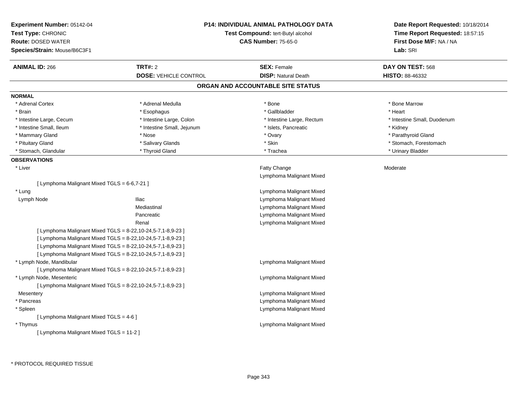| Experiment Number: 05142-04<br>Test Type: CHRONIC<br><b>Route: DOSED WATER</b><br>Species/Strain: Mouse/B6C3F1 |                              | <b>P14: INDIVIDUAL ANIMAL PATHOLOGY DATA</b><br>Test Compound: tert-Butyl alcohol<br><b>CAS Number: 75-65-0</b> | Date Report Requested: 10/18/2014<br>Time Report Requested: 18:57:15<br>First Dose M/F: NA / NA<br>Lab: SRI |
|----------------------------------------------------------------------------------------------------------------|------------------------------|-----------------------------------------------------------------------------------------------------------------|-------------------------------------------------------------------------------------------------------------|
| <b>ANIMAL ID: 266</b>                                                                                          | <b>TRT#: 2</b>               | <b>SEX: Female</b>                                                                                              | DAY ON TEST: 568                                                                                            |
|                                                                                                                | <b>DOSE: VEHICLE CONTROL</b> | <b>DISP: Natural Death</b>                                                                                      | <b>HISTO: 88-46332</b>                                                                                      |
|                                                                                                                |                              | ORGAN AND ACCOUNTABLE SITE STATUS                                                                               |                                                                                                             |
| <b>NORMAL</b>                                                                                                  |                              |                                                                                                                 |                                                                                                             |
| * Adrenal Cortex                                                                                               | * Adrenal Medulla            | * Bone                                                                                                          | * Bone Marrow                                                                                               |
| * Brain                                                                                                        | * Esophagus                  | * Gallbladder                                                                                                   | * Heart                                                                                                     |
| * Intestine Large, Cecum                                                                                       | * Intestine Large, Colon     | * Intestine Large, Rectum                                                                                       | * Intestine Small, Duodenum                                                                                 |
| * Intestine Small, Ileum                                                                                       | * Intestine Small, Jejunum   | * Islets, Pancreatic                                                                                            | * Kidney                                                                                                    |
| * Mammary Gland                                                                                                | * Nose                       | * Ovary                                                                                                         | * Parathyroid Gland                                                                                         |
| * Pituitary Gland                                                                                              | * Salivary Glands            | * Skin                                                                                                          | * Stomach, Forestomach                                                                                      |
| * Stomach, Glandular                                                                                           | * Thyroid Gland              | * Trachea                                                                                                       | * Urinary Bladder                                                                                           |
| <b>OBSERVATIONS</b>                                                                                            |                              |                                                                                                                 |                                                                                                             |
| * Liver                                                                                                        |                              | Fatty Change                                                                                                    | Moderate                                                                                                    |
|                                                                                                                |                              | Lymphoma Malignant Mixed                                                                                        |                                                                                                             |
| [ Lymphoma Malignant Mixed TGLS = 6-6,7-21 ]                                                                   |                              |                                                                                                                 |                                                                                                             |
| * Lung                                                                                                         |                              | Lymphoma Malignant Mixed                                                                                        |                                                                                                             |
| Lymph Node                                                                                                     | <b>Iliac</b>                 | Lymphoma Malignant Mixed                                                                                        |                                                                                                             |
|                                                                                                                | Mediastinal                  | Lymphoma Malignant Mixed                                                                                        |                                                                                                             |
|                                                                                                                | Pancreatic                   | Lymphoma Malignant Mixed                                                                                        |                                                                                                             |
|                                                                                                                | Renal                        | Lymphoma Malignant Mixed                                                                                        |                                                                                                             |
| [ Lymphoma Malignant Mixed TGLS = 8-22, 10-24, 5-7, 1-8, 9-23 ]                                                |                              |                                                                                                                 |                                                                                                             |
| [ Lymphoma Malignant Mixed TGLS = 8-22,10-24,5-7,1-8,9-23 ]                                                    |                              |                                                                                                                 |                                                                                                             |
| [ Lymphoma Malignant Mixed TGLS = 8-22,10-24,5-7,1-8,9-23 ]                                                    |                              |                                                                                                                 |                                                                                                             |
| [ Lymphoma Malignant Mixed TGLS = 8-22, 10-24, 5-7, 1-8, 9-23 ]                                                |                              |                                                                                                                 |                                                                                                             |
| * Lymph Node, Mandibular                                                                                       |                              | Lymphoma Malignant Mixed                                                                                        |                                                                                                             |
| [ Lymphoma Malignant Mixed TGLS = 8-22, 10-24, 5-7, 1-8, 9-23 ]                                                |                              |                                                                                                                 |                                                                                                             |
| * Lymph Node, Mesenteric                                                                                       |                              | Lymphoma Malignant Mixed                                                                                        |                                                                                                             |
| [ Lymphoma Malignant Mixed TGLS = 8-22,10-24,5-7,1-8,9-23 ]                                                    |                              |                                                                                                                 |                                                                                                             |
| Mesentery                                                                                                      |                              | Lymphoma Malignant Mixed                                                                                        |                                                                                                             |
| * Pancreas                                                                                                     |                              | Lymphoma Malignant Mixed                                                                                        |                                                                                                             |
| * Spleen                                                                                                       |                              | Lymphoma Malignant Mixed                                                                                        |                                                                                                             |
| [ Lymphoma Malignant Mixed TGLS = 4-6 ]                                                                        |                              |                                                                                                                 |                                                                                                             |
| * Thymus                                                                                                       |                              | Lymphoma Malignant Mixed                                                                                        |                                                                                                             |
| [ Lymphoma Malignant Mixed TGLS = 11-2 ]                                                                       |                              |                                                                                                                 |                                                                                                             |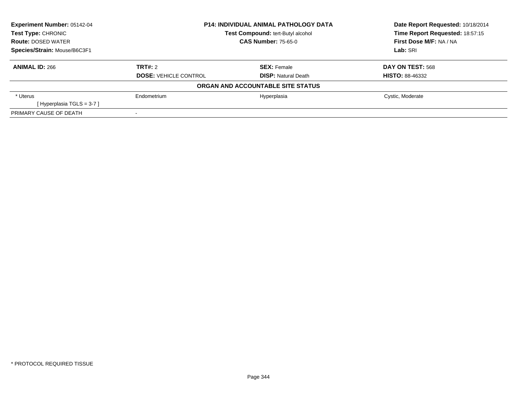| <b>Experiment Number: 05142-04</b> | <b>P14: INDIVIDUAL ANIMAL PATHOLOGY DATA</b> |                                          | Date Report Requested: 10/18/2014 |  |
|------------------------------------|----------------------------------------------|------------------------------------------|-----------------------------------|--|
| <b>Test Type: CHRONIC</b>          |                                              | <b>Test Compound: tert-Butyl alcohol</b> | Time Report Requested: 18:57:15   |  |
| <b>Route: DOSED WATER</b>          |                                              | <b>CAS Number: 75-65-0</b>               | First Dose M/F: NA / NA           |  |
| Species/Strain: Mouse/B6C3F1       |                                              |                                          | Lab: SRI                          |  |
| <b>ANIMAL ID: 266</b>              | TRT#: 2                                      | <b>SEX: Female</b>                       | <b>DAY ON TEST: 568</b>           |  |
|                                    | <b>DOSE: VEHICLE CONTROL</b>                 | <b>DISP: Natural Death</b>               | <b>HISTO: 88-46332</b>            |  |
|                                    |                                              | ORGAN AND ACCOUNTABLE SITE STATUS        |                                   |  |
| * Uterus                           | Endometrium                                  | Hyperplasia                              | Cystic, Moderate                  |  |
| [Hyperplasia TGLS = 3-7]           |                                              |                                          |                                   |  |
| PRIMARY CAUSE OF DEATH             |                                              |                                          |                                   |  |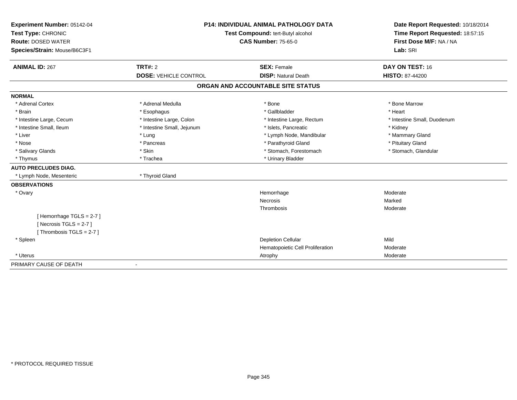| Experiment Number: 05142-04  | <b>P14: INDIVIDUAL ANIMAL PATHOLOGY DATA</b><br>Test Compound: tert-Butyl alcohol |                                   | Date Report Requested: 10/18/2014 |
|------------------------------|-----------------------------------------------------------------------------------|-----------------------------------|-----------------------------------|
| Test Type: CHRONIC           |                                                                                   |                                   | Time Report Requested: 18:57:15   |
| <b>Route: DOSED WATER</b>    |                                                                                   | <b>CAS Number: 75-65-0</b>        | First Dose M/F: NA / NA           |
| Species/Strain: Mouse/B6C3F1 |                                                                                   |                                   | Lab: SRI                          |
| <b>ANIMAL ID: 267</b>        | TRT#: 2                                                                           | <b>SEX: Female</b>                | DAY ON TEST: 16                   |
|                              | <b>DOSE: VEHICLE CONTROL</b>                                                      | <b>DISP: Natural Death</b>        | HISTO: 87-44200                   |
|                              |                                                                                   | ORGAN AND ACCOUNTABLE SITE STATUS |                                   |
| <b>NORMAL</b>                |                                                                                   |                                   |                                   |
| * Adrenal Cortex             | * Adrenal Medulla                                                                 | * Bone                            | * Bone Marrow                     |
| * Brain                      | * Esophagus                                                                       | * Gallbladder                     | * Heart                           |
| * Intestine Large, Cecum     | * Intestine Large, Colon                                                          | * Intestine Large, Rectum         | * Intestine Small, Duodenum       |
| * Intestine Small, Ileum     | * Intestine Small, Jejunum                                                        | * Islets, Pancreatic              | * Kidney                          |
| * Liver                      | * Lung                                                                            | * Lymph Node, Mandibular          | * Mammary Gland                   |
| * Nose                       | * Pancreas                                                                        | * Parathyroid Gland               | * Pituitary Gland                 |
| * Salivary Glands            | * Skin                                                                            | * Stomach, Forestomach            | * Stomach, Glandular              |
| * Thymus                     | * Trachea                                                                         | * Urinary Bladder                 |                                   |
| <b>AUTO PRECLUDES DIAG.</b>  |                                                                                   |                                   |                                   |
| * Lymph Node, Mesenteric     | * Thyroid Gland                                                                   |                                   |                                   |
| <b>OBSERVATIONS</b>          |                                                                                   |                                   |                                   |
| * Ovary                      |                                                                                   | Hemorrhage                        | Moderate                          |
|                              |                                                                                   | Necrosis                          | Marked                            |
|                              |                                                                                   | Thrombosis                        | Moderate                          |
| [Hemorrhage TGLS = 2-7]      |                                                                                   |                                   |                                   |
| [Necrosis TGLS = $2-7$ ]     |                                                                                   |                                   |                                   |
| [Thrombosis TGLS = $2-7$ ]   |                                                                                   |                                   |                                   |
| * Spleen                     |                                                                                   | <b>Depletion Cellular</b>         | Mild                              |
|                              |                                                                                   | Hematopoietic Cell Proliferation  | Moderate                          |
| * Uterus                     |                                                                                   | Atrophy                           | Moderate                          |
| PRIMARY CAUSE OF DEATH       |                                                                                   |                                   |                                   |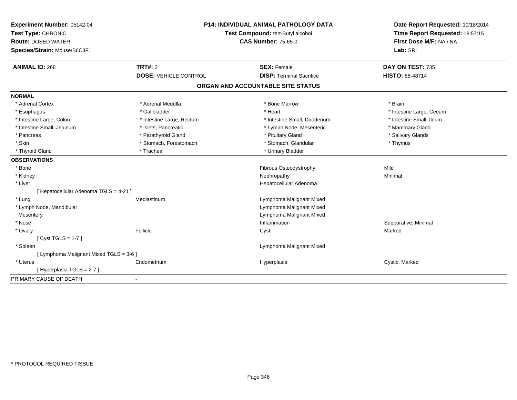| Experiment Number: 05142-04<br>Test Type: CHRONIC<br><b>Route: DOSED WATER</b><br>Species/Strain: Mouse/B6C3F1 |                              | <b>P14: INDIVIDUAL ANIMAL PATHOLOGY DATA</b><br>Test Compound: tert-Butyl alcohol<br><b>CAS Number: 75-65-0</b> | Date Report Requested: 10/18/2014<br>Time Report Requested: 18:57:15<br>First Dose M/F: NA / NA<br>Lab: SRI |
|----------------------------------------------------------------------------------------------------------------|------------------------------|-----------------------------------------------------------------------------------------------------------------|-------------------------------------------------------------------------------------------------------------|
| <b>ANIMAL ID: 268</b>                                                                                          | TRT#: 2                      | <b>SEX: Female</b>                                                                                              | DAY ON TEST: 735                                                                                            |
|                                                                                                                | <b>DOSE: VEHICLE CONTROL</b> | <b>DISP: Terminal Sacrifice</b>                                                                                 | HISTO: 88-48714                                                                                             |
|                                                                                                                |                              | ORGAN AND ACCOUNTABLE SITE STATUS                                                                               |                                                                                                             |
| <b>NORMAL</b>                                                                                                  |                              |                                                                                                                 |                                                                                                             |
| * Adrenal Cortex                                                                                               | * Adrenal Medulla            | * Bone Marrow                                                                                                   | * Brain                                                                                                     |
| * Esophagus                                                                                                    | * Gallbladder                | * Heart                                                                                                         | * Intestine Large, Cecum                                                                                    |
| * Intestine Large, Colon                                                                                       | * Intestine Large, Rectum    | * Intestine Small. Duodenum                                                                                     | * Intestine Small, Ileum                                                                                    |
| * Intestine Small, Jejunum                                                                                     | * Islets, Pancreatic         | * Lymph Node, Mesenteric                                                                                        | * Mammary Gland                                                                                             |
| * Pancreas                                                                                                     | * Parathyroid Gland          | * Pituitary Gland                                                                                               | * Salivary Glands                                                                                           |
| * Skin                                                                                                         | * Stomach, Forestomach       | * Stomach, Glandular                                                                                            | * Thymus                                                                                                    |
| * Thyroid Gland                                                                                                | * Trachea                    | * Urinary Bladder                                                                                               |                                                                                                             |
| <b>OBSERVATIONS</b>                                                                                            |                              |                                                                                                                 |                                                                                                             |
| * Bone                                                                                                         |                              | Fibrous Osteodystrophy                                                                                          | Mild                                                                                                        |
| * Kidney                                                                                                       |                              | Nephropathy                                                                                                     | Minimal                                                                                                     |
| * Liver                                                                                                        |                              | Hepatocellular Adenoma                                                                                          |                                                                                                             |
| [ Hepatocellular Adenoma TGLS = 4-21 ]                                                                         |                              |                                                                                                                 |                                                                                                             |
| * Lung                                                                                                         | Mediastinum                  | Lymphoma Malignant Mixed                                                                                        |                                                                                                             |
| * Lymph Node, Mandibular                                                                                       |                              | Lymphoma Malignant Mixed                                                                                        |                                                                                                             |
| Mesentery                                                                                                      |                              | Lymphoma Malignant Mixed                                                                                        |                                                                                                             |
| * Nose                                                                                                         |                              | Inflammation                                                                                                    | Suppurative, Minimal                                                                                        |
| * Ovary                                                                                                        | Follicle                     | Cyst                                                                                                            | Marked                                                                                                      |
| [Cyst TGLS = 1-7]                                                                                              |                              |                                                                                                                 |                                                                                                             |
| * Spleen                                                                                                       |                              | Lymphoma Malignant Mixed                                                                                        |                                                                                                             |
| [ Lymphoma Malignant Mixed TGLS = 3-6 ]                                                                        |                              |                                                                                                                 |                                                                                                             |
| * Uterus                                                                                                       | Endometrium                  | Hyperplasia                                                                                                     | Cystic, Marked                                                                                              |
| [ Hyperplasia TGLS = 2-7 ]                                                                                     |                              |                                                                                                                 |                                                                                                             |
| PRIMARY CAUSE OF DEATH                                                                                         |                              |                                                                                                                 |                                                                                                             |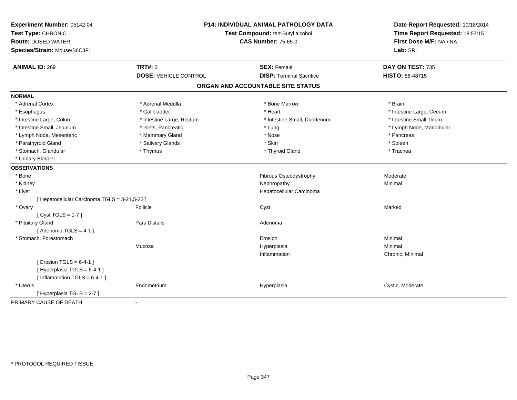| Experiment Number: 05142-04<br>Test Type: CHRONIC<br><b>Route: DOSED WATER</b><br>Species/Strain: Mouse/B6C3F1 |                              | P14: INDIVIDUAL ANIMAL PATHOLOGY DATA<br>Test Compound: tert-Butyl alcohol<br><b>CAS Number: 75-65-0</b> | Date Report Requested: 10/18/2014<br>Time Report Requested: 18:57:15<br>First Dose M/F: NA / NA<br>Lab: SRI |  |
|----------------------------------------------------------------------------------------------------------------|------------------------------|----------------------------------------------------------------------------------------------------------|-------------------------------------------------------------------------------------------------------------|--|
| <b>ANIMAL ID: 269</b>                                                                                          | <b>TRT#: 2</b>               | <b>SEX: Female</b>                                                                                       | DAY ON TEST: 735                                                                                            |  |
|                                                                                                                | <b>DOSE: VEHICLE CONTROL</b> | <b>DISP: Terminal Sacrifice</b>                                                                          | HISTO: 88-48715                                                                                             |  |
|                                                                                                                |                              | ORGAN AND ACCOUNTABLE SITE STATUS                                                                        |                                                                                                             |  |
| <b>NORMAL</b>                                                                                                  |                              |                                                                                                          |                                                                                                             |  |
| * Adrenal Cortex                                                                                               | * Adrenal Medulla            | * Bone Marrow                                                                                            | * Brain                                                                                                     |  |
| * Esophagus                                                                                                    | * Gallbladder                | * Heart                                                                                                  | * Intestine Large, Cecum                                                                                    |  |
| * Intestine Large, Colon                                                                                       | * Intestine Large, Rectum    | * Intestine Small, Duodenum                                                                              | * Intestine Small, Ileum                                                                                    |  |
| * Intestine Small, Jejunum                                                                                     | * Islets, Pancreatic         | * Lung                                                                                                   | * Lymph Node, Mandibular                                                                                    |  |
| * Lymph Node, Mesenteric                                                                                       | * Mammary Gland              | * Nose                                                                                                   | * Pancreas                                                                                                  |  |
| * Parathyroid Gland                                                                                            | * Salivary Glands            | * Skin                                                                                                   | * Spleen                                                                                                    |  |
| * Stomach, Glandular                                                                                           | * Thymus                     | * Thyroid Gland                                                                                          | * Trachea                                                                                                   |  |
| * Urinary Bladder                                                                                              |                              |                                                                                                          |                                                                                                             |  |
| <b>OBSERVATIONS</b>                                                                                            |                              |                                                                                                          |                                                                                                             |  |
| * Bone                                                                                                         |                              | Fibrous Osteodystrophy                                                                                   | Moderate                                                                                                    |  |
| * Kidney                                                                                                       |                              | Nephropathy                                                                                              | Minimal                                                                                                     |  |
| * Liver                                                                                                        |                              | Hepatocellular Carcinoma                                                                                 |                                                                                                             |  |
| [ Hepatocellular Carcinoma TGLS = 3-21,5-22 ]                                                                  |                              |                                                                                                          |                                                                                                             |  |
| * Ovary                                                                                                        | Follicle                     | Cyst                                                                                                     | Marked                                                                                                      |  |
| [Cyst TGLS = $1-7$ ]                                                                                           |                              |                                                                                                          |                                                                                                             |  |
| * Pituitary Gland                                                                                              | Pars Distalis                | Adenoma                                                                                                  |                                                                                                             |  |
| [Adenoma TGLS = $4-1$ ]                                                                                        |                              |                                                                                                          |                                                                                                             |  |
| * Stomach, Forestomach                                                                                         |                              | Erosion                                                                                                  | Minimal                                                                                                     |  |
|                                                                                                                | Mucosa                       | Hyperplasia                                                                                              | Minimal                                                                                                     |  |
|                                                                                                                |                              | Inflammation                                                                                             | Chronic, Minimal                                                                                            |  |
| [ Erosion TGLS = $6-4-1$ ]                                                                                     |                              |                                                                                                          |                                                                                                             |  |
| [Hyperplasia TGLS = 6-4-1]                                                                                     |                              |                                                                                                          |                                                                                                             |  |
| [Inflammation TGLS = $6-4-1$ ]                                                                                 |                              |                                                                                                          |                                                                                                             |  |
| * Uterus                                                                                                       | Endometrium                  | Hyperplasia                                                                                              | Cystic, Moderate                                                                                            |  |
| [Hyperplasia TGLS = 2-7]                                                                                       |                              |                                                                                                          |                                                                                                             |  |
| PRIMARY CAUSE OF DEATH                                                                                         | $\blacksquare$               |                                                                                                          |                                                                                                             |  |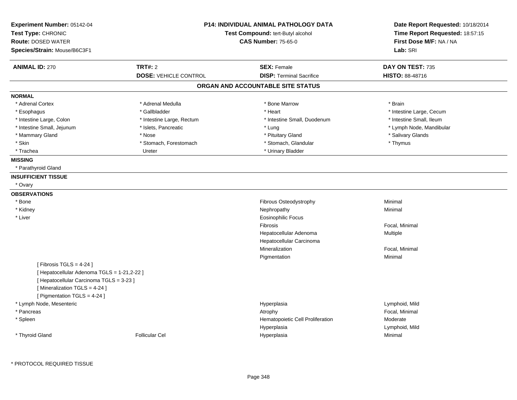| Experiment Number: 05142-04<br>Test Type: CHRONIC<br><b>Route: DOSED WATER</b><br>Species/Strain: Mouse/B6C3F1          |                                                | <b>P14: INDIVIDUAL ANIMAL PATHOLOGY DATA</b><br>Test Compound: tert-Butyl alcohol<br><b>CAS Number: 75-65-0</b> |                                            |
|-------------------------------------------------------------------------------------------------------------------------|------------------------------------------------|-----------------------------------------------------------------------------------------------------------------|--------------------------------------------|
| <b>ANIMAL ID: 270</b>                                                                                                   | <b>TRT#: 2</b><br><b>DOSE: VEHICLE CONTROL</b> | <b>SEX: Female</b><br><b>DISP: Terminal Sacrifice</b>                                                           | DAY ON TEST: 735<br><b>HISTO: 88-48716</b> |
|                                                                                                                         |                                                | ORGAN AND ACCOUNTABLE SITE STATUS                                                                               |                                            |
| <b>NORMAL</b>                                                                                                           |                                                |                                                                                                                 |                                            |
| * Adrenal Cortex                                                                                                        | * Adrenal Medulla                              | * Bone Marrow                                                                                                   | * Brain                                    |
| * Esophagus                                                                                                             | * Gallbladder                                  | * Heart                                                                                                         | * Intestine Large, Cecum                   |
| * Intestine Large, Colon                                                                                                | * Intestine Large, Rectum                      | * Intestine Small, Duodenum                                                                                     | * Intestine Small, Ileum                   |
| * Intestine Small, Jejunum                                                                                              | * Islets, Pancreatic                           | * Lung                                                                                                          | * Lymph Node, Mandibular                   |
| * Mammary Gland                                                                                                         | * Nose                                         | * Pituitary Gland                                                                                               | * Salivary Glands                          |
| * Skin                                                                                                                  | * Stomach, Forestomach                         | * Stomach, Glandular                                                                                            | * Thymus                                   |
| * Trachea                                                                                                               | Ureter                                         | * Urinary Bladder                                                                                               |                                            |
| <b>MISSING</b>                                                                                                          |                                                |                                                                                                                 |                                            |
| * Parathyroid Gland                                                                                                     |                                                |                                                                                                                 |                                            |
| <b>INSUFFICIENT TISSUE</b>                                                                                              |                                                |                                                                                                                 |                                            |
| * Ovary                                                                                                                 |                                                |                                                                                                                 |                                            |
| <b>OBSERVATIONS</b>                                                                                                     |                                                |                                                                                                                 |                                            |
| * Bone                                                                                                                  |                                                | Fibrous Osteodystrophy                                                                                          | Minimal                                    |
| * Kidney                                                                                                                |                                                | Nephropathy                                                                                                     | Minimal                                    |
| * Liver                                                                                                                 |                                                | Eosinophilic Focus                                                                                              |                                            |
|                                                                                                                         |                                                | Fibrosis                                                                                                        | Focal, Minimal                             |
|                                                                                                                         |                                                | Hepatocellular Adenoma                                                                                          | <b>Multiple</b>                            |
|                                                                                                                         |                                                | Hepatocellular Carcinoma                                                                                        |                                            |
|                                                                                                                         |                                                | Mineralization                                                                                                  | Focal, Minimal                             |
|                                                                                                                         |                                                | Pigmentation                                                                                                    | Minimal                                    |
| [ Fibrosis TGLS = $4-24$ ]                                                                                              |                                                |                                                                                                                 |                                            |
| [ Hepatocellular Adenoma TGLS = 1-21,2-22 ]<br>[ Hepatocellular Carcinoma TGLS = 3-23 ]<br>[Mineralization TGLS = 4-24] |                                                |                                                                                                                 |                                            |
| [ Pigmentation TGLS = 4-24 ]                                                                                            |                                                |                                                                                                                 |                                            |
| * Lymph Node, Mesenteric                                                                                                |                                                | Hyperplasia                                                                                                     | Lymphoid, Mild                             |
| * Pancreas                                                                                                              |                                                | Atrophy                                                                                                         | Focal, Minimal<br>Moderate                 |
| * Spleen                                                                                                                |                                                | Hematopoietic Cell Proliferation                                                                                |                                            |
| * Thyroid Gland                                                                                                         | <b>Follicular Cel</b>                          | Hyperplasia                                                                                                     | Lymphoid, Mild<br>Minimal                  |
|                                                                                                                         |                                                | Hyperplasia                                                                                                     |                                            |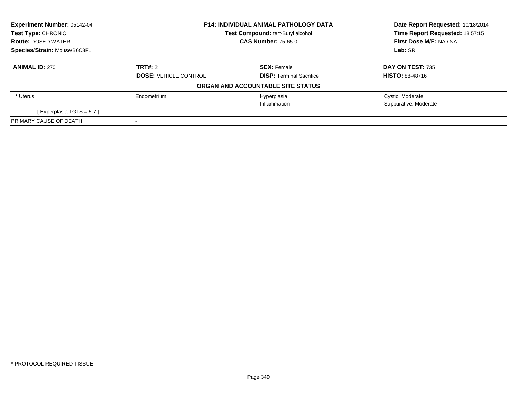| Experiment Number: 05142-04  | <b>P14: INDIVIDUAL ANIMAL PATHOLOGY DATA</b><br><b>Test Compound: tert-Butyl alcohol</b><br><b>CAS Number: 75-65-0</b> |                                   | Date Report Requested: 10/18/2014 |
|------------------------------|------------------------------------------------------------------------------------------------------------------------|-----------------------------------|-----------------------------------|
| Test Type: CHRONIC           |                                                                                                                        |                                   | Time Report Requested: 18:57:15   |
| <b>Route: DOSED WATER</b>    |                                                                                                                        |                                   | First Dose M/F: NA / NA           |
| Species/Strain: Mouse/B6C3F1 |                                                                                                                        |                                   | Lab: SRI                          |
| <b>ANIMAL ID: 270</b>        | TRT#: 2                                                                                                                | <b>SEX: Female</b>                | DAY ON TEST: 735                  |
|                              | <b>DOSE: VEHICLE CONTROL</b>                                                                                           | <b>DISP:</b> Terminal Sacrifice   | <b>HISTO: 88-48716</b>            |
|                              |                                                                                                                        | ORGAN AND ACCOUNTABLE SITE STATUS |                                   |
| * Uterus                     | Endometrium                                                                                                            | Hyperplasia                       | Cystic, Moderate                  |
|                              |                                                                                                                        | Inflammation                      | Suppurative, Moderate             |
| [Hyperplasia TGLS = $5-7$ ]  |                                                                                                                        |                                   |                                   |
| PRIMARY CAUSE OF DEATH       |                                                                                                                        |                                   |                                   |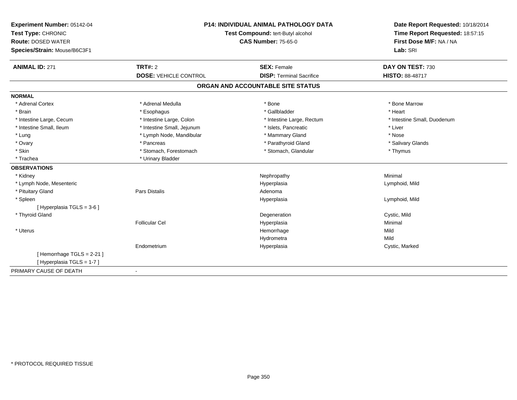| Experiment Number: 05142-04  | P14: INDIVIDUAL ANIMAL PATHOLOGY DATA<br>Test Compound: tert-Butyl alcohol |                                   | Date Report Requested: 10/18/2014 |  |
|------------------------------|----------------------------------------------------------------------------|-----------------------------------|-----------------------------------|--|
| Test Type: CHRONIC           |                                                                            |                                   | Time Report Requested: 18:57:15   |  |
| <b>Route: DOSED WATER</b>    |                                                                            | <b>CAS Number: 75-65-0</b>        | First Dose M/F: NA / NA           |  |
| Species/Strain: Mouse/B6C3F1 |                                                                            |                                   | Lab: SRI                          |  |
| <b>ANIMAL ID: 271</b>        | <b>TRT#: 2</b>                                                             | <b>SEX: Female</b>                | DAY ON TEST: 730                  |  |
|                              | <b>DOSE: VEHICLE CONTROL</b>                                               | <b>DISP: Terminal Sacrifice</b>   | <b>HISTO: 88-48717</b>            |  |
|                              |                                                                            | ORGAN AND ACCOUNTABLE SITE STATUS |                                   |  |
| <b>NORMAL</b>                |                                                                            |                                   |                                   |  |
| * Adrenal Cortex             | * Adrenal Medulla                                                          | * Bone                            | * Bone Marrow                     |  |
| * Brain                      | * Esophagus                                                                | * Gallbladder                     | * Heart                           |  |
| * Intestine Large, Cecum     | * Intestine Large, Colon                                                   | * Intestine Large, Rectum         | * Intestine Small, Duodenum       |  |
| * Intestine Small, Ileum     | * Intestine Small, Jejunum                                                 | * Islets, Pancreatic              | * Liver                           |  |
| * Lung                       | * Lymph Node, Mandibular                                                   | * Mammary Gland                   | * Nose                            |  |
| * Ovary                      | * Pancreas                                                                 | * Parathyroid Gland               | * Salivary Glands                 |  |
| * Skin                       | * Stomach, Forestomach                                                     | * Stomach, Glandular              | * Thymus                          |  |
| * Trachea                    | * Urinary Bladder                                                          |                                   |                                   |  |
| <b>OBSERVATIONS</b>          |                                                                            |                                   |                                   |  |
| * Kidney                     |                                                                            | Nephropathy                       | Minimal                           |  |
| * Lymph Node, Mesenteric     |                                                                            | Hyperplasia                       | Lymphoid, Mild                    |  |
| * Pituitary Gland            | Pars Distalis                                                              | Adenoma                           |                                   |  |
| * Spleen                     |                                                                            | Hyperplasia                       | Lymphoid, Mild                    |  |
| [ Hyperplasia TGLS = 3-6 ]   |                                                                            |                                   |                                   |  |
| * Thyroid Gland              |                                                                            | Degeneration                      | Cystic, Mild                      |  |
|                              | <b>Follicular Cel</b>                                                      | Hyperplasia                       | Minimal                           |  |
| * Uterus                     |                                                                            | Hemorrhage                        | Mild                              |  |
|                              |                                                                            | Hydrometra                        | Mild                              |  |
|                              | Endometrium                                                                | Hyperplasia                       | Cystic, Marked                    |  |
| [Hemorrhage TGLS = 2-21]     |                                                                            |                                   |                                   |  |
| [ Hyperplasia TGLS = 1-7 ]   |                                                                            |                                   |                                   |  |
| PRIMARY CAUSE OF DEATH       |                                                                            |                                   |                                   |  |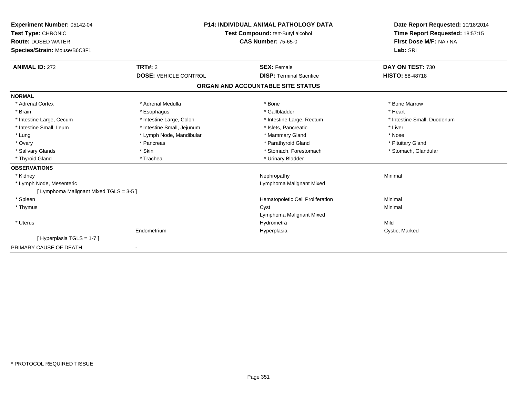| Experiment Number: 05142-04<br>Test Type: CHRONIC<br><b>Route: DOSED WATER</b><br>Species/Strain: Mouse/B6C3F1 | <b>P14: INDIVIDUAL ANIMAL PATHOLOGY DATA</b><br>Test Compound: tert-Butyl alcohol<br><b>CAS Number: 75-65-0</b> |                                   | Date Report Requested: 10/18/2014<br>Time Report Requested: 18:57:15<br>First Dose M/F: NA / NA<br>Lab: SRI |  |
|----------------------------------------------------------------------------------------------------------------|-----------------------------------------------------------------------------------------------------------------|-----------------------------------|-------------------------------------------------------------------------------------------------------------|--|
| <b>ANIMAL ID: 272</b>                                                                                          | TRT#: 2                                                                                                         | <b>SEX: Female</b>                | DAY ON TEST: 730                                                                                            |  |
|                                                                                                                | <b>DOSE: VEHICLE CONTROL</b>                                                                                    | <b>DISP: Terminal Sacrifice</b>   | HISTO: 88-48718                                                                                             |  |
|                                                                                                                |                                                                                                                 | ORGAN AND ACCOUNTABLE SITE STATUS |                                                                                                             |  |
| <b>NORMAL</b>                                                                                                  |                                                                                                                 |                                   |                                                                                                             |  |
| * Adrenal Cortex                                                                                               | * Adrenal Medulla                                                                                               | * Bone                            | * Bone Marrow                                                                                               |  |
| * Brain                                                                                                        | * Esophagus                                                                                                     | * Gallbladder                     | * Heart                                                                                                     |  |
| * Intestine Large, Cecum                                                                                       | * Intestine Large, Colon                                                                                        | * Intestine Large, Rectum         | * Intestine Small, Duodenum                                                                                 |  |
| * Intestine Small, Ileum                                                                                       | * Intestine Small, Jejunum                                                                                      | * Islets, Pancreatic              | * Liver                                                                                                     |  |
| * Lung                                                                                                         | * Lymph Node, Mandibular                                                                                        | * Mammary Gland                   | * Nose                                                                                                      |  |
| * Ovary                                                                                                        | * Pancreas                                                                                                      | * Parathyroid Gland               | * Pituitary Gland                                                                                           |  |
| * Salivary Glands                                                                                              | * Skin                                                                                                          | * Stomach, Forestomach            | * Stomach, Glandular                                                                                        |  |
| * Thyroid Gland                                                                                                | * Trachea                                                                                                       | * Urinary Bladder                 |                                                                                                             |  |
| <b>OBSERVATIONS</b>                                                                                            |                                                                                                                 |                                   |                                                                                                             |  |
| * Kidney                                                                                                       |                                                                                                                 | Nephropathy                       | Minimal                                                                                                     |  |
| * Lymph Node, Mesenteric                                                                                       |                                                                                                                 | Lymphoma Malignant Mixed          |                                                                                                             |  |
| [ Lymphoma Malignant Mixed TGLS = 3-5 ]                                                                        |                                                                                                                 |                                   |                                                                                                             |  |
| * Spleen                                                                                                       |                                                                                                                 | Hematopoietic Cell Proliferation  | Minimal                                                                                                     |  |
| * Thymus                                                                                                       |                                                                                                                 | Cyst                              | Minimal                                                                                                     |  |
|                                                                                                                |                                                                                                                 | Lymphoma Malignant Mixed          |                                                                                                             |  |
| * Uterus                                                                                                       |                                                                                                                 | Hydrometra                        | Mild                                                                                                        |  |
|                                                                                                                | Endometrium                                                                                                     | Hyperplasia                       | Cystic, Marked                                                                                              |  |
| [Hyperplasia TGLS = 1-7]                                                                                       |                                                                                                                 |                                   |                                                                                                             |  |
| PRIMARY CAUSE OF DEATH                                                                                         |                                                                                                                 |                                   |                                                                                                             |  |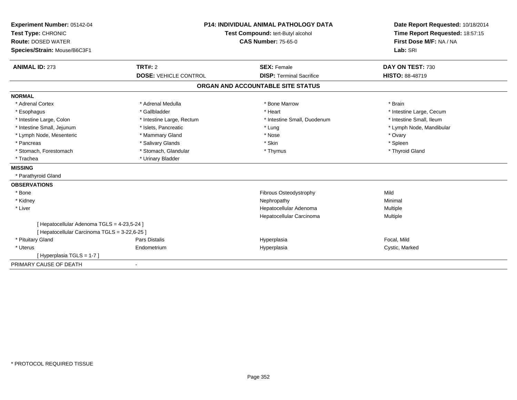| Experiment Number: 05142-04                   | <b>P14: INDIVIDUAL ANIMAL PATHOLOGY DATA</b><br>Test Compound: tert-Butyl alcohol |                                   | Date Report Requested: 10/18/2014 |
|-----------------------------------------------|-----------------------------------------------------------------------------------|-----------------------------------|-----------------------------------|
| Test Type: CHRONIC                            |                                                                                   |                                   | Time Report Requested: 18:57:15   |
| <b>Route: DOSED WATER</b>                     |                                                                                   | <b>CAS Number: 75-65-0</b>        | First Dose M/F: NA / NA           |
| Species/Strain: Mouse/B6C3F1                  |                                                                                   |                                   | Lab: SRI                          |
| <b>ANIMAL ID: 273</b>                         | <b>TRT#: 2</b>                                                                    | <b>SEX: Female</b>                | DAY ON TEST: 730                  |
|                                               | <b>DOSE: VEHICLE CONTROL</b>                                                      | <b>DISP: Terminal Sacrifice</b>   | <b>HISTO: 88-48719</b>            |
|                                               |                                                                                   | ORGAN AND ACCOUNTABLE SITE STATUS |                                   |
| <b>NORMAL</b>                                 |                                                                                   |                                   |                                   |
| * Adrenal Cortex                              | * Adrenal Medulla                                                                 | * Bone Marrow                     | * Brain                           |
| * Esophagus                                   | * Gallbladder                                                                     | * Heart                           | * Intestine Large, Cecum          |
| * Intestine Large, Colon                      | * Intestine Large, Rectum                                                         | * Intestine Small, Duodenum       | * Intestine Small, Ileum          |
| * Intestine Small, Jejunum                    | * Islets, Pancreatic                                                              | * Lung                            | * Lymph Node, Mandibular          |
| * Lymph Node, Mesenteric                      | * Mammary Gland                                                                   | * Nose                            | * Ovary                           |
| * Pancreas                                    | * Salivary Glands                                                                 | * Skin                            | * Spleen                          |
| * Stomach, Forestomach                        | * Stomach, Glandular                                                              | * Thymus                          | * Thyroid Gland                   |
| * Trachea                                     | * Urinary Bladder                                                                 |                                   |                                   |
| <b>MISSING</b>                                |                                                                                   |                                   |                                   |
| * Parathyroid Gland                           |                                                                                   |                                   |                                   |
| <b>OBSERVATIONS</b>                           |                                                                                   |                                   |                                   |
| * Bone                                        |                                                                                   | Fibrous Osteodystrophy            | Mild                              |
| * Kidney                                      |                                                                                   | Nephropathy                       | Minimal                           |
| * Liver                                       |                                                                                   | Hepatocellular Adenoma            | Multiple                          |
|                                               |                                                                                   | Hepatocellular Carcinoma          | Multiple                          |
| [ Hepatocellular Adenoma TGLS = 4-23,5-24 ]   |                                                                                   |                                   |                                   |
| [ Hepatocellular Carcinoma TGLS = 3-22,6-25 ] |                                                                                   |                                   |                                   |
| * Pituitary Gland                             | <b>Pars Distalis</b>                                                              | Hyperplasia                       | Focal, Mild                       |
| * Uterus                                      | Endometrium                                                                       | Hyperplasia                       | Cystic, Marked                    |
| [Hyperplasia TGLS = 1-7]                      |                                                                                   |                                   |                                   |
| PRIMARY CAUSE OF DEATH                        |                                                                                   |                                   |                                   |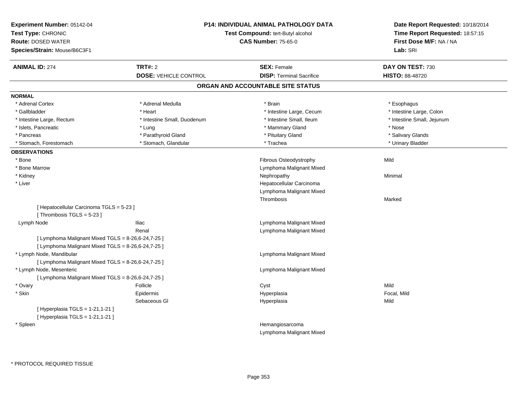| Experiment Number: 05142-04<br>Test Type: CHRONIC<br><b>Route: DOSED WATER</b><br>Species/Strain: Mouse/B6C3F1 | <b>P14: INDIVIDUAL ANIMAL PATHOLOGY DATA</b><br>Test Compound: tert-Butyl alcohol<br><b>CAS Number: 75-65-0</b> |                                   | Date Report Requested: 10/18/2014<br>Time Report Requested: 18:57:15<br>First Dose M/F: NA / NA<br>Lab: SRI |
|----------------------------------------------------------------------------------------------------------------|-----------------------------------------------------------------------------------------------------------------|-----------------------------------|-------------------------------------------------------------------------------------------------------------|
| <b>ANIMAL ID: 274</b>                                                                                          | <b>TRT#: 2</b>                                                                                                  | <b>SEX: Female</b>                | DAY ON TEST: 730                                                                                            |
|                                                                                                                | <b>DOSE: VEHICLE CONTROL</b>                                                                                    | <b>DISP: Terminal Sacrifice</b>   | HISTO: 88-48720                                                                                             |
|                                                                                                                |                                                                                                                 | ORGAN AND ACCOUNTABLE SITE STATUS |                                                                                                             |
| <b>NORMAL</b>                                                                                                  |                                                                                                                 |                                   |                                                                                                             |
| * Adrenal Cortex                                                                                               | * Adrenal Medulla                                                                                               | * Brain                           | * Esophagus                                                                                                 |
| * Gallbladder                                                                                                  | * Heart                                                                                                         | * Intestine Large, Cecum          | * Intestine Large, Colon                                                                                    |
| * Intestine Large, Rectum                                                                                      | * Intestine Small, Duodenum                                                                                     | * Intestine Small, Ileum          | * Intestine Small, Jejunum                                                                                  |
| * Islets, Pancreatic                                                                                           | * Lung                                                                                                          | * Mammary Gland                   | * Nose                                                                                                      |
| * Pancreas                                                                                                     | * Parathyroid Gland                                                                                             | * Pituitary Gland                 | * Salivary Glands                                                                                           |
| * Stomach, Forestomach                                                                                         | * Stomach, Glandular                                                                                            | * Trachea                         | * Urinary Bladder                                                                                           |
| <b>OBSERVATIONS</b>                                                                                            |                                                                                                                 |                                   |                                                                                                             |
| * Bone                                                                                                         |                                                                                                                 | <b>Fibrous Osteodystrophy</b>     | Mild                                                                                                        |
| * Bone Marrow                                                                                                  |                                                                                                                 | Lymphoma Malignant Mixed          |                                                                                                             |
| * Kidney                                                                                                       |                                                                                                                 | Nephropathy                       | Minimal                                                                                                     |
| * Liver                                                                                                        |                                                                                                                 | Hepatocellular Carcinoma          |                                                                                                             |
|                                                                                                                |                                                                                                                 | Lymphoma Malignant Mixed          |                                                                                                             |
|                                                                                                                |                                                                                                                 | Thrombosis                        | Marked                                                                                                      |
| [ Hepatocellular Carcinoma TGLS = 5-23 ]                                                                       |                                                                                                                 |                                   |                                                                                                             |
| [Thrombosis TGLS = 5-23]                                                                                       |                                                                                                                 |                                   |                                                                                                             |
| Lymph Node                                                                                                     | <b>Iliac</b>                                                                                                    | Lymphoma Malignant Mixed          |                                                                                                             |
|                                                                                                                | Renal                                                                                                           | Lymphoma Malignant Mixed          |                                                                                                             |
| [ Lymphoma Malignant Mixed TGLS = 8-26,6-24,7-25 ]                                                             |                                                                                                                 |                                   |                                                                                                             |
| [ Lymphoma Malignant Mixed TGLS = 8-26,6-24,7-25 ]                                                             |                                                                                                                 |                                   |                                                                                                             |
| * Lymph Node, Mandibular                                                                                       |                                                                                                                 | Lymphoma Malignant Mixed          |                                                                                                             |
| [ Lymphoma Malignant Mixed TGLS = 8-26,6-24,7-25 ]                                                             |                                                                                                                 |                                   |                                                                                                             |
| * Lymph Node, Mesenteric                                                                                       |                                                                                                                 | Lymphoma Malignant Mixed          |                                                                                                             |
| [ Lymphoma Malignant Mixed TGLS = 8-26,6-24,7-25 ]                                                             |                                                                                                                 |                                   |                                                                                                             |
| * Ovary                                                                                                        | Follicle                                                                                                        | Cyst                              | Mild                                                                                                        |
| * Skin                                                                                                         | Epidermis                                                                                                       | Hyperplasia                       | Focal, Mild                                                                                                 |
|                                                                                                                | Sebaceous GI                                                                                                    | Hyperplasia                       | Mild                                                                                                        |
| [ Hyperplasia TGLS = 1-21,1-21 ]                                                                               |                                                                                                                 |                                   |                                                                                                             |
| [ Hyperplasia TGLS = 1-21,1-21 ]                                                                               |                                                                                                                 |                                   |                                                                                                             |
| * Spleen                                                                                                       |                                                                                                                 | Hemangiosarcoma                   |                                                                                                             |
|                                                                                                                |                                                                                                                 | Lymphoma Malignant Mixed          |                                                                                                             |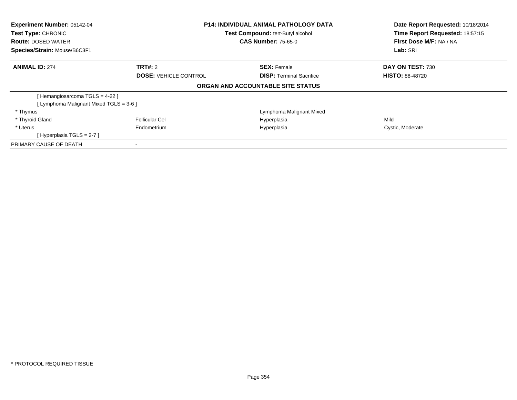| Experiment Number: 05142-04<br><b>Test Type: CHRONIC</b> | <b>P14: INDIVIDUAL ANIMAL PATHOLOGY DATA</b><br>Test Compound: tert-Butyl alcohol |                                   | Date Report Requested: 10/18/2014<br>Time Report Requested: 18:57:15 |  |
|----------------------------------------------------------|-----------------------------------------------------------------------------------|-----------------------------------|----------------------------------------------------------------------|--|
| <b>Route: DOSED WATER</b>                                |                                                                                   | <b>CAS Number: 75-65-0</b>        | First Dose M/F: NA / NA                                              |  |
| Species/Strain: Mouse/B6C3F1                             |                                                                                   |                                   | Lab: SRI                                                             |  |
| <b>ANIMAL ID: 274</b>                                    | <b>TRT#: 2</b>                                                                    | <b>SEX: Female</b>                | DAY ON TEST: 730                                                     |  |
|                                                          | <b>DOSE: VEHICLE CONTROL</b>                                                      | <b>DISP: Terminal Sacrifice</b>   | <b>HISTO: 88-48720</b>                                               |  |
|                                                          |                                                                                   | ORGAN AND ACCOUNTABLE SITE STATUS |                                                                      |  |
| [Hemangiosarcoma TGLS = 4-22 ]                           |                                                                                   |                                   |                                                                      |  |
| [ Lymphoma Malignant Mixed TGLS = 3-6 ]                  |                                                                                   |                                   |                                                                      |  |
| * Thymus                                                 |                                                                                   | Lymphoma Malignant Mixed          |                                                                      |  |
| * Thyroid Gland                                          | <b>Follicular Cel</b>                                                             | Hyperplasia                       | Mild                                                                 |  |
| * Uterus                                                 | Endometrium                                                                       | Hyperplasia                       | Cystic, Moderate                                                     |  |
| [Hyperplasia TGLS = 2-7 ]                                |                                                                                   |                                   |                                                                      |  |
| PRIMARY CAUSE OF DEATH                                   |                                                                                   |                                   |                                                                      |  |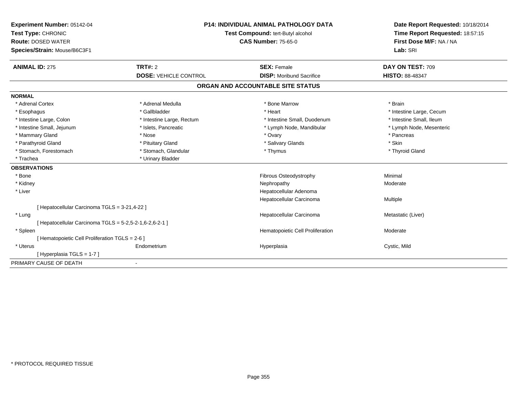| Experiment Number: 05142-04<br>Test Type: CHRONIC<br><b>Route: DOSED WATER</b><br>Species/Strain: Mouse/B6C3F1 | <b>P14: INDIVIDUAL ANIMAL PATHOLOGY DATA</b><br>Test Compound: tert-Butyl alcohol<br><b>CAS Number: 75-65-0</b> |                                                       | Date Report Requested: 10/18/2014<br>Time Report Requested: 18:57:15<br>First Dose M/F: NA / NA<br>Lab: SRI |  |
|----------------------------------------------------------------------------------------------------------------|-----------------------------------------------------------------------------------------------------------------|-------------------------------------------------------|-------------------------------------------------------------------------------------------------------------|--|
| <b>ANIMAL ID: 275</b>                                                                                          | <b>TRT#: 2</b><br><b>DOSE: VEHICLE CONTROL</b>                                                                  | <b>SEX: Female</b><br><b>DISP:</b> Moribund Sacrifice | DAY ON TEST: 709<br>HISTO: 88-48347                                                                         |  |
|                                                                                                                |                                                                                                                 |                                                       |                                                                                                             |  |
|                                                                                                                |                                                                                                                 | ORGAN AND ACCOUNTABLE SITE STATUS                     |                                                                                                             |  |
| <b>NORMAL</b>                                                                                                  |                                                                                                                 |                                                       |                                                                                                             |  |
| * Adrenal Cortex                                                                                               | * Adrenal Medulla                                                                                               | * Bone Marrow                                         | * Brain                                                                                                     |  |
| * Esophagus                                                                                                    | * Gallbladder                                                                                                   | * Heart                                               | * Intestine Large, Cecum                                                                                    |  |
| * Intestine Large, Colon                                                                                       | * Intestine Large, Rectum                                                                                       | * Intestine Small, Duodenum                           | * Intestine Small, Ileum                                                                                    |  |
| * Intestine Small, Jejunum                                                                                     | * Islets, Pancreatic                                                                                            | * Lymph Node, Mandibular                              | * Lymph Node, Mesenteric                                                                                    |  |
| * Mammary Gland                                                                                                | * Nose                                                                                                          | * Ovary                                               | * Pancreas                                                                                                  |  |
| * Parathyroid Gland                                                                                            | * Pituitary Gland                                                                                               | * Salivary Glands                                     | * Skin                                                                                                      |  |
| * Stomach, Forestomach                                                                                         | * Stomach, Glandular                                                                                            | * Thymus                                              | * Thyroid Gland                                                                                             |  |
| * Trachea                                                                                                      | * Urinary Bladder                                                                                               |                                                       |                                                                                                             |  |
| <b>OBSERVATIONS</b>                                                                                            |                                                                                                                 |                                                       |                                                                                                             |  |
| * Bone                                                                                                         |                                                                                                                 | Fibrous Osteodystrophy                                | Minimal                                                                                                     |  |
| * Kidney                                                                                                       |                                                                                                                 | Nephropathy                                           | Moderate                                                                                                    |  |
| * Liver                                                                                                        |                                                                                                                 | Hepatocellular Adenoma                                |                                                                                                             |  |
|                                                                                                                |                                                                                                                 | Hepatocellular Carcinoma                              | Multiple                                                                                                    |  |
| [ Hepatocellular Carcinoma TGLS = 3-21,4-22 ]                                                                  |                                                                                                                 |                                                       |                                                                                                             |  |
| * Lung                                                                                                         |                                                                                                                 | Hepatocellular Carcinoma                              | Metastatic (Liver)                                                                                          |  |
| [ Hepatocellular Carcinoma TGLS = 5-2,5-2-1,6-2,6-2-1 ]                                                        |                                                                                                                 |                                                       |                                                                                                             |  |
| * Spleen                                                                                                       |                                                                                                                 | Hematopoietic Cell Proliferation                      | Moderate                                                                                                    |  |
| [ Hematopoietic Cell Proliferation TGLS = 2-6 ]                                                                |                                                                                                                 |                                                       |                                                                                                             |  |
| * Uterus                                                                                                       | Endometrium                                                                                                     | Hyperplasia                                           | Cystic, Mild                                                                                                |  |
| [Hyperplasia TGLS = 1-7]                                                                                       |                                                                                                                 |                                                       |                                                                                                             |  |
| PRIMARY CAUSE OF DEATH                                                                                         |                                                                                                                 |                                                       |                                                                                                             |  |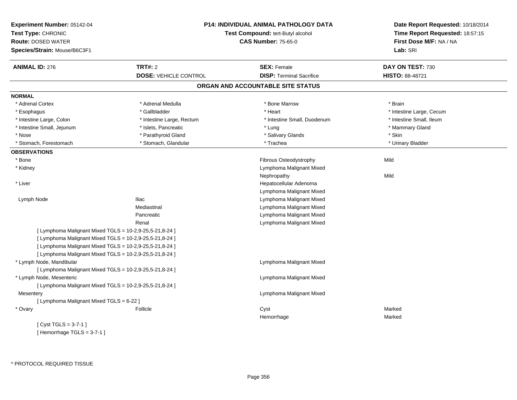| Experiment Number: 05142-04<br>Test Type: CHRONIC<br><b>Route: DOSED WATER</b><br>Species/Strain: Mouse/B6C3F1 |                              | P14: INDIVIDUAL ANIMAL PATHOLOGY DATA<br>Test Compound: tert-Butyl alcohol<br><b>CAS Number: 75-65-0</b> | Date Report Requested: 10/18/2014<br>Time Report Requested: 18:57:15<br>First Dose M/F: NA / NA<br>Lab: SRI |
|----------------------------------------------------------------------------------------------------------------|------------------------------|----------------------------------------------------------------------------------------------------------|-------------------------------------------------------------------------------------------------------------|
| <b>ANIMAL ID: 276</b>                                                                                          | <b>TRT#: 2</b>               | <b>SEX: Female</b>                                                                                       | DAY ON TEST: 730                                                                                            |
|                                                                                                                | <b>DOSE: VEHICLE CONTROL</b> | <b>DISP: Terminal Sacrifice</b>                                                                          | HISTO: 88-48721                                                                                             |
|                                                                                                                |                              | ORGAN AND ACCOUNTABLE SITE STATUS                                                                        |                                                                                                             |
| <b>NORMAL</b>                                                                                                  |                              |                                                                                                          |                                                                                                             |
| * Adrenal Cortex                                                                                               | * Adrenal Medulla            | * Bone Marrow                                                                                            | * Brain                                                                                                     |
| * Esophagus                                                                                                    | * Gallbladder                | * Heart                                                                                                  | * Intestine Large, Cecum                                                                                    |
| * Intestine Large, Colon                                                                                       | * Intestine Large, Rectum    | * Intestine Small, Duodenum                                                                              | * Intestine Small, Ileum                                                                                    |
| * Intestine Small, Jejunum                                                                                     | * Islets, Pancreatic         | * Lung                                                                                                   | * Mammary Gland                                                                                             |
| * Nose                                                                                                         | * Parathyroid Gland          | * Salivary Glands                                                                                        | * Skin                                                                                                      |
| * Stomach, Forestomach                                                                                         | * Stomach, Glandular         | * Trachea                                                                                                | * Urinary Bladder                                                                                           |
| <b>OBSERVATIONS</b>                                                                                            |                              |                                                                                                          |                                                                                                             |
| * Bone                                                                                                         |                              | Fibrous Osteodystrophy                                                                                   | Mild                                                                                                        |
| * Kidney                                                                                                       |                              | Lymphoma Malignant Mixed                                                                                 |                                                                                                             |
|                                                                                                                |                              | Nephropathy                                                                                              | Mild                                                                                                        |
| * Liver                                                                                                        |                              | Hepatocellular Adenoma                                                                                   |                                                                                                             |
|                                                                                                                |                              | Lymphoma Malignant Mixed                                                                                 |                                                                                                             |
| Lymph Node                                                                                                     | <b>Iliac</b>                 | Lymphoma Malignant Mixed                                                                                 |                                                                                                             |
|                                                                                                                | Mediastinal                  | Lymphoma Malignant Mixed                                                                                 |                                                                                                             |
|                                                                                                                | Pancreatic                   | Lymphoma Malignant Mixed                                                                                 |                                                                                                             |
|                                                                                                                | Renal                        | Lymphoma Malignant Mixed                                                                                 |                                                                                                             |
| [ Lymphoma Malignant Mixed TGLS = 10-2,9-25,5-21,8-24 ]                                                        |                              |                                                                                                          |                                                                                                             |
| [ Lymphoma Malignant Mixed TGLS = 10-2,9-25,5-21,8-24 ]                                                        |                              |                                                                                                          |                                                                                                             |
| [ Lymphoma Malignant Mixed TGLS = 10-2,9-25,5-21,8-24 ]                                                        |                              |                                                                                                          |                                                                                                             |
| [ Lymphoma Malignant Mixed TGLS = 10-2,9-25,5-21,8-24 ]                                                        |                              |                                                                                                          |                                                                                                             |
| * Lymph Node, Mandibular                                                                                       |                              | Lymphoma Malignant Mixed                                                                                 |                                                                                                             |
| [ Lymphoma Malignant Mixed TGLS = 10-2,9-25,5-21,8-24 ]                                                        |                              |                                                                                                          |                                                                                                             |
| * Lymph Node, Mesenteric                                                                                       |                              | Lymphoma Malignant Mixed                                                                                 |                                                                                                             |
| [ Lymphoma Malignant Mixed TGLS = 10-2,9-25,5-21,8-24 ]                                                        |                              |                                                                                                          |                                                                                                             |
| Mesentery                                                                                                      |                              | Lymphoma Malignant Mixed                                                                                 |                                                                                                             |
| [ Lymphoma Malignant Mixed TGLS = 6-22 ]                                                                       |                              |                                                                                                          |                                                                                                             |
| * Ovary                                                                                                        | Follicle                     | Cyst                                                                                                     | Marked                                                                                                      |
|                                                                                                                |                              | Hemorrhage                                                                                               | Marked                                                                                                      |
| [Cyst TGLS = $3-7-1$ ]                                                                                         |                              |                                                                                                          |                                                                                                             |

[ Hemorrhage TGLS = 3-7-1 ]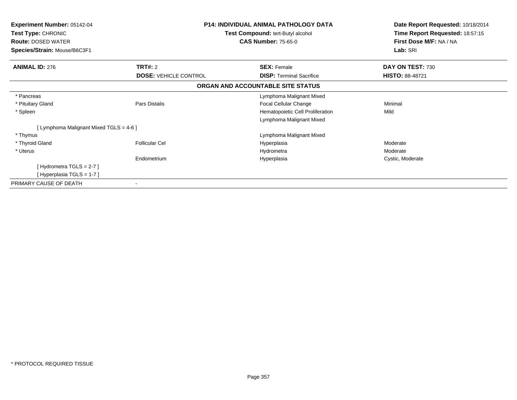| <b>Experiment Number: 05142-04</b><br>Test Type: CHRONIC<br><b>Route: DOSED WATER</b> | <b>P14: INDIVIDUAL ANIMAL PATHOLOGY DATA</b><br>Test Compound: tert-Butyl alcohol<br><b>CAS Number: 75-65-0</b> |                                   | Date Report Requested: 10/18/2014<br>Time Report Requested: 18:57:15<br>First Dose M/F: NA / NA |
|---------------------------------------------------------------------------------------|-----------------------------------------------------------------------------------------------------------------|-----------------------------------|-------------------------------------------------------------------------------------------------|
| Species/Strain: Mouse/B6C3F1                                                          |                                                                                                                 |                                   | Lab: SRI                                                                                        |
| <b>ANIMAL ID: 276</b>                                                                 | <b>TRT#: 2</b>                                                                                                  | <b>SEX: Female</b>                | DAY ON TEST: 730                                                                                |
|                                                                                       | <b>DOSE: VEHICLE CONTROL</b>                                                                                    | <b>DISP:</b> Terminal Sacrifice   | <b>HISTO: 88-48721</b>                                                                          |
|                                                                                       |                                                                                                                 | ORGAN AND ACCOUNTABLE SITE STATUS |                                                                                                 |
| * Pancreas                                                                            |                                                                                                                 | Lymphoma Malignant Mixed          |                                                                                                 |
| * Pituitary Gland                                                                     | Pars Distalis                                                                                                   | Focal Cellular Change             | Minimal                                                                                         |
| * Spleen                                                                              |                                                                                                                 | Hematopoietic Cell Proliferation  | Mild                                                                                            |
|                                                                                       |                                                                                                                 | Lymphoma Malignant Mixed          |                                                                                                 |
| [ Lymphoma Malignant Mixed TGLS = 4-6 ]                                               |                                                                                                                 |                                   |                                                                                                 |
| * Thymus                                                                              |                                                                                                                 | Lymphoma Malignant Mixed          |                                                                                                 |
| * Thyroid Gland                                                                       | <b>Follicular Cel</b>                                                                                           | Hyperplasia                       | Moderate                                                                                        |
| * Uterus                                                                              |                                                                                                                 | Hydrometra                        | Moderate                                                                                        |
|                                                                                       | Endometrium                                                                                                     | Hyperplasia                       | Cystic, Moderate                                                                                |
| [Hydrometra TGLS = $2-7$ ]                                                            |                                                                                                                 |                                   |                                                                                                 |
| [Hyperplasia TGLS = 1-7]                                                              |                                                                                                                 |                                   |                                                                                                 |
| PRIMARY CAUSE OF DEATH                                                                |                                                                                                                 |                                   |                                                                                                 |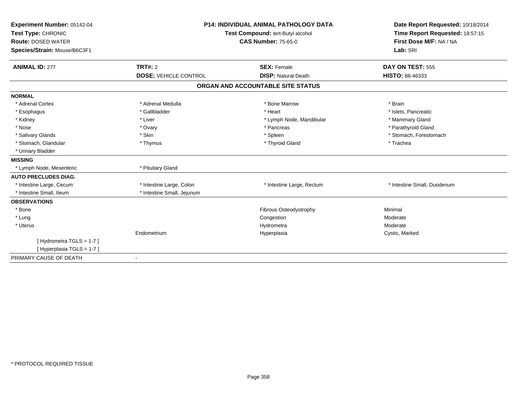| Experiment Number: 05142-04<br>Test Type: CHRONIC<br><b>Route: DOSED WATER</b><br>Species/Strain: Mouse/B6C3F1 |                              | <b>P14: INDIVIDUAL ANIMAL PATHOLOGY DATA</b><br>Test Compound: tert-Butyl alcohol<br><b>CAS Number: 75-65-0</b> |                             |
|----------------------------------------------------------------------------------------------------------------|------------------------------|-----------------------------------------------------------------------------------------------------------------|-----------------------------|
| <b>ANIMAL ID: 277</b>                                                                                          | <b>TRT#: 2</b>               | <b>SEX: Female</b>                                                                                              | DAY ON TEST: 555            |
|                                                                                                                | <b>DOSE: VEHICLE CONTROL</b> | <b>DISP: Natural Death</b>                                                                                      | HISTO: 88-46333             |
|                                                                                                                |                              | ORGAN AND ACCOUNTABLE SITE STATUS                                                                               |                             |
| <b>NORMAL</b>                                                                                                  |                              |                                                                                                                 |                             |
| * Adrenal Cortex                                                                                               | * Adrenal Medulla            | * Bone Marrow                                                                                                   | * Brain                     |
| * Esophagus                                                                                                    | * Gallbladder                | * Heart                                                                                                         | * Islets, Pancreatic        |
| * Kidney                                                                                                       | * Liver                      | * Lymph Node, Mandibular                                                                                        | * Mammary Gland             |
| * Nose                                                                                                         | * Ovary                      | * Pancreas                                                                                                      | * Parathyroid Gland         |
| * Salivary Glands                                                                                              | * Skin                       | * Spleen                                                                                                        | * Stomach, Forestomach      |
| * Stomach, Glandular                                                                                           | * Thymus                     | * Thyroid Gland                                                                                                 | * Trachea                   |
| * Urinary Bladder                                                                                              |                              |                                                                                                                 |                             |
| <b>MISSING</b>                                                                                                 |                              |                                                                                                                 |                             |
| * Lymph Node, Mesenteric                                                                                       | * Pituitary Gland            |                                                                                                                 |                             |
| <b>AUTO PRECLUDES DIAG.</b>                                                                                    |                              |                                                                                                                 |                             |
| * Intestine Large, Cecum                                                                                       | * Intestine Large, Colon     | * Intestine Large, Rectum                                                                                       | * Intestine Small, Duodenum |
| * Intestine Small, Ileum                                                                                       | * Intestine Small, Jejunum   |                                                                                                                 |                             |
| <b>OBSERVATIONS</b>                                                                                            |                              |                                                                                                                 |                             |
| * Bone                                                                                                         |                              | Fibrous Osteodystrophy                                                                                          | Minimal                     |
| * Lung                                                                                                         |                              | Congestion                                                                                                      | Moderate                    |
| * Uterus                                                                                                       |                              | Hydrometra                                                                                                      | Moderate                    |
|                                                                                                                | Endometrium                  | Hyperplasia                                                                                                     | Cystic, Marked              |
| [Hydrometra TGLS = 1-7]                                                                                        |                              |                                                                                                                 |                             |
| [Hyperplasia TGLS = 1-7]                                                                                       |                              |                                                                                                                 |                             |
| PRIMARY CAUSE OF DEATH                                                                                         |                              |                                                                                                                 |                             |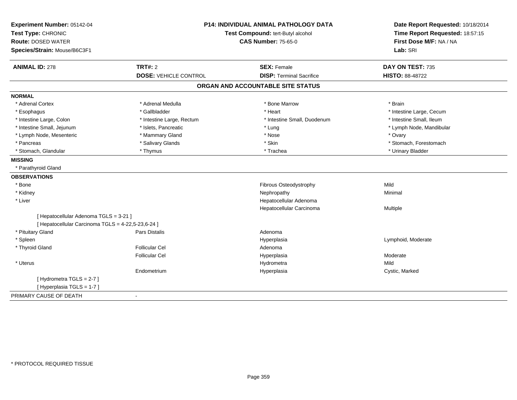| First Dose M/F: NA / NA<br><b>Route: DOSED WATER</b><br><b>CAS Number: 75-65-0</b><br>Species/Strain: Mouse/B6C3F1<br>Lab: SRI<br><b>ANIMAL ID: 278</b><br>TRT#: 2<br>DAY ON TEST: 735<br><b>SEX: Female</b><br><b>DOSE: VEHICLE CONTROL</b><br><b>DISP: Terminal Sacrifice</b><br><b>HISTO: 88-48722</b><br>ORGAN AND ACCOUNTABLE SITE STATUS<br><b>NORMAL</b><br>* Adrenal Cortex<br>* Adrenal Medulla<br>* Brain<br>* Bone Marrow<br>* Gallbladder<br>* Heart<br>* Intestine Large, Cecum<br>* Esophagus<br>* Intestine Small, Ileum<br>* Intestine Large, Colon<br>* Intestine Small, Duodenum<br>* Intestine Large, Rectum<br>* Intestine Small, Jejunum<br>* Islets, Pancreatic<br>* Lung<br>* Lymph Node, Mandibular<br>* Lymph Node, Mesenteric<br>* Mammary Gland<br>* Nose<br>* Ovary<br>* Salivary Glands<br>* Skin<br>* Stomach, Forestomach<br>* Pancreas<br>* Stomach, Glandular<br>* Trachea<br>* Urinary Bladder<br>* Thymus<br><b>MISSING</b><br>* Parathyroid Gland<br><b>OBSERVATIONS</b><br>Mild<br>* Bone<br>Fibrous Osteodystrophy<br>* Kidney<br>Nephropathy<br>Minimal<br>* Liver<br>Hepatocellular Adenoma<br>Hepatocellular Carcinoma<br>Multiple<br>[ Hepatocellular Adenoma TGLS = 3-21 ]<br>[ Hepatocellular Carcinoma TGLS = 4-22,5-23,6-24 ]<br>* Pituitary Gland<br><b>Pars Distalis</b><br>Adenoma<br>* Spleen<br>Lymphoid, Moderate<br>Hyperplasia<br><b>Follicular Cel</b><br>* Thyroid Gland<br>Adenoma<br><b>Follicular Cel</b><br>Moderate<br>Hyperplasia<br>* Uterus<br>Mild<br>Hydrometra<br>Endometrium<br>Cystic, Marked<br>Hyperplasia<br>[Hydrometra TGLS = 2-7]<br>[Hyperplasia TGLS = 1-7] | Experiment Number: 05142-04<br>Test Type: CHRONIC | <b>P14: INDIVIDUAL ANIMAL PATHOLOGY DATA</b><br>Test Compound: tert-Butyl alcohol |  | Date Report Requested: 10/18/2014<br>Time Report Requested: 18:57:15 |
|------------------------------------------------------------------------------------------------------------------------------------------------------------------------------------------------------------------------------------------------------------------------------------------------------------------------------------------------------------------------------------------------------------------------------------------------------------------------------------------------------------------------------------------------------------------------------------------------------------------------------------------------------------------------------------------------------------------------------------------------------------------------------------------------------------------------------------------------------------------------------------------------------------------------------------------------------------------------------------------------------------------------------------------------------------------------------------------------------------------------------------------------------------------------------------------------------------------------------------------------------------------------------------------------------------------------------------------------------------------------------------------------------------------------------------------------------------------------------------------------------------------------------------------------------------------------------------------------------------------------------------------|---------------------------------------------------|-----------------------------------------------------------------------------------|--|----------------------------------------------------------------------|
|                                                                                                                                                                                                                                                                                                                                                                                                                                                                                                                                                                                                                                                                                                                                                                                                                                                                                                                                                                                                                                                                                                                                                                                                                                                                                                                                                                                                                                                                                                                                                                                                                                          |                                                   |                                                                                   |  |                                                                      |
|                                                                                                                                                                                                                                                                                                                                                                                                                                                                                                                                                                                                                                                                                                                                                                                                                                                                                                                                                                                                                                                                                                                                                                                                                                                                                                                                                                                                                                                                                                                                                                                                                                          |                                                   |                                                                                   |  |                                                                      |
|                                                                                                                                                                                                                                                                                                                                                                                                                                                                                                                                                                                                                                                                                                                                                                                                                                                                                                                                                                                                                                                                                                                                                                                                                                                                                                                                                                                                                                                                                                                                                                                                                                          |                                                   |                                                                                   |  |                                                                      |
|                                                                                                                                                                                                                                                                                                                                                                                                                                                                                                                                                                                                                                                                                                                                                                                                                                                                                                                                                                                                                                                                                                                                                                                                                                                                                                                                                                                                                                                                                                                                                                                                                                          |                                                   |                                                                                   |  |                                                                      |
|                                                                                                                                                                                                                                                                                                                                                                                                                                                                                                                                                                                                                                                                                                                                                                                                                                                                                                                                                                                                                                                                                                                                                                                                                                                                                                                                                                                                                                                                                                                                                                                                                                          |                                                   |                                                                                   |  |                                                                      |
|                                                                                                                                                                                                                                                                                                                                                                                                                                                                                                                                                                                                                                                                                                                                                                                                                                                                                                                                                                                                                                                                                                                                                                                                                                                                                                                                                                                                                                                                                                                                                                                                                                          |                                                   |                                                                                   |  |                                                                      |
|                                                                                                                                                                                                                                                                                                                                                                                                                                                                                                                                                                                                                                                                                                                                                                                                                                                                                                                                                                                                                                                                                                                                                                                                                                                                                                                                                                                                                                                                                                                                                                                                                                          |                                                   |                                                                                   |  |                                                                      |
|                                                                                                                                                                                                                                                                                                                                                                                                                                                                                                                                                                                                                                                                                                                                                                                                                                                                                                                                                                                                                                                                                                                                                                                                                                                                                                                                                                                                                                                                                                                                                                                                                                          |                                                   |                                                                                   |  |                                                                      |
|                                                                                                                                                                                                                                                                                                                                                                                                                                                                                                                                                                                                                                                                                                                                                                                                                                                                                                                                                                                                                                                                                                                                                                                                                                                                                                                                                                                                                                                                                                                                                                                                                                          |                                                   |                                                                                   |  |                                                                      |
|                                                                                                                                                                                                                                                                                                                                                                                                                                                                                                                                                                                                                                                                                                                                                                                                                                                                                                                                                                                                                                                                                                                                                                                                                                                                                                                                                                                                                                                                                                                                                                                                                                          |                                                   |                                                                                   |  |                                                                      |
|                                                                                                                                                                                                                                                                                                                                                                                                                                                                                                                                                                                                                                                                                                                                                                                                                                                                                                                                                                                                                                                                                                                                                                                                                                                                                                                                                                                                                                                                                                                                                                                                                                          |                                                   |                                                                                   |  |                                                                      |
|                                                                                                                                                                                                                                                                                                                                                                                                                                                                                                                                                                                                                                                                                                                                                                                                                                                                                                                                                                                                                                                                                                                                                                                                                                                                                                                                                                                                                                                                                                                                                                                                                                          |                                                   |                                                                                   |  |                                                                      |
|                                                                                                                                                                                                                                                                                                                                                                                                                                                                                                                                                                                                                                                                                                                                                                                                                                                                                                                                                                                                                                                                                                                                                                                                                                                                                                                                                                                                                                                                                                                                                                                                                                          |                                                   |                                                                                   |  |                                                                      |
|                                                                                                                                                                                                                                                                                                                                                                                                                                                                                                                                                                                                                                                                                                                                                                                                                                                                                                                                                                                                                                                                                                                                                                                                                                                                                                                                                                                                                                                                                                                                                                                                                                          |                                                   |                                                                                   |  |                                                                      |
|                                                                                                                                                                                                                                                                                                                                                                                                                                                                                                                                                                                                                                                                                                                                                                                                                                                                                                                                                                                                                                                                                                                                                                                                                                                                                                                                                                                                                                                                                                                                                                                                                                          |                                                   |                                                                                   |  |                                                                      |
|                                                                                                                                                                                                                                                                                                                                                                                                                                                                                                                                                                                                                                                                                                                                                                                                                                                                                                                                                                                                                                                                                                                                                                                                                                                                                                                                                                                                                                                                                                                                                                                                                                          |                                                   |                                                                                   |  |                                                                      |
|                                                                                                                                                                                                                                                                                                                                                                                                                                                                                                                                                                                                                                                                                                                                                                                                                                                                                                                                                                                                                                                                                                                                                                                                                                                                                                                                                                                                                                                                                                                                                                                                                                          |                                                   |                                                                                   |  |                                                                      |
|                                                                                                                                                                                                                                                                                                                                                                                                                                                                                                                                                                                                                                                                                                                                                                                                                                                                                                                                                                                                                                                                                                                                                                                                                                                                                                                                                                                                                                                                                                                                                                                                                                          |                                                   |                                                                                   |  |                                                                      |
|                                                                                                                                                                                                                                                                                                                                                                                                                                                                                                                                                                                                                                                                                                                                                                                                                                                                                                                                                                                                                                                                                                                                                                                                                                                                                                                                                                                                                                                                                                                                                                                                                                          |                                                   |                                                                                   |  |                                                                      |
|                                                                                                                                                                                                                                                                                                                                                                                                                                                                                                                                                                                                                                                                                                                                                                                                                                                                                                                                                                                                                                                                                                                                                                                                                                                                                                                                                                                                                                                                                                                                                                                                                                          |                                                   |                                                                                   |  |                                                                      |
|                                                                                                                                                                                                                                                                                                                                                                                                                                                                                                                                                                                                                                                                                                                                                                                                                                                                                                                                                                                                                                                                                                                                                                                                                                                                                                                                                                                                                                                                                                                                                                                                                                          |                                                   |                                                                                   |  |                                                                      |
|                                                                                                                                                                                                                                                                                                                                                                                                                                                                                                                                                                                                                                                                                                                                                                                                                                                                                                                                                                                                                                                                                                                                                                                                                                                                                                                                                                                                                                                                                                                                                                                                                                          |                                                   |                                                                                   |  |                                                                      |
|                                                                                                                                                                                                                                                                                                                                                                                                                                                                                                                                                                                                                                                                                                                                                                                                                                                                                                                                                                                                                                                                                                                                                                                                                                                                                                                                                                                                                                                                                                                                                                                                                                          |                                                   |                                                                                   |  |                                                                      |
|                                                                                                                                                                                                                                                                                                                                                                                                                                                                                                                                                                                                                                                                                                                                                                                                                                                                                                                                                                                                                                                                                                                                                                                                                                                                                                                                                                                                                                                                                                                                                                                                                                          |                                                   |                                                                                   |  |                                                                      |
|                                                                                                                                                                                                                                                                                                                                                                                                                                                                                                                                                                                                                                                                                                                                                                                                                                                                                                                                                                                                                                                                                                                                                                                                                                                                                                                                                                                                                                                                                                                                                                                                                                          |                                                   |                                                                                   |  |                                                                      |
|                                                                                                                                                                                                                                                                                                                                                                                                                                                                                                                                                                                                                                                                                                                                                                                                                                                                                                                                                                                                                                                                                                                                                                                                                                                                                                                                                                                                                                                                                                                                                                                                                                          |                                                   |                                                                                   |  |                                                                      |
|                                                                                                                                                                                                                                                                                                                                                                                                                                                                                                                                                                                                                                                                                                                                                                                                                                                                                                                                                                                                                                                                                                                                                                                                                                                                                                                                                                                                                                                                                                                                                                                                                                          |                                                   |                                                                                   |  |                                                                      |
|                                                                                                                                                                                                                                                                                                                                                                                                                                                                                                                                                                                                                                                                                                                                                                                                                                                                                                                                                                                                                                                                                                                                                                                                                                                                                                                                                                                                                                                                                                                                                                                                                                          |                                                   |                                                                                   |  |                                                                      |
| PRIMARY CAUSE OF DEATH                                                                                                                                                                                                                                                                                                                                                                                                                                                                                                                                                                                                                                                                                                                                                                                                                                                                                                                                                                                                                                                                                                                                                                                                                                                                                                                                                                                                                                                                                                                                                                                                                   |                                                   |                                                                                   |  |                                                                      |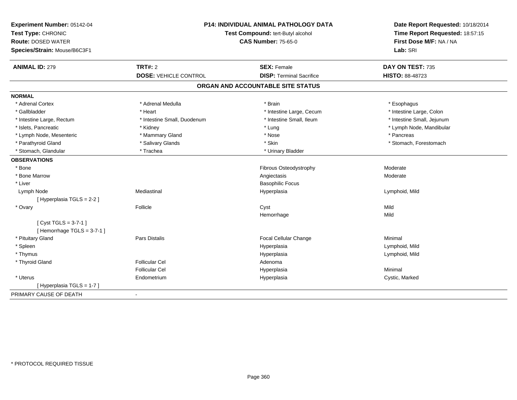| Experiment Number: 05142-04<br>Test Type: CHRONIC<br><b>Route: DOSED WATER</b><br>Species/Strain: Mouse/B6C3F1 |                              | <b>P14: INDIVIDUAL ANIMAL PATHOLOGY DATA</b><br>Test Compound: tert-Butyl alcohol<br><b>CAS Number: 75-65-0</b> |                            |
|----------------------------------------------------------------------------------------------------------------|------------------------------|-----------------------------------------------------------------------------------------------------------------|----------------------------|
| <b>ANIMAL ID: 279</b>                                                                                          | <b>TRT#: 2</b>               | <b>SEX: Female</b>                                                                                              | DAY ON TEST: 735           |
|                                                                                                                | <b>DOSE: VEHICLE CONTROL</b> | <b>DISP: Terminal Sacrifice</b>                                                                                 | HISTO: 88-48723            |
|                                                                                                                |                              | ORGAN AND ACCOUNTABLE SITE STATUS                                                                               |                            |
| <b>NORMAL</b>                                                                                                  |                              |                                                                                                                 |                            |
| * Adrenal Cortex                                                                                               | * Adrenal Medulla            | * Brain                                                                                                         | * Esophagus                |
| * Gallbladder                                                                                                  | * Heart                      | * Intestine Large, Cecum                                                                                        | * Intestine Large, Colon   |
| * Intestine Large, Rectum                                                                                      | * Intestine Small, Duodenum  | * Intestine Small, Ileum                                                                                        | * Intestine Small, Jejunum |
| * Islets, Pancreatic                                                                                           | * Kidney                     | * Lung                                                                                                          | * Lymph Node, Mandibular   |
| * Lymph Node, Mesenteric                                                                                       | * Mammary Gland              | * Nose                                                                                                          | * Pancreas                 |
| * Parathyroid Gland                                                                                            | * Salivary Glands            | * Skin                                                                                                          | * Stomach, Forestomach     |
| * Stomach, Glandular                                                                                           | * Trachea                    | * Urinary Bladder                                                                                               |                            |
| <b>OBSERVATIONS</b>                                                                                            |                              |                                                                                                                 |                            |
| * Bone                                                                                                         |                              | Fibrous Osteodystrophy                                                                                          | Moderate                   |
| * Bone Marrow                                                                                                  |                              | Angiectasis                                                                                                     | Moderate                   |
| * Liver                                                                                                        |                              | <b>Basophilic Focus</b>                                                                                         |                            |
| Lymph Node                                                                                                     | Mediastinal                  | Hyperplasia                                                                                                     | Lymphoid, Mild             |
| [Hyperplasia TGLS = 2-2]                                                                                       |                              |                                                                                                                 |                            |
| * Ovary                                                                                                        | Follicle                     | Cyst                                                                                                            | Mild                       |
|                                                                                                                |                              | Hemorrhage                                                                                                      | Mild                       |
| [ $Cyst TGLS = 3-7-1$ ]                                                                                        |                              |                                                                                                                 |                            |
| [Hemorrhage TGLS = $3-7-1$ ]                                                                                   |                              |                                                                                                                 |                            |
| * Pituitary Gland                                                                                              | <b>Pars Distalis</b>         | Focal Cellular Change                                                                                           | Minimal                    |
| * Spleen                                                                                                       |                              | Hyperplasia                                                                                                     | Lymphoid, Mild             |
| * Thymus                                                                                                       |                              | Hyperplasia                                                                                                     | Lymphoid, Mild             |
| * Thyroid Gland                                                                                                | <b>Follicular Cel</b>        | Adenoma                                                                                                         |                            |
|                                                                                                                | <b>Follicular Cel</b>        | Hyperplasia                                                                                                     | Minimal                    |
| * Uterus                                                                                                       | Endometrium                  | Hyperplasia                                                                                                     | Cystic, Marked             |
| [ Hyperplasia TGLS = 1-7 ]                                                                                     |                              |                                                                                                                 |                            |
| PRIMARY CAUSE OF DEATH                                                                                         | $\blacksquare$               |                                                                                                                 |                            |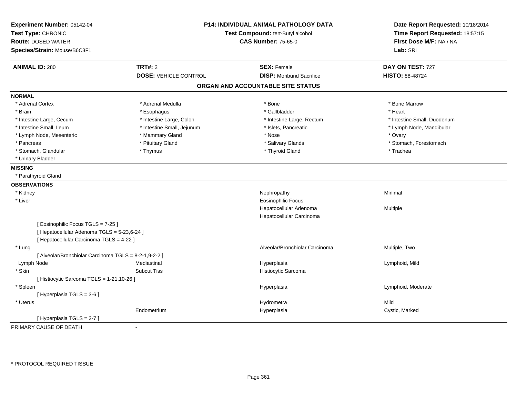| Experiment Number: 05142-04<br>Test Type: CHRONIC<br><b>Route: DOSED WATER</b><br>Species/Strain: Mouse/B6C3F1 |                              | P14: INDIVIDUAL ANIMAL PATHOLOGY DATA<br>Test Compound: tert-Butyl alcohol<br><b>CAS Number: 75-65-0</b> | Date Report Requested: 10/18/2014<br>Time Report Requested: 18:57:15<br>First Dose M/F: NA / NA<br>Lab: SRI |
|----------------------------------------------------------------------------------------------------------------|------------------------------|----------------------------------------------------------------------------------------------------------|-------------------------------------------------------------------------------------------------------------|
| <b>ANIMAL ID: 280</b>                                                                                          | <b>TRT#: 2</b>               | <b>SEX: Female</b>                                                                                       | DAY ON TEST: 727                                                                                            |
|                                                                                                                | <b>DOSE: VEHICLE CONTROL</b> | <b>DISP:</b> Moribund Sacrifice                                                                          | HISTO: 88-48724                                                                                             |
|                                                                                                                |                              | ORGAN AND ACCOUNTABLE SITE STATUS                                                                        |                                                                                                             |
| <b>NORMAL</b>                                                                                                  |                              |                                                                                                          |                                                                                                             |
| * Adrenal Cortex                                                                                               | * Adrenal Medulla            | * Bone                                                                                                   | * Bone Marrow                                                                                               |
| * Brain                                                                                                        | * Esophagus                  | * Gallbladder                                                                                            | * Heart                                                                                                     |
| * Intestine Large, Cecum                                                                                       | * Intestine Large, Colon     | * Intestine Large, Rectum                                                                                | * Intestine Small, Duodenum                                                                                 |
| * Intestine Small, Ileum                                                                                       | * Intestine Small, Jejunum   | * Islets, Pancreatic                                                                                     | * Lymph Node, Mandibular                                                                                    |
| * Lymph Node, Mesenteric                                                                                       | * Mammary Gland              | * Nose                                                                                                   | * Ovary                                                                                                     |
| * Pancreas                                                                                                     | * Pituitary Gland            | * Salivary Glands                                                                                        | * Stomach, Forestomach                                                                                      |
| * Stomach, Glandular                                                                                           | * Thymus                     | * Thyroid Gland                                                                                          | * Trachea                                                                                                   |
| * Urinary Bladder                                                                                              |                              |                                                                                                          |                                                                                                             |
| <b>MISSING</b>                                                                                                 |                              |                                                                                                          |                                                                                                             |
| * Parathyroid Gland                                                                                            |                              |                                                                                                          |                                                                                                             |
| <b>OBSERVATIONS</b>                                                                                            |                              |                                                                                                          |                                                                                                             |
| * Kidney                                                                                                       |                              | Nephropathy                                                                                              | Minimal                                                                                                     |
| * Liver                                                                                                        |                              | <b>Eosinophilic Focus</b>                                                                                |                                                                                                             |
|                                                                                                                |                              | Hepatocellular Adenoma                                                                                   | Multiple                                                                                                    |
|                                                                                                                |                              | Hepatocellular Carcinoma                                                                                 |                                                                                                             |
| [ Eosinophilic Focus TGLS = 7-25 ]                                                                             |                              |                                                                                                          |                                                                                                             |
| [ Hepatocellular Adenoma TGLS = 5-23,6-24 ]                                                                    |                              |                                                                                                          |                                                                                                             |
| [ Hepatocellular Carcinoma TGLS = 4-22 ]                                                                       |                              |                                                                                                          |                                                                                                             |
| * Lung                                                                                                         |                              | Alveolar/Bronchiolar Carcinoma                                                                           | Multiple, Two                                                                                               |
| [ Alveolar/Bronchiolar Carcinoma TGLS = 8-2-1,9-2-2 ]                                                          |                              |                                                                                                          |                                                                                                             |
| Lymph Node                                                                                                     | Mediastinal                  | Hyperplasia                                                                                              | Lymphoid, Mild                                                                                              |
| * Skin                                                                                                         | <b>Subcut Tiss</b>           | Histiocytic Sarcoma                                                                                      |                                                                                                             |
| [ Histiocytic Sarcoma TGLS = 1-21,10-26 ]                                                                      |                              |                                                                                                          |                                                                                                             |
| * Spleen                                                                                                       |                              | Hyperplasia                                                                                              | Lymphoid, Moderate                                                                                          |
| [Hyperplasia TGLS = 3-6]                                                                                       |                              |                                                                                                          |                                                                                                             |
| * Uterus                                                                                                       |                              | Hydrometra                                                                                               | Mild                                                                                                        |
|                                                                                                                | Endometrium                  | Hyperplasia                                                                                              | Cystic, Marked                                                                                              |
| [Hyperplasia TGLS = 2-7]                                                                                       |                              |                                                                                                          |                                                                                                             |
| PRIMARY CAUSE OF DEATH                                                                                         |                              |                                                                                                          |                                                                                                             |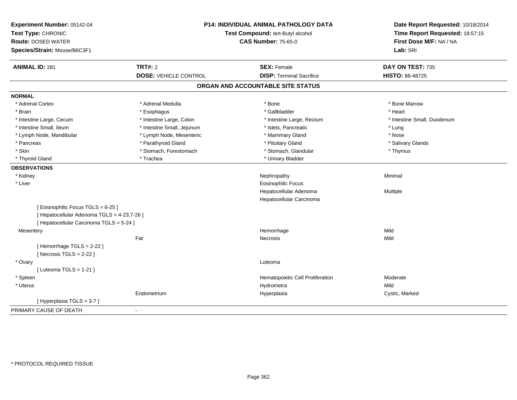| Experiment Number: 05142-04<br>Test Type: CHRONIC<br><b>Route: DOSED WATER</b><br>Species/Strain: Mouse/B6C3F1 | <b>P14: INDIVIDUAL ANIMAL PATHOLOGY DATA</b><br>Test Compound: tert-Butyl alcohol<br><b>CAS Number: 75-65-0</b> |                                   | Date Report Requested: 10/18/2014<br>Time Report Requested: 18:57:15<br>First Dose M/F: NA / NA<br>Lab: SRI |
|----------------------------------------------------------------------------------------------------------------|-----------------------------------------------------------------------------------------------------------------|-----------------------------------|-------------------------------------------------------------------------------------------------------------|
| <b>ANIMAL ID: 281</b>                                                                                          | <b>TRT#: 2</b>                                                                                                  | <b>SEX: Female</b>                | DAY ON TEST: 735                                                                                            |
|                                                                                                                | <b>DOSE: VEHICLE CONTROL</b>                                                                                    | <b>DISP: Terminal Sacrifice</b>   | HISTO: 88-48725                                                                                             |
|                                                                                                                |                                                                                                                 | ORGAN AND ACCOUNTABLE SITE STATUS |                                                                                                             |
| <b>NORMAL</b>                                                                                                  |                                                                                                                 |                                   |                                                                                                             |
| * Adrenal Cortex                                                                                               | * Adrenal Medulla                                                                                               | * Bone                            | * Bone Marrow                                                                                               |
| * Brain                                                                                                        | * Esophagus                                                                                                     | * Gallbladder                     | * Heart                                                                                                     |
| * Intestine Large, Cecum                                                                                       | * Intestine Large, Colon                                                                                        | * Intestine Large, Rectum         | * Intestine Small, Duodenum                                                                                 |
| * Intestine Small, Ileum                                                                                       | * Intestine Small, Jejunum                                                                                      | * Islets, Pancreatic              | * Lung                                                                                                      |
| * Lymph Node, Mandibular                                                                                       | * Lymph Node, Mesenteric                                                                                        | * Mammary Gland                   | * Nose                                                                                                      |
| * Pancreas                                                                                                     | * Parathyroid Gland                                                                                             | * Pituitary Gland                 | * Salivary Glands                                                                                           |
| * Skin                                                                                                         | * Stomach, Forestomach                                                                                          | * Stomach, Glandular              | * Thymus                                                                                                    |
| * Thyroid Gland                                                                                                | * Trachea                                                                                                       | * Urinary Bladder                 |                                                                                                             |
| <b>OBSERVATIONS</b>                                                                                            |                                                                                                                 |                                   |                                                                                                             |
| * Kidney                                                                                                       |                                                                                                                 | Nephropathy                       | Minimal                                                                                                     |
| * Liver                                                                                                        |                                                                                                                 | <b>Eosinophilic Focus</b>         |                                                                                                             |
|                                                                                                                |                                                                                                                 | Hepatocellular Adenoma            | Multiple                                                                                                    |
|                                                                                                                |                                                                                                                 | Hepatocellular Carcinoma          |                                                                                                             |
| [ Eosinophilic Focus TGLS = 6-25 ]                                                                             |                                                                                                                 |                                   |                                                                                                             |
| [ Hepatocellular Adenoma TGLS = 4-23,7-26 ]                                                                    |                                                                                                                 |                                   |                                                                                                             |
| [ Hepatocellular Carcinoma TGLS = 5-24 ]                                                                       |                                                                                                                 |                                   |                                                                                                             |
| Mesentery                                                                                                      |                                                                                                                 | Hemorrhage                        | Mild                                                                                                        |
|                                                                                                                | Fat                                                                                                             | <b>Necrosis</b>                   | Mild                                                                                                        |
| [Hemorrhage TGLS = 2-22]                                                                                       |                                                                                                                 |                                   |                                                                                                             |
| [Necrosis $TGLS = 2-22$ ]                                                                                      |                                                                                                                 |                                   |                                                                                                             |
| * Ovary                                                                                                        |                                                                                                                 | Luteoma                           |                                                                                                             |
| [ Luteoma TGLS = $1-21$ ]                                                                                      |                                                                                                                 |                                   |                                                                                                             |
| * Spleen                                                                                                       |                                                                                                                 | Hematopoietic Cell Proliferation  | Moderate                                                                                                    |
| * Uterus                                                                                                       |                                                                                                                 | Hydrometra                        | Mild                                                                                                        |
|                                                                                                                | Endometrium                                                                                                     | Hyperplasia                       | Cystic, Marked                                                                                              |
| [Hyperplasia TGLS = 3-7]                                                                                       |                                                                                                                 |                                   |                                                                                                             |
| PRIMARY CAUSE OF DEATH                                                                                         | $\blacksquare$                                                                                                  |                                   |                                                                                                             |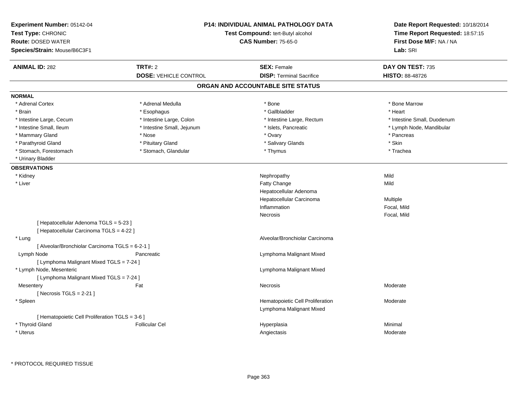| Experiment Number: 05142-04<br>Test Type: CHRONIC<br><b>Route: DOSED WATER</b><br>Species/Strain: Mouse/B6C3F1 | <b>P14: INDIVIDUAL ANIMAL PATHOLOGY DATA</b><br>Test Compound: tert-Butyl alcohol<br><b>CAS Number: 75-65-0</b> |                                   | Date Report Requested: 10/18/2014<br>Time Report Requested: 18:57:15<br>First Dose M/F: NA / NA<br>Lab: SRI |  |
|----------------------------------------------------------------------------------------------------------------|-----------------------------------------------------------------------------------------------------------------|-----------------------------------|-------------------------------------------------------------------------------------------------------------|--|
| <b>ANIMAL ID: 282</b>                                                                                          | <b>TRT#: 2</b>                                                                                                  | <b>SEX: Female</b>                | DAY ON TEST: 735                                                                                            |  |
|                                                                                                                | <b>DOSE: VEHICLE CONTROL</b>                                                                                    | <b>DISP: Terminal Sacrifice</b>   | HISTO: 88-48726                                                                                             |  |
|                                                                                                                |                                                                                                                 | ORGAN AND ACCOUNTABLE SITE STATUS |                                                                                                             |  |
| <b>NORMAL</b>                                                                                                  |                                                                                                                 |                                   |                                                                                                             |  |
| * Adrenal Cortex                                                                                               | * Adrenal Medulla                                                                                               | * Bone                            | * Bone Marrow                                                                                               |  |
| * Brain                                                                                                        | * Esophagus                                                                                                     | * Gallbladder                     | * Heart                                                                                                     |  |
| * Intestine Large, Cecum                                                                                       | * Intestine Large, Colon                                                                                        | * Intestine Large, Rectum         | * Intestine Small, Duodenum                                                                                 |  |
| * Intestine Small, Ileum                                                                                       | * Intestine Small, Jejunum                                                                                      | * Islets, Pancreatic              | * Lymph Node, Mandibular                                                                                    |  |
| * Mammary Gland                                                                                                | * Nose                                                                                                          | * Ovary                           | * Pancreas                                                                                                  |  |
| * Parathyroid Gland                                                                                            | * Pituitary Gland                                                                                               | * Salivary Glands                 | * Skin                                                                                                      |  |
| * Stomach, Forestomach                                                                                         | * Stomach, Glandular                                                                                            | * Thymus                          | * Trachea                                                                                                   |  |
| * Urinary Bladder                                                                                              |                                                                                                                 |                                   |                                                                                                             |  |
| <b>OBSERVATIONS</b>                                                                                            |                                                                                                                 |                                   |                                                                                                             |  |
| * Kidney                                                                                                       |                                                                                                                 | Nephropathy                       | Mild                                                                                                        |  |
| * Liver                                                                                                        |                                                                                                                 | Fatty Change                      | Mild                                                                                                        |  |
|                                                                                                                |                                                                                                                 | Hepatocellular Adenoma            |                                                                                                             |  |
|                                                                                                                |                                                                                                                 | Hepatocellular Carcinoma          | Multiple                                                                                                    |  |
|                                                                                                                |                                                                                                                 | Inflammation                      | Focal, Mild                                                                                                 |  |
|                                                                                                                |                                                                                                                 | Necrosis                          | Focal, Mild                                                                                                 |  |
| [Hepatocellular Adenoma TGLS = 5-23]                                                                           |                                                                                                                 |                                   |                                                                                                             |  |
| [ Hepatocellular Carcinoma TGLS = 4-22 ]                                                                       |                                                                                                                 |                                   |                                                                                                             |  |
| * Lung                                                                                                         |                                                                                                                 | Alveolar/Bronchiolar Carcinoma    |                                                                                                             |  |
| [ Alveolar/Bronchiolar Carcinoma TGLS = 6-2-1 ]                                                                |                                                                                                                 |                                   |                                                                                                             |  |
| Lymph Node                                                                                                     | Pancreatic                                                                                                      | Lymphoma Malignant Mixed          |                                                                                                             |  |
| [ Lymphoma Malignant Mixed TGLS = 7-24 ]                                                                       |                                                                                                                 |                                   |                                                                                                             |  |
| * Lymph Node, Mesenteric                                                                                       |                                                                                                                 | Lymphoma Malignant Mixed          |                                                                                                             |  |
| [ Lymphoma Malignant Mixed TGLS = 7-24 ]                                                                       |                                                                                                                 |                                   |                                                                                                             |  |
| Mesentery                                                                                                      | Fat                                                                                                             | Necrosis                          | Moderate                                                                                                    |  |
| [Necrosis $TGLS = 2-21$ ]                                                                                      |                                                                                                                 |                                   |                                                                                                             |  |
| * Spleen                                                                                                       |                                                                                                                 | Hematopoietic Cell Proliferation  | Moderate                                                                                                    |  |
|                                                                                                                |                                                                                                                 | Lymphoma Malignant Mixed          |                                                                                                             |  |
| [ Hematopoietic Cell Proliferation TGLS = 3-6 ]                                                                |                                                                                                                 |                                   |                                                                                                             |  |
| * Thyroid Gland                                                                                                | <b>Follicular Cel</b>                                                                                           | Hyperplasia                       | Minimal                                                                                                     |  |
| * Uterus                                                                                                       |                                                                                                                 | Angiectasis                       | Moderate                                                                                                    |  |
|                                                                                                                |                                                                                                                 |                                   |                                                                                                             |  |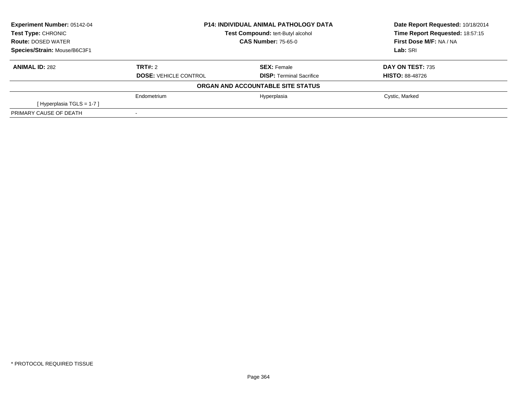| <b>Experiment Number: 05142-04</b> | <b>P14: INDIVIDUAL ANIMAL PATHOLOGY DATA</b><br>Test Compound: tert-Butyl alcohol<br><b>CAS Number: 75-65-0</b> |                                   | Date Report Requested: 10/18/2014 |
|------------------------------------|-----------------------------------------------------------------------------------------------------------------|-----------------------------------|-----------------------------------|
| Test Type: CHRONIC                 |                                                                                                                 |                                   | Time Report Requested: 18:57:15   |
| <b>Route: DOSED WATER</b>          |                                                                                                                 |                                   | First Dose M/F: NA / NA           |
| Species/Strain: Mouse/B6C3F1       |                                                                                                                 |                                   | Lab: SRI                          |
| <b>ANIMAL ID: 282</b>              | TRT#: 2                                                                                                         | <b>SEX: Female</b>                | DAY ON TEST: 735                  |
|                                    | <b>DOSE: VEHICLE CONTROL</b>                                                                                    | <b>DISP:</b> Terminal Sacrifice   | <b>HISTO: 88-48726</b>            |
|                                    |                                                                                                                 | ORGAN AND ACCOUNTABLE SITE STATUS |                                   |
|                                    | Endometrium                                                                                                     | Hyperplasia                       | Cystic, Marked                    |
| [Hyperplasia TGLS = 1-7]           |                                                                                                                 |                                   |                                   |
| PRIMARY CAUSE OF DEATH             |                                                                                                                 |                                   |                                   |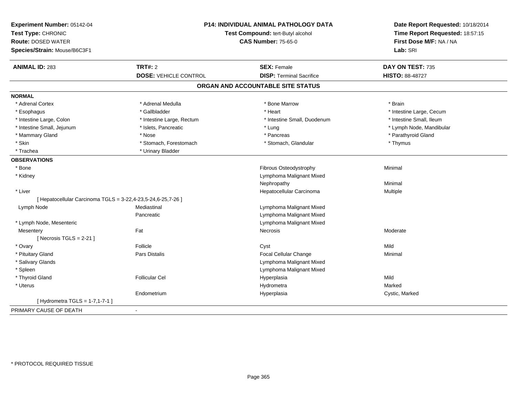| Experiment Number: 05142-04<br>Test Type: CHRONIC<br><b>Route: DOSED WATER</b><br>Species/Strain: Mouse/B6C3F1 | P14: INDIVIDUAL ANIMAL PATHOLOGY DATA<br>Test Compound: tert-Butyl alcohol<br><b>CAS Number: 75-65-0</b> |                                   | Date Report Requested: 10/18/2014<br>Time Report Requested: 18:57:15<br>First Dose M/F: NA / NA<br>Lab: SRI |
|----------------------------------------------------------------------------------------------------------------|----------------------------------------------------------------------------------------------------------|-----------------------------------|-------------------------------------------------------------------------------------------------------------|
| <b>ANIMAL ID: 283</b>                                                                                          | TRT#: 2                                                                                                  | <b>SEX: Female</b>                | DAY ON TEST: 735                                                                                            |
|                                                                                                                | <b>DOSE: VEHICLE CONTROL</b>                                                                             | <b>DISP: Terminal Sacrifice</b>   | <b>HISTO: 88-48727</b>                                                                                      |
|                                                                                                                |                                                                                                          | ORGAN AND ACCOUNTABLE SITE STATUS |                                                                                                             |
| <b>NORMAL</b>                                                                                                  |                                                                                                          |                                   |                                                                                                             |
| * Adrenal Cortex                                                                                               | * Adrenal Medulla                                                                                        | * Bone Marrow                     | * Brain                                                                                                     |
| * Esophagus                                                                                                    | * Gallbladder                                                                                            | * Heart                           | * Intestine Large, Cecum                                                                                    |
| * Intestine Large, Colon                                                                                       | * Intestine Large, Rectum                                                                                | * Intestine Small, Duodenum       | * Intestine Small, Ileum                                                                                    |
| * Intestine Small, Jejunum                                                                                     | * Islets, Pancreatic                                                                                     | * Lung                            | * Lymph Node, Mandibular                                                                                    |
| * Mammary Gland                                                                                                | * Nose                                                                                                   | * Pancreas                        | * Parathyroid Gland                                                                                         |
| * Skin                                                                                                         | * Stomach, Forestomach                                                                                   | * Stomach, Glandular              | * Thymus                                                                                                    |
| * Trachea                                                                                                      | * Urinary Bladder                                                                                        |                                   |                                                                                                             |
| <b>OBSERVATIONS</b>                                                                                            |                                                                                                          |                                   |                                                                                                             |
| * Bone                                                                                                         |                                                                                                          | Fibrous Osteodystrophy            | Minimal                                                                                                     |
| * Kidney                                                                                                       |                                                                                                          | Lymphoma Malignant Mixed          |                                                                                                             |
|                                                                                                                |                                                                                                          | Nephropathy                       | Minimal                                                                                                     |
| * Liver                                                                                                        |                                                                                                          | Hepatocellular Carcinoma          | Multiple                                                                                                    |
| [ Hepatocellular Carcinoma TGLS = 3-22,4-23,5-24,6-25,7-26 ]                                                   |                                                                                                          |                                   |                                                                                                             |
| Lymph Node                                                                                                     | Mediastinal                                                                                              | Lymphoma Malignant Mixed          |                                                                                                             |
|                                                                                                                | Pancreatic                                                                                               | Lymphoma Malignant Mixed          |                                                                                                             |
| * Lymph Node, Mesenteric                                                                                       |                                                                                                          | Lymphoma Malignant Mixed          |                                                                                                             |
| Mesentery                                                                                                      | Fat                                                                                                      | <b>Necrosis</b>                   | Moderate                                                                                                    |
| [Necrosis TGLS = $2-21$ ]                                                                                      |                                                                                                          |                                   |                                                                                                             |
| * Ovary                                                                                                        | Follicle                                                                                                 | Cyst                              | Mild                                                                                                        |
| * Pituitary Gland                                                                                              | Pars Distalis                                                                                            | Focal Cellular Change             | Minimal                                                                                                     |
| * Salivary Glands                                                                                              |                                                                                                          | Lymphoma Malignant Mixed          |                                                                                                             |
| * Spleen                                                                                                       |                                                                                                          | Lymphoma Malignant Mixed          |                                                                                                             |
| * Thyroid Gland                                                                                                | <b>Follicular Cel</b>                                                                                    | Hyperplasia                       | Mild                                                                                                        |
| * Uterus                                                                                                       |                                                                                                          | Hydrometra                        | Marked                                                                                                      |
|                                                                                                                | Endometrium                                                                                              | Hyperplasia                       | Cystic, Marked                                                                                              |
| [Hydrometra TGLS = $1-7,1-7-1$ ]                                                                               |                                                                                                          |                                   |                                                                                                             |
| PRIMARY CAUSE OF DEATH                                                                                         | $\blacksquare$                                                                                           |                                   |                                                                                                             |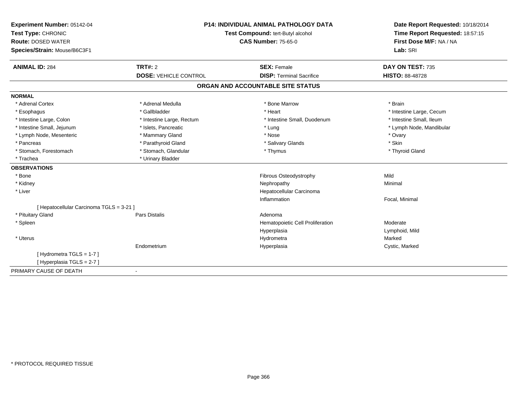| Experiment Number: 05142-04              | P14: INDIVIDUAL ANIMAL PATHOLOGY DATA<br>Test Compound: tert-Butyl alcohol |                                   | Date Report Requested: 10/18/2014<br>Time Report Requested: 18:57:15 |
|------------------------------------------|----------------------------------------------------------------------------|-----------------------------------|----------------------------------------------------------------------|
| Test Type: CHRONIC                       |                                                                            |                                   |                                                                      |
| <b>Route: DOSED WATER</b>                |                                                                            | <b>CAS Number: 75-65-0</b>        | First Dose M/F: NA / NA                                              |
| Species/Strain: Mouse/B6C3F1             |                                                                            |                                   | Lab: SRI                                                             |
| <b>ANIMAL ID: 284</b>                    | TRT#: 2                                                                    | <b>SEX: Female</b>                | DAY ON TEST: 735                                                     |
|                                          | <b>DOSE: VEHICLE CONTROL</b>                                               | <b>DISP: Terminal Sacrifice</b>   | <b>HISTO: 88-48728</b>                                               |
|                                          |                                                                            | ORGAN AND ACCOUNTABLE SITE STATUS |                                                                      |
| <b>NORMAL</b>                            |                                                                            |                                   |                                                                      |
| * Adrenal Cortex                         | * Adrenal Medulla                                                          | * Bone Marrow                     | * Brain                                                              |
| * Esophagus                              | * Gallbladder                                                              | * Heart                           | * Intestine Large, Cecum                                             |
| * Intestine Large, Colon                 | * Intestine Large, Rectum                                                  | * Intestine Small, Duodenum       | * Intestine Small, Ileum                                             |
| * Intestine Small, Jejunum               | * Islets, Pancreatic                                                       | * Lung                            | * Lymph Node, Mandibular                                             |
| * Lymph Node, Mesenteric                 | * Mammary Gland                                                            | * Nose                            | * Ovary                                                              |
| * Pancreas                               | * Parathyroid Gland                                                        | * Salivary Glands                 | * Skin                                                               |
| * Stomach, Forestomach                   | * Stomach, Glandular                                                       | * Thymus                          | * Thyroid Gland                                                      |
| * Trachea                                | * Urinary Bladder                                                          |                                   |                                                                      |
| <b>OBSERVATIONS</b>                      |                                                                            |                                   |                                                                      |
| * Bone                                   |                                                                            | <b>Fibrous Osteodystrophy</b>     | Mild                                                                 |
| * Kidney                                 |                                                                            | Nephropathy                       | Minimal                                                              |
| * Liver                                  |                                                                            | Hepatocellular Carcinoma          |                                                                      |
|                                          |                                                                            | Inflammation                      | Focal, Minimal                                                       |
| [ Hepatocellular Carcinoma TGLS = 3-21 ] |                                                                            |                                   |                                                                      |
| * Pituitary Gland                        | <b>Pars Distalis</b>                                                       | Adenoma                           |                                                                      |
| * Spleen                                 |                                                                            | Hematopoietic Cell Proliferation  | Moderate                                                             |
|                                          |                                                                            | Hyperplasia                       | Lymphoid, Mild                                                       |
| * Uterus                                 |                                                                            | Hydrometra                        | Marked                                                               |
|                                          | Endometrium                                                                | Hyperplasia                       | Cystic, Marked                                                       |
| [Hydrometra TGLS = 1-7]                  |                                                                            |                                   |                                                                      |
| [Hyperplasia TGLS = 2-7]                 |                                                                            |                                   |                                                                      |
| PRIMARY CAUSE OF DEATH                   |                                                                            |                                   |                                                                      |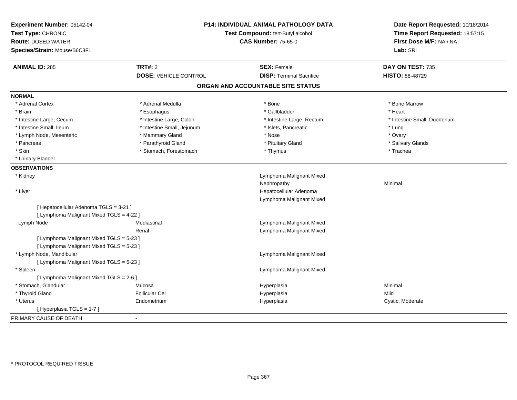| Experiment Number: 05142-04<br>Test Type: CHRONIC<br><b>Route: DOSED WATER</b><br>Species/Strain: Mouse/B6C3F1 |                              | P14: INDIVIDUAL ANIMAL PATHOLOGY DATA<br>Test Compound: tert-Butyl alcohol<br><b>CAS Number: 75-65-0</b> | Date Report Requested: 10/18/2014<br>Time Report Requested: 18:57:15<br>First Dose M/F: NA / NA<br>Lab: SRI |
|----------------------------------------------------------------------------------------------------------------|------------------------------|----------------------------------------------------------------------------------------------------------|-------------------------------------------------------------------------------------------------------------|
| <b>ANIMAL ID: 285</b>                                                                                          | <b>TRT#: 2</b>               | <b>SEX: Female</b>                                                                                       | DAY ON TEST: 735                                                                                            |
|                                                                                                                | <b>DOSE: VEHICLE CONTROL</b> | <b>DISP: Terminal Sacrifice</b>                                                                          | <b>HISTO: 88-48729</b>                                                                                      |
|                                                                                                                |                              | ORGAN AND ACCOUNTABLE SITE STATUS                                                                        |                                                                                                             |
| <b>NORMAL</b>                                                                                                  |                              |                                                                                                          |                                                                                                             |
| * Adrenal Cortex                                                                                               | * Adrenal Medulla            | $*$ Bone                                                                                                 | * Bone Marrow                                                                                               |
| * Brain                                                                                                        | * Esophagus                  | * Gallbladder                                                                                            | * Heart                                                                                                     |
| * Intestine Large, Cecum                                                                                       | * Intestine Large, Colon     | * Intestine Large, Rectum                                                                                | * Intestine Small, Duodenum                                                                                 |
| * Intestine Small, Ileum                                                                                       | * Intestine Small, Jejunum   | * Islets, Pancreatic                                                                                     | * Lung                                                                                                      |
| * Lymph Node, Mesenteric                                                                                       | * Mammary Gland              | * Nose                                                                                                   | * Ovary                                                                                                     |
| * Pancreas                                                                                                     | * Parathyroid Gland          | * Pituitary Gland                                                                                        | * Salivary Glands                                                                                           |
| * Skin                                                                                                         | * Stomach, Forestomach       | * Thymus                                                                                                 | * Trachea                                                                                                   |
| * Urinary Bladder                                                                                              |                              |                                                                                                          |                                                                                                             |
| <b>OBSERVATIONS</b>                                                                                            |                              |                                                                                                          |                                                                                                             |
| * Kidney                                                                                                       |                              | Lymphoma Malignant Mixed                                                                                 |                                                                                                             |
|                                                                                                                |                              | Nephropathy                                                                                              | Minimal                                                                                                     |
| * Liver                                                                                                        |                              | Hepatocellular Adenoma                                                                                   |                                                                                                             |
|                                                                                                                |                              | Lymphoma Malignant Mixed                                                                                 |                                                                                                             |
| [ Hepatocellular Adenoma TGLS = 3-21 ]                                                                         |                              |                                                                                                          |                                                                                                             |
| [ Lymphoma Malignant Mixed TGLS = 4-22 ]                                                                       |                              |                                                                                                          |                                                                                                             |
| Lymph Node                                                                                                     | Mediastinal                  | Lymphoma Malignant Mixed                                                                                 |                                                                                                             |
|                                                                                                                | Renal                        | Lymphoma Malignant Mixed                                                                                 |                                                                                                             |
| [ Lymphoma Malignant Mixed TGLS = 5-23 ]                                                                       |                              |                                                                                                          |                                                                                                             |
| [ Lymphoma Malignant Mixed TGLS = 5-23 ]                                                                       |                              |                                                                                                          |                                                                                                             |
| * Lymph Node, Mandibular                                                                                       |                              | Lymphoma Malignant Mixed                                                                                 |                                                                                                             |
| [ Lymphoma Malignant Mixed TGLS = 5-23 ]                                                                       |                              |                                                                                                          |                                                                                                             |
| * Spleen                                                                                                       |                              | Lymphoma Malignant Mixed                                                                                 |                                                                                                             |
| [ Lymphoma Malignant Mixed TGLS = 2-6 ]                                                                        |                              |                                                                                                          |                                                                                                             |
| * Stomach, Glandular                                                                                           | Mucosa                       | Hyperplasia                                                                                              | Minimal                                                                                                     |
| * Thyroid Gland                                                                                                | <b>Follicular Cel</b>        | Hyperplasia                                                                                              | Mild                                                                                                        |
| * Uterus                                                                                                       | Endometrium                  | Hyperplasia                                                                                              | Cystic, Moderate                                                                                            |
| [Hyperplasia TGLS = 1-7]                                                                                       |                              |                                                                                                          |                                                                                                             |
| PRIMARY CAUSE OF DEATH                                                                                         |                              |                                                                                                          |                                                                                                             |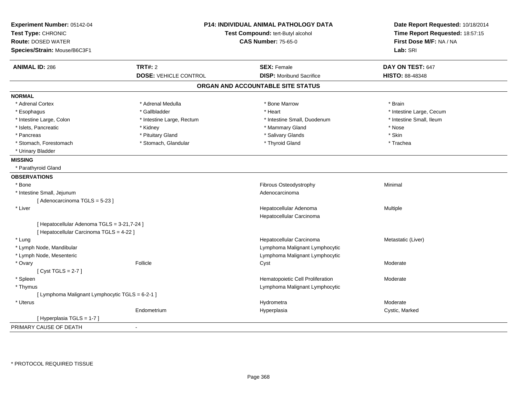| Experiment Number: 05142-04<br>Test Type: CHRONIC                                       |                              | <b>P14: INDIVIDUAL ANIMAL PATHOLOGY DATA</b><br>Test Compound: tert-Butyl alcohol | Date Report Requested: 10/18/2014<br>Time Report Requested: 18:57:15 |
|-----------------------------------------------------------------------------------------|------------------------------|-----------------------------------------------------------------------------------|----------------------------------------------------------------------|
|                                                                                         |                              |                                                                                   |                                                                      |
| <b>Route: DOSED WATER</b>                                                               |                              | <b>CAS Number: 75-65-0</b>                                                        | First Dose M/F: NA / NA                                              |
| Species/Strain: Mouse/B6C3F1                                                            |                              |                                                                                   | Lab: SRI                                                             |
| <b>ANIMAL ID: 286</b>                                                                   | <b>TRT#: 2</b>               | <b>SEX: Female</b>                                                                | DAY ON TEST: 647                                                     |
|                                                                                         | <b>DOSE: VEHICLE CONTROL</b> | <b>DISP:</b> Moribund Sacrifice                                                   | <b>HISTO: 88-48348</b>                                               |
|                                                                                         |                              | ORGAN AND ACCOUNTABLE SITE STATUS                                                 |                                                                      |
| <b>NORMAL</b>                                                                           |                              |                                                                                   |                                                                      |
| * Adrenal Cortex                                                                        | * Adrenal Medulla            | * Bone Marrow                                                                     | * Brain                                                              |
| * Esophagus                                                                             | * Gallbladder                | * Heart                                                                           | * Intestine Large, Cecum                                             |
| * Intestine Large, Colon                                                                | * Intestine Large, Rectum    | * Intestine Small, Duodenum                                                       | * Intestine Small, Ileum                                             |
| * Islets, Pancreatic                                                                    | * Kidney                     | * Mammary Gland                                                                   | * Nose                                                               |
| * Pancreas                                                                              | * Pituitary Gland            | * Salivary Glands                                                                 | * Skin                                                               |
| * Stomach, Forestomach                                                                  | * Stomach, Glandular         | * Thyroid Gland                                                                   | * Trachea                                                            |
| * Urinary Bladder                                                                       |                              |                                                                                   |                                                                      |
| <b>MISSING</b>                                                                          |                              |                                                                                   |                                                                      |
| * Parathyroid Gland                                                                     |                              |                                                                                   |                                                                      |
| <b>OBSERVATIONS</b>                                                                     |                              |                                                                                   |                                                                      |
| * Bone                                                                                  |                              | Fibrous Osteodystrophy                                                            | Minimal                                                              |
| * Intestine Small, Jejunum                                                              |                              | Adenocarcinoma                                                                    |                                                                      |
| [Adenocarcinoma TGLS = 5-23]                                                            |                              |                                                                                   |                                                                      |
| * Liver                                                                                 |                              | Hepatocellular Adenoma                                                            | Multiple                                                             |
|                                                                                         |                              | Hepatocellular Carcinoma                                                          |                                                                      |
| [ Hepatocellular Adenoma TGLS = 3-21,7-24 ]<br>[ Hepatocellular Carcinoma TGLS = 4-22 ] |                              |                                                                                   |                                                                      |
| * Lung                                                                                  |                              | Hepatocellular Carcinoma                                                          | Metastatic (Liver)                                                   |
| * Lymph Node, Mandibular                                                                |                              | Lymphoma Malignant Lymphocytic                                                    |                                                                      |
| * Lymph Node, Mesenteric                                                                |                              | Lymphoma Malignant Lymphocytic                                                    |                                                                      |
| * Ovary                                                                                 | Follicle                     | Cyst                                                                              | Moderate                                                             |
| [Cyst TGLS = $2-7$ ]                                                                    |                              |                                                                                   |                                                                      |
| * Spleen                                                                                |                              | Hematopoietic Cell Proliferation                                                  | Moderate                                                             |
| * Thymus                                                                                |                              | Lymphoma Malignant Lymphocytic                                                    |                                                                      |
| [ Lymphoma Malignant Lymphocytic TGLS = 6-2-1 ]                                         |                              |                                                                                   |                                                                      |
| * Uterus                                                                                |                              | Hydrometra                                                                        | Moderate                                                             |
|                                                                                         | Endometrium                  | Hyperplasia                                                                       | Cystic, Marked                                                       |
| [Hyperplasia TGLS = 1-7]                                                                |                              |                                                                                   |                                                                      |
| PRIMARY CAUSE OF DEATH                                                                  | $\overline{\phantom{a}}$     |                                                                                   |                                                                      |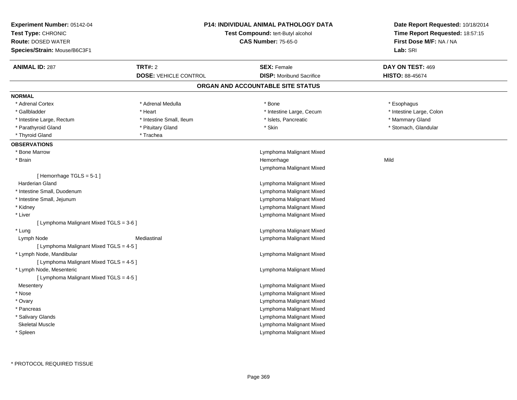| <b>Experiment Number: 05142-04</b><br>Test Type: CHRONIC<br><b>Route: DOSED WATER</b><br>Species/Strain: Mouse/B6C3F1 |                              | P14: INDIVIDUAL ANIMAL PATHOLOGY DATA<br>Test Compound: tert-Butyl alcohol<br><b>CAS Number: 75-65-0</b> | Date Report Requested: 10/18/2014<br>Time Report Requested: 18:57:15<br>First Dose M/F: NA / NA<br>Lab: SRI |
|-----------------------------------------------------------------------------------------------------------------------|------------------------------|----------------------------------------------------------------------------------------------------------|-------------------------------------------------------------------------------------------------------------|
| <b>ANIMAL ID: 287</b>                                                                                                 | TRT#: 2                      | <b>SEX: Female</b>                                                                                       | DAY ON TEST: 469                                                                                            |
|                                                                                                                       | <b>DOSE: VEHICLE CONTROL</b> | <b>DISP:</b> Moribund Sacrifice                                                                          | <b>HISTO: 88-45674</b>                                                                                      |
|                                                                                                                       |                              | ORGAN AND ACCOUNTABLE SITE STATUS                                                                        |                                                                                                             |
| <b>NORMAL</b>                                                                                                         |                              |                                                                                                          |                                                                                                             |
| * Adrenal Cortex                                                                                                      | * Adrenal Medulla            | * Bone                                                                                                   | * Esophagus                                                                                                 |
| * Gallbladder                                                                                                         | * Heart                      | * Intestine Large, Cecum                                                                                 | * Intestine Large, Colon                                                                                    |
| * Intestine Large, Rectum                                                                                             | * Intestine Small, Ileum     | * Islets, Pancreatic                                                                                     | * Mammary Gland                                                                                             |
| * Parathyroid Gland                                                                                                   | * Pituitary Gland            | * Skin                                                                                                   | * Stomach, Glandular                                                                                        |
| * Thyroid Gland                                                                                                       | * Trachea                    |                                                                                                          |                                                                                                             |
| <b>OBSERVATIONS</b>                                                                                                   |                              |                                                                                                          |                                                                                                             |
| * Bone Marrow                                                                                                         |                              | Lymphoma Malignant Mixed                                                                                 |                                                                                                             |
| * Brain                                                                                                               |                              | Hemorrhage                                                                                               | Mild                                                                                                        |
|                                                                                                                       |                              | Lymphoma Malignant Mixed                                                                                 |                                                                                                             |
| [Hemorrhage TGLS = $5-1$ ]                                                                                            |                              |                                                                                                          |                                                                                                             |
| Harderian Gland                                                                                                       |                              | Lymphoma Malignant Mixed                                                                                 |                                                                                                             |
| * Intestine Small, Duodenum                                                                                           |                              | Lymphoma Malignant Mixed                                                                                 |                                                                                                             |
| * Intestine Small, Jejunum                                                                                            |                              | Lymphoma Malignant Mixed                                                                                 |                                                                                                             |
| * Kidney                                                                                                              |                              | Lymphoma Malignant Mixed                                                                                 |                                                                                                             |
| * Liver                                                                                                               |                              | Lymphoma Malignant Mixed                                                                                 |                                                                                                             |
| [ Lymphoma Malignant Mixed TGLS = 3-6 ]                                                                               |                              |                                                                                                          |                                                                                                             |
| * Lung                                                                                                                |                              | Lymphoma Malignant Mixed                                                                                 |                                                                                                             |
| Lymph Node                                                                                                            | Mediastinal                  | Lymphoma Malignant Mixed                                                                                 |                                                                                                             |
| [ Lymphoma Malignant Mixed TGLS = 4-5 ]                                                                               |                              |                                                                                                          |                                                                                                             |
| * Lymph Node, Mandibular                                                                                              |                              | Lymphoma Malignant Mixed                                                                                 |                                                                                                             |
| [ Lymphoma Malignant Mixed TGLS = 4-5 ]                                                                               |                              |                                                                                                          |                                                                                                             |
| * Lymph Node, Mesenteric                                                                                              |                              | Lymphoma Malignant Mixed                                                                                 |                                                                                                             |
| [ Lymphoma Malignant Mixed TGLS = 4-5 ]                                                                               |                              |                                                                                                          |                                                                                                             |
| Mesentery                                                                                                             |                              | Lymphoma Malignant Mixed                                                                                 |                                                                                                             |
| * Nose                                                                                                                |                              | Lymphoma Malignant Mixed                                                                                 |                                                                                                             |
| * Ovary                                                                                                               |                              | Lymphoma Malignant Mixed                                                                                 |                                                                                                             |
| * Pancreas                                                                                                            |                              | Lymphoma Malignant Mixed                                                                                 |                                                                                                             |
| * Salivary Glands                                                                                                     |                              | Lymphoma Malignant Mixed                                                                                 |                                                                                                             |
| <b>Skeletal Muscle</b>                                                                                                |                              | Lymphoma Malignant Mixed                                                                                 |                                                                                                             |
| * Spleen                                                                                                              |                              | Lymphoma Malignant Mixed                                                                                 |                                                                                                             |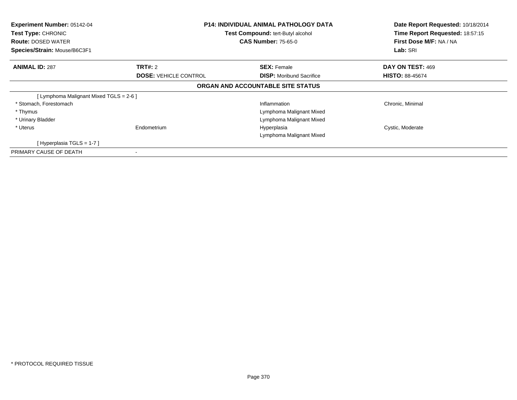| Experiment Number: 05142-04<br>Test Type: CHRONIC<br><b>Route: DOSED WATER</b><br>Species/Strain: Mouse/B6C3F1 | <b>P14: INDIVIDUAL ANIMAL PATHOLOGY DATA</b><br>Test Compound: tert-Butyl alcohol<br><b>CAS Number: 75-65-0</b> |                                   | Date Report Requested: 10/18/2014<br>Time Report Requested: 18:57:15<br>First Dose M/F: NA / NA<br>Lab: SRI |
|----------------------------------------------------------------------------------------------------------------|-----------------------------------------------------------------------------------------------------------------|-----------------------------------|-------------------------------------------------------------------------------------------------------------|
| <b>ANIMAL ID: 287</b>                                                                                          | TRT#: 2                                                                                                         | <b>SEX: Female</b>                | DAY ON TEST: 469                                                                                            |
|                                                                                                                | <b>DOSE: VEHICLE CONTROL</b>                                                                                    | <b>DISP:</b> Moribund Sacrifice   | <b>HISTO: 88-45674</b>                                                                                      |
|                                                                                                                |                                                                                                                 | ORGAN AND ACCOUNTABLE SITE STATUS |                                                                                                             |
| [ Lymphoma Malignant Mixed TGLS = 2-6 ]                                                                        |                                                                                                                 |                                   |                                                                                                             |
| * Stomach, Forestomach                                                                                         |                                                                                                                 | Inflammation                      | Chronic, Minimal                                                                                            |
| * Thymus                                                                                                       |                                                                                                                 | Lymphoma Malignant Mixed          |                                                                                                             |
| * Urinary Bladder                                                                                              |                                                                                                                 | Lymphoma Malignant Mixed          |                                                                                                             |
| * Uterus                                                                                                       | Endometrium                                                                                                     | Hyperplasia                       | Cystic, Moderate                                                                                            |
|                                                                                                                |                                                                                                                 | Lymphoma Malignant Mixed          |                                                                                                             |
| [Hyperplasia TGLS = $1-7$ ]                                                                                    |                                                                                                                 |                                   |                                                                                                             |
| PRIMARY CAUSE OF DEATH                                                                                         |                                                                                                                 |                                   |                                                                                                             |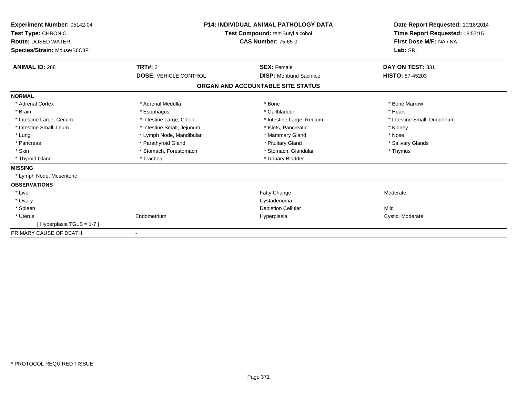| Experiment Number: 05142-04<br>Test Type: CHRONIC<br><b>Route: DOSED WATER</b><br>Species/Strain: Mouse/B6C3F1 | <b>P14: INDIVIDUAL ANIMAL PATHOLOGY DATA</b><br>Test Compound: tert-Butyl alcohol<br><b>CAS Number: 75-65-0</b> |                                   | Date Report Requested: 10/18/2014<br>Time Report Requested: 18:57:15<br>First Dose M/F: NA / NA<br>Lab: SRI |  |
|----------------------------------------------------------------------------------------------------------------|-----------------------------------------------------------------------------------------------------------------|-----------------------------------|-------------------------------------------------------------------------------------------------------------|--|
| <b>ANIMAL ID: 288</b>                                                                                          | TRT#: 2                                                                                                         | <b>SEX: Female</b>                | DAY ON TEST: 331                                                                                            |  |
|                                                                                                                | <b>DOSE: VEHICLE CONTROL</b>                                                                                    | <b>DISP:</b> Moribund Sacrifice   | <b>HISTO: 87-45203</b>                                                                                      |  |
|                                                                                                                |                                                                                                                 | ORGAN AND ACCOUNTABLE SITE STATUS |                                                                                                             |  |
| <b>NORMAL</b>                                                                                                  |                                                                                                                 |                                   |                                                                                                             |  |
| * Adrenal Cortex                                                                                               | * Adrenal Medulla                                                                                               | * Bone                            | * Bone Marrow                                                                                               |  |
| * Brain                                                                                                        | * Esophagus                                                                                                     | * Gallbladder                     | * Heart                                                                                                     |  |
| * Intestine Large, Cecum                                                                                       | * Intestine Large, Colon                                                                                        | * Intestine Large, Rectum         | * Intestine Small, Duodenum                                                                                 |  |
| * Intestine Small, Ileum                                                                                       | * Intestine Small, Jejunum                                                                                      | * Islets, Pancreatic              | * Kidney                                                                                                    |  |
| * Lung                                                                                                         | * Lymph Node, Mandibular                                                                                        | * Mammary Gland                   | * Nose                                                                                                      |  |
| * Pancreas                                                                                                     | * Parathyroid Gland                                                                                             | * Pituitary Gland                 | * Salivary Glands                                                                                           |  |
| * Skin                                                                                                         | * Stomach, Forestomach                                                                                          | * Stomach, Glandular              | * Thymus                                                                                                    |  |
| * Thyroid Gland                                                                                                | * Trachea                                                                                                       | * Urinary Bladder                 |                                                                                                             |  |
| <b>MISSING</b>                                                                                                 |                                                                                                                 |                                   |                                                                                                             |  |
| * Lymph Node, Mesenteric                                                                                       |                                                                                                                 |                                   |                                                                                                             |  |
| <b>OBSERVATIONS</b>                                                                                            |                                                                                                                 |                                   |                                                                                                             |  |
| * Liver                                                                                                        |                                                                                                                 | Fatty Change                      | Moderate                                                                                                    |  |
| * Ovary                                                                                                        |                                                                                                                 | Cystadenoma                       |                                                                                                             |  |
| * Spleen                                                                                                       |                                                                                                                 | <b>Depletion Cellular</b>         | Mild                                                                                                        |  |
| * Uterus                                                                                                       | Endometrium                                                                                                     | Hyperplasia                       | Cystic, Moderate                                                                                            |  |
| [Hyperplasia TGLS = 1-7]                                                                                       |                                                                                                                 |                                   |                                                                                                             |  |
| PRIMARY CAUSE OF DEATH                                                                                         | $\overline{\phantom{a}}$                                                                                        |                                   |                                                                                                             |  |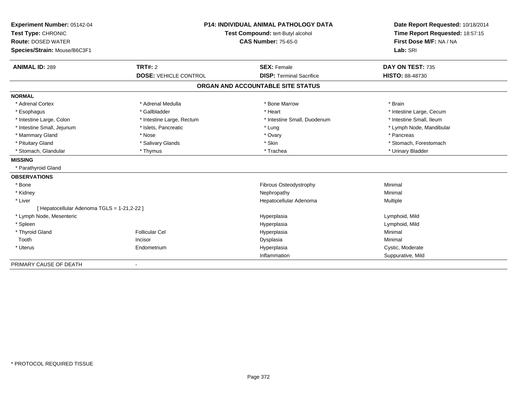| Experiment Number: 05142-04                 | <b>P14: INDIVIDUAL ANIMAL PATHOLOGY DATA</b><br>Test Compound: tert-Butyl alcohol<br><b>CAS Number: 75-65-0</b> |                                   | Date Report Requested: 10/18/2014                          |  |
|---------------------------------------------|-----------------------------------------------------------------------------------------------------------------|-----------------------------------|------------------------------------------------------------|--|
| Test Type: CHRONIC                          |                                                                                                                 |                                   | Time Report Requested: 18:57:15<br>First Dose M/F: NA / NA |  |
| <b>Route: DOSED WATER</b>                   |                                                                                                                 |                                   |                                                            |  |
| Species/Strain: Mouse/B6C3F1                |                                                                                                                 |                                   | Lab: SRI                                                   |  |
|                                             |                                                                                                                 |                                   |                                                            |  |
| <b>ANIMAL ID: 289</b>                       | TRT#: 2                                                                                                         | <b>SEX: Female</b>                | DAY ON TEST: 735                                           |  |
|                                             | <b>DOSE: VEHICLE CONTROL</b>                                                                                    | <b>DISP: Terminal Sacrifice</b>   | <b>HISTO: 88-48730</b>                                     |  |
|                                             |                                                                                                                 | ORGAN AND ACCOUNTABLE SITE STATUS |                                                            |  |
| <b>NORMAL</b>                               |                                                                                                                 |                                   |                                                            |  |
| * Adrenal Cortex                            | * Adrenal Medulla                                                                                               | * Bone Marrow                     | * Brain                                                    |  |
| * Esophagus                                 | * Gallbladder                                                                                                   | * Heart                           | * Intestine Large, Cecum                                   |  |
| * Intestine Large, Colon                    | * Intestine Large, Rectum                                                                                       | * Intestine Small, Duodenum       | * Intestine Small, Ileum                                   |  |
| * Intestine Small, Jejunum                  | * Islets, Pancreatic                                                                                            | * Lung                            | * Lymph Node, Mandibular                                   |  |
| * Mammary Gland                             | * Nose                                                                                                          | * Ovary                           | * Pancreas                                                 |  |
| * Pituitary Gland                           | * Salivary Glands                                                                                               | * Skin                            | * Stomach, Forestomach                                     |  |
| * Stomach, Glandular                        | * Thymus                                                                                                        | * Trachea                         | * Urinary Bladder                                          |  |
| <b>MISSING</b>                              |                                                                                                                 |                                   |                                                            |  |
| * Parathyroid Gland                         |                                                                                                                 |                                   |                                                            |  |
| <b>OBSERVATIONS</b>                         |                                                                                                                 |                                   |                                                            |  |
| * Bone                                      |                                                                                                                 | Fibrous Osteodystrophy            | Minimal                                                    |  |
| * Kidney                                    |                                                                                                                 | Nephropathy                       | Minimal                                                    |  |
| * Liver                                     |                                                                                                                 | Hepatocellular Adenoma            | Multiple                                                   |  |
| [ Hepatocellular Adenoma TGLS = 1-21,2-22 ] |                                                                                                                 |                                   |                                                            |  |
| * Lymph Node, Mesenteric                    |                                                                                                                 | Hyperplasia                       | Lymphoid, Mild                                             |  |
| * Spleen                                    |                                                                                                                 | Hyperplasia                       | Lymphoid, Mild                                             |  |
| * Thyroid Gland                             | <b>Follicular Cel</b>                                                                                           | Hyperplasia                       | Minimal                                                    |  |
| Tooth                                       | Incisor                                                                                                         | Dysplasia                         | Minimal                                                    |  |
| * Uterus                                    | Endometrium                                                                                                     | Hyperplasia                       | Cystic, Moderate                                           |  |
|                                             |                                                                                                                 | Inflammation                      | Suppurative, Mild                                          |  |
| PRIMARY CAUSE OF DEATH                      |                                                                                                                 |                                   |                                                            |  |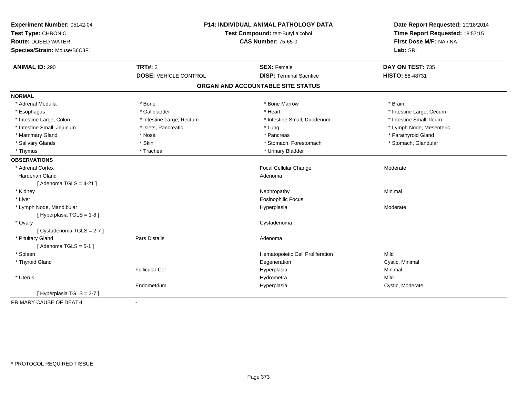| Experiment Number: 05142-04<br>Test Type: CHRONIC<br><b>Route: DOSED WATER</b><br>Species/Strain: Mouse/B6C3F1 | P14: INDIVIDUAL ANIMAL PATHOLOGY DATA<br>Test Compound: tert-Butyl alcohol<br><b>CAS Number: 75-65-0</b> |                                   | Date Report Requested: 10/18/2014<br>Time Report Requested: 18:57:15<br>First Dose M/F: NA / NA<br>Lab: SRI |  |
|----------------------------------------------------------------------------------------------------------------|----------------------------------------------------------------------------------------------------------|-----------------------------------|-------------------------------------------------------------------------------------------------------------|--|
| <b>ANIMAL ID: 290</b>                                                                                          | TRT#: 2                                                                                                  | <b>SEX: Female</b>                | DAY ON TEST: 735                                                                                            |  |
|                                                                                                                | <b>DOSE: VEHICLE CONTROL</b>                                                                             | <b>DISP: Terminal Sacrifice</b>   | HISTO: 88-48731                                                                                             |  |
|                                                                                                                |                                                                                                          | ORGAN AND ACCOUNTABLE SITE STATUS |                                                                                                             |  |
| <b>NORMAL</b>                                                                                                  |                                                                                                          |                                   |                                                                                                             |  |
| * Adrenal Medulla                                                                                              | * Bone                                                                                                   | * Bone Marrow                     | * Brain                                                                                                     |  |
| * Esophagus                                                                                                    | * Gallbladder                                                                                            | * Heart                           | * Intestine Large, Cecum                                                                                    |  |
| * Intestine Large, Colon                                                                                       | * Intestine Large, Rectum                                                                                | * Intestine Small, Duodenum       | * Intestine Small, Ileum                                                                                    |  |
| * Intestine Small, Jejunum                                                                                     | * Islets, Pancreatic                                                                                     | * Lung                            | * Lymph Node, Mesenteric                                                                                    |  |
| * Mammary Gland                                                                                                | * Nose                                                                                                   | * Pancreas                        | * Parathyroid Gland                                                                                         |  |
| * Salivary Glands                                                                                              | * Skin                                                                                                   | * Stomach, Forestomach            | * Stomach, Glandular                                                                                        |  |
| * Thymus                                                                                                       | * Trachea                                                                                                | * Urinary Bladder                 |                                                                                                             |  |
| <b>OBSERVATIONS</b>                                                                                            |                                                                                                          |                                   |                                                                                                             |  |
| * Adrenal Cortex                                                                                               |                                                                                                          | Focal Cellular Change             | Moderate                                                                                                    |  |
| <b>Harderian Gland</b>                                                                                         |                                                                                                          | Adenoma                           |                                                                                                             |  |
| [Adenoma TGLS = $4-21$ ]                                                                                       |                                                                                                          |                                   |                                                                                                             |  |
| * Kidney                                                                                                       |                                                                                                          | Nephropathy                       | Minimal                                                                                                     |  |
| * Liver                                                                                                        |                                                                                                          | <b>Eosinophilic Focus</b>         |                                                                                                             |  |
| * Lymph Node, Mandibular                                                                                       |                                                                                                          | Hyperplasia                       | Moderate                                                                                                    |  |
| [Hyperplasia TGLS = 1-8]                                                                                       |                                                                                                          |                                   |                                                                                                             |  |
| * Ovary                                                                                                        |                                                                                                          | Cystadenoma                       |                                                                                                             |  |
| [Cystadenoma TGLS = 2-7]                                                                                       |                                                                                                          |                                   |                                                                                                             |  |
| * Pituitary Gland                                                                                              | Pars Distalis                                                                                            | Adenoma                           |                                                                                                             |  |
| [Adenoma $TGLS = 5-1$ ]                                                                                        |                                                                                                          |                                   |                                                                                                             |  |
| * Spleen                                                                                                       |                                                                                                          | Hematopoietic Cell Proliferation  | Mild                                                                                                        |  |
| * Thyroid Gland                                                                                                |                                                                                                          | Degeneration                      | Cystic, Minimal                                                                                             |  |
|                                                                                                                | <b>Follicular Cel</b>                                                                                    | Hyperplasia                       | Minimal                                                                                                     |  |
| * Uterus                                                                                                       |                                                                                                          | Hydrometra                        | Mild                                                                                                        |  |
|                                                                                                                | Endometrium                                                                                              | Hyperplasia                       | Cystic, Moderate                                                                                            |  |
| [Hyperplasia TGLS = 3-7]                                                                                       |                                                                                                          |                                   |                                                                                                             |  |
| PRIMARY CAUSE OF DEATH                                                                                         | $\blacksquare$                                                                                           |                                   |                                                                                                             |  |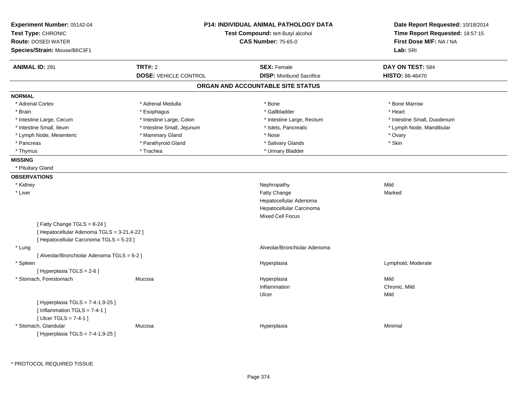| Experiment Number: 05142-04<br>Test Type: CHRONIC<br><b>Route: DOSED WATER</b><br>Species/Strain: Mouse/B6C3F1 |                              | <b>P14: INDIVIDUAL ANIMAL PATHOLOGY DATA</b><br>Test Compound: tert-Butyl alcohol<br><b>CAS Number: 75-65-0</b> | Date Report Requested: 10/18/2014<br>Time Report Requested: 18:57:15<br>First Dose M/F: NA / NA<br>Lab: SRI |
|----------------------------------------------------------------------------------------------------------------|------------------------------|-----------------------------------------------------------------------------------------------------------------|-------------------------------------------------------------------------------------------------------------|
| <b>ANIMAL ID: 291</b>                                                                                          | <b>TRT#: 2</b>               | <b>SEX: Female</b>                                                                                              | DAY ON TEST: 584                                                                                            |
|                                                                                                                | <b>DOSE: VEHICLE CONTROL</b> | <b>DISP:</b> Moribund Sacrifice                                                                                 | HISTO: 88-46470                                                                                             |
|                                                                                                                |                              | ORGAN AND ACCOUNTABLE SITE STATUS                                                                               |                                                                                                             |
| <b>NORMAL</b>                                                                                                  |                              |                                                                                                                 |                                                                                                             |
| * Adrenal Cortex                                                                                               | * Adrenal Medulla            | $*$ Bone                                                                                                        | * Bone Marrow                                                                                               |
| * Brain                                                                                                        | * Esophagus                  | * Gallbladder                                                                                                   | * Heart                                                                                                     |
| * Intestine Large, Cecum                                                                                       | * Intestine Large, Colon     | * Intestine Large, Rectum                                                                                       | * Intestine Small, Duodenum                                                                                 |
| * Intestine Small, Ileum                                                                                       | * Intestine Small, Jejunum   | * Islets, Pancreatic                                                                                            | * Lymph Node, Mandibular                                                                                    |
| * Lymph Node, Mesenteric                                                                                       | * Mammary Gland              | * Nose                                                                                                          | * Ovary                                                                                                     |
| * Pancreas                                                                                                     | * Parathyroid Gland          | * Salivary Glands                                                                                               | * Skin                                                                                                      |
| * Thymus                                                                                                       | * Trachea                    | * Urinary Bladder                                                                                               |                                                                                                             |
| <b>MISSING</b>                                                                                                 |                              |                                                                                                                 |                                                                                                             |
| * Pituitary Gland                                                                                              |                              |                                                                                                                 |                                                                                                             |
| <b>OBSERVATIONS</b>                                                                                            |                              |                                                                                                                 |                                                                                                             |
| * Kidney                                                                                                       |                              | Nephropathy                                                                                                     | Mild                                                                                                        |
| * Liver                                                                                                        |                              | Fatty Change                                                                                                    | Marked                                                                                                      |
|                                                                                                                |                              | Hepatocellular Adenoma                                                                                          |                                                                                                             |
|                                                                                                                |                              | Hepatocellular Carcinoma                                                                                        |                                                                                                             |
|                                                                                                                |                              | <b>Mixed Cell Focus</b>                                                                                         |                                                                                                             |
| [Fatty Change TGLS = 8-24]                                                                                     |                              |                                                                                                                 |                                                                                                             |
| [ Hepatocellular Adenoma TGLS = 3-21,4-22 ]                                                                    |                              |                                                                                                                 |                                                                                                             |
| [ Hepatocellular Carcinoma TGLS = 5-23 ]                                                                       |                              |                                                                                                                 |                                                                                                             |
| * Lung                                                                                                         |                              | Alveolar/Bronchiolar Adenoma                                                                                    |                                                                                                             |
| [ Alveolar/Bronchiolar Adenoma TGLS = 6-2 ]                                                                    |                              |                                                                                                                 |                                                                                                             |
| * Spleen                                                                                                       |                              | Hyperplasia                                                                                                     | Lymphoid, Moderate                                                                                          |
| [ Hyperplasia TGLS = 2-6 ]                                                                                     |                              |                                                                                                                 |                                                                                                             |
| * Stomach, Forestomach                                                                                         | Mucosa                       | Hyperplasia                                                                                                     | Mild                                                                                                        |
|                                                                                                                |                              | Inflammation                                                                                                    | Chronic, Mild                                                                                               |
|                                                                                                                |                              | Ulcer                                                                                                           | Mild                                                                                                        |
| [ Hyperplasia TGLS = 7-4-1,9-25 ]<br>[Inflammation $TGLS = 7-4-1$ ]                                            |                              |                                                                                                                 |                                                                                                             |
| [ $Uicer$ TGLS = 7-4-1 ]                                                                                       |                              |                                                                                                                 |                                                                                                             |
| * Stomach, Glandular<br>[Hyperplasia TGLS = 7-4-1,9-25]                                                        | Mucosa                       | Hyperplasia                                                                                                     | Minimal                                                                                                     |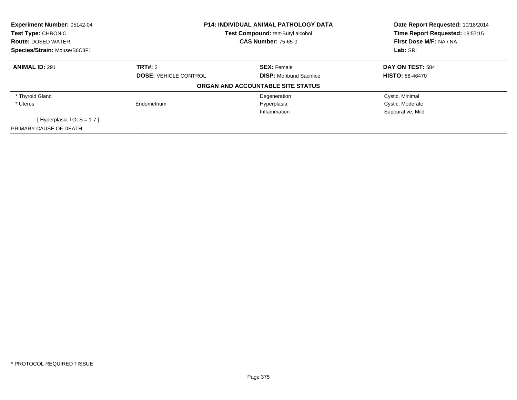| Experiment Number: 05142-04<br>Test Type: CHRONIC | <b>P14: INDIVIDUAL ANIMAL PATHOLOGY DATA</b><br><b>Test Compound: tert-Butyl alcohol</b><br><b>CAS Number: 75-65-0</b> |                                   | Date Report Requested: 10/18/2014<br>Time Report Requested: 18:57:15 |
|---------------------------------------------------|------------------------------------------------------------------------------------------------------------------------|-----------------------------------|----------------------------------------------------------------------|
| <b>Route: DOSED WATER</b>                         |                                                                                                                        |                                   | First Dose M/F: NA / NA                                              |
| Species/Strain: Mouse/B6C3F1                      |                                                                                                                        |                                   | Lab: SRI                                                             |
| <b>ANIMAL ID: 291</b>                             | TRT#: 2                                                                                                                | <b>SEX: Female</b>                | DAY ON TEST: 584                                                     |
|                                                   | <b>DOSE: VEHICLE CONTROL</b>                                                                                           | <b>DISP:</b> Moribund Sacrifice   | <b>HISTO: 88-46470</b>                                               |
|                                                   |                                                                                                                        | ORGAN AND ACCOUNTABLE SITE STATUS |                                                                      |
| * Thyroid Gland                                   |                                                                                                                        | Degeneration                      | Cystic, Minimal                                                      |
| * Uterus                                          | Endometrium                                                                                                            | Hyperplasia                       | Cystic, Moderate                                                     |
|                                                   |                                                                                                                        | Inflammation                      | Suppurative, Mild                                                    |
| [Hyperplasia TGLS = $1-7$ ]                       |                                                                                                                        |                                   |                                                                      |
| PRIMARY CAUSE OF DEATH                            |                                                                                                                        |                                   |                                                                      |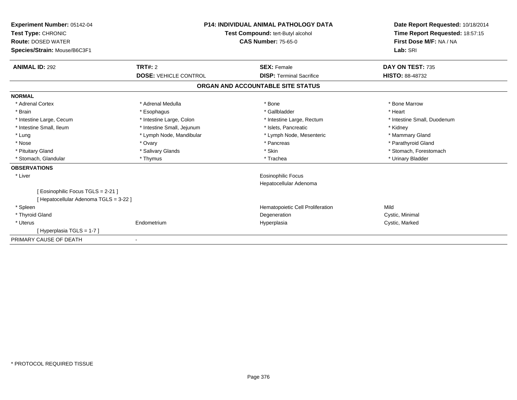| Experiment Number: 05142-04<br>Test Type: CHRONIC<br><b>Route: DOSED WATER</b><br>Species/Strain: Mouse/B6C3F1 | <b>P14: INDIVIDUAL ANIMAL PATHOLOGY DATA</b><br>Test Compound: tert-Butyl alcohol<br><b>CAS Number: 75-65-0</b> |                                   | Date Report Requested: 10/18/2014<br>Time Report Requested: 18:57:15<br>First Dose M/F: NA / NA<br>Lab: SRI |
|----------------------------------------------------------------------------------------------------------------|-----------------------------------------------------------------------------------------------------------------|-----------------------------------|-------------------------------------------------------------------------------------------------------------|
| <b>ANIMAL ID: 292</b>                                                                                          | <b>TRT#: 2</b>                                                                                                  | <b>SEX: Female</b>                | DAY ON TEST: 735                                                                                            |
|                                                                                                                | <b>DOSE: VEHICLE CONTROL</b>                                                                                    | <b>DISP: Terminal Sacrifice</b>   | <b>HISTO: 88-48732</b>                                                                                      |
|                                                                                                                |                                                                                                                 | ORGAN AND ACCOUNTABLE SITE STATUS |                                                                                                             |
| <b>NORMAL</b>                                                                                                  |                                                                                                                 |                                   |                                                                                                             |
| * Adrenal Cortex                                                                                               | * Adrenal Medulla                                                                                               | * Bone                            | * Bone Marrow                                                                                               |
| * Brain                                                                                                        | * Esophagus                                                                                                     | * Gallbladder                     | * Heart                                                                                                     |
| * Intestine Large, Cecum                                                                                       | * Intestine Large, Colon                                                                                        | * Intestine Large, Rectum         | * Intestine Small, Duodenum                                                                                 |
| * Intestine Small, Ileum                                                                                       | * Intestine Small, Jejunum                                                                                      | * Islets. Pancreatic              | * Kidney                                                                                                    |
| * Lung                                                                                                         | * Lymph Node, Mandibular                                                                                        | * Lymph Node, Mesenteric          | * Mammary Gland                                                                                             |
| * Nose                                                                                                         | * Ovary                                                                                                         | * Pancreas                        | * Parathyroid Gland                                                                                         |
| * Pituitary Gland                                                                                              | * Salivary Glands                                                                                               | * Skin                            | * Stomach. Forestomach                                                                                      |
| * Stomach, Glandular                                                                                           | * Thymus                                                                                                        | * Trachea                         | * Urinary Bladder                                                                                           |
| <b>OBSERVATIONS</b>                                                                                            |                                                                                                                 |                                   |                                                                                                             |
| * Liver                                                                                                        |                                                                                                                 | Eosinophilic Focus                |                                                                                                             |
|                                                                                                                |                                                                                                                 | Hepatocellular Adenoma            |                                                                                                             |
| [ Eosinophilic Focus TGLS = 2-21 ]                                                                             |                                                                                                                 |                                   |                                                                                                             |
| [ Hepatocellular Adenoma TGLS = 3-22 ]                                                                         |                                                                                                                 |                                   |                                                                                                             |
| * Spleen                                                                                                       |                                                                                                                 | Hematopoietic Cell Proliferation  | Mild                                                                                                        |
| * Thyroid Gland                                                                                                |                                                                                                                 | Degeneration                      | Cystic, Minimal                                                                                             |
| * Uterus                                                                                                       | Endometrium                                                                                                     | Hyperplasia                       | Cystic, Marked                                                                                              |
| [Hyperplasia TGLS = 1-7]                                                                                       |                                                                                                                 |                                   |                                                                                                             |
| PRIMARY CAUSE OF DEATH                                                                                         |                                                                                                                 |                                   |                                                                                                             |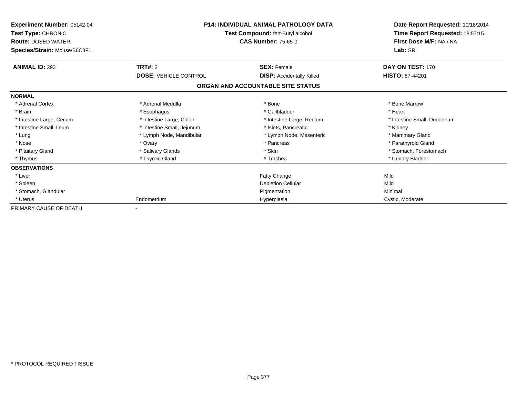| Experiment Number: 05142-04<br>Test Type: CHRONIC<br><b>Route: DOSED WATER</b><br>Species/Strain: Mouse/B6C3F1 |                              | <b>P14: INDIVIDUAL ANIMAL PATHOLOGY DATA</b><br>Test Compound: tert-Butyl alcohol<br><b>CAS Number: 75-65-0</b> | Date Report Requested: 10/18/2014<br>Time Report Requested: 18:57:15<br>First Dose M/F: NA / NA<br>Lab: SRI |
|----------------------------------------------------------------------------------------------------------------|------------------------------|-----------------------------------------------------------------------------------------------------------------|-------------------------------------------------------------------------------------------------------------|
| <b>ANIMAL ID: 293</b>                                                                                          | <b>TRT#: 2</b>               | <b>SEX: Female</b>                                                                                              | DAY ON TEST: 170                                                                                            |
|                                                                                                                | <b>DOSE: VEHICLE CONTROL</b> | <b>DISP:</b> Accidentally Killed                                                                                | <b>HISTO: 87-44201</b>                                                                                      |
|                                                                                                                |                              | ORGAN AND ACCOUNTABLE SITE STATUS                                                                               |                                                                                                             |
| <b>NORMAL</b>                                                                                                  |                              |                                                                                                                 |                                                                                                             |
| * Adrenal Cortex                                                                                               | * Adrenal Medulla            | * Bone                                                                                                          | * Bone Marrow                                                                                               |
| * Brain                                                                                                        | * Esophagus                  | * Gallbladder                                                                                                   | * Heart                                                                                                     |
| * Intestine Large, Cecum                                                                                       | * Intestine Large, Colon     | * Intestine Large, Rectum                                                                                       | * Intestine Small, Duodenum                                                                                 |
| * Intestine Small, Ileum                                                                                       | * Intestine Small, Jejunum   | * Islets, Pancreatic                                                                                            | * Kidney                                                                                                    |
| * Lung                                                                                                         | * Lymph Node, Mandibular     | * Lymph Node, Mesenteric                                                                                        | * Mammary Gland                                                                                             |
| * Nose                                                                                                         | * Ovary                      | * Pancreas                                                                                                      | * Parathyroid Gland                                                                                         |
| * Pituitary Gland                                                                                              | * Salivary Glands            | * Skin                                                                                                          | * Stomach, Forestomach                                                                                      |
| * Thymus                                                                                                       | * Thyroid Gland              | * Trachea                                                                                                       | * Urinary Bladder                                                                                           |
| <b>OBSERVATIONS</b>                                                                                            |                              |                                                                                                                 |                                                                                                             |
| * Liver                                                                                                        |                              | <b>Fatty Change</b>                                                                                             | Mild                                                                                                        |
| * Spleen                                                                                                       |                              | Depletion Cellular                                                                                              | Mild                                                                                                        |
| * Stomach, Glandular                                                                                           |                              | Pigmentation                                                                                                    | Minimal                                                                                                     |
| * Uterus                                                                                                       | Endometrium                  | Hyperplasia                                                                                                     | Cystic, Moderate                                                                                            |
| PRIMARY CAUSE OF DEATH                                                                                         |                              |                                                                                                                 |                                                                                                             |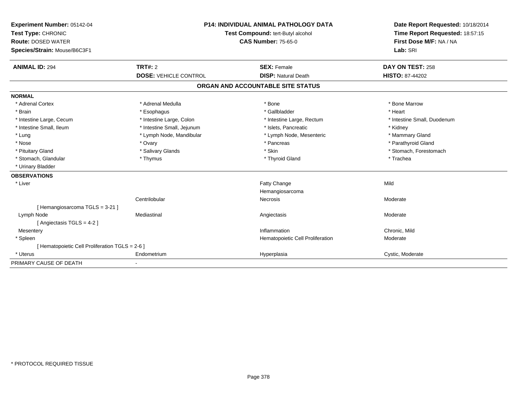| Experiment Number: 05142-04<br>Test Type: CHRONIC<br><b>Route: DOSED WATER</b><br>Species/Strain: Mouse/B6C3F1 | <b>P14: INDIVIDUAL ANIMAL PATHOLOGY DATA</b><br>Test Compound: tert-Butyl alcohol<br><b>CAS Number: 75-65-0</b> |                                   | Date Report Requested: 10/18/2014<br>Time Report Requested: 18:57:15<br>First Dose M/F: NA / NA<br>Lab: SRI |  |
|----------------------------------------------------------------------------------------------------------------|-----------------------------------------------------------------------------------------------------------------|-----------------------------------|-------------------------------------------------------------------------------------------------------------|--|
|                                                                                                                |                                                                                                                 |                                   |                                                                                                             |  |
| <b>ANIMAL ID: 294</b>                                                                                          | TRT#: 2                                                                                                         | <b>SEX: Female</b>                | DAY ON TEST: 258                                                                                            |  |
|                                                                                                                | <b>DOSE: VEHICLE CONTROL</b>                                                                                    | <b>DISP: Natural Death</b>        | <b>HISTO: 87-44202</b>                                                                                      |  |
|                                                                                                                |                                                                                                                 | ORGAN AND ACCOUNTABLE SITE STATUS |                                                                                                             |  |
| <b>NORMAL</b>                                                                                                  |                                                                                                                 |                                   |                                                                                                             |  |
| * Adrenal Cortex                                                                                               | * Adrenal Medulla                                                                                               | * Bone                            | * Bone Marrow                                                                                               |  |
| * Brain                                                                                                        | * Esophagus                                                                                                     | * Gallbladder                     | * Heart                                                                                                     |  |
| * Intestine Large, Cecum                                                                                       | * Intestine Large, Colon                                                                                        | * Intestine Large, Rectum         | * Intestine Small, Duodenum                                                                                 |  |
| * Intestine Small, Ileum                                                                                       | * Intestine Small, Jejunum                                                                                      | * Islets, Pancreatic              | * Kidney                                                                                                    |  |
| * Lung                                                                                                         | * Lymph Node, Mandibular                                                                                        | * Lymph Node, Mesenteric          | * Mammary Gland                                                                                             |  |
| * Nose                                                                                                         | * Ovary                                                                                                         | * Pancreas                        | * Parathyroid Gland                                                                                         |  |
| * Pituitary Gland                                                                                              | * Salivary Glands                                                                                               | * Skin                            | * Stomach, Forestomach                                                                                      |  |
| * Stomach, Glandular                                                                                           | * Thymus                                                                                                        | * Thyroid Gland                   | * Trachea                                                                                                   |  |
| * Urinary Bladder                                                                                              |                                                                                                                 |                                   |                                                                                                             |  |
| <b>OBSERVATIONS</b>                                                                                            |                                                                                                                 |                                   |                                                                                                             |  |
| * Liver                                                                                                        |                                                                                                                 | Fatty Change                      | Mild                                                                                                        |  |
|                                                                                                                |                                                                                                                 | Hemangiosarcoma                   |                                                                                                             |  |
|                                                                                                                | Centrilobular                                                                                                   | Necrosis                          | Moderate                                                                                                    |  |
| [Hemangiosarcoma TGLS = 3-21]                                                                                  |                                                                                                                 |                                   |                                                                                                             |  |
| Lymph Node                                                                                                     | Mediastinal                                                                                                     | Angiectasis                       | Moderate                                                                                                    |  |
| [Angiectasis TGLS = 4-2]                                                                                       |                                                                                                                 |                                   |                                                                                                             |  |
| Mesentery                                                                                                      |                                                                                                                 | Inflammation                      | Chronic, Mild                                                                                               |  |
| * Spleen                                                                                                       |                                                                                                                 | Hematopoietic Cell Proliferation  | Moderate                                                                                                    |  |
| [ Hematopoietic Cell Proliferation TGLS = 2-6 ]                                                                |                                                                                                                 |                                   |                                                                                                             |  |
| * Uterus                                                                                                       | Endometrium                                                                                                     | Hyperplasia                       | Cystic, Moderate                                                                                            |  |
| PRIMARY CAUSE OF DEATH                                                                                         |                                                                                                                 |                                   |                                                                                                             |  |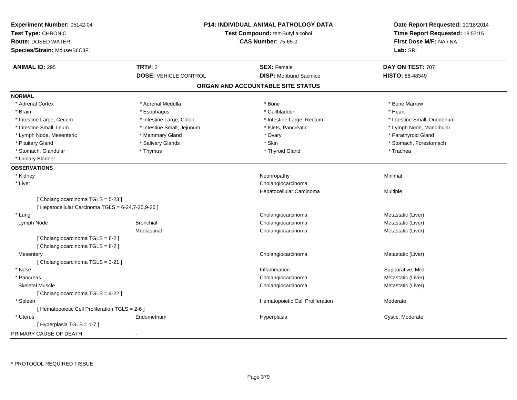| Experiment Number: 05142-04<br>Test Type: CHRONIC<br><b>Route: DOSED WATER</b><br>Species/Strain: Mouse/B6C3F1 |                              | <b>P14: INDIVIDUAL ANIMAL PATHOLOGY DATA</b><br>Test Compound: tert-Butyl alcohol<br><b>CAS Number: 75-65-0</b> | Date Report Requested: 10/18/2014<br>Time Report Requested: 18:57:15<br>First Dose M/F: NA / NA<br>Lab: SRI |
|----------------------------------------------------------------------------------------------------------------|------------------------------|-----------------------------------------------------------------------------------------------------------------|-------------------------------------------------------------------------------------------------------------|
| <b>ANIMAL ID: 295</b>                                                                                          | <b>TRT#: 2</b>               | <b>SEX: Female</b>                                                                                              | DAY ON TEST: 707                                                                                            |
|                                                                                                                | <b>DOSE: VEHICLE CONTROL</b> | <b>DISP:</b> Moribund Sacrifice                                                                                 | <b>HISTO: 88-48349</b>                                                                                      |
|                                                                                                                |                              | ORGAN AND ACCOUNTABLE SITE STATUS                                                                               |                                                                                                             |
| <b>NORMAL</b>                                                                                                  |                              |                                                                                                                 |                                                                                                             |
| * Adrenal Cortex                                                                                               | * Adrenal Medulla            | * Bone                                                                                                          | * Bone Marrow                                                                                               |
| * Brain                                                                                                        | * Esophagus                  | * Gallbladder                                                                                                   | * Heart                                                                                                     |
| * Intestine Large, Cecum                                                                                       | * Intestine Large, Colon     | * Intestine Large, Rectum                                                                                       | * Intestine Small, Duodenum                                                                                 |
| * Intestine Small, Ileum                                                                                       | * Intestine Small, Jejunum   | * Islets, Pancreatic                                                                                            | * Lymph Node, Mandibular                                                                                    |
| * Lymph Node, Mesenteric                                                                                       | * Mammary Gland              | * Ovary                                                                                                         | * Parathyroid Gland                                                                                         |
| * Pituitary Gland                                                                                              | * Salivary Glands            | * Skin                                                                                                          | * Stomach, Forestomach                                                                                      |
| * Stomach, Glandular                                                                                           | * Thymus                     | * Thyroid Gland                                                                                                 | * Trachea                                                                                                   |
| * Urinary Bladder                                                                                              |                              |                                                                                                                 |                                                                                                             |
| <b>OBSERVATIONS</b>                                                                                            |                              |                                                                                                                 |                                                                                                             |
| * Kidney                                                                                                       |                              | Nephropathy                                                                                                     | Minimal                                                                                                     |
| * Liver                                                                                                        |                              | Cholangiocarcinoma                                                                                              |                                                                                                             |
|                                                                                                                |                              | Hepatocellular Carcinoma                                                                                        | Multiple                                                                                                    |
| [Cholangiocarcinoma TGLS = 5-23]                                                                               |                              |                                                                                                                 |                                                                                                             |
| [ Hepatocellular Carcinoma TGLS = 6-24,7-25,9-26 ]                                                             |                              |                                                                                                                 |                                                                                                             |
| * Lung                                                                                                         |                              | Cholangiocarcinoma                                                                                              | Metastatic (Liver)                                                                                          |
| Lymph Node                                                                                                     | <b>Bronchial</b>             | Cholangiocarcinoma                                                                                              | Metastatic (Liver)                                                                                          |
|                                                                                                                | Mediastinal                  | Cholangiocarcinoma                                                                                              | Metastatic (Liver)                                                                                          |
| [Cholangiocarcinoma TGLS = 8-2]                                                                                |                              |                                                                                                                 |                                                                                                             |
| [Cholangiocarcinoma TGLS = 8-2]                                                                                |                              |                                                                                                                 |                                                                                                             |
| Mesentery                                                                                                      |                              | Cholangiocarcinoma                                                                                              | Metastatic (Liver)                                                                                          |
| [ Cholangiocarcinoma TGLS = 3-21 ]                                                                             |                              |                                                                                                                 |                                                                                                             |
| * Nose                                                                                                         |                              | Inflammation                                                                                                    | Suppurative, Mild                                                                                           |
| * Pancreas                                                                                                     |                              | Cholangiocarcinoma                                                                                              | Metastatic (Liver)                                                                                          |
| <b>Skeletal Muscle</b>                                                                                         |                              | Cholangiocarcinoma                                                                                              | Metastatic (Liver)                                                                                          |
| [ Cholangiocarcinoma TGLS = 4-22 ]                                                                             |                              |                                                                                                                 |                                                                                                             |
| * Spleen                                                                                                       |                              | Hematopoietic Cell Proliferation                                                                                | Moderate                                                                                                    |
| [ Hematopoietic Cell Proliferation TGLS = 2-6 ]                                                                |                              |                                                                                                                 |                                                                                                             |
| * Uterus                                                                                                       | Endometrium                  | Hyperplasia                                                                                                     | Cystic, Moderate                                                                                            |
| [Hyperplasia TGLS = 1-7]                                                                                       |                              |                                                                                                                 |                                                                                                             |
| PRIMARY CAUSE OF DEATH                                                                                         | $\blacksquare$               |                                                                                                                 |                                                                                                             |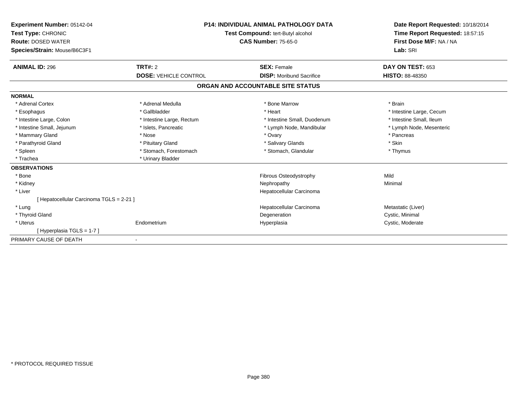| Experiment Number: 05142-04<br>Test Type: CHRONIC<br><b>Route: DOSED WATER</b><br>Species/Strain: Mouse/B6C3F1 | <b>P14: INDIVIDUAL ANIMAL PATHOLOGY DATA</b><br>Test Compound: tert-Butyl alcohol<br><b>CAS Number: 75-65-0</b> |                                   | Date Report Requested: 10/18/2014<br>Time Report Requested: 18:57:15<br>First Dose M/F: NA / NA<br>Lab: SRI |
|----------------------------------------------------------------------------------------------------------------|-----------------------------------------------------------------------------------------------------------------|-----------------------------------|-------------------------------------------------------------------------------------------------------------|
| <b>ANIMAL ID: 296</b>                                                                                          | TRT#: 2                                                                                                         | <b>SEX: Female</b>                | DAY ON TEST: 653                                                                                            |
|                                                                                                                | <b>DOSE: VEHICLE CONTROL</b>                                                                                    | <b>DISP:</b> Moribund Sacrifice   | <b>HISTO: 88-48350</b>                                                                                      |
|                                                                                                                |                                                                                                                 | ORGAN AND ACCOUNTABLE SITE STATUS |                                                                                                             |
| <b>NORMAL</b>                                                                                                  |                                                                                                                 |                                   |                                                                                                             |
| * Adrenal Cortex                                                                                               | * Adrenal Medulla                                                                                               | * Bone Marrow                     | * Brain                                                                                                     |
| * Esophagus                                                                                                    | * Gallbladder                                                                                                   | * Heart                           | * Intestine Large, Cecum                                                                                    |
| * Intestine Large, Colon                                                                                       | * Intestine Large, Rectum                                                                                       | * Intestine Small, Duodenum       | * Intestine Small, Ileum                                                                                    |
| * Intestine Small, Jejunum                                                                                     | * Islets, Pancreatic                                                                                            | * Lymph Node, Mandibular          | * Lymph Node, Mesenteric                                                                                    |
| * Mammary Gland                                                                                                | * Nose                                                                                                          | * Ovary                           | * Pancreas                                                                                                  |
| * Parathyroid Gland                                                                                            | * Pituitary Gland                                                                                               | * Salivary Glands                 | * Skin                                                                                                      |
| * Spleen                                                                                                       | * Stomach, Forestomach                                                                                          | * Stomach, Glandular              | * Thymus                                                                                                    |
| * Trachea                                                                                                      | * Urinary Bladder                                                                                               |                                   |                                                                                                             |
| <b>OBSERVATIONS</b>                                                                                            |                                                                                                                 |                                   |                                                                                                             |
| * Bone                                                                                                         |                                                                                                                 | Fibrous Osteodystrophy            | Mild                                                                                                        |
| * Kidney                                                                                                       |                                                                                                                 | Nephropathy                       | Minimal                                                                                                     |
| * Liver                                                                                                        |                                                                                                                 | Hepatocellular Carcinoma          |                                                                                                             |
| [ Hepatocellular Carcinoma TGLS = 2-21 ]                                                                       |                                                                                                                 |                                   |                                                                                                             |
| * Lung                                                                                                         |                                                                                                                 | Hepatocellular Carcinoma          | Metastatic (Liver)                                                                                          |
| * Thyroid Gland                                                                                                |                                                                                                                 | Degeneration                      | Cystic, Minimal                                                                                             |
| * Uterus                                                                                                       | Endometrium                                                                                                     | Hyperplasia                       | Cystic, Moderate                                                                                            |
| [Hyperplasia TGLS = 1-7]                                                                                       |                                                                                                                 |                                   |                                                                                                             |
| PRIMARY CAUSE OF DEATH                                                                                         |                                                                                                                 |                                   |                                                                                                             |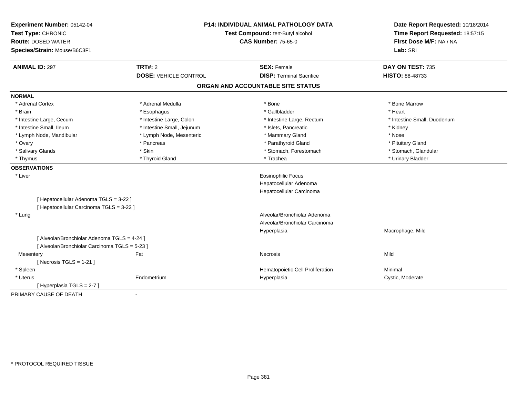| Experiment Number: 05142-04<br>Test Type: CHRONIC         |                              | <b>P14: INDIVIDUAL ANIMAL PATHOLOGY DATA</b><br>Test Compound: tert-Butyl alcohol | Date Report Requested: 10/18/2014<br>Time Report Requested: 18:57:15 |
|-----------------------------------------------------------|------------------------------|-----------------------------------------------------------------------------------|----------------------------------------------------------------------|
| <b>Route: DOSED WATER</b><br>Species/Strain: Mouse/B6C3F1 |                              | <b>CAS Number: 75-65-0</b>                                                        | First Dose M/F: NA / NA<br>Lab: SRI                                  |
| <b>ANIMAL ID: 297</b>                                     | <b>TRT#: 2</b>               | <b>SEX: Female</b>                                                                | DAY ON TEST: 735                                                     |
|                                                           | <b>DOSE: VEHICLE CONTROL</b> | <b>DISP: Terminal Sacrifice</b>                                                   | HISTO: 88-48733                                                      |
|                                                           |                              | ORGAN AND ACCOUNTABLE SITE STATUS                                                 |                                                                      |
| <b>NORMAL</b>                                             |                              |                                                                                   |                                                                      |
| * Adrenal Cortex                                          | * Adrenal Medulla            | * Bone                                                                            | * Bone Marrow                                                        |
| * Brain                                                   | * Esophagus                  | * Gallbladder                                                                     | * Heart                                                              |
| * Intestine Large, Cecum                                  | * Intestine Large, Colon     | * Intestine Large, Rectum                                                         | * Intestine Small, Duodenum                                          |
| * Intestine Small, Ileum                                  | * Intestine Small, Jejunum   | * Islets, Pancreatic                                                              | * Kidney                                                             |
| * Lymph Node, Mandibular                                  | * Lymph Node, Mesenteric     | * Mammary Gland                                                                   | * Nose                                                               |
| * Ovary                                                   | * Pancreas                   | * Parathyroid Gland                                                               | * Pituitary Gland                                                    |
| * Salivary Glands                                         | * Skin                       | * Stomach, Forestomach                                                            | * Stomach, Glandular                                                 |
| * Thymus                                                  | * Thyroid Gland              | * Trachea                                                                         | * Urinary Bladder                                                    |
| <b>OBSERVATIONS</b>                                       |                              |                                                                                   |                                                                      |
| * Liver                                                   |                              | <b>Eosinophilic Focus</b>                                                         |                                                                      |
|                                                           |                              | Hepatocellular Adenoma                                                            |                                                                      |
|                                                           |                              | Hepatocellular Carcinoma                                                          |                                                                      |
| [ Hepatocellular Adenoma TGLS = 3-22 ]                    |                              |                                                                                   |                                                                      |
| [ Hepatocellular Carcinoma TGLS = 3-22 ]                  |                              |                                                                                   |                                                                      |
| * Lung                                                    |                              | Alveolar/Bronchiolar Adenoma                                                      |                                                                      |
|                                                           |                              | Alveolar/Bronchiolar Carcinoma                                                    |                                                                      |
|                                                           |                              | Hyperplasia                                                                       | Macrophage, Mild                                                     |
| [ Alveolar/Bronchiolar Adenoma TGLS = 4-24 ]              |                              |                                                                                   |                                                                      |
| [ Alveolar/Bronchiolar Carcinoma TGLS = 5-23 ]            |                              |                                                                                   |                                                                      |
| Mesentery                                                 | Fat                          | <b>Necrosis</b>                                                                   | Mild                                                                 |
| [Necrosis TGLS = $1-21$ ]                                 |                              |                                                                                   |                                                                      |
| * Spleen                                                  |                              | Hematopoietic Cell Proliferation                                                  | Minimal                                                              |
| * Uterus                                                  | Endometrium                  | Hyperplasia                                                                       | Cystic, Moderate                                                     |
| [Hyperplasia TGLS = $2-7$ ]                               |                              |                                                                                   |                                                                      |
| PRIMARY CAUSE OF DEATH                                    | $\blacksquare$               |                                                                                   |                                                                      |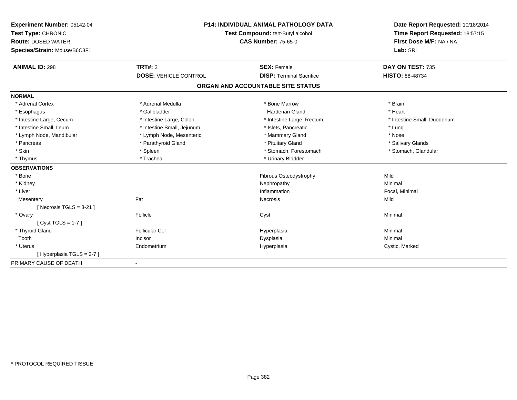| Experiment Number: 05142-04  | <b>P14: INDIVIDUAL ANIMAL PATHOLOGY DATA</b><br>Test Compound: tert-Butyl alcohol |                                   | Date Report Requested: 10/18/2014 |
|------------------------------|-----------------------------------------------------------------------------------|-----------------------------------|-----------------------------------|
| Test Type: CHRONIC           |                                                                                   |                                   | Time Report Requested: 18:57:15   |
| <b>Route: DOSED WATER</b>    |                                                                                   | <b>CAS Number: 75-65-0</b>        | First Dose M/F: NA / NA           |
| Species/Strain: Mouse/B6C3F1 |                                                                                   |                                   | Lab: SRI                          |
| <b>ANIMAL ID: 298</b>        | <b>TRT#: 2</b>                                                                    | <b>SEX: Female</b>                | DAY ON TEST: 735                  |
|                              | <b>DOSE: VEHICLE CONTROL</b>                                                      | <b>DISP: Terminal Sacrifice</b>   | <b>HISTO: 88-48734</b>            |
|                              |                                                                                   | ORGAN AND ACCOUNTABLE SITE STATUS |                                   |
| <b>NORMAL</b>                |                                                                                   |                                   |                                   |
| * Adrenal Cortex             | * Adrenal Medulla                                                                 | * Bone Marrow                     | * Brain                           |
| * Esophagus                  | * Gallbladder                                                                     | <b>Harderian Gland</b>            | * Heart                           |
| * Intestine Large, Cecum     | * Intestine Large, Colon                                                          | * Intestine Large, Rectum         | * Intestine Small, Duodenum       |
| * Intestine Small, Ileum     | * Intestine Small, Jejunum                                                        | * Islets, Pancreatic              | * Lung                            |
| * Lymph Node, Mandibular     | * Lymph Node, Mesenteric                                                          | * Mammary Gland                   | * Nose                            |
| * Pancreas                   | * Parathyroid Gland                                                               | * Pituitary Gland                 | * Salivary Glands                 |
| * Skin                       | * Spleen                                                                          | * Stomach, Forestomach            | * Stomach, Glandular              |
| * Thymus                     | * Trachea                                                                         | * Urinary Bladder                 |                                   |
| <b>OBSERVATIONS</b>          |                                                                                   |                                   |                                   |
| * Bone                       |                                                                                   | Fibrous Osteodystrophy            | Mild                              |
| * Kidney                     |                                                                                   | Nephropathy                       | Minimal                           |
| * Liver                      |                                                                                   | Inflammation                      | Focal, Minimal                    |
| Mesentery                    | Fat                                                                               | Necrosis                          | Mild                              |
| [Necrosis TGLS = $3-21$ ]    |                                                                                   |                                   |                                   |
| * Ovary                      | Follicle                                                                          | Cyst                              | Minimal                           |
| [ $Cyst TGLS = 1-7$ ]        |                                                                                   |                                   |                                   |
| * Thyroid Gland              | <b>Follicular Cel</b>                                                             | Hyperplasia                       | Minimal                           |
| Tooth                        | Incisor                                                                           | Dysplasia                         | Minimal                           |
| * Uterus                     | Endometrium                                                                       | Hyperplasia                       | Cystic, Marked                    |
| [Hyperplasia TGLS = 2-7]     |                                                                                   |                                   |                                   |
| PRIMARY CAUSE OF DEATH       |                                                                                   |                                   |                                   |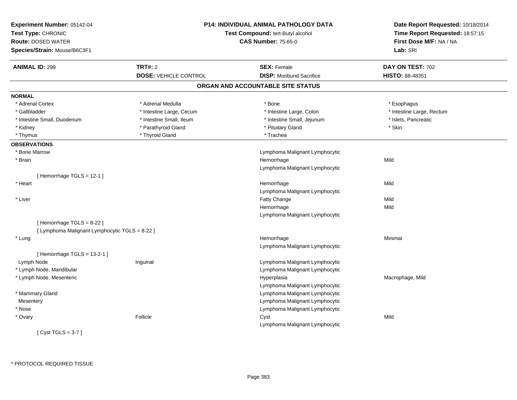| Experiment Number: 05142-04<br>Test Type: CHRONIC<br><b>Route: DOSED WATER</b><br>Species/Strain: Mouse/B6C3F1 |                              | <b>P14: INDIVIDUAL ANIMAL PATHOLOGY DATA</b><br>Test Compound: tert-Butyl alcohol<br><b>CAS Number: 75-65-0</b> | Date Report Requested: 10/18/2014<br>Time Report Requested: 18:57:15<br>First Dose M/F: NA / NA<br>Lab: SRI |
|----------------------------------------------------------------------------------------------------------------|------------------------------|-----------------------------------------------------------------------------------------------------------------|-------------------------------------------------------------------------------------------------------------|
| <b>ANIMAL ID: 299</b>                                                                                          | <b>TRT#: 2</b>               | <b>SEX: Female</b>                                                                                              | DAY ON TEST: 702                                                                                            |
|                                                                                                                | <b>DOSE: VEHICLE CONTROL</b> | <b>DISP:</b> Moribund Sacrifice                                                                                 | HISTO: 88-48351                                                                                             |
|                                                                                                                |                              | ORGAN AND ACCOUNTABLE SITE STATUS                                                                               |                                                                                                             |
| <b>NORMAL</b>                                                                                                  |                              |                                                                                                                 |                                                                                                             |
| * Adrenal Cortex                                                                                               | * Adrenal Medulla            | * Bone                                                                                                          | * Esophagus                                                                                                 |
| * Gallbladder                                                                                                  | * Intestine Large, Cecum     | * Intestine Large, Colon                                                                                        | * Intestine Large, Rectum                                                                                   |
| * Intestine Small, Duodenum                                                                                    | * Intestine Small, Ileum     | * Intestine Small, Jejunum                                                                                      | * Islets, Pancreatic                                                                                        |
| * Kidney                                                                                                       | * Parathyroid Gland          | * Pituitary Gland                                                                                               | * Skin                                                                                                      |
| * Thymus                                                                                                       | * Thyroid Gland              | * Trachea                                                                                                       |                                                                                                             |
| <b>OBSERVATIONS</b>                                                                                            |                              |                                                                                                                 |                                                                                                             |
| * Bone Marrow                                                                                                  |                              | Lymphoma Malignant Lymphocytic                                                                                  |                                                                                                             |
| * Brain                                                                                                        |                              | Hemorrhage                                                                                                      | Mild                                                                                                        |
|                                                                                                                |                              | Lymphoma Malignant Lymphocytic                                                                                  |                                                                                                             |
| [Hemorrhage TGLS = $12-1$ ]                                                                                    |                              |                                                                                                                 |                                                                                                             |
| * Heart                                                                                                        |                              | Hemorrhage                                                                                                      | Mild                                                                                                        |
|                                                                                                                |                              | Lymphoma Malignant Lymphocytic                                                                                  |                                                                                                             |
| * Liver                                                                                                        |                              | Fatty Change                                                                                                    | Mild                                                                                                        |
|                                                                                                                |                              | Hemorrhage                                                                                                      | Mild                                                                                                        |
|                                                                                                                |                              | Lymphoma Malignant Lymphocytic                                                                                  |                                                                                                             |
| [Hemorrhage TGLS = 8-22]                                                                                       |                              |                                                                                                                 |                                                                                                             |
| [ Lymphoma Malignant Lymphocytic TGLS = 8-22 ]                                                                 |                              |                                                                                                                 |                                                                                                             |
| * Lung                                                                                                         |                              | Hemorrhage                                                                                                      | Minimal                                                                                                     |
|                                                                                                                |                              | Lymphoma Malignant Lymphocytic                                                                                  |                                                                                                             |
| [Hemorrhage $TGLS = 13-2-1$ ]                                                                                  |                              |                                                                                                                 |                                                                                                             |
| Lymph Node                                                                                                     | Inguinal                     | Lymphoma Malignant Lymphocytic                                                                                  |                                                                                                             |
| * Lymph Node, Mandibular                                                                                       |                              | Lymphoma Malignant Lymphocytic                                                                                  |                                                                                                             |
| * Lymph Node, Mesenteric                                                                                       |                              | Hyperplasia                                                                                                     | Macrophage, Mild                                                                                            |
|                                                                                                                |                              | Lymphoma Malignant Lymphocytic                                                                                  |                                                                                                             |
| * Mammary Gland                                                                                                |                              | Lymphoma Malignant Lymphocytic                                                                                  |                                                                                                             |
| Mesentery                                                                                                      |                              | Lymphoma Malignant Lymphocytic                                                                                  |                                                                                                             |
| * Nose                                                                                                         |                              | Lymphoma Malignant Lymphocytic                                                                                  |                                                                                                             |
| * Ovary                                                                                                        | Follicle                     | Cyst                                                                                                            | Mild                                                                                                        |
|                                                                                                                |                              | Lymphoma Malignant Lymphocytic                                                                                  |                                                                                                             |
| [Cyst TGLS = $3-7$ ]                                                                                           |                              |                                                                                                                 |                                                                                                             |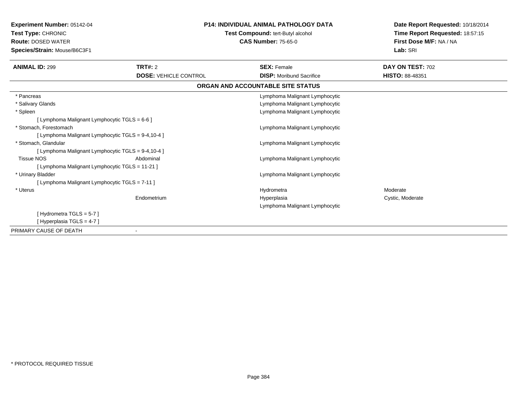| <b>Experiment Number: 05142-04</b><br>Test Type: CHRONIC<br><b>Route: DOSED WATER</b><br>Species/Strain: Mouse/B6C3F1 |                              | <b>P14: INDIVIDUAL ANIMAL PATHOLOGY DATA</b><br>Test Compound: tert-Butyl alcohol<br><b>CAS Number: 75-65-0</b> | Date Report Requested: 10/18/2014<br>Time Report Requested: 18:57:15<br>First Dose M/F: NA / NA<br>Lab: SRI |
|-----------------------------------------------------------------------------------------------------------------------|------------------------------|-----------------------------------------------------------------------------------------------------------------|-------------------------------------------------------------------------------------------------------------|
| <b>ANIMAL ID: 299</b>                                                                                                 | TRT#: 2                      | <b>SEX: Female</b>                                                                                              | DAY ON TEST: 702                                                                                            |
|                                                                                                                       | <b>DOSE: VEHICLE CONTROL</b> | <b>DISP:</b> Moribund Sacrifice                                                                                 | <b>HISTO: 88-48351</b>                                                                                      |
|                                                                                                                       |                              | ORGAN AND ACCOUNTABLE SITE STATUS                                                                               |                                                                                                             |
| * Pancreas                                                                                                            |                              | Lymphoma Malignant Lymphocytic                                                                                  |                                                                                                             |
| * Salivary Glands                                                                                                     |                              | Lymphoma Malignant Lymphocytic                                                                                  |                                                                                                             |
| * Spleen                                                                                                              |                              | Lymphoma Malignant Lymphocytic                                                                                  |                                                                                                             |
| [Lymphoma Malignant Lymphocytic TGLS = $6-6$ ]                                                                        |                              |                                                                                                                 |                                                                                                             |
| * Stomach. Forestomach                                                                                                |                              | Lymphoma Malignant Lymphocytic                                                                                  |                                                                                                             |
| [ Lymphoma Malignant Lymphocytic TGLS = 9-4,10-4 ]                                                                    |                              |                                                                                                                 |                                                                                                             |
| * Stomach, Glandular                                                                                                  |                              | Lymphoma Malignant Lymphocytic                                                                                  |                                                                                                             |
| [ Lymphoma Malignant Lymphocytic TGLS = 9-4,10-4 ]                                                                    |                              |                                                                                                                 |                                                                                                             |
| <b>Tissue NOS</b>                                                                                                     | Abdominal                    | Lymphoma Malignant Lymphocytic                                                                                  |                                                                                                             |
| [ Lymphoma Malignant Lymphocytic TGLS = 11-21 ]                                                                       |                              |                                                                                                                 |                                                                                                             |
| * Urinary Bladder                                                                                                     |                              | Lymphoma Malignant Lymphocytic                                                                                  |                                                                                                             |
| [ Lymphoma Malignant Lymphocytic TGLS = 7-11 ]                                                                        |                              |                                                                                                                 |                                                                                                             |
| * Uterus                                                                                                              |                              | Hydrometra                                                                                                      | Moderate                                                                                                    |
|                                                                                                                       | Endometrium                  | Hyperplasia                                                                                                     | Cystic, Moderate                                                                                            |
|                                                                                                                       |                              | Lymphoma Malignant Lymphocytic                                                                                  |                                                                                                             |
| [Hydrometra TGLS = $5-7$ ]                                                                                            |                              |                                                                                                                 |                                                                                                             |
| [Hyperplasia TGLS = $4-7$ ]                                                                                           |                              |                                                                                                                 |                                                                                                             |
| PRIMARY CAUSE OF DEATH                                                                                                |                              |                                                                                                                 |                                                                                                             |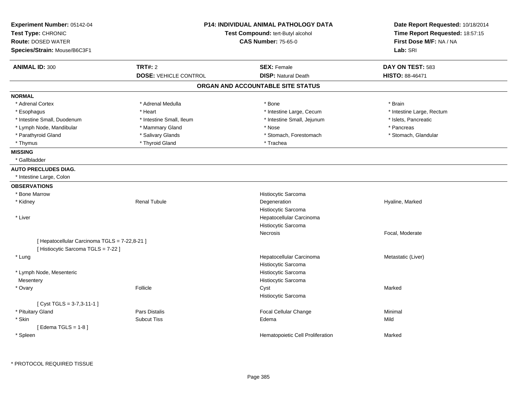| Experiment Number: 05142-04                                                        |                              | <b>P14: INDIVIDUAL ANIMAL PATHOLOGY DATA</b>    | Date Report Requested: 10/18/2014<br>Time Report Requested: 18:57:15<br>First Dose M/F: NA / NA |
|------------------------------------------------------------------------------------|------------------------------|-------------------------------------------------|-------------------------------------------------------------------------------------------------|
| Test Type: CHRONIC                                                                 |                              | Test Compound: tert-Butyl alcohol               |                                                                                                 |
| <b>Route: DOSED WATER</b>                                                          |                              | <b>CAS Number: 75-65-0</b>                      |                                                                                                 |
| Species/Strain: Mouse/B6C3F1                                                       |                              |                                                 | Lab: SRI                                                                                        |
| <b>ANIMAL ID: 300</b>                                                              | <b>TRT#: 2</b>               | <b>SEX: Female</b>                              | DAY ON TEST: 583                                                                                |
|                                                                                    | <b>DOSE: VEHICLE CONTROL</b> | <b>DISP: Natural Death</b>                      | <b>HISTO: 88-46471</b>                                                                          |
|                                                                                    |                              | ORGAN AND ACCOUNTABLE SITE STATUS               |                                                                                                 |
| <b>NORMAL</b>                                                                      |                              |                                                 |                                                                                                 |
| * Adrenal Cortex                                                                   | * Adrenal Medulla            | * Bone                                          | * Brain                                                                                         |
| * Esophagus                                                                        | * Heart                      | * Intestine Large, Cecum                        | * Intestine Large, Rectum                                                                       |
| * Intestine Small, Duodenum                                                        | * Intestine Small, Ileum     | * Intestine Small, Jejunum                      | * Islets, Pancreatic                                                                            |
| * Lymph Node, Mandibular                                                           | * Mammary Gland              | * Nose                                          | * Pancreas                                                                                      |
| * Parathyroid Gland                                                                | * Salivary Glands            | * Stomach, Forestomach                          | * Stomach, Glandular                                                                            |
| * Thymus                                                                           | * Thyroid Gland              | * Trachea                                       |                                                                                                 |
| <b>MISSING</b>                                                                     |                              |                                                 |                                                                                                 |
| * Gallbladder                                                                      |                              |                                                 |                                                                                                 |
| <b>AUTO PRECLUDES DIAG.</b>                                                        |                              |                                                 |                                                                                                 |
| * Intestine Large, Colon                                                           |                              |                                                 |                                                                                                 |
| <b>OBSERVATIONS</b>                                                                |                              |                                                 |                                                                                                 |
| * Bone Marrow                                                                      |                              | Histiocytic Sarcoma                             |                                                                                                 |
| * Kidney                                                                           | <b>Renal Tubule</b>          | Degeneration                                    | Hyaline, Marked                                                                                 |
|                                                                                    |                              | Histiocytic Sarcoma                             |                                                                                                 |
| * Liver                                                                            |                              | Hepatocellular Carcinoma                        |                                                                                                 |
|                                                                                    |                              | Histiocytic Sarcoma                             |                                                                                                 |
|                                                                                    |                              | Necrosis                                        | Focal, Moderate                                                                                 |
| [ Hepatocellular Carcinoma TGLS = 7-22,8-21 ]<br>[Histiocytic Sarcoma TGLS = 7-22] |                              |                                                 |                                                                                                 |
| * Lung                                                                             |                              | Hepatocellular Carcinoma<br>Histiocytic Sarcoma | Metastatic (Liver)                                                                              |
| * Lymph Node, Mesenteric                                                           |                              | Histiocytic Sarcoma                             |                                                                                                 |
| Mesentery                                                                          |                              | Histiocytic Sarcoma                             |                                                                                                 |
| * Ovary                                                                            | Follicle                     | Cyst                                            | Marked                                                                                          |
|                                                                                    |                              | Histiocytic Sarcoma                             |                                                                                                 |
| [Cyst TGLS = 3-7,3-11-1]                                                           |                              |                                                 |                                                                                                 |
| * Pituitary Gland                                                                  | Pars Distalis                | Focal Cellular Change                           | Minimal                                                                                         |
| * Skin                                                                             | <b>Subcut Tiss</b>           | Edema                                           | Mild                                                                                            |
| [Edema TGLS = $1-8$ ]                                                              |                              |                                                 |                                                                                                 |
| * Spleen                                                                           |                              | Hematopoietic Cell Proliferation                | Marked                                                                                          |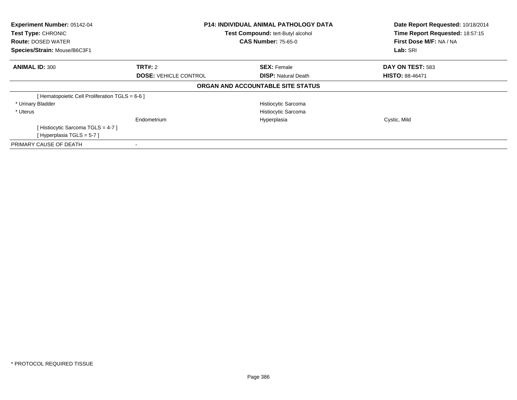| Experiment Number: 05142-04<br>Test Type: CHRONIC<br><b>Route: DOSED WATER</b><br>Species/Strain: Mouse/B6C3F1 | <b>P14: INDIVIDUAL ANIMAL PATHOLOGY DATA</b><br>Test Compound: tert-Butyl alcohol<br><b>CAS Number: 75-65-0</b> |                                   | Date Report Requested: 10/18/2014<br>Time Report Requested: 18:57:15<br>First Dose M/F: NA / NA<br>Lab: SRI |
|----------------------------------------------------------------------------------------------------------------|-----------------------------------------------------------------------------------------------------------------|-----------------------------------|-------------------------------------------------------------------------------------------------------------|
| <b>ANIMAL ID: 300</b>                                                                                          | <b>TRT#: 2</b>                                                                                                  | <b>SEX: Female</b>                | DAY ON TEST: 583                                                                                            |
|                                                                                                                | <b>DOSE: VEHICLE CONTROL</b>                                                                                    | <b>DISP:</b> Natural Death        | <b>HISTO: 88-46471</b>                                                                                      |
|                                                                                                                |                                                                                                                 | ORGAN AND ACCOUNTABLE SITE STATUS |                                                                                                             |
| [ Hematopoietic Cell Proliferation TGLS = 6-6 ]                                                                |                                                                                                                 |                                   |                                                                                                             |
| * Urinary Bladder                                                                                              |                                                                                                                 | Histiocytic Sarcoma               |                                                                                                             |
| * Uterus                                                                                                       |                                                                                                                 | Histiocytic Sarcoma               |                                                                                                             |
|                                                                                                                | Endometrium                                                                                                     | Hyperplasia                       | Cystic, Mild                                                                                                |
| [Histiocytic Sarcoma TGLS = 4-7]                                                                               |                                                                                                                 |                                   |                                                                                                             |
| [Hyperplasia TGLS = $5-7$ ]                                                                                    |                                                                                                                 |                                   |                                                                                                             |
| PRIMARY CAUSE OF DEATH                                                                                         |                                                                                                                 |                                   |                                                                                                             |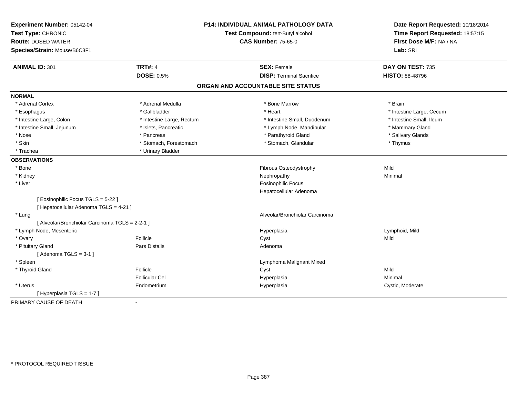| Experiment Number: 05142-04<br>Test Type: CHRONIC<br><b>Route: DOSED WATER</b><br>Species/Strain: Mouse/B6C3F1 |                           | P14: INDIVIDUAL ANIMAL PATHOLOGY DATA<br>Test Compound: tert-Butyl alcohol<br><b>CAS Number: 75-65-0</b> | Date Report Requested: 10/18/2014<br>Time Report Requested: 18:57:15<br>First Dose M/F: NA / NA<br>Lab: SRI |  |
|----------------------------------------------------------------------------------------------------------------|---------------------------|----------------------------------------------------------------------------------------------------------|-------------------------------------------------------------------------------------------------------------|--|
| <b>ANIMAL ID: 301</b>                                                                                          | <b>TRT#: 4</b>            | <b>SEX: Female</b>                                                                                       | DAY ON TEST: 735                                                                                            |  |
|                                                                                                                | <b>DOSE: 0.5%</b>         | <b>DISP: Terminal Sacrifice</b>                                                                          | <b>HISTO: 88-48796</b>                                                                                      |  |
|                                                                                                                |                           | ORGAN AND ACCOUNTABLE SITE STATUS                                                                        |                                                                                                             |  |
| <b>NORMAL</b>                                                                                                  |                           |                                                                                                          |                                                                                                             |  |
| * Adrenal Cortex                                                                                               | * Adrenal Medulla         | * Bone Marrow                                                                                            | * Brain                                                                                                     |  |
| * Esophagus                                                                                                    | * Gallbladder             | * Heart                                                                                                  | * Intestine Large, Cecum                                                                                    |  |
| * Intestine Large, Colon                                                                                       | * Intestine Large, Rectum | * Intestine Small, Duodenum                                                                              | * Intestine Small, Ileum                                                                                    |  |
| * Intestine Small, Jejunum                                                                                     | * Islets, Pancreatic      | * Lymph Node, Mandibular                                                                                 | * Mammary Gland                                                                                             |  |
| * Nose                                                                                                         | * Pancreas                | * Parathyroid Gland                                                                                      | * Salivary Glands                                                                                           |  |
| * Skin                                                                                                         | * Stomach, Forestomach    | * Stomach, Glandular                                                                                     | * Thymus                                                                                                    |  |
| * Trachea                                                                                                      | * Urinary Bladder         |                                                                                                          |                                                                                                             |  |
| <b>OBSERVATIONS</b>                                                                                            |                           |                                                                                                          |                                                                                                             |  |
| * Bone                                                                                                         |                           | Fibrous Osteodystrophy                                                                                   | Mild                                                                                                        |  |
| * Kidney                                                                                                       |                           | Nephropathy                                                                                              | Minimal                                                                                                     |  |
| * Liver                                                                                                        |                           | <b>Eosinophilic Focus</b>                                                                                |                                                                                                             |  |
|                                                                                                                |                           | Hepatocellular Adenoma                                                                                   |                                                                                                             |  |
| [ Eosinophilic Focus TGLS = 5-22 ]                                                                             |                           |                                                                                                          |                                                                                                             |  |
| [ Hepatocellular Adenoma TGLS = 4-21 ]                                                                         |                           |                                                                                                          |                                                                                                             |  |
| * Lung                                                                                                         |                           | Alveolar/Bronchiolar Carcinoma                                                                           |                                                                                                             |  |
| [ Alveolar/Bronchiolar Carcinoma TGLS = 2-2-1 ]                                                                |                           |                                                                                                          |                                                                                                             |  |
| * Lymph Node, Mesenteric                                                                                       |                           | Hyperplasia                                                                                              | Lymphoid, Mild                                                                                              |  |
| * Ovary                                                                                                        | Follicle                  | Cyst                                                                                                     | Mild                                                                                                        |  |
| * Pituitary Gland                                                                                              | Pars Distalis             | Adenoma                                                                                                  |                                                                                                             |  |
| [Adenoma TGLS = $3-1$ ]                                                                                        |                           |                                                                                                          |                                                                                                             |  |
| * Spleen                                                                                                       |                           | Lymphoma Malignant Mixed                                                                                 |                                                                                                             |  |
| * Thyroid Gland                                                                                                | Follicle                  | Cyst                                                                                                     | Mild                                                                                                        |  |
|                                                                                                                | <b>Follicular Cel</b>     | Hyperplasia                                                                                              | Minimal                                                                                                     |  |
| * Uterus                                                                                                       | Endometrium               | Hyperplasia                                                                                              | Cystic, Moderate                                                                                            |  |
| [ Hyperplasia TGLS = 1-7 ]                                                                                     |                           |                                                                                                          |                                                                                                             |  |
| PRIMARY CAUSE OF DEATH                                                                                         | $\blacksquare$            |                                                                                                          |                                                                                                             |  |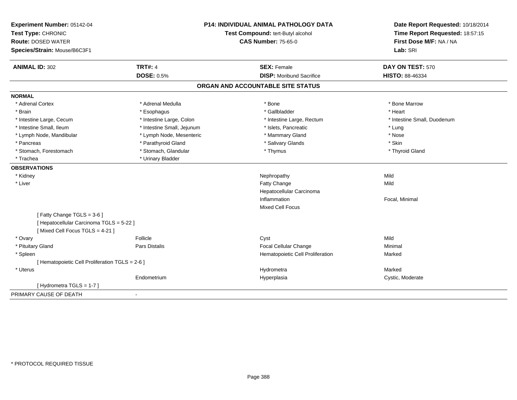| Experiment Number: 05142-04<br>Test Type: CHRONIC<br><b>Route: DOSED WATER</b> |                            | <b>P14: INDIVIDUAL ANIMAL PATHOLOGY DATA</b><br>Test Compound: tert-Butyl alcohol | Date Report Requested: 10/18/2014<br>Time Report Requested: 18:57:15 |
|--------------------------------------------------------------------------------|----------------------------|-----------------------------------------------------------------------------------|----------------------------------------------------------------------|
|                                                                                |                            | <b>CAS Number: 75-65-0</b>                                                        | First Dose M/F: NA / NA                                              |
| Species/Strain: Mouse/B6C3F1                                                   |                            |                                                                                   | Lab: SRI                                                             |
| <b>ANIMAL ID: 302</b>                                                          | <b>TRT#: 4</b>             | <b>SEX: Female</b>                                                                | DAY ON TEST: 570                                                     |
|                                                                                | <b>DOSE: 0.5%</b>          | <b>DISP:</b> Moribund Sacrifice                                                   | HISTO: 88-46334                                                      |
|                                                                                |                            | ORGAN AND ACCOUNTABLE SITE STATUS                                                 |                                                                      |
| <b>NORMAL</b>                                                                  |                            |                                                                                   |                                                                      |
| * Adrenal Cortex                                                               | * Adrenal Medulla          | * Bone                                                                            | * Bone Marrow                                                        |
| * Brain                                                                        | * Esophagus                | * Gallbladder                                                                     | * Heart                                                              |
| * Intestine Large, Cecum                                                       | * Intestine Large, Colon   | * Intestine Large, Rectum                                                         | * Intestine Small, Duodenum                                          |
| * Intestine Small, Ileum                                                       | * Intestine Small, Jejunum | * Islets, Pancreatic                                                              | * Lung                                                               |
| * Lymph Node, Mandibular                                                       | * Lymph Node, Mesenteric   | * Mammary Gland                                                                   | * Nose                                                               |
| * Pancreas                                                                     | * Parathyroid Gland        | * Salivary Glands                                                                 | * Skin                                                               |
| * Stomach, Forestomach                                                         | * Stomach, Glandular       | * Thymus                                                                          | * Thyroid Gland                                                      |
| * Trachea                                                                      | * Urinary Bladder          |                                                                                   |                                                                      |
| <b>OBSERVATIONS</b>                                                            |                            |                                                                                   |                                                                      |
| * Kidney                                                                       |                            | Nephropathy                                                                       | Mild                                                                 |
| * Liver                                                                        |                            | Fatty Change                                                                      | Mild                                                                 |
|                                                                                |                            | Hepatocellular Carcinoma                                                          |                                                                      |
|                                                                                |                            | Inflammation                                                                      | Focal, Minimal                                                       |
|                                                                                |                            | <b>Mixed Cell Focus</b>                                                           |                                                                      |
| [Fatty Change TGLS = 3-6]                                                      |                            |                                                                                   |                                                                      |
| [ Hepatocellular Carcinoma TGLS = 5-22 ]                                       |                            |                                                                                   |                                                                      |
| [Mixed Cell Focus TGLS = 4-21]                                                 |                            |                                                                                   |                                                                      |
| * Ovary                                                                        | Follicle                   | Cyst                                                                              | Mild                                                                 |
| * Pituitary Gland                                                              | Pars Distalis              | Focal Cellular Change                                                             | Minimal                                                              |
| * Spleen                                                                       |                            | Hematopoietic Cell Proliferation                                                  | Marked                                                               |
| [ Hematopoietic Cell Proliferation TGLS = 2-6 ]                                |                            |                                                                                   |                                                                      |
| * Uterus                                                                       |                            | Hydrometra                                                                        | Marked                                                               |
|                                                                                | Endometrium                | Hyperplasia                                                                       | Cystic, Moderate                                                     |
| [Hydrometra TGLS = $1-7$ ]                                                     |                            |                                                                                   |                                                                      |
| PRIMARY CAUSE OF DEATH                                                         |                            |                                                                                   |                                                                      |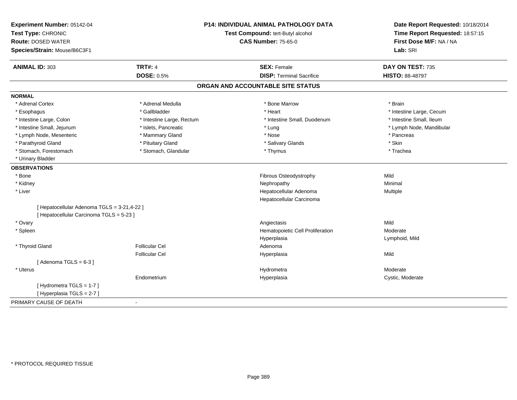| Experiment Number: 05142-04<br>Test Type: CHRONIC<br><b>Route: DOSED WATER</b><br>Species/Strain: Mouse/B6C3F1 | P14: INDIVIDUAL ANIMAL PATHOLOGY DATA<br>Test Compound: tert-Butyl alcohol<br><b>CAS Number: 75-65-0</b> |                                   | Date Report Requested: 10/18/2014<br>Time Report Requested: 18:57:15<br>First Dose M/F: NA / NA<br>Lab: SRI |
|----------------------------------------------------------------------------------------------------------------|----------------------------------------------------------------------------------------------------------|-----------------------------------|-------------------------------------------------------------------------------------------------------------|
| <b>ANIMAL ID: 303</b>                                                                                          | <b>TRT#: 4</b>                                                                                           | <b>SEX: Female</b>                | DAY ON TEST: 735                                                                                            |
|                                                                                                                | <b>DOSE: 0.5%</b>                                                                                        | <b>DISP: Terminal Sacrifice</b>   | <b>HISTO: 88-48797</b>                                                                                      |
|                                                                                                                |                                                                                                          | ORGAN AND ACCOUNTABLE SITE STATUS |                                                                                                             |
| <b>NORMAL</b>                                                                                                  |                                                                                                          |                                   |                                                                                                             |
| * Adrenal Cortex                                                                                               | * Adrenal Medulla                                                                                        | * Bone Marrow                     | * Brain                                                                                                     |
| * Esophagus                                                                                                    | * Gallbladder                                                                                            | * Heart                           | * Intestine Large, Cecum                                                                                    |
| * Intestine Large, Colon                                                                                       | * Intestine Large, Rectum                                                                                | * Intestine Small, Duodenum       | * Intestine Small, Ileum                                                                                    |
| * Intestine Small, Jejunum                                                                                     | * Islets, Pancreatic                                                                                     | * Lung                            | * Lymph Node, Mandibular                                                                                    |
| * Lymph Node, Mesenteric                                                                                       | * Mammary Gland                                                                                          | * Nose                            | * Pancreas                                                                                                  |
| * Parathyroid Gland                                                                                            | * Pituitary Gland                                                                                        | * Salivary Glands                 | * Skin                                                                                                      |
| * Stomach, Forestomach                                                                                         | * Stomach, Glandular                                                                                     | * Thymus                          | * Trachea                                                                                                   |
| * Urinary Bladder                                                                                              |                                                                                                          |                                   |                                                                                                             |
| <b>OBSERVATIONS</b>                                                                                            |                                                                                                          |                                   |                                                                                                             |
| * Bone                                                                                                         |                                                                                                          | Fibrous Osteodystrophy            | Mild                                                                                                        |
| * Kidney                                                                                                       |                                                                                                          | Nephropathy                       | Minimal                                                                                                     |
| * Liver                                                                                                        |                                                                                                          | Hepatocellular Adenoma            | Multiple                                                                                                    |
|                                                                                                                |                                                                                                          | Hepatocellular Carcinoma          |                                                                                                             |
| [ Hepatocellular Adenoma TGLS = 3-21,4-22 ]<br>[ Hepatocellular Carcinoma TGLS = 5-23 ]                        |                                                                                                          |                                   |                                                                                                             |
| * Ovary                                                                                                        |                                                                                                          | Angiectasis                       | Mild                                                                                                        |
| * Spleen                                                                                                       |                                                                                                          | Hematopoietic Cell Proliferation  | Moderate                                                                                                    |
|                                                                                                                |                                                                                                          | Hyperplasia                       | Lymphoid, Mild                                                                                              |
| * Thyroid Gland                                                                                                | <b>Follicular Cel</b>                                                                                    | Adenoma                           |                                                                                                             |
|                                                                                                                | <b>Follicular Cel</b>                                                                                    | Hyperplasia                       | Mild                                                                                                        |
| [Adenoma TGLS = $6-3$ ]                                                                                        |                                                                                                          |                                   |                                                                                                             |
| * Uterus                                                                                                       |                                                                                                          | Hydrometra                        | Moderate                                                                                                    |
|                                                                                                                | Endometrium                                                                                              | Hyperplasia                       | Cystic, Moderate                                                                                            |
| [Hydrometra TGLS = $1-7$ ]                                                                                     |                                                                                                          |                                   |                                                                                                             |
| [Hyperplasia TGLS = 2-7]                                                                                       |                                                                                                          |                                   |                                                                                                             |
| PRIMARY CAUSE OF DEATH                                                                                         |                                                                                                          |                                   |                                                                                                             |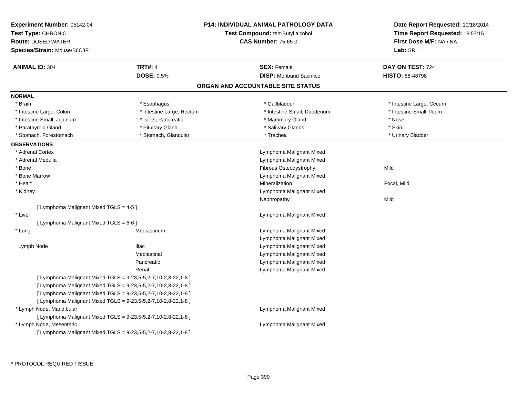| <b>Experiment Number: 05142-04</b><br>Test Type: CHRONIC<br><b>Route: DOSED WATER</b><br>Species/Strain: Mouse/B6C3F1 |                                                                | <b>P14: INDIVIDUAL ANIMAL PATHOLOGY DATA</b><br><b>Test Compound: tert-Butyl alcohol</b><br><b>CAS Number: 75-65-0</b> | Date Report Requested: 10/18/2014<br>Time Report Requested: 18:57:15<br>First Dose M/F: NA / NA<br>Lab: SRI |
|-----------------------------------------------------------------------------------------------------------------------|----------------------------------------------------------------|------------------------------------------------------------------------------------------------------------------------|-------------------------------------------------------------------------------------------------------------|
| <b>ANIMAL ID: 304</b>                                                                                                 | <b>TRT#: 4</b>                                                 | <b>SEX: Female</b>                                                                                                     | DAY ON TEST: 724                                                                                            |
|                                                                                                                       | <b>DOSE: 0.5%</b>                                              | <b>DISP:</b> Moribund Sacrifice                                                                                        | <b>HISTO: 88-48798</b>                                                                                      |
|                                                                                                                       |                                                                | ORGAN AND ACCOUNTABLE SITE STATUS                                                                                      |                                                                                                             |
| <b>NORMAL</b>                                                                                                         |                                                                |                                                                                                                        |                                                                                                             |
| * Brain                                                                                                               | * Esophagus                                                    | * Gallbladder                                                                                                          | * Intestine Large, Cecum                                                                                    |
| * Intestine Large, Colon                                                                                              | * Intestine Large, Rectum                                      | * Intestine Small, Duodenum                                                                                            | * Intestine Small, Ileum                                                                                    |
| * Intestine Small, Jejunum                                                                                            | * Islets, Pancreatic                                           | * Mammary Gland                                                                                                        | * Nose                                                                                                      |
| * Parathyroid Gland                                                                                                   | * Pituitary Gland                                              | * Salivary Glands                                                                                                      | * Skin                                                                                                      |
| * Stomach, Forestomach                                                                                                | * Stomach, Glandular                                           | * Trachea                                                                                                              | * Urinary Bladder                                                                                           |
| <b>OBSERVATIONS</b>                                                                                                   |                                                                |                                                                                                                        |                                                                                                             |
| * Adrenal Cortex                                                                                                      |                                                                | Lymphoma Malignant Mixed                                                                                               |                                                                                                             |
| * Adrenal Medulla                                                                                                     |                                                                | Lymphoma Malignant Mixed                                                                                               |                                                                                                             |
| * Bone                                                                                                                |                                                                | Fibrous Osteodystrophy                                                                                                 | Mild                                                                                                        |
| * Bone Marrow                                                                                                         |                                                                | Lymphoma Malignant Mixed                                                                                               |                                                                                                             |
| * Heart                                                                                                               |                                                                | Mineralization                                                                                                         | Focal, Mild                                                                                                 |
| * Kidney                                                                                                              |                                                                | Lymphoma Malignant Mixed                                                                                               |                                                                                                             |
|                                                                                                                       |                                                                | Nephropathy                                                                                                            | Mild                                                                                                        |
| [ Lymphoma Malignant Mixed TGLS = 4-5 ]                                                                               |                                                                |                                                                                                                        |                                                                                                             |
| * Liver                                                                                                               |                                                                | Lymphoma Malignant Mixed                                                                                               |                                                                                                             |
| [ Lymphoma Malignant Mixed TGLS = 6-6 ]                                                                               |                                                                |                                                                                                                        |                                                                                                             |
| * Lung                                                                                                                | Mediastinum                                                    | Lymphoma Malignant Mixed                                                                                               |                                                                                                             |
|                                                                                                                       |                                                                | Lymphoma Malignant Mixed                                                                                               |                                                                                                             |
| Lymph Node                                                                                                            | <b>Iliac</b>                                                   | Lymphoma Malignant Mixed                                                                                               |                                                                                                             |
|                                                                                                                       | Mediastinal                                                    | Lymphoma Malignant Mixed                                                                                               |                                                                                                             |
|                                                                                                                       | Pancreatic                                                     | Lymphoma Malignant Mixed                                                                                               |                                                                                                             |
|                                                                                                                       | Renal                                                          | Lymphoma Malignant Mixed                                                                                               |                                                                                                             |
|                                                                                                                       | [ Lymphoma Malignant Mixed TGLS = 9-23,5-5,2-7,10-2,8-22,1-8 ] |                                                                                                                        |                                                                                                             |
|                                                                                                                       | [ Lymphoma Malignant Mixed TGLS = 9-23,5-5,2-7,10-2,8-22,1-8 ] |                                                                                                                        |                                                                                                             |
|                                                                                                                       | [ Lymphoma Malignant Mixed TGLS = 9-23,5-5,2-7,10-2,8-22,1-8 ] |                                                                                                                        |                                                                                                             |
|                                                                                                                       | [ Lymphoma Malignant Mixed TGLS = 9-23,5-5,2-7,10-2,8-22,1-8 ] |                                                                                                                        |                                                                                                             |
| * Lymph Node, Mandibular                                                                                              |                                                                | Lymphoma Malignant Mixed                                                                                               |                                                                                                             |
|                                                                                                                       | [ Lymphoma Malignant Mixed TGLS = 9-23,5-5,2-7,10-2,8-22,1-8 ] |                                                                                                                        |                                                                                                             |
| * Lymph Node, Mesenteric                                                                                              |                                                                | Lymphoma Malignant Mixed                                                                                               |                                                                                                             |
|                                                                                                                       | [ Lymphoma Malignant Mixed TGLS = 9-23,5-5,2-7,10-2,8-22,1-8 ] |                                                                                                                        |                                                                                                             |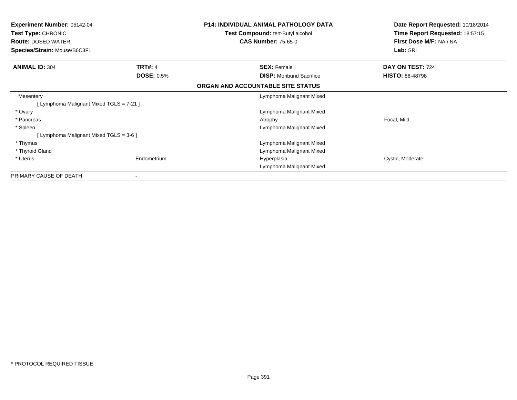| <b>P14: INDIVIDUAL ANIMAL PATHOLOGY DATA</b><br>Test Compound: tert-Butyl alcohol<br><b>CAS Number: 75-65-0</b> | Date Report Requested: 10/18/2014<br>Time Report Requested: 18:57:15<br>First Dose M/F: NA / NA<br>Lab: SRI |
|-----------------------------------------------------------------------------------------------------------------|-------------------------------------------------------------------------------------------------------------|
|                                                                                                                 |                                                                                                             |
|                                                                                                                 | DAY ON TEST: 724                                                                                            |
| <b>DISP:</b> Moribund Sacrifice                                                                                 | <b>HISTO: 88-48798</b>                                                                                      |
| ORGAN AND ACCOUNTABLE SITE STATUS                                                                               |                                                                                                             |
| Lymphoma Malignant Mixed                                                                                        |                                                                                                             |
|                                                                                                                 |                                                                                                             |
| Lymphoma Malignant Mixed                                                                                        |                                                                                                             |
| Atrophy                                                                                                         | Focal, Mild                                                                                                 |
| Lymphoma Malignant Mixed                                                                                        |                                                                                                             |
|                                                                                                                 |                                                                                                             |
| Lymphoma Malignant Mixed                                                                                        |                                                                                                             |
| Lymphoma Malignant Mixed                                                                                        |                                                                                                             |
| Hyperplasia                                                                                                     | Cystic, Moderate                                                                                            |
| Lymphoma Malignant Mixed                                                                                        |                                                                                                             |
|                                                                                                                 |                                                                                                             |
| Endometrium                                                                                                     | <b>SEX: Female</b><br><b>DOSE: 0.5%</b>                                                                     |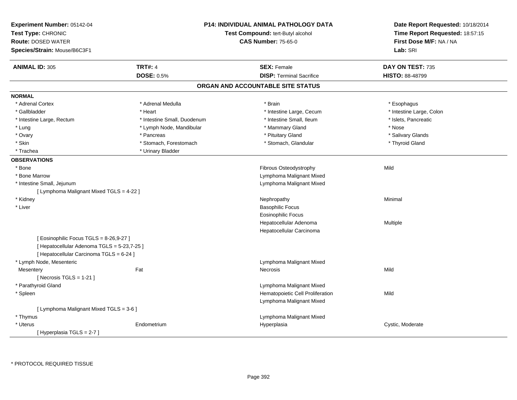| Experiment Number: 05142-04<br>Test Type: CHRONIC<br><b>Route: DOSED WATER</b><br>Species/Strain: Mouse/B6C3F1                     |                             | P14: INDIVIDUAL ANIMAL PATHOLOGY DATA<br>Date Report Requested: 10/18/2014<br>Time Report Requested: 18:57:15<br>Test Compound: tert-Butyl alcohol<br>First Dose M/F: NA / NA<br><b>CAS Number: 75-65-0</b><br>Lab: SRI |                          |
|------------------------------------------------------------------------------------------------------------------------------------|-----------------------------|-------------------------------------------------------------------------------------------------------------------------------------------------------------------------------------------------------------------------|--------------------------|
| <b>ANIMAL ID: 305</b>                                                                                                              | <b>TRT#: 4</b>              | <b>SEX: Female</b>                                                                                                                                                                                                      | DAY ON TEST: 735         |
|                                                                                                                                    | <b>DOSE: 0.5%</b>           | <b>DISP: Terminal Sacrifice</b>                                                                                                                                                                                         | HISTO: 88-48799          |
|                                                                                                                                    |                             | ORGAN AND ACCOUNTABLE SITE STATUS                                                                                                                                                                                       |                          |
| <b>NORMAL</b>                                                                                                                      |                             |                                                                                                                                                                                                                         |                          |
| * Adrenal Cortex                                                                                                                   | * Adrenal Medulla           | * Brain                                                                                                                                                                                                                 | * Esophagus              |
| * Gallbladder                                                                                                                      | * Heart                     | * Intestine Large, Cecum                                                                                                                                                                                                | * Intestine Large, Colon |
| * Intestine Large, Rectum                                                                                                          | * Intestine Small, Duodenum | * Intestine Small, Ileum                                                                                                                                                                                                | * Islets, Pancreatic     |
| * Lung                                                                                                                             | * Lymph Node, Mandibular    | * Mammary Gland                                                                                                                                                                                                         | * Nose                   |
| * Ovary                                                                                                                            | * Pancreas                  | * Pituitary Gland                                                                                                                                                                                                       | * Salivary Glands        |
| * Skin                                                                                                                             | * Stomach, Forestomach      | * Stomach, Glandular                                                                                                                                                                                                    | * Thyroid Gland          |
| * Trachea                                                                                                                          | * Urinary Bladder           |                                                                                                                                                                                                                         |                          |
| <b>OBSERVATIONS</b>                                                                                                                |                             |                                                                                                                                                                                                                         |                          |
| * Bone                                                                                                                             |                             | Fibrous Osteodystrophy                                                                                                                                                                                                  | Mild                     |
| * Bone Marrow                                                                                                                      |                             | Lymphoma Malignant Mixed                                                                                                                                                                                                |                          |
| * Intestine Small, Jejunum                                                                                                         |                             | Lymphoma Malignant Mixed                                                                                                                                                                                                |                          |
| [ Lymphoma Malignant Mixed TGLS = 4-22 ]                                                                                           |                             |                                                                                                                                                                                                                         |                          |
| * Kidney                                                                                                                           |                             | Nephropathy                                                                                                                                                                                                             | Minimal                  |
| * Liver                                                                                                                            |                             | <b>Basophilic Focus</b>                                                                                                                                                                                                 |                          |
|                                                                                                                                    |                             | <b>Eosinophilic Focus</b>                                                                                                                                                                                               |                          |
|                                                                                                                                    |                             | Hepatocellular Adenoma                                                                                                                                                                                                  | Multiple                 |
|                                                                                                                                    |                             | Hepatocellular Carcinoma                                                                                                                                                                                                |                          |
| [ Eosinophilic Focus TGLS = 8-26,9-27 ]<br>[ Hepatocellular Adenoma TGLS = 5-23,7-25 ]<br>[ Hepatocellular Carcinoma TGLS = 6-24 ] |                             |                                                                                                                                                                                                                         |                          |
| * Lymph Node, Mesenteric                                                                                                           |                             | Lymphoma Malignant Mixed                                                                                                                                                                                                |                          |
| Mesentery                                                                                                                          | Fat                         | Necrosis                                                                                                                                                                                                                | Mild                     |
| [Necrosis $TGLS = 1-21$ ]                                                                                                          |                             |                                                                                                                                                                                                                         |                          |
| * Parathyroid Gland                                                                                                                |                             | Lymphoma Malignant Mixed                                                                                                                                                                                                |                          |
| * Spleen                                                                                                                           |                             | Hematopoietic Cell Proliferation                                                                                                                                                                                        | Mild                     |
|                                                                                                                                    |                             | Lymphoma Malignant Mixed                                                                                                                                                                                                |                          |
| [ Lymphoma Malignant Mixed TGLS = 3-6 ]                                                                                            |                             |                                                                                                                                                                                                                         |                          |
| * Thymus                                                                                                                           |                             | Lymphoma Malignant Mixed                                                                                                                                                                                                |                          |
| * Uterus                                                                                                                           | Endometrium                 | Hyperplasia                                                                                                                                                                                                             | Cystic, Moderate         |
| [Hyperplasia TGLS = 2-7]                                                                                                           |                             |                                                                                                                                                                                                                         |                          |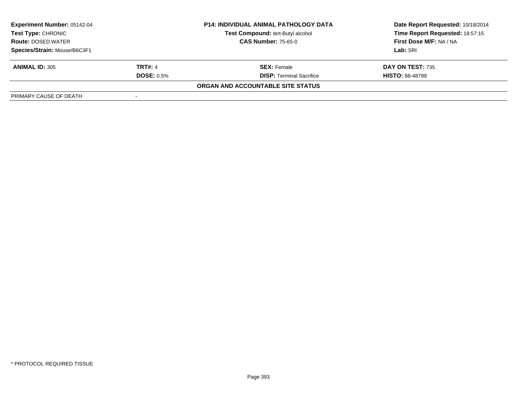| <b>Experiment Number: 05142-04</b><br>Test Type: CHRONIC<br><b>CAS Number: 75-65-0</b><br><b>Route: DOSED WATER</b> |                   | <b>P14: INDIVIDUAL ANIMAL PATHOLOGY DATA</b> | Date Report Requested: 10/18/2014 |  |
|---------------------------------------------------------------------------------------------------------------------|-------------------|----------------------------------------------|-----------------------------------|--|
|                                                                                                                     |                   | Test Compound: tert-Butyl alcohol            | Time Report Requested: 18:57:15   |  |
|                                                                                                                     |                   |                                              | First Dose M/F: NA / NA           |  |
| Species/Strain: Mouse/B6C3F1                                                                                        |                   |                                              | Lab: SRI                          |  |
| <b>ANIMAL ID: 305</b>                                                                                               | <b>TRT#: 4</b>    | <b>SEX:</b> Female                           | DAY ON TEST: 735                  |  |
|                                                                                                                     | <b>DOSE: 0.5%</b> | <b>DISP:</b> Terminal Sacrifice              | <b>HISTO: 88-48799</b>            |  |
|                                                                                                                     |                   | ORGAN AND ACCOUNTABLE SITE STATUS            |                                   |  |
| PRIMARY CAUSE OF DEATH                                                                                              |                   |                                              |                                   |  |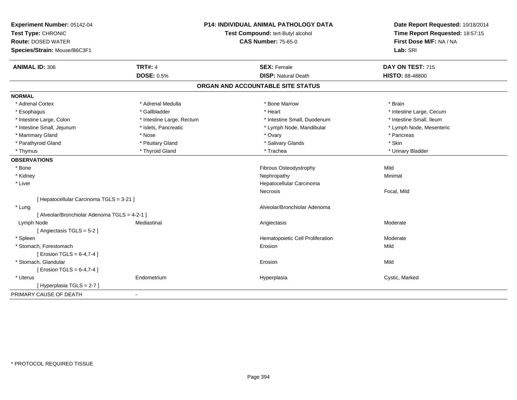| Experiment Number: 05142-04<br>Test Type: CHRONIC<br><b>Route: DOSED WATER</b><br>Species/Strain: Mouse/B6C3F1 |                           | <b>P14: INDIVIDUAL ANIMAL PATHOLOGY DATA</b><br>Test Compound: tert-Butyl alcohol<br><b>CAS Number: 75-65-0</b> | Date Report Requested: 10/18/2014<br>Time Report Requested: 18:57:15<br>First Dose M/F: NA / NA<br>Lab: SRI |
|----------------------------------------------------------------------------------------------------------------|---------------------------|-----------------------------------------------------------------------------------------------------------------|-------------------------------------------------------------------------------------------------------------|
|                                                                                                                | <b>TRT#: 4</b>            |                                                                                                                 |                                                                                                             |
| <b>ANIMAL ID: 306</b>                                                                                          | <b>DOSE: 0.5%</b>         | <b>SEX: Female</b><br><b>DISP: Natural Death</b>                                                                | DAY ON TEST: 715<br>HISTO: 88-48800                                                                         |
|                                                                                                                |                           |                                                                                                                 |                                                                                                             |
|                                                                                                                |                           | ORGAN AND ACCOUNTABLE SITE STATUS                                                                               |                                                                                                             |
| <b>NORMAL</b>                                                                                                  |                           |                                                                                                                 |                                                                                                             |
| * Adrenal Cortex                                                                                               | * Adrenal Medulla         | * Bone Marrow                                                                                                   | * Brain                                                                                                     |
| * Esophagus                                                                                                    | * Gallbladder             | * Heart                                                                                                         | * Intestine Large, Cecum                                                                                    |
| * Intestine Large, Colon                                                                                       | * Intestine Large, Rectum | * Intestine Small, Duodenum                                                                                     | * Intestine Small, Ileum                                                                                    |
| * Intestine Small, Jejunum                                                                                     | * Islets, Pancreatic      | * Lymph Node, Mandibular                                                                                        | * Lymph Node, Mesenteric                                                                                    |
| * Mammary Gland                                                                                                | * Nose                    | * Ovary                                                                                                         | * Pancreas                                                                                                  |
| * Parathyroid Gland                                                                                            | * Pituitary Gland         | * Salivary Glands                                                                                               | * Skin                                                                                                      |
| * Thymus                                                                                                       | * Thyroid Gland           | * Trachea                                                                                                       | * Urinary Bladder                                                                                           |
| <b>OBSERVATIONS</b>                                                                                            |                           |                                                                                                                 |                                                                                                             |
| * Bone                                                                                                         |                           | Fibrous Osteodystrophy                                                                                          | Mild                                                                                                        |
| * Kidney                                                                                                       |                           | Nephropathy                                                                                                     | Minimal                                                                                                     |
| * Liver                                                                                                        |                           | Hepatocellular Carcinoma                                                                                        |                                                                                                             |
|                                                                                                                |                           | Necrosis                                                                                                        | Focal, Mild                                                                                                 |
| [ Hepatocellular Carcinoma TGLS = 3-21 ]                                                                       |                           |                                                                                                                 |                                                                                                             |
| * Lung                                                                                                         |                           | Alveolar/Bronchiolar Adenoma                                                                                    |                                                                                                             |
| [ Alveolar/Bronchiolar Adenoma TGLS = 4-2-1 ]                                                                  |                           |                                                                                                                 |                                                                                                             |
| Lymph Node                                                                                                     | Mediastinal               | Angiectasis                                                                                                     | Moderate                                                                                                    |
| [Angiectasis TGLS = 5-2]                                                                                       |                           |                                                                                                                 |                                                                                                             |
| * Spleen                                                                                                       |                           | Hematopoietic Cell Proliferation                                                                                | Moderate                                                                                                    |
| * Stomach, Forestomach                                                                                         |                           | Erosion                                                                                                         | Mild                                                                                                        |
| [ Erosion TGLS = $6-4,7-4$ ]                                                                                   |                           |                                                                                                                 |                                                                                                             |
| * Stomach, Glandular                                                                                           |                           | Erosion                                                                                                         | Mild                                                                                                        |
| [ Erosion TGLS = 6-4,7-4 ]                                                                                     |                           |                                                                                                                 |                                                                                                             |
| * Uterus                                                                                                       | Endometrium               | Hyperplasia                                                                                                     | Cystic, Marked                                                                                              |
| [Hyperplasia TGLS = $2-7$ ]                                                                                    |                           |                                                                                                                 |                                                                                                             |
| PRIMARY CAUSE OF DEATH                                                                                         | $\sim$                    |                                                                                                                 |                                                                                                             |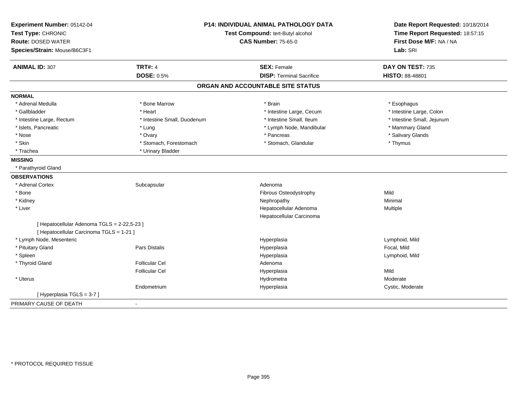| Experiment Number: 05142-04<br>Test Type: CHRONIC<br><b>Route: DOSED WATER</b><br>Species/Strain: Mouse/B6C3F1 | <b>P14: INDIVIDUAL ANIMAL PATHOLOGY DATA</b><br>Test Compound: tert-Butyl alcohol<br><b>CAS Number: 75-65-0</b> |                                   | Date Report Requested: 10/18/2014<br>Time Report Requested: 18:57:15<br>First Dose M/F: NA / NA<br>Lab: SRI |
|----------------------------------------------------------------------------------------------------------------|-----------------------------------------------------------------------------------------------------------------|-----------------------------------|-------------------------------------------------------------------------------------------------------------|
| <b>ANIMAL ID: 307</b>                                                                                          | <b>TRT#: 4</b>                                                                                                  | <b>SEX: Female</b>                | DAY ON TEST: 735                                                                                            |
|                                                                                                                | <b>DOSE: 0.5%</b>                                                                                               | <b>DISP: Terminal Sacrifice</b>   | HISTO: 88-48801                                                                                             |
|                                                                                                                |                                                                                                                 | ORGAN AND ACCOUNTABLE SITE STATUS |                                                                                                             |
| <b>NORMAL</b>                                                                                                  |                                                                                                                 |                                   |                                                                                                             |
| * Adrenal Medulla                                                                                              | * Bone Marrow                                                                                                   | * Brain                           | * Esophagus                                                                                                 |
| * Gallbladder                                                                                                  | * Heart                                                                                                         | * Intestine Large, Cecum          | * Intestine Large, Colon                                                                                    |
| * Intestine Large, Rectum                                                                                      | * Intestine Small, Duodenum                                                                                     | * Intestine Small. Ileum          | * Intestine Small, Jejunum                                                                                  |
| * Islets, Pancreatic                                                                                           | * Lung                                                                                                          | * Lymph Node, Mandibular          | * Mammary Gland                                                                                             |
| * Nose                                                                                                         | * Ovary                                                                                                         | * Pancreas                        | * Salivary Glands                                                                                           |
| * Skin                                                                                                         | * Stomach, Forestomach                                                                                          | * Stomach, Glandular              | * Thymus                                                                                                    |
| * Trachea                                                                                                      | * Urinary Bladder                                                                                               |                                   |                                                                                                             |
| <b>MISSING</b>                                                                                                 |                                                                                                                 |                                   |                                                                                                             |
| * Parathyroid Gland                                                                                            |                                                                                                                 |                                   |                                                                                                             |
| <b>OBSERVATIONS</b>                                                                                            |                                                                                                                 |                                   |                                                                                                             |
| * Adrenal Cortex                                                                                               | Subcapsular                                                                                                     | Adenoma                           |                                                                                                             |
| * Bone                                                                                                         |                                                                                                                 | Fibrous Osteodystrophy            | Mild                                                                                                        |
| * Kidney                                                                                                       |                                                                                                                 | Nephropathy                       | Minimal                                                                                                     |
| * Liver                                                                                                        |                                                                                                                 | Hepatocellular Adenoma            | Multiple                                                                                                    |
|                                                                                                                |                                                                                                                 | Hepatocellular Carcinoma          |                                                                                                             |
| [ Hepatocellular Adenoma TGLS = 2-22,5-23 ]                                                                    |                                                                                                                 |                                   |                                                                                                             |
| [ Hepatocellular Carcinoma TGLS = 1-21 ]                                                                       |                                                                                                                 |                                   |                                                                                                             |
| * Lymph Node, Mesenteric                                                                                       |                                                                                                                 | Hyperplasia                       | Lymphoid, Mild                                                                                              |
| * Pituitary Gland                                                                                              | <b>Pars Distalis</b>                                                                                            | Hyperplasia                       | Focal, Mild                                                                                                 |
| * Spleen                                                                                                       |                                                                                                                 | Hyperplasia                       | Lymphoid, Mild                                                                                              |
| * Thyroid Gland                                                                                                | <b>Follicular Cel</b>                                                                                           | Adenoma                           |                                                                                                             |
|                                                                                                                | <b>Follicular Cel</b>                                                                                           | Hyperplasia                       | Mild                                                                                                        |
| * Uterus                                                                                                       |                                                                                                                 | Hydrometra                        | Moderate                                                                                                    |
|                                                                                                                | Endometrium                                                                                                     | Hyperplasia                       | Cystic, Moderate                                                                                            |
| [Hyperplasia TGLS = 3-7]                                                                                       |                                                                                                                 |                                   |                                                                                                             |
| PRIMARY CAUSE OF DEATH                                                                                         | $\blacksquare$                                                                                                  |                                   |                                                                                                             |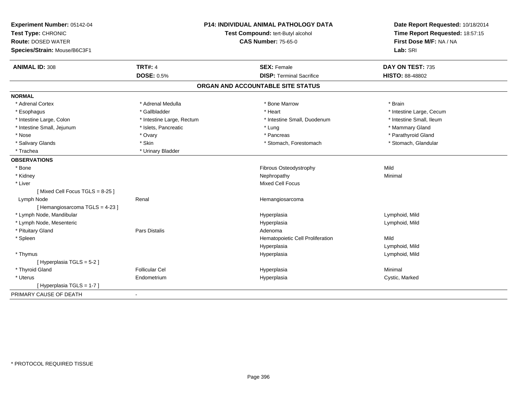| Experiment Number: 05142-04<br>Test Type: CHRONIC<br><b>Route: DOSED WATER</b> |                           | <b>P14: INDIVIDUAL ANIMAL PATHOLOGY DATA</b><br>Test Compound: tert-Butyl alcohol<br><b>CAS Number: 75-65-0</b> | Date Report Requested: 10/18/2014<br>Time Report Requested: 18:57:15<br>First Dose M/F: NA / NA<br>Lab: SRI |  |
|--------------------------------------------------------------------------------|---------------------------|-----------------------------------------------------------------------------------------------------------------|-------------------------------------------------------------------------------------------------------------|--|
| Species/Strain: Mouse/B6C3F1                                                   |                           |                                                                                                                 |                                                                                                             |  |
| <b>ANIMAL ID: 308</b>                                                          | <b>TRT#: 4</b>            | <b>SEX: Female</b>                                                                                              | DAY ON TEST: 735                                                                                            |  |
|                                                                                | <b>DOSE: 0.5%</b>         | <b>DISP: Terminal Sacrifice</b>                                                                                 | HISTO: 88-48802                                                                                             |  |
|                                                                                |                           | ORGAN AND ACCOUNTABLE SITE STATUS                                                                               |                                                                                                             |  |
| <b>NORMAL</b>                                                                  |                           |                                                                                                                 |                                                                                                             |  |
| * Adrenal Cortex                                                               | * Adrenal Medulla         | * Bone Marrow                                                                                                   | * Brain                                                                                                     |  |
| * Esophagus                                                                    | * Gallbladder             | * Heart                                                                                                         | * Intestine Large, Cecum                                                                                    |  |
| * Intestine Large, Colon                                                       | * Intestine Large, Rectum | * Intestine Small, Duodenum                                                                                     | * Intestine Small, Ileum                                                                                    |  |
| * Intestine Small, Jejunum                                                     | * Islets, Pancreatic      | * Lung                                                                                                          | * Mammary Gland                                                                                             |  |
| * Nose                                                                         | * Ovary                   | * Pancreas                                                                                                      | * Parathyroid Gland                                                                                         |  |
| * Salivary Glands                                                              | * Skin                    | * Stomach, Forestomach                                                                                          | * Stomach, Glandular                                                                                        |  |
| * Trachea                                                                      | * Urinary Bladder         |                                                                                                                 |                                                                                                             |  |
| <b>OBSERVATIONS</b>                                                            |                           |                                                                                                                 |                                                                                                             |  |
| * Bone                                                                         |                           | Fibrous Osteodystrophy                                                                                          | Mild                                                                                                        |  |
| * Kidney                                                                       |                           | Nephropathy                                                                                                     | Minimal                                                                                                     |  |
| * Liver                                                                        |                           | Mixed Cell Focus                                                                                                |                                                                                                             |  |
| [Mixed Cell Focus TGLS = $8-25$ ]                                              |                           |                                                                                                                 |                                                                                                             |  |
| Lymph Node                                                                     | Renal                     | Hemangiosarcoma                                                                                                 |                                                                                                             |  |
| [Hemangiosarcoma TGLS = 4-23]                                                  |                           |                                                                                                                 |                                                                                                             |  |
| * Lymph Node, Mandibular                                                       |                           | Hyperplasia                                                                                                     | Lymphoid, Mild                                                                                              |  |
| * Lymph Node, Mesenteric                                                       |                           | Hyperplasia                                                                                                     | Lymphoid, Mild                                                                                              |  |
| * Pituitary Gland                                                              | Pars Distalis             | Adenoma                                                                                                         |                                                                                                             |  |
| * Spleen                                                                       |                           | Hematopoietic Cell Proliferation                                                                                | Mild                                                                                                        |  |
|                                                                                |                           | Hyperplasia                                                                                                     | Lymphoid, Mild                                                                                              |  |
| * Thymus                                                                       |                           | Hyperplasia                                                                                                     | Lymphoid, Mild                                                                                              |  |
| [ Hyperplasia TGLS = 5-2 ]                                                     |                           |                                                                                                                 |                                                                                                             |  |
| * Thyroid Gland                                                                | <b>Follicular Cel</b>     | Hyperplasia                                                                                                     | Minimal                                                                                                     |  |
| * Uterus                                                                       | Endometrium               | Hyperplasia                                                                                                     | Cystic, Marked                                                                                              |  |
| [Hyperplasia TGLS = 1-7]                                                       |                           |                                                                                                                 |                                                                                                             |  |
| PRIMARY CAUSE OF DEATH                                                         | $\blacksquare$            |                                                                                                                 |                                                                                                             |  |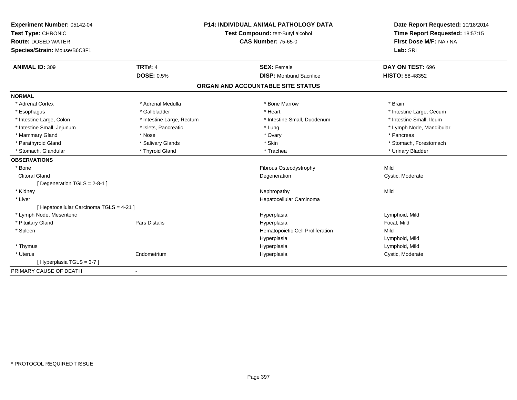| Experiment Number: 05142-04              | <b>P14: INDIVIDUAL ANIMAL PATHOLOGY DATA</b> |                                   | Date Report Requested: 10/18/2014 |
|------------------------------------------|----------------------------------------------|-----------------------------------|-----------------------------------|
| Test Type: CHRONIC                       |                                              | Test Compound: tert-Butyl alcohol | Time Report Requested: 18:57:15   |
| <b>Route: DOSED WATER</b>                |                                              | <b>CAS Number: 75-65-0</b>        | First Dose M/F: NA / NA           |
| Species/Strain: Mouse/B6C3F1             |                                              |                                   | Lab: SRI                          |
| <b>ANIMAL ID: 309</b>                    | <b>TRT#: 4</b>                               | <b>SEX: Female</b>                | DAY ON TEST: 696                  |
|                                          | <b>DOSE: 0.5%</b>                            | <b>DISP:</b> Moribund Sacrifice   | <b>HISTO: 88-48352</b>            |
|                                          |                                              | ORGAN AND ACCOUNTABLE SITE STATUS |                                   |
| <b>NORMAL</b>                            |                                              |                                   |                                   |
| * Adrenal Cortex                         | * Adrenal Medulla                            | * Bone Marrow                     | * Brain                           |
| * Esophagus                              | * Gallbladder                                | * Heart                           | * Intestine Large, Cecum          |
| * Intestine Large, Colon                 | * Intestine Large, Rectum                    | * Intestine Small, Duodenum       | * Intestine Small, Ileum          |
| * Intestine Small, Jejunum               | * Islets, Pancreatic                         | * Lung                            | * Lymph Node, Mandibular          |
| * Mammary Gland                          | * Nose                                       | * Ovary                           | * Pancreas                        |
| * Parathyroid Gland                      | * Salivary Glands                            | * Skin                            | * Stomach, Forestomach            |
| * Stomach, Glandular                     | * Thyroid Gland                              | * Trachea                         | * Urinary Bladder                 |
| <b>OBSERVATIONS</b>                      |                                              |                                   |                                   |
| * Bone                                   |                                              | Fibrous Osteodystrophy            | Mild                              |
| <b>Clitoral Gland</b>                    |                                              | Degeneration                      | Cystic, Moderate                  |
| [Degeneration TGLS = 2-8-1]              |                                              |                                   |                                   |
| * Kidney                                 |                                              | Nephropathy                       | Mild                              |
| * Liver                                  |                                              | Hepatocellular Carcinoma          |                                   |
| [ Hepatocellular Carcinoma TGLS = 4-21 ] |                                              |                                   |                                   |
| * Lymph Node, Mesenteric                 |                                              | Hyperplasia                       | Lymphoid, Mild                    |
| * Pituitary Gland                        | Pars Distalis                                | Hyperplasia                       | Focal, Mild                       |
| * Spleen                                 |                                              | Hematopoietic Cell Proliferation  | Mild                              |
|                                          |                                              | Hyperplasia                       | Lymphoid, Mild                    |
| * Thymus                                 |                                              | Hyperplasia                       | Lymphoid, Mild                    |
| * Uterus                                 | Endometrium                                  | Hyperplasia                       | Cystic, Moderate                  |
| [Hyperplasia TGLS = 3-7]                 |                                              |                                   |                                   |
| PRIMARY CAUSE OF DEATH                   |                                              |                                   |                                   |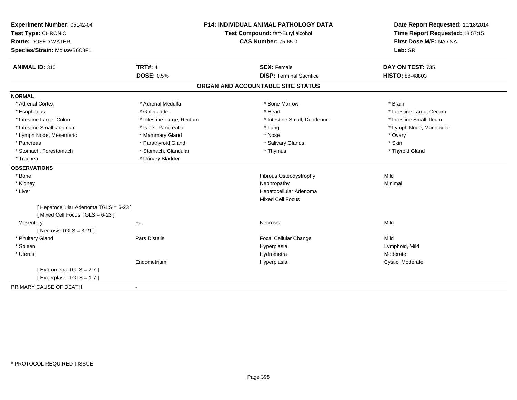| Experiment Number: 05142-04<br>Test Type: CHRONIC<br><b>Route: DOSED WATER</b><br>Species/Strain: Mouse/B6C3F1 |                           | <b>P14: INDIVIDUAL ANIMAL PATHOLOGY DATA</b><br>Test Compound: tert-Butyl alcohol<br><b>CAS Number: 75-65-0</b> | Date Report Requested: 10/18/2014<br>Time Report Requested: 18:57:15<br>First Dose M/F: NA / NA<br>Lab: SRI |
|----------------------------------------------------------------------------------------------------------------|---------------------------|-----------------------------------------------------------------------------------------------------------------|-------------------------------------------------------------------------------------------------------------|
| <b>ANIMAL ID: 310</b>                                                                                          | <b>TRT#: 4</b>            | <b>SEX: Female</b>                                                                                              | DAY ON TEST: 735                                                                                            |
|                                                                                                                | <b>DOSE: 0.5%</b>         | <b>DISP: Terminal Sacrifice</b>                                                                                 | HISTO: 88-48803                                                                                             |
|                                                                                                                |                           | ORGAN AND ACCOUNTABLE SITE STATUS                                                                               |                                                                                                             |
| <b>NORMAL</b>                                                                                                  |                           |                                                                                                                 |                                                                                                             |
| * Adrenal Cortex                                                                                               | * Adrenal Medulla         | * Bone Marrow                                                                                                   | * Brain                                                                                                     |
| * Esophagus                                                                                                    | * Gallbladder             | * Heart                                                                                                         | * Intestine Large, Cecum                                                                                    |
| * Intestine Large, Colon                                                                                       | * Intestine Large, Rectum | * Intestine Small, Duodenum                                                                                     | * Intestine Small, Ileum                                                                                    |
| * Intestine Small, Jejunum                                                                                     | * Islets, Pancreatic      | * Lung                                                                                                          | * Lymph Node, Mandibular                                                                                    |
| * Lymph Node, Mesenteric                                                                                       | * Mammary Gland           | * Nose                                                                                                          | * Ovary                                                                                                     |
| * Pancreas                                                                                                     | * Parathyroid Gland       | * Salivary Glands                                                                                               | * Skin                                                                                                      |
| * Stomach, Forestomach                                                                                         | * Stomach, Glandular      | * Thymus                                                                                                        | * Thyroid Gland                                                                                             |
| * Trachea                                                                                                      | * Urinary Bladder         |                                                                                                                 |                                                                                                             |
| <b>OBSERVATIONS</b>                                                                                            |                           |                                                                                                                 |                                                                                                             |
| * Bone                                                                                                         |                           | Fibrous Osteodystrophy                                                                                          | Mild                                                                                                        |
| * Kidney                                                                                                       |                           | Nephropathy                                                                                                     | Minimal                                                                                                     |
| * Liver                                                                                                        |                           | Hepatocellular Adenoma                                                                                          |                                                                                                             |
|                                                                                                                |                           | <b>Mixed Cell Focus</b>                                                                                         |                                                                                                             |
| [ Hepatocellular Adenoma TGLS = 6-23 ]<br>[Mixed Cell Focus TGLS = 6-23]                                       |                           |                                                                                                                 |                                                                                                             |
| Mesentery                                                                                                      | Fat                       | Necrosis                                                                                                        | Mild                                                                                                        |
| [ Necrosis $TGLS = 3-21$ ]                                                                                     |                           |                                                                                                                 |                                                                                                             |
| * Pituitary Gland                                                                                              | Pars Distalis             | Focal Cellular Change                                                                                           | Mild                                                                                                        |
| * Spleen                                                                                                       |                           | Hyperplasia                                                                                                     | Lymphoid, Mild                                                                                              |
| * Uterus                                                                                                       |                           | Hydrometra                                                                                                      | Moderate                                                                                                    |
|                                                                                                                | Endometrium               | Hyperplasia                                                                                                     | Cystic, Moderate                                                                                            |
| [Hydrometra TGLS = 2-7]<br>[ Hyperplasia TGLS = 1-7 ]                                                          |                           |                                                                                                                 |                                                                                                             |
| PRIMARY CAUSE OF DEATH                                                                                         |                           |                                                                                                                 |                                                                                                             |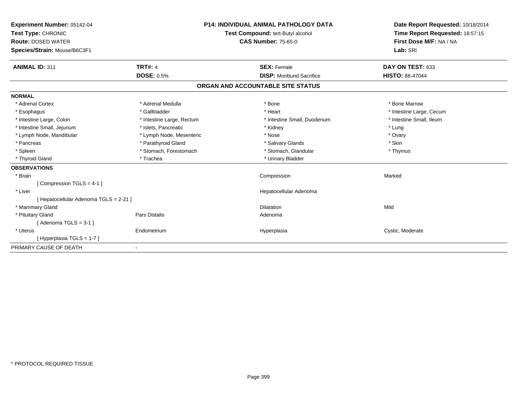| Experiment Number: 05142-04<br>Test Type: CHRONIC<br><b>Route: DOSED WATER</b><br>Species/Strain: Mouse/B6C3F1 |                           | <b>P14: INDIVIDUAL ANIMAL PATHOLOGY DATA</b><br>Test Compound: tert-Butyl alcohol<br><b>CAS Number: 75-65-0</b> | Date Report Requested: 10/18/2014<br>Time Report Requested: 18:57:15<br>First Dose M/F: NA / NA<br>Lab: SRI |
|----------------------------------------------------------------------------------------------------------------|---------------------------|-----------------------------------------------------------------------------------------------------------------|-------------------------------------------------------------------------------------------------------------|
| <b>ANIMAL ID: 311</b>                                                                                          | <b>TRT#: 4</b>            | <b>SEX: Female</b>                                                                                              | DAY ON TEST: 633                                                                                            |
|                                                                                                                | <b>DOSE: 0.5%</b>         | <b>DISP:</b> Moribund Sacrifice                                                                                 | <b>HISTO: 88-47044</b>                                                                                      |
|                                                                                                                |                           | ORGAN AND ACCOUNTABLE SITE STATUS                                                                               |                                                                                                             |
| <b>NORMAL</b>                                                                                                  |                           |                                                                                                                 |                                                                                                             |
| * Adrenal Cortex                                                                                               | * Adrenal Medulla         | * Bone                                                                                                          | * Bone Marrow                                                                                               |
| * Esophagus                                                                                                    | * Gallbladder             | * Heart                                                                                                         | * Intestine Large, Cecum                                                                                    |
| * Intestine Large, Colon                                                                                       | * Intestine Large, Rectum | * Intestine Small, Duodenum                                                                                     | * Intestine Small, Ileum                                                                                    |
| * Intestine Small, Jejunum                                                                                     | * Islets, Pancreatic      | * Kidney                                                                                                        | * Lung                                                                                                      |
| * Lymph Node, Mandibular                                                                                       | * Lymph Node, Mesenteric  | * Nose                                                                                                          | * Ovary                                                                                                     |
| * Pancreas                                                                                                     | * Parathyroid Gland       | * Salivary Glands                                                                                               | * Skin                                                                                                      |
| * Spleen                                                                                                       | * Stomach, Forestomach    | * Stomach, Glandular                                                                                            | * Thymus                                                                                                    |
| * Thyroid Gland                                                                                                | * Trachea                 | * Urinary Bladder                                                                                               |                                                                                                             |
| <b>OBSERVATIONS</b>                                                                                            |                           |                                                                                                                 |                                                                                                             |
| * Brain                                                                                                        |                           | Compression                                                                                                     | Marked                                                                                                      |
| [Compression TGLS = 4-1]                                                                                       |                           |                                                                                                                 |                                                                                                             |
| * Liver                                                                                                        |                           | Hepatocellular Adenoma                                                                                          |                                                                                                             |
| [ Hepatocellular Adenoma TGLS = 2-21 ]                                                                         |                           |                                                                                                                 |                                                                                                             |
| * Mammary Gland                                                                                                |                           | <b>Dilatation</b>                                                                                               | Mild                                                                                                        |
| * Pituitary Gland                                                                                              | <b>Pars Distalis</b>      | Adenoma                                                                                                         |                                                                                                             |
| [Adenoma TGLS = $3-1$ ]                                                                                        |                           |                                                                                                                 |                                                                                                             |
| * Uterus                                                                                                       | Endometrium               | Hyperplasia                                                                                                     | Cystic, Moderate                                                                                            |
| [Hyperplasia TGLS = 1-7]                                                                                       |                           |                                                                                                                 |                                                                                                             |
| PRIMARY CAUSE OF DEATH                                                                                         |                           |                                                                                                                 |                                                                                                             |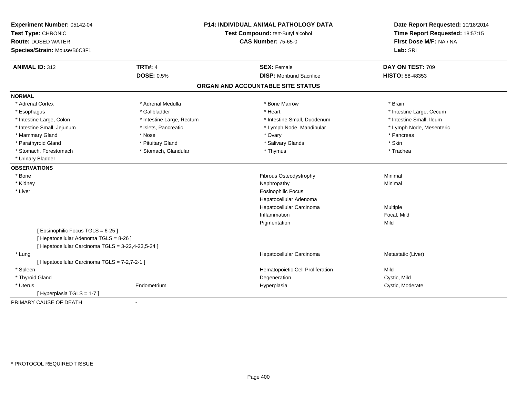| Experiment Number: 05142-04<br>Test Type: CHRONIC<br><b>Route: DOSED WATER</b><br>Species/Strain: Mouse/B6C3F1 |                           | P14: INDIVIDUAL ANIMAL PATHOLOGY DATA<br>Test Compound: tert-Butyl alcohol<br><b>CAS Number: 75-65-0</b> | Date Report Requested: 10/18/2014<br>Time Report Requested: 18:57:15<br>First Dose M/F: NA / NA<br>Lab: SRI |  |
|----------------------------------------------------------------------------------------------------------------|---------------------------|----------------------------------------------------------------------------------------------------------|-------------------------------------------------------------------------------------------------------------|--|
| <b>ANIMAL ID: 312</b>                                                                                          | <b>TRT#: 4</b>            | <b>SEX: Female</b>                                                                                       | DAY ON TEST: 709                                                                                            |  |
|                                                                                                                | <b>DOSE: 0.5%</b>         | <b>DISP:</b> Moribund Sacrifice                                                                          | HISTO: 88-48353                                                                                             |  |
|                                                                                                                |                           | ORGAN AND ACCOUNTABLE SITE STATUS                                                                        |                                                                                                             |  |
| <b>NORMAL</b>                                                                                                  |                           |                                                                                                          |                                                                                                             |  |
| * Adrenal Cortex                                                                                               | * Adrenal Medulla         | * Bone Marrow                                                                                            | * Brain                                                                                                     |  |
| * Esophagus                                                                                                    | * Gallbladder             | * Heart                                                                                                  | * Intestine Large, Cecum                                                                                    |  |
| * Intestine Large, Colon                                                                                       | * Intestine Large, Rectum | * Intestine Small, Duodenum                                                                              | * Intestine Small, Ileum                                                                                    |  |
| * Intestine Small, Jejunum                                                                                     | * Islets, Pancreatic      | * Lymph Node, Mandibular                                                                                 | * Lymph Node, Mesenteric                                                                                    |  |
| * Mammary Gland                                                                                                | * Nose                    | * Ovary                                                                                                  | * Pancreas                                                                                                  |  |
| * Parathyroid Gland                                                                                            | * Pituitary Gland         | * Salivary Glands                                                                                        | * Skin                                                                                                      |  |
| * Stomach, Forestomach                                                                                         | * Stomach, Glandular      | * Thymus                                                                                                 | * Trachea                                                                                                   |  |
| * Urinary Bladder                                                                                              |                           |                                                                                                          |                                                                                                             |  |
| <b>OBSERVATIONS</b>                                                                                            |                           |                                                                                                          |                                                                                                             |  |
| * Bone                                                                                                         |                           | Fibrous Osteodystrophy                                                                                   | Minimal                                                                                                     |  |
| * Kidney                                                                                                       |                           | Nephropathy                                                                                              | Minimal                                                                                                     |  |
| * Liver                                                                                                        |                           | <b>Eosinophilic Focus</b>                                                                                |                                                                                                             |  |
|                                                                                                                |                           | Hepatocellular Adenoma                                                                                   |                                                                                                             |  |
|                                                                                                                |                           | Hepatocellular Carcinoma                                                                                 | Multiple                                                                                                    |  |
|                                                                                                                |                           | Inflammation                                                                                             | Focal, Mild                                                                                                 |  |
|                                                                                                                |                           | Pigmentation                                                                                             | Mild                                                                                                        |  |
| [Eosinophilic Focus TGLS = 6-25]                                                                               |                           |                                                                                                          |                                                                                                             |  |
| [ Hepatocellular Adenoma TGLS = 8-26 ]                                                                         |                           |                                                                                                          |                                                                                                             |  |
| [ Hepatocellular Carcinoma TGLS = 3-22,4-23,5-24 ]                                                             |                           |                                                                                                          |                                                                                                             |  |
| * Lung                                                                                                         |                           | Hepatocellular Carcinoma                                                                                 | Metastatic (Liver)                                                                                          |  |
| [ Hepatocellular Carcinoma TGLS = 7-2,7-2-1 ]                                                                  |                           |                                                                                                          |                                                                                                             |  |
| * Spleen                                                                                                       |                           | Hematopoietic Cell Proliferation                                                                         | Mild                                                                                                        |  |
| * Thyroid Gland                                                                                                |                           | Degeneration                                                                                             | Cystic, Mild                                                                                                |  |
| * Uterus                                                                                                       | Endometrium               | Hyperplasia                                                                                              | Cystic, Moderate                                                                                            |  |
| [ Hyperplasia TGLS = 1-7 ]                                                                                     |                           |                                                                                                          |                                                                                                             |  |
| PRIMARY CAUSE OF DEATH                                                                                         | $\sim$                    |                                                                                                          |                                                                                                             |  |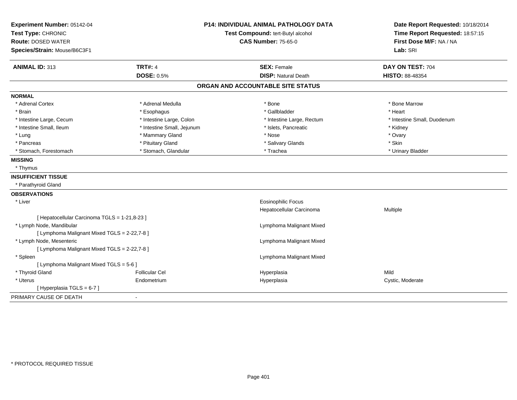| Experiment Number: 05142-04                   |                            | <b>P14: INDIVIDUAL ANIMAL PATHOLOGY DATA</b> | Date Report Requested: 10/18/2014 |
|-----------------------------------------------|----------------------------|----------------------------------------------|-----------------------------------|
| Test Type: CHRONIC                            |                            | Test Compound: tert-Butyl alcohol            | Time Report Requested: 18:57:15   |
| <b>Route: DOSED WATER</b>                     |                            | <b>CAS Number: 75-65-0</b>                   | First Dose M/F: NA / NA           |
| Species/Strain: Mouse/B6C3F1                  |                            |                                              | Lab: SRI                          |
| <b>ANIMAL ID: 313</b>                         | <b>TRT#: 4</b>             | <b>SEX: Female</b>                           | DAY ON TEST: 704                  |
|                                               | <b>DOSE: 0.5%</b>          | <b>DISP: Natural Death</b>                   | HISTO: 88-48354                   |
|                                               |                            | ORGAN AND ACCOUNTABLE SITE STATUS            |                                   |
| <b>NORMAL</b>                                 |                            |                                              |                                   |
| * Adrenal Cortex                              | * Adrenal Medulla          | * Bone                                       | * Bone Marrow                     |
| * Brain                                       | * Esophagus                | * Gallbladder                                | * Heart                           |
| * Intestine Large, Cecum                      | * Intestine Large, Colon   | * Intestine Large, Rectum                    | * Intestine Small, Duodenum       |
| * Intestine Small, Ileum                      | * Intestine Small, Jejunum | * Islets, Pancreatic                         | * Kidney                          |
| * Lung                                        | * Mammary Gland            | * Nose                                       | * Ovary                           |
| * Pancreas                                    | * Pituitary Gland          | * Salivary Glands                            | * Skin                            |
| * Stomach, Forestomach                        | * Stomach, Glandular       | * Trachea                                    | * Urinary Bladder                 |
| <b>MISSING</b>                                |                            |                                              |                                   |
| * Thymus                                      |                            |                                              |                                   |
| <b>INSUFFICIENT TISSUE</b>                    |                            |                                              |                                   |
| * Parathyroid Gland                           |                            |                                              |                                   |
| <b>OBSERVATIONS</b>                           |                            |                                              |                                   |
| * Liver                                       |                            | <b>Eosinophilic Focus</b>                    |                                   |
|                                               |                            | Hepatocellular Carcinoma                     | Multiple                          |
| [ Hepatocellular Carcinoma TGLS = 1-21,8-23 ] |                            |                                              |                                   |
| * Lymph Node, Mandibular                      |                            | Lymphoma Malignant Mixed                     |                                   |
| [ Lymphoma Malignant Mixed TGLS = 2-22,7-8 ]  |                            |                                              |                                   |
| * Lymph Node, Mesenteric                      |                            | Lymphoma Malignant Mixed                     |                                   |
| [ Lymphoma Malignant Mixed TGLS = 2-22,7-8 ]  |                            |                                              |                                   |
| * Spleen                                      |                            | Lymphoma Malignant Mixed                     |                                   |
| [ Lymphoma Malignant Mixed TGLS = 5-6 ]       |                            |                                              |                                   |
| * Thyroid Gland                               | <b>Follicular Cel</b>      | Hyperplasia                                  | Mild                              |
| * Uterus                                      | Endometrium                | Hyperplasia                                  | Cystic, Moderate                  |
| [ Hyperplasia TGLS = 6-7 ]                    |                            |                                              |                                   |
| PRIMARY CAUSE OF DEATH                        | $\blacksquare$             |                                              |                                   |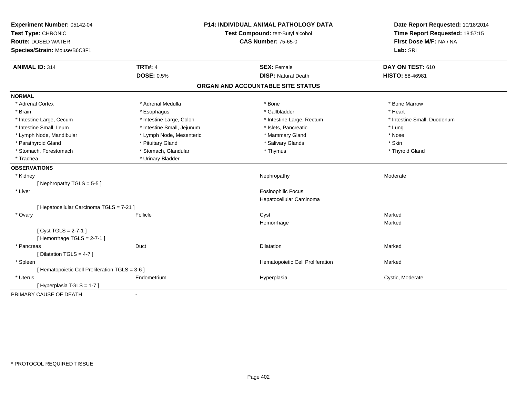| Experiment Number: 05142-04                     |                            | <b>P14: INDIVIDUAL ANIMAL PATHOLOGY DATA</b> | Date Report Requested: 10/18/2014                          |
|-------------------------------------------------|----------------------------|----------------------------------------------|------------------------------------------------------------|
| Test Type: CHRONIC                              |                            | Test Compound: tert-Butyl alcohol            | Time Report Requested: 18:57:15<br>First Dose M/F: NA / NA |
| <b>Route: DOSED WATER</b>                       |                            | <b>CAS Number: 75-65-0</b>                   |                                                            |
| Species/Strain: Mouse/B6C3F1                    |                            |                                              | Lab: SRI                                                   |
| <b>ANIMAL ID: 314</b>                           | <b>TRT#: 4</b>             | <b>SEX: Female</b>                           | DAY ON TEST: 610                                           |
|                                                 | <b>DOSE: 0.5%</b>          | <b>DISP: Natural Death</b>                   | HISTO: 88-46981                                            |
|                                                 |                            | ORGAN AND ACCOUNTABLE SITE STATUS            |                                                            |
| <b>NORMAL</b>                                   |                            |                                              |                                                            |
| * Adrenal Cortex                                | * Adrenal Medulla          | * Bone                                       | * Bone Marrow                                              |
| * Brain                                         | * Esophagus                | * Gallbladder                                | * Heart                                                    |
| * Intestine Large, Cecum                        | * Intestine Large, Colon   | * Intestine Large, Rectum                    | * Intestine Small, Duodenum                                |
| * Intestine Small, Ileum                        | * Intestine Small, Jejunum | * Islets, Pancreatic                         | * Lung                                                     |
| * Lymph Node, Mandibular                        | * Lymph Node, Mesenteric   | * Mammary Gland                              | * Nose                                                     |
| * Parathyroid Gland                             | * Pituitary Gland          | * Salivary Glands                            | * Skin                                                     |
| * Stomach, Forestomach                          | * Stomach, Glandular       | * Thymus                                     | * Thyroid Gland                                            |
| * Trachea                                       | * Urinary Bladder          |                                              |                                                            |
| <b>OBSERVATIONS</b>                             |                            |                                              |                                                            |
| * Kidney                                        |                            | Nephropathy                                  | Moderate                                                   |
| [Nephropathy TGLS = $5-5$ ]                     |                            |                                              |                                                            |
| * Liver                                         |                            | <b>Eosinophilic Focus</b>                    |                                                            |
|                                                 |                            | Hepatocellular Carcinoma                     |                                                            |
| [ Hepatocellular Carcinoma TGLS = 7-21 ]        |                            |                                              |                                                            |
| * Ovary                                         | Follicle                   | Cyst                                         | Marked                                                     |
|                                                 |                            | Hemorrhage                                   | Marked                                                     |
| [Cyst TGLS = $2-7-1$ ]                          |                            |                                              |                                                            |
| [Hemorrhage TGLS = 2-7-1]                       |                            |                                              |                                                            |
| * Pancreas                                      | Duct                       | <b>Dilatation</b>                            | Marked                                                     |
| [ Dilatation TGLS = 4-7 ]                       |                            |                                              |                                                            |
| * Spleen                                        |                            | Hematopoietic Cell Proliferation             | Marked                                                     |
| [ Hematopoietic Cell Proliferation TGLS = 3-6 ] |                            |                                              |                                                            |
| * Uterus                                        | Endometrium                | Hyperplasia                                  | Cystic, Moderate                                           |
| [Hyperplasia TGLS = $1-7$ ]                     |                            |                                              |                                                            |
| PRIMARY CAUSE OF DEATH                          | $\sim$                     |                                              |                                                            |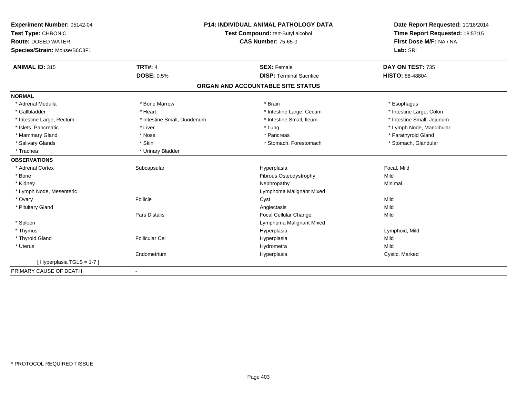| Experiment Number: 05142-04  | <b>P14: INDIVIDUAL ANIMAL PATHOLOGY DATA</b> |                                   | Date Report Requested: 10/18/2014 |  |
|------------------------------|----------------------------------------------|-----------------------------------|-----------------------------------|--|
| Test Type: CHRONIC           |                                              | Test Compound: tert-Butyl alcohol | Time Report Requested: 18:57:15   |  |
| <b>Route: DOSED WATER</b>    |                                              | <b>CAS Number: 75-65-0</b>        | First Dose M/F: NA / NA           |  |
| Species/Strain: Mouse/B6C3F1 |                                              |                                   | Lab: SRI                          |  |
| <b>ANIMAL ID: 315</b>        | <b>TRT#: 4</b>                               | <b>SEX: Female</b>                | DAY ON TEST: 735                  |  |
|                              | <b>DOSE: 0.5%</b>                            | <b>DISP: Terminal Sacrifice</b>   | <b>HISTO: 88-48804</b>            |  |
|                              |                                              | ORGAN AND ACCOUNTABLE SITE STATUS |                                   |  |
| <b>NORMAL</b>                |                                              |                                   |                                   |  |
| * Adrenal Medulla            | * Bone Marrow                                | * Brain                           | * Esophagus                       |  |
| * Gallbladder                | * Heart                                      | * Intestine Large, Cecum          | * Intestine Large, Colon          |  |
| * Intestine Large, Rectum    | * Intestine Small, Duodenum                  | * Intestine Small, Ileum          | * Intestine Small, Jejunum        |  |
| * Islets, Pancreatic         | * Liver                                      | * Lung                            | * Lymph Node, Mandibular          |  |
| * Mammary Gland              | * Nose                                       | * Pancreas                        | * Parathyroid Gland               |  |
| * Salivary Glands            | * Skin                                       | * Stomach, Forestomach            | * Stomach, Glandular              |  |
| * Trachea                    | * Urinary Bladder                            |                                   |                                   |  |
| <b>OBSERVATIONS</b>          |                                              |                                   |                                   |  |
| * Adrenal Cortex             | Subcapsular                                  | Hyperplasia                       | Focal, Mild                       |  |
| * Bone                       |                                              | Fibrous Osteodystrophy            | Mild                              |  |
| * Kidney                     |                                              | Nephropathy                       | Minimal                           |  |
| * Lymph Node, Mesenteric     |                                              | Lymphoma Malignant Mixed          |                                   |  |
| * Ovary                      | Follicle                                     | Cyst                              | Mild                              |  |
| * Pituitary Gland            |                                              | Angiectasis                       | Mild                              |  |
|                              | Pars Distalis                                | Focal Cellular Change             | Mild                              |  |
| * Spleen                     |                                              | Lymphoma Malignant Mixed          |                                   |  |
| * Thymus                     |                                              | Hyperplasia                       | Lymphoid, Mild                    |  |
| * Thyroid Gland              | <b>Follicular Cel</b>                        | Hyperplasia                       | Mild                              |  |
| * Uterus                     |                                              | Hydrometra                        | Mild                              |  |
|                              | Endometrium                                  | Hyperplasia                       | Cystic, Marked                    |  |
| [Hyperplasia TGLS = 1-7]     |                                              |                                   |                                   |  |
| PRIMARY CAUSE OF DEATH       |                                              |                                   |                                   |  |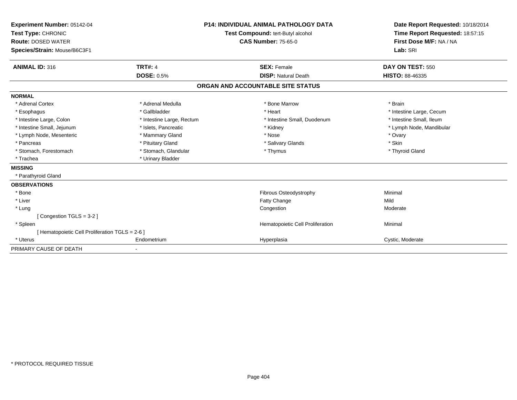| Experiment Number: 05142-04<br>Test Type: CHRONIC<br><b>Route: DOSED WATER</b><br>Species/Strain: Mouse/B6C3F1 | <b>P14: INDIVIDUAL ANIMAL PATHOLOGY DATA</b><br><b>Test Compound: tert-Butyl alcohol</b><br><b>CAS Number: 75-65-0</b> |                                                  | Date Report Requested: 10/18/2014<br>Time Report Requested: 18:57:15<br>First Dose M/F: NA / NA<br>Lab: SRI |  |
|----------------------------------------------------------------------------------------------------------------|------------------------------------------------------------------------------------------------------------------------|--------------------------------------------------|-------------------------------------------------------------------------------------------------------------|--|
| <b>ANIMAL ID: 316</b>                                                                                          | <b>TRT#: 4</b><br><b>DOSE: 0.5%</b>                                                                                    | <b>SEX: Female</b><br><b>DISP: Natural Death</b> | DAY ON TEST: 550<br><b>HISTO: 88-46335</b>                                                                  |  |
|                                                                                                                |                                                                                                                        |                                                  |                                                                                                             |  |
|                                                                                                                |                                                                                                                        | ORGAN AND ACCOUNTABLE SITE STATUS                |                                                                                                             |  |
| <b>NORMAL</b>                                                                                                  |                                                                                                                        |                                                  |                                                                                                             |  |
| * Adrenal Cortex                                                                                               | * Adrenal Medulla                                                                                                      | * Bone Marrow                                    | * Brain                                                                                                     |  |
| * Esophagus                                                                                                    | * Gallbladder                                                                                                          | * Heart                                          | * Intestine Large, Cecum                                                                                    |  |
| * Intestine Large, Colon                                                                                       | * Intestine Large, Rectum                                                                                              | * Intestine Small, Duodenum                      | * Intestine Small, Ileum                                                                                    |  |
| * Intestine Small, Jejunum                                                                                     | * Islets, Pancreatic                                                                                                   | * Kidney                                         | * Lymph Node, Mandibular                                                                                    |  |
| * Lymph Node, Mesenteric                                                                                       | * Mammary Gland                                                                                                        | * Nose                                           | * Ovary                                                                                                     |  |
| * Pancreas                                                                                                     | * Pituitary Gland                                                                                                      | * Salivary Glands                                | * Skin                                                                                                      |  |
| * Stomach, Forestomach                                                                                         | * Stomach, Glandular                                                                                                   | * Thymus                                         | * Thyroid Gland                                                                                             |  |
| * Trachea                                                                                                      | * Urinary Bladder                                                                                                      |                                                  |                                                                                                             |  |
| <b>MISSING</b>                                                                                                 |                                                                                                                        |                                                  |                                                                                                             |  |
| * Parathyroid Gland                                                                                            |                                                                                                                        |                                                  |                                                                                                             |  |
| <b>OBSERVATIONS</b>                                                                                            |                                                                                                                        |                                                  |                                                                                                             |  |
| * Bone                                                                                                         |                                                                                                                        | <b>Fibrous Osteodystrophy</b>                    | Minimal                                                                                                     |  |
| * Liver                                                                                                        |                                                                                                                        | <b>Fatty Change</b>                              | Mild                                                                                                        |  |
| * Lung                                                                                                         |                                                                                                                        | Congestion                                       | Moderate                                                                                                    |  |
| [Congestion TGLS = 3-2]                                                                                        |                                                                                                                        |                                                  |                                                                                                             |  |
| * Spleen                                                                                                       |                                                                                                                        | Hematopoietic Cell Proliferation                 | Minimal                                                                                                     |  |
| [ Hematopoietic Cell Proliferation TGLS = 2-6 ]                                                                |                                                                                                                        |                                                  |                                                                                                             |  |
| * Uterus                                                                                                       | Endometrium                                                                                                            | Hyperplasia                                      | Cystic, Moderate                                                                                            |  |
| PRIMARY CAUSE OF DEATH                                                                                         |                                                                                                                        |                                                  |                                                                                                             |  |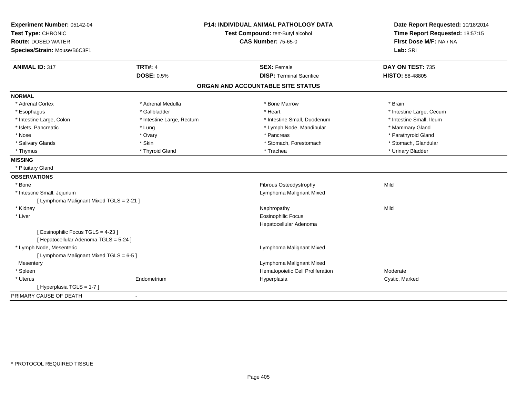| Experiment Number: 05142-04              | <b>P14: INDIVIDUAL ANIMAL PATHOLOGY DATA</b> |                                   | Date Report Requested: 10/18/2014 |  |
|------------------------------------------|----------------------------------------------|-----------------------------------|-----------------------------------|--|
| Test Type: CHRONIC                       |                                              | Test Compound: tert-Butyl alcohol | Time Report Requested: 18:57:15   |  |
| <b>Route: DOSED WATER</b>                |                                              | <b>CAS Number: 75-65-0</b>        | First Dose M/F: NA / NA           |  |
| Species/Strain: Mouse/B6C3F1             |                                              |                                   | Lab: SRI                          |  |
| <b>ANIMAL ID: 317</b>                    | <b>TRT#: 4</b>                               | <b>SEX: Female</b>                | DAY ON TEST: 735                  |  |
|                                          | <b>DOSE: 0.5%</b>                            | <b>DISP: Terminal Sacrifice</b>   | HISTO: 88-48805                   |  |
|                                          |                                              | ORGAN AND ACCOUNTABLE SITE STATUS |                                   |  |
| <b>NORMAL</b>                            |                                              |                                   |                                   |  |
| * Adrenal Cortex                         | * Adrenal Medulla                            | * Bone Marrow                     | * Brain                           |  |
| * Esophagus                              | * Gallbladder                                | * Heart                           | * Intestine Large, Cecum          |  |
| * Intestine Large, Colon                 | * Intestine Large, Rectum                    | * Intestine Small. Duodenum       | * Intestine Small, Ileum          |  |
| * Islets, Pancreatic                     | * Lung                                       | * Lymph Node, Mandibular          | * Mammary Gland                   |  |
| * Nose                                   | * Ovary                                      | * Pancreas                        | * Parathyroid Gland               |  |
| * Salivary Glands                        | * Skin                                       | * Stomach, Forestomach            | * Stomach, Glandular              |  |
| * Thymus                                 | * Thyroid Gland                              | * Trachea                         | * Urinary Bladder                 |  |
| <b>MISSING</b>                           |                                              |                                   |                                   |  |
| * Pituitary Gland                        |                                              |                                   |                                   |  |
| <b>OBSERVATIONS</b>                      |                                              |                                   |                                   |  |
| * Bone                                   |                                              | Fibrous Osteodystrophy            | Mild                              |  |
| * Intestine Small, Jejunum               |                                              | Lymphoma Malignant Mixed          |                                   |  |
| [ Lymphoma Malignant Mixed TGLS = 2-21 ] |                                              |                                   |                                   |  |
| * Kidney                                 |                                              | Nephropathy                       | Mild                              |  |
| * Liver                                  |                                              | <b>Eosinophilic Focus</b>         |                                   |  |
|                                          |                                              | Hepatocellular Adenoma            |                                   |  |
| [ Eosinophilic Focus TGLS = 4-23 ]       |                                              |                                   |                                   |  |
| [ Hepatocellular Adenoma TGLS = 5-24 ]   |                                              |                                   |                                   |  |
| * Lymph Node, Mesenteric                 |                                              | Lymphoma Malignant Mixed          |                                   |  |
| [ Lymphoma Malignant Mixed TGLS = 6-5 ]  |                                              |                                   |                                   |  |
| Mesentery                                |                                              | Lymphoma Malignant Mixed          |                                   |  |
| * Spleen                                 |                                              | Hematopoietic Cell Proliferation  | Moderate                          |  |
| * Uterus                                 | Endometrium                                  | Hyperplasia                       | Cystic, Marked                    |  |
| [ Hyperplasia TGLS = 1-7 ]               |                                              |                                   |                                   |  |
| PRIMARY CAUSE OF DEATH                   | $\sim$                                       |                                   |                                   |  |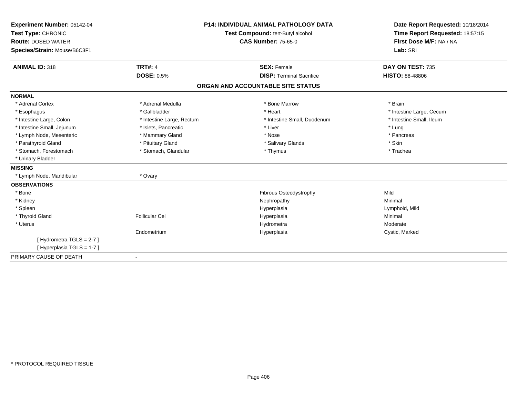| Experiment Number: 05142-04<br>Test Type: CHRONIC |                           | <b>P14: INDIVIDUAL ANIMAL PATHOLOGY DATA</b> | Date Report Requested: 10/18/2014 |
|---------------------------------------------------|---------------------------|----------------------------------------------|-----------------------------------|
|                                                   |                           | Test Compound: tert-Butyl alcohol            | Time Report Requested: 18:57:15   |
| <b>Route: DOSED WATER</b>                         |                           | <b>CAS Number: 75-65-0</b>                   | First Dose M/F: NA / NA           |
| Species/Strain: Mouse/B6C3F1                      |                           |                                              | Lab: SRI                          |
| <b>ANIMAL ID: 318</b>                             | <b>TRT#: 4</b>            | <b>SEX: Female</b>                           | DAY ON TEST: 735                  |
|                                                   | <b>DOSE: 0.5%</b>         | <b>DISP: Terminal Sacrifice</b>              | <b>HISTO: 88-48806</b>            |
|                                                   |                           | ORGAN AND ACCOUNTABLE SITE STATUS            |                                   |
| <b>NORMAL</b>                                     |                           |                                              |                                   |
| * Adrenal Cortex                                  | * Adrenal Medulla         | * Bone Marrow                                | * Brain                           |
| * Esophagus                                       | * Gallbladder             | * Heart                                      | * Intestine Large, Cecum          |
| * Intestine Large, Colon                          | * Intestine Large, Rectum | * Intestine Small, Duodenum                  | * Intestine Small, Ileum          |
| * Intestine Small, Jejunum                        | * Islets, Pancreatic      | * Liver                                      | * Lung                            |
| * Lymph Node, Mesenteric                          | * Mammary Gland           | * Nose                                       | * Pancreas                        |
| * Parathyroid Gland                               | * Pituitary Gland         | * Salivary Glands                            | * Skin                            |
| * Stomach, Forestomach                            | * Stomach, Glandular      | * Thymus                                     | * Trachea                         |
| * Urinary Bladder                                 |                           |                                              |                                   |
| <b>MISSING</b>                                    |                           |                                              |                                   |
| * Lymph Node, Mandibular                          | * Ovary                   |                                              |                                   |
| <b>OBSERVATIONS</b>                               |                           |                                              |                                   |
| * Bone                                            |                           | <b>Fibrous Osteodystrophy</b>                | Mild                              |
| * Kidney                                          |                           | Nephropathy                                  | Minimal                           |
| * Spleen                                          |                           | Hyperplasia                                  | Lymphoid, Mild                    |
| * Thyroid Gland                                   | <b>Follicular Cel</b>     | Hyperplasia                                  | Minimal                           |
| * Uterus                                          |                           | Hydrometra                                   | Moderate                          |
|                                                   | Endometrium               | Hyperplasia                                  | Cystic, Marked                    |
| [Hydrometra TGLS = $2-7$ ]                        |                           |                                              |                                   |
| [Hyperplasia TGLS = 1-7]                          |                           |                                              |                                   |
| PRIMARY CAUSE OF DEATH                            |                           |                                              |                                   |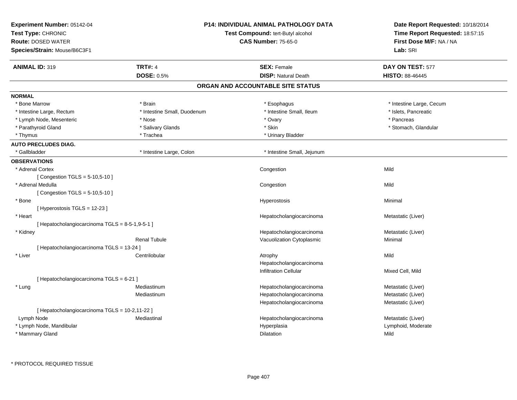| Experiment Number: 05142-04<br>Test Type: CHRONIC<br><b>Route: DOSED WATER</b> |                             | <b>P14: INDIVIDUAL ANIMAL PATHOLOGY DATA</b><br>Test Compound: tert-Butyl alcohol<br><b>CAS Number: 75-65-0</b> | Date Report Requested: 10/18/2014<br>Time Report Requested: 18:57:15<br>First Dose M/F: NA / NA |  |
|--------------------------------------------------------------------------------|-----------------------------|-----------------------------------------------------------------------------------------------------------------|-------------------------------------------------------------------------------------------------|--|
| Species/Strain: Mouse/B6C3F1                                                   |                             |                                                                                                                 | Lab: SRI                                                                                        |  |
| <b>ANIMAL ID: 319</b>                                                          | <b>TRT#: 4</b>              | <b>SEX: Female</b>                                                                                              | DAY ON TEST: 577                                                                                |  |
|                                                                                | <b>DOSE: 0.5%</b>           | <b>DISP: Natural Death</b>                                                                                      | <b>HISTO: 88-46445</b>                                                                          |  |
|                                                                                |                             | ORGAN AND ACCOUNTABLE SITE STATUS                                                                               |                                                                                                 |  |
| <b>NORMAL</b>                                                                  |                             |                                                                                                                 |                                                                                                 |  |
| * Bone Marrow                                                                  | * Brain                     | * Esophagus                                                                                                     | * Intestine Large, Cecum                                                                        |  |
| * Intestine Large, Rectum                                                      | * Intestine Small, Duodenum | * Intestine Small, Ileum                                                                                        | * Islets, Pancreatic                                                                            |  |
| * Lymph Node, Mesenteric                                                       | * Nose                      | * Ovary                                                                                                         | * Pancreas                                                                                      |  |
| * Parathyroid Gland                                                            | * Salivary Glands           | * Skin                                                                                                          | * Stomach, Glandular                                                                            |  |
| * Thymus                                                                       | * Trachea                   | * Urinary Bladder                                                                                               |                                                                                                 |  |
| <b>AUTO PRECLUDES DIAG.</b>                                                    |                             |                                                                                                                 |                                                                                                 |  |
| * Gallbladder                                                                  | * Intestine Large, Colon    | * Intestine Small, Jejunum                                                                                      |                                                                                                 |  |
| <b>OBSERVATIONS</b>                                                            |                             |                                                                                                                 |                                                                                                 |  |
| * Adrenal Cortex                                                               |                             | Congestion                                                                                                      | Mild                                                                                            |  |
| [ Congestion TGLS = $5-10,5-10$ ]                                              |                             |                                                                                                                 |                                                                                                 |  |
| * Adrenal Medulla                                                              |                             | Congestion                                                                                                      | Mild                                                                                            |  |
| [Congestion TGLS = $5-10,5-10$ ]                                               |                             |                                                                                                                 |                                                                                                 |  |
| * Bone                                                                         |                             | <b>Hyperostosis</b>                                                                                             | Minimal                                                                                         |  |
| [Hyperostosis TGLS = 12-23]                                                    |                             |                                                                                                                 |                                                                                                 |  |
| * Heart                                                                        |                             | Hepatocholangiocarcinoma                                                                                        | Metastatic (Liver)                                                                              |  |
| [ Hepatocholangiocarcinoma TGLS = 8-5-1,9-5-1 ]                                |                             |                                                                                                                 |                                                                                                 |  |
| * Kidney                                                                       |                             | Hepatocholangiocarcinoma                                                                                        | Metastatic (Liver)                                                                              |  |
|                                                                                | <b>Renal Tubule</b>         | Vacuolization Cytoplasmic                                                                                       | Minimal                                                                                         |  |
| [ Hepatocholangiocarcinoma TGLS = 13-24 ]                                      |                             |                                                                                                                 |                                                                                                 |  |
| * Liver                                                                        | Centrilobular               | Atrophy                                                                                                         | Mild                                                                                            |  |
|                                                                                |                             | Hepatocholangiocarcinoma                                                                                        |                                                                                                 |  |
|                                                                                |                             | <b>Infiltration Cellular</b>                                                                                    | Mixed Cell, Mild                                                                                |  |
| [ Hepatocholangiocarcinoma TGLS = 6-21 ]                                       |                             |                                                                                                                 |                                                                                                 |  |
| * Lung                                                                         | Mediastinum                 | Hepatocholangiocarcinoma                                                                                        | Metastatic (Liver)                                                                              |  |
|                                                                                | Mediastinum                 | Hepatocholangiocarcinoma                                                                                        | Metastatic (Liver)                                                                              |  |
|                                                                                |                             | Hepatocholangiocarcinoma                                                                                        | Metastatic (Liver)                                                                              |  |
| [ Hepatocholangiocarcinoma TGLS = 10-2,11-22 ]                                 |                             |                                                                                                                 |                                                                                                 |  |
| Lymph Node                                                                     | Mediastinal                 | Hepatocholangiocarcinoma                                                                                        | Metastatic (Liver)                                                                              |  |
| * Lymph Node, Mandibular                                                       |                             | Hyperplasia                                                                                                     | Lymphoid, Moderate                                                                              |  |
| * Mammary Gland                                                                |                             | <b>Dilatation</b>                                                                                               | Mild                                                                                            |  |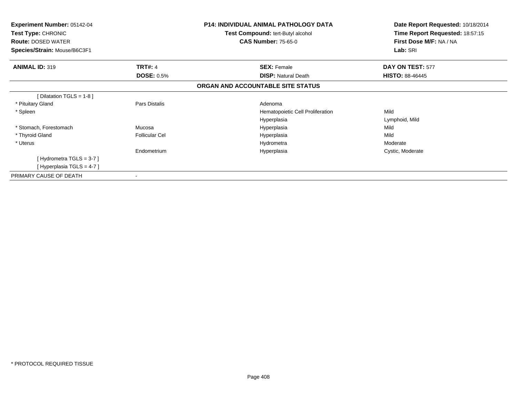| <b>Experiment Number: 05142-04</b><br><b>Test Type: CHRONIC</b><br><b>Route: DOSED WATER</b><br>Species/Strain: Mouse/B6C3F1 |                       | <b>P14: INDIVIDUAL ANIMAL PATHOLOGY DATA</b><br><b>Test Compound: tert-Butyl alcohol</b><br><b>CAS Number: 75-65-0</b> | Date Report Requested: 10/18/2014<br>Time Report Requested: 18:57:15<br>First Dose M/F: NA / NA<br>Lab: SRI |
|------------------------------------------------------------------------------------------------------------------------------|-----------------------|------------------------------------------------------------------------------------------------------------------------|-------------------------------------------------------------------------------------------------------------|
| <b>ANIMAL ID: 319</b>                                                                                                        | <b>TRT#: 4</b>        | <b>SEX: Female</b>                                                                                                     | DAY ON TEST: 577                                                                                            |
|                                                                                                                              | <b>DOSE: 0.5%</b>     | <b>DISP: Natural Death</b>                                                                                             | <b>HISTO: 88-46445</b>                                                                                      |
|                                                                                                                              |                       | ORGAN AND ACCOUNTABLE SITE STATUS                                                                                      |                                                                                                             |
| [Dilatation TGLS = 1-8]                                                                                                      |                       |                                                                                                                        |                                                                                                             |
| * Pituitary Gland                                                                                                            | Pars Distalis         | Adenoma                                                                                                                |                                                                                                             |
| * Spleen                                                                                                                     |                       | Hematopoietic Cell Proliferation                                                                                       | Mild                                                                                                        |
|                                                                                                                              |                       | Hyperplasia                                                                                                            | Lymphoid, Mild                                                                                              |
| * Stomach, Forestomach                                                                                                       | Mucosa                | Hyperplasia                                                                                                            | Mild                                                                                                        |
| * Thyroid Gland                                                                                                              | <b>Follicular Cel</b> | Hyperplasia                                                                                                            | Mild                                                                                                        |
| * Uterus                                                                                                                     |                       | Hydrometra                                                                                                             | Moderate                                                                                                    |
|                                                                                                                              | Endometrium           | Hyperplasia                                                                                                            | Cystic, Moderate                                                                                            |
| [Hydrometra TGLS = $3-7$ ]                                                                                                   |                       |                                                                                                                        |                                                                                                             |
| [Hyperplasia TGLS = 4-7]                                                                                                     |                       |                                                                                                                        |                                                                                                             |
| PRIMARY CAUSE OF DEATH                                                                                                       |                       |                                                                                                                        |                                                                                                             |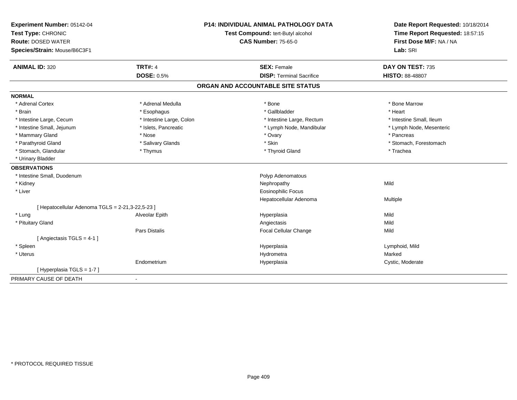| Experiment Number: 05142-04<br>Test Type: CHRONIC<br><b>Route: DOSED WATER</b> |                          | <b>P14: INDIVIDUAL ANIMAL PATHOLOGY DATA</b> | Date Report Requested: 10/18/2014<br>Time Report Requested: 18:57:15<br>First Dose M/F: NA / NA |
|--------------------------------------------------------------------------------|--------------------------|----------------------------------------------|-------------------------------------------------------------------------------------------------|
|                                                                                |                          | Test Compound: tert-Butyl alcohol            |                                                                                                 |
|                                                                                |                          | <b>CAS Number: 75-65-0</b>                   |                                                                                                 |
| Species/Strain: Mouse/B6C3F1                                                   |                          |                                              | Lab: SRI                                                                                        |
| <b>ANIMAL ID: 320</b>                                                          | <b>TRT#: 4</b>           | <b>SEX: Female</b>                           | DAY ON TEST: 735                                                                                |
|                                                                                | <b>DOSE: 0.5%</b>        | <b>DISP: Terminal Sacrifice</b>              | <b>HISTO: 88-48807</b>                                                                          |
|                                                                                |                          | ORGAN AND ACCOUNTABLE SITE STATUS            |                                                                                                 |
| <b>NORMAL</b>                                                                  |                          |                                              |                                                                                                 |
| * Adrenal Cortex                                                               | * Adrenal Medulla        | * Bone                                       | * Bone Marrow                                                                                   |
| * Brain                                                                        | * Esophagus              | * Gallbladder                                | * Heart                                                                                         |
| * Intestine Large, Cecum                                                       | * Intestine Large, Colon | * Intestine Large, Rectum                    | * Intestine Small, Ileum                                                                        |
| * Intestine Small, Jejunum                                                     | * Islets, Pancreatic     | * Lymph Node, Mandibular                     | * Lymph Node, Mesenteric                                                                        |
| * Mammary Gland                                                                | * Nose                   | * Ovary                                      | * Pancreas                                                                                      |
| * Parathyroid Gland                                                            | * Salivary Glands        | * Skin                                       | * Stomach, Forestomach                                                                          |
| * Stomach, Glandular                                                           | * Thymus                 | * Thyroid Gland                              | * Trachea                                                                                       |
| * Urinary Bladder                                                              |                          |                                              |                                                                                                 |
| <b>OBSERVATIONS</b>                                                            |                          |                                              |                                                                                                 |
| * Intestine Small, Duodenum                                                    |                          | Polyp Adenomatous                            |                                                                                                 |
| * Kidney                                                                       |                          | Nephropathy                                  | Mild                                                                                            |
| * Liver                                                                        |                          | <b>Eosinophilic Focus</b>                    |                                                                                                 |
|                                                                                |                          | Hepatocellular Adenoma                       | Multiple                                                                                        |
| [ Hepatocellular Adenoma TGLS = 2-21,3-22,5-23 ]                               |                          |                                              |                                                                                                 |
| * Lung                                                                         | Alveolar Epith           | Hyperplasia                                  | Mild                                                                                            |
| * Pituitary Gland                                                              |                          | Angiectasis                                  | Mild                                                                                            |
|                                                                                | Pars Distalis            | Focal Cellular Change                        | Mild                                                                                            |
| [ Angiectasis TGLS = 4-1 ]                                                     |                          |                                              |                                                                                                 |
| * Spleen                                                                       |                          | Hyperplasia                                  | Lymphoid, Mild                                                                                  |
| * Uterus                                                                       |                          | Hydrometra                                   | Marked                                                                                          |
|                                                                                | Endometrium              | Hyperplasia                                  | Cystic, Moderate                                                                                |
| [Hyperplasia TGLS = 1-7]                                                       |                          |                                              |                                                                                                 |
| PRIMARY CAUSE OF DEATH                                                         | $\blacksquare$           |                                              |                                                                                                 |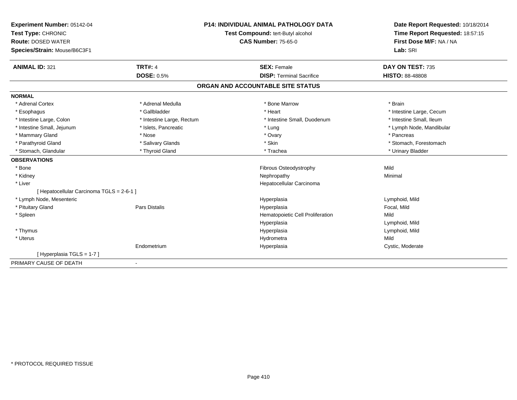| Experiment Number: 05142-04               |                           | <b>P14: INDIVIDUAL ANIMAL PATHOLOGY DATA</b> | Date Report Requested: 10/18/2014                          |
|-------------------------------------------|---------------------------|----------------------------------------------|------------------------------------------------------------|
| Test Type: CHRONIC                        |                           | Test Compound: tert-Butyl alcohol            | Time Report Requested: 18:57:15<br>First Dose M/F: NA / NA |
| <b>Route: DOSED WATER</b>                 |                           | <b>CAS Number: 75-65-0</b>                   |                                                            |
| Species/Strain: Mouse/B6C3F1              |                           |                                              | Lab: SRI                                                   |
| <b>ANIMAL ID: 321</b>                     | <b>TRT#: 4</b>            | <b>SEX: Female</b>                           | DAY ON TEST: 735                                           |
|                                           | <b>DOSE: 0.5%</b>         | <b>DISP: Terminal Sacrifice</b>              | <b>HISTO: 88-48808</b>                                     |
|                                           |                           | ORGAN AND ACCOUNTABLE SITE STATUS            |                                                            |
| <b>NORMAL</b>                             |                           |                                              |                                                            |
| * Adrenal Cortex                          | * Adrenal Medulla         | * Bone Marrow                                | * Brain                                                    |
| * Esophagus                               | * Gallbladder             | * Heart                                      | * Intestine Large, Cecum                                   |
| * Intestine Large, Colon                  | * Intestine Large, Rectum | * Intestine Small, Duodenum                  | * Intestine Small, Ileum                                   |
| * Intestine Small, Jejunum                | * Islets, Pancreatic      | * Lung                                       | * Lymph Node, Mandibular                                   |
| * Mammary Gland                           | * Nose                    | * Ovary                                      | * Pancreas                                                 |
| * Parathyroid Gland                       | * Salivary Glands         | * Skin                                       | * Stomach, Forestomach                                     |
| * Stomach, Glandular                      | * Thyroid Gland           | * Trachea                                    | * Urinary Bladder                                          |
| <b>OBSERVATIONS</b>                       |                           |                                              |                                                            |
| * Bone                                    |                           | Fibrous Osteodystrophy                       | Mild                                                       |
| * Kidney                                  |                           | Nephropathy                                  | Minimal                                                    |
| * Liver                                   |                           | Hepatocellular Carcinoma                     |                                                            |
| [ Hepatocellular Carcinoma TGLS = 2-6-1 ] |                           |                                              |                                                            |
| * Lymph Node, Mesenteric                  |                           | Hyperplasia                                  | Lymphoid, Mild                                             |
| * Pituitary Gland                         | <b>Pars Distalis</b>      | Hyperplasia                                  | Focal, Mild                                                |
| * Spleen                                  |                           | Hematopoietic Cell Proliferation             | Mild                                                       |
|                                           |                           | Hyperplasia                                  | Lymphoid, Mild                                             |
| * Thymus                                  |                           | Hyperplasia                                  | Lymphoid, Mild                                             |
| * Uterus                                  |                           | Hydrometra                                   | Mild                                                       |
|                                           | Endometrium               | Hyperplasia                                  | Cystic, Moderate                                           |
| [Hyperplasia TGLS = 1-7]                  |                           |                                              |                                                            |
| PRIMARY CAUSE OF DEATH                    |                           |                                              |                                                            |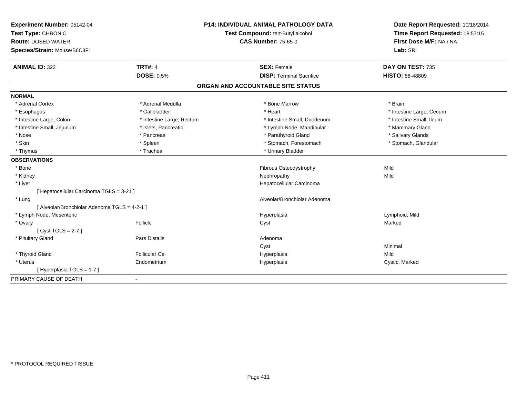| Experiment Number: 05142-04                   |                           | <b>P14: INDIVIDUAL ANIMAL PATHOLOGY DATA</b> | Date Report Requested: 10/18/2014                          |
|-----------------------------------------------|---------------------------|----------------------------------------------|------------------------------------------------------------|
| Test Type: CHRONIC                            |                           | Test Compound: tert-Butyl alcohol            | Time Report Requested: 18:57:15<br>First Dose M/F: NA / NA |
| <b>Route: DOSED WATER</b>                     |                           | <b>CAS Number: 75-65-0</b>                   |                                                            |
| Species/Strain: Mouse/B6C3F1                  |                           |                                              | Lab: SRI                                                   |
| <b>ANIMAL ID: 322</b>                         | <b>TRT#: 4</b>            | <b>SEX: Female</b>                           | DAY ON TEST: 735                                           |
|                                               | <b>DOSE: 0.5%</b>         | <b>DISP: Terminal Sacrifice</b>              | <b>HISTO: 88-48809</b>                                     |
|                                               |                           | ORGAN AND ACCOUNTABLE SITE STATUS            |                                                            |
| <b>NORMAL</b>                                 |                           |                                              |                                                            |
| * Adrenal Cortex                              | * Adrenal Medulla         | * Bone Marrow                                | * Brain                                                    |
| * Esophagus                                   | * Gallbladder             | * Heart                                      | * Intestine Large, Cecum                                   |
| * Intestine Large, Colon                      | * Intestine Large, Rectum | * Intestine Small, Duodenum                  | * Intestine Small, Ileum                                   |
| * Intestine Small, Jejunum                    | * Islets, Pancreatic      | * Lymph Node, Mandibular                     | * Mammary Gland                                            |
| * Nose                                        | * Pancreas                | * Parathyroid Gland                          | * Salivary Glands                                          |
| * Skin                                        | * Spleen                  | * Stomach, Forestomach                       | * Stomach, Glandular                                       |
| * Thymus                                      | * Trachea                 | * Urinary Bladder                            |                                                            |
| <b>OBSERVATIONS</b>                           |                           |                                              |                                                            |
| * Bone                                        |                           | Fibrous Osteodystrophy                       | Mild                                                       |
| * Kidney                                      |                           | Nephropathy                                  | Mild                                                       |
| * Liver                                       |                           | Hepatocellular Carcinoma                     |                                                            |
| [ Hepatocellular Carcinoma TGLS = 3-21 ]      |                           |                                              |                                                            |
| * Lung                                        |                           | Alveolar/Bronchiolar Adenoma                 |                                                            |
| [ Alveolar/Bronchiolar Adenoma TGLS = 4-2-1 ] |                           |                                              |                                                            |
| * Lymph Node, Mesenteric                      |                           | Hyperplasia                                  | Lymphoid, Mild                                             |
| * Ovary                                       | Follicle                  | Cyst                                         | Marked                                                     |
| [Cyst TGLS = $2-7$ ]                          |                           |                                              |                                                            |
| * Pituitary Gland                             | <b>Pars Distalis</b>      | Adenoma                                      |                                                            |
|                                               |                           | Cyst                                         | Minimal                                                    |
| * Thyroid Gland                               | <b>Follicular Cel</b>     | Hyperplasia                                  | Mild                                                       |
| * Uterus                                      | Endometrium               | Hyperplasia                                  | Cystic, Marked                                             |
| [ Hyperplasia TGLS = 1-7 ]                    |                           |                                              |                                                            |
| PRIMARY CAUSE OF DEATH                        | $\blacksquare$            |                                              |                                                            |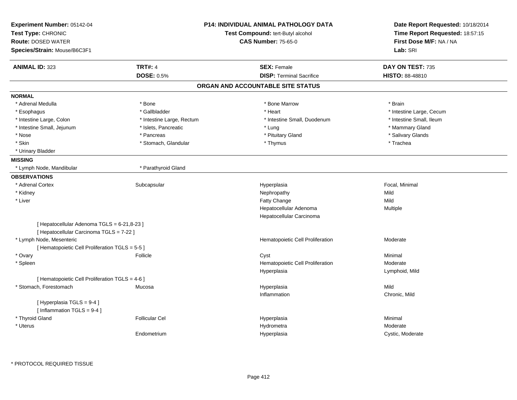| Experiment Number: 05142-04<br>Test Type: CHRONIC<br><b>Route: DOSED WATER</b> |                           | <b>P14: INDIVIDUAL ANIMAL PATHOLOGY DATA</b><br>Test Compound: tert-Butyl alcohol<br><b>CAS Number: 75-65-0</b> | Date Report Requested: 10/18/2014<br>Time Report Requested: 18:57:15<br>First Dose M/F: NA / NA |
|--------------------------------------------------------------------------------|---------------------------|-----------------------------------------------------------------------------------------------------------------|-------------------------------------------------------------------------------------------------|
| Species/Strain: Mouse/B6C3F1                                                   |                           |                                                                                                                 | Lab: SRI                                                                                        |
| <b>ANIMAL ID: 323</b>                                                          | <b>TRT#: 4</b>            | <b>SEX: Female</b>                                                                                              | DAY ON TEST: 735                                                                                |
|                                                                                | <b>DOSE: 0.5%</b>         | <b>DISP: Terminal Sacrifice</b>                                                                                 | <b>HISTO: 88-48810</b>                                                                          |
|                                                                                |                           | ORGAN AND ACCOUNTABLE SITE STATUS                                                                               |                                                                                                 |
| <b>NORMAL</b>                                                                  |                           |                                                                                                                 |                                                                                                 |
| * Adrenal Medulla                                                              | * Bone                    | * Bone Marrow                                                                                                   | * Brain                                                                                         |
| * Esophagus                                                                    | * Gallbladder             | * Heart                                                                                                         | * Intestine Large, Cecum                                                                        |
| * Intestine Large, Colon                                                       | * Intestine Large, Rectum | * Intestine Small, Duodenum                                                                                     | * Intestine Small, Ileum                                                                        |
| * Intestine Small, Jejunum                                                     | * Islets, Pancreatic      | * Lung                                                                                                          | * Mammary Gland                                                                                 |
| * Nose                                                                         | * Pancreas                | * Pituitary Gland                                                                                               | * Salivary Glands                                                                               |
| * Skin                                                                         | * Stomach, Glandular      | * Thymus                                                                                                        | * Trachea                                                                                       |
| * Urinary Bladder                                                              |                           |                                                                                                                 |                                                                                                 |
| <b>MISSING</b>                                                                 |                           |                                                                                                                 |                                                                                                 |
| * Lymph Node, Mandibular                                                       | * Parathyroid Gland       |                                                                                                                 |                                                                                                 |
| <b>OBSERVATIONS</b>                                                            |                           |                                                                                                                 |                                                                                                 |
| * Adrenal Cortex                                                               | Subcapsular               | Hyperplasia                                                                                                     | Focal, Minimal                                                                                  |
| * Kidney                                                                       |                           | Nephropathy                                                                                                     | Mild                                                                                            |
| * Liver                                                                        |                           | Fatty Change                                                                                                    | Mild                                                                                            |
|                                                                                |                           | Hepatocellular Adenoma                                                                                          | Multiple                                                                                        |
|                                                                                |                           | Hepatocellular Carcinoma                                                                                        |                                                                                                 |
| [ Hepatocellular Adenoma TGLS = 6-21,8-23 ]                                    |                           |                                                                                                                 |                                                                                                 |
| [ Hepatocellular Carcinoma TGLS = 7-22 ]                                       |                           |                                                                                                                 |                                                                                                 |
| * Lymph Node, Mesenteric                                                       |                           | Hematopoietic Cell Proliferation                                                                                | Moderate                                                                                        |
| [ Hematopoietic Cell Proliferation TGLS = 5-5 ]                                |                           |                                                                                                                 |                                                                                                 |
| * Ovary                                                                        | Follicle                  | Cyst                                                                                                            | Minimal                                                                                         |
| * Spleen                                                                       |                           | Hematopoietic Cell Proliferation                                                                                | Moderate                                                                                        |
|                                                                                |                           | Hyperplasia                                                                                                     | Lymphoid, Mild                                                                                  |
| [ Hematopoietic Cell Proliferation TGLS = 4-6 ]                                |                           |                                                                                                                 |                                                                                                 |
| * Stomach, Forestomach                                                         | Mucosa                    | Hyperplasia                                                                                                     | Mild                                                                                            |
|                                                                                |                           | Inflammation                                                                                                    | Chronic, Mild                                                                                   |
| [Hyperplasia TGLS = 9-4]                                                       |                           |                                                                                                                 |                                                                                                 |
| [Inflammation TGLS = 9-4]                                                      |                           |                                                                                                                 |                                                                                                 |
| * Thyroid Gland                                                                | <b>Follicular Cel</b>     | Hyperplasia                                                                                                     | Minimal                                                                                         |
| * Uterus                                                                       |                           | Hydrometra                                                                                                      | Moderate                                                                                        |
|                                                                                | Endometrium               | Hyperplasia                                                                                                     | Cystic, Moderate                                                                                |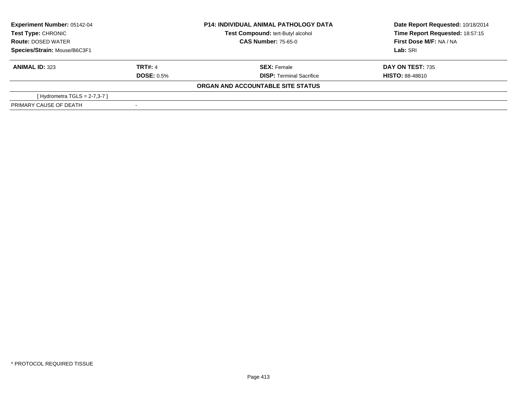| <b>Experiment Number: 05142-04</b><br><b>Test Type: CHRONIC</b> |                   | <b>P14: INDIVIDUAL ANIMAL PATHOLOGY DATA</b><br>Test Compound: tert-Butyl alcohol<br><b>CAS Number: 75-65-0</b> | Date Report Requested: 10/18/2014<br>Time Report Requested: 18:57:15<br>First Dose M/F: NA / NA |
|-----------------------------------------------------------------|-------------------|-----------------------------------------------------------------------------------------------------------------|-------------------------------------------------------------------------------------------------|
| <b>Route: DOSED WATER</b>                                       |                   |                                                                                                                 |                                                                                                 |
| Species/Strain: Mouse/B6C3F1                                    |                   |                                                                                                                 | Lab: SRI                                                                                        |
| <b>ANIMAL ID: 323</b>                                           | TRT#: 4           | <b>SEX: Female</b>                                                                                              | <b>DAY ON TEST: 735</b>                                                                         |
|                                                                 | <b>DOSE: 0.5%</b> | <b>DISP: Terminal Sacrifice</b>                                                                                 | <b>HISTO: 88-48810</b>                                                                          |
|                                                                 |                   | ORGAN AND ACCOUNTABLE SITE STATUS                                                                               |                                                                                                 |
| [Hydrometra TGLS = $2-7,3-7$ ]                                  |                   |                                                                                                                 |                                                                                                 |
| PRIMARY CAUSE OF DEATH                                          |                   |                                                                                                                 |                                                                                                 |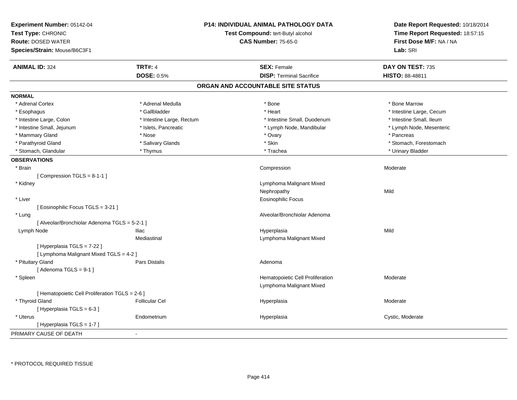| Experiment Number: 05142-04<br>Test Type: CHRONIC<br><b>Route: DOSED WATER</b><br>Species/Strain: Mouse/B6C3F1 | <b>P14: INDIVIDUAL ANIMAL PATHOLOGY DATA</b><br>Test Compound: tert-Butyl alcohol<br><b>CAS Number: 75-65-0</b> |                                   | Date Report Requested: 10/18/2014<br>Time Report Requested: 18:57:15<br>First Dose M/F: NA / NA<br>Lab: SRI |
|----------------------------------------------------------------------------------------------------------------|-----------------------------------------------------------------------------------------------------------------|-----------------------------------|-------------------------------------------------------------------------------------------------------------|
| <b>ANIMAL ID: 324</b>                                                                                          | <b>TRT#: 4</b>                                                                                                  | <b>SEX: Female</b>                | DAY ON TEST: 735                                                                                            |
|                                                                                                                | <b>DOSE: 0.5%</b>                                                                                               | <b>DISP: Terminal Sacrifice</b>   | <b>HISTO: 88-48811</b>                                                                                      |
|                                                                                                                |                                                                                                                 | ORGAN AND ACCOUNTABLE SITE STATUS |                                                                                                             |
| <b>NORMAL</b>                                                                                                  |                                                                                                                 |                                   |                                                                                                             |
| * Adrenal Cortex                                                                                               | * Adrenal Medulla                                                                                               | * Bone                            | * Bone Marrow                                                                                               |
| * Esophagus                                                                                                    | * Gallbladder                                                                                                   | * Heart                           | * Intestine Large, Cecum                                                                                    |
| * Intestine Large, Colon                                                                                       | * Intestine Large, Rectum                                                                                       | * Intestine Small, Duodenum       | * Intestine Small, Ileum                                                                                    |
| * Intestine Small, Jejunum                                                                                     | * Islets, Pancreatic                                                                                            | * Lymph Node, Mandibular          | * Lymph Node, Mesenteric                                                                                    |
| * Mammary Gland                                                                                                | * Nose                                                                                                          | * Ovary                           | * Pancreas                                                                                                  |
| * Parathyroid Gland                                                                                            | * Salivary Glands                                                                                               | * Skin                            | * Stomach, Forestomach                                                                                      |
| * Stomach, Glandular                                                                                           | * Thymus                                                                                                        | * Trachea                         | * Urinary Bladder                                                                                           |
| <b>OBSERVATIONS</b>                                                                                            |                                                                                                                 |                                   |                                                                                                             |
| * Brain                                                                                                        |                                                                                                                 | Compression                       | Moderate                                                                                                    |
| [Compression TGLS = 8-1-1]                                                                                     |                                                                                                                 |                                   |                                                                                                             |
| * Kidney                                                                                                       |                                                                                                                 | Lymphoma Malignant Mixed          |                                                                                                             |
|                                                                                                                |                                                                                                                 | Nephropathy                       | Mild                                                                                                        |
| * Liver                                                                                                        |                                                                                                                 | <b>Eosinophilic Focus</b>         |                                                                                                             |
| [Eosinophilic Focus TGLS = 3-21]                                                                               |                                                                                                                 |                                   |                                                                                                             |
| * Lung                                                                                                         |                                                                                                                 | Alveolar/Bronchiolar Adenoma      |                                                                                                             |
| [ Alveolar/Bronchiolar Adenoma TGLS = 5-2-1 ]                                                                  |                                                                                                                 |                                   |                                                                                                             |
| Lymph Node                                                                                                     | <b>Iliac</b>                                                                                                    | Hyperplasia                       | Mild                                                                                                        |
|                                                                                                                | Mediastinal                                                                                                     | Lymphoma Malignant Mixed          |                                                                                                             |
| [ Hyperplasia TGLS = 7-22 ]                                                                                    |                                                                                                                 |                                   |                                                                                                             |
| [ Lymphoma Malignant Mixed TGLS = 4-2 ]                                                                        |                                                                                                                 |                                   |                                                                                                             |
| * Pituitary Gland                                                                                              | Pars Distalis                                                                                                   | Adenoma                           |                                                                                                             |
| [Adenoma TGLS = $9-1$ ]                                                                                        |                                                                                                                 |                                   |                                                                                                             |
| * Spleen                                                                                                       |                                                                                                                 | Hematopoietic Cell Proliferation  | Moderate                                                                                                    |
|                                                                                                                |                                                                                                                 | Lymphoma Malignant Mixed          |                                                                                                             |
| [ Hematopoietic Cell Proliferation TGLS = 2-6 ]                                                                |                                                                                                                 |                                   |                                                                                                             |
| * Thyroid Gland                                                                                                | <b>Follicular Cel</b>                                                                                           | Hyperplasia                       | Moderate                                                                                                    |
| [Hyperplasia TGLS = 6-3]                                                                                       |                                                                                                                 |                                   |                                                                                                             |
| * Uterus                                                                                                       | Endometrium                                                                                                     | Hyperplasia                       | Cystic, Moderate                                                                                            |
| [Hyperplasia TGLS = 1-7]                                                                                       |                                                                                                                 |                                   |                                                                                                             |
| PRIMARY CAUSE OF DEATH                                                                                         |                                                                                                                 |                                   |                                                                                                             |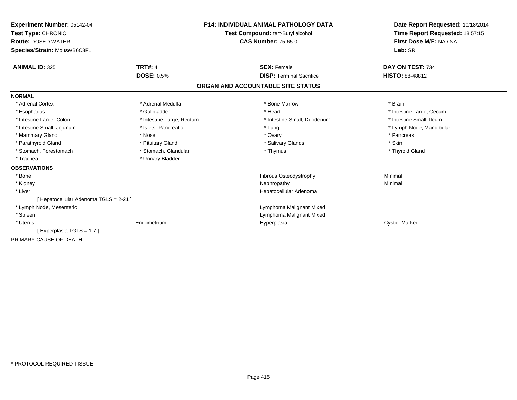| Experiment Number: 05142-04<br>Test Type: CHRONIC<br><b>Route: DOSED WATER</b><br>Species/Strain: Mouse/B6C3F1 | <b>P14: INDIVIDUAL ANIMAL PATHOLOGY DATA</b><br>Test Compound: tert-Butyl alcohol<br><b>CAS Number: 75-65-0</b> |                                   | Date Report Requested: 10/18/2014<br>Time Report Requested: 18:57:15<br>First Dose M/F: NA / NA<br>Lab: SRI |
|----------------------------------------------------------------------------------------------------------------|-----------------------------------------------------------------------------------------------------------------|-----------------------------------|-------------------------------------------------------------------------------------------------------------|
| <b>ANIMAL ID: 325</b>                                                                                          | <b>TRT#: 4</b>                                                                                                  | <b>SEX: Female</b>                | DAY ON TEST: 734                                                                                            |
|                                                                                                                | <b>DOSE: 0.5%</b>                                                                                               | <b>DISP: Terminal Sacrifice</b>   | <b>HISTO: 88-48812</b>                                                                                      |
|                                                                                                                |                                                                                                                 | ORGAN AND ACCOUNTABLE SITE STATUS |                                                                                                             |
| <b>NORMAL</b>                                                                                                  |                                                                                                                 |                                   |                                                                                                             |
| * Adrenal Cortex                                                                                               | * Adrenal Medulla                                                                                               | * Bone Marrow                     | * Brain                                                                                                     |
| * Esophagus                                                                                                    | * Gallbladder                                                                                                   | * Heart                           | * Intestine Large, Cecum                                                                                    |
| * Intestine Large, Colon                                                                                       | * Intestine Large, Rectum                                                                                       | * Intestine Small, Duodenum       | * Intestine Small, Ileum                                                                                    |
| * Intestine Small, Jejunum                                                                                     | * Islets, Pancreatic                                                                                            | * Lung                            | * Lymph Node, Mandibular                                                                                    |
| * Mammary Gland                                                                                                | * Nose                                                                                                          | * Ovary                           | * Pancreas                                                                                                  |
| * Parathyroid Gland                                                                                            | * Pituitary Gland                                                                                               | * Salivary Glands                 | * Skin                                                                                                      |
| * Stomach, Forestomach                                                                                         | * Stomach, Glandular                                                                                            | * Thymus                          | * Thyroid Gland                                                                                             |
| * Trachea                                                                                                      | * Urinary Bladder                                                                                               |                                   |                                                                                                             |
| <b>OBSERVATIONS</b>                                                                                            |                                                                                                                 |                                   |                                                                                                             |
| * Bone                                                                                                         |                                                                                                                 | Fibrous Osteodystrophy            | Minimal                                                                                                     |
| * Kidney                                                                                                       |                                                                                                                 | Nephropathy                       | Minimal                                                                                                     |
| * Liver                                                                                                        |                                                                                                                 | Hepatocellular Adenoma            |                                                                                                             |
| [ Hepatocellular Adenoma TGLS = 2-21 ]                                                                         |                                                                                                                 |                                   |                                                                                                             |
| * Lymph Node, Mesenteric                                                                                       |                                                                                                                 | Lymphoma Malignant Mixed          |                                                                                                             |
| * Spleen                                                                                                       |                                                                                                                 | Lymphoma Malignant Mixed          |                                                                                                             |
| * Uterus                                                                                                       | Endometrium                                                                                                     | Hyperplasia                       | Cystic, Marked                                                                                              |
| [Hyperplasia TGLS = 1-7]                                                                                       |                                                                                                                 |                                   |                                                                                                             |
| PRIMARY CAUSE OF DEATH                                                                                         |                                                                                                                 |                                   |                                                                                                             |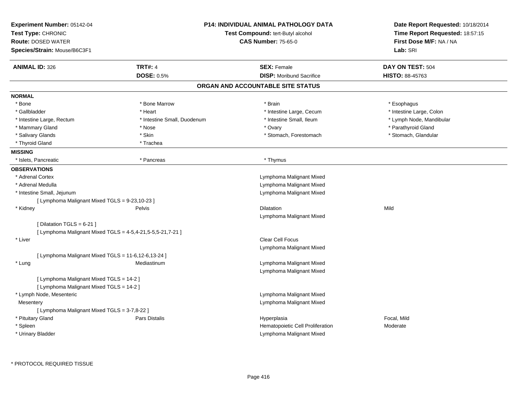| <b>Experiment Number: 05142-04</b><br>Test Type: CHRONIC<br><b>Route: DOSED WATER</b><br>Species/Strain: Mouse/B6C3F1 |                             | P14: INDIVIDUAL ANIMAL PATHOLOGY DATA<br>Test Compound: tert-Butyl alcohol<br><b>CAS Number: 75-65-0</b> | Date Report Requested: 10/18/2014<br>Time Report Requested: 18:57:15<br>First Dose M/F: NA / NA<br>Lab: SRI |
|-----------------------------------------------------------------------------------------------------------------------|-----------------------------|----------------------------------------------------------------------------------------------------------|-------------------------------------------------------------------------------------------------------------|
| <b>ANIMAL ID: 326</b>                                                                                                 | <b>TRT#: 4</b>              | <b>SEX: Female</b>                                                                                       | DAY ON TEST: 504                                                                                            |
|                                                                                                                       | <b>DOSE: 0.5%</b>           | <b>DISP:</b> Moribund Sacrifice                                                                          | HISTO: 88-45763                                                                                             |
|                                                                                                                       |                             | ORGAN AND ACCOUNTABLE SITE STATUS                                                                        |                                                                                                             |
| <b>NORMAL</b>                                                                                                         |                             |                                                                                                          |                                                                                                             |
| $*$ Bone                                                                                                              | * Bone Marrow               | * Brain                                                                                                  | * Esophagus                                                                                                 |
| * Gallbladder                                                                                                         | * Heart                     | * Intestine Large, Cecum                                                                                 | * Intestine Large, Colon                                                                                    |
| * Intestine Large, Rectum                                                                                             | * Intestine Small, Duodenum | * Intestine Small, Ileum                                                                                 | * Lymph Node, Mandibular                                                                                    |
| * Mammary Gland                                                                                                       | * Nose                      | * Ovary                                                                                                  | * Parathyroid Gland                                                                                         |
| * Salivary Glands                                                                                                     | * Skin                      | * Stomach, Forestomach                                                                                   | * Stomach, Glandular                                                                                        |
| * Thyroid Gland                                                                                                       | * Trachea                   |                                                                                                          |                                                                                                             |
| <b>MISSING</b>                                                                                                        |                             |                                                                                                          |                                                                                                             |
| * Islets, Pancreatic                                                                                                  | * Pancreas                  | * Thymus                                                                                                 |                                                                                                             |
| <b>OBSERVATIONS</b>                                                                                                   |                             |                                                                                                          |                                                                                                             |
| * Adrenal Cortex                                                                                                      |                             | Lymphoma Malignant Mixed                                                                                 |                                                                                                             |
| * Adrenal Medulla                                                                                                     |                             | Lymphoma Malignant Mixed                                                                                 |                                                                                                             |
| * Intestine Small, Jejunum                                                                                            |                             | Lymphoma Malignant Mixed                                                                                 |                                                                                                             |
| [ Lymphoma Malignant Mixed TGLS = 9-23,10-23 ]                                                                        |                             |                                                                                                          |                                                                                                             |
| * Kidney                                                                                                              | Pelvis                      | Dilatation                                                                                               | Mild                                                                                                        |
|                                                                                                                       |                             | Lymphoma Malignant Mixed                                                                                 |                                                                                                             |
| [ Dilatation TGLS = $6-21$ ]                                                                                          |                             |                                                                                                          |                                                                                                             |
| [ Lymphoma Malignant Mixed TGLS = 4-5,4-21,5-5,5-21,7-21 ]                                                            |                             |                                                                                                          |                                                                                                             |
| * Liver                                                                                                               |                             | Clear Cell Focus                                                                                         |                                                                                                             |
|                                                                                                                       |                             | Lymphoma Malignant Mixed                                                                                 |                                                                                                             |
| [ Lymphoma Malignant Mixed TGLS = 11-6,12-6,13-24 ]                                                                   |                             |                                                                                                          |                                                                                                             |
| * Lung                                                                                                                | Mediastinum                 | Lymphoma Malignant Mixed                                                                                 |                                                                                                             |
|                                                                                                                       |                             | Lymphoma Malignant Mixed                                                                                 |                                                                                                             |
| [ Lymphoma Malignant Mixed TGLS = 14-2 ]                                                                              |                             |                                                                                                          |                                                                                                             |
| [ Lymphoma Malignant Mixed TGLS = 14-2 ]                                                                              |                             |                                                                                                          |                                                                                                             |
| * Lymph Node, Mesenteric                                                                                              |                             | Lymphoma Malignant Mixed                                                                                 |                                                                                                             |
| Mesentery                                                                                                             |                             | Lymphoma Malignant Mixed                                                                                 |                                                                                                             |
| [ Lymphoma Malignant Mixed TGLS = 3-7,8-22 ]                                                                          |                             |                                                                                                          |                                                                                                             |
| * Pituitary Gland                                                                                                     | Pars Distalis               | Hyperplasia                                                                                              | Focal, Mild                                                                                                 |
| * Spleen                                                                                                              |                             | Hematopoietic Cell Proliferation                                                                         | Moderate                                                                                                    |
| * Urinary Bladder                                                                                                     |                             | Lymphoma Malignant Mixed                                                                                 |                                                                                                             |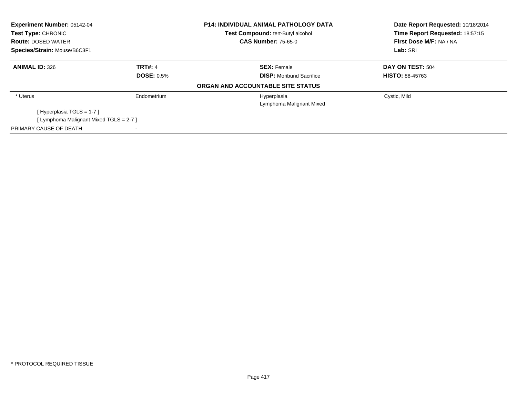| Experiment Number: 05142-04<br><b>Test Type: CHRONIC</b> |                   | <b>P14: INDIVIDUAL ANIMAL PATHOLOGY DATA</b> | Date Report Requested: 10/18/2014 |  |
|----------------------------------------------------------|-------------------|----------------------------------------------|-----------------------------------|--|
|                                                          |                   | <b>Test Compound: tert-Butyl alcohol</b>     | Time Report Requested: 18:57:15   |  |
| <b>Route: DOSED WATER</b>                                |                   | <b>CAS Number: 75-65-0</b>                   | First Dose M/F: NA / NA           |  |
| Species/Strain: Mouse/B6C3F1                             |                   |                                              | Lab: SRI                          |  |
| <b>ANIMAL ID: 326</b>                                    | <b>TRT#: 4</b>    | <b>SEX: Female</b>                           | DAY ON TEST: 504                  |  |
|                                                          | <b>DOSE: 0.5%</b> | <b>DISP:</b> Moribund Sacrifice              | <b>HISTO: 88-45763</b>            |  |
|                                                          |                   | ORGAN AND ACCOUNTABLE SITE STATUS            |                                   |  |
| * Uterus                                                 | Endometrium       | Hyperplasia                                  | Cystic, Mild                      |  |
|                                                          |                   | Lymphoma Malignant Mixed                     |                                   |  |
| [Hyperplasia TGLS = 1-7]                                 |                   |                                              |                                   |  |
| [ Lymphoma Malignant Mixed TGLS = 2-7 ]                  |                   |                                              |                                   |  |
| PRIMARY CAUSE OF DEATH                                   |                   |                                              |                                   |  |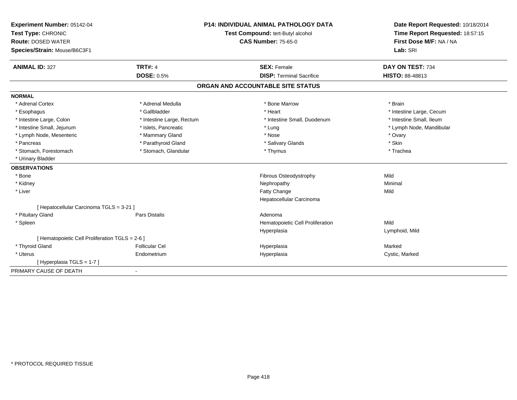| <b>Experiment Number: 05142-04</b>              | <b>P14: INDIVIDUAL ANIMAL PATHOLOGY DATA</b> |                                   | Date Report Requested: 10/18/2014 |
|-------------------------------------------------|----------------------------------------------|-----------------------------------|-----------------------------------|
| Test Type: CHRONIC                              |                                              | Test Compound: tert-Butyl alcohol | Time Report Requested: 18:57:15   |
| <b>Route: DOSED WATER</b>                       |                                              | <b>CAS Number: 75-65-0</b>        | First Dose M/F: NA / NA           |
| Species/Strain: Mouse/B6C3F1                    |                                              |                                   | Lab: SRI                          |
| <b>ANIMAL ID: 327</b>                           | <b>TRT#: 4</b>                               | <b>SEX: Female</b>                | DAY ON TEST: 734                  |
|                                                 | <b>DOSE: 0.5%</b>                            | <b>DISP: Terminal Sacrifice</b>   | HISTO: 88-48813                   |
|                                                 |                                              | ORGAN AND ACCOUNTABLE SITE STATUS |                                   |
| <b>NORMAL</b>                                   |                                              |                                   |                                   |
| * Adrenal Cortex                                | * Adrenal Medulla                            | * Bone Marrow                     | * Brain                           |
| * Esophagus                                     | * Gallbladder                                | * Heart                           | * Intestine Large, Cecum          |
| * Intestine Large, Colon                        | * Intestine Large, Rectum                    | * Intestine Small, Duodenum       | * Intestine Small, Ileum          |
| * Intestine Small, Jejunum                      | * Islets, Pancreatic                         | * Lung                            | * Lymph Node, Mandibular          |
| * Lymph Node, Mesenteric                        | * Mammary Gland                              | * Nose                            | * Ovary                           |
| * Pancreas                                      | * Parathyroid Gland                          | * Salivary Glands                 | * Skin                            |
| * Stomach, Forestomach                          | * Stomach, Glandular                         | * Thymus                          | * Trachea                         |
| * Urinary Bladder                               |                                              |                                   |                                   |
| <b>OBSERVATIONS</b>                             |                                              |                                   |                                   |
| * Bone                                          |                                              | Fibrous Osteodystrophy            | Mild                              |
| * Kidney                                        |                                              | Nephropathy                       | Minimal                           |
| * Liver                                         |                                              | Fatty Change                      | Mild                              |
|                                                 |                                              | Hepatocellular Carcinoma          |                                   |
| [ Hepatocellular Carcinoma TGLS = 3-21 ]        |                                              |                                   |                                   |
| * Pituitary Gland                               | <b>Pars Distalis</b>                         | Adenoma                           |                                   |
| * Spleen                                        |                                              | Hematopoietic Cell Proliferation  | Mild                              |
|                                                 |                                              | Hyperplasia                       | Lymphoid, Mild                    |
| [ Hematopoietic Cell Proliferation TGLS = 2-6 ] |                                              |                                   |                                   |
| * Thyroid Gland                                 | <b>Follicular Cel</b>                        | Hyperplasia                       | Marked                            |
| * Uterus                                        | Endometrium                                  | Hyperplasia                       | Cystic, Marked                    |
| [Hyperplasia TGLS = 1-7]                        |                                              |                                   |                                   |
| PRIMARY CAUSE OF DEATH                          |                                              |                                   |                                   |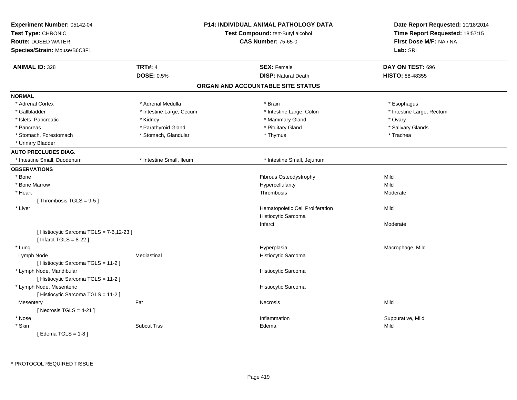| Experiment Number: 05142-04<br>Test Type: CHRONIC<br><b>Route: DOSED WATER</b><br>Species/Strain: Mouse/B6C3F1 |                          | <b>P14: INDIVIDUAL ANIMAL PATHOLOGY DATA</b><br>Test Compound: tert-Butyl alcohol<br><b>CAS Number: 75-65-0</b> | Date Report Requested: 10/18/2014<br>Time Report Requested: 18:57:15<br>First Dose M/F: NA / NA<br>Lab: SRI |
|----------------------------------------------------------------------------------------------------------------|--------------------------|-----------------------------------------------------------------------------------------------------------------|-------------------------------------------------------------------------------------------------------------|
| <b>ANIMAL ID: 328</b>                                                                                          | <b>TRT#: 4</b>           | <b>SEX: Female</b>                                                                                              | DAY ON TEST: 696                                                                                            |
|                                                                                                                | <b>DOSE: 0.5%</b>        | <b>DISP: Natural Death</b>                                                                                      | <b>HISTO: 88-48355</b>                                                                                      |
|                                                                                                                |                          | ORGAN AND ACCOUNTABLE SITE STATUS                                                                               |                                                                                                             |
| <b>NORMAL</b>                                                                                                  |                          |                                                                                                                 |                                                                                                             |
| * Adrenal Cortex                                                                                               | * Adrenal Medulla        | * Brain                                                                                                         | * Esophagus                                                                                                 |
| * Gallbladder                                                                                                  | * Intestine Large, Cecum | * Intestine Large, Colon                                                                                        | * Intestine Large, Rectum                                                                                   |
| * Islets, Pancreatic                                                                                           | * Kidney                 | * Mammary Gland                                                                                                 | * Ovary                                                                                                     |
| * Pancreas                                                                                                     | * Parathyroid Gland      | * Pituitary Gland                                                                                               | * Salivary Glands                                                                                           |
| * Stomach, Forestomach                                                                                         | * Stomach, Glandular     | * Thymus                                                                                                        | * Trachea                                                                                                   |
| * Urinary Bladder                                                                                              |                          |                                                                                                                 |                                                                                                             |
| <b>AUTO PRECLUDES DIAG.</b>                                                                                    |                          |                                                                                                                 |                                                                                                             |
| * Intestine Small, Duodenum                                                                                    | * Intestine Small, Ileum | * Intestine Small, Jejunum                                                                                      |                                                                                                             |
| <b>OBSERVATIONS</b>                                                                                            |                          |                                                                                                                 |                                                                                                             |
| * Bone                                                                                                         |                          | Fibrous Osteodystrophy                                                                                          | Mild                                                                                                        |
| * Bone Marrow                                                                                                  |                          | Hypercellularity                                                                                                | Mild                                                                                                        |
| * Heart                                                                                                        |                          | Thrombosis                                                                                                      | Moderate                                                                                                    |
| [Thrombosis TGLS = 9-5]                                                                                        |                          |                                                                                                                 |                                                                                                             |
| * Liver                                                                                                        |                          | Hematopoietic Cell Proliferation                                                                                | Mild                                                                                                        |
|                                                                                                                |                          | Histiocytic Sarcoma                                                                                             |                                                                                                             |
|                                                                                                                |                          | Infarct                                                                                                         | Moderate                                                                                                    |
| [ Histiocytic Sarcoma TGLS = 7-6,12-23 ]<br>[Infarct TGLS = $8-22$ ]                                           |                          |                                                                                                                 |                                                                                                             |
| * Lung                                                                                                         |                          | Hyperplasia                                                                                                     | Macrophage, Mild                                                                                            |
| Lymph Node                                                                                                     | Mediastinal              | Histiocytic Sarcoma                                                                                             |                                                                                                             |
| [Histiocytic Sarcoma TGLS = 11-2]                                                                              |                          |                                                                                                                 |                                                                                                             |
| * Lymph Node, Mandibular                                                                                       |                          | Histiocytic Sarcoma                                                                                             |                                                                                                             |
| [Histiocytic Sarcoma TGLS = 11-2]                                                                              |                          |                                                                                                                 |                                                                                                             |
| * Lymph Node, Mesenteric                                                                                       |                          | Histiocytic Sarcoma                                                                                             |                                                                                                             |
| [Histiocytic Sarcoma TGLS = 11-2]                                                                              |                          |                                                                                                                 |                                                                                                             |
| Mesentery                                                                                                      | Fat                      | Necrosis                                                                                                        | Mild                                                                                                        |
| [Necrosis TGLS = $4-21$ ]                                                                                      |                          |                                                                                                                 |                                                                                                             |
| * Nose                                                                                                         |                          | Inflammation                                                                                                    | Suppurative, Mild                                                                                           |
| * Skin                                                                                                         | <b>Subcut Tiss</b>       | Edema                                                                                                           | Mild                                                                                                        |
| [Edema TGLS = 1-8]                                                                                             |                          |                                                                                                                 |                                                                                                             |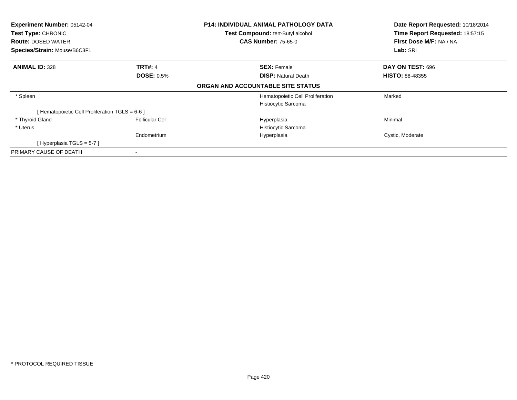| Experiment Number: 05142-04<br>Test Type: CHRONIC |                       | P14: INDIVIDUAL ANIMAL PATHOLOGY DATA | Date Report Requested: 10/18/2014<br>Time Report Requested: 18:57:15 |
|---------------------------------------------------|-----------------------|---------------------------------------|----------------------------------------------------------------------|
|                                                   |                       | Test Compound: tert-Butyl alcohol     |                                                                      |
| <b>Route: DOSED WATER</b>                         |                       | <b>CAS Number: 75-65-0</b>            | First Dose M/F: NA / NA                                              |
| Species/Strain: Mouse/B6C3F1                      |                       |                                       | Lab: SRI                                                             |
| <b>ANIMAL ID: 328</b>                             | <b>TRT#: 4</b>        | <b>SEX: Female</b>                    | DAY ON TEST: 696                                                     |
|                                                   | <b>DOSE: 0.5%</b>     | <b>DISP: Natural Death</b>            | <b>HISTO: 88-48355</b>                                               |
|                                                   |                       | ORGAN AND ACCOUNTABLE SITE STATUS     |                                                                      |
| * Spleen                                          |                       | Hematopoietic Cell Proliferation      | Marked                                                               |
|                                                   |                       | Histiocytic Sarcoma                   |                                                                      |
| [ Hematopoietic Cell Proliferation TGLS = 6-6 ]   |                       |                                       |                                                                      |
| * Thyroid Gland                                   | <b>Follicular Cel</b> | Hyperplasia                           | Minimal                                                              |
| * Uterus                                          |                       | Histiocytic Sarcoma                   |                                                                      |
|                                                   | Endometrium           | Hyperplasia                           | Cystic, Moderate                                                     |
| [Hyperplasia TGLS = $5-7$ ]                       |                       |                                       |                                                                      |
| PRIMARY CAUSE OF DEATH                            |                       |                                       |                                                                      |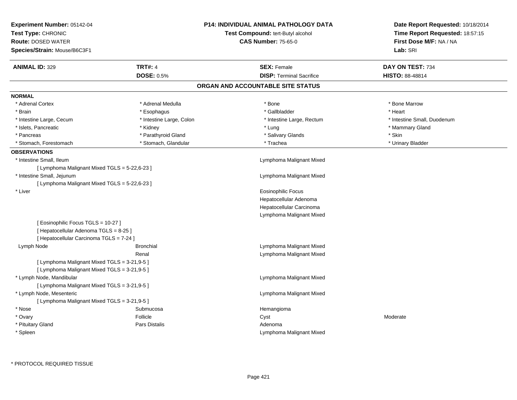| Experiment Number: 05142-04<br>Test Type: CHRONIC<br><b>Route: DOSED WATER</b><br>Species/Strain: Mouse/B6C3F1 |                          | P14: INDIVIDUAL ANIMAL PATHOLOGY DATA<br>Test Compound: tert-Butyl alcohol<br><b>CAS Number: 75-65-0</b> | Date Report Requested: 10/18/2014<br>Time Report Requested: 18:57:15<br>First Dose M/F: NA / NA<br>Lab: SRI |  |
|----------------------------------------------------------------------------------------------------------------|--------------------------|----------------------------------------------------------------------------------------------------------|-------------------------------------------------------------------------------------------------------------|--|
| <b>ANIMAL ID: 329</b>                                                                                          | <b>TRT#: 4</b>           | <b>SEX: Female</b>                                                                                       | DAY ON TEST: 734                                                                                            |  |
|                                                                                                                | <b>DOSE: 0.5%</b>        | <b>DISP: Terminal Sacrifice</b>                                                                          | HISTO: 88-48814                                                                                             |  |
|                                                                                                                |                          | ORGAN AND ACCOUNTABLE SITE STATUS                                                                        |                                                                                                             |  |
| <b>NORMAL</b>                                                                                                  |                          |                                                                                                          |                                                                                                             |  |
| * Adrenal Cortex                                                                                               | * Adrenal Medulla        | * Bone                                                                                                   | * Bone Marrow                                                                                               |  |
| * Brain                                                                                                        | * Esophagus              | * Gallbladder                                                                                            | * Heart                                                                                                     |  |
| * Intestine Large, Cecum                                                                                       | * Intestine Large, Colon | * Intestine Large, Rectum                                                                                | * Intestine Small, Duodenum                                                                                 |  |
| * Islets, Pancreatic                                                                                           | * Kidney                 | * Lung                                                                                                   | * Mammary Gland                                                                                             |  |
| * Pancreas                                                                                                     | * Parathyroid Gland      | * Salivary Glands                                                                                        | * Skin                                                                                                      |  |
| * Stomach, Forestomach                                                                                         | * Stomach, Glandular     | * Trachea                                                                                                | * Urinary Bladder                                                                                           |  |
| <b>OBSERVATIONS</b>                                                                                            |                          |                                                                                                          |                                                                                                             |  |
| * Intestine Small, Ileum                                                                                       |                          | Lymphoma Malignant Mixed                                                                                 |                                                                                                             |  |
| [ Lymphoma Malignant Mixed TGLS = 5-22,6-23 ]                                                                  |                          |                                                                                                          |                                                                                                             |  |
| * Intestine Small, Jejunum                                                                                     |                          | Lymphoma Malignant Mixed                                                                                 |                                                                                                             |  |
| [ Lymphoma Malignant Mixed TGLS = 5-22,6-23 ]                                                                  |                          |                                                                                                          |                                                                                                             |  |
| * Liver                                                                                                        |                          | Eosinophilic Focus                                                                                       |                                                                                                             |  |
|                                                                                                                |                          | Hepatocellular Adenoma                                                                                   |                                                                                                             |  |
|                                                                                                                |                          | Hepatocellular Carcinoma                                                                                 |                                                                                                             |  |
|                                                                                                                |                          | Lymphoma Malignant Mixed                                                                                 |                                                                                                             |  |
| [Eosinophilic Focus TGLS = 10-27]                                                                              |                          |                                                                                                          |                                                                                                             |  |
| [ Hepatocellular Adenoma TGLS = 8-25 ]                                                                         |                          |                                                                                                          |                                                                                                             |  |
| [ Hepatocellular Carcinoma TGLS = 7-24 ]                                                                       |                          |                                                                                                          |                                                                                                             |  |
| Lymph Node                                                                                                     | <b>Bronchial</b>         | Lymphoma Malignant Mixed                                                                                 |                                                                                                             |  |
|                                                                                                                | Renal                    | Lymphoma Malignant Mixed                                                                                 |                                                                                                             |  |
| [ Lymphoma Malignant Mixed TGLS = 3-21,9-5 ]                                                                   |                          |                                                                                                          |                                                                                                             |  |
| [ Lymphoma Malignant Mixed TGLS = 3-21,9-5 ]                                                                   |                          |                                                                                                          |                                                                                                             |  |
| * Lymph Node, Mandibular                                                                                       |                          | Lymphoma Malignant Mixed                                                                                 |                                                                                                             |  |
| [ Lymphoma Malignant Mixed TGLS = 3-21,9-5 ]                                                                   |                          |                                                                                                          |                                                                                                             |  |
| * Lymph Node, Mesenteric                                                                                       |                          | Lymphoma Malignant Mixed                                                                                 |                                                                                                             |  |
| [ Lymphoma Malignant Mixed TGLS = 3-21,9-5 ]                                                                   |                          |                                                                                                          |                                                                                                             |  |
| * Nose                                                                                                         | Submucosa                | Hemangioma                                                                                               |                                                                                                             |  |
| * Ovary                                                                                                        | Follicle                 | Cyst                                                                                                     | Moderate                                                                                                    |  |
| * Pituitary Gland                                                                                              | Pars Distalis            | Adenoma                                                                                                  |                                                                                                             |  |
| * Spleen                                                                                                       |                          | Lymphoma Malignant Mixed                                                                                 |                                                                                                             |  |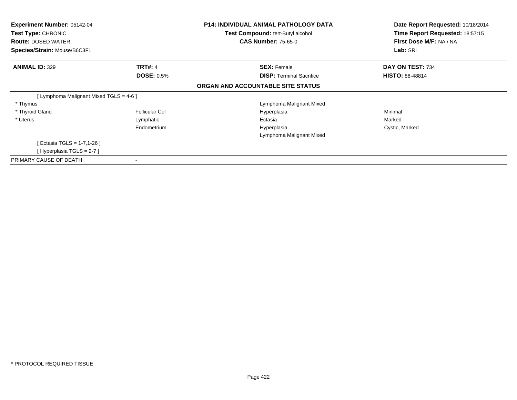| <b>Experiment Number: 05142-04</b><br><b>Test Type: CHRONIC</b><br><b>Route: DOSED WATER</b><br>Species/Strain: Mouse/B6C3F1 |                       | <b>P14: INDIVIDUAL ANIMAL PATHOLOGY DATA</b><br><b>Test Compound: tert-Butyl alcohol</b><br><b>CAS Number: 75-65-0</b> | Date Report Requested: 10/18/2014<br>Time Report Requested: 18:57:15<br>First Dose M/F: NA / NA<br>Lab: SRI |  |
|------------------------------------------------------------------------------------------------------------------------------|-----------------------|------------------------------------------------------------------------------------------------------------------------|-------------------------------------------------------------------------------------------------------------|--|
| <b>TRT#: 4</b><br><b>ANIMAL ID: 329</b><br><b>DOSE: 0.5%</b>                                                                 |                       | <b>SEX: Female</b><br><b>DISP:</b> Terminal Sacrifice                                                                  | DAY ON TEST: 734<br><b>HISTO: 88-48814</b>                                                                  |  |
|                                                                                                                              |                       | ORGAN AND ACCOUNTABLE SITE STATUS                                                                                      |                                                                                                             |  |
| [ Lymphoma Malignant Mixed TGLS = 4-6 ]                                                                                      |                       |                                                                                                                        |                                                                                                             |  |
| * Thymus                                                                                                                     |                       | Lymphoma Malignant Mixed                                                                                               |                                                                                                             |  |
| * Thyroid Gland                                                                                                              | <b>Follicular Cel</b> | Hyperplasia                                                                                                            | Minimal                                                                                                     |  |
| * Uterus                                                                                                                     | Lymphatic             | Ectasia                                                                                                                | Marked                                                                                                      |  |
|                                                                                                                              | Endometrium           | Hyperplasia                                                                                                            | Cystic, Marked                                                                                              |  |
|                                                                                                                              |                       | Lymphoma Malignant Mixed                                                                                               |                                                                                                             |  |
| [ Ectasia TGLS = 1-7,1-26 ]                                                                                                  |                       |                                                                                                                        |                                                                                                             |  |
| [Hyperplasia TGLS = 2-7]                                                                                                     |                       |                                                                                                                        |                                                                                                             |  |
| PRIMARY CAUSE OF DEATH                                                                                                       |                       |                                                                                                                        |                                                                                                             |  |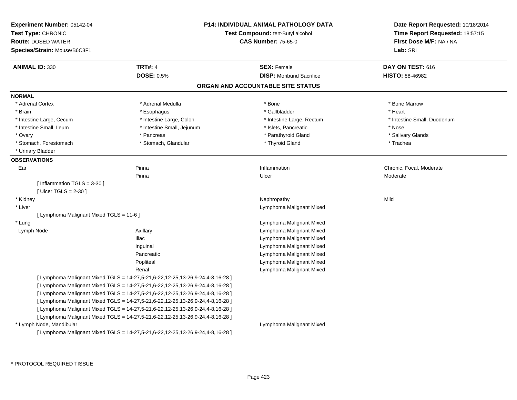| Experiment Number: 05142-04<br>Test Type: CHRONIC<br><b>Route: DOSED WATER</b><br>Species/Strain: Mouse/B6C3F1 |                                                                                | <b>P14: INDIVIDUAL ANIMAL PATHOLOGY DATA</b><br>Test Compound: tert-Butyl alcohol<br><b>CAS Number: 75-65-0</b> | Date Report Requested: 10/18/2014<br>Time Report Requested: 18:57:15<br>First Dose M/F: NA / NA<br>Lab: SRI |  |
|----------------------------------------------------------------------------------------------------------------|--------------------------------------------------------------------------------|-----------------------------------------------------------------------------------------------------------------|-------------------------------------------------------------------------------------------------------------|--|
| <b>ANIMAL ID: 330</b>                                                                                          | <b>TRT#: 4</b>                                                                 | <b>SEX: Female</b>                                                                                              | DAY ON TEST: 616                                                                                            |  |
|                                                                                                                | <b>DOSE: 0.5%</b>                                                              | <b>DISP:</b> Moribund Sacrifice                                                                                 | HISTO: 88-46982                                                                                             |  |
|                                                                                                                |                                                                                | ORGAN AND ACCOUNTABLE SITE STATUS                                                                               |                                                                                                             |  |
| <b>NORMAL</b>                                                                                                  |                                                                                |                                                                                                                 |                                                                                                             |  |
| * Adrenal Cortex                                                                                               | * Adrenal Medulla                                                              | * Bone                                                                                                          | * Bone Marrow                                                                                               |  |
| * Brain                                                                                                        | * Esophagus                                                                    | * Gallbladder                                                                                                   | * Heart                                                                                                     |  |
| * Intestine Large, Cecum                                                                                       | * Intestine Large, Colon                                                       | * Intestine Large, Rectum                                                                                       | * Intestine Small, Duodenum                                                                                 |  |
| * Intestine Small, Ileum                                                                                       | * Intestine Small, Jejunum                                                     | * Islets, Pancreatic                                                                                            | * Nose                                                                                                      |  |
| * Ovary                                                                                                        | * Pancreas                                                                     | * Parathyroid Gland                                                                                             | * Salivary Glands                                                                                           |  |
| * Stomach, Forestomach                                                                                         | * Stomach, Glandular                                                           | * Thyroid Gland                                                                                                 | * Trachea                                                                                                   |  |
| * Urinary Bladder                                                                                              |                                                                                |                                                                                                                 |                                                                                                             |  |
| <b>OBSERVATIONS</b>                                                                                            |                                                                                |                                                                                                                 |                                                                                                             |  |
| Ear                                                                                                            | Pinna                                                                          | Inflammation                                                                                                    | Chronic, Focal, Moderate                                                                                    |  |
|                                                                                                                | Pinna                                                                          | Ulcer                                                                                                           | Moderate                                                                                                    |  |
| [Inflammation TGLS = $3-30$ ]                                                                                  |                                                                                |                                                                                                                 |                                                                                                             |  |
| [ $Ulcer TGLS = 2-30$ ]                                                                                        |                                                                                |                                                                                                                 |                                                                                                             |  |
| * Kidney                                                                                                       |                                                                                | Nephropathy                                                                                                     | Mild                                                                                                        |  |
| * Liver                                                                                                        |                                                                                | Lymphoma Malignant Mixed                                                                                        |                                                                                                             |  |
| [ Lymphoma Malignant Mixed TGLS = 11-6 ]                                                                       |                                                                                |                                                                                                                 |                                                                                                             |  |
| * Lung                                                                                                         |                                                                                | Lymphoma Malignant Mixed                                                                                        |                                                                                                             |  |
| Lymph Node                                                                                                     | Axillary                                                                       | Lymphoma Malignant Mixed                                                                                        |                                                                                                             |  |
|                                                                                                                | <b>Iliac</b>                                                                   | Lymphoma Malignant Mixed                                                                                        |                                                                                                             |  |
|                                                                                                                | Inguinal                                                                       | Lymphoma Malignant Mixed                                                                                        |                                                                                                             |  |
|                                                                                                                | Pancreatic                                                                     | Lymphoma Malignant Mixed                                                                                        |                                                                                                             |  |
|                                                                                                                | Popliteal                                                                      | Lymphoma Malignant Mixed                                                                                        |                                                                                                             |  |
|                                                                                                                | Renal                                                                          | Lymphoma Malignant Mixed                                                                                        |                                                                                                             |  |
|                                                                                                                | [ Lymphoma Malignant Mixed TGLS = 14-27,5-21,6-22,12-25,13-26,9-24,4-8,16-28 ] |                                                                                                                 |                                                                                                             |  |
|                                                                                                                | [ Lymphoma Malignant Mixed TGLS = 14-27,5-21,6-22,12-25,13-26,9-24,4-8,16-28 ] |                                                                                                                 |                                                                                                             |  |
|                                                                                                                | [ Lymphoma Malignant Mixed TGLS = 14-27,5-21,6-22,12-25,13-26,9-24,4-8,16-28 ] |                                                                                                                 |                                                                                                             |  |
|                                                                                                                | [ Lymphoma Malignant Mixed TGLS = 14-27,5-21,6-22,12-25,13-26,9-24,4-8,16-28 ] |                                                                                                                 |                                                                                                             |  |
|                                                                                                                | [ Lymphoma Malignant Mixed TGLS = 14-27,5-21,6-22,12-25,13-26,9-24,4-8,16-28 ] |                                                                                                                 |                                                                                                             |  |
|                                                                                                                | [ Lymphoma Malignant Mixed TGLS = 14-27,5-21,6-22,12-25,13-26,9-24,4-8,16-28 ] |                                                                                                                 |                                                                                                             |  |
| * Lymph Node, Mandibular                                                                                       |                                                                                | Lymphoma Malignant Mixed                                                                                        |                                                                                                             |  |
|                                                                                                                | [ Lymphoma Malignant Mixed TGLS = 14-27,5-21,6-22,12-25,13-26,9-24,4-8,16-28 ] |                                                                                                                 |                                                                                                             |  |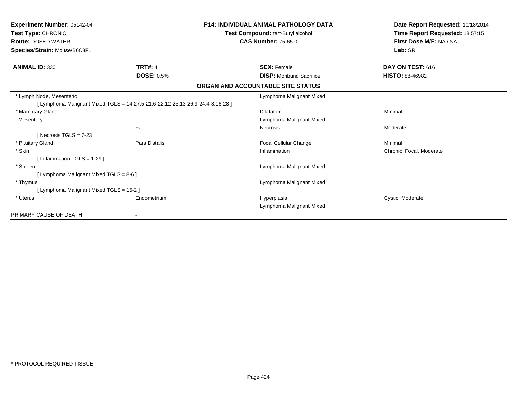| <b>Experiment Number: 05142-04</b><br>Test Type: CHRONIC<br><b>Route: DOSED WATER</b><br>Species/Strain: Mouse/B6C3F1 |                   | <b>P14: INDIVIDUAL ANIMAL PATHOLOGY DATA</b><br>Test Compound: tert-Butyl alcohol<br><b>CAS Number: 75-65-0</b> | Date Report Requested: 10/18/2014<br>Time Report Requested: 18:57:15<br>First Dose M/F: NA / NA<br>Lab: SRI |  |
|-----------------------------------------------------------------------------------------------------------------------|-------------------|-----------------------------------------------------------------------------------------------------------------|-------------------------------------------------------------------------------------------------------------|--|
| <b>ANIMAL ID: 330</b>                                                                                                 | <b>TRT#: 4</b>    | <b>SEX: Female</b>                                                                                              | DAY ON TEST: 616                                                                                            |  |
|                                                                                                                       | <b>DOSE: 0.5%</b> | <b>DISP:</b> Moribund Sacrifice                                                                                 | <b>HISTO: 88-46982</b>                                                                                      |  |
|                                                                                                                       |                   | ORGAN AND ACCOUNTABLE SITE STATUS                                                                               |                                                                                                             |  |
| * Lymph Node, Mesenteric                                                                                              |                   | Lymphoma Malignant Mixed                                                                                        |                                                                                                             |  |
| [ Lymphoma Malignant Mixed TGLS = 14-27,5-21,6-22,12-25,13-26,9-24,4-8,16-28 ]                                        |                   |                                                                                                                 |                                                                                                             |  |
| * Mammary Gland                                                                                                       |                   | <b>Dilatation</b>                                                                                               | Minimal                                                                                                     |  |
| Mesentery                                                                                                             |                   | Lymphoma Malignant Mixed                                                                                        |                                                                                                             |  |
|                                                                                                                       | Fat               | Necrosis                                                                                                        | Moderate                                                                                                    |  |
| [ Necrosis TGLS = $7-23$ ]                                                                                            |                   |                                                                                                                 |                                                                                                             |  |
| * Pituitary Gland                                                                                                     | Pars Distalis     | Focal Cellular Change                                                                                           | Minimal                                                                                                     |  |
| * Skin                                                                                                                |                   | Inflammation                                                                                                    | Chronic, Focal, Moderate                                                                                    |  |
| [Inflammation TGLS = $1-29$ ]                                                                                         |                   |                                                                                                                 |                                                                                                             |  |
| * Spleen                                                                                                              |                   | Lymphoma Malignant Mixed                                                                                        |                                                                                                             |  |
| [ Lymphoma Malignant Mixed TGLS = 8-6 ]                                                                               |                   |                                                                                                                 |                                                                                                             |  |
| * Thymus                                                                                                              |                   | Lymphoma Malignant Mixed                                                                                        |                                                                                                             |  |
| [ Lymphoma Malignant Mixed TGLS = 15-2 ]                                                                              |                   |                                                                                                                 |                                                                                                             |  |
| * Uterus                                                                                                              | Endometrium       | Hyperplasia                                                                                                     | Cystic, Moderate                                                                                            |  |
|                                                                                                                       |                   | Lymphoma Malignant Mixed                                                                                        |                                                                                                             |  |
| PRIMARY CAUSE OF DEATH                                                                                                |                   |                                                                                                                 |                                                                                                             |  |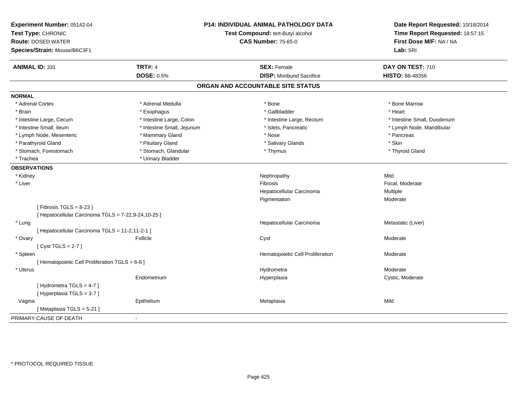| Experiment Number: 05142-04<br>Test Type: CHRONIC<br><b>Route: DOSED WATER</b><br>Species/Strain: Mouse/B6C3F1 |                            | P14: INDIVIDUAL ANIMAL PATHOLOGY DATA<br>Test Compound: tert-Butyl alcohol<br><b>CAS Number: 75-65-0</b> | Date Report Requested: 10/18/2014<br>Time Report Requested: 18:57:15<br>First Dose M/F: NA / NA<br>Lab: SRI |  |
|----------------------------------------------------------------------------------------------------------------|----------------------------|----------------------------------------------------------------------------------------------------------|-------------------------------------------------------------------------------------------------------------|--|
| <b>ANIMAL ID: 331</b>                                                                                          | <b>TRT#: 4</b>             | <b>SEX: Female</b>                                                                                       | DAY ON TEST: 710                                                                                            |  |
|                                                                                                                | <b>DOSE: 0.5%</b>          | <b>DISP:</b> Moribund Sacrifice                                                                          | HISTO: 88-48356                                                                                             |  |
|                                                                                                                |                            | ORGAN AND ACCOUNTABLE SITE STATUS                                                                        |                                                                                                             |  |
| <b>NORMAL</b>                                                                                                  |                            |                                                                                                          |                                                                                                             |  |
| * Adrenal Cortex                                                                                               | * Adrenal Medulla          | * Bone                                                                                                   | * Bone Marrow                                                                                               |  |
| * Brain                                                                                                        | * Esophagus                | * Gallbladder                                                                                            | * Heart                                                                                                     |  |
| * Intestine Large, Cecum                                                                                       | * Intestine Large, Colon   | * Intestine Large, Rectum                                                                                | * Intestine Small, Duodenum                                                                                 |  |
| * Intestine Small, Ileum                                                                                       | * Intestine Small, Jejunum | * Islets, Pancreatic                                                                                     | * Lymph Node, Mandibular                                                                                    |  |
| * Lymph Node, Mesenteric                                                                                       | * Mammary Gland            | * Nose                                                                                                   | * Pancreas                                                                                                  |  |
| * Parathyroid Gland                                                                                            | * Pituitary Gland          | * Salivary Glands                                                                                        | * Skin                                                                                                      |  |
| * Stomach, Forestomach                                                                                         | * Stomach, Glandular       | * Thymus                                                                                                 | * Thyroid Gland                                                                                             |  |
| * Trachea                                                                                                      | * Urinary Bladder          |                                                                                                          |                                                                                                             |  |
| <b>OBSERVATIONS</b>                                                                                            |                            |                                                                                                          |                                                                                                             |  |
| * Kidney                                                                                                       |                            | Nephropathy                                                                                              | Mild                                                                                                        |  |
| * Liver                                                                                                        |                            | Fibrosis                                                                                                 | Focal, Moderate                                                                                             |  |
|                                                                                                                |                            | Hepatocellular Carcinoma                                                                                 | Multiple                                                                                                    |  |
|                                                                                                                |                            | Pigmentation                                                                                             | Moderate                                                                                                    |  |
| [Fibrosis TGLS = $8-23$ ]                                                                                      |                            |                                                                                                          |                                                                                                             |  |
| [ Hepatocellular Carcinoma TGLS = 7-22,9-24,10-25 ]                                                            |                            |                                                                                                          |                                                                                                             |  |
| * Lung                                                                                                         |                            | Hepatocellular Carcinoma                                                                                 | Metastatic (Liver)                                                                                          |  |
| [ Hepatocellular Carcinoma TGLS = 11-2,11-2-1 ]                                                                |                            |                                                                                                          |                                                                                                             |  |
| * Ovary                                                                                                        | Follicle                   | Cyst                                                                                                     | Moderate                                                                                                    |  |
| [Cyst TGLS = $2-7$ ]                                                                                           |                            |                                                                                                          |                                                                                                             |  |
| * Spleen                                                                                                       |                            | Hematopoietic Cell Proliferation                                                                         | Moderate                                                                                                    |  |
| [ Hematopoietic Cell Proliferation TGLS = 6-6 ]                                                                |                            |                                                                                                          |                                                                                                             |  |
| * Uterus                                                                                                       |                            | Hydrometra                                                                                               | Moderate                                                                                                    |  |
|                                                                                                                | Endometrium                | Hyperplasia                                                                                              | Cystic, Moderate                                                                                            |  |
| [Hydrometra TGLS = 4-7]                                                                                        |                            |                                                                                                          |                                                                                                             |  |
| [Hyperplasia TGLS = 3-7]                                                                                       |                            |                                                                                                          |                                                                                                             |  |
| Vagina                                                                                                         | Epithelium                 | Metaplasia                                                                                               | Mild                                                                                                        |  |
| [Metaplasia TGLS = 5-21]                                                                                       |                            |                                                                                                          |                                                                                                             |  |
| PRIMARY CAUSE OF DEATH                                                                                         |                            |                                                                                                          |                                                                                                             |  |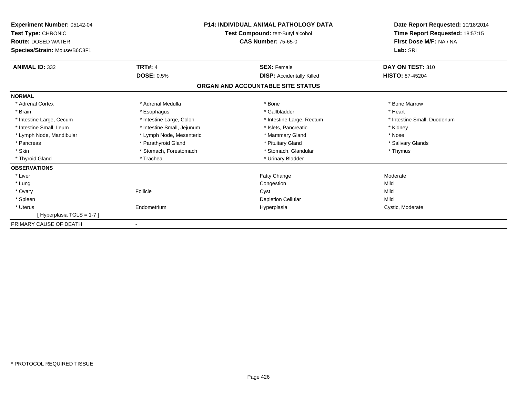| <b>Experiment Number: 05142-04</b><br>Test Type: CHRONIC<br><b>Route: DOSED WATER</b><br>Species/Strain: Mouse/B6C3F1 | <b>P14: INDIVIDUAL ANIMAL PATHOLOGY DATA</b><br>Test Compound: tert-Butyl alcohol<br><b>CAS Number: 75-65-0</b> |                                   | Date Report Requested: 10/18/2014<br>Time Report Requested: 18:57:15<br>First Dose M/F: NA / NA<br>Lab: SRI |
|-----------------------------------------------------------------------------------------------------------------------|-----------------------------------------------------------------------------------------------------------------|-----------------------------------|-------------------------------------------------------------------------------------------------------------|
| <b>ANIMAL ID: 332</b>                                                                                                 | <b>TRT#: 4</b>                                                                                                  | <b>SEX: Female</b>                | DAY ON TEST: 310                                                                                            |
|                                                                                                                       | <b>DOSE: 0.5%</b>                                                                                               | <b>DISP:</b> Accidentally Killed  | <b>HISTO: 87-45204</b>                                                                                      |
|                                                                                                                       |                                                                                                                 | ORGAN AND ACCOUNTABLE SITE STATUS |                                                                                                             |
| <b>NORMAL</b>                                                                                                         |                                                                                                                 |                                   |                                                                                                             |
| * Adrenal Cortex                                                                                                      | * Adrenal Medulla                                                                                               | * Bone                            | * Bone Marrow                                                                                               |
| * Brain                                                                                                               | * Esophagus                                                                                                     | * Gallbladder                     | * Heart                                                                                                     |
| * Intestine Large, Cecum                                                                                              | * Intestine Large, Colon                                                                                        | * Intestine Large, Rectum         | * Intestine Small, Duodenum                                                                                 |
| * Intestine Small, Ileum                                                                                              | * Intestine Small, Jejunum                                                                                      | * Islets, Pancreatic              | * Kidney                                                                                                    |
| * Lymph Node, Mandibular                                                                                              | * Lymph Node, Mesenteric                                                                                        | * Mammary Gland                   | * Nose                                                                                                      |
| * Pancreas                                                                                                            | * Parathyroid Gland                                                                                             | * Pituitary Gland                 | * Salivary Glands                                                                                           |
| * Skin                                                                                                                | * Stomach, Forestomach                                                                                          | * Stomach, Glandular              | * Thymus                                                                                                    |
| * Thyroid Gland                                                                                                       | * Trachea                                                                                                       | * Urinary Bladder                 |                                                                                                             |
| <b>OBSERVATIONS</b>                                                                                                   |                                                                                                                 |                                   |                                                                                                             |
| * Liver                                                                                                               |                                                                                                                 | Fatty Change                      | Moderate                                                                                                    |
| * Lung                                                                                                                |                                                                                                                 | Congestion                        | Mild                                                                                                        |
| * Ovary                                                                                                               | Follicle                                                                                                        | Cyst                              | Mild                                                                                                        |
| * Spleen                                                                                                              |                                                                                                                 | <b>Depletion Cellular</b>         | Mild                                                                                                        |
| * Uterus                                                                                                              | Endometrium                                                                                                     | Hyperplasia                       | Cystic, Moderate                                                                                            |
| [Hyperplasia TGLS = 1-7]                                                                                              |                                                                                                                 |                                   |                                                                                                             |
| PRIMARY CAUSE OF DEATH                                                                                                |                                                                                                                 |                                   |                                                                                                             |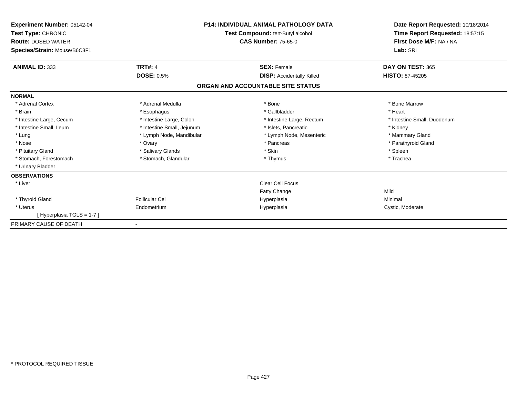| <b>Experiment Number: 05142-04</b><br>Test Type: CHRONIC<br><b>Route: DOSED WATER</b><br>Species/Strain: Mouse/B6C3F1 | <b>P14: INDIVIDUAL ANIMAL PATHOLOGY DATA</b><br>Test Compound: tert-Butyl alcohol<br><b>CAS Number: 75-65-0</b> |                                   | Date Report Requested: 10/18/2014<br>Time Report Requested: 18:57:15<br>First Dose M/F: NA / NA<br>Lab: SRI |
|-----------------------------------------------------------------------------------------------------------------------|-----------------------------------------------------------------------------------------------------------------|-----------------------------------|-------------------------------------------------------------------------------------------------------------|
| <b>ANIMAL ID: 333</b>                                                                                                 | <b>TRT#: 4</b>                                                                                                  | <b>SEX: Female</b>                | DAY ON TEST: 365                                                                                            |
|                                                                                                                       | <b>DOSE: 0.5%</b>                                                                                               | <b>DISP:</b> Accidentally Killed  | HISTO: 87-45205                                                                                             |
|                                                                                                                       |                                                                                                                 | ORGAN AND ACCOUNTABLE SITE STATUS |                                                                                                             |
| <b>NORMAL</b>                                                                                                         |                                                                                                                 |                                   |                                                                                                             |
| * Adrenal Cortex                                                                                                      | * Adrenal Medulla                                                                                               | * Bone                            | * Bone Marrow                                                                                               |
| * Brain                                                                                                               | * Esophagus                                                                                                     | * Gallbladder                     | * Heart                                                                                                     |
| * Intestine Large, Cecum                                                                                              | * Intestine Large, Colon                                                                                        | * Intestine Large, Rectum         | * Intestine Small, Duodenum                                                                                 |
| * Intestine Small, Ileum                                                                                              | * Intestine Small, Jejunum                                                                                      | * Islets, Pancreatic              | * Kidney                                                                                                    |
| * Lung                                                                                                                | * Lymph Node, Mandibular                                                                                        | * Lymph Node, Mesenteric          | * Mammary Gland                                                                                             |
| * Nose                                                                                                                | * Ovary                                                                                                         | * Pancreas                        | * Parathyroid Gland                                                                                         |
| * Pituitary Gland                                                                                                     | * Salivary Glands                                                                                               | * Skin                            | * Spleen                                                                                                    |
| * Stomach, Forestomach                                                                                                | * Stomach, Glandular                                                                                            | * Thymus                          | * Trachea                                                                                                   |
| * Urinary Bladder                                                                                                     |                                                                                                                 |                                   |                                                                                                             |
| <b>OBSERVATIONS</b>                                                                                                   |                                                                                                                 |                                   |                                                                                                             |
| * Liver                                                                                                               |                                                                                                                 | <b>Clear Cell Focus</b>           |                                                                                                             |
|                                                                                                                       |                                                                                                                 | <b>Fatty Change</b>               | Mild                                                                                                        |
| * Thyroid Gland                                                                                                       | <b>Follicular Cel</b>                                                                                           | Hyperplasia                       | Minimal                                                                                                     |
| * Uterus                                                                                                              | Endometrium                                                                                                     | Hyperplasia                       | Cystic, Moderate                                                                                            |
| [Hyperplasia TGLS = 1-7]                                                                                              |                                                                                                                 |                                   |                                                                                                             |
| PRIMARY CAUSE OF DEATH                                                                                                |                                                                                                                 |                                   |                                                                                                             |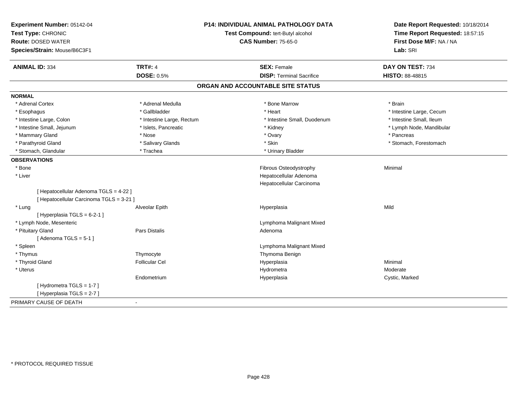| Experiment Number: 05142-04<br>Test Type: CHRONIC<br><b>Route: DOSED WATER</b><br>Species/Strain: Mouse/B6C3F1 | <b>P14: INDIVIDUAL ANIMAL PATHOLOGY DATA</b><br>Test Compound: tert-Butyl alcohol<br><b>CAS Number: 75-65-0</b> |                                   | Date Report Requested: 10/18/2014<br>Time Report Requested: 18:57:15<br>First Dose M/F: NA / NA<br>Lab: SRI |  |
|----------------------------------------------------------------------------------------------------------------|-----------------------------------------------------------------------------------------------------------------|-----------------------------------|-------------------------------------------------------------------------------------------------------------|--|
| <b>ANIMAL ID: 334</b>                                                                                          | <b>TRT#: 4</b>                                                                                                  | <b>SEX: Female</b>                | DAY ON TEST: 734                                                                                            |  |
|                                                                                                                | <b>DOSE: 0.5%</b>                                                                                               | <b>DISP: Terminal Sacrifice</b>   | <b>HISTO: 88-48815</b>                                                                                      |  |
|                                                                                                                |                                                                                                                 | ORGAN AND ACCOUNTABLE SITE STATUS |                                                                                                             |  |
| <b>NORMAL</b>                                                                                                  |                                                                                                                 |                                   |                                                                                                             |  |
| * Adrenal Cortex                                                                                               | * Adrenal Medulla                                                                                               | * Bone Marrow                     | * Brain                                                                                                     |  |
| * Esophagus                                                                                                    | * Gallbladder                                                                                                   | * Heart                           | * Intestine Large, Cecum                                                                                    |  |
| * Intestine Large, Colon                                                                                       | * Intestine Large, Rectum                                                                                       | * Intestine Small, Duodenum       | * Intestine Small, Ileum                                                                                    |  |
| * Intestine Small, Jejunum                                                                                     | * Islets, Pancreatic                                                                                            | * Kidney                          | * Lymph Node, Mandibular                                                                                    |  |
| * Mammary Gland                                                                                                | * Nose                                                                                                          | * Ovary                           | * Pancreas                                                                                                  |  |
| * Parathyroid Gland                                                                                            | * Salivary Glands                                                                                               | * Skin                            | * Stomach, Forestomach                                                                                      |  |
| * Stomach, Glandular                                                                                           | * Trachea                                                                                                       | * Urinary Bladder                 |                                                                                                             |  |
| <b>OBSERVATIONS</b>                                                                                            |                                                                                                                 |                                   |                                                                                                             |  |
| * Bone                                                                                                         |                                                                                                                 | Fibrous Osteodystrophy            | Minimal                                                                                                     |  |
| * Liver                                                                                                        |                                                                                                                 | Hepatocellular Adenoma            |                                                                                                             |  |
|                                                                                                                |                                                                                                                 | Hepatocellular Carcinoma          |                                                                                                             |  |
| [ Hepatocellular Adenoma TGLS = 4-22 ]<br>[ Hepatocellular Carcinoma TGLS = 3-21 ]                             |                                                                                                                 |                                   |                                                                                                             |  |
| * Lung                                                                                                         | Alveolar Epith                                                                                                  | Hyperplasia                       | Mild                                                                                                        |  |
| [Hyperplasia TGLS = $6-2-1$ ]                                                                                  |                                                                                                                 |                                   |                                                                                                             |  |
| * Lymph Node, Mesenteric                                                                                       |                                                                                                                 | Lymphoma Malignant Mixed          |                                                                                                             |  |
| * Pituitary Gland                                                                                              | Pars Distalis                                                                                                   | Adenoma                           |                                                                                                             |  |
| [Adenoma TGLS = $5-1$ ]                                                                                        |                                                                                                                 |                                   |                                                                                                             |  |
| * Spleen                                                                                                       |                                                                                                                 | Lymphoma Malignant Mixed          |                                                                                                             |  |
| * Thymus                                                                                                       | Thymocyte                                                                                                       | Thymoma Benign                    |                                                                                                             |  |
| * Thyroid Gland                                                                                                | <b>Follicular Cel</b>                                                                                           | Hyperplasia                       | Minimal                                                                                                     |  |
| * Uterus                                                                                                       |                                                                                                                 | Hydrometra                        | Moderate                                                                                                    |  |
|                                                                                                                | Endometrium                                                                                                     | Hyperplasia                       | Cystic, Marked                                                                                              |  |
| [Hydrometra TGLS = 1-7]                                                                                        |                                                                                                                 |                                   |                                                                                                             |  |
| [Hyperplasia TGLS = 2-7]                                                                                       |                                                                                                                 |                                   |                                                                                                             |  |
| PRIMARY CAUSE OF DEATH                                                                                         | $\blacksquare$                                                                                                  |                                   |                                                                                                             |  |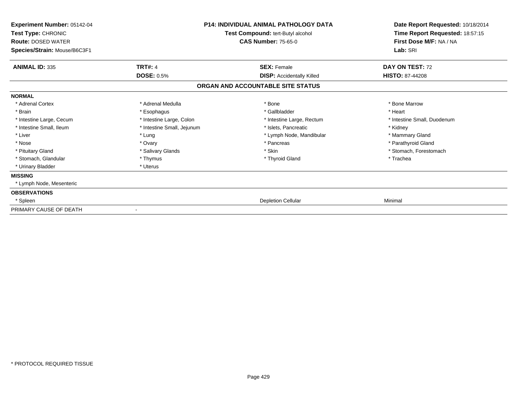| Experiment Number: 05142-04<br>Test Type: CHRONIC<br><b>Route: DOSED WATER</b><br>Species/Strain: Mouse/B6C3F1 |                            | <b>P14: INDIVIDUAL ANIMAL PATHOLOGY DATA</b><br>Test Compound: tert-Butyl alcohol<br><b>CAS Number: 75-65-0</b> | Date Report Requested: 10/18/2014<br>Time Report Requested: 18:57:15<br>First Dose M/F: NA / NA<br>Lab: SRI |
|----------------------------------------------------------------------------------------------------------------|----------------------------|-----------------------------------------------------------------------------------------------------------------|-------------------------------------------------------------------------------------------------------------|
| <b>ANIMAL ID: 335</b>                                                                                          | <b>TRT#: 4</b>             | <b>SEX: Female</b>                                                                                              | DAY ON TEST: 72                                                                                             |
|                                                                                                                | <b>DOSE: 0.5%</b>          | <b>DISP:</b> Accidentally Killed<br>ORGAN AND ACCOUNTABLE SITE STATUS                                           | <b>HISTO: 87-44208</b>                                                                                      |
| <b>NORMAL</b>                                                                                                  |                            |                                                                                                                 |                                                                                                             |
| * Adrenal Cortex                                                                                               | * Adrenal Medulla          | * Bone                                                                                                          | * Bone Marrow                                                                                               |
| * Brain                                                                                                        | * Esophagus                | * Gallbladder                                                                                                   | * Heart                                                                                                     |
| * Intestine Large, Cecum                                                                                       | * Intestine Large, Colon   | * Intestine Large, Rectum                                                                                       | * Intestine Small, Duodenum                                                                                 |
| * Intestine Small, Ileum                                                                                       | * Intestine Small, Jejunum | * Islets, Pancreatic                                                                                            | * Kidney                                                                                                    |
| * Liver                                                                                                        | * Lung                     | * Lymph Node, Mandibular                                                                                        | * Mammary Gland                                                                                             |
| * Nose                                                                                                         | * Ovary                    | * Pancreas                                                                                                      | * Parathyroid Gland                                                                                         |
| * Pituitary Gland                                                                                              | * Salivary Glands          | * Skin                                                                                                          | * Stomach, Forestomach                                                                                      |
| * Stomach, Glandular                                                                                           | * Thymus                   | * Thyroid Gland                                                                                                 | * Trachea                                                                                                   |
| * Urinary Bladder                                                                                              | * Uterus                   |                                                                                                                 |                                                                                                             |
| <b>MISSING</b>                                                                                                 |                            |                                                                                                                 |                                                                                                             |
| * Lymph Node, Mesenteric                                                                                       |                            |                                                                                                                 |                                                                                                             |
| <b>OBSERVATIONS</b>                                                                                            |                            |                                                                                                                 |                                                                                                             |
| * Spleen                                                                                                       |                            | <b>Depletion Cellular</b>                                                                                       | Minimal                                                                                                     |
| PRIMARY CAUSE OF DEATH                                                                                         |                            |                                                                                                                 |                                                                                                             |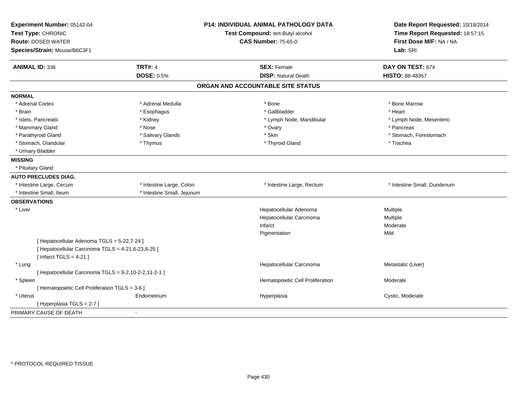| Experiment Number: 05142-04                           |                            | <b>P14: INDIVIDUAL ANIMAL PATHOLOGY DATA</b> | Date Report Requested: 10/18/2014 |  |
|-------------------------------------------------------|----------------------------|----------------------------------------------|-----------------------------------|--|
| Test Type: CHRONIC                                    |                            | Test Compound: tert-Butyl alcohol            | Time Report Requested: 18:57:15   |  |
| <b>Route: DOSED WATER</b>                             |                            | <b>CAS Number: 75-65-0</b>                   | First Dose M/F: NA / NA           |  |
| Species/Strain: Mouse/B6C3F1                          |                            |                                              | Lab: SRI                          |  |
| <b>ANIMAL ID: 336</b>                                 | <b>TRT#: 4</b>             | <b>SEX: Female</b>                           | DAY ON TEST: 674                  |  |
|                                                       | <b>DOSE: 0.5%</b>          | <b>DISP: Natural Death</b>                   | HISTO: 88-48357                   |  |
|                                                       |                            | ORGAN AND ACCOUNTABLE SITE STATUS            |                                   |  |
| <b>NORMAL</b>                                         |                            |                                              |                                   |  |
| * Adrenal Cortex                                      | * Adrenal Medulla          | * Bone                                       | * Bone Marrow                     |  |
| * Brain                                               | * Esophagus                | * Gallbladder                                | * Heart                           |  |
| * Islets, Pancreatic                                  | * Kidney                   | * Lymph Node, Mandibular                     | * Lymph Node, Mesenteric          |  |
| * Mammary Gland                                       | * Nose                     | * Ovary                                      | * Pancreas                        |  |
| * Parathyroid Gland                                   | * Salivary Glands          | * Skin                                       | * Stomach, Forestomach            |  |
| * Stomach, Glandular                                  | * Thymus                   | * Thyroid Gland                              | * Trachea                         |  |
| * Urinary Bladder                                     |                            |                                              |                                   |  |
| <b>MISSING</b>                                        |                            |                                              |                                   |  |
| * Pituitary Gland                                     |                            |                                              |                                   |  |
| <b>AUTO PRECLUDES DIAG.</b>                           |                            |                                              |                                   |  |
| * Intestine Large, Cecum                              | * Intestine Large, Colon   | * Intestine Large, Rectum                    | * Intestine Small, Duodenum       |  |
| * Intestine Small, Ileum                              | * Intestine Small, Jejunum |                                              |                                   |  |
| <b>OBSERVATIONS</b>                                   |                            |                                              |                                   |  |
| * Liver                                               |                            | Hepatocellular Adenoma                       | Multiple                          |  |
|                                                       |                            | Hepatocellular Carcinoma                     | Multiple                          |  |
|                                                       |                            | Infarct                                      | Moderate                          |  |
|                                                       |                            | Pigmentation                                 | Mild                              |  |
| [ Hepatocellular Adenoma TGLS = 5-22,7-24 ]           |                            |                                              |                                   |  |
| [ Hepatocellular Carcinoma TGLS = 4-21,6-23,8-25 ]    |                            |                                              |                                   |  |
| [Infarct TGLS = $4-21$ ]                              |                            |                                              |                                   |  |
| * Lung                                                |                            | Hepatocellular Carcinoma                     | Metastatic (Liver)                |  |
| [ Hepatocellular Carcinoma TGLS = 9-2,10-2-2,11-2-1 ] |                            |                                              |                                   |  |
| * Spleen                                              |                            | Hematopoietic Cell Proliferation             | Moderate                          |  |
| [ Hematopoietic Cell Proliferation TGLS = 3-6 ]       |                            |                                              |                                   |  |
| * Uterus                                              | Endometrium                | Hyperplasia                                  | Cystic, Moderate                  |  |
| [Hyperplasia TGLS = 2-7]                              |                            |                                              |                                   |  |
| PRIMARY CAUSE OF DEATH                                | $\sim$                     |                                              |                                   |  |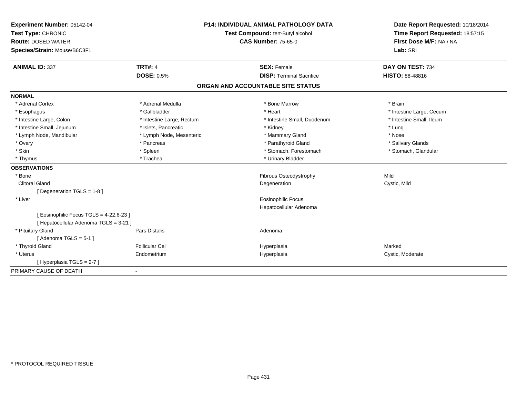| Experiment Number: 05142-04             | <b>P14: INDIVIDUAL ANIMAL PATHOLOGY DATA</b><br>Test Compound: tert-Butyl alcohol<br><b>CAS Number: 75-65-0</b> |  |                                   |                                 | Date Report Requested: 10/18/2014 |
|-----------------------------------------|-----------------------------------------------------------------------------------------------------------------|--|-----------------------------------|---------------------------------|-----------------------------------|
| Test Type: CHRONIC                      |                                                                                                                 |  |                                   | Time Report Requested: 18:57:15 |                                   |
| <b>Route: DOSED WATER</b>               |                                                                                                                 |  |                                   | First Dose M/F: NA / NA         |                                   |
| Species/Strain: Mouse/B6C3F1            |                                                                                                                 |  |                                   |                                 | Lab: SRI                          |
| <b>ANIMAL ID: 337</b>                   | <b>TRT#: 4</b>                                                                                                  |  | <b>SEX: Female</b>                |                                 | DAY ON TEST: 734                  |
|                                         | <b>DOSE: 0.5%</b>                                                                                               |  | <b>DISP: Terminal Sacrifice</b>   |                                 | HISTO: 88-48816                   |
|                                         |                                                                                                                 |  | ORGAN AND ACCOUNTABLE SITE STATUS |                                 |                                   |
| <b>NORMAL</b>                           |                                                                                                                 |  |                                   |                                 |                                   |
| * Adrenal Cortex                        | * Adrenal Medulla                                                                                               |  | * Bone Marrow                     |                                 | * Brain                           |
| * Esophagus                             | * Gallbladder                                                                                                   |  | * Heart                           |                                 | * Intestine Large, Cecum          |
| * Intestine Large, Colon                | * Intestine Large, Rectum                                                                                       |  | * Intestine Small, Duodenum       |                                 | * Intestine Small, Ileum          |
| * Intestine Small, Jejunum              | * Islets, Pancreatic                                                                                            |  | * Kidney                          |                                 | * Lung                            |
| * Lymph Node, Mandibular                | * Lymph Node, Mesenteric                                                                                        |  | * Mammary Gland                   |                                 | * Nose                            |
| * Ovary                                 | * Pancreas                                                                                                      |  | * Parathyroid Gland               |                                 | * Salivary Glands                 |
| * Skin                                  | * Spleen                                                                                                        |  | * Stomach, Forestomach            |                                 | * Stomach, Glandular              |
| * Thymus                                | * Trachea                                                                                                       |  | * Urinary Bladder                 |                                 |                                   |
| <b>OBSERVATIONS</b>                     |                                                                                                                 |  |                                   |                                 |                                   |
| * Bone                                  |                                                                                                                 |  | Fibrous Osteodystrophy            |                                 | Mild                              |
| <b>Clitoral Gland</b>                   |                                                                                                                 |  | Degeneration                      |                                 | Cystic, Mild                      |
| [Degeneration TGLS = 1-8]               |                                                                                                                 |  |                                   |                                 |                                   |
| * Liver                                 |                                                                                                                 |  | Eosinophilic Focus                |                                 |                                   |
|                                         |                                                                                                                 |  | Hepatocellular Adenoma            |                                 |                                   |
| [ Eosinophilic Focus TGLS = 4-22,6-23 ] |                                                                                                                 |  |                                   |                                 |                                   |
| [ Hepatocellular Adenoma TGLS = 3-21 ]  |                                                                                                                 |  |                                   |                                 |                                   |
| * Pituitary Gland                       | <b>Pars Distalis</b>                                                                                            |  | Adenoma                           |                                 |                                   |
| [Adenoma TGLS = $5-1$ ]                 |                                                                                                                 |  |                                   |                                 |                                   |
| * Thyroid Gland                         | <b>Follicular Cel</b>                                                                                           |  | Hyperplasia                       |                                 | Marked                            |
| * Uterus                                | Endometrium                                                                                                     |  | Hyperplasia                       |                                 | Cystic, Moderate                  |
| [Hyperplasia TGLS = $2-7$ ]             |                                                                                                                 |  |                                   |                                 |                                   |
| PRIMARY CAUSE OF DEATH                  |                                                                                                                 |  |                                   |                                 |                                   |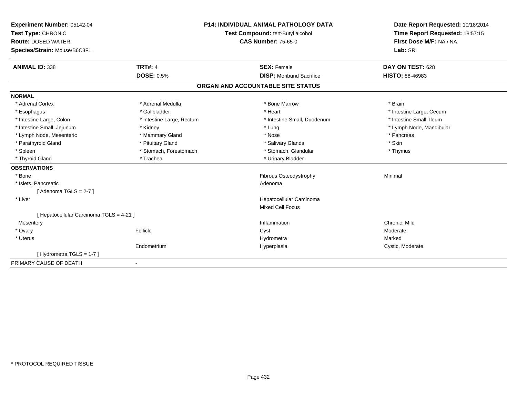| Experiment Number: 05142-04              | <b>P14: INDIVIDUAL ANIMAL PATHOLOGY DATA</b> |                            |                                   | Date Report Requested: 10/18/2014 |
|------------------------------------------|----------------------------------------------|----------------------------|-----------------------------------|-----------------------------------|
| Test Type: CHRONIC                       | Test Compound: tert-Butyl alcohol            |                            |                                   | Time Report Requested: 18:57:15   |
| <b>Route: DOSED WATER</b>                |                                              | <b>CAS Number: 75-65-0</b> |                                   | First Dose M/F: NA / NA           |
| Species/Strain: Mouse/B6C3F1             |                                              |                            |                                   | Lab: SRI                          |
| <b>ANIMAL ID: 338</b>                    | <b>TRT#: 4</b>                               |                            | <b>SEX: Female</b>                | DAY ON TEST: 628                  |
|                                          | <b>DOSE: 0.5%</b>                            |                            | <b>DISP:</b> Moribund Sacrifice   | <b>HISTO: 88-46983</b>            |
|                                          |                                              |                            | ORGAN AND ACCOUNTABLE SITE STATUS |                                   |
| <b>NORMAL</b>                            |                                              |                            |                                   |                                   |
| * Adrenal Cortex                         | * Adrenal Medulla                            |                            | * Bone Marrow                     | * Brain                           |
| * Esophagus                              | * Gallbladder                                |                            | * Heart                           | * Intestine Large, Cecum          |
| * Intestine Large, Colon                 | * Intestine Large, Rectum                    |                            | * Intestine Small, Duodenum       | * Intestine Small, Ileum          |
| * Intestine Small, Jejunum               | * Kidney                                     |                            | * Lung                            | * Lymph Node, Mandibular          |
| * Lymph Node, Mesenteric                 | * Mammary Gland                              |                            | * Nose                            | * Pancreas                        |
| * Parathyroid Gland                      | * Pituitary Gland                            |                            | * Salivary Glands                 | * Skin                            |
| * Spleen                                 | * Stomach, Forestomach                       |                            | * Stomach, Glandular              | * Thymus                          |
| * Thyroid Gland                          | * Trachea                                    |                            | * Urinary Bladder                 |                                   |
| <b>OBSERVATIONS</b>                      |                                              |                            |                                   |                                   |
| * Bone                                   |                                              |                            | Fibrous Osteodystrophy            | Minimal                           |
| * Islets, Pancreatic                     |                                              |                            | Adenoma                           |                                   |
| [Adenoma TGLS = 2-7]                     |                                              |                            |                                   |                                   |
| * Liver                                  |                                              |                            | Hepatocellular Carcinoma          |                                   |
|                                          |                                              |                            | <b>Mixed Cell Focus</b>           |                                   |
| [ Hepatocellular Carcinoma TGLS = 4-21 ] |                                              |                            |                                   |                                   |
| Mesentery                                |                                              |                            | Inflammation                      | Chronic, Mild                     |
| * Ovary                                  | Follicle                                     |                            | Cyst                              | Moderate                          |
| * Uterus                                 |                                              |                            | Hydrometra                        | Marked                            |
|                                          | Endometrium                                  |                            | Hyperplasia                       | Cystic, Moderate                  |
| [Hydrometra TGLS = 1-7]                  |                                              |                            |                                   |                                   |
| PRIMARY CAUSE OF DEATH                   |                                              |                            |                                   |                                   |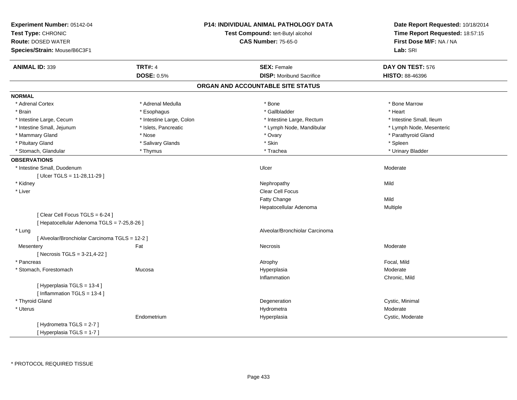| Experiment Number: 05142-04<br>Test Type: CHRONIC<br>Route: DOSED WATER<br>Species/Strain: Mouse/B6C3F1 |                          | P14: INDIVIDUAL ANIMAL PATHOLOGY DATA<br>Test Compound: tert-Butyl alcohol<br><b>CAS Number: 75-65-0</b> | Date Report Requested: 10/18/2014<br>Time Report Requested: 18:57:15<br>First Dose M/F: NA / NA<br>Lab: SRI |
|---------------------------------------------------------------------------------------------------------|--------------------------|----------------------------------------------------------------------------------------------------------|-------------------------------------------------------------------------------------------------------------|
| <b>ANIMAL ID: 339</b>                                                                                   | <b>TRT#: 4</b>           | <b>SEX: Female</b>                                                                                       | DAY ON TEST: 576                                                                                            |
|                                                                                                         | <b>DOSE: 0.5%</b>        | <b>DISP:</b> Moribund Sacrifice                                                                          | <b>HISTO: 88-46396</b>                                                                                      |
|                                                                                                         |                          | ORGAN AND ACCOUNTABLE SITE STATUS                                                                        |                                                                                                             |
| <b>NORMAL</b>                                                                                           |                          |                                                                                                          |                                                                                                             |
| * Adrenal Cortex                                                                                        | * Adrenal Medulla        | * Bone                                                                                                   | * Bone Marrow                                                                                               |
| * Brain                                                                                                 | * Esophagus              | * Gallbladder                                                                                            | * Heart                                                                                                     |
| * Intestine Large, Cecum                                                                                | * Intestine Large, Colon | * Intestine Large, Rectum                                                                                | * Intestine Small, Ileum                                                                                    |
| * Intestine Small, Jejunum                                                                              | * Islets, Pancreatic     | * Lymph Node, Mandibular                                                                                 | * Lymph Node, Mesenteric                                                                                    |
| * Mammary Gland                                                                                         | * Nose                   | * Ovary                                                                                                  | * Parathyroid Gland                                                                                         |
| * Pituitary Gland                                                                                       | * Salivary Glands        | * Skin                                                                                                   | * Spleen                                                                                                    |
| * Stomach, Glandular                                                                                    | * Thymus                 | * Trachea                                                                                                | * Urinary Bladder                                                                                           |
| <b>OBSERVATIONS</b>                                                                                     |                          |                                                                                                          |                                                                                                             |
| * Intestine Small, Duodenum                                                                             |                          | Ulcer                                                                                                    | Moderate                                                                                                    |
| [Ulcer TGLS = 11-28,11-29]                                                                              |                          |                                                                                                          |                                                                                                             |
| * Kidney                                                                                                |                          | Nephropathy                                                                                              | Mild                                                                                                        |
| * Liver                                                                                                 |                          | Clear Cell Focus                                                                                         |                                                                                                             |
|                                                                                                         |                          | Fatty Change                                                                                             | Mild                                                                                                        |
|                                                                                                         |                          | Hepatocellular Adenoma                                                                                   | Multiple                                                                                                    |
| [Clear Cell Focus TGLS = 6-24]                                                                          |                          |                                                                                                          |                                                                                                             |
| [ Hepatocellular Adenoma TGLS = 7-25,8-26 ]                                                             |                          |                                                                                                          |                                                                                                             |
| * Lung                                                                                                  |                          | Alveolar/Bronchiolar Carcinoma                                                                           |                                                                                                             |
| [ Alveolar/Bronchiolar Carcinoma TGLS = 12-2 ]                                                          |                          |                                                                                                          |                                                                                                             |
| Mesentery                                                                                               | Fat                      | <b>Necrosis</b>                                                                                          | Moderate                                                                                                    |
| [ Necrosis TGLS = 3-21,4-22 ]                                                                           |                          |                                                                                                          |                                                                                                             |
| * Pancreas                                                                                              |                          | Atrophy                                                                                                  | Focal, Mild                                                                                                 |
| * Stomach, Forestomach                                                                                  | Mucosa                   | Hyperplasia                                                                                              | Moderate                                                                                                    |
|                                                                                                         |                          | Inflammation                                                                                             | Chronic, Mild                                                                                               |
| [Hyperplasia TGLS = 13-4]                                                                               |                          |                                                                                                          |                                                                                                             |
| [Inflammation TGLS = 13-4]                                                                              |                          |                                                                                                          |                                                                                                             |
| * Thyroid Gland                                                                                         |                          | Degeneration                                                                                             | Cystic, Minimal                                                                                             |
| * Uterus                                                                                                |                          | Hydrometra                                                                                               | Moderate                                                                                                    |
|                                                                                                         | Endometrium              | Hyperplasia                                                                                              | Cystic, Moderate                                                                                            |
| [Hydrometra TGLS = 2-7]                                                                                 |                          |                                                                                                          |                                                                                                             |
| [Hyperplasia TGLS = $1-7$ ]                                                                             |                          |                                                                                                          |                                                                                                             |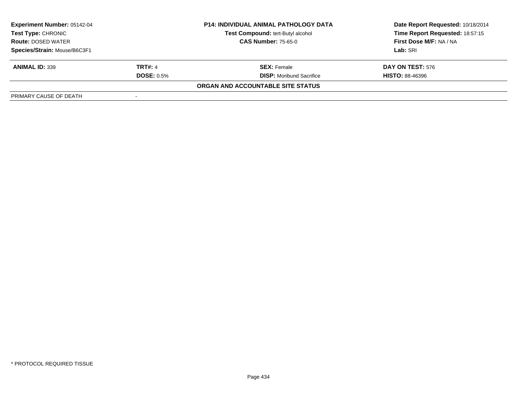| <b>Experiment Number: 05142-04</b>              |                   | <b>P14: INDIVIDUAL ANIMAL PATHOLOGY DATA</b> | Date Report Requested: 10/18/2014 |
|-------------------------------------------------|-------------------|----------------------------------------------|-----------------------------------|
| Test Type: CHRONIC<br><b>Route: DOSED WATER</b> |                   | Test Compound: tert-Butyl alcohol            | Time Report Requested: 18:57:15   |
|                                                 |                   | <b>CAS Number: 75-65-0</b>                   | First Dose M/F: NA / NA           |
| Species/Strain: Mouse/B6C3F1                    |                   |                                              | Lab: SRI                          |
| <b>ANIMAL ID: 339</b>                           | <b>TRT#: 4</b>    | <b>SEX:</b> Female                           | <b>DAY ON TEST: 576</b>           |
|                                                 | <b>DOSE: 0.5%</b> | <b>DISP:</b> Moribund Sacrifice              | <b>HISTO: 88-46396</b>            |
|                                                 |                   | <b>ORGAN AND ACCOUNTABLE SITE STATUS</b>     |                                   |
| PRIMARY CAUSE OF DEATH                          |                   |                                              |                                   |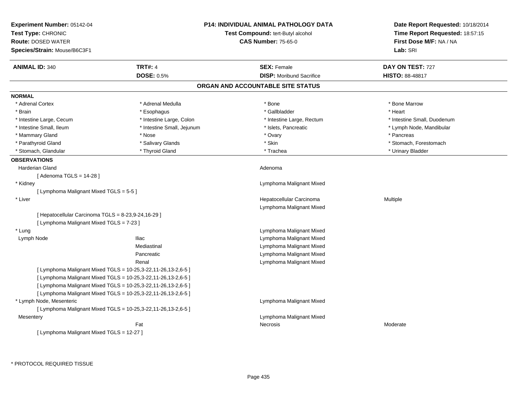| <b>TRT#: 4</b><br><b>SEX: Female</b><br><b>ANIMAL ID: 340</b><br>DAY ON TEST: 727<br><b>DOSE: 0.5%</b><br><b>DISP:</b> Moribund Sacrifice<br><b>HISTO: 88-48817</b><br>ORGAN AND ACCOUNTABLE SITE STATUS<br>* Adrenal Cortex<br>* Adrenal Medulla<br>$*$ Bone<br>* Bone Marrow<br>* Esophagus<br>* Gallbladder<br>* Brain<br>* Heart<br>* Intestine Large, Colon<br>* Intestine Small, Duodenum<br>* Intestine Large, Cecum<br>* Intestine Large, Rectum<br>* Intestine Small, Ileum<br>* Intestine Small, Jejunum<br>* Islets, Pancreatic<br>* Lymph Node, Mandibular<br>* Mammary Gland<br>* Ovary<br>* Pancreas<br>* Nose<br>* Parathyroid Gland<br>* Salivary Glands<br>* Skin<br>* Stomach, Forestomach<br>* Stomach, Glandular<br>* Thyroid Gland<br>* Trachea<br>* Urinary Bladder<br><b>OBSERVATIONS</b><br>Harderian Gland<br>Adenoma<br>[ Adenoma TGLS = 14-28 ]<br>* Kidney<br>Lymphoma Malignant Mixed<br>[ Lymphoma Malignant Mixed TGLS = 5-5 ]<br>Hepatocellular Carcinoma<br>Multiple<br>* Liver<br>Lymphoma Malignant Mixed<br>[ Hepatocellular Carcinoma TGLS = 8-23,9-24,16-29 ]<br>[ Lymphoma Malignant Mixed TGLS = 7-23 ]<br>Lymphoma Malignant Mixed<br>* Lung<br><b>Iliac</b><br>Lymphoma Malignant Mixed<br>Lymph Node<br>Mediastinal<br>Lymphoma Malignant Mixed<br>Lymphoma Malignant Mixed<br>Pancreatic<br>Lymphoma Malignant Mixed<br>Renal<br>[ Lymphoma Malignant Mixed TGLS = 10-25,3-22,11-26,13-2,6-5 ]<br>[ Lymphoma Malignant Mixed TGLS = 10-25,3-22,11-26,13-2,6-5 ]<br>[ Lymphoma Malignant Mixed TGLS = 10-25,3-22,11-26,13-2,6-5 ]<br>[ Lymphoma Malignant Mixed TGLS = 10-25,3-22,11-26,13-2,6-5 ]<br>* Lymph Node, Mesenteric<br>Lymphoma Malignant Mixed<br>[ Lymphoma Malignant Mixed TGLS = 10-25,3-22,11-26,13-2,6-5 ]<br>Lymphoma Malignant Mixed<br>Mesentery<br>Fat<br>Necrosis<br>Moderate<br>[ Lymphoma Malignant Mixed TGLS = 12-27 ] | Experiment Number: 05142-04<br>Test Type: CHRONIC<br><b>Route: DOSED WATER</b><br>Species/Strain: Mouse/B6C3F1 | <b>P14: INDIVIDUAL ANIMAL PATHOLOGY DATA</b><br>Test Compound: tert-Butyl alcohol<br><b>CAS Number: 75-65-0</b> | Date Report Requested: 10/18/2014<br>Time Report Requested: 18:57:15<br>First Dose M/F: NA / NA<br>Lab: SRI |
|---------------------------------------------------------------------------------------------------------------------------------------------------------------------------------------------------------------------------------------------------------------------------------------------------------------------------------------------------------------------------------------------------------------------------------------------------------------------------------------------------------------------------------------------------------------------------------------------------------------------------------------------------------------------------------------------------------------------------------------------------------------------------------------------------------------------------------------------------------------------------------------------------------------------------------------------------------------------------------------------------------------------------------------------------------------------------------------------------------------------------------------------------------------------------------------------------------------------------------------------------------------------------------------------------------------------------------------------------------------------------------------------------------------------------------------------------------------------------------------------------------------------------------------------------------------------------------------------------------------------------------------------------------------------------------------------------------------------------------------------------------------------------------------------------------------------------------------------------------------------------------------------|----------------------------------------------------------------------------------------------------------------|-----------------------------------------------------------------------------------------------------------------|-------------------------------------------------------------------------------------------------------------|
|                                                                                                                                                                                                                                                                                                                                                                                                                                                                                                                                                                                                                                                                                                                                                                                                                                                                                                                                                                                                                                                                                                                                                                                                                                                                                                                                                                                                                                                                                                                                                                                                                                                                                                                                                                                                                                                                                             |                                                                                                                |                                                                                                                 |                                                                                                             |
|                                                                                                                                                                                                                                                                                                                                                                                                                                                                                                                                                                                                                                                                                                                                                                                                                                                                                                                                                                                                                                                                                                                                                                                                                                                                                                                                                                                                                                                                                                                                                                                                                                                                                                                                                                                                                                                                                             |                                                                                                                |                                                                                                                 |                                                                                                             |
|                                                                                                                                                                                                                                                                                                                                                                                                                                                                                                                                                                                                                                                                                                                                                                                                                                                                                                                                                                                                                                                                                                                                                                                                                                                                                                                                                                                                                                                                                                                                                                                                                                                                                                                                                                                                                                                                                             |                                                                                                                |                                                                                                                 |                                                                                                             |
|                                                                                                                                                                                                                                                                                                                                                                                                                                                                                                                                                                                                                                                                                                                                                                                                                                                                                                                                                                                                                                                                                                                                                                                                                                                                                                                                                                                                                                                                                                                                                                                                                                                                                                                                                                                                                                                                                             | <b>NORMAL</b>                                                                                                  |                                                                                                                 |                                                                                                             |
|                                                                                                                                                                                                                                                                                                                                                                                                                                                                                                                                                                                                                                                                                                                                                                                                                                                                                                                                                                                                                                                                                                                                                                                                                                                                                                                                                                                                                                                                                                                                                                                                                                                                                                                                                                                                                                                                                             |                                                                                                                |                                                                                                                 |                                                                                                             |
|                                                                                                                                                                                                                                                                                                                                                                                                                                                                                                                                                                                                                                                                                                                                                                                                                                                                                                                                                                                                                                                                                                                                                                                                                                                                                                                                                                                                                                                                                                                                                                                                                                                                                                                                                                                                                                                                                             |                                                                                                                |                                                                                                                 |                                                                                                             |
|                                                                                                                                                                                                                                                                                                                                                                                                                                                                                                                                                                                                                                                                                                                                                                                                                                                                                                                                                                                                                                                                                                                                                                                                                                                                                                                                                                                                                                                                                                                                                                                                                                                                                                                                                                                                                                                                                             |                                                                                                                |                                                                                                                 |                                                                                                             |
|                                                                                                                                                                                                                                                                                                                                                                                                                                                                                                                                                                                                                                                                                                                                                                                                                                                                                                                                                                                                                                                                                                                                                                                                                                                                                                                                                                                                                                                                                                                                                                                                                                                                                                                                                                                                                                                                                             |                                                                                                                |                                                                                                                 |                                                                                                             |
|                                                                                                                                                                                                                                                                                                                                                                                                                                                                                                                                                                                                                                                                                                                                                                                                                                                                                                                                                                                                                                                                                                                                                                                                                                                                                                                                                                                                                                                                                                                                                                                                                                                                                                                                                                                                                                                                                             |                                                                                                                |                                                                                                                 |                                                                                                             |
|                                                                                                                                                                                                                                                                                                                                                                                                                                                                                                                                                                                                                                                                                                                                                                                                                                                                                                                                                                                                                                                                                                                                                                                                                                                                                                                                                                                                                                                                                                                                                                                                                                                                                                                                                                                                                                                                                             |                                                                                                                |                                                                                                                 |                                                                                                             |
|                                                                                                                                                                                                                                                                                                                                                                                                                                                                                                                                                                                                                                                                                                                                                                                                                                                                                                                                                                                                                                                                                                                                                                                                                                                                                                                                                                                                                                                                                                                                                                                                                                                                                                                                                                                                                                                                                             |                                                                                                                |                                                                                                                 |                                                                                                             |
|                                                                                                                                                                                                                                                                                                                                                                                                                                                                                                                                                                                                                                                                                                                                                                                                                                                                                                                                                                                                                                                                                                                                                                                                                                                                                                                                                                                                                                                                                                                                                                                                                                                                                                                                                                                                                                                                                             |                                                                                                                |                                                                                                                 |                                                                                                             |
|                                                                                                                                                                                                                                                                                                                                                                                                                                                                                                                                                                                                                                                                                                                                                                                                                                                                                                                                                                                                                                                                                                                                                                                                                                                                                                                                                                                                                                                                                                                                                                                                                                                                                                                                                                                                                                                                                             |                                                                                                                |                                                                                                                 |                                                                                                             |
|                                                                                                                                                                                                                                                                                                                                                                                                                                                                                                                                                                                                                                                                                                                                                                                                                                                                                                                                                                                                                                                                                                                                                                                                                                                                                                                                                                                                                                                                                                                                                                                                                                                                                                                                                                                                                                                                                             |                                                                                                                |                                                                                                                 |                                                                                                             |
|                                                                                                                                                                                                                                                                                                                                                                                                                                                                                                                                                                                                                                                                                                                                                                                                                                                                                                                                                                                                                                                                                                                                                                                                                                                                                                                                                                                                                                                                                                                                                                                                                                                                                                                                                                                                                                                                                             |                                                                                                                |                                                                                                                 |                                                                                                             |
|                                                                                                                                                                                                                                                                                                                                                                                                                                                                                                                                                                                                                                                                                                                                                                                                                                                                                                                                                                                                                                                                                                                                                                                                                                                                                                                                                                                                                                                                                                                                                                                                                                                                                                                                                                                                                                                                                             |                                                                                                                |                                                                                                                 |                                                                                                             |
|                                                                                                                                                                                                                                                                                                                                                                                                                                                                                                                                                                                                                                                                                                                                                                                                                                                                                                                                                                                                                                                                                                                                                                                                                                                                                                                                                                                                                                                                                                                                                                                                                                                                                                                                                                                                                                                                                             |                                                                                                                |                                                                                                                 |                                                                                                             |
|                                                                                                                                                                                                                                                                                                                                                                                                                                                                                                                                                                                                                                                                                                                                                                                                                                                                                                                                                                                                                                                                                                                                                                                                                                                                                                                                                                                                                                                                                                                                                                                                                                                                                                                                                                                                                                                                                             |                                                                                                                |                                                                                                                 |                                                                                                             |
|                                                                                                                                                                                                                                                                                                                                                                                                                                                                                                                                                                                                                                                                                                                                                                                                                                                                                                                                                                                                                                                                                                                                                                                                                                                                                                                                                                                                                                                                                                                                                                                                                                                                                                                                                                                                                                                                                             |                                                                                                                |                                                                                                                 |                                                                                                             |
|                                                                                                                                                                                                                                                                                                                                                                                                                                                                                                                                                                                                                                                                                                                                                                                                                                                                                                                                                                                                                                                                                                                                                                                                                                                                                                                                                                                                                                                                                                                                                                                                                                                                                                                                                                                                                                                                                             |                                                                                                                |                                                                                                                 |                                                                                                             |
|                                                                                                                                                                                                                                                                                                                                                                                                                                                                                                                                                                                                                                                                                                                                                                                                                                                                                                                                                                                                                                                                                                                                                                                                                                                                                                                                                                                                                                                                                                                                                                                                                                                                                                                                                                                                                                                                                             |                                                                                                                |                                                                                                                 |                                                                                                             |
|                                                                                                                                                                                                                                                                                                                                                                                                                                                                                                                                                                                                                                                                                                                                                                                                                                                                                                                                                                                                                                                                                                                                                                                                                                                                                                                                                                                                                                                                                                                                                                                                                                                                                                                                                                                                                                                                                             |                                                                                                                |                                                                                                                 |                                                                                                             |
|                                                                                                                                                                                                                                                                                                                                                                                                                                                                                                                                                                                                                                                                                                                                                                                                                                                                                                                                                                                                                                                                                                                                                                                                                                                                                                                                                                                                                                                                                                                                                                                                                                                                                                                                                                                                                                                                                             |                                                                                                                |                                                                                                                 |                                                                                                             |
|                                                                                                                                                                                                                                                                                                                                                                                                                                                                                                                                                                                                                                                                                                                                                                                                                                                                                                                                                                                                                                                                                                                                                                                                                                                                                                                                                                                                                                                                                                                                                                                                                                                                                                                                                                                                                                                                                             |                                                                                                                |                                                                                                                 |                                                                                                             |
|                                                                                                                                                                                                                                                                                                                                                                                                                                                                                                                                                                                                                                                                                                                                                                                                                                                                                                                                                                                                                                                                                                                                                                                                                                                                                                                                                                                                                                                                                                                                                                                                                                                                                                                                                                                                                                                                                             |                                                                                                                |                                                                                                                 |                                                                                                             |
|                                                                                                                                                                                                                                                                                                                                                                                                                                                                                                                                                                                                                                                                                                                                                                                                                                                                                                                                                                                                                                                                                                                                                                                                                                                                                                                                                                                                                                                                                                                                                                                                                                                                                                                                                                                                                                                                                             |                                                                                                                |                                                                                                                 |                                                                                                             |
|                                                                                                                                                                                                                                                                                                                                                                                                                                                                                                                                                                                                                                                                                                                                                                                                                                                                                                                                                                                                                                                                                                                                                                                                                                                                                                                                                                                                                                                                                                                                                                                                                                                                                                                                                                                                                                                                                             |                                                                                                                |                                                                                                                 |                                                                                                             |
|                                                                                                                                                                                                                                                                                                                                                                                                                                                                                                                                                                                                                                                                                                                                                                                                                                                                                                                                                                                                                                                                                                                                                                                                                                                                                                                                                                                                                                                                                                                                                                                                                                                                                                                                                                                                                                                                                             |                                                                                                                |                                                                                                                 |                                                                                                             |
|                                                                                                                                                                                                                                                                                                                                                                                                                                                                                                                                                                                                                                                                                                                                                                                                                                                                                                                                                                                                                                                                                                                                                                                                                                                                                                                                                                                                                                                                                                                                                                                                                                                                                                                                                                                                                                                                                             |                                                                                                                |                                                                                                                 |                                                                                                             |
|                                                                                                                                                                                                                                                                                                                                                                                                                                                                                                                                                                                                                                                                                                                                                                                                                                                                                                                                                                                                                                                                                                                                                                                                                                                                                                                                                                                                                                                                                                                                                                                                                                                                                                                                                                                                                                                                                             |                                                                                                                |                                                                                                                 |                                                                                                             |
|                                                                                                                                                                                                                                                                                                                                                                                                                                                                                                                                                                                                                                                                                                                                                                                                                                                                                                                                                                                                                                                                                                                                                                                                                                                                                                                                                                                                                                                                                                                                                                                                                                                                                                                                                                                                                                                                                             |                                                                                                                |                                                                                                                 |                                                                                                             |
|                                                                                                                                                                                                                                                                                                                                                                                                                                                                                                                                                                                                                                                                                                                                                                                                                                                                                                                                                                                                                                                                                                                                                                                                                                                                                                                                                                                                                                                                                                                                                                                                                                                                                                                                                                                                                                                                                             |                                                                                                                |                                                                                                                 |                                                                                                             |
|                                                                                                                                                                                                                                                                                                                                                                                                                                                                                                                                                                                                                                                                                                                                                                                                                                                                                                                                                                                                                                                                                                                                                                                                                                                                                                                                                                                                                                                                                                                                                                                                                                                                                                                                                                                                                                                                                             |                                                                                                                |                                                                                                                 |                                                                                                             |
|                                                                                                                                                                                                                                                                                                                                                                                                                                                                                                                                                                                                                                                                                                                                                                                                                                                                                                                                                                                                                                                                                                                                                                                                                                                                                                                                                                                                                                                                                                                                                                                                                                                                                                                                                                                                                                                                                             |                                                                                                                |                                                                                                                 |                                                                                                             |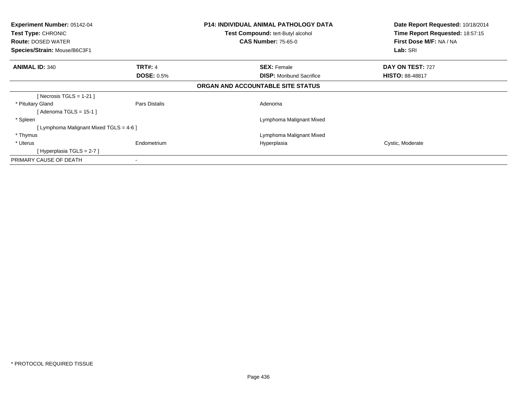| <b>Experiment Number: 05142-04</b><br>Test Type: CHRONIC<br><b>Route: DOSED WATER</b><br>Species/Strain: Mouse/B6C3F1 |                   | <b>P14: INDIVIDUAL ANIMAL PATHOLOGY DATA</b><br>Test Compound: tert-Butyl alcohol<br><b>CAS Number: 75-65-0</b> | Date Report Requested: 10/18/2014<br>Time Report Requested: 18:57:15<br>First Dose M/F: NA / NA<br>Lab: SRI |
|-----------------------------------------------------------------------------------------------------------------------|-------------------|-----------------------------------------------------------------------------------------------------------------|-------------------------------------------------------------------------------------------------------------|
| <b>ANIMAL ID: 340</b>                                                                                                 | <b>TRT#: 4</b>    | <b>SEX: Female</b>                                                                                              | DAY ON TEST: 727                                                                                            |
|                                                                                                                       | <b>DOSE: 0.5%</b> | <b>DISP:</b> Moribund Sacrifice                                                                                 | <b>HISTO: 88-48817</b>                                                                                      |
|                                                                                                                       |                   | ORGAN AND ACCOUNTABLE SITE STATUS                                                                               |                                                                                                             |
| [ Necrosis TGLS = $1-21$ ]                                                                                            |                   |                                                                                                                 |                                                                                                             |
| * Pituitary Gland                                                                                                     | Pars Distalis     | Adenoma                                                                                                         |                                                                                                             |
| [Adenoma TGLS = $15-1$ ]                                                                                              |                   |                                                                                                                 |                                                                                                             |
| * Spleen                                                                                                              |                   | Lymphoma Malignant Mixed                                                                                        |                                                                                                             |
| [ Lymphoma Malignant Mixed TGLS = 4-6 ]                                                                               |                   |                                                                                                                 |                                                                                                             |
| * Thymus                                                                                                              |                   | Lymphoma Malignant Mixed                                                                                        |                                                                                                             |
| * Uterus                                                                                                              | Endometrium       | Hyperplasia                                                                                                     | Cystic, Moderate                                                                                            |
| [Hyperplasia TGLS = $2-7$ ]                                                                                           |                   |                                                                                                                 |                                                                                                             |
| PRIMARY CAUSE OF DEATH                                                                                                |                   |                                                                                                                 |                                                                                                             |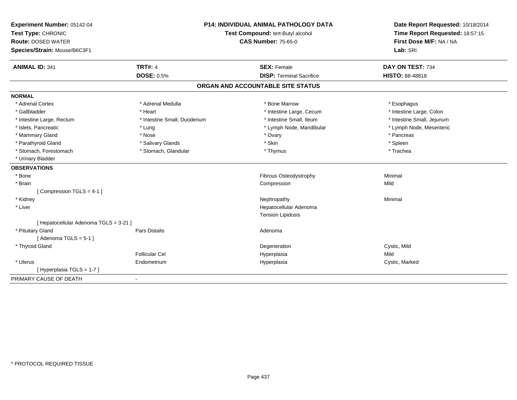| Experiment Number: 05142-04            |                                   | <b>P14: INDIVIDUAL ANIMAL PATHOLOGY DATA</b> | Date Report Requested: 10/18/2014 |
|----------------------------------------|-----------------------------------|----------------------------------------------|-----------------------------------|
| Test Type: CHRONIC                     | Test Compound: tert-Butyl alcohol |                                              | Time Report Requested: 18:57:15   |
| <b>Route: DOSED WATER</b>              |                                   | <b>CAS Number: 75-65-0</b>                   | First Dose M/F: NA / NA           |
| Species/Strain: Mouse/B6C3F1           |                                   |                                              | Lab: SRI                          |
| <b>ANIMAL ID: 341</b>                  | <b>TRT#: 4</b>                    | <b>SEX: Female</b>                           | DAY ON TEST: 734                  |
|                                        | <b>DOSE: 0.5%</b>                 | <b>DISP: Terminal Sacrifice</b>              | <b>HISTO: 88-48818</b>            |
|                                        |                                   | ORGAN AND ACCOUNTABLE SITE STATUS            |                                   |
| <b>NORMAL</b>                          |                                   |                                              |                                   |
| * Adrenal Cortex                       | * Adrenal Medulla                 | * Bone Marrow                                | * Esophagus                       |
| * Gallbladder                          | * Heart                           | * Intestine Large, Cecum                     | * Intestine Large, Colon          |
| * Intestine Large, Rectum              | * Intestine Small, Duodenum       | * Intestine Small, Ileum                     | * Intestine Small, Jejunum        |
| * Islets, Pancreatic                   | * Lung                            | * Lymph Node, Mandibular                     | * Lymph Node, Mesenteric          |
| * Mammary Gland                        | * Nose                            | * Ovary                                      | * Pancreas                        |
| * Parathyroid Gland                    | * Salivary Glands                 | * Skin                                       | * Spleen                          |
| * Stomach, Forestomach                 | * Stomach, Glandular              | * Thymus                                     | * Trachea                         |
| * Urinary Bladder                      |                                   |                                              |                                   |
| <b>OBSERVATIONS</b>                    |                                   |                                              |                                   |
| * Bone                                 |                                   | Fibrous Osteodystrophy                       | Minimal                           |
| * Brain                                |                                   | Compression                                  | Mild                              |
| [Compression TGLS = 4-1]               |                                   |                                              |                                   |
| * Kidney                               |                                   | Nephropathy                                  | Minimal                           |
| * Liver                                |                                   | Hepatocellular Adenoma                       |                                   |
|                                        |                                   | <b>Tension Lipidosis</b>                     |                                   |
| [ Hepatocellular Adenoma TGLS = 3-21 ] |                                   |                                              |                                   |
| * Pituitary Gland                      | <b>Pars Distalis</b>              | Adenoma                                      |                                   |
| [Adenoma TGLS = $5-1$ ]                |                                   |                                              |                                   |
| * Thyroid Gland                        |                                   | Degeneration                                 | Cystic, Mild                      |
|                                        | <b>Follicular Cel</b>             | Hyperplasia                                  | Mild                              |
| * Uterus                               | Endometrium                       | Hyperplasia                                  | Cystic, Marked                    |
| [Hyperplasia TGLS = 1-7]               |                                   |                                              |                                   |
| PRIMARY CAUSE OF DEATH                 |                                   |                                              |                                   |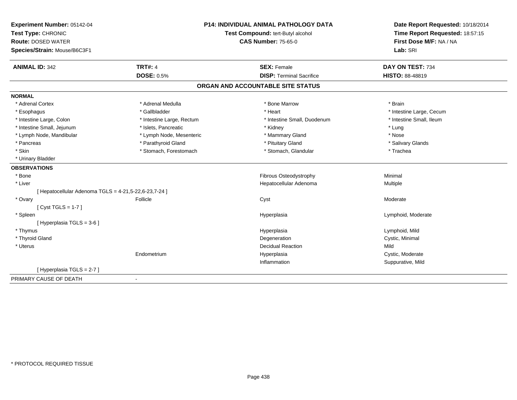| Experiment Number: 05142-04                           |                                   | <b>P14: INDIVIDUAL ANIMAL PATHOLOGY DATA</b> | Date Report Requested: 10/18/2014 |
|-------------------------------------------------------|-----------------------------------|----------------------------------------------|-----------------------------------|
| Test Type: CHRONIC                                    | Test Compound: tert-Butyl alcohol |                                              | Time Report Requested: 18:57:15   |
| <b>Route: DOSED WATER</b>                             |                                   | <b>CAS Number: 75-65-0</b>                   | First Dose M/F: NA / NA           |
| Species/Strain: Mouse/B6C3F1                          |                                   |                                              | Lab: SRI                          |
| <b>ANIMAL ID: 342</b>                                 | <b>TRT#: 4</b>                    | <b>SEX: Female</b>                           | DAY ON TEST: 734                  |
|                                                       | <b>DOSE: 0.5%</b>                 | <b>DISP: Terminal Sacrifice</b>              | HISTO: 88-48819                   |
|                                                       |                                   | ORGAN AND ACCOUNTABLE SITE STATUS            |                                   |
| <b>NORMAL</b>                                         |                                   |                                              |                                   |
| * Adrenal Cortex                                      | * Adrenal Medulla                 | * Bone Marrow                                | * Brain                           |
| * Esophagus                                           | * Gallbladder                     | * Heart                                      | * Intestine Large, Cecum          |
| * Intestine Large, Colon                              | * Intestine Large, Rectum         | * Intestine Small, Duodenum                  | * Intestine Small, Ileum          |
| * Intestine Small, Jejunum                            | * Islets, Pancreatic              | * Kidney                                     | * Lung                            |
| * Lymph Node, Mandibular                              | * Lymph Node, Mesenteric          | * Mammary Gland                              | * Nose                            |
| * Pancreas                                            | * Parathyroid Gland               | * Pituitary Gland                            | * Salivary Glands                 |
| * Skin                                                | * Stomach, Forestomach            | * Stomach, Glandular                         | * Trachea                         |
| * Urinary Bladder                                     |                                   |                                              |                                   |
| <b>OBSERVATIONS</b>                                   |                                   |                                              |                                   |
| * Bone                                                |                                   | Fibrous Osteodystrophy                       | Minimal                           |
| * Liver                                               |                                   | Hepatocellular Adenoma                       | Multiple                          |
| [ Hepatocellular Adenoma TGLS = 4-21,5-22,6-23,7-24 ] |                                   |                                              |                                   |
| * Ovary                                               | Follicle                          | Cyst                                         | Moderate                          |
| [Cyst TGLS = $1-7$ ]                                  |                                   |                                              |                                   |
| * Spleen                                              |                                   | Hyperplasia                                  | Lymphoid, Moderate                |
| [Hyperplasia TGLS = 3-6]                              |                                   |                                              |                                   |
| * Thymus                                              |                                   | Hyperplasia                                  | Lymphoid, Mild                    |
| * Thyroid Gland                                       |                                   | Degeneration                                 | Cystic, Minimal                   |
| * Uterus                                              |                                   | <b>Decidual Reaction</b>                     | Mild                              |
|                                                       | Endometrium                       | Hyperplasia                                  | Cystic, Moderate                  |
|                                                       |                                   | Inflammation                                 | Suppurative, Mild                 |
| [Hyperplasia TGLS = 2-7]                              |                                   |                                              |                                   |
| PRIMARY CAUSE OF DEATH                                | $\sim$                            |                                              |                                   |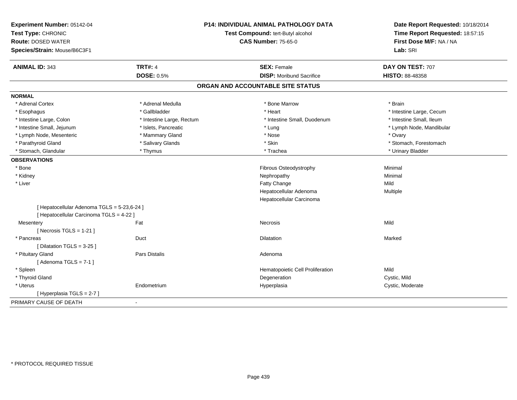| Experiment Number: 05142-04<br>Test Type: CHRONIC<br><b>Route: DOSED WATER</b><br>Species/Strain: Mouse/B6C3F1 |                           | P14: INDIVIDUAL ANIMAL PATHOLOGY DATA<br>Test Compound: tert-Butyl alcohol<br><b>CAS Number: 75-65-0</b> | Date Report Requested: 10/18/2014<br>Time Report Requested: 18:57:15<br>First Dose M/F: NA / NA<br>Lab: SRI |
|----------------------------------------------------------------------------------------------------------------|---------------------------|----------------------------------------------------------------------------------------------------------|-------------------------------------------------------------------------------------------------------------|
| <b>ANIMAL ID: 343</b>                                                                                          | <b>TRT#: 4</b>            | <b>SEX: Female</b>                                                                                       | DAY ON TEST: 707                                                                                            |
|                                                                                                                | <b>DOSE: 0.5%</b>         | <b>DISP:</b> Moribund Sacrifice                                                                          | HISTO: 88-48358                                                                                             |
|                                                                                                                |                           | ORGAN AND ACCOUNTABLE SITE STATUS                                                                        |                                                                                                             |
| <b>NORMAL</b>                                                                                                  |                           |                                                                                                          |                                                                                                             |
| * Adrenal Cortex                                                                                               | * Adrenal Medulla         | * Bone Marrow                                                                                            | * Brain                                                                                                     |
| * Esophagus                                                                                                    | * Gallbladder             | * Heart                                                                                                  | * Intestine Large, Cecum                                                                                    |
| * Intestine Large, Colon                                                                                       | * Intestine Large, Rectum | * Intestine Small, Duodenum                                                                              | * Intestine Small, Ileum                                                                                    |
| * Intestine Small, Jejunum                                                                                     | * Islets, Pancreatic      | * Lung                                                                                                   | * Lymph Node, Mandibular                                                                                    |
| * Lymph Node, Mesenteric                                                                                       | * Mammary Gland           | * Nose                                                                                                   | * Ovary                                                                                                     |
| * Parathyroid Gland                                                                                            | * Salivary Glands         | * Skin                                                                                                   | * Stomach, Forestomach                                                                                      |
| * Stomach, Glandular                                                                                           | * Thymus                  | * Trachea                                                                                                | * Urinary Bladder                                                                                           |
| <b>OBSERVATIONS</b>                                                                                            |                           |                                                                                                          |                                                                                                             |
| * Bone                                                                                                         |                           | Fibrous Osteodystrophy                                                                                   | Minimal                                                                                                     |
| * Kidney                                                                                                       |                           | Nephropathy                                                                                              | Minimal                                                                                                     |
| * Liver                                                                                                        |                           | Fatty Change                                                                                             | Mild                                                                                                        |
|                                                                                                                |                           | Hepatocellular Adenoma                                                                                   | Multiple                                                                                                    |
|                                                                                                                |                           | Hepatocellular Carcinoma                                                                                 |                                                                                                             |
| [ Hepatocellular Adenoma TGLS = 5-23,6-24 ]<br>[ Hepatocellular Carcinoma TGLS = 4-22 ]                        |                           |                                                                                                          |                                                                                                             |
| Mesentery                                                                                                      | Fat                       | Necrosis                                                                                                 | Mild                                                                                                        |
| [Necrosis $TGLS = 1-21$ ]                                                                                      |                           |                                                                                                          |                                                                                                             |
| * Pancreas                                                                                                     | Duct                      | <b>Dilatation</b>                                                                                        | Marked                                                                                                      |
| [ Dilatation TGLS = $3-25$ ]                                                                                   |                           |                                                                                                          |                                                                                                             |
| * Pituitary Gland                                                                                              | Pars Distalis             | Adenoma                                                                                                  |                                                                                                             |
| [Adenoma TGLS = $7-1$ ]                                                                                        |                           |                                                                                                          |                                                                                                             |
| * Spleen                                                                                                       |                           | Hematopoietic Cell Proliferation                                                                         | Mild                                                                                                        |
| * Thyroid Gland                                                                                                |                           | Degeneration                                                                                             | Cystic, Mild                                                                                                |
| * Uterus                                                                                                       | Endometrium               | Hyperplasia                                                                                              | Cystic, Moderate                                                                                            |
| [ Hyperplasia TGLS = 2-7 ]                                                                                     |                           |                                                                                                          |                                                                                                             |
| PRIMARY CAUSE OF DEATH                                                                                         |                           |                                                                                                          |                                                                                                             |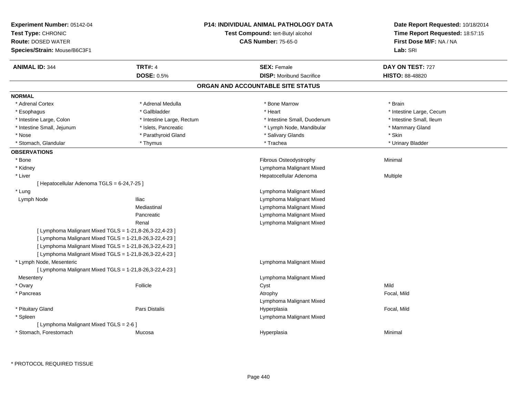| Experiment Number: 05142-04<br>Test Type: CHRONIC<br><b>Route: DOSED WATER</b><br>Species/Strain: Mouse/B6C3F1 |                           | <b>P14: INDIVIDUAL ANIMAL PATHOLOGY DATA</b><br><b>Test Compound: tert-Butyl alcohol</b><br><b>CAS Number: 75-65-0</b> | Date Report Requested: 10/18/2014<br>Time Report Requested: 18:57:15<br>First Dose M/F: NA / NA<br>Lab: SRI |
|----------------------------------------------------------------------------------------------------------------|---------------------------|------------------------------------------------------------------------------------------------------------------------|-------------------------------------------------------------------------------------------------------------|
| <b>ANIMAL ID: 344</b>                                                                                          | <b>TRT#: 4</b>            | <b>SEX: Female</b>                                                                                                     | DAY ON TEST: 727                                                                                            |
|                                                                                                                | <b>DOSE: 0.5%</b>         | <b>DISP: Moribund Sacrifice</b>                                                                                        | <b>HISTO: 88-48820</b>                                                                                      |
|                                                                                                                |                           | ORGAN AND ACCOUNTABLE SITE STATUS                                                                                      |                                                                                                             |
| <b>NORMAL</b>                                                                                                  |                           |                                                                                                                        |                                                                                                             |
| * Adrenal Cortex                                                                                               | * Adrenal Medulla         | * Bone Marrow                                                                                                          | * Brain                                                                                                     |
| * Esophagus                                                                                                    | * Gallbladder             | * Heart                                                                                                                | * Intestine Large, Cecum                                                                                    |
| * Intestine Large, Colon                                                                                       | * Intestine Large, Rectum | * Intestine Small, Duodenum                                                                                            | * Intestine Small, Ileum                                                                                    |
| * Intestine Small, Jejunum                                                                                     | * Islets, Pancreatic      | * Lymph Node, Mandibular                                                                                               | * Mammary Gland                                                                                             |
| * Nose                                                                                                         | * Parathyroid Gland       | * Salivary Glands                                                                                                      | * Skin                                                                                                      |
| * Stomach, Glandular                                                                                           | * Thymus                  | * Trachea                                                                                                              | * Urinary Bladder                                                                                           |
| <b>OBSERVATIONS</b>                                                                                            |                           |                                                                                                                        |                                                                                                             |
| * Bone                                                                                                         |                           | Fibrous Osteodystrophy                                                                                                 | Minimal                                                                                                     |
| * Kidney                                                                                                       |                           | Lymphoma Malignant Mixed                                                                                               |                                                                                                             |
| * Liver                                                                                                        |                           | Hepatocellular Adenoma                                                                                                 | Multiple                                                                                                    |
| [ Hepatocellular Adenoma TGLS = 6-24,7-25 ]                                                                    |                           |                                                                                                                        |                                                                                                             |
| * Lung                                                                                                         |                           | Lymphoma Malignant Mixed                                                                                               |                                                                                                             |
| Lymph Node                                                                                                     | <b>Iliac</b>              | Lymphoma Malignant Mixed                                                                                               |                                                                                                             |
|                                                                                                                | Mediastinal               | Lymphoma Malignant Mixed                                                                                               |                                                                                                             |
|                                                                                                                | Pancreatic                | Lymphoma Malignant Mixed                                                                                               |                                                                                                             |
|                                                                                                                | Renal                     | Lymphoma Malignant Mixed                                                                                               |                                                                                                             |
| [ Lymphoma Malignant Mixed TGLS = $1-21,8-26,3-22,4-23$ ]                                                      |                           |                                                                                                                        |                                                                                                             |
| [ Lymphoma Malignant Mixed TGLS = 1-21,8-26,3-22,4-23 ]                                                        |                           |                                                                                                                        |                                                                                                             |
| [ Lymphoma Malignant Mixed TGLS = 1-21,8-26,3-22,4-23 ]                                                        |                           |                                                                                                                        |                                                                                                             |
| [ Lymphoma Malignant Mixed TGLS = 1-21,8-26,3-22,4-23 ]                                                        |                           |                                                                                                                        |                                                                                                             |
| * Lymph Node, Mesenteric                                                                                       |                           | Lymphoma Malignant Mixed                                                                                               |                                                                                                             |
| [ Lymphoma Malignant Mixed TGLS = 1-21,8-26,3-22,4-23 ]                                                        |                           |                                                                                                                        |                                                                                                             |
| Mesentery                                                                                                      |                           | Lymphoma Malignant Mixed                                                                                               |                                                                                                             |
| * Ovary                                                                                                        | Follicle                  | Cyst                                                                                                                   | Mild                                                                                                        |
| * Pancreas                                                                                                     |                           | Atrophy                                                                                                                | Focal, Mild                                                                                                 |
|                                                                                                                |                           | Lymphoma Malignant Mixed                                                                                               |                                                                                                             |
| * Pituitary Gland                                                                                              | Pars Distalis             | Hyperplasia                                                                                                            | Focal, Mild                                                                                                 |
| * Spleen                                                                                                       |                           | Lymphoma Malignant Mixed                                                                                               |                                                                                                             |
| [ Lymphoma Malignant Mixed TGLS = 2-6 ]                                                                        |                           |                                                                                                                        |                                                                                                             |
| * Stomach, Forestomach                                                                                         | Mucosa                    | Hyperplasia                                                                                                            | Minimal                                                                                                     |
|                                                                                                                |                           |                                                                                                                        |                                                                                                             |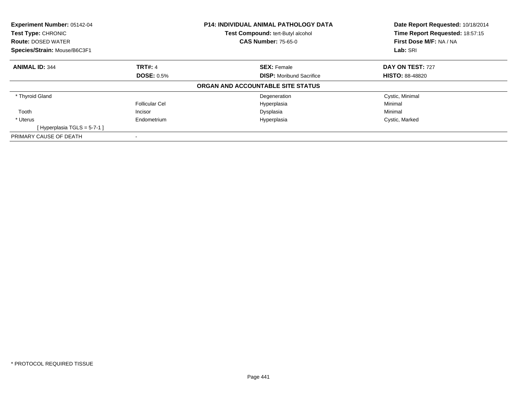| <b>Experiment Number: 05142-04</b><br><b>Test Type: CHRONIC</b><br><b>Route: DOSED WATER</b><br>Species/Strain: Mouse/B6C3F1 |                   | P14: INDIVIDUAL ANIMAL PATHOLOGY DATA<br>Test Compound: tert-Butyl alcohol<br><b>CAS Number: 75-65-0</b> | Date Report Requested: 10/18/2014<br>Time Report Requested: 18:57:15<br>First Dose M/F: NA / NA<br>Lab: SRI |
|------------------------------------------------------------------------------------------------------------------------------|-------------------|----------------------------------------------------------------------------------------------------------|-------------------------------------------------------------------------------------------------------------|
|                                                                                                                              |                   |                                                                                                          |                                                                                                             |
| <b>ANIMAL ID: 344</b>                                                                                                        | <b>TRT#: 4</b>    | <b>SEX: Female</b>                                                                                       | DAY ON TEST: 727                                                                                            |
|                                                                                                                              | <b>DOSE: 0.5%</b> | <b>DISP:</b> Moribund Sacrifice                                                                          | <b>HISTO: 88-48820</b>                                                                                      |
|                                                                                                                              |                   | ORGAN AND ACCOUNTABLE SITE STATUS                                                                        |                                                                                                             |
| * Thyroid Gland                                                                                                              |                   | Degeneration                                                                                             | Cystic, Minimal                                                                                             |
|                                                                                                                              | Follicular Cel    | Hyperplasia                                                                                              | Minimal                                                                                                     |
| Tooth                                                                                                                        | Incisor           | Dysplasia                                                                                                | Minimal                                                                                                     |
| * Uterus                                                                                                                     | Endometrium       | Hyperplasia                                                                                              | Cystic, Marked                                                                                              |
| [Hyperplasia TGLS = $5-7-1$ ]                                                                                                |                   |                                                                                                          |                                                                                                             |
| PRIMARY CAUSE OF DEATH                                                                                                       |                   |                                                                                                          |                                                                                                             |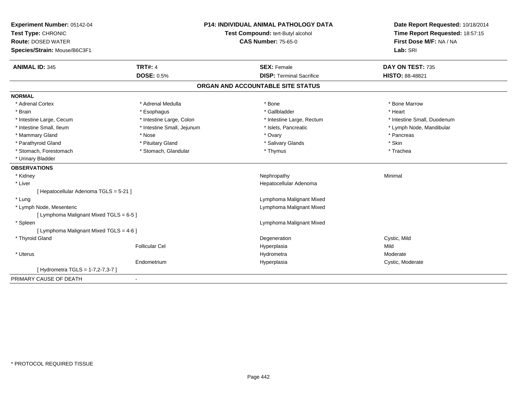| Experiment Number: 05142-04             |                                   | <b>P14: INDIVIDUAL ANIMAL PATHOLOGY DATA</b> | Date Report Requested: 10/18/2014 |
|-----------------------------------------|-----------------------------------|----------------------------------------------|-----------------------------------|
| Test Type: CHRONIC                      | Test Compound: tert-Butyl alcohol |                                              | Time Report Requested: 18:57:15   |
| <b>Route: DOSED WATER</b>               |                                   | <b>CAS Number: 75-65-0</b>                   | First Dose M/F: NA / NA           |
| Species/Strain: Mouse/B6C3F1            |                                   |                                              | Lab: SRI                          |
| <b>ANIMAL ID: 345</b>                   | <b>TRT#: 4</b>                    | <b>SEX: Female</b>                           | DAY ON TEST: 735                  |
|                                         | <b>DOSE: 0.5%</b>                 | <b>DISP: Terminal Sacrifice</b>              | <b>HISTO: 88-48821</b>            |
|                                         |                                   | ORGAN AND ACCOUNTABLE SITE STATUS            |                                   |
| <b>NORMAL</b>                           |                                   |                                              |                                   |
| * Adrenal Cortex                        | * Adrenal Medulla                 | * Bone                                       | * Bone Marrow                     |
| * Brain                                 | * Esophagus                       | * Gallbladder                                | * Heart                           |
| * Intestine Large, Cecum                | * Intestine Large, Colon          | * Intestine Large, Rectum                    | * Intestine Small, Duodenum       |
| * Intestine Small, Ileum                | * Intestine Small, Jejunum        | * Islets, Pancreatic                         | * Lymph Node, Mandibular          |
| * Mammary Gland                         | * Nose                            | * Ovary                                      | * Pancreas                        |
| * Parathyroid Gland                     | * Pituitary Gland                 | * Salivary Glands                            | * Skin                            |
| * Stomach, Forestomach                  | * Stomach, Glandular              | * Thymus                                     | * Trachea                         |
| * Urinary Bladder                       |                                   |                                              |                                   |
| <b>OBSERVATIONS</b>                     |                                   |                                              |                                   |
| * Kidney                                |                                   | Nephropathy                                  | Minimal                           |
| * Liver                                 |                                   | Hepatocellular Adenoma                       |                                   |
| [ Hepatocellular Adenoma TGLS = 5-21 ]  |                                   |                                              |                                   |
| * Lung                                  |                                   | Lymphoma Malignant Mixed                     |                                   |
| * Lymph Node, Mesenteric                |                                   | Lymphoma Malignant Mixed                     |                                   |
| [ Lymphoma Malignant Mixed TGLS = 6-5 ] |                                   |                                              |                                   |
| * Spleen                                |                                   | Lymphoma Malignant Mixed                     |                                   |
| [ Lymphoma Malignant Mixed TGLS = 4-6 ] |                                   |                                              |                                   |
| * Thyroid Gland                         |                                   | Degeneration                                 | Cystic, Mild                      |
|                                         | <b>Follicular Cel</b>             | Hyperplasia                                  | Mild                              |
| * Uterus                                |                                   | Hydrometra                                   | Moderate                          |
|                                         | Endometrium                       | Hyperplasia                                  | Cystic, Moderate                  |
| [ Hydrometra TGLS = 1-7,2-7,3-7 ]       |                                   |                                              |                                   |
| PRIMARY CAUSE OF DEATH                  | $\blacksquare$                    |                                              |                                   |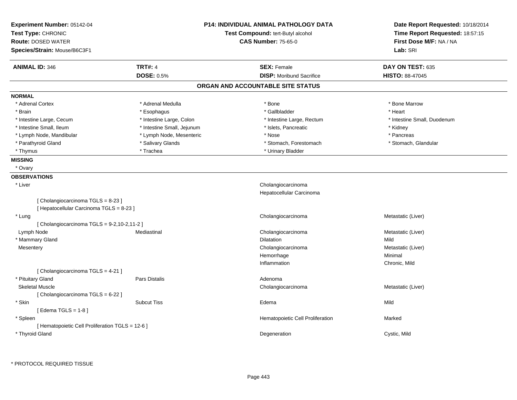| Experiment Number: 05142-04<br>Test Type: CHRONIC<br><b>Route: DOSED WATER</b><br>Species/Strain: Mouse/B6C3F1 |                                         | <b>P14: INDIVIDUAL ANIMAL PATHOLOGY DATA</b><br>Test Compound: tert-Butyl alcohol<br><b>CAS Number: 75-65-0</b> | Date Report Requested: 10/18/2014<br>Time Report Requested: 18:57:15<br>First Dose M/F: NA / NA<br>Lab: SRI |
|----------------------------------------------------------------------------------------------------------------|-----------------------------------------|-----------------------------------------------------------------------------------------------------------------|-------------------------------------------------------------------------------------------------------------|
| <b>ANIMAL ID: 346</b>                                                                                          | <b>TRT#: 4</b><br><b>DOSE: 0.5%</b>     | <b>SEX: Female</b><br><b>DISP:</b> Moribund Sacrifice                                                           | DAY ON TEST: 635<br><b>HISTO: 88-47045</b>                                                                  |
|                                                                                                                |                                         | ORGAN AND ACCOUNTABLE SITE STATUS                                                                               |                                                                                                             |
| <b>NORMAL</b>                                                                                                  |                                         |                                                                                                                 |                                                                                                             |
|                                                                                                                |                                         |                                                                                                                 |                                                                                                             |
| * Adrenal Cortex<br>* Brain                                                                                    | * Adrenal Medulla                       | * Bone<br>* Gallbladder                                                                                         | * Bone Marrow<br>* Heart                                                                                    |
| * Intestine Large, Cecum                                                                                       | * Esophagus<br>* Intestine Large, Colon |                                                                                                                 | * Intestine Small, Duodenum                                                                                 |
| * Intestine Small, Ileum                                                                                       | * Intestine Small, Jejunum              | * Intestine Large, Rectum<br>* Islets, Pancreatic                                                               | * Kidney                                                                                                    |
| * Lymph Node, Mandibular                                                                                       | * Lymph Node, Mesenteric                | * Nose                                                                                                          | * Pancreas                                                                                                  |
| * Parathyroid Gland                                                                                            | * Salivary Glands                       | * Stomach, Forestomach                                                                                          | * Stomach, Glandular                                                                                        |
| * Thymus                                                                                                       | * Trachea                               | * Urinary Bladder                                                                                               |                                                                                                             |
|                                                                                                                |                                         |                                                                                                                 |                                                                                                             |
| <b>MISSING</b><br>* Ovary                                                                                      |                                         |                                                                                                                 |                                                                                                             |
|                                                                                                                |                                         |                                                                                                                 |                                                                                                             |
| <b>OBSERVATIONS</b><br>* Liver<br>[Cholangiocarcinoma TGLS = 8-23]                                             |                                         | Cholangiocarcinoma<br>Hepatocellular Carcinoma                                                                  |                                                                                                             |
| [ Hepatocellular Carcinoma TGLS = 8-23 ]                                                                       |                                         |                                                                                                                 |                                                                                                             |
| * Lung                                                                                                         |                                         | Cholangiocarcinoma                                                                                              | Metastatic (Liver)                                                                                          |
| [Cholangiocarcinoma TGLS = 9-2,10-2,11-2]                                                                      |                                         |                                                                                                                 |                                                                                                             |
| Lymph Node                                                                                                     | Mediastinal                             | Cholangiocarcinoma                                                                                              | Metastatic (Liver)                                                                                          |
| * Mammary Gland                                                                                                |                                         | Dilatation                                                                                                      | Mild                                                                                                        |
| Mesentery                                                                                                      |                                         | Cholangiocarcinoma<br>Hemorrhage                                                                                | Metastatic (Liver)<br>Minimal                                                                               |
|                                                                                                                |                                         | Inflammation                                                                                                    | Chronic, Mild                                                                                               |
|                                                                                                                |                                         |                                                                                                                 |                                                                                                             |
| [Cholangiocarcinoma $TGLS = 4-21$ ]<br>* Pituitary Gland                                                       | Pars Distalis                           | Adenoma                                                                                                         |                                                                                                             |
| <b>Skeletal Muscle</b>                                                                                         |                                         | Cholangiocarcinoma                                                                                              | Metastatic (Liver)                                                                                          |
| [Cholangiocarcinoma $TGLS = 6-22$ ]                                                                            |                                         |                                                                                                                 |                                                                                                             |
| * Skin                                                                                                         | <b>Subcut Tiss</b>                      | Edema                                                                                                           | Mild                                                                                                        |
| [Edema TGLS = $1-8$ ]<br>* Spleen                                                                              |                                         | Hematopoietic Cell Proliferation                                                                                | Marked                                                                                                      |
| [ Hematopoietic Cell Proliferation TGLS = 12-6 ]<br>* Thyroid Gland                                            |                                         | Degeneration                                                                                                    | Cystic, Mild                                                                                                |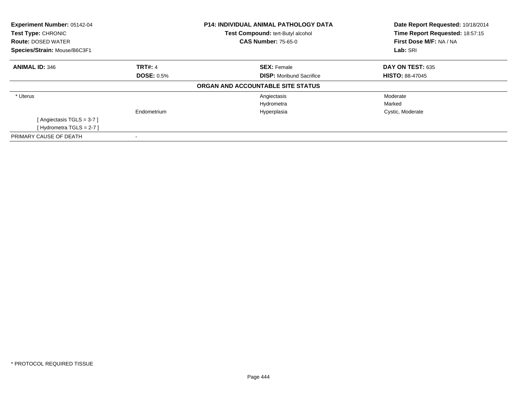| Experiment Number: 05142-04<br>Test Type: CHRONIC<br><b>Route: DOSED WATER</b> |                   | <b>P14: INDIVIDUAL ANIMAL PATHOLOGY DATA</b><br>Test Compound: tert-Butyl alcohol<br><b>CAS Number: 75-65-0</b> | Date Report Requested: 10/18/2014<br>Time Report Requested: 18:57:15<br>First Dose M/F: NA / NA |
|--------------------------------------------------------------------------------|-------------------|-----------------------------------------------------------------------------------------------------------------|-------------------------------------------------------------------------------------------------|
| Species/Strain: Mouse/B6C3F1                                                   |                   |                                                                                                                 | Lab: SRI                                                                                        |
| <b>ANIMAL ID: 346</b>                                                          | <b>TRT#: 4</b>    | <b>SEX: Female</b>                                                                                              | DAY ON TEST: 635                                                                                |
|                                                                                | <b>DOSE: 0.5%</b> | <b>DISP:</b> Moribund Sacrifice                                                                                 | <b>HISTO: 88-47045</b>                                                                          |
|                                                                                |                   | ORGAN AND ACCOUNTABLE SITE STATUS                                                                               |                                                                                                 |
| * Uterus                                                                       |                   | Angiectasis                                                                                                     | Moderate                                                                                        |
|                                                                                |                   | Hydrometra                                                                                                      | Marked                                                                                          |
|                                                                                | Endometrium       | Hyperplasia                                                                                                     | Cystic, Moderate                                                                                |
| [Angiectasis TGLS = 3-7]                                                       |                   |                                                                                                                 |                                                                                                 |
| [Hydrometra TGLS = 2-7]                                                        |                   |                                                                                                                 |                                                                                                 |
| PRIMARY CAUSE OF DEATH                                                         |                   |                                                                                                                 |                                                                                                 |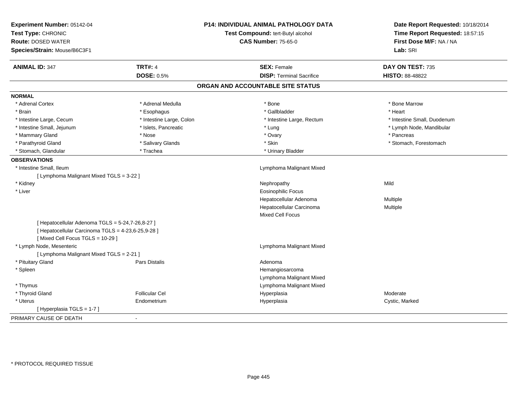| Experiment Number: 05142-04<br>Test Type: CHRONIC<br><b>Route: DOSED WATER</b><br>Species/Strain: Mouse/B6C3F1 |                          | <b>P14: INDIVIDUAL ANIMAL PATHOLOGY DATA</b><br>Test Compound: tert-Butyl alcohol<br><b>CAS Number: 75-65-0</b> | Date Report Requested: 10/18/2014<br>Time Report Requested: 18:57:15<br>First Dose M/F: NA / NA<br>Lab: SRI |
|----------------------------------------------------------------------------------------------------------------|--------------------------|-----------------------------------------------------------------------------------------------------------------|-------------------------------------------------------------------------------------------------------------|
| <b>ANIMAL ID: 347</b>                                                                                          | <b>TRT#: 4</b>           | <b>SEX: Female</b>                                                                                              | DAY ON TEST: 735                                                                                            |
|                                                                                                                | <b>DOSE: 0.5%</b>        | <b>DISP: Terminal Sacrifice</b>                                                                                 | <b>HISTO: 88-48822</b>                                                                                      |
|                                                                                                                |                          | ORGAN AND ACCOUNTABLE SITE STATUS                                                                               |                                                                                                             |
| <b>NORMAL</b>                                                                                                  |                          |                                                                                                                 |                                                                                                             |
| * Adrenal Cortex                                                                                               | * Adrenal Medulla        | * Bone                                                                                                          | * Bone Marrow                                                                                               |
| * Brain                                                                                                        | * Esophagus              | * Gallbladder                                                                                                   | * Heart                                                                                                     |
| * Intestine Large, Cecum                                                                                       | * Intestine Large, Colon | * Intestine Large, Rectum                                                                                       | * Intestine Small, Duodenum                                                                                 |
| * Intestine Small, Jejunum                                                                                     | * Islets, Pancreatic     | * Lung                                                                                                          | * Lymph Node, Mandibular                                                                                    |
| * Mammary Gland                                                                                                | * Nose                   | * Ovary                                                                                                         | * Pancreas                                                                                                  |
| * Parathyroid Gland                                                                                            | * Salivary Glands        | * Skin                                                                                                          | * Stomach, Forestomach                                                                                      |
| * Stomach, Glandular                                                                                           | * Trachea                | * Urinary Bladder                                                                                               |                                                                                                             |
| <b>OBSERVATIONS</b>                                                                                            |                          |                                                                                                                 |                                                                                                             |
| * Intestine Small, Ileum                                                                                       |                          | Lymphoma Malignant Mixed                                                                                        |                                                                                                             |
| [ Lymphoma Malignant Mixed TGLS = 3-22 ]                                                                       |                          |                                                                                                                 |                                                                                                             |
| * Kidney                                                                                                       |                          | Nephropathy                                                                                                     | Mild                                                                                                        |
| * Liver                                                                                                        |                          | <b>Eosinophilic Focus</b>                                                                                       |                                                                                                             |
|                                                                                                                |                          | Hepatocellular Adenoma                                                                                          | Multiple                                                                                                    |
|                                                                                                                |                          | Hepatocellular Carcinoma                                                                                        | Multiple                                                                                                    |
|                                                                                                                |                          | <b>Mixed Cell Focus</b>                                                                                         |                                                                                                             |
| [ Hepatocellular Adenoma TGLS = 5-24,7-26,8-27 ]                                                               |                          |                                                                                                                 |                                                                                                             |
| [ Hepatocellular Carcinoma TGLS = 4-23,6-25,9-28 ]<br>[Mixed Cell Focus TGLS = 10-29]                          |                          |                                                                                                                 |                                                                                                             |
| * Lymph Node, Mesenteric                                                                                       |                          | Lymphoma Malignant Mixed                                                                                        |                                                                                                             |
| [ Lymphoma Malignant Mixed TGLS = 2-21 ]                                                                       |                          |                                                                                                                 |                                                                                                             |
| * Pituitary Gland                                                                                              | <b>Pars Distalis</b>     | Adenoma                                                                                                         |                                                                                                             |
| * Spleen                                                                                                       |                          | Hemangiosarcoma                                                                                                 |                                                                                                             |
|                                                                                                                |                          | Lymphoma Malignant Mixed                                                                                        |                                                                                                             |
| * Thymus                                                                                                       |                          | Lymphoma Malignant Mixed                                                                                        |                                                                                                             |
| * Thyroid Gland                                                                                                | <b>Follicular Cel</b>    | Hyperplasia                                                                                                     | Moderate                                                                                                    |
| * Uterus                                                                                                       | Endometrium              | Hyperplasia                                                                                                     | Cystic, Marked                                                                                              |
| [Hyperplasia TGLS = 1-7]                                                                                       |                          |                                                                                                                 |                                                                                                             |
| PRIMARY CAUSE OF DEATH                                                                                         |                          |                                                                                                                 |                                                                                                             |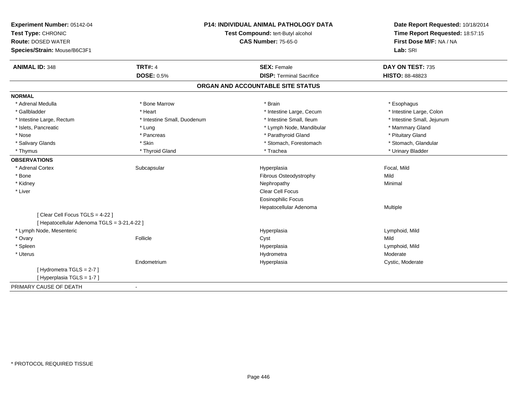| Experiment Number: 05142-04<br>Test Type: CHRONIC<br><b>Route: DOSED WATER</b><br>Species/Strain: Mouse/B6C3F1 |                             | P14: INDIVIDUAL ANIMAL PATHOLOGY DATA<br>Test Compound: tert-Butyl alcohol<br><b>CAS Number: 75-65-0</b> | Date Report Requested: 10/18/2014<br>Time Report Requested: 18:57:15<br>First Dose M/F: NA / NA<br>Lab: SRI |
|----------------------------------------------------------------------------------------------------------------|-----------------------------|----------------------------------------------------------------------------------------------------------|-------------------------------------------------------------------------------------------------------------|
| <b>ANIMAL ID: 348</b>                                                                                          | <b>TRT#: 4</b>              | <b>SEX: Female</b>                                                                                       | DAY ON TEST: 735                                                                                            |
|                                                                                                                | <b>DOSE: 0.5%</b>           | <b>DISP: Terminal Sacrifice</b>                                                                          | <b>HISTO: 88-48823</b>                                                                                      |
|                                                                                                                |                             | ORGAN AND ACCOUNTABLE SITE STATUS                                                                        |                                                                                                             |
| <b>NORMAL</b>                                                                                                  |                             |                                                                                                          |                                                                                                             |
| * Adrenal Medulla                                                                                              | * Bone Marrow               | * Brain                                                                                                  | * Esophagus                                                                                                 |
| * Gallbladder                                                                                                  | * Heart                     | * Intestine Large, Cecum                                                                                 | * Intestine Large, Colon                                                                                    |
| * Intestine Large, Rectum                                                                                      | * Intestine Small, Duodenum | * Intestine Small, Ileum                                                                                 | * Intestine Small, Jejunum                                                                                  |
| * Islets, Pancreatic                                                                                           | * Lung                      | * Lymph Node, Mandibular                                                                                 | * Mammary Gland                                                                                             |
| * Nose                                                                                                         | * Pancreas                  | * Parathyroid Gland                                                                                      | * Pituitary Gland                                                                                           |
| * Salivary Glands                                                                                              | * Skin                      | * Stomach, Forestomach                                                                                   | * Stomach, Glandular                                                                                        |
| * Thymus                                                                                                       | * Thyroid Gland             | * Trachea                                                                                                | * Urinary Bladder                                                                                           |
| <b>OBSERVATIONS</b>                                                                                            |                             |                                                                                                          |                                                                                                             |
| * Adrenal Cortex                                                                                               | Subcapsular                 | Hyperplasia                                                                                              | Focal, Mild                                                                                                 |
| * Bone                                                                                                         |                             | <b>Fibrous Osteodystrophy</b>                                                                            | Mild                                                                                                        |
| * Kidney                                                                                                       |                             | Nephropathy                                                                                              | Minimal                                                                                                     |
| * Liver                                                                                                        |                             | <b>Clear Cell Focus</b>                                                                                  |                                                                                                             |
|                                                                                                                |                             | <b>Eosinophilic Focus</b>                                                                                |                                                                                                             |
|                                                                                                                |                             | Hepatocellular Adenoma                                                                                   | Multiple                                                                                                    |
| [Clear Cell Focus TGLS = 4-22]                                                                                 |                             |                                                                                                          |                                                                                                             |
| [ Hepatocellular Adenoma TGLS = 3-21,4-22 ]                                                                    |                             |                                                                                                          |                                                                                                             |
| * Lymph Node, Mesenteric                                                                                       |                             | Hyperplasia                                                                                              | Lymphoid, Mild                                                                                              |
| * Ovary                                                                                                        | Follicle                    | Cyst                                                                                                     | Mild                                                                                                        |
| * Spleen                                                                                                       |                             | Hyperplasia                                                                                              | Lymphoid, Mild                                                                                              |
| * Uterus                                                                                                       |                             | Hydrometra                                                                                               | Moderate                                                                                                    |
|                                                                                                                | Endometrium                 | Hyperplasia                                                                                              | Cystic, Moderate                                                                                            |
| [Hydrometra TGLS = 2-7]                                                                                        |                             |                                                                                                          |                                                                                                             |
| [Hyperplasia TGLS = 1-7]                                                                                       |                             |                                                                                                          |                                                                                                             |
| PRIMARY CAUSE OF DEATH                                                                                         | $\blacksquare$              |                                                                                                          |                                                                                                             |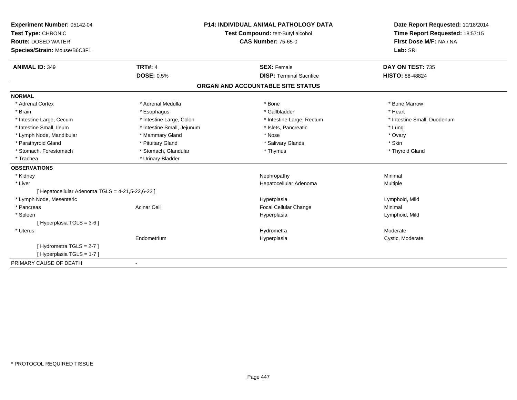| Experiment Number: 05142-04                      |                            | <b>P14: INDIVIDUAL ANIMAL PATHOLOGY DATA</b> | Date Report Requested: 10/18/2014 |
|--------------------------------------------------|----------------------------|----------------------------------------------|-----------------------------------|
| Test Type: CHRONIC                               |                            | Test Compound: tert-Butyl alcohol            | Time Report Requested: 18:57:15   |
| <b>Route: DOSED WATER</b>                        |                            | <b>CAS Number: 75-65-0</b>                   | First Dose M/F: NA / NA           |
| Species/Strain: Mouse/B6C3F1                     |                            |                                              | Lab: SRI                          |
|                                                  |                            |                                              |                                   |
| <b>ANIMAL ID: 349</b>                            | <b>TRT#: 4</b>             | <b>SEX: Female</b>                           | DAY ON TEST: 735                  |
|                                                  | <b>DOSE: 0.5%</b>          | <b>DISP: Terminal Sacrifice</b>              | <b>HISTO: 88-48824</b>            |
|                                                  |                            | ORGAN AND ACCOUNTABLE SITE STATUS            |                                   |
| <b>NORMAL</b>                                    |                            |                                              |                                   |
| * Adrenal Cortex                                 | * Adrenal Medulla          | * Bone                                       | * Bone Marrow                     |
| * Brain                                          | * Esophagus                | * Gallbladder                                | * Heart                           |
| * Intestine Large, Cecum                         | * Intestine Large, Colon   | * Intestine Large, Rectum                    | * Intestine Small, Duodenum       |
| * Intestine Small, Ileum                         | * Intestine Small, Jejunum | * Islets, Pancreatic                         | * Lung                            |
| * Lymph Node, Mandibular                         | * Mammary Gland            | * Nose                                       | * Ovary                           |
| * Parathyroid Gland                              | * Pituitary Gland          | * Salivary Glands                            | * Skin                            |
| * Stomach, Forestomach                           | * Stomach, Glandular       | * Thymus                                     | * Thyroid Gland                   |
| * Trachea                                        | * Urinary Bladder          |                                              |                                   |
| <b>OBSERVATIONS</b>                              |                            |                                              |                                   |
| * Kidney                                         |                            | Nephropathy                                  | Minimal                           |
| * Liver                                          |                            | Hepatocellular Adenoma                       | Multiple                          |
| [ Hepatocellular Adenoma TGLS = 4-21,5-22,6-23 ] |                            |                                              |                                   |
| * Lymph Node, Mesenteric                         |                            | Hyperplasia                                  | Lymphoid, Mild                    |
| * Pancreas                                       | <b>Acinar Cell</b>         | Focal Cellular Change                        | Minimal                           |
| * Spleen                                         |                            | Hyperplasia                                  | Lymphoid, Mild                    |
| [Hyperplasia TGLS = 3-6]                         |                            |                                              |                                   |
| * Uterus                                         |                            | Hydrometra                                   | Moderate                          |
|                                                  | Endometrium                | Hyperplasia                                  | Cystic, Moderate                  |
| [Hydrometra TGLS = 2-7]                          |                            |                                              |                                   |
| [Hyperplasia TGLS = 1-7]                         |                            |                                              |                                   |
| PRIMARY CAUSE OF DEATH                           |                            |                                              |                                   |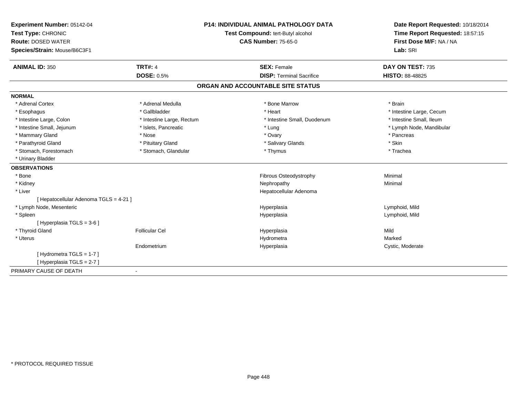| <b>Experiment Number: 05142-04</b>     | <b>P14: INDIVIDUAL ANIMAL PATHOLOGY DATA</b><br>Test Compound: tert-Butyl alcohol |                                   | Date Report Requested: 10/18/2014<br>Time Report Requested: 18:57:15 |
|----------------------------------------|-----------------------------------------------------------------------------------|-----------------------------------|----------------------------------------------------------------------|
| Test Type: CHRONIC                     |                                                                                   |                                   |                                                                      |
| <b>Route: DOSED WATER</b>              |                                                                                   | <b>CAS Number: 75-65-0</b>        | First Dose M/F: NA / NA                                              |
| Species/Strain: Mouse/B6C3F1           |                                                                                   |                                   | Lab: SRI                                                             |
| <b>ANIMAL ID: 350</b>                  | <b>TRT#: 4</b>                                                                    | <b>SEX: Female</b>                | DAY ON TEST: 735                                                     |
|                                        | <b>DOSE: 0.5%</b>                                                                 | <b>DISP: Terminal Sacrifice</b>   | <b>HISTO: 88-48825</b>                                               |
|                                        |                                                                                   | ORGAN AND ACCOUNTABLE SITE STATUS |                                                                      |
| <b>NORMAL</b>                          |                                                                                   |                                   |                                                                      |
| * Adrenal Cortex                       | * Adrenal Medulla                                                                 | * Bone Marrow                     | * Brain                                                              |
| * Esophagus                            | * Gallbladder                                                                     | * Heart                           | * Intestine Large, Cecum                                             |
| * Intestine Large, Colon               | * Intestine Large, Rectum                                                         | * Intestine Small, Duodenum       | * Intestine Small, Ileum                                             |
| * Intestine Small, Jejunum             | * Islets, Pancreatic                                                              | * Lung                            | * Lymph Node, Mandibular                                             |
| * Mammary Gland                        | * Nose                                                                            | * Ovary                           | * Pancreas                                                           |
| * Parathyroid Gland                    | * Pituitary Gland                                                                 | * Salivary Glands                 | * Skin                                                               |
| * Stomach, Forestomach                 | * Stomach, Glandular                                                              | * Thymus                          | * Trachea                                                            |
| * Urinary Bladder                      |                                                                                   |                                   |                                                                      |
| <b>OBSERVATIONS</b>                    |                                                                                   |                                   |                                                                      |
| * Bone                                 |                                                                                   | Fibrous Osteodystrophy            | Minimal                                                              |
| * Kidney                               |                                                                                   | Nephropathy                       | Minimal                                                              |
| * Liver                                |                                                                                   | Hepatocellular Adenoma            |                                                                      |
| [ Hepatocellular Adenoma TGLS = 4-21 ] |                                                                                   |                                   |                                                                      |
| * Lymph Node, Mesenteric               |                                                                                   | Hyperplasia                       | Lymphoid, Mild                                                       |
| * Spleen                               |                                                                                   | Hyperplasia                       | Lymphoid, Mild                                                       |
| [ Hyperplasia TGLS = 3-6 ]             |                                                                                   |                                   |                                                                      |
| * Thyroid Gland                        | <b>Follicular Cel</b>                                                             | Hyperplasia                       | Mild                                                                 |
| * Uterus                               |                                                                                   | Hydrometra                        | Marked                                                               |
|                                        | Endometrium                                                                       | Hyperplasia                       | Cystic, Moderate                                                     |
| [Hydrometra TGLS = 1-7]                |                                                                                   |                                   |                                                                      |
| [Hyperplasia TGLS = 2-7]               |                                                                                   |                                   |                                                                      |
| PRIMARY CAUSE OF DEATH                 |                                                                                   |                                   |                                                                      |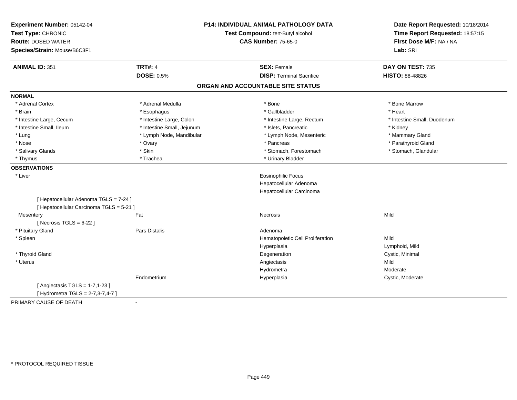| Experiment Number: 05142-04<br>Test Type: CHRONIC<br><b>Route: DOSED WATER</b><br>Species/Strain: Mouse/B6C3F1 | P14: INDIVIDUAL ANIMAL PATHOLOGY DATA<br>Test Compound: tert-Butyl alcohol<br><b>CAS Number: 75-65-0</b> |                                   | Date Report Requested: 10/18/2014<br>Time Report Requested: 18:57:15<br>First Dose M/F: NA / NA<br>Lab: SRI |
|----------------------------------------------------------------------------------------------------------------|----------------------------------------------------------------------------------------------------------|-----------------------------------|-------------------------------------------------------------------------------------------------------------|
| <b>ANIMAL ID: 351</b>                                                                                          | <b>TRT#: 4</b>                                                                                           | <b>SEX: Female</b>                | DAY ON TEST: 735                                                                                            |
|                                                                                                                | <b>DOSE: 0.5%</b>                                                                                        | <b>DISP: Terminal Sacrifice</b>   | HISTO: 88-48826                                                                                             |
|                                                                                                                |                                                                                                          | ORGAN AND ACCOUNTABLE SITE STATUS |                                                                                                             |
| <b>NORMAL</b>                                                                                                  |                                                                                                          |                                   |                                                                                                             |
| * Adrenal Cortex                                                                                               | * Adrenal Medulla                                                                                        | * Bone                            | * Bone Marrow                                                                                               |
| * Brain                                                                                                        | * Esophagus                                                                                              | * Gallbladder                     | * Heart                                                                                                     |
| * Intestine Large, Cecum                                                                                       | * Intestine Large, Colon                                                                                 | * Intestine Large, Rectum         | * Intestine Small, Duodenum                                                                                 |
| * Intestine Small. Ileum                                                                                       | * Intestine Small, Jejunum                                                                               | * Islets, Pancreatic              | * Kidney                                                                                                    |
| * Lung                                                                                                         | * Lymph Node, Mandibular                                                                                 | * Lymph Node, Mesenteric          | * Mammary Gland                                                                                             |
| * Nose                                                                                                         | * Ovary                                                                                                  | * Pancreas                        | * Parathyroid Gland                                                                                         |
| * Salivary Glands                                                                                              | * Skin                                                                                                   | * Stomach, Forestomach            | * Stomach, Glandular                                                                                        |
| * Thymus                                                                                                       | * Trachea                                                                                                | * Urinary Bladder                 |                                                                                                             |
| <b>OBSERVATIONS</b>                                                                                            |                                                                                                          |                                   |                                                                                                             |
| * Liver                                                                                                        |                                                                                                          | <b>Eosinophilic Focus</b>         |                                                                                                             |
|                                                                                                                |                                                                                                          | Hepatocellular Adenoma            |                                                                                                             |
|                                                                                                                |                                                                                                          | Hepatocellular Carcinoma          |                                                                                                             |
| [ Hepatocellular Adenoma TGLS = 7-24 ]                                                                         |                                                                                                          |                                   |                                                                                                             |
| [ Hepatocellular Carcinoma TGLS = 5-21 ]                                                                       |                                                                                                          |                                   |                                                                                                             |
| Mesentery                                                                                                      | Fat                                                                                                      | <b>Necrosis</b>                   | Mild                                                                                                        |
| [ Necrosis $TGLS = 6-22$ ]                                                                                     |                                                                                                          |                                   |                                                                                                             |
| * Pituitary Gland                                                                                              | Pars Distalis                                                                                            | Adenoma                           |                                                                                                             |
| * Spleen                                                                                                       |                                                                                                          | Hematopoietic Cell Proliferation  | Mild                                                                                                        |
|                                                                                                                |                                                                                                          | Hyperplasia                       | Lymphoid, Mild                                                                                              |
| * Thyroid Gland                                                                                                |                                                                                                          | Degeneration                      | Cystic, Minimal                                                                                             |
| * Uterus                                                                                                       |                                                                                                          | Angiectasis                       | Mild                                                                                                        |
|                                                                                                                |                                                                                                          | Hydrometra                        | Moderate                                                                                                    |
|                                                                                                                | Endometrium                                                                                              | Hyperplasia                       | Cystic, Moderate                                                                                            |
| [ Angiectasis TGLS = 1-7,1-23 ]<br>[ Hydrometra TGLS = 2-7,3-7,4-7 ]                                           |                                                                                                          |                                   |                                                                                                             |
| PRIMARY CAUSE OF DEATH                                                                                         | $\overline{\phantom{a}}$                                                                                 |                                   |                                                                                                             |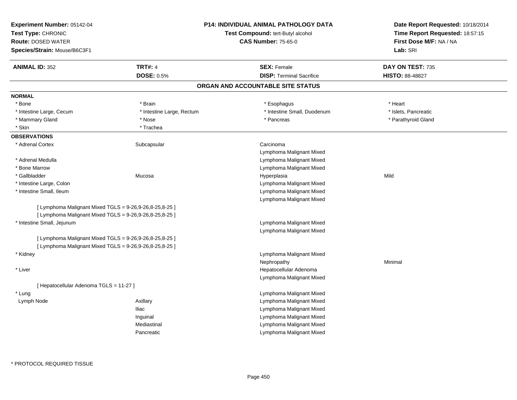| Experiment Number: 05142-04                             |                           | <b>P14: INDIVIDUAL ANIMAL PATHOLOGY DATA</b> | Date Report Requested: 10/18/2014 |
|---------------------------------------------------------|---------------------------|----------------------------------------------|-----------------------------------|
| Test Type: CHRONIC                                      |                           | Test Compound: tert-Butyl alcohol            | Time Report Requested: 18:57:15   |
| <b>Route: DOSED WATER</b>                               |                           | <b>CAS Number: 75-65-0</b>                   | First Dose M/F: NA / NA           |
| Species/Strain: Mouse/B6C3F1                            |                           |                                              | Lab: SRI                          |
| <b>ANIMAL ID: 352</b>                                   | <b>TRT#: 4</b>            | <b>SEX: Female</b>                           | DAY ON TEST: 735                  |
|                                                         | <b>DOSE: 0.5%</b>         | <b>DISP: Terminal Sacrifice</b>              | <b>HISTO: 88-48827</b>            |
|                                                         |                           | ORGAN AND ACCOUNTABLE SITE STATUS            |                                   |
| <b>NORMAL</b>                                           |                           |                                              |                                   |
| * Bone                                                  | * Brain                   | * Esophagus                                  | * Heart                           |
| * Intestine Large, Cecum                                | * Intestine Large, Rectum | * Intestine Small, Duodenum                  | * Islets, Pancreatic              |
| * Mammary Gland                                         | * Nose                    | * Pancreas                                   | * Parathyroid Gland               |
| * Skin                                                  | * Trachea                 |                                              |                                   |
| <b>OBSERVATIONS</b>                                     |                           |                                              |                                   |
| * Adrenal Cortex                                        | Subcapsular               | Carcinoma                                    |                                   |
|                                                         |                           | Lymphoma Malignant Mixed                     |                                   |
| * Adrenal Medulla                                       |                           | Lymphoma Malignant Mixed                     |                                   |
| * Bone Marrow                                           |                           | Lymphoma Malignant Mixed                     |                                   |
| * Gallbladder                                           | Mucosa                    | Hyperplasia                                  | Mild                              |
| * Intestine Large, Colon                                |                           | Lymphoma Malignant Mixed                     |                                   |
| * Intestine Small, Ileum                                |                           | Lymphoma Malignant Mixed                     |                                   |
|                                                         |                           | Lymphoma Malignant Mixed                     |                                   |
| [ Lymphoma Malignant Mixed TGLS = 9-26,9-26,8-25,8-25 ] |                           |                                              |                                   |
| [ Lymphoma Malignant Mixed TGLS = 9-26,9-26,8-25,8-25 ] |                           |                                              |                                   |
| * Intestine Small, Jejunum                              |                           | Lymphoma Malignant Mixed                     |                                   |
|                                                         |                           | Lymphoma Malignant Mixed                     |                                   |
| [ Lymphoma Malignant Mixed TGLS = 9-26,9-26,8-25,8-25 ] |                           |                                              |                                   |
| [ Lymphoma Malignant Mixed TGLS = 9-26,9-26,8-25,8-25 ] |                           |                                              |                                   |
| * Kidney                                                |                           | Lymphoma Malignant Mixed                     |                                   |
|                                                         |                           | Nephropathy                                  | Minimal                           |
| * Liver                                                 |                           | Hepatocellular Adenoma                       |                                   |
|                                                         |                           | Lymphoma Malignant Mixed                     |                                   |
| [ Hepatocellular Adenoma TGLS = 11-27 ]                 |                           |                                              |                                   |
| * Lung                                                  |                           | Lymphoma Malignant Mixed                     |                                   |
| Lymph Node                                              | Axillary                  | Lymphoma Malignant Mixed                     |                                   |
|                                                         | <b>Iliac</b>              | Lymphoma Malignant Mixed                     |                                   |
|                                                         | Inguinal                  | Lymphoma Malignant Mixed                     |                                   |
|                                                         | Mediastinal               | Lymphoma Malignant Mixed                     |                                   |
|                                                         | Pancreatic                | Lymphoma Malignant Mixed                     |                                   |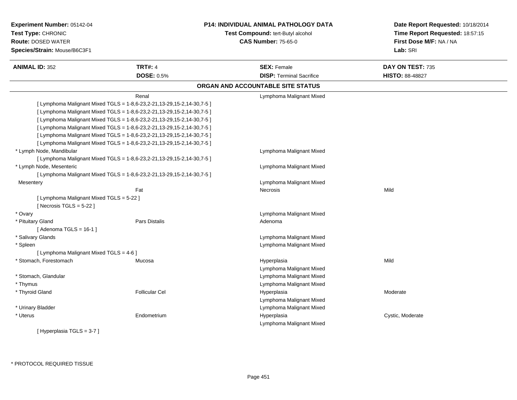| Experiment Number: 05142-04<br>Test Type: CHRONIC<br><b>Route: DOSED WATER</b><br>Species/Strain: Mouse/B6C3F1 |                                                                         | <b>P14: INDIVIDUAL ANIMAL PATHOLOGY DATA</b><br>Test Compound: tert-Butyl alcohol<br><b>CAS Number: 75-65-0</b> | Date Report Requested: 10/18/2014<br>Time Report Requested: 18:57:15<br>First Dose M/F: NA / NA<br>Lab: SRI |
|----------------------------------------------------------------------------------------------------------------|-------------------------------------------------------------------------|-----------------------------------------------------------------------------------------------------------------|-------------------------------------------------------------------------------------------------------------|
| <b>ANIMAL ID: 352</b>                                                                                          | <b>TRT#: 4</b>                                                          | <b>SEX: Female</b>                                                                                              | DAY ON TEST: 735                                                                                            |
|                                                                                                                | <b>DOSE: 0.5%</b>                                                       | <b>DISP: Terminal Sacrifice</b>                                                                                 | <b>HISTO: 88-48827</b>                                                                                      |
|                                                                                                                |                                                                         | ORGAN AND ACCOUNTABLE SITE STATUS                                                                               |                                                                                                             |
|                                                                                                                | Renal                                                                   | Lymphoma Malignant Mixed                                                                                        |                                                                                                             |
|                                                                                                                | [ Lymphoma Malignant Mixed TGLS = 1-8,6-23,2-21,13-29,15-2,14-30,7-5 ]  |                                                                                                                 |                                                                                                             |
|                                                                                                                | [ Lymphoma Malignant Mixed TGLS = 1-8,6-23,2-21,13-29,15-2,14-30,7-5 ]  |                                                                                                                 |                                                                                                             |
|                                                                                                                | [ Lymphoma Malignant Mixed TGLS = 1-8,6-23,2-21,13-29,15-2,14-30,7-5 ]  |                                                                                                                 |                                                                                                             |
|                                                                                                                | [ Lymphoma Malignant Mixed TGLS = 1-8,6-23,2-21,13-29,15-2,14-30,7-5 ]  |                                                                                                                 |                                                                                                             |
|                                                                                                                | [ Lymphoma Malignant Mixed TGLS = 1-8,6-23,2-21,13-29,15-2,14-30,7-5 ]  |                                                                                                                 |                                                                                                             |
|                                                                                                                | [ Lymphoma Malignant Mixed TGLS = 1-8,6-23,2-21,13-29,15-2,14-30,7-5 ]  |                                                                                                                 |                                                                                                             |
| * Lymph Node, Mandibular                                                                                       |                                                                         | Lymphoma Malignant Mixed                                                                                        |                                                                                                             |
|                                                                                                                | [ Lymphoma Malignant Mixed TGLS = 1-8,6-23,2-21,13-29,15-2,14-30,7-5 ]  |                                                                                                                 |                                                                                                             |
| * Lymph Node, Mesenteric                                                                                       |                                                                         | Lymphoma Malignant Mixed                                                                                        |                                                                                                             |
|                                                                                                                | [Lymphoma Malignant Mixed TGLS = $1-8,6-23,2-21,13-29,15-2,14-30,7-5$ ] |                                                                                                                 |                                                                                                             |
| Mesentery                                                                                                      |                                                                         | Lymphoma Malignant Mixed                                                                                        |                                                                                                             |
|                                                                                                                | Fat                                                                     | Necrosis                                                                                                        | Mild                                                                                                        |
| [ Lymphoma Malignant Mixed TGLS = 5-22 ]                                                                       |                                                                         |                                                                                                                 |                                                                                                             |
| [Necrosis $TGLS = 5-22$ ]                                                                                      |                                                                         |                                                                                                                 |                                                                                                             |
| * Ovary                                                                                                        |                                                                         | Lymphoma Malignant Mixed                                                                                        |                                                                                                             |
| * Pituitary Gland                                                                                              | <b>Pars Distalis</b>                                                    | Adenoma                                                                                                         |                                                                                                             |
| [Adenoma TGLS = $16-1$ ]                                                                                       |                                                                         |                                                                                                                 |                                                                                                             |
| * Salivary Glands                                                                                              |                                                                         | Lymphoma Malignant Mixed                                                                                        |                                                                                                             |
| * Spleen                                                                                                       |                                                                         | Lymphoma Malignant Mixed                                                                                        |                                                                                                             |
| [ Lymphoma Malignant Mixed TGLS = 4-6 ]                                                                        |                                                                         |                                                                                                                 |                                                                                                             |
| * Stomach, Forestomach                                                                                         | Mucosa                                                                  | Hyperplasia                                                                                                     | Mild                                                                                                        |
|                                                                                                                |                                                                         | Lymphoma Malignant Mixed                                                                                        |                                                                                                             |
|                                                                                                                |                                                                         | Lymphoma Malignant Mixed                                                                                        |                                                                                                             |
| * Stomach, Glandular                                                                                           |                                                                         |                                                                                                                 |                                                                                                             |
| * Thymus                                                                                                       |                                                                         | Lymphoma Malignant Mixed                                                                                        |                                                                                                             |
| * Thyroid Gland                                                                                                | <b>Follicular Cel</b>                                                   | Hyperplasia                                                                                                     | Moderate                                                                                                    |
|                                                                                                                |                                                                         | Lymphoma Malignant Mixed                                                                                        |                                                                                                             |
| * Urinary Bladder                                                                                              |                                                                         | Lymphoma Malignant Mixed                                                                                        |                                                                                                             |
| * Uterus                                                                                                       | Endometrium                                                             | Hyperplasia                                                                                                     | Cystic, Moderate                                                                                            |
|                                                                                                                |                                                                         | Lymphoma Malignant Mixed                                                                                        |                                                                                                             |
| [Hyperplasia TGLS = $3-7$ ]                                                                                    |                                                                         |                                                                                                                 |                                                                                                             |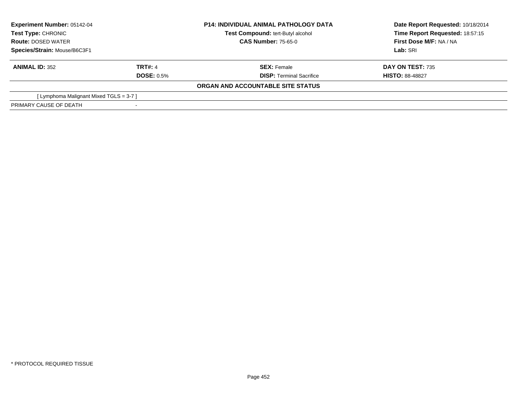| <b>Experiment Number: 05142-04</b><br><b>Test Type: CHRONIC</b><br><b>Route: DOSED WATER</b><br>Species/Strain: Mouse/B6C3F1 |                   | <b>P14: INDIVIDUAL ANIMAL PATHOLOGY DATA</b> | Date Report Requested: 10/18/2014 |
|------------------------------------------------------------------------------------------------------------------------------|-------------------|----------------------------------------------|-----------------------------------|
|                                                                                                                              |                   | <b>Test Compound: tert-Butyl alcohol</b>     | Time Report Requested: 18:57:15   |
|                                                                                                                              |                   | <b>CAS Number: 75-65-0</b>                   | First Dose M/F: NA / NA           |
|                                                                                                                              |                   |                                              | Lab: SRI                          |
| <b>ANIMAL ID: 352</b>                                                                                                        | <b>TRT#: 4</b>    | <b>SEX: Female</b>                           | <b>DAY ON TEST: 735</b>           |
|                                                                                                                              | <b>DOSE: 0.5%</b> | <b>DISP:</b> Terminal Sacrifice              | <b>HISTO: 88-48827</b>            |
|                                                                                                                              |                   | ORGAN AND ACCOUNTABLE SITE STATUS            |                                   |
| [Lymphoma Malignant Mixed TGLS = 3-7 ]                                                                                       |                   |                                              |                                   |
| PRIMARY CAUSE OF DEATH                                                                                                       |                   |                                              |                                   |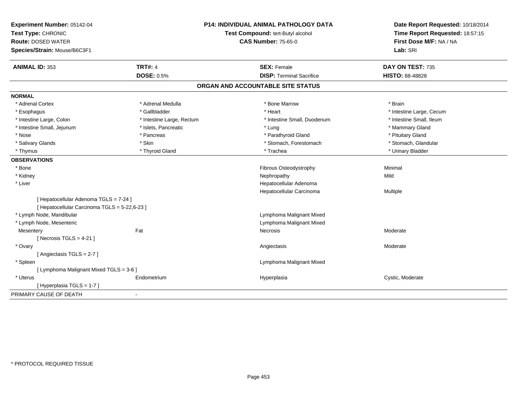| <b>ANIMAL ID: 353</b><br><b>TRT#: 4</b><br><b>SEX: Female</b><br>DAY ON TEST: 735<br><b>DOSE: 0.5%</b><br><b>DISP: Terminal Sacrifice</b><br><b>HISTO: 88-48828</b><br>ORGAN AND ACCOUNTABLE SITE STATUS<br>* Adrenal Medulla<br>* Adrenal Cortex<br>* Bone Marrow<br>* Brain<br>* Heart<br>* Gallbladder<br>* Intestine Large, Cecum<br>* Esophagus<br>* Intestine Large, Colon<br>* Intestine Small, Ileum<br>* Intestine Large, Rectum<br>* Intestine Small, Duodenum<br>* Intestine Small, Jejunum<br>* Islets, Pancreatic<br>* Mammary Gland<br>* Lung<br>* Nose<br>* Parathyroid Gland<br>* Pituitary Gland<br>* Pancreas<br>* Salivary Glands<br>* Skin<br>* Stomach, Forestomach<br>* Stomach, Glandular<br>* Urinary Bladder<br>* Thyroid Gland<br>* Trachea<br>* Thymus<br>Minimal<br>* Bone<br>Fibrous Osteodystrophy<br>* Kidney<br>Nephropathy<br>Mild<br>* Liver<br>Hepatocellular Adenoma<br>Hepatocellular Carcinoma<br>Multiple<br>[ Hepatocellular Adenoma TGLS = 7-24 ]<br>[ Hepatocellular Carcinoma TGLS = 5-22,6-23 ]<br>* Lymph Node, Mandibular<br>Lymphoma Malignant Mixed<br>* Lymph Node, Mesenteric<br>Lymphoma Malignant Mixed<br>Fat<br>Necrosis<br>Moderate<br>Mesentery<br>[Necrosis TGLS = $4-21$ ]<br>* Ovary<br>Moderate<br>Angiectasis<br>[Angiectasis TGLS = 2-7]<br>Lymphoma Malignant Mixed<br>* Spleen<br>[ Lymphoma Malignant Mixed TGLS = 3-6 ]<br>* Uterus<br>Cystic, Moderate<br>Hyperplasia<br>Endometrium<br>[Hyperplasia TGLS = 1-7]<br>$\blacksquare$ | Experiment Number: 05142-04<br>Test Type: CHRONIC<br><b>Route: DOSED WATER</b> | <b>P14: INDIVIDUAL ANIMAL PATHOLOGY DATA</b><br>Test Compound: tert-Butyl alcohol<br><b>CAS Number: 75-65-0</b> | Date Report Requested: 10/18/2014<br>Time Report Requested: 18:57:15<br>First Dose M/F: NA / NA |
|-------------------------------------------------------------------------------------------------------------------------------------------------------------------------------------------------------------------------------------------------------------------------------------------------------------------------------------------------------------------------------------------------------------------------------------------------------------------------------------------------------------------------------------------------------------------------------------------------------------------------------------------------------------------------------------------------------------------------------------------------------------------------------------------------------------------------------------------------------------------------------------------------------------------------------------------------------------------------------------------------------------------------------------------------------------------------------------------------------------------------------------------------------------------------------------------------------------------------------------------------------------------------------------------------------------------------------------------------------------------------------------------------------------------------------------------------------------------------------------------------------|--------------------------------------------------------------------------------|-----------------------------------------------------------------------------------------------------------------|-------------------------------------------------------------------------------------------------|
|                                                                                                                                                                                                                                                                                                                                                                                                                                                                                                                                                                                                                                                                                                                                                                                                                                                                                                                                                                                                                                                                                                                                                                                                                                                                                                                                                                                                                                                                                                       | Species/Strain: Mouse/B6C3F1                                                   |                                                                                                                 | Lab: SRI                                                                                        |
|                                                                                                                                                                                                                                                                                                                                                                                                                                                                                                                                                                                                                                                                                                                                                                                                                                                                                                                                                                                                                                                                                                                                                                                                                                                                                                                                                                                                                                                                                                       |                                                                                |                                                                                                                 |                                                                                                 |
|                                                                                                                                                                                                                                                                                                                                                                                                                                                                                                                                                                                                                                                                                                                                                                                                                                                                                                                                                                                                                                                                                                                                                                                                                                                                                                                                                                                                                                                                                                       |                                                                                |                                                                                                                 |                                                                                                 |
|                                                                                                                                                                                                                                                                                                                                                                                                                                                                                                                                                                                                                                                                                                                                                                                                                                                                                                                                                                                                                                                                                                                                                                                                                                                                                                                                                                                                                                                                                                       |                                                                                |                                                                                                                 |                                                                                                 |
|                                                                                                                                                                                                                                                                                                                                                                                                                                                                                                                                                                                                                                                                                                                                                                                                                                                                                                                                                                                                                                                                                                                                                                                                                                                                                                                                                                                                                                                                                                       | <b>NORMAL</b>                                                                  |                                                                                                                 |                                                                                                 |
|                                                                                                                                                                                                                                                                                                                                                                                                                                                                                                                                                                                                                                                                                                                                                                                                                                                                                                                                                                                                                                                                                                                                                                                                                                                                                                                                                                                                                                                                                                       |                                                                                |                                                                                                                 |                                                                                                 |
|                                                                                                                                                                                                                                                                                                                                                                                                                                                                                                                                                                                                                                                                                                                                                                                                                                                                                                                                                                                                                                                                                                                                                                                                                                                                                                                                                                                                                                                                                                       |                                                                                |                                                                                                                 |                                                                                                 |
|                                                                                                                                                                                                                                                                                                                                                                                                                                                                                                                                                                                                                                                                                                                                                                                                                                                                                                                                                                                                                                                                                                                                                                                                                                                                                                                                                                                                                                                                                                       |                                                                                |                                                                                                                 |                                                                                                 |
|                                                                                                                                                                                                                                                                                                                                                                                                                                                                                                                                                                                                                                                                                                                                                                                                                                                                                                                                                                                                                                                                                                                                                                                                                                                                                                                                                                                                                                                                                                       |                                                                                |                                                                                                                 |                                                                                                 |
|                                                                                                                                                                                                                                                                                                                                                                                                                                                                                                                                                                                                                                                                                                                                                                                                                                                                                                                                                                                                                                                                                                                                                                                                                                                                                                                                                                                                                                                                                                       |                                                                                |                                                                                                                 |                                                                                                 |
|                                                                                                                                                                                                                                                                                                                                                                                                                                                                                                                                                                                                                                                                                                                                                                                                                                                                                                                                                                                                                                                                                                                                                                                                                                                                                                                                                                                                                                                                                                       |                                                                                |                                                                                                                 |                                                                                                 |
|                                                                                                                                                                                                                                                                                                                                                                                                                                                                                                                                                                                                                                                                                                                                                                                                                                                                                                                                                                                                                                                                                                                                                                                                                                                                                                                                                                                                                                                                                                       |                                                                                |                                                                                                                 |                                                                                                 |
|                                                                                                                                                                                                                                                                                                                                                                                                                                                                                                                                                                                                                                                                                                                                                                                                                                                                                                                                                                                                                                                                                                                                                                                                                                                                                                                                                                                                                                                                                                       | <b>OBSERVATIONS</b>                                                            |                                                                                                                 |                                                                                                 |
|                                                                                                                                                                                                                                                                                                                                                                                                                                                                                                                                                                                                                                                                                                                                                                                                                                                                                                                                                                                                                                                                                                                                                                                                                                                                                                                                                                                                                                                                                                       |                                                                                |                                                                                                                 |                                                                                                 |
|                                                                                                                                                                                                                                                                                                                                                                                                                                                                                                                                                                                                                                                                                                                                                                                                                                                                                                                                                                                                                                                                                                                                                                                                                                                                                                                                                                                                                                                                                                       |                                                                                |                                                                                                                 |                                                                                                 |
|                                                                                                                                                                                                                                                                                                                                                                                                                                                                                                                                                                                                                                                                                                                                                                                                                                                                                                                                                                                                                                                                                                                                                                                                                                                                                                                                                                                                                                                                                                       |                                                                                |                                                                                                                 |                                                                                                 |
|                                                                                                                                                                                                                                                                                                                                                                                                                                                                                                                                                                                                                                                                                                                                                                                                                                                                                                                                                                                                                                                                                                                                                                                                                                                                                                                                                                                                                                                                                                       |                                                                                |                                                                                                                 |                                                                                                 |
|                                                                                                                                                                                                                                                                                                                                                                                                                                                                                                                                                                                                                                                                                                                                                                                                                                                                                                                                                                                                                                                                                                                                                                                                                                                                                                                                                                                                                                                                                                       |                                                                                |                                                                                                                 |                                                                                                 |
|                                                                                                                                                                                                                                                                                                                                                                                                                                                                                                                                                                                                                                                                                                                                                                                                                                                                                                                                                                                                                                                                                                                                                                                                                                                                                                                                                                                                                                                                                                       |                                                                                |                                                                                                                 |                                                                                                 |
|                                                                                                                                                                                                                                                                                                                                                                                                                                                                                                                                                                                                                                                                                                                                                                                                                                                                                                                                                                                                                                                                                                                                                                                                                                                                                                                                                                                                                                                                                                       |                                                                                |                                                                                                                 |                                                                                                 |
|                                                                                                                                                                                                                                                                                                                                                                                                                                                                                                                                                                                                                                                                                                                                                                                                                                                                                                                                                                                                                                                                                                                                                                                                                                                                                                                                                                                                                                                                                                       |                                                                                |                                                                                                                 |                                                                                                 |
|                                                                                                                                                                                                                                                                                                                                                                                                                                                                                                                                                                                                                                                                                                                                                                                                                                                                                                                                                                                                                                                                                                                                                                                                                                                                                                                                                                                                                                                                                                       |                                                                                |                                                                                                                 |                                                                                                 |
|                                                                                                                                                                                                                                                                                                                                                                                                                                                                                                                                                                                                                                                                                                                                                                                                                                                                                                                                                                                                                                                                                                                                                                                                                                                                                                                                                                                                                                                                                                       |                                                                                |                                                                                                                 |                                                                                                 |
|                                                                                                                                                                                                                                                                                                                                                                                                                                                                                                                                                                                                                                                                                                                                                                                                                                                                                                                                                                                                                                                                                                                                                                                                                                                                                                                                                                                                                                                                                                       |                                                                                |                                                                                                                 |                                                                                                 |
|                                                                                                                                                                                                                                                                                                                                                                                                                                                                                                                                                                                                                                                                                                                                                                                                                                                                                                                                                                                                                                                                                                                                                                                                                                                                                                                                                                                                                                                                                                       |                                                                                |                                                                                                                 |                                                                                                 |
|                                                                                                                                                                                                                                                                                                                                                                                                                                                                                                                                                                                                                                                                                                                                                                                                                                                                                                                                                                                                                                                                                                                                                                                                                                                                                                                                                                                                                                                                                                       |                                                                                |                                                                                                                 |                                                                                                 |
|                                                                                                                                                                                                                                                                                                                                                                                                                                                                                                                                                                                                                                                                                                                                                                                                                                                                                                                                                                                                                                                                                                                                                                                                                                                                                                                                                                                                                                                                                                       |                                                                                |                                                                                                                 |                                                                                                 |
|                                                                                                                                                                                                                                                                                                                                                                                                                                                                                                                                                                                                                                                                                                                                                                                                                                                                                                                                                                                                                                                                                                                                                                                                                                                                                                                                                                                                                                                                                                       |                                                                                |                                                                                                                 |                                                                                                 |
|                                                                                                                                                                                                                                                                                                                                                                                                                                                                                                                                                                                                                                                                                                                                                                                                                                                                                                                                                                                                                                                                                                                                                                                                                                                                                                                                                                                                                                                                                                       |                                                                                |                                                                                                                 |                                                                                                 |
|                                                                                                                                                                                                                                                                                                                                                                                                                                                                                                                                                                                                                                                                                                                                                                                                                                                                                                                                                                                                                                                                                                                                                                                                                                                                                                                                                                                                                                                                                                       | PRIMARY CAUSE OF DEATH                                                         |                                                                                                                 |                                                                                                 |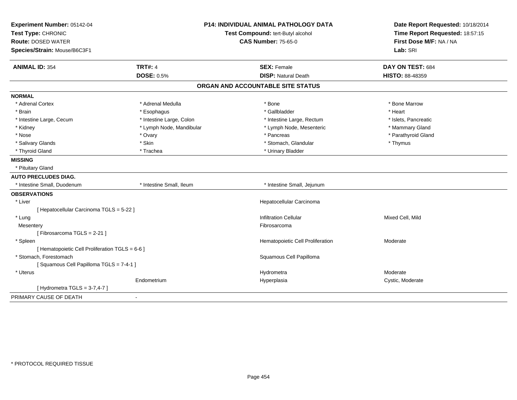| Experiment Number: 05142-04                     | <b>P14: INDIVIDUAL ANIMAL PATHOLOGY DATA</b> |                                   | Date Report Requested: 10/18/2014                          |
|-------------------------------------------------|----------------------------------------------|-----------------------------------|------------------------------------------------------------|
| Test Type: CHRONIC                              |                                              | Test Compound: tert-Butyl alcohol | Time Report Requested: 18:57:15<br>First Dose M/F: NA / NA |
| <b>Route: DOSED WATER</b>                       |                                              | <b>CAS Number: 75-65-0</b>        |                                                            |
| Species/Strain: Mouse/B6C3F1                    |                                              |                                   | Lab: SRI                                                   |
| <b>ANIMAL ID: 354</b>                           | <b>TRT#: 4</b>                               | <b>SEX: Female</b>                | DAY ON TEST: 684                                           |
|                                                 | <b>DOSE: 0.5%</b>                            | <b>DISP: Natural Death</b>        | <b>HISTO: 88-48359</b>                                     |
|                                                 |                                              | ORGAN AND ACCOUNTABLE SITE STATUS |                                                            |
| <b>NORMAL</b>                                   |                                              |                                   |                                                            |
| * Adrenal Cortex                                | * Adrenal Medulla                            | * Bone                            | * Bone Marrow                                              |
| * Brain                                         | * Esophagus                                  | * Gallbladder                     | * Heart                                                    |
| * Intestine Large, Cecum                        | * Intestine Large, Colon                     | * Intestine Large, Rectum         | * Islets, Pancreatic                                       |
| * Kidney                                        | * Lymph Node, Mandibular                     | * Lymph Node, Mesenteric          | * Mammary Gland                                            |
| * Nose                                          | * Ovary                                      | * Pancreas                        | * Parathyroid Gland                                        |
| * Salivary Glands                               | * Skin                                       | * Stomach, Glandular              | * Thymus                                                   |
| * Thyroid Gland                                 | * Trachea                                    | * Urinary Bladder                 |                                                            |
| <b>MISSING</b>                                  |                                              |                                   |                                                            |
| * Pituitary Gland                               |                                              |                                   |                                                            |
| <b>AUTO PRECLUDES DIAG.</b>                     |                                              |                                   |                                                            |
| * Intestine Small, Duodenum                     | * Intestine Small, Ileum                     | * Intestine Small, Jejunum        |                                                            |
| <b>OBSERVATIONS</b>                             |                                              |                                   |                                                            |
| * Liver                                         |                                              | Hepatocellular Carcinoma          |                                                            |
| [ Hepatocellular Carcinoma TGLS = 5-22 ]        |                                              |                                   |                                                            |
| * Lung                                          |                                              | <b>Infiltration Cellular</b>      | Mixed Cell, Mild                                           |
| Mesentery                                       |                                              | Fibrosarcoma                      |                                                            |
| [Fibrosarcoma TGLS = 2-21]                      |                                              |                                   |                                                            |
| * Spleen                                        |                                              | Hematopoietic Cell Proliferation  | Moderate                                                   |
| [ Hematopoietic Cell Proliferation TGLS = 6-6 ] |                                              |                                   |                                                            |
| * Stomach, Forestomach                          |                                              | Squamous Cell Papilloma           |                                                            |
| [Squamous Cell Papilloma TGLS = 7-4-1]          |                                              |                                   |                                                            |
| * Uterus                                        |                                              | Hydrometra                        | Moderate                                                   |
|                                                 | Endometrium                                  | Hyperplasia                       | Cystic, Moderate                                           |
| [Hydrometra TGLS = $3-7,4-7$ ]                  |                                              |                                   |                                                            |
| PRIMARY CAUSE OF DEATH                          | $\mathbf{r}$                                 |                                   |                                                            |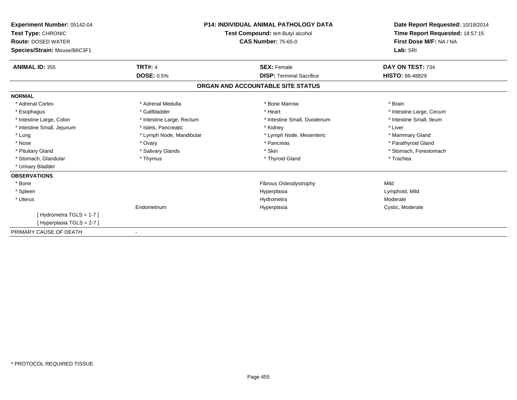| Experiment Number: 05142-04<br>Test Type: CHRONIC<br><b>Route: DOSED WATER</b><br>Species/Strain: Mouse/B6C3F1 | <b>P14: INDIVIDUAL ANIMAL PATHOLOGY DATA</b><br>Test Compound: tert-Butyl alcohol<br><b>CAS Number: 75-65-0</b> |                                   | Date Report Requested: 10/18/2014<br>Time Report Requested: 18:57:15<br>First Dose M/F: NA / NA<br>Lab: SRI |
|----------------------------------------------------------------------------------------------------------------|-----------------------------------------------------------------------------------------------------------------|-----------------------------------|-------------------------------------------------------------------------------------------------------------|
| <b>ANIMAL ID: 355</b>                                                                                          | <b>TRT#: 4</b>                                                                                                  | <b>SEX: Female</b>                | DAY ON TEST: 734                                                                                            |
|                                                                                                                | <b>DOSE: 0.5%</b>                                                                                               | <b>DISP: Terminal Sacrifice</b>   | <b>HISTO: 88-48829</b>                                                                                      |
|                                                                                                                |                                                                                                                 | ORGAN AND ACCOUNTABLE SITE STATUS |                                                                                                             |
| <b>NORMAL</b>                                                                                                  |                                                                                                                 |                                   |                                                                                                             |
| * Adrenal Cortex                                                                                               | * Adrenal Medulla                                                                                               | * Bone Marrow                     | * Brain                                                                                                     |
| * Esophagus                                                                                                    | * Gallbladder                                                                                                   | * Heart                           | * Intestine Large, Cecum                                                                                    |
| * Intestine Large, Colon                                                                                       | * Intestine Large, Rectum                                                                                       | * Intestine Small, Duodenum       | * Intestine Small, Ileum                                                                                    |
| * Intestine Small, Jejunum                                                                                     | * Islets, Pancreatic                                                                                            | * Kidney                          | * Liver                                                                                                     |
| * Lung                                                                                                         | * Lymph Node, Mandibular                                                                                        | * Lymph Node, Mesenteric          | * Mammary Gland                                                                                             |
| * Nose                                                                                                         | * Ovary                                                                                                         | * Pancreas                        | * Parathyroid Gland                                                                                         |
| * Pituitary Gland                                                                                              | * Salivary Glands                                                                                               | * Skin                            | * Stomach, Forestomach                                                                                      |
| * Stomach, Glandular                                                                                           | * Thymus                                                                                                        | * Thyroid Gland                   | * Trachea                                                                                                   |
| * Urinary Bladder                                                                                              |                                                                                                                 |                                   |                                                                                                             |
| <b>OBSERVATIONS</b>                                                                                            |                                                                                                                 |                                   |                                                                                                             |
| * Bone                                                                                                         |                                                                                                                 | Fibrous Osteodystrophy            | Mild                                                                                                        |
| * Spleen                                                                                                       |                                                                                                                 | Hyperplasia                       | Lymphoid, Mild                                                                                              |
| * Uterus                                                                                                       |                                                                                                                 | Hydrometra                        | Moderate                                                                                                    |
|                                                                                                                | Endometrium                                                                                                     | Hyperplasia                       | Cystic, Moderate                                                                                            |
| [Hydrometra TGLS = 1-7]                                                                                        |                                                                                                                 |                                   |                                                                                                             |
| [Hyperplasia TGLS = 2-7]                                                                                       |                                                                                                                 |                                   |                                                                                                             |
| PRIMARY CAUSE OF DEATH                                                                                         |                                                                                                                 |                                   |                                                                                                             |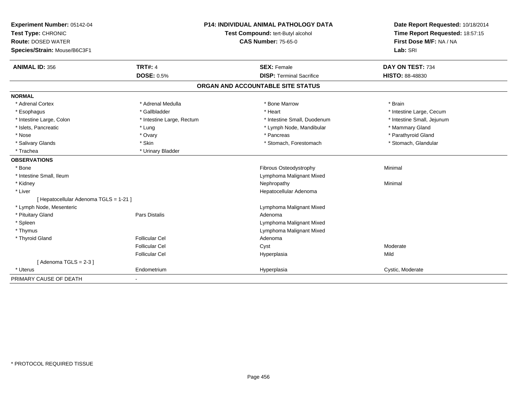| Experiment Number: 05142-04            |                           | <b>P14: INDIVIDUAL ANIMAL PATHOLOGY DATA</b> | Date Report Requested: 10/18/2014 |
|----------------------------------------|---------------------------|----------------------------------------------|-----------------------------------|
| Test Type: CHRONIC                     |                           | Test Compound: tert-Butyl alcohol            | Time Report Requested: 18:57:15   |
| <b>Route: DOSED WATER</b>              |                           | <b>CAS Number: 75-65-0</b>                   | First Dose M/F: NA / NA           |
| Species/Strain: Mouse/B6C3F1           |                           |                                              | Lab: SRI                          |
| <b>ANIMAL ID: 356</b>                  | <b>TRT#: 4</b>            | <b>SEX: Female</b>                           | DAY ON TEST: 734                  |
|                                        | <b>DOSE: 0.5%</b>         | <b>DISP: Terminal Sacrifice</b>              | <b>HISTO: 88-48830</b>            |
|                                        |                           | ORGAN AND ACCOUNTABLE SITE STATUS            |                                   |
| <b>NORMAL</b>                          |                           |                                              |                                   |
| * Adrenal Cortex                       | * Adrenal Medulla         | * Bone Marrow                                | * Brain                           |
| * Esophagus                            | * Gallbladder             | * Heart                                      | * Intestine Large, Cecum          |
| * Intestine Large, Colon               | * Intestine Large, Rectum | * Intestine Small, Duodenum                  | * Intestine Small, Jejunum        |
| * Islets, Pancreatic                   | * Lung                    | * Lymph Node, Mandibular                     | * Mammary Gland                   |
| * Nose                                 | * Ovary                   | * Pancreas                                   | * Parathyroid Gland               |
| * Salivary Glands                      | * Skin                    | * Stomach, Forestomach                       | * Stomach, Glandular              |
| * Trachea                              | * Urinary Bladder         |                                              |                                   |
| <b>OBSERVATIONS</b>                    |                           |                                              |                                   |
| * Bone                                 |                           | Fibrous Osteodystrophy                       | Minimal                           |
| * Intestine Small, Ileum               |                           | Lymphoma Malignant Mixed                     |                                   |
| * Kidney                               |                           | Nephropathy                                  | Minimal                           |
| * Liver                                |                           | Hepatocellular Adenoma                       |                                   |
| [ Hepatocellular Adenoma TGLS = 1-21 ] |                           |                                              |                                   |
| * Lymph Node, Mesenteric               |                           | Lymphoma Malignant Mixed                     |                                   |
| * Pituitary Gland                      | Pars Distalis             | Adenoma                                      |                                   |
| * Spleen                               |                           | Lymphoma Malignant Mixed                     |                                   |
| * Thymus                               |                           | Lymphoma Malignant Mixed                     |                                   |
| * Thyroid Gland                        | <b>Follicular Cel</b>     | Adenoma                                      |                                   |
|                                        | <b>Follicular Cel</b>     | Cyst                                         | Moderate                          |
|                                        | <b>Follicular Cel</b>     | Hyperplasia                                  | Mild                              |
| [Adenoma TGLS = $2-3$ ]                |                           |                                              |                                   |
| * Uterus                               | Endometrium               | Hyperplasia                                  | Cystic, Moderate                  |
| PRIMARY CAUSE OF DEATH                 | $\blacksquare$            |                                              |                                   |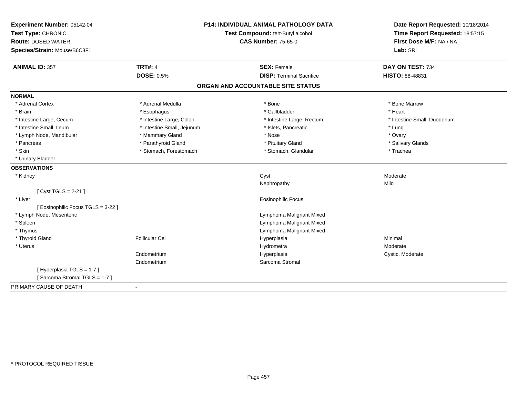| Experiment Number: 05142-04      |                                   | <b>P14: INDIVIDUAL ANIMAL PATHOLOGY DATA</b> | Date Report Requested: 10/18/2014 |
|----------------------------------|-----------------------------------|----------------------------------------------|-----------------------------------|
| Test Type: CHRONIC               | Test Compound: tert-Butyl alcohol |                                              | Time Report Requested: 18:57:15   |
| <b>Route: DOSED WATER</b>        |                                   | <b>CAS Number: 75-65-0</b>                   | First Dose M/F: NA / NA           |
| Species/Strain: Mouse/B6C3F1     |                                   |                                              | Lab: SRI                          |
| <b>ANIMAL ID: 357</b>            | <b>TRT#: 4</b>                    | <b>SEX: Female</b>                           | DAY ON TEST: 734                  |
|                                  | <b>DOSE: 0.5%</b>                 | <b>DISP: Terminal Sacrifice</b>              | HISTO: 88-48831                   |
|                                  |                                   | ORGAN AND ACCOUNTABLE SITE STATUS            |                                   |
| <b>NORMAL</b>                    |                                   |                                              |                                   |
| * Adrenal Cortex                 | * Adrenal Medulla                 | * Bone                                       | * Bone Marrow                     |
| * Brain                          | * Esophagus                       | * Gallbladder                                | * Heart                           |
| * Intestine Large, Cecum         | * Intestine Large, Colon          | * Intestine Large, Rectum                    | * Intestine Small, Duodenum       |
| * Intestine Small, Ileum         | * Intestine Small, Jejunum        | * Islets, Pancreatic                         | * Lung                            |
| * Lymph Node, Mandibular         | * Mammary Gland                   | * Nose                                       | * Ovary                           |
| * Pancreas                       | * Parathyroid Gland               | * Pituitary Gland                            | * Salivary Glands                 |
| * Skin                           | * Stomach, Forestomach            | * Stomach, Glandular                         | * Trachea                         |
| * Urinary Bladder                |                                   |                                              |                                   |
| <b>OBSERVATIONS</b>              |                                   |                                              |                                   |
| * Kidney                         |                                   | Cyst                                         | Moderate                          |
|                                  |                                   | Nephropathy                                  | Mild                              |
| [Cyst TGLS = 2-21]               |                                   |                                              |                                   |
| * Liver                          |                                   | <b>Eosinophilic Focus</b>                    |                                   |
| [Eosinophilic Focus TGLS = 3-22] |                                   |                                              |                                   |
| * Lymph Node, Mesenteric         |                                   | Lymphoma Malignant Mixed                     |                                   |
| * Spleen                         |                                   | Lymphoma Malignant Mixed                     |                                   |
| * Thymus                         |                                   | Lymphoma Malignant Mixed                     |                                   |
| * Thyroid Gland                  | <b>Follicular Cel</b>             | Hyperplasia                                  | Minimal                           |
| * Uterus                         |                                   | Hydrometra                                   | Moderate                          |
|                                  | Endometrium                       | Hyperplasia                                  | Cystic, Moderate                  |
|                                  | Endometrium                       | Sarcoma Stromal                              |                                   |
| [Hyperplasia TGLS = 1-7]         |                                   |                                              |                                   |
| [Sarcoma Stromal TGLS = 1-7]     |                                   |                                              |                                   |
| PRIMARY CAUSE OF DEATH           | $\blacksquare$                    |                                              |                                   |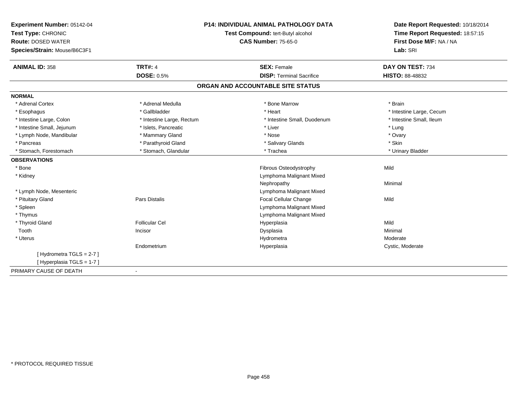| Experiment Number: 05142-04  | <b>P14: INDIVIDUAL ANIMAL PATHOLOGY DATA</b> |                                   | Date Report Requested: 10/18/2014 |  |
|------------------------------|----------------------------------------------|-----------------------------------|-----------------------------------|--|
| Test Type: CHRONIC           |                                              | Test Compound: tert-Butyl alcohol | Time Report Requested: 18:57:15   |  |
| <b>Route: DOSED WATER</b>    |                                              | <b>CAS Number: 75-65-0</b>        | First Dose M/F: NA / NA           |  |
| Species/Strain: Mouse/B6C3F1 |                                              |                                   | Lab: SRI                          |  |
| <b>ANIMAL ID: 358</b>        | <b>TRT#: 4</b>                               | <b>SEX: Female</b>                | DAY ON TEST: 734                  |  |
|                              | <b>DOSE: 0.5%</b>                            | <b>DISP: Terminal Sacrifice</b>   | <b>HISTO: 88-48832</b>            |  |
|                              |                                              | ORGAN AND ACCOUNTABLE SITE STATUS |                                   |  |
| <b>NORMAL</b>                |                                              |                                   |                                   |  |
| * Adrenal Cortex             | * Adrenal Medulla                            | * Bone Marrow                     | * Brain                           |  |
| * Esophagus                  | * Gallbladder                                | * Heart                           | * Intestine Large, Cecum          |  |
| * Intestine Large, Colon     | * Intestine Large, Rectum                    | * Intestine Small, Duodenum       | * Intestine Small, Ileum          |  |
| * Intestine Small, Jejunum   | * Islets, Pancreatic                         | * Liver                           | * Lung                            |  |
| * Lymph Node, Mandibular     | * Mammary Gland                              | * Nose                            | * Ovary                           |  |
| * Pancreas                   | * Parathyroid Gland                          | * Salivary Glands                 | * Skin                            |  |
| * Stomach, Forestomach       | * Stomach, Glandular                         | * Trachea                         | * Urinary Bladder                 |  |
| <b>OBSERVATIONS</b>          |                                              |                                   |                                   |  |
| * Bone                       |                                              | Fibrous Osteodystrophy            | Mild                              |  |
| * Kidney                     |                                              | Lymphoma Malignant Mixed          |                                   |  |
|                              |                                              | Nephropathy                       | Minimal                           |  |
| * Lymph Node, Mesenteric     |                                              | Lymphoma Malignant Mixed          |                                   |  |
| * Pituitary Gland            | <b>Pars Distalis</b>                         | Focal Cellular Change             | Mild                              |  |
| * Spleen                     |                                              | Lymphoma Malignant Mixed          |                                   |  |
| * Thymus                     |                                              | Lymphoma Malignant Mixed          |                                   |  |
| * Thyroid Gland              | <b>Follicular Cel</b>                        | Hyperplasia                       | Mild                              |  |
| Tooth                        | Incisor                                      | Dysplasia                         | Minimal                           |  |
| * Uterus                     |                                              | Hydrometra                        | Moderate                          |  |
|                              | Endometrium                                  | Hyperplasia                       | Cystic, Moderate                  |  |
| [Hydrometra TGLS = 2-7]      |                                              |                                   |                                   |  |
| [Hyperplasia TGLS = 1-7]     |                                              |                                   |                                   |  |
| PRIMARY CAUSE OF DEATH       |                                              |                                   |                                   |  |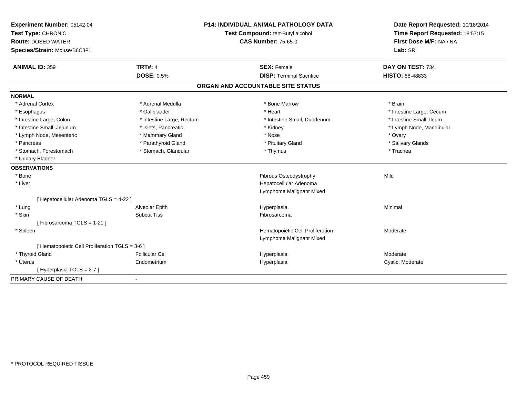| Experiment Number: 05142-04                     |                           | <b>P14: INDIVIDUAL ANIMAL PATHOLOGY DATA</b> | Date Report Requested: 10/18/2014 |
|-------------------------------------------------|---------------------------|----------------------------------------------|-----------------------------------|
| Test Type: CHRONIC                              |                           | Test Compound: tert-Butyl alcohol            | Time Report Requested: 18:57:15   |
| <b>Route: DOSED WATER</b>                       |                           | <b>CAS Number: 75-65-0</b>                   | First Dose M/F: NA / NA           |
| Species/Strain: Mouse/B6C3F1                    |                           |                                              | Lab: SRI                          |
| <b>ANIMAL ID: 359</b>                           | <b>TRT#: 4</b>            | <b>SEX: Female</b>                           | DAY ON TEST: 734                  |
|                                                 | <b>DOSE: 0.5%</b>         | <b>DISP: Terminal Sacrifice</b>              | <b>HISTO: 88-48833</b>            |
|                                                 |                           | ORGAN AND ACCOUNTABLE SITE STATUS            |                                   |
| <b>NORMAL</b>                                   |                           |                                              |                                   |
| * Adrenal Cortex                                | * Adrenal Medulla         | * Bone Marrow                                | * Brain                           |
| * Esophagus                                     | * Gallbladder             | * Heart                                      | * Intestine Large, Cecum          |
| * Intestine Large, Colon                        | * Intestine Large, Rectum | * Intestine Small, Duodenum                  | * Intestine Small, Ileum          |
| * Intestine Small, Jejunum                      | * Islets, Pancreatic      | * Kidney                                     | * Lymph Node, Mandibular          |
| * Lymph Node, Mesenteric                        | * Mammary Gland           | * Nose                                       | * Ovary                           |
| * Pancreas                                      | * Parathyroid Gland       | * Pituitary Gland                            | * Salivary Glands                 |
| * Stomach, Forestomach                          | * Stomach, Glandular      | * Thymus                                     | * Trachea                         |
| * Urinary Bladder                               |                           |                                              |                                   |
| <b>OBSERVATIONS</b>                             |                           |                                              |                                   |
| * Bone                                          |                           | Fibrous Osteodystrophy                       | Mild                              |
| * Liver                                         |                           | Hepatocellular Adenoma                       |                                   |
|                                                 |                           | Lymphoma Malignant Mixed                     |                                   |
| [ Hepatocellular Adenoma TGLS = 4-22 ]          |                           |                                              |                                   |
| * Lung                                          | Alveolar Epith            | Hyperplasia                                  | Minimal                           |
| * Skin                                          | <b>Subcut Tiss</b>        | Fibrosarcoma                                 |                                   |
| [Fibrosarcoma TGLS = 1-21]                      |                           |                                              |                                   |
| * Spleen                                        |                           | Hematopoietic Cell Proliferation             | Moderate                          |
|                                                 |                           | Lymphoma Malignant Mixed                     |                                   |
| [ Hematopoietic Cell Proliferation TGLS = 3-6 ] |                           |                                              |                                   |
| * Thyroid Gland                                 | <b>Follicular Cel</b>     | Hyperplasia                                  | Moderate                          |
| * Uterus                                        | Endometrium               | Hyperplasia                                  | Cystic, Moderate                  |
| [Hyperplasia TGLS = 2-7]                        |                           |                                              |                                   |
| PRIMARY CAUSE OF DEATH                          | $\overline{\phantom{a}}$  |                                              |                                   |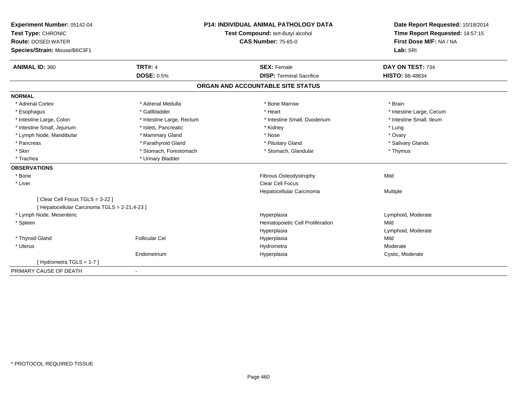| <b>Experiment Number: 05142-04</b>            |                           | <b>P14: INDIVIDUAL ANIMAL PATHOLOGY DATA</b> | Date Report Requested: 10/18/2014                          |
|-----------------------------------------------|---------------------------|----------------------------------------------|------------------------------------------------------------|
| Test Type: CHRONIC                            |                           | Test Compound: tert-Butyl alcohol            | Time Report Requested: 18:57:15<br>First Dose M/F: NA / NA |
| <b>Route: DOSED WATER</b>                     |                           | <b>CAS Number: 75-65-0</b>                   |                                                            |
| Species/Strain: Mouse/B6C3F1                  |                           |                                              | Lab: SRI                                                   |
| <b>ANIMAL ID: 360</b>                         | <b>TRT#: 4</b>            | <b>SEX: Female</b>                           | DAY ON TEST: 734                                           |
|                                               | <b>DOSE: 0.5%</b>         | <b>DISP: Terminal Sacrifice</b>              | HISTO: 88-48834                                            |
|                                               |                           | ORGAN AND ACCOUNTABLE SITE STATUS            |                                                            |
| <b>NORMAL</b>                                 |                           |                                              |                                                            |
| * Adrenal Cortex                              | * Adrenal Medulla         | * Bone Marrow                                | * Brain                                                    |
| * Esophagus                                   | * Gallbladder             | * Heart                                      | * Intestine Large, Cecum                                   |
| * Intestine Large, Colon                      | * Intestine Large, Rectum | * Intestine Small, Duodenum                  | * Intestine Small, Ileum                                   |
| * Intestine Small, Jejunum                    | * Islets, Pancreatic      | * Kidney                                     | * Lung                                                     |
| * Lymph Node, Mandibular                      | * Mammary Gland           | * Nose                                       | * Ovary                                                    |
| * Pancreas                                    | * Parathyroid Gland       | * Pituitary Gland                            | * Salivary Glands                                          |
| * Skin                                        | * Stomach, Forestomach    | * Stomach, Glandular                         | * Thymus                                                   |
| * Trachea                                     | * Urinary Bladder         |                                              |                                                            |
| <b>OBSERVATIONS</b>                           |                           |                                              |                                                            |
| * Bone                                        |                           | Fibrous Osteodystrophy                       | Mild                                                       |
| * Liver                                       |                           | <b>Clear Cell Focus</b>                      |                                                            |
|                                               |                           | Hepatocellular Carcinoma                     | <b>Multiple</b>                                            |
| [Clear Cell Focus TGLS = 3-22]                |                           |                                              |                                                            |
| [ Hepatocellular Carcinoma TGLS = 2-21,4-23 ] |                           |                                              |                                                            |
| * Lymph Node, Mesenteric                      |                           | Hyperplasia                                  | Lymphoid, Moderate                                         |
| * Spleen                                      |                           | Hematopoietic Cell Proliferation             | Mild                                                       |
|                                               |                           | Hyperplasia                                  | Lymphoid, Moderate                                         |
| * Thyroid Gland                               | <b>Follicular Cel</b>     | Hyperplasia                                  | Mild                                                       |
| * Uterus                                      |                           | Hydrometra                                   | Moderate                                                   |
|                                               | Endometrium               | Hyperplasia                                  | Cystic, Moderate                                           |
| [Hydrometra TGLS = 1-7]                       |                           |                                              |                                                            |
| PRIMARY CAUSE OF DEATH                        |                           |                                              |                                                            |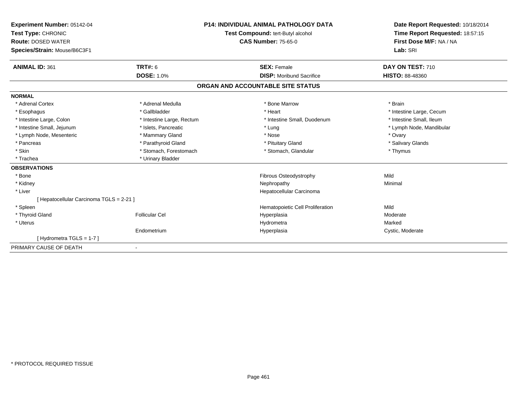| Experiment Number: 05142-04<br>Test Type: CHRONIC<br><b>Route: DOSED WATER</b><br>Species/Strain: Mouse/B6C3F1 |                           | <b>P14: INDIVIDUAL ANIMAL PATHOLOGY DATA</b><br>Test Compound: tert-Butyl alcohol<br><b>CAS Number: 75-65-0</b> | Date Report Requested: 10/18/2014<br>Time Report Requested: 18:57:15<br>First Dose M/F: NA / NA<br>Lab: SRI |
|----------------------------------------------------------------------------------------------------------------|---------------------------|-----------------------------------------------------------------------------------------------------------------|-------------------------------------------------------------------------------------------------------------|
| <b>ANIMAL ID: 361</b>                                                                                          | TRT#: 6                   | <b>SEX: Female</b>                                                                                              | DAY ON TEST: 710                                                                                            |
|                                                                                                                | <b>DOSE: 1.0%</b>         | <b>DISP:</b> Moribund Sacrifice                                                                                 | <b>HISTO: 88-48360</b>                                                                                      |
|                                                                                                                |                           | ORGAN AND ACCOUNTABLE SITE STATUS                                                                               |                                                                                                             |
| <b>NORMAL</b>                                                                                                  |                           |                                                                                                                 |                                                                                                             |
| * Adrenal Cortex                                                                                               | * Adrenal Medulla         | * Bone Marrow                                                                                                   | * Brain                                                                                                     |
| * Esophagus                                                                                                    | * Gallbladder             | * Heart                                                                                                         | * Intestine Large, Cecum                                                                                    |
| * Intestine Large, Colon                                                                                       | * Intestine Large, Rectum | * Intestine Small, Duodenum                                                                                     | * Intestine Small, Ileum                                                                                    |
| * Intestine Small, Jejunum                                                                                     | * Islets, Pancreatic      | * Lung                                                                                                          | * Lymph Node, Mandibular                                                                                    |
| * Lymph Node, Mesenteric                                                                                       | * Mammary Gland           | * Nose                                                                                                          | * Ovary                                                                                                     |
| * Pancreas                                                                                                     | * Parathyroid Gland       | * Pituitary Gland                                                                                               | * Salivary Glands                                                                                           |
| * Skin                                                                                                         | * Stomach, Forestomach    | * Stomach, Glandular                                                                                            | * Thymus                                                                                                    |
| * Trachea                                                                                                      | * Urinary Bladder         |                                                                                                                 |                                                                                                             |
| <b>OBSERVATIONS</b>                                                                                            |                           |                                                                                                                 |                                                                                                             |
| * Bone                                                                                                         |                           | Fibrous Osteodystrophy                                                                                          | Mild                                                                                                        |
| * Kidney                                                                                                       |                           | Nephropathy                                                                                                     | Minimal                                                                                                     |
| * Liver                                                                                                        |                           | Hepatocellular Carcinoma                                                                                        |                                                                                                             |
| [ Hepatocellular Carcinoma TGLS = 2-21 ]                                                                       |                           |                                                                                                                 |                                                                                                             |
| * Spleen                                                                                                       |                           | Hematopoietic Cell Proliferation                                                                                | Mild                                                                                                        |
| * Thyroid Gland                                                                                                | <b>Follicular Cel</b>     | Hyperplasia                                                                                                     | Moderate                                                                                                    |
| * Uterus                                                                                                       |                           | Hydrometra                                                                                                      | Marked                                                                                                      |
|                                                                                                                | Endometrium               | Hyperplasia                                                                                                     | Cystic, Moderate                                                                                            |
| [Hydrometra TGLS = 1-7]                                                                                        |                           |                                                                                                                 |                                                                                                             |
| PRIMARY CAUSE OF DEATH                                                                                         | $\blacksquare$            |                                                                                                                 |                                                                                                             |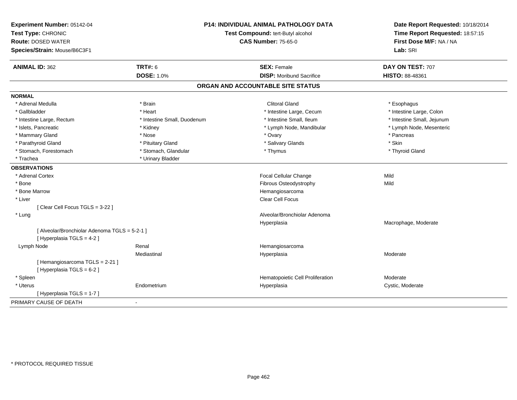| Experiment Number: 05142-04<br>Test Type: CHRONIC<br><b>Route: DOSED WATER</b><br>Species/Strain: Mouse/B6C3F1 |                             | <b>P14: INDIVIDUAL ANIMAL PATHOLOGY DATA</b><br>Test Compound: tert-Butyl alcohol<br><b>CAS Number: 75-65-0</b> | Date Report Requested: 10/18/2014<br>Time Report Requested: 18:57:15<br>First Dose M/F: NA / NA<br>Lab: SRI |
|----------------------------------------------------------------------------------------------------------------|-----------------------------|-----------------------------------------------------------------------------------------------------------------|-------------------------------------------------------------------------------------------------------------|
| <b>ANIMAL ID: 362</b>                                                                                          | <b>TRT#: 6</b>              | <b>SEX: Female</b>                                                                                              | DAY ON TEST: 707                                                                                            |
|                                                                                                                | <b>DOSE: 1.0%</b>           | <b>DISP:</b> Moribund Sacrifice                                                                                 | HISTO: 88-48361                                                                                             |
|                                                                                                                |                             | ORGAN AND ACCOUNTABLE SITE STATUS                                                                               |                                                                                                             |
| <b>NORMAL</b>                                                                                                  |                             |                                                                                                                 |                                                                                                             |
| * Adrenal Medulla                                                                                              | * Brain                     | Clitoral Gland                                                                                                  | * Esophagus                                                                                                 |
| * Gallbladder                                                                                                  | * Heart                     | * Intestine Large, Cecum                                                                                        | * Intestine Large, Colon                                                                                    |
| * Intestine Large, Rectum                                                                                      | * Intestine Small, Duodenum | * Intestine Small, Ileum                                                                                        | * Intestine Small, Jejunum                                                                                  |
| * Islets, Pancreatic                                                                                           | * Kidney                    | * Lymph Node, Mandibular                                                                                        | * Lymph Node, Mesenteric                                                                                    |
| * Mammary Gland                                                                                                | * Nose                      | * Ovary                                                                                                         | * Pancreas                                                                                                  |
| * Parathyroid Gland                                                                                            | * Pituitary Gland           | * Salivary Glands                                                                                               | * Skin                                                                                                      |
| * Stomach, Forestomach                                                                                         | * Stomach, Glandular        | * Thymus                                                                                                        | * Thyroid Gland                                                                                             |
| * Trachea                                                                                                      | * Urinary Bladder           |                                                                                                                 |                                                                                                             |
| <b>OBSERVATIONS</b>                                                                                            |                             |                                                                                                                 |                                                                                                             |
| * Adrenal Cortex                                                                                               |                             | Focal Cellular Change                                                                                           | Mild                                                                                                        |
| * Bone                                                                                                         |                             | Fibrous Osteodystrophy                                                                                          | Mild                                                                                                        |
| * Bone Marrow                                                                                                  |                             | Hemangiosarcoma                                                                                                 |                                                                                                             |
| * Liver                                                                                                        |                             | Clear Cell Focus                                                                                                |                                                                                                             |
| [Clear Cell Focus TGLS = 3-22]                                                                                 |                             |                                                                                                                 |                                                                                                             |
| * Lung                                                                                                         |                             | Alveolar/Bronchiolar Adenoma                                                                                    |                                                                                                             |
|                                                                                                                |                             | Hyperplasia                                                                                                     | Macrophage, Moderate                                                                                        |
| [ Alveolar/Bronchiolar Adenoma TGLS = 5-2-1 ]                                                                  |                             |                                                                                                                 |                                                                                                             |
| [ Hyperplasia TGLS = 4-2 ]                                                                                     |                             |                                                                                                                 |                                                                                                             |
| Lymph Node                                                                                                     | Renal                       | Hemangiosarcoma                                                                                                 |                                                                                                             |
|                                                                                                                | Mediastinal                 | Hyperplasia                                                                                                     | Moderate                                                                                                    |
| [Hemangiosarcoma TGLS = 2-21]                                                                                  |                             |                                                                                                                 |                                                                                                             |
| [ Hyperplasia TGLS = 6-2 ]                                                                                     |                             |                                                                                                                 |                                                                                                             |
| * Spleen                                                                                                       |                             | Hematopoietic Cell Proliferation                                                                                | Moderate                                                                                                    |
| * Uterus                                                                                                       | Endometrium                 | Hyperplasia                                                                                                     | Cystic, Moderate                                                                                            |
| [ Hyperplasia TGLS = 1-7 ]                                                                                     |                             |                                                                                                                 |                                                                                                             |
| PRIMARY CAUSE OF DEATH                                                                                         | $\blacksquare$              |                                                                                                                 |                                                                                                             |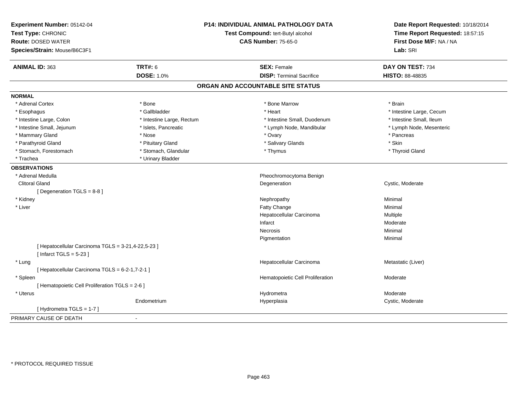| Experiment Number: 05142-04<br>Test Type: CHRONIC<br><b>Route: DOSED WATER</b><br>Species/Strain: Mouse/B6C3F1 | <b>P14: INDIVIDUAL ANIMAL PATHOLOGY DATA</b><br>Test Compound: tert-Butyl alcohol<br><b>CAS Number: 75-65-0</b> |                                                       | Date Report Requested: 10/18/2014<br>Time Report Requested: 18:57:15<br>First Dose M/F: NA / NA<br>Lab: SRI |
|----------------------------------------------------------------------------------------------------------------|-----------------------------------------------------------------------------------------------------------------|-------------------------------------------------------|-------------------------------------------------------------------------------------------------------------|
|                                                                                                                |                                                                                                                 |                                                       |                                                                                                             |
| <b>ANIMAL ID: 363</b>                                                                                          | <b>TRT#: 6</b><br><b>DOSE: 1.0%</b>                                                                             | <b>SEX: Female</b><br><b>DISP: Terminal Sacrifice</b> | DAY ON TEST: 734                                                                                            |
|                                                                                                                |                                                                                                                 |                                                       | HISTO: 88-48835                                                                                             |
|                                                                                                                |                                                                                                                 | ORGAN AND ACCOUNTABLE SITE STATUS                     |                                                                                                             |
| <b>NORMAL</b>                                                                                                  |                                                                                                                 |                                                       |                                                                                                             |
| * Adrenal Cortex                                                                                               | * Bone                                                                                                          | * Bone Marrow                                         | * Brain                                                                                                     |
| * Esophagus                                                                                                    | * Gallbladder                                                                                                   | * Heart                                               | * Intestine Large, Cecum                                                                                    |
| * Intestine Large, Colon                                                                                       | * Intestine Large, Rectum                                                                                       | * Intestine Small, Duodenum                           | * Intestine Small, Ileum                                                                                    |
| * Intestine Small, Jejunum                                                                                     | * Islets, Pancreatic                                                                                            | * Lymph Node, Mandibular                              | * Lymph Node, Mesenteric                                                                                    |
| * Mammary Gland                                                                                                | * Nose                                                                                                          | * Ovary                                               | * Pancreas                                                                                                  |
| * Parathyroid Gland                                                                                            | * Pituitary Gland                                                                                               | * Salivary Glands                                     | * Skin                                                                                                      |
| * Stomach, Forestomach                                                                                         | * Stomach, Glandular                                                                                            | * Thymus                                              | * Thyroid Gland                                                                                             |
| * Trachea                                                                                                      | * Urinary Bladder                                                                                               |                                                       |                                                                                                             |
| <b>OBSERVATIONS</b>                                                                                            |                                                                                                                 |                                                       |                                                                                                             |
| * Adrenal Medulla                                                                                              |                                                                                                                 | Pheochromocytoma Benign                               |                                                                                                             |
| <b>Clitoral Gland</b>                                                                                          |                                                                                                                 | Degeneration                                          | Cystic, Moderate                                                                                            |
| [ Degeneration TGLS = 8-8 ]                                                                                    |                                                                                                                 |                                                       |                                                                                                             |
| * Kidney                                                                                                       |                                                                                                                 | Nephropathy                                           | Minimal                                                                                                     |
| * Liver                                                                                                        |                                                                                                                 | <b>Fatty Change</b>                                   | Minimal                                                                                                     |
|                                                                                                                |                                                                                                                 | Hepatocellular Carcinoma                              | Multiple                                                                                                    |
|                                                                                                                |                                                                                                                 | Infarct                                               | Moderate                                                                                                    |
|                                                                                                                |                                                                                                                 | <b>Necrosis</b>                                       | Minimal                                                                                                     |
|                                                                                                                |                                                                                                                 | Pigmentation                                          | Minimal                                                                                                     |
| [ Hepatocellular Carcinoma TGLS = 3-21,4-22,5-23 ]<br>[Infarct TGLS = $5-23$ ]                                 |                                                                                                                 |                                                       |                                                                                                             |
| * Lung                                                                                                         |                                                                                                                 | Hepatocellular Carcinoma                              | Metastatic (Liver)                                                                                          |
| [ Hepatocellular Carcinoma TGLS = 6-2-1,7-2-1 ]                                                                |                                                                                                                 |                                                       |                                                                                                             |
| * Spleen                                                                                                       |                                                                                                                 | Hematopoietic Cell Proliferation                      | Moderate                                                                                                    |
| [ Hematopoietic Cell Proliferation TGLS = 2-6 ]                                                                |                                                                                                                 |                                                       |                                                                                                             |
| * Uterus                                                                                                       |                                                                                                                 | Hydrometra                                            | Moderate                                                                                                    |
|                                                                                                                | Endometrium                                                                                                     | Hyperplasia                                           | Cystic, Moderate                                                                                            |
| [Hydrometra TGLS = 1-7]                                                                                        |                                                                                                                 |                                                       |                                                                                                             |
| PRIMARY CAUSE OF DEATH                                                                                         | $\sim$                                                                                                          |                                                       |                                                                                                             |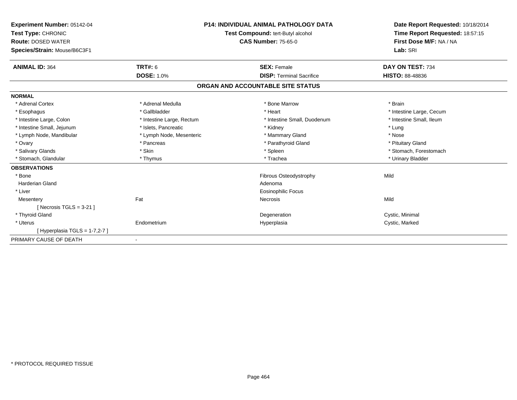| Experiment Number: 05142-04<br>Test Type: CHRONIC<br><b>Route: DOSED WATER</b><br>Species/Strain: Mouse/B6C3F1 |                           | <b>P14: INDIVIDUAL ANIMAL PATHOLOGY DATA</b><br><b>Test Compound: tert-Butyl alcohol</b><br><b>CAS Number: 75-65-0</b> | Date Report Requested: 10/18/2014<br>Time Report Requested: 18:57:15<br>First Dose M/F: NA / NA<br>Lab: SRI |
|----------------------------------------------------------------------------------------------------------------|---------------------------|------------------------------------------------------------------------------------------------------------------------|-------------------------------------------------------------------------------------------------------------|
| <b>ANIMAL ID: 364</b>                                                                                          | <b>TRT#: 6</b>            | <b>SEX: Female</b>                                                                                                     | DAY ON TEST: 734                                                                                            |
|                                                                                                                | <b>DOSE: 1.0%</b>         | <b>DISP: Terminal Sacrifice</b>                                                                                        | <b>HISTO: 88-48836</b>                                                                                      |
|                                                                                                                |                           | ORGAN AND ACCOUNTABLE SITE STATUS                                                                                      |                                                                                                             |
| <b>NORMAL</b>                                                                                                  |                           |                                                                                                                        |                                                                                                             |
| * Adrenal Cortex                                                                                               | * Adrenal Medulla         | * Bone Marrow                                                                                                          | * Brain                                                                                                     |
| * Esophagus                                                                                                    | * Gallbladder             | * Heart                                                                                                                | * Intestine Large, Cecum                                                                                    |
| * Intestine Large, Colon                                                                                       | * Intestine Large, Rectum | * Intestine Small, Duodenum                                                                                            | * Intestine Small, Ileum                                                                                    |
| * Intestine Small, Jejunum                                                                                     | * Islets, Pancreatic      | * Kidney                                                                                                               | * Lung                                                                                                      |
| * Lymph Node, Mandibular                                                                                       | * Lymph Node, Mesenteric  | * Mammary Gland                                                                                                        | * Nose                                                                                                      |
| * Ovary                                                                                                        | * Pancreas                | * Parathyroid Gland                                                                                                    | * Pituitary Gland                                                                                           |
| * Salivary Glands                                                                                              | * Skin                    | * Spleen                                                                                                               | * Stomach, Forestomach                                                                                      |
| <b>Stomach, Glandular</b>                                                                                      | * Thymus                  | * Trachea                                                                                                              | * Urinary Bladder                                                                                           |
| <b>OBSERVATIONS</b>                                                                                            |                           |                                                                                                                        |                                                                                                             |
| * Bone                                                                                                         |                           | <b>Fibrous Osteodystrophy</b>                                                                                          | Mild                                                                                                        |
| <b>Harderian Gland</b>                                                                                         |                           | Adenoma                                                                                                                |                                                                                                             |
| * Liver                                                                                                        |                           | <b>Eosinophilic Focus</b>                                                                                              |                                                                                                             |
| Mesentery                                                                                                      | Fat                       | <b>Necrosis</b>                                                                                                        | Mild                                                                                                        |
| [Necrosis TGLS = $3-21$ ]                                                                                      |                           |                                                                                                                        |                                                                                                             |
| * Thyroid Gland                                                                                                |                           | Degeneration                                                                                                           | Cystic, Minimal                                                                                             |
| * Uterus                                                                                                       | Endometrium               | Hyperplasia                                                                                                            | Cystic, Marked                                                                                              |
| [Hyperplasia TGLS = 1-7,2-7]                                                                                   |                           |                                                                                                                        |                                                                                                             |
| PRIMARY CAUSE OF DEATH                                                                                         |                           |                                                                                                                        |                                                                                                             |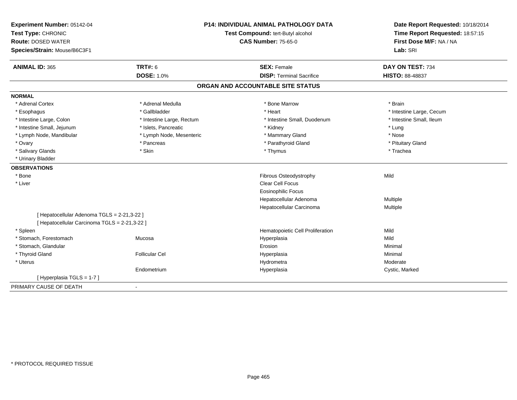| Experiment Number: 05142-04                   |                           | <b>P14: INDIVIDUAL ANIMAL PATHOLOGY DATA</b> | Date Report Requested: 10/18/2014<br>Time Report Requested: 18:57:15<br>First Dose M/F: NA / NA |
|-----------------------------------------------|---------------------------|----------------------------------------------|-------------------------------------------------------------------------------------------------|
| Test Type: CHRONIC                            |                           | Test Compound: tert-Butyl alcohol            |                                                                                                 |
| <b>Route: DOSED WATER</b>                     |                           | <b>CAS Number: 75-65-0</b>                   |                                                                                                 |
| Species/Strain: Mouse/B6C3F1                  |                           |                                              | Lab: SRI                                                                                        |
| <b>ANIMAL ID: 365</b>                         | <b>TRT#: 6</b>            | <b>SEX: Female</b>                           | DAY ON TEST: 734                                                                                |
|                                               | <b>DOSE: 1.0%</b>         | <b>DISP: Terminal Sacrifice</b>              | <b>HISTO: 88-48837</b>                                                                          |
|                                               |                           | ORGAN AND ACCOUNTABLE SITE STATUS            |                                                                                                 |
| <b>NORMAL</b>                                 |                           |                                              |                                                                                                 |
| * Adrenal Cortex                              | * Adrenal Medulla         | * Bone Marrow                                | * Brain                                                                                         |
| * Esophagus                                   | * Gallbladder             | * Heart                                      | * Intestine Large, Cecum                                                                        |
| * Intestine Large, Colon                      | * Intestine Large, Rectum | * Intestine Small, Duodenum                  | * Intestine Small, Ileum                                                                        |
| * Intestine Small, Jejunum                    | * Islets, Pancreatic      | * Kidney                                     | * Lung                                                                                          |
| * Lymph Node, Mandibular                      | * Lymph Node, Mesenteric  | * Mammary Gland                              | * Nose                                                                                          |
| * Ovary                                       | * Pancreas                | * Parathyroid Gland                          | * Pituitary Gland                                                                               |
| * Salivary Glands                             | * Skin                    | * Thymus                                     | * Trachea                                                                                       |
| * Urinary Bladder                             |                           |                                              |                                                                                                 |
| <b>OBSERVATIONS</b>                           |                           |                                              |                                                                                                 |
| * Bone                                        |                           | Fibrous Osteodystrophy                       | Mild                                                                                            |
| * Liver                                       |                           | Clear Cell Focus                             |                                                                                                 |
|                                               |                           | <b>Eosinophilic Focus</b>                    |                                                                                                 |
|                                               |                           | Hepatocellular Adenoma                       | Multiple                                                                                        |
|                                               |                           | Hepatocellular Carcinoma                     | Multiple                                                                                        |
| [ Hepatocellular Adenoma TGLS = 2-21,3-22 ]   |                           |                                              |                                                                                                 |
| [ Hepatocellular Carcinoma TGLS = 2-21,3-22 ] |                           |                                              |                                                                                                 |
| * Spleen                                      |                           | Hematopoietic Cell Proliferation             | Mild                                                                                            |
| * Stomach, Forestomach                        | Mucosa                    | Hyperplasia                                  | Mild                                                                                            |
| * Stomach, Glandular                          |                           | Erosion                                      | Minimal                                                                                         |
| * Thyroid Gland                               | <b>Follicular Cel</b>     | Hyperplasia                                  | Minimal                                                                                         |
| * Uterus                                      |                           | Hydrometra                                   | Moderate                                                                                        |
|                                               | Endometrium               | Hyperplasia                                  | Cystic, Marked                                                                                  |
| [Hyperplasia TGLS = 1-7]                      |                           |                                              |                                                                                                 |
| PRIMARY CAUSE OF DEATH                        | $\blacksquare$            |                                              |                                                                                                 |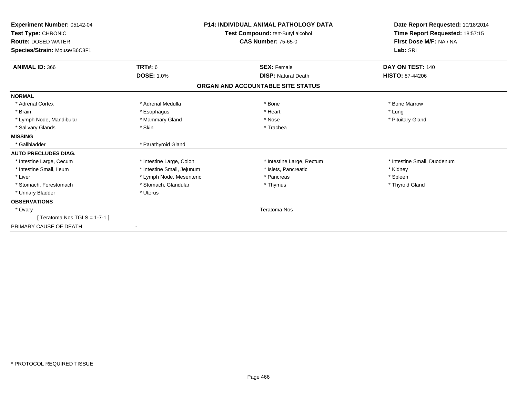| Experiment Number: 05142-04<br>Test Type: CHRONIC<br><b>Route: DOSED WATER</b><br>Species/Strain: Mouse/B6C3F1 |                            | <b>P14: INDIVIDUAL ANIMAL PATHOLOGY DATA</b><br>Test Compound: tert-Butyl alcohol<br><b>CAS Number: 75-65-0</b> | Date Report Requested: 10/18/2014<br>Time Report Requested: 18:57:15<br>First Dose M/F: NA / NA<br>Lab: SRI |
|----------------------------------------------------------------------------------------------------------------|----------------------------|-----------------------------------------------------------------------------------------------------------------|-------------------------------------------------------------------------------------------------------------|
| <b>ANIMAL ID: 366</b>                                                                                          | <b>TRT#: 6</b>             | <b>SEX: Female</b>                                                                                              | DAY ON TEST: 140                                                                                            |
|                                                                                                                | <b>DOSE: 1.0%</b>          | <b>DISP: Natural Death</b>                                                                                      | <b>HISTO: 87-44206</b>                                                                                      |
|                                                                                                                |                            | ORGAN AND ACCOUNTABLE SITE STATUS                                                                               |                                                                                                             |
| <b>NORMAL</b>                                                                                                  |                            |                                                                                                                 |                                                                                                             |
| * Adrenal Cortex                                                                                               | * Adrenal Medulla          | * Bone                                                                                                          | * Bone Marrow                                                                                               |
| * Brain                                                                                                        | * Esophagus                | * Heart                                                                                                         | * Lung                                                                                                      |
| * Lymph Node, Mandibular                                                                                       | * Mammary Gland            | * Nose                                                                                                          | * Pituitary Gland                                                                                           |
| * Salivary Glands                                                                                              | * Skin                     | * Trachea                                                                                                       |                                                                                                             |
| <b>MISSING</b>                                                                                                 |                            |                                                                                                                 |                                                                                                             |
| * Gallbladder                                                                                                  | * Parathyroid Gland        |                                                                                                                 |                                                                                                             |
| <b>AUTO PRECLUDES DIAG.</b>                                                                                    |                            |                                                                                                                 |                                                                                                             |
| * Intestine Large, Cecum                                                                                       | * Intestine Large, Colon   | * Intestine Large, Rectum                                                                                       | * Intestine Small, Duodenum                                                                                 |
| * Intestine Small, Ileum                                                                                       | * Intestine Small, Jejunum | * Islets, Pancreatic                                                                                            | * Kidney                                                                                                    |
| * Liver                                                                                                        | * Lymph Node, Mesenteric   | * Pancreas                                                                                                      | * Spleen                                                                                                    |
| * Stomach, Forestomach                                                                                         | * Stomach, Glandular       | * Thymus                                                                                                        | * Thyroid Gland                                                                                             |
| * Urinary Bladder                                                                                              | * Uterus                   |                                                                                                                 |                                                                                                             |
| <b>OBSERVATIONS</b>                                                                                            |                            |                                                                                                                 |                                                                                                             |
| * Ovary                                                                                                        |                            | <b>Teratoma Nos</b>                                                                                             |                                                                                                             |
| [ Teratoma Nos TGLS = $1-7-1$ ]                                                                                |                            |                                                                                                                 |                                                                                                             |
| PRIMARY CAUSE OF DEATH                                                                                         | $\blacksquare$             |                                                                                                                 |                                                                                                             |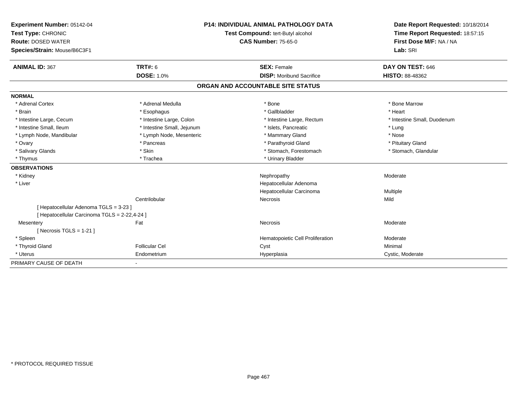| Experiment Number: 05142-04                   | <b>P14: INDIVIDUAL ANIMAL PATHOLOGY DATA</b> |                                   | Date Report Requested: 10/18/2014 |
|-----------------------------------------------|----------------------------------------------|-----------------------------------|-----------------------------------|
| Test Type: CHRONIC                            |                                              | Test Compound: tert-Butyl alcohol | Time Report Requested: 18:57:15   |
| <b>Route: DOSED WATER</b>                     |                                              | <b>CAS Number: 75-65-0</b>        | First Dose M/F: NA / NA           |
| Species/Strain: Mouse/B6C3F1                  |                                              |                                   | Lab: SRI                          |
|                                               |                                              |                                   |                                   |
| <b>ANIMAL ID: 367</b>                         | <b>TRT#: 6</b>                               | <b>SEX: Female</b>                | DAY ON TEST: 646                  |
|                                               | <b>DOSE: 1.0%</b>                            | <b>DISP:</b> Moribund Sacrifice   | HISTO: 88-48362                   |
|                                               |                                              | ORGAN AND ACCOUNTABLE SITE STATUS |                                   |
| <b>NORMAL</b>                                 |                                              |                                   |                                   |
| * Adrenal Cortex                              | * Adrenal Medulla                            | * Bone                            | * Bone Marrow                     |
| * Brain                                       | * Esophagus                                  | * Gallbladder                     | * Heart                           |
| * Intestine Large, Cecum                      | * Intestine Large, Colon                     | * Intestine Large, Rectum         | * Intestine Small, Duodenum       |
| * Intestine Small, Ileum                      | * Intestine Small, Jejunum                   | * Islets, Pancreatic              | * Lung                            |
| * Lymph Node, Mandibular                      | * Lymph Node, Mesenteric                     | * Mammary Gland                   | * Nose                            |
| * Ovary                                       | * Pancreas                                   | * Parathyroid Gland               | * Pituitary Gland                 |
| * Salivary Glands                             | * Skin                                       | * Stomach, Forestomach            | * Stomach, Glandular              |
| * Thymus                                      | * Trachea                                    | * Urinary Bladder                 |                                   |
| <b>OBSERVATIONS</b>                           |                                              |                                   |                                   |
| * Kidney                                      |                                              | Nephropathy                       | Moderate                          |
| * Liver                                       |                                              | Hepatocellular Adenoma            |                                   |
|                                               |                                              | Hepatocellular Carcinoma          | Multiple                          |
|                                               | Centrilobular                                | Necrosis                          | Mild                              |
| [ Hepatocellular Adenoma TGLS = 3-23 ]        |                                              |                                   |                                   |
| [ Hepatocellular Carcinoma TGLS = 2-22,4-24 ] |                                              |                                   |                                   |
| Mesentery                                     | Fat                                          | Necrosis                          | Moderate                          |
| [Necrosis $TGLS = 1-21$ ]                     |                                              |                                   |                                   |
| * Spleen                                      |                                              | Hematopoietic Cell Proliferation  | Moderate                          |
| * Thyroid Gland                               | <b>Follicular Cel</b>                        | Cyst                              | Minimal                           |
| * Uterus                                      | Endometrium                                  | Hyperplasia                       | Cystic, Moderate                  |
| PRIMARY CAUSE OF DEATH                        |                                              |                                   |                                   |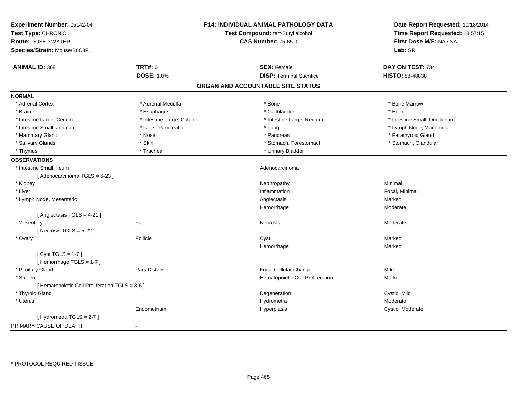| Experiment Number: 05142-04<br>Test Type: CHRONIC<br><b>Route: DOSED WATER</b><br>Species/Strain: Mouse/B6C3F1 | P14: INDIVIDUAL ANIMAL PATHOLOGY DATA<br>Test Compound: tert-Butyl alcohol<br><b>CAS Number: 75-65-0</b> |                                   | Date Report Requested: 10/18/2014<br>Time Report Requested: 18:57:15<br>First Dose M/F: NA / NA<br>Lab: SRI |
|----------------------------------------------------------------------------------------------------------------|----------------------------------------------------------------------------------------------------------|-----------------------------------|-------------------------------------------------------------------------------------------------------------|
| <b>ANIMAL ID: 368</b>                                                                                          | <b>TRT#: 6</b>                                                                                           | <b>SEX: Female</b>                | DAY ON TEST: 734                                                                                            |
|                                                                                                                | <b>DOSE: 1.0%</b>                                                                                        | <b>DISP: Terminal Sacrifice</b>   | HISTO: 88-48838                                                                                             |
|                                                                                                                |                                                                                                          | ORGAN AND ACCOUNTABLE SITE STATUS |                                                                                                             |
| <b>NORMAL</b>                                                                                                  |                                                                                                          |                                   |                                                                                                             |
| * Adrenal Cortex                                                                                               | * Adrenal Medulla                                                                                        | * Bone                            | * Bone Marrow                                                                                               |
| * Brain                                                                                                        | * Esophagus                                                                                              | * Gallbladder                     | * Heart                                                                                                     |
| * Intestine Large, Cecum                                                                                       | * Intestine Large, Colon                                                                                 | * Intestine Large, Rectum         | * Intestine Small, Duodenum                                                                                 |
| * Intestine Small, Jejunum                                                                                     | * Islets, Pancreatic                                                                                     | * Lung                            | * Lymph Node, Mandibular                                                                                    |
| * Mammary Gland                                                                                                | * Nose                                                                                                   | * Pancreas                        | * Parathyroid Gland                                                                                         |
| * Salivary Glands                                                                                              | * Skin                                                                                                   | * Stomach, Forestomach            | * Stomach, Glandular                                                                                        |
| * Thymus                                                                                                       | * Trachea                                                                                                | * Urinary Bladder                 |                                                                                                             |
| <b>OBSERVATIONS</b>                                                                                            |                                                                                                          |                                   |                                                                                                             |
| * Intestine Small, Ileum                                                                                       |                                                                                                          | Adenocarcinoma                    |                                                                                                             |
| [Adenocarcinoma TGLS = 6-23]                                                                                   |                                                                                                          |                                   |                                                                                                             |
| * Kidney                                                                                                       |                                                                                                          | Nephropathy                       | Minimal                                                                                                     |
| * Liver                                                                                                        |                                                                                                          | Inflammation                      | Focal, Minimal                                                                                              |
| * Lymph Node, Mesenteric                                                                                       |                                                                                                          | Angiectasis                       | Marked                                                                                                      |
|                                                                                                                |                                                                                                          | Hemorrhage                        | Moderate                                                                                                    |
| [ Angiectasis TGLS = 4-21 ]                                                                                    |                                                                                                          |                                   |                                                                                                             |
| Mesentery                                                                                                      | Fat                                                                                                      | Necrosis                          | Moderate                                                                                                    |
| [ Necrosis $TGLS = 5-22$ ]                                                                                     |                                                                                                          |                                   |                                                                                                             |
| * Ovary                                                                                                        | Follicle                                                                                                 | Cyst                              | Marked                                                                                                      |
|                                                                                                                |                                                                                                          | Hemorrhage                        | Marked                                                                                                      |
| [Cyst TGLS = $1-7$ ]                                                                                           |                                                                                                          |                                   |                                                                                                             |
| [Hemorrhage TGLS = 1-7]                                                                                        |                                                                                                          |                                   |                                                                                                             |
| * Pituitary Gland                                                                                              | Pars Distalis                                                                                            | Focal Cellular Change             | Mild                                                                                                        |
| * Spleen                                                                                                       |                                                                                                          | Hematopoietic Cell Proliferation  | Marked                                                                                                      |
| [ Hematopoietic Cell Proliferation TGLS = 3-6 ]                                                                |                                                                                                          |                                   |                                                                                                             |
| * Thyroid Gland                                                                                                |                                                                                                          | Degeneration                      | Cystic, Mild                                                                                                |
| * Uterus                                                                                                       |                                                                                                          | Hydrometra                        | Moderate                                                                                                    |
|                                                                                                                | Endometrium                                                                                              | Hyperplasia                       | Cystic, Moderate                                                                                            |
| [Hydrometra TGLS = 2-7]                                                                                        |                                                                                                          |                                   |                                                                                                             |
| PRIMARY CAUSE OF DEATH                                                                                         |                                                                                                          |                                   |                                                                                                             |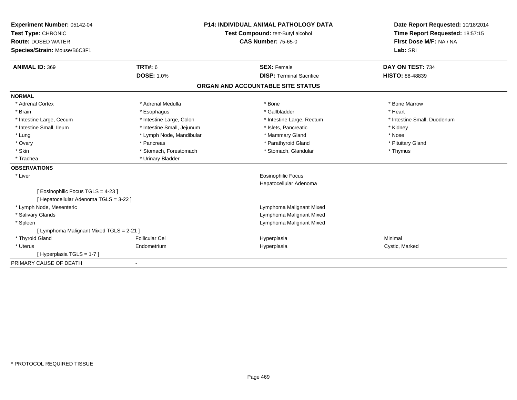| Experiment Number: 05142-04<br>Test Type: CHRONIC<br><b>Route: DOSED WATER</b> |                            | P14: INDIVIDUAL ANIMAL PATHOLOGY DATA        |  | Date Report Requested: 10/18/2014 |  |
|--------------------------------------------------------------------------------|----------------------------|----------------------------------------------|--|-----------------------------------|--|
|                                                                                |                            | Test Compound: tert-Butyl alcohol            |  | Time Report Requested: 18:57:15   |  |
|                                                                                |                            | <b>CAS Number: 75-65-0</b>                   |  | First Dose M/F: NA / NA           |  |
| Species/Strain: Mouse/B6C3F1                                                   |                            |                                              |  | Lab: SRI                          |  |
| <b>ANIMAL ID: 369</b>                                                          | <b>TRT#: 6</b>             | <b>SEX: Female</b>                           |  | DAY ON TEST: 734                  |  |
|                                                                                | <b>DOSE: 1.0%</b>          | <b>DISP: Terminal Sacrifice</b>              |  | <b>HISTO: 88-48839</b>            |  |
|                                                                                |                            | ORGAN AND ACCOUNTABLE SITE STATUS            |  |                                   |  |
| <b>NORMAL</b>                                                                  |                            |                                              |  |                                   |  |
| * Adrenal Cortex                                                               | * Adrenal Medulla          | * Bone                                       |  | * Bone Marrow                     |  |
| * Brain                                                                        | * Esophagus                | * Gallbladder                                |  | * Heart                           |  |
| * Intestine Large, Cecum                                                       | * Intestine Large, Colon   | * Intestine Large, Rectum                    |  | * Intestine Small, Duodenum       |  |
| * Intestine Small, Ileum                                                       | * Intestine Small, Jejunum | * Islets, Pancreatic                         |  | * Kidney                          |  |
| * Lung                                                                         | * Lymph Node, Mandibular   | * Mammary Gland                              |  | * Nose                            |  |
| * Ovary                                                                        | * Pancreas                 | * Parathyroid Gland                          |  | * Pituitary Gland                 |  |
| * Skin                                                                         | * Stomach, Forestomach     | * Stomach, Glandular                         |  | * Thymus                          |  |
| * Trachea                                                                      | * Urinary Bladder          |                                              |  |                                   |  |
| <b>OBSERVATIONS</b>                                                            |                            |                                              |  |                                   |  |
| * Liver                                                                        |                            | Eosinophilic Focus<br>Hepatocellular Adenoma |  |                                   |  |
| [Eosinophilic Focus TGLS = 4-23]<br>[ Hepatocellular Adenoma TGLS = 3-22 ]     |                            |                                              |  |                                   |  |
| * Lymph Node, Mesenteric                                                       |                            | Lymphoma Malignant Mixed                     |  |                                   |  |
| * Salivary Glands                                                              |                            | Lymphoma Malignant Mixed                     |  |                                   |  |
| * Spleen                                                                       |                            | Lymphoma Malignant Mixed                     |  |                                   |  |
| [ Lymphoma Malignant Mixed TGLS = 2-21 ]                                       |                            |                                              |  |                                   |  |
| * Thyroid Gland                                                                | <b>Follicular Cel</b>      | Hyperplasia                                  |  | Minimal                           |  |
| * Uterus                                                                       | Endometrium                | Hyperplasia                                  |  | Cystic, Marked                    |  |
| [Hyperplasia TGLS = 1-7]                                                       |                            |                                              |  |                                   |  |
| PRIMARY CAUSE OF DEATH                                                         | $\overline{\phantom{a}}$   |                                              |  |                                   |  |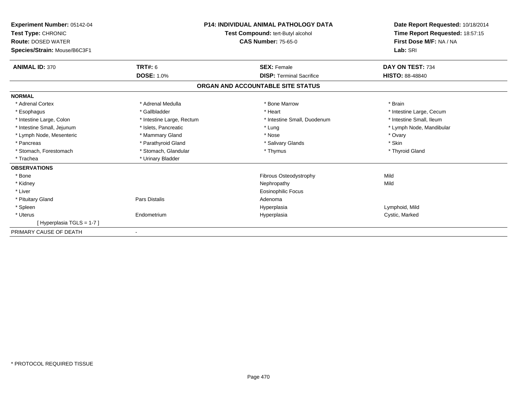| Experiment Number: 05142-04<br>Test Type: CHRONIC<br><b>Route: DOSED WATER</b><br>Species/Strain: Mouse/B6C3F1 |                           | <b>P14: INDIVIDUAL ANIMAL PATHOLOGY DATA</b><br>Test Compound: tert-Butyl alcohol<br><b>CAS Number: 75-65-0</b> | Date Report Requested: 10/18/2014<br>Time Report Requested: 18:57:15<br>First Dose M/F: NA / NA<br>Lab: SRI |
|----------------------------------------------------------------------------------------------------------------|---------------------------|-----------------------------------------------------------------------------------------------------------------|-------------------------------------------------------------------------------------------------------------|
| <b>ANIMAL ID: 370</b>                                                                                          | TRT#: 6                   | <b>SEX: Female</b>                                                                                              | DAY ON TEST: 734                                                                                            |
|                                                                                                                | <b>DOSE: 1.0%</b>         | <b>DISP: Terminal Sacrifice</b>                                                                                 | <b>HISTO: 88-48840</b>                                                                                      |
|                                                                                                                |                           | ORGAN AND ACCOUNTABLE SITE STATUS                                                                               |                                                                                                             |
| <b>NORMAL</b>                                                                                                  |                           |                                                                                                                 |                                                                                                             |
| * Adrenal Cortex                                                                                               | * Adrenal Medulla         | * Bone Marrow                                                                                                   | * Brain                                                                                                     |
| * Esophagus                                                                                                    | * Gallbladder             | * Heart                                                                                                         | * Intestine Large, Cecum                                                                                    |
| * Intestine Large, Colon                                                                                       | * Intestine Large, Rectum | * Intestine Small, Duodenum                                                                                     | * Intestine Small, Ileum                                                                                    |
| * Intestine Small, Jejunum                                                                                     | * Islets, Pancreatic      | * Lung                                                                                                          | * Lymph Node, Mandibular                                                                                    |
| * Lymph Node, Mesenteric                                                                                       | * Mammary Gland           | * Nose                                                                                                          | * Ovary                                                                                                     |
| * Pancreas                                                                                                     | * Parathyroid Gland       | * Salivary Glands                                                                                               | * Skin                                                                                                      |
| * Stomach, Forestomach                                                                                         | * Stomach, Glandular      | * Thymus                                                                                                        | * Thyroid Gland                                                                                             |
| * Trachea                                                                                                      | * Urinary Bladder         |                                                                                                                 |                                                                                                             |
| <b>OBSERVATIONS</b>                                                                                            |                           |                                                                                                                 |                                                                                                             |
| * Bone                                                                                                         |                           | Fibrous Osteodystrophy                                                                                          | Mild                                                                                                        |
| * Kidney                                                                                                       |                           | Nephropathy                                                                                                     | Mild                                                                                                        |
| * Liver                                                                                                        |                           | Eosinophilic Focus                                                                                              |                                                                                                             |
| * Pituitary Gland                                                                                              | <b>Pars Distalis</b>      | Adenoma                                                                                                         |                                                                                                             |
| * Spleen                                                                                                       |                           | Hyperplasia                                                                                                     | Lymphoid, Mild                                                                                              |
| * Uterus                                                                                                       | Endometrium               | Hyperplasia                                                                                                     | Cystic, Marked                                                                                              |
| [Hyperplasia TGLS = 1-7]                                                                                       |                           |                                                                                                                 |                                                                                                             |
| PRIMARY CAUSE OF DEATH                                                                                         |                           |                                                                                                                 |                                                                                                             |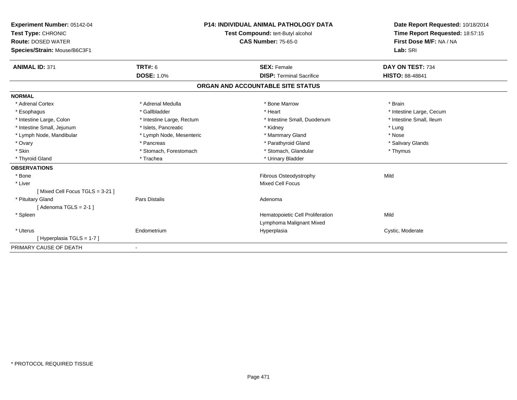| Experiment Number: 05142-04<br>Test Type: CHRONIC<br><b>Route: DOSED WATER</b><br>Species/Strain: Mouse/B6C3F1 |                           | <b>P14: INDIVIDUAL ANIMAL PATHOLOGY DATA</b><br>Test Compound: tert-Butyl alcohol<br><b>CAS Number: 75-65-0</b> | Date Report Requested: 10/18/2014<br>Time Report Requested: 18:57:15<br>First Dose M/F: NA / NA<br>Lab: SRI |  |
|----------------------------------------------------------------------------------------------------------------|---------------------------|-----------------------------------------------------------------------------------------------------------------|-------------------------------------------------------------------------------------------------------------|--|
| <b>ANIMAL ID: 371</b>                                                                                          | <b>TRT#: 6</b>            | <b>SEX: Female</b>                                                                                              | DAY ON TEST: 734                                                                                            |  |
|                                                                                                                | <b>DOSE: 1.0%</b>         | <b>DISP: Terminal Sacrifice</b>                                                                                 | <b>HISTO: 88-48841</b>                                                                                      |  |
|                                                                                                                |                           | ORGAN AND ACCOUNTABLE SITE STATUS                                                                               |                                                                                                             |  |
| <b>NORMAL</b>                                                                                                  |                           |                                                                                                                 |                                                                                                             |  |
| * Adrenal Cortex                                                                                               | * Adrenal Medulla         | * Bone Marrow                                                                                                   | * Brain                                                                                                     |  |
| * Esophagus                                                                                                    | * Gallbladder             | * Heart                                                                                                         | * Intestine Large, Cecum                                                                                    |  |
| * Intestine Large, Colon                                                                                       | * Intestine Large, Rectum | * Intestine Small, Duodenum                                                                                     | * Intestine Small, Ileum                                                                                    |  |
| * Intestine Small, Jejunum                                                                                     | * Islets, Pancreatic      | * Kidney                                                                                                        | * Lung                                                                                                      |  |
| * Lymph Node, Mandibular                                                                                       | * Lymph Node, Mesenteric  | * Mammary Gland                                                                                                 | * Nose                                                                                                      |  |
| * Ovary                                                                                                        | * Pancreas                | * Parathyroid Gland                                                                                             | * Salivary Glands                                                                                           |  |
| * Skin                                                                                                         | * Stomach, Forestomach    | * Stomach, Glandular                                                                                            | * Thymus                                                                                                    |  |
| * Thyroid Gland                                                                                                | * Trachea                 | * Urinary Bladder                                                                                               |                                                                                                             |  |
| <b>OBSERVATIONS</b>                                                                                            |                           |                                                                                                                 |                                                                                                             |  |
| * Bone                                                                                                         |                           | Fibrous Osteodystrophy                                                                                          | Mild                                                                                                        |  |
| * Liver                                                                                                        |                           | Mixed Cell Focus                                                                                                |                                                                                                             |  |
| [Mixed Cell Focus TGLS = 3-21]                                                                                 |                           |                                                                                                                 |                                                                                                             |  |
| * Pituitary Gland                                                                                              | <b>Pars Distalis</b>      | Adenoma                                                                                                         |                                                                                                             |  |
| [Adenoma TGLS = $2-1$ ]                                                                                        |                           |                                                                                                                 |                                                                                                             |  |
| * Spleen                                                                                                       |                           | Hematopoietic Cell Proliferation                                                                                | Mild                                                                                                        |  |
|                                                                                                                |                           | Lymphoma Malignant Mixed                                                                                        |                                                                                                             |  |
| * Uterus                                                                                                       | Endometrium               | Hyperplasia                                                                                                     | Cystic, Moderate                                                                                            |  |
| [Hyperplasia TGLS = 1-7]                                                                                       |                           |                                                                                                                 |                                                                                                             |  |
| PRIMARY CAUSE OF DEATH                                                                                         |                           |                                                                                                                 |                                                                                                             |  |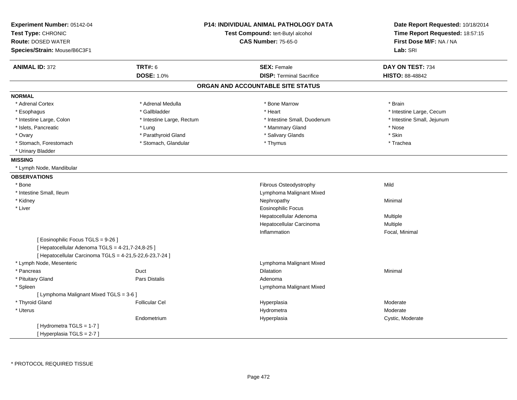| Experiment Number: 05142-04                             |                           | <b>P14: INDIVIDUAL ANIMAL PATHOLOGY DATA</b> | Date Report Requested: 10/18/2014 |
|---------------------------------------------------------|---------------------------|----------------------------------------------|-----------------------------------|
| Test Type: CHRONIC                                      |                           | Test Compound: tert-Butyl alcohol            | Time Report Requested: 18:57:15   |
| <b>Route: DOSED WATER</b>                               |                           | <b>CAS Number: 75-65-0</b>                   | First Dose M/F: NA / NA           |
| Species/Strain: Mouse/B6C3F1                            |                           |                                              | Lab: SRI                          |
| <b>ANIMAL ID: 372</b>                                   | <b>TRT#: 6</b>            | <b>SEX: Female</b>                           | DAY ON TEST: 734                  |
|                                                         | <b>DOSE: 1.0%</b>         | <b>DISP: Terminal Sacrifice</b>              | HISTO: 88-48842                   |
|                                                         |                           | ORGAN AND ACCOUNTABLE SITE STATUS            |                                   |
| <b>NORMAL</b>                                           |                           |                                              |                                   |
| * Adrenal Cortex                                        | * Adrenal Medulla         | * Bone Marrow                                | * Brain                           |
| * Esophagus                                             | * Gallbladder             | * Heart                                      | * Intestine Large, Cecum          |
| * Intestine Large, Colon                                | * Intestine Large, Rectum | * Intestine Small, Duodenum                  | * Intestine Small, Jejunum        |
| * Islets, Pancreatic                                    | * Lung                    | * Mammary Gland                              | * Nose                            |
| * Ovary                                                 | * Parathyroid Gland       | * Salivary Glands                            | * Skin                            |
| * Stomach, Forestomach                                  | * Stomach, Glandular      | * Thymus                                     | * Trachea                         |
| * Urinary Bladder                                       |                           |                                              |                                   |
| <b>MISSING</b>                                          |                           |                                              |                                   |
| * Lymph Node, Mandibular                                |                           |                                              |                                   |
| <b>OBSERVATIONS</b>                                     |                           |                                              |                                   |
| * Bone                                                  |                           | Fibrous Osteodystrophy                       | Mild                              |
| * Intestine Small, Ileum                                |                           | Lymphoma Malignant Mixed                     |                                   |
| * Kidney                                                |                           | Nephropathy                                  | Minimal                           |
| * Liver                                                 |                           | <b>Eosinophilic Focus</b>                    |                                   |
|                                                         |                           | Hepatocellular Adenoma                       | Multiple                          |
|                                                         |                           | Hepatocellular Carcinoma                     | Multiple                          |
|                                                         |                           | Inflammation                                 | Focal, Minimal                    |
| [ Eosinophilic Focus TGLS = 9-26 ]                      |                           |                                              |                                   |
| [ Hepatocellular Adenoma TGLS = 4-21,7-24,8-25 ]        |                           |                                              |                                   |
| [ Hepatocellular Carcinoma TGLS = 4-21,5-22,6-23,7-24 ] |                           |                                              |                                   |
| * Lymph Node, Mesenteric                                |                           | Lymphoma Malignant Mixed                     |                                   |
| * Pancreas                                              | Duct                      | <b>Dilatation</b>                            | Minimal                           |
| * Pituitary Gland                                       | <b>Pars Distalis</b>      | Adenoma                                      |                                   |
| * Spleen                                                |                           | Lymphoma Malignant Mixed                     |                                   |
| [ Lymphoma Malignant Mixed TGLS = 3-6 ]                 |                           |                                              |                                   |
| * Thyroid Gland                                         | <b>Follicular Cel</b>     | Hyperplasia                                  | Moderate                          |
| $^\star$ Uterus                                         |                           | Hydrometra                                   | Moderate                          |
|                                                         | Endometrium               | Hyperplasia                                  | Cystic, Moderate                  |
| [Hydrometra TGLS = 1-7]                                 |                           |                                              |                                   |
| [Hyperplasia TGLS = 2-7]                                |                           |                                              |                                   |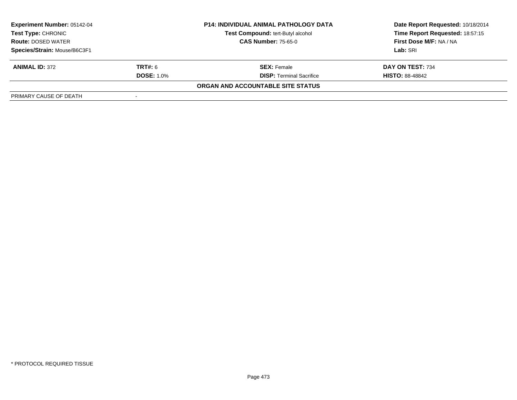| <b>Experiment Number: 05142-04</b> |                   | <b>P14: INDIVIDUAL ANIMAL PATHOLOGY DATA</b> | Date Report Requested: 10/18/2014 |
|------------------------------------|-------------------|----------------------------------------------|-----------------------------------|
| Test Type: CHRONIC                 |                   | Test Compound: tert-Butyl alcohol            | Time Report Requested: 18:57:15   |
| <b>Route: DOSED WATER</b>          |                   | <b>CAS Number: 75-65-0</b>                   | First Dose M/F: NA / NA           |
| Species/Strain: Mouse/B6C3F1       |                   |                                              | Lab: SRI                          |
| <b>ANIMAL ID: 372</b>              | <b>TRT#:</b> 6    | <b>SEX:</b> Female                           | DAY ON TEST: 734                  |
|                                    | <b>DOSE: 1.0%</b> | <b>DISP: Terminal Sacrifice</b>              | <b>HISTO: 88-48842</b>            |
|                                    |                   | ORGAN AND ACCOUNTABLE SITE STATUS            |                                   |
| PRIMARY CAUSE OF DEATH             |                   |                                              |                                   |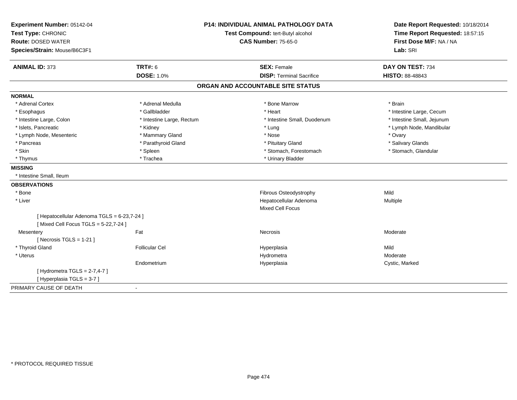| Test Compound: tert-Butyl alcohol<br>Time Report Requested: 18:57:15<br><b>CAS Number: 75-65-0</b><br>First Dose M/F: NA / NA<br>Lab: SRI<br><b>TRT#: 6</b><br>DAY ON TEST: 734<br><b>ANIMAL ID: 373</b><br><b>SEX: Female</b><br><b>DOSE: 1.0%</b><br><b>DISP: Terminal Sacrifice</b><br><b>HISTO: 88-48843</b><br>ORGAN AND ACCOUNTABLE SITE STATUS<br>* Adrenal Cortex<br>* Adrenal Medulla<br>* Bone Marrow<br>* Brain<br>* Gallbladder<br>* Intestine Large, Cecum<br>* Heart<br>* Esophagus<br>* Intestine Large, Colon<br>* Intestine Large, Rectum<br>* Intestine Small, Duodenum<br>* Intestine Small, Jejunum<br>* Islets, Pancreatic<br>* Lung<br>* Lymph Node, Mandibular<br>* Kidney<br>* Lymph Node, Mesenteric<br>* Mammary Gland<br>* Nose<br>* Ovary<br>* Parathyroid Gland<br>* Salivary Glands<br>* Pancreas<br>* Pituitary Gland<br>* Skin<br>* Spleen<br>* Stomach, Forestomach<br>* Stomach, Glandular<br>* Urinary Bladder<br>* Trachea<br>* Thymus<br>* Intestine Small, Ileum<br>Fibrous Osteodystrophy<br>Mild<br>* Bone<br>Hepatocellular Adenoma<br>* Liver<br>Multiple<br><b>Mixed Cell Focus</b><br>[ Hepatocellular Adenoma TGLS = 6-23,7-24 ]<br>[Mixed Cell Focus TGLS = 5-22,7-24]<br>Fat<br>Moderate<br>Necrosis<br>Mesentery<br>[Necrosis TGLS = $1-21$ ]<br>* Thyroid Gland<br>Mild<br><b>Follicular Cel</b><br>Hyperplasia<br>* Uterus<br>Moderate<br>Hydrometra<br>Endometrium<br>Hyperplasia<br>Cystic, Marked<br>[Hydrometra TGLS = $2-7,4-7$ ]<br>[Hyperplasia TGLS = 3-7]<br>÷, | Experiment Number: 05142-04  | <b>P14: INDIVIDUAL ANIMAL PATHOLOGY DATA</b> | Date Report Requested: 10/18/2014 |  |
|----------------------------------------------------------------------------------------------------------------------------------------------------------------------------------------------------------------------------------------------------------------------------------------------------------------------------------------------------------------------------------------------------------------------------------------------------------------------------------------------------------------------------------------------------------------------------------------------------------------------------------------------------------------------------------------------------------------------------------------------------------------------------------------------------------------------------------------------------------------------------------------------------------------------------------------------------------------------------------------------------------------------------------------------------------------------------------------------------------------------------------------------------------------------------------------------------------------------------------------------------------------------------------------------------------------------------------------------------------------------------------------------------------------------------------------------------------------------------------------------------------------------------|------------------------------|----------------------------------------------|-----------------------------------|--|
|                                                                                                                                                                                                                                                                                                                                                                                                                                                                                                                                                                                                                                                                                                                                                                                                                                                                                                                                                                                                                                                                                                                                                                                                                                                                                                                                                                                                                                                                                                                            | Test Type: CHRONIC           |                                              |                                   |  |
|                                                                                                                                                                                                                                                                                                                                                                                                                                                                                                                                                                                                                                                                                                                                                                                                                                                                                                                                                                                                                                                                                                                                                                                                                                                                                                                                                                                                                                                                                                                            | <b>Route: DOSED WATER</b>    |                                              |                                   |  |
|                                                                                                                                                                                                                                                                                                                                                                                                                                                                                                                                                                                                                                                                                                                                                                                                                                                                                                                                                                                                                                                                                                                                                                                                                                                                                                                                                                                                                                                                                                                            | Species/Strain: Mouse/B6C3F1 |                                              |                                   |  |
|                                                                                                                                                                                                                                                                                                                                                                                                                                                                                                                                                                                                                                                                                                                                                                                                                                                                                                                                                                                                                                                                                                                                                                                                                                                                                                                                                                                                                                                                                                                            |                              |                                              |                                   |  |
|                                                                                                                                                                                                                                                                                                                                                                                                                                                                                                                                                                                                                                                                                                                                                                                                                                                                                                                                                                                                                                                                                                                                                                                                                                                                                                                                                                                                                                                                                                                            |                              |                                              |                                   |  |
|                                                                                                                                                                                                                                                                                                                                                                                                                                                                                                                                                                                                                                                                                                                                                                                                                                                                                                                                                                                                                                                                                                                                                                                                                                                                                                                                                                                                                                                                                                                            |                              |                                              |                                   |  |
|                                                                                                                                                                                                                                                                                                                                                                                                                                                                                                                                                                                                                                                                                                                                                                                                                                                                                                                                                                                                                                                                                                                                                                                                                                                                                                                                                                                                                                                                                                                            | <b>NORMAL</b>                |                                              |                                   |  |
|                                                                                                                                                                                                                                                                                                                                                                                                                                                                                                                                                                                                                                                                                                                                                                                                                                                                                                                                                                                                                                                                                                                                                                                                                                                                                                                                                                                                                                                                                                                            |                              |                                              |                                   |  |
|                                                                                                                                                                                                                                                                                                                                                                                                                                                                                                                                                                                                                                                                                                                                                                                                                                                                                                                                                                                                                                                                                                                                                                                                                                                                                                                                                                                                                                                                                                                            |                              |                                              |                                   |  |
|                                                                                                                                                                                                                                                                                                                                                                                                                                                                                                                                                                                                                                                                                                                                                                                                                                                                                                                                                                                                                                                                                                                                                                                                                                                                                                                                                                                                                                                                                                                            |                              |                                              |                                   |  |
|                                                                                                                                                                                                                                                                                                                                                                                                                                                                                                                                                                                                                                                                                                                                                                                                                                                                                                                                                                                                                                                                                                                                                                                                                                                                                                                                                                                                                                                                                                                            |                              |                                              |                                   |  |
|                                                                                                                                                                                                                                                                                                                                                                                                                                                                                                                                                                                                                                                                                                                                                                                                                                                                                                                                                                                                                                                                                                                                                                                                                                                                                                                                                                                                                                                                                                                            |                              |                                              |                                   |  |
|                                                                                                                                                                                                                                                                                                                                                                                                                                                                                                                                                                                                                                                                                                                                                                                                                                                                                                                                                                                                                                                                                                                                                                                                                                                                                                                                                                                                                                                                                                                            |                              |                                              |                                   |  |
|                                                                                                                                                                                                                                                                                                                                                                                                                                                                                                                                                                                                                                                                                                                                                                                                                                                                                                                                                                                                                                                                                                                                                                                                                                                                                                                                                                                                                                                                                                                            |                              |                                              |                                   |  |
|                                                                                                                                                                                                                                                                                                                                                                                                                                                                                                                                                                                                                                                                                                                                                                                                                                                                                                                                                                                                                                                                                                                                                                                                                                                                                                                                                                                                                                                                                                                            |                              |                                              |                                   |  |
|                                                                                                                                                                                                                                                                                                                                                                                                                                                                                                                                                                                                                                                                                                                                                                                                                                                                                                                                                                                                                                                                                                                                                                                                                                                                                                                                                                                                                                                                                                                            | <b>MISSING</b>               |                                              |                                   |  |
|                                                                                                                                                                                                                                                                                                                                                                                                                                                                                                                                                                                                                                                                                                                                                                                                                                                                                                                                                                                                                                                                                                                                                                                                                                                                                                                                                                                                                                                                                                                            |                              |                                              |                                   |  |
|                                                                                                                                                                                                                                                                                                                                                                                                                                                                                                                                                                                                                                                                                                                                                                                                                                                                                                                                                                                                                                                                                                                                                                                                                                                                                                                                                                                                                                                                                                                            | <b>OBSERVATIONS</b>          |                                              |                                   |  |
|                                                                                                                                                                                                                                                                                                                                                                                                                                                                                                                                                                                                                                                                                                                                                                                                                                                                                                                                                                                                                                                                                                                                                                                                                                                                                                                                                                                                                                                                                                                            |                              |                                              |                                   |  |
|                                                                                                                                                                                                                                                                                                                                                                                                                                                                                                                                                                                                                                                                                                                                                                                                                                                                                                                                                                                                                                                                                                                                                                                                                                                                                                                                                                                                                                                                                                                            |                              |                                              |                                   |  |
|                                                                                                                                                                                                                                                                                                                                                                                                                                                                                                                                                                                                                                                                                                                                                                                                                                                                                                                                                                                                                                                                                                                                                                                                                                                                                                                                                                                                                                                                                                                            |                              |                                              |                                   |  |
|                                                                                                                                                                                                                                                                                                                                                                                                                                                                                                                                                                                                                                                                                                                                                                                                                                                                                                                                                                                                                                                                                                                                                                                                                                                                                                                                                                                                                                                                                                                            |                              |                                              |                                   |  |
|                                                                                                                                                                                                                                                                                                                                                                                                                                                                                                                                                                                                                                                                                                                                                                                                                                                                                                                                                                                                                                                                                                                                                                                                                                                                                                                                                                                                                                                                                                                            |                              |                                              |                                   |  |
|                                                                                                                                                                                                                                                                                                                                                                                                                                                                                                                                                                                                                                                                                                                                                                                                                                                                                                                                                                                                                                                                                                                                                                                                                                                                                                                                                                                                                                                                                                                            |                              |                                              |                                   |  |
|                                                                                                                                                                                                                                                                                                                                                                                                                                                                                                                                                                                                                                                                                                                                                                                                                                                                                                                                                                                                                                                                                                                                                                                                                                                                                                                                                                                                                                                                                                                            |                              |                                              |                                   |  |
|                                                                                                                                                                                                                                                                                                                                                                                                                                                                                                                                                                                                                                                                                                                                                                                                                                                                                                                                                                                                                                                                                                                                                                                                                                                                                                                                                                                                                                                                                                                            |                              |                                              |                                   |  |
|                                                                                                                                                                                                                                                                                                                                                                                                                                                                                                                                                                                                                                                                                                                                                                                                                                                                                                                                                                                                                                                                                                                                                                                                                                                                                                                                                                                                                                                                                                                            |                              |                                              |                                   |  |
|                                                                                                                                                                                                                                                                                                                                                                                                                                                                                                                                                                                                                                                                                                                                                                                                                                                                                                                                                                                                                                                                                                                                                                                                                                                                                                                                                                                                                                                                                                                            |                              |                                              |                                   |  |
|                                                                                                                                                                                                                                                                                                                                                                                                                                                                                                                                                                                                                                                                                                                                                                                                                                                                                                                                                                                                                                                                                                                                                                                                                                                                                                                                                                                                                                                                                                                            |                              |                                              |                                   |  |
|                                                                                                                                                                                                                                                                                                                                                                                                                                                                                                                                                                                                                                                                                                                                                                                                                                                                                                                                                                                                                                                                                                                                                                                                                                                                                                                                                                                                                                                                                                                            | PRIMARY CAUSE OF DEATH       |                                              |                                   |  |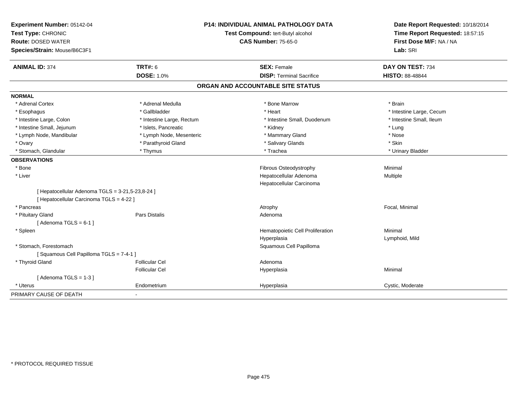| Experiment Number: 05142-04                      |                           | <b>P14: INDIVIDUAL ANIMAL PATHOLOGY DATA</b> | Date Report Requested: 10/18/2014 |  |
|--------------------------------------------------|---------------------------|----------------------------------------------|-----------------------------------|--|
| Test Type: CHRONIC                               |                           | Test Compound: tert-Butyl alcohol            | Time Report Requested: 18:57:15   |  |
| <b>Route: DOSED WATER</b>                        |                           | <b>CAS Number: 75-65-0</b>                   | First Dose M/F: NA / NA           |  |
| Species/Strain: Mouse/B6C3F1                     |                           |                                              | Lab: SRI                          |  |
| <b>ANIMAL ID: 374</b>                            | <b>TRT#: 6</b>            | <b>SEX: Female</b>                           | DAY ON TEST: 734                  |  |
|                                                  | <b>DOSE: 1.0%</b>         | <b>DISP: Terminal Sacrifice</b>              | HISTO: 88-48844                   |  |
|                                                  |                           | ORGAN AND ACCOUNTABLE SITE STATUS            |                                   |  |
| <b>NORMAL</b>                                    |                           |                                              |                                   |  |
| * Adrenal Cortex                                 | * Adrenal Medulla         | * Bone Marrow                                | * Brain                           |  |
| * Esophagus                                      | * Gallbladder             | * Heart                                      | * Intestine Large, Cecum          |  |
| * Intestine Large, Colon                         | * Intestine Large, Rectum | * Intestine Small, Duodenum                  | * Intestine Small, Ileum          |  |
| * Intestine Small, Jejunum                       | * Islets, Pancreatic      | * Kidney                                     | * Lung                            |  |
| * Lymph Node, Mandibular                         | * Lymph Node, Mesenteric  | * Mammary Gland                              | * Nose                            |  |
| * Ovary                                          | * Parathyroid Gland       | * Salivary Glands                            | * Skin                            |  |
| * Stomach, Glandular                             | * Thymus                  | * Trachea                                    | * Urinary Bladder                 |  |
| <b>OBSERVATIONS</b>                              |                           |                                              |                                   |  |
| * Bone                                           |                           | Fibrous Osteodystrophy                       | Minimal                           |  |
| * Liver                                          |                           | Hepatocellular Adenoma                       | Multiple                          |  |
|                                                  |                           | Hepatocellular Carcinoma                     |                                   |  |
| [ Hepatocellular Adenoma TGLS = 3-21,5-23,8-24 ] |                           |                                              |                                   |  |
| [ Hepatocellular Carcinoma TGLS = 4-22 ]         |                           |                                              |                                   |  |
| * Pancreas                                       |                           | Atrophy                                      | Focal, Minimal                    |  |
| * Pituitary Gland                                | <b>Pars Distalis</b>      | Adenoma                                      |                                   |  |
| [Adenoma TGLS = $6-1$ ]                          |                           |                                              |                                   |  |
| * Spleen                                         |                           | Hematopoietic Cell Proliferation             | Minimal                           |  |
|                                                  |                           | Hyperplasia                                  | Lymphoid, Mild                    |  |
| * Stomach, Forestomach                           |                           | Squamous Cell Papilloma                      |                                   |  |
| [Squamous Cell Papilloma TGLS = 7-4-1]           |                           |                                              |                                   |  |
| * Thyroid Gland                                  | <b>Follicular Cel</b>     | Adenoma                                      |                                   |  |
|                                                  | <b>Follicular Cel</b>     | Hyperplasia                                  | Minimal                           |  |
| [Adenoma TGLS = $1-3$ ]                          |                           |                                              |                                   |  |
| * Uterus                                         | Endometrium               | Hyperplasia                                  | Cystic, Moderate                  |  |
| PRIMARY CAUSE OF DEATH                           | $\blacksquare$            |                                              |                                   |  |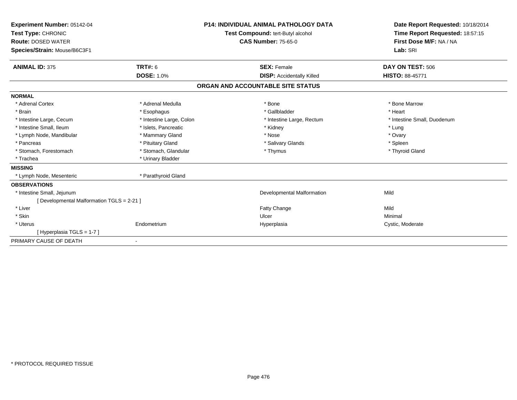| Experiment Number: 05142-04<br>Test Type: CHRONIC<br><b>Route: DOSED WATER</b><br>Species/Strain: Mouse/B6C3F1 | <b>P14: INDIVIDUAL ANIMAL PATHOLOGY DATA</b><br>Test Compound: tert-Butyl alcohol<br><b>CAS Number: 75-65-0</b> |                                   | Date Report Requested: 10/18/2014<br>Time Report Requested: 18:57:15<br>First Dose M/F: NA / NA<br>Lab: SRI |  |
|----------------------------------------------------------------------------------------------------------------|-----------------------------------------------------------------------------------------------------------------|-----------------------------------|-------------------------------------------------------------------------------------------------------------|--|
| <b>ANIMAL ID: 375</b>                                                                                          | <b>TRT#: 6</b>                                                                                                  | <b>SEX: Female</b>                | DAY ON TEST: 506                                                                                            |  |
|                                                                                                                | <b>DOSE: 1.0%</b>                                                                                               | <b>DISP:</b> Accidentally Killed  | <b>HISTO: 88-45771</b>                                                                                      |  |
|                                                                                                                |                                                                                                                 | ORGAN AND ACCOUNTABLE SITE STATUS |                                                                                                             |  |
| <b>NORMAL</b>                                                                                                  |                                                                                                                 |                                   |                                                                                                             |  |
| * Adrenal Cortex                                                                                               | * Adrenal Medulla                                                                                               | * Bone                            | * Bone Marrow                                                                                               |  |
| * Brain                                                                                                        | * Esophagus                                                                                                     | * Gallbladder                     | * Heart                                                                                                     |  |
| * Intestine Large, Cecum                                                                                       | * Intestine Large, Colon                                                                                        | * Intestine Large, Rectum         | * Intestine Small, Duodenum                                                                                 |  |
| * Intestine Small, Ileum                                                                                       | * Islets, Pancreatic                                                                                            | * Kidney                          | * Lung                                                                                                      |  |
| * Lymph Node, Mandibular                                                                                       | * Mammary Gland                                                                                                 | * Nose                            | * Ovary                                                                                                     |  |
| * Pancreas                                                                                                     | * Pituitary Gland                                                                                               | * Salivary Glands                 | * Spleen                                                                                                    |  |
| * Stomach, Forestomach                                                                                         | * Stomach, Glandular                                                                                            | * Thymus                          | * Thyroid Gland                                                                                             |  |
| * Trachea                                                                                                      | * Urinary Bladder                                                                                               |                                   |                                                                                                             |  |
| <b>MISSING</b>                                                                                                 |                                                                                                                 |                                   |                                                                                                             |  |
| * Lymph Node, Mesenteric                                                                                       | * Parathyroid Gland                                                                                             |                                   |                                                                                                             |  |
| <b>OBSERVATIONS</b>                                                                                            |                                                                                                                 |                                   |                                                                                                             |  |
| * Intestine Small, Jejunum                                                                                     |                                                                                                                 | Developmental Malformation        | Mild                                                                                                        |  |
| [Developmental Malformation TGLS = 2-21]                                                                       |                                                                                                                 |                                   |                                                                                                             |  |
| * Liver                                                                                                        |                                                                                                                 | <b>Fatty Change</b>               | Mild                                                                                                        |  |
| * Skin                                                                                                         |                                                                                                                 | Ulcer                             | Minimal                                                                                                     |  |
| * Uterus                                                                                                       | Endometrium                                                                                                     | Hyperplasia                       | Cystic, Moderate                                                                                            |  |
| [Hyperplasia TGLS = 1-7]                                                                                       |                                                                                                                 |                                   |                                                                                                             |  |
| PRIMARY CAUSE OF DEATH                                                                                         | $\blacksquare$                                                                                                  |                                   |                                                                                                             |  |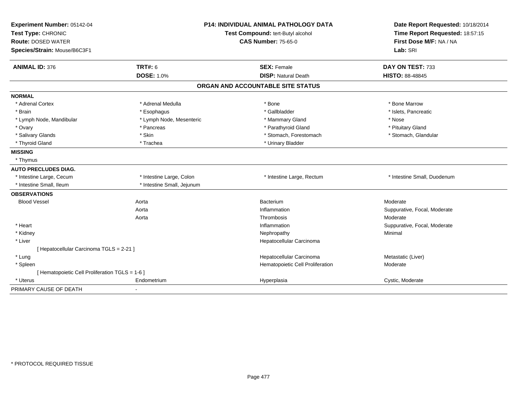| Experiment Number: 05142-04                     | <b>P14: INDIVIDUAL ANIMAL PATHOLOGY DATA</b> |                                   | Date Report Requested: 10/18/2014 |  |
|-------------------------------------------------|----------------------------------------------|-----------------------------------|-----------------------------------|--|
| Test Type: CHRONIC                              |                                              | Test Compound: tert-Butyl alcohol | Time Report Requested: 18:57:15   |  |
| <b>Route: DOSED WATER</b>                       |                                              | <b>CAS Number: 75-65-0</b>        | First Dose M/F: NA / NA           |  |
| Species/Strain: Mouse/B6C3F1                    |                                              |                                   | Lab: SRI                          |  |
| <b>ANIMAL ID: 376</b>                           | <b>TRT#: 6</b>                               | <b>SEX: Female</b>                | DAY ON TEST: 733                  |  |
|                                                 | <b>DOSE: 1.0%</b>                            | <b>DISP: Natural Death</b>        | <b>HISTO: 88-48845</b>            |  |
|                                                 |                                              | ORGAN AND ACCOUNTABLE SITE STATUS |                                   |  |
| <b>NORMAL</b>                                   |                                              |                                   |                                   |  |
| * Adrenal Cortex                                | * Adrenal Medulla                            | * Bone                            | * Bone Marrow                     |  |
| * Brain                                         | * Esophagus                                  | * Gallbladder                     | * Islets, Pancreatic              |  |
| * Lymph Node, Mandibular                        | * Lymph Node, Mesenteric                     | * Mammary Gland                   | * Nose                            |  |
| * Ovary                                         | * Pancreas                                   | * Parathyroid Gland               | * Pituitary Gland                 |  |
| * Salivary Glands                               | * Skin                                       | * Stomach, Forestomach            | * Stomach, Glandular              |  |
| * Thyroid Gland                                 | * Trachea                                    | * Urinary Bladder                 |                                   |  |
| <b>MISSING</b>                                  |                                              |                                   |                                   |  |
| * Thymus                                        |                                              |                                   |                                   |  |
| <b>AUTO PRECLUDES DIAG.</b>                     |                                              |                                   |                                   |  |
| * Intestine Large, Cecum                        | * Intestine Large, Colon                     | * Intestine Large, Rectum         | * Intestine Small, Duodenum       |  |
| * Intestine Small, Ileum                        | * Intestine Small, Jejunum                   |                                   |                                   |  |
| <b>OBSERVATIONS</b>                             |                                              |                                   |                                   |  |
| <b>Blood Vessel</b>                             | Aorta                                        | Bacterium                         | Moderate                          |  |
|                                                 | Aorta                                        | Inflammation                      | Suppurative, Focal, Moderate      |  |
|                                                 | Aorta                                        | Thrombosis                        | Moderate                          |  |
| * Heart                                         |                                              | Inflammation                      | Suppurative, Focal, Moderate      |  |
| * Kidney                                        |                                              | Nephropathy                       | Minimal                           |  |
| * Liver                                         |                                              | Hepatocellular Carcinoma          |                                   |  |
| [ Hepatocellular Carcinoma TGLS = 2-21 ]        |                                              |                                   |                                   |  |
| * Lung                                          |                                              | Hepatocellular Carcinoma          | Metastatic (Liver)                |  |
| * Spleen                                        |                                              | Hematopoietic Cell Proliferation  | Moderate                          |  |
| [ Hematopoietic Cell Proliferation TGLS = 1-6 ] |                                              |                                   |                                   |  |
| * Uterus                                        | Endometrium                                  | Hyperplasia                       | Cystic, Moderate                  |  |
| PRIMARY CAUSE OF DEATH                          | $\blacksquare$                               |                                   |                                   |  |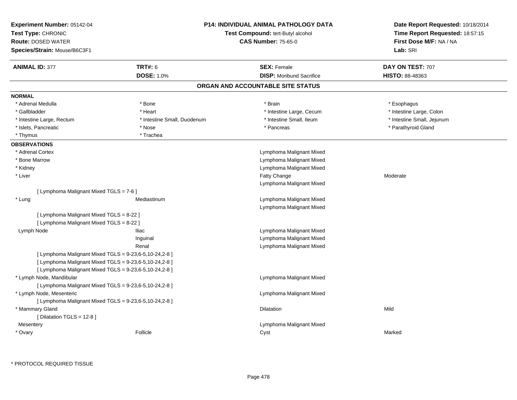| Experiment Number: 05142-04<br>Test Type: CHRONIC<br><b>Route: DOSED WATER</b> |                                                         | <b>P14: INDIVIDUAL ANIMAL PATHOLOGY DATA</b><br>Test Compound: tert-Butyl alcohol<br><b>CAS Number: 75-65-0</b> | Date Report Requested: 10/18/2014<br>Time Report Requested: 18:57:15<br>First Dose M/F: NA / NA |
|--------------------------------------------------------------------------------|---------------------------------------------------------|-----------------------------------------------------------------------------------------------------------------|-------------------------------------------------------------------------------------------------|
| Species/Strain: Mouse/B6C3F1                                                   |                                                         |                                                                                                                 | Lab: SRI                                                                                        |
| <b>ANIMAL ID: 377</b>                                                          | <b>TRT#: 6</b>                                          | <b>SEX: Female</b>                                                                                              | DAY ON TEST: 707                                                                                |
|                                                                                | <b>DOSE: 1.0%</b>                                       | <b>DISP:</b> Moribund Sacrifice                                                                                 | HISTO: 88-48363                                                                                 |
|                                                                                |                                                         | ORGAN AND ACCOUNTABLE SITE STATUS                                                                               |                                                                                                 |
| <b>NORMAL</b>                                                                  |                                                         |                                                                                                                 |                                                                                                 |
| * Adrenal Medulla                                                              | * Bone                                                  | * Brain                                                                                                         | * Esophagus                                                                                     |
| * Gallbladder                                                                  | * Heart                                                 | * Intestine Large, Cecum                                                                                        | * Intestine Large, Colon                                                                        |
| * Intestine Large, Rectum                                                      | * Intestine Small, Duodenum                             | * Intestine Small, Ileum                                                                                        | * Intestine Small, Jejunum                                                                      |
| * Islets, Pancreatic                                                           | * Nose                                                  | * Pancreas                                                                                                      | * Parathyroid Gland                                                                             |
| * Thymus                                                                       | * Trachea                                               |                                                                                                                 |                                                                                                 |
| <b>OBSERVATIONS</b>                                                            |                                                         |                                                                                                                 |                                                                                                 |
| * Adrenal Cortex                                                               |                                                         | Lymphoma Malignant Mixed                                                                                        |                                                                                                 |
| * Bone Marrow                                                                  |                                                         | Lymphoma Malignant Mixed                                                                                        |                                                                                                 |
| * Kidney                                                                       |                                                         | Lymphoma Malignant Mixed                                                                                        |                                                                                                 |
| * Liver                                                                        |                                                         | Fatty Change                                                                                                    | Moderate                                                                                        |
|                                                                                |                                                         | Lymphoma Malignant Mixed                                                                                        |                                                                                                 |
| [ Lymphoma Malignant Mixed TGLS = 7-6 ]                                        |                                                         |                                                                                                                 |                                                                                                 |
| * Lung                                                                         | Mediastinum                                             | Lymphoma Malignant Mixed                                                                                        |                                                                                                 |
|                                                                                |                                                         | Lymphoma Malignant Mixed                                                                                        |                                                                                                 |
| [ Lymphoma Malignant Mixed TGLS = 8-22 ]                                       |                                                         |                                                                                                                 |                                                                                                 |
| [ Lymphoma Malignant Mixed TGLS = 8-22 ]                                       |                                                         |                                                                                                                 |                                                                                                 |
| Lymph Node                                                                     | <b>Iliac</b>                                            | Lymphoma Malignant Mixed                                                                                        |                                                                                                 |
|                                                                                | Inguinal                                                | Lymphoma Malignant Mixed                                                                                        |                                                                                                 |
|                                                                                | Renal                                                   | Lymphoma Malignant Mixed                                                                                        |                                                                                                 |
|                                                                                | [ Lymphoma Malignant Mixed TGLS = 9-23,6-5,10-24,2-8 ]  |                                                                                                                 |                                                                                                 |
|                                                                                | [ Lymphoma Malignant Mixed TGLS = 9-23,6-5,10-24,2-8 ]  |                                                                                                                 |                                                                                                 |
|                                                                                | [ Lymphoma Malignant Mixed TGLS = 9-23,6-5,10-24,2-8 ]  |                                                                                                                 |                                                                                                 |
| * Lymph Node, Mandibular                                                       |                                                         | Lymphoma Malignant Mixed                                                                                        |                                                                                                 |
|                                                                                | [ Lymphoma Malignant Mixed TGLS = 9-23,6-5,10-24,2-8 ]  |                                                                                                                 |                                                                                                 |
| * Lymph Node, Mesenteric                                                       |                                                         | Lymphoma Malignant Mixed                                                                                        |                                                                                                 |
|                                                                                | [Lymphoma Malignant Mixed TGLS = $9-23,6-5,10-24,2-8$ ] |                                                                                                                 |                                                                                                 |
| * Mammary Gland                                                                |                                                         | Dilatation                                                                                                      | Mild                                                                                            |
| [ Dilatation TGLS = $12-8$ ]                                                   |                                                         |                                                                                                                 |                                                                                                 |
| Mesentery                                                                      |                                                         | Lymphoma Malignant Mixed                                                                                        |                                                                                                 |
| * Ovary                                                                        | Follicle                                                | Cyst                                                                                                            | Marked                                                                                          |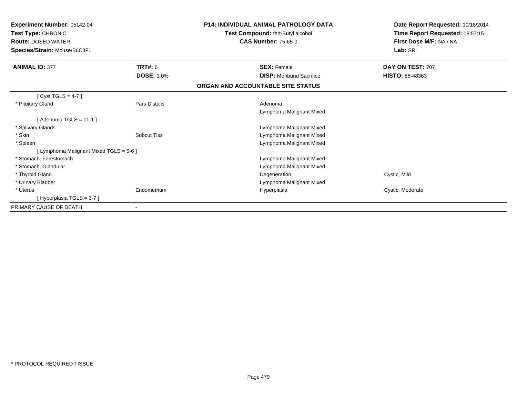| <b>Experiment Number: 05142-04</b><br>Test Type: CHRONIC<br><b>Route: DOSED WATER</b><br>Species/Strain: Mouse/B6C3F1 |                      | <b>P14: INDIVIDUAL ANIMAL PATHOLOGY DATA</b><br>Test Compound: tert-Butyl alcohol<br><b>CAS Number: 75-65-0</b> | Date Report Requested: 10/18/2014<br>Time Report Requested: 18:57:15<br>First Dose M/F: NA / NA<br>Lab: SRI |
|-----------------------------------------------------------------------------------------------------------------------|----------------------|-----------------------------------------------------------------------------------------------------------------|-------------------------------------------------------------------------------------------------------------|
| <b>ANIMAL ID: 377</b>                                                                                                 | <b>TRT#: 6</b>       | <b>SEX: Female</b>                                                                                              | DAY ON TEST: 707                                                                                            |
|                                                                                                                       | <b>DOSE: 1.0%</b>    | <b>DISP:</b> Moribund Sacrifice                                                                                 | <b>HISTO: 88-48363</b>                                                                                      |
|                                                                                                                       |                      | ORGAN AND ACCOUNTABLE SITE STATUS                                                                               |                                                                                                             |
| [Cyst TGLS = $4-7$ ]                                                                                                  |                      |                                                                                                                 |                                                                                                             |
| * Pituitary Gland                                                                                                     | <b>Pars Distalis</b> | Adenoma                                                                                                         |                                                                                                             |
|                                                                                                                       |                      | Lymphoma Malignant Mixed                                                                                        |                                                                                                             |
| [Adenoma TGLS = $11-1$ ]                                                                                              |                      |                                                                                                                 |                                                                                                             |
| * Salivary Glands                                                                                                     |                      | Lymphoma Malignant Mixed                                                                                        |                                                                                                             |
| * Skin                                                                                                                | <b>Subcut Tiss</b>   | Lymphoma Malignant Mixed                                                                                        |                                                                                                             |
| * Spleen                                                                                                              |                      | Lymphoma Malignant Mixed                                                                                        |                                                                                                             |
| [ Lymphoma Malignant Mixed TGLS = 5-6 ]                                                                               |                      |                                                                                                                 |                                                                                                             |
| * Stomach, Forestomach                                                                                                |                      | Lymphoma Malignant Mixed                                                                                        |                                                                                                             |
| * Stomach, Glandular                                                                                                  |                      | Lymphoma Malignant Mixed                                                                                        |                                                                                                             |
| * Thyroid Gland                                                                                                       |                      | Degeneration                                                                                                    | Cystic, Mild                                                                                                |
| * Urinary Bladder                                                                                                     |                      | Lymphoma Malignant Mixed                                                                                        |                                                                                                             |
| * Uterus                                                                                                              | Endometrium          | Hyperplasia                                                                                                     | Cystic, Moderate                                                                                            |
| [Hyperplasia TGLS = 3-7]                                                                                              |                      |                                                                                                                 |                                                                                                             |
| PRIMARY CAUSE OF DEATH                                                                                                |                      |                                                                                                                 |                                                                                                             |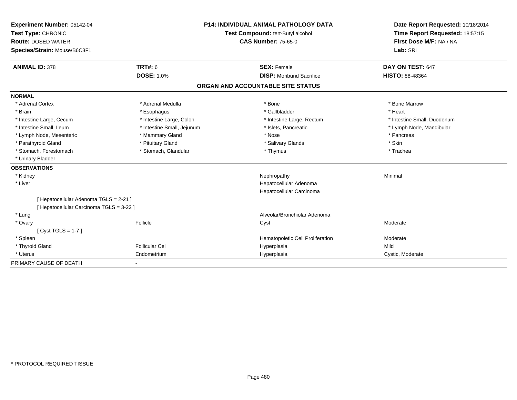| Experiment Number: 05142-04              | <b>P14: INDIVIDUAL ANIMAL PATHOLOGY DATA</b> |                                   | Date Report Requested: 10/18/2014 |  |
|------------------------------------------|----------------------------------------------|-----------------------------------|-----------------------------------|--|
| Test Type: CHRONIC                       |                                              | Test Compound: tert-Butyl alcohol | Time Report Requested: 18:57:15   |  |
| <b>Route: DOSED WATER</b>                |                                              | <b>CAS Number: 75-65-0</b>        | First Dose M/F: NA / NA           |  |
| Species/Strain: Mouse/B6C3F1             |                                              |                                   | Lab: SRI                          |  |
| <b>ANIMAL ID: 378</b>                    | <b>TRT#: 6</b>                               | <b>SEX: Female</b>                | DAY ON TEST: 647                  |  |
|                                          | <b>DOSE: 1.0%</b>                            | <b>DISP:</b> Moribund Sacrifice   | HISTO: 88-48364                   |  |
|                                          |                                              | ORGAN AND ACCOUNTABLE SITE STATUS |                                   |  |
| <b>NORMAL</b>                            |                                              |                                   |                                   |  |
| * Adrenal Cortex                         | * Adrenal Medulla                            | * Bone                            | * Bone Marrow                     |  |
| * Brain                                  | * Esophagus                                  | * Gallbladder                     | * Heart                           |  |
| * Intestine Large, Cecum                 | * Intestine Large, Colon                     | * Intestine Large, Rectum         | * Intestine Small, Duodenum       |  |
| * Intestine Small, Ileum                 | * Intestine Small, Jejunum                   | * Islets, Pancreatic              | * Lymph Node, Mandibular          |  |
| * Lymph Node, Mesenteric                 | * Mammary Gland                              | * Nose                            | * Pancreas                        |  |
| * Parathyroid Gland                      | * Pituitary Gland                            | * Salivary Glands                 | * Skin                            |  |
| * Stomach, Forestomach                   | * Stomach, Glandular                         | * Thymus                          | * Trachea                         |  |
| * Urinary Bladder                        |                                              |                                   |                                   |  |
| <b>OBSERVATIONS</b>                      |                                              |                                   |                                   |  |
| * Kidney                                 |                                              | Nephropathy                       | Minimal                           |  |
| * Liver                                  |                                              | Hepatocellular Adenoma            |                                   |  |
|                                          |                                              | Hepatocellular Carcinoma          |                                   |  |
| [ Hepatocellular Adenoma TGLS = 2-21 ]   |                                              |                                   |                                   |  |
| [ Hepatocellular Carcinoma TGLS = 3-22 ] |                                              |                                   |                                   |  |
| * Lung                                   |                                              | Alveolar/Bronchiolar Adenoma      |                                   |  |
| * Ovary                                  | Follicle                                     | Cyst                              | Moderate                          |  |
| [Cyst TGLS = 1-7]                        |                                              |                                   |                                   |  |
| * Spleen                                 |                                              | Hematopoietic Cell Proliferation  | Moderate                          |  |
| * Thyroid Gland                          | <b>Follicular Cel</b>                        | Hyperplasia                       | Mild                              |  |
| * Uterus                                 | Endometrium                                  | Hyperplasia                       | Cystic, Moderate                  |  |
| PRIMARY CAUSE OF DEATH                   |                                              |                                   |                                   |  |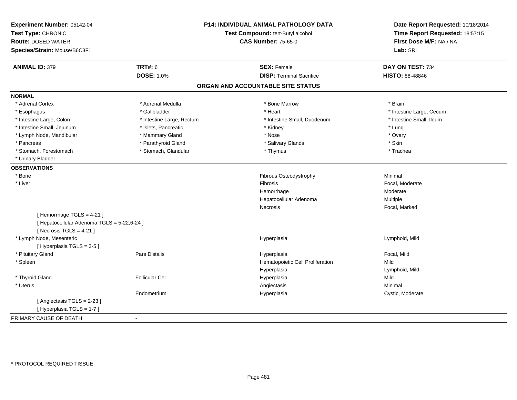| Experiment Number: 05142-04<br>Test Type: CHRONIC<br><b>Route: DOSED WATER</b><br>Species/Strain: Mouse/B6C3F1 |                           | <b>P14: INDIVIDUAL ANIMAL PATHOLOGY DATA</b><br>Test Compound: tert-Butyl alcohol<br><b>CAS Number: 75-65-0</b> | Date Report Requested: 10/18/2014<br>Time Report Requested: 18:57:15<br>First Dose M/F: NA / NA<br>Lab: SRI |
|----------------------------------------------------------------------------------------------------------------|---------------------------|-----------------------------------------------------------------------------------------------------------------|-------------------------------------------------------------------------------------------------------------|
| <b>ANIMAL ID: 379</b>                                                                                          | <b>TRT#: 6</b>            | <b>SEX: Female</b>                                                                                              | DAY ON TEST: 734                                                                                            |
|                                                                                                                | <b>DOSE: 1.0%</b>         | <b>DISP: Terminal Sacrifice</b>                                                                                 | <b>HISTO: 88-48846</b>                                                                                      |
|                                                                                                                |                           | ORGAN AND ACCOUNTABLE SITE STATUS                                                                               |                                                                                                             |
| <b>NORMAL</b>                                                                                                  |                           |                                                                                                                 |                                                                                                             |
| * Adrenal Cortex                                                                                               | * Adrenal Medulla         | * Bone Marrow                                                                                                   | * Brain                                                                                                     |
| * Esophagus                                                                                                    | * Gallbladder             | * Heart                                                                                                         | * Intestine Large, Cecum                                                                                    |
| * Intestine Large, Colon                                                                                       | * Intestine Large, Rectum | * Intestine Small, Duodenum                                                                                     | * Intestine Small, Ileum                                                                                    |
| * Intestine Small, Jejunum                                                                                     | * Islets, Pancreatic      | * Kidney                                                                                                        | * Lung                                                                                                      |
| * Lymph Node, Mandibular                                                                                       | * Mammary Gland           | * Nose                                                                                                          | * Ovary                                                                                                     |
| * Pancreas                                                                                                     | * Parathyroid Gland       | * Salivary Glands                                                                                               | * Skin                                                                                                      |
| * Stomach, Forestomach                                                                                         | * Stomach, Glandular      | * Thymus                                                                                                        | * Trachea                                                                                                   |
| * Urinary Bladder                                                                                              |                           |                                                                                                                 |                                                                                                             |
| <b>OBSERVATIONS</b>                                                                                            |                           |                                                                                                                 |                                                                                                             |
| * Bone                                                                                                         |                           | Fibrous Osteodystrophy                                                                                          | Minimal                                                                                                     |
| $*$ Liver                                                                                                      |                           | Fibrosis                                                                                                        | Focal, Moderate                                                                                             |
|                                                                                                                |                           | Hemorrhage                                                                                                      | Moderate                                                                                                    |
|                                                                                                                |                           | Hepatocellular Adenoma                                                                                          | Multiple                                                                                                    |
|                                                                                                                |                           | Necrosis                                                                                                        | Focal, Marked                                                                                               |
| [Hemorrhage TGLS = $4-21$ ]                                                                                    |                           |                                                                                                                 |                                                                                                             |
| [ Hepatocellular Adenoma TGLS = 5-22,6-24 ]                                                                    |                           |                                                                                                                 |                                                                                                             |
| [Necrosis TGLS = $4-21$ ]                                                                                      |                           |                                                                                                                 |                                                                                                             |
| * Lymph Node, Mesenteric                                                                                       |                           | Hyperplasia                                                                                                     | Lymphoid, Mild                                                                                              |
| [Hyperplasia TGLS = 3-5]                                                                                       |                           |                                                                                                                 |                                                                                                             |
| * Pituitary Gland                                                                                              | Pars Distalis             | Hyperplasia                                                                                                     | Focal, Mild                                                                                                 |
| * Spleen                                                                                                       |                           | Hematopoietic Cell Proliferation                                                                                | Mild                                                                                                        |
|                                                                                                                |                           | Hyperplasia                                                                                                     | Lymphoid, Mild                                                                                              |
| * Thyroid Gland                                                                                                | <b>Follicular Cel</b>     | Hyperplasia                                                                                                     | Mild                                                                                                        |
| * Uterus                                                                                                       |                           | Angiectasis                                                                                                     | Minimal                                                                                                     |
|                                                                                                                | Endometrium               | Hyperplasia                                                                                                     | Cystic, Moderate                                                                                            |
| [Angiectasis TGLS = 2-23]                                                                                      |                           |                                                                                                                 |                                                                                                             |
| [Hyperplasia TGLS = 1-7]                                                                                       |                           |                                                                                                                 |                                                                                                             |
| PRIMARY CAUSE OF DEATH                                                                                         |                           |                                                                                                                 |                                                                                                             |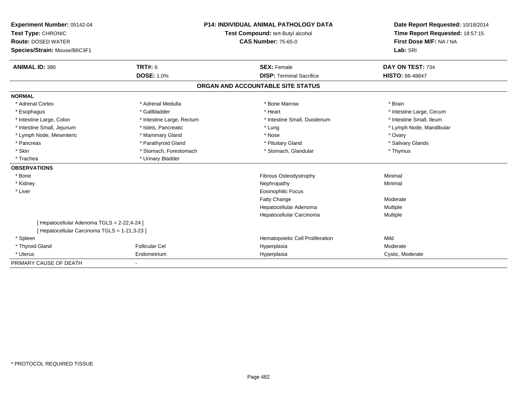| Experiment Number: 05142-04                   |                           | <b>P14: INDIVIDUAL ANIMAL PATHOLOGY DATA</b> | Date Report Requested: 10/18/2014 |
|-----------------------------------------------|---------------------------|----------------------------------------------|-----------------------------------|
| Test Type: CHRONIC                            |                           | Test Compound: tert-Butyl alcohol            | Time Report Requested: 18:57:15   |
| <b>Route: DOSED WATER</b>                     |                           | <b>CAS Number: 75-65-0</b>                   | First Dose M/F: NA / NA           |
| Species/Strain: Mouse/B6C3F1                  |                           |                                              | Lab: SRI                          |
|                                               |                           |                                              |                                   |
| <b>ANIMAL ID: 380</b>                         | <b>TRT#: 6</b>            | <b>SEX: Female</b>                           | DAY ON TEST: 734                  |
|                                               | <b>DOSE: 1.0%</b>         | <b>DISP: Terminal Sacrifice</b>              | <b>HISTO: 88-48847</b>            |
|                                               |                           | ORGAN AND ACCOUNTABLE SITE STATUS            |                                   |
| <b>NORMAL</b>                                 |                           |                                              |                                   |
| * Adrenal Cortex                              | * Adrenal Medulla         | * Bone Marrow                                | * Brain                           |
| * Esophagus                                   | * Gallbladder             | * Heart                                      | * Intestine Large, Cecum          |
| * Intestine Large, Colon                      | * Intestine Large, Rectum | * Intestine Small, Duodenum                  | * Intestine Small, Ileum          |
| * Intestine Small, Jejunum                    | * Islets, Pancreatic      | * Lung                                       | * Lymph Node, Mandibular          |
| * Lymph Node, Mesenteric                      | * Mammary Gland           | * Nose                                       | * Ovary                           |
| * Pancreas                                    | * Parathyroid Gland       | * Pituitary Gland                            | * Salivary Glands                 |
| * Skin                                        | * Stomach, Forestomach    | * Stomach, Glandular                         | * Thymus                          |
| * Trachea                                     | * Urinary Bladder         |                                              |                                   |
| <b>OBSERVATIONS</b>                           |                           |                                              |                                   |
| * Bone                                        |                           | <b>Fibrous Osteodystrophy</b>                | Minimal                           |
| * Kidney                                      |                           | Nephropathy                                  | Minimal                           |
| * Liver                                       |                           | <b>Eosinophilic Focus</b>                    |                                   |
|                                               |                           | <b>Fatty Change</b>                          | Moderate                          |
|                                               |                           | Hepatocellular Adenoma                       | Multiple                          |
|                                               |                           | Hepatocellular Carcinoma                     | Multiple                          |
| [ Hepatocellular Adenoma TGLS = 2-22,4-24 ]   |                           |                                              |                                   |
| [ Hepatocellular Carcinoma TGLS = 1-21,3-23 ] |                           |                                              |                                   |
| * Spleen                                      |                           | Hematopoietic Cell Proliferation             | Mild                              |
| * Thyroid Gland                               | <b>Follicular Cel</b>     | Hyperplasia                                  | Moderate                          |
| * Uterus                                      | Endometrium               | Hyperplasia                                  | Cystic, Moderate                  |
| PRIMARY CAUSE OF DEATH                        |                           |                                              |                                   |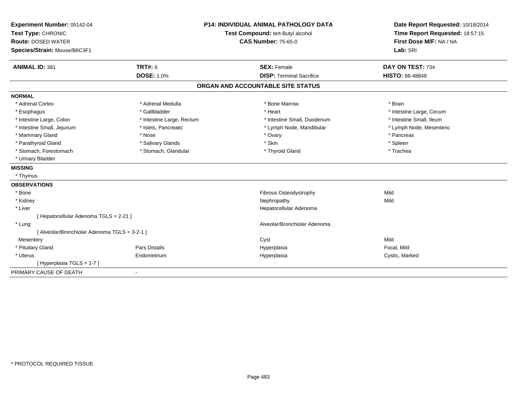| Experiment Number: 05142-04                   |                           | <b>P14: INDIVIDUAL ANIMAL PATHOLOGY DATA</b> | Date Report Requested: 10/18/2014                          |
|-----------------------------------------------|---------------------------|----------------------------------------------|------------------------------------------------------------|
| Test Type: CHRONIC                            |                           | Test Compound: tert-Butyl alcohol            | Time Report Requested: 18:57:15<br>First Dose M/F: NA / NA |
| <b>Route: DOSED WATER</b>                     |                           | <b>CAS Number: 75-65-0</b>                   |                                                            |
| Species/Strain: Mouse/B6C3F1                  |                           |                                              | Lab: SRI                                                   |
| <b>ANIMAL ID: 381</b>                         | TRT#: 6                   | <b>SEX: Female</b>                           | DAY ON TEST: 734                                           |
|                                               | <b>DOSE: 1.0%</b>         | <b>DISP: Terminal Sacrifice</b>              | <b>HISTO: 88-48848</b>                                     |
|                                               |                           | ORGAN AND ACCOUNTABLE SITE STATUS            |                                                            |
| <b>NORMAL</b>                                 |                           |                                              |                                                            |
| * Adrenal Cortex                              | * Adrenal Medulla         | * Bone Marrow                                | * Brain                                                    |
| * Esophagus                                   | * Gallbladder             | * Heart                                      | * Intestine Large, Cecum                                   |
| * Intestine Large, Colon                      | * Intestine Large, Rectum | * Intestine Small, Duodenum                  | * Intestine Small, Ileum                                   |
| * Intestine Small, Jejunum                    | * Islets, Pancreatic      | * Lymph Node, Mandibular                     | * Lymph Node, Mesenteric                                   |
| * Mammary Gland                               | * Nose                    | * Ovary                                      | * Pancreas                                                 |
| * Parathyroid Gland                           | * Salivary Glands         | * Skin                                       | * Spleen                                                   |
| * Stomach, Forestomach                        | * Stomach, Glandular      | * Thyroid Gland                              | * Trachea                                                  |
| * Urinary Bladder                             |                           |                                              |                                                            |
| <b>MISSING</b>                                |                           |                                              |                                                            |
| * Thymus                                      |                           |                                              |                                                            |
| <b>OBSERVATIONS</b>                           |                           |                                              |                                                            |
| * Bone                                        |                           | Fibrous Osteodystrophy                       | Mild                                                       |
| * Kidney                                      |                           | Nephropathy                                  | Mild                                                       |
| * Liver                                       |                           | Hepatocellular Adenoma                       |                                                            |
| [ Hepatocellular Adenoma TGLS = 2-21 ]        |                           |                                              |                                                            |
| * Lung                                        |                           | Alveolar/Bronchiolar Adenoma                 |                                                            |
| [ Alveolar/Bronchiolar Adenoma TGLS = 3-2-1 ] |                           |                                              |                                                            |
| Mesentery                                     |                           | Cyst                                         | Mild                                                       |
| * Pituitary Gland                             | Pars Distalis             | Hyperplasia                                  | Focal, Mild                                                |
| * Uterus                                      | Endometrium               | Hyperplasia                                  | Cystic, Marked                                             |
| [Hyperplasia TGLS = 1-7]                      |                           |                                              |                                                            |
| PRIMARY CAUSE OF DEATH                        | $\blacksquare$            |                                              |                                                            |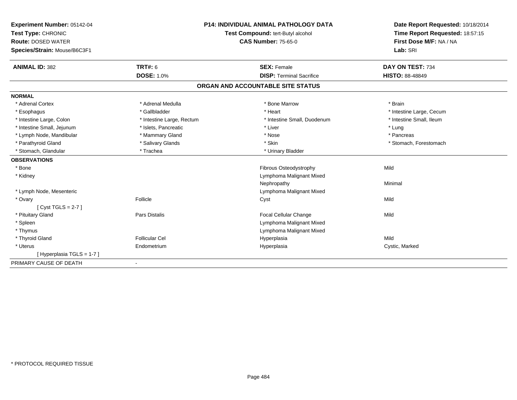| Experiment Number: 05142-04  |                           | <b>P14: INDIVIDUAL ANIMAL PATHOLOGY DATA</b> | Date Report Requested: 10/18/2014 |
|------------------------------|---------------------------|----------------------------------------------|-----------------------------------|
| Test Type: CHRONIC           |                           | Test Compound: tert-Butyl alcohol            | Time Report Requested: 18:57:15   |
| <b>Route: DOSED WATER</b>    |                           | <b>CAS Number: 75-65-0</b>                   | First Dose M/F: NA / NA           |
| Species/Strain: Mouse/B6C3F1 |                           |                                              | Lab: SRI                          |
|                              |                           |                                              |                                   |
| <b>ANIMAL ID: 382</b>        | <b>TRT#: 6</b>            | <b>SEX: Female</b>                           | DAY ON TEST: 734                  |
|                              | <b>DOSE: 1.0%</b>         | <b>DISP: Terminal Sacrifice</b>              | HISTO: 88-48849                   |
|                              |                           | ORGAN AND ACCOUNTABLE SITE STATUS            |                                   |
| <b>NORMAL</b>                |                           |                                              |                                   |
| * Adrenal Cortex             | * Adrenal Medulla         | * Bone Marrow                                | * Brain                           |
| * Esophagus                  | * Gallbladder             | * Heart                                      | * Intestine Large, Cecum          |
| * Intestine Large, Colon     | * Intestine Large, Rectum | * Intestine Small, Duodenum                  | * Intestine Small, Ileum          |
| * Intestine Small, Jejunum   | * Islets, Pancreatic      | * Liver                                      | * Lung                            |
| * Lymph Node, Mandibular     | * Mammary Gland           | * Nose                                       | * Pancreas                        |
| * Parathyroid Gland          | * Salivary Glands         | * Skin                                       | * Stomach, Forestomach            |
| * Stomach, Glandular         | * Trachea                 | * Urinary Bladder                            |                                   |
| <b>OBSERVATIONS</b>          |                           |                                              |                                   |
| * Bone                       |                           | Fibrous Osteodystrophy                       | Mild                              |
| * Kidney                     |                           | Lymphoma Malignant Mixed                     |                                   |
|                              |                           | Nephropathy                                  | Minimal                           |
| * Lymph Node, Mesenteric     |                           | Lymphoma Malignant Mixed                     |                                   |
| * Ovary                      | Follicle                  | Cyst                                         | Mild                              |
| [Cyst TGLS = $2-7$ ]         |                           |                                              |                                   |
| * Pituitary Gland            | Pars Distalis             | Focal Cellular Change                        | Mild                              |
| * Spleen                     |                           | Lymphoma Malignant Mixed                     |                                   |
| * Thymus                     |                           | Lymphoma Malignant Mixed                     |                                   |
| * Thyroid Gland              | <b>Follicular Cel</b>     | Hyperplasia                                  | Mild                              |
| * Uterus                     | Endometrium               | Hyperplasia                                  | Cystic, Marked                    |
| [Hyperplasia TGLS = 1-7]     |                           |                                              |                                   |
| PRIMARY CAUSE OF DEATH       | $\overline{\phantom{a}}$  |                                              |                                   |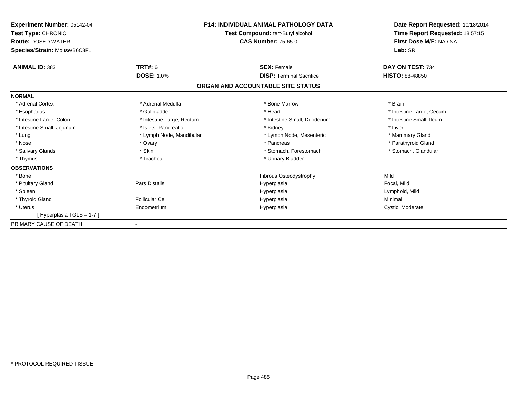| <b>Experiment Number: 05142-04</b><br>Test Type: CHRONIC<br><b>Route: DOSED WATER</b><br>Species/Strain: Mouse/B6C3F1 |                           | <b>P14: INDIVIDUAL ANIMAL PATHOLOGY DATA</b><br>Test Compound: tert-Butyl alcohol<br><b>CAS Number: 75-65-0</b> | Date Report Requested: 10/18/2014<br>Time Report Requested: 18:57:15<br>First Dose M/F: NA / NA<br>Lab: SRI |
|-----------------------------------------------------------------------------------------------------------------------|---------------------------|-----------------------------------------------------------------------------------------------------------------|-------------------------------------------------------------------------------------------------------------|
| <b>ANIMAL ID: 383</b>                                                                                                 | <b>TRT#: 6</b>            | <b>SEX: Female</b>                                                                                              | DAY ON TEST: 734                                                                                            |
|                                                                                                                       | <b>DOSE: 1.0%</b>         | <b>DISP: Terminal Sacrifice</b>                                                                                 | <b>HISTO: 88-48850</b>                                                                                      |
|                                                                                                                       |                           | ORGAN AND ACCOUNTABLE SITE STATUS                                                                               |                                                                                                             |
| <b>NORMAL</b>                                                                                                         |                           |                                                                                                                 |                                                                                                             |
| * Adrenal Cortex                                                                                                      | * Adrenal Medulla         | * Bone Marrow                                                                                                   | * Brain                                                                                                     |
| * Esophagus                                                                                                           | * Gallbladder             | * Heart                                                                                                         | * Intestine Large, Cecum                                                                                    |
| * Intestine Large, Colon                                                                                              | * Intestine Large, Rectum | * Intestine Small, Duodenum                                                                                     | * Intestine Small, Ileum                                                                                    |
| * Intestine Small, Jejunum                                                                                            | * Islets, Pancreatic      | * Kidney                                                                                                        | * Liver                                                                                                     |
| * Lung                                                                                                                | * Lymph Node, Mandibular  | * Lymph Node, Mesenteric                                                                                        | * Mammary Gland                                                                                             |
| * Nose                                                                                                                | * Ovary                   | * Pancreas                                                                                                      | * Parathyroid Gland                                                                                         |
| * Salivary Glands                                                                                                     | * Skin                    | * Stomach, Forestomach                                                                                          | * Stomach, Glandular                                                                                        |
| * Thymus                                                                                                              | * Trachea                 | * Urinary Bladder                                                                                               |                                                                                                             |
| <b>OBSERVATIONS</b>                                                                                                   |                           |                                                                                                                 |                                                                                                             |
| * Bone                                                                                                                |                           | Fibrous Osteodystrophy                                                                                          | Mild                                                                                                        |
| * Pituitary Gland                                                                                                     | Pars Distalis             | Hyperplasia                                                                                                     | Focal, Mild                                                                                                 |
| * Spleen                                                                                                              |                           | Hyperplasia                                                                                                     | Lymphoid, Mild                                                                                              |
| * Thyroid Gland                                                                                                       | <b>Follicular Cel</b>     | Hyperplasia                                                                                                     | Minimal                                                                                                     |
| * Uterus                                                                                                              | Endometrium               | Hyperplasia                                                                                                     | Cystic, Moderate                                                                                            |
| [Hyperplasia TGLS = 1-7]                                                                                              |                           |                                                                                                                 |                                                                                                             |
| PRIMARY CAUSE OF DEATH                                                                                                |                           |                                                                                                                 |                                                                                                             |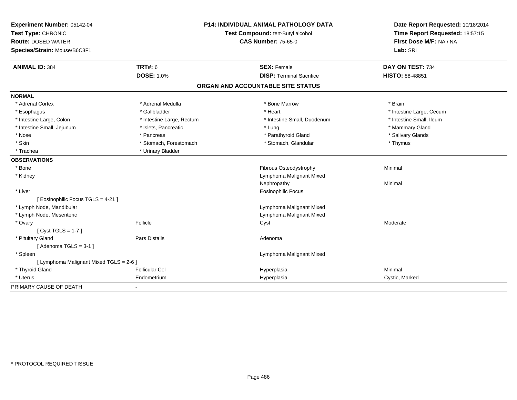| Experiment Number: 05142-04             |                           | <b>P14: INDIVIDUAL ANIMAL PATHOLOGY DATA</b> | Date Report Requested: 10/18/2014                          |
|-----------------------------------------|---------------------------|----------------------------------------------|------------------------------------------------------------|
| Test Type: CHRONIC                      |                           | Test Compound: tert-Butyl alcohol            | Time Report Requested: 18:57:15<br>First Dose M/F: NA / NA |
| <b>Route: DOSED WATER</b>               |                           | <b>CAS Number: 75-65-0</b>                   |                                                            |
| Species/Strain: Mouse/B6C3F1            |                           |                                              | Lab: SRI                                                   |
| <b>ANIMAL ID: 384</b>                   | TRT#: 6                   | <b>SEX: Female</b>                           | DAY ON TEST: 734                                           |
|                                         | DOSE: 1.0%                | <b>DISP: Terminal Sacrifice</b>              | HISTO: 88-48851                                            |
|                                         |                           | ORGAN AND ACCOUNTABLE SITE STATUS            |                                                            |
| <b>NORMAL</b>                           |                           |                                              |                                                            |
| * Adrenal Cortex                        | * Adrenal Medulla         | * Bone Marrow                                | * Brain                                                    |
| * Esophagus                             | * Gallbladder             | * Heart                                      | * Intestine Large, Cecum                                   |
| * Intestine Large, Colon                | * Intestine Large, Rectum | * Intestine Small, Duodenum                  | * Intestine Small, Ileum                                   |
| * Intestine Small, Jejunum              | * Islets, Pancreatic      | * Lung                                       | * Mammary Gland                                            |
| * Nose                                  | * Pancreas                | * Parathyroid Gland                          | * Salivary Glands                                          |
| * Skin                                  | * Stomach, Forestomach    | * Stomach, Glandular                         | * Thymus                                                   |
| * Trachea                               | * Urinary Bladder         |                                              |                                                            |
| <b>OBSERVATIONS</b>                     |                           |                                              |                                                            |
| * Bone                                  |                           | Fibrous Osteodystrophy                       | Minimal                                                    |
| * Kidney                                |                           | Lymphoma Malignant Mixed                     |                                                            |
|                                         |                           | Nephropathy                                  | Minimal                                                    |
| * Liver                                 |                           | <b>Eosinophilic Focus</b>                    |                                                            |
| [ Eosinophilic Focus TGLS = 4-21 ]      |                           |                                              |                                                            |
| * Lymph Node, Mandibular                |                           | Lymphoma Malignant Mixed                     |                                                            |
| * Lymph Node, Mesenteric                |                           | Lymphoma Malignant Mixed                     |                                                            |
| * Ovary                                 | Follicle                  | Cyst                                         | Moderate                                                   |
| [Cyst TGLS = $1-7$ ]                    |                           |                                              |                                                            |
| * Pituitary Gland                       | Pars Distalis             | Adenoma                                      |                                                            |
| [Adenoma TGLS = $3-1$ ]                 |                           |                                              |                                                            |
| * Spleen                                |                           | Lymphoma Malignant Mixed                     |                                                            |
| [ Lymphoma Malignant Mixed TGLS = 2-6 ] |                           |                                              |                                                            |
| * Thyroid Gland                         | <b>Follicular Cel</b>     | Hyperplasia                                  | Minimal                                                    |
| * Uterus                                | Endometrium               | Hyperplasia                                  | Cystic, Marked                                             |
| PRIMARY CAUSE OF DEATH                  | $\blacksquare$            |                                              |                                                            |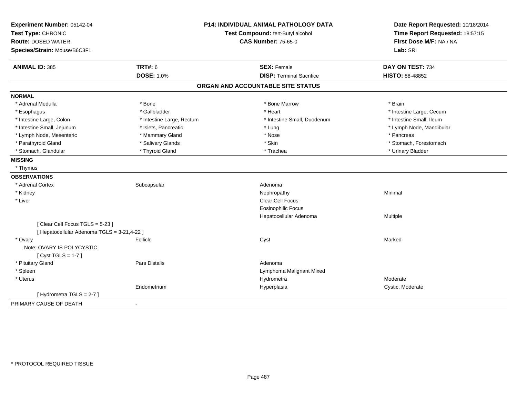| Experiment Number: 05142-04                 |                           | P14: INDIVIDUAL ANIMAL PATHOLOGY DATA | Date Report Requested: 10/18/2014 |
|---------------------------------------------|---------------------------|---------------------------------------|-----------------------------------|
| Test Type: CHRONIC                          |                           | Test Compound: tert-Butyl alcohol     | Time Report Requested: 18:57:15   |
| <b>Route: DOSED WATER</b>                   |                           | <b>CAS Number: 75-65-0</b>            | First Dose M/F: NA / NA           |
| Species/Strain: Mouse/B6C3F1                |                           |                                       | Lab: SRI                          |
| <b>ANIMAL ID: 385</b>                       | <b>TRT#: 6</b>            | <b>SEX: Female</b>                    | DAY ON TEST: 734                  |
|                                             | <b>DOSE: 1.0%</b>         | <b>DISP: Terminal Sacrifice</b>       | <b>HISTO: 88-48852</b>            |
|                                             |                           | ORGAN AND ACCOUNTABLE SITE STATUS     |                                   |
| <b>NORMAL</b>                               |                           |                                       |                                   |
| * Adrenal Medulla                           | * Bone                    | * Bone Marrow                         | * Brain                           |
| * Esophagus                                 | * Gallbladder             | * Heart                               | * Intestine Large, Cecum          |
| * Intestine Large, Colon                    | * Intestine Large, Rectum | * Intestine Small. Duodenum           | * Intestine Small, Ileum          |
| * Intestine Small, Jejunum                  | * Islets, Pancreatic      | * Lung                                | * Lymph Node, Mandibular          |
| * Lymph Node, Mesenteric                    | * Mammary Gland           | * Nose                                | * Pancreas                        |
| * Parathyroid Gland                         | * Salivary Glands         | * Skin                                | * Stomach, Forestomach            |
| * Stomach, Glandular                        | * Thyroid Gland           | * Trachea                             | * Urinary Bladder                 |
| <b>MISSING</b>                              |                           |                                       |                                   |
| * Thymus                                    |                           |                                       |                                   |
| <b>OBSERVATIONS</b>                         |                           |                                       |                                   |
| * Adrenal Cortex                            | Subcapsular               | Adenoma                               |                                   |
| * Kidney                                    |                           | Nephropathy                           | Minimal                           |
| * Liver                                     |                           | Clear Cell Focus                      |                                   |
|                                             |                           | <b>Eosinophilic Focus</b>             |                                   |
|                                             |                           | Hepatocellular Adenoma                | Multiple                          |
| [Clear Cell Focus TGLS = 5-23]              |                           |                                       |                                   |
| [ Hepatocellular Adenoma TGLS = 3-21,4-22 ] |                           |                                       |                                   |
| * Ovary                                     | Follicle                  | Cyst                                  | Marked                            |
| Note: OVARY IS POLYCYSTIC.                  |                           |                                       |                                   |
| [Cyst TGLS = $1-7$ ]                        |                           |                                       |                                   |
| * Pituitary Gland                           | <b>Pars Distalis</b>      | Adenoma                               |                                   |
| * Spleen                                    |                           | Lymphoma Malignant Mixed              |                                   |
| * Uterus                                    |                           | Hydrometra                            | Moderate                          |
|                                             | Endometrium               | Hyperplasia                           | Cystic, Moderate                  |
| [Hydrometra TGLS = $2-7$ ]                  |                           |                                       |                                   |
| PRIMARY CAUSE OF DEATH                      | $\sim$                    |                                       |                                   |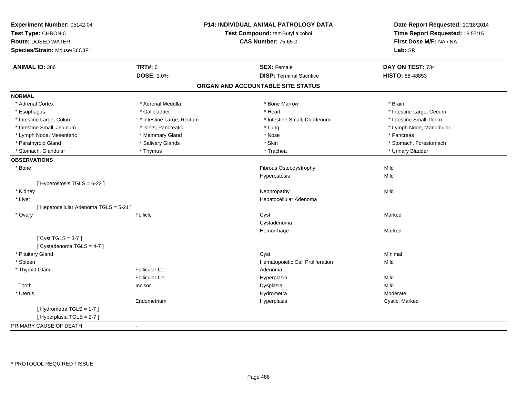| Experiment Number: 05142-04<br>Test Type: CHRONIC<br><b>Route: DOSED WATER</b><br>Species/Strain: Mouse/B6C3F1 |                                     | P14: INDIVIDUAL ANIMAL PATHOLOGY DATA<br>Test Compound: tert-Butyl alcohol<br><b>CAS Number: 75-65-0</b> | Date Report Requested: 10/18/2014<br>Time Report Requested: 18:57:15<br>First Dose M/F: NA / NA<br>Lab: SRI |
|----------------------------------------------------------------------------------------------------------------|-------------------------------------|----------------------------------------------------------------------------------------------------------|-------------------------------------------------------------------------------------------------------------|
|                                                                                                                |                                     |                                                                                                          |                                                                                                             |
| <b>ANIMAL ID: 386</b>                                                                                          | <b>TRT#: 6</b><br><b>DOSE: 1.0%</b> | <b>SEX: Female</b><br><b>DISP: Terminal Sacrifice</b>                                                    | DAY ON TEST: 734<br>HISTO: 88-48853                                                                         |
|                                                                                                                |                                     |                                                                                                          |                                                                                                             |
|                                                                                                                |                                     | ORGAN AND ACCOUNTABLE SITE STATUS                                                                        |                                                                                                             |
| <b>NORMAL</b>                                                                                                  |                                     |                                                                                                          |                                                                                                             |
| * Adrenal Cortex                                                                                               | * Adrenal Medulla                   | * Bone Marrow                                                                                            | * Brain                                                                                                     |
| * Esophagus                                                                                                    | * Gallbladder                       | * Heart                                                                                                  | * Intestine Large, Cecum                                                                                    |
| * Intestine Large, Colon                                                                                       | * Intestine Large, Rectum           | * Intestine Small, Duodenum                                                                              | * Intestine Small, Ileum                                                                                    |
| * Intestine Small, Jejunum                                                                                     | * Islets, Pancreatic                | * Lung                                                                                                   | * Lymph Node, Mandibular                                                                                    |
| * Lymph Node, Mesenteric                                                                                       | * Mammary Gland                     | * Nose                                                                                                   | * Pancreas                                                                                                  |
| * Parathyroid Gland                                                                                            | * Salivary Glands                   | * Skin                                                                                                   | * Stomach, Forestomach                                                                                      |
| * Stomach, Glandular                                                                                           | * Thymus                            | * Trachea                                                                                                | * Urinary Bladder                                                                                           |
| <b>OBSERVATIONS</b>                                                                                            |                                     |                                                                                                          |                                                                                                             |
| * Bone                                                                                                         |                                     | Fibrous Osteodystrophy                                                                                   | Mild                                                                                                        |
|                                                                                                                |                                     | Hyperostosis                                                                                             | Mild                                                                                                        |
| [ Hyperostosis TGLS = 6-22 ]                                                                                   |                                     |                                                                                                          |                                                                                                             |
| * Kidney                                                                                                       |                                     | Nephropathy                                                                                              | Mild                                                                                                        |
| * Liver                                                                                                        |                                     | Hepatocellular Adenoma                                                                                   |                                                                                                             |
| [ Hepatocellular Adenoma TGLS = 5-21 ]                                                                         |                                     |                                                                                                          |                                                                                                             |
| * Ovary                                                                                                        | Follicle                            | Cyst                                                                                                     | Marked                                                                                                      |
|                                                                                                                |                                     | Cystadenoma                                                                                              |                                                                                                             |
|                                                                                                                |                                     | Hemorrhage                                                                                               | Marked                                                                                                      |
| [Cyst TGLS = $3-7$ ]                                                                                           |                                     |                                                                                                          |                                                                                                             |
| [Cystadenoma TGLS = 4-7]                                                                                       |                                     |                                                                                                          |                                                                                                             |
| * Pituitary Gland                                                                                              |                                     | Cyst                                                                                                     | Minimal                                                                                                     |
| * Spleen                                                                                                       |                                     | Hematopoietic Cell Proliferation                                                                         | Mild                                                                                                        |
| * Thyroid Gland                                                                                                | <b>Follicular Cel</b>               | Adenoma                                                                                                  |                                                                                                             |
|                                                                                                                | <b>Follicular Cel</b>               | Hyperplasia                                                                                              | Mild                                                                                                        |
| Tooth                                                                                                          | Incisor                             | Dysplasia                                                                                                | Mild                                                                                                        |
| * Uterus                                                                                                       |                                     | Hydrometra                                                                                               | Moderate                                                                                                    |
|                                                                                                                | Endometrium                         | Hyperplasia                                                                                              | Cystic, Marked                                                                                              |
| [Hydrometra TGLS = 1-7]                                                                                        |                                     |                                                                                                          |                                                                                                             |
| [ Hyperplasia TGLS = 2-7 ]                                                                                     |                                     |                                                                                                          |                                                                                                             |
| PRIMARY CAUSE OF DEATH                                                                                         |                                     |                                                                                                          |                                                                                                             |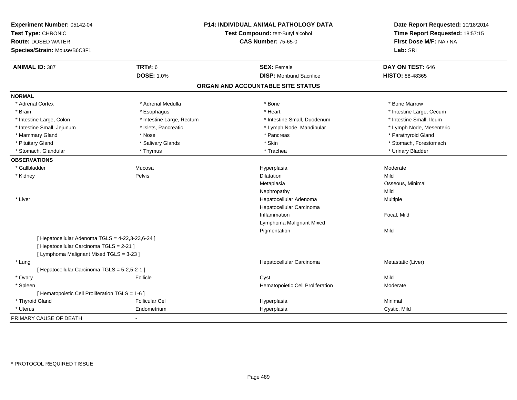| Experiment Number: 05142-04<br>Test Type: CHRONIC<br><b>Route: DOSED WATER</b><br>Species/Strain: Mouse/B6C3F1 |                           | P14: INDIVIDUAL ANIMAL PATHOLOGY DATA<br>Test Compound: tert-Butyl alcohol<br><b>CAS Number: 75-65-0</b> | Date Report Requested: 10/18/2014<br>Time Report Requested: 18:57:15<br>First Dose M/F: NA / NA<br>Lab: SRI |
|----------------------------------------------------------------------------------------------------------------|---------------------------|----------------------------------------------------------------------------------------------------------|-------------------------------------------------------------------------------------------------------------|
| <b>ANIMAL ID: 387</b>                                                                                          | <b>TRT#: 6</b>            | <b>SEX: Female</b>                                                                                       | DAY ON TEST: 646                                                                                            |
|                                                                                                                | <b>DOSE: 1.0%</b>         | <b>DISP:</b> Moribund Sacrifice                                                                          | HISTO: 88-48365                                                                                             |
|                                                                                                                |                           | ORGAN AND ACCOUNTABLE SITE STATUS                                                                        |                                                                                                             |
| <b>NORMAL</b>                                                                                                  |                           |                                                                                                          |                                                                                                             |
| * Adrenal Cortex                                                                                               | * Adrenal Medulla         | * Bone                                                                                                   | * Bone Marrow                                                                                               |
| * Brain                                                                                                        | * Esophagus               | * Heart                                                                                                  | * Intestine Large, Cecum                                                                                    |
| * Intestine Large, Colon                                                                                       | * Intestine Large, Rectum | * Intestine Small, Duodenum                                                                              | * Intestine Small, Ileum                                                                                    |
| * Intestine Small, Jejunum                                                                                     | * Islets, Pancreatic      | * Lymph Node, Mandibular                                                                                 | * Lymph Node, Mesenteric                                                                                    |
| * Mammary Gland                                                                                                | * Nose                    | * Pancreas                                                                                               | * Parathyroid Gland                                                                                         |
| * Pituitary Gland                                                                                              | * Salivary Glands         | * Skin                                                                                                   | * Stomach, Forestomach                                                                                      |
| * Stomach, Glandular                                                                                           | * Thymus                  | * Trachea                                                                                                | * Urinary Bladder                                                                                           |
| <b>OBSERVATIONS</b>                                                                                            |                           |                                                                                                          |                                                                                                             |
| * Gallbladder                                                                                                  | Mucosa                    | Hyperplasia                                                                                              | Moderate                                                                                                    |
| * Kidney                                                                                                       | Pelvis                    | Dilatation                                                                                               | Mild                                                                                                        |
|                                                                                                                |                           | Metaplasia                                                                                               | Osseous, Minimal                                                                                            |
|                                                                                                                |                           | Nephropathy                                                                                              | Mild                                                                                                        |
| * Liver                                                                                                        |                           | Hepatocellular Adenoma                                                                                   | Multiple                                                                                                    |
|                                                                                                                |                           | Hepatocellular Carcinoma                                                                                 |                                                                                                             |
|                                                                                                                |                           | Inflammation                                                                                             | Focal, Mild                                                                                                 |
|                                                                                                                |                           | Lymphoma Malignant Mixed                                                                                 |                                                                                                             |
|                                                                                                                |                           | Pigmentation                                                                                             | Mild                                                                                                        |
| [ Hepatocellular Adenoma TGLS = 4-22,3-23,6-24 ]                                                               |                           |                                                                                                          |                                                                                                             |
| [ Hepatocellular Carcinoma TGLS = 2-21 ]                                                                       |                           |                                                                                                          |                                                                                                             |
| [ Lymphoma Malignant Mixed TGLS = 3-23 ]                                                                       |                           |                                                                                                          |                                                                                                             |
| * Lung                                                                                                         |                           | Hepatocellular Carcinoma                                                                                 | Metastatic (Liver)                                                                                          |
| [ Hepatocellular Carcinoma TGLS = 5-2,5-2-1 ]                                                                  |                           |                                                                                                          |                                                                                                             |
| * Ovary                                                                                                        | Follicle                  | Cyst                                                                                                     | Mild                                                                                                        |
| * Spleen                                                                                                       |                           | Hematopoietic Cell Proliferation                                                                         | Moderate                                                                                                    |
| [ Hematopoietic Cell Proliferation TGLS = 1-6 ]                                                                |                           |                                                                                                          |                                                                                                             |
| * Thyroid Gland                                                                                                | <b>Follicular Cel</b>     | Hyperplasia                                                                                              | Minimal                                                                                                     |
| * Uterus                                                                                                       | Endometrium               | Hyperplasia                                                                                              | Cystic, Mild                                                                                                |
| PRIMARY CAUSE OF DEATH                                                                                         |                           |                                                                                                          |                                                                                                             |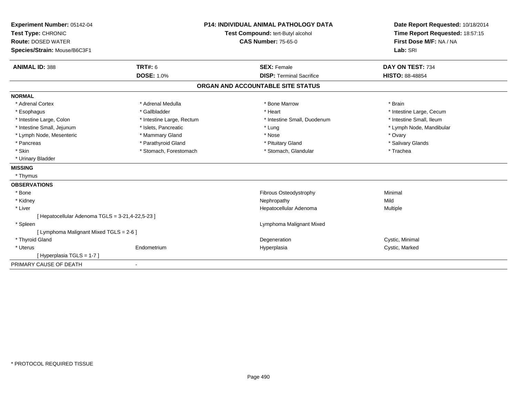| Experiment Number: 05142-04                      |                                   | <b>P14: INDIVIDUAL ANIMAL PATHOLOGY DATA</b> | Date Report Requested: 10/18/2014 |
|--------------------------------------------------|-----------------------------------|----------------------------------------------|-----------------------------------|
| Test Type: CHRONIC                               | Test Compound: tert-Butyl alcohol |                                              | Time Report Requested: 18:57:15   |
| <b>Route: DOSED WATER</b>                        |                                   | <b>CAS Number: 75-65-0</b>                   | First Dose M/F: NA / NA           |
| Species/Strain: Mouse/B6C3F1                     |                                   |                                              | Lab: SRI                          |
| <b>ANIMAL ID: 388</b>                            | TRT#: 6                           | <b>SEX: Female</b>                           | DAY ON TEST: 734                  |
|                                                  | <b>DOSE: 1.0%</b>                 | <b>DISP: Terminal Sacrifice</b>              | <b>HISTO: 88-48854</b>            |
|                                                  |                                   | ORGAN AND ACCOUNTABLE SITE STATUS            |                                   |
| <b>NORMAL</b>                                    |                                   |                                              |                                   |
| * Adrenal Cortex                                 | * Adrenal Medulla                 | * Bone Marrow                                | * Brain                           |
| * Esophagus                                      | * Gallbladder                     | * Heart                                      | * Intestine Large, Cecum          |
| * Intestine Large, Colon                         | * Intestine Large, Rectum         | * Intestine Small, Duodenum                  | * Intestine Small, Ileum          |
| * Intestine Small, Jejunum                       | * Islets, Pancreatic              | * Lung                                       | * Lymph Node, Mandibular          |
| * Lymph Node, Mesenteric                         | * Mammary Gland                   | * Nose                                       | * Ovary                           |
| * Pancreas                                       | * Parathyroid Gland               | * Pituitary Gland                            | * Salivary Glands                 |
| * Skin                                           | * Stomach, Forestomach            | * Stomach, Glandular                         | * Trachea                         |
| * Urinary Bladder                                |                                   |                                              |                                   |
| <b>MISSING</b>                                   |                                   |                                              |                                   |
| * Thymus                                         |                                   |                                              |                                   |
| <b>OBSERVATIONS</b>                              |                                   |                                              |                                   |
| * Bone                                           |                                   | Fibrous Osteodystrophy                       | Minimal                           |
| * Kidney                                         |                                   | Nephropathy                                  | Mild                              |
| * Liver                                          |                                   | Hepatocellular Adenoma                       | <b>Multiple</b>                   |
| [ Hepatocellular Adenoma TGLS = 3-21,4-22,5-23 ] |                                   |                                              |                                   |
| * Spleen                                         |                                   | Lymphoma Malignant Mixed                     |                                   |
| [ Lymphoma Malignant Mixed TGLS = 2-6 ]          |                                   |                                              |                                   |
| * Thyroid Gland                                  |                                   | Degeneration                                 | Cystic, Minimal                   |
| * Uterus                                         | Endometrium                       | Hyperplasia                                  | Cystic, Marked                    |
| [Hyperplasia TGLS = 1-7]                         |                                   |                                              |                                   |
| PRIMARY CAUSE OF DEATH                           |                                   |                                              |                                   |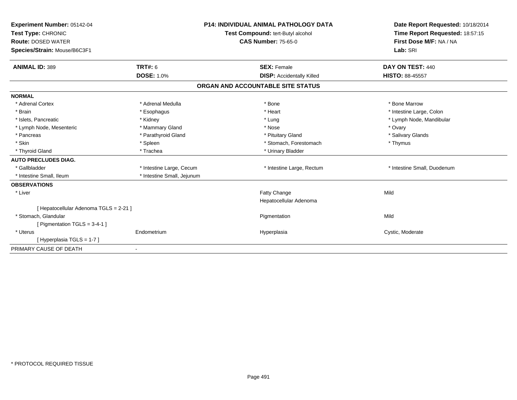| Experiment Number: 05142-04<br>Test Type: CHRONIC<br><b>Route: DOSED WATER</b><br>Species/Strain: Mouse/B6C3F1 |                            | <b>P14: INDIVIDUAL ANIMAL PATHOLOGY DATA</b><br>Test Compound: tert-Butyl alcohol<br><b>CAS Number: 75-65-0</b> | Date Report Requested: 10/18/2014<br>Time Report Requested: 18:57:15<br>First Dose M/F: NA / NA<br>Lab: SRI |
|----------------------------------------------------------------------------------------------------------------|----------------------------|-----------------------------------------------------------------------------------------------------------------|-------------------------------------------------------------------------------------------------------------|
| <b>ANIMAL ID: 389</b>                                                                                          | <b>TRT#: 6</b>             | <b>SEX: Female</b>                                                                                              | DAY ON TEST: 440                                                                                            |
|                                                                                                                | <b>DOSE: 1.0%</b>          | <b>DISP: Accidentally Killed</b>                                                                                | <b>HISTO: 88-45557</b>                                                                                      |
|                                                                                                                |                            | ORGAN AND ACCOUNTABLE SITE STATUS                                                                               |                                                                                                             |
| <b>NORMAL</b>                                                                                                  |                            |                                                                                                                 |                                                                                                             |
| * Adrenal Cortex                                                                                               | * Adrenal Medulla          | * Bone                                                                                                          | * Bone Marrow                                                                                               |
| * Brain                                                                                                        | * Esophagus                | * Heart                                                                                                         | * Intestine Large, Colon                                                                                    |
| * Islets. Pancreatic                                                                                           | * Kidney                   | * Lung                                                                                                          | * Lymph Node, Mandibular                                                                                    |
| * Lymph Node, Mesenteric                                                                                       | * Mammary Gland            | * Nose                                                                                                          | * Ovary                                                                                                     |
| * Pancreas                                                                                                     | * Parathyroid Gland        | * Pituitary Gland                                                                                               | * Salivary Glands                                                                                           |
| * Skin                                                                                                         | * Spleen                   | * Stomach, Forestomach                                                                                          | * Thymus                                                                                                    |
| * Thyroid Gland                                                                                                | * Trachea                  | * Urinary Bladder                                                                                               |                                                                                                             |
| <b>AUTO PRECLUDES DIAG.</b>                                                                                    |                            |                                                                                                                 |                                                                                                             |
| * Gallbladder                                                                                                  | * Intestine Large, Cecum   | * Intestine Large, Rectum                                                                                       | * Intestine Small, Duodenum                                                                                 |
| * Intestine Small, Ileum                                                                                       | * Intestine Small, Jejunum |                                                                                                                 |                                                                                                             |
| <b>OBSERVATIONS</b>                                                                                            |                            |                                                                                                                 |                                                                                                             |
| * Liver                                                                                                        |                            | Fatty Change                                                                                                    | Mild                                                                                                        |
|                                                                                                                |                            | Hepatocellular Adenoma                                                                                          |                                                                                                             |
| [ Hepatocellular Adenoma TGLS = 2-21 ]                                                                         |                            |                                                                                                                 |                                                                                                             |
| * Stomach, Glandular                                                                                           |                            | Pigmentation                                                                                                    | Mild                                                                                                        |
| [ Pigmentation TGLS = 3-4-1 ]                                                                                  |                            |                                                                                                                 |                                                                                                             |
| * Uterus                                                                                                       | Endometrium                | Hyperplasia                                                                                                     | Cystic, Moderate                                                                                            |
| [Hyperplasia TGLS = 1-7]                                                                                       |                            |                                                                                                                 |                                                                                                             |
| PRIMARY CAUSE OF DEATH                                                                                         |                            |                                                                                                                 |                                                                                                             |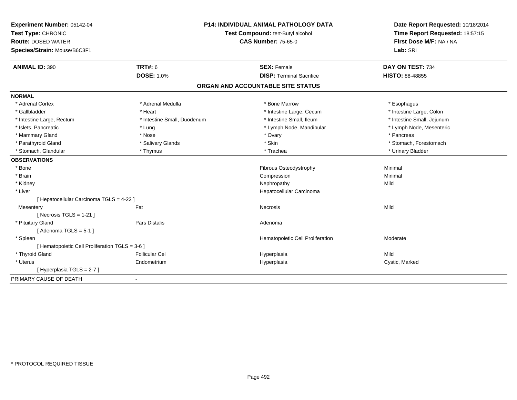| First Dose M/F: NA / NA<br><b>CAS Number: 75-65-0</b><br><b>Route: DOSED WATER</b><br>Lab: SRI<br>Species/Strain: Mouse/B6C3F1<br><b>ANIMAL ID: 390</b><br><b>TRT#: 6</b><br><b>SEX: Female</b><br>DAY ON TEST: 734<br><b>DOSE: 1.0%</b><br><b>DISP: Terminal Sacrifice</b><br><b>HISTO: 88-48855</b><br>ORGAN AND ACCOUNTABLE SITE STATUS<br><b>NORMAL</b><br>* Adrenal Medulla<br>* Bone Marrow<br>* Adrenal Cortex<br>* Esophagus | Date Report Requested: 10/18/2014<br>Time Report Requested: 18:57:15 |
|--------------------------------------------------------------------------------------------------------------------------------------------------------------------------------------------------------------------------------------------------------------------------------------------------------------------------------------------------------------------------------------------------------------------------------------|----------------------------------------------------------------------|
|                                                                                                                                                                                                                                                                                                                                                                                                                                      |                                                                      |
|                                                                                                                                                                                                                                                                                                                                                                                                                                      |                                                                      |
|                                                                                                                                                                                                                                                                                                                                                                                                                                      |                                                                      |
|                                                                                                                                                                                                                                                                                                                                                                                                                                      |                                                                      |
|                                                                                                                                                                                                                                                                                                                                                                                                                                      |                                                                      |
|                                                                                                                                                                                                                                                                                                                                                                                                                                      |                                                                      |
| * Gallbladder<br>* Heart<br>* Intestine Large, Cecum<br>* Intestine Large, Colon                                                                                                                                                                                                                                                                                                                                                     |                                                                      |
| * Intestine Small, Duodenum<br>* Intestine Small, Ileum<br>* Intestine Small, Jejunum<br>* Intestine Large, Rectum                                                                                                                                                                                                                                                                                                                   |                                                                      |
| * Islets, Pancreatic<br>* Lymph Node, Mandibular<br>* Lymph Node, Mesenteric<br>* Lung                                                                                                                                                                                                                                                                                                                                               |                                                                      |
| * Mammary Gland<br>* Ovary<br>* Pancreas<br>* Nose                                                                                                                                                                                                                                                                                                                                                                                   |                                                                      |
| * Parathyroid Gland<br>* Skin<br>* Stomach, Forestomach<br>* Salivary Glands                                                                                                                                                                                                                                                                                                                                                         |                                                                      |
| * Urinary Bladder<br>* Stomach, Glandular<br>* Thymus<br>* Trachea                                                                                                                                                                                                                                                                                                                                                                   |                                                                      |
| <b>OBSERVATIONS</b>                                                                                                                                                                                                                                                                                                                                                                                                                  |                                                                      |
| Fibrous Osteodystrophy<br>Minimal<br>* Bone                                                                                                                                                                                                                                                                                                                                                                                          |                                                                      |
| * Brain<br>Minimal<br>Compression                                                                                                                                                                                                                                                                                                                                                                                                    |                                                                      |
| Mild<br>* Kidney<br>Nephropathy                                                                                                                                                                                                                                                                                                                                                                                                      |                                                                      |
| * Liver<br>Hepatocellular Carcinoma                                                                                                                                                                                                                                                                                                                                                                                                  |                                                                      |
| [ Hepatocellular Carcinoma TGLS = 4-22 ]                                                                                                                                                                                                                                                                                                                                                                                             |                                                                      |
| Fat<br>Mild<br>Mesentery<br>Necrosis                                                                                                                                                                                                                                                                                                                                                                                                 |                                                                      |
| [Necrosis TGLS = $1-21$ ]                                                                                                                                                                                                                                                                                                                                                                                                            |                                                                      |
| * Pituitary Gland<br>Pars Distalis<br>Adenoma                                                                                                                                                                                                                                                                                                                                                                                        |                                                                      |
| [Adenoma TGLS = $5-1$ ]                                                                                                                                                                                                                                                                                                                                                                                                              |                                                                      |
| * Spleen<br>Hematopoietic Cell Proliferation<br>Moderate                                                                                                                                                                                                                                                                                                                                                                             |                                                                      |
| [ Hematopoietic Cell Proliferation TGLS = 3-6 ]                                                                                                                                                                                                                                                                                                                                                                                      |                                                                      |
| * Thyroid Gland<br><b>Follicular Cel</b><br>Mild<br>Hyperplasia                                                                                                                                                                                                                                                                                                                                                                      |                                                                      |
| * Uterus<br>Endometrium<br>Hyperplasia<br>Cystic, Marked                                                                                                                                                                                                                                                                                                                                                                             |                                                                      |
| [ Hyperplasia TGLS = 2-7 ]                                                                                                                                                                                                                                                                                                                                                                                                           |                                                                      |
| PRIMARY CAUSE OF DEATH                                                                                                                                                                                                                                                                                                                                                                                                               |                                                                      |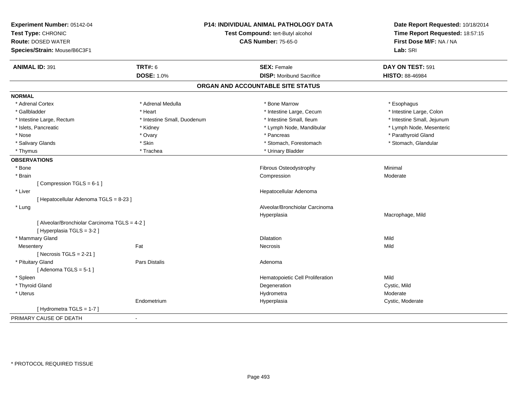| Experiment Number: 05142-04<br>Test Type: CHRONIC<br><b>Route: DOSED WATER</b><br>Species/Strain: Mouse/B6C3F1 | P14: INDIVIDUAL ANIMAL PATHOLOGY DATA<br>Test Compound: tert-Butyl alcohol<br><b>CAS Number: 75-65-0</b> |                                   | Date Report Requested: 10/18/2014<br>Time Report Requested: 18:57:15<br>First Dose M/F: NA / NA<br>Lab: SRI |
|----------------------------------------------------------------------------------------------------------------|----------------------------------------------------------------------------------------------------------|-----------------------------------|-------------------------------------------------------------------------------------------------------------|
| <b>ANIMAL ID: 391</b>                                                                                          | <b>TRT#: 6</b>                                                                                           | <b>SEX: Female</b>                | DAY ON TEST: 591                                                                                            |
|                                                                                                                | <b>DOSE: 1.0%</b>                                                                                        | <b>DISP:</b> Moribund Sacrifice   | HISTO: 88-46984                                                                                             |
|                                                                                                                |                                                                                                          | ORGAN AND ACCOUNTABLE SITE STATUS |                                                                                                             |
| <b>NORMAL</b>                                                                                                  |                                                                                                          |                                   |                                                                                                             |
| * Adrenal Cortex                                                                                               | * Adrenal Medulla                                                                                        | * Bone Marrow                     | * Esophagus                                                                                                 |
| * Gallbladder                                                                                                  | * Heart                                                                                                  | * Intestine Large, Cecum          | * Intestine Large, Colon                                                                                    |
| * Intestine Large, Rectum                                                                                      | * Intestine Small, Duodenum                                                                              | * Intestine Small, Ileum          | * Intestine Small, Jejunum                                                                                  |
| * Islets, Pancreatic                                                                                           | * Kidney                                                                                                 | * Lymph Node, Mandibular          | * Lymph Node, Mesenteric                                                                                    |
| * Nose                                                                                                         | * Ovary                                                                                                  | * Pancreas                        | * Parathyroid Gland                                                                                         |
| * Salivary Glands                                                                                              | * Skin                                                                                                   | * Stomach, Forestomach            | * Stomach, Glandular                                                                                        |
| * Thymus                                                                                                       | * Trachea                                                                                                | * Urinary Bladder                 |                                                                                                             |
| <b>OBSERVATIONS</b>                                                                                            |                                                                                                          |                                   |                                                                                                             |
| * Bone                                                                                                         |                                                                                                          | Fibrous Osteodystrophy            | Minimal                                                                                                     |
| * Brain                                                                                                        |                                                                                                          | Compression                       | Moderate                                                                                                    |
| [Compression TGLS = 6-1]                                                                                       |                                                                                                          |                                   |                                                                                                             |
| * Liver                                                                                                        |                                                                                                          | Hepatocellular Adenoma            |                                                                                                             |
| [ Hepatocellular Adenoma TGLS = 8-23 ]                                                                         |                                                                                                          |                                   |                                                                                                             |
| * Lung                                                                                                         |                                                                                                          | Alveolar/Bronchiolar Carcinoma    |                                                                                                             |
|                                                                                                                |                                                                                                          | Hyperplasia                       | Macrophage, Mild                                                                                            |
| [ Alveolar/Bronchiolar Carcinoma TGLS = 4-2 ]<br>[ Hyperplasia TGLS = 3-2 ]                                    |                                                                                                          |                                   |                                                                                                             |
| * Mammary Gland                                                                                                |                                                                                                          | Dilatation                        | Mild                                                                                                        |
| Mesentery                                                                                                      | Fat                                                                                                      | Necrosis                          | Mild                                                                                                        |
| [ Necrosis $TGLS = 2-21$ ]                                                                                     |                                                                                                          |                                   |                                                                                                             |
| * Pituitary Gland                                                                                              | Pars Distalis                                                                                            | Adenoma                           |                                                                                                             |
| [Adenoma TGLS = $5-1$ ]                                                                                        |                                                                                                          |                                   |                                                                                                             |
| * Spleen                                                                                                       |                                                                                                          | Hematopoietic Cell Proliferation  | Mild                                                                                                        |
| * Thyroid Gland                                                                                                |                                                                                                          | Degeneration                      | Cystic, Mild                                                                                                |
| * Uterus                                                                                                       |                                                                                                          | Hydrometra                        | Moderate                                                                                                    |
|                                                                                                                | Endometrium                                                                                              | Hyperplasia                       | Cystic, Moderate                                                                                            |
| [Hydrometra TGLS = 1-7]                                                                                        |                                                                                                          |                                   |                                                                                                             |
| PRIMARY CAUSE OF DEATH                                                                                         | $\sim$                                                                                                   |                                   |                                                                                                             |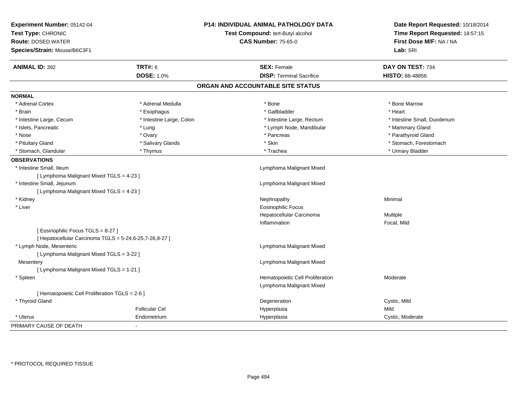| Experiment Number: 05142-04<br>Test Type: CHRONIC<br><b>Route: DOSED WATER</b> |                          | <b>P14: INDIVIDUAL ANIMAL PATHOLOGY DATA</b> | Date Report Requested: 10/18/2014<br>Time Report Requested: 18:57:15<br>First Dose M/F: NA / NA |
|--------------------------------------------------------------------------------|--------------------------|----------------------------------------------|-------------------------------------------------------------------------------------------------|
|                                                                                |                          | Test Compound: tert-Butyl alcohol            |                                                                                                 |
|                                                                                |                          | <b>CAS Number: 75-65-0</b>                   |                                                                                                 |
| Species/Strain: Mouse/B6C3F1                                                   |                          |                                              | Lab: SRI                                                                                        |
| <b>ANIMAL ID: 392</b>                                                          | <b>TRT#: 6</b>           | <b>SEX: Female</b>                           | DAY ON TEST: 734                                                                                |
|                                                                                | <b>DOSE: 1.0%</b>        | <b>DISP: Terminal Sacrifice</b>              | <b>HISTO: 88-48856</b>                                                                          |
|                                                                                |                          | ORGAN AND ACCOUNTABLE SITE STATUS            |                                                                                                 |
| <b>NORMAL</b>                                                                  |                          |                                              |                                                                                                 |
| * Adrenal Cortex                                                               | * Adrenal Medulla        | * Bone                                       | * Bone Marrow                                                                                   |
| * Brain                                                                        | * Esophagus              | * Gallbladder                                | * Heart                                                                                         |
| * Intestine Large, Cecum                                                       | * Intestine Large, Colon | * Intestine Large, Rectum                    | * Intestine Small, Duodenum                                                                     |
| * Islets, Pancreatic                                                           | * Lung                   | * Lymph Node, Mandibular                     | * Mammary Gland                                                                                 |
| * Nose                                                                         | * Ovary                  | * Pancreas                                   | * Parathyroid Gland                                                                             |
| * Pituitary Gland                                                              | * Salivary Glands        | * Skin                                       | * Stomach, Forestomach                                                                          |
| * Stomach, Glandular                                                           | * Thymus                 | * Trachea                                    | * Urinary Bladder                                                                               |
| <b>OBSERVATIONS</b>                                                            |                          |                                              |                                                                                                 |
| * Intestine Small, Ileum                                                       |                          | Lymphoma Malignant Mixed                     |                                                                                                 |
| [ Lymphoma Malignant Mixed TGLS = 4-23 ]                                       |                          |                                              |                                                                                                 |
| * Intestine Small, Jejunum                                                     |                          | Lymphoma Malignant Mixed                     |                                                                                                 |
| [ Lymphoma Malignant Mixed TGLS = 4-23 ]                                       |                          |                                              |                                                                                                 |
| * Kidney                                                                       |                          | Nephropathy                                  | Minimal                                                                                         |
| * Liver                                                                        |                          | <b>Eosinophilic Focus</b>                    |                                                                                                 |
|                                                                                |                          | Hepatocellular Carcinoma                     | Multiple                                                                                        |
|                                                                                |                          | Inflammation                                 | Focal, Mild                                                                                     |
| [Eosinophilic Focus TGLS = 8-27]                                               |                          |                                              |                                                                                                 |
| [ Hepatocellular Carcinoma TGLS = 5-24,6-25,7-26,8-27 ]                        |                          |                                              |                                                                                                 |
| * Lymph Node, Mesenteric                                                       |                          | Lymphoma Malignant Mixed                     |                                                                                                 |
| [ Lymphoma Malignant Mixed TGLS = 3-22 ]                                       |                          |                                              |                                                                                                 |
| Mesentery                                                                      |                          | Lymphoma Malignant Mixed                     |                                                                                                 |
| [ Lymphoma Malignant Mixed TGLS = 1-21 ]                                       |                          |                                              |                                                                                                 |
| * Spleen                                                                       |                          | Hematopoietic Cell Proliferation             | Moderate                                                                                        |
|                                                                                |                          | Lymphoma Malignant Mixed                     |                                                                                                 |
| [ Hematopoietic Cell Proliferation TGLS = 2-6 ]                                |                          |                                              |                                                                                                 |
| * Thyroid Gland                                                                |                          | Degeneration                                 | Cystic, Mild                                                                                    |
|                                                                                | <b>Follicular Cel</b>    | Hyperplasia                                  | Mild                                                                                            |
| * Uterus                                                                       | Endometrium              | Hyperplasia                                  | Cystic, Moderate                                                                                |
| PRIMARY CAUSE OF DEATH                                                         |                          |                                              |                                                                                                 |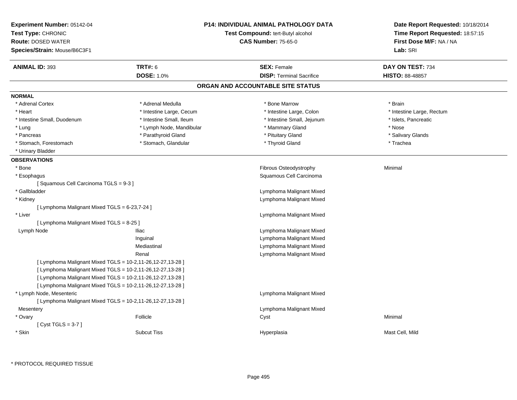| Experiment Number: 05142-04<br>Test Type: CHRONIC<br><b>Route: DOSED WATER</b><br>Species/Strain: Mouse/B6C3F1 |                          | <b>P14: INDIVIDUAL ANIMAL PATHOLOGY DATA</b><br>Test Compound: tert-Butyl alcohol<br><b>CAS Number: 75-65-0</b> | Date Report Requested: 10/18/2014<br>Time Report Requested: 18:57:15<br>First Dose M/F: NA / NA<br>Lab: SRI |
|----------------------------------------------------------------------------------------------------------------|--------------------------|-----------------------------------------------------------------------------------------------------------------|-------------------------------------------------------------------------------------------------------------|
| <b>ANIMAL ID: 393</b>                                                                                          | <b>TRT#: 6</b>           | <b>SEX: Female</b>                                                                                              | DAY ON TEST: 734                                                                                            |
|                                                                                                                | <b>DOSE: 1.0%</b>        | <b>DISP: Terminal Sacrifice</b>                                                                                 | <b>HISTO: 88-48857</b>                                                                                      |
|                                                                                                                |                          | ORGAN AND ACCOUNTABLE SITE STATUS                                                                               |                                                                                                             |
| <b>NORMAL</b>                                                                                                  |                          |                                                                                                                 |                                                                                                             |
| * Adrenal Cortex                                                                                               | * Adrenal Medulla        | * Bone Marrow                                                                                                   | * Brain                                                                                                     |
| * Heart                                                                                                        | * Intestine Large, Cecum | * Intestine Large, Colon                                                                                        | * Intestine Large, Rectum                                                                                   |
| * Intestine Small, Duodenum                                                                                    | * Intestine Small, Ileum | * Intestine Small, Jejunum                                                                                      | * Islets, Pancreatic                                                                                        |
| * Lung                                                                                                         | * Lymph Node, Mandibular | * Mammary Gland                                                                                                 | * Nose                                                                                                      |
| * Pancreas                                                                                                     | * Parathyroid Gland      | * Pituitary Gland                                                                                               | * Salivary Glands                                                                                           |
| * Stomach, Forestomach                                                                                         | * Stomach, Glandular     | * Thyroid Gland                                                                                                 | * Trachea                                                                                                   |
| * Urinary Bladder                                                                                              |                          |                                                                                                                 |                                                                                                             |
| <b>OBSERVATIONS</b>                                                                                            |                          |                                                                                                                 |                                                                                                             |
| * Bone                                                                                                         |                          | Fibrous Osteodystrophy                                                                                          | Minimal                                                                                                     |
| * Esophagus                                                                                                    |                          | Squamous Cell Carcinoma                                                                                         |                                                                                                             |
| [Squamous Cell Carcinoma TGLS = 9-3]                                                                           |                          |                                                                                                                 |                                                                                                             |
| * Gallbladder                                                                                                  |                          | Lymphoma Malignant Mixed                                                                                        |                                                                                                             |
| * Kidney                                                                                                       |                          | Lymphoma Malignant Mixed                                                                                        |                                                                                                             |
| [ Lymphoma Malignant Mixed TGLS = 6-23,7-24 ]                                                                  |                          |                                                                                                                 |                                                                                                             |
| * Liver                                                                                                        |                          | Lymphoma Malignant Mixed                                                                                        |                                                                                                             |
| [ Lymphoma Malignant Mixed TGLS = 8-25 ]                                                                       |                          |                                                                                                                 |                                                                                                             |
| Lymph Node                                                                                                     | <b>Iliac</b>             | Lymphoma Malignant Mixed                                                                                        |                                                                                                             |
|                                                                                                                | Inguinal                 | Lymphoma Malignant Mixed                                                                                        |                                                                                                             |
|                                                                                                                | Mediastinal              | Lymphoma Malignant Mixed                                                                                        |                                                                                                             |
|                                                                                                                | Renal                    | Lymphoma Malignant Mixed                                                                                        |                                                                                                             |
| [ Lymphoma Malignant Mixed TGLS = 10-2,11-26,12-27,13-28 ]                                                     |                          |                                                                                                                 |                                                                                                             |
| [ Lymphoma Malignant Mixed TGLS = 10-2,11-26,12-27,13-28 ]                                                     |                          |                                                                                                                 |                                                                                                             |
| [ Lymphoma Malignant Mixed TGLS = 10-2,11-26,12-27,13-28 ]                                                     |                          |                                                                                                                 |                                                                                                             |
| [ Lymphoma Malignant Mixed TGLS = 10-2,11-26,12-27,13-28 ]                                                     |                          |                                                                                                                 |                                                                                                             |
| * Lymph Node, Mesenteric                                                                                       |                          | Lymphoma Malignant Mixed                                                                                        |                                                                                                             |
| [ Lymphoma Malignant Mixed TGLS = 10-2,11-26,12-27,13-28 ]                                                     |                          |                                                                                                                 |                                                                                                             |
| Mesentery                                                                                                      |                          | Lymphoma Malignant Mixed                                                                                        |                                                                                                             |
| * Ovary                                                                                                        | Follicle                 | Cyst                                                                                                            | Minimal                                                                                                     |
| [ $Cyst TGLS = 3-7$ ]                                                                                          |                          |                                                                                                                 |                                                                                                             |
| * Skin                                                                                                         | <b>Subcut Tiss</b>       | Hyperplasia                                                                                                     | Mast Cell, Mild                                                                                             |

\* PROTOCOL REQUIRED TISSUE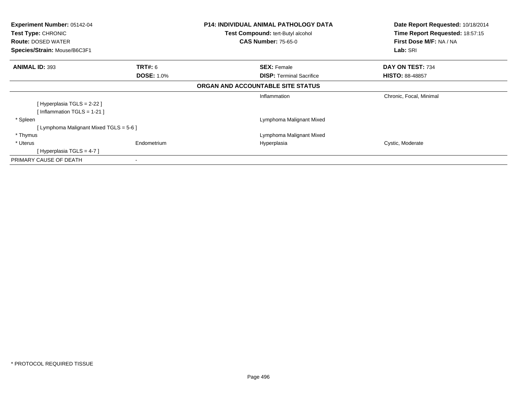| <b>Experiment Number: 05142-04</b><br>Test Type: CHRONIC  |                   | <b>P14: INDIVIDUAL ANIMAL PATHOLOGY DATA</b><br><b>Test Compound: tert-Butyl alcohol</b> | Date Report Requested: 10/18/2014<br>Time Report Requested: 18:57:15 |
|-----------------------------------------------------------|-------------------|------------------------------------------------------------------------------------------|----------------------------------------------------------------------|
| <b>Route: DOSED WATER</b><br>Species/Strain: Mouse/B6C3F1 |                   | <b>CAS Number: 75-65-0</b>                                                               | First Dose M/F: NA / NA                                              |
|                                                           |                   |                                                                                          | Lab: SRI                                                             |
| <b>ANIMAL ID: 393</b>                                     | <b>TRT#: 6</b>    | <b>SEX: Female</b>                                                                       | DAY ON TEST: 734                                                     |
|                                                           | <b>DOSE: 1.0%</b> | <b>DISP:</b> Terminal Sacrifice                                                          | <b>HISTO: 88-48857</b>                                               |
|                                                           |                   | ORGAN AND ACCOUNTABLE SITE STATUS                                                        |                                                                      |
|                                                           |                   | Inflammation                                                                             | Chronic, Focal, Minimal                                              |
| [ Hyperplasia TGLS = 2-22 ]                               |                   |                                                                                          |                                                                      |
| [Inflammation TGLS = 1-21]                                |                   |                                                                                          |                                                                      |
| * Spleen                                                  |                   | Lymphoma Malignant Mixed                                                                 |                                                                      |
| [Lymphoma Malignant Mixed TGLS = 5-6 ]                    |                   |                                                                                          |                                                                      |
| * Thymus                                                  |                   | Lymphoma Malignant Mixed                                                                 |                                                                      |
| * Uterus                                                  | Endometrium       | Hyperplasia                                                                              | Cystic, Moderate                                                     |
| [Hyperplasia TGLS = 4-7]                                  |                   |                                                                                          |                                                                      |
| PRIMARY CAUSE OF DEATH                                    |                   |                                                                                          |                                                                      |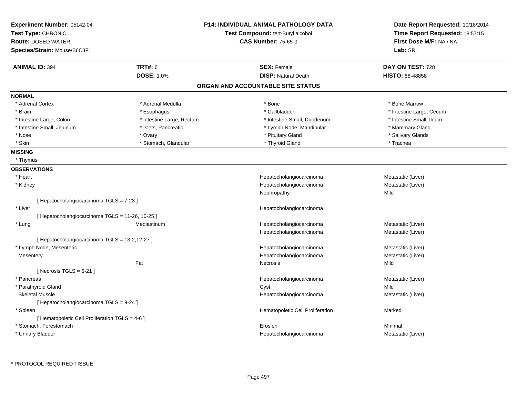| Experiment Number: 05142-04<br>Test Type: CHRONIC<br><b>Route: DOSED WATER</b><br>Species/Strain: Mouse/B6C3F1 |                           | <b>P14: INDIVIDUAL ANIMAL PATHOLOGY DATA</b><br>Test Compound: tert-Butyl alcohol<br><b>CAS Number: 75-65-0</b> | Date Report Requested: 10/18/2014<br>Time Report Requested: 18:57:15<br>First Dose M/F: NA / NA<br>Lab: SRI |
|----------------------------------------------------------------------------------------------------------------|---------------------------|-----------------------------------------------------------------------------------------------------------------|-------------------------------------------------------------------------------------------------------------|
| <b>ANIMAL ID: 394</b>                                                                                          | <b>TRT#: 6</b>            | <b>SEX: Female</b>                                                                                              | DAY ON TEST: 728                                                                                            |
|                                                                                                                | <b>DOSE: 1.0%</b>         | <b>DISP: Natural Death</b>                                                                                      | <b>HISTO: 88-48858</b>                                                                                      |
|                                                                                                                |                           | ORGAN AND ACCOUNTABLE SITE STATUS                                                                               |                                                                                                             |
| <b>NORMAL</b>                                                                                                  |                           |                                                                                                                 |                                                                                                             |
| * Adrenal Cortex                                                                                               | * Adrenal Medulla         | * Bone                                                                                                          | * Bone Marrow                                                                                               |
| * Brain                                                                                                        | * Esophagus               | * Gallbladder                                                                                                   | * Intestine Large, Cecum                                                                                    |
| * Intestine Large, Colon                                                                                       | * Intestine Large, Rectum | * Intestine Small, Duodenum                                                                                     | * Intestine Small, Ileum                                                                                    |
| * Intestine Small, Jejunum                                                                                     | * Islets, Pancreatic      | * Lymph Node, Mandibular                                                                                        | * Mammary Gland                                                                                             |
| * Nose                                                                                                         | * Ovary                   | * Pituitary Gland                                                                                               | * Salivary Glands                                                                                           |
| * Skin                                                                                                         | * Stomach, Glandular      | * Thyroid Gland                                                                                                 | * Trachea                                                                                                   |
| <b>MISSING</b>                                                                                                 |                           |                                                                                                                 |                                                                                                             |
| * Thymus                                                                                                       |                           |                                                                                                                 |                                                                                                             |
| <b>OBSERVATIONS</b>                                                                                            |                           |                                                                                                                 |                                                                                                             |
| * Heart                                                                                                        |                           | Hepatocholangiocarcinoma                                                                                        | Metastatic (Liver)                                                                                          |
| * Kidney                                                                                                       |                           | Hepatocholangiocarcinoma                                                                                        | Metastatic (Liver)                                                                                          |
|                                                                                                                |                           | Nephropathy                                                                                                     | Mild                                                                                                        |
| [ Hepatocholangiocarcinoma TGLS = 7-23 ]                                                                       |                           |                                                                                                                 |                                                                                                             |
| * Liver                                                                                                        |                           | Hepatocholangiocarcinoma                                                                                        |                                                                                                             |
| [ Hepatocholangiocarcinoma TGLS = 11-26, 10-25 ]                                                               |                           |                                                                                                                 |                                                                                                             |
| * Lung                                                                                                         | Mediastinum               | Hepatocholangiocarcinoma                                                                                        | Metastatic (Liver)                                                                                          |
|                                                                                                                |                           | Hepatocholangiocarcinoma                                                                                        | Metastatic (Liver)                                                                                          |
| [ Hepatocholangiocarcinoma TGLS = 13-2,12-27 ]                                                                 |                           |                                                                                                                 |                                                                                                             |
| * Lymph Node, Mesenteric                                                                                       |                           | Hepatocholangiocarcinoma                                                                                        | Metastatic (Liver)                                                                                          |
| Mesentery                                                                                                      |                           | Hepatocholangiocarcinoma                                                                                        | Metastatic (Liver)                                                                                          |
|                                                                                                                | Fat                       | Necrosis                                                                                                        | Mild                                                                                                        |
| [Necrosis $TGLS = 5-21$ ]                                                                                      |                           |                                                                                                                 |                                                                                                             |
| * Pancreas                                                                                                     |                           | Hepatocholangiocarcinoma                                                                                        | Metastatic (Liver)                                                                                          |
| * Parathyroid Gland                                                                                            |                           | Cyst                                                                                                            | Mild                                                                                                        |
| <b>Skeletal Muscle</b>                                                                                         |                           | Hepatocholangiocarcinoma                                                                                        | Metastatic (Liver)                                                                                          |
| [ Hepatocholangiocarcinoma TGLS = 9-24 ]                                                                       |                           |                                                                                                                 |                                                                                                             |
| * Spleen                                                                                                       |                           | Hematopoietic Cell Proliferation                                                                                | Marked                                                                                                      |
| [ Hematopoietic Cell Proliferation TGLS = 4-6 ]                                                                |                           |                                                                                                                 |                                                                                                             |
| * Stomach, Forestomach                                                                                         |                           | Erosion                                                                                                         | Minimal                                                                                                     |
| * Urinary Bladder                                                                                              |                           | Hepatocholangiocarcinoma                                                                                        | Metastatic (Liver)                                                                                          |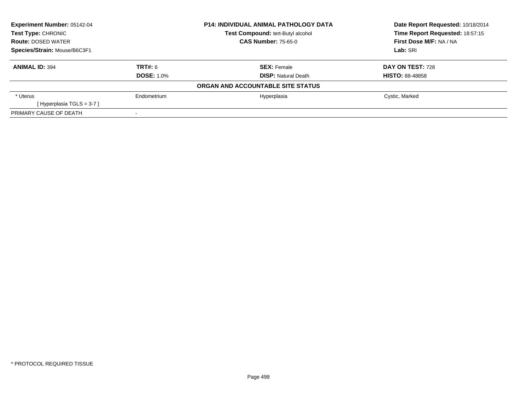| <b>Experiment Number: 05142-04</b><br><b>Test Type: CHRONIC</b> |                   | <b>P14: INDIVIDUAL ANIMAL PATHOLOGY DATA</b> | Date Report Requested: 10/18/2014 |  |
|-----------------------------------------------------------------|-------------------|----------------------------------------------|-----------------------------------|--|
|                                                                 |                   | Test Compound: tert-Butyl alcohol            | Time Report Requested: 18:57:15   |  |
| <b>Route: DOSED WATER</b>                                       |                   | <b>CAS Number: 75-65-0</b>                   | First Dose M/F: NA / NA           |  |
| Species/Strain: Mouse/B6C3F1                                    |                   |                                              | Lab: SRI                          |  |
| <b>ANIMAL ID: 394</b>                                           | TRT#: 6           | <b>SEX: Female</b>                           | DAY ON TEST: 728                  |  |
|                                                                 | <b>DOSE: 1.0%</b> | <b>DISP:</b> Natural Death                   | <b>HISTO: 88-48858</b>            |  |
|                                                                 |                   | ORGAN AND ACCOUNTABLE SITE STATUS            |                                   |  |
| * Uterus                                                        | Endometrium       | Hyperplasia                                  | Cystic, Marked                    |  |
| [Hyperplasia TGLS = 3-7]                                        |                   |                                              |                                   |  |
| PRIMARY CAUSE OF DEATH                                          |                   |                                              |                                   |  |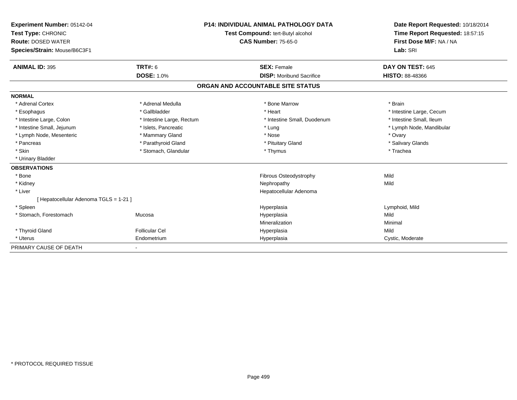| <b>Experiment Number: 05142-04</b><br>Test Type: CHRONIC<br><b>Route: DOSED WATER</b><br>Species/Strain: Mouse/B6C3F1 | <b>P14: INDIVIDUAL ANIMAL PATHOLOGY DATA</b><br>Test Compound: tert-Butyl alcohol<br><b>CAS Number: 75-65-0</b> |                                   | Date Report Requested: 10/18/2014<br>Time Report Requested: 18:57:15<br>First Dose M/F: NA / NA<br>Lab: SRI |
|-----------------------------------------------------------------------------------------------------------------------|-----------------------------------------------------------------------------------------------------------------|-----------------------------------|-------------------------------------------------------------------------------------------------------------|
| <b>ANIMAL ID: 395</b>                                                                                                 | <b>TRT#: 6</b><br><b>DOSE: 1.0%</b>                                                                             | <b>SEX: Female</b>                | DAY ON TEST: 645                                                                                            |
|                                                                                                                       |                                                                                                                 | <b>DISP:</b> Moribund Sacrifice   | <b>HISTO: 88-48366</b>                                                                                      |
|                                                                                                                       |                                                                                                                 | ORGAN AND ACCOUNTABLE SITE STATUS |                                                                                                             |
| <b>NORMAL</b>                                                                                                         |                                                                                                                 |                                   |                                                                                                             |
| * Adrenal Cortex                                                                                                      | * Adrenal Medulla                                                                                               | * Bone Marrow                     | * Brain                                                                                                     |
| * Esophagus                                                                                                           | * Gallbladder                                                                                                   | * Heart                           | * Intestine Large, Cecum                                                                                    |
| * Intestine Large, Colon                                                                                              | * Intestine Large, Rectum                                                                                       | * Intestine Small, Duodenum       | * Intestine Small. Ileum                                                                                    |
| * Intestine Small, Jejunum                                                                                            | * Islets, Pancreatic                                                                                            | * Lung                            | * Lymph Node, Mandibular                                                                                    |
| * Lymph Node, Mesenteric                                                                                              | * Mammary Gland                                                                                                 | * Nose                            | * Ovary                                                                                                     |
| * Pancreas                                                                                                            | * Parathyroid Gland                                                                                             | * Pituitary Gland                 | * Salivary Glands                                                                                           |
| * Skin                                                                                                                | * Stomach, Glandular                                                                                            | * Thymus                          | * Trachea                                                                                                   |
| * Urinary Bladder                                                                                                     |                                                                                                                 |                                   |                                                                                                             |
| <b>OBSERVATIONS</b>                                                                                                   |                                                                                                                 |                                   |                                                                                                             |
| * Bone                                                                                                                |                                                                                                                 | <b>Fibrous Osteodystrophy</b>     | Mild                                                                                                        |
| * Kidney                                                                                                              |                                                                                                                 | Nephropathy                       | Mild                                                                                                        |
| * Liver                                                                                                               |                                                                                                                 | Hepatocellular Adenoma            |                                                                                                             |
| [ Hepatocellular Adenoma TGLS = 1-21 ]                                                                                |                                                                                                                 |                                   |                                                                                                             |
| * Spleen                                                                                                              |                                                                                                                 | Hyperplasia                       | Lymphoid, Mild                                                                                              |
| * Stomach, Forestomach                                                                                                | Mucosa                                                                                                          | Hyperplasia                       | Mild                                                                                                        |
|                                                                                                                       |                                                                                                                 | Mineralization                    | Minimal                                                                                                     |
| * Thyroid Gland                                                                                                       | <b>Follicular Cel</b>                                                                                           | Hyperplasia                       | Mild                                                                                                        |
| * Uterus                                                                                                              | Endometrium                                                                                                     | Hyperplasia                       | Cystic, Moderate                                                                                            |
| PRIMARY CAUSE OF DEATH                                                                                                |                                                                                                                 |                                   |                                                                                                             |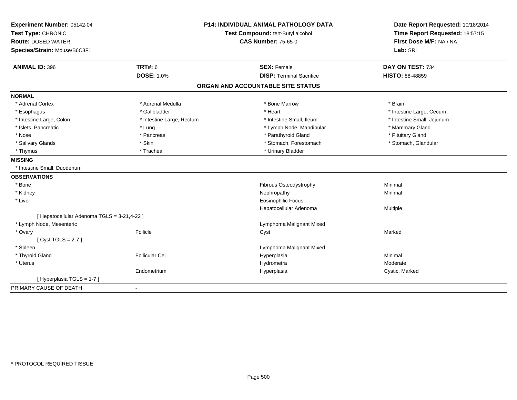| Experiment Number: 05142-04                 | <b>P14: INDIVIDUAL ANIMAL PATHOLOGY DATA</b> |                                   | Date Report Requested: 10/18/2014                          |  |
|---------------------------------------------|----------------------------------------------|-----------------------------------|------------------------------------------------------------|--|
| Test Type: CHRONIC                          |                                              | Test Compound: tert-Butyl alcohol | Time Report Requested: 18:57:15<br>First Dose M/F: NA / NA |  |
| <b>Route: DOSED WATER</b>                   |                                              | <b>CAS Number: 75-65-0</b>        |                                                            |  |
| Species/Strain: Mouse/B6C3F1                |                                              |                                   | Lab: SRI                                                   |  |
| <b>ANIMAL ID: 396</b>                       | <b>TRT#: 6</b>                               | <b>SEX: Female</b>                | DAY ON TEST: 734                                           |  |
|                                             | <b>DOSE: 1.0%</b>                            | <b>DISP: Terminal Sacrifice</b>   | <b>HISTO: 88-48859</b>                                     |  |
|                                             |                                              | ORGAN AND ACCOUNTABLE SITE STATUS |                                                            |  |
| <b>NORMAL</b>                               |                                              |                                   |                                                            |  |
| * Adrenal Cortex                            | * Adrenal Medulla                            | * Bone Marrow                     | * Brain                                                    |  |
| * Esophagus                                 | * Gallbladder                                | * Heart                           | * Intestine Large, Cecum                                   |  |
| * Intestine Large, Colon                    | * Intestine Large, Rectum                    | * Intestine Small, Ileum          | * Intestine Small, Jejunum                                 |  |
| * Islets, Pancreatic                        | * Lung                                       | * Lymph Node, Mandibular          | * Mammary Gland                                            |  |
| * Nose                                      | * Pancreas                                   | * Parathyroid Gland               | * Pituitary Gland                                          |  |
| * Salivary Glands                           | * Skin                                       | * Stomach, Forestomach            | * Stomach, Glandular                                       |  |
| * Thymus                                    | * Trachea                                    | * Urinary Bladder                 |                                                            |  |
| <b>MISSING</b>                              |                                              |                                   |                                                            |  |
| * Intestine Small, Duodenum                 |                                              |                                   |                                                            |  |
| <b>OBSERVATIONS</b>                         |                                              |                                   |                                                            |  |
| * Bone                                      |                                              | Fibrous Osteodystrophy            | Minimal                                                    |  |
| * Kidney                                    |                                              | Nephropathy                       | Minimal                                                    |  |
| * Liver                                     |                                              | <b>Eosinophilic Focus</b>         |                                                            |  |
|                                             |                                              | Hepatocellular Adenoma            | Multiple                                                   |  |
| [ Hepatocellular Adenoma TGLS = 3-21,4-22 ] |                                              |                                   |                                                            |  |
| * Lymph Node, Mesenteric                    |                                              | Lymphoma Malignant Mixed          |                                                            |  |
| * Ovary                                     | Follicle                                     | Cyst                              | Marked                                                     |  |
| [Cyst TGLS = $2-7$ ]                        |                                              |                                   |                                                            |  |
| * Spleen                                    |                                              | Lymphoma Malignant Mixed          |                                                            |  |
| * Thyroid Gland                             | <b>Follicular Cel</b>                        | Hyperplasia                       | Minimal                                                    |  |
| * Uterus                                    |                                              | Hydrometra                        | Moderate                                                   |  |
|                                             | Endometrium                                  | Hyperplasia                       | Cystic, Marked                                             |  |
| [Hyperplasia TGLS = 1-7]                    |                                              |                                   |                                                            |  |
| PRIMARY CAUSE OF DEATH                      | $\blacksquare$                               |                                   |                                                            |  |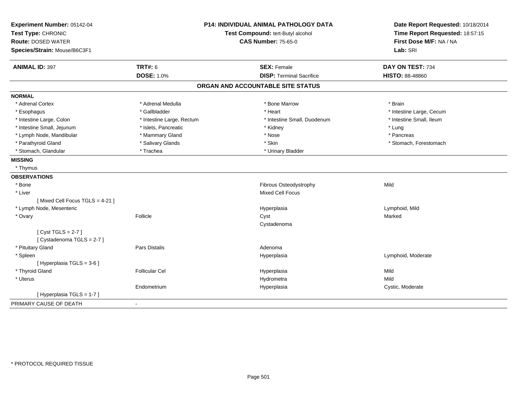| Experiment Number: 05142-04    |                           | <b>P14: INDIVIDUAL ANIMAL PATHOLOGY DATA</b> | Date Report Requested: 10/18/2014                          |
|--------------------------------|---------------------------|----------------------------------------------|------------------------------------------------------------|
| Test Type: CHRONIC             |                           | Test Compound: tert-Butyl alcohol            | Time Report Requested: 18:57:15<br>First Dose M/F: NA / NA |
| <b>Route: DOSED WATER</b>      |                           | <b>CAS Number: 75-65-0</b>                   |                                                            |
| Species/Strain: Mouse/B6C3F1   |                           |                                              | Lab: SRI                                                   |
| <b>ANIMAL ID: 397</b>          | <b>TRT#: 6</b>            | <b>SEX: Female</b>                           | DAY ON TEST: 734                                           |
|                                | <b>DOSE: 1.0%</b>         | <b>DISP: Terminal Sacrifice</b>              | <b>HISTO: 88-48860</b>                                     |
|                                |                           | ORGAN AND ACCOUNTABLE SITE STATUS            |                                                            |
| <b>NORMAL</b>                  |                           |                                              |                                                            |
| * Adrenal Cortex               | * Adrenal Medulla         | * Bone Marrow                                | * Brain                                                    |
| * Esophagus                    | * Gallbladder             | * Heart                                      | * Intestine Large, Cecum                                   |
| * Intestine Large, Colon       | * Intestine Large, Rectum | * Intestine Small, Duodenum                  | * Intestine Small, Ileum                                   |
| * Intestine Small, Jejunum     | * Islets, Pancreatic      | * Kidney                                     | * Lung                                                     |
| * Lymph Node, Mandibular       | * Mammary Gland           | * Nose                                       | * Pancreas                                                 |
| * Parathyroid Gland            | * Salivary Glands         | * Skin                                       | * Stomach, Forestomach                                     |
| * Stomach, Glandular           | * Trachea                 | * Urinary Bladder                            |                                                            |
| <b>MISSING</b>                 |                           |                                              |                                                            |
| * Thymus                       |                           |                                              |                                                            |
| <b>OBSERVATIONS</b>            |                           |                                              |                                                            |
| * Bone                         |                           | Fibrous Osteodystrophy                       | Mild                                                       |
| * Liver                        |                           | <b>Mixed Cell Focus</b>                      |                                                            |
| [Mixed Cell Focus TGLS = 4-21] |                           |                                              |                                                            |
| * Lymph Node, Mesenteric       |                           | Hyperplasia                                  | Lymphoid, Mild                                             |
| * Ovary                        | Follicle                  | Cyst                                         | Marked                                                     |
|                                |                           | Cystadenoma                                  |                                                            |
| [Cyst TGLS = $2-7$ ]           |                           |                                              |                                                            |
| [Cystadenoma TGLS = 2-7]       |                           |                                              |                                                            |
| * Pituitary Gland              | Pars Distalis             | Adenoma                                      |                                                            |
| * Spleen                       |                           | Hyperplasia                                  | Lymphoid, Moderate                                         |
| [ Hyperplasia TGLS = 3-6 ]     |                           |                                              |                                                            |
| * Thyroid Gland                | <b>Follicular Cel</b>     | Hyperplasia                                  | Mild                                                       |
| * Uterus                       |                           | Hydrometra                                   | Mild                                                       |
|                                | Endometrium               | Hyperplasia                                  | Cystic, Moderate                                           |
| [ Hyperplasia TGLS = 1-7 ]     |                           |                                              |                                                            |
| PRIMARY CAUSE OF DEATH         | $\blacksquare$            |                                              |                                                            |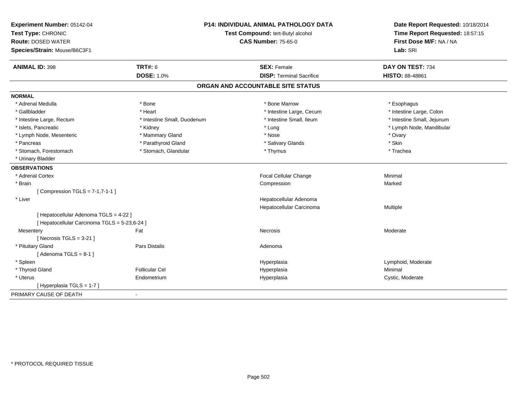| Experiment Number: 05142-04<br>Test Type: CHRONIC                                       |                             | <b>P14: INDIVIDUAL ANIMAL PATHOLOGY DATA</b><br>Test Compound: tert-Butyl alcohol | Date Report Requested: 10/18/2014<br>Time Report Requested: 18:57:15<br>First Dose M/F: NA / NA |
|-----------------------------------------------------------------------------------------|-----------------------------|-----------------------------------------------------------------------------------|-------------------------------------------------------------------------------------------------|
| <b>Route: DOSED WATER</b>                                                               |                             | <b>CAS Number: 75-65-0</b>                                                        |                                                                                                 |
| Species/Strain: Mouse/B6C3F1                                                            |                             |                                                                                   | Lab: SRI                                                                                        |
| <b>ANIMAL ID: 398</b>                                                                   | <b>TRT#: 6</b>              | <b>SEX: Female</b>                                                                | DAY ON TEST: 734                                                                                |
|                                                                                         | <b>DOSE: 1.0%</b>           | <b>DISP: Terminal Sacrifice</b>                                                   | HISTO: 88-48861                                                                                 |
|                                                                                         |                             | ORGAN AND ACCOUNTABLE SITE STATUS                                                 |                                                                                                 |
| <b>NORMAL</b>                                                                           |                             |                                                                                   |                                                                                                 |
| * Adrenal Medulla                                                                       | * Bone                      | * Bone Marrow                                                                     | * Esophagus                                                                                     |
| * Gallbladder                                                                           | * Heart                     | * Intestine Large, Cecum                                                          | * Intestine Large, Colon                                                                        |
| * Intestine Large, Rectum                                                               | * Intestine Small, Duodenum | * Intestine Small, Ileum                                                          | * Intestine Small, Jejunum                                                                      |
| * Islets, Pancreatic                                                                    | * Kidney                    | * Lung                                                                            | * Lymph Node, Mandibular                                                                        |
| * Lymph Node, Mesenteric                                                                | * Mammary Gland             | * Nose                                                                            | * Ovary                                                                                         |
| * Pancreas                                                                              | * Parathyroid Gland         | * Salivary Glands                                                                 | * Skin                                                                                          |
| * Stomach, Forestomach                                                                  | * Stomach, Glandular        | * Thymus                                                                          | * Trachea                                                                                       |
| * Urinary Bladder                                                                       |                             |                                                                                   |                                                                                                 |
| <b>OBSERVATIONS</b>                                                                     |                             |                                                                                   |                                                                                                 |
| * Adrenal Cortex                                                                        |                             | Focal Cellular Change                                                             | Minimal                                                                                         |
| * Brain                                                                                 |                             | Compression                                                                       | Marked                                                                                          |
| [Compression TGLS = $7-1,7-1-1$ ]                                                       |                             |                                                                                   |                                                                                                 |
| * Liver                                                                                 |                             | Hepatocellular Adenoma                                                            |                                                                                                 |
|                                                                                         |                             | Hepatocellular Carcinoma                                                          | Multiple                                                                                        |
| [ Hepatocellular Adenoma TGLS = 4-22 ]<br>[ Hepatocellular Carcinoma TGLS = 5-23,6-24 ] |                             |                                                                                   |                                                                                                 |
| Mesentery                                                                               | Fat                         | <b>Necrosis</b>                                                                   | Moderate                                                                                        |
| [Necrosis $TGLS = 3-21$ ]                                                               |                             |                                                                                   |                                                                                                 |
| * Pituitary Gland                                                                       | Pars Distalis               | Adenoma                                                                           |                                                                                                 |
| [Adenoma TGLS = $8-1$ ]                                                                 |                             |                                                                                   |                                                                                                 |
| * Spleen                                                                                |                             | Hyperplasia                                                                       | Lymphoid, Moderate                                                                              |
| * Thyroid Gland                                                                         | <b>Follicular Cel</b>       | Hyperplasia                                                                       | Minimal                                                                                         |
| * Uterus                                                                                | Endometrium                 | Hyperplasia                                                                       | Cystic, Moderate                                                                                |
| [Hyperplasia TGLS = 1-7]                                                                |                             |                                                                                   |                                                                                                 |
| PRIMARY CAUSE OF DEATH                                                                  | $\blacksquare$              |                                                                                   |                                                                                                 |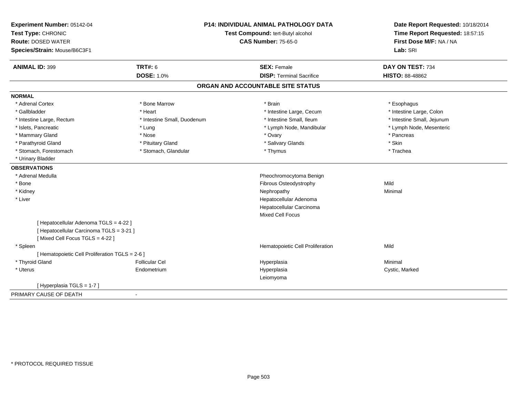| Experiment Number: 05142-04<br>Test Type: CHRONIC<br><b>Route: DOSED WATER</b><br>Species/Strain: Mouse/B6C3F1 |                             | <b>P14: INDIVIDUAL ANIMAL PATHOLOGY DATA</b><br>Test Compound: tert-Butyl alcohol<br><b>CAS Number: 75-65-0</b> | Date Report Requested: 10/18/2014<br>Time Report Requested: 18:57:15<br>First Dose M/F: NA / NA<br>Lab: SRI |
|----------------------------------------------------------------------------------------------------------------|-----------------------------|-----------------------------------------------------------------------------------------------------------------|-------------------------------------------------------------------------------------------------------------|
| <b>ANIMAL ID: 399</b>                                                                                          | <b>TRT#: 6</b>              | <b>SEX: Female</b>                                                                                              | DAY ON TEST: 734                                                                                            |
|                                                                                                                | <b>DOSE: 1.0%</b>           | <b>DISP: Terminal Sacrifice</b>                                                                                 | HISTO: 88-48862                                                                                             |
|                                                                                                                |                             |                                                                                                                 |                                                                                                             |
|                                                                                                                |                             | ORGAN AND ACCOUNTABLE SITE STATUS                                                                               |                                                                                                             |
| <b>NORMAL</b>                                                                                                  |                             |                                                                                                                 |                                                                                                             |
| * Adrenal Cortex                                                                                               | * Bone Marrow               | * Brain                                                                                                         | * Esophagus                                                                                                 |
| * Gallbladder                                                                                                  | * Heart                     | * Intestine Large, Cecum                                                                                        | * Intestine Large, Colon                                                                                    |
| * Intestine Large, Rectum                                                                                      | * Intestine Small, Duodenum | * Intestine Small, Ileum                                                                                        | * Intestine Small, Jejunum                                                                                  |
| * Islets, Pancreatic                                                                                           | * Lung                      | * Lymph Node, Mandibular                                                                                        | * Lymph Node, Mesenteric                                                                                    |
| * Mammary Gland                                                                                                | * Nose                      | * Ovary                                                                                                         | * Pancreas                                                                                                  |
| * Parathyroid Gland                                                                                            | * Pituitary Gland           | * Salivary Glands                                                                                               | * Skin                                                                                                      |
| * Stomach, Forestomach                                                                                         | * Stomach, Glandular        | * Thymus                                                                                                        | * Trachea                                                                                                   |
| * Urinary Bladder                                                                                              |                             |                                                                                                                 |                                                                                                             |
| <b>OBSERVATIONS</b>                                                                                            |                             |                                                                                                                 |                                                                                                             |
| * Adrenal Medulla                                                                                              |                             | Pheochromocytoma Benign                                                                                         |                                                                                                             |
| * Bone                                                                                                         |                             | Fibrous Osteodystrophy                                                                                          | Mild                                                                                                        |
| * Kidney                                                                                                       |                             | Nephropathy                                                                                                     | Minimal                                                                                                     |
| * Liver                                                                                                        |                             | Hepatocellular Adenoma                                                                                          |                                                                                                             |
|                                                                                                                |                             | Hepatocellular Carcinoma                                                                                        |                                                                                                             |
|                                                                                                                |                             | <b>Mixed Cell Focus</b>                                                                                         |                                                                                                             |
| [ Hepatocellular Adenoma TGLS = 4-22 ]                                                                         |                             |                                                                                                                 |                                                                                                             |
| [ Hepatocellular Carcinoma TGLS = 3-21 ]                                                                       |                             |                                                                                                                 |                                                                                                             |
| [Mixed Cell Focus TGLS = 4-22]                                                                                 |                             |                                                                                                                 |                                                                                                             |
| * Spleen                                                                                                       |                             | Hematopoietic Cell Proliferation                                                                                | Mild                                                                                                        |
| [ Hematopoietic Cell Proliferation TGLS = 2-6 ]                                                                |                             |                                                                                                                 |                                                                                                             |
| * Thyroid Gland                                                                                                | <b>Follicular Cel</b>       | Hyperplasia                                                                                                     | Minimal                                                                                                     |
| * Uterus                                                                                                       | Endometrium                 | Hyperplasia                                                                                                     | Cystic, Marked                                                                                              |
|                                                                                                                |                             | Leiomyoma                                                                                                       |                                                                                                             |
| [Hyperplasia TGLS = 1-7]                                                                                       |                             |                                                                                                                 |                                                                                                             |
| PRIMARY CAUSE OF DEATH                                                                                         |                             |                                                                                                                 |                                                                                                             |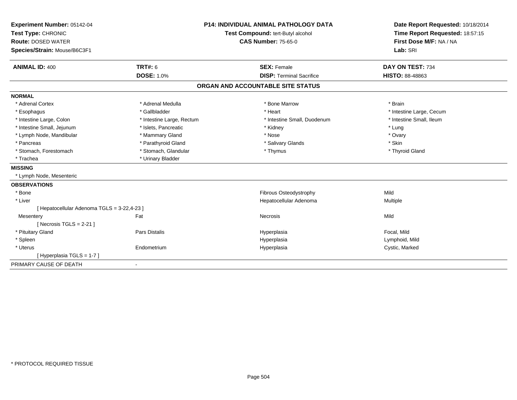| Experiment Number: 05142-04<br>Test Type: CHRONIC |                           | <b>P14: INDIVIDUAL ANIMAL PATHOLOGY DATA</b> | Date Report Requested: 10/18/2014<br>Time Report Requested: 18:57:15 |
|---------------------------------------------------|---------------------------|----------------------------------------------|----------------------------------------------------------------------|
|                                                   |                           | Test Compound: tert-Butyl alcohol            |                                                                      |
| <b>Route: DOSED WATER</b>                         |                           | <b>CAS Number: 75-65-0</b>                   | First Dose M/F: NA / NA                                              |
| Species/Strain: Mouse/B6C3F1                      |                           |                                              | Lab: SRI                                                             |
|                                                   |                           |                                              |                                                                      |
| <b>ANIMAL ID: 400</b>                             | <b>TRT#: 6</b>            | <b>SEX: Female</b>                           | DAY ON TEST: 734                                                     |
|                                                   | <b>DOSE: 1.0%</b>         | <b>DISP: Terminal Sacrifice</b>              | HISTO: 88-48863                                                      |
|                                                   |                           | ORGAN AND ACCOUNTABLE SITE STATUS            |                                                                      |
| <b>NORMAL</b>                                     |                           |                                              |                                                                      |
| * Adrenal Cortex                                  | * Adrenal Medulla         | * Bone Marrow                                | * Brain                                                              |
| * Esophagus                                       | * Gallbladder             | * Heart                                      | * Intestine Large, Cecum                                             |
| * Intestine Large, Colon                          | * Intestine Large, Rectum | * Intestine Small, Duodenum                  | * Intestine Small, Ileum                                             |
| * Intestine Small, Jejunum                        | * Islets, Pancreatic      | * Kidney                                     | * Lung                                                               |
| * Lymph Node, Mandibular                          | * Mammary Gland           | * Nose                                       | * Ovary                                                              |
| * Pancreas                                        | * Parathyroid Gland       | * Salivary Glands                            | * Skin                                                               |
| * Stomach, Forestomach                            | * Stomach, Glandular      | * Thymus                                     | * Thyroid Gland                                                      |
| * Trachea                                         | * Urinary Bladder         |                                              |                                                                      |
| <b>MISSING</b>                                    |                           |                                              |                                                                      |
| * Lymph Node, Mesenteric                          |                           |                                              |                                                                      |
| <b>OBSERVATIONS</b>                               |                           |                                              |                                                                      |
| * Bone                                            |                           | <b>Fibrous Osteodystrophy</b>                | Mild                                                                 |
| * Liver                                           |                           | Hepatocellular Adenoma                       | Multiple                                                             |
| [ Hepatocellular Adenoma TGLS = 3-22,4-23 ]       |                           |                                              |                                                                      |
| Mesentery                                         | Fat                       | <b>Necrosis</b>                              | Mild                                                                 |
| [Necrosis TGLS = $2-21$ ]                         |                           |                                              |                                                                      |
| * Pituitary Gland                                 | <b>Pars Distalis</b>      | Hyperplasia                                  | Focal, Mild                                                          |
| * Spleen                                          |                           | Hyperplasia                                  | Lymphoid, Mild                                                       |
| * Uterus                                          | Endometrium               | Hyperplasia                                  | Cystic, Marked                                                       |
| [Hyperplasia TGLS = 1-7]                          |                           |                                              |                                                                      |
| PRIMARY CAUSE OF DEATH                            |                           |                                              |                                                                      |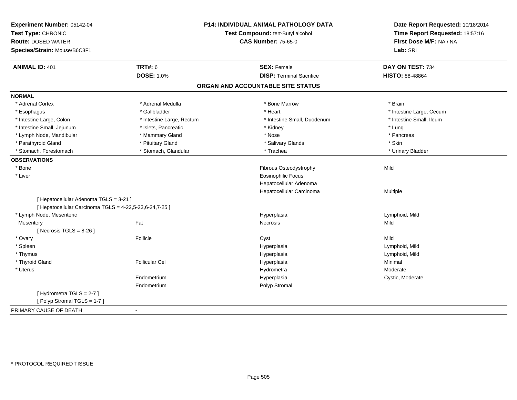| Experiment Number: 05142-04<br>Test Type: CHRONIC<br><b>Route: DOSED WATER</b><br>Species/Strain: Mouse/B6C3F1 |                           | P14: INDIVIDUAL ANIMAL PATHOLOGY DATA<br>Test Compound: tert-Butyl alcohol<br><b>CAS Number: 75-65-0</b> | Date Report Requested: 10/18/2014<br>Time Report Requested: 18:57:16<br>First Dose M/F: NA / NA<br>Lab: SRI |
|----------------------------------------------------------------------------------------------------------------|---------------------------|----------------------------------------------------------------------------------------------------------|-------------------------------------------------------------------------------------------------------------|
| <b>ANIMAL ID: 401</b>                                                                                          | <b>TRT#: 6</b>            | <b>SEX: Female</b>                                                                                       | DAY ON TEST: 734                                                                                            |
|                                                                                                                | <b>DOSE: 1.0%</b>         | <b>DISP: Terminal Sacrifice</b>                                                                          | <b>HISTO: 88-48864</b>                                                                                      |
|                                                                                                                |                           | ORGAN AND ACCOUNTABLE SITE STATUS                                                                        |                                                                                                             |
| <b>NORMAL</b>                                                                                                  |                           |                                                                                                          |                                                                                                             |
| * Adrenal Cortex                                                                                               | * Adrenal Medulla         | * Bone Marrow                                                                                            | * Brain                                                                                                     |
| * Esophagus                                                                                                    | * Gallbladder             | * Heart                                                                                                  | * Intestine Large, Cecum                                                                                    |
| * Intestine Large, Colon                                                                                       | * Intestine Large, Rectum | * Intestine Small, Duodenum                                                                              | * Intestine Small, Ileum                                                                                    |
| * Intestine Small, Jejunum                                                                                     | * Islets, Pancreatic      | * Kidney                                                                                                 | * Lung                                                                                                      |
| * Lymph Node, Mandibular                                                                                       | * Mammary Gland           | * Nose                                                                                                   | * Pancreas                                                                                                  |
| * Parathyroid Gland                                                                                            | * Pituitary Gland         | * Salivary Glands                                                                                        | * Skin                                                                                                      |
| * Stomach, Forestomach                                                                                         | * Stomach, Glandular      | * Trachea                                                                                                | * Urinary Bladder                                                                                           |
| <b>OBSERVATIONS</b>                                                                                            |                           |                                                                                                          |                                                                                                             |
| * Bone                                                                                                         |                           | Fibrous Osteodystrophy                                                                                   | Mild                                                                                                        |
| * Liver                                                                                                        |                           | <b>Eosinophilic Focus</b>                                                                                |                                                                                                             |
|                                                                                                                |                           | Hepatocellular Adenoma                                                                                   |                                                                                                             |
|                                                                                                                |                           | Hepatocellular Carcinoma                                                                                 | Multiple                                                                                                    |
| [ Hepatocellular Adenoma TGLS = 3-21 ]<br>[ Hepatocellular Carcinoma TGLS = 4-22,5-23,6-24,7-25 ]              |                           |                                                                                                          |                                                                                                             |
| * Lymph Node, Mesenteric                                                                                       |                           | Hyperplasia                                                                                              | Lymphoid, Mild                                                                                              |
| Mesentery                                                                                                      | Fat                       | <b>Necrosis</b>                                                                                          | Mild                                                                                                        |
| [Necrosis $TGLS = 8-26$ ]                                                                                      |                           |                                                                                                          |                                                                                                             |
| * Ovary                                                                                                        | Follicle                  | Cyst                                                                                                     | Mild                                                                                                        |
| * Spleen                                                                                                       |                           | Hyperplasia                                                                                              | Lymphoid, Mild                                                                                              |
| * Thymus                                                                                                       |                           | Hyperplasia                                                                                              | Lymphoid, Mild                                                                                              |
| * Thyroid Gland                                                                                                | <b>Follicular Cel</b>     | Hyperplasia                                                                                              | Minimal                                                                                                     |
| * Uterus                                                                                                       |                           | Hydrometra                                                                                               | Moderate                                                                                                    |
|                                                                                                                | Endometrium               | Hyperplasia                                                                                              | Cystic, Moderate                                                                                            |
|                                                                                                                | Endometrium               | Polyp Stromal                                                                                            |                                                                                                             |
| [Hydrometra TGLS = 2-7]                                                                                        |                           |                                                                                                          |                                                                                                             |
| [Polyp Stromal TGLS = 1-7]                                                                                     |                           |                                                                                                          |                                                                                                             |
| PRIMARY CAUSE OF DEATH                                                                                         | $\blacksquare$            |                                                                                                          |                                                                                                             |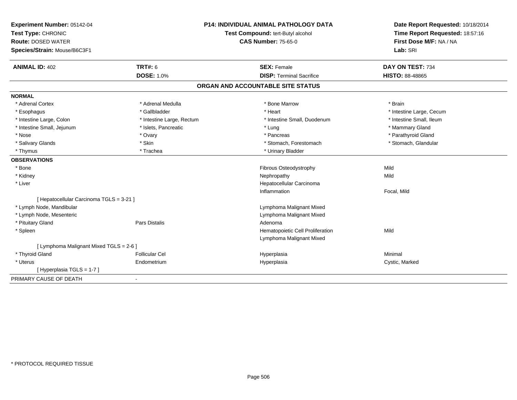| Experiment Number: 05142-04              |                           | <b>P14: INDIVIDUAL ANIMAL PATHOLOGY DATA</b> | Date Report Requested: 10/18/2014 |
|------------------------------------------|---------------------------|----------------------------------------------|-----------------------------------|
| Test Type: CHRONIC                       |                           | Test Compound: tert-Butyl alcohol            | Time Report Requested: 18:57:16   |
| <b>Route: DOSED WATER</b>                |                           | <b>CAS Number: 75-65-0</b>                   | First Dose M/F: NA / NA           |
| Species/Strain: Mouse/B6C3F1             |                           |                                              | Lab: SRI                          |
| <b>ANIMAL ID: 402</b>                    | <b>TRT#: 6</b>            | <b>SEX: Female</b>                           | DAY ON TEST: 734                  |
|                                          | <b>DOSE: 1.0%</b>         | <b>DISP: Terminal Sacrifice</b>              | <b>HISTO: 88-48865</b>            |
|                                          |                           | ORGAN AND ACCOUNTABLE SITE STATUS            |                                   |
| <b>NORMAL</b>                            |                           |                                              |                                   |
| * Adrenal Cortex                         | * Adrenal Medulla         | * Bone Marrow                                | * Brain                           |
| * Esophagus                              | * Gallbladder             | * Heart                                      | * Intestine Large, Cecum          |
| * Intestine Large, Colon                 | * Intestine Large, Rectum | * Intestine Small, Duodenum                  | * Intestine Small, Ileum          |
| * Intestine Small, Jejunum               | * Islets, Pancreatic      | * Lung                                       | * Mammary Gland                   |
| * Nose                                   | * Ovary                   | * Pancreas                                   | * Parathyroid Gland               |
| * Salivary Glands                        | * Skin                    | * Stomach, Forestomach                       | * Stomach, Glandular              |
| * Thymus                                 | * Trachea                 | * Urinary Bladder                            |                                   |
| <b>OBSERVATIONS</b>                      |                           |                                              |                                   |
| * Bone                                   |                           | Fibrous Osteodystrophy                       | Mild                              |
| * Kidney                                 |                           | Nephropathy                                  | Mild                              |
| * Liver                                  |                           | Hepatocellular Carcinoma                     |                                   |
|                                          |                           | Inflammation                                 | Focal, Mild                       |
| [ Hepatocellular Carcinoma TGLS = 3-21 ] |                           |                                              |                                   |
| * Lymph Node, Mandibular                 |                           | Lymphoma Malignant Mixed                     |                                   |
| * Lymph Node, Mesenteric                 |                           | Lymphoma Malignant Mixed                     |                                   |
| * Pituitary Gland                        | <b>Pars Distalis</b>      | Adenoma                                      |                                   |
| * Spleen                                 |                           | Hematopoietic Cell Proliferation             | Mild                              |
|                                          |                           | Lymphoma Malignant Mixed                     |                                   |
| [ Lymphoma Malignant Mixed TGLS = 2-6 ]  |                           |                                              |                                   |
| * Thyroid Gland                          | <b>Follicular Cel</b>     | Hyperplasia                                  | Minimal                           |
| * Uterus                                 | Endometrium               | Hyperplasia                                  | Cystic, Marked                    |
| [Hyperplasia TGLS = 1-7]                 |                           |                                              |                                   |
| PRIMARY CAUSE OF DEATH                   | $\blacksquare$            |                                              |                                   |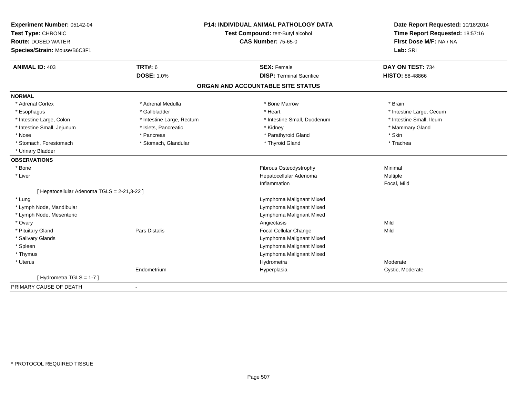| Experiment Number: 05142-04                 | <b>P14: INDIVIDUAL ANIMAL PATHOLOGY DATA</b> |                                   | Date Report Requested: 10/18/2014                          |
|---------------------------------------------|----------------------------------------------|-----------------------------------|------------------------------------------------------------|
| Test Type: CHRONIC                          |                                              | Test Compound: tert-Butyl alcohol | Time Report Requested: 18:57:16<br>First Dose M/F: NA / NA |
| <b>Route: DOSED WATER</b>                   |                                              | <b>CAS Number: 75-65-0</b>        |                                                            |
| Species/Strain: Mouse/B6C3F1                |                                              |                                   | Lab: SRI                                                   |
| <b>ANIMAL ID: 403</b>                       | TRT#: 6                                      | <b>SEX: Female</b>                | DAY ON TEST: 734                                           |
|                                             | <b>DOSE: 1.0%</b>                            | <b>DISP: Terminal Sacrifice</b>   | <b>HISTO: 88-48866</b>                                     |
|                                             |                                              | ORGAN AND ACCOUNTABLE SITE STATUS |                                                            |
| <b>NORMAL</b>                               |                                              |                                   |                                                            |
| * Adrenal Cortex                            | * Adrenal Medulla                            | * Bone Marrow                     | * Brain                                                    |
| * Esophagus                                 | * Gallbladder                                | * Heart                           | * Intestine Large, Cecum                                   |
| * Intestine Large, Colon                    | * Intestine Large, Rectum                    | * Intestine Small, Duodenum       | * Intestine Small, Ileum                                   |
| * Intestine Small, Jejunum                  | * Islets, Pancreatic                         | * Kidney                          | * Mammary Gland                                            |
| * Nose                                      | * Pancreas                                   | * Parathyroid Gland               | * Skin                                                     |
| * Stomach, Forestomach                      | * Stomach, Glandular                         | * Thyroid Gland                   | * Trachea                                                  |
| * Urinary Bladder                           |                                              |                                   |                                                            |
| <b>OBSERVATIONS</b>                         |                                              |                                   |                                                            |
| * Bone                                      |                                              | Fibrous Osteodystrophy            | Minimal                                                    |
| * Liver                                     |                                              | Hepatocellular Adenoma            | Multiple                                                   |
|                                             |                                              | Inflammation                      | Focal, Mild                                                |
| [ Hepatocellular Adenoma TGLS = 2-21,3-22 ] |                                              |                                   |                                                            |
| * Lung                                      |                                              | Lymphoma Malignant Mixed          |                                                            |
| * Lymph Node, Mandibular                    |                                              | Lymphoma Malignant Mixed          |                                                            |
| * Lymph Node, Mesenteric                    |                                              | Lymphoma Malignant Mixed          |                                                            |
| * Ovary                                     |                                              | Angiectasis                       | Mild                                                       |
| * Pituitary Gland                           | <b>Pars Distalis</b>                         | Focal Cellular Change             | Mild                                                       |
| * Salivary Glands                           |                                              | Lymphoma Malignant Mixed          |                                                            |
| * Spleen                                    |                                              | Lymphoma Malignant Mixed          |                                                            |
| * Thymus                                    |                                              | Lymphoma Malignant Mixed          |                                                            |
| * Uterus                                    |                                              | Hydrometra                        | Moderate                                                   |
|                                             | Endometrium                                  | Hyperplasia                       | Cystic, Moderate                                           |
| [Hydrometra TGLS = 1-7]                     |                                              |                                   |                                                            |
| PRIMARY CAUSE OF DEATH                      | $\blacksquare$                               |                                   |                                                            |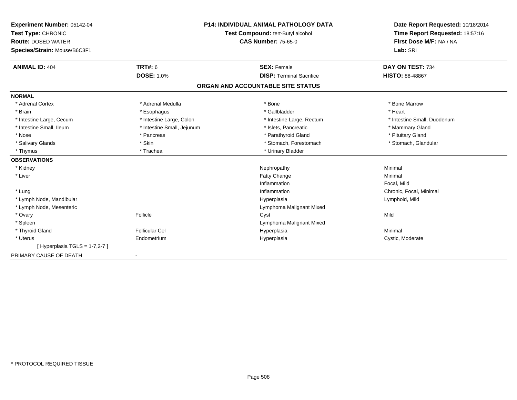| Experiment Number: 05142-04<br>Test Type: CHRONIC<br><b>Route: DOSED WATER</b><br>Species/Strain: Mouse/B6C3F1<br><b>ANIMAL ID: 404</b> | TRT#: 6                    | <b>P14: INDIVIDUAL ANIMAL PATHOLOGY DATA</b><br>Test Compound: tert-Butyl alcohol<br><b>CAS Number: 75-65-0</b><br><b>SEX: Female</b> | Date Report Requested: 10/18/2014<br>Time Report Requested: 18:57:16<br>First Dose M/F: NA / NA<br>Lab: SRI<br>DAY ON TEST: 734 |
|-----------------------------------------------------------------------------------------------------------------------------------------|----------------------------|---------------------------------------------------------------------------------------------------------------------------------------|---------------------------------------------------------------------------------------------------------------------------------|
|                                                                                                                                         | <b>DOSE: 1.0%</b>          | <b>DISP: Terminal Sacrifice</b>                                                                                                       | <b>HISTO: 88-48867</b>                                                                                                          |
|                                                                                                                                         |                            | ORGAN AND ACCOUNTABLE SITE STATUS                                                                                                     |                                                                                                                                 |
| <b>NORMAL</b>                                                                                                                           |                            |                                                                                                                                       |                                                                                                                                 |
| * Adrenal Cortex                                                                                                                        | * Adrenal Medulla          | * Bone                                                                                                                                | * Bone Marrow                                                                                                                   |
| * Brain                                                                                                                                 | * Esophagus                | * Gallbladder                                                                                                                         | * Heart                                                                                                                         |
| * Intestine Large, Cecum                                                                                                                | * Intestine Large, Colon   | * Intestine Large, Rectum                                                                                                             | * Intestine Small, Duodenum                                                                                                     |
| * Intestine Small, Ileum                                                                                                                | * Intestine Small, Jejunum | * Islets. Pancreatic                                                                                                                  | * Mammary Gland                                                                                                                 |
| * Nose                                                                                                                                  | * Pancreas                 | * Parathyroid Gland                                                                                                                   | * Pituitary Gland                                                                                                               |
| * Salivary Glands                                                                                                                       | * Skin                     | * Stomach, Forestomach                                                                                                                | * Stomach, Glandular                                                                                                            |
| * Thymus                                                                                                                                | * Trachea                  | * Urinary Bladder                                                                                                                     |                                                                                                                                 |
| <b>OBSERVATIONS</b>                                                                                                                     |                            |                                                                                                                                       |                                                                                                                                 |
| * Kidney                                                                                                                                |                            | Nephropathy                                                                                                                           | Minimal                                                                                                                         |
| * Liver                                                                                                                                 |                            | Fatty Change                                                                                                                          | Minimal                                                                                                                         |
|                                                                                                                                         |                            | Inflammation                                                                                                                          | Focal, Mild                                                                                                                     |
| * Lung                                                                                                                                  |                            | Inflammation                                                                                                                          | Chronic, Focal, Minimal                                                                                                         |
| * Lymph Node, Mandibular                                                                                                                |                            | Hyperplasia                                                                                                                           | Lymphoid, Mild                                                                                                                  |
| * Lymph Node, Mesenteric                                                                                                                |                            | Lymphoma Malignant Mixed                                                                                                              |                                                                                                                                 |
| * Ovary                                                                                                                                 | Follicle                   | Cyst                                                                                                                                  | Mild                                                                                                                            |
| * Spleen                                                                                                                                |                            | Lymphoma Malignant Mixed                                                                                                              |                                                                                                                                 |
| * Thyroid Gland                                                                                                                         | <b>Follicular Cel</b>      | Hyperplasia                                                                                                                           | Minimal                                                                                                                         |
| * Uterus                                                                                                                                | Endometrium                | Hyperplasia                                                                                                                           | Cystic, Moderate                                                                                                                |
| [Hyperplasia TGLS = 1-7,2-7]                                                                                                            |                            |                                                                                                                                       |                                                                                                                                 |
| PRIMARY CAUSE OF DEATH                                                                                                                  | $\blacksquare$             |                                                                                                                                       |                                                                                                                                 |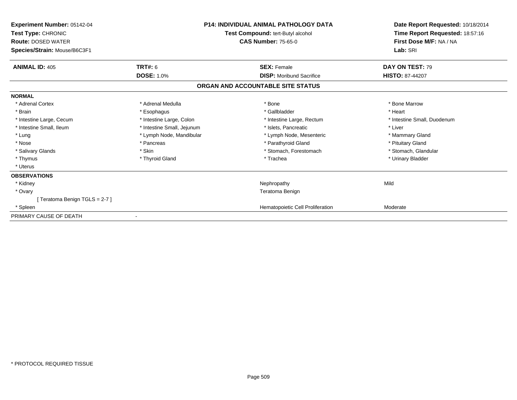| <b>Experiment Number: 05142-04</b><br>Test Type: CHRONIC<br><b>Route: DOSED WATER</b><br>Species/Strain: Mouse/B6C3F1 |                            | <b>P14: INDIVIDUAL ANIMAL PATHOLOGY DATA</b><br>Test Compound: tert-Butyl alcohol<br><b>CAS Number: 75-65-0</b> | Date Report Requested: 10/18/2014<br>Time Report Requested: 18:57:16<br>First Dose M/F: NA / NA<br>Lab: SRI |
|-----------------------------------------------------------------------------------------------------------------------|----------------------------|-----------------------------------------------------------------------------------------------------------------|-------------------------------------------------------------------------------------------------------------|
| <b>ANIMAL ID: 405</b>                                                                                                 | <b>TRT#: 6</b>             | <b>SEX: Female</b>                                                                                              | DAY ON TEST: 79                                                                                             |
|                                                                                                                       | <b>DOSE: 1.0%</b>          | <b>DISP:</b> Moribund Sacrifice                                                                                 | <b>HISTO: 87-44207</b>                                                                                      |
|                                                                                                                       |                            | ORGAN AND ACCOUNTABLE SITE STATUS                                                                               |                                                                                                             |
| <b>NORMAL</b>                                                                                                         |                            |                                                                                                                 |                                                                                                             |
| * Adrenal Cortex                                                                                                      | * Adrenal Medulla          | * Bone                                                                                                          | * Bone Marrow                                                                                               |
| * Brain                                                                                                               | * Esophagus                | * Gallbladder                                                                                                   | * Heart                                                                                                     |
| * Intestine Large, Cecum                                                                                              | * Intestine Large, Colon   | * Intestine Large, Rectum                                                                                       | * Intestine Small, Duodenum                                                                                 |
| * Intestine Small, Ileum                                                                                              | * Intestine Small, Jejunum | * Islets, Pancreatic                                                                                            | * Liver                                                                                                     |
| * Lung                                                                                                                | * Lymph Node, Mandibular   | * Lymph Node, Mesenteric                                                                                        | * Mammary Gland                                                                                             |
| * Nose                                                                                                                | * Pancreas                 | * Parathyroid Gland                                                                                             | * Pituitary Gland                                                                                           |
| * Salivary Glands                                                                                                     | * Skin                     | * Stomach, Forestomach                                                                                          | * Stomach, Glandular                                                                                        |
| * Thymus                                                                                                              | * Thyroid Gland            | * Trachea                                                                                                       | * Urinary Bladder                                                                                           |
| * Uterus                                                                                                              |                            |                                                                                                                 |                                                                                                             |
| <b>OBSERVATIONS</b>                                                                                                   |                            |                                                                                                                 |                                                                                                             |
| * Kidney                                                                                                              |                            | Nephropathy                                                                                                     | Mild                                                                                                        |
| * Ovary                                                                                                               |                            | Teratoma Benign                                                                                                 |                                                                                                             |
| [Teratoma Benign TGLS = 2-7]                                                                                          |                            |                                                                                                                 |                                                                                                             |
| * Spleen                                                                                                              |                            | Hematopoietic Cell Proliferation                                                                                | Moderate                                                                                                    |
| PRIMARY CAUSE OF DEATH                                                                                                |                            |                                                                                                                 |                                                                                                             |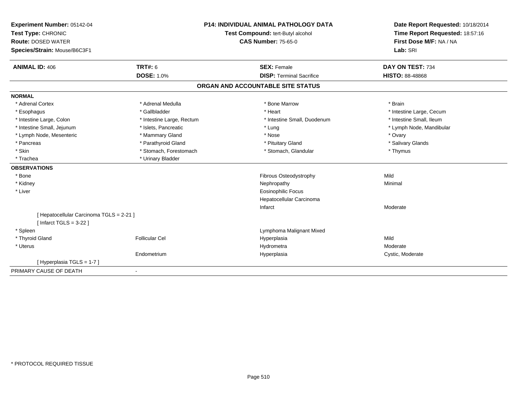| Experiment Number: 05142-04                                          | <b>P14: INDIVIDUAL ANIMAL PATHOLOGY DATA</b><br>Test Compound: tert-Butyl alcohol |                                   | Date Report Requested: 10/18/2014 |
|----------------------------------------------------------------------|-----------------------------------------------------------------------------------|-----------------------------------|-----------------------------------|
| Test Type: CHRONIC                                                   |                                                                                   |                                   | Time Report Requested: 18:57:16   |
| <b>Route: DOSED WATER</b>                                            |                                                                                   | <b>CAS Number: 75-65-0</b>        | First Dose M/F: NA / NA           |
| Species/Strain: Mouse/B6C3F1                                         |                                                                                   |                                   | Lab: SRI                          |
| <b>ANIMAL ID: 406</b>                                                | <b>TRT#: 6</b>                                                                    | <b>SEX: Female</b>                | DAY ON TEST: 734                  |
|                                                                      | <b>DOSE: 1.0%</b>                                                                 | <b>DISP: Terminal Sacrifice</b>   | <b>HISTO: 88-48868</b>            |
|                                                                      |                                                                                   | ORGAN AND ACCOUNTABLE SITE STATUS |                                   |
| <b>NORMAL</b>                                                        |                                                                                   |                                   |                                   |
| * Adrenal Cortex                                                     | * Adrenal Medulla                                                                 | * Bone Marrow                     | * Brain                           |
| * Esophagus                                                          | * Gallbladder                                                                     | * Heart                           | * Intestine Large, Cecum          |
| * Intestine Large, Colon                                             | * Intestine Large, Rectum                                                         | * Intestine Small, Duodenum       | * Intestine Small, Ileum          |
| * Intestine Small, Jejunum                                           | * Islets, Pancreatic                                                              | * Lung                            | * Lymph Node, Mandibular          |
| * Lymph Node, Mesenteric                                             | * Mammary Gland                                                                   | * Nose                            | * Ovary                           |
| * Pancreas                                                           | * Parathyroid Gland                                                               | * Pituitary Gland                 | * Salivary Glands                 |
| * Skin                                                               | * Stomach, Forestomach                                                            | * Stomach, Glandular              | * Thymus                          |
| * Trachea                                                            | * Urinary Bladder                                                                 |                                   |                                   |
| <b>OBSERVATIONS</b>                                                  |                                                                                   |                                   |                                   |
| * Bone                                                               |                                                                                   | Fibrous Osteodystrophy            | Mild                              |
| * Kidney                                                             |                                                                                   | Nephropathy                       | Minimal                           |
| * Liver                                                              |                                                                                   | <b>Eosinophilic Focus</b>         |                                   |
|                                                                      |                                                                                   | Hepatocellular Carcinoma          |                                   |
|                                                                      |                                                                                   | Infarct                           | Moderate                          |
| [ Hepatocellular Carcinoma TGLS = 2-21 ]<br>[Infarct TGLS = $3-22$ ] |                                                                                   |                                   |                                   |
| * Spleen                                                             |                                                                                   | Lymphoma Malignant Mixed          |                                   |
| * Thyroid Gland                                                      | <b>Follicular Cel</b>                                                             | Hyperplasia                       | Mild                              |
| * Uterus                                                             |                                                                                   | Hydrometra                        | Moderate                          |
|                                                                      | Endometrium                                                                       | Hyperplasia                       | Cystic, Moderate                  |
| [Hyperplasia TGLS = 1-7]                                             |                                                                                   |                                   |                                   |
| PRIMARY CAUSE OF DEATH                                               |                                                                                   |                                   |                                   |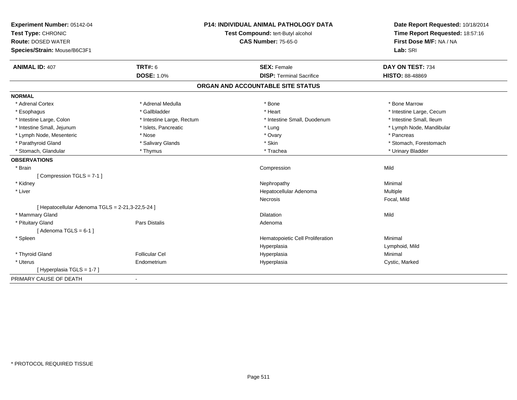| Experiment Number: 05142-04                          |                                   | <b>P14: INDIVIDUAL ANIMAL PATHOLOGY DATA</b> | Date Report Requested: 10/18/2014 |
|------------------------------------------------------|-----------------------------------|----------------------------------------------|-----------------------------------|
| Test Type: CHRONIC                                   | Test Compound: tert-Butyl alcohol |                                              | Time Report Requested: 18:57:16   |
| <b>Route: DOSED WATER</b>                            |                                   | <b>CAS Number: 75-65-0</b>                   | First Dose M/F: NA / NA           |
| Species/Strain: Mouse/B6C3F1                         |                                   |                                              | Lab: SRI                          |
| <b>ANIMAL ID: 407</b>                                | <b>TRT#: 6</b>                    | <b>SEX: Female</b>                           | DAY ON TEST: 734                  |
|                                                      | <b>DOSE: 1.0%</b>                 | <b>DISP: Terminal Sacrifice</b>              | <b>HISTO: 88-48869</b>            |
|                                                      |                                   | ORGAN AND ACCOUNTABLE SITE STATUS            |                                   |
| <b>NORMAL</b>                                        |                                   |                                              |                                   |
| * Adrenal Cortex                                     | * Adrenal Medulla                 | * Bone                                       | * Bone Marrow                     |
| * Esophagus                                          | * Gallbladder                     | * Heart                                      | * Intestine Large, Cecum          |
| * Intestine Large, Colon                             | * Intestine Large, Rectum         | * Intestine Small, Duodenum                  | * Intestine Small, Ileum          |
| * Intestine Small, Jejunum                           | * Islets, Pancreatic              | * Lung                                       | * Lymph Node, Mandibular          |
| * Lymph Node, Mesenteric                             | * Nose                            | * Ovary                                      | * Pancreas                        |
| * Parathyroid Gland                                  | * Salivary Glands                 | * Skin                                       | * Stomach, Forestomach            |
| * Stomach, Glandular                                 | * Thymus                          | * Trachea                                    | * Urinary Bladder                 |
| <b>OBSERVATIONS</b>                                  |                                   |                                              |                                   |
| * Brain                                              |                                   | Compression                                  | Mild                              |
| [Compression TGLS = 7-1]                             |                                   |                                              |                                   |
| * Kidney                                             |                                   | Nephropathy                                  | Minimal                           |
| * Liver                                              |                                   | Hepatocellular Adenoma                       | Multiple                          |
|                                                      |                                   | Necrosis                                     | Focal, Mild                       |
| [ Hepatocellular Adenoma $TGLS = 2-21, 3-22, 5-24$ ] |                                   |                                              |                                   |
| * Mammary Gland                                      |                                   | <b>Dilatation</b>                            | Mild                              |
| * Pituitary Gland                                    | <b>Pars Distalis</b>              | Adenoma                                      |                                   |
| [Adenoma TGLS = $6-1$ ]                              |                                   |                                              |                                   |
| * Spleen                                             |                                   | Hematopoietic Cell Proliferation             | Minimal                           |
|                                                      |                                   | Hyperplasia                                  | Lymphoid, Mild                    |
| * Thyroid Gland                                      | <b>Follicular Cel</b>             | Hyperplasia                                  | Minimal                           |
| * Uterus                                             | Endometrium                       | Hyperplasia                                  | Cystic, Marked                    |
| [ Hyperplasia TGLS = 1-7 ]                           |                                   |                                              |                                   |
| PRIMARY CAUSE OF DEATH                               | $\sim$                            |                                              |                                   |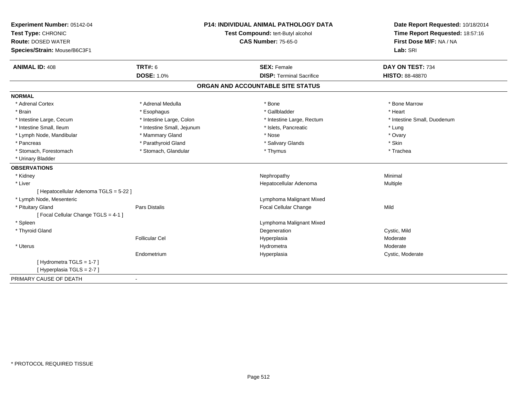| Experiment Number: 05142-04            |                                   | <b>P14: INDIVIDUAL ANIMAL PATHOLOGY DATA</b> | Date Report Requested: 10/18/2014 |
|----------------------------------------|-----------------------------------|----------------------------------------------|-----------------------------------|
| Test Type: CHRONIC                     | Test Compound: tert-Butyl alcohol |                                              | Time Report Requested: 18:57:16   |
| <b>Route: DOSED WATER</b>              |                                   | <b>CAS Number: 75-65-0</b>                   | First Dose M/F: NA / NA           |
| Species/Strain: Mouse/B6C3F1           |                                   |                                              | Lab: SRI                          |
| <b>ANIMAL ID: 408</b>                  | <b>TRT#: 6</b>                    | <b>SEX: Female</b>                           | DAY ON TEST: 734                  |
|                                        | <b>DOSE: 1.0%</b>                 | <b>DISP: Terminal Sacrifice</b>              | <b>HISTO: 88-48870</b>            |
|                                        |                                   | ORGAN AND ACCOUNTABLE SITE STATUS            |                                   |
| <b>NORMAL</b>                          |                                   |                                              |                                   |
| * Adrenal Cortex                       | * Adrenal Medulla                 | * Bone                                       | * Bone Marrow                     |
| * Brain                                | * Esophagus                       | * Gallbladder                                | * Heart                           |
| * Intestine Large, Cecum               | * Intestine Large, Colon          | * Intestine Large, Rectum                    | * Intestine Small. Duodenum       |
| * Intestine Small, Ileum               | * Intestine Small, Jejunum        | * Islets, Pancreatic                         | * Lung                            |
| * Lymph Node, Mandibular               | * Mammary Gland                   | * Nose                                       | * Ovary                           |
| * Pancreas                             | * Parathyroid Gland               | * Salivary Glands                            | * Skin                            |
| * Stomach, Forestomach                 | * Stomach, Glandular              | * Thymus                                     | * Trachea                         |
| * Urinary Bladder                      |                                   |                                              |                                   |
| <b>OBSERVATIONS</b>                    |                                   |                                              |                                   |
| * Kidney                               |                                   | Nephropathy                                  | Minimal                           |
| * Liver                                |                                   | Hepatocellular Adenoma                       | Multiple                          |
| [ Hepatocellular Adenoma TGLS = 5-22 ] |                                   |                                              |                                   |
| * Lymph Node, Mesenteric               |                                   | Lymphoma Malignant Mixed                     |                                   |
| * Pituitary Gland                      | <b>Pars Distalis</b>              | Focal Cellular Change                        | Mild                              |
| [Focal Cellular Change TGLS = 4-1]     |                                   |                                              |                                   |
| * Spleen                               |                                   | Lymphoma Malignant Mixed                     |                                   |
| * Thyroid Gland                        |                                   | Degeneration                                 | Cystic, Mild                      |
|                                        | <b>Follicular Cel</b>             | Hyperplasia                                  | Moderate                          |
| * Uterus                               |                                   | Hydrometra                                   | Moderate                          |
|                                        | Endometrium                       | Hyperplasia                                  | Cystic, Moderate                  |
| [Hydrometra TGLS = 1-7]                |                                   |                                              |                                   |
| [Hyperplasia TGLS = 2-7]               |                                   |                                              |                                   |
| PRIMARY CAUSE OF DEATH                 |                                   |                                              |                                   |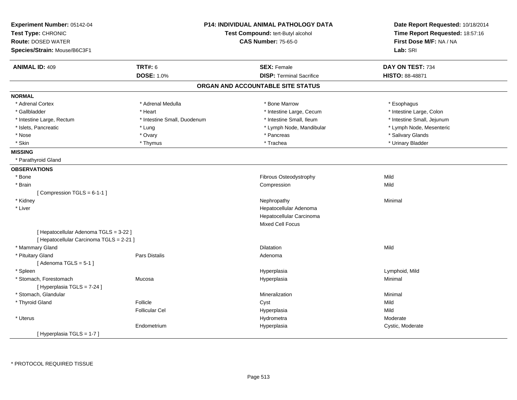| Experiment Number: 05142-04<br>Test Type: CHRONIC<br><b>Route: DOSED WATER</b><br>Species/Strain: Mouse/B6C3F1 |                             | <b>P14: INDIVIDUAL ANIMAL PATHOLOGY DATA</b><br>Test Compound: tert-Butyl alcohol<br><b>CAS Number: 75-65-0</b> | Date Report Requested: 10/18/2014<br>Time Report Requested: 18:57:16<br>First Dose M/F: NA / NA<br>Lab: SRI |
|----------------------------------------------------------------------------------------------------------------|-----------------------------|-----------------------------------------------------------------------------------------------------------------|-------------------------------------------------------------------------------------------------------------|
| <b>ANIMAL ID: 409</b>                                                                                          | <b>TRT#: 6</b>              | <b>SEX: Female</b>                                                                                              | DAY ON TEST: 734                                                                                            |
|                                                                                                                | <b>DOSE: 1.0%</b>           | <b>DISP: Terminal Sacrifice</b>                                                                                 | <b>HISTO: 88-48871</b>                                                                                      |
|                                                                                                                |                             | ORGAN AND ACCOUNTABLE SITE STATUS                                                                               |                                                                                                             |
| <b>NORMAL</b>                                                                                                  |                             |                                                                                                                 |                                                                                                             |
| * Adrenal Cortex                                                                                               | * Adrenal Medulla           | * Bone Marrow                                                                                                   | * Esophagus                                                                                                 |
| * Gallbladder                                                                                                  | * Heart                     | * Intestine Large, Cecum                                                                                        | * Intestine Large, Colon                                                                                    |
| * Intestine Large, Rectum                                                                                      | * Intestine Small, Duodenum | * Intestine Small, Ileum                                                                                        | * Intestine Small, Jejunum                                                                                  |
| * Islets, Pancreatic                                                                                           | * Lung                      | * Lymph Node, Mandibular                                                                                        | * Lymph Node, Mesenteric                                                                                    |
| * Nose                                                                                                         | * Ovary                     | * Pancreas                                                                                                      | * Salivary Glands                                                                                           |
| * Skin                                                                                                         | * Thymus                    | * Trachea                                                                                                       | * Urinary Bladder                                                                                           |
| <b>MISSING</b>                                                                                                 |                             |                                                                                                                 |                                                                                                             |
| * Parathyroid Gland                                                                                            |                             |                                                                                                                 |                                                                                                             |
| <b>OBSERVATIONS</b>                                                                                            |                             |                                                                                                                 |                                                                                                             |
| * Bone                                                                                                         |                             | Fibrous Osteodystrophy                                                                                          | Mild                                                                                                        |
| * Brain                                                                                                        |                             | Compression                                                                                                     | Mild                                                                                                        |
| [Compression TGLS = 6-1-1]                                                                                     |                             |                                                                                                                 |                                                                                                             |
| * Kidney                                                                                                       |                             | Nephropathy                                                                                                     | Minimal                                                                                                     |
| * Liver                                                                                                        |                             | Hepatocellular Adenoma                                                                                          |                                                                                                             |
|                                                                                                                |                             | Hepatocellular Carcinoma                                                                                        |                                                                                                             |
|                                                                                                                |                             | <b>Mixed Cell Focus</b>                                                                                         |                                                                                                             |
| [ Hepatocellular Adenoma TGLS = 3-22 ]<br>[ Hepatocellular Carcinoma TGLS = 2-21 ]                             |                             |                                                                                                                 |                                                                                                             |
| * Mammary Gland                                                                                                |                             | <b>Dilatation</b>                                                                                               | Mild                                                                                                        |
| * Pituitary Gland                                                                                              | <b>Pars Distalis</b>        | Adenoma                                                                                                         |                                                                                                             |
| [Adenoma TGLS = $5-1$ ]                                                                                        |                             |                                                                                                                 |                                                                                                             |
| * Spleen                                                                                                       |                             | Hyperplasia                                                                                                     | Lymphoid, Mild                                                                                              |
| * Stomach, Forestomach                                                                                         | Mucosa                      | Hyperplasia                                                                                                     | Minimal                                                                                                     |
| [ Hyperplasia TGLS = 7-24 ]                                                                                    |                             |                                                                                                                 |                                                                                                             |
| * Stomach, Glandular                                                                                           |                             | Mineralization                                                                                                  | Minimal                                                                                                     |
| * Thyroid Gland                                                                                                | Follicle                    | Cyst                                                                                                            | Mild                                                                                                        |
|                                                                                                                | <b>Follicular Cel</b>       | Hyperplasia                                                                                                     | Mild                                                                                                        |
| * Uterus                                                                                                       |                             | Hydrometra                                                                                                      | Moderate                                                                                                    |
|                                                                                                                | Endometrium                 | Hyperplasia                                                                                                     | Cystic, Moderate                                                                                            |
| [Hyperplasia TGLS = 1-7]                                                                                       |                             |                                                                                                                 |                                                                                                             |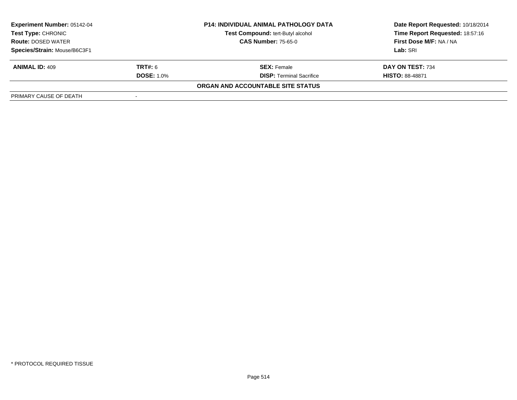| <b>Experiment Number: 05142-04</b><br>Test Type: CHRONIC<br><b>Route: DOSED WATER</b> |                   | <b>P14: INDIVIDUAL ANIMAL PATHOLOGY DATA</b> | Date Report Requested: 10/18/2014 |  |
|---------------------------------------------------------------------------------------|-------------------|----------------------------------------------|-----------------------------------|--|
|                                                                                       |                   | Test Compound: tert-Butyl alcohol            | Time Report Requested: 18:57:16   |  |
|                                                                                       |                   | <b>CAS Number: 75-65-0</b>                   | First Dose M/F: NA / NA           |  |
| Species/Strain: Mouse/B6C3F1                                                          |                   |                                              | Lab: SRI                          |  |
| <b>ANIMAL ID: 409</b>                                                                 | <b>TRT#:</b> 6    | <b>SEX:</b> Female                           | DAY ON TEST: 734                  |  |
|                                                                                       | <b>DOSE: 1.0%</b> | <b>DISP: Terminal Sacrifice</b>              | <b>HISTO: 88-48871</b>            |  |
|                                                                                       |                   | ORGAN AND ACCOUNTABLE SITE STATUS            |                                   |  |
| PRIMARY CAUSE OF DEATH                                                                |                   |                                              |                                   |  |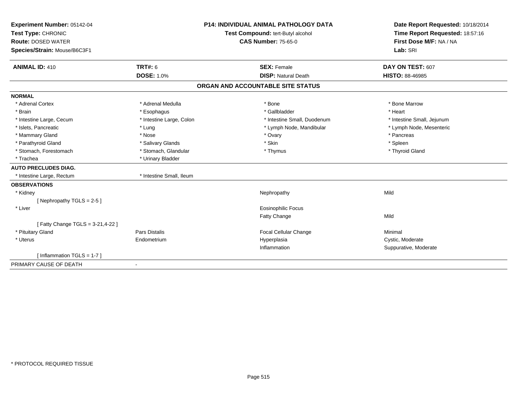| Experiment Number: 05142-04       |                                   | <b>P14: INDIVIDUAL ANIMAL PATHOLOGY DATA</b> | Date Report Requested: 10/18/2014 |
|-----------------------------------|-----------------------------------|----------------------------------------------|-----------------------------------|
| Test Type: CHRONIC                | Test Compound: tert-Butyl alcohol |                                              | Time Report Requested: 18:57:16   |
| <b>Route: DOSED WATER</b>         |                                   | <b>CAS Number: 75-65-0</b>                   | First Dose M/F: NA / NA           |
| Species/Strain: Mouse/B6C3F1      |                                   |                                              | Lab: SRI                          |
|                                   |                                   |                                              |                                   |
| <b>ANIMAL ID: 410</b>             | <b>TRT#: 6</b>                    | <b>SEX: Female</b>                           | DAY ON TEST: 607                  |
|                                   | <b>DOSE: 1.0%</b>                 | <b>DISP: Natural Death</b>                   | HISTO: 88-46985                   |
|                                   |                                   | ORGAN AND ACCOUNTABLE SITE STATUS            |                                   |
| <b>NORMAL</b>                     |                                   |                                              |                                   |
| * Adrenal Cortex                  | * Adrenal Medulla                 | * Bone                                       | * Bone Marrow                     |
| * Brain                           | * Esophagus                       | * Gallbladder                                | * Heart                           |
| * Intestine Large, Cecum          | * Intestine Large, Colon          | * Intestine Small, Duodenum                  | * Intestine Small, Jejunum        |
| * Islets, Pancreatic              | * Lung                            | * Lymph Node, Mandibular                     | * Lymph Node, Mesenteric          |
| * Mammary Gland                   | * Nose                            | * Ovary                                      | * Pancreas                        |
| * Parathyroid Gland               | * Salivary Glands                 | * Skin                                       | * Spleen                          |
| * Stomach, Forestomach            | * Stomach, Glandular              | * Thymus                                     | * Thyroid Gland                   |
| * Trachea                         | * Urinary Bladder                 |                                              |                                   |
| <b>AUTO PRECLUDES DIAG.</b>       |                                   |                                              |                                   |
| * Intestine Large, Rectum         | * Intestine Small, Ileum          |                                              |                                   |
| <b>OBSERVATIONS</b>               |                                   |                                              |                                   |
| * Kidney                          |                                   | Nephropathy                                  | Mild                              |
| [Nephropathy TGLS = $2-5$ ]       |                                   |                                              |                                   |
| * Liver                           |                                   | <b>Eosinophilic Focus</b>                    |                                   |
|                                   |                                   | Fatty Change                                 | Mild                              |
| [ Fatty Change TGLS = 3-21,4-22 ] |                                   |                                              |                                   |
| * Pituitary Gland                 | Pars Distalis                     | Focal Cellular Change                        | Minimal                           |
| * Uterus                          | Endometrium                       | Hyperplasia                                  | Cystic, Moderate                  |
|                                   |                                   | Inflammation                                 | Suppurative, Moderate             |
| [Inflammation TGLS = $1-7$ ]      |                                   |                                              |                                   |
| PRIMARY CAUSE OF DEATH            |                                   |                                              |                                   |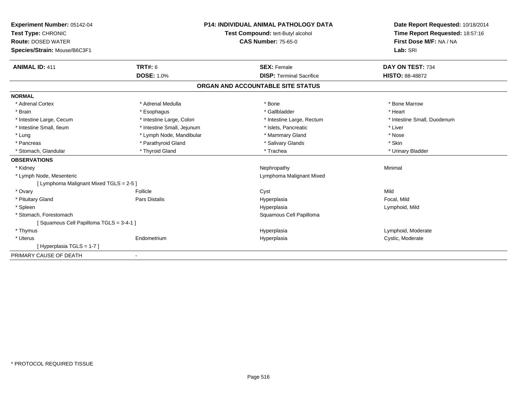| Experiment Number: 05142-04<br>Test Type: CHRONIC<br><b>Route: DOSED WATER</b> |                            | <b>P14: INDIVIDUAL ANIMAL PATHOLOGY DATA</b> | Date Report Requested: 10/18/2014<br>Time Report Requested: 18:57:16<br>First Dose M/F: NA / NA |
|--------------------------------------------------------------------------------|----------------------------|----------------------------------------------|-------------------------------------------------------------------------------------------------|
|                                                                                |                            | Test Compound: tert-Butyl alcohol            |                                                                                                 |
|                                                                                |                            | <b>CAS Number: 75-65-0</b>                   |                                                                                                 |
| Species/Strain: Mouse/B6C3F1                                                   |                            |                                              | Lab: SRI                                                                                        |
|                                                                                |                            |                                              |                                                                                                 |
| <b>ANIMAL ID: 411</b>                                                          | <b>TRT#: 6</b>             | <b>SEX: Female</b>                           | DAY ON TEST: 734                                                                                |
|                                                                                | <b>DOSE: 1.0%</b>          | <b>DISP: Terminal Sacrifice</b>              | <b>HISTO: 88-48872</b>                                                                          |
|                                                                                |                            | ORGAN AND ACCOUNTABLE SITE STATUS            |                                                                                                 |
| <b>NORMAL</b>                                                                  |                            |                                              |                                                                                                 |
| * Adrenal Cortex                                                               | * Adrenal Medulla          | * Bone                                       | * Bone Marrow                                                                                   |
| * Brain                                                                        | * Esophagus                | * Gallbladder                                | * Heart                                                                                         |
| * Intestine Large, Cecum                                                       | * Intestine Large, Colon   | * Intestine Large, Rectum                    | * Intestine Small, Duodenum                                                                     |
| * Intestine Small. Ileum                                                       | * Intestine Small, Jejunum | * Islets. Pancreatic                         | * Liver                                                                                         |
| * Lung                                                                         | * Lymph Node, Mandibular   | * Mammary Gland                              | * Nose                                                                                          |
| * Pancreas                                                                     | * Parathyroid Gland        | * Salivary Glands                            | * Skin                                                                                          |
| * Stomach, Glandular                                                           | * Thyroid Gland            | * Trachea                                    | * Urinary Bladder                                                                               |
| <b>OBSERVATIONS</b>                                                            |                            |                                              |                                                                                                 |
| * Kidney                                                                       |                            | Nephropathy                                  | Minimal                                                                                         |
| * Lymph Node, Mesenteric                                                       |                            | Lymphoma Malignant Mixed                     |                                                                                                 |
| [ Lymphoma Malignant Mixed TGLS = 2-5 ]                                        |                            |                                              |                                                                                                 |
| * Ovary                                                                        | Follicle                   | Cyst                                         | Mild                                                                                            |
| * Pituitary Gland                                                              | Pars Distalis              | Hyperplasia                                  | Focal, Mild                                                                                     |
| * Spleen                                                                       |                            | Hyperplasia                                  | Lymphoid, Mild                                                                                  |
| * Stomach, Forestomach                                                         |                            | Squamous Cell Papilloma                      |                                                                                                 |
| [Squamous Cell Papilloma TGLS = 3-4-1]                                         |                            |                                              |                                                                                                 |
| * Thymus                                                                       |                            | Hyperplasia                                  | Lymphoid, Moderate                                                                              |
| * Uterus                                                                       | Endometrium                | Hyperplasia                                  | Cystic, Moderate                                                                                |
| [Hyperplasia TGLS = 1-7]                                                       |                            |                                              |                                                                                                 |
| PRIMARY CAUSE OF DEATH                                                         | $\blacksquare$             |                                              |                                                                                                 |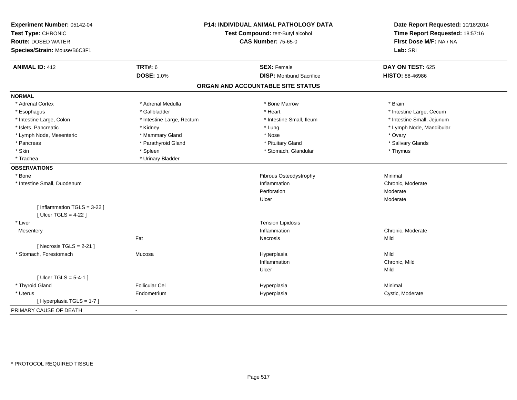| Experiment Number: 05142-04<br>Test Type: CHRONIC<br><b>Route: DOSED WATER</b> |                           | <b>P14: INDIVIDUAL ANIMAL PATHOLOGY DATA</b><br>Test Compound: tert-Butyl alcohol<br><b>CAS Number: 75-65-0</b> | Date Report Requested: 10/18/2014<br>Time Report Requested: 18:57:16<br>First Dose M/F: NA / NA |
|--------------------------------------------------------------------------------|---------------------------|-----------------------------------------------------------------------------------------------------------------|-------------------------------------------------------------------------------------------------|
| Species/Strain: Mouse/B6C3F1                                                   |                           |                                                                                                                 | Lab: SRI                                                                                        |
| <b>ANIMAL ID: 412</b>                                                          | <b>TRT#: 6</b>            | <b>SEX: Female</b>                                                                                              | DAY ON TEST: 625                                                                                |
|                                                                                | <b>DOSE: 1.0%</b>         | <b>DISP:</b> Moribund Sacrifice                                                                                 | HISTO: 88-46986                                                                                 |
|                                                                                |                           | ORGAN AND ACCOUNTABLE SITE STATUS                                                                               |                                                                                                 |
| <b>NORMAL</b>                                                                  |                           |                                                                                                                 |                                                                                                 |
| * Adrenal Cortex                                                               | * Adrenal Medulla         | * Bone Marrow                                                                                                   | * Brain                                                                                         |
| * Esophagus                                                                    | * Gallbladder             | * Heart                                                                                                         | * Intestine Large, Cecum                                                                        |
| * Intestine Large, Colon                                                       | * Intestine Large, Rectum | * Intestine Small, Ileum                                                                                        | * Intestine Small, Jejunum                                                                      |
| * Islets, Pancreatic                                                           | * Kidney                  | * Lung                                                                                                          | * Lymph Node, Mandibular                                                                        |
| * Lymph Node, Mesenteric                                                       | * Mammary Gland           | * Nose                                                                                                          | * Ovary                                                                                         |
| * Pancreas                                                                     | * Parathyroid Gland       | * Pituitary Gland                                                                                               | * Salivary Glands                                                                               |
| * Skin                                                                         | * Spleen                  | * Stomach, Glandular                                                                                            | * Thymus                                                                                        |
| * Trachea                                                                      | * Urinary Bladder         |                                                                                                                 |                                                                                                 |
| <b>OBSERVATIONS</b>                                                            |                           |                                                                                                                 |                                                                                                 |
| * Bone                                                                         |                           | Fibrous Osteodystrophy                                                                                          | Minimal                                                                                         |
| * Intestine Small, Duodenum                                                    |                           | Inflammation                                                                                                    | Chronic, Moderate                                                                               |
|                                                                                |                           | Perforation                                                                                                     | Moderate                                                                                        |
|                                                                                |                           | Ulcer                                                                                                           | Moderate                                                                                        |
| [Inflammation $TGLS = 3-22$ ]                                                  |                           |                                                                                                                 |                                                                                                 |
| [ $Uicer$ TGLS = 4-22 ]                                                        |                           |                                                                                                                 |                                                                                                 |
| * Liver                                                                        |                           | <b>Tension Lipidosis</b>                                                                                        |                                                                                                 |
| Mesentery                                                                      |                           | Inflammation                                                                                                    | Chronic, Moderate                                                                               |
|                                                                                | Fat                       | Necrosis                                                                                                        | Mild                                                                                            |
| [Necrosis $TGLS = 2-21$ ]                                                      |                           |                                                                                                                 |                                                                                                 |
| * Stomach, Forestomach                                                         | Mucosa                    | Hyperplasia                                                                                                     | Mild                                                                                            |
|                                                                                |                           | Inflammation                                                                                                    | Chronic, Mild                                                                                   |
|                                                                                |                           | Ulcer                                                                                                           | Mild                                                                                            |
| [ $Ulcer TGLS = 5-4-1$ ]                                                       |                           |                                                                                                                 |                                                                                                 |
| * Thyroid Gland                                                                | <b>Follicular Cel</b>     | Hyperplasia                                                                                                     | Minimal                                                                                         |
| * Uterus                                                                       | Endometrium               | Hyperplasia                                                                                                     | Cystic, Moderate                                                                                |
| [Hyperplasia TGLS = 1-7]                                                       |                           |                                                                                                                 |                                                                                                 |
| PRIMARY CAUSE OF DEATH                                                         | $\blacksquare$            |                                                                                                                 |                                                                                                 |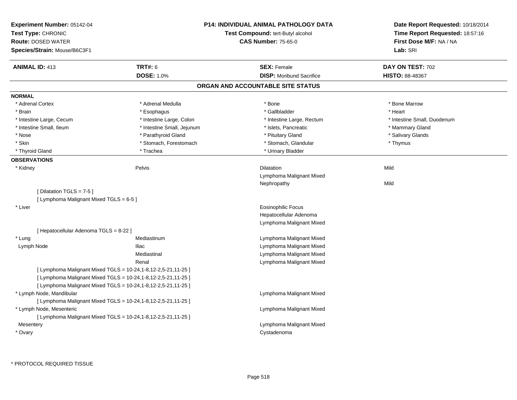| <b>Experiment Number: 05142-04</b><br>Test Type: CHRONIC<br><b>Route: DOSED WATER</b><br>Species/Strain: Mouse/B6C3F1 |                                                                   | <b>P14: INDIVIDUAL ANIMAL PATHOLOGY DATA</b><br>Test Compound: tert-Butyl alcohol<br><b>CAS Number: 75-65-0</b> | Date Report Requested: 10/18/2014<br>Time Report Requested: 18:57:16<br>First Dose M/F: NA / NA<br>Lab: SRI |
|-----------------------------------------------------------------------------------------------------------------------|-------------------------------------------------------------------|-----------------------------------------------------------------------------------------------------------------|-------------------------------------------------------------------------------------------------------------|
| <b>ANIMAL ID: 413</b>                                                                                                 | <b>TRT#: 6</b>                                                    | <b>SEX: Female</b>                                                                                              | DAY ON TEST: 702                                                                                            |
|                                                                                                                       | <b>DOSE: 1.0%</b>                                                 | <b>DISP:</b> Moribund Sacrifice                                                                                 | <b>HISTO: 88-48367</b>                                                                                      |
|                                                                                                                       |                                                                   | ORGAN AND ACCOUNTABLE SITE STATUS                                                                               |                                                                                                             |
| <b>NORMAL</b>                                                                                                         |                                                                   |                                                                                                                 |                                                                                                             |
| * Adrenal Cortex                                                                                                      | * Adrenal Medulla                                                 | * Bone                                                                                                          | * Bone Marrow                                                                                               |
| * Brain                                                                                                               | * Esophagus                                                       | * Gallbladder                                                                                                   | * Heart                                                                                                     |
| * Intestine Large, Cecum                                                                                              | * Intestine Large, Colon                                          | * Intestine Large, Rectum                                                                                       | * Intestine Small, Duodenum                                                                                 |
| * Intestine Small, Ileum                                                                                              | * Intestine Small, Jejunum                                        | * Islets, Pancreatic                                                                                            | * Mammary Gland                                                                                             |
| * Nose                                                                                                                | * Parathyroid Gland                                               | * Pituitary Gland                                                                                               | * Salivary Glands                                                                                           |
| * Skin                                                                                                                | * Stomach, Forestomach                                            | * Stomach, Glandular                                                                                            | * Thymus                                                                                                    |
| * Thyroid Gland                                                                                                       | * Trachea                                                         | * Urinary Bladder                                                                                               |                                                                                                             |
| <b>OBSERVATIONS</b>                                                                                                   |                                                                   |                                                                                                                 |                                                                                                             |
| * Kidney                                                                                                              | Pelvis                                                            | <b>Dilatation</b>                                                                                               | Mild                                                                                                        |
|                                                                                                                       |                                                                   | Lymphoma Malignant Mixed                                                                                        |                                                                                                             |
|                                                                                                                       |                                                                   | Nephropathy                                                                                                     | Mild                                                                                                        |
| [Dilatation TGLS = 7-5]                                                                                               |                                                                   |                                                                                                                 |                                                                                                             |
| [ Lymphoma Malignant Mixed TGLS = 6-5 ]                                                                               |                                                                   |                                                                                                                 |                                                                                                             |
| * Liver                                                                                                               |                                                                   | <b>Eosinophilic Focus</b>                                                                                       |                                                                                                             |
|                                                                                                                       |                                                                   | Hepatocellular Adenoma                                                                                          |                                                                                                             |
|                                                                                                                       |                                                                   | Lymphoma Malignant Mixed                                                                                        |                                                                                                             |
| [ Hepatocellular Adenoma TGLS = 8-22 ]                                                                                |                                                                   |                                                                                                                 |                                                                                                             |
| * Lung                                                                                                                | Mediastinum                                                       | Lymphoma Malignant Mixed                                                                                        |                                                                                                             |
| Lymph Node                                                                                                            | <b>Iliac</b>                                                      | Lymphoma Malignant Mixed                                                                                        |                                                                                                             |
|                                                                                                                       | Mediastinal                                                       | Lymphoma Malignant Mixed                                                                                        |                                                                                                             |
|                                                                                                                       | Renal                                                             | Lymphoma Malignant Mixed                                                                                        |                                                                                                             |
|                                                                                                                       | [ Lymphoma Malignant Mixed TGLS = 10-24, 1-8, 12-2, 5-21, 11-25 ] |                                                                                                                 |                                                                                                             |
|                                                                                                                       | [ Lymphoma Malignant Mixed TGLS = 10-24, 1-8, 12-2, 5-21, 11-25 ] |                                                                                                                 |                                                                                                             |
|                                                                                                                       | [ Lymphoma Malignant Mixed TGLS = 10-24, 1-8, 12-2, 5-21, 11-25 ] |                                                                                                                 |                                                                                                             |
| * Lymph Node, Mandibular                                                                                              |                                                                   | Lymphoma Malignant Mixed                                                                                        |                                                                                                             |
|                                                                                                                       | [ Lymphoma Malignant Mixed TGLS = 10-24, 1-8, 12-2, 5-21, 11-25 ] |                                                                                                                 |                                                                                                             |
| * Lymph Node, Mesenteric                                                                                              |                                                                   | Lymphoma Malignant Mixed                                                                                        |                                                                                                             |
|                                                                                                                       | [ Lymphoma Malignant Mixed TGLS = 10-24, 1-8, 12-2, 5-21, 11-25 ] |                                                                                                                 |                                                                                                             |
| Mesentery                                                                                                             |                                                                   | Lymphoma Malignant Mixed                                                                                        |                                                                                                             |
| * Ovary                                                                                                               |                                                                   | Cystadenoma                                                                                                     |                                                                                                             |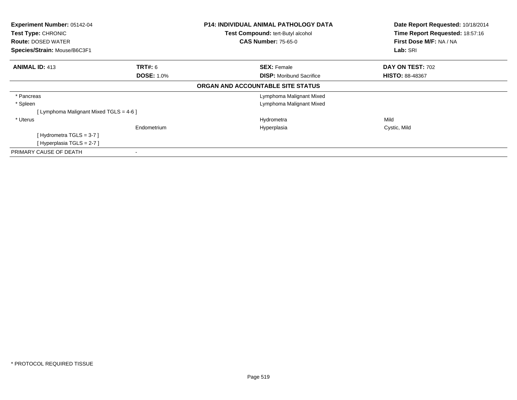| Experiment Number: 05142-04<br>Test Type: CHRONIC |                   | <b>P14: INDIVIDUAL ANIMAL PATHOLOGY DATA</b> | Date Report Requested: 10/18/2014<br>Time Report Requested: 18:57:16 |  |
|---------------------------------------------------|-------------------|----------------------------------------------|----------------------------------------------------------------------|--|
|                                                   |                   | Test Compound: tert-Butyl alcohol            |                                                                      |  |
| <b>Route: DOSED WATER</b>                         |                   | <b>CAS Number: 75-65-0</b>                   | First Dose M/F: NA / NA                                              |  |
| Species/Strain: Mouse/B6C3F1                      |                   |                                              | Lab: SRI                                                             |  |
| <b>ANIMAL ID: 413</b>                             | <b>TRT#:</b> 6    | <b>SEX: Female</b>                           | DAY ON TEST: 702                                                     |  |
|                                                   | <b>DOSE: 1.0%</b> | <b>DISP:</b> Moribund Sacrifice              | <b>HISTO: 88-48367</b>                                               |  |
|                                                   |                   | ORGAN AND ACCOUNTABLE SITE STATUS            |                                                                      |  |
| * Pancreas                                        |                   | Lymphoma Malignant Mixed                     |                                                                      |  |
| * Spleen                                          |                   | Lymphoma Malignant Mixed                     |                                                                      |  |
| [Lymphoma Malignant Mixed TGLS = 4-6]             |                   |                                              |                                                                      |  |
| * Uterus                                          |                   | Hydrometra                                   | Mild                                                                 |  |
|                                                   | Endometrium       | Hyperplasia                                  | Cystic, Mild                                                         |  |
| [Hydrometra TGLS = $3-7$ ]                        |                   |                                              |                                                                      |  |
| [Hyperplasia TGLS = 2-7]                          |                   |                                              |                                                                      |  |
| PRIMARY CAUSE OF DEATH                            |                   |                                              |                                                                      |  |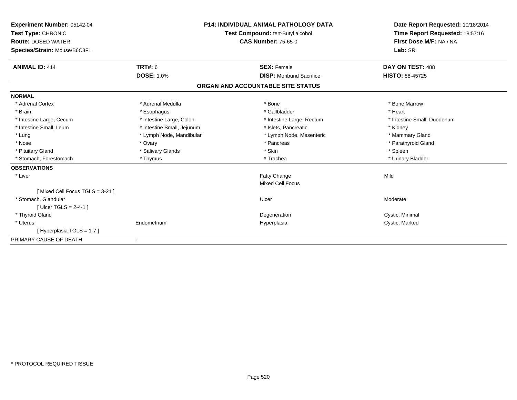| Experiment Number: 05142-04<br>Test Type: CHRONIC<br><b>Route: DOSED WATER</b> |                            | <b>P14: INDIVIDUAL ANIMAL PATHOLOGY DATA</b><br>Test Compound: tert-Butyl alcohol<br><b>CAS Number: 75-65-0</b> | Date Report Requested: 10/18/2014<br>Time Report Requested: 18:57:16<br>First Dose M/F: NA / NA |
|--------------------------------------------------------------------------------|----------------------------|-----------------------------------------------------------------------------------------------------------------|-------------------------------------------------------------------------------------------------|
| Species/Strain: Mouse/B6C3F1                                                   |                            |                                                                                                                 | Lab: SRI                                                                                        |
| <b>ANIMAL ID: 414</b>                                                          | TRT#: 6                    | <b>SEX: Female</b>                                                                                              | DAY ON TEST: 488                                                                                |
|                                                                                | <b>DOSE: 1.0%</b>          | <b>DISP:</b> Moribund Sacrifice                                                                                 | <b>HISTO: 88-45725</b>                                                                          |
|                                                                                |                            | ORGAN AND ACCOUNTABLE SITE STATUS                                                                               |                                                                                                 |
| <b>NORMAL</b>                                                                  |                            |                                                                                                                 |                                                                                                 |
| * Adrenal Cortex                                                               | * Adrenal Medulla          | * Bone                                                                                                          | * Bone Marrow                                                                                   |
| * Brain                                                                        | * Esophagus                | * Gallbladder                                                                                                   | * Heart                                                                                         |
| * Intestine Large, Cecum                                                       | * Intestine Large, Colon   | * Intestine Large, Rectum                                                                                       | * Intestine Small, Duodenum                                                                     |
| * Intestine Small, Ileum                                                       | * Intestine Small, Jejunum | * Islets, Pancreatic                                                                                            | * Kidney                                                                                        |
| * Lung                                                                         | * Lymph Node, Mandibular   | * Lymph Node, Mesenteric                                                                                        | * Mammary Gland                                                                                 |
| * Nose                                                                         | * Ovary                    | * Pancreas                                                                                                      | * Parathyroid Gland                                                                             |
| * Pituitary Gland                                                              | * Salivary Glands          | * Skin                                                                                                          | * Spleen                                                                                        |
| * Stomach, Forestomach                                                         | * Thymus                   | * Trachea                                                                                                       | * Urinary Bladder                                                                               |
| <b>OBSERVATIONS</b>                                                            |                            |                                                                                                                 |                                                                                                 |
| * Liver                                                                        |                            | Fatty Change                                                                                                    | Mild                                                                                            |
|                                                                                |                            | <b>Mixed Cell Focus</b>                                                                                         |                                                                                                 |
| [Mixed Cell Focus TGLS = 3-21]                                                 |                            |                                                                                                                 |                                                                                                 |
| * Stomach, Glandular                                                           |                            | Ulcer                                                                                                           | Moderate                                                                                        |
| [ Ulcer TGLS = $2-4-1$ ]                                                       |                            |                                                                                                                 |                                                                                                 |
| * Thyroid Gland                                                                |                            | Degeneration                                                                                                    | Cystic, Minimal                                                                                 |
| * Uterus                                                                       | Endometrium                | Hyperplasia                                                                                                     | Cystic, Marked                                                                                  |
| [Hyperplasia TGLS = 1-7]                                                       |                            |                                                                                                                 |                                                                                                 |
| PRIMARY CAUSE OF DEATH                                                         |                            |                                                                                                                 |                                                                                                 |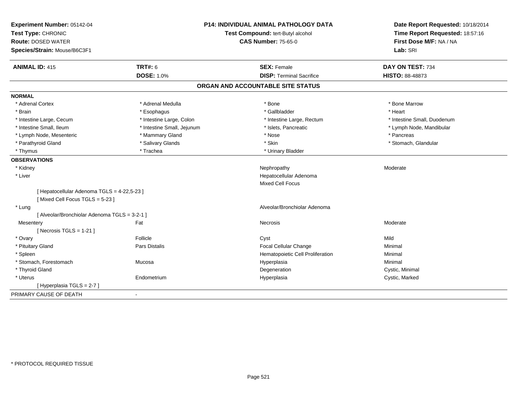| Experiment Number: 05142-04                   |                            | <b>P14: INDIVIDUAL ANIMAL PATHOLOGY DATA</b> | Date Report Requested: 10/18/2014 |
|-----------------------------------------------|----------------------------|----------------------------------------------|-----------------------------------|
| Test Type: CHRONIC                            |                            | Test Compound: tert-Butyl alcohol            | Time Report Requested: 18:57:16   |
| <b>Route: DOSED WATER</b>                     |                            | <b>CAS Number: 75-65-0</b>                   | First Dose M/F: NA / NA           |
| Species/Strain: Mouse/B6C3F1                  |                            |                                              | Lab: SRI                          |
| <b>ANIMAL ID: 415</b>                         | <b>TRT#: 6</b>             | <b>SEX: Female</b>                           | DAY ON TEST: 734                  |
|                                               | <b>DOSE: 1.0%</b>          | <b>DISP: Terminal Sacrifice</b>              | HISTO: 88-48873                   |
|                                               |                            | ORGAN AND ACCOUNTABLE SITE STATUS            |                                   |
| <b>NORMAL</b>                                 |                            |                                              |                                   |
| * Adrenal Cortex                              | * Adrenal Medulla          | * Bone                                       | * Bone Marrow                     |
| * Brain                                       | * Esophagus                | * Gallbladder                                | * Heart                           |
| * Intestine Large, Cecum                      | * Intestine Large, Colon   | * Intestine Large, Rectum                    | * Intestine Small, Duodenum       |
| * Intestine Small, Ileum                      | * Intestine Small, Jejunum | * Islets, Pancreatic                         | * Lymph Node, Mandibular          |
| * Lymph Node, Mesenteric                      | * Mammary Gland            | * Nose                                       | * Pancreas                        |
| * Parathyroid Gland                           | * Salivary Glands          | * Skin                                       | * Stomach, Glandular              |
| * Thymus                                      | * Trachea                  | * Urinary Bladder                            |                                   |
| <b>OBSERVATIONS</b>                           |                            |                                              |                                   |
| * Kidney                                      |                            | Nephropathy                                  | Moderate                          |
| * Liver                                       |                            | Hepatocellular Adenoma                       |                                   |
|                                               |                            | <b>Mixed Cell Focus</b>                      |                                   |
| [ Hepatocellular Adenoma TGLS = 4-22,5-23 ]   |                            |                                              |                                   |
| [Mixed Cell Focus TGLS = 5-23]                |                            |                                              |                                   |
| * Lung                                        |                            | Alveolar/Bronchiolar Adenoma                 |                                   |
| [ Alveolar/Bronchiolar Adenoma TGLS = 3-2-1 ] |                            |                                              |                                   |
| Mesentery                                     | Fat                        | <b>Necrosis</b>                              | Moderate                          |
| [Necrosis TGLS = $1-21$ ]                     |                            |                                              |                                   |
| * Ovary                                       | Follicle                   | Cyst                                         | Mild                              |
| * Pituitary Gland                             | Pars Distalis              | Focal Cellular Change                        | Minimal                           |
| * Spleen                                      |                            | Hematopoietic Cell Proliferation             | Minimal                           |
| * Stomach, Forestomach                        | Mucosa                     | Hyperplasia                                  | Minimal                           |
| * Thyroid Gland                               |                            | Degeneration                                 | Cystic, Minimal                   |
| * Uterus                                      | Endometrium                | Hyperplasia                                  | Cystic, Marked                    |
| [ Hyperplasia TGLS = 2-7 ]                    |                            |                                              |                                   |
| PRIMARY CAUSE OF DEATH                        |                            |                                              |                                   |
|                                               |                            |                                              |                                   |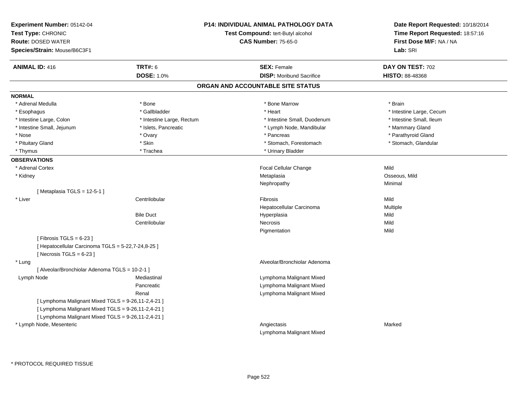| Experiment Number: 05142-04<br>Test Type: CHRONIC<br><b>Route: DOSED WATER</b><br>Species/Strain: Mouse/B6C3F1 |                           | P14: INDIVIDUAL ANIMAL PATHOLOGY DATA<br>Test Compound: tert-Butyl alcohol<br><b>CAS Number: 75-65-0</b> | Date Report Requested: 10/18/2014<br>Time Report Requested: 18:57:16<br>First Dose M/F: NA / NA<br>Lab: SRI |
|----------------------------------------------------------------------------------------------------------------|---------------------------|----------------------------------------------------------------------------------------------------------|-------------------------------------------------------------------------------------------------------------|
| <b>ANIMAL ID: 416</b>                                                                                          | <b>TRT#: 6</b>            | <b>SEX: Female</b>                                                                                       | DAY ON TEST: 702                                                                                            |
|                                                                                                                | <b>DOSE: 1.0%</b>         | <b>DISP:</b> Moribund Sacrifice                                                                          | <b>HISTO: 88-48368</b>                                                                                      |
|                                                                                                                |                           | ORGAN AND ACCOUNTABLE SITE STATUS                                                                        |                                                                                                             |
| <b>NORMAL</b>                                                                                                  |                           |                                                                                                          |                                                                                                             |
| * Adrenal Medulla                                                                                              | * Bone                    | * Bone Marrow                                                                                            | * Brain                                                                                                     |
| * Esophagus                                                                                                    | * Gallbladder             | * Heart                                                                                                  | * Intestine Large, Cecum                                                                                    |
| * Intestine Large, Colon                                                                                       | * Intestine Large, Rectum | * Intestine Small, Duodenum                                                                              | * Intestine Small, Ileum                                                                                    |
| * Intestine Small, Jejunum                                                                                     | * Islets, Pancreatic      | * Lymph Node, Mandibular                                                                                 | * Mammary Gland                                                                                             |
| * Nose                                                                                                         | * Ovary                   | * Pancreas                                                                                               | * Parathyroid Gland                                                                                         |
| * Pituitary Gland                                                                                              | * Skin                    | * Stomach, Forestomach                                                                                   | * Stomach, Glandular                                                                                        |
| * Thymus                                                                                                       | * Trachea                 | * Urinary Bladder                                                                                        |                                                                                                             |
| <b>OBSERVATIONS</b>                                                                                            |                           |                                                                                                          |                                                                                                             |
| * Adrenal Cortex                                                                                               |                           | Focal Cellular Change                                                                                    | Mild                                                                                                        |
| * Kidney                                                                                                       |                           | Metaplasia                                                                                               | Osseous, Mild                                                                                               |
|                                                                                                                |                           | Nephropathy                                                                                              | Minimal                                                                                                     |
| [Metaplasia TGLS = 12-5-1]                                                                                     |                           |                                                                                                          |                                                                                                             |
| * Liver                                                                                                        | Centrilobular             | Fibrosis                                                                                                 | Mild                                                                                                        |
|                                                                                                                |                           | Hepatocellular Carcinoma                                                                                 | Multiple                                                                                                    |
|                                                                                                                | <b>Bile Duct</b>          | Hyperplasia                                                                                              | Mild                                                                                                        |
|                                                                                                                | Centrilobular             | Necrosis                                                                                                 | Mild                                                                                                        |
|                                                                                                                |                           | Pigmentation                                                                                             | Mild                                                                                                        |
| [Fibrosis TGLS = $6-23$ ]                                                                                      |                           |                                                                                                          |                                                                                                             |
| [ Hepatocellular Carcinoma TGLS = 5-22,7-24,8-25 ]<br>[Necrosis TGLS = $6-23$ ]                                |                           |                                                                                                          |                                                                                                             |
| * Lung                                                                                                         |                           | Alveolar/Bronchiolar Adenoma                                                                             |                                                                                                             |
| [ Alveolar/Bronchiolar Adenoma TGLS = 10-2-1 ]                                                                 |                           |                                                                                                          |                                                                                                             |
| Lymph Node                                                                                                     | Mediastinal               | Lymphoma Malignant Mixed                                                                                 |                                                                                                             |
|                                                                                                                | Pancreatic                | Lymphoma Malignant Mixed                                                                                 |                                                                                                             |
|                                                                                                                | Renal                     | Lymphoma Malignant Mixed                                                                                 |                                                                                                             |
| [ Lymphoma Malignant Mixed TGLS = 9-26,11-2,4-21 ]                                                             |                           |                                                                                                          |                                                                                                             |
| [ Lymphoma Malignant Mixed TGLS = 9-26,11-2,4-21 ]                                                             |                           |                                                                                                          |                                                                                                             |
| [ Lymphoma Malignant Mixed TGLS = 9-26,11-2,4-21 ]                                                             |                           |                                                                                                          |                                                                                                             |
| * Lymph Node, Mesenteric                                                                                       |                           | Angiectasis                                                                                              | Marked                                                                                                      |
|                                                                                                                |                           | Lymphoma Malignant Mixed                                                                                 |                                                                                                             |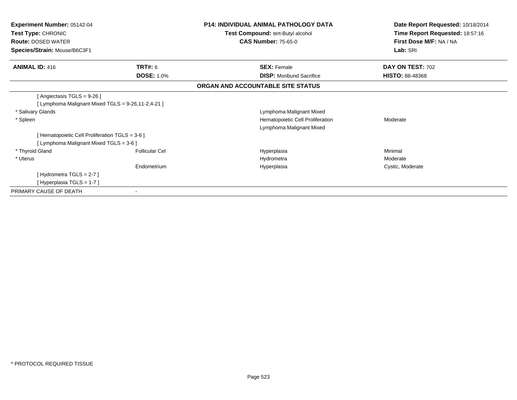| <b>Experiment Number: 05142-04</b><br>Test Type: CHRONIC<br><b>Route: DOSED WATER</b><br>Species/Strain: Mouse/B6C3F1 |                       | <b>P14: INDIVIDUAL ANIMAL PATHOLOGY DATA</b><br>Test Compound: tert-Butyl alcohol<br><b>CAS Number: 75-65-0</b> | Date Report Requested: 10/18/2014<br>Time Report Requested: 18:57:16<br>First Dose M/F: NA / NA |
|-----------------------------------------------------------------------------------------------------------------------|-----------------------|-----------------------------------------------------------------------------------------------------------------|-------------------------------------------------------------------------------------------------|
|                                                                                                                       |                       |                                                                                                                 | Lab: SRI                                                                                        |
| <b>ANIMAL ID: 416</b>                                                                                                 | TRT#: 6               | <b>SEX: Female</b>                                                                                              | DAY ON TEST: 702                                                                                |
|                                                                                                                       | <b>DOSE: 1.0%</b>     | <b>DISP:</b> Moribund Sacrifice                                                                                 | <b>HISTO: 88-48368</b>                                                                          |
|                                                                                                                       |                       | ORGAN AND ACCOUNTABLE SITE STATUS                                                                               |                                                                                                 |
| [Angiectasis TGLS = 9-26]                                                                                             |                       |                                                                                                                 |                                                                                                 |
| [ Lymphoma Malignant Mixed TGLS = 9-26,11-2,4-21 ]                                                                    |                       |                                                                                                                 |                                                                                                 |
| * Salivary Glands                                                                                                     |                       | Lymphoma Malignant Mixed                                                                                        |                                                                                                 |
| * Spleen                                                                                                              |                       | Hematopoietic Cell Proliferation                                                                                | Moderate                                                                                        |
|                                                                                                                       |                       | Lymphoma Malignant Mixed                                                                                        |                                                                                                 |
| [Hematopoietic Cell Proliferation TGLS = 3-6 ]                                                                        |                       |                                                                                                                 |                                                                                                 |
| [ Lymphoma Malignant Mixed TGLS = 3-6 ]                                                                               |                       |                                                                                                                 |                                                                                                 |
| * Thyroid Gland                                                                                                       | <b>Follicular Cel</b> | Hyperplasia                                                                                                     | Minimal                                                                                         |
| * Uterus                                                                                                              |                       | Hydrometra                                                                                                      | Moderate                                                                                        |
|                                                                                                                       | Endometrium           | Hyperplasia                                                                                                     | Cystic, Moderate                                                                                |
| [Hydrometra TGLS = 2-7]                                                                                               |                       |                                                                                                                 |                                                                                                 |
| [Hyperplasia TGLS = 1-7]                                                                                              |                       |                                                                                                                 |                                                                                                 |
| PRIMARY CAUSE OF DEATH                                                                                                |                       |                                                                                                                 |                                                                                                 |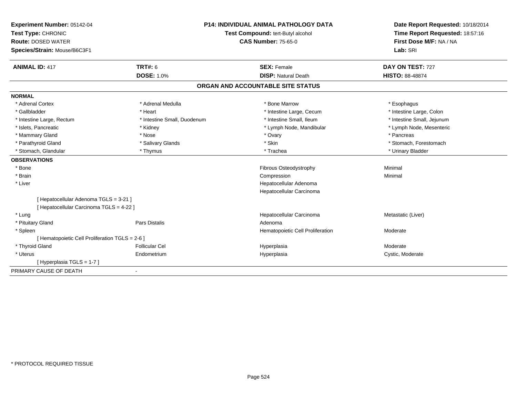| <b>Experiment Number: 05142-04</b>              |                             | <b>P14: INDIVIDUAL ANIMAL PATHOLOGY DATA</b> |                                 |
|-------------------------------------------------|-----------------------------|----------------------------------------------|---------------------------------|
| Test Type: CHRONIC                              |                             | Test Compound: tert-Butyl alcohol            | Time Report Requested: 18:57:16 |
| <b>Route: DOSED WATER</b>                       |                             | <b>CAS Number: 75-65-0</b>                   | First Dose M/F: NA / NA         |
| Species/Strain: Mouse/B6C3F1                    |                             |                                              | Lab: SRI                        |
| <b>ANIMAL ID: 417</b>                           | TRT#: 6                     | <b>SEX: Female</b>                           | DAY ON TEST: 727                |
|                                                 | <b>DOSE: 1.0%</b>           | <b>DISP: Natural Death</b>                   | <b>HISTO: 88-48874</b>          |
|                                                 |                             | ORGAN AND ACCOUNTABLE SITE STATUS            |                                 |
| <b>NORMAL</b>                                   |                             |                                              |                                 |
| * Adrenal Cortex                                | * Adrenal Medulla           | * Bone Marrow                                | * Esophagus                     |
| * Gallbladder                                   | * Heart                     | * Intestine Large, Cecum                     | * Intestine Large, Colon        |
| * Intestine Large, Rectum                       | * Intestine Small, Duodenum | * Intestine Small, Ileum                     | * Intestine Small, Jejunum      |
| * Islets, Pancreatic                            | * Kidney                    | * Lymph Node, Mandibular                     | * Lymph Node, Mesenteric        |
| * Mammary Gland                                 | * Nose                      | * Ovary                                      | * Pancreas                      |
| * Parathyroid Gland                             | * Salivary Glands           | * Skin                                       | * Stomach, Forestomach          |
| * Stomach, Glandular                            | * Thymus                    | * Trachea                                    | * Urinary Bladder               |
| <b>OBSERVATIONS</b>                             |                             |                                              |                                 |
| * Bone                                          |                             | <b>Fibrous Osteodystrophy</b>                | Minimal                         |
| * Brain                                         |                             | Compression                                  | Minimal                         |
| * Liver                                         |                             | Hepatocellular Adenoma                       |                                 |
|                                                 |                             | Hepatocellular Carcinoma                     |                                 |
| [ Hepatocellular Adenoma TGLS = 3-21 ]          |                             |                                              |                                 |
| [ Hepatocellular Carcinoma TGLS = 4-22 ]        |                             |                                              |                                 |
| * Lung                                          |                             | Hepatocellular Carcinoma                     | Metastatic (Liver)              |
| * Pituitary Gland                               | <b>Pars Distalis</b>        | Adenoma                                      |                                 |
| * Spleen                                        |                             | Hematopoietic Cell Proliferation             | Moderate                        |
| [ Hematopoietic Cell Proliferation TGLS = 2-6 ] |                             |                                              |                                 |
| * Thyroid Gland                                 | <b>Follicular Cel</b>       | Hyperplasia                                  | Moderate                        |
| * Uterus                                        | Endometrium                 | Hyperplasia                                  | Cystic, Moderate                |
| [Hyperplasia TGLS = 1-7]                        |                             |                                              |                                 |
| PRIMARY CAUSE OF DEATH                          |                             |                                              |                                 |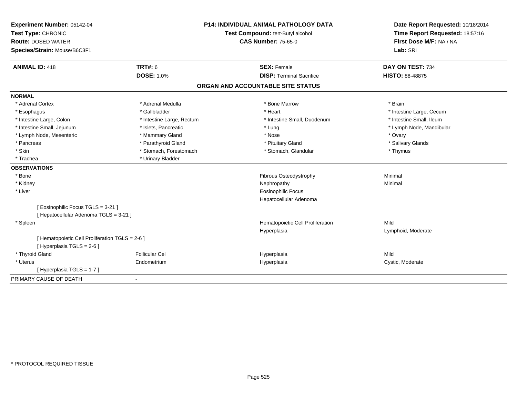| Experiment Number: 05142-04<br>Test Type: CHRONIC                             |                           | <b>P14: INDIVIDUAL ANIMAL PATHOLOGY DATA</b><br>Test Compound: tert-Butyl alcohol | Date Report Requested: 10/18/2014<br>Time Report Requested: 18:57:16<br>First Dose M/F: NA / NA |
|-------------------------------------------------------------------------------|---------------------------|-----------------------------------------------------------------------------------|-------------------------------------------------------------------------------------------------|
| <b>Route: DOSED WATER</b>                                                     |                           | <b>CAS Number: 75-65-0</b>                                                        |                                                                                                 |
| Species/Strain: Mouse/B6C3F1                                                  |                           |                                                                                   | Lab: SRI                                                                                        |
| <b>ANIMAL ID: 418</b>                                                         | <b>TRT#: 6</b>            | <b>SEX: Female</b>                                                                | DAY ON TEST: 734                                                                                |
|                                                                               | <b>DOSE: 1.0%</b>         | <b>DISP: Terminal Sacrifice</b>                                                   | <b>HISTO: 88-48875</b>                                                                          |
|                                                                               |                           | ORGAN AND ACCOUNTABLE SITE STATUS                                                 |                                                                                                 |
| <b>NORMAL</b>                                                                 |                           |                                                                                   |                                                                                                 |
| * Adrenal Cortex                                                              | * Adrenal Medulla         | * Bone Marrow                                                                     | * Brain                                                                                         |
| * Esophagus                                                                   | * Gallbladder             | * Heart                                                                           | * Intestine Large, Cecum                                                                        |
| * Intestine Large, Colon                                                      | * Intestine Large, Rectum | * Intestine Small, Duodenum                                                       | * Intestine Small, Ileum                                                                        |
| * Intestine Small, Jejunum                                                    | * Islets, Pancreatic      | * Lung                                                                            | * Lymph Node, Mandibular                                                                        |
| * Lymph Node, Mesenteric                                                      | * Mammary Gland           | * Nose                                                                            | * Ovary                                                                                         |
| * Pancreas                                                                    | * Parathyroid Gland       | * Pituitary Gland                                                                 | * Salivary Glands                                                                               |
| * Skin                                                                        | * Stomach, Forestomach    | * Stomach, Glandular                                                              | * Thymus                                                                                        |
| * Trachea                                                                     | * Urinary Bladder         |                                                                                   |                                                                                                 |
| <b>OBSERVATIONS</b>                                                           |                           |                                                                                   |                                                                                                 |
| * Bone                                                                        |                           | Fibrous Osteodystrophy                                                            | Minimal                                                                                         |
| * Kidney                                                                      |                           | Nephropathy                                                                       | Minimal                                                                                         |
| * Liver                                                                       |                           | <b>Eosinophilic Focus</b>                                                         |                                                                                                 |
|                                                                               |                           | Hepatocellular Adenoma                                                            |                                                                                                 |
| [Eosinophilic Focus TGLS = 3-21]                                              |                           |                                                                                   |                                                                                                 |
| [ Hepatocellular Adenoma TGLS = 3-21 ]                                        |                           |                                                                                   |                                                                                                 |
| * Spleen                                                                      |                           | Hematopoietic Cell Proliferation                                                  | Mild                                                                                            |
|                                                                               |                           | Hyperplasia                                                                       | Lymphoid, Moderate                                                                              |
| [ Hematopoietic Cell Proliferation TGLS = 2-6 ]<br>[ Hyperplasia TGLS = 2-6 ] |                           |                                                                                   |                                                                                                 |
| * Thyroid Gland                                                               | <b>Follicular Cel</b>     | Hyperplasia                                                                       | Mild                                                                                            |
| * Uterus                                                                      | Endometrium               | Hyperplasia                                                                       | Cystic, Moderate                                                                                |
| [Hyperplasia TGLS = 1-7]                                                      |                           |                                                                                   |                                                                                                 |
| PRIMARY CAUSE OF DEATH                                                        | $\blacksquare$            |                                                                                   |                                                                                                 |
|                                                                               |                           |                                                                                   |                                                                                                 |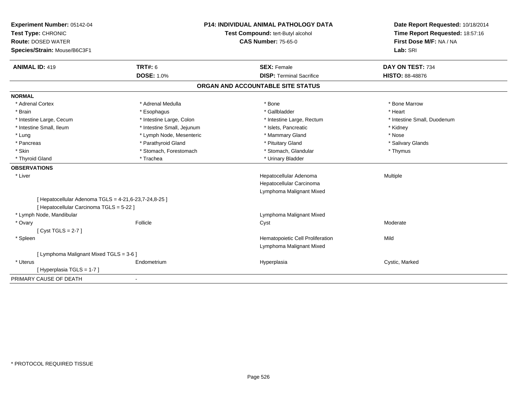| Experiment Number: 05142-04                           |                            | <b>P14: INDIVIDUAL ANIMAL PATHOLOGY DATA</b> | Date Report Requested: 10/18/2014 |
|-------------------------------------------------------|----------------------------|----------------------------------------------|-----------------------------------|
| Test Type: CHRONIC                                    |                            | Test Compound: tert-Butyl alcohol            | Time Report Requested: 18:57:16   |
| <b>Route: DOSED WATER</b>                             |                            | <b>CAS Number: 75-65-0</b>                   | First Dose M/F: NA / NA           |
| Species/Strain: Mouse/B6C3F1                          |                            |                                              | Lab: SRI                          |
| <b>ANIMAL ID: 419</b>                                 | <b>TRT#: 6</b>             | <b>SEX: Female</b>                           | DAY ON TEST: 734                  |
|                                                       | <b>DOSE: 1.0%</b>          | <b>DISP: Terminal Sacrifice</b>              | <b>HISTO: 88-48876</b>            |
|                                                       |                            | ORGAN AND ACCOUNTABLE SITE STATUS            |                                   |
| <b>NORMAL</b>                                         |                            |                                              |                                   |
| * Adrenal Cortex                                      | * Adrenal Medulla          | * Bone                                       | * Bone Marrow                     |
| * Brain                                               | * Esophagus                | * Gallbladder                                | * Heart                           |
| * Intestine Large, Cecum                              | * Intestine Large, Colon   | * Intestine Large, Rectum                    | * Intestine Small, Duodenum       |
| * Intestine Small, Ileum                              | * Intestine Small, Jejunum | * Islets, Pancreatic                         | * Kidney                          |
| * Lung                                                | * Lymph Node, Mesenteric   | * Mammary Gland                              | * Nose                            |
| * Pancreas                                            | * Parathyroid Gland        | * Pituitary Gland                            | * Salivary Glands                 |
| * Skin                                                | * Stomach, Forestomach     | * Stomach, Glandular                         | * Thymus                          |
| * Thyroid Gland                                       | * Trachea                  | * Urinary Bladder                            |                                   |
| <b>OBSERVATIONS</b>                                   |                            |                                              |                                   |
| * Liver                                               |                            | Hepatocellular Adenoma                       | Multiple                          |
|                                                       |                            | Hepatocellular Carcinoma                     |                                   |
|                                                       |                            | Lymphoma Malignant Mixed                     |                                   |
| [ Hepatocellular Adenoma TGLS = 4-21,6-23,7-24,8-25 ] |                            |                                              |                                   |
| [ Hepatocellular Carcinoma TGLS = 5-22 ]              |                            |                                              |                                   |
| * Lymph Node, Mandibular                              |                            | Lymphoma Malignant Mixed                     |                                   |
| * Ovary                                               | Follicle                   | Cyst                                         | Moderate                          |
| [Cyst TGLS = $2-7$ ]                                  |                            |                                              |                                   |
| * Spleen                                              |                            | Hematopoietic Cell Proliferation             | Mild                              |
|                                                       |                            | Lymphoma Malignant Mixed                     |                                   |
| [ Lymphoma Malignant Mixed TGLS = 3-6 ]               |                            |                                              |                                   |
| * Uterus                                              | Endometrium                | Hyperplasia                                  | Cystic, Marked                    |
| [Hyperplasia TGLS = 1-7]                              |                            |                                              |                                   |
| PRIMARY CAUSE OF DEATH                                |                            |                                              |                                   |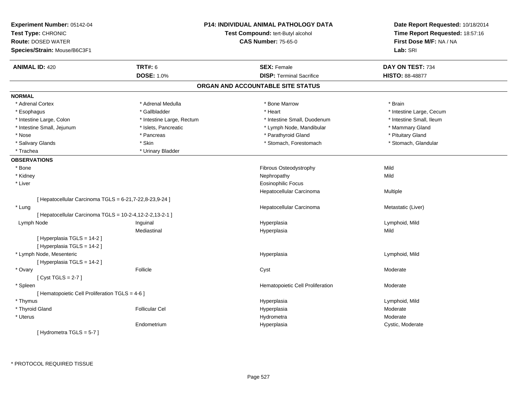| Experiment Number: 05142-04<br>Test Type: CHRONIC<br><b>Route: DOSED WATER</b><br>Species/Strain: Mouse/B6C3F1 |                           | P14: INDIVIDUAL ANIMAL PATHOLOGY DATA<br>Test Compound: tert-Butyl alcohol<br><b>CAS Number: 75-65-0</b> | Date Report Requested: 10/18/2014<br>Time Report Requested: 18:57:16<br>First Dose M/F: NA / NA<br>Lab: SRI |
|----------------------------------------------------------------------------------------------------------------|---------------------------|----------------------------------------------------------------------------------------------------------|-------------------------------------------------------------------------------------------------------------|
| <b>ANIMAL ID: 420</b>                                                                                          | <b>TRT#: 6</b>            | <b>SEX: Female</b>                                                                                       | DAY ON TEST: 734                                                                                            |
|                                                                                                                | <b>DOSE: 1.0%</b>         | <b>DISP: Terminal Sacrifice</b>                                                                          | <b>HISTO: 88-48877</b>                                                                                      |
|                                                                                                                |                           | ORGAN AND ACCOUNTABLE SITE STATUS                                                                        |                                                                                                             |
| <b>NORMAL</b>                                                                                                  |                           |                                                                                                          |                                                                                                             |
| * Adrenal Cortex                                                                                               | * Adrenal Medulla         | * Bone Marrow                                                                                            | * Brain                                                                                                     |
| * Esophagus                                                                                                    | * Gallbladder             | * Heart                                                                                                  | * Intestine Large, Cecum                                                                                    |
| * Intestine Large, Colon                                                                                       | * Intestine Large, Rectum | * Intestine Small, Duodenum                                                                              | * Intestine Small, Ileum                                                                                    |
| * Intestine Small, Jejunum                                                                                     | * Islets, Pancreatic      | * Lymph Node, Mandibular                                                                                 | * Mammary Gland                                                                                             |
| * Nose                                                                                                         | * Pancreas                | * Parathyroid Gland                                                                                      | * Pituitary Gland                                                                                           |
| * Salivary Glands                                                                                              | * Skin                    | * Stomach, Forestomach                                                                                   | * Stomach, Glandular                                                                                        |
| * Trachea                                                                                                      | * Urinary Bladder         |                                                                                                          |                                                                                                             |
| <b>OBSERVATIONS</b>                                                                                            |                           |                                                                                                          |                                                                                                             |
| * Bone                                                                                                         |                           | Fibrous Osteodystrophy                                                                                   | Mild                                                                                                        |
| * Kidney                                                                                                       |                           | Nephropathy                                                                                              | Mild                                                                                                        |
| * Liver                                                                                                        |                           | <b>Eosinophilic Focus</b>                                                                                |                                                                                                             |
|                                                                                                                |                           | Hepatocellular Carcinoma                                                                                 | Multiple                                                                                                    |
| [ Hepatocellular Carcinoma TGLS = 6-21,7-22,8-23,9-24 ]                                                        |                           |                                                                                                          |                                                                                                             |
| * Lung                                                                                                         |                           | Hepatocellular Carcinoma                                                                                 | Metastatic (Liver)                                                                                          |
| [ Hepatocellular Carcinoma TGLS = 10-2-4,12-2-2,13-2-1 ]                                                       |                           |                                                                                                          |                                                                                                             |
| Lymph Node                                                                                                     | Inguinal                  | Hyperplasia                                                                                              | Lymphoid, Mild                                                                                              |
|                                                                                                                | Mediastinal               | Hyperplasia                                                                                              | Mild                                                                                                        |
| [Hyperplasia TGLS = 14-2]                                                                                      |                           |                                                                                                          |                                                                                                             |
| [ Hyperplasia TGLS = 14-2 ]                                                                                    |                           |                                                                                                          |                                                                                                             |
| * Lymph Node, Mesenteric                                                                                       |                           | Hyperplasia                                                                                              | Lymphoid, Mild                                                                                              |
| [ Hyperplasia TGLS = 14-2 ]                                                                                    |                           |                                                                                                          |                                                                                                             |
| * Ovary                                                                                                        | Follicle                  | Cyst                                                                                                     | Moderate                                                                                                    |
| [Cyst TGLS = $2-7$ ]                                                                                           |                           |                                                                                                          |                                                                                                             |
| * Spleen                                                                                                       |                           | Hematopoietic Cell Proliferation                                                                         | Moderate                                                                                                    |
| [ Hematopoietic Cell Proliferation TGLS = 4-6 ]                                                                |                           |                                                                                                          |                                                                                                             |
| * Thymus                                                                                                       |                           | Hyperplasia                                                                                              | Lymphoid, Mild                                                                                              |
| * Thyroid Gland                                                                                                | <b>Follicular Cel</b>     | Hyperplasia                                                                                              | Moderate                                                                                                    |
| * Uterus                                                                                                       |                           | Hydrometra                                                                                               | Moderate                                                                                                    |
|                                                                                                                | Endometrium               | Hyperplasia                                                                                              | Cystic, Moderate                                                                                            |
| [Hydrometra TGLS = $5-7$ ]                                                                                     |                           |                                                                                                          |                                                                                                             |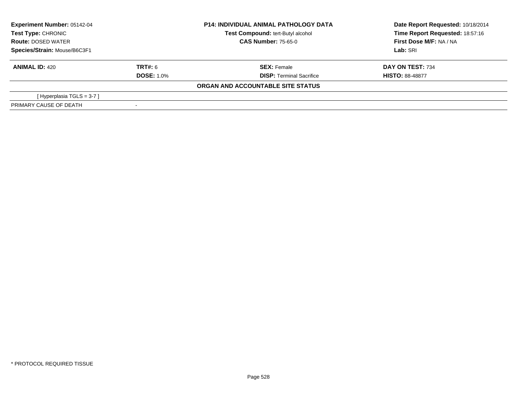| <b>Experiment Number: 05142-04</b><br>Test Type: CHRONIC<br><b>Route: DOSED WATER</b><br>Species/Strain: Mouse/B6C3F1 |                   | <b>P14: INDIVIDUAL ANIMAL PATHOLOGY DATA</b> | Date Report Requested: 10/18/2014 |  |
|-----------------------------------------------------------------------------------------------------------------------|-------------------|----------------------------------------------|-----------------------------------|--|
|                                                                                                                       |                   | Test Compound: tert-Butyl alcohol            | Time Report Requested: 18:57:16   |  |
|                                                                                                                       |                   | <b>CAS Number: 75-65-0</b>                   | First Dose M/F: NA / NA           |  |
|                                                                                                                       |                   |                                              | Lab: SRI                          |  |
| <b>ANIMAL ID: 420</b>                                                                                                 | TRT#: 6           | <b>SEX: Female</b>                           | DAY ON TEST: 734                  |  |
|                                                                                                                       | <b>DOSE: 1.0%</b> | <b>DISP: Terminal Sacrifice</b>              | <b>HISTO: 88-48877</b>            |  |
|                                                                                                                       |                   | ORGAN AND ACCOUNTABLE SITE STATUS            |                                   |  |
| [Hyperplasia TGLS = $3-7$ ]                                                                                           |                   |                                              |                                   |  |
| PRIMARY CAUSE OF DEATH                                                                                                |                   |                                              |                                   |  |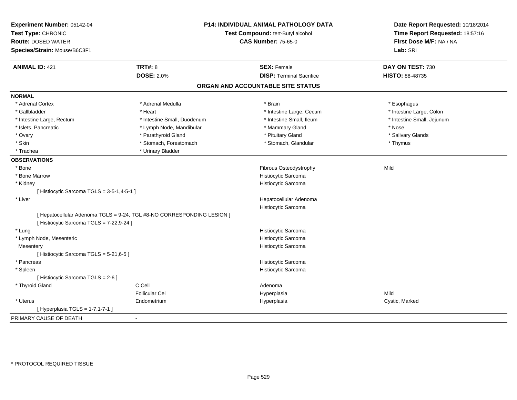| Experiment Number: 05142-04<br>Test Type: CHRONIC         |                                                                        | <b>P14: INDIVIDUAL ANIMAL PATHOLOGY DATA</b><br>Test Compound: tert-Butyl alcohol | Date Report Requested: 10/18/2014<br>Time Report Requested: 18:57:16 |
|-----------------------------------------------------------|------------------------------------------------------------------------|-----------------------------------------------------------------------------------|----------------------------------------------------------------------|
| <b>Route: DOSED WATER</b><br>Species/Strain: Mouse/B6C3F1 |                                                                        | <b>CAS Number: 75-65-0</b>                                                        | First Dose M/F: NA / NA<br>Lab: SRI                                  |
|                                                           |                                                                        |                                                                                   |                                                                      |
| <b>ANIMAL ID: 421</b>                                     | <b>TRT#: 8</b>                                                         | <b>SEX: Female</b>                                                                | DAY ON TEST: 730                                                     |
|                                                           | <b>DOSE: 2.0%</b>                                                      | <b>DISP: Terminal Sacrifice</b>                                                   | HISTO: 88-48735                                                      |
|                                                           |                                                                        | ORGAN AND ACCOUNTABLE SITE STATUS                                                 |                                                                      |
| <b>NORMAL</b>                                             |                                                                        |                                                                                   |                                                                      |
| * Adrenal Cortex                                          | * Adrenal Medulla                                                      | * Brain                                                                           | * Esophagus                                                          |
| * Gallbladder                                             | * Heart                                                                | * Intestine Large, Cecum                                                          | * Intestine Large, Colon                                             |
| * Intestine Large, Rectum                                 | * Intestine Small, Duodenum                                            | * Intestine Small, Ileum                                                          | * Intestine Small, Jejunum                                           |
| * Islets, Pancreatic                                      | * Lymph Node, Mandibular                                               | * Mammary Gland                                                                   | * Nose                                                               |
| * Ovary                                                   | * Parathyroid Gland                                                    | * Pituitary Gland                                                                 | * Salivary Glands                                                    |
| * Skin                                                    | * Stomach, Forestomach                                                 | * Stomach, Glandular                                                              | * Thymus                                                             |
| * Trachea                                                 | * Urinary Bladder                                                      |                                                                                   |                                                                      |
| <b>OBSERVATIONS</b>                                       |                                                                        |                                                                                   |                                                                      |
| * Bone                                                    |                                                                        | Fibrous Osteodystrophy                                                            | Mild                                                                 |
| * Bone Marrow                                             |                                                                        | Histiocytic Sarcoma                                                               |                                                                      |
| * Kidney                                                  |                                                                        | Histiocytic Sarcoma                                                               |                                                                      |
| [ Histiocytic Sarcoma TGLS = 3-5-1,4-5-1 ]                |                                                                        |                                                                                   |                                                                      |
| * Liver                                                   |                                                                        | Hepatocellular Adenoma                                                            |                                                                      |
|                                                           |                                                                        | Histiocytic Sarcoma                                                               |                                                                      |
|                                                           | [ Hepatocellular Adenoma TGLS = 9-24, TGL #8-NO CORRESPONDING LESION ] |                                                                                   |                                                                      |
| [ Histiocytic Sarcoma TGLS = 7-22,9-24 ]                  |                                                                        |                                                                                   |                                                                      |
| * Lung                                                    |                                                                        | Histiocytic Sarcoma                                                               |                                                                      |
| * Lymph Node, Mesenteric                                  |                                                                        | Histiocytic Sarcoma                                                               |                                                                      |
| Mesentery                                                 |                                                                        | Histiocytic Sarcoma                                                               |                                                                      |
| [ Histiocytic Sarcoma TGLS = 5-21,6-5 ]                   |                                                                        |                                                                                   |                                                                      |
| * Pancreas                                                |                                                                        | Histiocytic Sarcoma                                                               |                                                                      |
| * Spleen                                                  |                                                                        | Histiocytic Sarcoma                                                               |                                                                      |
| [ Histiocytic Sarcoma TGLS = 2-6 ]                        |                                                                        |                                                                                   |                                                                      |
| * Thyroid Gland                                           | C Cell                                                                 | Adenoma                                                                           |                                                                      |
|                                                           | <b>Follicular Cel</b>                                                  | Hyperplasia                                                                       | Mild                                                                 |
| * Uterus                                                  | Endometrium                                                            | Hyperplasia                                                                       | Cystic, Marked                                                       |
| [ Hyperplasia TGLS = 1-7,1-7-1 ]                          |                                                                        |                                                                                   |                                                                      |
| PRIMARY CAUSE OF DEATH                                    |                                                                        |                                                                                   |                                                                      |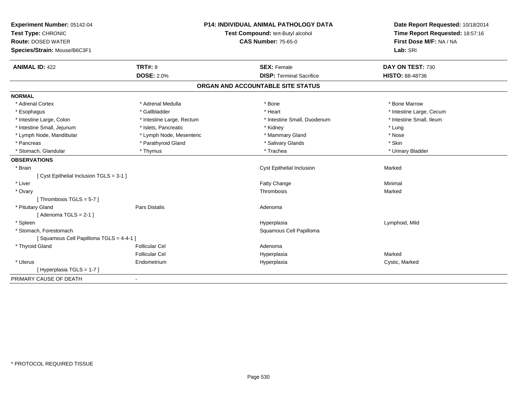| Experiment Number: 05142-04              |                           | <b>P14: INDIVIDUAL ANIMAL PATHOLOGY DATA</b> | Date Report Requested: 10/18/2014 |
|------------------------------------------|---------------------------|----------------------------------------------|-----------------------------------|
| Test Type: CHRONIC                       |                           | Test Compound: tert-Butyl alcohol            | Time Report Requested: 18:57:16   |
| <b>Route: DOSED WATER</b>                |                           | <b>CAS Number: 75-65-0</b>                   | First Dose M/F: NA / NA           |
| Species/Strain: Mouse/B6C3F1             |                           |                                              | Lab: SRI                          |
| <b>ANIMAL ID: 422</b>                    | <b>TRT#: 8</b>            | <b>SEX: Female</b>                           | DAY ON TEST: 730                  |
|                                          | <b>DOSE: 2.0%</b>         | <b>DISP: Terminal Sacrifice</b>              | <b>HISTO: 88-48736</b>            |
|                                          |                           | ORGAN AND ACCOUNTABLE SITE STATUS            |                                   |
| <b>NORMAL</b>                            |                           |                                              |                                   |
| * Adrenal Cortex                         | * Adrenal Medulla         | * Bone                                       | * Bone Marrow                     |
| * Esophagus                              | * Gallbladder             | * Heart                                      | * Intestine Large, Cecum          |
| * Intestine Large, Colon                 | * Intestine Large, Rectum | * Intestine Small, Duodenum                  | * Intestine Small, Ileum          |
| * Intestine Small, Jejunum               | * Islets, Pancreatic      | * Kidney                                     | * Lung                            |
| * Lymph Node, Mandibular                 | * Lymph Node, Mesenteric  | * Mammary Gland                              | * Nose                            |
| * Pancreas                               | * Parathyroid Gland       | * Salivary Glands                            | * Skin                            |
| * Stomach, Glandular                     | * Thymus                  | * Trachea                                    | * Urinary Bladder                 |
| <b>OBSERVATIONS</b>                      |                           |                                              |                                   |
| * Brain                                  |                           | Cyst Epithelial Inclusion                    | Marked                            |
| [ Cyst Epithelial Inclusion TGLS = 3-1 ] |                           |                                              |                                   |
| * Liver                                  |                           | Fatty Change                                 | Minimal                           |
| * Ovary                                  |                           | Thrombosis                                   | Marked                            |
| [Thrombosis TGLS = $5-7$ ]               |                           |                                              |                                   |
| * Pituitary Gland                        | <b>Pars Distalis</b>      | Adenoma                                      |                                   |
| [Adenoma TGLS = $2-1$ ]                  |                           |                                              |                                   |
| * Spleen                                 |                           | Hyperplasia                                  | Lymphoid, Mild                    |
| * Stomach, Forestomach                   |                           | Squamous Cell Papilloma                      |                                   |
| [Squamous Cell Papilloma TGLS = 4-4-1 ]  |                           |                                              |                                   |
| * Thyroid Gland                          | <b>Follicular Cel</b>     | Adenoma                                      |                                   |
|                                          | <b>Follicular Cel</b>     | Hyperplasia                                  | Marked                            |
| * Uterus                                 | Endometrium               | Hyperplasia                                  | Cystic, Marked                    |
| [Hyperplasia TGLS = 1-7]                 |                           |                                              |                                   |
| PRIMARY CAUSE OF DEATH                   | $\blacksquare$            |                                              |                                   |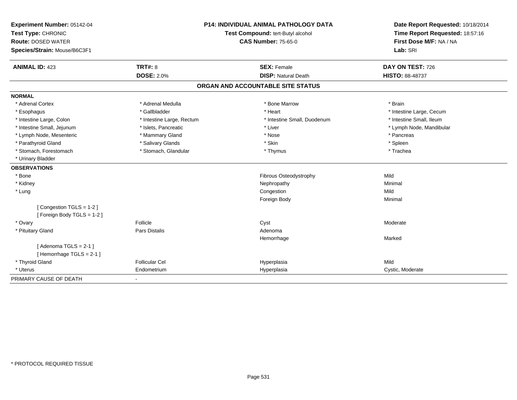| Experiment Number: 05142-04                        |                                   | <b>P14: INDIVIDUAL ANIMAL PATHOLOGY DATA</b> | Date Report Requested: 10/18/2014 |
|----------------------------------------------------|-----------------------------------|----------------------------------------------|-----------------------------------|
| Test Type: CHRONIC                                 | Test Compound: tert-Butyl alcohol |                                              | Time Report Requested: 18:57:16   |
| <b>Route: DOSED WATER</b>                          |                                   | <b>CAS Number: 75-65-0</b>                   | First Dose M/F: NA / NA           |
| Species/Strain: Mouse/B6C3F1                       |                                   |                                              | Lab: SRI                          |
| <b>ANIMAL ID: 423</b>                              | <b>TRT#: 8</b>                    | <b>SEX: Female</b>                           | DAY ON TEST: 726                  |
|                                                    | <b>DOSE: 2.0%</b>                 | <b>DISP: Natural Death</b>                   | HISTO: 88-48737                   |
|                                                    |                                   | ORGAN AND ACCOUNTABLE SITE STATUS            |                                   |
| <b>NORMAL</b>                                      |                                   |                                              |                                   |
| * Adrenal Cortex                                   | * Adrenal Medulla                 | * Bone Marrow                                | * Brain                           |
| * Esophagus                                        | * Gallbladder                     | * Heart                                      | * Intestine Large, Cecum          |
| * Intestine Large, Colon                           | * Intestine Large, Rectum         | * Intestine Small. Duodenum                  | * Intestine Small, Ileum          |
| * Intestine Small, Jejunum                         | * Islets, Pancreatic              | * Liver                                      | * Lymph Node, Mandibular          |
| * Lymph Node, Mesenteric                           | * Mammary Gland                   | * Nose                                       | * Pancreas                        |
| * Parathyroid Gland                                | * Salivary Glands                 | * Skin                                       | * Spleen                          |
| * Stomach, Forestomach                             | * Stomach, Glandular              | * Thymus                                     | * Trachea                         |
| * Urinary Bladder                                  |                                   |                                              |                                   |
| <b>OBSERVATIONS</b>                                |                                   |                                              |                                   |
| * Bone                                             |                                   | Fibrous Osteodystrophy                       | Mild                              |
| * Kidney                                           |                                   | Nephropathy                                  | Minimal                           |
| * Lung                                             |                                   | Congestion                                   | Mild                              |
|                                                    |                                   | Foreign Body                                 | Minimal                           |
| [Congestion TGLS = 1-2]                            |                                   |                                              |                                   |
| [Foreign Body TGLS = 1-2]                          |                                   |                                              |                                   |
| * Ovary                                            | Follicle                          | Cyst                                         | Moderate                          |
| * Pituitary Gland                                  | Pars Distalis                     | Adenoma                                      |                                   |
|                                                    |                                   | Hemorrhage                                   | Marked                            |
| [Adenoma TGLS = $2-1$ ]<br>[Hemorrhage TGLS = 2-1] |                                   |                                              |                                   |
| * Thyroid Gland                                    | <b>Follicular Cel</b>             | Hyperplasia                                  | Mild                              |
| * Uterus                                           | Endometrium                       | Hyperplasia                                  | Cystic, Moderate                  |
| PRIMARY CAUSE OF DEATH                             | $\blacksquare$                    |                                              |                                   |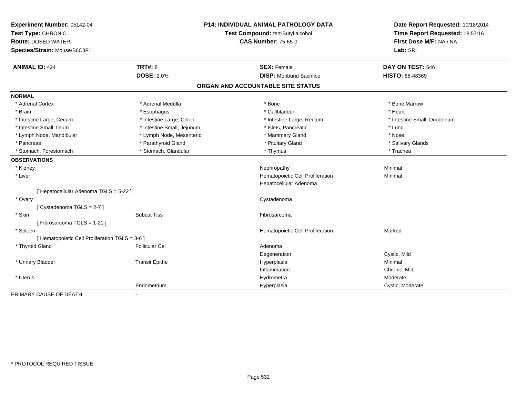| Experiment Number: 05142-04                     | <b>P14: INDIVIDUAL ANIMAL PATHOLOGY DATA</b><br>Test Compound: tert-Butyl alcohol |                                   | Date Report Requested: 10/18/2014 |
|-------------------------------------------------|-----------------------------------------------------------------------------------|-----------------------------------|-----------------------------------|
| Test Type: CHRONIC                              |                                                                                   |                                   | Time Report Requested: 18:57:16   |
| <b>Route: DOSED WATER</b>                       |                                                                                   | <b>CAS Number: 75-65-0</b>        | First Dose M/F: NA / NA           |
| Species/Strain: Mouse/B6C3F1                    |                                                                                   |                                   | Lab: SRI                          |
| <b>ANIMAL ID: 424</b>                           | <b>TRT#: 8</b>                                                                    | <b>SEX: Female</b>                | DAY ON TEST: 646                  |
|                                                 | <b>DOSE: 2.0%</b>                                                                 | <b>DISP:</b> Moribund Sacrifice   | HISTO: 88-48369                   |
|                                                 |                                                                                   | ORGAN AND ACCOUNTABLE SITE STATUS |                                   |
| <b>NORMAL</b>                                   |                                                                                   |                                   |                                   |
| * Adrenal Cortex                                | * Adrenal Medulla                                                                 | * Bone                            | * Bone Marrow                     |
| * Brain                                         | * Esophagus                                                                       | * Gallbladder                     | * Heart                           |
| * Intestine Large, Cecum                        | * Intestine Large, Colon                                                          | * Intestine Large, Rectum         | * Intestine Small, Duodenum       |
| * Intestine Small, Ileum                        | * Intestine Small, Jejunum                                                        | * Islets, Pancreatic              | * Lung                            |
| * Lymph Node, Mandibular                        | * Lymph Node, Mesenteric                                                          | * Mammary Gland                   | * Nose                            |
| * Pancreas                                      | * Parathyroid Gland                                                               | * Pituitary Gland                 | * Salivary Glands                 |
| * Stomach, Forestomach                          | * Stomach, Glandular                                                              | * Thymus                          | * Trachea                         |
| <b>OBSERVATIONS</b>                             |                                                                                   |                                   |                                   |
| * Kidney                                        |                                                                                   | Nephropathy                       | Minimal                           |
| * Liver                                         |                                                                                   | Hematopoietic Cell Proliferation  | Minimal                           |
|                                                 |                                                                                   | Hepatocellular Adenoma            |                                   |
| [ Hepatocellular Adenoma TGLS = 5-22 ]          |                                                                                   |                                   |                                   |
| * Ovary                                         |                                                                                   | Cystadenoma                       |                                   |
| [Cystadenoma TGLS = 2-7]                        |                                                                                   |                                   |                                   |
| * Skin                                          | <b>Subcut Tiss</b>                                                                | Fibrosarcoma                      |                                   |
| [Fibrosarcoma TGLS = 1-21]                      |                                                                                   |                                   |                                   |
| * Spleen                                        |                                                                                   | Hematopoietic Cell Proliferation  | Marked                            |
| [ Hematopoietic Cell Proliferation TGLS = 3-6 ] |                                                                                   |                                   |                                   |
| * Thyroid Gland                                 | <b>Follicular Cel</b>                                                             | Adenoma                           |                                   |
|                                                 |                                                                                   | Degeneration                      | Cystic, Mild                      |
| * Urinary Bladder                               | <b>Transit Epithe</b>                                                             | Hyperplasia                       | Minimal                           |
|                                                 |                                                                                   | Inflammation                      | Chronic, Mild                     |
| * Uterus                                        |                                                                                   | Hydrometra                        | Moderate                          |
|                                                 | Endometrium                                                                       | Hyperplasia                       | Cystic, Moderate                  |
| PRIMARY CAUSE OF DEATH                          |                                                                                   |                                   |                                   |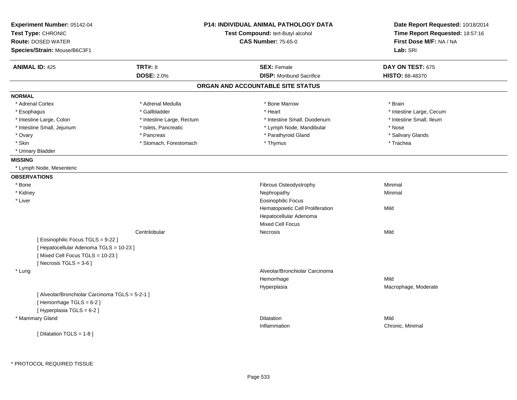| Experiment Number: 05142-04<br>Test Type: CHRONIC<br><b>Route: DOSED WATER</b><br>Species/Strain: Mouse/B6C3F1 |                           | P14: INDIVIDUAL ANIMAL PATHOLOGY DATA<br>Test Compound: tert-Butyl alcohol<br><b>CAS Number: 75-65-0</b> | Date Report Requested: 10/18/2014<br>Time Report Requested: 18:57:16<br>First Dose M/F: NA / NA<br>Lab: SRI |
|----------------------------------------------------------------------------------------------------------------|---------------------------|----------------------------------------------------------------------------------------------------------|-------------------------------------------------------------------------------------------------------------|
| <b>ANIMAL ID: 425</b>                                                                                          | <b>TRT#: 8</b>            | <b>SEX: Female</b>                                                                                       | DAY ON TEST: 675                                                                                            |
|                                                                                                                | <b>DOSE: 2.0%</b>         | <b>DISP:</b> Moribund Sacrifice                                                                          | <b>HISTO: 88-48370</b>                                                                                      |
|                                                                                                                |                           | ORGAN AND ACCOUNTABLE SITE STATUS                                                                        |                                                                                                             |
| <b>NORMAL</b>                                                                                                  |                           |                                                                                                          |                                                                                                             |
| * Adrenal Cortex                                                                                               | * Adrenal Medulla         | * Bone Marrow                                                                                            | * Brain                                                                                                     |
| * Esophagus                                                                                                    | * Gallbladder             | * Heart                                                                                                  | * Intestine Large, Cecum                                                                                    |
| * Intestine Large, Colon                                                                                       | * Intestine Large, Rectum | * Intestine Small, Duodenum                                                                              | * Intestine Small, Ileum                                                                                    |
| * Intestine Small, Jejunum                                                                                     | * Islets, Pancreatic      | * Lymph Node, Mandibular                                                                                 | * Nose                                                                                                      |
| * Ovary                                                                                                        | * Pancreas                | * Parathyroid Gland                                                                                      | * Salivary Glands                                                                                           |
| * Skin                                                                                                         | * Stomach, Forestomach    | * Thymus                                                                                                 | * Trachea                                                                                                   |
| * Urinary Bladder                                                                                              |                           |                                                                                                          |                                                                                                             |
| <b>MISSING</b>                                                                                                 |                           |                                                                                                          |                                                                                                             |
| * Lymph Node, Mesenteric                                                                                       |                           |                                                                                                          |                                                                                                             |
| <b>OBSERVATIONS</b>                                                                                            |                           |                                                                                                          |                                                                                                             |
| * Bone                                                                                                         |                           | Fibrous Osteodystrophy                                                                                   | Minimal                                                                                                     |
| * Kidney                                                                                                       |                           | Nephropathy                                                                                              | Minimal                                                                                                     |
| * Liver                                                                                                        |                           | <b>Eosinophilic Focus</b>                                                                                |                                                                                                             |
|                                                                                                                |                           | Hematopoietic Cell Proliferation                                                                         | Mild                                                                                                        |
|                                                                                                                |                           | Hepatocellular Adenoma                                                                                   |                                                                                                             |
|                                                                                                                |                           | <b>Mixed Cell Focus</b>                                                                                  |                                                                                                             |
|                                                                                                                | Centrilobular             | Necrosis                                                                                                 | Mild                                                                                                        |
| [ Eosinophilic Focus TGLS = 9-22 ]                                                                             |                           |                                                                                                          |                                                                                                             |
| [ Hepatocellular Adenoma TGLS = 10-23 ]                                                                        |                           |                                                                                                          |                                                                                                             |
| [Mixed Cell Focus TGLS = 10-23]                                                                                |                           |                                                                                                          |                                                                                                             |
| [Necrosis $TGLS = 3-6$ ]                                                                                       |                           |                                                                                                          |                                                                                                             |
| * Lung                                                                                                         |                           | Alveolar/Bronchiolar Carcinoma                                                                           |                                                                                                             |
|                                                                                                                |                           | Hemorrhage                                                                                               | Mild                                                                                                        |
|                                                                                                                |                           | Hyperplasia                                                                                              | Macrophage, Moderate                                                                                        |
| [ Alveolar/Bronchiolar Carcinoma TGLS = 5-2-1 ]                                                                |                           |                                                                                                          |                                                                                                             |
| [Hemorrhage TGLS = 6-2]                                                                                        |                           |                                                                                                          |                                                                                                             |
| [ Hyperplasia TGLS = 6-2 ]                                                                                     |                           |                                                                                                          |                                                                                                             |
| * Mammary Gland                                                                                                |                           | <b>Dilatation</b>                                                                                        | Mild                                                                                                        |
|                                                                                                                |                           | Inflammation                                                                                             | Chronic, Minimal                                                                                            |
| [ Dilatation TGLS = 1-8 ]                                                                                      |                           |                                                                                                          |                                                                                                             |
|                                                                                                                |                           |                                                                                                          |                                                                                                             |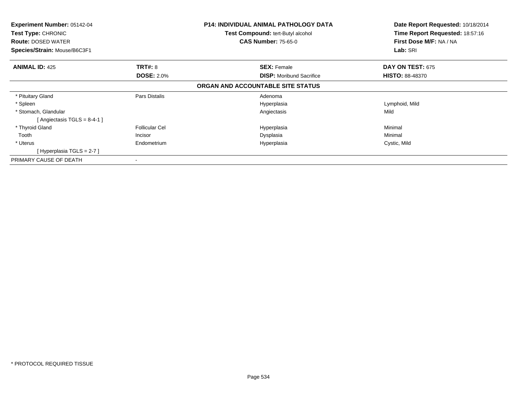| <b>Experiment Number: 05142-04</b><br><b>Test Type: CHRONIC</b><br><b>Route: DOSED WATER</b><br>Species/Strain: Mouse/B6C3F1 |                                                 | <b>P14: INDIVIDUAL ANIMAL PATHOLOGY DATA</b><br><b>Test Compound: tert-Butyl alcohol</b><br><b>CAS Number: 75-65-0</b> | Date Report Requested: 10/18/2014<br>Time Report Requested: 18:57:16<br>First Dose M/F: NA / NA<br>Lab: SRI |
|------------------------------------------------------------------------------------------------------------------------------|-------------------------------------------------|------------------------------------------------------------------------------------------------------------------------|-------------------------------------------------------------------------------------------------------------|
| <b>ANIMAL ID: 425</b>                                                                                                        | <b>TRT#: 8</b><br><b>DOSE: 2.0%</b>             | <b>SEX: Female</b><br><b>DISP:</b> Moribund Sacrifice                                                                  | DAY ON TEST: 675<br><b>HISTO: 88-48370</b>                                                                  |
|                                                                                                                              |                                                 | ORGAN AND ACCOUNTABLE SITE STATUS                                                                                      |                                                                                                             |
| * Pituitary Gland<br>* Spleen<br>* Stomach, Glandular                                                                        | Pars Distalis                                   | Adenoma<br>Hyperplasia<br>Angiectasis                                                                                  | Lymphoid, Mild<br>Mild                                                                                      |
| [Angiectasis TGLS = $8-4-1$ ]<br>* Thyroid Gland<br>Tooth<br>* Uterus<br>[Hyperplasia TGLS = $2-7$ ]                         | <b>Follicular Cel</b><br>Incisor<br>Endometrium | Hyperplasia<br>Dysplasia<br>Hyperplasia                                                                                | Minimal<br>Minimal<br>Cystic, Mild                                                                          |
| PRIMARY CAUSE OF DEATH                                                                                                       |                                                 |                                                                                                                        |                                                                                                             |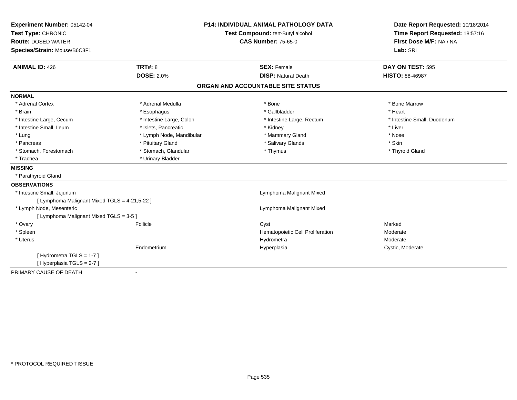| Experiment Number: 05142-04                   |                                   | <b>P14: INDIVIDUAL ANIMAL PATHOLOGY DATA</b> | Date Report Requested: 10/18/2014 |  |
|-----------------------------------------------|-----------------------------------|----------------------------------------------|-----------------------------------|--|
| Test Type: CHRONIC                            | Test Compound: tert-Butyl alcohol |                                              | Time Report Requested: 18:57:16   |  |
| <b>Route: DOSED WATER</b>                     |                                   | <b>CAS Number: 75-65-0</b>                   | First Dose M/F: NA / NA           |  |
| Species/Strain: Mouse/B6C3F1                  |                                   |                                              | Lab: SRI                          |  |
| <b>ANIMAL ID: 426</b>                         | <b>TRT#: 8</b>                    | <b>SEX: Female</b>                           | DAY ON TEST: 595                  |  |
|                                               | <b>DOSE: 2.0%</b>                 | <b>DISP: Natural Death</b>                   | <b>HISTO: 88-46987</b>            |  |
|                                               |                                   | ORGAN AND ACCOUNTABLE SITE STATUS            |                                   |  |
| <b>NORMAL</b>                                 |                                   |                                              |                                   |  |
| * Adrenal Cortex                              | * Adrenal Medulla                 | * Bone                                       | * Bone Marrow                     |  |
| * Brain                                       | * Esophagus                       | * Gallbladder                                | * Heart                           |  |
| * Intestine Large, Cecum                      | * Intestine Large, Colon          | * Intestine Large, Rectum                    | * Intestine Small, Duodenum       |  |
| * Intestine Small, Ileum                      | * Islets, Pancreatic              | * Kidney                                     | * Liver                           |  |
| * Lung                                        | * Lymph Node, Mandibular          | * Mammary Gland                              | * Nose                            |  |
| * Pancreas                                    | * Pituitary Gland                 | * Salivary Glands                            | * Skin                            |  |
| * Stomach, Forestomach                        | * Stomach, Glandular              | * Thymus                                     | * Thyroid Gland                   |  |
| * Trachea                                     | * Urinary Bladder                 |                                              |                                   |  |
| <b>MISSING</b>                                |                                   |                                              |                                   |  |
| * Parathyroid Gland                           |                                   |                                              |                                   |  |
| <b>OBSERVATIONS</b>                           |                                   |                                              |                                   |  |
| * Intestine Small, Jejunum                    |                                   | Lymphoma Malignant Mixed                     |                                   |  |
| [ Lymphoma Malignant Mixed TGLS = 4-21,5-22 ] |                                   |                                              |                                   |  |
| * Lymph Node, Mesenteric                      |                                   | Lymphoma Malignant Mixed                     |                                   |  |
| [ Lymphoma Malignant Mixed TGLS = 3-5 ]       |                                   |                                              |                                   |  |
| * Ovary                                       | Follicle                          | Cyst                                         | Marked                            |  |
| * Spleen                                      |                                   | Hematopoietic Cell Proliferation             | Moderate                          |  |
| * Uterus                                      |                                   | Hydrometra                                   | Moderate                          |  |
|                                               | Endometrium                       | Hyperplasia                                  | Cystic, Moderate                  |  |
| [ Hydrometra TGLS = 1-7 ]                     |                                   |                                              |                                   |  |
| [Hyperplasia TGLS = 2-7]                      |                                   |                                              |                                   |  |
| PRIMARY CAUSE OF DEATH                        |                                   |                                              |                                   |  |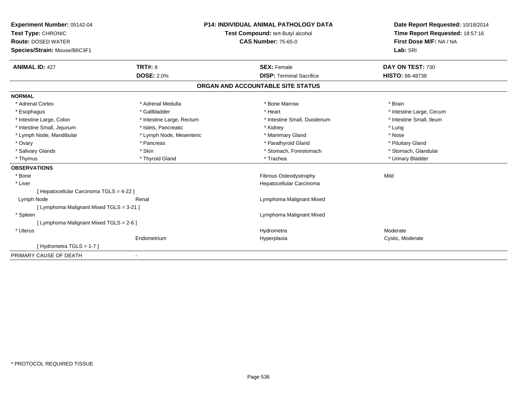| Experiment Number: 05142-04<br>Test Type: CHRONIC |                           | <b>P14: INDIVIDUAL ANIMAL PATHOLOGY DATA</b><br>Test Compound: tert-Butyl alcohol | Date Report Requested: 10/18/2014<br>Time Report Requested: 18:57:16 |
|---------------------------------------------------|---------------------------|-----------------------------------------------------------------------------------|----------------------------------------------------------------------|
| <b>Route: DOSED WATER</b>                         |                           | <b>CAS Number: 75-65-0</b>                                                        | First Dose M/F: NA / NA                                              |
|                                                   |                           |                                                                                   | Lab: SRI                                                             |
| Species/Strain: Mouse/B6C3F1                      |                           |                                                                                   |                                                                      |
| <b>ANIMAL ID: 427</b>                             | <b>TRT#: 8</b>            | <b>SEX: Female</b>                                                                | DAY ON TEST: 730                                                     |
|                                                   | <b>DOSE: 2.0%</b>         | <b>DISP: Terminal Sacrifice</b>                                                   | <b>HISTO: 88-48738</b>                                               |
|                                                   |                           | ORGAN AND ACCOUNTABLE SITE STATUS                                                 |                                                                      |
| <b>NORMAL</b>                                     |                           |                                                                                   |                                                                      |
| * Adrenal Cortex                                  | * Adrenal Medulla         | * Bone Marrow                                                                     | * Brain                                                              |
| * Esophagus                                       | * Gallbladder             | * Heart                                                                           | * Intestine Large, Cecum                                             |
| * Intestine Large, Colon                          | * Intestine Large, Rectum | * Intestine Small, Duodenum                                                       | * Intestine Small, Ileum                                             |
| * Intestine Small, Jejunum                        | * Islets, Pancreatic      | * Kidney                                                                          | * Lung                                                               |
| * Lymph Node, Mandibular                          | * Lymph Node, Mesenteric  | * Mammary Gland                                                                   | * Nose                                                               |
| * Ovary                                           | * Pancreas                | * Parathyroid Gland                                                               | * Pituitary Gland                                                    |
| * Salivary Glands                                 | * Skin                    | * Stomach, Forestomach                                                            | * Stomach, Glandular                                                 |
| * Thymus                                          | * Thyroid Gland           | * Trachea                                                                         | * Urinary Bladder                                                    |
| <b>OBSERVATIONS</b>                               |                           |                                                                                   |                                                                      |
| * Bone                                            |                           | Fibrous Osteodystrophy                                                            | Mild                                                                 |
| * Liver                                           |                           | Hepatocellular Carcinoma                                                          |                                                                      |
| [ Hepatocellular Carcinoma TGLS = 4-22 ]          |                           |                                                                                   |                                                                      |
| Lymph Node                                        | Renal                     | Lymphoma Malignant Mixed                                                          |                                                                      |
| [ Lymphoma Malignant Mixed TGLS = 3-21 ]          |                           |                                                                                   |                                                                      |
| * Spleen                                          |                           | Lymphoma Malignant Mixed                                                          |                                                                      |
| [ Lymphoma Malignant Mixed TGLS = 2-6 ]           |                           |                                                                                   |                                                                      |
| * Uterus                                          |                           | Hydrometra                                                                        | Moderate                                                             |
|                                                   | Endometrium               | Hyperplasia                                                                       | Cystic, Moderate                                                     |
| [Hydrometra TGLS = $1-7$ ]                        |                           |                                                                                   |                                                                      |
| PRIMARY CAUSE OF DEATH                            |                           |                                                                                   |                                                                      |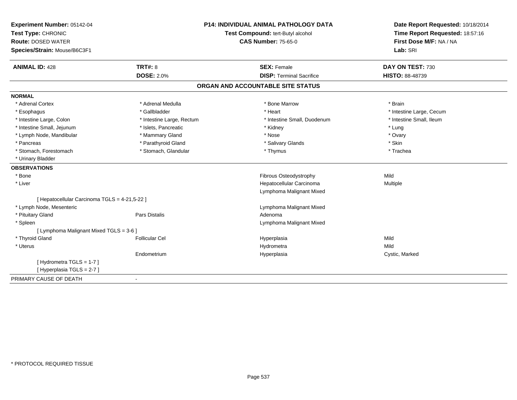| Experiment Number: 05142-04                   |                           | <b>P14: INDIVIDUAL ANIMAL PATHOLOGY DATA</b> | Date Report Requested: 10/18/2014 |
|-----------------------------------------------|---------------------------|----------------------------------------------|-----------------------------------|
| Test Type: CHRONIC                            |                           | Test Compound: tert-Butyl alcohol            | Time Report Requested: 18:57:16   |
| <b>Route: DOSED WATER</b>                     |                           | <b>CAS Number: 75-65-0</b>                   | First Dose M/F: NA / NA           |
| Species/Strain: Mouse/B6C3F1                  |                           |                                              | Lab: SRI                          |
| <b>ANIMAL ID: 428</b>                         | <b>TRT#: 8</b>            | <b>SEX: Female</b>                           | DAY ON TEST: 730                  |
|                                               | <b>DOSE: 2.0%</b>         | <b>DISP: Terminal Sacrifice</b>              | <b>HISTO: 88-48739</b>            |
|                                               |                           | ORGAN AND ACCOUNTABLE SITE STATUS            |                                   |
| <b>NORMAL</b>                                 |                           |                                              |                                   |
| * Adrenal Cortex                              | * Adrenal Medulla         | * Bone Marrow                                | * Brain                           |
| * Esophagus                                   | * Gallbladder             | * Heart                                      | * Intestine Large, Cecum          |
| * Intestine Large, Colon                      | * Intestine Large, Rectum | * Intestine Small, Duodenum                  | * Intestine Small, Ileum          |
| * Intestine Small, Jejunum                    | * Islets, Pancreatic      | * Kidney                                     | * Lung                            |
| * Lymph Node, Mandibular                      | * Mammary Gland           | * Nose                                       | * Ovary                           |
| * Pancreas                                    | * Parathyroid Gland       | * Salivary Glands                            | * Skin                            |
| * Stomach, Forestomach                        | * Stomach, Glandular      | * Thymus                                     | * Trachea                         |
| * Urinary Bladder                             |                           |                                              |                                   |
| <b>OBSERVATIONS</b>                           |                           |                                              |                                   |
| * Bone                                        |                           | Fibrous Osteodystrophy                       | Mild                              |
| * Liver                                       |                           | Hepatocellular Carcinoma                     | Multiple                          |
|                                               |                           | Lymphoma Malignant Mixed                     |                                   |
| [ Hepatocellular Carcinoma TGLS = 4-21,5-22 ] |                           |                                              |                                   |
| * Lymph Node, Mesenteric                      |                           | Lymphoma Malignant Mixed                     |                                   |
| * Pituitary Gland                             | Pars Distalis             | Adenoma                                      |                                   |
| * Spleen                                      |                           | Lymphoma Malignant Mixed                     |                                   |
| [ Lymphoma Malignant Mixed TGLS = 3-6 ]       |                           |                                              |                                   |
| * Thyroid Gland                               | <b>Follicular Cel</b>     | Hyperplasia                                  | Mild                              |
| * Uterus                                      |                           | Hydrometra                                   | Mild                              |
|                                               | Endometrium               | Hyperplasia                                  | Cystic, Marked                    |
| [Hydrometra TGLS = 1-7]                       |                           |                                              |                                   |
| [Hyperplasia TGLS = 2-7]                      |                           |                                              |                                   |
| PRIMARY CAUSE OF DEATH                        |                           |                                              |                                   |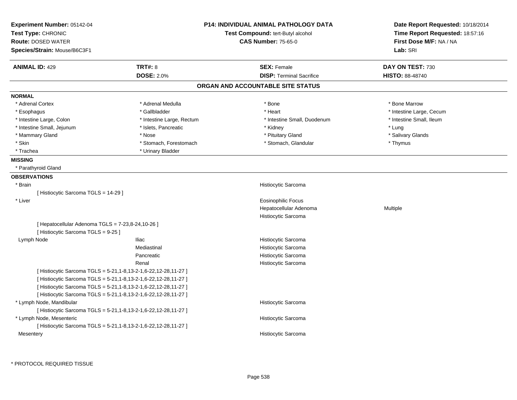| Experiment Number: 05142-04<br>Test Type: CHRONIC<br><b>Route: DOSED WATER</b><br>Species/Strain: Mouse/B6C3F1 |                           | <b>P14: INDIVIDUAL ANIMAL PATHOLOGY DATA</b><br>Test Compound: tert-Butyl alcohol<br><b>CAS Number: 75-65-0</b> | Date Report Requested: 10/18/2014<br>Time Report Requested: 18:57:16<br>First Dose M/F: NA / NA<br>Lab: SRI |
|----------------------------------------------------------------------------------------------------------------|---------------------------|-----------------------------------------------------------------------------------------------------------------|-------------------------------------------------------------------------------------------------------------|
| <b>ANIMAL ID: 429</b>                                                                                          | TRT#: 8                   | <b>SEX: Female</b>                                                                                              | DAY ON TEST: 730                                                                                            |
|                                                                                                                | <b>DOSE: 2.0%</b>         | <b>DISP: Terminal Sacrifice</b>                                                                                 | <b>HISTO: 88-48740</b>                                                                                      |
|                                                                                                                |                           | ORGAN AND ACCOUNTABLE SITE STATUS                                                                               |                                                                                                             |
| <b>NORMAL</b>                                                                                                  |                           |                                                                                                                 |                                                                                                             |
| * Adrenal Cortex                                                                                               | * Adrenal Medulla         | * Bone                                                                                                          | * Bone Marrow                                                                                               |
| * Esophagus                                                                                                    | * Gallbladder             | * Heart                                                                                                         | * Intestine Large, Cecum                                                                                    |
| * Intestine Large, Colon                                                                                       | * Intestine Large, Rectum | * Intestine Small, Duodenum                                                                                     | * Intestine Small, Ileum                                                                                    |
| * Intestine Small, Jejunum                                                                                     | * Islets, Pancreatic      | * Kidney                                                                                                        | * Lung                                                                                                      |
| * Mammary Gland                                                                                                | * Nose                    | * Pituitary Gland                                                                                               | * Salivary Glands                                                                                           |
| * Skin                                                                                                         | * Stomach, Forestomach    | * Stomach, Glandular                                                                                            | * Thymus                                                                                                    |
| * Trachea                                                                                                      | * Urinary Bladder         |                                                                                                                 |                                                                                                             |
| <b>MISSING</b>                                                                                                 |                           |                                                                                                                 |                                                                                                             |
| * Parathyroid Gland                                                                                            |                           |                                                                                                                 |                                                                                                             |
| <b>OBSERVATIONS</b>                                                                                            |                           |                                                                                                                 |                                                                                                             |
| * Brain                                                                                                        |                           | Histiocytic Sarcoma                                                                                             |                                                                                                             |
| [ Histiocytic Sarcoma TGLS = 14-29 ]                                                                           |                           |                                                                                                                 |                                                                                                             |
| * Liver                                                                                                        |                           | <b>Eosinophilic Focus</b>                                                                                       |                                                                                                             |
|                                                                                                                |                           | Hepatocellular Adenoma                                                                                          | <b>Multiple</b>                                                                                             |
|                                                                                                                |                           | Histiocytic Sarcoma                                                                                             |                                                                                                             |
| [ Hepatocellular Adenoma TGLS = 7-23,8-24,10-26 ]<br>[ Histiocytic Sarcoma TGLS = 9-25 ]                       |                           |                                                                                                                 |                                                                                                             |
| Lymph Node                                                                                                     | lliac                     | Histiocytic Sarcoma                                                                                             |                                                                                                             |
|                                                                                                                | Mediastinal               | Histiocytic Sarcoma                                                                                             |                                                                                                             |
|                                                                                                                | Pancreatic                | Histiocytic Sarcoma                                                                                             |                                                                                                             |
|                                                                                                                | Renal                     | Histiocytic Sarcoma                                                                                             |                                                                                                             |
| [Histiocytic Sarcoma TGLS = 5-21, 1-8, 13-2-1, 6-22, 12-28, 11-27]                                             |                           |                                                                                                                 |                                                                                                             |
| [ Histiocytic Sarcoma TGLS = 5-21, 1-8, 13-2-1, 6-22, 12-28, 11-27 ]                                           |                           |                                                                                                                 |                                                                                                             |
| [ Histiocytic Sarcoma TGLS = 5-21, 1-8, 13-2-1, 6-22, 12-28, 11-27 ]                                           |                           |                                                                                                                 |                                                                                                             |
| [ Histiocytic Sarcoma TGLS = 5-21, 1-8, 13-2-1, 6-22, 12-28, 11-27 ]                                           |                           |                                                                                                                 |                                                                                                             |
| * Lymph Node, Mandibular                                                                                       |                           | Histiocytic Sarcoma                                                                                             |                                                                                                             |
| [ Histiocytic Sarcoma TGLS = 5-21, 1-8, 13-2-1, 6-22, 12-28, 11-27 ]                                           |                           |                                                                                                                 |                                                                                                             |
| * Lymph Node, Mesenteric                                                                                       |                           | Histiocytic Sarcoma                                                                                             |                                                                                                             |
| [Histiocytic Sarcoma TGLS = 5-21, 1-8, 13-2-1, 6-22, 12-28, 11-27]                                             |                           |                                                                                                                 |                                                                                                             |
| Mesentery                                                                                                      |                           | Histiocytic Sarcoma                                                                                             |                                                                                                             |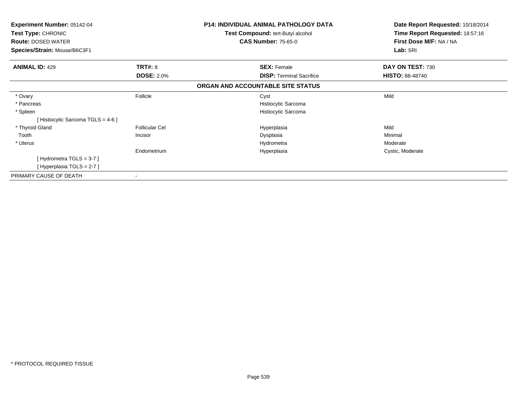| Experiment Number: 05142-04<br>Test Type: CHRONIC<br><b>Route: DOSED WATER</b><br>Species/Strain: Mouse/B6C3F1 |                       | <b>P14: INDIVIDUAL ANIMAL PATHOLOGY DATA</b><br>Test Compound: tert-Butyl alcohol<br><b>CAS Number: 75-65-0</b> | Date Report Requested: 10/18/2014<br>Time Report Requested: 18:57:16<br>First Dose M/F: NA / NA<br>Lab: SRI |
|----------------------------------------------------------------------------------------------------------------|-----------------------|-----------------------------------------------------------------------------------------------------------------|-------------------------------------------------------------------------------------------------------------|
| <b>ANIMAL ID: 429</b>                                                                                          | <b>TRT#: 8</b>        | <b>SEX: Female</b>                                                                                              | DAY ON TEST: 730                                                                                            |
|                                                                                                                | <b>DOSE: 2.0%</b>     | <b>DISP:</b> Terminal Sacrifice                                                                                 | <b>HISTO: 88-48740</b>                                                                                      |
|                                                                                                                |                       | ORGAN AND ACCOUNTABLE SITE STATUS                                                                               |                                                                                                             |
| * Ovary                                                                                                        | Follicle              | Cyst                                                                                                            | Mild                                                                                                        |
| * Pancreas                                                                                                     |                       | Histiocytic Sarcoma                                                                                             |                                                                                                             |
| * Spleen                                                                                                       |                       | Histiocytic Sarcoma                                                                                             |                                                                                                             |
| [Histiocytic Sarcoma TGLS = 4-6 ]                                                                              |                       |                                                                                                                 |                                                                                                             |
| * Thyroid Gland                                                                                                | <b>Follicular Cel</b> | Hyperplasia                                                                                                     | Mild                                                                                                        |
| Tooth                                                                                                          | Incisor               | Dysplasia                                                                                                       | Minimal                                                                                                     |
| * Uterus                                                                                                       |                       | Hydrometra                                                                                                      | Moderate                                                                                                    |
|                                                                                                                | Endometrium           | Hyperplasia                                                                                                     | Cystic, Moderate                                                                                            |
| [Hydrometra TGLS = 3-7]                                                                                        |                       |                                                                                                                 |                                                                                                             |
| [Hyperplasia TGLS = 2-7]                                                                                       |                       |                                                                                                                 |                                                                                                             |
| PRIMARY CAUSE OF DEATH                                                                                         | ۰                     |                                                                                                                 |                                                                                                             |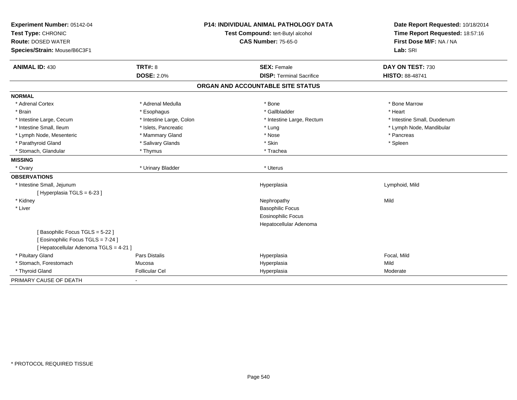| Experiment Number: 05142-04                             |                                   | <b>P14: INDIVIDUAL ANIMAL PATHOLOGY DATA</b> | Date Report Requested: 10/18/2014 |
|---------------------------------------------------------|-----------------------------------|----------------------------------------------|-----------------------------------|
| Test Type: CHRONIC                                      | Test Compound: tert-Butyl alcohol |                                              | Time Report Requested: 18:57:16   |
| <b>Route: DOSED WATER</b>                               |                                   | <b>CAS Number: 75-65-0</b>                   | First Dose M/F: NA / NA           |
| Species/Strain: Mouse/B6C3F1                            |                                   |                                              | Lab: SRI                          |
| <b>ANIMAL ID: 430</b>                                   | <b>TRT#: 8</b>                    | <b>SEX: Female</b>                           | DAY ON TEST: 730                  |
|                                                         | <b>DOSE: 2.0%</b>                 | <b>DISP: Terminal Sacrifice</b>              | <b>HISTO: 88-48741</b>            |
|                                                         |                                   | ORGAN AND ACCOUNTABLE SITE STATUS            |                                   |
| <b>NORMAL</b>                                           |                                   |                                              |                                   |
| * Adrenal Cortex                                        | * Adrenal Medulla                 | * Bone                                       | * Bone Marrow                     |
| * Brain                                                 | * Esophagus                       | * Gallbladder                                | * Heart                           |
| * Intestine Large, Cecum                                | * Intestine Large, Colon          | * Intestine Large, Rectum                    | * Intestine Small, Duodenum       |
| * Intestine Small, Ileum                                | * Islets, Pancreatic              | * Lung                                       | * Lymph Node, Mandibular          |
| * Lymph Node, Mesenteric                                | * Mammary Gland                   | * Nose                                       | * Pancreas                        |
| * Parathyroid Gland                                     | * Salivary Glands                 | * Skin                                       | * Spleen                          |
| * Stomach, Glandular                                    | * Thymus                          | * Trachea                                    |                                   |
| <b>MISSING</b>                                          |                                   |                                              |                                   |
| * Ovary                                                 | * Urinary Bladder                 | * Uterus                                     |                                   |
| <b>OBSERVATIONS</b>                                     |                                   |                                              |                                   |
| * Intestine Small, Jejunum<br>[Hyperplasia TGLS = 6-23] |                                   | Hyperplasia                                  | Lymphoid, Mild                    |
| * Kidney                                                |                                   | Nephropathy                                  | Mild                              |
| * Liver                                                 |                                   | <b>Basophilic Focus</b>                      |                                   |
|                                                         |                                   | <b>Eosinophilic Focus</b>                    |                                   |
|                                                         |                                   | Hepatocellular Adenoma                       |                                   |
| [Basophilic Focus TGLS = 5-22]                          |                                   |                                              |                                   |
| [ Eosinophilic Focus TGLS = 7-24 ]                      |                                   |                                              |                                   |
| [ Hepatocellular Adenoma TGLS = 4-21 ]                  |                                   |                                              |                                   |
| * Pituitary Gland                                       | <b>Pars Distalis</b>              | Hyperplasia                                  | Focal, Mild                       |
| * Stomach, Forestomach                                  | Mucosa                            | Hyperplasia                                  | Mild                              |
| * Thyroid Gland                                         | <b>Follicular Cel</b>             | Hyperplasia                                  | Moderate                          |
| PRIMARY CAUSE OF DEATH                                  |                                   |                                              |                                   |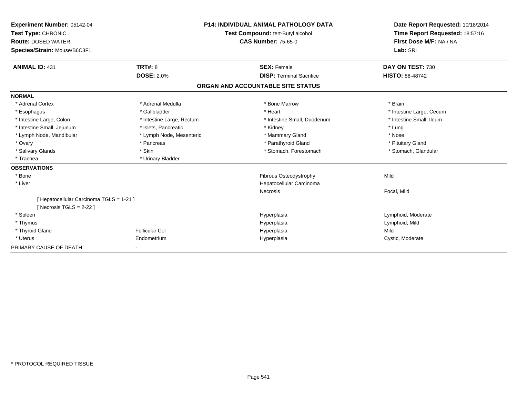| Experiment Number: 05142-04<br>Test Type: CHRONIC<br><b>Route: DOSED WATER</b><br>Species/Strain: Mouse/B6C3F1 | <b>P14: INDIVIDUAL ANIMAL PATHOLOGY DATA</b><br>Test Compound: tert-Butyl alcohol<br><b>CAS Number: 75-65-0</b> |                                                       | Date Report Requested: 10/18/2014<br>Time Report Requested: 18:57:16<br>First Dose M/F: NA / NA<br>Lab: SRI |
|----------------------------------------------------------------------------------------------------------------|-----------------------------------------------------------------------------------------------------------------|-------------------------------------------------------|-------------------------------------------------------------------------------------------------------------|
| <b>ANIMAL ID: 431</b>                                                                                          | <b>TRT#: 8</b>                                                                                                  | <b>SEX: Female</b><br><b>DISP: Terminal Sacrifice</b> | DAY ON TEST: 730                                                                                            |
|                                                                                                                | <b>DOSE: 2.0%</b>                                                                                               |                                                       | <b>HISTO: 88-48742</b>                                                                                      |
|                                                                                                                |                                                                                                                 | ORGAN AND ACCOUNTABLE SITE STATUS                     |                                                                                                             |
| <b>NORMAL</b>                                                                                                  |                                                                                                                 |                                                       |                                                                                                             |
| * Adrenal Cortex                                                                                               | * Adrenal Medulla                                                                                               | * Bone Marrow                                         | * Brain                                                                                                     |
| * Esophagus                                                                                                    | * Gallbladder                                                                                                   | * Heart                                               | * Intestine Large, Cecum                                                                                    |
| * Intestine Large, Colon                                                                                       | * Intestine Large, Rectum                                                                                       | * Intestine Small, Duodenum                           | * Intestine Small, Ileum                                                                                    |
| * Intestine Small, Jejunum                                                                                     | * Islets, Pancreatic                                                                                            | * Kidney                                              | * Lung                                                                                                      |
| * Lymph Node, Mandibular                                                                                       | * Lymph Node, Mesenteric                                                                                        | * Mammary Gland                                       | * Nose                                                                                                      |
| * Ovary                                                                                                        | * Pancreas                                                                                                      | * Parathyroid Gland                                   | * Pituitary Gland                                                                                           |
| * Salivary Glands                                                                                              | * Skin                                                                                                          | * Stomach, Forestomach                                | * Stomach, Glandular                                                                                        |
| * Trachea                                                                                                      | * Urinary Bladder                                                                                               |                                                       |                                                                                                             |
| <b>OBSERVATIONS</b>                                                                                            |                                                                                                                 |                                                       |                                                                                                             |
| * Bone                                                                                                         |                                                                                                                 | Fibrous Osteodystrophy                                | Mild                                                                                                        |
| * Liver                                                                                                        |                                                                                                                 | Hepatocellular Carcinoma                              |                                                                                                             |
|                                                                                                                |                                                                                                                 | Necrosis                                              | Focal, Mild                                                                                                 |
| [ Hepatocellular Carcinoma TGLS = 1-21 ]<br>[ Necrosis TGLS = $2-22$ ]                                         |                                                                                                                 |                                                       |                                                                                                             |
| * Spleen                                                                                                       |                                                                                                                 | Hyperplasia                                           | Lymphoid, Moderate                                                                                          |
| * Thymus                                                                                                       |                                                                                                                 | Hyperplasia                                           | Lymphoid, Mild                                                                                              |
| * Thyroid Gland                                                                                                | <b>Follicular Cel</b>                                                                                           | Hyperplasia                                           | Mild                                                                                                        |
| * Uterus                                                                                                       | Endometrium                                                                                                     | Hyperplasia                                           | Cystic, Moderate                                                                                            |
| PRIMARY CAUSE OF DEATH                                                                                         | $\overline{\phantom{a}}$                                                                                        |                                                       |                                                                                                             |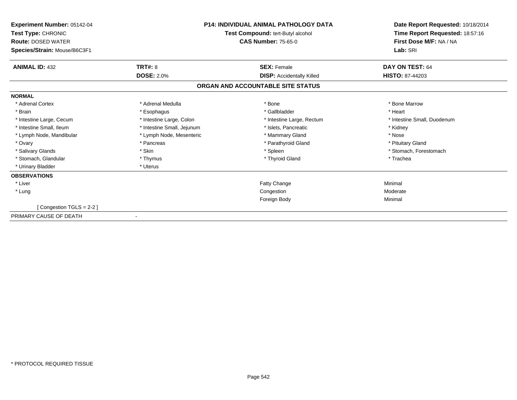| Experiment Number: 05142-04<br>Test Type: CHRONIC         | <b>P14: INDIVIDUAL ANIMAL PATHOLOGY DATA</b><br>Test Compound: tert-Butyl alcohol |                                   | Date Report Requested: 10/18/2014<br>Time Report Requested: 18:57:16 |
|-----------------------------------------------------------|-----------------------------------------------------------------------------------|-----------------------------------|----------------------------------------------------------------------|
| <b>Route: DOSED WATER</b><br>Species/Strain: Mouse/B6C3F1 |                                                                                   | <b>CAS Number: 75-65-0</b>        | First Dose M/F: NA / NA<br>Lab: SRI                                  |
| <b>ANIMAL ID: 432</b>                                     | <b>TRT#: 8</b>                                                                    | <b>SEX: Female</b>                | DAY ON TEST: 64                                                      |
|                                                           | <b>DOSE: 2.0%</b>                                                                 | <b>DISP:</b> Accidentally Killed  | <b>HISTO: 87-44203</b>                                               |
|                                                           |                                                                                   | ORGAN AND ACCOUNTABLE SITE STATUS |                                                                      |
| <b>NORMAL</b>                                             |                                                                                   |                                   |                                                                      |
| * Adrenal Cortex                                          | * Adrenal Medulla                                                                 | * Bone                            | * Bone Marrow                                                        |
| * Brain                                                   | * Esophagus                                                                       | * Gallbladder                     | * Heart                                                              |
| * Intestine Large, Cecum                                  | * Intestine Large, Colon                                                          | * Intestine Large, Rectum         | * Intestine Small, Duodenum                                          |
| * Intestine Small. Ileum                                  | * Intestine Small, Jejunum                                                        | * Islets, Pancreatic              | * Kidney                                                             |
| * Lymph Node, Mandibular                                  | * Lymph Node, Mesenteric                                                          | * Mammary Gland                   | * Nose                                                               |
| * Ovary                                                   | * Pancreas                                                                        | * Parathyroid Gland               | * Pituitary Gland                                                    |
| * Salivary Glands                                         | * Skin                                                                            | * Spleen                          | * Stomach, Forestomach                                               |
| * Stomach, Glandular                                      | * Thymus                                                                          | * Thyroid Gland                   | * Trachea                                                            |
| * Urinary Bladder                                         | * Uterus                                                                          |                                   |                                                                      |
| <b>OBSERVATIONS</b>                                       |                                                                                   |                                   |                                                                      |
| * Liver                                                   |                                                                                   | Fatty Change                      | Minimal                                                              |
| * Lung                                                    |                                                                                   | Congestion                        | Moderate                                                             |
|                                                           |                                                                                   | Foreign Body                      | Minimal                                                              |
| [Congestion TGLS = 2-2]                                   |                                                                                   |                                   |                                                                      |
| PRIMARY CAUSE OF DEATH                                    |                                                                                   |                                   |                                                                      |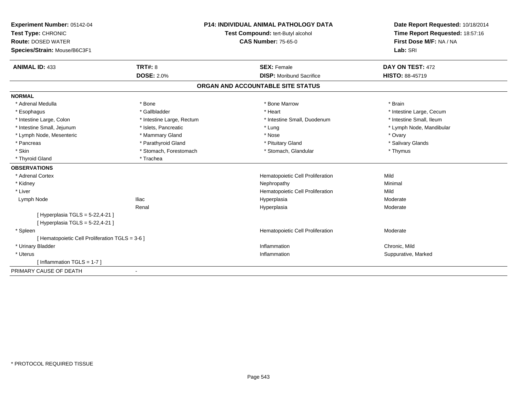| <b>Experiment Number: 05142-04</b>                    | <b>P14: INDIVIDUAL ANIMAL PATHOLOGY DATA</b> | Date Report Requested: 10/18/2014 |
|-------------------------------------------------------|----------------------------------------------|-----------------------------------|
| Test Type: CHRONIC                                    | Test Compound: tert-Butyl alcohol            | Time Report Requested: 18:57:16   |
| <b>Route: DOSED WATER</b>                             | <b>CAS Number: 75-65-0</b>                   | First Dose M/F: NA / NA           |
| Species/Strain: Mouse/B6C3F1                          |                                              | Lab: SRI                          |
| TRT#: 8<br><b>ANIMAL ID: 433</b>                      | <b>SEX: Female</b>                           | DAY ON TEST: 472                  |
| <b>DOSE: 2.0%</b>                                     | <b>DISP:</b> Moribund Sacrifice              | HISTO: 88-45719                   |
|                                                       | ORGAN AND ACCOUNTABLE SITE STATUS            |                                   |
| <b>NORMAL</b>                                         |                                              |                                   |
| * Adrenal Medulla<br>* Bone                           | * Bone Marrow                                | * Brain                           |
| * Esophagus<br>* Gallbladder                          | * Heart                                      | * Intestine Large, Cecum          |
| * Intestine Large, Colon<br>* Intestine Large, Rectum | * Intestine Small, Duodenum                  | * Intestine Small, Ileum          |
| * Intestine Small, Jejunum<br>* Islets, Pancreatic    | * Lung                                       | * Lymph Node, Mandibular          |
| * Lymph Node, Mesenteric<br>* Mammary Gland           | * Nose                                       | * Ovary                           |
| * Parathyroid Gland<br>* Pancreas                     | * Pituitary Gland                            | * Salivary Glands                 |
| * Skin<br>* Stomach, Forestomach                      | * Stomach, Glandular                         | * Thymus                          |
| * Trachea<br>* Thyroid Gland                          |                                              |                                   |
| <b>OBSERVATIONS</b>                                   |                                              |                                   |
| * Adrenal Cortex                                      | Hematopoietic Cell Proliferation             | Mild                              |
| * Kidney                                              | Nephropathy                                  | Minimal                           |
| * Liver                                               | Hematopoietic Cell Proliferation             | Mild                              |
| <b>Iliac</b><br>Lymph Node                            | Hyperplasia                                  | Moderate                          |
| Renal                                                 | Hyperplasia                                  | Moderate                          |
| [ Hyperplasia TGLS = 5-22,4-21 ]                      |                                              |                                   |
| [ Hyperplasia TGLS = 5-22,4-21 ]                      |                                              |                                   |
| * Spleen                                              | Hematopoietic Cell Proliferation             | Moderate                          |
| [ Hematopoietic Cell Proliferation TGLS = 3-6 ]       |                                              |                                   |
| * Urinary Bladder                                     | Inflammation                                 | Chronic, Mild                     |
| * Uterus                                              | Inflammation                                 | Suppurative, Marked               |
| [Inflammation TGLS = $1-7$ ]                          |                                              |                                   |
| PRIMARY CAUSE OF DEATH                                |                                              |                                   |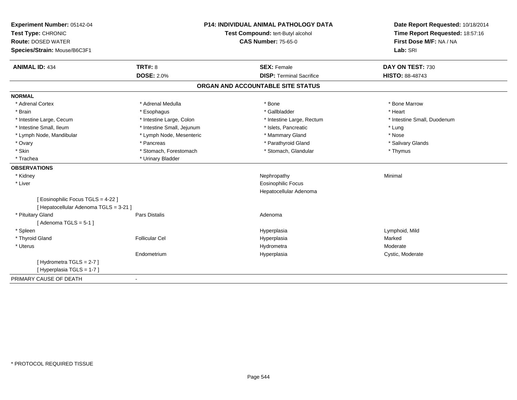| Experiment Number: 05142-04                                                  | <b>P14: INDIVIDUAL ANIMAL PATHOLOGY DATA</b> |                                   | Date Report Requested: 10/18/2014                          |
|------------------------------------------------------------------------------|----------------------------------------------|-----------------------------------|------------------------------------------------------------|
| Test Type: CHRONIC                                                           |                                              | Test Compound: tert-Butyl alcohol | Time Report Requested: 18:57:16<br>First Dose M/F: NA / NA |
| <b>Route: DOSED WATER</b>                                                    |                                              | <b>CAS Number: 75-65-0</b>        |                                                            |
| Species/Strain: Mouse/B6C3F1                                                 |                                              |                                   | Lab: SRI                                                   |
| <b>TRT#: 8</b><br><b>ANIMAL ID: 434</b>                                      |                                              | <b>SEX: Female</b>                | DAY ON TEST: 730                                           |
| <b>DOSE: 2.0%</b>                                                            |                                              | <b>DISP: Terminal Sacrifice</b>   | <b>HISTO: 88-48743</b>                                     |
|                                                                              |                                              | ORGAN AND ACCOUNTABLE SITE STATUS |                                                            |
| <b>NORMAL</b>                                                                |                                              |                                   |                                                            |
| * Adrenal Cortex<br>* Adrenal Medulla                                        |                                              | * Bone                            | * Bone Marrow                                              |
| * Brain<br>* Esophagus                                                       |                                              | * Gallbladder                     | * Heart                                                    |
| * Intestine Large, Cecum                                                     | * Intestine Large, Colon                     | * Intestine Large, Rectum         | * Intestine Small, Duodenum                                |
| * Intestine Small, Ileum                                                     | * Intestine Small, Jejunum                   | * Islets, Pancreatic              | * Lung                                                     |
| * Lymph Node, Mandibular                                                     | * Lymph Node, Mesenteric                     | * Mammary Gland                   | * Nose                                                     |
| * Ovary<br>* Pancreas                                                        |                                              | * Parathyroid Gland               | * Salivary Glands                                          |
| * Skin                                                                       | * Stomach, Forestomach                       | * Stomach, Glandular              | * Thymus                                                   |
| * Urinary Bladder<br>* Trachea                                               |                                              |                                   |                                                            |
| <b>OBSERVATIONS</b>                                                          |                                              |                                   |                                                            |
| * Kidney                                                                     |                                              | Nephropathy                       | Minimal                                                    |
| * Liver                                                                      |                                              | <b>Eosinophilic Focus</b>         |                                                            |
|                                                                              |                                              | Hepatocellular Adenoma            |                                                            |
| [ Eosinophilic Focus TGLS = 4-22 ]<br>[ Hepatocellular Adenoma TGLS = 3-21 ] |                                              |                                   |                                                            |
| * Pituitary Gland<br>Pars Distalis                                           |                                              | Adenoma                           |                                                            |
| [Adenoma TGLS = $5-1$ ]                                                      |                                              |                                   |                                                            |
| * Spleen                                                                     |                                              | Hyperplasia                       | Lymphoid, Mild                                             |
| * Thyroid Gland<br><b>Follicular Cel</b>                                     |                                              | Hyperplasia                       | Marked                                                     |
| * Uterus                                                                     |                                              | Hydrometra                        | Moderate                                                   |
| Endometrium                                                                  |                                              | Hyperplasia                       | Cystic, Moderate                                           |
| [Hydrometra TGLS = 2-7]                                                      |                                              |                                   |                                                            |
| [ Hyperplasia TGLS = 1-7 ]                                                   |                                              |                                   |                                                            |
| PRIMARY CAUSE OF DEATH                                                       |                                              |                                   |                                                            |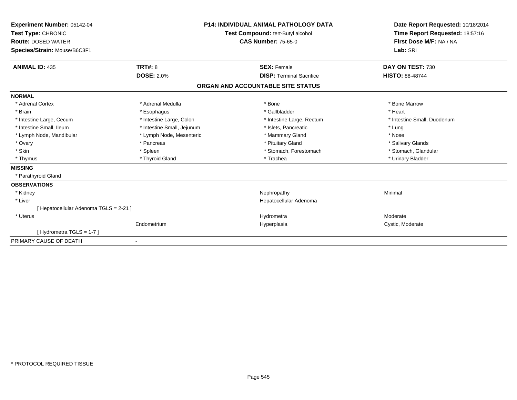| Experiment Number: 05142-04          |                                   |  | <b>P14: INDIVIDUAL ANIMAL PATHOLOGY DATA</b> | Date Report Requested: 10/18/2014 |
|--------------------------------------|-----------------------------------|--|----------------------------------------------|-----------------------------------|
| Test Type: CHRONIC                   | Test Compound: tert-Butyl alcohol |  | Time Report Requested: 18:57:16              |                                   |
| <b>Route: DOSED WATER</b>            |                                   |  | <b>CAS Number: 75-65-0</b>                   | First Dose M/F: NA / NA           |
| Species/Strain: Mouse/B6C3F1         |                                   |  |                                              | Lab: SRI                          |
| <b>ANIMAL ID: 435</b>                | <b>TRT#: 8</b>                    |  | <b>SEX: Female</b>                           | DAY ON TEST: 730                  |
|                                      | <b>DOSE: 2.0%</b>                 |  | <b>DISP: Terminal Sacrifice</b>              | <b>HISTO: 88-48744</b>            |
|                                      |                                   |  | ORGAN AND ACCOUNTABLE SITE STATUS            |                                   |
| <b>NORMAL</b>                        |                                   |  |                                              |                                   |
| * Adrenal Cortex                     | * Adrenal Medulla                 |  | * Bone                                       | * Bone Marrow                     |
| * Brain                              | * Esophagus                       |  | * Gallbladder                                | * Heart                           |
| * Intestine Large, Cecum             | * Intestine Large, Colon          |  | * Intestine Large, Rectum                    | * Intestine Small, Duodenum       |
| * Intestine Small, Ileum             | * Intestine Small, Jejunum        |  | * Islets, Pancreatic                         | * Lung                            |
| * Lymph Node, Mandibular             | * Lymph Node, Mesenteric          |  | * Mammary Gland                              | * Nose                            |
| * Ovary                              | * Pancreas                        |  | * Pituitary Gland                            | * Salivary Glands                 |
| * Skin                               | * Spleen                          |  | * Stomach, Forestomach                       | * Stomach, Glandular              |
| * Thymus                             | * Thyroid Gland                   |  | * Trachea                                    | * Urinary Bladder                 |
| <b>MISSING</b>                       |                                   |  |                                              |                                   |
| * Parathyroid Gland                  |                                   |  |                                              |                                   |
| <b>OBSERVATIONS</b>                  |                                   |  |                                              |                                   |
| * Kidney                             |                                   |  | Nephropathy                                  | Minimal                           |
| * Liver                              |                                   |  | Hepatocellular Adenoma                       |                                   |
| [Hepatocellular Adenoma TGLS = 2-21] |                                   |  |                                              |                                   |
| * Uterus                             |                                   |  | Hydrometra                                   | Moderate                          |
|                                      | Endometrium                       |  | Hyperplasia                                  | Cystic, Moderate                  |
| [Hydrometra TGLS = $1-7$ ]           |                                   |  |                                              |                                   |
| PRIMARY CAUSE OF DEATH               | $\overline{\phantom{a}}$          |  |                                              |                                   |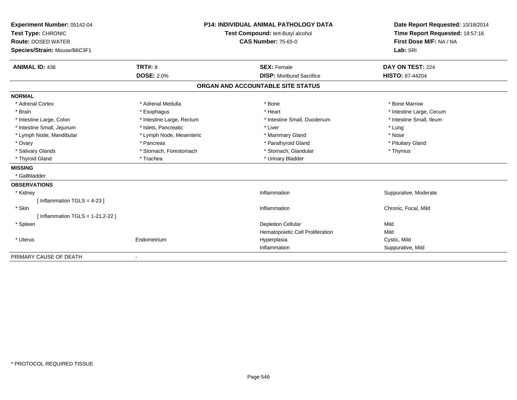| Experiment Number: 05142-04<br>Test Type: CHRONIC<br><b>Route: DOSED WATER</b><br>Species/Strain: Mouse/B6C3F1 |                           | <b>P14: INDIVIDUAL ANIMAL PATHOLOGY DATA</b><br>Test Compound: tert-Butyl alcohol<br><b>CAS Number: 75-65-0</b> | Date Report Requested: 10/18/2014<br>Time Report Requested: 18:57:16<br>First Dose M/F: NA / NA<br>Lab: SRI |
|----------------------------------------------------------------------------------------------------------------|---------------------------|-----------------------------------------------------------------------------------------------------------------|-------------------------------------------------------------------------------------------------------------|
|                                                                                                                |                           |                                                                                                                 |                                                                                                             |
| <b>ANIMAL ID: 436</b>                                                                                          | <b>TRT#: 8</b>            | <b>SEX: Female</b>                                                                                              | DAY ON TEST: 224                                                                                            |
|                                                                                                                | <b>DOSE: 2.0%</b>         | <b>DISP:</b> Moribund Sacrifice                                                                                 | <b>HISTO: 87-44204</b>                                                                                      |
|                                                                                                                |                           | ORGAN AND ACCOUNTABLE SITE STATUS                                                                               |                                                                                                             |
| <b>NORMAL</b>                                                                                                  |                           |                                                                                                                 |                                                                                                             |
| * Adrenal Cortex                                                                                               | * Adrenal Medulla         | * Bone                                                                                                          | * Bone Marrow                                                                                               |
| * Brain                                                                                                        | * Esophagus               | * Heart                                                                                                         | * Intestine Large, Cecum                                                                                    |
| * Intestine Large, Colon                                                                                       | * Intestine Large, Rectum | * Intestine Small, Duodenum                                                                                     | * Intestine Small, Ileum                                                                                    |
| * Intestine Small, Jejunum                                                                                     | * Islets, Pancreatic      | * Liver                                                                                                         | * Lung                                                                                                      |
| * Lymph Node, Mandibular                                                                                       | * Lymph Node, Mesenteric  | * Mammary Gland                                                                                                 | * Nose                                                                                                      |
| * Ovary                                                                                                        | * Pancreas                | * Parathyroid Gland                                                                                             | * Pituitary Gland                                                                                           |
| * Salivary Glands                                                                                              | * Stomach, Forestomach    | * Stomach, Glandular                                                                                            | * Thymus                                                                                                    |
| * Thyroid Gland                                                                                                | * Trachea                 | * Urinary Bladder                                                                                               |                                                                                                             |
| <b>MISSING</b>                                                                                                 |                           |                                                                                                                 |                                                                                                             |
| * Gallbladder                                                                                                  |                           |                                                                                                                 |                                                                                                             |
| <b>OBSERVATIONS</b>                                                                                            |                           |                                                                                                                 |                                                                                                             |
| * Kidney                                                                                                       |                           | Inflammation                                                                                                    | Suppurative, Moderate                                                                                       |
| [Inflammation TGLS = $4-23$ ]                                                                                  |                           |                                                                                                                 |                                                                                                             |
| * Skin                                                                                                         |                           | Inflammation                                                                                                    | Chronic, Focal, Mild                                                                                        |
| [Inflammation TGLS = $1-21,2-22$ ]                                                                             |                           |                                                                                                                 |                                                                                                             |
| * Spleen                                                                                                       |                           | <b>Depletion Cellular</b>                                                                                       | Mild                                                                                                        |
|                                                                                                                |                           | Hematopoietic Cell Proliferation                                                                                | Mild                                                                                                        |
| * Uterus                                                                                                       | Endometrium               | Hyperplasia                                                                                                     | Cystic, Mild                                                                                                |
|                                                                                                                |                           | Inflammation                                                                                                    | Suppurative, Mild                                                                                           |
| PRIMARY CAUSE OF DEATH                                                                                         | $\blacksquare$            |                                                                                                                 |                                                                                                             |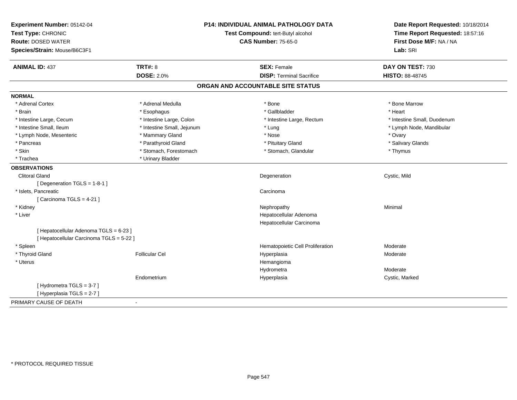| Experiment Number: 05142-04              |                            | P14: INDIVIDUAL ANIMAL PATHOLOGY DATA | Date Report Requested: 10/18/2014                          |
|------------------------------------------|----------------------------|---------------------------------------|------------------------------------------------------------|
| Test Type: CHRONIC                       |                            | Test Compound: tert-Butyl alcohol     | Time Report Requested: 18:57:16<br>First Dose M/F: NA / NA |
| <b>Route: DOSED WATER</b>                |                            | <b>CAS Number: 75-65-0</b>            |                                                            |
| Species/Strain: Mouse/B6C3F1             |                            |                                       | Lab: SRI                                                   |
| <b>ANIMAL ID: 437</b>                    | <b>TRT#: 8</b>             | <b>SEX: Female</b>                    | DAY ON TEST: 730                                           |
|                                          | <b>DOSE: 2.0%</b>          | <b>DISP: Terminal Sacrifice</b>       | <b>HISTO: 88-48745</b>                                     |
|                                          |                            | ORGAN AND ACCOUNTABLE SITE STATUS     |                                                            |
| <b>NORMAL</b>                            |                            |                                       |                                                            |
| * Adrenal Cortex                         | * Adrenal Medulla          | * Bone                                | * Bone Marrow                                              |
| * Brain                                  | * Esophagus                | * Gallbladder                         | * Heart                                                    |
| * Intestine Large, Cecum                 | * Intestine Large, Colon   | * Intestine Large, Rectum             | * Intestine Small, Duodenum                                |
| * Intestine Small, Ileum                 | * Intestine Small, Jejunum | * Lung                                | * Lymph Node, Mandibular                                   |
| * Lymph Node, Mesenteric                 | * Mammary Gland            | * Nose                                | * Ovary                                                    |
| * Pancreas                               | * Parathyroid Gland        | * Pituitary Gland                     | * Salivary Glands                                          |
| * Skin                                   | * Stomach, Forestomach     | * Stomach, Glandular                  | * Thymus                                                   |
| * Trachea                                | * Urinary Bladder          |                                       |                                                            |
| <b>OBSERVATIONS</b>                      |                            |                                       |                                                            |
| <b>Clitoral Gland</b>                    |                            | Degeneration                          | Cystic, Mild                                               |
| [ Degeneration TGLS = 1-8-1 ]            |                            |                                       |                                                            |
| * Islets, Pancreatic                     |                            | Carcinoma                             |                                                            |
| [Carcinoma TGLS = 4-21]                  |                            |                                       |                                                            |
| * Kidney                                 |                            | Nephropathy                           | Minimal                                                    |
| * Liver                                  |                            | Hepatocellular Adenoma                |                                                            |
|                                          |                            | Hepatocellular Carcinoma              |                                                            |
| [ Hepatocellular Adenoma TGLS = 6-23 ]   |                            |                                       |                                                            |
| [ Hepatocellular Carcinoma TGLS = 5-22 ] |                            |                                       |                                                            |
| * Spleen                                 |                            | Hematopoietic Cell Proliferation      | Moderate                                                   |
| * Thyroid Gland                          | <b>Follicular Cel</b>      | Hyperplasia                           | Moderate                                                   |
| * Uterus                                 |                            | Hemangioma                            |                                                            |
|                                          |                            | Hydrometra                            | Moderate                                                   |
|                                          | Endometrium                | Hyperplasia                           | Cystic, Marked                                             |
| [Hydrometra TGLS = 3-7]                  |                            |                                       |                                                            |
| [Hyperplasia TGLS = 2-7]                 |                            |                                       |                                                            |
| PRIMARY CAUSE OF DEATH                   | $\blacksquare$             |                                       |                                                            |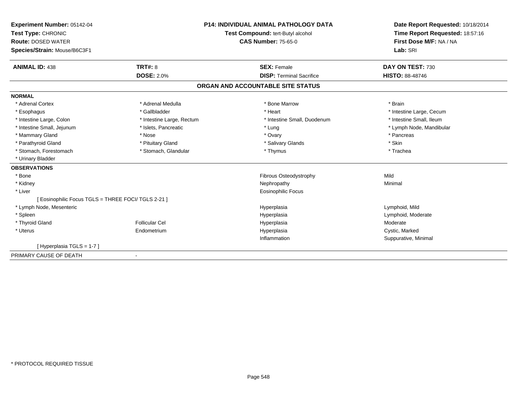| Experiment Number: 05142-04<br>Test Type: CHRONIC<br><b>Route: DOSED WATER</b> |                           | <b>P14: INDIVIDUAL ANIMAL PATHOLOGY DATA</b><br>Test Compound: tert-Butyl alcohol<br><b>CAS Number: 75-65-0</b> | Date Report Requested: 10/18/2014<br>Time Report Requested: 18:57:16<br>First Dose M/F: NA / NA |
|--------------------------------------------------------------------------------|---------------------------|-----------------------------------------------------------------------------------------------------------------|-------------------------------------------------------------------------------------------------|
| Species/Strain: Mouse/B6C3F1                                                   |                           |                                                                                                                 | Lab: SRI                                                                                        |
| <b>ANIMAL ID: 438</b>                                                          | <b>TRT#: 8</b>            | <b>SEX: Female</b>                                                                                              | DAY ON TEST: 730                                                                                |
|                                                                                | <b>DOSE: 2.0%</b>         | <b>DISP: Terminal Sacrifice</b>                                                                                 | <b>HISTO: 88-48746</b>                                                                          |
|                                                                                |                           | ORGAN AND ACCOUNTABLE SITE STATUS                                                                               |                                                                                                 |
| <b>NORMAL</b>                                                                  |                           |                                                                                                                 |                                                                                                 |
| * Adrenal Cortex                                                               | * Adrenal Medulla         | * Bone Marrow                                                                                                   | * Brain                                                                                         |
| * Esophagus                                                                    | * Gallbladder             | * Heart                                                                                                         | * Intestine Large, Cecum                                                                        |
| * Intestine Large, Colon                                                       | * Intestine Large, Rectum | * Intestine Small, Duodenum                                                                                     | * Intestine Small, Ileum                                                                        |
| * Intestine Small, Jejunum                                                     | * Islets, Pancreatic      | * Lung                                                                                                          | * Lymph Node, Mandibular                                                                        |
| * Mammary Gland                                                                | * Nose                    | * Ovary                                                                                                         | * Pancreas                                                                                      |
| * Parathyroid Gland                                                            | * Pituitary Gland         | * Salivary Glands                                                                                               | * Skin                                                                                          |
| * Stomach, Forestomach                                                         | * Stomach, Glandular      | * Thymus                                                                                                        | * Trachea                                                                                       |
| * Urinary Bladder                                                              |                           |                                                                                                                 |                                                                                                 |
| <b>OBSERVATIONS</b>                                                            |                           |                                                                                                                 |                                                                                                 |
| * Bone                                                                         |                           | Fibrous Osteodystrophy                                                                                          | Mild                                                                                            |
| * Kidney                                                                       |                           | Nephropathy                                                                                                     | Minimal                                                                                         |
| * Liver                                                                        |                           | <b>Eosinophilic Focus</b>                                                                                       |                                                                                                 |
| [ Eosinophilic Focus TGLS = THREE FOCI/ TGLS 2-21 ]                            |                           |                                                                                                                 |                                                                                                 |
| * Lymph Node, Mesenteric                                                       |                           | Hyperplasia                                                                                                     | Lymphoid, Mild                                                                                  |
| * Spleen                                                                       |                           | Hyperplasia                                                                                                     | Lymphoid, Moderate                                                                              |
| * Thyroid Gland                                                                | <b>Follicular Cel</b>     | Hyperplasia                                                                                                     | Moderate                                                                                        |
| * Uterus                                                                       | Endometrium               | Hyperplasia                                                                                                     | Cystic, Marked                                                                                  |
|                                                                                |                           | Inflammation                                                                                                    | Suppurative, Minimal                                                                            |
| [Hyperplasia TGLS = 1-7]                                                       |                           |                                                                                                                 |                                                                                                 |
| PRIMARY CAUSE OF DEATH                                                         |                           |                                                                                                                 |                                                                                                 |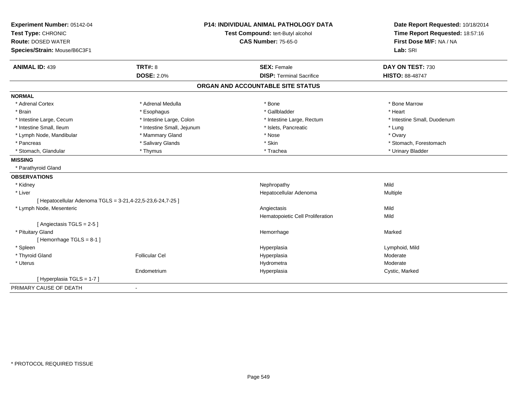| Experiment Number: 05142-04                                |                            | <b>P14: INDIVIDUAL ANIMAL PATHOLOGY DATA</b> | Date Report Requested: 10/18/2014                          |
|------------------------------------------------------------|----------------------------|----------------------------------------------|------------------------------------------------------------|
| Test Type: CHRONIC                                         |                            | Test Compound: tert-Butyl alcohol            | Time Report Requested: 18:57:16<br>First Dose M/F: NA / NA |
| <b>Route: DOSED WATER</b>                                  |                            | <b>CAS Number: 75-65-0</b>                   |                                                            |
| Species/Strain: Mouse/B6C3F1                               |                            |                                              | Lab: SRI                                                   |
| <b>ANIMAL ID: 439</b>                                      | <b>TRT#: 8</b>             | <b>SEX: Female</b>                           | DAY ON TEST: 730                                           |
|                                                            | <b>DOSE: 2.0%</b>          | <b>DISP: Terminal Sacrifice</b>              | <b>HISTO: 88-48747</b>                                     |
|                                                            |                            | ORGAN AND ACCOUNTABLE SITE STATUS            |                                                            |
| <b>NORMAL</b>                                              |                            |                                              |                                                            |
| * Adrenal Cortex                                           | * Adrenal Medulla          | * Bone                                       | * Bone Marrow                                              |
| * Brain                                                    | * Esophagus                | * Gallbladder                                | * Heart                                                    |
| * Intestine Large, Cecum                                   | * Intestine Large, Colon   | * Intestine Large, Rectum                    | * Intestine Small, Duodenum                                |
| * Intestine Small. Ileum                                   | * Intestine Small, Jejunum | * Islets, Pancreatic                         | * Lung                                                     |
| * Lymph Node, Mandibular                                   | * Mammary Gland            | * Nose                                       | * Ovary                                                    |
| * Pancreas                                                 | * Salivary Glands          | * Skin                                       | * Stomach, Forestomach                                     |
| * Stomach, Glandular                                       | * Thymus                   | * Trachea                                    | * Urinary Bladder                                          |
| <b>MISSING</b>                                             |                            |                                              |                                                            |
| * Parathyroid Gland                                        |                            |                                              |                                                            |
| <b>OBSERVATIONS</b>                                        |                            |                                              |                                                            |
| * Kidney                                                   |                            | Nephropathy                                  | Mild                                                       |
| * Liver                                                    |                            | Hepatocellular Adenoma                       | Multiple                                                   |
| [ Hepatocellular Adenoma TGLS = 3-21,4-22,5-23,6-24,7-25 ] |                            |                                              |                                                            |
| * Lymph Node, Mesenteric                                   |                            | Angiectasis                                  | Mild                                                       |
|                                                            |                            | Hematopoietic Cell Proliferation             | Mild                                                       |
| [Angiectasis TGLS = 2-5]                                   |                            |                                              |                                                            |
| * Pituitary Gland                                          |                            | Hemorrhage                                   | Marked                                                     |
| [Hemorrhage TGLS = 8-1]                                    |                            |                                              |                                                            |
| * Spleen                                                   |                            | Hyperplasia                                  | Lymphoid, Mild                                             |
| * Thyroid Gland                                            | <b>Follicular Cel</b>      | Hyperplasia                                  | Moderate                                                   |
| * Uterus                                                   |                            | Hydrometra                                   | Moderate                                                   |
|                                                            | Endometrium                | Hyperplasia                                  | Cystic, Marked                                             |
| [Hyperplasia TGLS = 1-7]                                   |                            |                                              |                                                            |
| PRIMARY CAUSE OF DEATH                                     |                            |                                              |                                                            |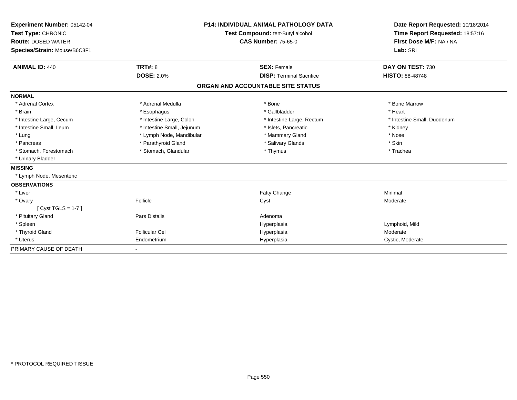| Experiment Number: 05142-04<br>Test Type: CHRONIC<br><b>Route: DOSED WATER</b><br>Species/Strain: Mouse/B6C3F1<br><b>ANIMAL ID: 440</b> | <b>P14: INDIVIDUAL ANIMAL PATHOLOGY DATA</b><br><b>Test Compound: tert-Butyl alcohol</b><br><b>CAS Number: 75-65-0</b> |                                                       | Date Report Requested: 10/18/2014<br>Time Report Requested: 18:57:16<br>First Dose M/F: NA / NA<br>Lab: SRI<br>DAY ON TEST: 730 |
|-----------------------------------------------------------------------------------------------------------------------------------------|------------------------------------------------------------------------------------------------------------------------|-------------------------------------------------------|---------------------------------------------------------------------------------------------------------------------------------|
|                                                                                                                                         | <b>TRT#: 8</b><br><b>DOSE: 2.0%</b>                                                                                    | <b>SEX: Female</b><br><b>DISP: Terminal Sacrifice</b> | <b>HISTO: 88-48748</b>                                                                                                          |
|                                                                                                                                         |                                                                                                                        | ORGAN AND ACCOUNTABLE SITE STATUS                     |                                                                                                                                 |
| <b>NORMAL</b>                                                                                                                           |                                                                                                                        |                                                       |                                                                                                                                 |
| * Adrenal Cortex                                                                                                                        | * Adrenal Medulla                                                                                                      | * Bone                                                | * Bone Marrow                                                                                                                   |
| * Brain                                                                                                                                 | * Esophagus                                                                                                            | * Gallbladder                                         | * Heart                                                                                                                         |
| * Intestine Large, Cecum                                                                                                                | * Intestine Large, Colon                                                                                               | * Intestine Large, Rectum                             | * Intestine Small, Duodenum                                                                                                     |
| * Intestine Small. Ileum                                                                                                                | * Intestine Small, Jejunum                                                                                             | * Islets, Pancreatic                                  | * Kidney                                                                                                                        |
| * Lung                                                                                                                                  | * Lymph Node, Mandibular                                                                                               | * Mammary Gland                                       | * Nose                                                                                                                          |
| * Pancreas                                                                                                                              | * Parathyroid Gland                                                                                                    | * Salivary Glands                                     | * Skin                                                                                                                          |
| * Stomach, Forestomach                                                                                                                  | * Stomach, Glandular                                                                                                   | * Thymus                                              | * Trachea                                                                                                                       |
| * Urinary Bladder                                                                                                                       |                                                                                                                        |                                                       |                                                                                                                                 |
| <b>MISSING</b>                                                                                                                          |                                                                                                                        |                                                       |                                                                                                                                 |
| * Lymph Node, Mesenteric                                                                                                                |                                                                                                                        |                                                       |                                                                                                                                 |
| <b>OBSERVATIONS</b>                                                                                                                     |                                                                                                                        |                                                       |                                                                                                                                 |
| * Liver                                                                                                                                 |                                                                                                                        | Fatty Change                                          | Minimal                                                                                                                         |
| * Ovary                                                                                                                                 | Follicle                                                                                                               | Cyst                                                  | Moderate                                                                                                                        |
| [Cyst TGLS = $1-7$ ]                                                                                                                    |                                                                                                                        |                                                       |                                                                                                                                 |
| * Pituitary Gland                                                                                                                       | <b>Pars Distalis</b>                                                                                                   | Adenoma                                               |                                                                                                                                 |
| * Spleen                                                                                                                                |                                                                                                                        | Hyperplasia                                           | Lymphoid, Mild                                                                                                                  |
| * Thyroid Gland                                                                                                                         | Follicular Cel                                                                                                         | Hyperplasia                                           | Moderate                                                                                                                        |
| * Uterus                                                                                                                                | Endometrium                                                                                                            | Hyperplasia                                           | Cystic, Moderate                                                                                                                |
| PRIMARY CAUSE OF DEATH                                                                                                                  |                                                                                                                        |                                                       |                                                                                                                                 |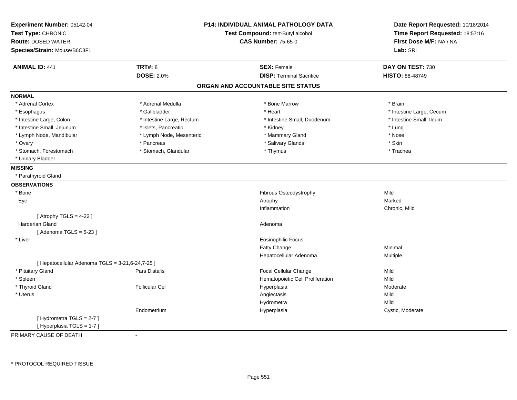| Experiment Number: 05142-04<br>Test Type: CHRONIC<br><b>Route: DOSED WATER</b><br>Species/Strain: Mouse/B6C3F1 |                           | <b>P14: INDIVIDUAL ANIMAL PATHOLOGY DATA</b><br>Test Compound: tert-Butyl alcohol<br><b>CAS Number: 75-65-0</b> | Date Report Requested: 10/18/2014<br>Time Report Requested: 18:57:16<br>First Dose M/F: NA / NA<br>Lab: SRI |
|----------------------------------------------------------------------------------------------------------------|---------------------------|-----------------------------------------------------------------------------------------------------------------|-------------------------------------------------------------------------------------------------------------|
| <b>ANIMAL ID: 441</b>                                                                                          | <b>TRT#: 8</b>            | <b>SEX: Female</b>                                                                                              | DAY ON TEST: 730                                                                                            |
|                                                                                                                | <b>DOSE: 2.0%</b>         | <b>DISP: Terminal Sacrifice</b>                                                                                 | HISTO: 88-48749                                                                                             |
|                                                                                                                |                           | ORGAN AND ACCOUNTABLE SITE STATUS                                                                               |                                                                                                             |
| <b>NORMAL</b>                                                                                                  |                           |                                                                                                                 |                                                                                                             |
| * Adrenal Cortex                                                                                               | * Adrenal Medulla         | * Bone Marrow                                                                                                   | * Brain                                                                                                     |
| * Esophagus                                                                                                    | * Gallbladder             | * Heart                                                                                                         | * Intestine Large, Cecum                                                                                    |
| * Intestine Large, Colon                                                                                       | * Intestine Large, Rectum | * Intestine Small, Duodenum                                                                                     | * Intestine Small, Ileum                                                                                    |
| * Intestine Small, Jejunum                                                                                     | * Islets, Pancreatic      | * Kidney                                                                                                        | * Lung                                                                                                      |
| * Lymph Node, Mandibular                                                                                       | * Lymph Node, Mesenteric  | * Mammary Gland                                                                                                 | * Nose                                                                                                      |
| * Ovary                                                                                                        | * Pancreas                | * Salivary Glands                                                                                               | * Skin                                                                                                      |
| * Stomach, Forestomach                                                                                         | * Stomach, Glandular      | * Thymus                                                                                                        | * Trachea                                                                                                   |
| * Urinary Bladder                                                                                              |                           |                                                                                                                 |                                                                                                             |
| <b>MISSING</b>                                                                                                 |                           |                                                                                                                 |                                                                                                             |
| * Parathyroid Gland                                                                                            |                           |                                                                                                                 |                                                                                                             |
| <b>OBSERVATIONS</b>                                                                                            |                           |                                                                                                                 |                                                                                                             |
| * Bone                                                                                                         |                           | Fibrous Osteodystrophy                                                                                          | Mild                                                                                                        |
| Eye                                                                                                            |                           | Atrophy                                                                                                         | Marked                                                                                                      |
|                                                                                                                |                           | Inflammation                                                                                                    | Chronic, Mild                                                                                               |
| [Atrophy TGLS = $4-22$ ]                                                                                       |                           |                                                                                                                 |                                                                                                             |
| <b>Harderian Gland</b>                                                                                         |                           | Adenoma                                                                                                         |                                                                                                             |
| [Adenoma TGLS = $5-23$ ]                                                                                       |                           |                                                                                                                 |                                                                                                             |
| * Liver                                                                                                        |                           | <b>Eosinophilic Focus</b>                                                                                       |                                                                                                             |
|                                                                                                                |                           | Fatty Change                                                                                                    | Minimal                                                                                                     |
|                                                                                                                |                           | Hepatocellular Adenoma                                                                                          | Multiple                                                                                                    |
| [ Hepatocellular Adenoma TGLS = 3-21,6-24,7-25 ]                                                               |                           |                                                                                                                 |                                                                                                             |
| * Pituitary Gland                                                                                              | Pars Distalis             | <b>Focal Cellular Change</b>                                                                                    | Mild                                                                                                        |
| * Spleen                                                                                                       |                           | Hematopoietic Cell Proliferation                                                                                | Mild                                                                                                        |
| * Thyroid Gland                                                                                                | <b>Follicular Cel</b>     | Hyperplasia                                                                                                     | Moderate                                                                                                    |
| * Uterus                                                                                                       |                           | Angiectasis                                                                                                     | Mild                                                                                                        |
|                                                                                                                |                           | Hydrometra                                                                                                      | Mild                                                                                                        |
|                                                                                                                | Endometrium               | Hyperplasia                                                                                                     | Cystic, Moderate                                                                                            |
| [Hydrometra TGLS = 2-7]<br>[ Hyperplasia TGLS = 1-7 ]                                                          |                           |                                                                                                                 |                                                                                                             |

PRIMARY CAUSE OF DEATH-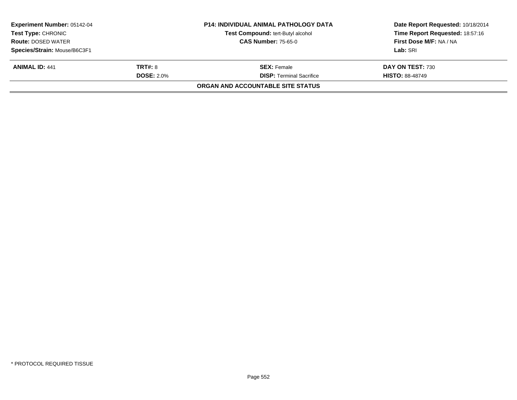|                                                         | <b>P14: INDIVIDUAL ANIMAL PATHOLOGY DATA</b> | Date Report Requested: 10/18/2014 |  |
|---------------------------------------------------------|----------------------------------------------|-----------------------------------|--|
|                                                         | Test Compound: tert-Butyl alcohol            | Time Report Requested: 18:57:16   |  |
| <b>CAS Number: 75-65-0</b><br><b>Route: DOSED WATER</b> |                                              | First Dose M/F: NA / NA           |  |
|                                                         |                                              | Lab: SRI                          |  |
| <b>TRT#: 8</b>                                          | <b>SEX: Female</b>                           | DAY ON TEST: 730                  |  |
| <b>DOSE: 2.0%</b>                                       | <b>DISP: Terminal Sacrifice</b>              | <b>HISTO: 88-48749</b>            |  |
|                                                         | ORGAN AND ACCOUNTABLE SITE STATUS            |                                   |  |
|                                                         |                                              |                                   |  |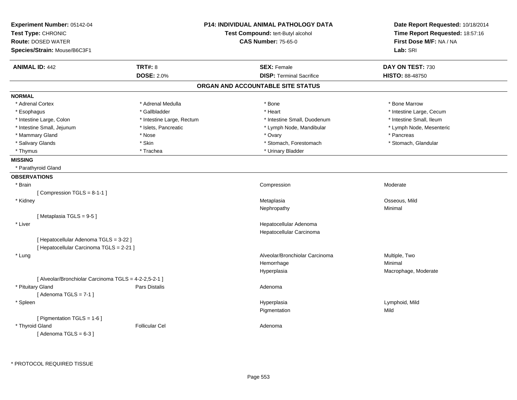| <b>TRT#: 8</b><br><b>SEX: Female</b><br>DAY ON TEST: 730<br><b>ANIMAL ID: 442</b><br><b>DOSE: 2.0%</b><br><b>DISP: Terminal Sacrifice</b><br>HISTO: 88-48750<br>ORGAN AND ACCOUNTABLE SITE STATUS<br><b>NORMAL</b><br>* Adrenal Cortex<br>* Adrenal Medulla<br>* Bone Marrow<br>* Bone<br>* Esophagus<br>* Gallbladder<br>* Heart<br>* Intestine Large, Cecum<br>* Intestine Small, Duodenum<br>* Intestine Small, Ileum<br>* Intestine Large, Colon<br>* Intestine Large, Rectum<br>* Intestine Small, Jejunum<br>* Islets, Pancreatic<br>* Lymph Node, Mandibular<br>* Lymph Node, Mesenteric<br>* Mammary Gland<br>* Nose<br>* Ovary<br>* Pancreas<br>* Skin<br>* Stomach, Forestomach<br>* Salivary Glands<br>* Stomach, Glandular<br>* Urinary Bladder<br>* Thymus<br>* Trachea<br><b>MISSING</b><br>* Parathyroid Gland<br><b>OBSERVATIONS</b><br>* Brain<br>Compression<br>Moderate<br>[Compression TGLS = 8-1-1]<br>* Kidney<br>Metaplasia<br>Osseous, Mild<br>Minimal<br>Nephropathy<br>[Metaplasia TGLS = 9-5]<br>Hepatocellular Adenoma<br>* Liver<br>Hepatocellular Carcinoma<br>[ Hepatocellular Adenoma TGLS = 3-22 ]<br>[ Hepatocellular Carcinoma TGLS = 2-21 ]<br>Alveolar/Bronchiolar Carcinoma<br>Multiple, Two<br>* Lung<br>Minimal<br>Hemorrhage<br>Hyperplasia<br>Macrophage, Moderate<br>[ Alveolar/Bronchiolar Carcinoma TGLS = 4-2-2,5-2-1 ]<br>* Pituitary Gland<br>Pars Distalis<br>Adenoma<br>[Adenoma TGLS = $7-1$ ]<br>Hyperplasia<br>Lymphoid, Mild<br>* Spleen<br>Mild<br>Pigmentation<br>[ Pigmentation TGLS = 1-6 ]<br>* Thyroid Gland<br><b>Follicular Cel</b><br>Adenoma | Experiment Number: 05142-04<br>Test Type: CHRONIC<br><b>Route: DOSED WATER</b><br>Species/Strain: Mouse/B6C3F1 | <b>P14: INDIVIDUAL ANIMAL PATHOLOGY DATA</b><br>Test Compound: tert-Butyl alcohol<br><b>CAS Number: 75-65-0</b> | Date Report Requested: 10/18/2014<br>Time Report Requested: 18:57:16<br>First Dose M/F: NA / NA<br>Lab: SRI |
|--------------------------------------------------------------------------------------------------------------------------------------------------------------------------------------------------------------------------------------------------------------------------------------------------------------------------------------------------------------------------------------------------------------------------------------------------------------------------------------------------------------------------------------------------------------------------------------------------------------------------------------------------------------------------------------------------------------------------------------------------------------------------------------------------------------------------------------------------------------------------------------------------------------------------------------------------------------------------------------------------------------------------------------------------------------------------------------------------------------------------------------------------------------------------------------------------------------------------------------------------------------------------------------------------------------------------------------------------------------------------------------------------------------------------------------------------------------------------------------------------------------------------------------------------------------------------------------------------------------|----------------------------------------------------------------------------------------------------------------|-----------------------------------------------------------------------------------------------------------------|-------------------------------------------------------------------------------------------------------------|
|                                                                                                                                                                                                                                                                                                                                                                                                                                                                                                                                                                                                                                                                                                                                                                                                                                                                                                                                                                                                                                                                                                                                                                                                                                                                                                                                                                                                                                                                                                                                                                                                              |                                                                                                                |                                                                                                                 |                                                                                                             |
|                                                                                                                                                                                                                                                                                                                                                                                                                                                                                                                                                                                                                                                                                                                                                                                                                                                                                                                                                                                                                                                                                                                                                                                                                                                                                                                                                                                                                                                                                                                                                                                                              |                                                                                                                |                                                                                                                 |                                                                                                             |
|                                                                                                                                                                                                                                                                                                                                                                                                                                                                                                                                                                                                                                                                                                                                                                                                                                                                                                                                                                                                                                                                                                                                                                                                                                                                                                                                                                                                                                                                                                                                                                                                              |                                                                                                                |                                                                                                                 |                                                                                                             |
|                                                                                                                                                                                                                                                                                                                                                                                                                                                                                                                                                                                                                                                                                                                                                                                                                                                                                                                                                                                                                                                                                                                                                                                                                                                                                                                                                                                                                                                                                                                                                                                                              |                                                                                                                |                                                                                                                 |                                                                                                             |
|                                                                                                                                                                                                                                                                                                                                                                                                                                                                                                                                                                                                                                                                                                                                                                                                                                                                                                                                                                                                                                                                                                                                                                                                                                                                                                                                                                                                                                                                                                                                                                                                              |                                                                                                                |                                                                                                                 |                                                                                                             |
|                                                                                                                                                                                                                                                                                                                                                                                                                                                                                                                                                                                                                                                                                                                                                                                                                                                                                                                                                                                                                                                                                                                                                                                                                                                                                                                                                                                                                                                                                                                                                                                                              |                                                                                                                |                                                                                                                 |                                                                                                             |
|                                                                                                                                                                                                                                                                                                                                                                                                                                                                                                                                                                                                                                                                                                                                                                                                                                                                                                                                                                                                                                                                                                                                                                                                                                                                                                                                                                                                                                                                                                                                                                                                              |                                                                                                                |                                                                                                                 |                                                                                                             |
|                                                                                                                                                                                                                                                                                                                                                                                                                                                                                                                                                                                                                                                                                                                                                                                                                                                                                                                                                                                                                                                                                                                                                                                                                                                                                                                                                                                                                                                                                                                                                                                                              |                                                                                                                |                                                                                                                 |                                                                                                             |
|                                                                                                                                                                                                                                                                                                                                                                                                                                                                                                                                                                                                                                                                                                                                                                                                                                                                                                                                                                                                                                                                                                                                                                                                                                                                                                                                                                                                                                                                                                                                                                                                              |                                                                                                                |                                                                                                                 |                                                                                                             |
|                                                                                                                                                                                                                                                                                                                                                                                                                                                                                                                                                                                                                                                                                                                                                                                                                                                                                                                                                                                                                                                                                                                                                                                                                                                                                                                                                                                                                                                                                                                                                                                                              |                                                                                                                |                                                                                                                 |                                                                                                             |
|                                                                                                                                                                                                                                                                                                                                                                                                                                                                                                                                                                                                                                                                                                                                                                                                                                                                                                                                                                                                                                                                                                                                                                                                                                                                                                                                                                                                                                                                                                                                                                                                              |                                                                                                                |                                                                                                                 |                                                                                                             |
|                                                                                                                                                                                                                                                                                                                                                                                                                                                                                                                                                                                                                                                                                                                                                                                                                                                                                                                                                                                                                                                                                                                                                                                                                                                                                                                                                                                                                                                                                                                                                                                                              |                                                                                                                |                                                                                                                 |                                                                                                             |
|                                                                                                                                                                                                                                                                                                                                                                                                                                                                                                                                                                                                                                                                                                                                                                                                                                                                                                                                                                                                                                                                                                                                                                                                                                                                                                                                                                                                                                                                                                                                                                                                              |                                                                                                                |                                                                                                                 |                                                                                                             |
|                                                                                                                                                                                                                                                                                                                                                                                                                                                                                                                                                                                                                                                                                                                                                                                                                                                                                                                                                                                                                                                                                                                                                                                                                                                                                                                                                                                                                                                                                                                                                                                                              |                                                                                                                |                                                                                                                 |                                                                                                             |
|                                                                                                                                                                                                                                                                                                                                                                                                                                                                                                                                                                                                                                                                                                                                                                                                                                                                                                                                                                                                                                                                                                                                                                                                                                                                                                                                                                                                                                                                                                                                                                                                              |                                                                                                                |                                                                                                                 |                                                                                                             |
|                                                                                                                                                                                                                                                                                                                                                                                                                                                                                                                                                                                                                                                                                                                                                                                                                                                                                                                                                                                                                                                                                                                                                                                                                                                                                                                                                                                                                                                                                                                                                                                                              |                                                                                                                |                                                                                                                 |                                                                                                             |
|                                                                                                                                                                                                                                                                                                                                                                                                                                                                                                                                                                                                                                                                                                                                                                                                                                                                                                                                                                                                                                                                                                                                                                                                                                                                                                                                                                                                                                                                                                                                                                                                              |                                                                                                                |                                                                                                                 |                                                                                                             |
|                                                                                                                                                                                                                                                                                                                                                                                                                                                                                                                                                                                                                                                                                                                                                                                                                                                                                                                                                                                                                                                                                                                                                                                                                                                                                                                                                                                                                                                                                                                                                                                                              |                                                                                                                |                                                                                                                 |                                                                                                             |
|                                                                                                                                                                                                                                                                                                                                                                                                                                                                                                                                                                                                                                                                                                                                                                                                                                                                                                                                                                                                                                                                                                                                                                                                                                                                                                                                                                                                                                                                                                                                                                                                              |                                                                                                                |                                                                                                                 |                                                                                                             |
|                                                                                                                                                                                                                                                                                                                                                                                                                                                                                                                                                                                                                                                                                                                                                                                                                                                                                                                                                                                                                                                                                                                                                                                                                                                                                                                                                                                                                                                                                                                                                                                                              |                                                                                                                |                                                                                                                 |                                                                                                             |
|                                                                                                                                                                                                                                                                                                                                                                                                                                                                                                                                                                                                                                                                                                                                                                                                                                                                                                                                                                                                                                                                                                                                                                                                                                                                                                                                                                                                                                                                                                                                                                                                              |                                                                                                                |                                                                                                                 |                                                                                                             |
|                                                                                                                                                                                                                                                                                                                                                                                                                                                                                                                                                                                                                                                                                                                                                                                                                                                                                                                                                                                                                                                                                                                                                                                                                                                                                                                                                                                                                                                                                                                                                                                                              |                                                                                                                |                                                                                                                 |                                                                                                             |
|                                                                                                                                                                                                                                                                                                                                                                                                                                                                                                                                                                                                                                                                                                                                                                                                                                                                                                                                                                                                                                                                                                                                                                                                                                                                                                                                                                                                                                                                                                                                                                                                              |                                                                                                                |                                                                                                                 |                                                                                                             |
|                                                                                                                                                                                                                                                                                                                                                                                                                                                                                                                                                                                                                                                                                                                                                                                                                                                                                                                                                                                                                                                                                                                                                                                                                                                                                                                                                                                                                                                                                                                                                                                                              |                                                                                                                |                                                                                                                 |                                                                                                             |
|                                                                                                                                                                                                                                                                                                                                                                                                                                                                                                                                                                                                                                                                                                                                                                                                                                                                                                                                                                                                                                                                                                                                                                                                                                                                                                                                                                                                                                                                                                                                                                                                              |                                                                                                                |                                                                                                                 |                                                                                                             |
|                                                                                                                                                                                                                                                                                                                                                                                                                                                                                                                                                                                                                                                                                                                                                                                                                                                                                                                                                                                                                                                                                                                                                                                                                                                                                                                                                                                                                                                                                                                                                                                                              |                                                                                                                |                                                                                                                 |                                                                                                             |
|                                                                                                                                                                                                                                                                                                                                                                                                                                                                                                                                                                                                                                                                                                                                                                                                                                                                                                                                                                                                                                                                                                                                                                                                                                                                                                                                                                                                                                                                                                                                                                                                              |                                                                                                                |                                                                                                                 |                                                                                                             |
|                                                                                                                                                                                                                                                                                                                                                                                                                                                                                                                                                                                                                                                                                                                                                                                                                                                                                                                                                                                                                                                                                                                                                                                                                                                                                                                                                                                                                                                                                                                                                                                                              |                                                                                                                |                                                                                                                 |                                                                                                             |
|                                                                                                                                                                                                                                                                                                                                                                                                                                                                                                                                                                                                                                                                                                                                                                                                                                                                                                                                                                                                                                                                                                                                                                                                                                                                                                                                                                                                                                                                                                                                                                                                              |                                                                                                                |                                                                                                                 |                                                                                                             |
|                                                                                                                                                                                                                                                                                                                                                                                                                                                                                                                                                                                                                                                                                                                                                                                                                                                                                                                                                                                                                                                                                                                                                                                                                                                                                                                                                                                                                                                                                                                                                                                                              |                                                                                                                |                                                                                                                 |                                                                                                             |
|                                                                                                                                                                                                                                                                                                                                                                                                                                                                                                                                                                                                                                                                                                                                                                                                                                                                                                                                                                                                                                                                                                                                                                                                                                                                                                                                                                                                                                                                                                                                                                                                              |                                                                                                                |                                                                                                                 |                                                                                                             |
|                                                                                                                                                                                                                                                                                                                                                                                                                                                                                                                                                                                                                                                                                                                                                                                                                                                                                                                                                                                                                                                                                                                                                                                                                                                                                                                                                                                                                                                                                                                                                                                                              |                                                                                                                |                                                                                                                 |                                                                                                             |
|                                                                                                                                                                                                                                                                                                                                                                                                                                                                                                                                                                                                                                                                                                                                                                                                                                                                                                                                                                                                                                                                                                                                                                                                                                                                                                                                                                                                                                                                                                                                                                                                              |                                                                                                                |                                                                                                                 |                                                                                                             |
|                                                                                                                                                                                                                                                                                                                                                                                                                                                                                                                                                                                                                                                                                                                                                                                                                                                                                                                                                                                                                                                                                                                                                                                                                                                                                                                                                                                                                                                                                                                                                                                                              | [Adenoma TGLS = $6-3$ ]                                                                                        |                                                                                                                 |                                                                                                             |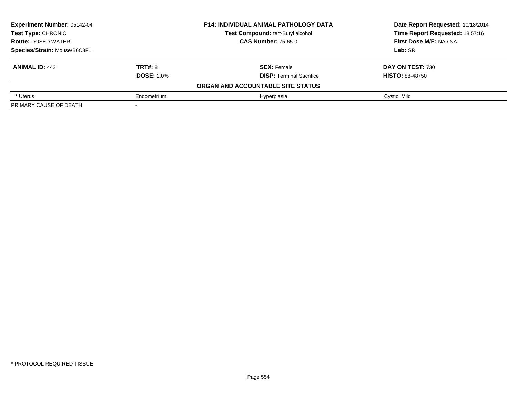| <b>Experiment Number: 05142-04</b> | <b>P14: INDIVIDUAL ANIMAL PATHOLOGY DATA</b> |                                   | Date Report Requested: 10/18/2014 |
|------------------------------------|----------------------------------------------|-----------------------------------|-----------------------------------|
| Test Type: CHRONIC                 |                                              | Test Compound: tert-Butyl alcohol | Time Report Requested: 18:57:16   |
| <b>Route: DOSED WATER</b>          |                                              | <b>CAS Number: 75-65-0</b>        | First Dose M/F: NA / NA           |
| Species/Strain: Mouse/B6C3F1       |                                              |                                   | Lab: SRI                          |
| <b>ANIMAL ID: 442</b>              | <b>TRT#: 8</b>                               | <b>SEX: Female</b>                | <b>DAY ON TEST: 730</b>           |
|                                    | <b>DOSE: 2.0%</b>                            | <b>DISP: Terminal Sacrifice</b>   | <b>HISTO: 88-48750</b>            |
|                                    |                                              | ORGAN AND ACCOUNTABLE SITE STATUS |                                   |
| * Uterus                           | Endometrium                                  | Hyperplasia                       | Cystic, Mild                      |
| PRIMARY CAUSE OF DEATH             |                                              |                                   |                                   |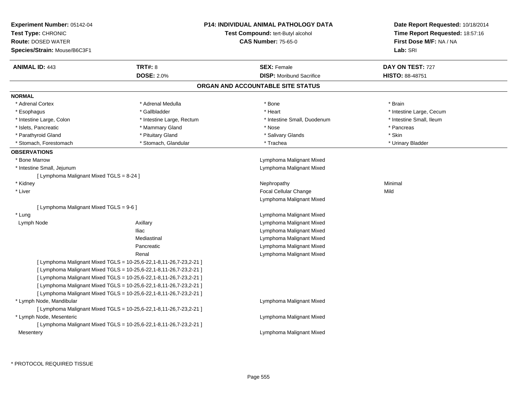| Experiment Number: 05142-04<br>Test Type: CHRONIC<br><b>Route: DOSED WATER</b><br>Species/Strain: Mouse/B6C3F1 |                                                                    | <b>P14: INDIVIDUAL ANIMAL PATHOLOGY DATA</b><br>Test Compound: tert-Butyl alcohol<br><b>CAS Number: 75-65-0</b> | Date Report Requested: 10/18/2014<br>Time Report Requested: 18:57:16<br>First Dose M/F: NA / NA<br>Lab: SRI |
|----------------------------------------------------------------------------------------------------------------|--------------------------------------------------------------------|-----------------------------------------------------------------------------------------------------------------|-------------------------------------------------------------------------------------------------------------|
| <b>ANIMAL ID: 443</b>                                                                                          | <b>TRT#: 8</b>                                                     | <b>SEX: Female</b>                                                                                              | DAY ON TEST: 727                                                                                            |
|                                                                                                                | <b>DOSE: 2.0%</b>                                                  | <b>DISP:</b> Moribund Sacrifice                                                                                 | <b>HISTO: 88-48751</b>                                                                                      |
|                                                                                                                |                                                                    | ORGAN AND ACCOUNTABLE SITE STATUS                                                                               |                                                                                                             |
| <b>NORMAL</b>                                                                                                  |                                                                    |                                                                                                                 |                                                                                                             |
| * Adrenal Cortex                                                                                               | * Adrenal Medulla                                                  | * Bone                                                                                                          | * Brain                                                                                                     |
| * Esophagus                                                                                                    | * Gallbladder                                                      | * Heart                                                                                                         | * Intestine Large, Cecum                                                                                    |
| * Intestine Large, Colon                                                                                       | * Intestine Large, Rectum                                          | * Intestine Small, Duodenum                                                                                     | * Intestine Small, Ileum                                                                                    |
| * Islets, Pancreatic                                                                                           | * Mammary Gland                                                    | * Nose                                                                                                          | * Pancreas                                                                                                  |
| * Parathyroid Gland                                                                                            | * Pituitary Gland                                                  | * Salivary Glands                                                                                               | * Skin                                                                                                      |
| * Stomach, Forestomach                                                                                         | * Stomach, Glandular                                               | * Trachea                                                                                                       | * Urinary Bladder                                                                                           |
| <b>OBSERVATIONS</b>                                                                                            |                                                                    |                                                                                                                 |                                                                                                             |
| * Bone Marrow                                                                                                  |                                                                    | Lymphoma Malignant Mixed                                                                                        |                                                                                                             |
| * Intestine Small, Jejunum                                                                                     |                                                                    | Lymphoma Malignant Mixed                                                                                        |                                                                                                             |
| [ Lymphoma Malignant Mixed TGLS = 8-24 ]                                                                       |                                                                    |                                                                                                                 |                                                                                                             |
| * Kidney                                                                                                       |                                                                    | Nephropathy                                                                                                     | Minimal                                                                                                     |
| * Liver                                                                                                        |                                                                    | <b>Focal Cellular Change</b>                                                                                    | Mild                                                                                                        |
|                                                                                                                |                                                                    | Lymphoma Malignant Mixed                                                                                        |                                                                                                             |
| [ Lymphoma Malignant Mixed TGLS = 9-6 ]                                                                        |                                                                    |                                                                                                                 |                                                                                                             |
| * Lung                                                                                                         |                                                                    | Lymphoma Malignant Mixed                                                                                        |                                                                                                             |
| Lymph Node                                                                                                     | Axillary                                                           | Lymphoma Malignant Mixed                                                                                        |                                                                                                             |
|                                                                                                                | lliac                                                              | Lymphoma Malignant Mixed                                                                                        |                                                                                                             |
|                                                                                                                | Mediastinal                                                        | Lymphoma Malignant Mixed                                                                                        |                                                                                                             |
|                                                                                                                | Pancreatic                                                         | Lymphoma Malignant Mixed                                                                                        |                                                                                                             |
|                                                                                                                | Renal                                                              | Lymphoma Malignant Mixed                                                                                        |                                                                                                             |
|                                                                                                                | [ Lymphoma Malignant Mixed TGLS = 10-25,6-22,1-8,11-26,7-23,2-21 ] |                                                                                                                 |                                                                                                             |
|                                                                                                                | [ Lymphoma Malignant Mixed TGLS = 10-25,6-22,1-8,11-26,7-23,2-21 ] |                                                                                                                 |                                                                                                             |
| [ Lymphoma Malignant Mixed TGLS = 10-25,6-22,1-8,11-26,7-23,2-21 ]                                             |                                                                    |                                                                                                                 |                                                                                                             |
| [ Lymphoma Malignant Mixed TGLS = 10-25,6-22,1-8,11-26,7-23,2-21 ]                                             |                                                                    |                                                                                                                 |                                                                                                             |
|                                                                                                                | [ Lymphoma Malignant Mixed TGLS = 10-25,6-22,1-8,11-26,7-23,2-21 ] |                                                                                                                 |                                                                                                             |
| * Lymph Node, Mandibular                                                                                       |                                                                    | Lymphoma Malignant Mixed                                                                                        |                                                                                                             |
|                                                                                                                | [ Lymphoma Malignant Mixed TGLS = 10-25,6-22,1-8,11-26,7-23,2-21 ] |                                                                                                                 |                                                                                                             |
| * Lymph Node, Mesenteric                                                                                       |                                                                    | Lymphoma Malignant Mixed                                                                                        |                                                                                                             |
|                                                                                                                | [ Lymphoma Malignant Mixed TGLS = 10-25,6-22,1-8,11-26,7-23,2-21 ] |                                                                                                                 |                                                                                                             |
| Mesentery                                                                                                      |                                                                    | Lymphoma Malignant Mixed                                                                                        |                                                                                                             |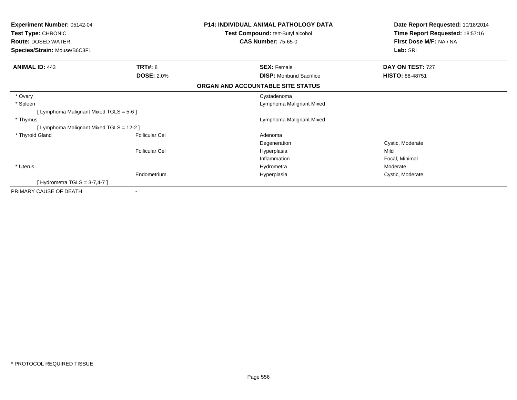| <b>Experiment Number: 05142-04</b>       | <b>P14: INDIVIDUAL ANIMAL PATHOLOGY DATA</b> |                                   | Date Report Requested: 10/18/2014 |
|------------------------------------------|----------------------------------------------|-----------------------------------|-----------------------------------|
| Test Type: CHRONIC                       |                                              | Test Compound: tert-Butyl alcohol | Time Report Requested: 18:57:16   |
| <b>Route: DOSED WATER</b>                |                                              | <b>CAS Number: 75-65-0</b>        | First Dose M/F: NA / NA           |
| Species/Strain: Mouse/B6C3F1             |                                              |                                   | Lab: SRI                          |
| <b>ANIMAL ID: 443</b>                    | TRT#: 8                                      | <b>SEX: Female</b>                | DAY ON TEST: 727                  |
|                                          | <b>DOSE: 2.0%</b>                            | <b>DISP:</b> Moribund Sacrifice   | <b>HISTO: 88-48751</b>            |
|                                          |                                              | ORGAN AND ACCOUNTABLE SITE STATUS |                                   |
| * Ovary                                  |                                              | Cystadenoma                       |                                   |
| * Spleen                                 |                                              | Lymphoma Malignant Mixed          |                                   |
| [ Lymphoma Malignant Mixed TGLS = 5-6 ]  |                                              |                                   |                                   |
| * Thymus                                 |                                              | Lymphoma Malignant Mixed          |                                   |
| [ Lymphoma Malignant Mixed TGLS = 12-2 ] |                                              |                                   |                                   |
| * Thyroid Gland                          | <b>Follicular Cel</b>                        | Adenoma                           |                                   |
|                                          |                                              | Degeneration                      | Cystic, Moderate                  |
|                                          | <b>Follicular Cel</b>                        | Hyperplasia                       | Mild                              |
|                                          |                                              | Inflammation                      | Focal, Minimal                    |
| * Uterus                                 |                                              | Hydrometra                        | Moderate                          |
|                                          | Endometrium                                  | Hyperplasia                       | Cystic, Moderate                  |
| [Hydrometra TGLS = $3-7,4-7$ ]           |                                              |                                   |                                   |
| PRIMARY CAUSE OF DEATH                   |                                              |                                   |                                   |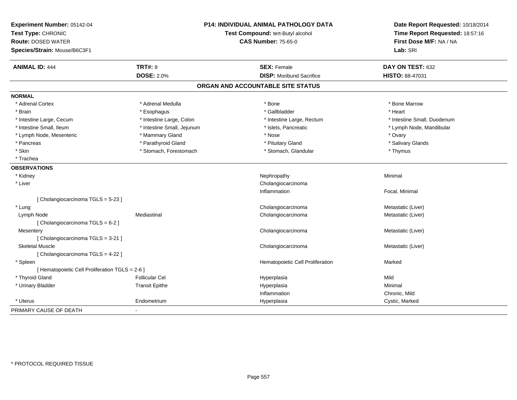| Experiment Number: 05142-04<br>Test Type: CHRONIC<br><b>Route: DOSED WATER</b><br>Species/Strain: Mouse/B6C3F1 | <b>P14: INDIVIDUAL ANIMAL PATHOLOGY DATA</b><br>Test Compound: tert-Butyl alcohol<br><b>CAS Number: 75-65-0</b> |                                   | Date Report Requested: 10/18/2014<br>Time Report Requested: 18:57:16<br>First Dose M/F: NA / NA<br>Lab: SRI |
|----------------------------------------------------------------------------------------------------------------|-----------------------------------------------------------------------------------------------------------------|-----------------------------------|-------------------------------------------------------------------------------------------------------------|
| <b>ANIMAL ID: 444</b>                                                                                          | <b>TRT#: 8</b>                                                                                                  | <b>SEX: Female</b>                | DAY ON TEST: 632                                                                                            |
|                                                                                                                | <b>DOSE: 2.0%</b>                                                                                               | <b>DISP:</b> Moribund Sacrifice   | HISTO: 88-47031                                                                                             |
|                                                                                                                |                                                                                                                 | ORGAN AND ACCOUNTABLE SITE STATUS |                                                                                                             |
| <b>NORMAL</b>                                                                                                  |                                                                                                                 |                                   |                                                                                                             |
| * Adrenal Cortex                                                                                               | * Adrenal Medulla                                                                                               | * Bone                            | * Bone Marrow                                                                                               |
| * Brain                                                                                                        | * Esophagus                                                                                                     | * Gallbladder                     | * Heart                                                                                                     |
| * Intestine Large, Cecum                                                                                       | * Intestine Large, Colon                                                                                        | * Intestine Large, Rectum         | * Intestine Small, Duodenum                                                                                 |
| * Intestine Small, Ileum                                                                                       | * Intestine Small, Jejunum                                                                                      | * Islets, Pancreatic              | * Lymph Node, Mandibular                                                                                    |
| * Lymph Node, Mesenteric                                                                                       | * Mammary Gland                                                                                                 | * Nose                            | * Ovary                                                                                                     |
| * Pancreas                                                                                                     | * Parathyroid Gland                                                                                             | * Pituitary Gland                 | * Salivary Glands                                                                                           |
| * Skin                                                                                                         | * Stomach, Forestomach                                                                                          | * Stomach, Glandular              | * Thymus                                                                                                    |
| * Trachea                                                                                                      |                                                                                                                 |                                   |                                                                                                             |
| <b>OBSERVATIONS</b>                                                                                            |                                                                                                                 |                                   |                                                                                                             |
| * Kidney                                                                                                       |                                                                                                                 | Nephropathy                       | Minimal                                                                                                     |
| * Liver                                                                                                        |                                                                                                                 | Cholangiocarcinoma                |                                                                                                             |
|                                                                                                                |                                                                                                                 | Inflammation                      | Focal, Minimal                                                                                              |
| [Cholangiocarcinoma TGLS = 5-23]                                                                               |                                                                                                                 |                                   |                                                                                                             |
| * Lung                                                                                                         |                                                                                                                 | Cholangiocarcinoma                | Metastatic (Liver)                                                                                          |
| Lymph Node                                                                                                     | Mediastinal                                                                                                     | Cholangiocarcinoma                | Metastatic (Liver)                                                                                          |
| [Cholangiocarcinoma TGLS = 6-2]                                                                                |                                                                                                                 |                                   |                                                                                                             |
| Mesentery                                                                                                      |                                                                                                                 | Cholangiocarcinoma                | Metastatic (Liver)                                                                                          |
| [ Cholangiocarcinoma TGLS = 3-21 ]                                                                             |                                                                                                                 |                                   |                                                                                                             |
| <b>Skeletal Muscle</b>                                                                                         |                                                                                                                 | Cholangiocarcinoma                | Metastatic (Liver)                                                                                          |
| [ Cholangiocarcinoma TGLS = 4-22 ]                                                                             |                                                                                                                 |                                   |                                                                                                             |
| * Spleen                                                                                                       |                                                                                                                 | Hematopoietic Cell Proliferation  | Marked                                                                                                      |
| [ Hematopoietic Cell Proliferation TGLS = 2-6 ]                                                                |                                                                                                                 |                                   |                                                                                                             |
| * Thyroid Gland                                                                                                | <b>Follicular Cel</b>                                                                                           | Hyperplasia                       | Mild                                                                                                        |
| * Urinary Bladder                                                                                              | <b>Transit Epithe</b>                                                                                           | Hyperplasia                       | Minimal                                                                                                     |
|                                                                                                                |                                                                                                                 | Inflammation                      | Chronic, Mild                                                                                               |
| * Uterus                                                                                                       | Endometrium                                                                                                     | Hyperplasia                       | Cystic, Marked                                                                                              |
| PRIMARY CAUSE OF DEATH                                                                                         |                                                                                                                 |                                   |                                                                                                             |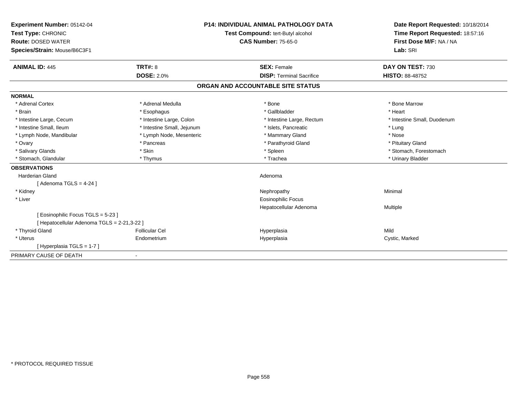| Experiment Number: 05142-04<br>Test Type: CHRONIC<br><b>Route: DOSED WATER</b> |                            | <b>P14: INDIVIDUAL ANIMAL PATHOLOGY DATA</b><br>Test Compound: tert-Butyl alcohol<br><b>CAS Number: 75-65-0</b> | Date Report Requested: 10/18/2014<br>Time Report Requested: 18:57:16<br>First Dose M/F: NA / NA |
|--------------------------------------------------------------------------------|----------------------------|-----------------------------------------------------------------------------------------------------------------|-------------------------------------------------------------------------------------------------|
| Species/Strain: Mouse/B6C3F1                                                   |                            |                                                                                                                 | Lab: SRI                                                                                        |
| <b>ANIMAL ID: 445</b>                                                          | <b>TRT#: 8</b>             | <b>SEX: Female</b>                                                                                              | DAY ON TEST: 730                                                                                |
|                                                                                | <b>DOSE: 2.0%</b>          | <b>DISP: Terminal Sacrifice</b>                                                                                 | <b>HISTO: 88-48752</b>                                                                          |
|                                                                                |                            | ORGAN AND ACCOUNTABLE SITE STATUS                                                                               |                                                                                                 |
| <b>NORMAL</b>                                                                  |                            |                                                                                                                 |                                                                                                 |
| * Adrenal Cortex                                                               | * Adrenal Medulla          | * Bone                                                                                                          | * Bone Marrow                                                                                   |
| * Brain                                                                        | * Esophagus                | * Gallbladder                                                                                                   | * Heart                                                                                         |
| * Intestine Large, Cecum                                                       | * Intestine Large, Colon   | * Intestine Large, Rectum                                                                                       | * Intestine Small, Duodenum                                                                     |
| * Intestine Small, Ileum                                                       | * Intestine Small, Jejunum | * Islets, Pancreatic                                                                                            | * Lung                                                                                          |
| * Lymph Node, Mandibular                                                       | * Lymph Node, Mesenteric   | * Mammary Gland                                                                                                 | * Nose                                                                                          |
| * Ovary                                                                        | * Pancreas                 | * Parathyroid Gland                                                                                             | * Pituitary Gland                                                                               |
| * Salivary Glands                                                              | * Skin                     | * Spleen                                                                                                        | * Stomach, Forestomach                                                                          |
| * Stomach, Glandular                                                           | * Thymus                   | * Trachea                                                                                                       | * Urinary Bladder                                                                               |
| <b>OBSERVATIONS</b>                                                            |                            |                                                                                                                 |                                                                                                 |
| <b>Harderian Gland</b>                                                         |                            | Adenoma                                                                                                         |                                                                                                 |
| [ Adenoma TGLS = $4-24$ ]                                                      |                            |                                                                                                                 |                                                                                                 |
| * Kidney                                                                       |                            | Nephropathy                                                                                                     | Minimal                                                                                         |
| * Liver                                                                        |                            | <b>Eosinophilic Focus</b>                                                                                       |                                                                                                 |
|                                                                                |                            | Hepatocellular Adenoma                                                                                          | Multiple                                                                                        |
| [Eosinophilic Focus TGLS = 5-23]                                               |                            |                                                                                                                 |                                                                                                 |
| [ Hepatocellular Adenoma TGLS = 2-21,3-22 ]                                    |                            |                                                                                                                 |                                                                                                 |
| * Thyroid Gland                                                                | <b>Follicular Cel</b>      | Hyperplasia                                                                                                     | Mild                                                                                            |
| * Uterus                                                                       | Endometrium                | Hyperplasia                                                                                                     | Cystic, Marked                                                                                  |
| [Hyperplasia TGLS = 1-7]                                                       |                            |                                                                                                                 |                                                                                                 |
| PRIMARY CAUSE OF DEATH                                                         | $\overline{\phantom{a}}$   |                                                                                                                 |                                                                                                 |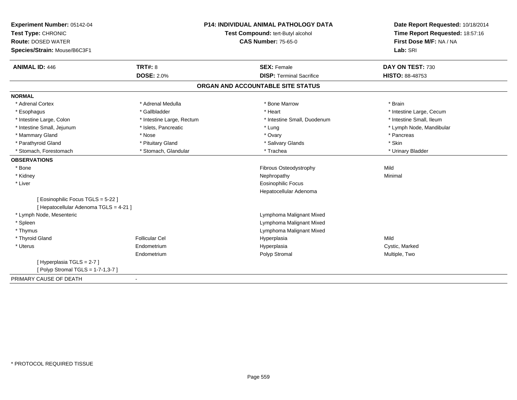| Experiment Number: 05142-04            |                                   | <b>P14: INDIVIDUAL ANIMAL PATHOLOGY DATA</b> | Date Report Requested: 10/18/2014 |
|----------------------------------------|-----------------------------------|----------------------------------------------|-----------------------------------|
| Test Type: CHRONIC                     | Test Compound: tert-Butyl alcohol |                                              | Time Report Requested: 18:57:16   |
| <b>Route: DOSED WATER</b>              |                                   | <b>CAS Number: 75-65-0</b>                   | First Dose M/F: NA / NA           |
| Species/Strain: Mouse/B6C3F1           |                                   |                                              | Lab: SRI                          |
| <b>ANIMAL ID: 446</b>                  | <b>TRT#: 8</b>                    | <b>SEX: Female</b>                           | DAY ON TEST: 730                  |
|                                        | <b>DOSE: 2.0%</b>                 | <b>DISP: Terminal Sacrifice</b>              | HISTO: 88-48753                   |
|                                        |                                   | ORGAN AND ACCOUNTABLE SITE STATUS            |                                   |
| <b>NORMAL</b>                          |                                   |                                              |                                   |
| * Adrenal Cortex                       | * Adrenal Medulla                 | * Bone Marrow                                | * Brain                           |
| * Esophagus                            | * Gallbladder                     | * Heart                                      | * Intestine Large, Cecum          |
| * Intestine Large, Colon               | * Intestine Large, Rectum         | * Intestine Small, Duodenum                  | * Intestine Small, Ileum          |
| * Intestine Small, Jejunum             | * Islets, Pancreatic              | * Lung                                       | * Lymph Node, Mandibular          |
| * Mammary Gland                        | * Nose                            | * Ovary                                      | * Pancreas                        |
| * Parathyroid Gland                    | * Pituitary Gland                 | * Salivary Glands                            | * Skin                            |
| * Stomach, Forestomach                 | * Stomach, Glandular              | * Trachea                                    | * Urinary Bladder                 |
| <b>OBSERVATIONS</b>                    |                                   |                                              |                                   |
| * Bone                                 |                                   | Fibrous Osteodystrophy                       | Mild                              |
| * Kidney                               |                                   | Nephropathy                                  | Minimal                           |
| * Liver                                |                                   | <b>Eosinophilic Focus</b>                    |                                   |
|                                        |                                   | Hepatocellular Adenoma                       |                                   |
| [ Eosinophilic Focus TGLS = 5-22 ]     |                                   |                                              |                                   |
| [ Hepatocellular Adenoma TGLS = 4-21 ] |                                   |                                              |                                   |
| * Lymph Node, Mesenteric               |                                   | Lymphoma Malignant Mixed                     |                                   |
| * Spleen                               |                                   | Lymphoma Malignant Mixed                     |                                   |
| * Thymus                               |                                   | Lymphoma Malignant Mixed                     |                                   |
| * Thyroid Gland                        | <b>Follicular Cel</b>             | Hyperplasia                                  | Mild                              |
| * Uterus                               | Endometrium                       | Hyperplasia                                  | Cystic, Marked                    |
|                                        | Endometrium                       | Polyp Stromal                                | Multiple, Two                     |
| [Hyperplasia TGLS = 2-7]               |                                   |                                              |                                   |
| [ Polyp Stromal TGLS = 1-7-1,3-7 ]     |                                   |                                              |                                   |
| PRIMARY CAUSE OF DEATH                 |                                   |                                              |                                   |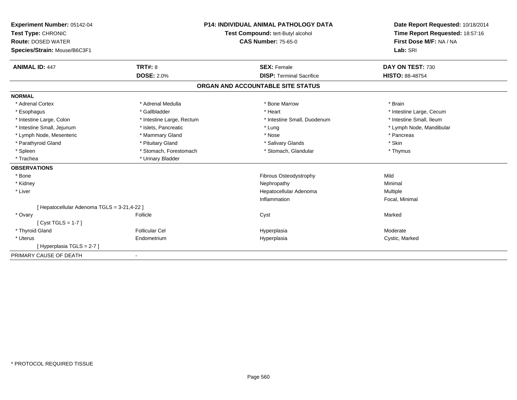| Experiment Number: 05142-04<br>Test Type: CHRONIC<br><b>Route: DOSED WATER</b><br>Species/Strain: Mouse/B6C3F1 |                           | <b>P14: INDIVIDUAL ANIMAL PATHOLOGY DATA</b><br>Test Compound: tert-Butyl alcohol<br><b>CAS Number: 75-65-0</b> | Date Report Requested: 10/18/2014<br>Time Report Requested: 18:57:16<br>First Dose M/F: NA / NA<br>Lab: SRI |
|----------------------------------------------------------------------------------------------------------------|---------------------------|-----------------------------------------------------------------------------------------------------------------|-------------------------------------------------------------------------------------------------------------|
| <b>ANIMAL ID: 447</b>                                                                                          | <b>TRT#: 8</b>            | <b>SEX: Female</b>                                                                                              | DAY ON TEST: 730                                                                                            |
|                                                                                                                | <b>DOSE: 2.0%</b>         | <b>DISP: Terminal Sacrifice</b>                                                                                 | <b>HISTO: 88-48754</b>                                                                                      |
|                                                                                                                |                           | ORGAN AND ACCOUNTABLE SITE STATUS                                                                               |                                                                                                             |
| <b>NORMAL</b>                                                                                                  |                           |                                                                                                                 |                                                                                                             |
| * Adrenal Cortex                                                                                               | * Adrenal Medulla         | * Bone Marrow                                                                                                   | * Brain                                                                                                     |
| * Esophagus                                                                                                    | * Gallbladder             | * Heart                                                                                                         | * Intestine Large, Cecum                                                                                    |
| * Intestine Large, Colon                                                                                       | * Intestine Large, Rectum | * Intestine Small, Duodenum                                                                                     | * Intestine Small, Ileum                                                                                    |
| * Intestine Small, Jejunum                                                                                     | * Islets, Pancreatic      | * Lung                                                                                                          | * Lymph Node, Mandibular                                                                                    |
| * Lymph Node, Mesenteric                                                                                       | * Mammary Gland           | * Nose                                                                                                          | * Pancreas                                                                                                  |
| * Parathyroid Gland                                                                                            | * Pituitary Gland         | * Salivary Glands                                                                                               | * Skin                                                                                                      |
| * Spleen                                                                                                       | * Stomach, Forestomach    | * Stomach, Glandular                                                                                            | * Thymus                                                                                                    |
| * Trachea                                                                                                      | * Urinary Bladder         |                                                                                                                 |                                                                                                             |
| <b>OBSERVATIONS</b>                                                                                            |                           |                                                                                                                 |                                                                                                             |
| * Bone                                                                                                         |                           | Fibrous Osteodystrophy                                                                                          | Mild                                                                                                        |
| * Kidney                                                                                                       |                           | Nephropathy                                                                                                     | Minimal                                                                                                     |
| * Liver                                                                                                        |                           | Hepatocellular Adenoma                                                                                          | Multiple                                                                                                    |
|                                                                                                                |                           | Inflammation                                                                                                    | Focal, Minimal                                                                                              |
| [ Hepatocellular Adenoma TGLS = 3-21,4-22 ]                                                                    |                           |                                                                                                                 |                                                                                                             |
| * Ovary                                                                                                        | Follicle                  | Cyst                                                                                                            | Marked                                                                                                      |
| $[Cyst TGLS = 1-7]$                                                                                            |                           |                                                                                                                 |                                                                                                             |
| * Thyroid Gland                                                                                                | <b>Follicular Cel</b>     | Hyperplasia                                                                                                     | Moderate                                                                                                    |
| * Uterus                                                                                                       | Endometrium               | Hyperplasia                                                                                                     | Cystic, Marked                                                                                              |
| [Hyperplasia TGLS = 2-7]                                                                                       |                           |                                                                                                                 |                                                                                                             |
| PRIMARY CAUSE OF DEATH                                                                                         |                           |                                                                                                                 |                                                                                                             |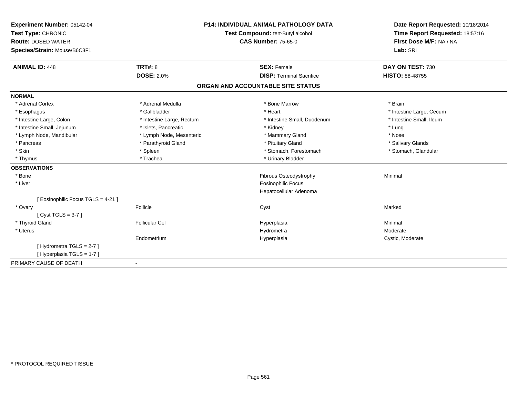| Experiment Number: 05142-04        | <b>P14: INDIVIDUAL ANIMAL PATHOLOGY DATA</b><br>Test Compound: tert-Butyl alcohol |                                   | Date Report Requested: 10/18/2014 |  |
|------------------------------------|-----------------------------------------------------------------------------------|-----------------------------------|-----------------------------------|--|
| Test Type: CHRONIC                 |                                                                                   |                                   | Time Report Requested: 18:57:16   |  |
| <b>Route: DOSED WATER</b>          |                                                                                   | <b>CAS Number: 75-65-0</b>        | First Dose M/F: NA / NA           |  |
| Species/Strain: Mouse/B6C3F1       |                                                                                   |                                   | Lab: SRI                          |  |
|                                    |                                                                                   |                                   |                                   |  |
| <b>ANIMAL ID: 448</b>              | <b>TRT#: 8</b>                                                                    | <b>SEX: Female</b>                | DAY ON TEST: 730                  |  |
|                                    | <b>DOSE: 2.0%</b>                                                                 | <b>DISP: Terminal Sacrifice</b>   | HISTO: 88-48755                   |  |
|                                    |                                                                                   | ORGAN AND ACCOUNTABLE SITE STATUS |                                   |  |
| <b>NORMAL</b>                      |                                                                                   |                                   |                                   |  |
| * Adrenal Cortex                   | * Adrenal Medulla                                                                 | * Bone Marrow                     | * Brain                           |  |
| * Esophagus                        | * Gallbladder                                                                     | * Heart                           | * Intestine Large, Cecum          |  |
| * Intestine Large, Colon           | * Intestine Large, Rectum                                                         | * Intestine Small, Duodenum       | * Intestine Small, Ileum          |  |
| * Intestine Small, Jejunum         | * Islets, Pancreatic                                                              | * Kidney                          | * Lung                            |  |
| * Lymph Node, Mandibular           | * Lymph Node, Mesenteric                                                          | * Mammary Gland                   | * Nose                            |  |
| * Pancreas                         | * Parathyroid Gland                                                               | * Pituitary Gland                 | * Salivary Glands                 |  |
| * Skin                             | * Spleen                                                                          | * Stomach, Forestomach            | * Stomach, Glandular              |  |
| * Thymus                           | * Trachea                                                                         | * Urinary Bladder                 |                                   |  |
| <b>OBSERVATIONS</b>                |                                                                                   |                                   |                                   |  |
| * Bone                             |                                                                                   | Fibrous Osteodystrophy            | Minimal                           |  |
| * Liver                            |                                                                                   | <b>Eosinophilic Focus</b>         |                                   |  |
|                                    |                                                                                   | Hepatocellular Adenoma            |                                   |  |
| [ Eosinophilic Focus TGLS = 4-21 ] |                                                                                   |                                   |                                   |  |
| * Ovary                            | Follicle                                                                          | Cyst                              | Marked                            |  |
| [Cyst TGLS = $3-7$ ]               |                                                                                   |                                   |                                   |  |
| * Thyroid Gland                    | <b>Follicular Cel</b>                                                             | Hyperplasia                       | Minimal                           |  |
| * Uterus                           |                                                                                   | Hydrometra                        | Moderate                          |  |
|                                    | Endometrium                                                                       | Hyperplasia                       | Cystic, Moderate                  |  |
| [ Hydrometra TGLS = 2-7 ]          |                                                                                   |                                   |                                   |  |
| [Hyperplasia TGLS = 1-7]           |                                                                                   |                                   |                                   |  |
| PRIMARY CAUSE OF DEATH             | $\blacksquare$                                                                    |                                   |                                   |  |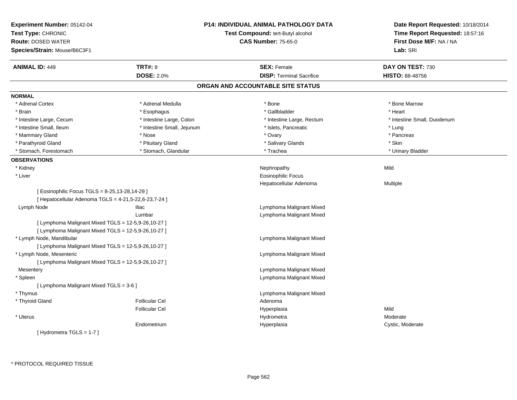| Experiment Number: 05142-04<br>Test Type: CHRONIC<br><b>Route: DOSED WATER</b><br>Species/Strain: Mouse/B6C3F1 |                            | <b>P14: INDIVIDUAL ANIMAL PATHOLOGY DATA</b><br>Test Compound: tert-Butyl alcohol<br><b>CAS Number: 75-65-0</b> | Date Report Requested: 10/18/2014<br>Time Report Requested: 18:57:16<br>First Dose M/F: NA / NA<br>Lab: SRI |
|----------------------------------------------------------------------------------------------------------------|----------------------------|-----------------------------------------------------------------------------------------------------------------|-------------------------------------------------------------------------------------------------------------|
| <b>ANIMAL ID: 449</b>                                                                                          | <b>TRT#: 8</b>             | <b>SEX: Female</b>                                                                                              | DAY ON TEST: 730                                                                                            |
|                                                                                                                | <b>DOSE: 2.0%</b>          | <b>DISP: Terminal Sacrifice</b>                                                                                 | <b>HISTO: 88-48756</b>                                                                                      |
|                                                                                                                |                            | ORGAN AND ACCOUNTABLE SITE STATUS                                                                               |                                                                                                             |
| <b>NORMAL</b>                                                                                                  |                            |                                                                                                                 |                                                                                                             |
| * Adrenal Cortex                                                                                               | * Adrenal Medulla          | $*$ Bone                                                                                                        | * Bone Marrow                                                                                               |
| * Brain                                                                                                        | * Esophagus                | * Gallbladder                                                                                                   | * Heart                                                                                                     |
| * Intestine Large, Cecum                                                                                       | * Intestine Large, Colon   | * Intestine Large, Rectum                                                                                       | * Intestine Small, Duodenum                                                                                 |
| * Intestine Small, Ileum                                                                                       | * Intestine Small, Jejunum | * Islets, Pancreatic                                                                                            | * Lung                                                                                                      |
| * Mammary Gland                                                                                                | * Nose                     | * Ovary                                                                                                         | * Pancreas                                                                                                  |
| * Parathyroid Gland                                                                                            | * Pituitary Gland          | * Salivary Glands                                                                                               | * Skin                                                                                                      |
| * Stomach, Forestomach                                                                                         | * Stomach, Glandular       | * Trachea                                                                                                       | * Urinary Bladder                                                                                           |
| <b>OBSERVATIONS</b>                                                                                            |                            |                                                                                                                 |                                                                                                             |
| * Kidney                                                                                                       |                            | Nephropathy                                                                                                     | Mild                                                                                                        |
| * Liver                                                                                                        |                            | <b>Eosinophilic Focus</b>                                                                                       |                                                                                                             |
|                                                                                                                |                            | Hepatocellular Adenoma                                                                                          | Multiple                                                                                                    |
| [ Eosinophilic Focus TGLS = 8-25,13-28,14-29 ]                                                                 |                            |                                                                                                                 |                                                                                                             |
| [ Hepatocellular Adenoma TGLS = 4-21,5-22,6-23,7-24 ]                                                          |                            |                                                                                                                 |                                                                                                             |
| Lymph Node                                                                                                     | <b>Iliac</b>               | Lymphoma Malignant Mixed                                                                                        |                                                                                                             |
|                                                                                                                | Lumbar                     | Lymphoma Malignant Mixed                                                                                        |                                                                                                             |
| [ Lymphoma Malignant Mixed TGLS = 12-5,9-26,10-27 ]                                                            |                            |                                                                                                                 |                                                                                                             |
| [ Lymphoma Malignant Mixed TGLS = 12-5,9-26,10-27 ]                                                            |                            |                                                                                                                 |                                                                                                             |
| * Lymph Node, Mandibular                                                                                       |                            | Lymphoma Malignant Mixed                                                                                        |                                                                                                             |
| [ Lymphoma Malignant Mixed TGLS = 12-5,9-26,10-27 ]                                                            |                            |                                                                                                                 |                                                                                                             |
| * Lymph Node, Mesenteric                                                                                       |                            | Lymphoma Malignant Mixed                                                                                        |                                                                                                             |
| [ Lymphoma Malignant Mixed TGLS = 12-5,9-26,10-27 ]                                                            |                            |                                                                                                                 |                                                                                                             |
| Mesentery                                                                                                      |                            | Lymphoma Malignant Mixed                                                                                        |                                                                                                             |
| * Spleen                                                                                                       |                            | Lymphoma Malignant Mixed                                                                                        |                                                                                                             |
| [ Lymphoma Malignant Mixed TGLS = 3-6 ]                                                                        |                            |                                                                                                                 |                                                                                                             |
| * Thymus                                                                                                       |                            | Lymphoma Malignant Mixed                                                                                        |                                                                                                             |
| * Thyroid Gland                                                                                                | <b>Follicular Cel</b>      | Adenoma                                                                                                         |                                                                                                             |
|                                                                                                                | <b>Follicular Cel</b>      | Hyperplasia                                                                                                     | Mild                                                                                                        |
| * Uterus                                                                                                       |                            | Hydrometra                                                                                                      | Moderate                                                                                                    |
|                                                                                                                | Endometrium                | Hyperplasia                                                                                                     | Cystic, Moderate                                                                                            |
| [Hydrometra TGLS = 1-7]                                                                                        |                            |                                                                                                                 |                                                                                                             |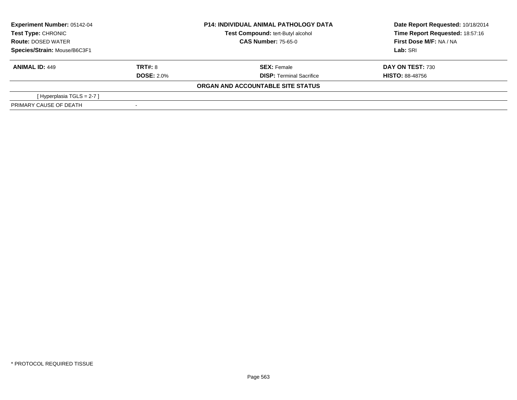| <b>Experiment Number: 05142-04</b><br>Test Type: CHRONIC |                   | <b>P14: INDIVIDUAL ANIMAL PATHOLOGY DATA</b> | Date Report Requested: 10/18/2014 |  |
|----------------------------------------------------------|-------------------|----------------------------------------------|-----------------------------------|--|
|                                                          |                   | Test Compound: tert-Butyl alcohol            | Time Report Requested: 18:57:16   |  |
| <b>Route: DOSED WATER</b>                                |                   | <b>CAS Number: 75-65-0</b>                   | First Dose M/F: NA / NA           |  |
| Species/Strain: Mouse/B6C3F1                             |                   |                                              | Lab: SRI                          |  |
| <b>ANIMAL ID: 449</b>                                    | TRT#: 8           | <b>SEX: Female</b>                           | DAY ON TEST: 730                  |  |
|                                                          | <b>DOSE: 2.0%</b> | <b>DISP:</b> Terminal Sacrifice              | <b>HISTO: 88-48756</b>            |  |
|                                                          |                   | ORGAN AND ACCOUNTABLE SITE STATUS            |                                   |  |
| [Hyperplasia TGLS = 2-7 ]                                |                   |                                              |                                   |  |
| PRIMARY CAUSE OF DEATH                                   |                   |                                              |                                   |  |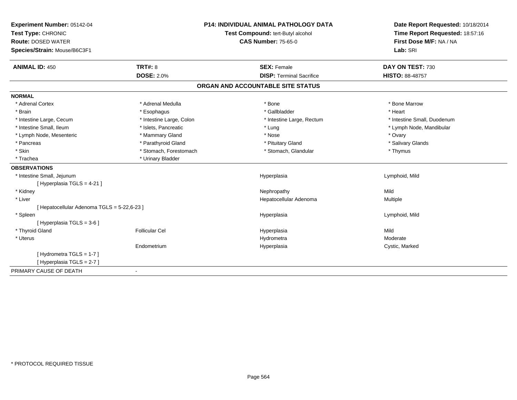| Experiment Number: 05142-04                 |                          | <b>P14: INDIVIDUAL ANIMAL PATHOLOGY DATA</b> | Date Report Requested: 10/18/2014 |
|---------------------------------------------|--------------------------|----------------------------------------------|-----------------------------------|
| Test Type: CHRONIC                          |                          | Test Compound: tert-Butyl alcohol            | Time Report Requested: 18:57:16   |
| <b>Route: DOSED WATER</b>                   |                          | <b>CAS Number: 75-65-0</b>                   | First Dose M/F: NA / NA           |
| Species/Strain: Mouse/B6C3F1                |                          |                                              | Lab: SRI                          |
| <b>ANIMAL ID: 450</b>                       | TRT#: 8                  | <b>SEX: Female</b>                           | DAY ON TEST: 730                  |
|                                             | <b>DOSE: 2.0%</b>        | <b>DISP: Terminal Sacrifice</b>              | HISTO: 88-48757                   |
|                                             |                          | ORGAN AND ACCOUNTABLE SITE STATUS            |                                   |
| <b>NORMAL</b>                               |                          |                                              |                                   |
| * Adrenal Cortex                            | * Adrenal Medulla        | * Bone                                       | * Bone Marrow                     |
| * Brain                                     | * Esophagus              | * Gallbladder                                | * Heart                           |
| * Intestine Large, Cecum                    | * Intestine Large, Colon | * Intestine Large, Rectum                    | * Intestine Small, Duodenum       |
| * Intestine Small, Ileum                    | * Islets, Pancreatic     | * Lung                                       | * Lymph Node, Mandibular          |
| * Lymph Node, Mesenteric                    | * Mammary Gland          | * Nose                                       | * Ovary                           |
| * Pancreas                                  | * Parathyroid Gland      | * Pituitary Gland                            | * Salivary Glands                 |
| * Skin                                      | * Stomach, Forestomach   | * Stomach, Glandular                         | * Thymus                          |
| * Trachea                                   | * Urinary Bladder        |                                              |                                   |
| <b>OBSERVATIONS</b>                         |                          |                                              |                                   |
| * Intestine Small, Jejunum                  |                          | Hyperplasia                                  | Lymphoid, Mild                    |
| [Hyperplasia TGLS = 4-21]                   |                          |                                              |                                   |
| * Kidney                                    |                          | Nephropathy                                  | Mild                              |
| * Liver                                     |                          | Hepatocellular Adenoma                       | <b>Multiple</b>                   |
| [ Hepatocellular Adenoma TGLS = 5-22,6-23 ] |                          |                                              |                                   |
| * Spleen                                    |                          | Hyperplasia                                  | Lymphoid, Mild                    |
| [Hyperplasia TGLS = $3-6$ ]                 |                          |                                              |                                   |
| * Thyroid Gland                             | Follicular Cel           | Hyperplasia                                  | Mild                              |
| * Uterus                                    |                          | Hydrometra                                   | Moderate                          |
|                                             | Endometrium              | Hyperplasia                                  | Cystic, Marked                    |
| [Hydrometra TGLS = 1-7]                     |                          |                                              |                                   |
| [Hyperplasia TGLS = 2-7]                    |                          |                                              |                                   |
| PRIMARY CAUSE OF DEATH                      | $\blacksquare$           |                                              |                                   |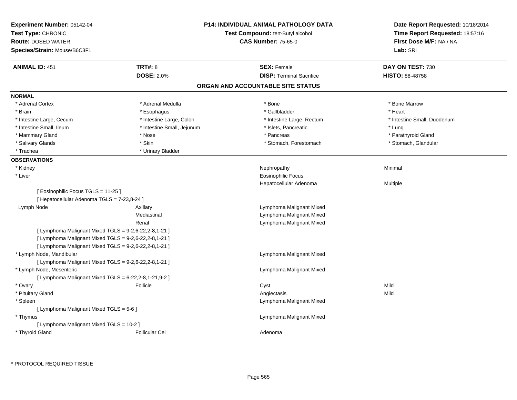| <b>Experiment Number: 05142-04</b><br>Test Type: CHRONIC<br><b>Route: DOSED WATER</b><br>Species/Strain: Mouse/B6C3F1 |                            | <b>P14: INDIVIDUAL ANIMAL PATHOLOGY DATA</b><br>Test Compound: tert-Butyl alcohol<br><b>CAS Number: 75-65-0</b> | Date Report Requested: 10/18/2014<br>Time Report Requested: 18:57:16<br>First Dose M/F: NA / NA<br>Lab: SRI |
|-----------------------------------------------------------------------------------------------------------------------|----------------------------|-----------------------------------------------------------------------------------------------------------------|-------------------------------------------------------------------------------------------------------------|
| <b>ANIMAL ID: 451</b>                                                                                                 | <b>TRT#: 8</b>             | <b>SEX: Female</b>                                                                                              | DAY ON TEST: 730                                                                                            |
|                                                                                                                       | <b>DOSE: 2.0%</b>          | <b>DISP: Terminal Sacrifice</b>                                                                                 | <b>HISTO: 88-48758</b>                                                                                      |
|                                                                                                                       |                            | ORGAN AND ACCOUNTABLE SITE STATUS                                                                               |                                                                                                             |
| <b>NORMAL</b>                                                                                                         |                            |                                                                                                                 |                                                                                                             |
| * Adrenal Cortex                                                                                                      | * Adrenal Medulla          | * Bone                                                                                                          | * Bone Marrow                                                                                               |
| * Brain                                                                                                               | * Esophagus                | * Gallbladder                                                                                                   | * Heart                                                                                                     |
| * Intestine Large, Cecum                                                                                              | * Intestine Large, Colon   | * Intestine Large, Rectum                                                                                       | * Intestine Small, Duodenum                                                                                 |
| * Intestine Small, Ileum                                                                                              | * Intestine Small, Jejunum | * Islets, Pancreatic                                                                                            | * Lung                                                                                                      |
| * Mammary Gland                                                                                                       | * Nose                     | * Pancreas                                                                                                      | * Parathyroid Gland                                                                                         |
| * Salivary Glands                                                                                                     | * Skin                     | * Stomach, Forestomach                                                                                          | * Stomach, Glandular                                                                                        |
| * Trachea                                                                                                             | * Urinary Bladder          |                                                                                                                 |                                                                                                             |
| <b>OBSERVATIONS</b>                                                                                                   |                            |                                                                                                                 |                                                                                                             |
| * Kidney                                                                                                              |                            | Nephropathy                                                                                                     | Minimal                                                                                                     |
| * Liver                                                                                                               |                            | Eosinophilic Focus                                                                                              |                                                                                                             |
|                                                                                                                       |                            | Hepatocellular Adenoma                                                                                          | Multiple                                                                                                    |
| [ Eosinophilic Focus TGLS = 11-25 ]                                                                                   |                            |                                                                                                                 |                                                                                                             |
| [ Hepatocellular Adenoma TGLS = 7-23,8-24 ]                                                                           |                            |                                                                                                                 |                                                                                                             |
| Lymph Node                                                                                                            | Axillary                   | Lymphoma Malignant Mixed                                                                                        |                                                                                                             |
|                                                                                                                       | Mediastinal                | Lymphoma Malignant Mixed                                                                                        |                                                                                                             |
|                                                                                                                       | Renal                      | Lymphoma Malignant Mixed                                                                                        |                                                                                                             |
| [ Lymphoma Malignant Mixed TGLS = 9-2,6-22,2-8,1-21 ]                                                                 |                            |                                                                                                                 |                                                                                                             |
| [ Lymphoma Malignant Mixed TGLS = 9-2,6-22,2-8,1-21 ]                                                                 |                            |                                                                                                                 |                                                                                                             |
| [ Lymphoma Malignant Mixed TGLS = 9-2,6-22,2-8,1-21 ]                                                                 |                            |                                                                                                                 |                                                                                                             |
| * Lymph Node, Mandibular                                                                                              |                            | Lymphoma Malignant Mixed                                                                                        |                                                                                                             |
| [ Lymphoma Malignant Mixed TGLS = 9-2,6-22,2-8,1-21 ]                                                                 |                            |                                                                                                                 |                                                                                                             |
| * Lymph Node, Mesenteric                                                                                              |                            | Lymphoma Malignant Mixed                                                                                        |                                                                                                             |
| [ Lymphoma Malignant Mixed TGLS = 6-22,2-8,1-21,9-2 ]                                                                 |                            |                                                                                                                 |                                                                                                             |
| * Ovary                                                                                                               | Follicle                   | Cyst                                                                                                            | Mild                                                                                                        |
| * Pituitary Gland                                                                                                     |                            | Angiectasis                                                                                                     | Mild                                                                                                        |
| * Spleen                                                                                                              |                            | Lymphoma Malignant Mixed                                                                                        |                                                                                                             |
| [ Lymphoma Malignant Mixed TGLS = 5-6 ]                                                                               |                            |                                                                                                                 |                                                                                                             |
| * Thymus                                                                                                              |                            | Lymphoma Malignant Mixed                                                                                        |                                                                                                             |
| [ Lymphoma Malignant Mixed TGLS = 10-2 ]                                                                              |                            |                                                                                                                 |                                                                                                             |
| * Thyroid Gland                                                                                                       | <b>Follicular Cel</b>      | Adenoma                                                                                                         |                                                                                                             |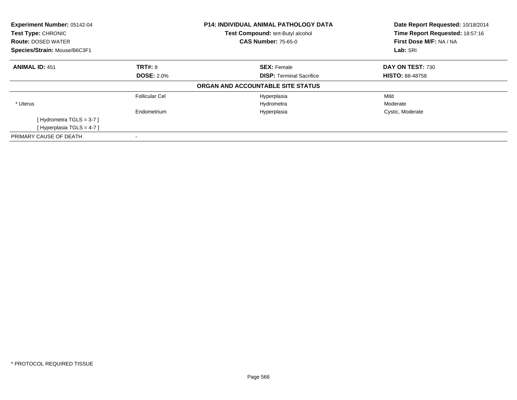| Experiment Number: 05142-04<br><b>Test Type: CHRONIC</b><br><b>Route: DOSED WATER</b><br>Species/Strain: Mouse/B6C3F1 |                   | P14: INDIVIDUAL ANIMAL PATHOLOGY DATA<br>Test Compound: tert-Butyl alcohol<br><b>CAS Number: 75-65-0</b> | Date Report Requested: 10/18/2014<br>Time Report Requested: 18:57:16<br>First Dose M/F: NA / NA<br>Lab: SRI |
|-----------------------------------------------------------------------------------------------------------------------|-------------------|----------------------------------------------------------------------------------------------------------|-------------------------------------------------------------------------------------------------------------|
| <b>ANIMAL ID: 451</b>                                                                                                 | TRT#: 8           | <b>SEX: Female</b>                                                                                       | DAY ON TEST: 730                                                                                            |
|                                                                                                                       | <b>DOSE: 2.0%</b> | <b>DISP: Terminal Sacrifice</b>                                                                          | <b>HISTO: 88-48758</b>                                                                                      |
|                                                                                                                       |                   | ORGAN AND ACCOUNTABLE SITE STATUS                                                                        |                                                                                                             |
|                                                                                                                       | Follicular Cel    | Hyperplasia                                                                                              | Mild                                                                                                        |
| * Uterus                                                                                                              |                   | Hydrometra                                                                                               | Moderate                                                                                                    |
|                                                                                                                       | Endometrium       | Hyperplasia                                                                                              | Cystic, Moderate                                                                                            |
| [Hydrometra TGLS = $3-7$ ]                                                                                            |                   |                                                                                                          |                                                                                                             |
| [Hyperplasia TGLS = 4-7]                                                                                              |                   |                                                                                                          |                                                                                                             |
| PRIMARY CAUSE OF DEATH                                                                                                |                   |                                                                                                          |                                                                                                             |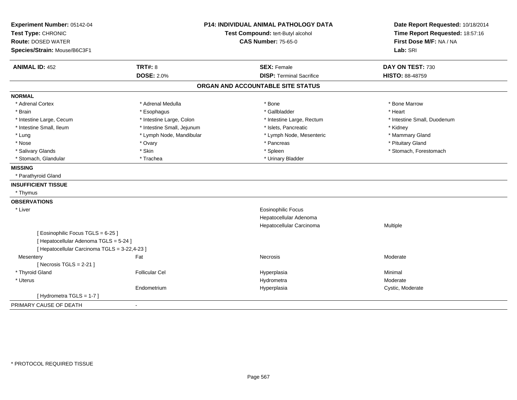| Experiment Number: 05142-04                   |                                   | <b>P14: INDIVIDUAL ANIMAL PATHOLOGY DATA</b> | Date Report Requested: 10/18/2014 |
|-----------------------------------------------|-----------------------------------|----------------------------------------------|-----------------------------------|
| Test Type: CHRONIC                            | Test Compound: tert-Butyl alcohol |                                              | Time Report Requested: 18:57:16   |
| <b>Route: DOSED WATER</b>                     |                                   | <b>CAS Number: 75-65-0</b>                   | First Dose M/F: NA / NA           |
| Species/Strain: Mouse/B6C3F1                  |                                   |                                              | Lab: SRI                          |
| <b>ANIMAL ID: 452</b>                         | <b>TRT#: 8</b>                    | <b>SEX: Female</b>                           | DAY ON TEST: 730                  |
|                                               | <b>DOSE: 2.0%</b>                 | <b>DISP: Terminal Sacrifice</b>              | <b>HISTO: 88-48759</b>            |
|                                               |                                   | ORGAN AND ACCOUNTABLE SITE STATUS            |                                   |
| <b>NORMAL</b>                                 |                                   |                                              |                                   |
| * Adrenal Cortex                              | * Adrenal Medulla                 | * Bone                                       | * Bone Marrow                     |
| * Brain                                       | * Esophagus                       | * Gallbladder                                | * Heart                           |
| * Intestine Large, Cecum                      | * Intestine Large, Colon          | * Intestine Large, Rectum                    | * Intestine Small, Duodenum       |
| * Intestine Small, Ileum                      | * Intestine Small, Jejunum        | * Islets, Pancreatic                         | * Kidney                          |
| * Lung                                        | * Lymph Node, Mandibular          | * Lymph Node, Mesenteric                     | * Mammary Gland                   |
| * Nose                                        | * Ovary                           | * Pancreas                                   | * Pituitary Gland                 |
| * Salivary Glands                             | * Skin                            | * Spleen                                     | * Stomach, Forestomach            |
| * Stomach, Glandular                          | * Trachea                         | * Urinary Bladder                            |                                   |
| <b>MISSING</b>                                |                                   |                                              |                                   |
| * Parathyroid Gland                           |                                   |                                              |                                   |
| <b>INSUFFICIENT TISSUE</b>                    |                                   |                                              |                                   |
| * Thymus                                      |                                   |                                              |                                   |
| <b>OBSERVATIONS</b>                           |                                   |                                              |                                   |
| * Liver                                       |                                   | <b>Eosinophilic Focus</b>                    |                                   |
|                                               |                                   | Hepatocellular Adenoma                       |                                   |
|                                               |                                   | Hepatocellular Carcinoma                     | Multiple                          |
| [Eosinophilic Focus TGLS = 6-25]              |                                   |                                              |                                   |
| [ Hepatocellular Adenoma TGLS = 5-24 ]        |                                   |                                              |                                   |
| [ Hepatocellular Carcinoma TGLS = 3-22,4-23 ] |                                   |                                              |                                   |
| Mesentery                                     | Fat                               | Necrosis                                     | Moderate                          |
| [Necrosis $TGLS = 2-21$ ]                     |                                   |                                              |                                   |
| * Thyroid Gland                               | <b>Follicular Cel</b>             | Hyperplasia                                  | Minimal                           |
| * Uterus                                      |                                   | Hydrometra                                   | Moderate                          |
|                                               | Endometrium                       | Hyperplasia                                  | Cystic, Moderate                  |
| [Hydrometra TGLS = 1-7]                       |                                   |                                              |                                   |
| PRIMARY CAUSE OF DEATH                        | $\overline{a}$                    |                                              |                                   |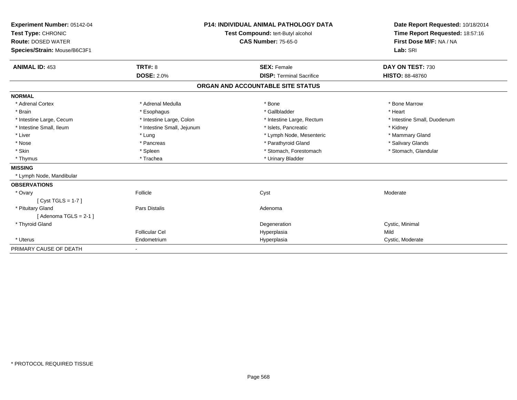| <b>Experiment Number: 05142-04</b><br>Test Type: CHRONIC<br><b>Route: DOSED WATER</b><br>Species/Strain: Mouse/B6C3F1<br><b>ANIMAL ID: 453</b> | <b>TRT#: 8</b>             | <b>P14: INDIVIDUAL ANIMAL PATHOLOGY DATA</b><br>Test Compound: tert-Butyl alcohol<br><b>CAS Number: 75-65-0</b><br><b>SEX: Female</b> | Date Report Requested: 10/18/2014<br>Time Report Requested: 18:57:16<br>First Dose M/F: NA / NA<br>Lab: SRI<br>DAY ON TEST: 730 |
|------------------------------------------------------------------------------------------------------------------------------------------------|----------------------------|---------------------------------------------------------------------------------------------------------------------------------------|---------------------------------------------------------------------------------------------------------------------------------|
|                                                                                                                                                | <b>DOSE: 2.0%</b>          | <b>DISP: Terminal Sacrifice</b>                                                                                                       | <b>HISTO: 88-48760</b>                                                                                                          |
|                                                                                                                                                |                            | ORGAN AND ACCOUNTABLE SITE STATUS                                                                                                     |                                                                                                                                 |
| <b>NORMAL</b>                                                                                                                                  |                            |                                                                                                                                       |                                                                                                                                 |
| * Adrenal Cortex                                                                                                                               | * Adrenal Medulla          | * Bone                                                                                                                                | * Bone Marrow                                                                                                                   |
| * Brain                                                                                                                                        | * Esophagus                | * Gallbladder                                                                                                                         | * Heart                                                                                                                         |
| * Intestine Large, Cecum                                                                                                                       | * Intestine Large, Colon   | * Intestine Large, Rectum                                                                                                             | * Intestine Small, Duodenum                                                                                                     |
| * Intestine Small, Ileum                                                                                                                       | * Intestine Small, Jejunum | * Islets, Pancreatic                                                                                                                  | * Kidney                                                                                                                        |
| * Liver                                                                                                                                        | * Lung                     | * Lymph Node, Mesenteric                                                                                                              | * Mammary Gland                                                                                                                 |
| * Nose                                                                                                                                         | * Pancreas                 | * Parathyroid Gland                                                                                                                   | * Salivary Glands                                                                                                               |
| * Skin                                                                                                                                         | * Spleen                   | * Stomach, Forestomach                                                                                                                | * Stomach, Glandular                                                                                                            |
| * Thymus                                                                                                                                       | * Trachea                  | * Urinary Bladder                                                                                                                     |                                                                                                                                 |
| <b>MISSING</b>                                                                                                                                 |                            |                                                                                                                                       |                                                                                                                                 |
| * Lymph Node, Mandibular                                                                                                                       |                            |                                                                                                                                       |                                                                                                                                 |
| <b>OBSERVATIONS</b>                                                                                                                            |                            |                                                                                                                                       |                                                                                                                                 |
| * Ovary                                                                                                                                        | Follicle                   | Cyst                                                                                                                                  | Moderate                                                                                                                        |
| [Cyst TGLS = $1-7$ ]                                                                                                                           |                            |                                                                                                                                       |                                                                                                                                 |
| * Pituitary Gland                                                                                                                              | Pars Distalis              | Adenoma                                                                                                                               |                                                                                                                                 |
| [Adenoma TGLS = $2-1$ ]                                                                                                                        |                            |                                                                                                                                       |                                                                                                                                 |
| * Thyroid Gland                                                                                                                                |                            | Degeneration                                                                                                                          | Cystic, Minimal                                                                                                                 |
|                                                                                                                                                | Follicular Cel             | Hyperplasia                                                                                                                           | Mild                                                                                                                            |
| * Uterus                                                                                                                                       | Endometrium                | Hyperplasia                                                                                                                           | Cystic, Moderate                                                                                                                |
| PRIMARY CAUSE OF DEATH                                                                                                                         |                            |                                                                                                                                       |                                                                                                                                 |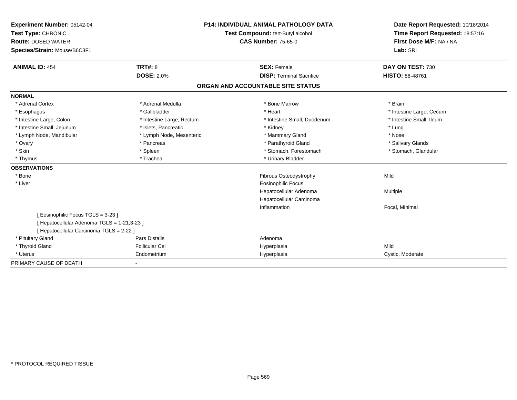| Experiment Number: 05142-04                 | <b>P14: INDIVIDUAL ANIMAL PATHOLOGY DATA</b> |                                   | Date Report Requested: 10/18/2014 |
|---------------------------------------------|----------------------------------------------|-----------------------------------|-----------------------------------|
| Test Type: CHRONIC                          |                                              | Test Compound: tert-Butyl alcohol | Time Report Requested: 18:57:16   |
| <b>Route: DOSED WATER</b>                   |                                              | <b>CAS Number: 75-65-0</b>        | First Dose M/F: NA / NA           |
| Species/Strain: Mouse/B6C3F1                |                                              |                                   | Lab: SRI                          |
|                                             |                                              |                                   |                                   |
| <b>ANIMAL ID: 454</b>                       | <b>TRT#: 8</b>                               | <b>SEX: Female</b>                | DAY ON TEST: 730                  |
|                                             | <b>DOSE: 2.0%</b>                            | <b>DISP: Terminal Sacrifice</b>   | HISTO: 88-48761                   |
|                                             |                                              | ORGAN AND ACCOUNTABLE SITE STATUS |                                   |
| <b>NORMAL</b>                               |                                              |                                   |                                   |
| * Adrenal Cortex                            | * Adrenal Medulla                            | * Bone Marrow                     | * Brain                           |
| * Esophagus                                 | * Gallbladder                                | * Heart                           | * Intestine Large, Cecum          |
| * Intestine Large, Colon                    | * Intestine Large, Rectum                    | * Intestine Small. Duodenum       | * Intestine Small, Ileum          |
| * Intestine Small, Jejunum                  | * Islets, Pancreatic                         | * Kidney                          | * Lung                            |
| * Lymph Node, Mandibular                    | * Lymph Node, Mesenteric                     | * Mammary Gland                   | * Nose                            |
| * Ovary                                     | * Pancreas                                   | * Parathyroid Gland               | * Salivary Glands                 |
| * Skin                                      | * Spleen                                     | * Stomach, Forestomach            | * Stomach, Glandular              |
| * Thymus                                    | * Trachea                                    | * Urinary Bladder                 |                                   |
| <b>OBSERVATIONS</b>                         |                                              |                                   |                                   |
| * Bone                                      |                                              | Fibrous Osteodystrophy            | Mild                              |
| * Liver                                     |                                              | Eosinophilic Focus                |                                   |
|                                             |                                              | Hepatocellular Adenoma            | Multiple                          |
|                                             |                                              | Hepatocellular Carcinoma          |                                   |
|                                             |                                              | Inflammation                      | Focal, Minimal                    |
| [Eosinophilic Focus TGLS = 3-23]            |                                              |                                   |                                   |
| [ Hepatocellular Adenoma TGLS = 1-21,3-23 ] |                                              |                                   |                                   |
| [ Hepatocellular Carcinoma TGLS = 2-22 ]    |                                              |                                   |                                   |
| * Pituitary Gland                           | Pars Distalis                                | Adenoma                           |                                   |
| * Thyroid Gland                             | <b>Follicular Cel</b>                        | Hyperplasia                       | Mild                              |
| * Uterus                                    | Endometrium                                  | Hyperplasia                       | Cystic, Moderate                  |
| PRIMARY CAUSE OF DEATH                      | $\sim$                                       |                                   |                                   |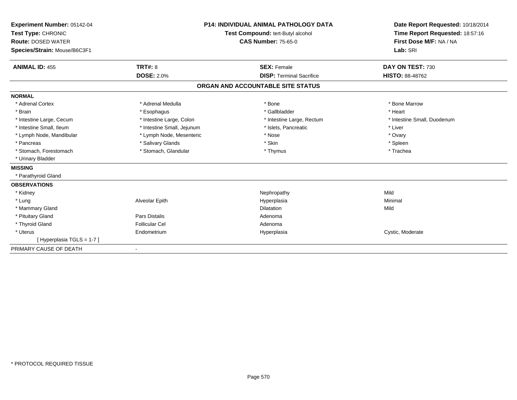| Experiment Number: 05142-04<br>Test Type: CHRONIC<br><b>Route: DOSED WATER</b><br>Species/Strain: Mouse/B6C3F1 |                            | <b>P14: INDIVIDUAL ANIMAL PATHOLOGY DATA</b><br><b>Test Compound: tert-Butyl alcohol</b><br><b>CAS Number: 75-65-0</b> | Date Report Requested: 10/18/2014<br>Time Report Requested: 18:57:16<br>First Dose M/F: NA / NA<br>Lab: SRI |
|----------------------------------------------------------------------------------------------------------------|----------------------------|------------------------------------------------------------------------------------------------------------------------|-------------------------------------------------------------------------------------------------------------|
| <b>ANIMAL ID: 455</b>                                                                                          | <b>TRT#: 8</b>             | <b>SEX: Female</b>                                                                                                     | DAY ON TEST: 730                                                                                            |
|                                                                                                                | <b>DOSE: 2.0%</b>          | <b>DISP: Terminal Sacrifice</b>                                                                                        | <b>HISTO: 88-48762</b>                                                                                      |
|                                                                                                                |                            | ORGAN AND ACCOUNTABLE SITE STATUS                                                                                      |                                                                                                             |
| <b>NORMAL</b>                                                                                                  |                            |                                                                                                                        |                                                                                                             |
| * Adrenal Cortex                                                                                               | * Adrenal Medulla          | * Bone                                                                                                                 | * Bone Marrow                                                                                               |
| * Brain                                                                                                        | * Esophagus                | * Gallbladder                                                                                                          | * Heart                                                                                                     |
| * Intestine Large, Cecum                                                                                       | * Intestine Large, Colon   | * Intestine Large, Rectum                                                                                              | * Intestine Small, Duodenum                                                                                 |
| * Intestine Small, Ileum                                                                                       | * Intestine Small, Jejunum | * Islets, Pancreatic                                                                                                   | * Liver                                                                                                     |
| * Lymph Node, Mandibular                                                                                       | * Lymph Node, Mesenteric   | * Nose                                                                                                                 | * Ovary                                                                                                     |
| * Pancreas                                                                                                     | * Salivary Glands          | * Skin                                                                                                                 | * Spleen                                                                                                    |
| * Stomach. Forestomach                                                                                         | * Stomach, Glandular       | * Thymus                                                                                                               | * Trachea                                                                                                   |
| * Urinary Bladder                                                                                              |                            |                                                                                                                        |                                                                                                             |
| <b>MISSING</b>                                                                                                 |                            |                                                                                                                        |                                                                                                             |
| * Parathyroid Gland                                                                                            |                            |                                                                                                                        |                                                                                                             |
| <b>OBSERVATIONS</b>                                                                                            |                            |                                                                                                                        |                                                                                                             |
| * Kidney                                                                                                       |                            | Nephropathy                                                                                                            | Mild                                                                                                        |
| * Lung                                                                                                         | Alveolar Epith             | Hyperplasia                                                                                                            | Minimal                                                                                                     |
| * Mammary Gland                                                                                                |                            | <b>Dilatation</b>                                                                                                      | Mild                                                                                                        |
| * Pituitary Gland                                                                                              | <b>Pars Distalis</b>       | Adenoma                                                                                                                |                                                                                                             |
| * Thyroid Gland                                                                                                | <b>Follicular Cel</b>      | Adenoma                                                                                                                |                                                                                                             |
| * Uterus                                                                                                       | Endometrium                | Hyperplasia                                                                                                            | Cystic, Moderate                                                                                            |
| [Hyperplasia TGLS = $1-7$ ]                                                                                    |                            |                                                                                                                        |                                                                                                             |
| PRIMARY CAUSE OF DEATH                                                                                         |                            |                                                                                                                        |                                                                                                             |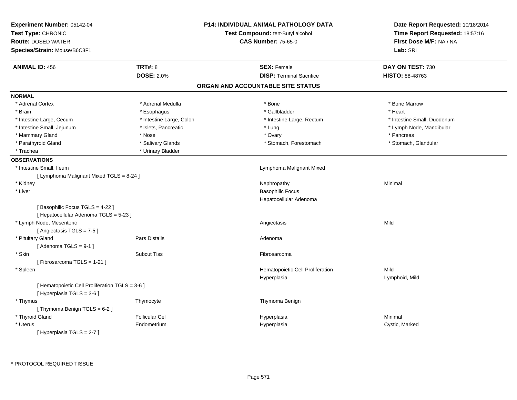| Experiment Number: 05142-04                     |                                                                 | <b>P14: INDIVIDUAL ANIMAL PATHOLOGY DATA</b> | Date Report Requested: 10/18/2014 |  |
|-------------------------------------------------|-----------------------------------------------------------------|----------------------------------------------|-----------------------------------|--|
| Test Type: CHRONIC                              | Test Compound: tert-Butyl alcohol<br><b>CAS Number: 75-65-0</b> |                                              | Time Report Requested: 18:57:16   |  |
| <b>Route: DOSED WATER</b>                       |                                                                 |                                              | First Dose M/F: NA / NA           |  |
| Species/Strain: Mouse/B6C3F1                    |                                                                 |                                              | Lab: SRI                          |  |
| <b>ANIMAL ID: 456</b>                           | <b>TRT#: 8</b>                                                  | <b>SEX: Female</b>                           | DAY ON TEST: 730                  |  |
|                                                 | <b>DOSE: 2.0%</b>                                               | <b>DISP: Terminal Sacrifice</b>              | <b>HISTO: 88-48763</b>            |  |
|                                                 |                                                                 | ORGAN AND ACCOUNTABLE SITE STATUS            |                                   |  |
| <b>NORMAL</b>                                   |                                                                 |                                              |                                   |  |
| * Adrenal Cortex                                | * Adrenal Medulla                                               | * Bone                                       | * Bone Marrow                     |  |
| * Brain                                         | * Esophagus                                                     | * Gallbladder                                | * Heart                           |  |
| * Intestine Large, Cecum                        | * Intestine Large, Colon                                        | * Intestine Large, Rectum                    | * Intestine Small, Duodenum       |  |
| * Intestine Small, Jejunum                      | * Islets, Pancreatic                                            | * Lung                                       | * Lymph Node, Mandibular          |  |
| * Mammary Gland                                 | * Nose                                                          | * Ovary                                      | * Pancreas                        |  |
| * Parathyroid Gland                             | * Salivary Glands                                               | * Stomach, Forestomach                       | * Stomach, Glandular              |  |
| * Trachea                                       | * Urinary Bladder                                               |                                              |                                   |  |
| <b>OBSERVATIONS</b>                             |                                                                 |                                              |                                   |  |
| * Intestine Small, Ileum                        |                                                                 | Lymphoma Malignant Mixed                     |                                   |  |
| [ Lymphoma Malignant Mixed TGLS = 8-24 ]        |                                                                 |                                              |                                   |  |
| * Kidney                                        |                                                                 | Nephropathy                                  | Minimal                           |  |
| * Liver                                         |                                                                 | <b>Basophilic Focus</b>                      |                                   |  |
|                                                 |                                                                 | Hepatocellular Adenoma                       |                                   |  |
| [Basophilic Focus TGLS = 4-22]                  |                                                                 |                                              |                                   |  |
| [ Hepatocellular Adenoma TGLS = 5-23 ]          |                                                                 |                                              |                                   |  |
| * Lymph Node, Mesenteric                        |                                                                 | Angiectasis                                  | Mild                              |  |
| [Angiectasis TGLS = 7-5]                        |                                                                 |                                              |                                   |  |
| * Pituitary Gland                               | <b>Pars Distalis</b>                                            | Adenoma                                      |                                   |  |
| [Adenoma TGLS = $9-1$ ]                         |                                                                 |                                              |                                   |  |
| * Skin                                          | <b>Subcut Tiss</b>                                              | Fibrosarcoma                                 |                                   |  |
| [Fibrosarcoma TGLS = 1-21]                      |                                                                 |                                              |                                   |  |
| * Spleen                                        |                                                                 | Hematopoietic Cell Proliferation             | Mild                              |  |
|                                                 |                                                                 | Hyperplasia                                  | Lymphoid, Mild                    |  |
| [ Hematopoietic Cell Proliferation TGLS = 3-6 ] |                                                                 |                                              |                                   |  |
| [ Hyperplasia TGLS = 3-6 ]                      |                                                                 |                                              |                                   |  |
| * Thymus                                        | Thymocyte                                                       | Thymoma Benign                               |                                   |  |
| [Thymoma Benign TGLS = 6-2]                     |                                                                 |                                              |                                   |  |
| * Thyroid Gland                                 | <b>Follicular Cel</b>                                           | Hyperplasia                                  | Minimal                           |  |
| * Uterus                                        | Endometrium                                                     |                                              |                                   |  |
|                                                 |                                                                 | Hyperplasia                                  | Cystic, Marked                    |  |
| [ Hyperplasia TGLS = 2-7 ]                      |                                                                 |                                              |                                   |  |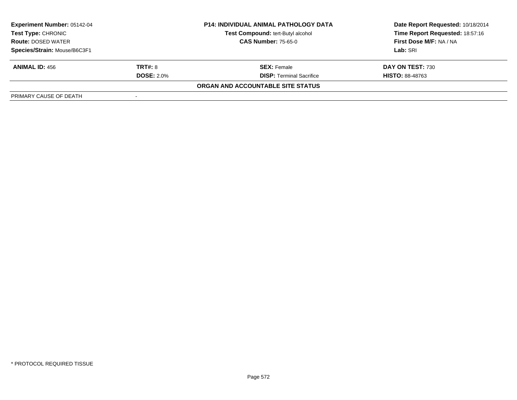| <b>Experiment Number: 05142-04</b>              | <b>P14: INDIVIDUAL ANIMAL PATHOLOGY DATA</b> |                                   | Date Report Requested: 10/18/2014 |  |
|-------------------------------------------------|----------------------------------------------|-----------------------------------|-----------------------------------|--|
| Test Type: CHRONIC<br><b>Route: DOSED WATER</b> |                                              | Test Compound: tert-Butyl alcohol | Time Report Requested: 18:57:16   |  |
|                                                 |                                              | <b>CAS Number: 75-65-0</b>        | First Dose M/F: NA / NA           |  |
| Species/Strain: Mouse/B6C3F1                    |                                              |                                   | Lab: SRI                          |  |
| <b>ANIMAL ID: 456</b>                           | <b>TRT#: 8</b>                               | <b>SEX:</b> Female                | DAY ON TEST: 730                  |  |
|                                                 | <b>DOSE: 2.0%</b>                            | <b>DISP: Terminal Sacrifice</b>   | <b>HISTO: 88-48763</b>            |  |
|                                                 |                                              | ORGAN AND ACCOUNTABLE SITE STATUS |                                   |  |
| PRIMARY CAUSE OF DEATH                          |                                              |                                   |                                   |  |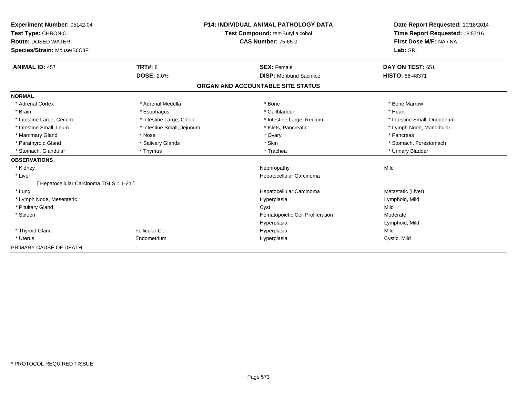| Experiment Number: 05142-04<br>Test Type: CHRONIC<br><b>Route: DOSED WATER</b><br>Species/Strain: Mouse/B6C3F1 |                            | <b>P14: INDIVIDUAL ANIMAL PATHOLOGY DATA</b><br>Test Compound: tert-Butyl alcohol<br><b>CAS Number: 75-65-0</b> | Date Report Requested: 10/18/2014<br>Time Report Requested: 18:57:16<br>First Dose M/F: NA / NA<br>Lab: SRI |
|----------------------------------------------------------------------------------------------------------------|----------------------------|-----------------------------------------------------------------------------------------------------------------|-------------------------------------------------------------------------------------------------------------|
| <b>ANIMAL ID: 457</b>                                                                                          | TRT#: 8                    | <b>SEX: Female</b>                                                                                              | DAY ON TEST: 651                                                                                            |
|                                                                                                                | <b>DOSE: 2.0%</b>          | <b>DISP:</b> Moribund Sacrifice                                                                                 | HISTO: 88-48371                                                                                             |
|                                                                                                                |                            | ORGAN AND ACCOUNTABLE SITE STATUS                                                                               |                                                                                                             |
| <b>NORMAL</b>                                                                                                  |                            |                                                                                                                 |                                                                                                             |
| * Adrenal Cortex                                                                                               | * Adrenal Medulla          | * Bone                                                                                                          | * Bone Marrow                                                                                               |
| * Brain                                                                                                        | * Esophagus                | * Gallbladder                                                                                                   | * Heart                                                                                                     |
| * Intestine Large, Cecum                                                                                       | * Intestine Large, Colon   | * Intestine Large, Rectum                                                                                       | * Intestine Small, Duodenum                                                                                 |
| * Intestine Small, Ileum                                                                                       | * Intestine Small, Jejunum | * Islets, Pancreatic                                                                                            | * Lymph Node, Mandibular                                                                                    |
| * Mammary Gland                                                                                                | * Nose                     | * Ovary                                                                                                         | * Pancreas                                                                                                  |
| * Parathyroid Gland                                                                                            | * Salivary Glands          | * Skin                                                                                                          | * Stomach, Forestomach                                                                                      |
| * Stomach, Glandular                                                                                           | * Thymus                   | * Trachea                                                                                                       | * Urinary Bladder                                                                                           |
| <b>OBSERVATIONS</b>                                                                                            |                            |                                                                                                                 |                                                                                                             |
| * Kidney                                                                                                       |                            | Nephropathy                                                                                                     | Mild                                                                                                        |
| * Liver                                                                                                        |                            | Hepatocellular Carcinoma                                                                                        |                                                                                                             |
| [Hepatocellular Carcinoma TGLS = 1-21]                                                                         |                            |                                                                                                                 |                                                                                                             |
| * Lung                                                                                                         |                            | Hepatocellular Carcinoma                                                                                        | Metastatic (Liver)                                                                                          |
| * Lymph Node, Mesenteric                                                                                       |                            | Hyperplasia                                                                                                     | Lymphoid, Mild                                                                                              |
| * Pituitary Gland                                                                                              |                            | Cyst                                                                                                            | Mild                                                                                                        |
| * Spleen                                                                                                       |                            | Hematopoietic Cell Proliferation                                                                                | Moderate                                                                                                    |
|                                                                                                                |                            | Hyperplasia                                                                                                     | Lymphoid, Mild                                                                                              |
| * Thyroid Gland                                                                                                | <b>Follicular Cel</b>      | Hyperplasia                                                                                                     | Mild                                                                                                        |
| * Uterus                                                                                                       | Endometrium                | Hyperplasia                                                                                                     | Cystic, Mild                                                                                                |
| PRIMARY CAUSE OF DEATH                                                                                         | $\overline{\phantom{a}}$   |                                                                                                                 |                                                                                                             |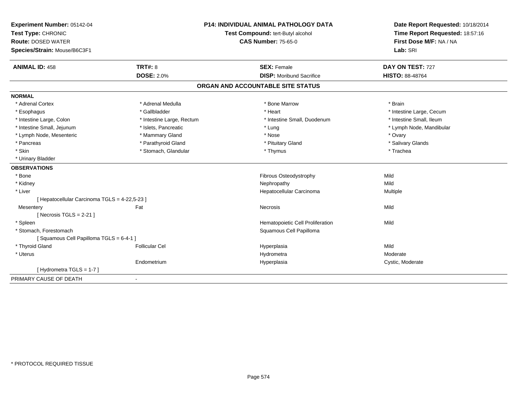| Experiment Number: 05142-04                   |                           | <b>P14: INDIVIDUAL ANIMAL PATHOLOGY DATA</b> | Date Report Requested: 10/18/2014                          |
|-----------------------------------------------|---------------------------|----------------------------------------------|------------------------------------------------------------|
| Test Type: CHRONIC                            |                           | Test Compound: tert-Butyl alcohol            | Time Report Requested: 18:57:16<br>First Dose M/F: NA / NA |
| <b>Route: DOSED WATER</b>                     |                           | <b>CAS Number: 75-65-0</b>                   |                                                            |
| Species/Strain: Mouse/B6C3F1                  |                           |                                              | Lab: SRI                                                   |
| <b>ANIMAL ID: 458</b>                         | TRT#: 8                   | <b>SEX: Female</b>                           | DAY ON TEST: 727                                           |
|                                               | <b>DOSE: 2.0%</b>         | <b>DISP:</b> Moribund Sacrifice              | <b>HISTO: 88-48764</b>                                     |
|                                               |                           | ORGAN AND ACCOUNTABLE SITE STATUS            |                                                            |
| <b>NORMAL</b>                                 |                           |                                              |                                                            |
| * Adrenal Cortex                              | * Adrenal Medulla         | * Bone Marrow                                | * Brain                                                    |
| * Esophagus                                   | * Gallbladder             | * Heart                                      | * Intestine Large, Cecum                                   |
| * Intestine Large, Colon                      | * Intestine Large, Rectum | * Intestine Small, Duodenum                  | * Intestine Small, Ileum                                   |
| * Intestine Small, Jejunum                    | * Islets, Pancreatic      | * Lung                                       | * Lymph Node, Mandibular                                   |
| * Lymph Node, Mesenteric                      | * Mammary Gland           | * Nose                                       | * Ovary                                                    |
| * Pancreas                                    | * Parathyroid Gland       | * Pituitary Gland                            | * Salivary Glands                                          |
| * Skin                                        | * Stomach, Glandular      | * Thymus                                     | * Trachea                                                  |
| * Urinary Bladder                             |                           |                                              |                                                            |
| <b>OBSERVATIONS</b>                           |                           |                                              |                                                            |
| * Bone                                        |                           | Fibrous Osteodystrophy                       | Mild                                                       |
| * Kidney                                      |                           | Nephropathy                                  | Mild                                                       |
| * Liver                                       |                           | Hepatocellular Carcinoma                     | Multiple                                                   |
| [ Hepatocellular Carcinoma TGLS = 4-22,5-23 ] |                           |                                              |                                                            |
| Mesentery                                     | Fat                       | Necrosis                                     | Mild                                                       |
| [Necrosis TGLS = $2-21$ ]                     |                           |                                              |                                                            |
| * Spleen                                      |                           | Hematopoietic Cell Proliferation             | Mild                                                       |
| * Stomach, Forestomach                        |                           | Squamous Cell Papilloma                      |                                                            |
| [Squamous Cell Papilloma TGLS = 6-4-1]        |                           |                                              |                                                            |
| * Thyroid Gland                               | <b>Follicular Cel</b>     | Hyperplasia                                  | Mild                                                       |
| * Uterus                                      |                           | Hydrometra                                   | Moderate                                                   |
|                                               | Endometrium               | Hyperplasia                                  | Cystic, Moderate                                           |
| [Hydrometra TGLS = 1-7]                       |                           |                                              |                                                            |
| PRIMARY CAUSE OF DEATH                        |                           |                                              |                                                            |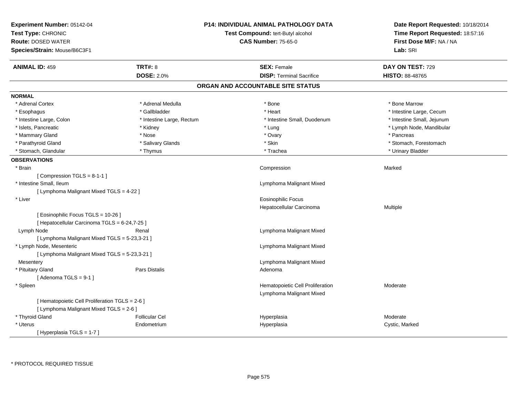| Experiment Number: 05142-04<br>Test Type: CHRONIC<br><b>Route: DOSED WATER</b><br>Species/Strain: Mouse/B6C3F1 |                           | <b>P14: INDIVIDUAL ANIMAL PATHOLOGY DATA</b><br>Test Compound: tert-Butyl alcohol<br><b>CAS Number: 75-65-0</b> | Date Report Requested: 10/18/2014<br>Time Report Requested: 18:57:16<br>First Dose M/F: NA / NA<br>Lab: SRI |
|----------------------------------------------------------------------------------------------------------------|---------------------------|-----------------------------------------------------------------------------------------------------------------|-------------------------------------------------------------------------------------------------------------|
| <b>ANIMAL ID: 459</b>                                                                                          | <b>TRT#: 8</b>            | <b>SEX: Female</b>                                                                                              | DAY ON TEST: 729                                                                                            |
|                                                                                                                | <b>DOSE: 2.0%</b>         | <b>DISP: Terminal Sacrifice</b>                                                                                 | HISTO: 88-48765                                                                                             |
|                                                                                                                |                           | ORGAN AND ACCOUNTABLE SITE STATUS                                                                               |                                                                                                             |
| <b>NORMAL</b>                                                                                                  |                           |                                                                                                                 |                                                                                                             |
| * Adrenal Cortex                                                                                               | * Adrenal Medulla         | * Bone                                                                                                          | * Bone Marrow                                                                                               |
| * Esophagus                                                                                                    | * Gallbladder             | * Heart                                                                                                         | * Intestine Large, Cecum                                                                                    |
| * Intestine Large, Colon                                                                                       | * Intestine Large, Rectum | * Intestine Small, Duodenum                                                                                     | * Intestine Small, Jejunum                                                                                  |
| * Islets, Pancreatic                                                                                           | * Kidney                  | * Lung                                                                                                          | * Lymph Node, Mandibular                                                                                    |
| * Mammary Gland                                                                                                | * Nose                    | * Ovary                                                                                                         | * Pancreas                                                                                                  |
| * Parathyroid Gland                                                                                            | * Salivary Glands         | * Skin                                                                                                          | * Stomach, Forestomach                                                                                      |
| * Stomach, Glandular                                                                                           | * Thymus                  | * Trachea                                                                                                       | * Urinary Bladder                                                                                           |
| <b>OBSERVATIONS</b>                                                                                            |                           |                                                                                                                 |                                                                                                             |
| * Brain                                                                                                        |                           | Compression                                                                                                     | Marked                                                                                                      |
| [Compression TGLS = $8-1-1$ ]                                                                                  |                           |                                                                                                                 |                                                                                                             |
| * Intestine Small, Ileum                                                                                       |                           | Lymphoma Malignant Mixed                                                                                        |                                                                                                             |
| [ Lymphoma Malignant Mixed TGLS = 4-22 ]                                                                       |                           |                                                                                                                 |                                                                                                             |
| * Liver                                                                                                        |                           | <b>Eosinophilic Focus</b>                                                                                       |                                                                                                             |
|                                                                                                                |                           | Hepatocellular Carcinoma                                                                                        | Multiple                                                                                                    |
| [ Eosinophilic Focus TGLS = 10-26 ]                                                                            |                           |                                                                                                                 |                                                                                                             |
| [ Hepatocellular Carcinoma TGLS = 6-24,7-25 ]                                                                  |                           |                                                                                                                 |                                                                                                             |
| Lymph Node                                                                                                     | Renal                     | Lymphoma Malignant Mixed                                                                                        |                                                                                                             |
| [ Lymphoma Malignant Mixed TGLS = 5-23,3-21 ]                                                                  |                           |                                                                                                                 |                                                                                                             |
| * Lymph Node, Mesenteric                                                                                       |                           | Lymphoma Malignant Mixed                                                                                        |                                                                                                             |
| [ Lymphoma Malignant Mixed TGLS = 5-23,3-21 ]                                                                  |                           |                                                                                                                 |                                                                                                             |
| Mesentery                                                                                                      |                           | Lymphoma Malignant Mixed                                                                                        |                                                                                                             |
| * Pituitary Gland                                                                                              | Pars Distalis             | Adenoma                                                                                                         |                                                                                                             |
| [Adenoma TGLS = $9-1$ ]                                                                                        |                           |                                                                                                                 |                                                                                                             |
| * Spleen                                                                                                       |                           | Hematopoietic Cell Proliferation                                                                                | Moderate                                                                                                    |
|                                                                                                                |                           | Lymphoma Malignant Mixed                                                                                        |                                                                                                             |
| [ Hematopoietic Cell Proliferation TGLS = 2-6 ]                                                                |                           |                                                                                                                 |                                                                                                             |
| [ Lymphoma Malignant Mixed TGLS = 2-6 ]                                                                        |                           |                                                                                                                 |                                                                                                             |
| * Thyroid Gland                                                                                                | <b>Follicular Cel</b>     | Hyperplasia                                                                                                     | Moderate                                                                                                    |
| * Uterus                                                                                                       | Endometrium               | Hyperplasia                                                                                                     | Cystic, Marked                                                                                              |
| [Hyperplasia TGLS = $1-7$ ]                                                                                    |                           |                                                                                                                 |                                                                                                             |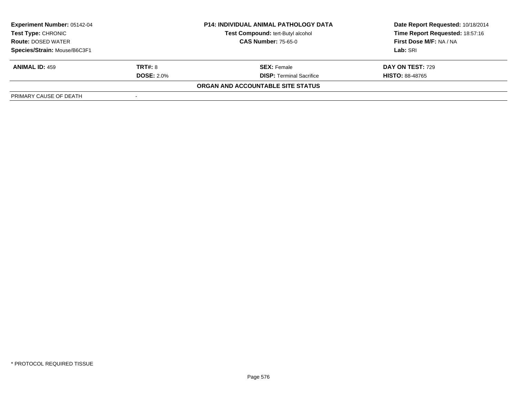| <b>Experiment Number: 05142-04</b>                     | <b>P14: INDIVIDUAL ANIMAL PATHOLOGY DATA</b> |                                   | Date Report Requested: 10/18/2014 |  |
|--------------------------------------------------------|----------------------------------------------|-----------------------------------|-----------------------------------|--|
| <b>Test Type: CHRONIC</b><br><b>Route: DOSED WATER</b> |                                              | Test Compound: tert-Butyl alcohol | Time Report Requested: 18:57:16   |  |
|                                                        |                                              | <b>CAS Number: 75-65-0</b>        | First Dose M/F: NA / NA           |  |
| Species/Strain: Mouse/B6C3F1                           |                                              |                                   | Lab: SRI                          |  |
| <b>ANIMAL ID: 459</b>                                  | <b>TRT#: 8</b>                               | <b>SEX: Female</b>                | <b>DAY ON TEST: 729</b>           |  |
|                                                        | <b>DOSE: 2.0%</b>                            | <b>DISP: Terminal Sacrifice</b>   | <b>HISTO: 88-48765</b>            |  |
|                                                        |                                              | ORGAN AND ACCOUNTABLE SITE STATUS |                                   |  |
| PRIMARY CAUSE OF DEATH                                 |                                              |                                   |                                   |  |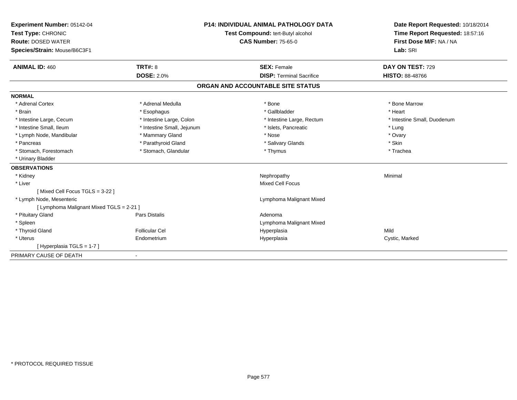| Experiment Number: 05142-04<br>Test Type: CHRONIC<br><b>Route: DOSED WATER</b><br>Species/Strain: Mouse/B6C3F1<br><b>ANIMAL ID: 460</b> | <b>TRT#: 8</b>             | <b>P14: INDIVIDUAL ANIMAL PATHOLOGY DATA</b><br>Test Compound: tert-Butyl alcohol<br><b>CAS Number: 75-65-0</b><br><b>SEX: Female</b> | Date Report Requested: 10/18/2014<br>Time Report Requested: 18:57:16<br>First Dose M/F: NA / NA<br>Lab: SRI<br>DAY ON TEST: 729 |
|-----------------------------------------------------------------------------------------------------------------------------------------|----------------------------|---------------------------------------------------------------------------------------------------------------------------------------|---------------------------------------------------------------------------------------------------------------------------------|
|                                                                                                                                         | <b>DOSE: 2.0%</b>          | <b>DISP: Terminal Sacrifice</b>                                                                                                       | <b>HISTO: 88-48766</b>                                                                                                          |
|                                                                                                                                         |                            | ORGAN AND ACCOUNTABLE SITE STATUS                                                                                                     |                                                                                                                                 |
| <b>NORMAL</b>                                                                                                                           |                            |                                                                                                                                       |                                                                                                                                 |
| * Adrenal Cortex                                                                                                                        | * Adrenal Medulla          | * Bone                                                                                                                                | * Bone Marrow                                                                                                                   |
| * Brain                                                                                                                                 | * Esophagus                | * Gallbladder                                                                                                                         | * Heart                                                                                                                         |
| * Intestine Large, Cecum                                                                                                                | * Intestine Large, Colon   | * Intestine Large, Rectum                                                                                                             | * Intestine Small, Duodenum                                                                                                     |
| * Intestine Small. Ileum                                                                                                                | * Intestine Small, Jejunum | * Islets, Pancreatic                                                                                                                  | * Lung                                                                                                                          |
| * Lymph Node, Mandibular                                                                                                                | * Mammary Gland            | * Nose                                                                                                                                | * Ovary                                                                                                                         |
| * Pancreas                                                                                                                              | * Parathyroid Gland        | * Salivary Glands                                                                                                                     | * Skin                                                                                                                          |
| * Stomach, Forestomach                                                                                                                  | * Stomach, Glandular       | * Thymus                                                                                                                              | * Trachea                                                                                                                       |
| * Urinary Bladder                                                                                                                       |                            |                                                                                                                                       |                                                                                                                                 |
| <b>OBSERVATIONS</b>                                                                                                                     |                            |                                                                                                                                       |                                                                                                                                 |
| * Kidney                                                                                                                                |                            | Nephropathy                                                                                                                           | Minimal                                                                                                                         |
| * Liver                                                                                                                                 |                            | Mixed Cell Focus                                                                                                                      |                                                                                                                                 |
| [Mixed Cell Focus TGLS = 3-22 ]                                                                                                         |                            |                                                                                                                                       |                                                                                                                                 |
| * Lymph Node, Mesenteric                                                                                                                |                            | Lymphoma Malignant Mixed                                                                                                              |                                                                                                                                 |
| [ Lymphoma Malignant Mixed TGLS = 2-21 ]                                                                                                |                            |                                                                                                                                       |                                                                                                                                 |
| * Pituitary Gland                                                                                                                       | <b>Pars Distalis</b>       | Adenoma                                                                                                                               |                                                                                                                                 |
| * Spleen                                                                                                                                |                            | Lymphoma Malignant Mixed                                                                                                              |                                                                                                                                 |
| * Thyroid Gland                                                                                                                         | Follicular Cel             | Hyperplasia                                                                                                                           | Mild                                                                                                                            |
| * Uterus                                                                                                                                | Endometrium                | Hyperplasia                                                                                                                           | Cystic, Marked                                                                                                                  |
| [Hyperplasia TGLS = $1-7$ ]                                                                                                             |                            |                                                                                                                                       |                                                                                                                                 |
| PRIMARY CAUSE OF DEATH                                                                                                                  |                            |                                                                                                                                       |                                                                                                                                 |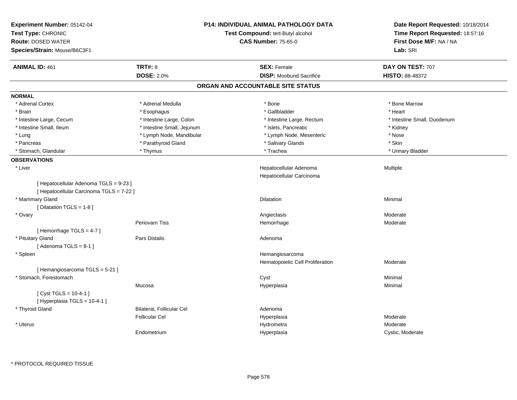| Experiment Number: 05142-04<br>Test Type: CHRONIC<br><b>Route: DOSED WATER</b><br>Species/Strain: Mouse/B6C3F1 |                            | P14: INDIVIDUAL ANIMAL PATHOLOGY DATA<br>Test Compound: tert-Butyl alcohol<br><b>CAS Number: 75-65-0</b> | Date Report Requested: 10/18/2014<br>Time Report Requested: 18:57:16<br>First Dose M/F: NA / NA<br>Lab: SRI |
|----------------------------------------------------------------------------------------------------------------|----------------------------|----------------------------------------------------------------------------------------------------------|-------------------------------------------------------------------------------------------------------------|
| <b>ANIMAL ID: 461</b>                                                                                          | <b>TRT#: 8</b>             | <b>SEX: Female</b>                                                                                       | DAY ON TEST: 707                                                                                            |
|                                                                                                                | <b>DOSE: 2.0%</b>          | <b>DISP:</b> Moribund Sacrifice                                                                          | <b>HISTO: 88-48372</b>                                                                                      |
|                                                                                                                |                            | ORGAN AND ACCOUNTABLE SITE STATUS                                                                        |                                                                                                             |
| <b>NORMAL</b>                                                                                                  |                            |                                                                                                          |                                                                                                             |
| * Adrenal Cortex                                                                                               | * Adrenal Medulla          | * Bone                                                                                                   | * Bone Marrow                                                                                               |
| * Brain                                                                                                        | * Esophagus                | * Gallbladder                                                                                            | * Heart                                                                                                     |
| * Intestine Large, Cecum                                                                                       | * Intestine Large, Colon   | * Intestine Large, Rectum                                                                                | * Intestine Small, Duodenum                                                                                 |
| * Intestine Small, Ileum                                                                                       | * Intestine Small, Jejunum | * Islets, Pancreatic                                                                                     | * Kidney                                                                                                    |
| * Lung                                                                                                         | * Lymph Node, Mandibular   | * Lymph Node, Mesenteric                                                                                 | * Nose                                                                                                      |
| * Pancreas                                                                                                     | * Parathyroid Gland        | * Salivary Glands                                                                                        | * Skin                                                                                                      |
| * Stomach, Glandular                                                                                           | * Thymus                   | * Trachea                                                                                                | * Urinary Bladder                                                                                           |
| <b>OBSERVATIONS</b>                                                                                            |                            |                                                                                                          |                                                                                                             |
| * Liver                                                                                                        |                            | Hepatocellular Adenoma<br>Hepatocellular Carcinoma                                                       | Multiple                                                                                                    |
| [ Hepatocellular Adenoma TGLS = 9-23 ]<br>[ Hepatocellular Carcinoma TGLS = 7-22 ]                             |                            |                                                                                                          |                                                                                                             |
| * Mammary Gland                                                                                                |                            | Dilatation                                                                                               | Minimal                                                                                                     |
| [ Dilatation TGLS = 1-8 ]                                                                                      |                            |                                                                                                          |                                                                                                             |
| * Ovary                                                                                                        |                            | Angiectasis                                                                                              | Moderate                                                                                                    |
|                                                                                                                | <b>Periovarn Tiss</b>      | Hemorrhage                                                                                               | Moderate                                                                                                    |
| [Hemorrhage TGLS = 4-7]                                                                                        |                            |                                                                                                          |                                                                                                             |
| * Pituitary Gland                                                                                              | Pars Distalis              | Adenoma                                                                                                  |                                                                                                             |
| [Adenoma TGLS = $8-1$ ]                                                                                        |                            |                                                                                                          |                                                                                                             |
| * Spleen                                                                                                       |                            | Hemangiosarcoma                                                                                          |                                                                                                             |
|                                                                                                                |                            | Hematopoietic Cell Proliferation                                                                         | Moderate                                                                                                    |
| [Hemangiosarcoma TGLS = 5-21]                                                                                  |                            |                                                                                                          |                                                                                                             |
| * Stomach, Forestomach                                                                                         |                            | Cyst                                                                                                     | Minimal                                                                                                     |
|                                                                                                                | Mucosa                     | Hyperplasia                                                                                              | Minimal                                                                                                     |
| [ Cyst TGLS = 10-4-1 ]<br>[Hyperplasia TGLS = 10-4-1]                                                          |                            |                                                                                                          |                                                                                                             |
| * Thyroid Gland                                                                                                | Bilateral, Follicular Cel  | Adenoma                                                                                                  |                                                                                                             |
|                                                                                                                | <b>Follicular Cel</b>      | Hyperplasia                                                                                              | Moderate                                                                                                    |
| * Uterus                                                                                                       |                            | Hydrometra                                                                                               | Moderate                                                                                                    |
|                                                                                                                | Endometrium                | Hyperplasia                                                                                              | Cystic, Moderate                                                                                            |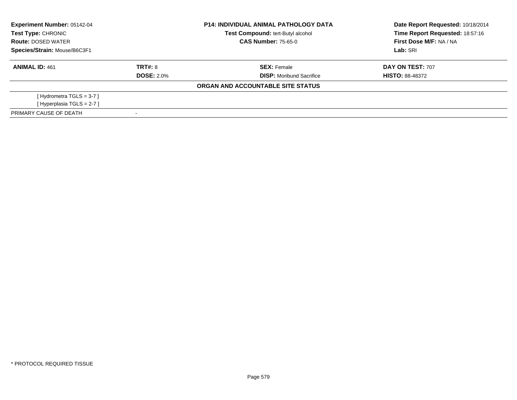| Experiment Number: 05142-04<br>Test Type: CHRONIC |                   | <b>P14: INDIVIDUAL ANIMAL PATHOLOGY DATA</b> | Date Report Requested: 10/18/2014 |  |
|---------------------------------------------------|-------------------|----------------------------------------------|-----------------------------------|--|
|                                                   |                   | Test Compound: tert-Butyl alcohol            | Time Report Requested: 18:57:16   |  |
| <b>Route: DOSED WATER</b>                         |                   | <b>CAS Number: 75-65-0</b>                   | First Dose M/F: NA / NA           |  |
| Species/Strain: Mouse/B6C3F1                      |                   |                                              | Lab: SRI                          |  |
| <b>ANIMAL ID: 461</b>                             | TRT#: 8           | <b>SEX: Female</b>                           | <b>DAY ON TEST: 707</b>           |  |
|                                                   | <b>DOSE: 2.0%</b> | <b>DISP:</b> Moribund Sacrifice              | <b>HISTO: 88-48372</b>            |  |
|                                                   |                   | ORGAN AND ACCOUNTABLE SITE STATUS            |                                   |  |
| [Hydrometra TGLS = $3-7$ ]                        |                   |                                              |                                   |  |
| [Hyperplasia TGLS = 2-7]                          |                   |                                              |                                   |  |
| PRIMARY CAUSE OF DEATH                            |                   |                                              |                                   |  |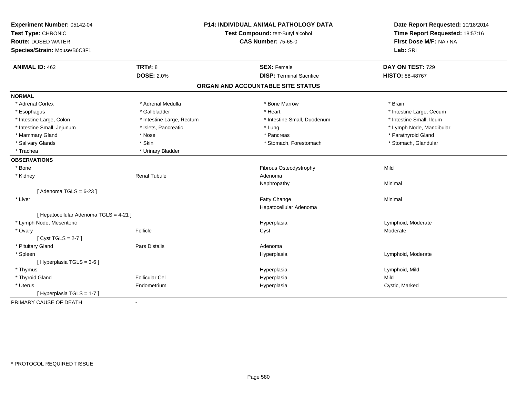| Experiment Number: 05142-04            |                           | <b>P14: INDIVIDUAL ANIMAL PATHOLOGY DATA</b> | Date Report Requested: 10/18/2014<br>Time Report Requested: 18:57:16 |
|----------------------------------------|---------------------------|----------------------------------------------|----------------------------------------------------------------------|
| Test Type: CHRONIC                     |                           | Test Compound: tert-Butyl alcohol            |                                                                      |
| <b>Route: DOSED WATER</b>              |                           | <b>CAS Number: 75-65-0</b>                   | First Dose M/F: NA / NA                                              |
| Species/Strain: Mouse/B6C3F1           |                           |                                              | Lab: SRI                                                             |
| <b>ANIMAL ID: 462</b>                  | <b>TRT#: 8</b>            | <b>SEX: Female</b>                           | DAY ON TEST: 729                                                     |
|                                        | <b>DOSE: 2.0%</b>         | <b>DISP: Terminal Sacrifice</b>              | <b>HISTO: 88-48767</b>                                               |
|                                        |                           | ORGAN AND ACCOUNTABLE SITE STATUS            |                                                                      |
| <b>NORMAL</b>                          |                           |                                              |                                                                      |
| * Adrenal Cortex                       | * Adrenal Medulla         | * Bone Marrow                                | * Brain                                                              |
| * Esophagus                            | * Gallbladder             | * Heart                                      | * Intestine Large, Cecum                                             |
| * Intestine Large, Colon               | * Intestine Large, Rectum | * Intestine Small, Duodenum                  | * Intestine Small, Ileum                                             |
| * Intestine Small, Jejunum             | * Islets, Pancreatic      | * Lung                                       | * Lymph Node, Mandibular                                             |
| * Mammary Gland                        | * Nose                    | * Pancreas                                   | * Parathyroid Gland                                                  |
| * Salivary Glands                      | * Skin                    | * Stomach, Forestomach                       | * Stomach, Glandular                                                 |
| * Trachea                              | * Urinary Bladder         |                                              |                                                                      |
| <b>OBSERVATIONS</b>                    |                           |                                              |                                                                      |
| * Bone                                 |                           | Fibrous Osteodystrophy                       | Mild                                                                 |
| * Kidney                               | <b>Renal Tubule</b>       | Adenoma                                      |                                                                      |
|                                        |                           | Nephropathy                                  | Minimal                                                              |
| [Adenoma TGLS = $6-23$ ]               |                           |                                              |                                                                      |
| * Liver                                |                           | Fatty Change                                 | Minimal                                                              |
|                                        |                           | Hepatocellular Adenoma                       |                                                                      |
| [ Hepatocellular Adenoma TGLS = 4-21 ] |                           |                                              |                                                                      |
| * Lymph Node, Mesenteric               |                           | Hyperplasia                                  | Lymphoid, Moderate                                                   |
| * Ovary                                | Follicle                  | Cyst                                         | Moderate                                                             |
| [Cyst TGLS = $2-7$ ]                   |                           |                                              |                                                                      |
| * Pituitary Gland                      | Pars Distalis             | Adenoma                                      |                                                                      |
| * Spleen                               |                           | Hyperplasia                                  | Lymphoid, Moderate                                                   |
| [ Hyperplasia TGLS = 3-6 ]             |                           |                                              |                                                                      |
| * Thymus                               |                           | Hyperplasia                                  | Lymphoid, Mild                                                       |
| * Thyroid Gland                        | <b>Follicular Cel</b>     | Hyperplasia                                  | Mild                                                                 |
| * Uterus                               | Endometrium               | Hyperplasia                                  | Cystic, Marked                                                       |
| [Hyperplasia TGLS = 1-7]               |                           |                                              |                                                                      |
| PRIMARY CAUSE OF DEATH                 | $\overline{a}$            |                                              |                                                                      |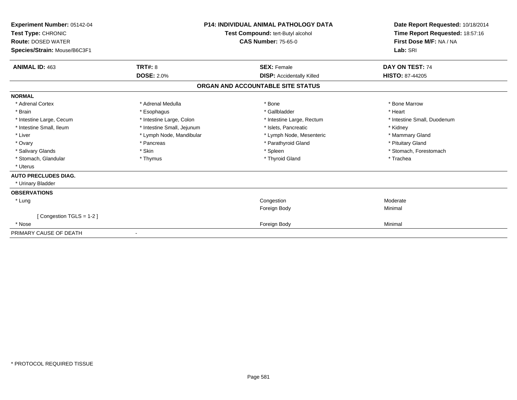| Experiment Number: 05142-04<br>Test Type: CHRONIC<br><b>Route: DOSED WATER</b><br>Species/Strain: Mouse/B6C3F1 |                            | <b>P14: INDIVIDUAL ANIMAL PATHOLOGY DATA</b><br>Test Compound: tert-Butyl alcohol<br><b>CAS Number: 75-65-0</b> | Date Report Requested: 10/18/2014<br>Time Report Requested: 18:57:16<br>First Dose M/F: NA / NA<br>Lab: SRI |
|----------------------------------------------------------------------------------------------------------------|----------------------------|-----------------------------------------------------------------------------------------------------------------|-------------------------------------------------------------------------------------------------------------|
| <b>ANIMAL ID: 463</b>                                                                                          | TRT#: 8                    | <b>SEX: Female</b>                                                                                              | DAY ON TEST: 74                                                                                             |
|                                                                                                                | <b>DOSE: 2.0%</b>          | <b>DISP:</b> Accidentally Killed                                                                                | HISTO: 87-44205                                                                                             |
|                                                                                                                |                            | ORGAN AND ACCOUNTABLE SITE STATUS                                                                               |                                                                                                             |
| <b>NORMAL</b>                                                                                                  |                            |                                                                                                                 |                                                                                                             |
| * Adrenal Cortex                                                                                               | * Adrenal Medulla          | * Bone                                                                                                          | * Bone Marrow                                                                                               |
| * Brain                                                                                                        | * Esophagus                | * Gallbladder                                                                                                   | * Heart                                                                                                     |
| * Intestine Large, Cecum                                                                                       | * Intestine Large, Colon   | * Intestine Large, Rectum                                                                                       | * Intestine Small, Duodenum                                                                                 |
| * Intestine Small, Ileum                                                                                       | * Intestine Small, Jejunum | * Islets, Pancreatic                                                                                            | * Kidney                                                                                                    |
| * Liver                                                                                                        | * Lymph Node, Mandibular   | * Lymph Node, Mesenteric                                                                                        | * Mammary Gland                                                                                             |
| * Ovary                                                                                                        | * Pancreas                 | * Parathyroid Gland                                                                                             | * Pituitary Gland                                                                                           |
| * Salivary Glands                                                                                              | * Skin                     | * Spleen                                                                                                        | * Stomach, Forestomach                                                                                      |
| * Stomach, Glandular                                                                                           | * Thymus                   | * Thyroid Gland                                                                                                 | * Trachea                                                                                                   |
| * Uterus                                                                                                       |                            |                                                                                                                 |                                                                                                             |
| <b>AUTO PRECLUDES DIAG.</b>                                                                                    |                            |                                                                                                                 |                                                                                                             |
| * Urinary Bladder                                                                                              |                            |                                                                                                                 |                                                                                                             |
| <b>OBSERVATIONS</b>                                                                                            |                            |                                                                                                                 |                                                                                                             |
| * Lung                                                                                                         |                            | Congestion                                                                                                      | Moderate                                                                                                    |
|                                                                                                                |                            | Foreign Body                                                                                                    | Minimal                                                                                                     |
| [Congestion TGLS = 1-2]                                                                                        |                            |                                                                                                                 |                                                                                                             |
| * Nose                                                                                                         |                            | Foreign Body                                                                                                    | Minimal                                                                                                     |
| PRIMARY CAUSE OF DEATH                                                                                         |                            |                                                                                                                 |                                                                                                             |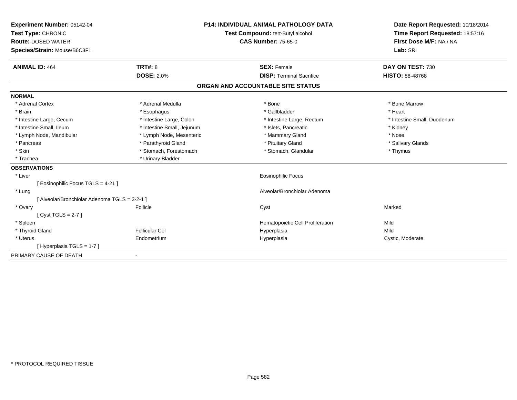| Experiment Number: 05142-04<br>Test Type: CHRONIC |                            | <b>P14: INDIVIDUAL ANIMAL PATHOLOGY DATA</b><br>Test Compound: tert-Butyl alcohol | Date Report Requested: 10/18/2014<br>Time Report Requested: 18:57:16 |
|---------------------------------------------------|----------------------------|-----------------------------------------------------------------------------------|----------------------------------------------------------------------|
| <b>Route: DOSED WATER</b>                         |                            | <b>CAS Number: 75-65-0</b>                                                        | First Dose M/F: NA / NA                                              |
| Species/Strain: Mouse/B6C3F1                      |                            |                                                                                   | Lab: SRI                                                             |
|                                                   |                            |                                                                                   |                                                                      |
| <b>ANIMAL ID: 464</b>                             | <b>TRT#: 8</b>             | <b>SEX: Female</b>                                                                | DAY ON TEST: 730                                                     |
|                                                   | <b>DOSE: 2.0%</b>          | <b>DISP: Terminal Sacrifice</b>                                                   | <b>HISTO: 88-48768</b>                                               |
|                                                   |                            | ORGAN AND ACCOUNTABLE SITE STATUS                                                 |                                                                      |
| <b>NORMAL</b>                                     |                            |                                                                                   |                                                                      |
| * Adrenal Cortex                                  | * Adrenal Medulla          | * Bone                                                                            | * Bone Marrow                                                        |
| * Brain                                           | * Esophagus                | * Gallbladder                                                                     | * Heart                                                              |
| * Intestine Large, Cecum                          | * Intestine Large, Colon   | * Intestine Large, Rectum                                                         | * Intestine Small, Duodenum                                          |
| * Intestine Small. Ileum                          | * Intestine Small, Jejunum | * Islets, Pancreatic                                                              | * Kidney                                                             |
| * Lymph Node, Mandibular                          | * Lymph Node, Mesenteric   | * Mammary Gland                                                                   | * Nose                                                               |
| * Pancreas                                        | * Parathyroid Gland        | * Pituitary Gland                                                                 | * Salivary Glands                                                    |
| * Skin                                            | * Stomach, Forestomach     | * Stomach, Glandular                                                              | * Thymus                                                             |
| * Trachea                                         | * Urinary Bladder          |                                                                                   |                                                                      |
| <b>OBSERVATIONS</b>                               |                            |                                                                                   |                                                                      |
| * Liver                                           |                            | <b>Eosinophilic Focus</b>                                                         |                                                                      |
| [ Eosinophilic Focus TGLS = 4-21 ]                |                            |                                                                                   |                                                                      |
| * Lung                                            |                            | Alveolar/Bronchiolar Adenoma                                                      |                                                                      |
| [ Alveolar/Bronchiolar Adenoma TGLS = 3-2-1 ]     |                            |                                                                                   |                                                                      |
| * Ovary                                           | Follicle                   | Cyst                                                                              | Marked                                                               |
| [Cyst TGLS = $2-7$ ]                              |                            |                                                                                   |                                                                      |
| * Spleen                                          |                            | Hematopoietic Cell Proliferation                                                  | Mild                                                                 |
| * Thyroid Gland                                   | <b>Follicular Cel</b>      | Hyperplasia                                                                       | Mild                                                                 |
| * Uterus                                          | Endometrium                | Hyperplasia                                                                       | Cystic, Moderate                                                     |
| [Hyperplasia TGLS = 1-7]                          |                            |                                                                                   |                                                                      |
| PRIMARY CAUSE OF DEATH                            | $\overline{\phantom{a}}$   |                                                                                   |                                                                      |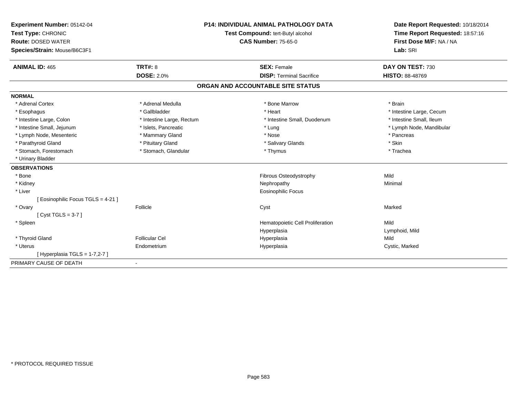| Experiment Number: 05142-04        | <b>P14: INDIVIDUAL ANIMAL PATHOLOGY DATA</b><br>Test Compound: tert-Butyl alcohol |                                   | Date Report Requested: 10/18/2014 |
|------------------------------------|-----------------------------------------------------------------------------------|-----------------------------------|-----------------------------------|
| Test Type: CHRONIC                 |                                                                                   |                                   | Time Report Requested: 18:57:16   |
| <b>Route: DOSED WATER</b>          |                                                                                   | <b>CAS Number: 75-65-0</b>        | First Dose M/F: NA / NA           |
| Species/Strain: Mouse/B6C3F1       |                                                                                   |                                   | Lab: SRI                          |
| <b>ANIMAL ID: 465</b>              | <b>TRT#: 8</b>                                                                    | <b>SEX: Female</b>                | DAY ON TEST: 730                  |
|                                    | <b>DOSE: 2.0%</b>                                                                 | <b>DISP: Terminal Sacrifice</b>   | <b>HISTO: 88-48769</b>            |
|                                    |                                                                                   | ORGAN AND ACCOUNTABLE SITE STATUS |                                   |
| <b>NORMAL</b>                      |                                                                                   |                                   |                                   |
| * Adrenal Cortex                   | * Adrenal Medulla                                                                 | * Bone Marrow                     | * Brain                           |
| * Esophagus                        | * Gallbladder                                                                     | * Heart                           | * Intestine Large, Cecum          |
| * Intestine Large, Colon           | * Intestine Large, Rectum                                                         | * Intestine Small, Duodenum       | * Intestine Small, Ileum          |
| * Intestine Small, Jejunum         | * Islets, Pancreatic                                                              | * Lung                            | * Lymph Node, Mandibular          |
| * Lymph Node, Mesenteric           | * Mammary Gland                                                                   | * Nose                            | * Pancreas                        |
| * Parathyroid Gland                | * Pituitary Gland                                                                 | * Salivary Glands                 | * Skin                            |
| * Stomach, Forestomach             | * Stomach, Glandular                                                              | * Thymus                          | * Trachea                         |
| * Urinary Bladder                  |                                                                                   |                                   |                                   |
| <b>OBSERVATIONS</b>                |                                                                                   |                                   |                                   |
| * Bone                             |                                                                                   | Fibrous Osteodystrophy            | Mild                              |
| * Kidney                           |                                                                                   | Nephropathy                       | Minimal                           |
| * Liver                            |                                                                                   | Eosinophilic Focus                |                                   |
| [ Eosinophilic Focus TGLS = 4-21 ] |                                                                                   |                                   |                                   |
| * Ovary                            | Follicle                                                                          | Cyst                              | Marked                            |
| [Cyst TGLS = $3-7$ ]               |                                                                                   |                                   |                                   |
| * Spleen                           |                                                                                   | Hematopoietic Cell Proliferation  | Mild                              |
|                                    |                                                                                   | Hyperplasia                       | Lymphoid, Mild                    |
| * Thyroid Gland                    | Follicular Cel                                                                    | Hyperplasia                       | Mild                              |
| * Uterus                           | Endometrium                                                                       | Hyperplasia                       | Cystic, Marked                    |
| [Hyperplasia TGLS = $1-7,2-7$ ]    |                                                                                   |                                   |                                   |
| PRIMARY CAUSE OF DEATH             |                                                                                   |                                   |                                   |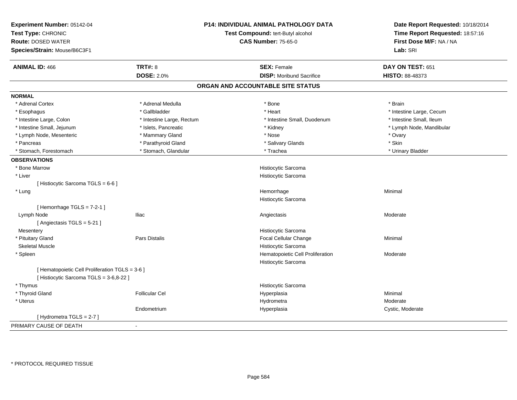| Experiment Number: 05142-04<br>Test Type: CHRONIC<br><b>Route: DOSED WATER</b><br>Species/Strain: Mouse/B6C3F1 | P14: INDIVIDUAL ANIMAL PATHOLOGY DATA<br>Test Compound: tert-Butyl alcohol<br><b>CAS Number: 75-65-0</b> |                                                         | Date Report Requested: 10/18/2014<br>Time Report Requested: 18:57:16<br>First Dose M/F: NA / NA<br>Lab: SRI |
|----------------------------------------------------------------------------------------------------------------|----------------------------------------------------------------------------------------------------------|---------------------------------------------------------|-------------------------------------------------------------------------------------------------------------|
| <b>ANIMAL ID: 466</b>                                                                                          | <b>TRT#: 8</b>                                                                                           | <b>SEX: Female</b>                                      | DAY ON TEST: 651                                                                                            |
|                                                                                                                | <b>DOSE: 2.0%</b>                                                                                        | <b>DISP:</b> Moribund Sacrifice                         | HISTO: 88-48373                                                                                             |
|                                                                                                                |                                                                                                          | ORGAN AND ACCOUNTABLE SITE STATUS                       |                                                                                                             |
| <b>NORMAL</b>                                                                                                  |                                                                                                          |                                                         |                                                                                                             |
| * Adrenal Cortex                                                                                               | * Adrenal Medulla                                                                                        | * Bone                                                  | * Brain                                                                                                     |
| * Esophagus                                                                                                    | * Gallbladder                                                                                            | * Heart                                                 | * Intestine Large, Cecum                                                                                    |
| * Intestine Large, Colon                                                                                       | * Intestine Large, Rectum                                                                                | * Intestine Small, Duodenum                             | * Intestine Small, Ileum                                                                                    |
| * Intestine Small, Jejunum                                                                                     | * Islets, Pancreatic                                                                                     | * Kidney                                                | * Lymph Node, Mandibular                                                                                    |
| * Lymph Node, Mesenteric                                                                                       | * Mammary Gland                                                                                          | * Nose                                                  | * Ovary                                                                                                     |
| * Pancreas                                                                                                     | * Parathyroid Gland                                                                                      | * Salivary Glands                                       | * Skin                                                                                                      |
| * Stomach, Forestomach                                                                                         | * Stomach, Glandular                                                                                     | * Trachea                                               | * Urinary Bladder                                                                                           |
| <b>OBSERVATIONS</b>                                                                                            |                                                                                                          |                                                         |                                                                                                             |
| * Bone Marrow                                                                                                  |                                                                                                          | Histiocytic Sarcoma                                     |                                                                                                             |
| * Liver                                                                                                        |                                                                                                          | Histiocytic Sarcoma                                     |                                                                                                             |
| [ Histiocytic Sarcoma TGLS = 6-6 ]                                                                             |                                                                                                          |                                                         |                                                                                                             |
| * Lung                                                                                                         |                                                                                                          | Hemorrhage                                              | Minimal                                                                                                     |
|                                                                                                                |                                                                                                          | Histiocytic Sarcoma                                     |                                                                                                             |
| [Hemorrhage TGLS = $7-2-1$ ]                                                                                   |                                                                                                          |                                                         |                                                                                                             |
| Lymph Node                                                                                                     | <b>Iliac</b>                                                                                             | Angiectasis                                             | Moderate                                                                                                    |
| [ Angiectasis TGLS = 5-21 ]                                                                                    |                                                                                                          |                                                         |                                                                                                             |
| Mesentery                                                                                                      |                                                                                                          | Histiocytic Sarcoma                                     |                                                                                                             |
| * Pituitary Gland                                                                                              | Pars Distalis                                                                                            | Focal Cellular Change                                   | Minimal                                                                                                     |
| <b>Skeletal Muscle</b>                                                                                         |                                                                                                          | Histiocytic Sarcoma                                     |                                                                                                             |
| * Spleen                                                                                                       |                                                                                                          | Hematopoietic Cell Proliferation<br>Histiocytic Sarcoma | Moderate                                                                                                    |
| [ Hematopoietic Cell Proliferation TGLS = 3-6 ]<br>[ Histiocytic Sarcoma TGLS = 3-6,8-22 ]                     |                                                                                                          |                                                         |                                                                                                             |
| * Thymus                                                                                                       |                                                                                                          | Histiocytic Sarcoma                                     |                                                                                                             |
| * Thyroid Gland                                                                                                | <b>Follicular Cel</b>                                                                                    | Hyperplasia                                             | Minimal                                                                                                     |
| * Uterus                                                                                                       |                                                                                                          | Hydrometra                                              | Moderate                                                                                                    |
|                                                                                                                | Endometrium                                                                                              | Hyperplasia                                             | Cystic, Moderate                                                                                            |
| [Hydrometra TGLS = 2-7]                                                                                        |                                                                                                          |                                                         |                                                                                                             |
| PRIMARY CAUSE OF DEATH                                                                                         |                                                                                                          |                                                         |                                                                                                             |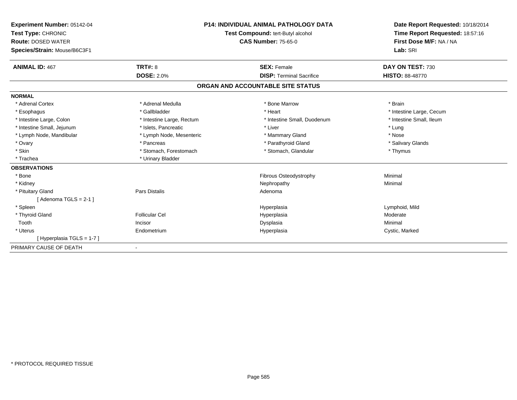| Experiment Number: 05142-04<br>Test Type: CHRONIC<br><b>Route: DOSED WATER</b><br>Species/Strain: Mouse/B6C3F1<br><b>ANIMAL ID: 467</b> | <b>P14: INDIVIDUAL ANIMAL PATHOLOGY DATA</b><br>Test Compound: tert-Butyl alcohol<br><b>CAS Number: 75-65-0</b> |                                                       | Date Report Requested: 10/18/2014<br>Time Report Requested: 18:57:16<br>First Dose M/F: NA / NA<br>Lab: SRI<br>DAY ON TEST: 730 |
|-----------------------------------------------------------------------------------------------------------------------------------------|-----------------------------------------------------------------------------------------------------------------|-------------------------------------------------------|---------------------------------------------------------------------------------------------------------------------------------|
|                                                                                                                                         | TRT#: 8<br><b>DOSE: 2.0%</b>                                                                                    | <b>SEX: Female</b><br><b>DISP: Terminal Sacrifice</b> | <b>HISTO: 88-48770</b>                                                                                                          |
|                                                                                                                                         |                                                                                                                 | ORGAN AND ACCOUNTABLE SITE STATUS                     |                                                                                                                                 |
| <b>NORMAL</b>                                                                                                                           |                                                                                                                 |                                                       |                                                                                                                                 |
| * Adrenal Cortex                                                                                                                        | * Adrenal Medulla                                                                                               | * Bone Marrow                                         | * Brain                                                                                                                         |
| * Esophagus                                                                                                                             | * Gallbladder                                                                                                   | * Heart                                               | * Intestine Large, Cecum                                                                                                        |
| * Intestine Large, Colon                                                                                                                | * Intestine Large, Rectum                                                                                       | * Intestine Small, Duodenum                           | * Intestine Small, Ileum                                                                                                        |
| * Intestine Small, Jejunum                                                                                                              | * Islets, Pancreatic                                                                                            | * Liver                                               | * Lung                                                                                                                          |
| * Lymph Node, Mandibular                                                                                                                | * Lymph Node, Mesenteric                                                                                        | * Mammary Gland                                       | * Nose                                                                                                                          |
| * Ovary                                                                                                                                 | * Pancreas                                                                                                      | * Parathyroid Gland                                   | * Salivary Glands                                                                                                               |
| * Skin                                                                                                                                  | * Stomach, Forestomach                                                                                          | * Stomach, Glandular                                  | * Thymus                                                                                                                        |
| * Trachea                                                                                                                               | * Urinary Bladder                                                                                               |                                                       |                                                                                                                                 |
| <b>OBSERVATIONS</b>                                                                                                                     |                                                                                                                 |                                                       |                                                                                                                                 |
| * Bone                                                                                                                                  |                                                                                                                 | Fibrous Osteodystrophy                                | Minimal                                                                                                                         |
| * Kidney                                                                                                                                |                                                                                                                 | Nephropathy                                           | Minimal                                                                                                                         |
| * Pituitary Gland                                                                                                                       | Pars Distalis                                                                                                   | Adenoma                                               |                                                                                                                                 |
| [Adenoma TGLS = 2-1]                                                                                                                    |                                                                                                                 |                                                       |                                                                                                                                 |
| * Spleen                                                                                                                                |                                                                                                                 | Hyperplasia                                           | Lymphoid, Mild                                                                                                                  |
| * Thyroid Gland                                                                                                                         | <b>Follicular Cel</b>                                                                                           | Hyperplasia                                           | Moderate                                                                                                                        |
| Tooth                                                                                                                                   | Incisor                                                                                                         | Dysplasia                                             | Minimal                                                                                                                         |
| * Uterus                                                                                                                                | Endometrium                                                                                                     | Hyperplasia                                           | Cystic, Marked                                                                                                                  |
| [Hyperplasia TGLS = 1-7]                                                                                                                |                                                                                                                 |                                                       |                                                                                                                                 |
| PRIMARY CAUSE OF DEATH                                                                                                                  | $\blacksquare$                                                                                                  |                                                       |                                                                                                                                 |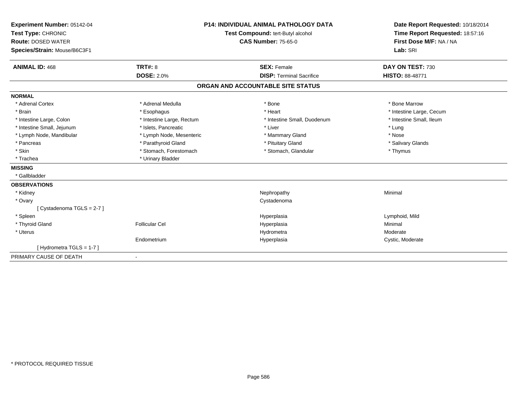| Experiment Number: 05142-04<br>Test Type: CHRONIC<br><b>Route: DOSED WATER</b><br>Species/Strain: Mouse/B6C3F1 |                                     | <b>P14: INDIVIDUAL ANIMAL PATHOLOGY DATA</b><br>Test Compound: tert-Butyl alcohol<br><b>CAS Number: 75-65-0</b> | Date Report Requested: 10/18/2014<br>Time Report Requested: 18:57:16<br>First Dose M/F: NA / NA<br>Lab: SRI |
|----------------------------------------------------------------------------------------------------------------|-------------------------------------|-----------------------------------------------------------------------------------------------------------------|-------------------------------------------------------------------------------------------------------------|
| <b>ANIMAL ID: 468</b>                                                                                          | <b>TRT#: 8</b><br><b>DOSE: 2.0%</b> | <b>SEX: Female</b><br><b>DISP: Terminal Sacrifice</b>                                                           | DAY ON TEST: 730<br><b>HISTO: 88-48771</b>                                                                  |
|                                                                                                                |                                     |                                                                                                                 |                                                                                                             |
|                                                                                                                |                                     | ORGAN AND ACCOUNTABLE SITE STATUS                                                                               |                                                                                                             |
| <b>NORMAL</b>                                                                                                  |                                     |                                                                                                                 |                                                                                                             |
| * Adrenal Cortex                                                                                               | * Adrenal Medulla                   | * Bone                                                                                                          | * Bone Marrow                                                                                               |
| * Brain                                                                                                        | * Esophagus                         | * Heart                                                                                                         | * Intestine Large, Cecum                                                                                    |
| * Intestine Large, Colon                                                                                       | * Intestine Large, Rectum           | * Intestine Small, Duodenum                                                                                     | * Intestine Small, Ileum                                                                                    |
| * Intestine Small, Jejunum                                                                                     | * Islets, Pancreatic                | * Liver                                                                                                         | * Lung                                                                                                      |
| * Lymph Node, Mandibular                                                                                       | * Lymph Node, Mesenteric            | * Mammary Gland                                                                                                 | * Nose                                                                                                      |
| * Pancreas                                                                                                     | * Parathyroid Gland                 | * Pituitary Gland                                                                                               | * Salivary Glands                                                                                           |
| * Skin                                                                                                         | * Stomach, Forestomach              | * Stomach, Glandular                                                                                            | * Thymus                                                                                                    |
| * Trachea                                                                                                      | * Urinary Bladder                   |                                                                                                                 |                                                                                                             |
| <b>MISSING</b>                                                                                                 |                                     |                                                                                                                 |                                                                                                             |
| * Gallbladder                                                                                                  |                                     |                                                                                                                 |                                                                                                             |
| <b>OBSERVATIONS</b>                                                                                            |                                     |                                                                                                                 |                                                                                                             |
| * Kidney                                                                                                       |                                     | Nephropathy                                                                                                     | Minimal                                                                                                     |
| * Ovary                                                                                                        |                                     | Cystadenoma                                                                                                     |                                                                                                             |
| [Cystadenoma TGLS = 2-7]                                                                                       |                                     |                                                                                                                 |                                                                                                             |
| * Spleen                                                                                                       |                                     | Hyperplasia                                                                                                     | Lymphoid, Mild                                                                                              |
| * Thyroid Gland                                                                                                | <b>Follicular Cel</b>               | Hyperplasia                                                                                                     | Minimal                                                                                                     |
| * Uterus                                                                                                       |                                     | Hydrometra                                                                                                      | Moderate                                                                                                    |
|                                                                                                                | Endometrium                         | Hyperplasia                                                                                                     | Cystic, Moderate                                                                                            |
| [Hydrometra TGLS = 1-7]                                                                                        |                                     |                                                                                                                 |                                                                                                             |
| PRIMARY CAUSE OF DEATH                                                                                         |                                     |                                                                                                                 |                                                                                                             |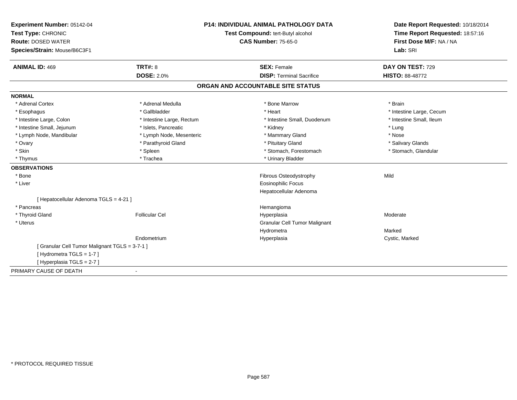| Experiment Number: 05142-04                    | <b>P14: INDIVIDUAL ANIMAL PATHOLOGY DATA</b> |                                   | Date Report Requested: 10/18/2014 |
|------------------------------------------------|----------------------------------------------|-----------------------------------|-----------------------------------|
| Test Type: CHRONIC                             |                                              | Test Compound: tert-Butyl alcohol | Time Report Requested: 18:57:16   |
| <b>Route: DOSED WATER</b>                      |                                              | <b>CAS Number: 75-65-0</b>        | First Dose M/F: NA / NA           |
| Species/Strain: Mouse/B6C3F1                   |                                              |                                   | Lab: SRI                          |
| <b>ANIMAL ID: 469</b>                          | TRT#: 8                                      | <b>SEX: Female</b>                | DAY ON TEST: 729                  |
|                                                | <b>DOSE: 2.0%</b>                            | <b>DISP: Terminal Sacrifice</b>   | <b>HISTO: 88-48772</b>            |
|                                                |                                              | ORGAN AND ACCOUNTABLE SITE STATUS |                                   |
| <b>NORMAL</b>                                  |                                              |                                   |                                   |
| * Adrenal Cortex                               | * Adrenal Medulla                            | * Bone Marrow                     | * Brain                           |
| * Esophagus                                    | * Gallbladder                                | * Heart                           | * Intestine Large, Cecum          |
| * Intestine Large, Colon                       | * Intestine Large, Rectum                    | * Intestine Small, Duodenum       | * Intestine Small, Ileum          |
| * Intestine Small, Jejunum                     | * Islets. Pancreatic                         | * Kidney                          | * Lung                            |
| * Lymph Node, Mandibular                       | * Lymph Node, Mesenteric                     | * Mammary Gland                   | * Nose                            |
| * Ovary                                        | * Parathyroid Gland                          | * Pituitary Gland                 | * Salivary Glands                 |
| * Skin                                         | * Spleen                                     | * Stomach, Forestomach            | * Stomach, Glandular              |
| * Thymus                                       | * Trachea                                    | * Urinary Bladder                 |                                   |
| <b>OBSERVATIONS</b>                            |                                              |                                   |                                   |
| * Bone                                         |                                              | Fibrous Osteodystrophy            | Mild                              |
| * Liver                                        |                                              | <b>Eosinophilic Focus</b>         |                                   |
|                                                |                                              | Hepatocellular Adenoma            |                                   |
| [ Hepatocellular Adenoma TGLS = 4-21 ]         |                                              |                                   |                                   |
| * Pancreas                                     |                                              | Hemangioma                        |                                   |
| * Thyroid Gland                                | <b>Follicular Cel</b>                        | Hyperplasia                       | Moderate                          |
| * Uterus                                       |                                              | Granular Cell Tumor Malignant     |                                   |
|                                                |                                              | Hydrometra                        | Marked                            |
|                                                | Endometrium                                  | Hyperplasia                       | Cystic, Marked                    |
| [ Granular Cell Tumor Malignant TGLS = 3-7-1 ] |                                              |                                   |                                   |
| [Hydrometra TGLS = 1-7]                        |                                              |                                   |                                   |
| [Hyperplasia TGLS = 2-7]                       |                                              |                                   |                                   |
| PRIMARY CAUSE OF DEATH                         |                                              |                                   |                                   |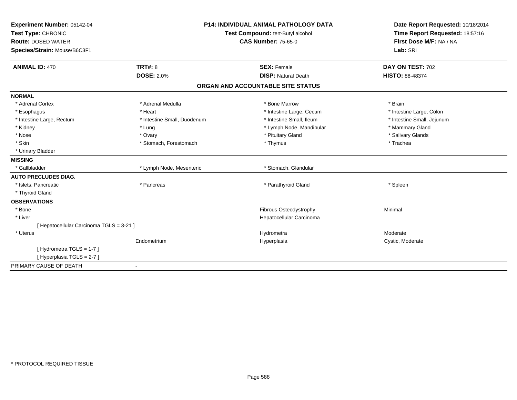| Experiment Number: 05142-04              |                                   | <b>P14: INDIVIDUAL ANIMAL PATHOLOGY DATA</b> | Date Report Requested: 10/18/2014 |
|------------------------------------------|-----------------------------------|----------------------------------------------|-----------------------------------|
| Test Type: CHRONIC                       | Test Compound: tert-Butyl alcohol |                                              | Time Report Requested: 18:57:16   |
| <b>Route: DOSED WATER</b>                |                                   | <b>CAS Number: 75-65-0</b>                   | First Dose M/F: NA / NA           |
| Species/Strain: Mouse/B6C3F1             |                                   |                                              | Lab: SRI                          |
| <b>ANIMAL ID: 470</b>                    | TRT#: 8                           | <b>SEX: Female</b>                           | DAY ON TEST: 702                  |
|                                          | <b>DOSE: 2.0%</b>                 | <b>DISP: Natural Death</b>                   | <b>HISTO: 88-48374</b>            |
|                                          |                                   | ORGAN AND ACCOUNTABLE SITE STATUS            |                                   |
| <b>NORMAL</b>                            |                                   |                                              |                                   |
| * Adrenal Cortex                         | * Adrenal Medulla                 | * Bone Marrow                                | * Brain                           |
| * Esophagus                              | * Heart                           | * Intestine Large, Cecum                     | * Intestine Large, Colon          |
| * Intestine Large, Rectum                | * Intestine Small, Duodenum       | * Intestine Small, Ileum                     | * Intestine Small, Jejunum        |
| * Kidney                                 | * Lung                            | * Lymph Node, Mandibular                     | * Mammary Gland                   |
| * Nose                                   | * Ovary                           | * Pituitary Gland                            | * Salivary Glands                 |
| * Skin                                   | * Stomach, Forestomach            | * Thymus                                     | * Trachea                         |
| * Urinary Bladder                        |                                   |                                              |                                   |
| <b>MISSING</b>                           |                                   |                                              |                                   |
| * Gallbladder                            | * Lymph Node, Mesenteric          | * Stomach, Glandular                         |                                   |
| <b>AUTO PRECLUDES DIAG.</b>              |                                   |                                              |                                   |
| * Islets, Pancreatic                     | * Pancreas                        | * Parathyroid Gland                          | * Spleen                          |
| * Thyroid Gland                          |                                   |                                              |                                   |
| <b>OBSERVATIONS</b>                      |                                   |                                              |                                   |
| * Bone                                   |                                   | Fibrous Osteodystrophy                       | Minimal                           |
| * Liver                                  |                                   | Hepatocellular Carcinoma                     |                                   |
| [ Hepatocellular Carcinoma TGLS = 3-21 ] |                                   |                                              |                                   |
| * Uterus                                 |                                   | Hydrometra                                   | Moderate                          |
|                                          | Endometrium                       | Hyperplasia                                  | Cystic, Moderate                  |
| [Hydrometra TGLS = 1-7]                  |                                   |                                              |                                   |
| [Hyperplasia TGLS = 2-7]                 |                                   |                                              |                                   |
| PRIMARY CAUSE OF DEATH                   | $\blacksquare$                    |                                              |                                   |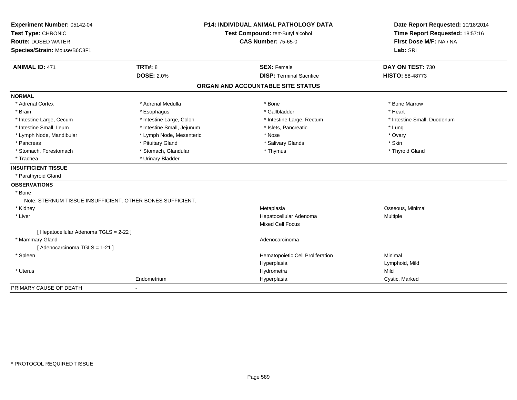| Experiment Number: 05142-04                                |                                   | <b>P14: INDIVIDUAL ANIMAL PATHOLOGY DATA</b> | Date Report Requested: 10/18/2014 |
|------------------------------------------------------------|-----------------------------------|----------------------------------------------|-----------------------------------|
| Test Type: CHRONIC                                         | Test Compound: tert-Butyl alcohol |                                              | Time Report Requested: 18:57:16   |
| <b>Route: DOSED WATER</b>                                  |                                   | <b>CAS Number: 75-65-0</b>                   | First Dose M/F: NA / NA           |
| Species/Strain: Mouse/B6C3F1                               |                                   |                                              | Lab: SRI                          |
| <b>ANIMAL ID: 471</b>                                      | <b>TRT#: 8</b>                    | <b>SEX: Female</b>                           | DAY ON TEST: 730                  |
|                                                            | <b>DOSE: 2.0%</b>                 | <b>DISP: Terminal Sacrifice</b>              | <b>HISTO: 88-48773</b>            |
|                                                            |                                   | ORGAN AND ACCOUNTABLE SITE STATUS            |                                   |
| <b>NORMAL</b>                                              |                                   |                                              |                                   |
| * Adrenal Cortex                                           | * Adrenal Medulla                 | * Bone                                       | * Bone Marrow                     |
| * Brain                                                    | * Esophagus                       | * Gallbladder                                | * Heart                           |
| * Intestine Large, Cecum                                   | * Intestine Large, Colon          | * Intestine Large, Rectum                    | * Intestine Small, Duodenum       |
| * Intestine Small, Ileum                                   | * Intestine Small, Jejunum        | * Islets, Pancreatic                         | * Lung                            |
| * Lymph Node, Mandibular                                   | * Lymph Node, Mesenteric          | * Nose                                       | * Ovary                           |
| * Pancreas                                                 | * Pituitary Gland                 | * Salivary Glands                            | * Skin                            |
| * Stomach, Forestomach                                     | * Stomach, Glandular              | * Thymus                                     | * Thyroid Gland                   |
| * Trachea                                                  | * Urinary Bladder                 |                                              |                                   |
| <b>INSUFFICIENT TISSUE</b>                                 |                                   |                                              |                                   |
| * Parathyroid Gland                                        |                                   |                                              |                                   |
| <b>OBSERVATIONS</b>                                        |                                   |                                              |                                   |
| * Bone                                                     |                                   |                                              |                                   |
| Note: STERNUM TISSUE INSUFFICIENT, OTHER BONES SUFFICIENT. |                                   |                                              |                                   |
| * Kidney                                                   |                                   | Metaplasia                                   | Osseous, Minimal                  |
| * Liver                                                    |                                   | Hepatocellular Adenoma                       | Multiple                          |
|                                                            |                                   | <b>Mixed Cell Focus</b>                      |                                   |
| [ Hepatocellular Adenoma TGLS = 2-22 ]                     |                                   |                                              |                                   |
| * Mammary Gland                                            |                                   | Adenocarcinoma                               |                                   |
| [Adenocarcinoma TGLS = 1-21]                               |                                   |                                              |                                   |
| * Spleen                                                   |                                   | Hematopoietic Cell Proliferation             | Minimal                           |
|                                                            |                                   | Hyperplasia                                  | Lymphoid, Mild                    |
| * Uterus                                                   |                                   | Hydrometra                                   | Mild                              |
|                                                            | Endometrium                       | Hyperplasia                                  | Cystic, Marked                    |
| PRIMARY CAUSE OF DEATH                                     |                                   |                                              |                                   |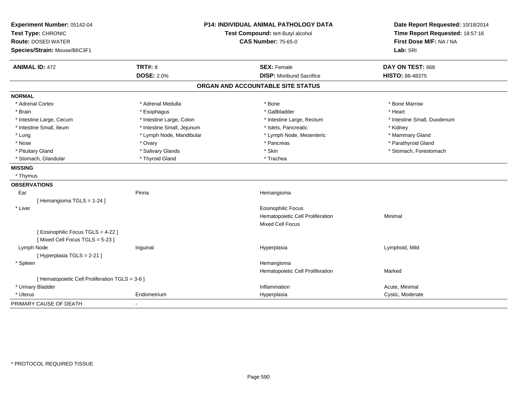| Experiment Number: 05142-04<br>Test Type: CHRONIC |                            | P14: INDIVIDUAL ANIMAL PATHOLOGY DATA<br>Test Compound: tert-Butyl alcohol | Date Report Requested: 10/18/2014<br>Time Report Requested: 18:57:16 |
|---------------------------------------------------|----------------------------|----------------------------------------------------------------------------|----------------------------------------------------------------------|
| <b>Route: DOSED WATER</b>                         | <b>CAS Number: 75-65-0</b> |                                                                            | First Dose M/F: NA / NA                                              |
| Species/Strain: Mouse/B6C3F1                      |                            |                                                                            | Lab: SRI                                                             |
| <b>ANIMAL ID: 472</b>                             | <b>TRT#: 8</b>             | <b>SEX: Female</b>                                                         | DAY ON TEST: 668                                                     |
|                                                   | <b>DOSE: 2.0%</b>          | <b>DISP: Moribund Sacrifice</b>                                            | <b>HISTO: 88-48375</b>                                               |
|                                                   |                            | ORGAN AND ACCOUNTABLE SITE STATUS                                          |                                                                      |
| <b>NORMAL</b>                                     |                            |                                                                            |                                                                      |
| * Adrenal Cortex                                  | * Adrenal Medulla          | * Bone                                                                     | * Bone Marrow                                                        |
| * Brain                                           | * Esophagus                | * Gallbladder                                                              | * Heart                                                              |
| * Intestine Large, Cecum                          | * Intestine Large, Colon   | * Intestine Large, Rectum                                                  | * Intestine Small, Duodenum                                          |
| * Intestine Small, Ileum                          | * Intestine Small, Jejunum | * Islets, Pancreatic                                                       | * Kidney                                                             |
| * Lung                                            | * Lymph Node, Mandibular   | * Lymph Node, Mesenteric                                                   | * Mammary Gland                                                      |
| * Nose                                            | * Ovary                    | * Pancreas                                                                 | * Parathyroid Gland                                                  |
| * Pituitary Gland                                 | * Salivary Glands          | * Skin                                                                     | * Stomach, Forestomach                                               |
| * Stomach, Glandular                              | * Thyroid Gland            | * Trachea                                                                  |                                                                      |
| <b>MISSING</b>                                    |                            |                                                                            |                                                                      |
| * Thymus                                          |                            |                                                                            |                                                                      |
| <b>OBSERVATIONS</b>                               |                            |                                                                            |                                                                      |
| Ear                                               | Pinna                      | Hemangioma                                                                 |                                                                      |
| [Hemangioma TGLS = 1-24]                          |                            |                                                                            |                                                                      |
| * Liver                                           |                            | <b>Eosinophilic Focus</b>                                                  |                                                                      |
|                                                   |                            | Hematopoietic Cell Proliferation                                           | Minimal                                                              |
|                                                   |                            | Mixed Cell Focus                                                           |                                                                      |
| [ Eosinophilic Focus TGLS = 4-22 ]                |                            |                                                                            |                                                                      |
| [Mixed Cell Focus TGLS = 5-23]                    |                            |                                                                            |                                                                      |
| Lymph Node                                        | Inguinal                   | Hyperplasia                                                                | Lymphoid, Mild                                                       |
| [ Hyperplasia TGLS = 2-21 ]                       |                            |                                                                            |                                                                      |
| * Spleen                                          |                            | Hemangioma                                                                 |                                                                      |
|                                                   |                            | Hematopoietic Cell Proliferation                                           | Marked                                                               |
| [ Hematopoietic Cell Proliferation TGLS = 3-6 ]   |                            |                                                                            |                                                                      |
| * Urinary Bladder                                 |                            | Inflammation                                                               | Acute, Minimal                                                       |
| * Uterus                                          | Endometrium                | Hyperplasia                                                                | Cystic, Moderate                                                     |
| PRIMARY CAUSE OF DEATH                            |                            |                                                                            |                                                                      |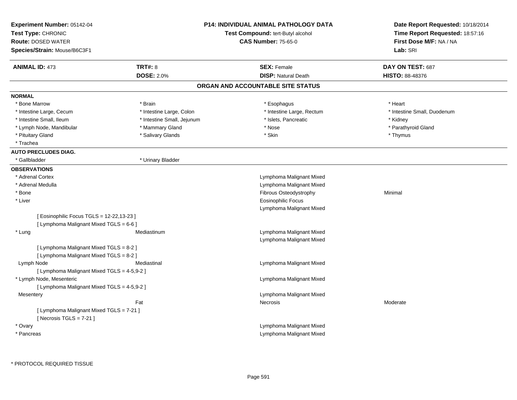| Experiment Number: 05142-04<br>Test Type: CHRONIC<br><b>Route: DOSED WATER</b><br>Species/Strain: Mouse/B6C3F1 |                            | <b>P14: INDIVIDUAL ANIMAL PATHOLOGY DATA</b><br><b>Test Compound: tert-Butyl alcohol</b><br><b>CAS Number: 75-65-0</b> | Date Report Requested: 10/18/2014<br>Time Report Requested: 18:57:16<br>First Dose M/F: NA / NA<br>Lab: SRI |
|----------------------------------------------------------------------------------------------------------------|----------------------------|------------------------------------------------------------------------------------------------------------------------|-------------------------------------------------------------------------------------------------------------|
| <b>ANIMAL ID: 473</b>                                                                                          | <b>TRT#: 8</b>             | <b>SEX: Female</b>                                                                                                     | DAY ON TEST: 687                                                                                            |
|                                                                                                                | <b>DOSE: 2.0%</b>          | <b>DISP: Natural Death</b>                                                                                             | <b>HISTO: 88-48376</b>                                                                                      |
|                                                                                                                |                            | ORGAN AND ACCOUNTABLE SITE STATUS                                                                                      |                                                                                                             |
| <b>NORMAL</b>                                                                                                  |                            |                                                                                                                        |                                                                                                             |
| * Bone Marrow                                                                                                  | * Brain                    | * Esophagus                                                                                                            | * Heart                                                                                                     |
| * Intestine Large, Cecum                                                                                       | * Intestine Large, Colon   | * Intestine Large, Rectum                                                                                              | * Intestine Small, Duodenum                                                                                 |
| * Intestine Small, Ileum                                                                                       | * Intestine Small, Jejunum | * Islets, Pancreatic                                                                                                   | * Kidney                                                                                                    |
| * Lymph Node, Mandibular                                                                                       | * Mammary Gland            | * Nose                                                                                                                 | * Parathyroid Gland                                                                                         |
| * Pituitary Gland                                                                                              | * Salivary Glands          | * Skin                                                                                                                 | * Thymus                                                                                                    |
| * Trachea                                                                                                      |                            |                                                                                                                        |                                                                                                             |
| <b>AUTO PRECLUDES DIAG.</b>                                                                                    |                            |                                                                                                                        |                                                                                                             |
| * Gallbladder                                                                                                  | * Urinary Bladder          |                                                                                                                        |                                                                                                             |
| <b>OBSERVATIONS</b>                                                                                            |                            |                                                                                                                        |                                                                                                             |
| * Adrenal Cortex                                                                                               |                            | Lymphoma Malignant Mixed                                                                                               |                                                                                                             |
| * Adrenal Medulla                                                                                              |                            | Lymphoma Malignant Mixed                                                                                               |                                                                                                             |
| * Bone                                                                                                         |                            | Fibrous Osteodystrophy                                                                                                 | Minimal                                                                                                     |
| * Liver                                                                                                        |                            | <b>Eosinophilic Focus</b>                                                                                              |                                                                                                             |
|                                                                                                                |                            | Lymphoma Malignant Mixed                                                                                               |                                                                                                             |
| [ Eosinophilic Focus TGLS = 12-22,13-23 ]                                                                      |                            |                                                                                                                        |                                                                                                             |
| [ Lymphoma Malignant Mixed TGLS = 6-6 ]                                                                        |                            |                                                                                                                        |                                                                                                             |
| * Lung                                                                                                         | Mediastinum                | Lymphoma Malignant Mixed                                                                                               |                                                                                                             |
|                                                                                                                |                            | Lymphoma Malignant Mixed                                                                                               |                                                                                                             |
| [ Lymphoma Malignant Mixed TGLS = 8-2 ]                                                                        |                            |                                                                                                                        |                                                                                                             |
| [ Lymphoma Malignant Mixed TGLS = 8-2 ]                                                                        |                            |                                                                                                                        |                                                                                                             |
| Lymph Node                                                                                                     | Mediastinal                | Lymphoma Malignant Mixed                                                                                               |                                                                                                             |
| [ Lymphoma Malignant Mixed TGLS = 4-5,9-2 ]                                                                    |                            |                                                                                                                        |                                                                                                             |
| * Lymph Node, Mesenteric                                                                                       |                            | Lymphoma Malignant Mixed                                                                                               |                                                                                                             |
| [ Lymphoma Malignant Mixed TGLS = 4-5,9-2 ]                                                                    |                            |                                                                                                                        |                                                                                                             |
| Mesentery                                                                                                      |                            | Lymphoma Malignant Mixed                                                                                               |                                                                                                             |
|                                                                                                                | Fat                        | <b>Necrosis</b>                                                                                                        | Moderate                                                                                                    |
| [ Lymphoma Malignant Mixed TGLS = 7-21 ]<br>[Necrosis $TGLS = 7-21$ ]                                          |                            |                                                                                                                        |                                                                                                             |
| * Ovary                                                                                                        |                            | Lymphoma Malignant Mixed                                                                                               |                                                                                                             |
| * Pancreas                                                                                                     |                            | Lymphoma Malignant Mixed                                                                                               |                                                                                                             |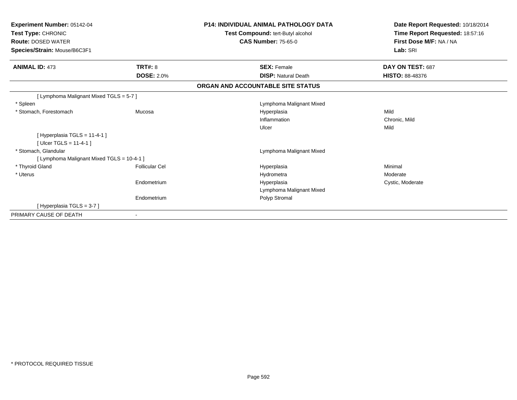| Experiment Number: 05142-04<br>Test Type: CHRONIC<br><b>Route: DOSED WATER</b><br>Species/Strain: Mouse/B6C3F1 |                       | <b>P14: INDIVIDUAL ANIMAL PATHOLOGY DATA</b><br>Test Compound: tert-Butyl alcohol<br><b>CAS Number: 75-65-0</b> | Date Report Requested: 10/18/2014<br>Time Report Requested: 18:57:16<br>First Dose M/F: NA / NA<br>Lab: SRI |
|----------------------------------------------------------------------------------------------------------------|-----------------------|-----------------------------------------------------------------------------------------------------------------|-------------------------------------------------------------------------------------------------------------|
| <b>ANIMAL ID: 473</b>                                                                                          | <b>TRT#: 8</b>        | <b>SEX: Female</b>                                                                                              | DAY ON TEST: 687                                                                                            |
|                                                                                                                | <b>DOSE: 2.0%</b>     | <b>DISP: Natural Death</b>                                                                                      | <b>HISTO: 88-48376</b>                                                                                      |
|                                                                                                                |                       | ORGAN AND ACCOUNTABLE SITE STATUS                                                                               |                                                                                                             |
| [ Lymphoma Malignant Mixed TGLS = 5-7 ]                                                                        |                       |                                                                                                                 |                                                                                                             |
| * Spleen                                                                                                       |                       | Lymphoma Malignant Mixed                                                                                        |                                                                                                             |
| * Stomach, Forestomach                                                                                         | Mucosa                | Hyperplasia                                                                                                     | Mild                                                                                                        |
|                                                                                                                |                       | Inflammation                                                                                                    | Chronic, Mild                                                                                               |
|                                                                                                                |                       | Ulcer                                                                                                           | Mild                                                                                                        |
| [Hyperplasia TGLS = 11-4-1]<br>[ $Ulec$ TGLS = 11-4-1 ]                                                        |                       |                                                                                                                 |                                                                                                             |
| * Stomach, Glandular                                                                                           |                       | Lymphoma Malignant Mixed                                                                                        |                                                                                                             |
| [ Lymphoma Malignant Mixed TGLS = 10-4-1 ]                                                                     |                       |                                                                                                                 |                                                                                                             |
| * Thyroid Gland                                                                                                | <b>Follicular Cel</b> | Hyperplasia                                                                                                     | Minimal                                                                                                     |
| * Uterus                                                                                                       |                       | Hydrometra                                                                                                      | Moderate                                                                                                    |
|                                                                                                                | Endometrium           | Hyperplasia                                                                                                     | Cystic, Moderate                                                                                            |
|                                                                                                                |                       | Lymphoma Malignant Mixed                                                                                        |                                                                                                             |
|                                                                                                                | Endometrium           | Polyp Stromal                                                                                                   |                                                                                                             |
| [Hyperplasia TGLS = 3-7]                                                                                       |                       |                                                                                                                 |                                                                                                             |
| PRIMARY CAUSE OF DEATH                                                                                         | ۰                     |                                                                                                                 |                                                                                                             |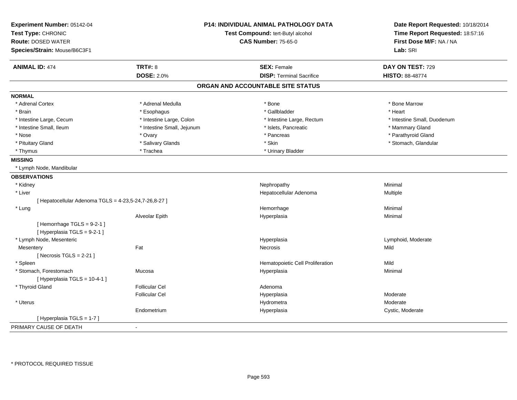| Experiment Number: 05142-04                                | <b>P14: INDIVIDUAL ANIMAL PATHOLOGY DATA</b><br>Test Compound: tert-Butyl alcohol |                                   | Date Report Requested: 10/18/2014 |
|------------------------------------------------------------|-----------------------------------------------------------------------------------|-----------------------------------|-----------------------------------|
| Test Type: CHRONIC                                         |                                                                                   |                                   | Time Report Requested: 18:57:16   |
| <b>Route: DOSED WATER</b>                                  |                                                                                   | <b>CAS Number: 75-65-0</b>        | First Dose M/F: NA / NA           |
| Species/Strain: Mouse/B6C3F1                               |                                                                                   |                                   | Lab: SRI                          |
| <b>ANIMAL ID: 474</b>                                      | <b>TRT#: 8</b>                                                                    | <b>SEX: Female</b>                | DAY ON TEST: 729                  |
|                                                            | <b>DOSE: 2.0%</b>                                                                 | <b>DISP: Terminal Sacrifice</b>   | HISTO: 88-48774                   |
|                                                            |                                                                                   | ORGAN AND ACCOUNTABLE SITE STATUS |                                   |
| <b>NORMAL</b>                                              |                                                                                   |                                   |                                   |
| * Adrenal Cortex                                           | * Adrenal Medulla                                                                 | * Bone                            | * Bone Marrow                     |
| * Brain                                                    | * Esophagus                                                                       | * Gallbladder                     | * Heart                           |
| * Intestine Large, Cecum                                   | * Intestine Large, Colon                                                          | * Intestine Large, Rectum         | * Intestine Small, Duodenum       |
| * Intestine Small, Ileum                                   | * Intestine Small, Jejunum                                                        | * Islets, Pancreatic              | * Mammary Gland                   |
| * Nose                                                     | * Ovary                                                                           | * Pancreas                        | * Parathyroid Gland               |
| * Pituitary Gland                                          | * Salivary Glands                                                                 | * Skin                            | * Stomach, Glandular              |
| * Thymus                                                   | * Trachea                                                                         | * Urinary Bladder                 |                                   |
| <b>MISSING</b>                                             |                                                                                   |                                   |                                   |
| * Lymph Node, Mandibular                                   |                                                                                   |                                   |                                   |
| <b>OBSERVATIONS</b>                                        |                                                                                   |                                   |                                   |
| * Kidney                                                   |                                                                                   | Nephropathy                       | Minimal                           |
| * Liver                                                    |                                                                                   | Hepatocellular Adenoma            | Multiple                          |
| [ Hepatocellular Adenoma TGLS = 4-23,5-24,7-26,8-27 ]      |                                                                                   |                                   |                                   |
| * Lung                                                     |                                                                                   | Hemorrhage                        | Minimal                           |
|                                                            | Alveolar Epith                                                                    | Hyperplasia                       | Minimal                           |
| [Hemorrhage $TGLS = 9-2-1$ ]<br>[Hyperplasia TGLS = 9-2-1] |                                                                                   |                                   |                                   |
| * Lymph Node, Mesenteric                                   |                                                                                   | Hyperplasia                       | Lymphoid, Moderate                |
| Mesentery                                                  | Fat                                                                               | Necrosis                          | Mild                              |
| [ Necrosis TGLS = $2-21$ ]                                 |                                                                                   |                                   |                                   |
| * Spleen                                                   |                                                                                   | Hematopoietic Cell Proliferation  | Mild                              |
| * Stomach, Forestomach<br>[Hyperplasia TGLS = 10-4-1]      | Mucosa                                                                            | Hyperplasia                       | Minimal                           |
| * Thyroid Gland                                            | <b>Follicular Cel</b>                                                             | Adenoma                           |                                   |
|                                                            | <b>Follicular Cel</b>                                                             | Hyperplasia                       | Moderate                          |
| * Uterus                                                   |                                                                                   | Hydrometra                        | Moderate                          |
|                                                            | Endometrium                                                                       | Hyperplasia                       | Cystic, Moderate                  |
| [ Hyperplasia TGLS = 1-7 ]                                 |                                                                                   |                                   |                                   |
| PRIMARY CAUSE OF DEATH                                     | $\sim$                                                                            |                                   |                                   |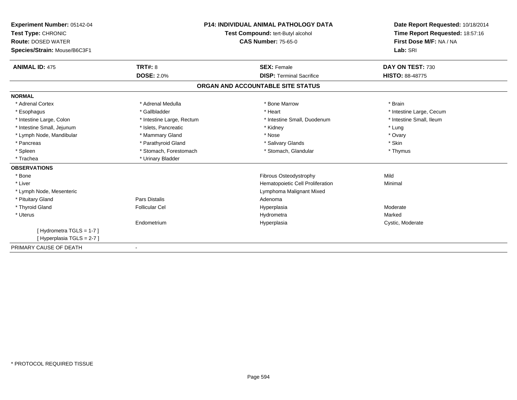| <b>Experiment Number: 05142-04</b><br>Test Type: CHRONIC<br><b>Route: DOSED WATER</b><br>Species/Strain: Mouse/B6C3F1 |                           | <b>P14: INDIVIDUAL ANIMAL PATHOLOGY DATA</b><br>Test Compound: tert-Butyl alcohol<br><b>CAS Number: 75-65-0</b> | Date Report Requested: 10/18/2014<br>Time Report Requested: 18:57:16<br>First Dose M/F: NA / NA<br>Lab: SRI |
|-----------------------------------------------------------------------------------------------------------------------|---------------------------|-----------------------------------------------------------------------------------------------------------------|-------------------------------------------------------------------------------------------------------------|
| <b>ANIMAL ID: 475</b>                                                                                                 | TRT#: 8                   | <b>SEX: Female</b>                                                                                              | DAY ON TEST: 730                                                                                            |
|                                                                                                                       | <b>DOSE: 2.0%</b>         | <b>DISP: Terminal Sacrifice</b>                                                                                 | <b>HISTO: 88-48775</b>                                                                                      |
|                                                                                                                       |                           | ORGAN AND ACCOUNTABLE SITE STATUS                                                                               |                                                                                                             |
| <b>NORMAL</b>                                                                                                         |                           |                                                                                                                 |                                                                                                             |
| * Adrenal Cortex                                                                                                      | * Adrenal Medulla         | * Bone Marrow                                                                                                   | * Brain                                                                                                     |
| * Esophagus                                                                                                           | * Gallbladder             | * Heart                                                                                                         | * Intestine Large, Cecum                                                                                    |
| * Intestine Large, Colon                                                                                              | * Intestine Large, Rectum | * Intestine Small. Duodenum                                                                                     | * Intestine Small. Ileum                                                                                    |
| * Intestine Small, Jejunum                                                                                            | * Islets, Pancreatic      | * Kidney                                                                                                        | * Lung                                                                                                      |
| * Lymph Node, Mandibular                                                                                              | * Mammary Gland           | * Nose                                                                                                          | * Ovary                                                                                                     |
| * Pancreas                                                                                                            | * Parathyroid Gland       | * Salivary Glands                                                                                               | * Skin                                                                                                      |
| * Spleen                                                                                                              | * Stomach, Forestomach    | * Stomach, Glandular                                                                                            | * Thymus                                                                                                    |
| * Trachea                                                                                                             | * Urinary Bladder         |                                                                                                                 |                                                                                                             |
| <b>OBSERVATIONS</b>                                                                                                   |                           |                                                                                                                 |                                                                                                             |
| * Bone                                                                                                                |                           | Fibrous Osteodystrophy                                                                                          | Mild                                                                                                        |
| * Liver                                                                                                               |                           | Hematopoietic Cell Proliferation                                                                                | Minimal                                                                                                     |
| * Lymph Node, Mesenteric                                                                                              |                           | Lymphoma Malignant Mixed                                                                                        |                                                                                                             |
| * Pituitary Gland                                                                                                     | Pars Distalis             | Adenoma                                                                                                         |                                                                                                             |
| * Thyroid Gland                                                                                                       | <b>Follicular Cel</b>     | Hyperplasia                                                                                                     | Moderate                                                                                                    |
| * Uterus                                                                                                              |                           | Hydrometra                                                                                                      | Marked                                                                                                      |
|                                                                                                                       | Endometrium               | Hyperplasia                                                                                                     | Cystic, Moderate                                                                                            |
| [Hydrometra TGLS = 1-7]                                                                                               |                           |                                                                                                                 |                                                                                                             |
| [Hyperplasia TGLS = 2-7]                                                                                              |                           |                                                                                                                 |                                                                                                             |
| PRIMARY CAUSE OF DEATH                                                                                                |                           |                                                                                                                 |                                                                                                             |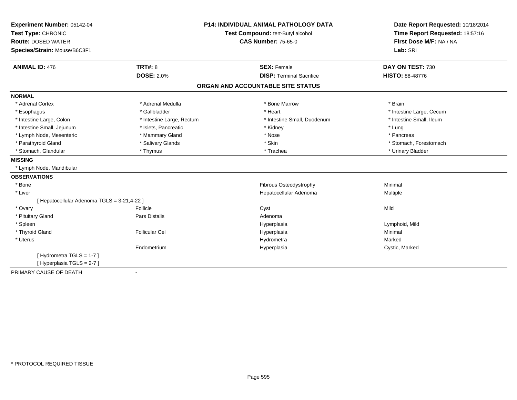| Experiment Number: 05142-04                 | P14: INDIVIDUAL ANIMAL PATHOLOGY DATA |                                   | Date Report Requested: 10/18/2014                                      |
|---------------------------------------------|---------------------------------------|-----------------------------------|------------------------------------------------------------------------|
| Test Type: CHRONIC                          |                                       | Test Compound: tert-Butyl alcohol | Time Report Requested: 18:57:16<br>First Dose M/F: NA / NA<br>Lab: SRI |
| <b>Route: DOSED WATER</b>                   |                                       | <b>CAS Number: 75-65-0</b>        |                                                                        |
| Species/Strain: Mouse/B6C3F1                |                                       |                                   |                                                                        |
| <b>ANIMAL ID: 476</b>                       | <b>TRT#: 8</b>                        | <b>SEX: Female</b>                | DAY ON TEST: 730                                                       |
|                                             | <b>DOSE: 2.0%</b>                     | <b>DISP: Terminal Sacrifice</b>   | <b>HISTO: 88-48776</b>                                                 |
|                                             |                                       | ORGAN AND ACCOUNTABLE SITE STATUS |                                                                        |
| <b>NORMAL</b>                               |                                       |                                   |                                                                        |
| * Adrenal Cortex                            | * Adrenal Medulla                     | * Bone Marrow                     | * Brain                                                                |
| * Esophagus                                 | * Gallbladder                         | * Heart                           | * Intestine Large, Cecum                                               |
| * Intestine Large, Colon                    | * Intestine Large, Rectum             | * Intestine Small. Duodenum       | * Intestine Small, Ileum                                               |
| * Intestine Small, Jejunum                  | * Islets, Pancreatic                  | * Kidney                          | * Lung                                                                 |
| * Lymph Node, Mesenteric                    | * Mammary Gland                       | * Nose                            | * Pancreas                                                             |
| * Parathyroid Gland                         | * Salivary Glands                     | * Skin                            | * Stomach. Forestomach                                                 |
| * Stomach, Glandular                        | * Thymus                              | * Trachea                         | * Urinary Bladder                                                      |
| <b>MISSING</b>                              |                                       |                                   |                                                                        |
| * Lymph Node, Mandibular                    |                                       |                                   |                                                                        |
| <b>OBSERVATIONS</b>                         |                                       |                                   |                                                                        |
| * Bone                                      |                                       | Fibrous Osteodystrophy            | Minimal                                                                |
| * Liver                                     |                                       | Hepatocellular Adenoma            | Multiple                                                               |
| [ Hepatocellular Adenoma TGLS = 3-21,4-22 ] |                                       |                                   |                                                                        |
| * Ovary                                     | Follicle                              | Cyst                              | Mild                                                                   |
| * Pituitary Gland                           | Pars Distalis                         | Adenoma                           |                                                                        |
| * Spleen                                    |                                       | Hyperplasia                       | Lymphoid, Mild                                                         |
| * Thyroid Gland                             | <b>Follicular Cel</b>                 | Hyperplasia                       | Minimal                                                                |
| * Uterus                                    |                                       | Hydrometra                        | Marked                                                                 |
|                                             | Endometrium                           | Hyperplasia                       | Cystic, Marked                                                         |
| [Hydrometra TGLS = 1-7]                     |                                       |                                   |                                                                        |
| [Hyperplasia TGLS = 2-7]                    |                                       |                                   |                                                                        |
| PRIMARY CAUSE OF DEATH                      |                                       |                                   |                                                                        |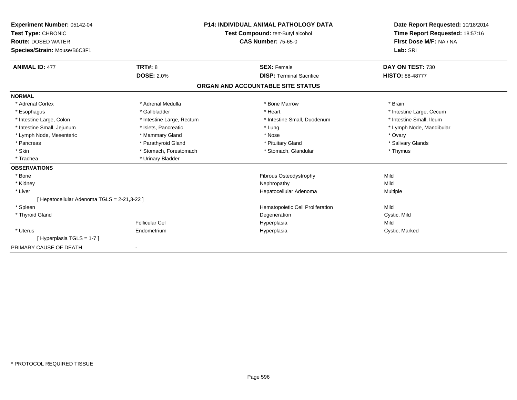| <b>Experiment Number: 05142-04</b><br>Test Type: CHRONIC<br><b>Route: DOSED WATER</b><br>Species/Strain: Mouse/B6C3F1 |                           | <b>P14: INDIVIDUAL ANIMAL PATHOLOGY DATA</b><br>Test Compound: tert-Butyl alcohol<br><b>CAS Number: 75-65-0</b> | Date Report Requested: 10/18/2014<br>Time Report Requested: 18:57:16<br>First Dose M/F: NA / NA<br>Lab: SRI |
|-----------------------------------------------------------------------------------------------------------------------|---------------------------|-----------------------------------------------------------------------------------------------------------------|-------------------------------------------------------------------------------------------------------------|
| <b>ANIMAL ID: 477</b>                                                                                                 | TRT#: 8                   | <b>SEX: Female</b>                                                                                              | DAY ON TEST: 730                                                                                            |
|                                                                                                                       | <b>DOSE: 2.0%</b>         | <b>DISP: Terminal Sacrifice</b>                                                                                 | <b>HISTO: 88-48777</b>                                                                                      |
|                                                                                                                       |                           | ORGAN AND ACCOUNTABLE SITE STATUS                                                                               |                                                                                                             |
| <b>NORMAL</b>                                                                                                         |                           |                                                                                                                 |                                                                                                             |
| * Adrenal Cortex                                                                                                      | * Adrenal Medulla         | * Bone Marrow                                                                                                   | * Brain                                                                                                     |
| * Esophagus                                                                                                           | * Gallbladder             | * Heart                                                                                                         | * Intestine Large, Cecum                                                                                    |
| * Intestine Large, Colon                                                                                              | * Intestine Large, Rectum | * Intestine Small, Duodenum                                                                                     | * Intestine Small, Ileum                                                                                    |
| * Intestine Small, Jejunum                                                                                            | * Islets, Pancreatic      | * Lung                                                                                                          | * Lymph Node, Mandibular                                                                                    |
| * Lymph Node, Mesenteric                                                                                              | * Mammary Gland           | * Nose                                                                                                          | * Ovary                                                                                                     |
| * Pancreas                                                                                                            | * Parathyroid Gland       | * Pituitary Gland                                                                                               | * Salivary Glands                                                                                           |
| * Skin                                                                                                                | * Stomach, Forestomach    | * Stomach, Glandular                                                                                            | * Thymus                                                                                                    |
| * Trachea                                                                                                             | * Urinary Bladder         |                                                                                                                 |                                                                                                             |
| <b>OBSERVATIONS</b>                                                                                                   |                           |                                                                                                                 |                                                                                                             |
| * Bone                                                                                                                |                           | Fibrous Osteodystrophy                                                                                          | Mild                                                                                                        |
| * Kidney                                                                                                              |                           | Nephropathy                                                                                                     | Mild                                                                                                        |
| * Liver                                                                                                               |                           | Hepatocellular Adenoma                                                                                          | Multiple                                                                                                    |
| [ Hepatocellular Adenoma TGLS = 2-21,3-22 ]                                                                           |                           |                                                                                                                 |                                                                                                             |
| * Spleen                                                                                                              |                           | Hematopoietic Cell Proliferation                                                                                | Mild                                                                                                        |
| * Thyroid Gland                                                                                                       |                           | Degeneration                                                                                                    | Cystic, Mild                                                                                                |
|                                                                                                                       | Follicular Cel            | Hyperplasia                                                                                                     | Mild                                                                                                        |
| * Uterus                                                                                                              | Endometrium               | Hyperplasia                                                                                                     | Cystic, Marked                                                                                              |
| [Hyperplasia TGLS = 1-7]                                                                                              |                           |                                                                                                                 |                                                                                                             |
| PRIMARY CAUSE OF DEATH                                                                                                |                           |                                                                                                                 |                                                                                                             |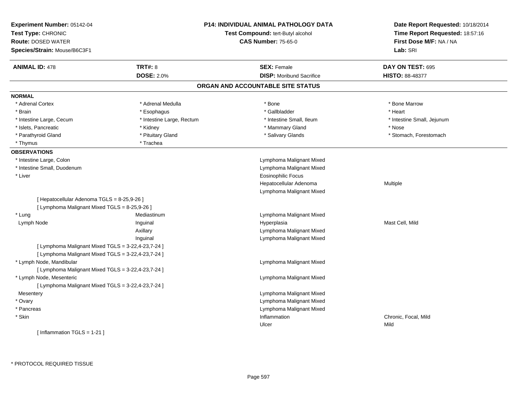| Experiment Number: 05142-04<br>Test Type: CHRONIC<br><b>Route: DOSED WATER</b> |                           | P14: INDIVIDUAL ANIMAL PATHOLOGY DATA<br>Test Compound: tert-Butyl alcohol<br><b>CAS Number: 75-65-0</b> | Date Report Requested: 10/18/2014<br>Time Report Requested: 18:57:16<br>First Dose M/F: NA / NA |
|--------------------------------------------------------------------------------|---------------------------|----------------------------------------------------------------------------------------------------------|-------------------------------------------------------------------------------------------------|
| Species/Strain: Mouse/B6C3F1                                                   |                           |                                                                                                          | Lab: SRI                                                                                        |
| <b>ANIMAL ID: 478</b>                                                          | <b>TRT#: 8</b>            | <b>SEX: Female</b>                                                                                       | DAY ON TEST: 695                                                                                |
|                                                                                | <b>DOSE: 2.0%</b>         | <b>DISP:</b> Moribund Sacrifice                                                                          | <b>HISTO: 88-48377</b>                                                                          |
|                                                                                |                           | ORGAN AND ACCOUNTABLE SITE STATUS                                                                        |                                                                                                 |
| <b>NORMAL</b>                                                                  |                           |                                                                                                          |                                                                                                 |
| * Adrenal Cortex                                                               | * Adrenal Medulla         | * Bone                                                                                                   | * Bone Marrow                                                                                   |
| * Brain                                                                        | * Esophagus               | * Gallbladder                                                                                            | * Heart                                                                                         |
| * Intestine Large, Cecum                                                       | * Intestine Large, Rectum | * Intestine Small, Ileum                                                                                 | * Intestine Small, Jejunum                                                                      |
| * Islets, Pancreatic                                                           | * Kidney                  | * Mammary Gland                                                                                          | * Nose                                                                                          |
| * Parathyroid Gland                                                            | * Pituitary Gland         | * Salivary Glands                                                                                        | * Stomach, Forestomach                                                                          |
| * Thymus                                                                       | * Trachea                 |                                                                                                          |                                                                                                 |
| <b>OBSERVATIONS</b>                                                            |                           |                                                                                                          |                                                                                                 |
| * Intestine Large, Colon                                                       |                           | Lymphoma Malignant Mixed                                                                                 |                                                                                                 |
| * Intestine Small, Duodenum                                                    |                           | Lymphoma Malignant Mixed                                                                                 |                                                                                                 |
| * Liver                                                                        |                           | <b>Eosinophilic Focus</b>                                                                                |                                                                                                 |
|                                                                                |                           | Hepatocellular Adenoma                                                                                   | Multiple                                                                                        |
|                                                                                |                           | Lymphoma Malignant Mixed                                                                                 |                                                                                                 |
| [ Hepatocellular Adenoma TGLS = 8-25,9-26 ]                                    |                           |                                                                                                          |                                                                                                 |
| [ Lymphoma Malignant Mixed TGLS = 8-25,9-26 ]                                  |                           |                                                                                                          |                                                                                                 |
| * Lung                                                                         | Mediastinum               | Lymphoma Malignant Mixed                                                                                 |                                                                                                 |
| Lymph Node                                                                     | Inguinal                  | Hyperplasia                                                                                              | Mast Cell, Mild                                                                                 |
|                                                                                | Axillary                  | Lymphoma Malignant Mixed                                                                                 |                                                                                                 |
|                                                                                | Inguinal                  | Lymphoma Malignant Mixed                                                                                 |                                                                                                 |
| [ Lymphoma Malignant Mixed TGLS = 3-22,4-23,7-24 ]                             |                           |                                                                                                          |                                                                                                 |
| [ Lymphoma Malignant Mixed TGLS = 3-22,4-23,7-24 ]                             |                           |                                                                                                          |                                                                                                 |
| * Lymph Node, Mandibular                                                       |                           | Lymphoma Malignant Mixed                                                                                 |                                                                                                 |
| [ Lymphoma Malignant Mixed TGLS = 3-22,4-23,7-24 ]                             |                           |                                                                                                          |                                                                                                 |
| * Lymph Node, Mesenteric                                                       |                           | Lymphoma Malignant Mixed                                                                                 |                                                                                                 |
| [ Lymphoma Malignant Mixed TGLS = 3-22,4-23,7-24 ]                             |                           |                                                                                                          |                                                                                                 |
| Mesentery                                                                      |                           | Lymphoma Malignant Mixed                                                                                 |                                                                                                 |
| * Ovary                                                                        |                           | Lymphoma Malignant Mixed                                                                                 |                                                                                                 |
| * Pancreas                                                                     |                           | Lymphoma Malignant Mixed                                                                                 |                                                                                                 |
| * Skin                                                                         |                           | Inflammation                                                                                             | Chronic, Focal, Mild                                                                            |
|                                                                                |                           | Ulcer                                                                                                    | Mild                                                                                            |
| [Inflammation TGLS = $1-21$ ]                                                  |                           |                                                                                                          |                                                                                                 |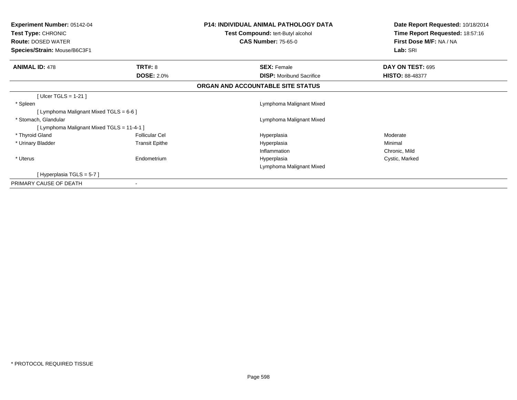| <b>Experiment Number: 05142-04</b><br><b>Test Type: CHRONIC</b><br><b>Route: DOSED WATER</b> |                       | <b>P14: INDIVIDUAL ANIMAL PATHOLOGY DATA</b><br><b>Test Compound: tert-Butyl alcohol</b><br><b>CAS Number: 75-65-0</b> | Date Report Requested: 10/18/2014<br>Time Report Requested: 18:57:16<br>First Dose M/F: NA / NA |
|----------------------------------------------------------------------------------------------|-----------------------|------------------------------------------------------------------------------------------------------------------------|-------------------------------------------------------------------------------------------------|
| Species/Strain: Mouse/B6C3F1                                                                 |                       |                                                                                                                        | Lab: SRI                                                                                        |
| <b>ANIMAL ID: 478</b>                                                                        | <b>TRT#: 8</b>        | <b>SEX: Female</b>                                                                                                     | DAY ON TEST: 695                                                                                |
|                                                                                              | <b>DOSE: 2.0%</b>     | <b>DISP:</b> Moribund Sacrifice                                                                                        | <b>HISTO: 88-48377</b>                                                                          |
|                                                                                              |                       | ORGAN AND ACCOUNTABLE SITE STATUS                                                                                      |                                                                                                 |
| [ Ulcer TGLS = $1-21$ ]                                                                      |                       |                                                                                                                        |                                                                                                 |
| * Spleen                                                                                     |                       | Lymphoma Malignant Mixed                                                                                               |                                                                                                 |
| [ Lymphoma Malignant Mixed TGLS = 6-6 ]                                                      |                       |                                                                                                                        |                                                                                                 |
| * Stomach, Glandular                                                                         |                       | Lymphoma Malignant Mixed                                                                                               |                                                                                                 |
| [ Lymphoma Malignant Mixed TGLS = 11-4-1 ]                                                   |                       |                                                                                                                        |                                                                                                 |
| * Thyroid Gland                                                                              | <b>Follicular Cel</b> | Hyperplasia                                                                                                            | Moderate                                                                                        |
| * Urinary Bladder                                                                            | <b>Transit Epithe</b> | Hyperplasia                                                                                                            | Minimal                                                                                         |
|                                                                                              |                       | Inflammation                                                                                                           | Chronic, Mild                                                                                   |
| * Uterus                                                                                     | Endometrium           | Hyperplasia                                                                                                            | Cystic, Marked                                                                                  |
|                                                                                              |                       | Lymphoma Malignant Mixed                                                                                               |                                                                                                 |
| [Hyperplasia TGLS = 5-7]                                                                     |                       |                                                                                                                        |                                                                                                 |
| PRIMARY CAUSE OF DEATH                                                                       |                       |                                                                                                                        |                                                                                                 |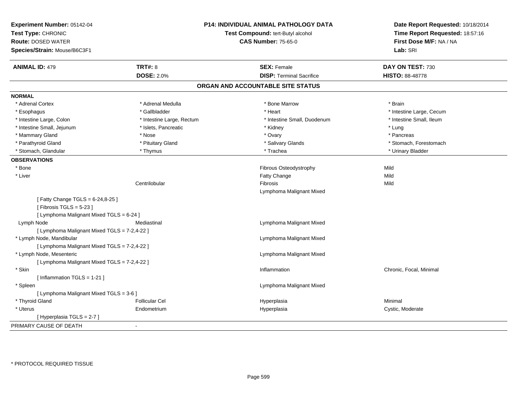| Experiment Number: 05142-04<br>Test Type: CHRONIC<br><b>Route: DOSED WATER</b><br>Species/Strain: Mouse/B6C3F1 |                           | <b>P14: INDIVIDUAL ANIMAL PATHOLOGY DATA</b><br>Test Compound: tert-Butyl alcohol<br><b>CAS Number: 75-65-0</b> | Date Report Requested: 10/18/2014<br>Time Report Requested: 18:57:16<br>First Dose M/F: NA / NA<br>Lab: SRI |
|----------------------------------------------------------------------------------------------------------------|---------------------------|-----------------------------------------------------------------------------------------------------------------|-------------------------------------------------------------------------------------------------------------|
| <b>ANIMAL ID: 479</b>                                                                                          | <b>TRT#: 8</b>            | <b>SEX: Female</b>                                                                                              | DAY ON TEST: 730                                                                                            |
|                                                                                                                | <b>DOSE: 2.0%</b>         | <b>DISP: Terminal Sacrifice</b>                                                                                 | <b>HISTO: 88-48778</b>                                                                                      |
|                                                                                                                |                           | ORGAN AND ACCOUNTABLE SITE STATUS                                                                               |                                                                                                             |
| <b>NORMAL</b>                                                                                                  |                           |                                                                                                                 |                                                                                                             |
| * Adrenal Cortex                                                                                               | * Adrenal Medulla         | * Bone Marrow                                                                                                   | * Brain                                                                                                     |
| * Esophagus                                                                                                    | * Gallbladder             | * Heart                                                                                                         | * Intestine Large, Cecum                                                                                    |
| * Intestine Large, Colon                                                                                       | * Intestine Large, Rectum | * Intestine Small, Duodenum                                                                                     | * Intestine Small, Ileum                                                                                    |
| * Intestine Small, Jejunum                                                                                     | * Islets, Pancreatic      | * Kidney                                                                                                        | * Lung                                                                                                      |
| * Mammary Gland                                                                                                | * Nose                    | * Ovary                                                                                                         | * Pancreas                                                                                                  |
| * Parathyroid Gland                                                                                            | * Pituitary Gland         | * Salivary Glands                                                                                               | * Stomach, Forestomach                                                                                      |
| * Stomach, Glandular                                                                                           | * Thymus                  | * Trachea                                                                                                       | * Urinary Bladder                                                                                           |
| <b>OBSERVATIONS</b>                                                                                            |                           |                                                                                                                 |                                                                                                             |
| * Bone                                                                                                         |                           | Fibrous Osteodystrophy                                                                                          | Mild                                                                                                        |
| * Liver                                                                                                        |                           | Fatty Change                                                                                                    | Mild                                                                                                        |
|                                                                                                                | Centrilobular             | Fibrosis                                                                                                        | Mild                                                                                                        |
|                                                                                                                |                           | Lymphoma Malignant Mixed                                                                                        |                                                                                                             |
| [Fatty Change TGLS = 6-24,8-25]<br>[Fibrosis TGLS = $5-23$ ]                                                   |                           |                                                                                                                 |                                                                                                             |
| [ Lymphoma Malignant Mixed TGLS = 6-24 ]                                                                       |                           |                                                                                                                 |                                                                                                             |
| Lymph Node                                                                                                     | Mediastinal               | Lymphoma Malignant Mixed                                                                                        |                                                                                                             |
| [ Lymphoma Malignant Mixed TGLS = 7-2,4-22 ]                                                                   |                           |                                                                                                                 |                                                                                                             |
| * Lymph Node, Mandibular                                                                                       |                           | Lymphoma Malignant Mixed                                                                                        |                                                                                                             |
| [ Lymphoma Malignant Mixed TGLS = 7-2,4-22 ]                                                                   |                           |                                                                                                                 |                                                                                                             |
| * Lymph Node, Mesenteric                                                                                       |                           | Lymphoma Malignant Mixed                                                                                        |                                                                                                             |
| [ Lymphoma Malignant Mixed TGLS = 7-2,4-22 ]                                                                   |                           |                                                                                                                 |                                                                                                             |
| * Skin                                                                                                         |                           | Inflammation                                                                                                    | Chronic, Focal, Minimal                                                                                     |
| [ Inflammation TGLS = 1-21 ]                                                                                   |                           |                                                                                                                 |                                                                                                             |
| * Spleen                                                                                                       |                           | Lymphoma Malignant Mixed                                                                                        |                                                                                                             |
| [ Lymphoma Malignant Mixed TGLS = 3-6 ]                                                                        |                           |                                                                                                                 |                                                                                                             |
| * Thyroid Gland                                                                                                | <b>Follicular Cel</b>     | Hyperplasia                                                                                                     | Minimal                                                                                                     |
| * Uterus                                                                                                       | Endometrium               | Hyperplasia                                                                                                     | Cystic, Moderate                                                                                            |
| [Hyperplasia TGLS = 2-7 ]                                                                                      |                           |                                                                                                                 |                                                                                                             |
| PRIMARY CAUSE OF DEATH                                                                                         |                           |                                                                                                                 |                                                                                                             |